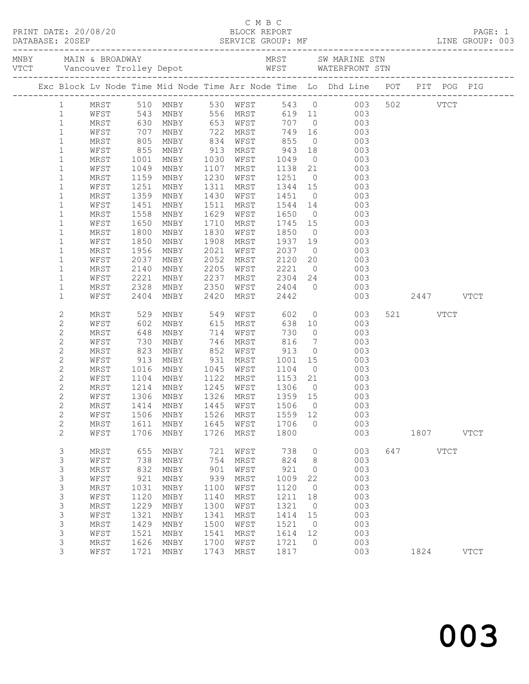|                |                   |      |                   |                        |      |                      |                   |                 | Exc Block Lv Node Time Mid Node Time Arr Node Time Lo Dhd Line POT PIT POG PIG                                                                                                                                                                                                                                                              |           |             |           |             |
|----------------|-------------------|------|-------------------|------------------------|------|----------------------|-------------------|-----------------|---------------------------------------------------------------------------------------------------------------------------------------------------------------------------------------------------------------------------------------------------------------------------------------------------------------------------------------------|-----------|-------------|-----------|-------------|
|                | $1 \qquad \qquad$ |      |                   | MRST 510 MNBY 530 WFST |      |                      |                   |                 | 543 0 003                                                                                                                                                                                                                                                                                                                                   |           | 502 VTCT    |           |             |
| $\mathbf{1}$   |                   | WFST | 543<br>630<br>707 | MNBY 556 MRST          |      |                      |                   |                 | 619 11 003                                                                                                                                                                                                                                                                                                                                  |           |             |           |             |
| $\mathbf{1}$   |                   | MRST |                   | MNBY                   |      | 653 WFST<br>722 MRST |                   |                 | 707 0 003<br>749 16 003                                                                                                                                                                                                                                                                                                                     |           |             |           |             |
| $\mathbf{1}$   |                   | WFST |                   | MNBY                   | 722  |                      |                   |                 |                                                                                                                                                                                                                                                                                                                                             |           |             |           |             |
| $\mathbf{1}$   |                   | MRST | 805               | MNBY                   | 834  | WFST 855             |                   |                 | $0$ 003                                                                                                                                                                                                                                                                                                                                     |           |             |           |             |
| $\mathbf{1}$   |                   | WFST | 855               | MNBY                   | 913  | MRST                 | 943               |                 | 18 003                                                                                                                                                                                                                                                                                                                                      |           |             |           |             |
| $\mathbf 1$    |                   | MRST | 1001              | MNBY                   | 1030 | WFST                 | 1049              |                 | $\begin{matrix}0\\21\end{matrix}$<br>003                                                                                                                                                                                                                                                                                                    |           |             |           |             |
| $\mathbf{1}$   |                   | WFST | 1049              | MNBY                   | 1107 | MRST                 | 1138              |                 | 003                                                                                                                                                                                                                                                                                                                                         |           |             |           |             |
| $\mathbf{1}$   |                   | MRST | 1159              | MNBY                   | 1230 | WFST                 | 1251              |                 | $0$ 003                                                                                                                                                                                                                                                                                                                                     |           |             |           |             |
| $\mathbf 1$    |                   | WFST | 1251              | MNBY                   | 1311 | MRST                 | 1344              | 15              | 003                                                                                                                                                                                                                                                                                                                                         |           |             |           |             |
| $\mathbf 1$    |                   | MRST | 1359              | MNBY                   | 1430 | WFST                 | 1451 0<br>1544 14 |                 | 003                                                                                                                                                                                                                                                                                                                                         |           |             |           |             |
| 1              |                   | WFST | 1451              | MNBY                   | 1511 | MRST                 |                   |                 | 003                                                                                                                                                                                                                                                                                                                                         |           |             |           |             |
| $\mathbf{1}$   |                   | MRST | 1558              | MNBY                   | 1629 | WFST                 | 1650              |                 | $\overline{0}$<br>003                                                                                                                                                                                                                                                                                                                       |           |             |           |             |
| 1              |                   | WFST | 1650              | MNBY                   | 1710 | MRST                 | 1745              | 15              | 003                                                                                                                                                                                                                                                                                                                                         |           |             |           |             |
| $\mathbf 1$    |                   | MRST | 1800              | MNBY                   | 1830 | WFST                 | 1850              |                 | 003                                                                                                                                                                                                                                                                                                                                         |           |             |           |             |
| 1              |                   | WFST | 1850              | MNBY                   | 1908 | MRST                 | 1937              |                 | $\begin{array}{c} 0 \\ 19 \end{array}$<br>003                                                                                                                                                                                                                                                                                               |           |             |           |             |
| $\mathbf{1}$   |                   | MRST | 1956              | MNBY                   | 2021 | WFST                 | 2037              |                 | $0\qquad \qquad 003$                                                                                                                                                                                                                                                                                                                        |           |             |           |             |
| 1              |                   | WFST | 2037              | MNBY                   | 2052 | MRST                 | 2120              |                 | 20<br>003                                                                                                                                                                                                                                                                                                                                   |           |             |           |             |
| $\mathbf 1$    |                   | MRST | 2140              | MNBY                   | 2205 | WFST                 | 2221              |                 |                                                                                                                                                                                                                                                                                                                                             |           |             |           |             |
| 1              |                   | WFST | 2221              | MNBY                   | 2237 | MRST                 | $2304$ 24         |                 | $\begin{array}{ccc} 0 & 0 & 0 \\ 24 & 0 & 0 \\ 0 & 0 & 0 \\ 0 & 0 & 0 \\ 0 & 0 & 0 \\ 0 & 0 & 0 \\ 0 & 0 & 0 \\ 0 & 0 & 0 \\ 0 & 0 & 0 \\ 0 & 0 & 0 \\ 0 & 0 & 0 \\ 0 & 0 & 0 \\ 0 & 0 & 0 \\ 0 & 0 & 0 \\ 0 & 0 & 0 \\ 0 & 0 & 0 \\ 0 & 0 & 0 & 0 \\ 0 & 0 & 0 & 0 \\ 0 & 0 & 0 & 0 \\ 0 & 0 & 0 & 0 \\ 0 & 0 & 0 & 0 \\ 0 & 0 & 0$<br>003 |           |             |           |             |
| $\mathbf 1$    |                   | MRST | 2328              | MNBY                   | 2350 | WFST 2404 0          |                   |                 | 003                                                                                                                                                                                                                                                                                                                                         |           |             |           |             |
| $\mathbf{1}$   |                   | WFST | 2404              | MNBY                   | 2420 | MRST                 | 2442              |                 | 003                                                                                                                                                                                                                                                                                                                                         | 2447 VTCT |             |           |             |
|                |                   |      |                   |                        |      |                      |                   |                 |                                                                                                                                                                                                                                                                                                                                             |           |             |           |             |
| $\mathbf{2}$   |                   | MRST | 529               | MNBY                   |      | 549 WFST             |                   |                 | $602$ 0 003<br>638 10 003                                                                                                                                                                                                                                                                                                                   |           | 521 VTCT    |           |             |
| 2              |                   | WFST | 602               | MNBY                   | 615  | MRST                 |                   |                 |                                                                                                                                                                                                                                                                                                                                             |           |             |           |             |
| $\mathbf{2}$   |                   | MRST | 648               | MNBY                   | 714  | WFST                 | 730               |                 | $\overline{0}$<br>003                                                                                                                                                                                                                                                                                                                       |           |             |           |             |
| 2              |                   | WFST | 730               | MNBY                   | 746  | MRST                 | 816               | $7\overline{ }$ | 003                                                                                                                                                                                                                                                                                                                                         |           |             |           |             |
| $\mathbf{2}$   |                   | MRST |                   | MNBY                   | 852  | WFST                 | 913               | $\overline{0}$  | 003                                                                                                                                                                                                                                                                                                                                         |           |             |           |             |
| $\mathbf{2}$   |                   | WFST | 823<br>913        | MNBY                   | 931  | MRST                 | 1001              | 15              | 003                                                                                                                                                                                                                                                                                                                                         |           |             |           |             |
| $\overline{c}$ |                   | MRST | 1016              | MNBY                   | 1045 | WFST                 | 1104              | $\overline{0}$  | 003                                                                                                                                                                                                                                                                                                                                         |           |             |           |             |
| 2              |                   | WFST | 1104              | MNBY                   | 1122 | MRST                 | 1153              | 21              | 003                                                                                                                                                                                                                                                                                                                                         |           |             |           |             |
| $\overline{c}$ |                   | MRST | 1214              | MNBY                   |      | 1245 WFST            |                   | $\overline{0}$  | 003                                                                                                                                                                                                                                                                                                                                         |           |             |           |             |
| $\mathbf{2}$   |                   | WFST | 1306              | MNBY                   |      | 1326 MRST            | 1306 0<br>1359 15 |                 | $\begin{array}{c} 0.0000 \\ 0.0000 \\ \hline \end{array}$                                                                                                                                                                                                                                                                                   |           |             |           |             |
| $\overline{2}$ |                   |      |                   |                        |      |                      |                   |                 | MRST 1414 MNBY 1445 WFST 1506 0 003                                                                                                                                                                                                                                                                                                         |           |             |           |             |
| $\mathbf{2}$   |                   | WFST | 1506              | MNBY                   | 1526 | MRST                 | 1559              | 12              | 003                                                                                                                                                                                                                                                                                                                                         |           |             |           |             |
| $\overline{c}$ |                   | MRST | 1611              | MNBY                   | 1645 | WFST                 | 1706              | $\circ$         | 003                                                                                                                                                                                                                                                                                                                                         |           |             |           |             |
| 2              |                   | WFST | 1706              | MNBY                   | 1726 | MRST                 | 1800              |                 | 003                                                                                                                                                                                                                                                                                                                                         |           |             | 1807 VTCT |             |
|                |                   |      |                   |                        |      |                      |                   |                 |                                                                                                                                                                                                                                                                                                                                             |           |             |           |             |
| 3              |                   | MRST | 655               | MNBY                   | 721  | WFST                 | 738               | 0               | 003                                                                                                                                                                                                                                                                                                                                         | 647       | <b>VTCT</b> |           |             |
| 3              |                   | WFST | 738               | MNBY                   | 754  | MRST                 | 824               | 8               | 003                                                                                                                                                                                                                                                                                                                                         |           |             |           |             |
| 3              |                   | MRST | 832               | MNBY                   | 901  | WFST                 | 921               | $\circ$         | 003                                                                                                                                                                                                                                                                                                                                         |           |             |           |             |
| 3              |                   | WFST | 921               | MNBY                   | 939  | MRST                 | 1009              | 22              | 003                                                                                                                                                                                                                                                                                                                                         |           |             |           |             |
| 3              |                   | MRST | 1031              | MNBY                   | 1100 | WFST                 | 1120              | $\circ$         | 003                                                                                                                                                                                                                                                                                                                                         |           |             |           |             |
| 3              |                   | WFST | 1120              | MNBY                   | 1140 | MRST                 | 1211              | 18              | 003                                                                                                                                                                                                                                                                                                                                         |           |             |           |             |
| $\mathfrak{Z}$ |                   |      | 1229              |                        | 1300 |                      | 1321              | $\overline{0}$  | 003                                                                                                                                                                                                                                                                                                                                         |           |             |           |             |
|                |                   | MRST |                   | MNBY                   |      | WFST                 |                   |                 |                                                                                                                                                                                                                                                                                                                                             |           |             |           |             |
| 3              |                   | WFST | 1321              | MNBY                   | 1341 | MRST                 | 1414              | 15              | 003                                                                                                                                                                                                                                                                                                                                         |           |             |           |             |
| 3              |                   | MRST | 1429              | MNBY                   | 1500 | WFST                 | 1521              | $\overline{0}$  | 003                                                                                                                                                                                                                                                                                                                                         |           |             |           |             |
| 3              |                   | WFST | 1521              | MNBY                   | 1541 | MRST                 | 1614              | 12              | 003                                                                                                                                                                                                                                                                                                                                         |           |             |           |             |
| 3              |                   | MRST | 1626              | MNBY                   | 1700 | WFST                 | 1721              | $\overline{0}$  | 003                                                                                                                                                                                                                                                                                                                                         |           |             |           |             |
| 3              |                   | WFST | 1721              | MNBY                   | 1743 | MRST                 | 1817              |                 | 003                                                                                                                                                                                                                                                                                                                                         |           | 1824        |           | <b>VTCT</b> |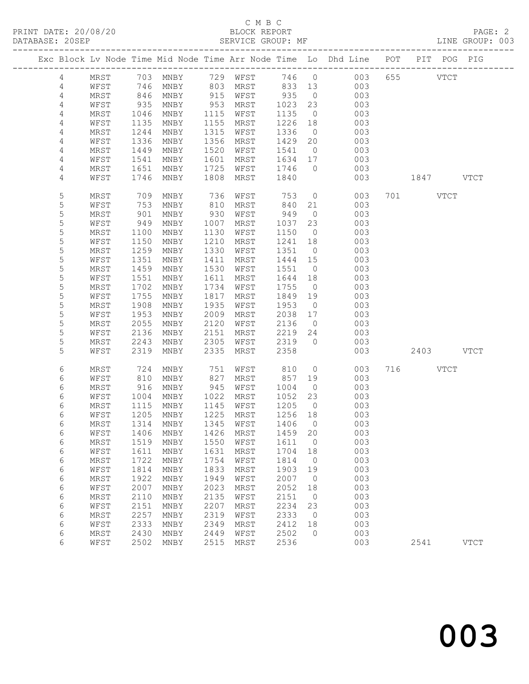# C M B C<br>BLOCK REPORT

LINE GROUP: 003

|                 |      |      |                                  |      |      |         |                | Exc Block Lv Node Time Mid Node Time Arr Node Time Lo Dhd Line POT |           | PIT POG PIG |
|-----------------|------|------|----------------------------------|------|------|---------|----------------|--------------------------------------------------------------------|-----------|-------------|
| 4               | MRST |      | 703 MNBY 729 WFST                |      |      |         |                | 746 0 003                                                          | 655 VTCT  |             |
| 4               | WFST | 746  | MNBY                             | 803  | MRST | 833 13  |                | 003                                                                |           |             |
| $\overline{4}$  | MRST | 846  | MNBY                             | 915  | WFST | 935     | $\overline{0}$ | 003                                                                |           |             |
| 4               | WFST | 935  | MNBY                             | 953  | MRST | 1023    | 23             | 003                                                                |           |             |
| 4               | MRST | 1046 | MNBY                             | 1115 | WFST | 1135    | $\overline{0}$ | 003                                                                |           |             |
| 4               | WFST | 1135 | MNBY                             | 1155 | MRST | 1226    | 18             | 003                                                                |           |             |
| 4               | MRST | 1244 | MNBY                             | 1315 | WFST | 1336    | $\overline{0}$ | 003                                                                |           |             |
| 4               | WFST | 1336 | MNBY                             | 1356 | MRST | 1429    | 20             | 003                                                                |           |             |
| 4               | MRST | 1449 | MNBY                             | 1520 | WFST | 1541    | $\overline{0}$ | 003                                                                |           |             |
| 4               | WFST | 1541 | MNBY                             | 1601 | MRST | 1634 17 |                | 003                                                                |           |             |
| 4               | MRST | 1651 | MNBY                             | 1725 | WFST | 1746    | $\overline{0}$ | 003                                                                |           |             |
| 4               | WFST | 1746 | MNBY                             | 1808 | MRST | 1840    |                | 003                                                                | 1847 VTCT |             |
|                 |      |      |                                  |      |      |         |                |                                                                    |           |             |
| 5               | MRST | 709  | MNBY                             | 736  | WFST | 753     | $\overline{0}$ | 003                                                                | 701 VTCT  |             |
| 5               | WFST | 753  | MNBY                             | 810  | MRST | 840     | 21             | 003                                                                |           |             |
| 5               | MRST | 901  | MNBY                             | 930  | WFST | 949     | $\overline{0}$ | 003                                                                |           |             |
| 5               | WFST | 949  | MNBY                             | 1007 | MRST | 1037    | 23             | 003                                                                |           |             |
| 5               | MRST | 1100 | MNBY                             | 1130 | WFST | 1150    | $\overline{0}$ | 003                                                                |           |             |
| 5               | WFST | 1150 | MNBY                             | 1210 | MRST | 1241    | 18             | 003                                                                |           |             |
| 5               | MRST | 1259 | MNBY                             | 1330 | WFST | 1351    | $\overline{0}$ | 003                                                                |           |             |
| 5               | WFST | 1351 | MNBY                             | 1411 | MRST | 1444    | 15             | 003                                                                |           |             |
| 5               | MRST | 1459 | MNBY                             | 1530 | WFST | 1551    | $\overline{0}$ | 003                                                                |           |             |
| 5               | WFST | 1551 | MNBY                             | 1611 | MRST | 1644    | 18             | 003                                                                |           |             |
| 5               | MRST | 1702 | MNBY                             | 1734 | WFST | 1755    | $\overline{0}$ | 003                                                                |           |             |
| 5               | WFST | 1755 | MNBY                             | 1817 | MRST | 1849    | 19             | 003                                                                |           |             |
| $\mathsf S$     | MRST | 1908 | MNBY                             | 1935 | WFST | 1953    | $\overline{0}$ | 003                                                                |           |             |
| 5               | WFST | 1953 | MNBY                             | 2009 | MRST | 2038    | 17             | 003                                                                |           |             |
| 5               | MRST | 2055 | MNBY                             | 2120 | WFST | 2136    | $\overline{0}$ | 003                                                                |           |             |
| 5               | WFST | 2136 | MNBY                             | 2151 | MRST | 2219    | 24             | 003                                                                |           |             |
| 5               | MRST | 2243 | MNBY                             | 2305 | WFST | 2319    | $\overline{0}$ | 003                                                                |           |             |
| 5               | WFST | 2319 | MNBY                             | 2335 | MRST | 2358    |                | 003                                                                | 2403 VTCT |             |
| 6               | MRST | 724  | MNBY                             | 751  | WFST | 810     | $\overline{0}$ | 003                                                                | 716 VTCT  |             |
| 6               | WFST | 810  | MNBY                             | 827  | MRST | 857     | 19             | 003                                                                |           |             |
| 6               | MRST | 916  | MNBY                             | 945  | WFST | 1004    | $\overline{0}$ | 003                                                                |           |             |
| 6               | WFST | 1004 | MNBY                             | 1022 | MRST | 1052    | 23             | 003                                                                |           |             |
| 6               | MRST | 1115 | MNBY                             | 1145 | WFST | 1205    | $\overline{0}$ | 003                                                                |           |             |
| 6               | WFST | 1205 | MNBY                             | 1225 | MRST | 1256    | 18             | 003                                                                |           |             |
| 6               | MRST | 1314 | MNBY                             | 1345 | WFST | 1406    | $\overline{0}$ | 003                                                                |           |             |
| $6\phantom{.}6$ |      |      | WFST 1406 MNBY 1426 MRST 1459 20 |      |      |         |                | 003                                                                |           |             |
| 6               | MRST | 1519 | MNBY                             | 1550 | WFST | 1611    | $\overline{0}$ | 003                                                                |           |             |
| 6               | WFST | 1611 | MNBY                             | 1631 | MRST | 1704    | 18             | 003                                                                |           |             |
| 6               | MRST | 1722 | MNBY                             | 1754 | WFST | 1814    | $\overline{0}$ | 003                                                                |           |             |
| 6               | WFST | 1814 | MNBY                             | 1833 | MRST | 1903    | 19             | 003                                                                |           |             |
| 6               | MRST | 1922 | MNBY                             | 1949 | WFST | 2007    | $\overline{0}$ | 003                                                                |           |             |
| 6               | WFST | 2007 | MNBY                             | 2023 | MRST | 2052    | 18             | 003                                                                |           |             |
| 6               | MRST | 2110 | MNBY                             | 2135 | WFST | 2151    | $\overline{0}$ | 003                                                                |           |             |
| 6               | WFST | 2151 | MNBY                             | 2207 | MRST | 2234    | 23             | 003                                                                |           |             |
| 6               | MRST | 2257 | MNBY                             | 2319 | WFST | 2333    | $\overline{0}$ | 003                                                                |           |             |
| 6               | WFST | 2333 | MNBY                             | 2349 | MRST | 2412    | 18             | 003                                                                |           |             |
| 6               | MRST | 2430 | MNBY                             | 2449 | WFST | 2502    | $\overline{0}$ | 003                                                                |           |             |
| 6               | WFST | 2502 | MNBY                             | 2515 | MRST | 2536    |                | 003                                                                | 2541      | <b>VTCT</b> |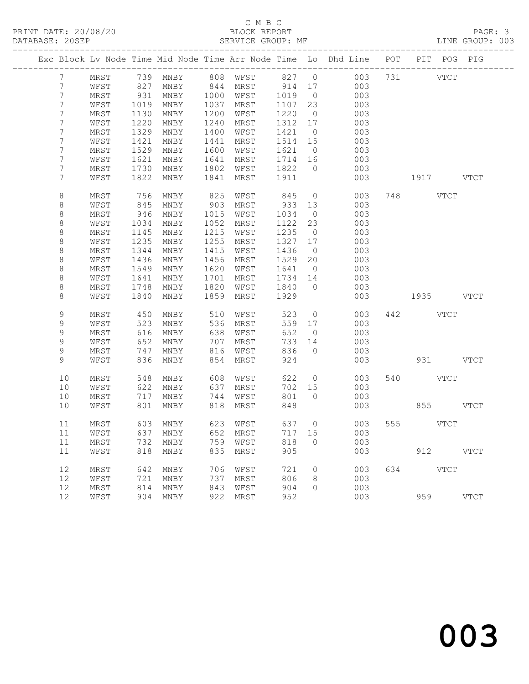### C M B C<br>BLOCK REPORT SERVICE GROUP: MF

|                 |      |      |                   |      |             |         |                | Exc Block Lv Node Time Mid Node Time Arr Node Time Lo Dhd Line POT | PIT POG PIG |             |
|-----------------|------|------|-------------------|------|-------------|---------|----------------|--------------------------------------------------------------------|-------------|-------------|
| 7 <sup>7</sup>  | MRST |      |                   |      |             |         |                | 739 MNBY 808 WFST 827 0 003                                        | 731 VTCT    |             |
| $7\phantom{.0}$ | WFST | 827  | MNBY              | 844  | MRST 914 17 |         |                | 003                                                                |             |             |
| 7               | MRST | 931  | MNBY              | 1000 | WFST        | 1019    | $\overline{0}$ | 003                                                                |             |             |
| 7               | WFST | 1019 | MNBY              | 1037 | MRST        | 1107    | 23             | 003                                                                |             |             |
| 7               | MRST | 1130 | MNBY              | 1200 | WFST        | 1220    | $\overline{0}$ | 003                                                                |             |             |
| 7               | WFST | 1220 | MNBY              | 1240 | MRST        | 1312 17 |                | 003                                                                |             |             |
| 7               | MRST | 1329 | MNBY              | 1400 | WFST        | 1421    | $\overline{0}$ | 003                                                                |             |             |
| 7               | WFST | 1421 | MNBY              | 1441 | MRST        | 1514    | 15             | 003                                                                |             |             |
| 7               | MRST | 1529 | MNBY              | 1600 | WFST        | 1621 0  |                | 003                                                                |             |             |
| 7               | WFST | 1621 | MNBY              | 1641 | MRST        | 1714 16 |                | 003                                                                |             |             |
| 7               | MRST | 1730 | MNBY              | 1802 | WFST        | 1822    | $\overline{0}$ | 003                                                                |             |             |
| 7               | WFST | 1822 | MNBY              | 1841 | MRST        | 1911    |                | 003                                                                | 1917 VTCT   |             |
| 8               | MRST | 756  | MNBY              | 825  | WFST        | 845     | $\overline{0}$ | 003                                                                | 748 VTCT    |             |
| 8               | WFST | 845  | MNBY              | 903  | MRST        | 933     | 13             | 003                                                                |             |             |
| $\,8\,$         | MRST | 946  | MNBY              | 1015 | WFST        | 1034    | $\overline{0}$ | 003                                                                |             |             |
| $\,8\,$         | WFST | 1034 | MNBY              | 1052 | MRST        | 1122    | 23             | 003                                                                |             |             |
| $\,8\,$         | MRST | 1145 | MNBY              | 1215 | WFST        | 1235    | $\overline{0}$ | 003                                                                |             |             |
| $\,8\,$         | WFST | 1235 | MNBY              | 1255 | MRST        | 1327 17 |                | 003                                                                |             |             |
| $\,8\,$         | MRST | 1344 | MNBY              | 1415 | WFST        | 1436    | $\overline{0}$ | 003                                                                |             |             |
| $\,8\,$         | WFST | 1436 | MNBY              | 1456 | MRST        | 1529    | 20             | 003                                                                |             |             |
| $\,8\,$         | MRST | 1549 | MNBY              | 1620 | WFST        | 1641    | $\overline{0}$ | 003                                                                |             |             |
| $\,8\,$         | WFST | 1641 | MNBY              | 1701 | MRST        | 1734    | 14             | 003                                                                |             |             |
| $\,8\,$         | MRST | 1748 | MNBY              | 1820 | WFST        | 1840    | $\overline{0}$ | 003                                                                |             |             |
| 8               | WFST | 1840 | MNBY              | 1859 | MRST        | 1929    |                | 003                                                                | 1935 VTCT   |             |
| 9               | MRST | 450  | MNBY              | 510  | WFST        | 523     | $\overline{0}$ | 003                                                                | 442 VTCT    |             |
| 9               | WFST | 523  | MNBY              | 536  | MRST        | 559 17  |                | 003                                                                |             |             |
| 9               | MRST | 616  | MNBY              | 638  | WFST        | 652     | $\overline{0}$ | 003                                                                |             |             |
| 9               | WFST | 652  | MNBY              | 707  | MRST        | 733     | 14             | 003                                                                |             |             |
| 9               | MRST | 747  | MNBY              | 816  | WFST        | 836     | $\overline{0}$ | 003                                                                |             |             |
| 9               | WFST | 836  | MNBY              | 854  | MRST        | 924     |                | 003                                                                | 931 VTCT    |             |
| 10              | MRST | 548  | MNBY              | 608  | WFST        | 622     | $\overline{0}$ | 003                                                                | 540 VTCT    |             |
| 10              | WFST | 622  | MNBY              | 637  | MRST        | 702 15  |                | 003                                                                |             |             |
| 10              | MRST | 717  | MNBY              | 744  | WFST        | 801     | $\overline{0}$ | 003                                                                |             |             |
| 10              | WFST | 801  | MNBY              | 818  | MRST        | 848     |                | 003                                                                | 855 VTCT    |             |
| 11              | MRST |      | 603 MNBY          | 623  | WFST        | 637 0   |                | 003                                                                | 555 VTCT    |             |
| 11              | WFST |      | 637 MNBY 652 MRST |      |             |         |                | 717 15 003                                                         |             |             |
| 11              | MRST | 732  | MNBY              | 759  | WFST        | 818     | $\bigcirc$     | 003                                                                |             |             |
| 11              | WFST | 818  | MNBY              | 835  | MRST        | 905     |                | 003                                                                | 912         | <b>VTCT</b> |
| 12              | MRST | 642  | MNBY              | 706  | WFST        | 721     | $\circ$        | 003                                                                | 634 VTCT    |             |
| 12              | WFST | 721  | MNBY              | 737  | MRST        | 806     | 8              | 003                                                                |             |             |
| 12              | MRST | 814  | MNBY              | 843  | WFST        | 904     | $\circ$        | 003                                                                |             |             |
| 12              | WFST |      | 904 MNBY          | 922  | MRST        | 952     |                | 003                                                                | 959         | <b>VTCT</b> |
|                 |      |      |                   |      |             |         |                |                                                                    |             |             |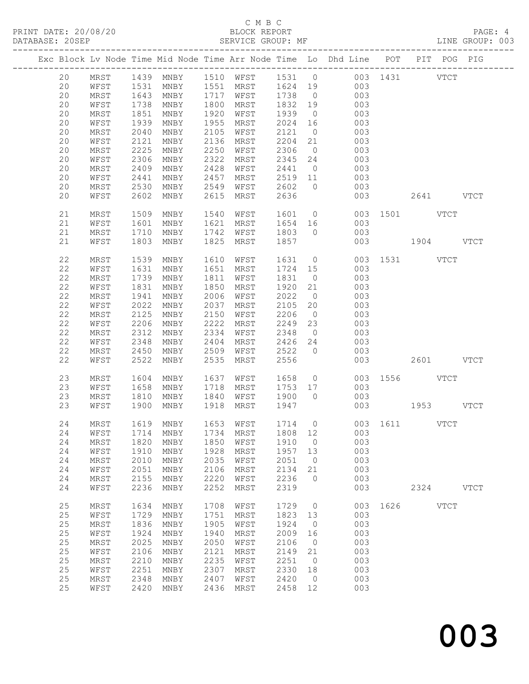# C M B C<br>BLOCK REPORT

LINE GROUP: 003

|  |    |      |      |                                |      |                                                                      |          |                | Exc Block Lv Node Time Mid Node Time Arr Node Time Lo Dhd Line POT PIT POG PIG |               |      |             |             |
|--|----|------|------|--------------------------------|------|----------------------------------------------------------------------|----------|----------------|--------------------------------------------------------------------------------|---------------|------|-------------|-------------|
|  | 20 | MRST |      |                                |      |                                                                      |          |                | 1439 MNBY 1510 WFST 1531 0 003 1431 VTCT                                       |               |      |             |             |
|  | 20 | WFST |      |                                |      | 1531 MNBY   1551 MRST   1624  19<br>1643 MNBY   1717 WFST   1738   0 |          |                | $\begin{array}{c} 003 \\ 003 \end{array}$                                      |               |      |             |             |
|  | 20 | MRST |      |                                |      |                                                                      | $1738$ 0 |                |                                                                                |               |      |             |             |
|  | 20 | WFST | 1738 | MNBY                           | 1800 | MRST                                                                 | 1832 19  |                | 003                                                                            |               |      |             |             |
|  | 20 | MRST | 1851 | MNBY                           | 1920 | WFST                                                                 | 1939     | $\overline{0}$ | 003                                                                            |               |      |             |             |
|  | 20 | WFST | 1939 | MNBY                           | 1955 | MRST                                                                 | 2024 16  |                | 003                                                                            |               |      |             |             |
|  | 20 | MRST | 2040 | MNBY                           | 2105 | WFST                                                                 | 2121     | $\overline{0}$ | 003                                                                            |               |      |             |             |
|  | 20 | WFST | 2121 | MNBY                           | 2136 | MRST                                                                 | 2204     | 21             | 003                                                                            |               |      |             |             |
|  | 20 | MRST | 2225 | MNBY                           | 2250 | WFST                                                                 | 2306     | $\overline{0}$ | 003                                                                            |               |      |             |             |
|  | 20 | WFST | 2306 | MNBY                           | 2322 | MRST                                                                 | 2345     | 24             | 003                                                                            |               |      |             |             |
|  | 20 | MRST | 2409 | MNBY                           | 2428 | WFST                                                                 | 2441     | $\overline{0}$ | 003                                                                            |               |      |             |             |
|  | 20 | WFST | 2441 | MNBY                           | 2457 | MRST                                                                 | 2519 11  |                | 003                                                                            |               |      |             |             |
|  | 20 | MRST | 2530 | MNBY                           | 2549 | WFST                                                                 | 2602     | $\bigcirc$     | 003                                                                            |               |      |             |             |
|  | 20 | WFST | 2602 | MNBY                           | 2615 | MRST                                                                 | 2636     |                | 003                                                                            |               |      | 2641 VTCT   |             |
|  | 21 | MRST | 1509 | MNBY                           | 1540 | WFST                                                                 | 1601     |                | $\overline{0}$                                                                 | 003 1501 VTCT |      |             |             |
|  | 21 | WFST | 1601 | MNBY                           | 1621 | MRST                                                                 | 1654 16  |                | 003                                                                            |               |      |             |             |
|  | 21 | MRST | 1710 | MNBY                           | 1742 | WFST                                                                 | 1803 0   |                | 003                                                                            |               |      |             |             |
|  | 21 | WFST | 1803 | MNBY                           | 1825 | MRST                                                                 | 1857     |                | 003                                                                            | 1904 VTCT     |      |             |             |
|  | 22 | MRST | 1539 | MNBY                           | 1610 | WFST                                                                 | 1631 0   |                |                                                                                | 003 1531 VTCT |      |             |             |
|  | 22 | WFST | 1631 | MNBY                           | 1651 | MRST                                                                 | 1724 15  |                | 003                                                                            |               |      |             |             |
|  | 22 | MRST | 1739 | MNBY                           | 1811 | WFST                                                                 | 1831     | $\overline{0}$ | 003                                                                            |               |      |             |             |
|  | 22 | WFST | 1831 | MNBY                           | 1850 | MRST                                                                 | 1920     | 21             | 003                                                                            |               |      |             |             |
|  | 22 | MRST | 1941 | MNBY                           | 2006 | WFST                                                                 | 2022     | $\overline{0}$ | 003                                                                            |               |      |             |             |
|  | 22 | WFST | 2022 | MNBY                           | 2037 | MRST                                                                 | 2105     | 20             | 003                                                                            |               |      |             |             |
|  | 22 | MRST | 2125 | MNBY                           | 2150 | WFST                                                                 | 2206     | $\overline{0}$ | 003                                                                            |               |      |             |             |
|  | 22 | WFST | 2206 | MNBY                           | 2222 | MRST                                                                 | 2249     | 23             | 003                                                                            |               |      |             |             |
|  | 22 | MRST | 2312 | MNBY                           | 2334 | WFST                                                                 | 2348     | $\overline{0}$ | 003                                                                            |               |      |             |             |
|  | 22 | WFST | 2348 | MNBY                           | 2404 | MRST                                                                 | 2426     | 24             | 003                                                                            |               |      |             |             |
|  | 22 | MRST | 2450 | MNBY                           | 2509 | WFST                                                                 | 2522     | $\overline{0}$ | 003                                                                            |               |      |             |             |
|  | 22 | WFST | 2522 | MNBY                           | 2535 | MRST                                                                 | 2556     |                | 003                                                                            |               |      | 2601 VTCT   |             |
|  | 23 | MRST | 1604 | MNBY                           | 1637 | WFST                                                                 | 1658     |                | $\overline{O}$                                                                 | 003 1556 VTCT |      |             |             |
|  | 23 | WFST | 1658 | MNBY                           | 1718 | MRST                                                                 | 1753 17  |                | 003                                                                            |               |      |             |             |
|  | 23 | MRST | 1810 | MNBY                           | 1840 | WFST                                                                 | 1900 0   |                | 003                                                                            |               |      |             |             |
|  | 23 | WFST | 1900 | MNBY                           | 1918 | MRST                                                                 | 1947     |                |                                                                                | 003 1953 VTCT |      |             |             |
|  | 24 | MRST |      | 1619 MNBY                      |      | 1653 WFST                                                            |          |                | 1714 0 003 1611 VTCT                                                           |               |      |             |             |
|  |    |      |      |                                |      |                                                                      |          |                | 24 WFST 1714 MNBY 1734 MRST 1808 12 003                                        |               |      |             |             |
|  | 24 | MRST | 1820 | MNBY                           | 1850 | WFST                                                                 | 1910     | $\overline{0}$ | 003                                                                            |               |      |             |             |
|  | 24 | WFST | 1910 | MNBY                           | 1928 | MRST                                                                 | 1957     | 13             | 003                                                                            |               |      |             |             |
|  | 24 | MRST | 2010 | MNBY                           | 2035 | WFST                                                                 | 2051     | $\overline{0}$ | 003                                                                            |               |      |             |             |
|  | 24 | WFST | 2051 | MNBY                           | 2106 | MRST                                                                 | 2134     | 21             | 003                                                                            |               |      |             |             |
|  | 24 | MRST | 2155 | MNBY                           | 2220 | WFST                                                                 | 2236     | $\circ$        | 003                                                                            |               |      |             |             |
|  | 24 | WFST | 2236 | MNBY                           | 2252 | MRST                                                                 | 2319     |                | 003                                                                            |               | 2324 |             | <b>VTCT</b> |
|  | 25 | MRST | 1634 | MNBY                           | 1708 | WFST                                                                 | 1729     | $\overline{0}$ | 003                                                                            | 1626          |      | <b>VTCT</b> |             |
|  | 25 | WFST | 1729 | MNBY                           | 1751 | MRST                                                                 | 1823     | 13             | 003                                                                            |               |      |             |             |
|  | 25 | MRST | 1836 | MNBY                           | 1905 | WFST                                                                 | 1924     | $\overline{0}$ | 003                                                                            |               |      |             |             |
|  | 25 | WFST | 1924 | $\operatorname{\mathsf{MNBY}}$ | 1940 | MRST                                                                 | 2009     | 16             | 003                                                                            |               |      |             |             |
|  | 25 | MRST | 2025 | MNBY                           | 2050 | WFST                                                                 | 2106     | $\overline{0}$ | 003                                                                            |               |      |             |             |
|  | 25 | WFST | 2106 | MNBY                           | 2121 | MRST                                                                 | 2149     | 21             | 003                                                                            |               |      |             |             |
|  | 25 | MRST | 2210 | MNBY                           | 2235 | WFST                                                                 | 2251     | $\overline{0}$ | 003                                                                            |               |      |             |             |
|  | 25 | WFST | 2251 | MNBY                           | 2307 | MRST                                                                 | 2330     | 18             | 003                                                                            |               |      |             |             |
|  | 25 | MRST | 2348 | MNBY                           | 2407 | WFST                                                                 | 2420     | $\overline{0}$ | 003                                                                            |               |      |             |             |
|  | 25 | WFST | 2420 | MNBY                           | 2436 | MRST                                                                 | 2458     | 12             | 003                                                                            |               |      |             |             |
|  |    |      |      |                                |      |                                                                      |          |                |                                                                                |               |      |             |             |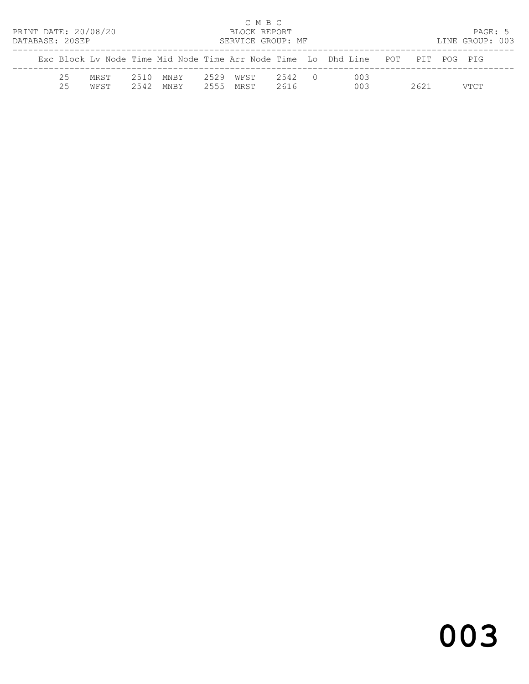|                      |              |              |              |              | C M B C           |                |                                                                    |             |                 |  |
|----------------------|--------------|--------------|--------------|--------------|-------------------|----------------|--------------------------------------------------------------------|-------------|-----------------|--|
| PRINT DATE: 20/08/20 |              |              |              |              | BLOCK REPORT      |                |                                                                    |             | PAGE: 5         |  |
| DATABASE: 20SEP      |              |              |              |              | SERVICE GROUP: MF |                |                                                                    |             | LINE GROUP: 003 |  |
|                      |              |              |              |              |                   |                | Exc Block Ly Node Time Mid Node Time Arr Node Time Lo Dhd Line POT | PIT POG PIG |                 |  |
| 25<br>25             | MRST<br>WFST | 2510<br>2542 | MNBY<br>MNBY | 2529<br>2555 | WFST<br>MRST      | 2542 0<br>2616 | 003<br>003                                                         | 2621        | VTCT            |  |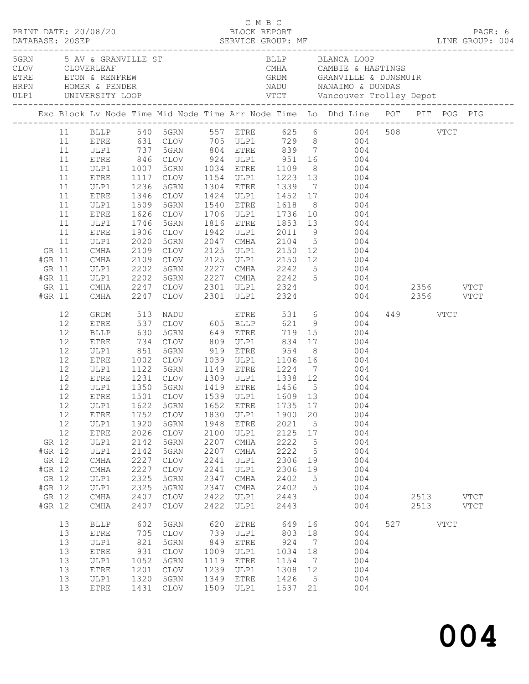|                                                                          |                                                                            |                                                                                                                                                                                              |                                                                                                            |                                                                                                                                                                                                                                                                             |                                                                                      |                                                                                                                      | C M B C                                                                                     |                                               |                                                                                                                                                                                                                                                                                                                                                                                                                                                                                                |               |                          |      |                            |
|--------------------------------------------------------------------------|----------------------------------------------------------------------------|----------------------------------------------------------------------------------------------------------------------------------------------------------------------------------------------|------------------------------------------------------------------------------------------------------------|-----------------------------------------------------------------------------------------------------------------------------------------------------------------------------------------------------------------------------------------------------------------------------|--------------------------------------------------------------------------------------|----------------------------------------------------------------------------------------------------------------------|---------------------------------------------------------------------------------------------|-----------------------------------------------|------------------------------------------------------------------------------------------------------------------------------------------------------------------------------------------------------------------------------------------------------------------------------------------------------------------------------------------------------------------------------------------------------------------------------------------------------------------------------------------------|---------------|--------------------------|------|----------------------------|
|                                                                          |                                                                            | ULP1 UNIVERSITY LOOP<br>______________________                                                                                                                                               |                                                                                                            | 5GRN 5 AV & GRANVILLE ST<br>CLOV     CLOVERLEAF<br>ETRE       ETON & RENFREW<br>HRPN        HOMER & PENDER                                                                                                                                                                  |                                                                                      |                                                                                                                      |                                                                                             |                                               | BLLP BLANCA LOOP<br>CMHA            CAMBIE  &  HASTINGS<br>GRDM                 GRANVILLE   &   DUNSMUIR                                                                                                                                                                                                                                                                                                                                                                                       |               |                          |      |                            |
|                                                                          |                                                                            |                                                                                                                                                                                              |                                                                                                            |                                                                                                                                                                                                                                                                             |                                                                                      |                                                                                                                      |                                                                                             |                                               | Exc Block Lv Node Time Mid Node Time Arr Node Time Lo Dhd Line POT PIT POG PIG                                                                                                                                                                                                                                                                                                                                                                                                                 |               |                          |      |                            |
| GR 11<br>#GR 11<br>GR 11<br>#GR 11<br>GR 11<br>#GR 11                    | 11<br>11<br>11<br>11<br>11<br>11<br>11<br>11<br>11<br>11<br>11<br>11<br>11 | ETRE<br>ULP1<br><b>ETRE</b><br>ULP1<br>ETRE<br>ULP1<br>ETRE<br>ULP1<br>ETRE<br>ULP1<br>ETRE<br>ULP1<br>CMHA<br>CMHA<br>ULP1<br>ULP1<br>CMHA<br>CMHA                                          | 1007<br>1346<br>1509<br>1626<br>1906<br>2020<br>2109<br>2109<br>2202<br>2109<br>2202<br>2247<br>2247       | 5GRN 1034 ETRE<br>CLOV<br>5GRN<br>CLOV<br>5GRN<br>CLOV<br>5GRN<br>CLOV<br>CLOV<br>5GRN<br>5GRN<br>CLOV<br>CLOV                                                                                                                                                              | 2047                                                                                 | 1540 ETRE<br>1706 ULP1<br>1816 ETRE<br>1942 ULP1<br>CMHA<br>2125 ULP1                                                | 2301 ULP1 2324                                                                              |                                               | BLLP 540 5GRN 557 ETRE 625 6 004<br>631 CLOV 705 ULP1 729 8 004<br>737 5GRN 804 ETRE 839 7 004<br>846 CLOV 924 ULP1 951 16 004<br>1109 8 004<br>1117 CLOV 1154 ULP1 1223 13 004<br>1236 5GRN 1304 ETRE 1339 7 004<br>1424 ULP1 1452 17 004<br>1618 8 004<br>$\begin{array}{cccc} 1736 & 10 & & 004 \\ 1853 & 13 & & 004 \\ 2011 & 9 & & 004 \end{array}$<br>2104 5 004<br>2150 12 004<br>2125 ULP1 2150 12 004<br>2227 CMHA 2242 5 004<br>2227 CMHA 2242 5 004<br>2301 ULP1 2324 004 2356 VTCT | 004 2356 VTCT | 508 VTCT                 |      |                            |
| GR 12<br>#GR 12<br>GR 12<br>#GR 12<br>GR 12<br>#GR 12<br>GR 12<br>#GR 12 | 12<br>12<br>12<br>12<br>12<br>12<br>12<br>12<br>12<br>12<br>12<br>12<br>12 | GRDM<br>ETRE<br>BLLP<br>ETRE<br>ULP1<br>ETRE<br>ULP1<br>ETRE<br>ULP1<br><b>ETRE</b><br>ETRE<br>ULP1<br><b>ETRE</b><br>ULP1<br>ULP1<br>$\rm CMA$<br>CMHA<br>ULP1<br>ULP1<br>$\rm CMA$<br>CMHA | 513<br>851<br>1002<br>1752<br>1920<br>2026<br>2142<br>2142<br>2227<br>2227<br>2325<br>2325<br>2407<br>2407 | NADU<br>CLOV 605 BLLP 621<br>537 CLOV<br>630 5GRN<br>734 CLOV<br>5GRN<br>CLOV<br>1501 CLOV<br>12 ULP1 1622 5GRN 1652 ETRE 1735 17<br><b>CLOV</b><br>5GRN<br><b>CLOV</b><br>5GRN<br>5GRN<br>$\mathtt{CLOV}$<br>$\mathtt{CLOV}$<br>5GRN<br>5GRN<br><b>CLOV</b><br><b>CLOV</b> | 1830<br>1948<br>2100<br>2207<br>2207<br>2241<br>2241<br>2347<br>2347<br>2422<br>2422 | 919 ETRE<br>1539 ULP1<br>ULP1<br><b>ETRE</b><br>ULP1<br>CMHA<br>CMHA<br>ULP1<br>ULP1<br>CMHA<br>CMHA<br>ULP1<br>ULP1 | 954<br>1900<br>2021<br>2125<br>2222<br>2222<br>2306<br>2306<br>2402<br>2402<br>2443<br>2443 | 20<br>5<br>17<br>5<br>5<br>19<br>19<br>5<br>5 | ETRE 531 6 004<br>9 004<br>8 004<br>1039 ULP1 1106 16 004<br>1122 5GRN 1149 ETRE 1224 7 004<br>1231 CLOV 1309 ULP1 1338 12 004<br>1350 5GRN 1419 ETRE 1456 5 004<br>1609 13 004<br>004<br>004<br>004<br>004<br>004<br>004<br>004<br>004<br>004<br>004<br>004<br>004                                                                                                                                                                                                                            |               | 449 VTCT<br>2513<br>2513 |      | <b>VTCT</b><br><b>VTCT</b> |
|                                                                          | 13<br>13<br>13<br>13<br>13<br>13<br>13<br>13                               | <b>BLLP</b><br>ETRE<br>ULP1<br>ETRE<br>ULP1<br><b>ETRE</b><br>ULP1<br>ETRE                                                                                                                   | 602<br>705<br>821<br>931<br>1052<br>1201<br>1320<br>1431                                                   | 5GRN<br><b>CLOV</b><br>5GRN<br><b>CLOV</b><br>5GRN<br><b>CLOV</b><br>5GRN<br><b>CLOV</b>                                                                                                                                                                                    | 620<br>739<br>849<br>1009<br>1119<br>1239<br>1349<br>1509                            | <b>ETRE</b><br>ULP1<br><b>ETRE</b><br>ULP1<br><b>ETRE</b><br>ULP1<br><b>ETRE</b><br>ULP1                             | 649<br>803<br>924<br>1034<br>1154<br>1308<br>1426<br>1537                                   | 16<br>18<br>7<br>18<br>7<br>12<br>5<br>21     | 004<br>004<br>004<br>004<br>004<br>004<br>004<br>004                                                                                                                                                                                                                                                                                                                                                                                                                                           | 527           |                          | VTCT |                            |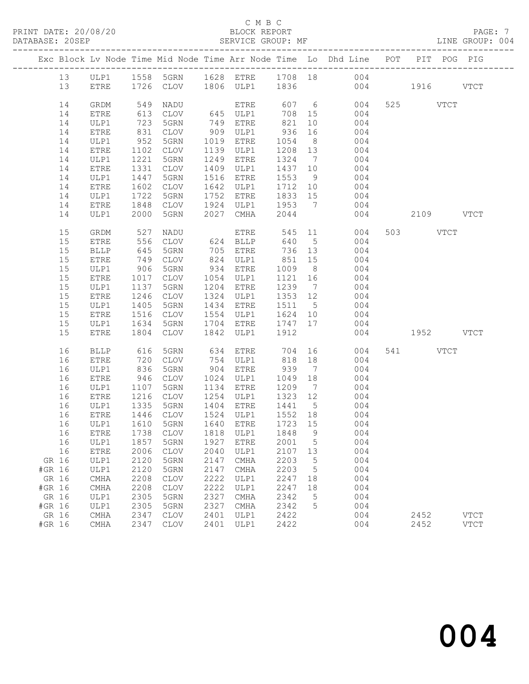# C M B C<br>BLOCK REPORT

LINE GROUP: 004

|          |              |              |                          |      |                              |                   |                 | Exc Block Lv Node Time Mid Node Time Arr Node Time Lo Dhd Line POT |     |           | PIT POG PIG |
|----------|--------------|--------------|--------------------------|------|------------------------------|-------------------|-----------------|--------------------------------------------------------------------|-----|-----------|-------------|
| 13       |              |              |                          |      |                              |                   |                 | ULP1 1558 5GRN 1628 ETRE 1708 18 004                               |     |           |             |
| 13       | ETRE         |              | 1726 CLOV 1806 ULP1 1836 |      |                              |                   |                 | 004 1916 VTCT                                                      |     |           |             |
| 14       | GRDM         | 549          | NADU                     |      |                              | 607 6             |                 | 004                                                                |     | 525 VTCT  |             |
| 14       | ETRE         | 613          | CLOV                     |      | ETRE<br>645 ULP1<br>749 ETRE | 708 15            |                 | 004                                                                |     |           |             |
| 14       | ULP1         | 723          | 5GRN                     |      |                              | 821               | 10              | 004                                                                |     |           |             |
| 14       | ETRE         | 831          | CLOV                     |      | 909 ULP1                     | 936               | 16              | 004                                                                |     |           |             |
| 14       | ULP1         | 952          | 5GRN                     |      | 1019 ETRE                    | 1054 8            |                 | 004                                                                |     |           |             |
| 14       | ETRE         | 1102         | CLOV                     |      | 1139 ULP1                    | 1208 13           |                 | 004                                                                |     |           |             |
| 14       | ULP1         | 1221         | 5GRN                     | 1249 | ETRE                         | 1324 7            |                 | 004                                                                |     |           |             |
| 14       | ETRE         | 1331         | CLOV                     |      | 1409 ULP1                    | 1437 10           |                 | 004                                                                |     |           |             |
| 14       | ULP1         | 1447         | 5GRN                     |      | 1516 ETRE                    | 1553              | 9               | 004                                                                |     |           |             |
| 14       | ETRE         | 1602         | CLOV                     |      | 1642 ULP1                    | 1712 10           |                 | $004$<br>$004$                                                     |     |           |             |
| 14       | ULP1         | 1722         | 5GRN                     |      | 1752 ETRE                    | 1833 15           |                 |                                                                    |     |           |             |
| 14       | ETRE         | 1848         | CLOV                     |      | 1924 ULP1 1953 7             |                   |                 | 004                                                                |     |           |             |
| 14       | ULP1         | 2000         | 5GRN                     | 2027 | CMHA                         | 2044              |                 |                                                                    | 004 | 2109 VTCT |             |
| 15       | GRDM         | 527          | NADU                     |      | ETRE                         |                   |                 | 545 11<br>004                                                      |     | 503 VTCT  |             |
| 15       | ETRE         | 556          | CLOV                     |      | 624 BLLP                     | 640               |                 | 5 <sub>5</sub><br>004                                              |     |           |             |
| 15       | BLLP         | 645          | 5GRN                     |      | 705 ETRE                     | 736 13            |                 | 004                                                                |     |           |             |
| 15       | ETRE         | 749          | CLOV                     |      | 824 ULP1<br>934 ETRE         | 851               | 15              | 004                                                                |     |           |             |
| 15       | ULP1         | 906          | 5GRN                     |      |                              | 1009              | 8 <sup>8</sup>  | 004                                                                |     |           |             |
| 15       | ETRE         | 1017         | CLOV                     |      | 1054 ULP1                    | 1121              | 16              | 004                                                                |     |           |             |
| 15       | ULP1         | 1137         | 5GRN                     |      | 1204 ETRE                    | 1239 7            |                 | 004                                                                |     |           |             |
| 15       | ETRE         | 1246         | CLOV                     |      | 1324 ULP1                    | 1353 12           |                 | 004                                                                |     |           |             |
| 15       | ULP1         | 1405         | 5GRN                     |      | 1434 ETRE                    | 1511 5            |                 | 004                                                                |     |           |             |
| 15       | ETRE         | 1516         | CLOV                     |      | 1554 ULP1                    | 1624 10           |                 | 004                                                                |     |           |             |
| 15<br>15 | ULP1<br>ETRE | 1634<br>1804 | 5GRN<br>CLOV             | 1842 | 1704 ETRE<br>ULP1            | 1747 17<br>1912   |                 | 004<br>004                                                         |     | 1952 VTCT |             |
|          |              |              |                          |      |                              |                   |                 |                                                                    |     |           |             |
| 16       | <b>BLLP</b>  | 616          | 5GRN                     | 634  | ETRE                         | 704               |                 | 004                                                                |     | 541 VTCT  |             |
| 16       | ETRE         | 720          | CLOV                     |      | 754 ULP1                     | 818               | 18              | 004                                                                |     |           |             |
| 16       | ULP1         | 836          | 5GRN                     |      | 904 ETRE                     | 939 7             |                 | 004                                                                |     |           |             |
| 16       | ETRE         | 946          | CLOV                     |      | 1024 ULP1                    | 1049 18           |                 | 004                                                                |     |           |             |
| 16<br>16 | ULP1         | 1107<br>1216 | 5GRN<br>CLOV             |      | 1134 ETRE<br>1254 ULP1       | 1209 7<br>1323 12 |                 | 004<br>004                                                         |     |           |             |
| 16       | ETRE<br>ULP1 | 1335         | 5GRN                     |      | 1404 ETRE                    | 1441 5            |                 | 004                                                                |     |           |             |
| 16       | ETRE         |              | CLOV                     |      | 1524 ULP1                    | 1552 18           |                 | 004                                                                |     |           |             |
| 16       | ULP1         | 1446<br>1610 | 5GRN                     |      | 1640 ETRE                    | 1723 15           |                 | 004                                                                |     |           |             |
|          |              |              |                          |      |                              |                   |                 | 16 ETRE 1738 CLOV 1818 ULP1 1848 9 004                             |     |           |             |
| 16       | ULP1         | 1857         | 5GRN                     | 1927 | <b>ETRE</b>                  | 2001              | 5               | 004                                                                |     |           |             |
| 16       | ETRE         | 2006         | <b>CLOV</b>              | 2040 | ULP1                         | 2107              | 13              | 004                                                                |     |           |             |
| GR 16    | ULP1         | 2120         | 5GRN                     | 2147 | CMHA                         | 2203              | $5\phantom{.0}$ | 004                                                                |     |           |             |
| #GR 16   | ULP1         | 2120         | 5GRN                     | 2147 | CMHA                         | 2203              | 5               | 004                                                                |     |           |             |
| GR 16    | CMHA         | 2208         | <b>CLOV</b>              | 2222 | ULP1                         | 2247              | 18              | 004                                                                |     |           |             |
| #GR 16   | CMHA         | 2208         | <b>CLOV</b>              | 2222 | ULP1                         | 2247              | 18              | 004                                                                |     |           |             |
| GR 16    | ULP1         | 2305         | 5GRN                     | 2327 | CMHA                         | 2342              | 5               | 004                                                                |     |           |             |
| #GR 16   | ULP1         | 2305         | 5GRN                     | 2327 | CMHA                         | 2342              | 5               | 004                                                                |     |           |             |
| GR 16    | CMHA         | 2347         | <b>CLOV</b>              | 2401 | ULP1                         | 2422              |                 | 004                                                                |     | 2452      | <b>VTCT</b> |
| #GR 16   | CMHA         | 2347         | <b>CLOV</b>              | 2401 | ULP1                         | 2422              |                 | 004                                                                |     | 2452      | <b>VTCT</b> |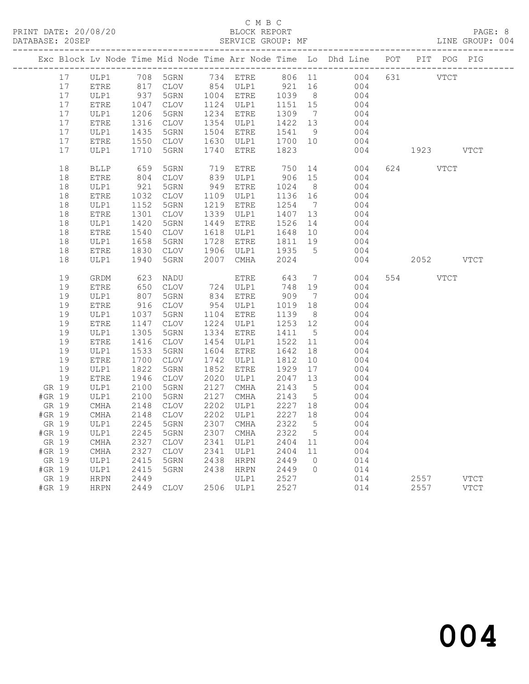# C M B C<br>BLOCK REPORT

LINE GROUP: 004

|                 |                                |              |                 |      |                      |                  |                 | Exc Block Lv Node Time Mid Node Time Arr Node Time Lo Dhd Line POT PIT POG PIG |                                                                                                                                                                                                                                 |                     |
|-----------------|--------------------------------|--------------|-----------------|------|----------------------|------------------|-----------------|--------------------------------------------------------------------------------|---------------------------------------------------------------------------------------------------------------------------------------------------------------------------------------------------------------------------------|---------------------|
| 17              | ULP1 708 5GRN<br>ETRE 817 CLOV |              |                 |      | 734 ETRE             |                  |                 | 806 11<br>004                                                                  | 631 VTCT                                                                                                                                                                                                                        |                     |
| 17              |                                |              |                 |      | $854$ ULP1           | 921              | 16              | 004                                                                            |                                                                                                                                                                                                                                 |                     |
| 17              | ULP1                           | 937<br>1047  | 5GRN            |      | 1004 ETRE            | 1039<br>1151     | 8 <sup>8</sup>  | 004                                                                            |                                                                                                                                                                                                                                 |                     |
| 17              | ETRE                           |              | CLOV            |      | 1124 ULP1            |                  | 15              | 004                                                                            |                                                                                                                                                                                                                                 |                     |
| 17              | ULP1                           | 1206<br>1316 | 5GRN            |      | 1234 ETRE            | 1309             | $\overline{7}$  | 004                                                                            |                                                                                                                                                                                                                                 |                     |
| 17              | ETRE                           |              | CLOV            |      | 1354 ULP1            | 1422 13          |                 | 004                                                                            |                                                                                                                                                                                                                                 |                     |
| 17              | ULP1                           | 1435         | 5GRN            |      | 1504 ETRE            | 1541             | 9               | 004                                                                            |                                                                                                                                                                                                                                 |                     |
| 17<br>17        | ETRE                           | 1550         | CLOV            | 1740 | 1630 ULP1            | 1700 10          |                 | 004<br>004                                                                     |                                                                                                                                                                                                                                 | VTCT                |
|                 | ULP1                           | 1710         | 5GRN            |      | ETRE                 | 1823             |                 |                                                                                | 1923 — 1923 — 1924 — 1925 — 1926 — 1927 — 1928 — 1928 — 1928 — 1928 — 1928 — 1928 — 1928 — 1928 — 1928 — 1928 — 1928 — 1928 — 1928 — 1928 — 1928 — 1928 — 1928 — 1928 — 1928 — 1928 — 1928 — 1928 — 1928 — 1928 — 1928 — 1928 — |                     |
| 18              | <b>BLLP</b>                    | 659<br>804   | 5GRN            |      | 719 ETRE<br>839 ULP1 | 750              | 14              | 004                                                                            | 624<br><b>VTCT</b>                                                                                                                                                                                                              |                     |
| 18              | ETRE                           |              | CLOV            |      |                      | 906              | 15              | 004                                                                            |                                                                                                                                                                                                                                 |                     |
| 18              | ULP1                           | 921          | 5GRN            |      | 949 ETRE             | 1024             | 8 <sup>8</sup>  | 004                                                                            |                                                                                                                                                                                                                                 |                     |
| 18              | ${\tt ETRE}$                   | 1032         | CLOV            |      | 1109 ULP1            | 1136 16          |                 | 004                                                                            |                                                                                                                                                                                                                                 |                     |
| 18              | ULP1                           | 1152         | 5GRN            |      | 1219 ETRE            | 1254             | $\overline{7}$  | 004                                                                            |                                                                                                                                                                                                                                 |                     |
| 18              | ETRE                           | 1301         | CLOV            |      | 1339 ULP1            | 1407 13          |                 | 004                                                                            |                                                                                                                                                                                                                                 |                     |
| 18              | ULP1                           | 1420         | 5GRN            |      | 1449 ETRE            | 1526             | 14              | 004                                                                            |                                                                                                                                                                                                                                 |                     |
| 18              | ETRE                           | 1540         | CLOV            |      | 1618 ULP1            | 1648             | 10              | 004                                                                            |                                                                                                                                                                                                                                 |                     |
| 18              | ULP1                           | 1658         | 5GRN            |      | 1728 ETRE            | 1811             | 19              | 004                                                                            |                                                                                                                                                                                                                                 |                     |
| 18              | ETRE                           | 1830         | CLOV            |      | 1906 ULP1            | 1935             | $5^{\circ}$     | 004                                                                            |                                                                                                                                                                                                                                 |                     |
| 18              | ULP1                           | 1940         | 5GRN            | 2007 | CMHA                 | 2024             |                 | 004                                                                            | 2052 VTCT                                                                                                                                                                                                                       |                     |
| 19              | GRDM                           | 623          | NADU            |      | ETRE                 | 643              | $\overline{7}$  | 004                                                                            | 554<br><b>VTCT</b>                                                                                                                                                                                                              |                     |
| 19              | ETRE                           | 650          | CLOV            |      | 724 ULP1<br>834 ETRE | 748              | 19              | 004                                                                            |                                                                                                                                                                                                                                 |                     |
| 19              | ULP1                           | 807          | 5GRN            |      |                      | 909              | $\overline{7}$  | 004                                                                            |                                                                                                                                                                                                                                 |                     |
| 19              |                                | 916          | CLOV            |      | 954 ULP1             | 1019             | 18              | 004                                                                            |                                                                                                                                                                                                                                 |                     |
|                 | ETRE                           |              |                 |      |                      |                  |                 |                                                                                |                                                                                                                                                                                                                                 |                     |
| 19              | ULP1                           | 1037         | 5GRN            |      | 1104 ETRE            | 1139             | 8 <sup>8</sup>  | 004                                                                            |                                                                                                                                                                                                                                 |                     |
| 19              | ETRE                           | 1147         | CLOV            |      | 1224 ULP1            | 1253             | 12              | 004                                                                            |                                                                                                                                                                                                                                 |                     |
| 19              | ULP1                           | 1305         | 5GRN            |      | 1334 ETRE            | 1411             | $5\overline{)}$ | 004                                                                            |                                                                                                                                                                                                                                 |                     |
| 19              | ETRE                           | 1416         | CLOV            |      | 1454 ULP1            | 1522             | 11              | 004                                                                            |                                                                                                                                                                                                                                 |                     |
| 19              | ULP1                           | 1533         | 5GRN            |      | 1604 ETRE            | 1642             | 18              | 004                                                                            |                                                                                                                                                                                                                                 |                     |
| 19              | ETRE                           | 1700         | CLOV            |      | 1742 ULP1            | 1812             | 10              | 004                                                                            |                                                                                                                                                                                                                                 |                     |
| 19              | ULP1                           | 1822         | 5GRN            |      | 1852 ETRE            | 1929             | 17              | 004                                                                            |                                                                                                                                                                                                                                 |                     |
| 19              | ${\tt ETRE}$                   | 1946         | CLOV            | 2020 | ULP1                 | 2047             | 13              | 004                                                                            |                                                                                                                                                                                                                                 |                     |
| GR 19           | ULP1                           | 2100         | 5GRN            |      | 2127 CMHA            | 2143             | 5               | 004                                                                            |                                                                                                                                                                                                                                 |                     |
| #GR 19          | ULP1                           | 2100         | 5GRN            |      | 2127 CMHA            | 2143             | $5\overline{)}$ | 004                                                                            |                                                                                                                                                                                                                                 |                     |
| GR 19           | $\rm CMHz$                     | 2148         | CLOV            |      | 2202 ULP1            | 2227 18          |                 | 004                                                                            |                                                                                                                                                                                                                                 |                     |
| #GR 19          | CMHA                           | 2148         | $\mathtt{CLOV}$ |      | 2202 ULP1            | 2227             | 18              | 004                                                                            |                                                                                                                                                                                                                                 |                     |
| GR 19           | ULP1                           | 2245         | 5GRN            | 2307 | CMHA                 | 2322             | 5               | 004                                                                            |                                                                                                                                                                                                                                 |                     |
| #GR 19          | ULP1                           | 2245         | 5GRN            |      | 2307 CMHA            | 2322             | 5               | 004                                                                            |                                                                                                                                                                                                                                 |                     |
| GR 19           | $\mathop{\rm CMA}$             | 2327         | CLOV            | 2341 | ULP1                 | 2404             | 11              | 004                                                                            |                                                                                                                                                                                                                                 |                     |
| #GR 19          | CMHA                           | 2327         | CLOV            | 2341 | ULP1                 | 2404             | 11              | 004                                                                            |                                                                                                                                                                                                                                 |                     |
| GR 19           | ULP1                           | 2415         | 5GRN            | 2438 | HRPN                 | 2449             | $\overline{0}$  | 014                                                                            |                                                                                                                                                                                                                                 |                     |
| #GR 19          | ULP1                           | 2415         | 5GRN            |      | 2438 HRPN            | 2449             | $\overline{0}$  | 014                                                                            |                                                                                                                                                                                                                                 |                     |
| GR 19<br>#GR 19 | HRPN<br>HRPN                   | 2449         | 2449 CLOV       |      | ULP1<br>2506 ULP1    | $2527$<br>$2527$ |                 | 014<br>014                                                                     | 2557<br>2557                                                                                                                                                                                                                    | VTCT<br><b>VTCT</b> |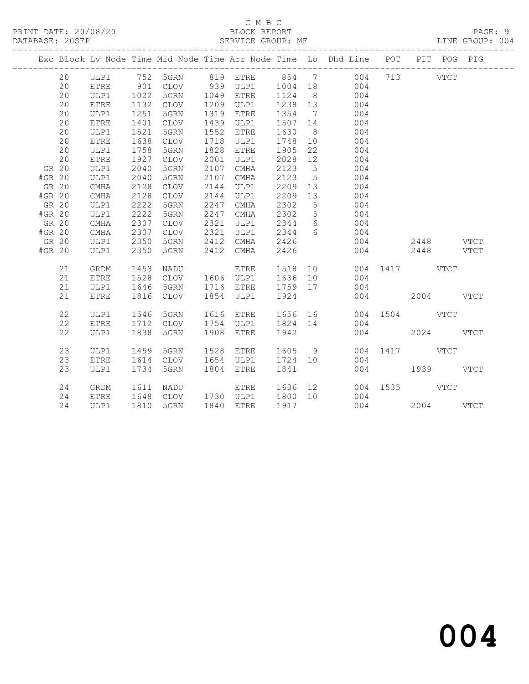### C M B C<br>BLOCK REPORT SERVICE GROUP: MF

|        |       |             |                  |           |      |                        |         |                 | Exc Block Lv Node Time Mid Node Time Arr Node Time Lo Dhd Line POT PIT POG PIG |               |             |  |
|--------|-------|-------------|------------------|-----------|------|------------------------|---------|-----------------|--------------------------------------------------------------------------------|---------------|-------------|--|
|        | 20    | ULP1        |                  |           |      |                        |         |                 | 752 5GRN 819 ETRE 854 7 004                                                    |               | 713 VTCT    |  |
|        | 20    | <b>ETRE</b> |                  | 901 CLOV  |      |                        |         |                 | 939 ULP1 1004 18 004                                                           |               |             |  |
|        | 20    | ULP1        | 1022<br>1132     | 5GRN      |      | 1049 ETRE              | 1124 8  |                 | 004                                                                            |               |             |  |
|        | 20    | <b>ETRE</b> |                  | CLOV      |      | 1209 ULP1              | 1238 13 |                 | $004$<br>$004$                                                                 |               |             |  |
|        | 20    | ULP1        | $\frac{1}{1251}$ | 5GRN      |      | 1319 ETRE              | 1354 7  |                 |                                                                                |               |             |  |
|        | 20    | ETRE        | 1401             | CLOV      |      | 1439 ULP1              | 1507 14 |                 | $004$                                                                          |               |             |  |
|        | 20    | ULP1        | 1521             | 5GRN      | 1552 | ETRE                   | 1630    | 8 <sup>8</sup>  | 004                                                                            |               |             |  |
|        | 20    | ETRE        | 1638             | CLOV      | 1718 | ULP1                   | 1748    |                 | 10 004                                                                         |               |             |  |
|        | 20    | ULP1        | 1758             | 5GRN      |      | 1828 ETRE              | 1905    | 22              | 004                                                                            |               |             |  |
|        | 20    | <b>ETRE</b> | 1927             | CLOV      | 2001 | ULP1                   | 2028    | 12              | 004                                                                            |               |             |  |
|        | GR 20 | ULP1        | 2040             | 5GRN      | 2107 | CMHA                   | 2123 5  |                 | $004$<br>$004$                                                                 |               |             |  |
| #GR 20 |       | ULP1        | 2040             | 5GRN      | 2107 | CMHA                   | 2123 5  |                 |                                                                                |               |             |  |
| GR 20  |       | CMHA        | 2128             | CLOV      | 2144 | ULP1                   | 2209    | 13              | $\begin{array}{c} 0.004 \\ 0.004 \end{array}$                                  |               |             |  |
| #GR 20 |       | CMHA        | 2128             | CLOV      | 2144 | ULP1                   | 2209 13 |                 | 004                                                                            |               |             |  |
| GR 20  |       | ULP1        | 2222             | 5GRN      | 2247 | CMHA                   | 2302    | $5\overline{)}$ | 004                                                                            |               |             |  |
| #GR 20 |       | ULP1        | 2222             | 5GRN      | 2247 | CMHA                   | 2302    |                 | 5 004                                                                          |               |             |  |
| GR 20  |       | CMHA        | 2307             | CLOV      | 2321 | ULP1                   |         |                 | 2344 6 004                                                                     |               |             |  |
| #GR 20 |       | CMHA        | 2307             | CLOV      | 2321 | ULP1                   | 2344 6  |                 | 004                                                                            |               |             |  |
| GR 20  |       | ULP1        | 2350<br>2350     | 5GRN      |      | 2412 CMHA<br>2412 CMHA | 2426    |                 | 004                                                                            |               | $2448$ VTCT |  |
| #GR 20 |       | ULP1        | 2350             | 5GRN      |      |                        | 2426    |                 |                                                                                | 004           | 2448 VTCT   |  |
|        | 21    | GRDM        | 1453             | NADU      |      | ETRE                   | 1518 10 |                 |                                                                                | 004 1417 VTCT |             |  |
|        | 21    | <b>ETRE</b> | 1528             |           |      |                        |         |                 | CLOV 1606 ULP1 1636 10 004                                                     |               |             |  |
|        | 21    | ULP1        | 1646             |           |      |                        |         |                 | 5GRN 1716 ETRE 1759 17 004                                                     |               |             |  |
|        | 21    | ETRE        |                  | 1816 CLOV |      | 1854 ULP1 1924         |         |                 |                                                                                | 004 2004 VTCT |             |  |
|        | 22    | ULP1        | 1546             | 5GRN      |      | 1616 ETRE              |         |                 | 1656 16 004 1504 VTCT                                                          |               |             |  |
|        | 22    | <b>ETRE</b> |                  | 1712 CLOV |      | 1754 ULP1              | 1824 14 |                 | 004                                                                            |               |             |  |
|        | 22    | ULP1        | 1838             | 5GRN      |      | 1908 ETRE              | 1942    |                 |                                                                                | 004           | 2024 VTCT   |  |
|        | 23    | ULP1        | 1459             | 5GRN      | 1528 | ETRE                   | 1605 9  |                 |                                                                                | 004 1417 VTCT |             |  |
|        | 23    | <b>ETRE</b> | 1614             | CLOV      |      | 1654 ULP1 1724 10      |         |                 | 004                                                                            |               |             |  |
|        | 23    | ULP1        | 1734             | 5GRN      |      | 1804 ETRE              | 1841    |                 |                                                                                | 004 1939 VTCT |             |  |
|        | 24    | GRDM        |                  |           |      |                        |         |                 |                                                                                |               |             |  |
|        | 24    | ETRE        |                  |           |      |                        |         |                 |                                                                                |               |             |  |
|        | 24    | ULP1        |                  | 1810 5GRN |      | 1840 ETRE              | 1917    |                 | $004$<br>$004$                                                                 |               | 2004 VTCT   |  |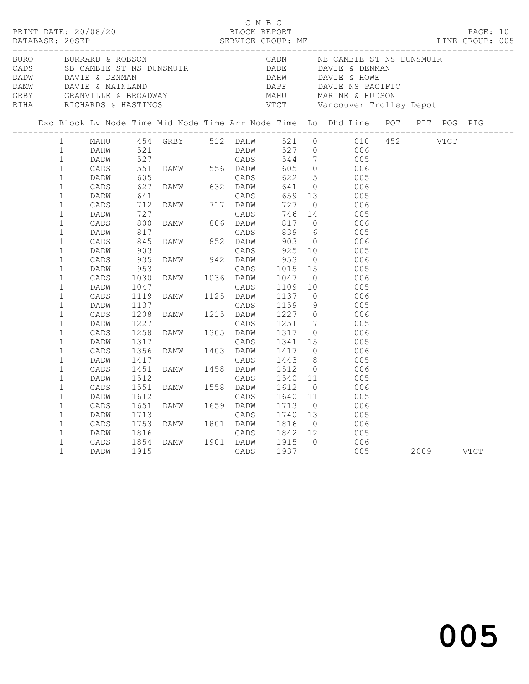|  |                                                                                                                                                                                                                                                                                                                                                                                                                                                                                          | BURO BURRARD & ROBSON                                                                                                                                                                                                                                   |                                                                                                                                                                               |                                                                                                                                                                                                                                                                                                                                  |                                                                                      |                                                                                                                                                                                                                                     |                                                                                                                                                                                                                                                                                                                                                                                                        | CADN NB CAMBIE ST NS DUNSMUIR<br>CADS SE CAMBIE ST NS DUNSMUIR<br>DADW DAVIE & DENMAN DAVIE & MAINLAND<br>DADW DAVIE & MAINLAND DAPE DAVIE & HOWE<br>CREY GRANVILLE & BROADWAY MAHU MARINE & HUDSON<br>RIHA RICHARDS & HASTINGS VTCT Vancouver Trolley Depot |  |  |  |
|--|------------------------------------------------------------------------------------------------------------------------------------------------------------------------------------------------------------------------------------------------------------------------------------------------------------------------------------------------------------------------------------------------------------------------------------------------------------------------------------------|---------------------------------------------------------------------------------------------------------------------------------------------------------------------------------------------------------------------------------------------------------|-------------------------------------------------------------------------------------------------------------------------------------------------------------------------------|----------------------------------------------------------------------------------------------------------------------------------------------------------------------------------------------------------------------------------------------------------------------------------------------------------------------------------|--------------------------------------------------------------------------------------|-------------------------------------------------------------------------------------------------------------------------------------------------------------------------------------------------------------------------------------|--------------------------------------------------------------------------------------------------------------------------------------------------------------------------------------------------------------------------------------------------------------------------------------------------------------------------------------------------------------------------------------------------------|--------------------------------------------------------------------------------------------------------------------------------------------------------------------------------------------------------------------------------------------------------------|--|--|--|
|  |                                                                                                                                                                                                                                                                                                                                                                                                                                                                                          |                                                                                                                                                                                                                                                         |                                                                                                                                                                               |                                                                                                                                                                                                                                                                                                                                  |                                                                                      |                                                                                                                                                                                                                                     |                                                                                                                                                                                                                                                                                                                                                                                                        | Exc Block Lv Node Time Mid Node Time Arr Node Time Lo Dhd Line POT PIT POG PIG                                                                                                                                                                               |  |  |  |
|  | $1 \quad$<br>$\mathbf{1}$<br>$\mathbf{1}$<br>$\mathbf{1}$<br>$\mathbf 1$<br>$1\,$<br>$\mathbf 1$<br>$\mathbf{1}$<br>$\mathbf 1$<br>$\mathbf{1}$<br>$\mathbf{1}$<br>$\mathbf{1}$<br>$\mathbf 1$<br>$\mathbf{1}$<br>$\mathbf 1$<br>$\mathbf 1$<br>$\mathbf{1}$<br>$\mathbf{1}$<br>$\mathbf 1$<br>$\mathbf{1}$<br>$\mathbf{1}$<br>$\mathbf 1$<br>$\mathbf{1}$<br>$\mathbf 1$<br>$\mathbf 1$<br>$\mathbf{1}$<br>$\mathbf{1}$<br>$\mathbf{1}$<br>$\mathbf{1}$<br>$\mathbf{1}$<br>$\mathbf{1}$ | DAHW<br>DADW<br>CADS<br>DADW<br>CADS<br>DADW<br>CADS<br>DADW<br>CADS<br>DADW<br>CADS<br>DADW<br>$\mathtt{CADS}$<br>DADW<br>CADS<br>DADW<br>CADS<br>DADW<br>CADS<br>DADW<br>CADS<br>DADW<br>CADS<br>DADW<br>CADS<br>DADW<br>CADS<br>DADW<br>CADS<br>DADW | 727<br>800<br>817<br>845<br>903<br>935<br>953<br>1030<br>1047<br>1119<br>1137<br>1208<br>1227<br>1258<br>1317<br>1356<br>1417<br>1451<br>1512<br>1551<br>1612<br>1651<br>1713 | MAHU 454 GRBY 512 DAHW 521 0<br>521 DADW<br>521 DADW CADS<br>551 DAMW 556 DADW<br>605 CADS<br>627 DAMW 632 DADW<br>641 CADS<br>712 DAMW 717 DADW<br>727<br>DAMW 806 DADW<br>DAMW 1036 DADW<br>DAMW 1125 DADW<br>DAMW 1215 DADW<br>DAMW 1305 DADW<br>DAMW 1403 DADW<br>DAMW 1458 DADW<br>DAMW 1558 DADW<br>CADS<br>DAMW 1659 DADW | DADW<br>CADS<br>CADS<br>CADS<br>CADS<br>CADS<br>CADS<br>CADS<br>CADS<br>CADS<br>CADS | 544<br>605<br>622<br>641<br>659<br>727<br>746<br>817<br>839<br>903<br>925<br>953<br>1015<br>1047<br>1109<br>1137<br>1159<br>1227<br>1251<br>1317<br>1341 15<br>1417<br>1443<br>1512<br>1540<br>1612<br>1640<br>1713<br>1740<br>1816 | $7\overline{ }$<br>$\overline{0}$<br>5 <sup>5</sup><br>$\overline{0}$<br>13<br>$\overline{0}$<br>14<br>$\overline{0}$<br>$6\overline{6}$<br>$\overline{0}$<br>10<br>$\overline{0}$<br>15<br>$\overline{0}$<br>10<br>$\overline{0}$<br>9<br>$\overline{0}$<br>$7\overline{ }$<br>$\bigcirc$<br>$\overline{0}$<br>8 <sup>1</sup><br>$\overline{0}$<br>11<br>$\overline{0}$<br>11<br>$\overline{0}$<br>13 | 010 452 VTCT<br>527 0 006<br>005<br>006<br>005<br>006<br>005<br>006<br>005<br>006<br>005<br>006<br>005<br>006<br>005<br>006<br>005<br>006<br>005<br>- 006<br>005<br>006<br>005<br>006<br>005<br>006<br>005<br>006<br>005<br>006<br>005                       |  |  |  |
|  | $\mathbf 1$<br>$\mathbf{1}$<br>1<br>$\mathbf 1$                                                                                                                                                                                                                                                                                                                                                                                                                                          | $\mathtt{CADS}$<br>DADW<br>CADS<br>DADW                                                                                                                                                                                                                 | 1753<br>1816<br>1854<br>1915                                                                                                                                                  | DAMW 1801 DADW<br>CADS<br>DAMW 1901 DADW                                                                                                                                                                                                                                                                                         | CADS<br>CADS                                                                         | 1842 12<br>1915 0<br>1937                                                                                                                                                                                                           | $\overline{0}$                                                                                                                                                                                                                                                                                                                                                                                         | 006<br>005<br>006<br>005 2009 VTCT                                                                                                                                                                                                                           |  |  |  |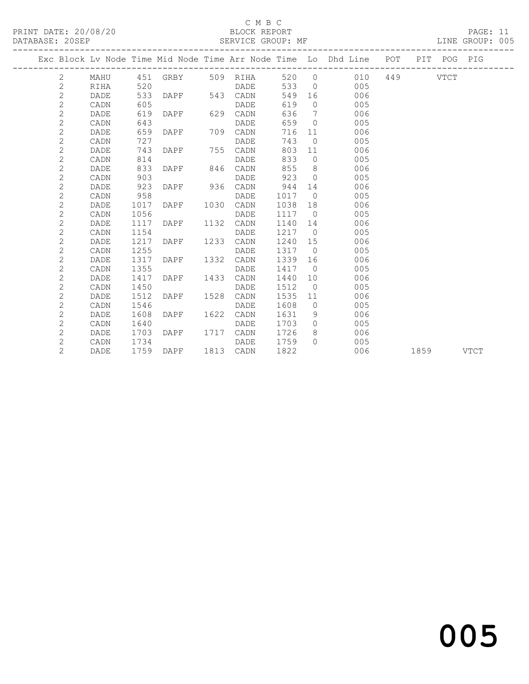## C M B C<br>BLOCK REPORT

PAGE: 11<br>LINE GROUP: 005

|  |                |             |      |                   |      |           |      |                | Exc Block Lv Node Time Mid Node Time Arr Node Time Lo Dhd Line POT |     |      | PIT POG PIG |             |
|--|----------------|-------------|------|-------------------|------|-----------|------|----------------|--------------------------------------------------------------------|-----|------|-------------|-------------|
|  | 2              | MAHU        |      | 451 GRBY 509 RIHA |      |           | 520  | $\circ$        | 010                                                                | 449 |      | VTCT        |             |
|  | $\mathbf{2}$   | RIHA        | 520  |                   |      | DADE      | 533  | $\bigcirc$     | 005                                                                |     |      |             |             |
|  | $\mathbf{2}$   | DADE        | 533  | DAPF              |      | 543 CADN  | 549  | 16             | 006                                                                |     |      |             |             |
|  | $\mathbf{2}$   | CADN        | 605  |                   |      | DADE      | 619  | $\Omega$       | 005                                                                |     |      |             |             |
|  | $\mathbf{2}$   | DADE        | 619  | DAPF              | 629  | CADN      | 636  | 7              | 006                                                                |     |      |             |             |
|  | $\mathbf{2}$   | CADN        | 643  |                   |      | DADE      | 659  | $\bigcirc$     | 005                                                                |     |      |             |             |
|  | $\mathbf{2}$   | DADE        | 659  | DAPF              | 709  | CADN      | 716  | 11             | 006                                                                |     |      |             |             |
|  | $\mathbf{2}$   | CADN        | 727  |                   |      | DADE      | 743  | $\overline{0}$ | 005                                                                |     |      |             |             |
|  | $\mathbf{2}$   | DADE        | 743  | DAPF              | 755  | CADN      | 803  | 11             | 006                                                                |     |      |             |             |
|  | 2              | CADN        | 814  |                   |      | DADE      | 833  | $\Omega$       | 005                                                                |     |      |             |             |
|  | $\mathbf{2}$   | DADE        | 833  | DAPF              | 846  | CADN      | 855  | 8              | 006                                                                |     |      |             |             |
|  | 2              | CADN        | 903  |                   |      | DADE      | 923  | $\bigcirc$     | 005                                                                |     |      |             |             |
|  | $\mathbf{2}$   | DADE        | 923  | DAPF              | 936  | CADN      | 944  | 14             | 006                                                                |     |      |             |             |
|  | $\mathbf{2}$   | CADN        | 958  |                   |      | DADE      | 1017 | $\overline{0}$ | 005                                                                |     |      |             |             |
|  | $\mathbf{2}$   | <b>DADE</b> | 1017 | DAPF              | 1030 | CADN      | 1038 | 18             | 006                                                                |     |      |             |             |
|  | $\mathbf{2}$   | CADN        | 1056 |                   |      | DADE      | 1117 | $\bigcirc$     | 005                                                                |     |      |             |             |
|  | $\overline{c}$ | DADE        | 1117 | DAPF              | 1132 | CADN      | 1140 | 14             | 006                                                                |     |      |             |             |
|  | $\mathbf{2}$   | CADN        | 1154 |                   |      | DADE      | 1217 | $\overline{0}$ | 005                                                                |     |      |             |             |
|  | $\overline{c}$ | DADE        | 1217 | DAPF              | 1233 | CADN      | 1240 | 15             | 006                                                                |     |      |             |             |
|  | $\overline{2}$ | CADN        | 1255 |                   |      | DADE      | 1317 | $\bigcirc$     | 005                                                                |     |      |             |             |
|  | $\mathbf{2}$   | DADE        | 1317 | DAPF              | 1332 | CADN      | 1339 | 16             | 006                                                                |     |      |             |             |
|  | $\mathbf{2}$   | CADN        | 1355 |                   |      | DADE      | 1417 | $\overline{0}$ | 005                                                                |     |      |             |             |
|  | $\mathbf{2}$   | DADE        | 1417 | DAPF              | 1433 | CADN      | 1440 | 10             | 006                                                                |     |      |             |             |
|  | $\overline{c}$ | CADN        | 1450 |                   |      | DADE      | 1512 | $\overline{0}$ | 005                                                                |     |      |             |             |
|  | 2              | DADE        | 1512 | DAPF              | 1528 | CADN      | 1535 | 11             | 006                                                                |     |      |             |             |
|  | $\mathbf{2}$   | CADN        | 1546 |                   |      | DADE      | 1608 | $\overline{0}$ | 005                                                                |     |      |             |             |
|  | $\mathbf{2}$   | DADE        | 1608 | DAPF              | 1622 | CADN      | 1631 | 9              | 006                                                                |     |      |             |             |
|  | $\mathbf{2}$   | CADN        | 1640 |                   |      | DADE      | 1703 | $\circ$        | 005                                                                |     |      |             |             |
|  | $\overline{2}$ | DADE        | 1703 | DAPF              | 1717 | CADN      | 1726 | 8              | 006                                                                |     |      |             |             |
|  | $\overline{2}$ | CADN        | 1734 |                   |      | DADE      | 1759 | $\Omega$       | 005                                                                |     |      |             |             |
|  | $\overline{2}$ | DADE        | 1759 | DAPF              |      | 1813 CADN | 1822 |                | 006                                                                |     | 1859 |             | <b>VTCT</b> |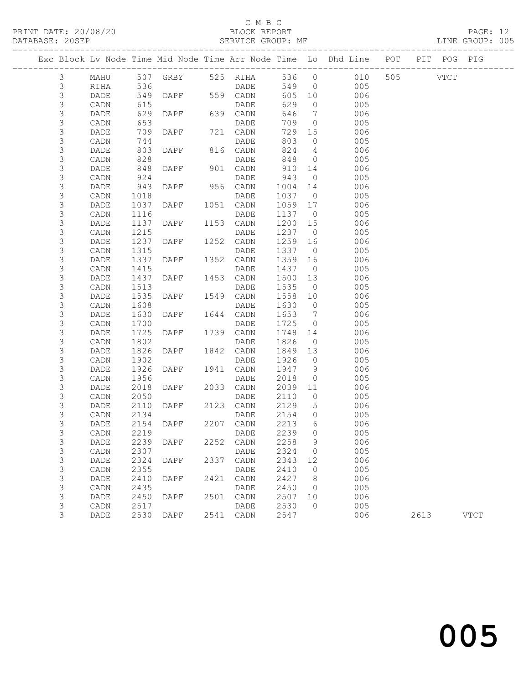# C M B C<br>BLOCK REPORT

|                            |              |              |                   |      |                  |               |                       | Exc Block Lv Node Time Mid Node Time Arr Node Time Lo Dhd Line POT |          | PIT POG PIG |             |
|----------------------------|--------------|--------------|-------------------|------|------------------|---------------|-----------------------|--------------------------------------------------------------------|----------|-------------|-------------|
| $\mathfrak{Z}$             | MAHU         |              | 507 GRBY 525 RIHA |      |                  | 536 0         |                       | 010                                                                | 505 VTCT |             |             |
| $\mathcal{S}$              | RIHA         | 536          |                   |      | <b>DADE</b>      | 549           | $\overline{0}$        | 005                                                                |          |             |             |
| 3                          | DADE         | 549          | DAPF 559 CADN     |      |                  | 605 10        |                       | 006                                                                |          |             |             |
| $\mathsf S$                | CADN         | 615          |                   |      | DADE             | 629           | $\overline{0}$        | 005                                                                |          |             |             |
| $\mathsf S$                | DADE         | 629          | DAPF 639 CADN     |      |                  | 646           | $\overline{7}$        | 006                                                                |          |             |             |
| $\mathsf S$                | CADN         | 653          |                   |      | DADE             | 709           | $\overline{0}$        | 005                                                                |          |             |             |
| $\mathsf S$                | DADE         | 709          | DAPF 721 CADN     |      |                  | 729           | 15                    | 006                                                                |          |             |             |
| $\mathsf S$                | CADN         | 744          |                   |      | DADE             | 803           | $\overline{0}$        | 005                                                                |          |             |             |
| $\mathsf S$                | DADE         | 803          | DAPF              |      | 816 CADN         | 824           | $\overline{4}$        | 006                                                                |          |             |             |
| $\mathsf S$<br>$\mathsf 3$ | CADN         | 828<br>848   | DAPF              |      | DADE<br>901 CADN | 848<br>910 14 | $\overline{0}$        | 005                                                                |          |             |             |
| 3                          | DADE<br>CADN | 924          |                   |      | DADE             | 943           | $\overline{0}$        | 006<br>005                                                         |          |             |             |
| $\mathsf S$                | DADE         | 943          | DAPF 956 CADN     |      |                  | 1004          | 14                    | 006                                                                |          |             |             |
| $\mathsf S$                | CADN         | 1018         |                   |      | DADE             | 1037          | $\overline{0}$        | 005                                                                |          |             |             |
| $\mathsf 3$                | DADE         | 1037         | DAPF              |      | 1051 CADN        | 1059          | 17                    | 006                                                                |          |             |             |
| $\mathsf S$                | CADN         | 1116         |                   |      | DADE             | 1137 0        |                       | 005                                                                |          |             |             |
| 3                          | DADE         | 1137         | DAPF              |      | 1153 CADN        | 1200          | 15                    | 006                                                                |          |             |             |
| $\mathsf S$                | CADN         | 1215         |                   |      | DADE             | 1237 0        |                       | 005                                                                |          |             |             |
| $\mathsf 3$                | DADE         | 1237         | DAPF              |      | 1252 CADN        | 1259          | 16                    | 006                                                                |          |             |             |
| $\mathsf S$                | CADN         | 1315         |                   |      | DADE             | 1337          | $\overline{0}$        | 005                                                                |          |             |             |
| $\mathsf S$                | DADE         | 1337         | DAPF              | 1352 | CADN             | 1359          | 16                    | 006                                                                |          |             |             |
| $\mathsf S$                | CADN         | 1415         |                   |      | DADE             | 1437          | $\overline{0}$        | 005                                                                |          |             |             |
| $\mathsf 3$                | DADE         | 1437         | DAPF              |      | 1453 CADN        | 1500          | 13                    | 006                                                                |          |             |             |
| $\mathsf S$                | CADN         | 1513         |                   |      | DADE             | 1535          | $\overline{0}$        | 005                                                                |          |             |             |
| $\mathsf S$                | DADE         | 1535         | DAPF              | 1549 | CADN             | 1558          | 10                    | 006                                                                |          |             |             |
| $\mathsf S$                | CADN         | 1608         |                   |      | DADE             | 1630          | $\overline{0}$        | 005                                                                |          |             |             |
| $\mathsf 3$                | DADE         | 1630         | DAPF              |      | 1644 CADN        | 1653          | $\overline{7}$        | 006                                                                |          |             |             |
| 3                          | CADN         | 1700         |                   |      | DADE             | 1725          | $\overline{0}$        | 005                                                                |          |             |             |
| $\mathsf S$                | DADE         | 1725         | DAPF              | 1739 | CADN             | 1748          | 14                    | 006                                                                |          |             |             |
| $\mathsf S$                | CADN         | 1802         |                   |      | DADE             | 1826          | $\overline{0}$        | 005                                                                |          |             |             |
| $\mathsf 3$                | DADE         | 1826         | DAPF              |      | 1842 CADN        | 1849          | 13                    | 006                                                                |          |             |             |
| $\mathsf 3$<br>$\mathsf S$ | CADN         | 1902         |                   | 1941 | DADE             | 1926<br>1947  | $\overline{0}$        | 005<br>006                                                         |          |             |             |
| 3                          | DADE<br>CADN | 1926<br>1956 | DAPF              |      | CADN<br>DADE     | 2018          | - 9<br>$\overline{0}$ | 005                                                                |          |             |             |
| $\mathsf S$                | DADE         | 2018         | DAPF              |      | 2033 CADN        | 2039          | 11                    | 006                                                                |          |             |             |
| 3                          | CADN         | 2050         |                   |      | DADE             | 2110          | $\overline{0}$        | 005                                                                |          |             |             |
| 3                          | DADE         | 2110         | DAPF              |      | 2123 CADN        | 2129          | $5^{\circ}$           | 006                                                                |          |             |             |
| 3                          | CADN         | 2134         |                   |      | DADE             | 2154          | $\overline{0}$        | 005                                                                |          |             |             |
| 3                          | DADE         | 2154         | DAPF              |      | 2207 CADN        | 2213          | 6                     | 006                                                                |          |             |             |
| 3                          | CADN         |              | 2219 DADE         |      |                  | 2239 0        |                       | 005                                                                |          |             |             |
| 3                          | DADE         | 2239         | DAPF              | 2252 | CADN             | 2258          | 9                     | 006                                                                |          |             |             |
| 3                          | CADN         | 2307         |                   |      | DADE             | 2324          | $\circ$               | 005                                                                |          |             |             |
| $\mathsf 3$                | DADE         | 2324         | DAPF              | 2337 | CADN             | 2343          | 12                    | 006                                                                |          |             |             |
| $\ensuremath{\mathsf{3}}$  | CADN         | 2355         |                   |      | DADE             | 2410          | $\circ$               | 005                                                                |          |             |             |
| 3                          | DADE         | 2410         | DAPF              | 2421 | CADN             | 2427          | 8 <sup>8</sup>        | 006                                                                |          |             |             |
| $\mathsf S$                | CADN         | 2435         |                   |      | DADE             | 2450          | $\overline{0}$        | 005                                                                |          |             |             |
| $\mathsf S$                | DADE         | 2450         | DAPF              |      | 2501 CADN        | 2507          | 10                    | 006                                                                |          |             |             |
| 3                          | CADN         | 2517         |                   |      | DADE             | 2530          | $\circ$               | 005                                                                |          |             |             |
| 3                          | DADE         | 2530         | DAPF              |      | 2541 CADN        | 2547          |                       | 006                                                                | 2613     |             | <b>VTCT</b> |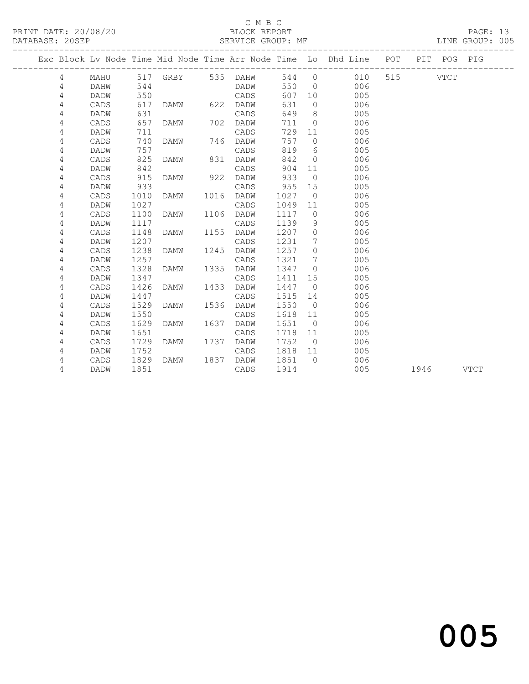## C M B C<br>BLOCK REPORT

PAGE: 13<br>LINE GROUP: 005

|  |        |              |              |             |      |                   |              |                      | Exc Block Lv Node Time Mid Node Time Arr Node Time Lo Dhd Line POT |          |      | PIT POG | PIG         |
|--|--------|--------------|--------------|-------------|------|-------------------|--------------|----------------------|--------------------------------------------------------------------|----------|------|---------|-------------|
|  | 4      | MAHU         |              |             |      | 517 GRBY 535 DAHW | 544          | $\overline{0}$       | 010                                                                | 515 VTCT |      |         |             |
|  | 4      | DAHW         | 544          |             |      | DADW              | 550          | $\bigcirc$           | 006                                                                |          |      |         |             |
|  | 4      | DADW         | 550          |             |      | CADS              | 607          | 10                   | 005                                                                |          |      |         |             |
|  | 4      | CADS         | 617          | DAMW        | 622  | DADW              | 631          | $\Omega$             | 006                                                                |          |      |         |             |
|  | 4      | DADW         | 631          |             |      | CADS              | 649          | 8                    | 005                                                                |          |      |         |             |
|  | 4      | CADS         | 657          | DAMW        | 702  | DADW              | 711          | $\circ$              | 006                                                                |          |      |         |             |
|  | 4      | DADW         | 711          |             |      | CADS              | 729          | 11                   | 005                                                                |          |      |         |             |
|  | 4      | CADS         | 740          | DAMW        | 746  | DADW              | 757          | $\bigcirc$           | 006                                                                |          |      |         |             |
|  | 4      | DADW         | 757          |             |      | CADS              | 819          | 6                    | 005                                                                |          |      |         |             |
|  | 4      | CADS         | 825          | DAMW        | 831  | DADW              | 842          | $\overline{0}$       | 006                                                                |          |      |         |             |
|  | 4      | DADW         | 842          |             |      | CADS              | 904          | 11                   | 005                                                                |          |      |         |             |
|  | 4      | CADS         | 915          | DAMW        | 922  | DADW              | 933          | $\overline{0}$       | 006                                                                |          |      |         |             |
|  | 4      | DADW         | 933          |             |      | CADS              | 955          | 15                   | 005                                                                |          |      |         |             |
|  | 4      | CADS         | 1010         | DAMW        | 1016 | DADW              | 1027         | $\overline{0}$       | 006                                                                |          |      |         |             |
|  | 4      | DADW         | 1027         |             |      | CADS              | 1049         | 11                   | 005                                                                |          |      |         |             |
|  | 4      | CADS         | 1100         | DAMW        | 1106 | DADW              | 1117         | $\overline{0}$       | 006                                                                |          |      |         |             |
|  | 4      | DADW         | 1117         |             |      | CADS              | 1139         | 9                    | 005                                                                |          |      |         |             |
|  | 4      | CADS         | 1148         | DAMW        | 1155 | DADW              | 1207         | $\overline{0}$       | 006                                                                |          |      |         |             |
|  | 4      | DADW         | 1207         |             |      | CADS              | 1231         | 7                    | 005                                                                |          |      |         |             |
|  | 4      | CADS         | 1238         | DAMW        | 1245 | DADW              | 1257         | $\Omega$             | 006                                                                |          |      |         |             |
|  | 4      | DADW         | 1257         |             |      | CADS              | 1321         | $7\phantom{.0}$      | 005                                                                |          |      |         |             |
|  | 4      | CADS         | 1328         | DAMW        | 1335 | DADW              | 1347         | $\Omega$             | 006                                                                |          |      |         |             |
|  | 4      | DADW         | 1347         |             |      | CADS              | 1411         | 15                   | 005                                                                |          |      |         |             |
|  | 4      | CADS         | 1426         | DAMW        | 1433 | DADW              | 1447         | $\overline{0}$       | 006                                                                |          |      |         |             |
|  | 4      | DADW         | 1447         |             |      | CADS              | 1515         | 14                   | 005                                                                |          |      |         |             |
|  | 4      | CADS         | 1529         | DAMW        | 1536 | DADW              | 1550         | $\overline{0}$       | 006                                                                |          |      |         |             |
|  | 4      | DADW         | 1550         |             |      | CADS              | 1618         | 11                   | 005                                                                |          |      |         |             |
|  | 4      | CADS         | 1629         | <b>DAMW</b> | 1637 | DADW              | 1651         | $\overline{0}$       | 006                                                                |          |      |         |             |
|  | 4<br>4 | DADW<br>CADS | 1651<br>1729 | DAMW        | 1737 | CADS<br>DADW      | 1718<br>1752 | 11<br>$\overline{0}$ | 005<br>006                                                         |          |      |         |             |
|  | 4      | DADW         | 1752         |             |      | CADS              | 1818         | 11                   | 005                                                                |          |      |         |             |
|  | 4      | CADS         | 1829         | DAMW        | 1837 | DADW              | 1851         | $\bigcap$            | 006                                                                |          |      |         |             |
|  | 4      | DADW         | 1851         |             |      | CADS              | 1914         |                      | 005                                                                |          | 1946 |         | <b>VTCT</b> |
|  |        |              |              |             |      |                   |              |                      |                                                                    |          |      |         |             |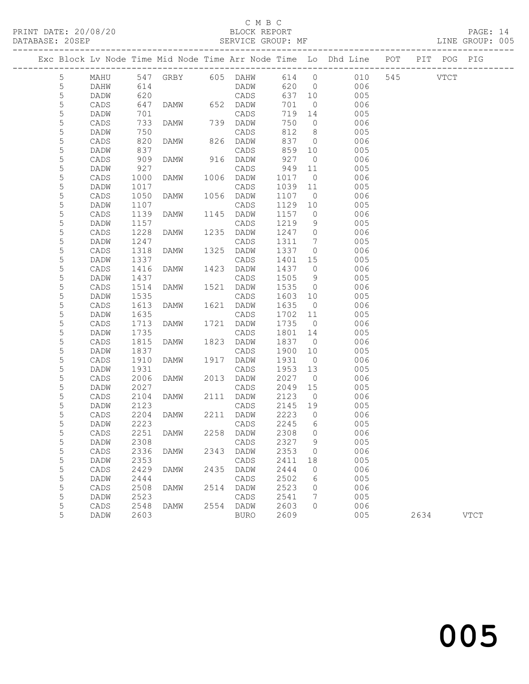# C M B C<br>BLOCK REPORT

PAGE: 14<br>LINE GROUP: 005

|                |                 |              |                         |      |                   |                 |                | Exc Block Lv Node Time Mid Node Time Arr Node Time Lo Dhd Line POT |          |      | PIT POG PIG |             |
|----------------|-----------------|--------------|-------------------------|------|-------------------|-----------------|----------------|--------------------------------------------------------------------|----------|------|-------------|-------------|
| 5              | MAHU            |              | 547 GRBY 605 DAHW 614 0 |      |                   |                 |                | 010                                                                | 545 VTCT |      |             |             |
| 5              | DAHW            | 614          |                         |      | DADW              | 620 0           |                | 006                                                                |          |      |             |             |
| 5              | DADW            | 620          |                         |      | CADS              | 637 10          |                | 005                                                                |          |      |             |             |
| 5              | CADS            | 647          | DAMW 652 DADW           |      |                   | 701             | $\overline{0}$ | 006                                                                |          |      |             |             |
| $\mathsf S$    | DADW            | 701          |                         |      | CADS              | 719             | 14             | 005                                                                |          |      |             |             |
| 5              | CADS            | 733          | DAMW                    |      | 739 DADW          | 750             | $\overline{0}$ | 006                                                                |          |      |             |             |
| 5              | DADW            | 750          |                         |      | CADS              | 812             | 8 <sup>8</sup> | 005                                                                |          |      |             |             |
| 5              | CADS            | 820          | DAMW                    |      | 826 DADW          | 837             | $\overline{0}$ | 006                                                                |          |      |             |             |
| 5              | <b>DADW</b>     | 837          |                         |      | CADS              | 859             | 10             | 005                                                                |          |      |             |             |
| 5              | CADS            | 909          | DAMW                    |      | 916 DADW          | 927             | $\overline{0}$ | 006                                                                |          |      |             |             |
| 5              | DADW            | 927          |                         |      | CADS              | 949             | 11             | 005                                                                |          |      |             |             |
| 5              | CADS            | 1000         | DAMW                    |      | 1006 DADW         | 1017            | $\overline{0}$ | 006                                                                |          |      |             |             |
| 5              | DADW            | 1017         |                         |      | CADS              | 1039 11         |                | 005                                                                |          |      |             |             |
| 5              | $\mathtt{CADS}$ | 1050         | DAMW                    |      | 1056 DADW         | 1107            | $\overline{0}$ | 006                                                                |          |      |             |             |
| 5              | DADW            | 1107         |                         |      | CADS              | 1129            | 10             | 005                                                                |          |      |             |             |
| 5              | CADS            | 1139         | DAMW                    | 1145 | DADW              | 1157            | $\overline{0}$ | 006                                                                |          |      |             |             |
| $\mathsf S$    | DADW            | 1157         |                         |      | CADS              | 1219            | 9              | 005                                                                |          |      |             |             |
| 5              | CADS            | 1228         | DAMW                    |      | 1235 DADW         | 1247            | $\overline{0}$ | 006                                                                |          |      |             |             |
| 5              | DADW            | 1247         |                         |      | CADS              | 1311            | $\overline{7}$ | 005                                                                |          |      |             |             |
| 5              | CADS            | 1318         | DAMW                    | 1325 | DADW              | 1337            | $\overline{0}$ | 006                                                                |          |      |             |             |
| 5              | DADW            | 1337         |                         |      | CADS              | 1401            | 15             | 005                                                                |          |      |             |             |
| 5              | CADS            | 1416         | DAMW                    |      | 1423 DADW         | 1437            | $\overline{0}$ | 006                                                                |          |      |             |             |
| 5              | DADW            | 1437         |                         |      | CADS              | 1505            | 9              | 005                                                                |          |      |             |             |
| 5              | CADS            | 1514         | DAMW                    | 1521 | DADW              | 1535            | $\overline{0}$ | 006                                                                |          |      |             |             |
| 5              | DADW            | 1535         |                         |      | CADS              | 1603            | 10             | 005                                                                |          |      |             |             |
| 5              | CADS            | 1613         | DAMW                    |      | 1621 DADW         | 1635            | $\overline{0}$ | 006                                                                |          |      |             |             |
| 5<br>5         | DADW            | 1635         |                         |      | CADS<br>1721 DADW | 1702 11<br>1735 | $\overline{0}$ | 005<br>006                                                         |          |      |             |             |
| 5              | CADS<br>DADW    | 1713<br>1735 | DAMW                    |      | CADS              | 1801            | 14             | 005                                                                |          |      |             |             |
| 5              | CADS            | 1815         | DAMW                    |      | 1823 DADW         | 1837            | $\overline{0}$ | 006                                                                |          |      |             |             |
| 5              | DADW            | 1837         |                         |      | CADS              | 1900            | 10             | 005                                                                |          |      |             |             |
| 5              | CADS            | 1910         | DAMW                    | 1917 | DADW              | 1931            | $\overline{0}$ | 006                                                                |          |      |             |             |
| 5              | DADW            | 1931         |                         |      | CADS              | 1953            | 13             | 005                                                                |          |      |             |             |
| 5              | CADS            | 2006         | DAMW                    |      | 2013 DADW         | 2027            | $\overline{0}$ | 006                                                                |          |      |             |             |
| 5              | DADW            | 2027         |                         |      | CADS              | 2049            | 15             | 005                                                                |          |      |             |             |
| 5              | CADS            | 2104         | DAMW                    |      | 2111 DADW         | 2123            | $\overline{0}$ | 006                                                                |          |      |             |             |
| 5              | DADW            | 2123         |                         |      | CADS              | 2145            | 19             | 005                                                                |          |      |             |             |
| 5              | CADS            | 2204         | DAMW                    |      | 2211 DADW         | 2223            | $\overline{0}$ | 006                                                                |          |      |             |             |
| 5              | DADW            | 2223         |                         |      | CADS              | 2245            | 6              | 005                                                                |          |      |             |             |
| $\overline{5}$ | CADS            |              | 2251 DAMW               |      | 2258 DADW         | 2308 0          |                | 006                                                                |          |      |             |             |
| 5              | DADW            | 2308         |                         |      | CADS              | 2327            | 9              | 005                                                                |          |      |             |             |
| 5              | CADS            | 2336         | DAMW                    | 2343 | DADW              | 2353            | $\circ$        | 006                                                                |          |      |             |             |
| 5              | DADW            | 2353         |                         |      | CADS              | 2411            | 18             | 005                                                                |          |      |             |             |
| 5              | CADS            | 2429         | DAMW                    | 2435 | DADW              | 2444            | 0              | 006                                                                |          |      |             |             |
| 5              | DADW            | 2444         |                         |      | CADS              | 2502            | 6              | 005                                                                |          |      |             |             |
| 5              | CADS            | 2508         | DAMW                    | 2514 | DADW              | 2523            | 0              | 006                                                                |          |      |             |             |
| 5              | DADW            | 2523         |                         |      | CADS              | 2541            | 7              | 005                                                                |          |      |             |             |
| 5              | CADS            | 2548         | DAMW                    |      | 2554 DADW         | 2603            | 0              | 006                                                                |          |      |             |             |
| 5              | DADW            | 2603         |                         |      | <b>BURO</b>       | 2609            |                | 005                                                                |          | 2634 |             | <b>VTCT</b> |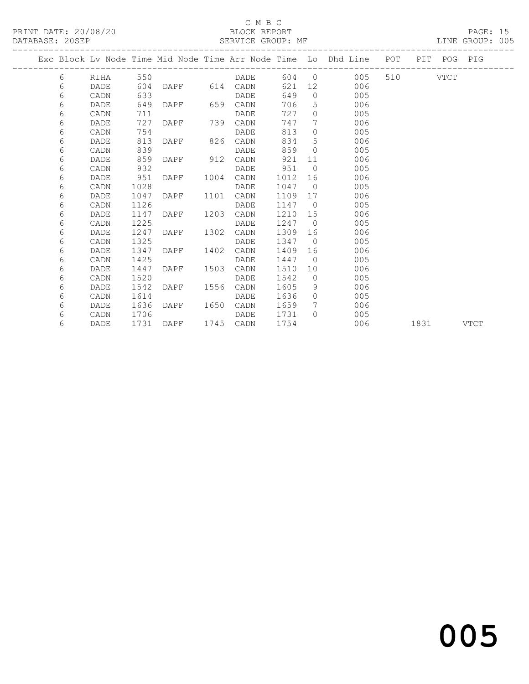# C M B C<br>BLOCK REPORT

PAGE: 15<br>LINE GROUP: 005

|  |   |      |      |                |      |           |         |                | Exc Block Lv Node Time Mid Node Time Arr Node Time Lo Dhd Line POT |          |                                                                                                                                                                                                                                 | PIT POG PIG |      |
|--|---|------|------|----------------|------|-----------|---------|----------------|--------------------------------------------------------------------|----------|---------------------------------------------------------------------------------------------------------------------------------------------------------------------------------------------------------------------------------|-------------|------|
|  | 6 | RIHA | 550  |                |      | DADE      |         |                | 604 0 005                                                          | 510 VTCT |                                                                                                                                                                                                                                 |             |      |
|  | 6 | DADE | 604  | DAPF 614 CADN  |      |           | 621     |                | 12 006                                                             |          |                                                                                                                                                                                                                                 |             |      |
|  | 6 | CADN | 633  |                |      | DADE      | 649     |                | $\Omega$<br>005                                                    |          |                                                                                                                                                                                                                                 |             |      |
|  | 6 | DADE | 649  | DAPF 659 CADN  |      |           | 706     |                | $5^{\circ}$<br>006                                                 |          |                                                                                                                                                                                                                                 |             |      |
|  | 6 | CADN | 711  |                |      | DADE      | 727     | $\Omega$       | 005                                                                |          |                                                                                                                                                                                                                                 |             |      |
|  | 6 | DADE | 727  | DAPF 739       |      | CADN      | 747     | 7              | 006                                                                |          |                                                                                                                                                                                                                                 |             |      |
|  | 6 | CADN | 754  |                |      | DADE      | 813     | $\bigcirc$     | 005                                                                |          |                                                                                                                                                                                                                                 |             |      |
|  | 6 | DADE | 813  | DAPF 826 CADN  |      |           | 834     | 5              | 006                                                                |          |                                                                                                                                                                                                                                 |             |      |
|  | 6 | CADN | 839  |                |      | DADE      | 859     | $\bigcirc$     | 005                                                                |          |                                                                                                                                                                                                                                 |             |      |
|  | 6 | DADE | 859  | DAPF 912       |      | CADN      | 921     | 11             | 006                                                                |          |                                                                                                                                                                                                                                 |             |      |
|  | 6 | CADN | 932  |                |      | DADE      | 951     | $\bigcirc$     | 005                                                                |          |                                                                                                                                                                                                                                 |             |      |
|  | 6 | DADE | 951  | DAPF           | 1004 | CADN      | 1012    | 16             | 006                                                                |          |                                                                                                                                                                                                                                 |             |      |
|  | 6 | CADN | 1028 |                |      | DADE      | 1047    |                | $\overline{0}$<br>005                                              |          |                                                                                                                                                                                                                                 |             |      |
|  | 6 | DADE | 1047 | DAPF 1101 CADN |      |           | 1109 17 |                | 006                                                                |          |                                                                                                                                                                                                                                 |             |      |
|  | 6 | CADN | 1126 |                |      | DADE      | 1147    | $\overline{0}$ | 005                                                                |          |                                                                                                                                                                                                                                 |             |      |
|  | 6 | DADE | 1147 | DAPF           | 1203 | CADN      | 1210    |                | 15<br>006                                                          |          |                                                                                                                                                                                                                                 |             |      |
|  | 6 | CADN | 1225 |                |      | DADE      | 1247    | $\bigcirc$     | 005                                                                |          |                                                                                                                                                                                                                                 |             |      |
|  | 6 | DADE | 1247 | DAPF 1302      |      | CADN      | 1309    |                | 006                                                                |          |                                                                                                                                                                                                                                 |             |      |
|  | 6 | CADN | 1325 |                |      | DADE      | 1347 0  |                | 005                                                                |          |                                                                                                                                                                                                                                 |             |      |
|  | 6 | DADE | 1347 | DAPF           | 1402 | CADN      | 1409    | 16             | 006                                                                |          |                                                                                                                                                                                                                                 |             |      |
|  | 6 | CADN | 1425 |                |      | DADE      | 1447    | $\overline{0}$ | 005                                                                |          |                                                                                                                                                                                                                                 |             |      |
|  | 6 | DADE | 1447 | DAPF           | 1503 | CADN      | 1510    | 10             | 006                                                                |          |                                                                                                                                                                                                                                 |             |      |
|  | 6 | CADN | 1520 |                |      | DADE      | 1542    |                | 005<br>$\overline{0}$                                              |          |                                                                                                                                                                                                                                 |             |      |
|  | 6 | DADE | 1542 | DAPF           |      | 1556 CADN | 1605    | - 9            | 006                                                                |          |                                                                                                                                                                                                                                 |             |      |
|  | 6 | CADN | 1614 |                |      | DADE      | 1636    | $\bigcirc$     | 005                                                                |          |                                                                                                                                                                                                                                 |             |      |
|  | 6 | DADE | 1636 | DAPF 1650      |      | CADN      | 1659    | $7\phantom{0}$ | 006                                                                |          |                                                                                                                                                                                                                                 |             |      |
|  | 6 | CADN | 1706 |                |      | DADE      | 1731    | $\cap$         | 005                                                                |          |                                                                                                                                                                                                                                 |             |      |
|  | 6 | DADE | 1731 | DAPF 1745 CADN |      |           | 1754    |                | 006                                                                |          | 1831 — 1831 — 1840 — 1840 — 1840 — 1840 — 1851 — 1852 — 1853 — 1854 — 1855 — 1855 — 1855 — 1855 — 1855 — 1855 — 1855 — 1855 — 1855 — 1855 — 1855 — 1855 — 1855 — 1855 — 1855 — 1855 — 1855 — 1855 — 1855 — 1855 — 1855 — 1855 — |             | VTCT |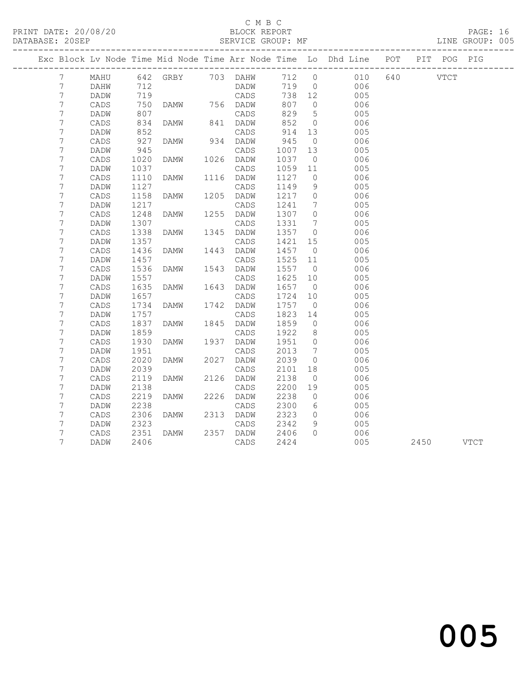# C M B C<br>BLOCK REPORT

PAGE: 16<br>LINE GROUP: 005

|                 |              |              |                   |      |                   |              |                | Exc Block Lv Node Time Mid Node Time Arr Node Time Lo Dhd Line POT |     |           | PIT POG PIG |  |
|-----------------|--------------|--------------|-------------------|------|-------------------|--------------|----------------|--------------------------------------------------------------------|-----|-----------|-------------|--|
| $7\phantom{.0}$ | MAHU         |              | 642 GRBY 703 DAHW |      |                   |              |                | 712 0 010                                                          | 640 | VTCT      |             |  |
| 7               | DAHW         | 712          |                   |      | DADW              | 719 0        |                | 006                                                                |     |           |             |  |
| 7               | DADW         | 719          |                   |      | CADS              | 738 12       |                | 005                                                                |     |           |             |  |
| 7               | CADS         | 750          | DAMW 756 DADW     |      |                   | 807          | $\overline{0}$ | 006                                                                |     |           |             |  |
| 7               | DADW         | 807          |                   |      | CADS              | 829          | 5              | 005                                                                |     |           |             |  |
| 7               | CADS         | 834          | DAMW              |      | 841 DADW          | 852          | $\overline{0}$ | 006                                                                |     |           |             |  |
| 7               | DADW         | 852          |                   |      | CADS              | 914          | 13             | 005                                                                |     |           |             |  |
| 7               | CADS         | 927          | DAMW              |      | 934 DADW          | 945          | $\overline{0}$ | 006                                                                |     |           |             |  |
| 7               | DADW         | 945          |                   |      | CADS              | 1007         | 13             | 005                                                                |     |           |             |  |
| 7               | CADS         | 1020         | DAMW              |      | 1026 DADW         | 1037         | $\overline{0}$ | 006                                                                |     |           |             |  |
| 7               | DADW         | 1037         |                   |      | CADS              | 1059         | 11             | 005                                                                |     |           |             |  |
| 7               | CADS         | 1110         | DAMW              |      | 1116 DADW         | 1127         | $\overline{0}$ | 006                                                                |     |           |             |  |
| 7               | DADW         | 1127         |                   |      | CADS              | 1149         | 9              | 005                                                                |     |           |             |  |
| 7               | CADS         | 1158         | DAMW              |      | 1205 DADW         | 1217         | $\overline{0}$ | 006                                                                |     |           |             |  |
| 7               | DADW         | 1217         |                   |      | CADS              | 1241         | 7              | 005                                                                |     |           |             |  |
| 7               | CADS         | 1248         | DAMW              | 1255 | DADW              | 1307         | $\circ$        | 006                                                                |     |           |             |  |
| 7               | DADW         | 1307         |                   |      | CADS              | 1331         | 7              | 005                                                                |     |           |             |  |
| 7               | CADS         | 1338         | DAMW              | 1345 | DADW              | 1357         | $\overline{0}$ | 006                                                                |     |           |             |  |
| 7               | DADW         | 1357         |                   |      | CADS              | 1421         | 15             | 005                                                                |     |           |             |  |
| 7               | CADS         | 1436         | DAMW              | 1443 | DADW              | 1457         | $\overline{0}$ | 006                                                                |     |           |             |  |
| 7               | DADW         | 1457         |                   |      | CADS              | 1525         | 11             | 005                                                                |     |           |             |  |
| 7               | CADS         | 1536         | DAMW              | 1543 | DADW              | 1557         | $\overline{0}$ | 006                                                                |     |           |             |  |
| 7               | DADW         | 1557         |                   |      | CADS              | 1625         | 10             | 005                                                                |     |           |             |  |
| 7               | CADS         | 1635         | DAMW              |      | 1643 DADW         | 1657         | $\overline{0}$ | 006                                                                |     |           |             |  |
| 7               | DADW         | 1657         |                   |      | CADS              | 1724         | 10             | 005                                                                |     |           |             |  |
| 7               | CADS         | 1734         | DAMW              | 1742 | DADW              | 1757         | $\overline{0}$ | 006                                                                |     |           |             |  |
| 7               | DADW         | 1757         |                   |      | CADS              | 1823         | 14             | 005                                                                |     |           |             |  |
| 7               | CADS         | 1837         | DAMW              | 1845 | DADW              | 1859         | $\overline{0}$ | 006                                                                |     |           |             |  |
| 7               | DADW         | 1859         |                   |      | CADS              | 1922         | 8              | 005                                                                |     |           |             |  |
| 7               | CADS         | 1930         | DAMW              | 1937 | DADW              | 1951         | $\circ$        | 006                                                                |     |           |             |  |
| 7               | DADW         | 1951         |                   |      | CADS              | 2013         | 7              | 005                                                                |     |           |             |  |
| 7               | CADS         | 2020         | DAMW              | 2027 | DADW              | 2039         | $\circ$        | 006                                                                |     |           |             |  |
| 7               | DADW         | 2039         |                   |      | CADS              | 2101         | 18             | 005                                                                |     |           |             |  |
| 7               | CADS         | 2119         | DAMW              |      | 2126 DADW         | 2138         | $\overline{0}$ | 006                                                                |     |           |             |  |
| 7               | DADW         | 2138         |                   |      | CADS              | 2200         | 19             | 005                                                                |     |           |             |  |
| 7               | CADS         | 2219<br>2238 | DAMW              | 2226 | DADW              | 2238<br>2300 | $\Omega$       | 006<br>005                                                         |     |           |             |  |
| 7               | DADW         | 2306         |                   |      | CADS<br>2313 DADW | 2323         | 6              | 006                                                                |     |           |             |  |
| 7<br>7          | CADS<br>DADW | 2323         | DAMW              |      | CADS              | 2342         | $\circ$<br>9   | 005                                                                |     |           |             |  |
| 7               |              | 2351         |                   |      | 2357 DADW         | 2406         | $\bigcap$      | 006                                                                |     |           |             |  |
| $\overline{7}$  | CADS         |              | DAMW              |      |                   | 2424         |                |                                                                    |     |           |             |  |
|                 | DADW         | 2406         |                   |      | CADS              |              |                | 005                                                                |     | 2450 VTCT |             |  |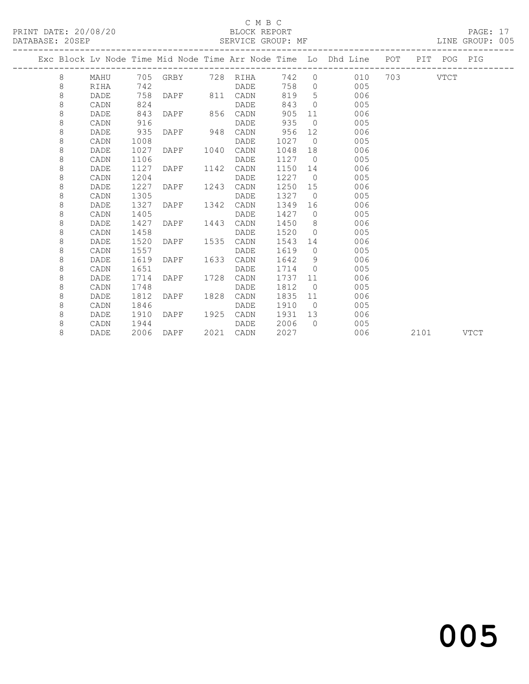# C M B C<br>BLOCK REPORT

### SERVICE GROUP: MF

|  |         |             |      |      |      |                   |      |                | Exc Block Lv Node Time Mid Node Time Arr Node Time Lo Dhd Line POT |      | PIT POG PIG |             |
|--|---------|-------------|------|------|------|-------------------|------|----------------|--------------------------------------------------------------------|------|-------------|-------------|
|  | 8       | MAHU        |      |      |      | 705 GRBY 728 RIHA |      |                | 742 0 010 703 VTCT                                                 |      |             |             |
|  | 8       | RIHA        | 742  |      |      | DADE              | 758  |                | 005<br>$\Omega$                                                    |      |             |             |
|  | $\,8\,$ | DADE        | 758  | DAPF | 811  | CADN              | 819  | 5              | 006                                                                |      |             |             |
|  | $\,8\,$ | CADN        | 824  |      |      | DADE              | 843  | $\bigcirc$     | 005                                                                |      |             |             |
|  | $\,8\,$ | DADE        | 843  | DAPF | 856  | CADN              | 905  | 11             | 006                                                                |      |             |             |
|  | 8       | CADN        | 916  |      |      | DADE              | 935  | $\bigcirc$     | 005                                                                |      |             |             |
|  | 8       | DADE        | 935  | DAPF | 948  | CADN              | 956  | 12             | 006                                                                |      |             |             |
|  | 8       | CADN        | 1008 |      |      | DADE              | 1027 | $\overline{0}$ | 005                                                                |      |             |             |
|  | 8       | DADE        | 1027 | DAPF | 1040 | CADN              | 1048 | 18             | 006                                                                |      |             |             |
|  | 8       | CADN        | 1106 |      |      | DADE              | 1127 | $\overline{0}$ | 005                                                                |      |             |             |
|  | 8       | DADE        | 1127 | DAPF | 1142 | CADN              | 1150 | 14             | 006                                                                |      |             |             |
|  | 8       | CADN        | 1204 |      |      | DADE              | 1227 | $\overline{0}$ | 005                                                                |      |             |             |
|  | 8       | <b>DADE</b> | 1227 | DAPF | 1243 | CADN              | 1250 | 15             | 006                                                                |      |             |             |
|  | 8       | CADN        | 1305 |      |      | DADE              | 1327 | $\overline{0}$ | 005                                                                |      |             |             |
|  | 8       | DADE        | 1327 | DAPF | 1342 | CADN              | 1349 | 16             | 006                                                                |      |             |             |
|  | 8       | CADN        | 1405 |      |      | DADE              | 1427 | $\bigcirc$     | 005                                                                |      |             |             |
|  | 8       | DADE        | 1427 | DAPF | 1443 | CADN              | 1450 | 8 <sup>8</sup> | 006                                                                |      |             |             |
|  | 8       | CADN        | 1458 |      |      | DADE              | 1520 | $\overline{0}$ | 005                                                                |      |             |             |
|  | 8       | DADE        | 1520 | DAPF | 1535 | CADN              | 1543 | 14             | 006                                                                |      |             |             |
|  | 8       | CADN        | 1557 |      |      | DADE              | 1619 | $\bigcirc$     | 005                                                                |      |             |             |
|  | 8       | <b>DADE</b> | 1619 | DAPF | 1633 | CADN              | 1642 | - 9            | 006                                                                |      |             |             |
|  | 8       | CADN        | 1651 |      |      | DADE              | 1714 | $\bigcirc$     | 005                                                                |      |             |             |
|  | 8       | DADE        | 1714 | DAPF | 1728 | CADN              | 1737 | 11             | 006                                                                |      |             |             |
|  | 8       | CADN        | 1748 |      |      | DADE              | 1812 | $\overline{0}$ | 005                                                                |      |             |             |
|  | 8       | DADE        | 1812 | DAPF | 1828 | CADN              | 1835 | 11             | 006                                                                |      |             |             |
|  | 8       | CADN        | 1846 |      |      | DADE              | 1910 | $\overline{0}$ | 005                                                                |      |             |             |
|  | 8       | DADE        | 1910 | DAPF | 1925 | CADN              | 1931 | 13             | 006                                                                |      |             |             |
|  | 8       | CADN        | 1944 |      |      | DADE              | 2006 | $\cap$         | 005                                                                |      |             |             |
|  | 8       | DADE        | 2006 | DAPF | 2021 | CADN              | 2027 |                | 006                                                                | 2101 |             | <b>VTCT</b> |

# and the contract of  $\sim$  005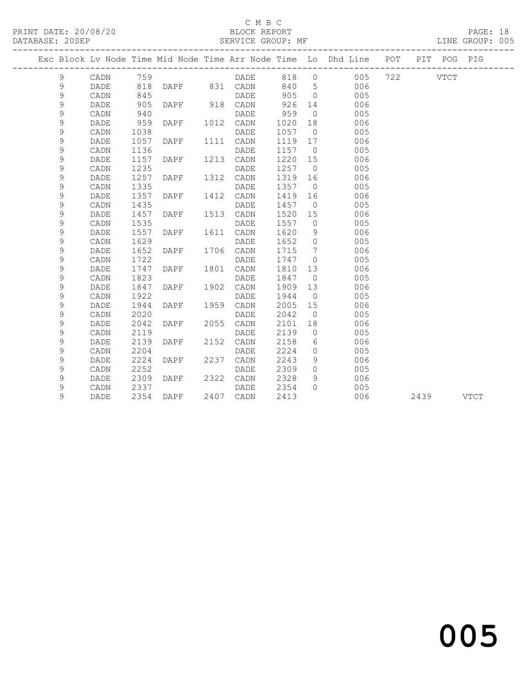### C M B C

|  | DATABASE: 20SEP | ------------------ |      |                |      | SERVICE GROUP: MF |       |                | ------------------------------------                                           |          |           | LINE GROUP: 005 |  |
|--|-----------------|--------------------|------|----------------|------|-------------------|-------|----------------|--------------------------------------------------------------------------------|----------|-----------|-----------------|--|
|  |                 |                    |      |                |      |                   |       |                | Exc Block Lv Node Time Mid Node Time Arr Node Time Lo Dhd Line POT PIT POG PIG |          |           |                 |  |
|  | 9               | CADN               | 759  |                |      | DADE 818 0        |       |                | 005                                                                            | 722 VTCT |           |                 |  |
|  | 9               | DADE               | 818  |                |      | DAPF 831 CADN     | 840 5 |                | 006                                                                            |          |           |                 |  |
|  | $\mathsf 9$     | CADN               | 845  |                |      | DADE              | 905   | $\overline{0}$ | 005                                                                            |          |           |                 |  |
|  | 9               | DADE               | 905  | DAPF 918 CADN  |      |                   | 926   | 14             | 006                                                                            |          |           |                 |  |
|  | 9               | CADN               | 940  |                |      | DADE              | 959   | $\overline{0}$ | 005                                                                            |          |           |                 |  |
|  | 9               | DADE               | 959  | DAPF           |      | 1012 CADN         | 1020  | 18             | 006                                                                            |          |           |                 |  |
|  | 9               | CADN               | 1038 |                |      | DADE              | 1057  | $\overline{0}$ | 005                                                                            |          |           |                 |  |
|  | 9               | DADE               | 1057 | DAPF           |      | 1111 CADN         | 1119  | 17             | 006                                                                            |          |           |                 |  |
|  | $\mathsf 9$     | CADN               | 1136 |                |      | DADE              | 1157  | $\overline{0}$ | 005                                                                            |          |           |                 |  |
|  | 9               | DADE               | 1157 | DAPF           |      | 1213 CADN         | 1220  | 15             | 006                                                                            |          |           |                 |  |
|  | $\mathsf 9$     | CADN               | 1235 |                |      | DADE              | 1257  | $\overline{0}$ | 005                                                                            |          |           |                 |  |
|  | $\mathsf 9$     | DADE               | 1257 | DAPF           |      | 1312 CADN         | 1319  | 16             | 006                                                                            |          |           |                 |  |
|  | $\mathsf 9$     | CADN               | 1335 |                |      | DADE              | 1357  |                | $\overline{0}$<br>005                                                          |          |           |                 |  |
|  | 9               | DADE               | 1357 | DAPF           |      | 1412 CADN         | 1419  |                | 16<br>006                                                                      |          |           |                 |  |
|  | 9               | CADN               | 1435 |                |      | DADE              | 1457  | $\overline{0}$ | 005                                                                            |          |           |                 |  |
|  | 9               | DADE               | 1457 | DAPF           |      | 1513 CADN         | 1520  | 15             | 006                                                                            |          |           |                 |  |
|  | $\mathsf 9$     | CADN               | 1535 |                |      | DADE              | 1557  | $\overline{0}$ | 005                                                                            |          |           |                 |  |
|  | 9               | DADE               | 1557 | DAPF           |      | 1611 CADN         | 1620  | 9              | 006                                                                            |          |           |                 |  |
|  | $\mathsf 9$     | CADN               | 1629 |                |      | DADE              | 1652  | $\overline{0}$ | 005                                                                            |          |           |                 |  |
|  | $\mathsf 9$     | DADE               | 1652 | DAPF           |      | 1706 CADN         | 1715  | $\overline{7}$ | 006                                                                            |          |           |                 |  |
|  | $\mathsf 9$     | CADN               | 1722 |                |      | DADE              | 1747  | $\overline{0}$ | 005                                                                            |          |           |                 |  |
|  | 9               | DADE               | 1747 | DAPF           |      | 1801 CADN         | 1810  | 13             | 006                                                                            |          |           |                 |  |
|  | 9               | CADN               | 1823 |                |      | DADE              | 1847  | $\overline{0}$ | 005                                                                            |          |           |                 |  |
|  | 9               | DADE               | 1847 | DAPF           | 1902 | CADN              | 1909  | 13             | 006                                                                            |          |           |                 |  |
|  | $\mathsf 9$     | CADN               | 1922 |                |      | DADE              | 1944  | $\overline{0}$ | 005                                                                            |          |           |                 |  |
|  | $\mathsf 9$     | DADE               | 1944 | DAPF           |      | 1959 CADN         | 2005  | 15             | 006                                                                            |          |           |                 |  |
|  | $\mathsf 9$     | CADN               | 2020 |                |      | DADE              | 2042  | $\overline{0}$ | 005                                                                            |          |           |                 |  |
|  | 9               | DADE               | 2042 | DAPF           |      | 2055 CADN         | 2101  | 18             | 006                                                                            |          |           |                 |  |
|  | $\mathsf 9$     | CADN               | 2119 |                |      | DADE              | 2139  | $\overline{0}$ | 005                                                                            |          |           |                 |  |
|  | 9               | DADE               | 2139 | DAPF           |      | 2152 CADN         | 2158  |                | 006<br>$6\degree$                                                              |          |           |                 |  |
|  | 9               | CADN               | 2204 |                |      | DADE              | 2224  | $\circ$        | 005                                                                            |          |           |                 |  |
|  | 9               | DADE               | 2224 | DAPF 2237      |      | CADN              | 2243  | 9              | 006                                                                            |          |           |                 |  |
|  | 9               | CADN               | 2252 |                |      | DADE              | 2309  | $\circ$        | 005                                                                            |          |           |                 |  |
|  | 9               | DADE               | 2309 | DAPF 2322 CADN |      |                   | 2328  | 9              | 006                                                                            |          |           |                 |  |
|  | $\mathsf 9$     | CADN               | 2337 |                |      | DADE              | 2354  | $\Omega$       | 005                                                                            |          |           |                 |  |
|  | 9               | DADE               | 2354 | DAPF           |      | 2407 CADN         | 2413  |                | 006                                                                            |          | 2439 VTCT |                 |  |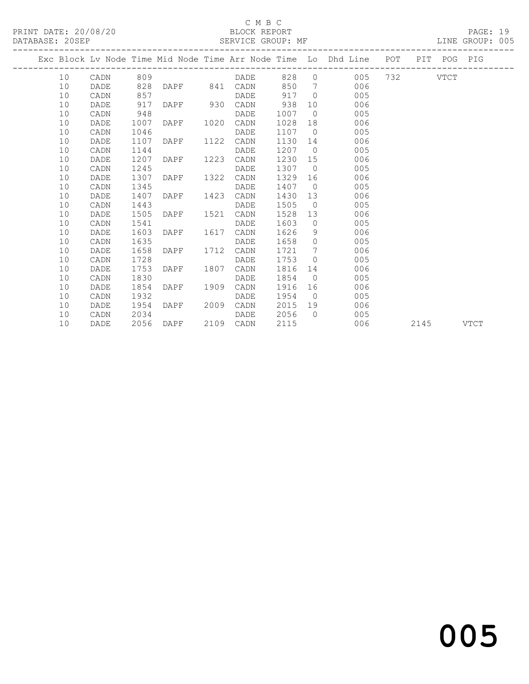# C M B C<br>BLOCK REPORT

| DATABASE: 20SEP |      |      |                |      |                   |         |                 | SERVICE GROUP: MF AND THE GROUP: 005                                           |  |  |  |
|-----------------|------|------|----------------|------|-------------------|---------|-----------------|--------------------------------------------------------------------------------|--|--|--|
|                 |      |      |                |      |                   |         |                 | Exc Block Lv Node Time Mid Node Time Arr Node Time Lo Dhd Line POT PIT POG PIG |  |  |  |
|                 |      |      |                |      |                   |         |                 | 10 CADN 809 $DADE$ 828 0 005 732 VTCT                                          |  |  |  |
| 10              | DADE |      |                |      | 828 DAPF 841 CADN |         |                 | 850 7 006                                                                      |  |  |  |
| 10              | CADN | 857  |                |      | DADE 917 0        |         |                 | 005                                                                            |  |  |  |
| 10              | DADE | 917  | DAPF 930       |      | CADN              | 938     |                 | 10<br>006                                                                      |  |  |  |
| 10              | CADN | 948  |                |      | DADE              | 1007    |                 | $\overline{0}$<br>005                                                          |  |  |  |
| 10              | DADE | 1007 | DAPF           | 1020 | CADN              | 1028    |                 | 006                                                                            |  |  |  |
| 10              | CADN | 1046 |                |      | DADE              | 1107 0  |                 | 005                                                                            |  |  |  |
| 10              | DADE | 1107 | DAPF 1122 CADN |      |                   | 1130 14 |                 | 006                                                                            |  |  |  |
| 10              | CADN | 1144 |                |      | DADE              | 1207    |                 | $\Omega$<br>005                                                                |  |  |  |
| 10              | DADE | 1207 | DAPF 1223      |      | CADN              | 1230 15 |                 | 006                                                                            |  |  |  |
| 10              | CADN | 1245 |                |      | DADE              | 1307 0  |                 | 005                                                                            |  |  |  |
| 10              | DADE | 1307 | DAPF 1322      |      | CADN              | 1329    |                 | 006                                                                            |  |  |  |
| 10              | CADN | 1345 |                |      | DADE              | 1407 0  |                 | 005                                                                            |  |  |  |
| 10              | DADE | 1407 | DAPF           | 1423 | CADN              | 1430    |                 | 13<br>006                                                                      |  |  |  |
| 10              | CADN | 1443 |                |      | DADE              | 1505    |                 | $\overline{0}$<br>005                                                          |  |  |  |
| 10              | DADE | 1505 | DAPF 1521 CADN |      |                   | 1528    |                 | 13<br>006                                                                      |  |  |  |
| 10              | CADN | 1541 |                |      | DADE              | 1603    |                 | $\overline{0}$<br>005                                                          |  |  |  |
| 10              | DADE | 1603 | DAPF 1617      |      | CADN              | 1626    |                 | $9 \quad \bullet$<br>006                                                       |  |  |  |
| 10              | CADN | 1635 |                |      | DADE              | 1658    |                 | $\overline{0}$<br>005                                                          |  |  |  |
| 10              | DADE | 1658 | DAPF 1712      |      | CADN              | 1721    | $7\overline{ }$ | 006                                                                            |  |  |  |
| 10              | CADN | 1728 |                |      | DADE              | 1753    |                 | $\Omega$<br>005                                                                |  |  |  |
| 10              | DADE | 1753 | DAPF 1807 CADN |      |                   | 1816    |                 | 006                                                                            |  |  |  |
| 10              | CADN | 1830 |                |      | DADE              | 1854 0  |                 | 005                                                                            |  |  |  |

 10 DADE 1854 DAPF 1909 CADN 1916 16 006 10 CADN 1932 DADE 1954 0 005 10 DADE 1954 DAPF 2009 CADN 2015 19 006 10 CADN 2034 DADE 2056 0 005

10 DADE 2056 DAPF 2109 CADN 2115 006 2145 VTCT

# and the contract of  $\sim$  005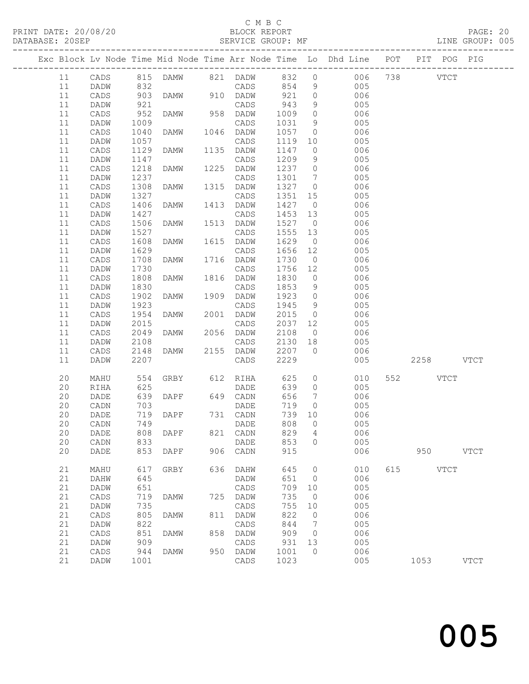# C M B C<br>BLOCK REPORT

PAGE: 20<br>LINE GROUP: 005

|  |    |                 |            |             |      |                 |            |                 | Exc Block Lv Node Time Mid Node Time Arr Node Time Lo Dhd Line POT |     | PIT POG PIG |             |             |
|--|----|-----------------|------------|-------------|------|-----------------|------------|-----------------|--------------------------------------------------------------------|-----|-------------|-------------|-------------|
|  | 11 | CADS            |            |             |      |                 |            |                 | 815 DAMW 821 DADW 832 0 006 738 VTCT                               |     |             |             |             |
|  | 11 | DADW            |            |             |      | CADS            |            | 9               | 005                                                                |     |             |             |             |
|  | 11 | CADS            | 832<br>903 | DAMW        |      | 910 DADW        | 854<br>921 | $\overline{0}$  | 006                                                                |     |             |             |             |
|  | 11 | DADW            | 921        |             |      | CADS            | 943        | 9               | 005                                                                |     |             |             |             |
|  | 11 | CADS            | 952        | DAMW        |      | 958 DADW        | 1009       | $\circ$         | 006                                                                |     |             |             |             |
|  | 11 | DADW            | 1009       |             |      | CADS            | 1031       | 9               | 005                                                                |     |             |             |             |
|  | 11 | CADS            | 1040       | DAMW        |      | 1046 DADW       | 1057       | $\overline{0}$  | 006                                                                |     |             |             |             |
|  | 11 | DADW            | 1057       |             |      | CADS            | 1119       | 10              | 005                                                                |     |             |             |             |
|  | 11 | CADS            | 1129       | DAMW        | 1135 | DADW            | 1147       | $\overline{0}$  | 006                                                                |     |             |             |             |
|  | 11 | DADW            | 1147       |             |      | CADS            | 1209       | 9               | 005                                                                |     |             |             |             |
|  | 11 | CADS            | 1218       | DAMW        |      | 1225 DADW       | 1237       | $\overline{0}$  | 006                                                                |     |             |             |             |
|  | 11 | DADW            | 1237       |             |      | CADS            | 1301       | $\overline{7}$  | 005                                                                |     |             |             |             |
|  | 11 | CADS            | 1308       | DAMW        | 1315 | DADW            | 1327       | $\overline{0}$  | 006                                                                |     |             |             |             |
|  | 11 | DADW            | 1327       |             |      | CADS            | 1351       | 15              | 005                                                                |     |             |             |             |
|  | 11 | CADS            | 1406       | DAMW        |      | 1413 DADW       | 1427       | $\overline{0}$  | 006                                                                |     |             |             |             |
|  | 11 | DADW            | 1427       |             |      | CADS            | 1453       | 13              | 005                                                                |     |             |             |             |
|  | 11 | CADS            | 1506       | DAMW        | 1513 | DADW            | 1527       | $\overline{0}$  | 006                                                                |     |             |             |             |
|  | 11 | DADW            | 1527       |             |      | CADS            | 1555       | 13              | 005                                                                |     |             |             |             |
|  | 11 | CADS            | 1608       | DAMW        |      | 1615 DADW       | 1629       | $\overline{0}$  | 006                                                                |     |             |             |             |
|  | 11 | DADW            | 1629       |             |      | CADS            | 1656       | 12              | 005                                                                |     |             |             |             |
|  | 11 | CADS            | 1708       | DAMW        |      | 1716 DADW       | 1730       | $\overline{0}$  | 006                                                                |     |             |             |             |
|  | 11 | DADW            | 1730       |             |      | CADS            | 1756       | 12              | 005                                                                |     |             |             |             |
|  | 11 | CADS            | 1808       | DAMW        |      | 1816 DADW       | 1830       | $\overline{0}$  | 006                                                                |     |             |             |             |
|  | 11 | DADW            | 1830       |             |      | CADS            | 1853       | 9               | 005                                                                |     |             |             |             |
|  | 11 | CADS            | 1902       | DAMW        | 1909 | DADW            | 1923       | $\overline{0}$  | 006                                                                |     |             |             |             |
|  | 11 | DADW            | 1923       |             |      | CADS            | 1945       | 9               | 005                                                                |     |             |             |             |
|  | 11 | CADS            | 1954       | DAMW        |      | 2001 DADW       | 2015       | $\overline{0}$  | 006                                                                |     |             |             |             |
|  | 11 | DADW            | 2015       |             |      | CADS            | 2037       | 12              | 005                                                                |     |             |             |             |
|  | 11 | CADS            | 2049       | DAMW        |      | 2056 DADW       | 2108       | $\overline{0}$  | 006                                                                |     |             |             |             |
|  | 11 | DADW            | 2108       |             |      | CADS            | 2130       | 18              | 005                                                                |     |             |             |             |
|  | 11 | CADS            | 2148       | DAMW        |      | 2155 DADW       | 2207       | $\overline{0}$  | 006                                                                |     |             |             |             |
|  | 11 | DADW            | 2207       |             |      | CADS            | 2229       |                 | 005                                                                |     | 2258 VTCT   |             |             |
|  | 20 | MAHU            | 554        | GRBY 612    |      | RIHA            | 625        | $\circ$         | 010                                                                |     | 552         | <b>VTCT</b> |             |
|  | 20 | RIHA            | 625        |             |      | DADE            | 639        | $\circ$         | 005                                                                |     |             |             |             |
|  | 20 | DADE            | 639        | DAPF        |      | 649 CADN        | 656        | $7\overline{ }$ | 006                                                                |     |             |             |             |
|  | 20 | CADN            | 703        |             |      | DADE            | 719        | $\overline{0}$  | 005                                                                |     |             |             |             |
|  | 20 | DADE            | 719        | DAPF        |      | 731 CADN        | 739        | 10              | 006                                                                |     |             |             |             |
|  | 20 | CADN            | 749        |             |      | DADE            | 808        | $\overline{0}$  | 005                                                                |     |             |             |             |
|  | 20 | DADE            |            | 808 DAPF    |      | 821 CADN        | 829 4      |                 | 006                                                                |     |             |             |             |
|  | 20 | CADN            | 833        |             |      | DADE            | 853        | 0               | 005                                                                |     |             |             |             |
|  | 20 | DADE            | 853        | DAPF        | 906  | CADN            | 915        |                 | 006                                                                |     | 950         |             | <b>VTCT</b> |
|  | 21 | MAHU            | 617        | <b>GRBY</b> | 636  | DAHW            | 645        | $\circ$         | 010                                                                | 615 |             | <b>VTCT</b> |             |
|  | 21 | DAHW            | 645        |             |      | DADW            | 651        | 0               | 006                                                                |     |             |             |             |
|  | 21 | DADW            | 651        |             |      | CADS            | 709        | 10              | 005                                                                |     |             |             |             |
|  | 21 | CADS            | 719        | DAMW        | 725  | DADW            | 735        | 0               | 006                                                                |     |             |             |             |
|  | 21 | DADW            | 735        |             |      | $\mathtt{CADS}$ | 755        | 10              | 005                                                                |     |             |             |             |
|  | 21 | CADS            | 805        | DAMW        | 811  | DADW            | 822        | $\circ$         | 006                                                                |     |             |             |             |
|  | 21 | DADW            | 822        |             |      | CADS            | 844        | 7               | 005                                                                |     |             |             |             |
|  | 21 | CADS            | 851        | DAMW        | 858  | DADW            | 909        | 0               | 006                                                                |     |             |             |             |
|  | 21 | DADW            | 909        |             |      | CADS            | 931        | 13              | 005                                                                |     |             |             |             |
|  | 21 | $\mathtt{CADS}$ | 944        | DAMW        | 950  | DADW            | 1001       | $\circ$         | 006                                                                |     |             |             |             |
|  | 21 | DADW            | 1001       |             |      | CADS            | 1023       |                 | 005                                                                |     | 1053        |             | <b>VTCT</b> |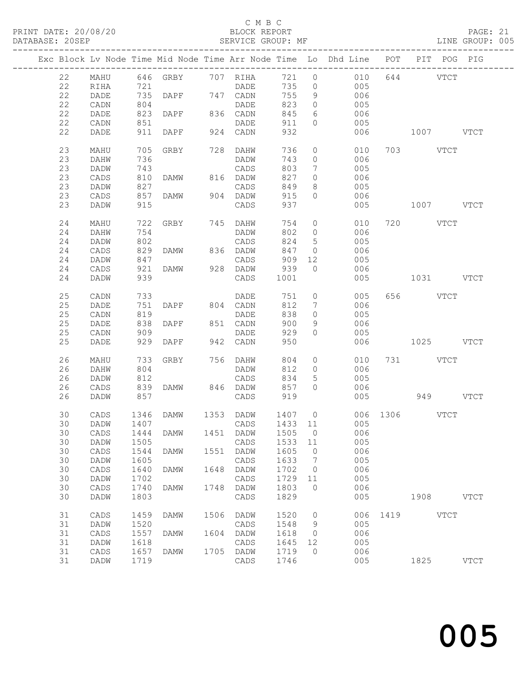# C M B C<br>BLOCK REPORT

PAGE: 21<br>LINE GROUP: 005

|  |    |                 |      |                                  |      |           |         |                 | Exc Block Lv Node Time Mid Node Time Arr Node Time Lo Dhd Line POT |      | PIT POG PIG   |             |             |
|--|----|-----------------|------|----------------------------------|------|-----------|---------|-----------------|--------------------------------------------------------------------|------|---------------|-------------|-------------|
|  | 22 | MAHU            |      | 646 GRBY 707 RIHA                |      |           | 721 0   |                 | 010                                                                |      | 644 VTCT      |             |             |
|  | 22 | RIHA            | 721  |                                  |      | DADE      | 735     | $\overline{0}$  | 005                                                                |      |               |             |             |
|  | 22 |                 |      |                                  |      |           | 755     | 9               | 006                                                                |      |               |             |             |
|  |    | DADE            |      | 721<br>735 DAPF 747 CADN<br>התרח |      |           |         |                 |                                                                    |      |               |             |             |
|  | 22 | CADN            | 804  |                                  |      | DADE      | 823     | $\overline{0}$  | 005                                                                |      |               |             |             |
|  | 22 | DADE            | 823  | DAPF 836 CADN                    |      |           | 845     | 6               | 006                                                                |      |               |             |             |
|  | 22 | CADN            | 851  |                                  |      | DADE      | 911     | $\circ$         | 005                                                                |      |               |             |             |
|  | 22 | DADE            | 911  | DAPF                             |      | 924 CADN  | 932     |                 | 006                                                                |      | 1007 VTCT     |             |             |
|  | 23 | MAHU            | 705  | GRBY                             |      | 728 DAHW  | 736     | $\circ$         | 010                                                                |      | 703 VTCT      |             |             |
|  | 23 | DAHW            | 736  |                                  |      | DADW      | 743     | $\circ$         | 006                                                                |      |               |             |             |
|  | 23 | DADW            | 743  |                                  |      | CADS      | 803     | $7\phantom{.0}$ | 005                                                                |      |               |             |             |
|  | 23 | CADS            | 810  | DAMW                             |      | 816 DADW  | 827     | $\circ$         | 006                                                                |      |               |             |             |
|  | 23 | DADW            | 827  |                                  |      | CADS      | 849     | 8               | 005                                                                |      |               |             |             |
|  | 23 | CADS            | 857  | DAMW                             |      | 904 DADW  | 915     | $\circ$         | 006                                                                |      |               |             |             |
|  | 23 | DADW            | 915  |                                  |      | CADS      | 937     |                 | 005                                                                |      | 1007 VTCT     |             |             |
|  |    |                 |      |                                  |      |           |         |                 |                                                                    |      |               |             |             |
|  | 24 | MAHU            | 722  | GRBY 745 DAHW                    |      |           | 754     | $\circ$         | 010                                                                |      | 720 VTCT      |             |             |
|  | 24 | <b>DAHW</b>     | 754  |                                  |      | DADW      | 802     | $\circ$         | 006                                                                |      |               |             |             |
|  | 24 | DADW            | 802  |                                  |      | CADS      | 824     | $5\overline{)}$ | 005                                                                |      |               |             |             |
|  | 24 | CADS            | 829  | DAMW                             |      | 836 DADW  | 847     | $\overline{0}$  | 006                                                                |      |               |             |             |
|  | 24 | DADW            | 847  |                                  |      | CADS      | 909     | 12              | 005                                                                |      |               |             |             |
|  |    |                 |      |                                  |      |           |         |                 |                                                                    |      |               |             |             |
|  | 24 | CADS            | 921  | DAMW                             |      | 928 DADW  | 939     | $\Omega$        | 006                                                                |      |               |             |             |
|  | 24 | DADW            | 939  |                                  |      | CADS      | 1001    |                 | 005                                                                |      | 1031 VTCT     |             |             |
|  | 25 | CADN            | 733  |                                  |      | DADE      | 751     | $\circ$         | 005                                                                |      | 656 VTCT      |             |             |
|  | 25 | DADE            | 751  | DAPF 804 CADN                    |      |           | 812     | $7\phantom{.0}$ | 006                                                                |      |               |             |             |
|  | 25 | CADN            | 819  |                                  |      | DADE      | 838     | $\circ$         | 005                                                                |      |               |             |             |
|  | 25 | DADE            | 838  | DAPF                             |      | 851 CADN  | 900     | 9               | 006                                                                |      |               |             |             |
|  | 25 | CADN            | 909  |                                  |      | DADE      | 929     | $\circ$         | 005                                                                |      |               |             |             |
|  | 25 | DADE            |      | 929 DAPF                         |      | 942 CADN  | 950     |                 | 006                                                                |      | 1025 VTCT     |             |             |
|  |    |                 |      |                                  |      |           |         |                 |                                                                    |      |               |             |             |
|  | 26 | MAHU            | 733  | GRBY                             |      | 756 DAHW  | 804     | $\circ$         | 010                                                                |      | 731 VTCT      |             |             |
|  | 26 | DAHW            | 804  |                                  |      | DADW      | 812     | $\circ$         | 006                                                                |      |               |             |             |
|  | 26 | DADW            | 812  |                                  |      | CADS      | 834     | 5               | 005                                                                |      |               |             |             |
|  | 26 | CADS            | 839  | DAMW 846 DADW                    |      |           | 857     | $\circ$         | 006                                                                |      |               |             |             |
|  | 26 | DADW            | 857  |                                  |      | CADS      | 919     |                 | 005                                                                |      | 949 VTCT      |             |             |
|  |    |                 |      |                                  |      |           |         |                 |                                                                    |      |               |             |             |
|  | 30 | CADS            | 1346 | DAMW                             |      | 1353 DADW | 1407 0  |                 |                                                                    |      | 006 1306 VTCT |             |             |
|  | 30 | DADW            | 1407 |                                  |      | CADS      | 1433 11 |                 | 005                                                                |      |               |             |             |
|  |    |                 |      | 30 CADS 1444 DAMW                |      |           |         |                 | 1451 DADW 1505 0 006                                               |      |               |             |             |
|  | 30 | DADW            | 1505 |                                  |      | CADS      | 1533    | 11              | 005                                                                |      |               |             |             |
|  | 30 | $\mathtt{CADS}$ | 1544 | DAMW                             | 1551 | DADW      | 1605    | 0               | 006                                                                |      |               |             |             |
|  | 30 | DADW            | 1605 |                                  |      | CADS      | 1633    | 7               | 005                                                                |      |               |             |             |
|  |    |                 |      |                                  |      |           |         |                 |                                                                    |      |               |             |             |
|  | 30 | CADS            | 1640 | DAMW                             | 1648 | DADW      | 1702    | $\circ$         | 006                                                                |      |               |             |             |
|  | 30 | DADW            | 1702 |                                  |      | CADS      | 1729    | 11              | 005                                                                |      |               |             |             |
|  | 30 | CADS            | 1740 | DAMW                             | 1748 | DADW      | 1803    | $\circ$         | 006                                                                |      |               |             |             |
|  | 30 | DADW            | 1803 |                                  |      | CADS      | 1829    |                 | 005                                                                |      | 1908          |             | <b>VTCT</b> |
|  | 31 | CADS            | 1459 | DAMW                             | 1506 | DADW      | 1520    | 0               | 006                                                                | 1419 |               | <b>VTCT</b> |             |
|  | 31 | DADW            | 1520 |                                  |      | CADS      | 1548    | 9               | 005                                                                |      |               |             |             |
|  | 31 | CADS            | 1557 | DAMW                             | 1604 | DADW      | 1618    | 0               | 006                                                                |      |               |             |             |
|  | 31 | DADW            | 1618 |                                  |      | CADS      | 1645    | 12              | 005                                                                |      |               |             |             |
|  | 31 | CADS            | 1657 | <b>DAMW</b>                      | 1705 | DADW      | 1719    | $\circ$         | 006                                                                |      |               |             |             |
|  | 31 | DADW            | 1719 |                                  |      | CADS      | 1746    |                 | 005                                                                |      | 1825          |             | <b>VTCT</b> |
|  |    |                 |      |                                  |      |           |         |                 |                                                                    |      |               |             |             |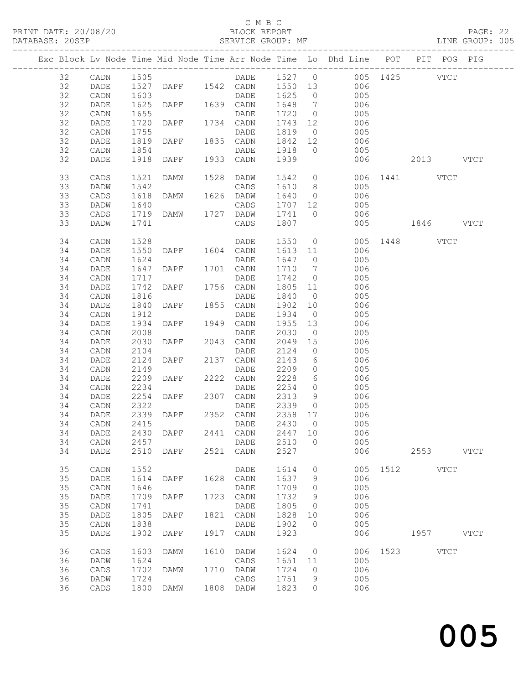# C M B C<br>BLOCK REPORT<br>SERVICE GROUP: MF

| PRINT DATE: 20/08/20<br>DATABASE: 20SEP |    |                                                 |                        |                        |      |                   |         |                | BLOCK REPORT<br>SERVICE GROUP: MF                                              |               |      |             | -<br>LINE GROUP: 005<br>---------- |  |
|-----------------------------------------|----|-------------------------------------------------|------------------------|------------------------|------|-------------------|---------|----------------|--------------------------------------------------------------------------------|---------------|------|-------------|------------------------------------|--|
|                                         |    |                                                 |                        |                        |      |                   |         |                | Exc Block Lv Node Time Mid Node Time Arr Node Time Lo Dhd Line POT PIT POG PIG |               |      |             |                                    |  |
|                                         |    | ----------<br>32 CADN 1505<br>32 DADE 1527 DAPF |                        |                        |      |                   |         |                | DADE 1527 0 005 1425 VTCT DAPF 1542 CADN 1550 13 006                           |               |      |             |                                    |  |
|                                         |    |                                                 |                        |                        |      |                   |         |                |                                                                                |               |      |             |                                    |  |
|                                         | 32 | CADN                                            | 1603                   |                        |      | DADE              |         |                | 1625 0 005                                                                     |               |      |             |                                    |  |
|                                         | 32 | DADE                                            | 1625                   | DADE<br>DAPF 1639 CADN |      |                   |         |                | 1648 7 006                                                                     |               |      |             |                                    |  |
|                                         | 32 | CADN                                            | 1655                   |                        |      | DADE              | 1720 0  |                | 005                                                                            |               |      |             |                                    |  |
|                                         | 32 | DADE                                            | 1720                   | DAPF                   |      | 1734 CADN         |         |                |                                                                                |               |      |             |                                    |  |
|                                         | 32 | CADN                                            | 1755                   |                        |      | DADE              |         |                | 1819 0 005                                                                     |               |      |             |                                    |  |
|                                         | 32 | DADE                                            | 1819                   | DAPF 1835 CADN         |      |                   |         |                | 1842 12 006                                                                    |               |      |             |                                    |  |
|                                         | 32 | CADN                                            |                        |                        |      | DADE              | 1918 0  |                | 005                                                                            |               |      |             |                                    |  |
|                                         | 32 | DADE                                            | 1854<br>1918           | <b>DAPF</b>            |      | 1933 CADN         | 1939    |                | 006                                                                            | 2013 VTCT     |      |             |                                    |  |
|                                         |    |                                                 |                        |                        |      |                   |         |                |                                                                                |               |      |             |                                    |  |
|                                         | 33 | CADS                                            | 1521                   | DAMW                   | 1528 | DADW              |         |                | 1542 0 006 1441 VTCT                                                           |               |      |             |                                    |  |
|                                         | 33 | DADW                                            | 1542                   |                        |      | CADS              |         |                |                                                                                |               |      |             |                                    |  |
|                                         | 33 | CADS                                            | 1618                   | DAMW                   |      | 1626 DADW         |         |                | 1610 8 005<br>1640 0 006                                                       |               |      |             |                                    |  |
|                                         | 33 | DADW                                            | 1640                   |                        |      | CADS              |         |                | 1707 12 005                                                                    |               |      |             |                                    |  |
|                                         | 33 | CADS                                            | 1719                   | <b>DAMW</b>            |      | 1727 DADW         |         |                | 1741 0 006                                                                     |               |      |             |                                    |  |
|                                         | 33 | DADW                                            | 1741                   |                        |      | CADS              | 1807    |                |                                                                                | 005 1846 VTCT |      |             |                                    |  |
|                                         |    |                                                 |                        |                        |      |                   |         |                |                                                                                |               |      |             |                                    |  |
|                                         | 34 | CADN                                            | 1528                   | DADE<br>DAPF 1604 CADN |      | DADE              |         |                | 1550 0 005 1448 VTCT                                                           |               |      |             |                                    |  |
|                                         | 34 | DADE                                            | 1550                   |                        |      |                   |         |                | 1613 11 006                                                                    |               |      |             |                                    |  |
|                                         | 34 | CADN                                            | 1624                   |                        |      | DADE              | 1647 0  |                | 005                                                                            |               |      |             |                                    |  |
|                                         | 34 | DADE                                            | 1647                   | DAPF                   |      | 1701 CADN         | 1710 7  |                | 006                                                                            |               |      |             |                                    |  |
|                                         | 34 | CADN                                            | 1717                   |                        |      | DADE              | 1742    | $\overline{0}$ | 005                                                                            |               |      |             |                                    |  |
|                                         | 34 | DADE                                            | 1742                   | DAPF                   |      | 1756 CADN         |         |                | 1805 11 006                                                                    |               |      |             |                                    |  |
|                                         | 34 | CADN                                            | 1816                   |                        |      | DADE              | 1840    | $\overline{0}$ | 005                                                                            |               |      |             |                                    |  |
|                                         | 34 | DADE                                            | 1840                   | DAPF                   |      | 1855 CADN         | 1902 10 |                | 006                                                                            |               |      |             |                                    |  |
|                                         | 34 | CADN                                            | 1912                   |                        |      | DADE              | 1934 0  |                | 005                                                                            |               |      |             |                                    |  |
|                                         | 34 | DADE                                            | 1934                   | DAPF 1949              |      | CADN              |         |                | 1955 13 006                                                                    |               |      |             |                                    |  |
|                                         | 34 | CADN                                            | 2008                   |                        |      | DADE              | 2030    | $\overline{0}$ | 005                                                                            |               |      |             |                                    |  |
|                                         | 34 | DADE                                            | 2030                   | DAPF                   |      | 2043 CADN         | 2049 15 |                | 006                                                                            |               |      |             |                                    |  |
|                                         | 34 | CADN                                            | 2104                   |                        |      | DADE              | 2124    | $\overline{0}$ | 005                                                                            |               |      |             |                                    |  |
|                                         | 34 | DADE                                            | 2124                   | DAPF                   |      | 2137 CADN         |         |                | 2143 6 006                                                                     |               |      |             |                                    |  |
|                                         | 34 | CADN                                            | 2149                   |                        |      | DADE              |         |                | 2209 0 005                                                                     |               |      |             |                                    |  |
|                                         | 34 | DADE                                            |                        | DAPF $2222$ CADN       |      |                   |         |                |                                                                                |               |      |             |                                    |  |
|                                         | 34 | CADN                                            |                        |                        |      |                   | 2254 0  |                | 2228 6 006<br>2254 0 005                                                       |               |      |             |                                    |  |
|                                         | 34 | DADE                                            | $2202$<br>2234<br>2254 |                        |      |                   | 2313 9  |                | 006                                                                            |               |      |             |                                    |  |
|                                         | 34 | CADN                                            | 2322                   |                        |      | DADE              |         |                | 2339 0 005                                                                     |               |      |             |                                    |  |
|                                         |    | 34 DADE 2339 DAPF                               |                        |                        |      | 2352 CADN 2358 17 |         |                | 006                                                                            |               |      |             |                                    |  |
|                                         | 34 | CADN                                            | 2415                   |                        |      | DADE              | 2430    | $\circ$        | 005                                                                            |               |      |             |                                    |  |
|                                         |    |                                                 |                        |                        |      |                   |         |                | 006                                                                            |               |      |             |                                    |  |
|                                         | 34 | DADE                                            | 2430                   | DAPF                   | 2441 | CADN              | 2447    | 10             |                                                                                |               |      |             |                                    |  |
|                                         | 34 | CADN                                            | 2457                   |                        |      | DADE              | 2510    | $\circ$        | 005                                                                            |               |      |             |                                    |  |
|                                         | 34 | DADE                                            | 2510                   | DAPF                   | 2521 | CADN              | 2527    |                | 006                                                                            |               |      | 2553 VTCT   |                                    |  |
|                                         | 35 | CADN                                            | 1552                   |                        |      | DADE              | 1614    | $\circ$        | 005                                                                            | 1512          |      | <b>VTCT</b> |                                    |  |
|                                         | 35 | DADE                                            | 1614                   | DAPF                   | 1628 | CADN              | 1637    | 9              | 006                                                                            |               |      |             |                                    |  |
|                                         | 35 | CADN                                            | 1646                   |                        |      | DADE              | 1709    | 0              | 005                                                                            |               |      |             |                                    |  |
|                                         | 35 | DADE                                            | 1709                   | DAPF                   | 1723 | CADN              | 1732    | 9              | 006                                                                            |               |      |             |                                    |  |
|                                         | 35 | CADN                                            | 1741                   |                        |      | DADE              | 1805    | 0              | 005                                                                            |               |      |             |                                    |  |
|                                         | 35 | DADE                                            | 1805                   | DAPF                   | 1821 | CADN              | 1828    | 10             | 006                                                                            |               |      |             |                                    |  |
|                                         | 35 | CADN                                            | 1838                   |                        |      | DADE              | 1902    | $\circ$        | 005                                                                            |               |      |             |                                    |  |
|                                         | 35 | DADE                                            | 1902                   | DAPF                   | 1917 | CADN              | 1923    |                | 006                                                                            |               | 1957 |             | <b>VTCT</b>                        |  |
|                                         | 36 | CADS                                            | 1603                   | DAMW                   | 1610 | DADW              | 1624    | 0              | 006                                                                            | 1523          |      | <b>VTCT</b> |                                    |  |
|                                         | 36 | DADW                                            | 1624                   |                        |      | CADS              | 1651    | 11             | 005                                                                            |               |      |             |                                    |  |
|                                         | 36 |                                                 | 1702                   |                        | 1710 |                   | 1724    |                | 006                                                                            |               |      |             |                                    |  |
|                                         | 36 | CADS                                            | 1724                   | DAMW                   |      | DADW              | 1751    | 0              | 005                                                                            |               |      |             |                                    |  |
|                                         |    | DADW                                            | 1800                   |                        | 1808 | CADS              | 1823    | 9<br>0         | 006                                                                            |               |      |             |                                    |  |
|                                         | 36 | CADS                                            |                        | DAMW                   |      | DADW              |         |                |                                                                                |               |      |             |                                    |  |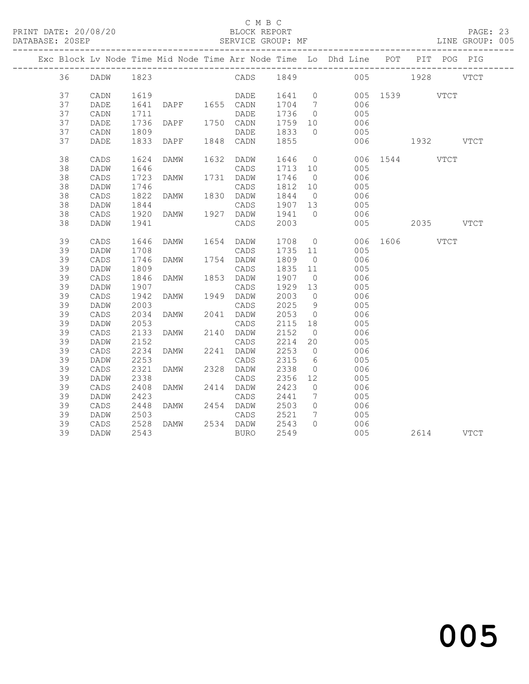## C M B C<br>BLOCK REPORT

PAGE: 23<br>LINE GROUP: 005

|  |    |                 |                  |                |             |         |                              | Exc Block Lv Node Time Mid Node Time Arr Node Time Lo Dhd Line POT PIT POG PIG |               |           |  |
|--|----|-----------------|------------------|----------------|-------------|---------|------------------------------|--------------------------------------------------------------------------------|---------------|-----------|--|
|  |    | 36 DADW 1823    |                  |                |             |         |                              | CADS 1849 005 1928 VTCT                                                        |               |           |  |
|  | 37 | CADN            | 1619             |                | DADE 1641 0 |         |                              |                                                                                | 005 1539 VTCT |           |  |
|  | 37 | DADE            | 1641             | DAPF 1655 CADN |             | 1704 7  |                              | 006                                                                            |               |           |  |
|  | 37 | CADN            | 1711             |                | DADE        | 1736 0  |                              | 005                                                                            |               |           |  |
|  | 37 | DADE            | 1736             | DAPF 1750 CADN |             | 1759 10 |                              | 006                                                                            |               |           |  |
|  | 37 | CADN            | 1809             |                | DADE        | 1833    | $\overline{0}$               | 005                                                                            |               |           |  |
|  | 37 | DADE            | 1833             | DAPF           | 1848 CADN   | 1855    |                              |                                                                                | 006 1932 VTCT |           |  |
|  |    |                 |                  |                |             |         |                              |                                                                                |               |           |  |
|  | 38 | CADS            | 1624             | DAMW           | 1632 DADW   | 1646 0  |                              |                                                                                | 006 1544 VTCT |           |  |
|  | 38 | DADW            | 1646             |                | CADS        |         |                              | 1713 10 005                                                                    |               |           |  |
|  | 38 | $\mathtt{CADS}$ | 1723             | DAMW           | 1731 DADW   | 1746    | $\overline{0}$               | 006                                                                            |               |           |  |
|  | 38 | DADW            | 1746             |                | CADS        | 1812 10 |                              | 005                                                                            |               |           |  |
|  | 38 | CADS            | 1822             | DAMW           | 1830 DADW   | 1844 0  |                              | 006                                                                            |               |           |  |
|  | 38 | DADW            | 1844             |                | CADS        | 1907 13 |                              | 005                                                                            |               |           |  |
|  | 38 | CADS            | 1920             | DAMW 1927 DADW |             | 1941 0  |                              | 006                                                                            |               |           |  |
|  | 38 | DADW            | 1941             |                | CADS        | 2003    |                              | 005                                                                            |               | 2035 VTCT |  |
|  | 39 | CADS            | 1646             | DAMW 1654 DADW |             |         |                              | $1708 \qquad 0 \qquad \qquad 006 \quad 1606 \qquad \qquad \text{VTCT}$         |               |           |  |
|  | 39 | DADW            | 1708             |                | CADS        | 1735 11 |                              | 005                                                                            |               |           |  |
|  | 39 | $\mathtt{CADS}$ | 1746             | DAMW           | 1754 DADW   | 1809    | $\overline{0}$               | 006                                                                            |               |           |  |
|  | 39 | DADW            | 1809             |                | CADS        | 1835 11 |                              | 005                                                                            |               |           |  |
|  | 39 | CADS            | 1846             | DAMW           | 1853 DADW   | 1907 0  |                              | 006                                                                            |               |           |  |
|  | 39 | DADW            | 1907             |                | CADS        | 1929 13 |                              | 005                                                                            |               |           |  |
|  | 39 | CADS            | 1942             | DAMW           | 1949 DADW   | 2003 0  |                              | 006                                                                            |               |           |  |
|  | 39 | DADW            | 2003             |                | CADS        | 2025    | 9                            | 005                                                                            |               |           |  |
|  | 39 | CADS            | 2034             | DAMW           | 2041 DADW   | 2053    | $\overline{0}$               | 006                                                                            |               |           |  |
|  | 39 | DADW            | 2053             |                | CADS        | 2115 18 |                              | 005                                                                            |               |           |  |
|  | 39 | $\mathtt{CADS}$ | 2133             | <b>DAMW</b>    | 2140 DADW   | 2152    | $\overline{0}$               | 006                                                                            |               |           |  |
|  | 39 | DADW            | 2152             |                | CADS        | 2214    | 20                           | 005                                                                            |               |           |  |
|  | 39 | $\mathtt{CADS}$ | 2234             | DAMW           | 2241 DADW   | 2253    | $\overline{0}$               | 006                                                                            |               |           |  |
|  | 39 | DADW            | 2253             |                | CADS        | 2315    | $6\overline{6}$              | 005                                                                            |               |           |  |
|  | 39 | CADS            | 2321             | DAMW           | 2328 DADW   | 2338    | $\overline{0}$               | 006                                                                            |               |           |  |
|  | 39 | DADW            | 2338             |                | CADS        | 2356    | 12                           | 005                                                                            |               |           |  |
|  | 39 | $\mathtt{CADS}$ | 2408             | DAMW           | 2414 DADW   | 2423    | $\overline{0}$               | 006                                                                            |               |           |  |
|  | 39 | DADW            | 2423             |                | CADS        | 2441    | $7\phantom{.0}\phantom{.0}7$ | 005                                                                            |               |           |  |
|  | 39 | CADS            | 2448             | DAMW 2454 DADW |             | 2503    | $\overline{0}$               | 006                                                                            |               |           |  |
|  | 39 | DADW            | 2503             |                | CADS        | 2521    | $7\overline{ }$              | 005                                                                            |               |           |  |
|  | 39 | CADS            | $2528$<br>$2542$ | DAMW           | 2534 DADW   | 2543    | $\Omega$                     | 006                                                                            |               |           |  |
|  | 39 | DADW            | 2543             |                | <b>BURO</b> | 2549    |                              | 005                                                                            |               | 2614 VTCT |  |
|  |    |                 |                  |                |             |         |                              |                                                                                |               |           |  |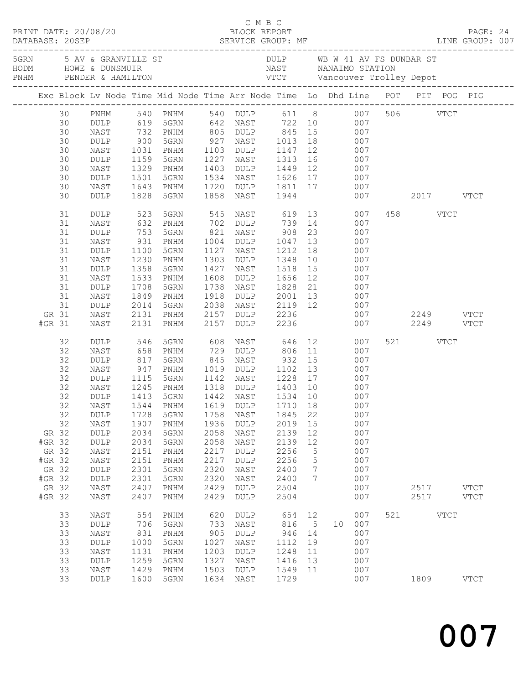|        |                 | PRINT DATE: 20/08/20     |                   | C M B C<br>BLOCK REPORT                                                                                             |              |                                        |           |                 |                                                |                              |           |             | PAGE: 24    |  |
|--------|-----------------|--------------------------|-------------------|---------------------------------------------------------------------------------------------------------------------|--------------|----------------------------------------|-----------|-----------------|------------------------------------------------|------------------------------|-----------|-------------|-------------|--|
|        | DATABASE: 20SEP |                          |                   |                                                                                                                     |              |                                        |           |                 |                                                |                              |           |             |             |  |
|        |                 | 5GRN 5 AV & GRANVILLE ST |                   |                                                                                                                     |              |                                        |           |                 |                                                | DULP WB W 41 AV FS DUNBAR ST |           |             |             |  |
|        |                 |                          |                   |                                                                                                                     |              |                                        |           |                 |                                                |                              |           |             |             |  |
|        |                 |                          |                   | Exc Block Lv Node Time Mid Node Time Arr Node Time Lo Dhd Line POT PIT POG PIG                                      |              |                                        |           |                 |                                                |                              |           |             |             |  |
|        | 30              | PNHM                     |                   | PNHM 540 PNHM 540 DULP 611 8 007 506 VTCT<br>DULP 619 5GRN 642 NAST 722 10 007<br>NAST 732 PNHM 805 DULP 845 15 007 |              |                                        |           |                 |                                                |                              |           |             |             |  |
|        | 30              |                          |                   |                                                                                                                     |              |                                        |           |                 |                                                |                              |           |             |             |  |
|        | 30              |                          |                   |                                                                                                                     |              |                                        |           |                 |                                                |                              |           |             |             |  |
|        | 30              | DULP                     | 900               | 5GRN                                                                                                                |              |                                        |           |                 | 927 NAST 1013 18 007                           |                              |           |             |             |  |
|        | 30              | NAST                     | 1031              | PNHM                                                                                                                |              |                                        |           |                 | 1103 DULP 1147 12 007                          |                              |           |             |             |  |
|        | 30              | DULP                     | 1159<br>1329      | 5GRN                                                                                                                |              |                                        |           |                 | 1227 NAST 1313 16 007<br>1403 DULP 1449 12 007 |                              |           |             |             |  |
|        | 30              | NAST                     |                   | PNHM                                                                                                                |              |                                        |           |                 | 1534 NAST 1626 17 007                          |                              |           |             |             |  |
|        | 30              | DULP                     | 1501              | 5GRN                                                                                                                |              |                                        |           |                 |                                                |                              |           |             |             |  |
|        | 30<br>30        | NAST<br>DULP             | 1643<br>1828      | PNHM<br>5GRN                                                                                                        | 1858         | NAST                                   | 1944      |                 | 1720 DULP 1811 17 007                          | 007                          | 2017 VTCT |             |             |  |
|        |                 |                          |                   |                                                                                                                     |              |                                        |           |                 |                                                |                              |           |             |             |  |
|        | 31              | DULP                     | 523               | 5GRN                                                                                                                |              | 545 NAST 619 13                        |           |                 |                                                | 007                          | 458 VTCT  |             |             |  |
|        | 31              | NAST                     | 632               | PNHM                                                                                                                |              |                                        |           |                 | 702 DULP 739 14 007                            |                              |           |             |             |  |
|        | 31              | DULP                     | 753<br>931        | 5GRN                                                                                                                |              |                                        |           |                 | 821 NAST 908 23 007<br>1004 DULP 1047 13 007   |                              |           |             |             |  |
|        | 31              | NAST                     |                   | PNHM                                                                                                                |              |                                        |           |                 | 18 007                                         |                              |           |             |             |  |
|        | 31              | DULP                     | 1100              | 5GRN                                                                                                                | 1127         |                                        | NAST 1212 |                 |                                                |                              |           |             |             |  |
|        | 31<br>31        | NAST                     | 1230<br>1358      | PNHM<br>5GRN                                                                                                        | 1303<br>1427 |                                        | DULP 1348 |                 | 10 007                                         |                              |           |             |             |  |
|        | 31              | DULP<br>NAST             | 1533              | PNHM                                                                                                                | 1608         | NAST 1518 15<br>DULP 1656 12           |           |                 | 007<br>007                                     |                              |           |             |             |  |
|        | 31              | DULP                     | 1708              | 5GRN                                                                                                                | 1738         |                                        |           |                 | NAST 1828 21 007                               |                              |           |             |             |  |
|        | 31              | NAST                     | 1849              | PNHM                                                                                                                | 1918         |                                        |           |                 | DULP 2001 13 007                               |                              |           |             |             |  |
|        | 31              | DULP                     | 2014              | 5GRN                                                                                                                | 2038         |                                        |           |                 | NAST 2119 12 007                               |                              |           |             |             |  |
| GR 31  |                 | NAST                     | 2131              | PNHM                                                                                                                | 2157         | <b>DULP</b>                            | 2236      |                 |                                                | 007                          | 2249 VTCT |             |             |  |
| #GR 31 |                 | NAST                     | 2131              | PNHM                                                                                                                | 2157         | DULP 2236                              |           |                 |                                                | 007                          | 2249 VTCT |             |             |  |
|        | 32              | DULP                     |                   | 5GRN                                                                                                                | 608          |                                        | NAST 646  |                 | 12<br>007                                      |                              | 521 VTCT  |             |             |  |
|        | 32              | NAST                     | 546<br>658<br>817 | PNHM                                                                                                                |              | 729 DULP                               | 806 11    |                 | 007                                            |                              |           |             |             |  |
|        | 32              | DULP                     |                   | 5GRN                                                                                                                | 845          | NAST                                   | $932$ 15  |                 | 007                                            |                              |           |             |             |  |
|        | 32              | NAST                     | 947               | PNHM                                                                                                                |              | 1019 DULP 1102 13                      |           |                 | 007                                            |                              |           |             |             |  |
|        | 32              | DULP                     | 1115              | 5GRN                                                                                                                |              | 1142 NAST 1228 17                      |           |                 | 007                                            |                              |           |             |             |  |
|        | 32<br>32        | NAST                     | 1245<br>1413      | PNHM<br>5GRN                                                                                                        |              | 1318 DULP 1403 10<br>1442 NAST 1534 10 |           |                 | $\begin{array}{c} 007 \\ 007 \end{array}$      |                              |           |             |             |  |
|        | 32              | DULP                     |                   | NAST 1544 PNHM 1619 DULP 1710 18 007                                                                                |              | 1442 NAST                              |           |                 |                                                |                              |           |             |             |  |
|        | 32              | DULP                     | 1728              | 5GRN                                                                                                                | 1758         | NAST                                   | 1845      | 22              | 007                                            |                              |           |             |             |  |
|        | 32              | NAST                     | 1907              | PNHM                                                                                                                | 1936         | DULP                                   | 2019      | 15              | 007                                            |                              |           |             |             |  |
| GR 32  |                 | DULP                     | 2034              | 5GRN                                                                                                                | 2058         | NAST                                   | 2139      | 12              | 007                                            |                              |           |             |             |  |
| #GR 32 |                 | DULP                     | 2034              | 5GRN                                                                                                                | 2058         | NAST                                   | 2139      | 12              | 007                                            |                              |           |             |             |  |
| GR 32  |                 | NAST                     | 2151              | PNHM                                                                                                                | 2217         | DULP                                   | 2256      | 5               | 007                                            |                              |           |             |             |  |
| #GR 32 |                 | NAST                     | 2151              | PNHM                                                                                                                | 2217         | DULP                                   | 2256      | $\mathsf S$     | 007                                            |                              |           |             |             |  |
| GR 32  |                 | DULP                     | 2301              | 5GRN                                                                                                                | 2320         | NAST                                   | 2400      | $7\phantom{.0}$ | 007                                            |                              |           |             |             |  |
| #GR 32 |                 | DULP                     | 2301              | 5GRN                                                                                                                | 2320         | NAST                                   | 2400      | 7               | 007                                            |                              |           |             |             |  |
| GR 32  |                 | NAST                     | 2407              | PNHM                                                                                                                | 2429         | DULP                                   | 2504      |                 | 007                                            |                              | 2517      |             | <b>VTCT</b> |  |
| #GR 32 |                 | NAST                     | 2407              | PNHM                                                                                                                | 2429         | DULP                                   | 2504      |                 | 007                                            |                              | 2517 VTCT |             |             |  |
|        | 33              | NAST                     | 554               | PNHM                                                                                                                | 620          | <b>DULP</b>                            | 654       | 12              | 007                                            |                              | 521 000   | <b>VTCT</b> |             |  |
|        | 33              | DULP                     | 706               | 5GRN                                                                                                                | 733          | NAST                                   | 816       | $5^{\circ}$     | 007<br>10                                      |                              |           |             |             |  |
|        | 33              | NAST                     | 831               | PNHM                                                                                                                | 905          | DULP                                   | 946       | 14              | 007                                            |                              |           |             |             |  |
|        | 33              | DULP                     | 1000              | 5GRN                                                                                                                | 1027         | NAST                                   | 1112      | 19              | 007                                            |                              |           |             |             |  |
|        | 33              | NAST                     | 1131              | PNHM                                                                                                                | 1203         | DULP                                   | 1248      | 11              | 007                                            |                              |           |             |             |  |
|        | 33              | DULP                     | 1259              | 5GRN                                                                                                                | 1327         | NAST                                   | 1416      | 13              | 007                                            |                              |           |             |             |  |
|        | 33              | NAST                     | 1429              | PNHM                                                                                                                | 1503         | DULP                                   | 1549      | 11              | 007                                            |                              |           |             |             |  |
|        | 33              | DULP                     | 1600              | 5GRN                                                                                                                | 1634         | NAST                                   | 1729      |                 | 007                                            |                              | 1809      |             | <b>VTCT</b> |  |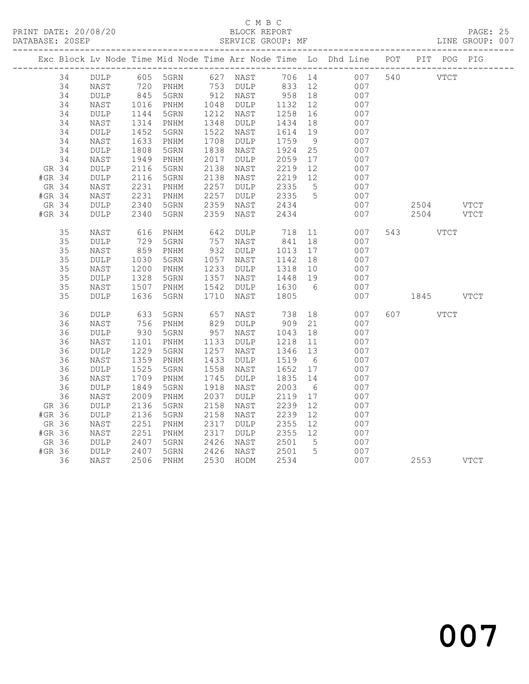### C M B C<br>
C M B C<br>
ELOCK REPORT DATABASE: 20SEP SERVICE GROUP: MF LINE GROUP: 007

|          |    |                            |                      |                              |      |                      |                  |                 | Exc Block Lv Node Time Mid Node Time Arr Node Time Lo Dhd Line POT PIT POG PIG |                        |  |
|----------|----|----------------------------|----------------------|------------------------------|------|----------------------|------------------|-----------------|--------------------------------------------------------------------------------|------------------------|--|
|          | 34 | DULP                       |                      | 605 5GRN 627 NAST 706 14     |      |                      |                  |                 | 007                                                                            | 540 VTCT               |  |
|          | 34 | NAST                       | 720<br>845           | PNHM                         |      | 753 DULP<br>912 NAST | 833 12<br>958 18 |                 | 007                                                                            |                        |  |
|          | 34 | DULP                       |                      | 5GRN                         |      |                      |                  |                 | 007                                                                            |                        |  |
|          | 34 | NAST                       | 1016                 | PNHM                         | 1048 | DULP                 | 1132             | 12              | 007                                                                            |                        |  |
|          | 34 | $\texttt{DULP}$            | 1144                 | 5GRN                         | 1212 | NAST                 | 1258             | 16              | 007                                                                            |                        |  |
|          | 34 | NAST                       | 1314                 | PNHM                         | 1348 | DULP                 | 1434             | 18              | 007                                                                            |                        |  |
|          | 34 | $\texttt{DULP}$            | 1452                 | 5GRN                         | 1522 | NAST                 | 1614             | 19              | 007                                                                            |                        |  |
|          | 34 | NAST                       | 1633                 | PNHM                         | 1708 | $\texttt{DULP}$      | 1759             | 9               | 007                                                                            |                        |  |
|          | 34 | $\texttt{DULP}$            | 1808                 | 5GRN                         | 1838 | NAST                 | 1924             | 25              | 007                                                                            |                        |  |
|          | 34 | NAST                       | 1949                 | PNHM                         | 2017 | DULP                 | 2059             | 17              | 007                                                                            |                        |  |
| GR 34    |    | $\texttt{DULP}$            | 2116                 | 5GRN                         | 2138 | NAST                 | 2219             | 12              | 007                                                                            |                        |  |
| $#GR$ 34 |    | DULP                       | 2116                 | 5GRN                         | 2138 | NAST                 | 2219             | 12              | 007                                                                            |                        |  |
| GR 34    |    | $\ensuremath{\text{NAST}}$ | 2231                 | $\mathop{\rm PNHM}\nolimits$ | 2257 | DULP                 | 2335             | 5 <sup>5</sup>  | 007                                                                            |                        |  |
| #GR 34   |    | NAST                       | 2231                 | PNHM                         | 2257 | DULP                 | 2335             | $5^{\circ}$     | 007                                                                            |                        |  |
| GR 34    |    | DULP                       | 2340                 | 5GRN                         | 2359 | NAST                 | 2434             |                 | 007                                                                            | 2504 VTCT<br>2504 VTCT |  |
| #GR 34   |    | DULP                       | 2340                 | 5GRN                         | 2359 | NAST                 | 2434             |                 | 007                                                                            |                        |  |
|          | 35 | NAST                       | 616                  | PNHM                         | 642  | DULP                 | 718              |                 | 11<br>007                                                                      | 543 VTCT               |  |
|          | 35 | $\texttt{DULP}$            | 729                  | 5GRN                         | 757  | NAST                 | 841              | 18              | 007                                                                            |                        |  |
|          | 35 | NAST                       | 859                  | PNHM                         | 932  | DULP                 | 1013             | 17              | 007                                                                            |                        |  |
|          | 35 | $\texttt{DULP}$            | 1030                 | 5GRN                         | 1057 | NAST                 | 1142             | 18              | 007                                                                            |                        |  |
|          | 35 | NAST                       | 1200                 | PNHM                         | 1233 | DULP                 | 1318             | 10              | 007                                                                            |                        |  |
|          | 35 | $\texttt{DULP}$            |                      | 5GRN                         | 1357 | NAST                 | 1448             | 19              | 007                                                                            |                        |  |
|          | 35 | NAST                       | $1507$<br>$1507$     | PNHM                         | 1542 | DULP                 | 1630             | 6               | 007                                                                            |                        |  |
|          | 35 | DULP                       | 1636                 | 5GRN                         | 1710 | NAST                 | 1805             |                 | 007                                                                            | 1845 VTCT              |  |
|          | 36 | $\texttt{DULP}$            | 633                  | 5GRN                         | 657  | NAST                 | 738              | 18              | 007                                                                            | 607 VTCT               |  |
|          | 36 | NAST                       | 756                  | PNHM                         | 829  | DULP                 | 909              | 21              | 007                                                                            |                        |  |
|          | 36 | $\texttt{DULP}$            | 930                  | 5GRN                         | 957  | NAST                 | 1043             | 18              | 007                                                                            |                        |  |
|          | 36 | NAST                       | 1101                 | PNHM                         | 1133 | DULP                 | 1218             | 11              | 007                                                                            |                        |  |
|          | 36 | $\texttt{DULP}$            | 1229                 | 5GRN                         | 1257 | NAST                 | 1346             | 13              | 007                                                                            |                        |  |
|          | 36 | NAST                       | 1359                 | PNHM                         | 1433 | DULP                 | 1519             | 6               | 007                                                                            |                        |  |
|          | 36 | DULP                       | 1525                 | 5GRN                         | 1558 | NAST                 | 1652             | 17              | 007                                                                            |                        |  |
|          | 36 | NAST                       | 1709                 | PNHM                         | 1745 | <b>DULP</b>          | 1835             | 14              | 007                                                                            |                        |  |
|          | 36 | $\texttt{DULP}$            | 1849                 | 5GRN                         | 1918 | NAST                 | 2003             | $6\overline{6}$ | 007                                                                            |                        |  |
|          | 36 | NAST                       | 2009                 | PNHM                         | 2037 | DULP                 | 2119             | 17              | 007                                                                            |                        |  |
| GR 36    |    | DULP                       | 2136                 | 5GRN                         | 2158 | NAST                 | 2239             | 12              | 007                                                                            |                        |  |
| #GR 36   |    | $\texttt{DULP}$            | 2136                 | 5GRN                         | 2158 | NAST                 | 2239             | 12              | 007                                                                            |                        |  |
| GR 36    |    | NAST                       | 2251                 | PNHM                         | 2317 | <b>DULP</b>          | 2355             | 12              | 007                                                                            |                        |  |
| #GR 36   |    | NAST                       | 2251                 | PNHM                         | 2317 | DULP                 | 2355 12          |                 | 007                                                                            |                        |  |
| GR 36    |    | DULP                       | 2407<br>2407<br>2407 | 5GRN                         | 2426 | NAST                 | 2501             | $5\overline{)}$ | 007                                                                            |                        |  |
| #GR 36   |    | DULP                       |                      | 5GRN                         | 2426 | NAST                 | 2501             | $5\overline{)}$ | 007                                                                            |                        |  |
|          | 36 | NAST                       | 2506                 | PNHM                         |      | 2530 HODM            | 2534             |                 | 007                                                                            | 2553 VTCT              |  |
|          |    |                            |                      |                              |      |                      |                  |                 |                                                                                |                        |  |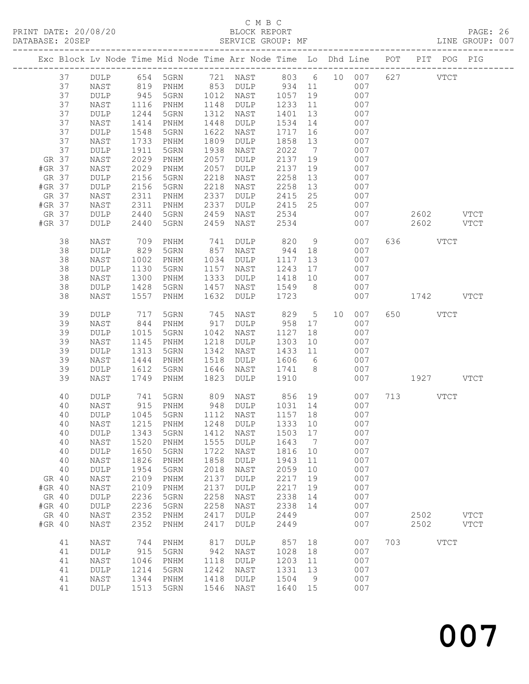# C M B C

| DATABASE: 20SEP |                              |               | SERVICE GROUP: MF                                                              |      |                      |                    |                 |    |     |     |           |             | LINE GROUP: 007 |
|-----------------|------------------------------|---------------|--------------------------------------------------------------------------------|------|----------------------|--------------------|-----------------|----|-----|-----|-----------|-------------|-----------------|
|                 |                              |               | Exc Block Lv Node Time Mid Node Time Arr Node Time Lo Dhd Line POT PIT POG PIG |      |                      |                    |                 |    |     |     |           |             |                 |
| 37              |                              |               | DULP 654 5GRN 721 NAST 803 6 10 007 627 VTCT                                   |      |                      |                    |                 |    |     |     |           |             |                 |
| 37              | NAST                         | 819           |                                                                                |      | PNHM 853 DULP 934 11 |                    |                 |    | 007 |     |           |             |                 |
| 37              | DULP                         | $945$<br>1116 |                                                                                |      | 5GRN 1012 NAST 1057  |                    | 19              |    | 007 |     |           |             |                 |
| 37              | NAST                         |               | PNHM                                                                           |      | 1148 DULP            | 1233               | 11              |    | 007 |     |           |             |                 |
| 37              | DULP                         | 1244          | 5GRN                                                                           | 1312 | NAST                 | 1401               | 13              |    | 007 |     |           |             |                 |
| 37              | NAST                         | 1414          | PNHM                                                                           | 1448 | DULP                 | 1534               | 14              |    | 007 |     |           |             |                 |
| 37              | DULP                         | 1548          | 5GRN                                                                           | 1622 | NAST                 | 1717               | 16              |    | 007 |     |           |             |                 |
| 37              | NAST                         | 1733          | PNHM                                                                           | 1809 | DULP                 | 1858               | 13              |    | 007 |     |           |             |                 |
| 37              | DULP                         | 1911          | 5GRN                                                                           | 1938 | NAST                 | 2022               | $7\overline{)}$ |    | 007 |     |           |             |                 |
| GR 37           | NAST                         | 2029          | PNHM                                                                           | 2057 | DULP                 | 2137 19            |                 |    | 007 |     |           |             |                 |
| #GR 37          | NAST                         | 2029          | PNHM                                                                           | 2057 | DULP                 | 2137               | 19              |    | 007 |     |           |             |                 |
| GR 37           | DULP                         | 2156          | 5GRN                                                                           | 2218 | NAST                 | 2258               | 13              |    | 007 |     |           |             |                 |
| #GR 37          | DULP                         | 2156          | 5GRN                                                                           | 2218 | NAST                 | 2258               | 13              |    | 007 |     |           |             |                 |
| GR 37           | NAST                         | 2311          | $\mathop{\rm PNHM}\nolimits$                                                   | 2337 | DULP                 | 2415 25            |                 |    | 007 |     |           |             |                 |
| #GR 37          | NAST                         | 2311          | PNHM                                                                           | 2337 | DULP                 | 2415 25            |                 |    | 007 |     |           |             |                 |
| GR 37           |                              | 2440          |                                                                                | 2459 |                      |                    |                 |    |     |     |           |             |                 |
|                 | DULP                         |               | 5GRN                                                                           |      | NAST                 | 2534               |                 |    | 007 |     | 2602 VTCT |             |                 |
| #GR 37          | DULP                         | 2440          | 5GRN                                                                           | 2459 | NAST                 | 2534               |                 |    | 007 |     | 2602 VTCT |             |                 |
| 38              | NAST                         | 709           | PNHM                                                                           | 741  | DULP                 | 820                | 9               |    | 007 |     | 636 VTCT  |             |                 |
| 38              | DULP                         | 829           | 5GRN                                                                           | 857  | NAST                 | 944                | 18              |    | 007 |     |           |             |                 |
| 38              | NAST                         | 1002          | PNHM                                                                           |      | 1034 DULP            | 1117               | 13              |    | 007 |     |           |             |                 |
| 38              | $\texttt{DULP}$              | 1130          | 5GRN                                                                           | 1157 | NAST                 | 1243               | 17              |    | 007 |     |           |             |                 |
| 38              | NAST                         | 1300          | PNHM                                                                           | 1333 | DULP                 | 1418               | 10              |    | 007 |     |           |             |                 |
| 38              | DULP                         | 1428          | 5GRN                                                                           | 1457 | NAST                 | 1549 8             |                 |    | 007 |     |           |             |                 |
| 38              | NAST                         | 1557          | PNHM                                                                           | 1632 | DULP                 | 1723               |                 |    | 007 |     | 1742 VTCT |             |                 |
| 39              | DULP                         | 717           | 5GRN                                                                           | 745  | NAST                 | 829                | $5\overline{)}$ | 10 | 007 |     | 650 VTCT  |             |                 |
| 39              | NAST                         | 844           | PNHM                                                                           | 917  | DULP                 | 958                | 17              |    | 007 |     |           |             |                 |
| 39              | DULP                         | 1015          | 5GRN                                                                           | 1042 | NAST                 | 1127               | 18              |    | 007 |     |           |             |                 |
| 39              | NAST                         | 1145          | PNHM                                                                           | 1218 | DULP                 | 1303               | 10              |    | 007 |     |           |             |                 |
| 39              | DULP                         | 1313          | 5GRN                                                                           | 1342 | NAST                 | 1433 11            |                 |    | 007 |     |           |             |                 |
| 39              | NAST                         | 1444          | PNHM                                                                           | 1518 | DULP                 | 1606               | 6               |    | 007 |     |           |             |                 |
| 39              | DULP                         | 1612          | 5GRN                                                                           | 1646 | NAST                 | 1741 8             |                 |    | 007 |     |           |             |                 |
| 39              | NAST                         | 1749          | PNHM                                                                           | 1823 | DULP                 | 1910               |                 |    | 007 |     | 1927 VTCT |             |                 |
| 40              | DULP                         | 741           | 5GRN                                                                           |      | 809 NAST             | 856                |                 | 19 | 007 |     | 713 VTCT  |             |                 |
| 40              | NAST                         | 915           | PNHM                                                                           |      | 948 DULP             |                    |                 |    | 007 |     |           |             |                 |
| 40              | <b>DULP</b>                  | 1045          | 5GRN                                                                           |      | 1112 NAST            | 1031 14<br>1157 18 |                 |    | 007 |     |           |             |                 |
|                 |                              |               | 40 NAST 1215 PNHM 1248 DULP 1333 10 007                                        |      |                      |                    |                 |    |     |     |           |             |                 |
|                 |                              |               |                                                                                |      |                      |                    |                 |    |     |     |           |             |                 |
| 40              | DULP                         | 1343          | 5GRN                                                                           | 1412 | NAST                 | 1503               | 17              |    | 007 |     |           |             |                 |
| 40              | NAST                         | 1520          | PNHM                                                                           | 1555 | DULP                 | 1643               | $\overline{7}$  |    | 007 |     |           |             |                 |
| 40              | DULP                         | 1650          | 5GRN                                                                           | 1722 | NAST                 | 1816               | 10              |    | 007 |     |           |             |                 |
| 40              | NAST                         | 1826          | PNHM                                                                           | 1858 | DULP                 | 1943               | 11              |    | 007 |     |           |             |                 |
| 40              | DULP                         | 1954          | 5GRN                                                                           | 2018 | NAST                 | 2059               | 10              |    | 007 |     |           |             |                 |
| GR 40           | $\ensuremath{\mathsf{NAST}}$ | 2109          | PNHM                                                                           | 2137 | $\texttt{DULP}$      | 2217               | 19              |    | 007 |     |           |             |                 |
| #GR 40          | NAST                         | 2109          | PNHM                                                                           | 2137 | DULP                 | 2217               | 19              |    | 007 |     |           |             |                 |
| GR 40           | DULP                         | 2236          | 5GRN                                                                           | 2258 | NAST                 | 2338               | 14              |    | 007 |     |           |             |                 |
| #GR 40          | DULP                         | 2236          | 5GRN                                                                           | 2258 | NAST                 | 2338               | 14              |    | 007 |     |           |             |                 |
| GR 40           | NAST                         | 2352          | PNHM                                                                           | 2417 | DULP                 | 2449               |                 |    | 007 |     | 2502      |             | <b>VTCT</b>     |
| #GR 40          | NAST                         | 2352          | PNHM                                                                           | 2417 | DULP                 | 2449               |                 |    | 007 |     | 2502      |             | VTCT            |
| 41              | NAST                         | 744           | PNHM                                                                           | 817  | <b>DULP</b>          | 857                | 18              |    | 007 | 703 |           | <b>VTCT</b> |                 |
| 41              | DULP                         | 915           | 5GRN                                                                           | 942  | NAST                 | 1028               | 18              |    | 007 |     |           |             |                 |
| 41              | NAST                         | 1046          | PNHM                                                                           | 1118 | DULP                 | 1203               | 11              |    | 007 |     |           |             |                 |
| 41              | DULP                         | 1214          | 5GRN                                                                           | 1242 | NAST                 | 1331               | 13              |    | 007 |     |           |             |                 |
| 41              | NAST                         | 1344          | PNHM                                                                           | 1418 | DULP                 | 1504               | $\overline{9}$  |    | 007 |     |           |             |                 |
| 41              | <b>DULP</b>                  | 1513          | 5GRN                                                                           | 1546 | NAST                 | 1640               | 15              |    | 007 |     |           |             |                 |
|                 |                              |               |                                                                                |      |                      |                    |                 |    |     |     |           |             |                 |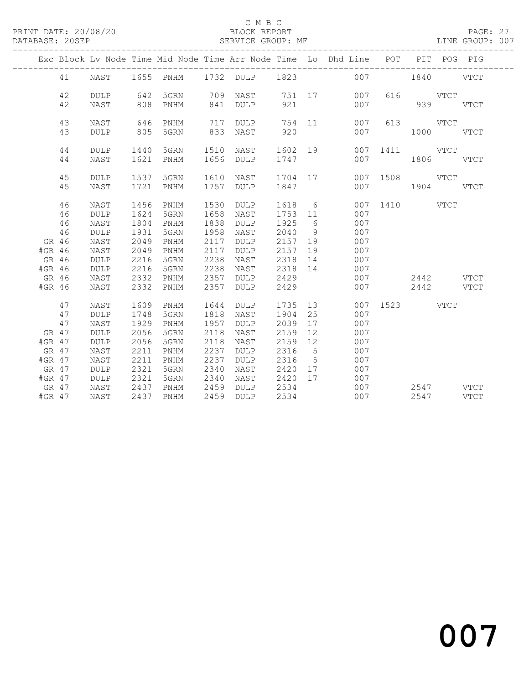# C M B C<br>BLOCK REPORT

PAGE: 27<br>LINE GROUP: 007

|          |    |             |      |           |      |      |         |                 | Exc Block Lv Node Time Mid Node Time Arr Node Time Lo Dhd Line POT |               |               | PIT POG PIG |             |
|----------|----|-------------|------|-----------|------|------|---------|-----------------|--------------------------------------------------------------------|---------------|---------------|-------------|-------------|
|          | 41 | NAST        |      |           |      |      |         |                 | 1655 PNHM 1732 DULP 1823 007 1840 VTCT                             |               |               |             |             |
|          | 42 | <b>DULP</b> | 642  | 5GRN      | 709  |      |         |                 | NAST 751 17 007                                                    |               | 616 VTCT      |             |             |
|          | 42 | NAST        | 808  | PNHM      | 841  | DULP | 921     |                 | 007                                                                |               | 939           |             | VTCT        |
|          | 43 | NAST        | 646  | PNHM      | 717  | DULP |         |                 | 754 11<br>007                                                      |               | 613 VTCT      |             |             |
|          | 43 | <b>DULP</b> | 805  | 5GRN      | 833  | NAST | 920     |                 | 007                                                                |               | $1000$ $VTCT$ |             |             |
|          | 44 | <b>DULP</b> | 1440 | 5GRN      | 1510 | NAST | 1602 19 |                 |                                                                    | 007 1411 VTCT |               |             |             |
|          | 44 | NAST        | 1621 | PNHM      | 1656 | DULP | 1747    |                 | 007                                                                |               | 1806 VTCT     |             |             |
|          | 45 | <b>DULP</b> |      | 1537 5GRN | 1610 | NAST | 1704 17 |                 |                                                                    | 007 1508 VTCT |               |             |             |
|          | 45 | NAST        | 1721 | PNHM      | 1757 | DULP | 1847    |                 |                                                                    | 007           | 1904 VTCT     |             |             |
|          | 46 | NAST        | 1456 | PNHM      | 1530 | DULP | 1618 6  |                 |                                                                    | 007 1410 VTCT |               |             |             |
|          | 46 | <b>DULP</b> | 1624 | 5GRN      | 1658 | NAST | 1753 11 |                 | 007                                                                |               |               |             |             |
|          | 46 | NAST        | 1804 | PNHM      | 1838 | DULP | 1925    | 6               | 007                                                                |               |               |             |             |
|          | 46 | DULP        | 1931 | 5GRN      | 1958 | NAST | 2040    | 9               | 007                                                                |               |               |             |             |
| GR 46    |    | NAST        | 2049 | PNHM      | 2117 | DULP | 2157 19 |                 | 007                                                                |               |               |             |             |
| #GR 46   |    | NAST        | 2049 | PNHM      | 2117 | DULP | 2157    | 19              | 007                                                                |               |               |             |             |
| GR 46    |    | DULP        | 2216 | 5GRN      | 2238 | NAST | 2318 14 |                 | 007                                                                |               |               |             |             |
| #GR 46   |    | DULP        | 2216 | 5GRN      | 2238 | NAST | 2318 14 |                 | 007                                                                |               |               |             |             |
| GR 46    |    | NAST        | 2332 | PNHM      | 2357 | DULP | 2429    |                 | 007                                                                |               | 2442 VTCT     |             |             |
| #GR 46   |    | NAST        | 2332 | PNHM      | 2357 | DULP | 2429    |                 | 007                                                                |               | 2442 VTCT     |             |             |
|          | 47 | NAST        | 1609 | PNHM      | 1644 | DULP | 1735    |                 | 13                                                                 | 007 1523 VTCT |               |             |             |
|          | 47 | <b>DULP</b> | 1748 | 5GRN      | 1818 | NAST | 1904    | 25              | 007                                                                |               |               |             |             |
|          | 47 | NAST        | 1929 | PNHM      | 1957 | DULP | 2039    | 17              | 007                                                                |               |               |             |             |
| GR 47    |    | <b>DULP</b> | 2056 | 5GRN      | 2118 | NAST | 2159    | 12              | 007                                                                |               |               |             |             |
| #GR 47   |    | <b>DULP</b> | 2056 | 5GRN      | 2118 | NAST | 2159    | 12              | 007                                                                |               |               |             |             |
| GR 47    |    | NAST        | 2211 | PNHM      | 2237 | DULP | 2316    | $5^{\circ}$     | 007                                                                |               |               |             |             |
| #GR 47   |    | NAST        | 2211 | PNHM      | 2237 | DULP | 2316    | $5\overline{)}$ | 007                                                                |               |               |             |             |
| GR 47    |    | <b>DULP</b> | 2321 | 5GRN      | 2340 | NAST | 2420 17 |                 | 007                                                                |               |               |             |             |
| $#GR$ 47 |    | DULP        | 2321 | 5GRN      | 2340 | NAST | 2420 17 |                 | 007                                                                |               |               |             |             |
| GR 47    |    | NAST        | 2437 | PNHM      | 2459 | DULP | 2534    |                 | 007                                                                |               | 2547 VTCT     |             |             |
| $#GR$ 47 |    | NAST        | 2437 | PNHM      | 2459 | DULP | 2534    |                 | 007                                                                |               | 2547          |             | <b>VTCT</b> |
|          |    |             |      |           |      |      |         |                 |                                                                    |               |               |             |             |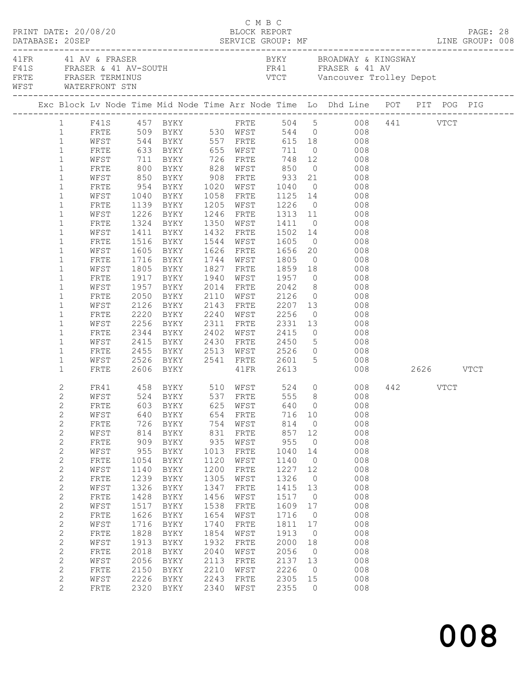|  |                                | PRINT DATE: 20/08/20                                                |            |                                                                                            |            | C M B C<br>BLOCK REPORT |            |                      |                                                                                                                                                      |          | PAGE: 28 |  |
|--|--------------------------------|---------------------------------------------------------------------|------------|--------------------------------------------------------------------------------------------|------------|-------------------------|------------|----------------------|------------------------------------------------------------------------------------------------------------------------------------------------------|----------|----------|--|
|  |                                | 41 FR 41 AV & FRASER<br>FRTE FRASER TERMINUS<br>WFST WATERFRONT STN |            | F41S FRASER & 41 AV-SOUTH                                                                  |            |                         |            |                      | BYKY BROADWAY & KINGSWAY<br>FR41 FRASER & 41 AV<br>VTCT Vancouver Trolley Depot                                                                      |          |          |  |
|  |                                |                                                                     |            |                                                                                            |            |                         |            |                      | Exc Block Lv Node Time Mid Node Time Arr Node Time Lo Dhd Line POT PIT POG PIG                                                                       |          |          |  |
|  |                                |                                                                     |            |                                                                                            |            |                         |            |                      | $\begin{tabular}{lcccccc} 1 & F41S & 457 BYKY & FRTE & 504 & 5 & 008 & 441 & VTCT \\ 1 & FRTE & 509 BYKY & 530 WFST & 544 & 0 & 008 & \end{tabular}$ |          |          |  |
|  |                                |                                                                     |            |                                                                                            |            |                         |            |                      |                                                                                                                                                      |          |          |  |
|  | $\mathbf{1}$                   |                                                                     |            |                                                                                            |            |                         |            |                      | WEST 544 BYKY 557 FRTE 615 18 008                                                                                                                    |          |          |  |
|  | $\mathbf{1}$                   | FRTE                                                                |            | 633 BYKY 655 WFST                                                                          |            |                         |            |                      | 711 0 008                                                                                                                                            |          |          |  |
|  | $\mathbf{1}$                   | WFST                                                                |            |                                                                                            |            |                         |            |                      |                                                                                                                                                      |          |          |  |
|  | $\mathbf{1}$<br>$\mathbf{1}$   | FRTE                                                                |            |                                                                                            |            |                         |            |                      |                                                                                                                                                      |          |          |  |
|  | $\mathbf{1}$                   | WFST<br>FRTE                                                        | 954        | BYKY 1020 WFST 1040                                                                        |            |                         |            |                      | $0$ 008                                                                                                                                              |          |          |  |
|  | $\mathbf{1}$                   | WFST                                                                | 1040       | BYKY 1058 FRTE                                                                             |            |                         |            |                      |                                                                                                                                                      |          |          |  |
|  | $\mathbf{1}$                   | FRTE                                                                |            |                                                                                            |            |                         |            |                      | 1058 FRTE 1125 14 008<br>1205 WFST 1226 0 008<br>1246 FRTE 1313 11 008                                                                               |          |          |  |
|  | $\mathbf{1}$                   | WFST                                                                |            | 1139 BYKY<br>1226 BYKY                                                                     |            |                         |            |                      |                                                                                                                                                      |          |          |  |
|  | $\mathbf{1}$                   | FRTE                                                                |            | 1324 BYKY 1350 WFST 1411                                                                   |            |                         |            |                      | $0$ 008                                                                                                                                              |          |          |  |
|  | $\mathbf{1}$                   | WFST                                                                | 1411       | BYKY                                                                                       |            |                         |            |                      |                                                                                                                                                      |          |          |  |
|  | $\mathbf{1}$                   | FRTE                                                                | 1516       | BYKY                                                                                       |            |                         |            |                      | 1432 FRTE 1502 14 008<br>1544 WFST 1605 0 008<br>1626 FRTE 1656 20 008                                                                               |          |          |  |
|  | $\mathbf{1}$                   | WFST                                                                |            | 1605 BYKY                                                                                  |            |                         |            |                      |                                                                                                                                                      |          |          |  |
|  | $\mathbf{1}$                   | FRTE                                                                |            | 1716 BYKY                                                                                  |            | 1744 WFST 1805          |            |                      | $0 0 0 8$                                                                                                                                            |          |          |  |
|  | $\mathbf{1}$                   | WFST                                                                | 1805       | BYKY                                                                                       |            |                         |            |                      | 1827 FRTE 1859 18 008                                                                                                                                |          |          |  |
|  | $\mathbf{1}$                   | FRTE                                                                |            | 1917 BYKY                                                                                  |            |                         |            |                      | 008                                                                                                                                                  |          |          |  |
|  | $\mathbf{1}$                   | WFST                                                                |            | 1957 BYKY                                                                                  |            |                         |            |                      | 008                                                                                                                                                  |          |          |  |
|  | $\mathbf{1}$                   | FRTE                                                                | 2050       | BYKY                                                                                       |            |                         |            |                      | 2110 WFST 2126 0 008                                                                                                                                 |          |          |  |
|  | $\mathbf{1}$                   | WFST                                                                | 2126       | BYKY                                                                                       |            |                         |            |                      | 2143 FRTE 2207 13 008                                                                                                                                |          |          |  |
|  | $\mathbf{1}$                   | FRTE                                                                |            | 2220 <b>bin.</b><br>2256 BYKY<br>PVKY                                                      |            |                         |            |                      |                                                                                                                                                      |          |          |  |
|  | 1                              | WFST                                                                |            |                                                                                            |            | 2402 WFST 2415          |            |                      | $0$ 008                                                                                                                                              |          |          |  |
|  | $\mathbf{1}$                   | FRTE                                                                |            | 2344 BYKY                                                                                  |            |                         |            |                      |                                                                                                                                                      |          |          |  |
|  | $\mathbf{1}$<br>$\mathbf{1}$   | WFST<br>FRTE                                                        | 2415       | BYKY                                                                                       |            | 2430 FRTE 2450          |            |                      | 5 008                                                                                                                                                |          |          |  |
|  | $\mathbf{1}$                   | WFST                                                                |            | 2455 BYKY     2513   WFST       2526     0<br>2526   BYKY      2541   FRTE      2601     5 |            |                         |            |                      | 0 008<br>008                                                                                                                                         |          |          |  |
|  | $\mathbf{1}$                   | FRTE                                                                |            | 2606 BYKY                                                                                  |            | 41FR 2613               |            |                      | 008 2626 VTCT                                                                                                                                        |          |          |  |
|  |                                |                                                                     |            |                                                                                            |            |                         |            |                      |                                                                                                                                                      |          |          |  |
|  | 2                              |                                                                     |            | FR41 458 BYKY 510 WFST 524 0<br>WFST 524 BYKY 537 FRTE 555 8                               |            |                         |            |                      | 008                                                                                                                                                  | 442 VTCT |          |  |
|  | $\overline{c}$                 |                                                                     |            |                                                                                            |            |                         |            |                      | 008                                                                                                                                                  |          |          |  |
|  | 2                              |                                                                     |            |                                                                                            |            |                         |            |                      | FRTE 603 BYKY 625 WFST 640 0 008                                                                                                                     |          |          |  |
|  | 2                              | WFST                                                                | 640<br>726 | BYKY                                                                                       | 654        | FRTE                    | 716<br>814 | 10<br>$\overline{0}$ | 008<br>008                                                                                                                                           |          |          |  |
|  | $\overline{c}$<br>$\mathbf{2}$ | FRTE<br>WFST                                                        | 814        | BYKY<br>BYKY                                                                               | 754<br>831 | WFST<br>FRTE            | 857        | 12                   | 008                                                                                                                                                  |          |          |  |
|  | $\overline{c}$                 | ${\tt FRTE}$                                                        | 909        | BYKY                                                                                       | 935        | WFST                    | 955        | $\overline{0}$       | 008                                                                                                                                                  |          |          |  |
|  | 2                              | WFST                                                                | 955        | BYKY                                                                                       | 1013       | FRTE                    | 1040       | 14                   | 008                                                                                                                                                  |          |          |  |
|  | 2                              | FRTE                                                                | 1054       | BYKY                                                                                       | 1120       | WFST                    | 1140       | $\circ$              | 008                                                                                                                                                  |          |          |  |
|  | $\mathbf{2}$                   | WFST                                                                | 1140       | <b>BYKY</b>                                                                                | 1200       | FRTE                    | 1227       | 12                   | 008                                                                                                                                                  |          |          |  |
|  | $\overline{c}$                 | FRTE                                                                | 1239       | BYKY                                                                                       | 1305       | WFST                    | 1326       | $\overline{0}$       | 008                                                                                                                                                  |          |          |  |
|  | $\overline{c}$                 | WFST                                                                | 1326       | BYKY                                                                                       | 1347       | <b>FRTE</b>             | 1415       | 13                   | 008                                                                                                                                                  |          |          |  |
|  | $\overline{c}$                 | FRTE                                                                | 1428       | BYKY                                                                                       | 1456       | WFST                    | 1517       | $\overline{0}$       | 008                                                                                                                                                  |          |          |  |
|  | $\overline{c}$                 | WFST                                                                | 1517       | BYKY                                                                                       | 1538       | FRTE                    | 1609       | 17                   | 008                                                                                                                                                  |          |          |  |
|  | $\overline{c}$                 | ${\tt FRTE}$                                                        | 1626       | BYKY                                                                                       | 1654       | WFST                    | 1716       | $\overline{0}$       | 008                                                                                                                                                  |          |          |  |
|  | $\overline{c}$                 | WFST                                                                | 1716       | BYKY                                                                                       | 1740       | FRTE                    | 1811       | 17                   | 008                                                                                                                                                  |          |          |  |
|  | 2                              | FRTE                                                                | 1828       | BYKY                                                                                       | 1854       | WFST                    | 1913       | $\circ$              | 008                                                                                                                                                  |          |          |  |
|  | $\overline{c}$                 | WFST                                                                | 1913       | BYKY                                                                                       | 1932       | FRTE                    | 2000       | 18                   | 008                                                                                                                                                  |          |          |  |
|  | $\overline{c}$                 | FRTE                                                                | 2018       | BYKY                                                                                       | 2040       | WFST                    | 2056       | $\overline{0}$       | 008                                                                                                                                                  |          |          |  |
|  | $\overline{c}$                 | WFST                                                                | 2056       | BYKY                                                                                       | 2113       | FRTE                    | 2137       | 13                   | 008                                                                                                                                                  |          |          |  |
|  | $\overline{c}$                 | FRTE                                                                | 2150       | BYKY                                                                                       | 2210       | WFST                    | 2226       | $\overline{0}$       | 008                                                                                                                                                  |          |          |  |
|  | $\overline{c}$                 | WFST                                                                | 2226       | BYKY                                                                                       | 2243       | ${\tt FRTE}$            | 2305       | 15                   | 008                                                                                                                                                  |          |          |  |
|  | $\overline{2}$                 | FRTE                                                                | 2320       | BYKY                                                                                       | 2340       | WFST                    | 2355       | $\circ$              | 008                                                                                                                                                  |          |          |  |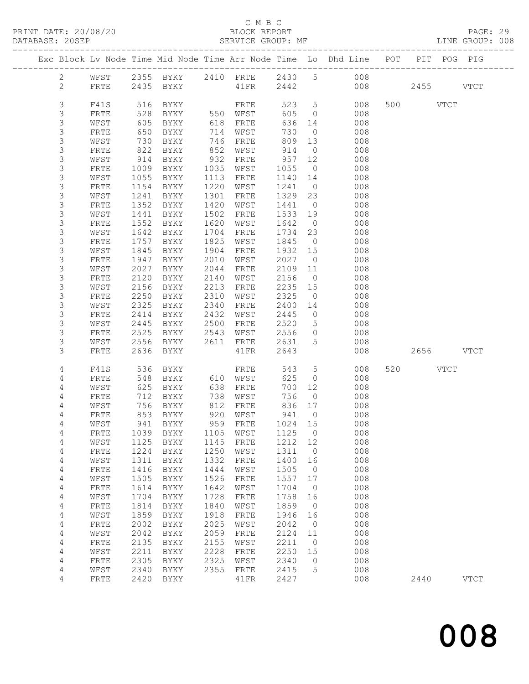# C M B C<br>BLOCK REPORT

PAGE: 29<br>LINE GROUP: 008

|                  |              |      |                     |      |          |         |                 | Exc Block Lv Node Time Mid Node Time Arr Node Time Lo Dhd Line POT PIT POG PIG |           |             |
|------------------|--------------|------|---------------------|------|----------|---------|-----------------|--------------------------------------------------------------------------------|-----------|-------------|
| $2 \overline{ }$ | WFST         |      |                     |      |          |         |                 | 2355 BYKY 2410 FRTE 2430 5 008                                                 |           |             |
| $\mathbf{2}$     | FRTE         |      | 2435 BYKY 41FR      |      |          |         |                 | 2442 008                                                                       | 2455 VTCT |             |
|                  |              |      |                     |      |          |         |                 |                                                                                |           |             |
| 3                | F41S         | 516  | BYKY                |      | FRTE     | 523 5   |                 | 008                                                                            | 500 VTCT  |             |
| 3                | FRTE         | 528  | BYKY                |      | 550 WFST | 605     | $\overline{0}$  | 008                                                                            |           |             |
| 3                | WFST         | 605  | BYKY                | 618  | FRTE     | 636     | 14              | 008                                                                            |           |             |
| $\mathsf S$      | FRTE         | 650  | BYKY                | 714  | WFST     | 730     | $\overline{0}$  | 008                                                                            |           |             |
| $\mathsf S$      | WFST         | 730  | BYKY                | 746  | FRTE     | 809     | 13              | 008                                                                            |           |             |
| 3                | FRTE         | 822  | BYKY                | 852  | WFST     | 914     | $\overline{0}$  | 008                                                                            |           |             |
| $\mathsf S$      | WFST         | 914  | BYKY                | 932  | FRTE     | 957     | 12              | 008                                                                            |           |             |
| $\mathsf S$      | FRTE         | 1009 | BYKY                | 1035 | WFST     | 1055    | $\overline{0}$  | 008                                                                            |           |             |
| $\mathsf S$      | WFST         | 1055 | BYKY                | 1113 | FRTE     | 1140    | 14              | 008                                                                            |           |             |
| 3                | FRTE         | 1154 | BYKY                | 1220 | WFST     | 1241    | $\overline{0}$  | 008                                                                            |           |             |
| $\mathsf S$      | WFST         | 1241 | BYKY                | 1301 | FRTE     | 1329    | 23              | 008                                                                            |           |             |
| 3                | FRTE         | 1352 | BYKY                | 1420 | WFST     | 1441    | $\overline{0}$  | 008                                                                            |           |             |
| $\mathsf S$      | WFST         | 1441 | BYKY                | 1502 | FRTE     | 1533    | 19              | 008                                                                            |           |             |
| $\mathsf S$      | FRTE         | 1552 | BYKY                | 1620 | WFST     | 1642    | $\overline{0}$  | 008                                                                            |           |             |
| $\mathsf S$      | WFST         | 1642 | BYKY                | 1704 | FRTE     | 1734    | 23              | 008                                                                            |           |             |
| 3                | FRTE         | 1757 | BYKY                | 1825 | WFST     | 1845    | $\overline{0}$  | 008                                                                            |           |             |
| $\mathsf S$      | WFST         | 1845 | BYKY                | 1904 | FRTE     | 1932 15 |                 | 008                                                                            |           |             |
| 3                | FRTE         | 1947 | BYKY                | 2010 | WFST     | 2027    | $\overline{0}$  | 008                                                                            |           |             |
| 3                | WFST         | 2027 | BYKY                | 2044 | FRTE     | 2109    | 11              | 008                                                                            |           |             |
| 3                | FRTE         | 2120 | BYKY                | 2140 | WFST     | 2156    | $\overline{0}$  | 008                                                                            |           |             |
| $\mathsf S$      | WFST         | 2156 | BYKY                | 2213 | FRTE     | 2235    | 15              | 008                                                                            |           |             |
| $\mathsf S$      | FRTE         | 2250 | BYKY                | 2310 | WFST     | 2325    | $\overline{0}$  | 008                                                                            |           |             |
| 3                | WFST         | 2325 | BYKY                | 2340 | FRTE     | 2400    | 14              | 008                                                                            |           |             |
| 3                | FRTE         | 2414 | BYKY                | 2432 | WFST     | 2445    | $\circ$         | 008                                                                            |           |             |
| $\mathsf S$      | WFST         | 2445 | BYKY                | 2500 | FRTE     | 2520    | $5\overline{)}$ | 008                                                                            |           |             |
| $\mathsf S$      | FRTE         | 2525 | BYKY                | 2543 | WFST     | 2556    | $\circ$         | 008                                                                            |           |             |
| 3                | WFST         | 2556 | BYKY                | 2611 | FRTE     | 2631    | 5               | 008                                                                            |           |             |
| 3                | FRTE         | 2636 | BYKY                |      | 41FR     | 2643    |                 | 008                                                                            | 2656 VTCT |             |
|                  |              |      |                     |      |          |         |                 |                                                                                |           |             |
| 4                | F41S         | 536  | BYKY                |      | FRTE     | 543     | $5\overline{)}$ | 008                                                                            | 520 VTCT  |             |
| 4                | <b>FRTE</b>  | 548  | BYKY                | 610  | WFST     | 625     | $\overline{0}$  | 008                                                                            |           |             |
| 4                | WFST         | 625  | BYKY                | 638  | FRTE     | 700     | 12              | 008                                                                            |           |             |
| 4                | FRTE         | 712  | BYKY                | 738  | WFST     | 756     | $\overline{0}$  | 008                                                                            |           |             |
| 4                | WFST         | 756  | BYKY                | 812  | FRTE     | 836     | 17              | 008                                                                            |           |             |
| 4                | FRTE         |      | 853 BYKY            | 920  | WFST     | 941     | $\overline{0}$  | 008                                                                            |           |             |
| 4                | WFST         |      | 941 BYKY            |      | 959 FRTE | 1024 15 |                 | 008                                                                            |           |             |
| 4                | FRTE         |      | 1039 BYKY 1105 WFST |      |          | 1125 0  |                 | 008                                                                            |           |             |
| 4                | WFST         | 1125 | <b>BYKY</b>         | 1145 | FRTE     | 1212    | 12              | 008                                                                            |           |             |
| $\overline{4}$   | ${\tt FRTE}$ | 1224 | BYKY                | 1250 | WFST     | 1311    | 0               | 008                                                                            |           |             |
| 4                | WFST         | 1311 | BYKY                | 1332 | FRTE     | 1400    | 16              | 008                                                                            |           |             |
| 4                | ${\tt FRTE}$ | 1416 | <b>BYKY</b>         | 1444 | WFST     | 1505    | 0               | 008                                                                            |           |             |
| 4                | WFST         | 1505 | <b>BYKY</b>         | 1526 | FRTE     | 1557    | 17              | 008                                                                            |           |             |
| 4                | ${\tt FRTE}$ | 1614 | <b>BYKY</b>         | 1642 | WFST     | 1704    | $\circ$         | 008                                                                            |           |             |
| 4                | WFST         | 1704 | <b>BYKY</b>         | 1728 | FRTE     | 1758    | 16              | 008                                                                            |           |             |
| 4                | FRTE         | 1814 | <b>BYKY</b>         | 1840 | WFST     | 1859    | 0               | 008                                                                            |           |             |
| 4                | WFST         | 1859 | <b>BYKY</b>         | 1918 | FRTE     | 1946    | 16              | 008                                                                            |           |             |
| 4                | FRTE         | 2002 | BYKY                | 2025 | WFST     | 2042    | 0               | 008                                                                            |           |             |
| 4                | WFST         | 2042 | BYKY                | 2059 | FRTE     | 2124    | 11              | 008                                                                            |           |             |
| 4                | FRTE         | 2135 | <b>BYKY</b>         | 2155 | WFST     | 2211    | 0               | 008                                                                            |           |             |
| $\overline{4}$   | WFST         | 2211 | <b>BYKY</b>         | 2228 | FRTE     | 2250    | 15              | 008                                                                            |           |             |
| 4                | ${\tt FRTE}$ | 2305 | BYKY                | 2325 | WFST     | 2340    | 0               | 008                                                                            |           |             |
| 4                | WFST         | 2340 | <b>BYKY</b>         | 2355 | FRTE     | 2415    | 5               | 008                                                                            |           |             |
| 4                | FRTE         | 2420 | <b>BYKY</b>         |      | 41FR     | 2427    |                 | 008                                                                            | 2440      | <b>VTCT</b> |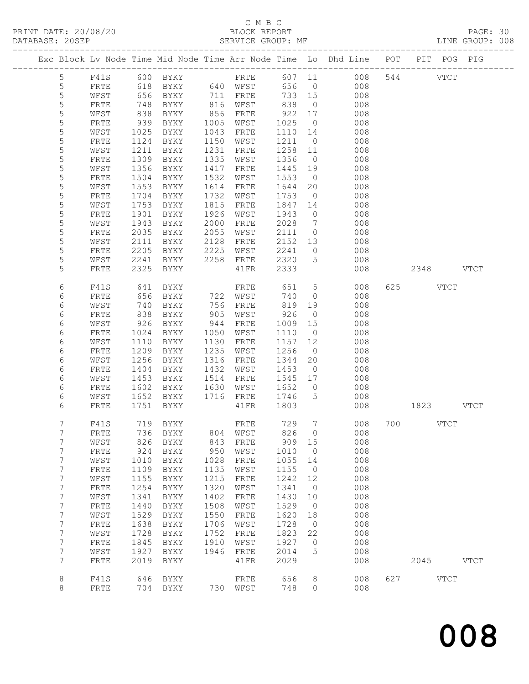# C M B C<br>BLOCK REPORT<br>SERVICE GROUP: MF

| DATABASE: 20SEP |                 |                 |            | SERVICE GROUP: MF |      |                      |            |                 |                                                                                |           | LINE GROUP: 008 |
|-----------------|-----------------|-----------------|------------|-------------------|------|----------------------|------------|-----------------|--------------------------------------------------------------------------------|-----------|-----------------|
|                 |                 |                 |            |                   |      |                      |            |                 | Exc Block Lv Node Time Mid Node Time Arr Node Time Lo Dhd Line POT PIT POG PIG |           |                 |
|                 | $5\overline{)}$ |                 |            |                   |      |                      |            |                 | F41S 600 BYKY FRTE 607 11 008 544 VTCT                                         |           |                 |
|                 | $\overline{5}$  | FRTE            | 618        |                   |      | BYKY 640 WFST        |            |                 | 656 0<br>008                                                                   |           |                 |
|                 | 5               | WFST            | 656        | BYKY 711 FRTE     |      |                      | 733 15     |                 | 008                                                                            |           |                 |
|                 | $\mathsf S$     | FRTE            | 748        | BYKY              |      |                      |            | $\overline{0}$  | 008                                                                            |           |                 |
|                 | 5               | WFST            | 838        | BYKY              |      | 816 WFST<br>856 FRTE | 838<br>922 | 17              | 008                                                                            |           |                 |
|                 | 5               | FRTE            | 939        | BYKY              |      | 1005 WFST            | 1025       | $\overline{0}$  | 008                                                                            |           |                 |
|                 | 5               | WFST            | 1025       | BYKY              |      | 1043 FRTE            | 1110       | 14              | 008                                                                            |           |                 |
|                 | $\mathsf S$     | FRTE            | 1124       | BYKY              |      | 1150 WFST            | 1211 0     |                 | 008                                                                            |           |                 |
|                 | 5               | WFST            | 1211       | BYKY              | 1231 | FRTE                 | 1258 11    |                 | 008                                                                            |           |                 |
|                 | 5               | FRTE            | 1309       | BYKY              | 1335 | WFST                 | 1356       | $\overline{0}$  | 008                                                                            |           |                 |
|                 | 5               | WFST            | 1356       | BYKY              | 1417 | FRTE                 | 1445       | 19              | 008                                                                            |           |                 |
|                 | 5               | FRTE            | 1504       | BYKY              | 1532 | WFST                 | 1553       | $\overline{0}$  | 008                                                                            |           |                 |
|                 | 5               | WFST            | 1553       | BYKY              | 1614 | FRTE                 | 1644       | 20              | 008                                                                            |           |                 |
|                 | 5               | FRTE            | 1704       | BYKY              | 1732 | WFST                 | 1753       | $\overline{0}$  | 008                                                                            |           |                 |
|                 | 5               | WFST            | 1753       | BYKY              | 1815 | FRTE                 | 1847       | 14              | 008                                                                            |           |                 |
|                 | 5               | FRTE            | 1901       | BYKY              | 1926 | WFST                 | 1943       | $\overline{0}$  | 008                                                                            |           |                 |
|                 | 5               | WFST            | 1943       | BYKY              | 2000 | FRTE                 | 2028       | $7\overline{ }$ | 008                                                                            |           |                 |
|                 | 5               | FRTE            | 2035       | BYKY              | 2055 | WFST                 | 2111 0     |                 | 008                                                                            |           |                 |
|                 | 5               | WFST            | 2111       | BYKY              | 2128 | FRTE                 | 2152 13    |                 | 008                                                                            |           |                 |
|                 | 5               | FRTE            | 2205       | BYKY              | 2225 | WFST                 | 2241       | $\overline{0}$  | 008                                                                            |           |                 |
|                 | 5               | WFST            | 2241       | BYKY              |      | 2258 FRTE            | 2320       | $5\overline{)}$ | 008                                                                            |           |                 |
|                 | 5               | FRTE            | 2325       | BYKY              |      | 41FR                 | 2333       |                 | 008                                                                            | 2348 VTCT |                 |
|                 |                 |                 |            |                   |      |                      |            |                 |                                                                                |           |                 |
|                 | 6               | F41S            | 641<br>656 | BYKY              |      | FRTE<br>722 WFST     | 651        | $5\overline{)}$ | 008                                                                            | 625 VTCT  |                 |
|                 | 6               | FRTE            |            | BYKY              |      |                      | 740        | $\overline{0}$  | 008                                                                            |           |                 |
|                 | 6               | WFST            | 740        | BYKY              | 756  | FRTE                 | 819 19     |                 | 008                                                                            |           |                 |
|                 | 6               | FRTE            | 838        | BYKY              | 905  | WFST                 | 926        | $\overline{0}$  | 008                                                                            |           |                 |
|                 | 6               | WFST            | 926        | BYKY              | 944  | FRTE                 | 1009       | 15              | 008                                                                            |           |                 |
|                 | 6               | FRTE            | 1024       | BYKY              |      | 1050 WFST            | 1110       | $\overline{0}$  | 008                                                                            |           |                 |
|                 | 6               | WFST            | 1110       | BYKY              | 1130 | FRTE                 | 1157       | 12              | 008                                                                            |           |                 |
|                 | 6               | FRTE            | 1209       | BYKY              | 1235 | WFST                 | 1256       | $\overline{0}$  | 008                                                                            |           |                 |
|                 | 6               | WFST            | 1256       | BYKY              | 1316 | FRTE                 | 1344       | 20              | 008                                                                            |           |                 |
|                 | 6               | FRTE            | 1404       | BYKY              |      | 1432 WFST            | 1453       | $\overline{0}$  | 008                                                                            |           |                 |
|                 | 6               | WFST            | 1453       | BYKY              | 1514 | FRTE                 | 1545 17    |                 | 008                                                                            |           |                 |
|                 | 6               | FRTE            | 1602       | BYKY              | 1630 | WFST                 | 1652       | $\overline{0}$  | 008                                                                            |           |                 |
|                 | 6               | WFST            | 1652       |                   |      | BYKY 1716 FRTE       | 1746 5     |                 | 008                                                                            |           |                 |
|                 | 6               | FRTE            |            | 1751 BYKY         |      | $41\mathrm{FR}$      | 1803       |                 | 008                                                                            | 1823 VTCT |                 |
|                 |                 | 7 F41S 719 BYKY |            |                   |      | FRTE 729             |            |                 | 7 008 700 VTCT                                                                 |           |                 |
|                 | 7               | FRTE            | 736        | BYKY              | 804  | WFST                 | 826        | $\overline{0}$  | 008                                                                            |           |                 |
|                 | 7               | WFST            | 826        | BYKY              | 843  | FRTE                 | 909 15     |                 | 008                                                                            |           |                 |
|                 | 7               | FRTE            | 924        | BYKY              | 950  | WFST                 | 1010       | $\overline{0}$  | 008                                                                            |           |                 |
|                 | 7               | WFST            | 1010       | BYKY              | 1028 | FRTE                 | 1055       | 14              | 008                                                                            |           |                 |
|                 | 7               | FRTE            | 1109       | BYKY              | 1135 | WFST                 | 1155       | $\overline{0}$  | 008                                                                            |           |                 |
|                 | 7               | WFST            | 1155       | BYKY              | 1215 | ${\tt FRTE}$         | 1242       | 12              | 008                                                                            |           |                 |
|                 | $\overline{7}$  | FRTE            | 1254       | BYKY              | 1320 | WFST                 | 1341       | $\overline{0}$  | 008                                                                            |           |                 |
|                 | 7               | WFST            | 1341       | BYKY              | 1402 | FRTE                 | 1430       | 10              | 008                                                                            |           |                 |
|                 | 7               | FRTE            | 1440       | BYKY              | 1508 | WFST                 | 1529       | $\overline{0}$  | 008                                                                            |           |                 |
|                 | 7               | WFST            | 1529       | BYKY              | 1550 | ${\tt FRTE}$         | 1620       | 18              | 008                                                                            |           |                 |
|                 | $\overline{7}$  | FRTE            | 1638       | BYKY              | 1706 | WFST                 | 1728       | $\overline{0}$  | 008                                                                            |           |                 |
|                 | 7               | WFST            | 1728       | BYKY              | 1752 | ${\tt FRTE}$         | 1823       | 22              | 008                                                                            |           |                 |
|                 | $7\phantom{.}$  | FRTE            | 1845       | BYKY              | 1910 | WFST                 | 1927       | $\overline{0}$  | 008                                                                            |           |                 |
|                 | 7               | WFST            | 1927       | BYKY              | 1946 | ${\tt FRTE}$         | 2014       | 5               | 008                                                                            |           |                 |
|                 | $7\phantom{.}$  | FRTE            | 2019       | BYKY              |      | 41FR                 | 2029       |                 | 008                                                                            | 2045 VTCT |                 |
|                 |                 |                 |            |                   |      |                      |            |                 |                                                                                |           |                 |
|                 | 8               | F41S            | 646        | BYKY              |      | FRTE                 | 656        | 8               | 008                                                                            | 627 VTCT  |                 |
|                 | 8               | FRTE            |            | 704 BYKY          |      | 730 WFST             | 748        | $\circ$         | 008                                                                            |           |                 |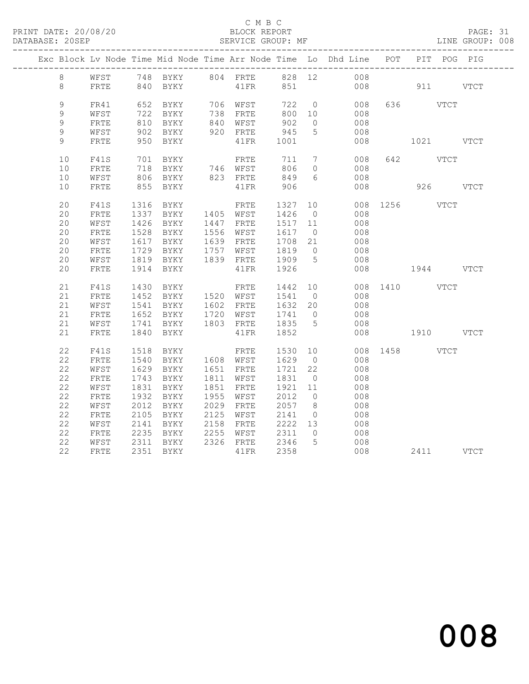# C M B C<br>BLOCK REPORT

# PAGE: 31<br>LINE GROUP: 008

|               |              |      |                                                                                           |                        |                                                  |                | Exc Block Lv Node Time Mid Node Time Arr Node Time Lo Dhd Line POT |               |           | PIT POG PIG |  |
|---------------|--------------|------|-------------------------------------------------------------------------------------------|------------------------|--------------------------------------------------|----------------|--------------------------------------------------------------------|---------------|-----------|-------------|--|
| 8             |              |      |                                                                                           |                        |                                                  |                | WFST 748 BYKY 804 FRTE 828 12 008                                  |               |           |             |  |
| 8             | FRTE         |      | 840 BYKY                                                                                  | 41FR 851               |                                                  |                | 008 911 VTCT                                                       |               |           |             |  |
|               |              |      |                                                                                           |                        |                                                  |                |                                                                    |               |           |             |  |
| 9             | FR41         |      | 652 BYKY 706 WFST                                                                         |                        |                                                  |                | 722 0<br>008                                                       |               | 636 VTCT  |             |  |
| $\mathcal{G}$ | WFST         |      | 722 BYKY<br>$722 = 7$ $810 = 8YKY$                                                        | 738 FRTE<br>840 WFST   | 800 10<br>800<br>902                             |                | 008                                                                |               |           |             |  |
| $\mathcal{G}$ | FRTE         |      |                                                                                           |                        |                                                  | $\overline{0}$ | 008                                                                |               |           |             |  |
| 9<br>9        | WFST<br>FRTE |      | 902 BYKY<br>950 BYKY                                                                      | 920 FRTE               | 945                                              | $5^{\circ}$    | 008<br>008                                                         | 1021 VTCT     |           |             |  |
|               |              |      |                                                                                           | 41FR 1001              |                                                  |                |                                                                    |               |           |             |  |
| $10$          | F41S         |      | 701 BYKY                                                                                  | FRTE                   | 711 7                                            |                | 008                                                                |               | 642 VTCT  |             |  |
| $10$          | FRTE         |      |                                                                                           |                        | 806                                              | $\overline{0}$ | 008                                                                |               |           |             |  |
| 10            | WFST         |      | $\begin{array}{cc}\n 710 \\  806 \\  806 \\  758\n \end{array}$                           |                        | $\begin{array}{c}\n 0.000 \\  849\n \end{array}$ |                | 008                                                                |               |           |             |  |
| 10            | FRTE         |      | 855 BYKY                                                                                  | 41FR 906               |                                                  |                | 008                                                                | 926 VTCT      |           |             |  |
|               |              |      |                                                                                           |                        |                                                  |                |                                                                    |               |           |             |  |
| 20<br>20      | F41S         | 1316 | BYKY                                                                                      | FRTE                   | 1327                                             | 10             |                                                                    | 008 1256 VTCT |           |             |  |
| 20            | FRTE<br>WFST |      | 1337 BYKY 1405 WFST<br>1426 BYKY 1447 FRTE                                                |                        | 1426 0<br>1517 11                                |                | 008<br>008                                                         |               |           |             |  |
| 20            | FRTE         |      | 1528 BYKY 1556 WFST                                                                       |                        | 1617 0                                           |                | 008                                                                |               |           |             |  |
| 20            | WFST         |      |                                                                                           |                        |                                                  |                |                                                                    |               |           |             |  |
| 20            | FRTE         |      | 1617 BYKY     1639 FRTE     1708   21<br>1729   BYKY      1757   WFST      1819     0     |                        |                                                  |                | 008<br>008                                                         |               |           |             |  |
| 20            | WFST         |      | 1819 BYKY 1839 FRTE 1909 5                                                                |                        |                                                  |                | 008                                                                |               |           |             |  |
| 20            | ${\tt FRTE}$ | 1914 | BYKY                                                                                      | 41FR                   | 1926                                             |                | 008                                                                | $1944$ VTCT   |           |             |  |
|               |              |      |                                                                                           |                        |                                                  |                |                                                                    |               |           |             |  |
| 21            | F41S         |      | 1430 BYKY                                                                                 | FRTE 1442 10           |                                                  |                |                                                                    | 008 1410 VTCT |           |             |  |
| 21            | FRTE         |      | 1452 BYKY     1520   WFST      1541     0<br>1541   BYKY      1602   FRTE     1632   20   |                        |                                                  |                | 008                                                                |               |           |             |  |
| 21            | WFST         |      |                                                                                           |                        |                                                  |                | 008                                                                |               |           |             |  |
| 21            | FRTE         |      | 1652 BYKY 1720 WFST 1741 0                                                                |                        |                                                  |                | 008                                                                |               |           |             |  |
| 21            | WFST         |      | $1741$ BYKY $1803$ FRTE<br>1840 DYEY                                                      |                        | 1835 5                                           |                | 008                                                                |               |           |             |  |
| 21            | FRTE         |      | 1840 BYKY                                                                                 | 41FR                   | 1852                                             |                | 008                                                                | 1910 VTCT     |           |             |  |
| 22            | F41S         | 1518 | BYKY                                                                                      | FRTE                   | 1530 10                                          |                |                                                                    | 008 1458 VTCT |           |             |  |
| 22            | FRTE         | 1540 | BYKY 1608 WFST                                                                            |                        | 1629 0                                           |                | 008                                                                |               |           |             |  |
| 22            | WFST         |      | 1629 BYKY 1651 FRTE                                                                       |                        | 1721 22                                          |                | 008                                                                |               |           |             |  |
| 22            | ${\tt FRTE}$ |      | 1743 BYKY                                                                                 | 1811 WFST              | 1831 0                                           |                | 008                                                                |               |           |             |  |
| 22            | WFST         | 1831 | BYKY                                                                                      | 1851 FRTE              | 1921 11                                          |                | 008                                                                |               |           |             |  |
| 22            | ${\tt FRTE}$ | 1932 | BYKY                                                                                      | 1955 WFST              |                                                  |                | 008                                                                |               |           |             |  |
| 22            | WFST         | 2012 | BYKY                                                                                      | 1955 Wrpi<br>2029 FRTE | 2012 0<br>2057 8                                 |                | 008                                                                |               |           |             |  |
| 22            | FRTE         |      | 2105 BYKY 2125 WFST                                                                       |                        | 2141                                             | $\overline{0}$ | 008                                                                |               |           |             |  |
| 22            | WFST         |      | 2141 BYKY      2158   FRTE      2222   13<br>2235   BYKY      2255   WFST      2311     0 |                        |                                                  |                | $\begin{array}{c} 008 \\ 008 \end{array}$                          |               |           |             |  |
| 22            | FRTE         |      |                                                                                           |                        |                                                  |                |                                                                    |               |           |             |  |
| 22            | WFST         |      | 2311 BYKY 2326 FRTE 2346 5                                                                |                        |                                                  |                | 008                                                                |               |           |             |  |
| 22            | FRTE         |      | 2351 BYKY                                                                                 | 41FR 2358              |                                                  |                | 008                                                                |               | 2411 VTCT |             |  |
|               |              |      |                                                                                           |                        |                                                  |                |                                                                    |               |           |             |  |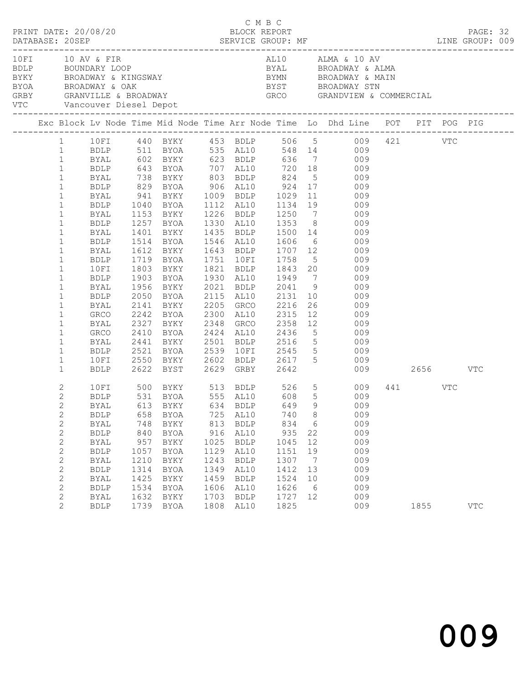| PRINT DATE: 20/08/20<br>10 FI 10 AV & FIR |                              |                            |              |                            |              | C M B C<br>BLOCK REPORT |              |                      |                                                                                                                                                                                                                                                                                                  |         | PAGE: 32   |  |
|-------------------------------------------|------------------------------|----------------------------|--------------|----------------------------|--------------|-------------------------|--------------|----------------------|--------------------------------------------------------------------------------------------------------------------------------------------------------------------------------------------------------------------------------------------------------------------------------------------------|---------|------------|--|
|                                           |                              | VTC Vancouver Diesel Depot |              |                            |              |                         |              |                      | AL10 ALMA & 10 AV<br>ALIU ALMA & 10 AV<br>BDLP BOUNDARY LOOP BYAL BROADWAY & ALMA<br>BYKY BROADWAY & KINGSWAY BYAL BROADWAY & MAIN<br>BYOA BROADWAY & OAK BYST BROADWAY STN<br>GRBY GRANVILLE & BROADWAY GRCO GRANDVIEW & COMM<br>BYST        BROADWAY STN<br>GRCO        GRANDVIEW & COMMERCIAL |         |            |  |
|                                           |                              |                            |              |                            |              |                         |              |                      | Exc Block Lv Node Time Mid Node Time Arr Node Time Lo Dhd Line POT PIT POG PIG                                                                                                                                                                                                                   |         |            |  |
|                                           |                              |                            |              |                            |              |                         |              |                      | 1 10FI 440 BYKY 453 BDLP 506 5 009 421 VTC                                                                                                                                                                                                                                                       |         |            |  |
|                                           |                              |                            |              |                            |              |                         |              |                      |                                                                                                                                                                                                                                                                                                  |         |            |  |
|                                           |                              |                            |              |                            |              |                         |              |                      | 1 BDLP 511 BYOA 535 AL10 548 14 009<br>1 BYAL 602 BYKY 623 BDLP 636 7 009<br>1 BDLP 643 BYOA 707 AL10 720 18 009                                                                                                                                                                                 |         |            |  |
|                                           |                              |                            |              |                            |              |                         |              |                      |                                                                                                                                                                                                                                                                                                  |         |            |  |
|                                           | $\mathbf{1}$                 | <b>BYAL</b>                |              |                            |              |                         |              |                      | 738 BYKY 803 BDLP 824 5 009                                                                                                                                                                                                                                                                      |         |            |  |
|                                           | $\mathbf{1}$                 | BDLP                       |              |                            |              |                         |              |                      | 829 BYOA 906 AL10 924 17 009                                                                                                                                                                                                                                                                     |         |            |  |
|                                           | $\mathbf{1}$                 |                            |              |                            |              |                         |              |                      | BYAL 941 BYKY 1009 BDLP 1029 11 009<br>BDLP 1040 BYOA 1112 AL10 1134 19 009                                                                                                                                                                                                                      |         |            |  |
|                                           | $\mathbf{1}$                 |                            |              |                            |              |                         |              |                      |                                                                                                                                                                                                                                                                                                  |         |            |  |
|                                           | $\mathbf{1}$                 | BYAL                       |              |                            |              |                         |              |                      | 1153 BYKY 1226 BDLP 1250 7 009                                                                                                                                                                                                                                                                   |         |            |  |
|                                           | $\mathbf{1}$                 | BDLP                       |              |                            |              |                         |              |                      | 1257 BYOA 1330 AL10 1353 8 009                                                                                                                                                                                                                                                                   |         |            |  |
|                                           | $\mathbf{1}$                 | BYAL                       |              |                            |              |                         |              |                      |                                                                                                                                                                                                                                                                                                  |         |            |  |
|                                           | $\mathbf{1}$                 | BDLP                       |              |                            |              |                         |              |                      |                                                                                                                                                                                                                                                                                                  |         |            |  |
|                                           | $\mathbf{1}$                 | BYAL                       |              |                            |              |                         |              |                      | 1612 BYKY 1643 BDLP 1707 12 009                                                                                                                                                                                                                                                                  |         |            |  |
|                                           | $\mathbf{1}$                 | BDLP                       |              |                            |              |                         |              |                      | 1719 BYOA 1751 10FI 1758 5 009                                                                                                                                                                                                                                                                   |         |            |  |
|                                           | $\mathbf{1}$                 | 10FI                       |              |                            |              |                         |              |                      | 1803 BYKY      1821   BDLP       1843   20              009<br>1903   BYOA       1930   AL10       1949     7              009                                                                                                                                                                   |         |            |  |
|                                           | $\mathbf{1}$                 | BDLP                       |              |                            |              |                         |              |                      |                                                                                                                                                                                                                                                                                                  |         |            |  |
|                                           | $\mathbf{1}$                 | BYAL                       |              | 1956 BYKY                  |              |                         |              |                      | 2021 BDLP 2041 9 009                                                                                                                                                                                                                                                                             |         |            |  |
|                                           | $\mathbf{1}$                 | BDLP                       |              |                            |              |                         |              |                      | 2050 BYOA 2115 AL10 2131 10 009                                                                                                                                                                                                                                                                  |         |            |  |
|                                           | $\mathbf{1}$                 | BYAL                       |              |                            |              |                         |              |                      | 2141 BYKY 2205 GRCO 2216 26 009<br>2242 BYOA 2300 AL10 2315 12 009<br>2327 BYKY 2348 GRCO 2358 12 009                                                                                                                                                                                            |         |            |  |
|                                           | $\mathbf{1}$                 | GRCO                       |              |                            |              |                         |              |                      |                                                                                                                                                                                                                                                                                                  |         |            |  |
|                                           | $\mathbf{1}$                 | BYAL                       |              |                            |              |                         |              |                      |                                                                                                                                                                                                                                                                                                  |         |            |  |
|                                           | $\mathbf{1}$                 | GRCO                       |              | 2410 BYOA 2424 AL10 2436   |              |                         |              |                      | 5 009                                                                                                                                                                                                                                                                                            |         |            |  |
|                                           | $\mathbf{1}$                 | BYAL                       |              |                            |              |                         |              |                      | 2441 BYKY 2501 BDLP 2516 5 009<br>2521 BYOA 2539 10FI 2545 5 009<br>2550 BYKY 2602 BDLP 2617 5 009                                                                                                                                                                                               |         |            |  |
|                                           | $\mathbf{1}$                 | BDLP                       |              |                            |              |                         |              |                      |                                                                                                                                                                                                                                                                                                  |         |            |  |
|                                           | $\mathbf{1}$<br>$\mathbf{1}$ | 10FI                       |              |                            |              |                         |              |                      | BDLP 2622 BYST 2629 GRBY 2642 009 2656 VTC                                                                                                                                                                                                                                                       |         |            |  |
|                                           |                              |                            |              |                            |              |                         |              |                      |                                                                                                                                                                                                                                                                                                  |         |            |  |
|                                           | $\overline{2}$               |                            |              |                            |              |                         |              |                      | 10 FI 500 BYKY 513 BDLP 526 5 009<br>BDLP 531 BYOA 555 AL10 608 5 009                                                                                                                                                                                                                            | 441 VTC |            |  |
|                                           | $\mathbf{2}$                 |                            |              |                            |              |                         |              |                      |                                                                                                                                                                                                                                                                                                  |         |            |  |
|                                           | $2^{\circ}$                  |                            |              | BYAL 613 BYKY 634 BDLP 649 |              |                         |              |                      | 9 009                                                                                                                                                                                                                                                                                            |         |            |  |
|                                           | $\mathbf{2}$                 | <b>BDLP</b>                | 658          | BYOA                       | 725          | AL10                    | 740          | 8                    | 009                                                                                                                                                                                                                                                                                              |         |            |  |
|                                           | $\mathbf{2}$                 | BYAL                       | 748          | BYKY                       | 813          | BDLP                    | 834          | 6                    | 009                                                                                                                                                                                                                                                                                              |         |            |  |
|                                           | $\mathbf{2}$                 | <b>BDLP</b>                | 840          | BYOA                       | 916          | AL10                    | 935          | 22                   | 009                                                                                                                                                                                                                                                                                              |         |            |  |
|                                           | 2                            | BYAL                       | 957          | BYKY                       | 1025         | BDLP                    | 1045         | 12                   | 009                                                                                                                                                                                                                                                                                              |         |            |  |
|                                           | $\mathbf{2}$<br>$\mathbf{2}$ | <b>BDLP</b>                | 1057         | BYOA                       | 1129<br>1243 | AL10                    | 1151<br>1307 | 19<br>$\overline{7}$ | 009<br>009                                                                                                                                                                                                                                                                                       |         |            |  |
|                                           | $\mathbf{2}$                 | BYAL<br><b>BDLP</b>        | 1210<br>1314 | BYKY<br>BYOA               | 1349         | <b>BDLP</b><br>AL10     | 1412         | 13                   | 009                                                                                                                                                                                                                                                                                              |         |            |  |
|                                           | 2                            | BYAL                       | 1425         | BYKY                       | 1459         | <b>BDLP</b>             | 1524         | 10                   | 009                                                                                                                                                                                                                                                                                              |         |            |  |
|                                           | $\mathbf{2}$                 | <b>BDLP</b>                | 1534         | BYOA                       | 1606         | AL10                    | 1626         | 6                    | 009                                                                                                                                                                                                                                                                                              |         |            |  |
|                                           | 2                            | <b>BYAL</b>                | 1632         | BYKY                       | 1703         | <b>BDLP</b>             | 1727 12      |                      | 009                                                                                                                                                                                                                                                                                              |         |            |  |
|                                           | $\overline{2}$               | <b>BDLP</b>                |              | 1739 BYOA                  | 1808         | AL10                    | 1825         |                      | 009                                                                                                                                                                                                                                                                                              | 1855    | <b>VTC</b> |  |
|                                           |                              |                            |              |                            |              |                         |              |                      |                                                                                                                                                                                                                                                                                                  |         |            |  |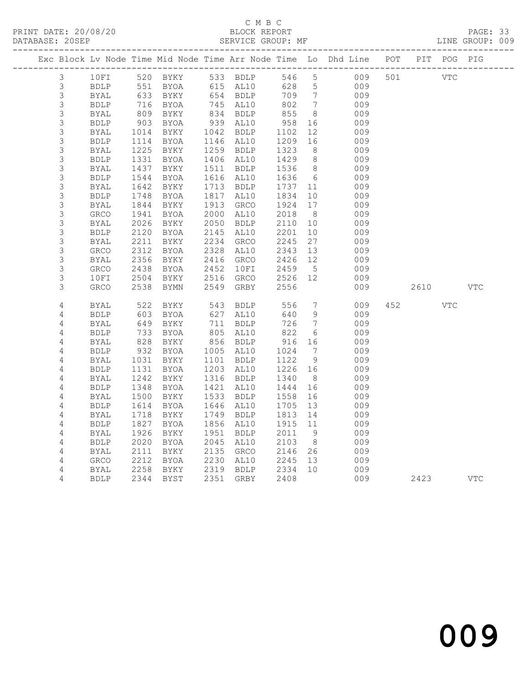# C M B C<br>
C M B C<br>
ELOCK REPORT

|  | DATABASE: 20SEP  |              |              |                                                                    |              |                     | SERVICE GROUP: MF |                              |            |     |      |             | LINE GROUP: 009 |  |
|--|------------------|--------------|--------------|--------------------------------------------------------------------|--------------|---------------------|-------------------|------------------------------|------------|-----|------|-------------|-----------------|--|
|  |                  |              |              | Exc Block Lv Node Time Mid Node Time Arr Node Time Lo Dhd Line POT |              |                     |                   |                              |            |     |      | PIT POG PIG |                 |  |
|  | 3                | 10FI         |              | 520 BYKY                                                           |              | 533 BDLP            | 546               | $\overline{5}$               | 009        | 501 |      | VTC         |                 |  |
|  | 3                | <b>BDLP</b>  | 551          | BYOA                                                               |              | 615 AL10            | 628               | 5                            | 009        |     |      |             |                 |  |
|  | 3                | BYAL         | 633          | BYKY                                                               |              | 654 BDLP            | 709               | $7\phantom{.0}\phantom{.0}7$ | 009        |     |      |             |                 |  |
|  | 3                | <b>BDLP</b>  | 716          | BYOA                                                               | 745          | AL10                | 802               | $\overline{7}$               | 009        |     |      |             |                 |  |
|  | $\mathfrak{Z}$   | <b>BYAL</b>  | 809          | BYKY                                                               |              | 834 BDLP            | 855               | - 8                          | 009        |     |      |             |                 |  |
|  | $\mathsf 3$      | <b>BDLP</b>  | 903          | BYOA                                                               |              | 939 AL10            | 958               | 16                           | 009        |     |      |             |                 |  |
|  | $\mathfrak{Z}$   | BYAL         | 1014         | BYKY                                                               |              | 1042 BDLP           | 1102              | 12                           | 009        |     |      |             |                 |  |
|  | 3                | <b>BDLP</b>  | 1114         | BYOA                                                               | 1146         | AL10                | 1209              | 16                           | 009        |     |      |             |                 |  |
|  | $\mathsf 3$      | <b>BYAL</b>  | 1225         | BYKY                                                               | 1259         | <b>BDLP</b>         | 1323              | 8                            | 009        |     |      |             |                 |  |
|  | $\mathsf 3$      | <b>BDLP</b>  | 1331         | BYOA                                                               | 1406 AL10    |                     | 1429              | 8                            | 009        |     |      |             |                 |  |
|  | $\mathfrak{Z}$   | BYAL         | 1437         | BYKY                                                               | 1511         | BDLP                | 1536              | 8                            | 009        |     |      |             |                 |  |
|  | 3                | <b>BDLP</b>  | 1544         | BYOA                                                               | 1616         | AL10                | 1636              | $6\overline{6}$              | 009        |     |      |             |                 |  |
|  | 3                | BYAL         | 1642         | BYKY                                                               | 1713         | <b>BDLP</b>         | 1737              | 11                           | 009        |     |      |             |                 |  |
|  | 3                | <b>BDLP</b>  | 1748         | BYOA                                                               | 1817         | AL10                | 1834              | 10                           | 009        |     |      |             |                 |  |
|  | $\mathsf 3$<br>3 | <b>BYAL</b>  | 1844         | BYKY                                                               | 1913<br>2000 | <b>GRCO</b><br>AL10 | 1924<br>2018      | 17<br>8 <sup>8</sup>         | 009<br>009 |     |      |             |                 |  |
|  | 3                | GRCO<br>BYAL | 1941<br>2026 | BYOA<br>BYKY                                                       | 2050         | <b>BDLP</b>         | 2110              | 10                           | 009        |     |      |             |                 |  |
|  | 3                | <b>BDLP</b>  | 2120         | BYOA                                                               | 2145         | AL10                | 2201              | 10                           | 009        |     |      |             |                 |  |
|  | 3                | BYAL         | 2211         | BYKY                                                               | 2234         | GRCO                | 2245              | 27                           | 009        |     |      |             |                 |  |
|  | 3                | GRCO         | 2312         | BYOA                                                               | 2328         | AL10                | 2343              | 13                           | 009        |     |      |             |                 |  |
|  | 3                | <b>BYAL</b>  | 2356         | BYKY                                                               | 2416         | GRCO                | 2426              | 12 <sup>°</sup>              | 009        |     |      |             |                 |  |
|  | 3                | <b>GRCO</b>  | 2438         | BYOA                                                               | 2452         | 10FI                | 2459              | 5                            | 009        |     |      |             |                 |  |
|  | 3                | 10FI         | 2504         | BYKY                                                               | 2516         | GRCO                | 2526              | 12                           | 009        |     |      |             |                 |  |
|  | 3                | <b>GRCO</b>  | 2538         | BYMN                                                               | 2549         | GRBY                | 2556              |                              | 009        |     | 2610 |             | <b>VTC</b>      |  |
|  | 4                | BYAL         | 522          | BYKY                                                               | 543          | <b>BDLP</b>         | 556               | $7\phantom{.0}$              | 009        | 452 |      | <b>VTC</b>  |                 |  |
|  | 4                | <b>BDLP</b>  | 603          | BYOA                                                               | 627          | AL10                | 640               | 9                            | 009        |     |      |             |                 |  |
|  | 4                | BYAL         | 649          | BYKY                                                               | 711          | <b>BDLP</b>         | 726               | 7                            | 009        |     |      |             |                 |  |
|  | 4                | <b>BDLP</b>  | 733          | BYOA                                                               | 805          | AL10                | 822               | 6                            | 009        |     |      |             |                 |  |
|  | 4                | BYAL         | 828          | BYKY                                                               | 856          | BDLP                | 916               | 16                           | 009        |     |      |             |                 |  |
|  | 4                | <b>BDLP</b>  | 932          | BYOA                                                               | 1005         | AL10                | 1024              | 7                            | 009        |     |      |             |                 |  |
|  | 4                | BYAL         | 1031         | BYKY                                                               | 1101         | <b>BDLP</b>         | 1122              | 9                            | 009        |     |      |             |                 |  |
|  | 4                | <b>BDLP</b>  | 1131         | BYOA                                                               | 1203         | AL10                | 1226              | 16                           | 009        |     |      |             |                 |  |
|  | 4                | BYAL         | 1242         | BYKY                                                               | 1316         | <b>BDLP</b>         | 1340              | - 8                          | 009        |     |      |             |                 |  |
|  | 4                | <b>BDLP</b>  | 1348         | BYOA                                                               | 1421         | AL10                | 1444              | 16                           | 009        |     |      |             |                 |  |
|  | 4                | BYAL         | 1500         | BYKY                                                               | 1533         | <b>BDLP</b>         | 1558              | 16                           | 009        |     |      |             |                 |  |
|  | 4                | <b>BDLP</b>  | 1614         | BYOA                                                               | 1646         | AL10                | 1705              | 13                           | 009        |     |      |             |                 |  |
|  | 4                | BYAL         | 1718         | BYKY                                                               | 1749         | <b>BDLP</b>         | 1813              | 14                           | 009        |     |      |             |                 |  |
|  | 4                | <b>BDLP</b>  | 1827         | BYOA                                                               | 1856         | AL10                | 1915              | 11                           | 009        |     |      |             |                 |  |
|  | 4                | BYAL         | 1926         | BYKY                                                               | 1951         | <b>BDLP</b>         | 2011              | - 9                          | 009        |     |      |             |                 |  |
|  | 4                | <b>BDLP</b>  | 2020         | BYOA                                                               | 2045         | AL10                | 2103              | 8 <sup>8</sup>               | 009        |     |      |             |                 |  |
|  | 4                | BYAL         | 2111         | BYKY                                                               | 2135         | GRCO                | 2146              | 26                           | 009        |     |      |             |                 |  |
|  | 4                | GRCO         | 2212         | BYOA                                                               | 2230         | AL10                | 2245              | 13                           | 009        |     |      |             |                 |  |
|  | 4                | BYAL         | 2258         | BYKY                                                               | 2319         | <b>BDLP</b>         | 2334              | 10                           | 009        |     |      |             |                 |  |
|  | 4                | <b>BDLP</b>  | 2344         | BYST                                                               | 2351         | GRBY                | 2408              |                              | 009        |     | 2423 |             | <b>VTC</b>      |  |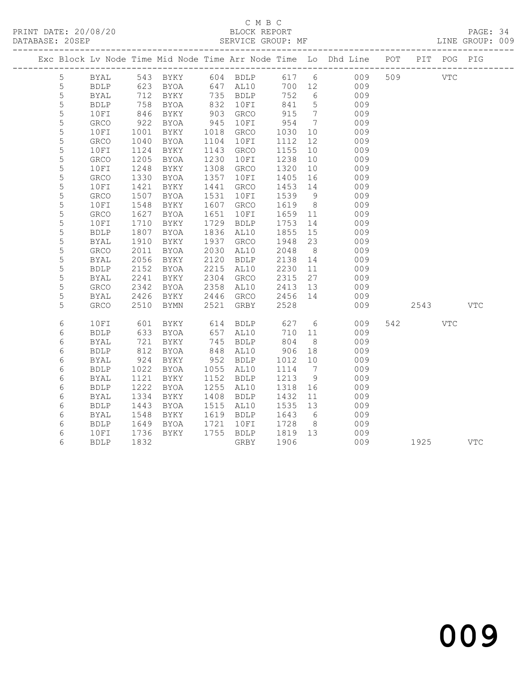### C M B C DATABASE: 20SEP SERVICE GROUP: MF LINE GROUP: 009

|             |              |                  |                   |      |                      |                   |                              | Exc Block Lv Node Time Mid Node Time Arr Node Time Lo Dhd Line POT PIT POG PIG |      |            |            |
|-------------|--------------|------------------|-------------------|------|----------------------|-------------------|------------------------------|--------------------------------------------------------------------------------|------|------------|------------|
| 5           |              |                  |                   |      |                      |                   |                              | BYAL 543 BYKY 604 BDLP 617 6 009 509 VTC                                       |      |            |            |
| 5           | <b>BDLP</b>  |                  | 623 BYOA 647 AL10 |      |                      |                   |                              | 700 12 009                                                                     |      |            |            |
| 5           | BYAL         | 712              | BYKY              |      | 735 BDLP<br>832 10FI | 752               | $6\overline{6}$              | 009                                                                            |      |            |            |
| $\mathsf S$ | <b>BDLP</b>  | 758              | BYOA              |      |                      | 841               | 5 <sup>5</sup>               | 009                                                                            |      |            |            |
| 5           | 10FI         | 846              | BYKY              |      | 903 GRCO             | 915               | $7\phantom{.0}\phantom{.0}7$ | 009                                                                            |      |            |            |
| 5           | GRCO         | 922<br>1001      | BYOA              | 945  | 10FI                 | 954               | $\overline{7}$               | 009                                                                            |      |            |            |
| $\mathsf S$ | 10FI         |                  | BYKY              |      | 1018 GRCO            | 1030              | 10                           | 009                                                                            |      |            |            |
| 5           | <b>GRCO</b>  | 1040             | BYOA              | 1104 | 10FI                 | 1112              | 12                           | 009                                                                            |      |            |            |
| 5           | 10FI         | 1124             | BYKY              | 1143 | GRCO                 | 1155              | 10                           | 009                                                                            |      |            |            |
| 5           | GRCO         | 1205             | BYOA              | 1230 | 10FI                 | 1238              | 10                           | 009                                                                            |      |            |            |
| 5           | 10FI         | 1248             | BYKY              |      | 1308 GRCO            | 1320              | 10                           | 009                                                                            |      |            |            |
| 5           | GRCO         | 1330             | BYOA              |      | 1357 10FI            | 1405              | 16                           | 009                                                                            |      |            |            |
| 5           | 10FI         | 1421             | BYKY              |      | 1441 GRCO            | 1453 14           |                              | 009                                                                            |      |            |            |
| 5           | GRCO         | 1507             | BYOA              | 1531 | 10FI                 | 1539              | 9                            | 009                                                                            |      |            |            |
| 5           | 10FI         | 1548             | BYKY              | 1607 | GRCO                 | 1619              | 8 <sup>8</sup>               | 009                                                                            |      |            |            |
| 5           | GRCO         | 1627             | BYOA              | 1651 | 10FI                 | 1659 11           |                              | 009                                                                            |      |            |            |
| 5           | 10FI         | 1710             | BYKY              |      | 1729 BDLP            | 1753              | 14                           | 009                                                                            |      |            |            |
| $\mathsf S$ | <b>BDLP</b>  | 1807             | BYOA              |      | 1836 AL10            | 1855              | 15                           | 009                                                                            |      |            |            |
| 5           | BYAL         | 1910             | BYKY              |      | 1937 GRCO            | 1948              | 23                           | 009                                                                            |      |            |            |
| 5           | GRCO         | 2011             | BYOA              |      | 2030 AL10            | 2048              | 8 <sup>8</sup>               | 009                                                                            |      |            |            |
| 5           | BYAL         | 2056             | BYKY              |      | 2120 BDLP            | 2138 14           |                              | 009                                                                            |      |            |            |
| 5           | <b>BDLP</b>  | 2152             | BYOA              | 2215 | AL10                 | 2230              | 11                           | 009                                                                            |      |            |            |
| 5           | BYAL         | 2241             | BYKY              |      | 2304 GRCO            | 2315              | 27                           | 009                                                                            |      |            |            |
| 5           | ${\tt GRCO}$ | 2342             | BYOA              |      | 2358 AL10            | 2413 13           |                              | 009                                                                            |      |            |            |
| 5           | BYAL         | 2426             | BYKY 2446 GRCO    |      |                      | 2456 14           |                              | 009                                                                            |      |            |            |
| 5           | GRCO         | 2510             | BYMN              |      | 2521 GRBY            | 2528              |                              | 009                                                                            | 2543 |            | <b>VTC</b> |
| $\epsilon$  | 10FI         | 601              | BYKY              |      | 614 BDLP             | 627 6             |                              | 009                                                                            | 542  | <b>VTC</b> |            |
| 6           | <b>BDLP</b>  |                  | BYOA              |      |                      | 710 11            |                              | 009                                                                            |      |            |            |
| 6           | <b>BYAL</b>  | $\frac{62}{721}$ | BYKY              |      | 657 AL10<br>745 BDLP | 710<br>804        | 8 <sup>8</sup>               | 009                                                                            |      |            |            |
| 6           | <b>BDLP</b>  | 812              | BYOA              |      | 848 AL10             | 906               | 18                           | 009                                                                            |      |            |            |
| 6           | <b>BYAL</b>  | 924              | BYKY              |      | 952 BDLP             | 1012              | 10                           | 009                                                                            |      |            |            |
| 6           | <b>BDLP</b>  | 1022             | BYOA              |      | 1055 AL10            | 1114 7            |                              | 009                                                                            |      |            |            |
| 6           | BYAL         | 1121             | BYKY              |      | 1152 BDLP            | 1213              | 9                            | 009                                                                            |      |            |            |
| 6           | <b>BDLP</b>  | 1222             | BYOA              |      | 1255 AL10            | 1318              | 16                           | 009                                                                            |      |            |            |
| 6           | BYAL         | 1334             | BYKY              |      | 1408 BDLP            | 1432              | 11                           | 009                                                                            |      |            |            |
| 6           | <b>BDLP</b>  | 1443             | BYOA              |      | 1515 AL10            | 1535 13           |                              | 009                                                                            |      |            |            |
| 6           | BYAL         | 1548             | BYKY              |      | 1619 BDLP            | 1643              | 6                            | 009                                                                            |      |            |            |
| 6           | <b>BDLP</b>  |                  | BYOA              |      | 1721 10FI            |                   | 8 <sup>1</sup>               | 009                                                                            |      |            |            |
| 6           | 10FI         | $1645$<br>$1736$ | BYKY              |      | 1755 BDLP            | 1728 8<br>1819 13 |                              | 009                                                                            |      |            |            |
| 6           | <b>BDLP</b>  | 1832             |                   |      | GRBY                 | 1906              |                              | 009                                                                            | 1925 |            | VTC        |
|             |              |                  |                   |      |                      |                   |                              |                                                                                |      |            |            |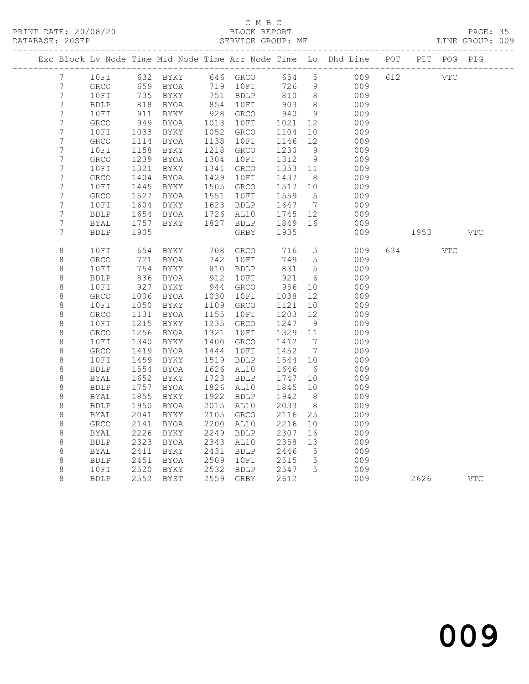### C M B C DATABASE: 20SEP SERVICE GROUP: MF LINE GROUP: 009

|  |                                    |                     |              |                   |              |              |              |                              | Exc Block Lv Node Time Mid Node Time Arr Node Time Lo Dhd Line POT |     |      | PIT POG PIG |            |
|--|------------------------------------|---------------------|--------------|-------------------|--------------|--------------|--------------|------------------------------|--------------------------------------------------------------------|-----|------|-------------|------------|
|  | $7\phantom{.}$                     | 10FI                |              | 632 BYKY 646 GRCO |              |              | 654          | $5\overline{)}$              | 009                                                                | 612 |      | <b>VTC</b>  |            |
|  | $\overline{7}$                     | GRCO                | 659          | BYOA              | 719          | 10FI         | 726          | 9                            | 009                                                                |     |      |             |            |
|  | $\boldsymbol{7}$                   | 10FI                | 735          | BYKY              |              | 751 BDLP     | 810          | 8 <sup>8</sup>               | 009                                                                |     |      |             |            |
|  | $\boldsymbol{7}$                   | <b>BDLP</b>         | 818          | BYOA              | 854          | 10FI         | 903          | 8                            | 009                                                                |     |      |             |            |
|  | $\boldsymbol{7}$                   | 10FI                | 911          | BYKY              | 928          | <b>GRCO</b>  | 940          | - 9                          | 009                                                                |     |      |             |            |
|  | $\overline{7}$                     | <b>GRCO</b>         | 949          | BYOA              | 1013         | 10FI         | 1021         | 12                           | 009                                                                |     |      |             |            |
|  | $\boldsymbol{7}$                   | 10FI                | 1033         | BYKY              | 1052         | GRCO         | 1104         | 10                           | 009                                                                |     |      |             |            |
|  | 7                                  | GRCO                | 1114         | BYOA              | 1138         | 10FI         | 1146         | 12                           | 009                                                                |     |      |             |            |
|  | $\boldsymbol{7}$                   | 10FI                | 1158         | BYKY              | 1218         | <b>GRCO</b>  | 1230         | - 9                          | 009                                                                |     |      |             |            |
|  | $\boldsymbol{7}$<br>$\overline{7}$ | GRCO                | 1239         | BYOA              | 1304         | 10FI         | 1312         | 9                            | 009                                                                |     |      |             |            |
|  | $\boldsymbol{7}$                   | 10FI                | 1321<br>1404 | BYKY<br>BYOA      | 1341<br>1429 | GRCO<br>10FI | 1353<br>1437 | 11                           | 009<br>009                                                         |     |      |             |            |
|  | $\overline{7}$                     | <b>GRCO</b><br>10FI | 1445         | BYKY              | 1505         | GRCO         | 1517         | 8 <sup>8</sup><br>10         | 009                                                                |     |      |             |            |
|  | $\boldsymbol{7}$                   | GRCO                | 1527         | BYOA              | 1551         | 10FI         | 1559         | $5^{\circ}$                  | 009                                                                |     |      |             |            |
|  | 7                                  | 10FI                | 1604         | BYKY              | 1623         | <b>BDLP</b>  | 1647         | $\overline{7}$               | 009                                                                |     |      |             |            |
|  | $\boldsymbol{7}$                   | <b>BDLP</b>         | 1654         | BYOA              | 1726         | AL10         | 1745         | 12                           | 009                                                                |     |      |             |            |
|  | $\overline{7}$                     | BYAL                | 1757         | BYKY              | 1827         | BDLP         | 1849         | 16                           | 009                                                                |     |      |             |            |
|  | $\boldsymbol{7}$                   | <b>BDLP</b>         | 1905         |                   |              | GRBY         | 1935         |                              | 009                                                                |     | 1953 |             | <b>VTC</b> |
|  |                                    |                     |              |                   |              |              |              |                              |                                                                    |     |      |             |            |
|  | $\,8\,$                            | 10FI                | 654          | BYKY              | 708          | GRCO         | 716          | $5\phantom{.0}$              | 009                                                                | 634 |      | <b>VTC</b>  |            |
|  | $\,8\,$                            | GRCO                | 721          | BYOA              | 742          | 10FI         | 749          | $5\overline{)}$              | 009                                                                |     |      |             |            |
|  | $\,8\,$                            | 10FI                | 754          | BYKY              | 810          | <b>BDLP</b>  | 831          | 5                            | 009                                                                |     |      |             |            |
|  | $\,8\,$                            | <b>BDLP</b>         | 836          | BYOA              | 912          | 10FI         | 921          | - 6                          | 009                                                                |     |      |             |            |
|  | $\,8\,$                            | 10FI                | 927          | BYKY              | 944          | <b>GRCO</b>  | 956          | 10                           | 009                                                                |     |      |             |            |
|  | $\,8\,$                            | <b>GRCO</b>         | 1006         | BYOA              | 1030         | 10FI         | 1038         | 12                           | 009                                                                |     |      |             |            |
|  | $\,8\,$                            | 10FI                | 1050         | BYKY              | 1109         | GRCO         | 1121         | 10                           | 009                                                                |     |      |             |            |
|  | $\,8\,$                            | <b>GRCO</b>         | 1131         | BYOA              | 1155         | 10FI         | 1203         | 12                           | 009                                                                |     |      |             |            |
|  | $\,8\,$                            | 10FI                | 1215         | BYKY              | 1235         | GRCO         | 1247         | 9                            | 009                                                                |     |      |             |            |
|  | $\,8\,$                            | <b>GRCO</b>         | 1256         | <b>BYOA</b>       | 1321         | 10FI         | 1329         | 11                           | 009                                                                |     |      |             |            |
|  | $\,8\,$                            | 10FI                | 1340         | BYKY              | 1400         | GRCO         | 1412         | $\overline{7}$               | 009                                                                |     |      |             |            |
|  | $\,8\,$                            | <b>GRCO</b>         | 1419         | BYOA              | 1444         | 10FI         | 1452         | $7\phantom{.0}\phantom{.0}7$ | 009                                                                |     |      |             |            |
|  | $\,8\,$                            | 10FI                | 1459         | BYKY              | 1519         | <b>BDLP</b>  | 1544         | 10                           | 009                                                                |     |      |             |            |
|  | $\,8\,$                            | <b>BDLP</b>         | 1554         | BYOA              | 1626         | AL10         | 1646         | 6                            | 009                                                                |     |      |             |            |
|  | $\,8\,$                            | <b>BYAL</b>         | 1652         | BYKY              | 1723         | <b>BDLP</b>  | 1747         | 10 <sup>°</sup>              | 009                                                                |     |      |             |            |
|  | $\,8\,$                            | <b>BDLP</b>         | 1757         | BYOA              | 1826         | AL10         | 1845         | 10                           | 009                                                                |     |      |             |            |
|  | $\,8\,$                            | BYAL                | 1855         | BYKY              | 1922         | <b>BDLP</b>  | 1942         | 8                            | 009                                                                |     |      |             |            |
|  | 8                                  | <b>BDLP</b>         | 1950         | BYOA              | 2015         | AL10         | 2033         | 8                            | 009                                                                |     |      |             |            |
|  | $\,8\,$                            | <b>BYAL</b>         | 2041         | BYKY              | 2105         | GRCO         | 2116         | 25                           | 009                                                                |     |      |             |            |
|  | $\,8\,$                            | ${\tt GRCO}$        | 2141         | BYOA              | 2200         | AL10         | 2216         | 10                           | 009                                                                |     |      |             |            |
|  | $\,8\,$                            | BYAL                | 2226         | BYKY              | 2249         | <b>BDLP</b>  | 2307         | 16                           | 009                                                                |     |      |             |            |
|  | 8                                  | <b>BDLP</b>         | 2323         | BYOA              | 2343         | AL10         | 2358         | 13                           | 009                                                                |     |      |             |            |
|  | $\,8\,$                            | <b>BYAL</b>         | 2411         | BYKY              | 2431         | <b>BDLP</b>  | 2446         | $5\overline{)}$              | 009                                                                |     |      |             |            |
|  | $\,8\,$                            | <b>BDLP</b>         | 2451         | BYOA              | 2509         | 10FI         | 2515         | $5\phantom{.0}$              | 009                                                                |     |      |             |            |
|  | 8                                  | 10FI                | 2520         | BYKY              | 2532         | BDLP         | 2547         | 5                            | 009                                                                |     |      |             |            |
|  | 8                                  | <b>BDLP</b>         | 2552         | BYST              | 2559         | GRBY         | 2612         |                              | 009                                                                |     | 2626 |             | <b>VTC</b> |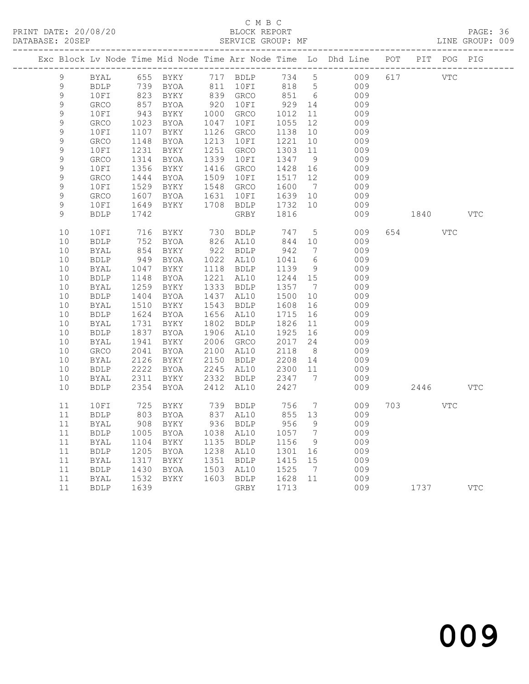### C M B C DATABASE: 20SEP SERVICE GROUP: MF LINE GROUP: 009

|              |             |                  |                                |                        |                    |                 | Exc Block Lv Node Time Mid Node Time Arr Node Time Lo Dhd Line POT PIT POG PIG |     |            |            |            |
|--------------|-------------|------------------|--------------------------------|------------------------|--------------------|-----------------|--------------------------------------------------------------------------------|-----|------------|------------|------------|
| 9            | BYAL        |                  | 655 BYKY                       | 717 BDLP               | 734 5              |                 | 009                                                                            | 617 | <b>VTC</b> |            |            |
| 9            | BDLP        |                  | 739 BYOA                       | 811 10FI               | 818 5              |                 | 009                                                                            |     |            |            |            |
| $\mathsf 9$  | 10FI        |                  | 823 BYKY<br>857 BYOA           | 839 GRCO<br>920 10FI   | 851 6<br>929 14    |                 | 009                                                                            |     |            |            |            |
| $\mathsf{S}$ | <b>GRCO</b> |                  |                                |                        |                    |                 | 009                                                                            |     |            |            |            |
| $\mathsf 9$  | 10FI        | 943<br>1023      | BYKY                           | 1000 GRCO              | 1012<br>1055       | 11              | 009                                                                            |     |            |            |            |
| $\mathsf 9$  | GRCO        |                  | BYOA                           | 1047 10FI              |                    | 12              | 009                                                                            |     |            |            |            |
| $\mathsf 9$  | 10FI        | 1107             | BYKY                           | 1126 GRCO              | 1138               | 10              | 009                                                                            |     |            |            |            |
| $\mathsf 9$  | GRCO        | 1148             | BYOA                           | 1213 10FI              | 1221               | 10              | 009                                                                            |     |            |            |            |
| 9            | 10FI        | 1231             | BYKY                           | 1251 GRCO              | 1303               | 11              | 009                                                                            |     |            |            |            |
| 9            | GRCO        | 1314             | BYOA                           | 1339 10FI              | 1347               | 9               | 009                                                                            |     |            |            |            |
| 9            | 10FI        | 1356             | BYKY                           | 1416 GRCO              | 1428               | 16              | 009                                                                            |     |            |            |            |
| 9            | <b>GRCO</b> | 1444             | BYOA                           | 1509 10FI              | 1517               | 12              | 009                                                                            |     |            |            |            |
| 9            | 10FI        | 1529<br>1607     | BYKY                           | 1548 GRCO              | 1600               | $\overline{7}$  | 009                                                                            |     |            |            |            |
| 9            | GRCO        | 1607             | BYOA                           | 1631 10FI              | 1639 10            |                 | 009                                                                            |     |            |            |            |
| $\mathsf 9$  | 10FI        | 1649             | BYKY                           | 1708 BDLP              | 1732               | 10              | 009                                                                            |     |            |            |            |
| 9            | <b>BDLP</b> | 1742             |                                | GRBY                   | 1816               |                 | 009                                                                            |     | 1840       |            | <b>VTC</b> |
| 10           | 10FI        | 716              | BYKY                           | 730 BDLP               | 747                | $5\overline{)}$ | 009                                                                            | 654 |            | <b>VTC</b> |            |
| 10           | <b>BDLP</b> |                  | BYOA                           | 826 AL10               | 844 10             |                 | 009                                                                            |     |            |            |            |
| $10$         | <b>BYAL</b> | $\frac{7}{854}$  | BYKY                           | 922 BDLP               | 942                | $\overline{7}$  | 009                                                                            |     |            |            |            |
| $10$         | <b>BDLP</b> | 949              | BYOA                           | 1022 AL10              | 1041               | $6\overline{6}$ | 009                                                                            |     |            |            |            |
| $10$         | <b>BYAL</b> | 1047             | BYKY                           | 1118 BDLP              | 1139               | 9               | 009                                                                            |     |            |            |            |
| $10$         | BDLP        | 1148<br>1259     | BYOA                           | 1221 AL10              | 1244 15            |                 | 009                                                                            |     |            |            |            |
| 10           | BYAL        |                  | BYKY                           | 1333 BDLP              | 1357               | $\overline{7}$  | 009                                                                            |     |            |            |            |
| $10$         | BDLP        | 1404             | BYOA                           | 1437 AL10              | 1500               | 10              | 009                                                                            |     |            |            |            |
| $10$         | BYAL        | 1510             | BYKY                           | 1543 BDLP              | 1608               | 16              | 009                                                                            |     |            |            |            |
| 10           | BDLP        |                  | 1624 BYOA                      | 1656 AL10              | 1715               | 16              | 009                                                                            |     |            |            |            |
| 10           | BYAL        |                  | BYKY<br>1731 BYKY<br>1837 BYOA | 1802 BDLP              | 1826               | 11              | 009                                                                            |     |            |            |            |
| 10           | <b>BDLP</b> |                  |                                | 1906 AL10              | 1925               | 16              | 009                                                                            |     |            |            |            |
| 10           | BYAL        | 1941             | BYKY                           | 2006 GRCO              | 2017               | 24              | 009                                                                            |     |            |            |            |
| $10$         | GRCO        | 2041             | BYOA                           | 2100 AL10              | 2118               | 8 <sup>8</sup>  | 009                                                                            |     |            |            |            |
| 10           | BYAL        | 2126             | BYKY                           | 2150 BDLP<br>2245 AL10 | 2208 14<br>2300 11 |                 | 009                                                                            |     |            |            |            |
| 10           | <b>BDLP</b> | 2222             | <b>BYOA</b>                    |                        |                    |                 | 009                                                                            |     |            |            |            |
| 10           | <b>BYAL</b> | 2311             | BYKY                           | 2332 BDLP              | 2347               | $\overline{7}$  | 009                                                                            |     |            |            |            |
| 10           | <b>BDLP</b> | 2354             | BYOA                           | 2412 AL10              | 2427               |                 | 009                                                                            |     | 2446       |            | <b>VTC</b> |
| 11           | 10FI        | 725              | BYKY                           | 739 BDLP               | 756                | $7\overline{ }$ | 009                                                                            | 703 |            | VTC        |            |
| 11           | <b>BDLP</b> | 803<br>908       | BYOA                           | 837 AL10<br>936 BDLP   | 855 13             |                 | 009                                                                            |     |            |            |            |
| 11           | BYAL        |                  | BYKY                           |                        | 956                | 9               | 009                                                                            |     |            |            |            |
| 11           | <b>BDLP</b> | 1005             | BYOA                           | 1038 AL10              | 1057               | $\overline{7}$  | 009                                                                            |     |            |            |            |
| 11           | BYAL        | $1005$<br>$1104$ | BYKY                           | 1135 BDLP              | 1156               | 9               | 009                                                                            |     |            |            |            |
| 11           | <b>BDLP</b> |                  | BYOA                           | 1238 AL10              | 1301               | 16              | 009                                                                            |     |            |            |            |
| 11           | BYAL        | 1205<br>1317     | BYKY                           | 1351 BDLP              | 1301<br>1415       | 15              | 009                                                                            |     |            |            |            |
| 11           | BDLP        | 1430<br>1532     | BYOA                           | 1503 AL10              |                    |                 | 009                                                                            |     |            |            |            |
| 11           | BYAL        |                  | BYKY                           | 1603 BDLP              | 1525 7<br>1628 11  |                 | 009                                                                            |     |            |            |            |
| 11           | <b>BDLP</b> | 1639             |                                | GRBY                   | 1713               |                 | 009                                                                            |     | 1737       |            | <b>VTC</b> |
|              |             |                  |                                |                        |                    |                 |                                                                                |     |            |            |            |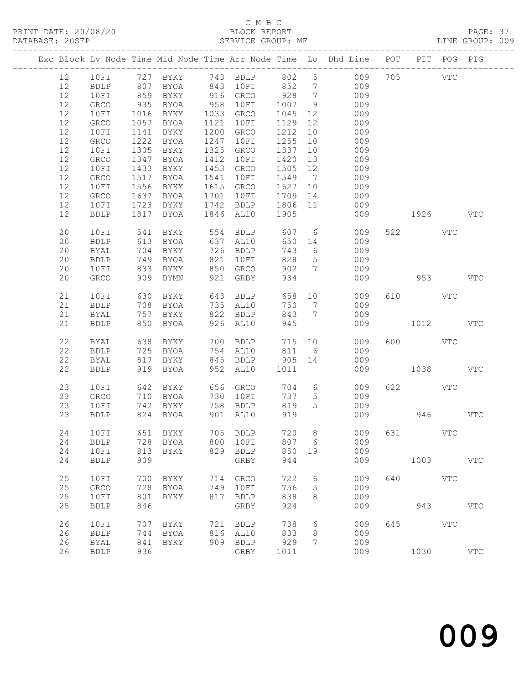#### C M B C DATABASE: 20SEP SERVICE GROUP: MF LINE GROUP: 009

|    |              |      |                              |      |                     |         |                 | Exc Block Lv Node Time Mid Node Time Arr Node Time Lo Dhd Line POT |     |            | PIT POG PIG |            |
|----|--------------|------|------------------------------|------|---------------------|---------|-----------------|--------------------------------------------------------------------|-----|------------|-------------|------------|
| 12 |              |      | 10FI 727 BYKY 743 BDLP 802 5 |      |                     |         |                 | 009                                                                |     | 705 VTC    |             |            |
| 12 | BDLP         | 807  |                              |      | BYOA 843 10FI 852 7 |         |                 | 009                                                                |     |            |             |            |
| 12 | 10FI         | 859  | BYKY                         |      | 916 GRCO            | 928 7   |                 | 009                                                                |     |            |             |            |
| 12 | GRCO         | 935  | BYOA                         |      | 958 10FI            | 1007 9  |                 | 009                                                                |     |            |             |            |
| 12 | 10FI         | 1016 | BYKY                         |      | 1033 GRCO           | 1045    | 12              | 009                                                                |     |            |             |            |
| 12 | GRCO         | 1057 | BYOA                         | 1121 | 10FI                | 1129    | 12              | 009                                                                |     |            |             |            |
| 12 | 10FI         | 1141 | BYKY                         |      | 1200 GRCO           | 1212    | 10              | 009                                                                |     |            |             |            |
| 12 | GRCO         | 1222 | BYOA                         | 1247 | 10FI                | 1255 10 |                 | 009                                                                |     |            |             |            |
|    |              |      |                              |      |                     |         |                 |                                                                    |     |            |             |            |
| 12 | 10FI         | 1305 | BYKY                         | 1325 | GRCO                | 1337    | 10              | 009                                                                |     |            |             |            |
| 12 | GRCO         | 1347 | BYOA                         | 1412 | 10FI                | 1420    | 13              | 009                                                                |     |            |             |            |
| 12 | 10FI         | 1433 | BYKY                         |      | 1453 GRCO           | 1505 12 |                 | 009                                                                |     |            |             |            |
| 12 | GRCO         | 1517 | BYOA                         | 1541 | 10FI                | 1549 7  |                 | 009                                                                |     |            |             |            |
| 12 | 10FI         | 1556 | BYKY                         |      | 1615 GRCO           | 1627 10 |                 | 009                                                                |     |            |             |            |
| 12 | GRCO         | 1637 | BYOA                         |      | 1701 10FI           | 1709 14 |                 | 009                                                                |     |            |             |            |
| 12 | 10FI         | 1723 | BYKY                         |      | 1742 BDLP 1806 11   |         |                 | 009                                                                |     |            |             |            |
| 12 | <b>BDLP</b>  | 1817 | BYOA                         |      | 1846 AL10           | 1905    |                 | 009                                                                |     | 1926 1990  |             | <b>VTC</b> |
|    |              |      |                              |      |                     |         |                 |                                                                    |     |            |             |            |
| 20 | 10FI         | 541  |                              |      | BYKY 554 BDLP       |         |                 | 607 6<br>009                                                       |     | 522 VTC    |             |            |
| 20 | BDLP         | 613  | BYOA                         |      | 637 AL10            |         | 650 14          | 009                                                                |     |            |             |            |
| 20 | BYAL         | 704  | BYKY                         |      | 726 BDLP            | 743     | $6\overline{6}$ | 009                                                                |     |            |             |            |
| 20 | <b>BDLP</b>  | 749  | BYOA                         | 821  | 10FI                | 828     | $5\overline{)}$ | 009                                                                |     |            |             |            |
| 20 | 10FI         | 833  | BYKY                         |      | 850 GRCO            | 902     | $7\phantom{0}$  | 009                                                                |     |            |             |            |
| 20 | GRCO         | 909  | BYMN                         |      | 921 GRBY            | 934     |                 | 009                                                                |     | 953        |             | <b>VTC</b> |
|    |              |      |                              |      |                     |         |                 |                                                                    |     |            |             |            |
| 21 | 10FI         | 630  | BYKY                         |      | 643 BDLP            |         | 658 10          | 009                                                                |     | 610 VTC    |             |            |
| 21 | <b>BDLP</b>  |      | 708 BYOA                     |      | 735 AL10            |         | 750 7           | 009                                                                |     |            |             |            |
| 21 | BYAL         | 757  | BYKY                         |      | 822 BDLP            | 843     | $\overline{7}$  | 009                                                                |     |            |             |            |
| 21 | BDLP         | 850  | BYOA                         |      | 926 AL10            | 945     |                 | 009                                                                |     | 1012 VTC   |             |            |
|    |              |      |                              |      |                     |         |                 |                                                                    |     |            |             |            |
| 22 | BYAL         | 638  | BYKY                         |      | 700 BDLP            |         |                 | 715 10<br>009                                                      |     | 600 VTC    |             |            |
| 22 | ${\tt BDLP}$ | 725  | <b>BYOA</b>                  |      | 754 AL10            | 811 6   |                 | 009                                                                |     |            |             |            |
| 22 | <b>BYAL</b>  | 817  | BYKY                         |      | 845 BDLP 905 14     |         |                 | 009                                                                |     |            |             |            |
| 22 | <b>BDLP</b>  | 919  | BYOA                         |      | 952 AL10            | 1011    |                 | 009                                                                |     | 1038       |             | <b>VTC</b> |
|    |              |      |                              |      |                     |         |                 |                                                                    |     |            |             |            |
| 23 | 10FI         | 642  | BYKY                         |      | 656 GRCO            |         |                 | 704 6<br>009                                                       |     | 622 VTC    |             |            |
| 23 | GRCO         |      | 710 BYOA                     |      | 730 10FI            | 737     | $5\overline{)}$ | 009                                                                |     |            |             |            |
| 23 | 10FI         | 742  | BYKY                         |      | 758 BDLP            | 819     | $5\overline{)}$ | 009                                                                |     |            |             |            |
| 23 | <b>BDLP</b>  |      | 824 BYOA                     |      | 901 AL10            | 919     |                 | 009                                                                |     | 946        |             | <b>VTC</b> |
|    |              |      |                              |      |                     |         |                 |                                                                    |     |            |             |            |
|    |              |      | 24 10FI 651 BYKY 705 BDLP    |      |                     |         |                 | 720 8 009 631 VTC                                                  |     |            |             |            |
| 24 | <b>BDLP</b>  | 728  | BYOA                         | 800  | 10FI                | 807     | - 6             | 009                                                                |     |            |             |            |
| 24 |              | 813  |                              |      | 829 BDLP            | 850     | 19              | 009                                                                |     |            |             |            |
| 24 | 10FI         | 909  | BYKY                         |      |                     | 944     |                 |                                                                    |     |            |             | <b>VTC</b> |
|    | <b>BDLP</b>  |      |                              |      | GRBY                |         |                 | 009                                                                |     | 1003       |             |            |
| 25 | 10FI         | 700  | BYKY                         | 714  | GRCO                | 722     | 6               | 009                                                                | 640 | VTC        |             |            |
| 25 | GRCO         | 728  | BYOA                         | 749  | 10FI                | 756     | 5               | 009                                                                |     |            |             |            |
| 25 | 10FI         | 801  |                              |      | 817 BDLP            | 838     | 8               | 009                                                                |     |            |             |            |
| 25 | <b>BDLP</b>  | 846  | BYKY                         |      |                     | 924     |                 |                                                                    |     | 943        |             | <b>VTC</b> |
|    |              |      |                              |      | GRBY                |         |                 | 009                                                                |     |            |             |            |
| 26 | 10FI         | 707  | BYKY                         |      | 721 BDLP            | 738     | 6               | 009                                                                | 645 | <b>VTC</b> |             |            |
| 26 | <b>BDLP</b>  | 744  | BYOA                         |      | 816 AL10            | 833     | 8               | 009                                                                |     |            |             |            |
| 26 | BYAL         | 841  | <b>BYKY</b>                  |      | 909 BDLP            | 929     | 7               | 009                                                                |     |            |             |            |
| 26 | <b>BDLP</b>  | 936  |                              |      | GRBY                | 1011    |                 | 009                                                                |     | 1030       |             | <b>VTC</b> |
|    |              |      |                              |      |                     |         |                 |                                                                    |     |            |             |            |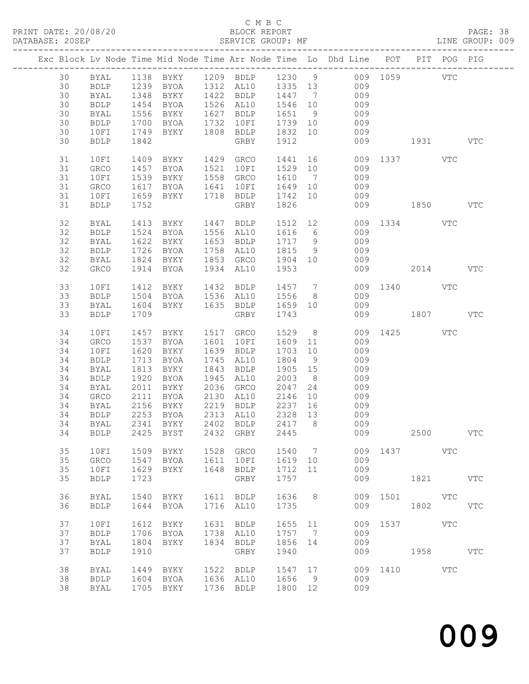#### C M B C<br>BLOCK REPORT

| DATABASE: 20SEP |    |             |              |                        |      | SERVICE GROUP: MF                                          |         |                |                                                                                |              |             |            | LINE GROUP: 009 |
|-----------------|----|-------------|--------------|------------------------|------|------------------------------------------------------------|---------|----------------|--------------------------------------------------------------------------------|--------------|-------------|------------|-----------------|
|                 |    |             |              |                        |      |                                                            |         |                | Exc Block Lv Node Time Mid Node Time Arr Node Time Lo Dhd Line POT PIT POG PIG |              |             |            |                 |
|                 | 30 |             |              |                        |      |                                                            |         |                | BYAL 1138 BYKY 1209 BDLP 1230 9 009 1059 VTC                                   |              |             |            |                 |
|                 | 30 | <b>BDLP</b> |              |                        |      |                                                            |         |                | 1239 BYOA 1312 AL10 1335 13 009                                                |              |             |            |                 |
|                 | 30 | BYAL        |              |                        |      |                                                            |         |                |                                                                                |              |             |            |                 |
|                 |    |             | 1348         |                        |      |                                                            |         |                | BYKY 1422 BDLP 1447 7 009<br>BYOA 1526 AL10 1546 10 009                        |              |             |            |                 |
|                 | 30 | <b>BDLP</b> | 1454<br>1556 |                        |      |                                                            |         |                | BYOA 1526 AL10 1546 10 009<br>BYKY 1627 BDLP 1651 9 009                        |              |             |            |                 |
|                 | 30 | BYAL        |              |                        |      |                                                            |         |                |                                                                                |              |             |            |                 |
|                 | 30 | BDLP        | 1700         |                        |      | BYOA 1732 10FI 1739 10                                     |         |                | 009                                                                            |              |             |            |                 |
|                 | 30 | 10FI        | 1749         |                        |      |                                                            |         |                | BYKY 1808 BDLP 1832 10 009                                                     |              |             |            |                 |
|                 | 30 | <b>BDLP</b> | 1842         |                        |      | GRBY                                                       | 1912    |                |                                                                                | 009 1931     |             |            | VTC             |
|                 |    |             |              |                        |      |                                                            |         |                |                                                                                |              |             |            |                 |
|                 | 31 | 10FI        |              |                        |      |                                                            |         |                | 1409 BYKY 1429 GRCO 1441 16 009 1337 VTC                                       |              |             |            |                 |
|                 | 31 | GRCO        | 1457         | BYOA 1521 10FI         |      |                                                            |         |                | 1529 10 009                                                                    |              |             |            |                 |
|                 | 31 | 10FI        | 1539         | BYKY                   |      | 1558 GRCO                                                  |         |                |                                                                                |              |             |            |                 |
|                 |    |             |              |                        |      |                                                            |         |                | 1610 7 009<br>1649 10 009                                                      |              |             |            |                 |
|                 | 31 | GRCO        | 1617         | <b>BYOA</b>            |      | 1641 10FI                                                  |         |                |                                                                                |              |             |            |                 |
|                 | 31 | 10FI        | 1659         |                        |      | BYKY 1718 BDLP 1742 10                                     |         |                | 009                                                                            |              |             |            |                 |
|                 | 31 | BDLP        | 1752         |                        |      | GRBY                                                       | 1826    |                |                                                                                | 009 1850     |             |            | <b>VTC</b>      |
|                 | 32 | BYAL        |              |                        |      | 1413 BYKY 1447 BDLP                                        |         |                | 1512 12                                                                        | 009 1334 VTC |             |            |                 |
|                 | 32 | BDLP        | 1524         | BYOA                   |      | 1556 AL10 1616 6                                           |         |                | 009                                                                            |              |             |            |                 |
|                 |    |             |              |                        |      |                                                            |         |                |                                                                                |              |             |            |                 |
|                 | 32 | BYAL        | 1622         | BYKY                   |      | 1653 BDLP                                                  | 1717 9  |                | 009                                                                            |              |             |            |                 |
|                 | 32 | BDLP        | 1726         | BYOA                   |      | 1758 AL10                                                  | 1815    | 9              | 009                                                                            |              |             |            |                 |
|                 | 32 | BYAL        |              | 1824 BYKY              |      | 1853 GRCO 1904 10                                          |         |                | 009                                                                            |              |             |            |                 |
|                 | 32 | GRCO        |              | 1914 BYOA              |      | 1934 AL10                                                  | 1953    |                |                                                                                | 009 2014     |             |            | <b>VTC</b>      |
|                 | 33 | 10FI        | 1412         | <b>BYKY</b>            |      |                                                            |         |                |                                                                                | 009 1340 VTC |             |            |                 |
|                 | 33 | <b>BDLP</b> |              |                        |      | 1412 BYKY 1432 BDLP 1457 7<br>1504 BYOA 1536 AL10 1556 8   |         |                | 009                                                                            |              |             |            |                 |
|                 |    |             |              |                        |      |                                                            |         |                |                                                                                |              |             |            |                 |
|                 | 33 | BYAL        |              |                        |      | 1604 BYKY 1635 BDLP 1659 10                                |         |                | 009                                                                            |              |             |            |                 |
|                 | 33 | <b>BDLP</b> | 1709         |                        |      | GRBY                                                       | 1743    |                |                                                                                | 009 1807 VTC |             |            |                 |
|                 | 34 | 10FI        | 1457         | BYKY                   |      | 1517 GRCO                                                  | 1529    |                | $8 - 8$                                                                        | 009 1425 VTC |             |            |                 |
|                 | 34 | GRCO        | 1537         | BYOA                   |      | 1601 10FI                                                  | 1609 11 |                | 009                                                                            |              |             |            |                 |
|                 | 34 | 10FI        | 1620         | BYKY                   |      | 1639 BDLP                                                  | 1703    | 10             | 009                                                                            |              |             |            |                 |
|                 |    |             |              |                        |      |                                                            |         |                |                                                                                |              |             |            |                 |
|                 | 34 | BDLP        | 1713         | BYOA                   |      | 1745 AL10                                                  | 1804    | 9              | 009                                                                            |              |             |            |                 |
|                 | 34 | BYAL        | 1813         | BYKY                   |      | 1843 BDLP                                                  | 1905 15 |                | 009                                                                            |              |             |            |                 |
|                 | 34 | BDLP        | 1920         | BYOA                   |      | 1945 AL10                                                  | 2003    | 8 <sup>8</sup> | 009                                                                            |              |             |            |                 |
|                 | 34 | BYAL        | 2011         | BYKY                   |      | 2036 GRCO                                                  | 2047    | 24             | 009                                                                            |              |             |            |                 |
|                 | 34 | GRCO        | 2111         |                        |      | BYOA 2130 AL10                                             | 2146    | 10             | 009                                                                            |              |             |            |                 |
|                 | 34 |             |              |                        |      |                                                            |         |                |                                                                                |              |             |            |                 |
|                 |    | BYAL        |              | 2156 BINI<br>2253 BYOA |      | 2219   BDLP       2237   16<br>2313   AL10       2328   13 |         |                | $009$<br>$009$                                                                 |              |             |            |                 |
|                 | 34 | BDLP        |              |                        |      |                                                            |         |                |                                                                                |              |             |            |                 |
|                 |    |             |              |                        |      |                                                            |         |                | 34 BYAL 2341 BYKY 2402 BDLP 2417 8 009                                         |              |             |            |                 |
|                 | 34 | <b>BDLP</b> | 2425         | BYST                   |      | 2432 GRBY                                                  | 2445    |                | 009                                                                            |              | 2500        |            | <b>VTC</b>      |
|                 | 35 | 10FI        | 1509         | BYKY                   |      | 1528 GRCO                                                  | 1540    | $\overline{7}$ |                                                                                | 009 1437 VTC |             |            |                 |
|                 | 35 |             | 1547         |                        | 1611 |                                                            |         | 10             | 009                                                                            |              |             |            |                 |
|                 |    | GRCO        |              | BYOA                   |      | 10FI                                                       | 1619    |                |                                                                                |              |             |            |                 |
|                 | 35 | 10FI        | 1629         | BYKY                   | 1648 | BDLP                                                       | 1712    | 11             | 009                                                                            |              |             |            |                 |
|                 | 35 | <b>BDLP</b> | 1723         |                        |      | GRBY                                                       | 1757    |                | 009                                                                            |              | 1821 / 1820 |            | <b>VTC</b>      |
|                 | 36 | <b>BYAL</b> | 1540         | BYKY                   |      | 1611 BDLP                                                  | 1636    | 8 <sup>8</sup> |                                                                                | 009 1501     | <b>VTC</b>  |            |                 |
|                 | 36 | <b>BDLP</b> | 1644         | BYOA                   |      | 1716 AL10                                                  | 1735    |                | 009                                                                            |              | 1802        |            | <b>VTC</b>      |
|                 |    |             |              |                        |      |                                                            |         |                |                                                                                |              |             |            |                 |
|                 | 37 | 10FI        | 1612         | BYKY                   |      | 1631 BDLP                                                  | 1655 11 |                | 009                                                                            |              |             | <b>VTC</b> |                 |
|                 | 37 | <b>BDLP</b> | 1706         | BYOA                   |      | 1738 AL10                                                  | 1757    | $\overline{7}$ | 009                                                                            |              |             |            |                 |
|                 | 37 | <b>BYAL</b> | 1804         | BYKY                   | 1834 | BDLP                                                       | 1856    | 14             | 009                                                                            |              |             |            |                 |
|                 | 37 | <b>BDLP</b> | 1910         |                        |      | GRBY                                                       | 1940    |                | 009                                                                            |              | 1958 30     |            | $_{\rm VTC}$    |
|                 |    |             |              |                        |      |                                                            |         |                |                                                                                |              |             |            |                 |
|                 | 38 | <b>BYAL</b> | 1449         | BYKY                   |      | 1522 BDLP                                                  | 1547 17 |                |                                                                                | 009 1410 VTC |             |            |                 |
|                 | 38 | <b>BDLP</b> | 1604         | BYOA                   |      | 1636 AL10                                                  | 1656    | 9              | 009                                                                            |              |             |            |                 |
|                 | 38 | BYAL        | 1705         | BYKY                   |      | 1736 BDLP                                                  | 1800 12 |                | 009                                                                            |              |             |            |                 |
|                 |    |             |              |                        |      |                                                            |         |                |                                                                                |              |             |            |                 |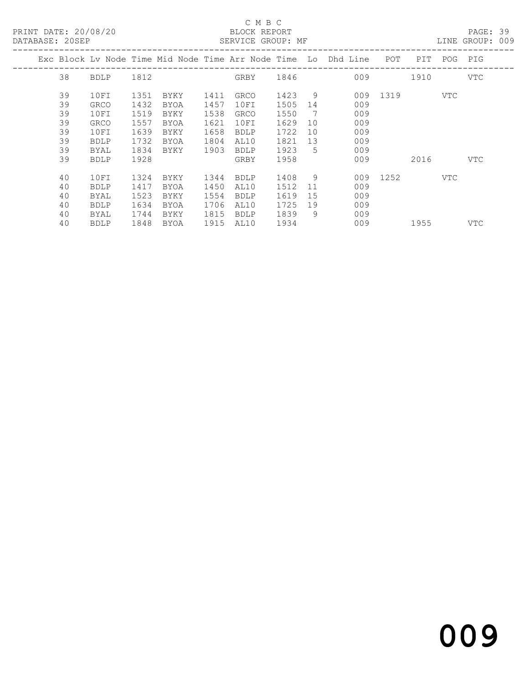PRINT DATE: 20/08/20 BLOCK REPORT<br>
DATABASE: 20SEP<br>
SERVICE GROUP: MF

## C M B C<br>BLOCK REPORT

PAGE: 39<br>LINE GROUP: 009

|  |    |             |      |      |      |             |      |             | Exc Block Lv Node Time Mid Node Time Arr Node Time Lo Dhd Line | POT      | PIT               |     | POG PIG |
|--|----|-------------|------|------|------|-------------|------|-------------|----------------------------------------------------------------|----------|-------------------|-----|---------|
|  | 38 | BDLP        | 1812 |      |      | GRBY 1846   |      |             | 009                                                            |          | 1910              |     | VTC     |
|  | 39 | 10FI        | 1351 | BYKY | 1411 | GRCO        | 1423 | 9           |                                                                | 009 1319 | <b>Example 18</b> |     |         |
|  | 39 | <b>GRCO</b> | 1432 | BYOA | 1457 | 10FI        | 1505 | 14          | 009                                                            |          |                   |     |         |
|  | 39 | 10FI        | 1519 | BYKY | 1538 | GRCO        | 1550 | 7           | 009                                                            |          |                   |     |         |
|  | 39 | <b>GRCO</b> | 1557 | BYOA | 1621 | 10FI        | 1629 | 10          | 009                                                            |          |                   |     |         |
|  | 39 | 10FI        | 1639 | BYKY | 1658 | <b>BDLP</b> | 1722 | 10          | 009                                                            |          |                   |     |         |
|  | 39 | <b>BDLP</b> | 1732 | BYOA | 1804 | AL10        | 1821 | 13          | 009                                                            |          |                   |     |         |
|  | 39 | <b>BYAL</b> | 1834 | BYKY | 1903 | <b>BDLP</b> | 1923 | $5^{\circ}$ | 009                                                            |          |                   |     |         |
|  | 39 | <b>BDLP</b> | 1928 |      |      | GRBY        | 1958 |             | 009                                                            |          | 2016              |     | VTC     |
|  | 40 | 10FI        | 1324 | BYKY | 1344 | <b>BDLP</b> | 1408 | 9           |                                                                | 009 1252 |                   | VTC |         |
|  | 40 | <b>BDLP</b> | 1417 | BYOA | 1450 | AL10        | 1512 | -11         | 009                                                            |          |                   |     |         |
|  |    |             |      |      |      |             |      |             |                                                                |          |                   |     |         |
|  | 40 | BYAL        | 1523 | BYKY | 1554 | <b>BDLP</b> | 1619 | 15          | 009                                                            |          |                   |     |         |
|  | 40 | <b>BDLP</b> | 1634 | BYOA | 1706 | AL10        | 1725 | 19          | 009                                                            |          |                   |     |         |
|  | 40 | BYAL        | 1744 | BYKY | 1815 | <b>BDLP</b> | 1839 | 9           | 009                                                            |          |                   |     |         |
|  | 40 | <b>BDLP</b> | 1848 | BYOA | 1915 | AL10        | 1934 |             | 009                                                            |          | 1955              |     | VTC     |
|  |    |             |      |      |      |             |      |             |                                                                |          |                   |     |         |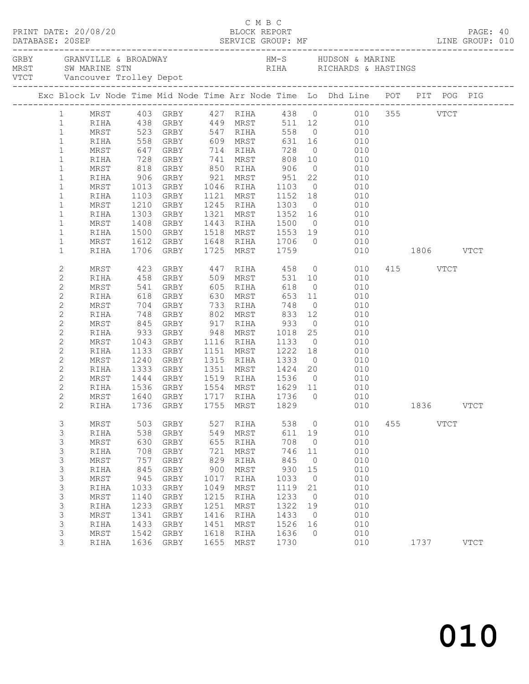| PRINT DATE: 20/08/20 |              |                                  |                                |      | C M B C<br>BLOCK REPORT                       |                 |                |                                                                                                                          |           |          | PAGE: 40    |  |
|----------------------|--------------|----------------------------------|--------------------------------|------|-----------------------------------------------|-----------------|----------------|--------------------------------------------------------------------------------------------------------------------------|-----------|----------|-------------|--|
|                      |              |                                  |                                |      |                                               |                 |                |                                                                                                                          |           |          |             |  |
|                      |              |                                  |                                |      |                                               |                 |                | Exc Block Lv Node Time Mid Node Time Arr Node Time Lo Dhd Line POT PIT POG PIG                                           |           |          |             |  |
|                      |              |                                  |                                |      |                                               |                 |                |                                                                                                                          |           |          |             |  |
|                      |              |                                  |                                |      |                                               |                 |                | 1 MRST 403 GRBY 427 RIHA 438 0 010 355 VTCT<br>1 RIHA 438 GRBY 449 MRST 511 12 010<br>1 MRST 523 GRBY 547 RIHA 558 0 010 |           |          |             |  |
|                      |              |                                  |                                |      |                                               |                 |                |                                                                                                                          |           |          |             |  |
| $\mathbf{1}$         | RIHA         |                                  |                                |      |                                               |                 |                | 558 GRBY 609 MRST 631 16 010                                                                                             |           |          |             |  |
| $\mathbf{1}$         | MRST         |                                  |                                |      |                                               |                 |                |                                                                                                                          |           |          |             |  |
| $\mathbf{1}$         | RIHA         |                                  |                                |      |                                               |                 |                |                                                                                                                          |           |          |             |  |
| $\mathbf{1}$         | MRST         |                                  |                                |      |                                               |                 |                |                                                                                                                          |           |          |             |  |
| $\mathbf{1}$         | RIHA         |                                  |                                |      |                                               |                 |                | 906 GRBY 921 MRST 951 22 010                                                                                             |           |          |             |  |
| $\mathbf{1}$         | MRST         |                                  | 1013 GRBY                      |      | 1046 RIHA                                     | 1103            |                | $0$ 010                                                                                                                  |           |          |             |  |
| $\mathbf{1}$         | RIHA         |                                  | 1103 GRBY                      |      |                                               |                 |                |                                                                                                                          |           |          |             |  |
| $\mathbf{1}$         | MRST         |                                  | 1210 GRBY                      |      |                                               |                 |                | 1121 MRST 1152 18 010<br>1245 RIHA 1303 0 010                                                                            |           |          |             |  |
| $\mathbf 1$          | RIHA         | 1303                             | GRBY                           |      | 1321 MRST 1352 16                             |                 |                | 010                                                                                                                      |           |          |             |  |
| $\mathbf 1$          | MRST         | 1408                             | GRBY                           |      | 1443 RIHA 1500                                |                 |                | $0$ 010                                                                                                                  |           |          |             |  |
| $\mathbf 1$          | RIHA         | 1500                             | GRBY                           |      |                                               |                 |                |                                                                                                                          |           |          |             |  |
| $\mathbf{1}$         | MRST         |                                  | 1612 GRBY                      |      |                                               |                 |                | 1518 MRST 1553 19 010<br>1648 RIHA 1706 0 010                                                                            |           |          |             |  |
| $\mathbf 1$          | RIHA         |                                  | 1706 GRBY                      |      | 1725 MRST 1759                                |                 |                | 010                                                                                                                      | 1806 VTCT |          |             |  |
| $\mathbf{2}$         | MRST         |                                  |                                |      |                                               |                 |                |                                                                                                                          |           | 415 VTCT |             |  |
| $\mathbf 2$          | RIHA         |                                  |                                |      |                                               |                 |                |                                                                                                                          |           |          |             |  |
| $\mathbf{2}$         | MRST         | 541 GRBY                         |                                |      | $605$ RIHA                                    | 618             |                | $0\qquad \qquad 010$                                                                                                     |           |          |             |  |
| $\mathbf{2}$         | RIHA         | 618                              | GRBY                           |      | 630 MRST                                      | 653 11          |                | 010                                                                                                                      |           |          |             |  |
| $\mathbf{2}$         | MRST         | 704 GRBY<br>748 GRBY<br>845 GRBY | GRBY 733 RIHA<br>GRBY 802 MRST |      |                                               | 748             | $\overline{0}$ | 010                                                                                                                      |           |          |             |  |
| $\sqrt{2}$           | RIHA         |                                  |                                |      |                                               | 833 12<br>933 0 |                | $\begin{array}{ccc} 12 & \hspace{1.5cm} & 010 \\ \hspace{1.5cm} 0 & \hspace{1.5cm} & 010 \end{array}$                    |           |          |             |  |
| $\mathbf{2}$         | MRST         |                                  |                                |      | $917$ RIHA                                    |                 |                |                                                                                                                          |           |          |             |  |
| $\mathbf{2}$         | RIHA         | 933 GRBY                         |                                |      | 948 MRST                                      | 1018 25         |                | 010                                                                                                                      |           |          |             |  |
| $\mathbf{2}$         | MRST         | 1043                             | GRBY                           |      | 1116 RIHA                                     | 1133            | $\overline{0}$ | 010                                                                                                                      |           |          |             |  |
| $\mathbf 2$          | RIHA         | 1133                             | GRBY                           |      | 1151 MRST                                     | 1222 18<br>1333 |                | 010<br>$\begin{matrix} 0 & 0 & 0 \\ 0 & 0 & 0 \end{matrix}$                                                              |           |          |             |  |
| $\mathbf{2}$         | MRST         | 1240                             | GRBY                           |      | 1315 RIHA                                     |                 |                | 010                                                                                                                      |           |          |             |  |
| 2                    | RIHA         | 1333                             | GRBY                           |      | 1351 MRST 1424 20                             |                 |                |                                                                                                                          |           |          |             |  |
| 2<br>$\mathbf{2}$    | MRST<br>RIHA | 1444                             | GRBY                           |      | 1519 RIHA 1536                                |                 | $\overline{0}$ | 010                                                                                                                      |           |          |             |  |
| $\mathbf{2}$         | MRST         | 1536 GRBY<br>1640 GRBY           |                                |      | 1554 MRST   1629  11<br>1717  RIHA   1736   0 |                 |                | $\begin{array}{c} 010 \\ 010 \end{array}$                                                                                |           |          |             |  |
| $\overline{c}$       |              |                                  |                                |      |                                               |                 |                | RIHA 1736 GRBY 1755 MRST 1829 010 1836 VTCT                                                                              |           |          |             |  |
| 3                    | MRST         | 503                              | GRBY                           | 527  | RIHA                                          | 538             | $\circ$        | 010                                                                                                                      | 455       | VTCT     |             |  |
| 3                    | RIHA         | 538                              | GRBY                           | 549  | MRST                                          | 611             | 19             | 010                                                                                                                      |           |          |             |  |
| 3                    | MRST         | 630                              | GRBY                           | 655  | RIHA                                          | 708             | $\circ$        | 010                                                                                                                      |           |          |             |  |
| 3                    | RIHA         | 708                              | GRBY                           | 721  | MRST                                          | 746             | 11             | 010                                                                                                                      |           |          |             |  |
| $\mathsf S$          | $\tt MRST$   | 757                              | ${\tt GRBY}$                   | 829  | RIHA                                          | 845             | $\circ$        | 010                                                                                                                      |           |          |             |  |
| $\mathsf S$          | RIHA         | 845                              | GRBY                           | 900  | MRST                                          | 930             | 15             | 010                                                                                                                      |           |          |             |  |
| 3                    | MRST         | 945                              | GRBY                           | 1017 | RIHA                                          | 1033            | $\circ$        | 010                                                                                                                      |           |          |             |  |
| 3                    | RIHA         | 1033                             | GRBY                           | 1049 | MRST                                          | 1119            | 21             | 010                                                                                                                      |           |          |             |  |
| $\mathsf S$          | $\tt MRST$   | 1140                             | ${\tt GRBY}$                   | 1215 | RIHA                                          | 1233            | $\circ$        | 010                                                                                                                      |           |          |             |  |
| $\mathsf S$          | RIHA         | 1233                             | GRBY                           | 1251 | MRST                                          | 1322            | 19             | 010                                                                                                                      |           |          |             |  |
| 3                    | MRST         | 1341                             | GRBY                           | 1416 | RIHA                                          | 1433            | $\overline{0}$ | 010                                                                                                                      |           |          |             |  |
| 3                    | RIHA         | 1433                             | GRBY                           | 1451 | MRST                                          | 1526            | 16             | 010                                                                                                                      |           |          |             |  |
| 3                    | MRST         | 1542                             | ${\tt GRBY}$                   | 1618 | RIHA                                          | 1636            | 0              | 010                                                                                                                      |           |          |             |  |
| 3                    | RIHA         | 1636                             | GRBY                           | 1655 | MRST                                          | 1730            |                | 010                                                                                                                      |           | 1737     | <b>VTCT</b> |  |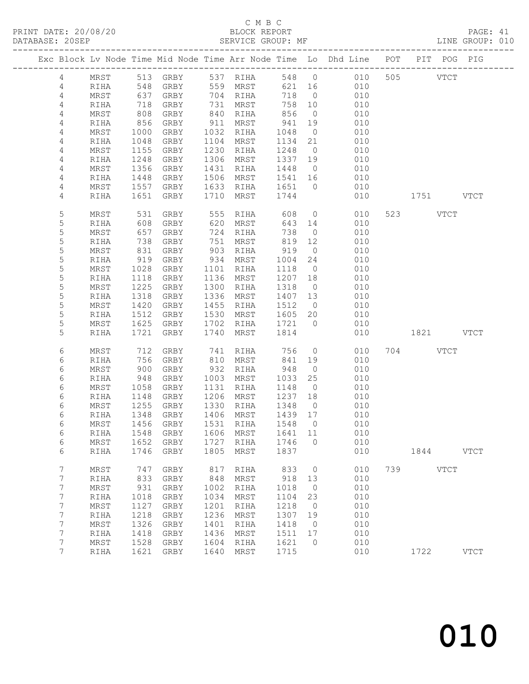#### C M B C<br>BLOCK REPORT SERVICE GROUP: MF

|                 |              |              |                      |              |                   |              |                      | Exc Block Lv Node Time Mid Node Time Arr Node Time Lo Dhd Line POT PIT POG PIG |     |           |             |             |
|-----------------|--------------|--------------|----------------------|--------------|-------------------|--------------|----------------------|--------------------------------------------------------------------------------|-----|-----------|-------------|-------------|
| $4\overline{ }$ | MRST         |              | 513 GRBY 537 RIHA    |              |                   |              |                      | 548 0 010                                                                      |     | 505 VTCT  |             |             |
| $\overline{4}$  | RIHA         |              | 548 GRBY             |              | 559 MRST          |              |                      | 621 16 010                                                                     |     |           |             |             |
| $\overline{4}$  | MRST         |              |                      |              | 704 RIHA          | 718          | $\overline{0}$       | 010                                                                            |     |           |             |             |
| $\overline{4}$  | RIHA         |              | 637 GRBY<br>718 GRBY |              | 731 MRST          | 758          | 10                   | 010                                                                            |     |           |             |             |
| 4               | MRST         | 808          | GRBY                 |              | 840 RIHA          | 856          | $\overline{0}$       | 010                                                                            |     |           |             |             |
| 4               | RIHA         | 856          | GRBY                 | 911          | MRST              | 941          | 19                   | 010                                                                            |     |           |             |             |
| 4               | MRST         | 1000         | GRBY                 | 1032         | RIHA              | 1048         | $\overline{0}$       | 010                                                                            |     |           |             |             |
| 4               | RIHA         | 1048         | GRBY                 | 1104         | MRST              | 1134         | 21                   | 010                                                                            |     |           |             |             |
| 4               | MRST         | 1155         | GRBY                 | 1230         | RIHA              | 1248         | $\overline{0}$       | 010                                                                            |     |           |             |             |
| 4               | RIHA         | 1248         | GRBY                 | 1306         | MRST              | 1337         | 19                   | 010                                                                            |     |           |             |             |
| 4               | MRST         | 1356         | GRBY                 | 1431         | RIHA              | 1448         | $\overline{0}$       | 010                                                                            |     |           |             |             |
| 4               | RIHA         | 1448         | GRBY                 | 1506         | MRST              | 1541 16      |                      | 010                                                                            |     |           |             |             |
| 4               | MRST         | 1557         | GRBY                 | 1633         | RIHA              | 1651         | $\overline{0}$       | 010                                                                            |     |           |             |             |
| 4               | RIHA         | 1651         | GRBY                 | 1710         | MRST              | 1744         |                      | 010                                                                            |     | 1751 VTCT |             |             |
| 5               | MRST         | 531          | GRBY                 | 555          | RIHA              | 608          |                      | $\overline{0}$<br>010                                                          |     | 523 VTCT  |             |             |
| 5               | RIHA         | 608          | GRBY                 | 620          | MRST              | 643 14       |                      | 010                                                                            |     |           |             |             |
| 5               | MRST         | 657          | GRBY                 | 724          | RIHA              | 738          | $\overline{0}$       | 010                                                                            |     |           |             |             |
| 5               | RIHA         | 738          | GRBY                 | 751          | MRST              | 819          | 12                   | 010                                                                            |     |           |             |             |
| $\mathsf S$     | MRST         | 831          | GRBY                 | 903          | RIHA              | 919          | $\overline{0}$       | 010                                                                            |     |           |             |             |
| 5               | RIHA         | 919          | GRBY                 | 934          | MRST              | 1004         | 24                   | 010                                                                            |     |           |             |             |
| 5               | MRST         | 1028         | GRBY                 | 1101         | RIHA              | 1118         | $\overline{0}$       | 010                                                                            |     |           |             |             |
| 5               | RIHA         | 1118         | GRBY                 | 1136         | MRST              | 1207         | 18                   | 010                                                                            |     |           |             |             |
| $\mathsf S$     | MRST         | 1225         | GRBY                 | 1300         | RIHA              | 1318         | $\overline{0}$       | 010                                                                            |     |           |             |             |
| 5               | RIHA         | 1318         | GRBY                 | 1336         | MRST              | 1407         | 13                   | 010                                                                            |     |           |             |             |
| 5               | MRST         | 1420         | GRBY                 | 1455         | RIHA              | 1512         | $\overline{0}$       | 010                                                                            |     |           |             |             |
| 5               | RIHA         | 1512         | GRBY                 | 1530         | MRST              | 1605         | 20                   | 010                                                                            |     |           |             |             |
| 5<br>5          | MRST         | 1625         | GRBY<br>1721 GRBY    | 1702<br>1740 | RIHA              | 1721 0       |                      | 010                                                                            |     |           |             |             |
|                 | RIHA         |              |                      |              | MRST              | 1814         |                      | 010                                                                            |     | 1821 VTCT |             |             |
| 6               | MRST         | 712          | GRBY                 | 741          | RIHA              | 756          | $\overline{0}$       | 010                                                                            |     | 704 VTCT  |             |             |
| 6               | RIHA         | 756          | GRBY                 | 810          | MRST              | 841          | 19                   | 010                                                                            |     |           |             |             |
| 6               | MRST         | 900          | GRBY                 | 932          | RIHA              | 948          | $\overline{0}$       | 010                                                                            |     |           |             |             |
| 6               | RIHA         | 948          | GRBY                 | 1003         | MRST              | 1033         | 25                   | 010                                                                            |     |           |             |             |
| 6               | MRST         | 1058         | GRBY                 | 1131         | RIHA              | 1148         | $\overline{0}$       | 010                                                                            |     |           |             |             |
| 6               | RIHA         | 1148         | GRBY                 | 1206         | MRST              | 1237         | 18                   | 010                                                                            |     |           |             |             |
| 6               | MRST         |              | 1255 GRBY            | 1330         | RIHA              | 1348         | $\overline{0}$       | 010                                                                            |     |           |             |             |
| 6               | RIHA         |              | 1348 GRBY            |              | 1406 MRST         | 1439 17      |                      | 010                                                                            |     |           |             |             |
| 6               | MRST         |              | 1456 GRBY            |              | 1531 RIHA         | 1548 0       |                      | 010                                                                            |     |           |             |             |
| 6               | RIHA         |              | 1548 GRBY            |              | 1606 MRST 1641 11 |              |                      | 010                                                                            |     |           |             |             |
| 6               | MRST         | 1652         | GRBY                 | 1727         | RIHA              | 1746         | 0                    | 010                                                                            |     |           |             |             |
| 6               | RIHA         | 1746         | GRBY                 | 1805         | MRST              | 1837         |                      | 010                                                                            |     | 1844      |             | <b>VTCT</b> |
| 7               | MRST         | 747          | GRBY                 | 817          | RIHA              | 833          | $\circ$              | 010                                                                            | 739 |           | <b>VTCT</b> |             |
| 7               | RIHA         | 833          | GRBY                 | 848          | MRST              | 918          | 13                   | 010                                                                            |     |           |             |             |
| 7               | MRST         | 931          | GRBY                 | 1002         | RIHA              | 1018         | $\overline{0}$       | 010                                                                            |     |           |             |             |
| 7               | RIHA         | 1018         | GRBY                 | 1034         | MRST              | 1104         | 23                   | 010                                                                            |     |           |             |             |
| 7               | MRST         | 1127         | GRBY                 | 1201         | RIHA              | 1218         | 0                    | 010                                                                            |     |           |             |             |
| 7               | RIHA         | 1218         | GRBY                 | 1236         | MRST              | 1307         | 19                   | 010                                                                            |     |           |             |             |
| 7<br>7          | MRST<br>RIHA | 1326<br>1418 | GRBY<br>GRBY         | 1401<br>1436 | RIHA<br>MRST      | 1418<br>1511 | $\overline{0}$<br>17 | 010<br>010                                                                     |     |           |             |             |
| 7               | MRST         | 1528         | GRBY                 | 1604         | RIHA              | 1621         | $\mathbf 0$          | 010                                                                            |     |           |             |             |
| 7               | RIHA         | 1621         | GRBY                 | 1640         | MRST              | 1715         |                      | 010                                                                            |     | 1722      |             | <b>VTCT</b> |
|                 |              |              |                      |              |                   |              |                      |                                                                                |     |           |             |             |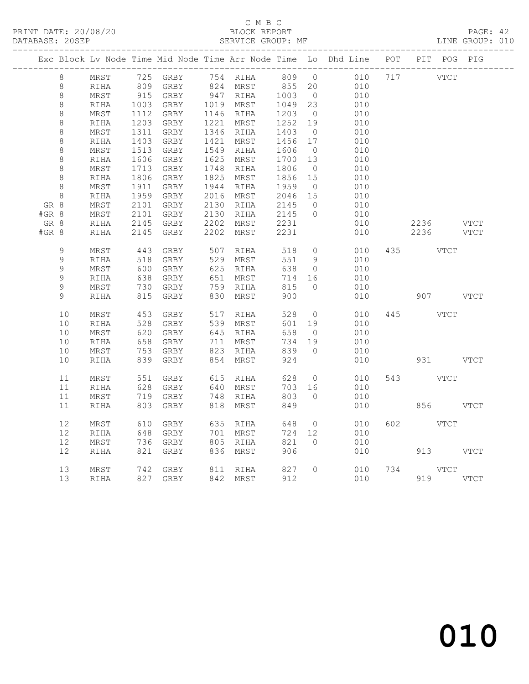PRINT DATE: 20/08/20 BLOCK REPORT<br>
DATABASE: 20SEP<br>
SERVICE GROUP: MF

# C M B C<br>BLOCK REPORT

PAGE: 42<br>LINE GROUP: 010

|       |             |            |      |           |              |                         |         |                | Exc Block Lv Node Time Mid Node Time Arr Node Time Lo Dhd Line POT PIT POG PIG |     |                |             |
|-------|-------------|------------|------|-----------|--------------|-------------------------|---------|----------------|--------------------------------------------------------------------------------|-----|----------------|-------------|
|       | 8           | MRST       |      |           |              | 725 GRBY 754 RIHA 809 0 |         |                | 010                                                                            | 717 | VTCT           |             |
|       | $\,8\,$     | RIHA       |      | 809 GRBY  |              | 824 MRST                | 855 20  |                | 010                                                                            |     |                |             |
|       | $\,8\,$     | MRST       |      | 915 GRBY  |              | 947 RIHA                | 1003    | $\overline{0}$ | 010                                                                            |     |                |             |
|       | 8           | RIHA       | 1003 | GRBY      |              | 1019 MRST               | 1049    | 23             | 010                                                                            |     |                |             |
|       | $\,8\,$     | MRST       | 1112 | GRBY      |              | 1146 RIHA               | 1203    | $\overline{0}$ | 010                                                                            |     |                |             |
|       | $\,8\,$     | RIHA       | 1203 | GRBY      | 1221         | MRST                    | 1252    | 19             | 010                                                                            |     |                |             |
|       | $\,8\,$     | MRST       | 1311 | GRBY      |              | 1346 RIHA               | 1403    | $\overline{0}$ | 010                                                                            |     |                |             |
|       | 8           | RIHA       | 1403 | GRBY      | 1421         | MRST                    | 1456    | 17             | 010                                                                            |     |                |             |
|       | 8           | $\tt MRST$ | 1513 | GRBY      | 1549         | RIHA                    | 1606    | $\overline{0}$ | 010                                                                            |     |                |             |
|       | $\,8\,$     | RIHA       | 1606 | GRBY      | 1625         | MRST                    | 1700    | 13             | 010                                                                            |     |                |             |
|       | $\,8\,$     | MRST       | 1713 | GRBY      | 1748         | RIHA                    | 1806    | $\overline{0}$ | 010                                                                            |     |                |             |
|       | $\,8\,$     | RIHA       | 1806 | GRBY      | 1825         | MRST                    | 1856    | 15             | 010                                                                            |     |                |             |
|       | $\,8\,$     | MRST       | 1911 | GRBY      | 1944         | RIHA                    | 1959    | $\overline{0}$ | 010                                                                            |     |                |             |
|       | 8           | RIHA       | 1959 | GRBY      | 2016         | MRST                    | 2046 15 |                | 010                                                                            |     |                |             |
| GR 8  |             | MRST       | 2101 | GRBY      | 2130         | RIHA                    | 2145    | $\overline{0}$ | 010                                                                            |     |                |             |
| #GR 8 |             | MRST       | 2101 | GRBY      |              | 2130 RIHA               | 2145    | $\overline{0}$ | 010                                                                            |     |                |             |
| GR 8  |             | RIHA       |      | 2145 GRBY | 2202         | MRST                    | 2231    |                | 010                                                                            |     | 2236 VTCT      |             |
| #GR 8 |             | RIHA       | 2145 | GRBY      | 2202         | MRST                    | 2231    |                | 010                                                                            |     | 2236           | VTCT        |
|       |             |            |      |           |              |                         |         |                |                                                                                |     |                |             |
|       | $\mathsf 9$ | MRST       | 443  | GRBY      | 507          | RIHA                    | 518     | $\overline{0}$ | 010                                                                            |     | 435 VTCT       |             |
|       | $\mathsf 9$ | RIHA       | 518  | GRBY      | 529          | MRST                    | 551     | 9              | 010                                                                            |     |                |             |
|       | $\mathsf 9$ | MRST       | 600  | GRBY      | 625          | RIHA                    | 638     | $\overline{0}$ | 010                                                                            |     |                |             |
|       | 9           | RIHA       | 638  | GRBY      | $022$<br>651 | MRST                    | 714     | 16             | 010                                                                            |     |                |             |
|       | $\mathsf 9$ | MRST       | 730  | GRBY      |              | RIHA                    | 815     | $\bigcirc$     | 010                                                                            |     |                |             |
|       | 9           | RIHA       | 815  | GRBY      | 759<br>830   | MRST                    | 900     |                | 010                                                                            |     |                | 907 VTCT    |
|       |             |            |      |           |              |                         |         |                |                                                                                |     |                |             |
|       | 10          | MRST       | 453  | GRBY      | 517          | RIHA                    | 528     | $\overline{0}$ | 010                                                                            |     | 445 VTCT       |             |
|       | 10          | RIHA       | 528  | GRBY      |              | 539 MRST                | 601     | 19             | 010                                                                            |     |                |             |
|       | 10          | MRST       | 620  | GRBY      | 645          | RIHA                    | 658     | $\overline{0}$ | 010                                                                            |     |                |             |
|       | $10$        | RIHA       | 658  | GRBY      | 711          | MRST                    | 734     | 19             | 010                                                                            |     |                |             |
|       | 10          | MRST       | 753  | GRBY      | 823          | RIHA                    | 839     | $\overline{0}$ | 010                                                                            |     |                |             |
|       | 10          | RIHA       | 839  | GRBY      | 854          | MRST                    | 924     |                | 010                                                                            |     |                | 931 VTCT    |
|       |             |            |      |           |              |                         |         |                |                                                                                |     |                |             |
|       | 11          | MRST       | 551  | GRBY      | 615          | RIHA                    | 628     | $\overline{0}$ | 010                                                                            |     | 543 VTCT       |             |
|       | 11          | RIHA       | 628  | GRBY      | 640          | MRST                    | 703     | 16             | 010                                                                            |     |                |             |
|       | 11          | MRST       |      | 719 GRBY  | 748          | RIHA                    | 803     | $\bigcirc$     | 010                                                                            |     |                |             |
|       | 11          | RIHA       | 803  | GRBY      | 818          | MRST                    | 849     |                | 010                                                                            |     |                | 856 VTCT    |
|       |             |            |      |           |              |                         |         |                |                                                                                |     |                |             |
|       | 12          | MRST       | 610  | GRBY      |              | 635 RIHA                | 648     | $\overline{0}$ | 010                                                                            |     | 602 60<br>VTCT |             |
|       | 12          | RIHA       | 648  | GRBY      | 701          | MRST                    | 724     | 12             | 010                                                                            |     |                |             |
|       | 12          | MRST       |      | 736 GRBY  |              | 805 RIHA                | 821     | $\overline{0}$ | 010                                                                            |     |                |             |
|       | 12          | RIHA       | 821  | GRBY      | 836          | MRST                    | 906     |                | 010                                                                            |     |                | 913 VTCT    |
|       |             |            |      |           |              |                         |         |                |                                                                                |     |                |             |
|       | 13          | MRST       |      | 742 GRBY  |              | 811 RIHA                | 827     | $\Omega$       | 010                                                                            | 734 | VTCT           |             |
|       | 13          | RIHA       |      | 827 GRBY  |              | 842 MRST                | 912     |                | 010                                                                            |     | 919            | <b>VTCT</b> |
|       |             |            |      |           |              |                         |         |                |                                                                                |     |                |             |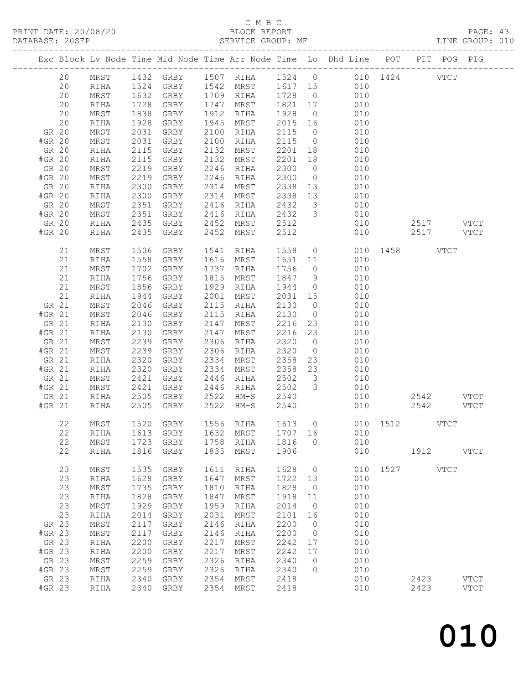## C M B C<br>BLOCK REPORT

| Exc Block Lv Node Time Mid Node Time Arr Node Time Lo Dhd Line POT PIT POG PIG<br>MRST 1432 GRBY 1507 RIHA 1524 0 010 1424 VTCT<br>20<br>1524 GRBY 1542 MRST 1617 15 010<br>20<br>RIHA<br>GRBY 1709 RIHA 1728 0<br>20<br>1632<br>MRST<br>010<br>20<br>1728<br>1838<br>1821 17 010<br>1928 0 010<br>GRBY<br>1747 MRST<br>RIHA<br>20<br>1912 RIHA<br>MRST<br>GRBY<br>1928<br>2015 16<br>20<br>1928<br>1945 MRST<br>010<br>GRBY<br>RIHA<br>GR 20<br>MRST<br>2031<br>GRBY<br>2100 RIHA<br>$\begin{array}{cccc} 2115 & 0 & 010 \\ 2115 & 0 & 010 \\ 2201 & 18 & 010 \end{array}$<br>#GR 20<br>2031<br>2115<br>GRBY<br>MRST<br>2100 RIHA<br>GRBY<br>2132 MRST<br>GR 20<br>RIHA<br>2201 18<br>GRBY<br>2115<br>2132 MRST<br>#GR 20<br>RIHA<br>010<br>GRBY<br>GR 20<br>MRST<br>2219<br>2246 RIHA<br>2300<br>$\overline{0}$<br>010<br>GRBY<br>2219<br>2246 RIHA<br>2300<br>#GR 20<br>MRST<br>010<br>$\overline{0}$<br>2300<br>GRBY<br>GR 20<br>2314 MRST<br>2338<br>13<br>010<br>RIHA<br>2338 13 010<br>GRBY<br>#GR 20<br>RIHA<br>2300<br>2314 MRST<br>2351<br>2416 RIHA<br>2432 3<br>010<br>GR 20<br>MRST<br>GRBY<br>2351<br>2435<br>2416<br>2432 3 010<br>#GR 20<br>MRST<br>GRBY<br>RIHA<br>GRBY 2452 MRST<br>GRBY 2452 MRST<br>$2512$<br>2512<br>010<br>GR 20<br>RIHA<br>2517 VTCT<br>2435<br>2517 VTCT<br>010<br>#GR 20<br>RIHA<br>1558 0 010 1458 VTCT<br>21<br>1506<br>GRBY<br>1541 RIHA<br>MRST<br>21<br>1558<br>1616 MRST<br>010<br>GRBY<br>1651 11<br>RIHA<br>1702<br>21<br>GRBY<br>1737 RIHA<br>1756<br>$\overline{0}$<br>010<br>MRST<br>1847 9 010<br>21<br>1756<br>GRBY<br>1815 MRST<br>RIHA<br>21<br>1856<br>1929 RIHA<br>GRBY<br>1944<br>$\begin{bmatrix} 9 \\ 0 \\ 0 \\ 10 \\ 0 \end{bmatrix}$<br>MRST<br>21<br>1944<br>GRBY<br>2001 MRST<br>2031 15<br>2130 0<br>RIHA<br>GR 21<br>010<br>MRST<br>2046<br>GRBY<br>2115 RIHA<br>2046<br>GRBY<br>$\overline{0}$<br>2115<br>010<br>#GR 21<br>MRST<br>RIHA<br>2130<br>2147<br>2216 23<br>GR 21<br>2130<br>GRBY<br>MRST<br>010<br>RIHA<br>#GR 21<br>2130<br>2147 MRST<br>2216 23<br>2320 0<br>GRBY<br>010<br>RIHA<br>2239<br>GR 21<br>2306 RIHA<br>MRST<br>GRBY<br>010<br>$\overline{0}$<br>2239<br>2306 RIHA<br>2320<br>010<br>#GR 21<br>GRBY<br>MRST<br>2320<br>2358<br>GR 21<br>GRBY<br>2334 MRST<br>23<br>010<br>RIHA<br>2320<br>GRBY<br>2358 23<br>#GR 21<br>2334 MRST<br>010<br>RIHA<br>2421<br>2446 RIHA<br>2502 3<br>GR 21<br>MRST<br>GRBY<br>010<br>2502 3 010<br>2421<br>GRBY<br>#GR 21<br>MRST<br>2446 RIHA<br>GRBY 2522 HM-S 2540<br>GR 21<br>RIHA<br>2505<br>010<br>2542 VTCT<br>GRBY<br>2505<br>2522 HM-S<br>010<br>#GR 21<br>RIHA<br>2540<br>2542 VTCT<br>MRST 1520 GRBY 1556 RIHA 1613 0 010 1512 VTCT<br>22<br>22<br>1613<br>GRBY<br>1632<br>1707<br>16<br>010<br>MRST<br>RIHA<br>22<br>1758<br>1816<br>010<br>MRST<br>1723<br>GRBY<br>RIHA<br>$\circ$<br>22<br>1816<br>1835<br>1906<br>010<br>RIHA<br>GRBY<br>MRST<br>1912 VTCT<br>23<br>010<br>1527 VTCT<br>MRST<br>1535<br>GRBY<br>1611<br>1628<br>$\overline{0}$<br>RIHA<br>23<br>1628<br>1647<br>010<br>RIHA<br>GRBY<br>MRST<br>1722<br>13<br>23<br>1735<br>1810<br>1828<br>$\overline{0}$<br>010<br>MRST<br>GRBY<br>RIHA<br>23<br>1828<br>1847<br>1918<br>010<br>GRBY<br>MRST<br>11<br>RIHA<br>23<br>1929<br>1959<br>2014<br>010<br>MRST<br>GRBY<br>RIHA<br>$\overline{0}$<br>23<br>2014<br>2031<br>010<br>GRBY<br>MRST<br>2101<br>16<br>RIHA<br>GR 23<br>2117<br>2146<br>2200<br>$\overline{0}$<br>010<br>MRST<br>GRBY<br>RIHA<br>#GR 23<br>2117<br>2146<br>2200<br>010<br>MRST<br>GRBY<br>RIHA<br>$\circ$<br>010<br>GR 23<br>2200<br>2217<br>2242<br>RIHA<br>GRBY<br>MRST<br>17<br>#GR 23<br>2217<br>2242<br>010<br>2200<br>GRBY<br>MRST<br>17<br>RIHA<br>GR 23<br>2259<br>2326<br>2340<br>010<br>MRST<br>GRBY<br>RIHA<br>$\overline{0}$<br>#GR 23<br>2259<br>2326<br>2340<br>010<br>GRBY<br>$\circ$<br>MRST<br>RIHA<br>GR 23<br>2340<br>2354<br>010<br>2423<br><b>VTCT</b><br>RIHA<br>GRBY<br>MRST<br>2418 | DATABASE: 20SEP |  | SERVICE GROUP: MF |  |  | LINE GROUP: 010 |  |  |  |
|--------------------------------------------------------------------------------------------------------------------------------------------------------------------------------------------------------------------------------------------------------------------------------------------------------------------------------------------------------------------------------------------------------------------------------------------------------------------------------------------------------------------------------------------------------------------------------------------------------------------------------------------------------------------------------------------------------------------------------------------------------------------------------------------------------------------------------------------------------------------------------------------------------------------------------------------------------------------------------------------------------------------------------------------------------------------------------------------------------------------------------------------------------------------------------------------------------------------------------------------------------------------------------------------------------------------------------------------------------------------------------------------------------------------------------------------------------------------------------------------------------------------------------------------------------------------------------------------------------------------------------------------------------------------------------------------------------------------------------------------------------------------------------------------------------------------------------------------------------------------------------------------------------------------------------------------------------------------------------------------------------------------------------------------------------------------------------------------------------------------------------------------------------------------------------------------------------------------------------------------------------------------------------------------------------------------------------------------------------------------------------------------------------------------------------------------------------------------------------------------------------------------------------------------------------------------------------------------------------------------------------------------------------------------------------------------------------------------------------------------------------------------------------------------------------------------------------------------------------------------------------------------------------------------------------------------------------------------------------------------------------------------------------------------------------------------------------------------------------------------------------------------------------------------------------------------------------------------------------------------------------------------------------------------------------------------------------------------------------------------------------------------------------------------------------------------------------------------------------------------------------------------------------------------------------------------------------------------------------------------------------------------------------------------------------------------------------------------------------------------------------------------------------------------------------------------------------------------------------------------------------------------------------------------------------------|-----------------|--|-------------------|--|--|-----------------|--|--|--|
|                                                                                                                                                                                                                                                                                                                                                                                                                                                                                                                                                                                                                                                                                                                                                                                                                                                                                                                                                                                                                                                                                                                                                                                                                                                                                                                                                                                                                                                                                                                                                                                                                                                                                                                                                                                                                                                                                                                                                                                                                                                                                                                                                                                                                                                                                                                                                                                                                                                                                                                                                                                                                                                                                                                                                                                                                                                                                                                                                                                                                                                                                                                                                                                                                                                                                                                                                                                                                                                                                                                                                                                                                                                                                                                                                                                                                                                                                                                                      |                 |  |                   |  |  |                 |  |  |  |
|                                                                                                                                                                                                                                                                                                                                                                                                                                                                                                                                                                                                                                                                                                                                                                                                                                                                                                                                                                                                                                                                                                                                                                                                                                                                                                                                                                                                                                                                                                                                                                                                                                                                                                                                                                                                                                                                                                                                                                                                                                                                                                                                                                                                                                                                                                                                                                                                                                                                                                                                                                                                                                                                                                                                                                                                                                                                                                                                                                                                                                                                                                                                                                                                                                                                                                                                                                                                                                                                                                                                                                                                                                                                                                                                                                                                                                                                                                                                      |                 |  |                   |  |  |                 |  |  |  |
|                                                                                                                                                                                                                                                                                                                                                                                                                                                                                                                                                                                                                                                                                                                                                                                                                                                                                                                                                                                                                                                                                                                                                                                                                                                                                                                                                                                                                                                                                                                                                                                                                                                                                                                                                                                                                                                                                                                                                                                                                                                                                                                                                                                                                                                                                                                                                                                                                                                                                                                                                                                                                                                                                                                                                                                                                                                                                                                                                                                                                                                                                                                                                                                                                                                                                                                                                                                                                                                                                                                                                                                                                                                                                                                                                                                                                                                                                                                                      |                 |  |                   |  |  |                 |  |  |  |
|                                                                                                                                                                                                                                                                                                                                                                                                                                                                                                                                                                                                                                                                                                                                                                                                                                                                                                                                                                                                                                                                                                                                                                                                                                                                                                                                                                                                                                                                                                                                                                                                                                                                                                                                                                                                                                                                                                                                                                                                                                                                                                                                                                                                                                                                                                                                                                                                                                                                                                                                                                                                                                                                                                                                                                                                                                                                                                                                                                                                                                                                                                                                                                                                                                                                                                                                                                                                                                                                                                                                                                                                                                                                                                                                                                                                                                                                                                                                      |                 |  |                   |  |  |                 |  |  |  |
|                                                                                                                                                                                                                                                                                                                                                                                                                                                                                                                                                                                                                                                                                                                                                                                                                                                                                                                                                                                                                                                                                                                                                                                                                                                                                                                                                                                                                                                                                                                                                                                                                                                                                                                                                                                                                                                                                                                                                                                                                                                                                                                                                                                                                                                                                                                                                                                                                                                                                                                                                                                                                                                                                                                                                                                                                                                                                                                                                                                                                                                                                                                                                                                                                                                                                                                                                                                                                                                                                                                                                                                                                                                                                                                                                                                                                                                                                                                                      |                 |  |                   |  |  |                 |  |  |  |
|                                                                                                                                                                                                                                                                                                                                                                                                                                                                                                                                                                                                                                                                                                                                                                                                                                                                                                                                                                                                                                                                                                                                                                                                                                                                                                                                                                                                                                                                                                                                                                                                                                                                                                                                                                                                                                                                                                                                                                                                                                                                                                                                                                                                                                                                                                                                                                                                                                                                                                                                                                                                                                                                                                                                                                                                                                                                                                                                                                                                                                                                                                                                                                                                                                                                                                                                                                                                                                                                                                                                                                                                                                                                                                                                                                                                                                                                                                                                      |                 |  |                   |  |  |                 |  |  |  |
|                                                                                                                                                                                                                                                                                                                                                                                                                                                                                                                                                                                                                                                                                                                                                                                                                                                                                                                                                                                                                                                                                                                                                                                                                                                                                                                                                                                                                                                                                                                                                                                                                                                                                                                                                                                                                                                                                                                                                                                                                                                                                                                                                                                                                                                                                                                                                                                                                                                                                                                                                                                                                                                                                                                                                                                                                                                                                                                                                                                                                                                                                                                                                                                                                                                                                                                                                                                                                                                                                                                                                                                                                                                                                                                                                                                                                                                                                                                                      |                 |  |                   |  |  |                 |  |  |  |
|                                                                                                                                                                                                                                                                                                                                                                                                                                                                                                                                                                                                                                                                                                                                                                                                                                                                                                                                                                                                                                                                                                                                                                                                                                                                                                                                                                                                                                                                                                                                                                                                                                                                                                                                                                                                                                                                                                                                                                                                                                                                                                                                                                                                                                                                                                                                                                                                                                                                                                                                                                                                                                                                                                                                                                                                                                                                                                                                                                                                                                                                                                                                                                                                                                                                                                                                                                                                                                                                                                                                                                                                                                                                                                                                                                                                                                                                                                                                      |                 |  |                   |  |  |                 |  |  |  |
|                                                                                                                                                                                                                                                                                                                                                                                                                                                                                                                                                                                                                                                                                                                                                                                                                                                                                                                                                                                                                                                                                                                                                                                                                                                                                                                                                                                                                                                                                                                                                                                                                                                                                                                                                                                                                                                                                                                                                                                                                                                                                                                                                                                                                                                                                                                                                                                                                                                                                                                                                                                                                                                                                                                                                                                                                                                                                                                                                                                                                                                                                                                                                                                                                                                                                                                                                                                                                                                                                                                                                                                                                                                                                                                                                                                                                                                                                                                                      |                 |  |                   |  |  |                 |  |  |  |
|                                                                                                                                                                                                                                                                                                                                                                                                                                                                                                                                                                                                                                                                                                                                                                                                                                                                                                                                                                                                                                                                                                                                                                                                                                                                                                                                                                                                                                                                                                                                                                                                                                                                                                                                                                                                                                                                                                                                                                                                                                                                                                                                                                                                                                                                                                                                                                                                                                                                                                                                                                                                                                                                                                                                                                                                                                                                                                                                                                                                                                                                                                                                                                                                                                                                                                                                                                                                                                                                                                                                                                                                                                                                                                                                                                                                                                                                                                                                      |                 |  |                   |  |  |                 |  |  |  |
|                                                                                                                                                                                                                                                                                                                                                                                                                                                                                                                                                                                                                                                                                                                                                                                                                                                                                                                                                                                                                                                                                                                                                                                                                                                                                                                                                                                                                                                                                                                                                                                                                                                                                                                                                                                                                                                                                                                                                                                                                                                                                                                                                                                                                                                                                                                                                                                                                                                                                                                                                                                                                                                                                                                                                                                                                                                                                                                                                                                                                                                                                                                                                                                                                                                                                                                                                                                                                                                                                                                                                                                                                                                                                                                                                                                                                                                                                                                                      |                 |  |                   |  |  |                 |  |  |  |
|                                                                                                                                                                                                                                                                                                                                                                                                                                                                                                                                                                                                                                                                                                                                                                                                                                                                                                                                                                                                                                                                                                                                                                                                                                                                                                                                                                                                                                                                                                                                                                                                                                                                                                                                                                                                                                                                                                                                                                                                                                                                                                                                                                                                                                                                                                                                                                                                                                                                                                                                                                                                                                                                                                                                                                                                                                                                                                                                                                                                                                                                                                                                                                                                                                                                                                                                                                                                                                                                                                                                                                                                                                                                                                                                                                                                                                                                                                                                      |                 |  |                   |  |  |                 |  |  |  |
|                                                                                                                                                                                                                                                                                                                                                                                                                                                                                                                                                                                                                                                                                                                                                                                                                                                                                                                                                                                                                                                                                                                                                                                                                                                                                                                                                                                                                                                                                                                                                                                                                                                                                                                                                                                                                                                                                                                                                                                                                                                                                                                                                                                                                                                                                                                                                                                                                                                                                                                                                                                                                                                                                                                                                                                                                                                                                                                                                                                                                                                                                                                                                                                                                                                                                                                                                                                                                                                                                                                                                                                                                                                                                                                                                                                                                                                                                                                                      |                 |  |                   |  |  |                 |  |  |  |
|                                                                                                                                                                                                                                                                                                                                                                                                                                                                                                                                                                                                                                                                                                                                                                                                                                                                                                                                                                                                                                                                                                                                                                                                                                                                                                                                                                                                                                                                                                                                                                                                                                                                                                                                                                                                                                                                                                                                                                                                                                                                                                                                                                                                                                                                                                                                                                                                                                                                                                                                                                                                                                                                                                                                                                                                                                                                                                                                                                                                                                                                                                                                                                                                                                                                                                                                                                                                                                                                                                                                                                                                                                                                                                                                                                                                                                                                                                                                      |                 |  |                   |  |  |                 |  |  |  |
|                                                                                                                                                                                                                                                                                                                                                                                                                                                                                                                                                                                                                                                                                                                                                                                                                                                                                                                                                                                                                                                                                                                                                                                                                                                                                                                                                                                                                                                                                                                                                                                                                                                                                                                                                                                                                                                                                                                                                                                                                                                                                                                                                                                                                                                                                                                                                                                                                                                                                                                                                                                                                                                                                                                                                                                                                                                                                                                                                                                                                                                                                                                                                                                                                                                                                                                                                                                                                                                                                                                                                                                                                                                                                                                                                                                                                                                                                                                                      |                 |  |                   |  |  |                 |  |  |  |
|                                                                                                                                                                                                                                                                                                                                                                                                                                                                                                                                                                                                                                                                                                                                                                                                                                                                                                                                                                                                                                                                                                                                                                                                                                                                                                                                                                                                                                                                                                                                                                                                                                                                                                                                                                                                                                                                                                                                                                                                                                                                                                                                                                                                                                                                                                                                                                                                                                                                                                                                                                                                                                                                                                                                                                                                                                                                                                                                                                                                                                                                                                                                                                                                                                                                                                                                                                                                                                                                                                                                                                                                                                                                                                                                                                                                                                                                                                                                      |                 |  |                   |  |  |                 |  |  |  |
|                                                                                                                                                                                                                                                                                                                                                                                                                                                                                                                                                                                                                                                                                                                                                                                                                                                                                                                                                                                                                                                                                                                                                                                                                                                                                                                                                                                                                                                                                                                                                                                                                                                                                                                                                                                                                                                                                                                                                                                                                                                                                                                                                                                                                                                                                                                                                                                                                                                                                                                                                                                                                                                                                                                                                                                                                                                                                                                                                                                                                                                                                                                                                                                                                                                                                                                                                                                                                                                                                                                                                                                                                                                                                                                                                                                                                                                                                                                                      |                 |  |                   |  |  |                 |  |  |  |
|                                                                                                                                                                                                                                                                                                                                                                                                                                                                                                                                                                                                                                                                                                                                                                                                                                                                                                                                                                                                                                                                                                                                                                                                                                                                                                                                                                                                                                                                                                                                                                                                                                                                                                                                                                                                                                                                                                                                                                                                                                                                                                                                                                                                                                                                                                                                                                                                                                                                                                                                                                                                                                                                                                                                                                                                                                                                                                                                                                                                                                                                                                                                                                                                                                                                                                                                                                                                                                                                                                                                                                                                                                                                                                                                                                                                                                                                                                                                      |                 |  |                   |  |  |                 |  |  |  |
|                                                                                                                                                                                                                                                                                                                                                                                                                                                                                                                                                                                                                                                                                                                                                                                                                                                                                                                                                                                                                                                                                                                                                                                                                                                                                                                                                                                                                                                                                                                                                                                                                                                                                                                                                                                                                                                                                                                                                                                                                                                                                                                                                                                                                                                                                                                                                                                                                                                                                                                                                                                                                                                                                                                                                                                                                                                                                                                                                                                                                                                                                                                                                                                                                                                                                                                                                                                                                                                                                                                                                                                                                                                                                                                                                                                                                                                                                                                                      |                 |  |                   |  |  |                 |  |  |  |
|                                                                                                                                                                                                                                                                                                                                                                                                                                                                                                                                                                                                                                                                                                                                                                                                                                                                                                                                                                                                                                                                                                                                                                                                                                                                                                                                                                                                                                                                                                                                                                                                                                                                                                                                                                                                                                                                                                                                                                                                                                                                                                                                                                                                                                                                                                                                                                                                                                                                                                                                                                                                                                                                                                                                                                                                                                                                                                                                                                                                                                                                                                                                                                                                                                                                                                                                                                                                                                                                                                                                                                                                                                                                                                                                                                                                                                                                                                                                      |                 |  |                   |  |  |                 |  |  |  |
|                                                                                                                                                                                                                                                                                                                                                                                                                                                                                                                                                                                                                                                                                                                                                                                                                                                                                                                                                                                                                                                                                                                                                                                                                                                                                                                                                                                                                                                                                                                                                                                                                                                                                                                                                                                                                                                                                                                                                                                                                                                                                                                                                                                                                                                                                                                                                                                                                                                                                                                                                                                                                                                                                                                                                                                                                                                                                                                                                                                                                                                                                                                                                                                                                                                                                                                                                                                                                                                                                                                                                                                                                                                                                                                                                                                                                                                                                                                                      |                 |  |                   |  |  |                 |  |  |  |
|                                                                                                                                                                                                                                                                                                                                                                                                                                                                                                                                                                                                                                                                                                                                                                                                                                                                                                                                                                                                                                                                                                                                                                                                                                                                                                                                                                                                                                                                                                                                                                                                                                                                                                                                                                                                                                                                                                                                                                                                                                                                                                                                                                                                                                                                                                                                                                                                                                                                                                                                                                                                                                                                                                                                                                                                                                                                                                                                                                                                                                                                                                                                                                                                                                                                                                                                                                                                                                                                                                                                                                                                                                                                                                                                                                                                                                                                                                                                      |                 |  |                   |  |  |                 |  |  |  |
|                                                                                                                                                                                                                                                                                                                                                                                                                                                                                                                                                                                                                                                                                                                                                                                                                                                                                                                                                                                                                                                                                                                                                                                                                                                                                                                                                                                                                                                                                                                                                                                                                                                                                                                                                                                                                                                                                                                                                                                                                                                                                                                                                                                                                                                                                                                                                                                                                                                                                                                                                                                                                                                                                                                                                                                                                                                                                                                                                                                                                                                                                                                                                                                                                                                                                                                                                                                                                                                                                                                                                                                                                                                                                                                                                                                                                                                                                                                                      |                 |  |                   |  |  |                 |  |  |  |
|                                                                                                                                                                                                                                                                                                                                                                                                                                                                                                                                                                                                                                                                                                                                                                                                                                                                                                                                                                                                                                                                                                                                                                                                                                                                                                                                                                                                                                                                                                                                                                                                                                                                                                                                                                                                                                                                                                                                                                                                                                                                                                                                                                                                                                                                                                                                                                                                                                                                                                                                                                                                                                                                                                                                                                                                                                                                                                                                                                                                                                                                                                                                                                                                                                                                                                                                                                                                                                                                                                                                                                                                                                                                                                                                                                                                                                                                                                                                      |                 |  |                   |  |  |                 |  |  |  |
|                                                                                                                                                                                                                                                                                                                                                                                                                                                                                                                                                                                                                                                                                                                                                                                                                                                                                                                                                                                                                                                                                                                                                                                                                                                                                                                                                                                                                                                                                                                                                                                                                                                                                                                                                                                                                                                                                                                                                                                                                                                                                                                                                                                                                                                                                                                                                                                                                                                                                                                                                                                                                                                                                                                                                                                                                                                                                                                                                                                                                                                                                                                                                                                                                                                                                                                                                                                                                                                                                                                                                                                                                                                                                                                                                                                                                                                                                                                                      |                 |  |                   |  |  |                 |  |  |  |
|                                                                                                                                                                                                                                                                                                                                                                                                                                                                                                                                                                                                                                                                                                                                                                                                                                                                                                                                                                                                                                                                                                                                                                                                                                                                                                                                                                                                                                                                                                                                                                                                                                                                                                                                                                                                                                                                                                                                                                                                                                                                                                                                                                                                                                                                                                                                                                                                                                                                                                                                                                                                                                                                                                                                                                                                                                                                                                                                                                                                                                                                                                                                                                                                                                                                                                                                                                                                                                                                                                                                                                                                                                                                                                                                                                                                                                                                                                                                      |                 |  |                   |  |  |                 |  |  |  |
|                                                                                                                                                                                                                                                                                                                                                                                                                                                                                                                                                                                                                                                                                                                                                                                                                                                                                                                                                                                                                                                                                                                                                                                                                                                                                                                                                                                                                                                                                                                                                                                                                                                                                                                                                                                                                                                                                                                                                                                                                                                                                                                                                                                                                                                                                                                                                                                                                                                                                                                                                                                                                                                                                                                                                                                                                                                                                                                                                                                                                                                                                                                                                                                                                                                                                                                                                                                                                                                                                                                                                                                                                                                                                                                                                                                                                                                                                                                                      |                 |  |                   |  |  |                 |  |  |  |
|                                                                                                                                                                                                                                                                                                                                                                                                                                                                                                                                                                                                                                                                                                                                                                                                                                                                                                                                                                                                                                                                                                                                                                                                                                                                                                                                                                                                                                                                                                                                                                                                                                                                                                                                                                                                                                                                                                                                                                                                                                                                                                                                                                                                                                                                                                                                                                                                                                                                                                                                                                                                                                                                                                                                                                                                                                                                                                                                                                                                                                                                                                                                                                                                                                                                                                                                                                                                                                                                                                                                                                                                                                                                                                                                                                                                                                                                                                                                      |                 |  |                   |  |  |                 |  |  |  |
|                                                                                                                                                                                                                                                                                                                                                                                                                                                                                                                                                                                                                                                                                                                                                                                                                                                                                                                                                                                                                                                                                                                                                                                                                                                                                                                                                                                                                                                                                                                                                                                                                                                                                                                                                                                                                                                                                                                                                                                                                                                                                                                                                                                                                                                                                                                                                                                                                                                                                                                                                                                                                                                                                                                                                                                                                                                                                                                                                                                                                                                                                                                                                                                                                                                                                                                                                                                                                                                                                                                                                                                                                                                                                                                                                                                                                                                                                                                                      |                 |  |                   |  |  |                 |  |  |  |
|                                                                                                                                                                                                                                                                                                                                                                                                                                                                                                                                                                                                                                                                                                                                                                                                                                                                                                                                                                                                                                                                                                                                                                                                                                                                                                                                                                                                                                                                                                                                                                                                                                                                                                                                                                                                                                                                                                                                                                                                                                                                                                                                                                                                                                                                                                                                                                                                                                                                                                                                                                                                                                                                                                                                                                                                                                                                                                                                                                                                                                                                                                                                                                                                                                                                                                                                                                                                                                                                                                                                                                                                                                                                                                                                                                                                                                                                                                                                      |                 |  |                   |  |  |                 |  |  |  |
|                                                                                                                                                                                                                                                                                                                                                                                                                                                                                                                                                                                                                                                                                                                                                                                                                                                                                                                                                                                                                                                                                                                                                                                                                                                                                                                                                                                                                                                                                                                                                                                                                                                                                                                                                                                                                                                                                                                                                                                                                                                                                                                                                                                                                                                                                                                                                                                                                                                                                                                                                                                                                                                                                                                                                                                                                                                                                                                                                                                                                                                                                                                                                                                                                                                                                                                                                                                                                                                                                                                                                                                                                                                                                                                                                                                                                                                                                                                                      |                 |  |                   |  |  |                 |  |  |  |
|                                                                                                                                                                                                                                                                                                                                                                                                                                                                                                                                                                                                                                                                                                                                                                                                                                                                                                                                                                                                                                                                                                                                                                                                                                                                                                                                                                                                                                                                                                                                                                                                                                                                                                                                                                                                                                                                                                                                                                                                                                                                                                                                                                                                                                                                                                                                                                                                                                                                                                                                                                                                                                                                                                                                                                                                                                                                                                                                                                                                                                                                                                                                                                                                                                                                                                                                                                                                                                                                                                                                                                                                                                                                                                                                                                                                                                                                                                                                      |                 |  |                   |  |  |                 |  |  |  |
|                                                                                                                                                                                                                                                                                                                                                                                                                                                                                                                                                                                                                                                                                                                                                                                                                                                                                                                                                                                                                                                                                                                                                                                                                                                                                                                                                                                                                                                                                                                                                                                                                                                                                                                                                                                                                                                                                                                                                                                                                                                                                                                                                                                                                                                                                                                                                                                                                                                                                                                                                                                                                                                                                                                                                                                                                                                                                                                                                                                                                                                                                                                                                                                                                                                                                                                                                                                                                                                                                                                                                                                                                                                                                                                                                                                                                                                                                                                                      |                 |  |                   |  |  |                 |  |  |  |
|                                                                                                                                                                                                                                                                                                                                                                                                                                                                                                                                                                                                                                                                                                                                                                                                                                                                                                                                                                                                                                                                                                                                                                                                                                                                                                                                                                                                                                                                                                                                                                                                                                                                                                                                                                                                                                                                                                                                                                                                                                                                                                                                                                                                                                                                                                                                                                                                                                                                                                                                                                                                                                                                                                                                                                                                                                                                                                                                                                                                                                                                                                                                                                                                                                                                                                                                                                                                                                                                                                                                                                                                                                                                                                                                                                                                                                                                                                                                      |                 |  |                   |  |  |                 |  |  |  |
|                                                                                                                                                                                                                                                                                                                                                                                                                                                                                                                                                                                                                                                                                                                                                                                                                                                                                                                                                                                                                                                                                                                                                                                                                                                                                                                                                                                                                                                                                                                                                                                                                                                                                                                                                                                                                                                                                                                                                                                                                                                                                                                                                                                                                                                                                                                                                                                                                                                                                                                                                                                                                                                                                                                                                                                                                                                                                                                                                                                                                                                                                                                                                                                                                                                                                                                                                                                                                                                                                                                                                                                                                                                                                                                                                                                                                                                                                                                                      |                 |  |                   |  |  |                 |  |  |  |
|                                                                                                                                                                                                                                                                                                                                                                                                                                                                                                                                                                                                                                                                                                                                                                                                                                                                                                                                                                                                                                                                                                                                                                                                                                                                                                                                                                                                                                                                                                                                                                                                                                                                                                                                                                                                                                                                                                                                                                                                                                                                                                                                                                                                                                                                                                                                                                                                                                                                                                                                                                                                                                                                                                                                                                                                                                                                                                                                                                                                                                                                                                                                                                                                                                                                                                                                                                                                                                                                                                                                                                                                                                                                                                                                                                                                                                                                                                                                      |                 |  |                   |  |  |                 |  |  |  |
|                                                                                                                                                                                                                                                                                                                                                                                                                                                                                                                                                                                                                                                                                                                                                                                                                                                                                                                                                                                                                                                                                                                                                                                                                                                                                                                                                                                                                                                                                                                                                                                                                                                                                                                                                                                                                                                                                                                                                                                                                                                                                                                                                                                                                                                                                                                                                                                                                                                                                                                                                                                                                                                                                                                                                                                                                                                                                                                                                                                                                                                                                                                                                                                                                                                                                                                                                                                                                                                                                                                                                                                                                                                                                                                                                                                                                                                                                                                                      |                 |  |                   |  |  |                 |  |  |  |
|                                                                                                                                                                                                                                                                                                                                                                                                                                                                                                                                                                                                                                                                                                                                                                                                                                                                                                                                                                                                                                                                                                                                                                                                                                                                                                                                                                                                                                                                                                                                                                                                                                                                                                                                                                                                                                                                                                                                                                                                                                                                                                                                                                                                                                                                                                                                                                                                                                                                                                                                                                                                                                                                                                                                                                                                                                                                                                                                                                                                                                                                                                                                                                                                                                                                                                                                                                                                                                                                                                                                                                                                                                                                                                                                                                                                                                                                                                                                      |                 |  |                   |  |  |                 |  |  |  |
|                                                                                                                                                                                                                                                                                                                                                                                                                                                                                                                                                                                                                                                                                                                                                                                                                                                                                                                                                                                                                                                                                                                                                                                                                                                                                                                                                                                                                                                                                                                                                                                                                                                                                                                                                                                                                                                                                                                                                                                                                                                                                                                                                                                                                                                                                                                                                                                                                                                                                                                                                                                                                                                                                                                                                                                                                                                                                                                                                                                                                                                                                                                                                                                                                                                                                                                                                                                                                                                                                                                                                                                                                                                                                                                                                                                                                                                                                                                                      |                 |  |                   |  |  |                 |  |  |  |
|                                                                                                                                                                                                                                                                                                                                                                                                                                                                                                                                                                                                                                                                                                                                                                                                                                                                                                                                                                                                                                                                                                                                                                                                                                                                                                                                                                                                                                                                                                                                                                                                                                                                                                                                                                                                                                                                                                                                                                                                                                                                                                                                                                                                                                                                                                                                                                                                                                                                                                                                                                                                                                                                                                                                                                                                                                                                                                                                                                                                                                                                                                                                                                                                                                                                                                                                                                                                                                                                                                                                                                                                                                                                                                                                                                                                                                                                                                                                      |                 |  |                   |  |  |                 |  |  |  |
|                                                                                                                                                                                                                                                                                                                                                                                                                                                                                                                                                                                                                                                                                                                                                                                                                                                                                                                                                                                                                                                                                                                                                                                                                                                                                                                                                                                                                                                                                                                                                                                                                                                                                                                                                                                                                                                                                                                                                                                                                                                                                                                                                                                                                                                                                                                                                                                                                                                                                                                                                                                                                                                                                                                                                                                                                                                                                                                                                                                                                                                                                                                                                                                                                                                                                                                                                                                                                                                                                                                                                                                                                                                                                                                                                                                                                                                                                                                                      |                 |  |                   |  |  |                 |  |  |  |
|                                                                                                                                                                                                                                                                                                                                                                                                                                                                                                                                                                                                                                                                                                                                                                                                                                                                                                                                                                                                                                                                                                                                                                                                                                                                                                                                                                                                                                                                                                                                                                                                                                                                                                                                                                                                                                                                                                                                                                                                                                                                                                                                                                                                                                                                                                                                                                                                                                                                                                                                                                                                                                                                                                                                                                                                                                                                                                                                                                                                                                                                                                                                                                                                                                                                                                                                                                                                                                                                                                                                                                                                                                                                                                                                                                                                                                                                                                                                      |                 |  |                   |  |  |                 |  |  |  |
|                                                                                                                                                                                                                                                                                                                                                                                                                                                                                                                                                                                                                                                                                                                                                                                                                                                                                                                                                                                                                                                                                                                                                                                                                                                                                                                                                                                                                                                                                                                                                                                                                                                                                                                                                                                                                                                                                                                                                                                                                                                                                                                                                                                                                                                                                                                                                                                                                                                                                                                                                                                                                                                                                                                                                                                                                                                                                                                                                                                                                                                                                                                                                                                                                                                                                                                                                                                                                                                                                                                                                                                                                                                                                                                                                                                                                                                                                                                                      |                 |  |                   |  |  |                 |  |  |  |
|                                                                                                                                                                                                                                                                                                                                                                                                                                                                                                                                                                                                                                                                                                                                                                                                                                                                                                                                                                                                                                                                                                                                                                                                                                                                                                                                                                                                                                                                                                                                                                                                                                                                                                                                                                                                                                                                                                                                                                                                                                                                                                                                                                                                                                                                                                                                                                                                                                                                                                                                                                                                                                                                                                                                                                                                                                                                                                                                                                                                                                                                                                                                                                                                                                                                                                                                                                                                                                                                                                                                                                                                                                                                                                                                                                                                                                                                                                                                      |                 |  |                   |  |  |                 |  |  |  |
|                                                                                                                                                                                                                                                                                                                                                                                                                                                                                                                                                                                                                                                                                                                                                                                                                                                                                                                                                                                                                                                                                                                                                                                                                                                                                                                                                                                                                                                                                                                                                                                                                                                                                                                                                                                                                                                                                                                                                                                                                                                                                                                                                                                                                                                                                                                                                                                                                                                                                                                                                                                                                                                                                                                                                                                                                                                                                                                                                                                                                                                                                                                                                                                                                                                                                                                                                                                                                                                                                                                                                                                                                                                                                                                                                                                                                                                                                                                                      |                 |  |                   |  |  |                 |  |  |  |
|                                                                                                                                                                                                                                                                                                                                                                                                                                                                                                                                                                                                                                                                                                                                                                                                                                                                                                                                                                                                                                                                                                                                                                                                                                                                                                                                                                                                                                                                                                                                                                                                                                                                                                                                                                                                                                                                                                                                                                                                                                                                                                                                                                                                                                                                                                                                                                                                                                                                                                                                                                                                                                                                                                                                                                                                                                                                                                                                                                                                                                                                                                                                                                                                                                                                                                                                                                                                                                                                                                                                                                                                                                                                                                                                                                                                                                                                                                                                      |                 |  |                   |  |  |                 |  |  |  |
|                                                                                                                                                                                                                                                                                                                                                                                                                                                                                                                                                                                                                                                                                                                                                                                                                                                                                                                                                                                                                                                                                                                                                                                                                                                                                                                                                                                                                                                                                                                                                                                                                                                                                                                                                                                                                                                                                                                                                                                                                                                                                                                                                                                                                                                                                                                                                                                                                                                                                                                                                                                                                                                                                                                                                                                                                                                                                                                                                                                                                                                                                                                                                                                                                                                                                                                                                                                                                                                                                                                                                                                                                                                                                                                                                                                                                                                                                                                                      |                 |  |                   |  |  |                 |  |  |  |
|                                                                                                                                                                                                                                                                                                                                                                                                                                                                                                                                                                                                                                                                                                                                                                                                                                                                                                                                                                                                                                                                                                                                                                                                                                                                                                                                                                                                                                                                                                                                                                                                                                                                                                                                                                                                                                                                                                                                                                                                                                                                                                                                                                                                                                                                                                                                                                                                                                                                                                                                                                                                                                                                                                                                                                                                                                                                                                                                                                                                                                                                                                                                                                                                                                                                                                                                                                                                                                                                                                                                                                                                                                                                                                                                                                                                                                                                                                                                      |                 |  |                   |  |  |                 |  |  |  |
|                                                                                                                                                                                                                                                                                                                                                                                                                                                                                                                                                                                                                                                                                                                                                                                                                                                                                                                                                                                                                                                                                                                                                                                                                                                                                                                                                                                                                                                                                                                                                                                                                                                                                                                                                                                                                                                                                                                                                                                                                                                                                                                                                                                                                                                                                                                                                                                                                                                                                                                                                                                                                                                                                                                                                                                                                                                                                                                                                                                                                                                                                                                                                                                                                                                                                                                                                                                                                                                                                                                                                                                                                                                                                                                                                                                                                                                                                                                                      |                 |  |                   |  |  |                 |  |  |  |
|                                                                                                                                                                                                                                                                                                                                                                                                                                                                                                                                                                                                                                                                                                                                                                                                                                                                                                                                                                                                                                                                                                                                                                                                                                                                                                                                                                                                                                                                                                                                                                                                                                                                                                                                                                                                                                                                                                                                                                                                                                                                                                                                                                                                                                                                                                                                                                                                                                                                                                                                                                                                                                                                                                                                                                                                                                                                                                                                                                                                                                                                                                                                                                                                                                                                                                                                                                                                                                                                                                                                                                                                                                                                                                                                                                                                                                                                                                                                      |                 |  |                   |  |  |                 |  |  |  |
|                                                                                                                                                                                                                                                                                                                                                                                                                                                                                                                                                                                                                                                                                                                                                                                                                                                                                                                                                                                                                                                                                                                                                                                                                                                                                                                                                                                                                                                                                                                                                                                                                                                                                                                                                                                                                                                                                                                                                                                                                                                                                                                                                                                                                                                                                                                                                                                                                                                                                                                                                                                                                                                                                                                                                                                                                                                                                                                                                                                                                                                                                                                                                                                                                                                                                                                                                                                                                                                                                                                                                                                                                                                                                                                                                                                                                                                                                                                                      |                 |  |                   |  |  |                 |  |  |  |
|                                                                                                                                                                                                                                                                                                                                                                                                                                                                                                                                                                                                                                                                                                                                                                                                                                                                                                                                                                                                                                                                                                                                                                                                                                                                                                                                                                                                                                                                                                                                                                                                                                                                                                                                                                                                                                                                                                                                                                                                                                                                                                                                                                                                                                                                                                                                                                                                                                                                                                                                                                                                                                                                                                                                                                                                                                                                                                                                                                                                                                                                                                                                                                                                                                                                                                                                                                                                                                                                                                                                                                                                                                                                                                                                                                                                                                                                                                                                      |                 |  |                   |  |  |                 |  |  |  |
|                                                                                                                                                                                                                                                                                                                                                                                                                                                                                                                                                                                                                                                                                                                                                                                                                                                                                                                                                                                                                                                                                                                                                                                                                                                                                                                                                                                                                                                                                                                                                                                                                                                                                                                                                                                                                                                                                                                                                                                                                                                                                                                                                                                                                                                                                                                                                                                                                                                                                                                                                                                                                                                                                                                                                                                                                                                                                                                                                                                                                                                                                                                                                                                                                                                                                                                                                                                                                                                                                                                                                                                                                                                                                                                                                                                                                                                                                                                                      |                 |  |                   |  |  |                 |  |  |  |
|                                                                                                                                                                                                                                                                                                                                                                                                                                                                                                                                                                                                                                                                                                                                                                                                                                                                                                                                                                                                                                                                                                                                                                                                                                                                                                                                                                                                                                                                                                                                                                                                                                                                                                                                                                                                                                                                                                                                                                                                                                                                                                                                                                                                                                                                                                                                                                                                                                                                                                                                                                                                                                                                                                                                                                                                                                                                                                                                                                                                                                                                                                                                                                                                                                                                                                                                                                                                                                                                                                                                                                                                                                                                                                                                                                                                                                                                                                                                      |                 |  |                   |  |  |                 |  |  |  |
|                                                                                                                                                                                                                                                                                                                                                                                                                                                                                                                                                                                                                                                                                                                                                                                                                                                                                                                                                                                                                                                                                                                                                                                                                                                                                                                                                                                                                                                                                                                                                                                                                                                                                                                                                                                                                                                                                                                                                                                                                                                                                                                                                                                                                                                                                                                                                                                                                                                                                                                                                                                                                                                                                                                                                                                                                                                                                                                                                                                                                                                                                                                                                                                                                                                                                                                                                                                                                                                                                                                                                                                                                                                                                                                                                                                                                                                                                                                                      |                 |  |                   |  |  |                 |  |  |  |
|                                                                                                                                                                                                                                                                                                                                                                                                                                                                                                                                                                                                                                                                                                                                                                                                                                                                                                                                                                                                                                                                                                                                                                                                                                                                                                                                                                                                                                                                                                                                                                                                                                                                                                                                                                                                                                                                                                                                                                                                                                                                                                                                                                                                                                                                                                                                                                                                                                                                                                                                                                                                                                                                                                                                                                                                                                                                                                                                                                                                                                                                                                                                                                                                                                                                                                                                                                                                                                                                                                                                                                                                                                                                                                                                                                                                                                                                                                                                      |                 |  |                   |  |  |                 |  |  |  |

 GR 23 RIHA 2340 GRBY 2354 MRST 2418 010 2423 VTCT #GR 23 RIHA 2340 GRBY 2354 MRST 2418 010 2423 VTCT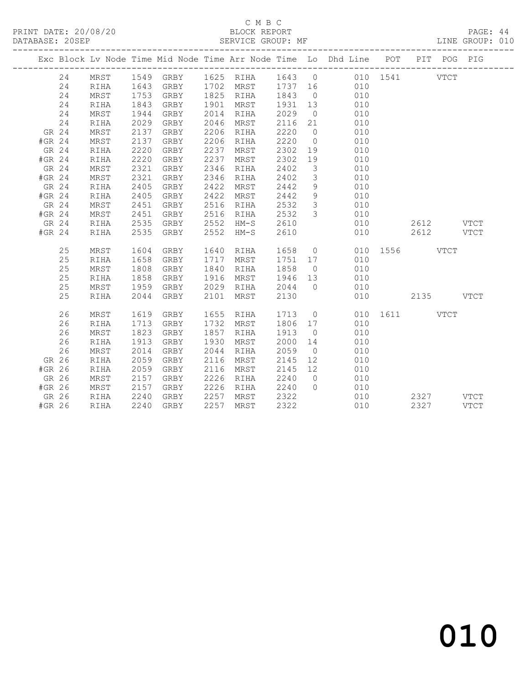# C M B C<br>BLOCK REPORT

PAGE: 44<br>LINE GROUP: 010

|        |          |              |              |                |      |                        |                  |                         | Exc Block Lv Node Time Mid Node Time Arr Node Time Lo Dhd Line POT |               |           | PIT POG PIG |      |
|--------|----------|--------------|--------------|----------------|------|------------------------|------------------|-------------------------|--------------------------------------------------------------------|---------------|-----------|-------------|------|
|        | 24       | MRST         |              |                |      |                        |                  |                         | 1549 GRBY 1625 RIHA 1643 0 010 1541 VTCT                           |               |           |             |      |
|        | 24       | RIHA         |              |                |      |                        |                  |                         | 1643 GRBY 1702 MRST 1737 16 010                                    |               |           |             |      |
|        | 24       | MRST         |              | GRBY           |      | 1825 RIHA              | 1843 0           |                         | $\begin{array}{c} 010 \\ 010 \end{array}$                          |               |           |             |      |
|        | 24       | RIHA         | 1753<br>1843 | GRBY           |      | 1901 MRST              | $184$<br>1931 13 |                         |                                                                    |               |           |             |      |
|        | 24       | MRST         | 1944         | GRBY           |      | 2014 RIHA              | 2029             | $\overline{0}$          | 010                                                                |               |           |             |      |
|        | 24       | RIHA         | 2029         | GRBY           |      | 2046 MRST              | 2116 21          |                         | 010                                                                |               |           |             |      |
| GR 24  |          | MRST         | 2137         | GRBY           |      | 2206 RIHA              | 2220             | $\overline{0}$          | 010                                                                |               |           |             |      |
| #GR 24 |          | MRST         | 2137         | GRBY           |      | 2206 RIHA              | 2220             | $\overline{0}$          | 010                                                                |               |           |             |      |
| GR 24  |          | RIHA         | 2220         | GRBY           | 2237 | MRST                   | 2302             | 19                      | 010                                                                |               |           |             |      |
| #GR 24 |          | RIHA         | 2220         | GRBY           |      | 2237 MRST              | 2302             | 19                      | 010                                                                |               |           |             |      |
| GR 24  |          | MRST         | 2321         | GRBY           |      | 2346 RIHA              | 2402             | $\overline{\mathbf{3}}$ | 010                                                                |               |           |             |      |
| #GR 24 |          | MRST         | 2321         | GRBY           |      | 2346 RIHA              | 2402             | $\mathcal{S}$           | 010                                                                |               |           |             |      |
| GR 24  |          | RIHA         | 2405         | GRBY           | 2422 | MRST                   | 2442             | 9                       | 010                                                                |               |           |             |      |
| #GR 24 |          | RIHA         | 2405         | GRBY           | 2422 | MRST                   | 2442             | 9                       | 010                                                                |               |           |             |      |
| GR 24  |          | MRST         | 2451         | GRBY           |      | 2516 RIHA              | 2532             | $\overline{\mathbf{3}}$ | 010                                                                |               |           |             |      |
| #GR 24 |          | MRST         | 2451         | GRBY           |      | 2516 RIHA              | 2532             | $\overline{\mathbf{3}}$ | 010                                                                |               |           |             |      |
| GR 24  |          | RIHA         | 2535         | GRBY 2552 HM-S |      |                        | 2610             |                         | 010                                                                |               | 2612 VTCT |             |      |
| #GR 24 |          | RIHA         | 2535         | GRBY           |      | 2552 HM-S              | 2610             |                         | 010                                                                |               | 2612      |             | VTCT |
|        | 25       | MRST         | 1604         | GRBY           |      | 1640 RIHA              | 1658 0           |                         |                                                                    | 010 1556 VTCT |           |             |      |
|        |          |              |              |                |      |                        |                  |                         | 1751 17 010                                                        |               |           |             |      |
|        | 25<br>25 | RIHA<br>MRST | 1658<br>1808 | GRBY<br>GRBY   |      | 1717 MRST<br>1840 RIHA | 1858 0           |                         | 010                                                                |               |           |             |      |
|        | 25       | RIHA         | 1858         | GRBY           | 1916 | MRST                   | 1946 13          |                         | 010                                                                |               |           |             |      |
|        | 25       | MRST         | 1959         | GRBY           |      | 2029 RIHA              | 2044 0           |                         | 010                                                                |               |           |             |      |
|        | 25       | RIHA         | 2044         | GRBY           |      | 2101 MRST              | 2130             |                         | 010                                                                | 2135 VTCT     |           |             |      |
|        |          |              |              |                |      |                        |                  |                         |                                                                    |               |           |             |      |
|        | 26       | MRST         | 1619         | GRBY           |      | 1655 RIHA              |                  |                         | 1713 0                                                             | 010 1611 VTCT |           |             |      |
|        | 26       | RIHA         | 1713         | GRBY           |      | 1732 MRST              | 1806 17          |                         | 010                                                                |               |           |             |      |
|        | 26       | MRST         | 1823         | GRBY           | 1857 | RIHA                   | 1913             | $\overline{0}$          | 010                                                                |               |           |             |      |
|        | 26       | RIHA         | 1913         | GRBY           | 1930 | MRST                   | 2000             | 14                      | 010                                                                |               |           |             |      |
|        | 26       | MRST         | 2014         | GRBY           | 2044 | RIHA                   | 2059             | $\overline{0}$          | 010                                                                |               |           |             |      |
| GR 26  |          | RIHA         | 2059         | GRBY           | 2116 | MRST                   | 2145             | 12                      | 010                                                                |               |           |             |      |
| #GR 26 |          | RIHA         | 2059         | GRBY           |      | 2116 MRST              | 2145 12          |                         | 010                                                                |               |           |             |      |
|        | GR 26    | MRST         | 2157         | GRBY           |      | 2226 RIHA              | 2240 0           |                         | 010                                                                |               |           |             |      |
| #GR 26 |          | MRST         | 2157         | GRBY           |      | 2226 RIHA 2240         |                  | $\overline{0}$          | 010                                                                |               |           |             |      |
| GR 26  |          | RIHA         | 2240         | GRBY           | 2257 | MRST 2322              |                  |                         | 010                                                                |               | 2327 VTCT |             |      |
| #GR 26 |          | RIHA         | 2240         | GRBY           |      | 2257 MRST              | 2322             |                         | 010                                                                |               | 2327 VTCT |             |      |
|        |          |              |              |                |      |                        |                  |                         |                                                                    |               |           |             |      |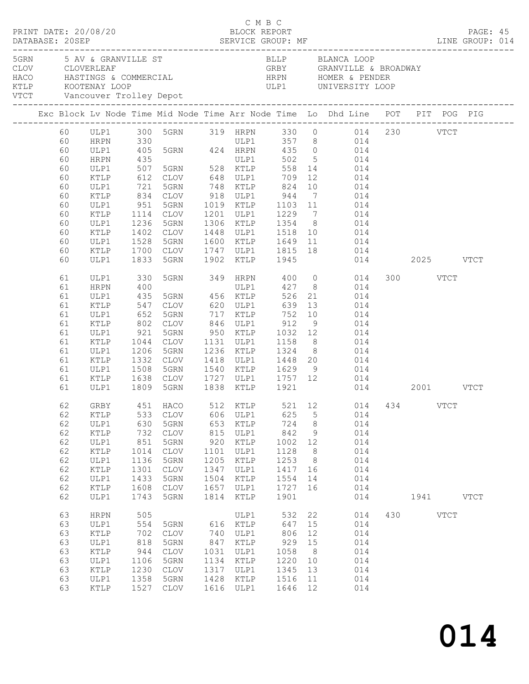| PRINT DATE: 20/08/20<br>DATABASE: 20SEP                                                             |              |                                     |                 |              |              | C M B C<br>BLOCK REPORT |                |                                                                                                    |          |             | PAGE: 45 |  |
|-----------------------------------------------------------------------------------------------------|--------------|-------------------------------------|-----------------|--------------|--------------|-------------------------|----------------|----------------------------------------------------------------------------------------------------|----------|-------------|----------|--|
| 5GRN 5 AV & GRANVILLE ST<br>$\begin{tabular}{ll} \texttt{CLOV} & \texttt{CLOVERLEAF} \end{tabular}$ |              |                                     |                 |              |              |                         |                | BLLP BLANCA LOOP<br>GRBY GRANVILLE & BROADWAY                                                      |          |             |          |  |
|                                                                                                     |              |                                     |                 |              |              |                         |                | Exc Block Lv Node Time Mid Node Time Arr Node Time Lo Dhd Line POT PIT POG PIG                     |          |             |          |  |
|                                                                                                     |              |                                     |                 |              |              |                         |                | 60 ULP1 300 5GRN 319 HRPN 330 0 014 230 VTCT                                                       |          |             |          |  |
| 60                                                                                                  |              | HRPN 330                            |                 |              |              |                         |                | ULP1 357 8 014<br>330 ULP1 357 8 014<br>405 5GRN 424 HRPN 435 0 014<br>105 5GRN 424 HRPN 435 0 014 |          |             |          |  |
| 60                                                                                                  | ULP1         |                                     |                 |              |              |                         |                |                                                                                                    |          |             |          |  |
| 60                                                                                                  | HRPN         | 435<br>507                          |                 |              |              |                         |                |                                                                                                    |          |             |          |  |
| 60                                                                                                  | ULP1         | 612                                 | CLOV 648 ULP1   |              |              | 709                     |                | 12 014                                                                                             |          |             |          |  |
| 60<br>60                                                                                            | KTLP<br>ULP1 |                                     | 5GRN            |              |              |                         |                |                                                                                                    |          |             |          |  |
| 60                                                                                                  | KTLP         |                                     |                 |              |              | 748 KTLP 824            |                | 10 014                                                                                             |          |             |          |  |
| 60                                                                                                  | ULP1         | 721<br>834<br>951                   |                 |              |              |                         |                | CLOV 918 ULP1 944 7 014<br>5GRN 1019 KTLP 1103 11 014                                              |          |             |          |  |
| 60                                                                                                  | KTLP         | 1114 CLOV                           |                 |              |              |                         |                | 1201 ULP1 1229 7 014                                                                               |          |             |          |  |
| 60                                                                                                  | ULP1         | 1236                                | 5GRN            |              |              | 1306 KTLP 1354 8        |                | 014                                                                                                |          |             |          |  |
| 60                                                                                                  | KTLP         |                                     | CLOV            |              |              |                         |                |                                                                                                    |          |             |          |  |
| 60                                                                                                  | ULP1         | 1402<br>1528                        | 5GRN            |              |              |                         |                | 1448 ULP1 1518 10 014<br>1600 KTLP 1649 11 014                                                     |          |             |          |  |
| 60                                                                                                  | KTLP         | 1700 CLOV                           |                 |              |              |                         |                | 1747 ULP1 1815 18 014                                                                              |          |             |          |  |
| 60                                                                                                  | ULP1         | 1833                                | 5GRN            |              | 1902 KTLP    | 1945                    |                | 014 2025 VTCT                                                                                      |          |             |          |  |
| 61                                                                                                  | ULP1         | 330                                 |                 |              |              |                         |                | 5GRN 349 HRPN 400 0 014                                                                            | 300 VTCT |             |          |  |
| 61                                                                                                  | HRPN         | 400                                 |                 |              |              |                         |                | ULP1 427 8 014                                                                                     |          |             |          |  |
| 61                                                                                                  | ULP1         | 435                                 |                 |              |              | 526                     |                | 21 014                                                                                             |          |             |          |  |
| 61                                                                                                  | KTLP         |                                     |                 |              |              |                         |                | 014                                                                                                |          |             |          |  |
| 61                                                                                                  | ULP1         |                                     |                 |              |              |                         |                | $\begin{array}{ccc} 10 & & 014 \\ 9 & & 014 \end{array}$                                           |          |             |          |  |
| 61                                                                                                  | KTLP         |                                     |                 |              |              |                         |                |                                                                                                    |          |             |          |  |
| 61                                                                                                  | ULP1         | 921                                 | 5GRN            |              |              | 950 KTLP 1032 12        |                | 014                                                                                                |          |             |          |  |
| 61                                                                                                  | KTLP         | 1044 CLOV<br>1206 5GRN<br>1332 CLOV |                 |              |              |                         |                | 1131 ULP1 1158 8 014                                                                               |          |             |          |  |
| 61<br>61                                                                                            | ULP1<br>KTLP |                                     |                 |              |              |                         |                | 1236 KTLP 1324 8 014<br>1418 ULP1 1448 20 014                                                      |          |             |          |  |
| 61                                                                                                  | ULP1         | 1508                                | 5GRN            |              |              |                         |                | 1540 KTLP 1629 9 014                                                                               |          |             |          |  |
| 61                                                                                                  | KTLP         | 1638                                | CLOV            |              |              |                         |                | 1727 ULP1 1757 12 014                                                                              |          |             |          |  |
| 61                                                                                                  | ULP1         | 1809                                | 5GRN            |              |              | 1838 KTLP 1921          |                | 014 2001 VTCT                                                                                      |          |             |          |  |
| 62                                                                                                  |              |                                     |                 |              |              |                         |                | GRBY 451 HACO 512 KTLP 521 12 014 434                                                              |          | VTCT        |          |  |
| 62                                                                                                  | KTLP         | 533                                 | CLOV            | 606          | ULP1         | 625                     | $\mathsf S$    | 014                                                                                                |          |             |          |  |
| 62                                                                                                  | ULP1         | 630                                 | 5GRN            | 653          | KTLP         | 724                     | $8\phantom{1}$ | 014                                                                                                |          |             |          |  |
| 62                                                                                                  | KTLP         | 732                                 | CLOV            | 815          | ULP1         | 842                     | $\mathcal{G}$  | 014                                                                                                |          |             |          |  |
| 62                                                                                                  | ULP1         | 851                                 | 5GRN            | 920          | KTLP         | 1002                    | 12             | 014                                                                                                |          |             |          |  |
| 62                                                                                                  | KTLP         | 1014                                | <b>CLOV</b>     | 1101         | ULP1         | 1128                    | 8 <sup>8</sup> | 014                                                                                                |          |             |          |  |
| 62                                                                                                  | ULP1         | 1136                                | 5GRN            | 1205         | KTLP         | 1253                    | 8              | 014                                                                                                |          |             |          |  |
| 62                                                                                                  | KTLP         | 1301                                | <b>CLOV</b>     | 1347         | ULP1         | 1417                    | 16             | 014                                                                                                |          |             |          |  |
| 62                                                                                                  | ULP1         | 1433                                | 5GRN            | 1504         | KTLP         | 1554                    | 14             | 014                                                                                                |          |             |          |  |
| 62                                                                                                  | KTLP         | 1608                                | $\mathtt{CLOV}$ | 1657         | ULP1         | 1727                    | 16             | 014                                                                                                |          |             |          |  |
| 62                                                                                                  | ULP1         | 1743                                | 5GRN            | 1814         | KTLP         | 1901                    |                | 014                                                                                                |          | 1941 VTCT   |          |  |
| 63                                                                                                  | <b>HRPN</b>  | 505                                 |                 |              | ULP1         | 532                     | 22             | 014                                                                                                | 430      | <b>VTCT</b> |          |  |
| 63                                                                                                  | ULP1         | 554                                 | 5GRN            | 616          | KTLP         | 647                     | 15             | 014                                                                                                |          |             |          |  |
| 63                                                                                                  | KTLP         | 702                                 | CLOV            | 740          | ULP1         | 806                     | 12             | 014                                                                                                |          |             |          |  |
| 63                                                                                                  | ULP1         | 818                                 | 5GRN            | 847          | KTLP         | 929                     | 15             | 014                                                                                                |          |             |          |  |
| 63                                                                                                  | KTLP         | 944                                 | $\mathtt{CLOV}$ | 1031         | ULP1         | 1058                    | 8              | 014                                                                                                |          |             |          |  |
| 63                                                                                                  | ULP1         | 1106                                | 5GRN            | 1134         | KTLP         | 1220                    | 10             | 014                                                                                                |          |             |          |  |
| 63                                                                                                  | KTLP         | 1230                                | <b>CLOV</b>     | 1317         | ULP1         | 1345                    | 13             | 014                                                                                                |          |             |          |  |
| 63<br>63                                                                                            | ULP1<br>KTLP | 1358<br>1527                        | 5GRN<br>CLOV    | 1428<br>1616 | KTLP<br>ULP1 | 1516<br>1646            | 11<br>12       | 014<br>014                                                                                         |          |             |          |  |
|                                                                                                     |              |                                     |                 |              |              |                         |                |                                                                                                    |          |             |          |  |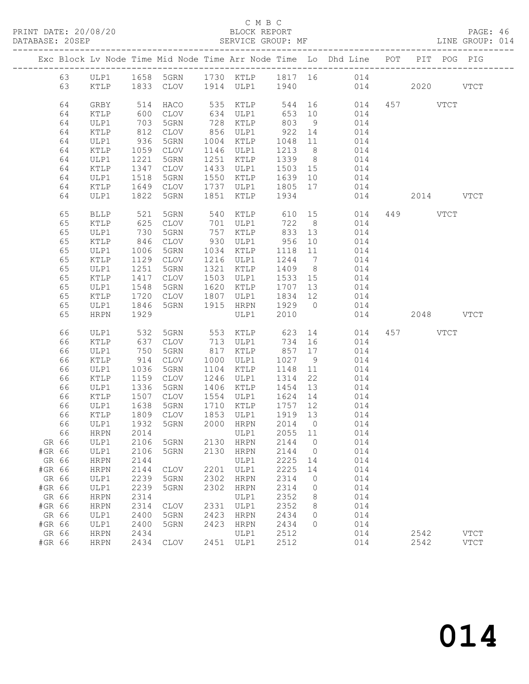#### C M B C<br>BLOCK REPORT

PAGE: 46<br>LINE GROUP: 014

|        |             |      |             |      |                |         |                 | Exc Block Lv Node Time Mid Node Time Arr Node Time Lo Dhd Line POT PIT POG PIG |           |               |
|--------|-------------|------|-------------|------|----------------|---------|-----------------|--------------------------------------------------------------------------------|-----------|---------------|
| 63     | ULP1        |      |             |      |                |         |                 | 1658 5GRN 1730 KTLP 1817 16 014                                                |           |               |
| 63     | KTLP        |      | 1833 CLOV   |      | 1914 ULP1 1940 |         |                 | 014                                                                            | 2020      | <b>VTCT</b>   |
|        |             |      |             |      |                |         |                 |                                                                                |           |               |
| 64     | GRBY        | 514  | HACO        | 535  | KTLP           | 544     |                 | 16<br>014                                                                      | 457 VTCT  |               |
| 64     | KTLP        | 600  | CLOV        | 634  | ULP1           | 653     | 10              | 014                                                                            |           |               |
| 64     | ULP1        | 703  | 5GRN        | 728  | KTLP           | 803     | 9               | 014                                                                            |           |               |
| 64     | KTLP        | 812  | CLOV        | 856  | ULP1           | 922     | 14              | 014                                                                            |           |               |
| 64     | ULP1        | 936  | 5GRN        | 1004 | KTLP           | 1048    | 11              | 014                                                                            |           |               |
| 64     | KTLP        | 1059 | CLOV        | 1146 | ULP1           | 1213    | 8 <sup>8</sup>  | 014                                                                            |           |               |
| 64     | ULP1        | 1221 | 5GRN        | 1251 | KTLP           | 1339    | 8 <sup>8</sup>  | 014                                                                            |           |               |
| 64     | KTLP        | 1347 | CLOV        | 1433 | ULP1           | 1503 15 |                 | 014                                                                            |           |               |
| 64     | ULP1        | 1518 | 5GRN        | 1550 | KTLP           | 1639    | 10              | 014                                                                            |           |               |
| 64     | KTLP        | 1649 | CLOV        | 1737 | ULP1           | 1805 17 |                 | 014                                                                            |           |               |
| 64     | ULP1        | 1822 | 5GRN        | 1851 | KTLP           | 1934    |                 | 014                                                                            | 2014 VTCT |               |
|        |             |      |             |      |                |         |                 |                                                                                |           |               |
| 65     | <b>BLLP</b> | 521  | 5GRN        | 540  | KTLP           | 610     |                 | 15<br>014                                                                      | 449 VTCT  |               |
| 65     | KTLP        | 625  | CLOV        | 701  | ULP1           | 722     | 8 <sup>8</sup>  | 014                                                                            |           |               |
| 65     | ULP1        | 730  | 5GRN        | 757  | KTLP           | 833     | 13              | 014                                                                            |           |               |
| 65     | KTLP        | 846  | CLOV        | 930  | ULP1           | 956     | 10              | 014                                                                            |           |               |
| 65     | ULP1        | 1006 | 5GRN        | 1034 | KTLP           | 1118    | 11              | 014                                                                            |           |               |
| 65     | KTLP        | 1129 | CLOV        | 1216 | ULP1           | 1244    | $7\overline{ }$ | 014                                                                            |           |               |
| 65     | ULP1        | 1251 | 5GRN        | 1321 | KTLP           | 1409    | 8 <sup>8</sup>  | 014                                                                            |           |               |
| 65     | KTLP        | 1417 | CLOV        | 1503 | ULP1           | 1533    | 15              | 014                                                                            |           |               |
| 65     | ULP1        | 1548 | 5GRN        | 1620 | KTLP           | 1707    | 13              | 014                                                                            |           |               |
| 65     | KTLP        | 1720 | CLOV        | 1807 | ULP1           | 1834    | 12              | 014                                                                            |           |               |
| 65     | ULP1        | 1846 | 5GRN        | 1915 | HRPN           | 1929    | $\overline{0}$  | 014                                                                            |           |               |
| 65     | <b>HRPN</b> | 1929 |             |      | ULP1           | 2010    |                 | 014                                                                            | 2048 VTCT |               |
|        |             |      |             |      |                |         |                 |                                                                                |           |               |
| 66     | ULP1        | 532  | 5GRN        | 553  | KTLP           | 623     |                 | 14<br>014                                                                      | 457 VTCT  |               |
| 66     | KTLP        | 637  | CLOV        | 713  | ULP1           | 734     | 16              | 014                                                                            |           |               |
| 66     | ULP1        | 750  | 5GRN        | 817  | KTLP           | 857     | 17              | 014                                                                            |           |               |
| 66     | KTLP        | 914  | CLOV        | 1000 | ULP1           | 1027    | 9               | 014                                                                            |           |               |
| 66     | ULP1        | 1036 | 5GRN        | 1104 | KTLP           | 1148    | 11              | 014                                                                            |           |               |
| 66     | KTLP        | 1159 | <b>CLOV</b> | 1246 | ULP1           | 1314    | 22              | 014                                                                            |           |               |
| 66     | ULP1        | 1336 | 5GRN        | 1406 | KTLP           | 1454    | 13              | 014                                                                            |           |               |
| 66     | KTLP        | 1507 | CLOV        | 1554 | ULP1           | 1624    | 14              | 014                                                                            |           |               |
| 66     | ULP1        | 1638 | 5GRN        | 1710 | KTLP           | 1757    | 12              | 014                                                                            |           |               |
| 66     | KTLP        | 1809 | CLOV        | 1853 | ULP1           | 1919 13 |                 | 014                                                                            |           |               |
| 66     | ULP1        | 1932 | 5GRN        | 2000 | HRPN           | 2014 0  |                 | 014                                                                            |           |               |
|        | 66 HRPN     | 2014 |             |      | ULP1 2055 11   |         |                 | 014                                                                            |           |               |
| GR 66  | ULP1        | 2106 | 5GRN        | 2130 | <b>HRPN</b>    | 2144    | 0               | 014                                                                            |           |               |
| #GR 66 | ULP1        | 2106 | 5GRN        | 2130 | <b>HRPN</b>    | 2144    | $\circ$         | 014                                                                            |           |               |
| GR 66  | <b>HRPN</b> | 2144 |             |      | ULP1           | 2225    | 14              | 014                                                                            |           |               |
| #GR 66 | <b>HRPN</b> | 2144 | <b>CLOV</b> | 2201 | ULP1           | 2225    | 14              | 014                                                                            |           |               |
| GR 66  | ULP1        | 2239 | 5GRN        | 2302 | <b>HRPN</b>    | 2314    | 0               | 014                                                                            |           |               |
| #GR 66 | ULP1        | 2239 | 5GRN        | 2302 | <b>HRPN</b>    | 2314    | 0               | 014                                                                            |           |               |
| GR 66  | <b>HRPN</b> | 2314 |             |      | ULP1           | 2352    | 8               | 014                                                                            |           |               |
| #GR 66 | <b>HRPN</b> | 2314 | <b>CLOV</b> | 2331 | ULP1           | 2352    | 8               | 014                                                                            |           |               |
| GR 66  | ULP1        | 2400 | 5GRN        | 2423 | <b>HRPN</b>    | 2434    | 0               | 014                                                                            |           |               |
| #GR 66 | ULP1        | 2400 | 5GRN        | 2423 | <b>HRPN</b>    | 2434    | 0               | 014                                                                            |           |               |
| GR 66  | HRPN        | 2434 |             |      | ULP1           | 2512    |                 | 014                                                                            | 2542      | <b>VTCT</b>   |
| #GR 66 | <b>HRPN</b> | 2434 | <b>CLOV</b> | 2451 | ULP1           | 2512    |                 | 014                                                                            | 2542      | $_{\rm VTCT}$ |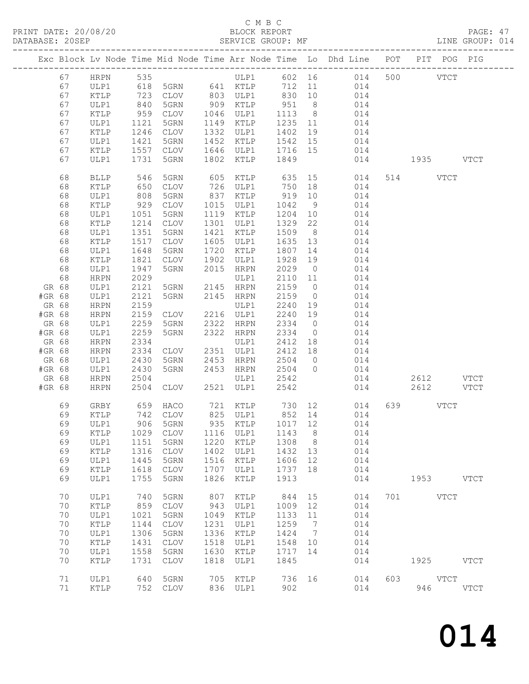# C M B C<br>BLOCK REPORT<br>SERVICE GROUP: MF

| DATABASE: 20SEP |    |                 |                   |                                  |      | SERVICE GROUP: MF                  |         |                              |                                                                                |               | LINE GROUP: 014 |
|-----------------|----|-----------------|-------------------|----------------------------------|------|------------------------------------|---------|------------------------------|--------------------------------------------------------------------------------|---------------|-----------------|
|                 |    |                 |                   |                                  |      |                                    |         |                              | Exc Block Lv Node Time Mid Node Time Arr Node Time Lo Dhd Line POT PIT POG PIG |               |                 |
|                 | 67 |                 |                   | HRPN 535                         |      |                                    |         |                              | ULP1 602 16 014 500 VTCT                                                       |               |                 |
|                 | 67 | ULP1            |                   |                                  |      |                                    |         |                              | 618 5GRN 641 KTLP 712 11 014                                                   |               |                 |
|                 | 67 | KTLP            |                   |                                  |      |                                    |         |                              | CLOV 803 ULP1 830 10 014                                                       |               |                 |
|                 | 67 | ULP1            | 723<br>840<br>959 | 5GRN                             |      |                                    |         |                              |                                                                                |               |                 |
|                 | 67 | KTLP            |                   | CLOV                             |      |                                    |         |                              |                                                                                |               |                 |
|                 | 67 | ULP1            | 1121              | 5GRN                             |      | 1149 KTLP                          | 1235 11 |                              | 014                                                                            |               |                 |
|                 |    |                 |                   |                                  |      | 1332 ULP1                          |         |                              |                                                                                |               |                 |
|                 | 67 | KTLP            | 1246              | CLOV                             |      |                                    | 1402    | 19                           | 014                                                                            |               |                 |
|                 | 67 | ULP1            | 1421              | 5GRN                             |      | 1452 KTLP<br>$1646$ ULP1 $1716$ 15 | 1542 15 |                              | 014                                                                            |               |                 |
|                 | 67 | KTLP            |                   |                                  |      |                                    |         |                              | 014                                                                            |               |                 |
|                 | 67 | ULP1            | 1731              | 5GRN                             |      | 1802 KTLP 1849                     |         |                              |                                                                                | 014 1935 VTCT |                 |
|                 | 68 | <b>BLLP</b>     | 546<br>650        | 5GRN                             |      |                                    |         |                              |                                                                                | 514 VTCT      |                 |
|                 | 68 | KTLP            |                   | CLOV                             |      | 726 ULP1                           | 750 18  |                              | 014                                                                            |               |                 |
|                 | 68 | ULP1            | 808               | 5GRN                             |      | 837 KTLP 919 10                    |         |                              | 014                                                                            |               |                 |
|                 | 68 | KTLP            | 929               | CLOV                             |      | 1015 ULP1                          | 1042 9  |                              | 014                                                                            |               |                 |
|                 | 68 | ULP1            | $1051$<br>$1214$  | 5GRN                             |      | 1119 KTLP                          | 1204 10 |                              | 014                                                                            |               |                 |
|                 | 68 | KTLP            |                   | CLOV                             |      | 1301 ULP1                          | 1329    | 22                           | 014                                                                            |               |                 |
|                 | 68 | ULP1            | 1351              | 5GRN                             |      | 1421 KTLP                          | 1509 8  |                              | 014                                                                            |               |                 |
|                 | 68 | KTLP            | 1517              | CLOV                             |      | 1605 ULP1                          | 1635 13 |                              | 014                                                                            |               |                 |
|                 | 68 | ULP1            | 1648              | 5GRN                             |      | 1720 KTLP                          | 1807    | 14                           | 014                                                                            |               |                 |
|                 | 68 | $\texttt{KTLP}$ | 1821              | CLOV                             |      | 1902 ULP1                          | 1928    | 19                           | 014                                                                            |               |                 |
|                 | 68 | ULP1            | 1947              | 5GRN                             |      | 2015 HRPN                          | 2029    | $\overline{0}$               | 014                                                                            |               |                 |
|                 | 68 | HRPN            | 2029              |                                  |      | ULP1                               | 2110 11 |                              | 014                                                                            |               |                 |
| GR 68           |    | ULP1            | 2121              |                                  |      |                                    | 2159 0  |                              | 014                                                                            |               |                 |
| #GR 68          |    | ULP1            | 2121              | 5GRN 2145 HRPN<br>5GRN 2145 HRPN |      |                                    | 2159    | $\overline{0}$               | 014                                                                            |               |                 |
| GR 68           |    | HRPN            | 2159              |                                  |      | ULP1                               | 2240 19 |                              | 014                                                                            |               |                 |
|                 |    |                 |                   | CLOV 2216 ULP1                   |      |                                    |         |                              |                                                                                |               |                 |
| #GR 68          |    | HRPN            | 2159              |                                  |      |                                    | 2240 19 |                              | 014                                                                            |               |                 |
| GR 68           |    | ULP1            | 2259              | 5GRN                             |      | 2322 HRPN                          | 2334    | $\overline{0}$               | 014                                                                            |               |                 |
| #GR 68          |    | ULP1            | 2259              | 5GRN                             |      | 2322 HRPN                          | 2334    | $\overline{0}$               | 014                                                                            |               |                 |
| GR 68           |    | HRPN            | 2334              |                                  |      | ULP1                               | 2412 18 |                              | 014                                                                            |               |                 |
| #GR 68          |    | HRPN            | 2334              | CLOV 2351 ULP1                   |      |                                    | 2412 18 |                              | 014                                                                            |               |                 |
| GR 68           |    | ULP1            | 2430              | 5GRN 2453 HRPN<br>5GRN 2453 HRPN |      |                                    | 2504    | $\overline{0}$               | 014                                                                            |               |                 |
| #GR 68          |    | ULP1            | 2430              |                                  |      |                                    | 2504 0  |                              | 014                                                                            |               |                 |
| GR 68           |    | HRPN            | 2504              |                                  |      | ULP1 2542                          |         |                              | 014                                                                            | 2612 VTCT     |                 |
| #GR 68          |    | HRPN            | 2504              |                                  |      | CLOV 2521 ULP1                     | 2542    |                              | 014                                                                            | 2612 VTCT     |                 |
|                 | 69 | GRBY            |                   | 659 haco<br>742 clov             |      |                                    |         |                              |                                                                                | 639 VTCT      |                 |
|                 | 69 | KTLP            |                   |                                  |      |                                    |         |                              |                                                                                |               |                 |
|                 | 69 | ULP1            |                   |                                  |      |                                    |         |                              | 906 5GRN 935 KTLP 1017 12 014                                                  |               |                 |
|                 | 69 | KTLP            |                   | 1029 CLOV                        | 1116 | ULP1                               | 1143    | 8 <sup>8</sup>               | 014                                                                            |               |                 |
|                 | 69 | ULP1            | 1151              | 5GRN                             | 1220 | KTLP                               | 1308 8  |                              | 014                                                                            |               |                 |
|                 | 69 | KTLP            | 1316              | CLOV                             | 1402 | ULP1                               | 1432    | 13                           | 014                                                                            |               |                 |
|                 | 69 | ULP1            | 1445              | 5GRN                             | 1516 | KTLP                               | 1606    | 12                           | 014                                                                            |               |                 |
|                 | 69 | KTLP            | 1618              | CLOV                             | 1707 | ULP1                               | 1737    | 18                           | 014                                                                            |               |                 |
|                 | 69 | ULP1            | 1755              | 5GRN                             | 1826 | KTLP                               | 1913    |                              | 014                                                                            | 1953 VTCT     |                 |
|                 | 70 | ULP1            | 740               | 5GRN                             | 807  | KTLP                               | 844     | 15                           | 014                                                                            | 701 VTCT      |                 |
|                 | 70 | KTLP            | 859               | CLOV                             | 943  | ULP1                               | 1009    | 12                           | 014                                                                            |               |                 |
|                 | 70 | ULP1            | 1021              | 5GRN                             | 1049 | KTLP                               |         |                              | 014                                                                            |               |                 |
|                 |    |                 |                   |                                  |      |                                    | 1133    | 11                           |                                                                                |               |                 |
|                 | 70 | KTLP            | 1144              | CLOV                             | 1231 | ULP1                               | 1259    | $7\phantom{.0}\phantom{.0}7$ | 014                                                                            |               |                 |
|                 | 70 | ULP1            | 1306              | 5GRN                             | 1336 | KTLP                               | 1424    | $7\phantom{.0}\phantom{.0}7$ | 014                                                                            |               |                 |
|                 | 70 | KTLP            | 1431              | CLOV                             | 1518 | ULP1                               | 1548    | 10                           | 014                                                                            |               |                 |
|                 | 70 | ULP1            | 1558              | 5GRN                             | 1630 | KTLP                               | 1717    | 14                           | 014                                                                            |               |                 |
|                 | 70 | KTLP            | 1731              | CLOV                             | 1818 | ULP1                               | 1845    |                              | 014                                                                            | 1925 VTCT     |                 |
|                 | 71 | ULP1            |                   | 640 5GRN                         |      | 705 KTLP                           | 736 16  |                              | 014                                                                            | 603 VTCT      |                 |
|                 | 71 | KTLP            |                   | 752 CLOV                         |      | 836 ULP1                           | 902     |                              | 014                                                                            | 946   10      | <b>VTCT</b>     |
|                 |    |                 |                   |                                  |      |                                    |         |                              |                                                                                |               |                 |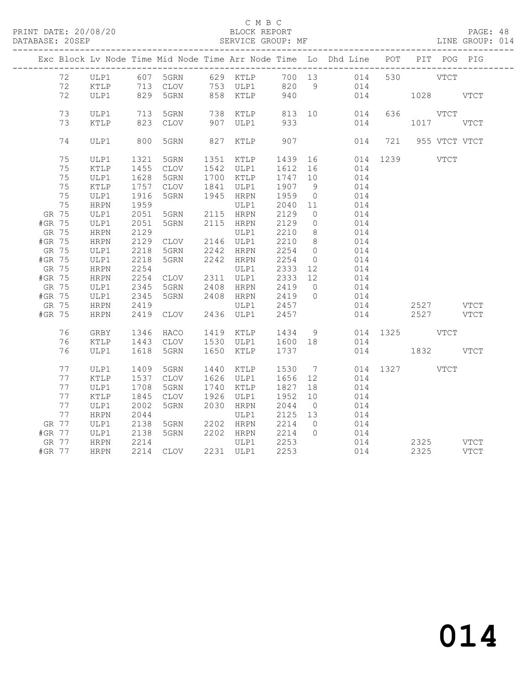#### C M B C<br>BLOCK REPORT

PAGE: 48<br>LINE GROUP: 014

|        |       |             |                                           |                                  |      |                          |                    |                | Exc Block Lv Node Time Mid Node Time Arr Node Time Lo Dhd Line POT PIT POG PIG |                       |          |           |  |
|--------|-------|-------------|-------------------------------------------|----------------------------------|------|--------------------------|--------------------|----------------|--------------------------------------------------------------------------------|-----------------------|----------|-----------|--|
|        | 72    |             |                                           |                                  |      |                          |                    |                | ULP1 607 5GRN 629 KTLP 700 13 014 530 VTCT                                     |                       |          |           |  |
|        | 72    | KTLP        |                                           |                                  |      |                          |                    |                |                                                                                |                       |          |           |  |
|        | 72    | ULP1        |                                           |                                  |      |                          |                    |                |                                                                                | 014 1028 VTCT         |          |           |  |
|        |       |             |                                           |                                  |      |                          |                    |                |                                                                                |                       |          |           |  |
|        | 73    | ULP1        | $\begin{array}{c} 713 \\ 222 \end{array}$ | 5GRN                             |      |                          | 813 10<br>933      |                | 014                                                                            |                       | 636 VTCT |           |  |
|        | 73    | KTLP        |                                           | 823 CLOV                         |      | 738 KTLP<br>907 ULP1     |                    |                | 014                                                                            |                       |          | 1017 VTCT |  |
|        |       |             |                                           |                                  |      |                          |                    |                |                                                                                |                       |          |           |  |
|        | 74    | ULP1        | 800                                       | 5GRN                             |      | 827 KTLP 907             |                    |                |                                                                                | 014 721 955 VTCT VTCT |          |           |  |
|        |       |             |                                           |                                  |      |                          |                    |                |                                                                                |                       |          |           |  |
|        | 75    | ULP1        | 1321                                      | 5GRN                             |      | 1351 KTLP                | 1439               |                | 16 014 1239 VTCT                                                               |                       |          |           |  |
|        | 75    | KTLP        | 1455                                      | CLOV                             |      | 1542 ULP1                | 1612 16<br>1747 10 |                | 014                                                                            |                       |          |           |  |
|        | 75    | ULP1        | 1628                                      | 5GRN                             |      | 1700 KTLP                |                    |                | 014                                                                            |                       |          |           |  |
|        | 75    | KTLP        | 1757                                      | CLOV                             |      | 1841 ULP1                | 1907 9             |                | 014                                                                            |                       |          |           |  |
|        | 75    | ULP1        | 1916                                      | 5GRN                             |      | 1945 HRPN                | 1959               | $\overline{0}$ | 014                                                                            |                       |          |           |  |
|        | 75    | <b>HRPN</b> | 1959                                      |                                  |      | ULP1                     | 2040 11            |                | 014                                                                            |                       |          |           |  |
| GR 75  |       | ULP1        | 2051                                      | 5GRN                             |      | 2115 HRPN                | 2129               | $\overline{0}$ | 014                                                                            |                       |          |           |  |
| #GR 75 |       | ULP1        | 2051                                      | 5GRN                             |      | 2115 HRPN                | 2129               | $\overline{0}$ | 014                                                                            |                       |          |           |  |
| GR 75  |       | HRPN        | 2129                                      |                                  |      | ULP1                     | 2210               | 8 <sup>8</sup> | 014                                                                            |                       |          |           |  |
| #GR 75 |       | HRPN        | 2129                                      | CLOV 2146 ULP1                   |      |                          | 2210               | 8 <sup>8</sup> | 014                                                                            |                       |          |           |  |
| GR 75  |       | ULP1        | 2218                                      | 5GRN                             |      | 2242 HRPN                | 2254 0             |                | 014                                                                            |                       |          |           |  |
| #GR 75 |       | ULP1        | 2218                                      | 5GRN                             |      | 2242 HRPN                | 2254               | $\overline{0}$ | 014                                                                            |                       |          |           |  |
| GR 75  |       | <b>HRPN</b> | 2254                                      |                                  |      | ULP1                     | 2333               | 12             | 014                                                                            |                       |          |           |  |
| #GR 75 |       | <b>HRPN</b> | 2254                                      | CLOV 2311 ULP1                   |      |                          | 2333 12            |                | 014                                                                            |                       |          |           |  |
| GR 75  |       | ULP1        | 2345                                      | 5GRN                             |      | 2408 HRPN                | 2419               | $\overline{0}$ | 014                                                                            |                       |          |           |  |
| #GR 75 |       | ULP1        | 2345                                      | 5GRN                             |      | 2408 HRPN                | 2419               | $\overline{0}$ | 014                                                                            |                       |          |           |  |
| GR 75  |       | HRPN        | 2419                                      |                                  |      | ULP1                     | 2457               |                | 014                                                                            |                       |          | 2527 VTCT |  |
| #GR 75 |       | <b>HRPN</b> | 2419                                      | CLOV                             |      | 2436 ULP1                | 2457               |                |                                                                                | 014                   |          | 2527 VTCT |  |
|        |       |             |                                           |                                  |      |                          |                    |                |                                                                                |                       |          |           |  |
|        | 76    | GRBY        | 1346                                      | HACO                             |      | 1419 KTLP 1434 9         |                    |                |                                                                                | 014 1325 VTCT         |          |           |  |
|        | 76    | KTLP        | 1443                                      | CLOV                             |      | 1530 ULP1 1600 18        |                    |                | 014                                                                            |                       |          |           |  |
|        | 76    | ULP1        | 1618                                      | 5GRN                             |      | 1650 KTLP                | 1737               |                |                                                                                | 014 1832 VTCT         |          |           |  |
|        |       |             |                                           |                                  |      |                          |                    |                |                                                                                |                       |          |           |  |
|        | 77    | ULP1        | 1409                                      | 5GRN                             | 1440 | KTLP                     | 1530 7             |                | 014                                                                            | 1327 VTCT             |          |           |  |
|        | 77    | KTLP        | 1537                                      | CLOV                             |      | 1626 ULP1                | 1656 12            |                | 014                                                                            |                       |          |           |  |
|        | 77    | ULP1        | 1708                                      | 5GRN                             |      | 1740 KTLP                | 1827               | 18             | 014                                                                            |                       |          |           |  |
|        | 77    | KTLP        | 1845                                      | CLOV                             |      | 1926 ULP1                | 1952               | 10             | 014                                                                            |                       |          |           |  |
|        | 77    | ULP1        | 2002                                      | 5GRN                             |      | 2030 HRPN                | 2044               | $\overline{0}$ | 014                                                                            |                       |          |           |  |
|        | 77    | HRPN        | 2044                                      |                                  |      | ULP1                     | 2125 13            |                | 014                                                                            |                       |          |           |  |
|        | GR 77 | ULP1        | 2138                                      | 5GRN 2202 HRPN<br>5GRN 2202 HRPN |      |                          | 2214               | $\overline{0}$ | 014                                                                            |                       |          |           |  |
| #GR 77 |       | ULP1        | 2138                                      |                                  |      |                          | 2214 0             |                | 014                                                                            |                       |          |           |  |
|        | GR 77 | <b>HRPN</b> | 2214                                      |                                  |      | ULP1 2253                |                    |                | 014                                                                            |                       |          | 2325 VTCT |  |
| #GR 77 |       | <b>HRPN</b> |                                           |                                  |      | 2214 CLOV 2231 ULP1 2253 |                    |                | 014                                                                            |                       |          | 2325 VTCT |  |
|        |       |             |                                           |                                  |      |                          |                    |                |                                                                                |                       |          |           |  |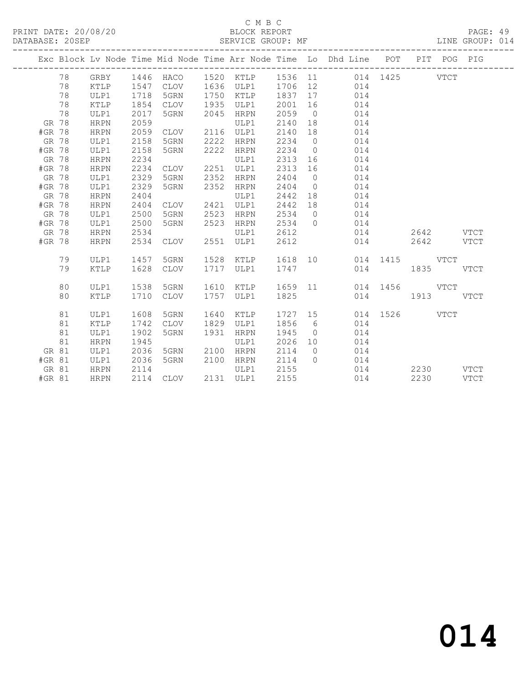## C M B C<br>BLOCK REPORT

| DATABASE: 20SEP |          |             |      | SERVICE GROUP: MF |      |             |         |                |                                                                                |               |           | LINE GROUP: 014 |
|-----------------|----------|-------------|------|-------------------|------|-------------|---------|----------------|--------------------------------------------------------------------------------|---------------|-----------|-----------------|
|                 |          |             |      |                   |      |             |         |                | Exc Block Lv Node Time Mid Node Time Arr Node Time Lo Dhd Line POT PIT POG PIG |               |           |                 |
|                 | 78       | GRBY        | 1446 | HACO              |      |             |         |                | 1520 KTLP 1536 11 014 1425 VTCT                                                |               |           |                 |
|                 | 78       | KTLP        | 1547 | CLOV              |      | 1636 ULP1   |         |                | 1706 12<br>014                                                                 |               |           |                 |
|                 | 78       | ULP1        | 1718 | 5GRN              | 1750 | KTLP        | 1837    | 17             | 014                                                                            |               |           |                 |
|                 | 78       | KTLP        | 1854 | CLOV              | 1935 | ULP1        | 2001    | 16             | 014                                                                            |               |           |                 |
|                 | 78       | ULP1        | 2017 | 5GRN              | 2045 | HRPN        | 2059    | $\overline{0}$ | 014                                                                            |               |           |                 |
|                 | GR 78    | <b>HRPN</b> | 2059 |                   |      | ULP1        | 2140    | 18             | 014                                                                            |               |           |                 |
|                 | #GR 78   | <b>HRPN</b> | 2059 | CLOV              | 2116 | ULP1        | 2140    | 18             | 014                                                                            |               |           |                 |
|                 | GR 78    | ULP1        | 2158 | 5GRN              | 2222 | <b>HRPN</b> | 2234    | $\overline{0}$ | 014                                                                            |               |           |                 |
|                 | #GR 78   | ULP1        | 2158 | 5GRN              | 2222 | HRPN        | 2234    | $\overline{0}$ | 014                                                                            |               |           |                 |
|                 | GR 78    | <b>HRPN</b> | 2234 |                   |      | ULP1        | 2313    | 16             | 014                                                                            |               |           |                 |
|                 | #GR 78   | HRPN        | 2234 | CLOV              | 2251 | ULP1        | 2313    | 16             | 014                                                                            |               |           |                 |
|                 | GR 78    | ULP1        | 2329 | 5GRN              | 2352 | <b>HRPN</b> | 2404    | $\overline{0}$ | 014                                                                            |               |           |                 |
|                 | #GR 78   | ULP1        | 2329 | 5GRN              | 2352 | HRPN        | 2404    | $\overline{0}$ | 014                                                                            |               |           |                 |
|                 | GR 78    | <b>HRPN</b> | 2404 |                   |      | ULP1        | 2442    | 18             | 014                                                                            |               |           |                 |
|                 | #GR 78   | <b>HRPN</b> | 2404 | CLOV              | 2421 | ULP1        | 2442    | 18             | 014                                                                            |               |           |                 |
|                 | GR 78    | ULP1        | 2500 | 5GRN              | 2523 | HRPN        | 2534    | $\overline{0}$ | 014                                                                            |               |           |                 |
|                 | #GR 78   | ULP1        | 2500 | 5GRN              | 2523 | HRPN        | 2534    | $\bigcirc$     | 014                                                                            |               |           |                 |
|                 | GR 78    | <b>HRPN</b> | 2534 |                   |      | ULP1        | 2612    |                |                                                                                | 014           | 2642 VTCT |                 |
|                 | #GR 78   | <b>HRPN</b> | 2534 | CLOV              | 2551 | ULP1        | 2612    |                |                                                                                | 014           | 2642 VTCT |                 |
|                 | 79       | ULP1        | 1457 | 5GRN              | 1528 | KTLP        | 1618 10 |                |                                                                                | 014 1415 VTCT |           |                 |
|                 | 79       | KTLP        | 1628 | <b>CLOV</b>       | 1717 | ULP1        | 1747    |                |                                                                                | 014           | 1835 70   | VTCT            |
|                 | 80       | ULP1        | 1538 | 5GRN              |      | 1610 KTLP   | 1659 11 |                |                                                                                | 014 1456 VTCT |           |                 |
|                 | 80       | KTLP        | 1710 | CLOV              |      | 1757 ULP1   | 1825    |                |                                                                                | 014           | 1913 VTCT |                 |
|                 | 81       | ULP1        | 1608 | 5GRN              |      | 1640 KTLP   | 1727 15 |                |                                                                                | 014 1526 VTCT |           |                 |
|                 | 81       | KTLP        | 1742 | CLOV              |      | 1829 ULP1   | 1856    | 6              | 014                                                                            |               |           |                 |
|                 | 81       | ULP1        | 1902 | 5GRN              | 1931 | HRPN        | 1945    | $\overline{0}$ | 014                                                                            |               |           |                 |
|                 | 81       | <b>HRPN</b> | 1945 |                   |      | ULP1        | 2026    | 10             | 014                                                                            |               |           |                 |
|                 | GR 81    | ULP1        | 2036 | 5GRN              |      | 2100 HRPN   | 2114    | $\overline{0}$ | 014                                                                            |               |           |                 |
|                 | $#GR$ 81 | ULP1        | 2036 | 5GRN              |      | 2100 HRPN   | 2114    | $\bigcirc$     | 014                                                                            |               |           |                 |
|                 | GR 81    | HRPN        | 2114 |                   |      | ULP1        | 2155    |                |                                                                                | 014           | 2230 VTCT |                 |
|                 | #GR 81   | <b>HRPN</b> |      | 2114 CLOV         |      | 2131 ULP1   | 2155    |                |                                                                                | 014           | 2230      | VTCT            |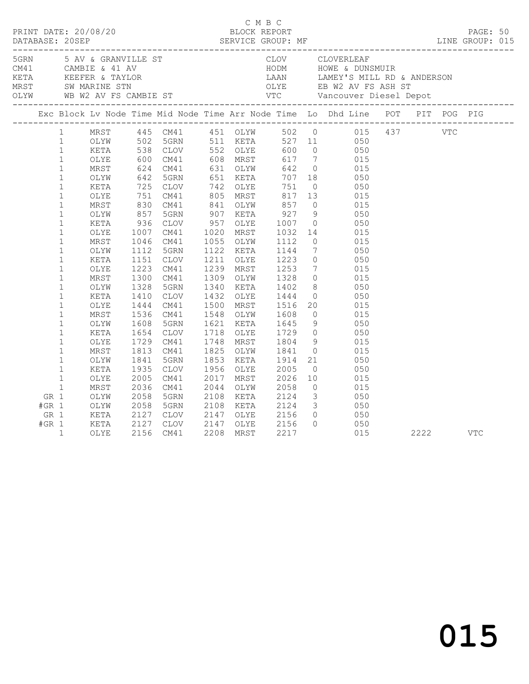| 1 MRST 445 CM41 451 OLYW 502 0 015 437 VTC<br>1 OLYW 502 5GRN 511 KETA 527 11 050<br>1 KETA 538 CLOV 552 OLYE 600 0 050<br>1 OLYE 600 CM41 608 MRST 617 7 015<br>1 MRST 624 CM41 631 OLYW 642 0 015<br>1 OLYW 642 5GRN 651 KETA 707 18 050<br>1<br>742 OLYE<br>805 MRST<br>$\mathbf{1}$<br>$\begin{array}{r} 725 \\ 751 \\ 830 \\ 857 \\ 936 \end{array}$<br>751 0 050<br>817 13 015<br>KETA<br>CLOV<br>$\mathbf{1}$<br>OLYE<br>CM41<br>841 OLYW 857<br>$0$ 015<br>$\mathbf{1}$<br>MRST<br>CM41<br>$927$<br>1007<br>$\mathbf{1}$<br>5GRN<br>907 KETA<br>9 050<br>0 050<br>OLYW<br>957 OLYE<br>$\mathbf{1}$<br>KETA<br>CLOV<br>$\mathbf{1}$<br>1007<br>CM41<br>1020<br>MRST<br>1032<br>14 015<br>OLYE<br>$\mathbf{1}$<br>1046<br>1055 OLYW<br>1112<br>$\overline{0}$<br>MRST<br>CM41<br>015<br>7 050<br>$\mathbf{1}$<br>1122 KETA<br>1112<br>5GRN<br>1144<br>OLYW<br>$\mathbf{1}$<br>1211<br>0 050<br>7 015<br>1151<br>CLOV<br>OLYE<br>1223<br>KETA<br>$\mathbf{1}$<br>1223<br>1239 MRST<br>OLYE<br>CM41<br>1253<br>$0$ 015<br>$\mathbf{1}$<br>1300<br>CM41<br>1309 OLYW<br>1328<br>MRST<br>8 050<br>0 050<br>$\mathbf{1}$<br>1328<br>5GRN<br>1340 KETA<br>1402<br>OLYW<br>1444<br>$\mathbf 1$<br>1410<br>CLOV<br>1432 OLYE<br>KETA<br>$\mathbf{1}$<br>20 015<br>1444<br>CM41<br>1500<br>MRST<br>OLYE<br>1516<br>$\mathbf{1}$<br>$\overline{0}$<br>MRST<br>1536<br>CM41<br>1548 OLYW<br>1608<br>015<br>$9$ $050$<br>1608<br>1645<br>$\mathbf{1}$<br>5GRN<br>1621 KETA<br>OLYW<br>$\begin{array}{c} 0 \\ 9 \end{array}$<br>$\mathbf{1}$<br>1654<br>CLOV<br>1718 OLYE<br>050<br>KETA<br>$1729$<br>$1804$<br>$\mathbf{1}$<br>1729<br>1748<br>015<br>CM41<br>MRST<br>OLYE<br>$0$ 015<br>$\mathbf{1}$<br>1813<br>CM41<br>1825<br>MRST<br>OLYW<br>1841<br>1853<br>21<br>$\mathbf{1}$<br>1841<br>5GRN<br>KETA<br>1914<br>050<br>OLYW |      |            |  |
|------------------------------------------------------------------------------------------------------------------------------------------------------------------------------------------------------------------------------------------------------------------------------------------------------------------------------------------------------------------------------------------------------------------------------------------------------------------------------------------------------------------------------------------------------------------------------------------------------------------------------------------------------------------------------------------------------------------------------------------------------------------------------------------------------------------------------------------------------------------------------------------------------------------------------------------------------------------------------------------------------------------------------------------------------------------------------------------------------------------------------------------------------------------------------------------------------------------------------------------------------------------------------------------------------------------------------------------------------------------------------------------------------------------------------------------------------------------------------------------------------------------------------------------------------------------------------------------------------------------------------------------------------------------------------------------------------------------------------------------------------------------------------------------------------------------------------|------|------------|--|
| $\overline{0}$ 050<br>2005<br>$\mathbf{1}$<br>1935<br>CLOV<br>1956 OLYE<br>KETA<br>$\mathbf{1}$<br>2017<br>2026<br>$\begin{array}{ccc} 10 & \quad & 015 \\ 0 & \quad & 015 \end{array}$<br>2005<br>CM41<br>MRST<br>OLYE<br>$\mathbf{1}$<br>2036<br>2044<br>MRST<br>CM41<br>OLYW<br>2058                                                                                                                                                                                                                                                                                                                                                                                                                                                                                                                                                                                                                                                                                                                                                                                                                                                                                                                                                                                                                                                                                                                                                                                                                                                                                                                                                                                                                                                                                                                                      |      |            |  |
| $\frac{1}{3}$ 050<br>2058<br>5GRN<br>2108<br>KETA<br>2124<br>GR 1<br>OLYW<br>$\begin{array}{ccc} 3 & \hspace{1.5mm} 050 \\ 0 & \hspace{1.5mm} 0 \end{array}$<br>$#GR$ 1<br>OLYW<br>2058<br>5GRN<br>2108<br>KETA<br>2124<br>2058<br>2127<br>2156<br>2147 OLYE<br>GR 1<br>KETA<br>CLOV<br>$0\qquad \qquad 050$<br>2127<br>2156<br>$#GR$ 1<br>KETA<br>CLOV<br>2147<br>OLYE<br>$\mathbf{1}$<br>2156<br>2208<br>MRST<br>2217<br>015<br>OLYE<br>CM41                                                                                                                                                                                                                                                                                                                                                                                                                                                                                                                                                                                                                                                                                                                                                                                                                                                                                                                                                                                                                                                                                                                                                                                                                                                                                                                                                                               | 2222 | <b>VTC</b> |  |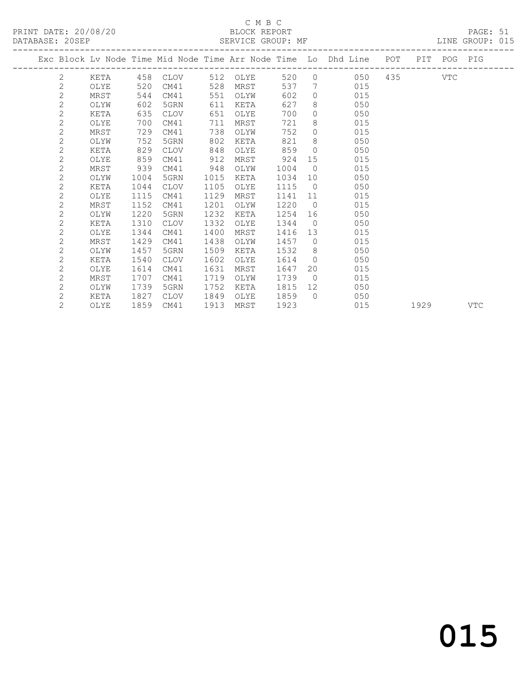# C M B C

| DATABASE: 20SEP |                |      |      |             |      | SERVICE GROUP: MF |      |                |                                                                                |  | LINE GROUP: 015 |  |
|-----------------|----------------|------|------|-------------|------|-------------------|------|----------------|--------------------------------------------------------------------------------|--|-----------------|--|
|                 |                |      |      |             |      |                   |      |                | Exc Block Ly Node Time Mid Node Time Arr Node Time Lo Dhd Line POT PIT POG PIG |  |                 |  |
|                 | 2              | KETA |      | 458 CLOV    |      | 512 OLYE          | 520  |                | 0 050 435 VTC                                                                  |  |                 |  |
|                 | $\mathbf{2}$   | OLYE | 520  | CM41        | 528  | MRST              | 537  | 7              | 015                                                                            |  |                 |  |
|                 | $\overline{c}$ | MRST | 544  | CM41        | 551  | OLYW              | 602  | $\Omega$       | 015                                                                            |  |                 |  |
|                 | $\overline{c}$ | OLYW | 602  | 5GRN        | 611  | KETA              | 627  | 8              | 050                                                                            |  |                 |  |
|                 | $\overline{c}$ | KETA | 635  | CLOV        | 651  | OLYE              | 700  | $\circ$        | 050                                                                            |  |                 |  |
|                 | $\overline{2}$ | OLYE | 700  | CM41        | 711  | MRST              | 721  | 8              | 015                                                                            |  |                 |  |
|                 | $\mathbf{2}$   | MRST | 729  | CM41        | 738  | OLYW              | 752  | $\Omega$       | 015                                                                            |  |                 |  |
|                 | $\mathbf{2}$   | OLYW | 752  | 5GRN        | 802  | KETA              | 821  | 8              | 050                                                                            |  |                 |  |
|                 | $\overline{c}$ | KETA | 829  | CLOV        | 848  | OLYE              | 859  | $\bigcirc$     | 050                                                                            |  |                 |  |
|                 | $\overline{c}$ | OLYE | 859  | CM41        | 912  | MRST              | 924  | 15             | 015                                                                            |  |                 |  |
|                 | $\overline{2}$ | MRST | 939  | CM41        | 948  | OLYW              | 1004 | $\bigcirc$     | 015                                                                            |  |                 |  |
|                 | $\overline{c}$ | OLYW | 1004 | 5GRN        | 1015 | KETA              | 1034 | 10             | 050                                                                            |  |                 |  |
|                 | $\overline{c}$ | KETA | 1044 | CLOV        | 1105 | OLYE              | 1115 | $\bigcirc$     | 050                                                                            |  |                 |  |
|                 | $\overline{c}$ | OLYE | 1115 | CM41        | 1129 | MRST              | 1141 | 11             | 015                                                                            |  |                 |  |
|                 | $\overline{c}$ | MRST | 1152 | CM41        | 1201 | OLYW              | 1220 | $\bigcirc$     | 015                                                                            |  |                 |  |
|                 | $\overline{c}$ | OLYW | 1220 | 5GRN        | 1232 | KETA              | 1254 | 16             | 050                                                                            |  |                 |  |
|                 | $\mathbf{2}$   | KETA | 1310 | <b>CLOV</b> | 1332 | OLYE              | 1344 | $\bigcirc$     | 050                                                                            |  |                 |  |
|                 | $\overline{c}$ | OLYE | 1344 | CM41        | 1400 | MRST              | 1416 | 13             | 015                                                                            |  |                 |  |
|                 | $\overline{c}$ | MRST | 1429 | CM41        | 1438 | OLYW              | 1457 | $\overline{0}$ | 015                                                                            |  |                 |  |
|                 | $\overline{c}$ | OLYW | 1457 | 5GRN        | 1509 | KETA              | 1532 | 8              | 050                                                                            |  |                 |  |
|                 | $\overline{2}$ | KETA | 1540 | CLOV        | 1602 | OLYE              | 1614 | $\Omega$       | 050                                                                            |  |                 |  |
|                 | $\mathbf{2}$   | OLYE | 1614 | CM41        | 1631 | MRST              | 1647 | 20             | 015                                                                            |  |                 |  |
|                 | $\mathbf{2}$   | MRST | 1707 | CM41        | 1719 | OLYW              | 1739 | $\bigcirc$     | 015                                                                            |  |                 |  |
|                 | $\mathbf{2}$   | OLYW | 1739 | 5GRN        | 1752 | KETA              | 1815 | 12             | 050                                                                            |  |                 |  |
|                 | $\overline{2}$ | KETA | 1827 | CLOV        | 1849 | OLYE              | 1859 | $\bigcap$      | 050                                                                            |  |                 |  |

2 OLYE 1859 CM41 1913 MRST 1923 015 1929 VTC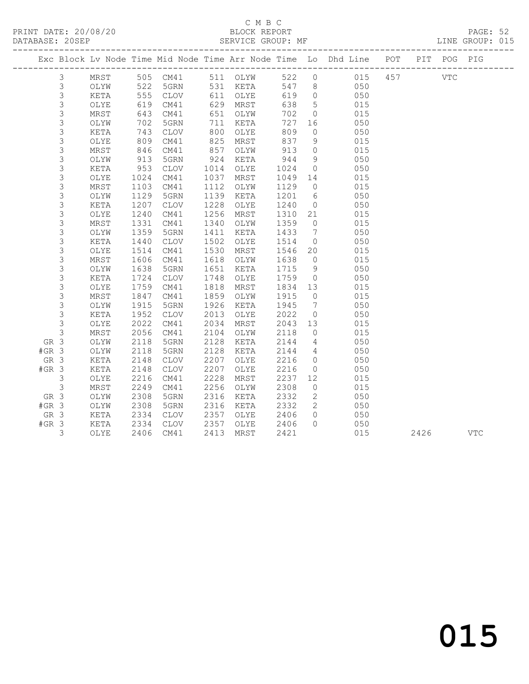### C M B C<br>BLOCK REPORT

PAGE: 52<br>LINE GROUP: 015

|         |                |      |      |             |      |          |      |                              | Exc Block Lv Node Time Mid Node Time Arr Node Time Lo Dhd Line POT |     |      | PIT POG PIG |            |
|---------|----------------|------|------|-------------|------|----------|------|------------------------------|--------------------------------------------------------------------|-----|------|-------------|------------|
|         | $\mathfrak{Z}$ | MRST |      | 505 CM41    |      | 511 OLYW | 522  | $\circ$                      | 015                                                                | 457 |      | <b>VTC</b>  |            |
|         | $\mathfrak{Z}$ | OLYW | 522  | 5GRN        |      | 531 KETA | 547  | 8 <sup>8</sup>               | 050                                                                |     |      |             |            |
|         | $\mathsf S$    | KETA | 555  | CLOV        |      | 611 OLYE | 619  | $\overline{0}$               | 050                                                                |     |      |             |            |
|         | $\mathsf 3$    | OLYE | 619  | CM41        | 629  | MRST     | 638  | $5^{\circ}$                  | 015                                                                |     |      |             |            |
|         | 3              | MRST | 643  | CM41        | 651  | OLYW     | 702  | $\overline{0}$               | 015                                                                |     |      |             |            |
|         | $\mathsf 3$    | OLYW | 702  | 5GRN        | 711  | KETA     | 727  | 16                           | 050                                                                |     |      |             |            |
|         | 3              | KETA | 743  | <b>CLOV</b> | 800  | OLYE     | 809  | $\circ$                      | 050                                                                |     |      |             |            |
|         | 3              | OLYE | 809  | CM41        | 825  | MRST     | 837  | 9                            | 015                                                                |     |      |             |            |
|         | 3              | MRST | 846  | CM41        | 857  | OLYW     | 913  | $\overline{0}$               | 015                                                                |     |      |             |            |
|         | $\mathsf 3$    | OLYW | 913  | 5GRN        | 924  | KETA     | 944  | 9                            | 050                                                                |     |      |             |            |
|         | 3              | KETA | 953  | <b>CLOV</b> | 1014 | OLYE     | 1024 | $\overline{0}$               | 050                                                                |     |      |             |            |
|         | 3              | OLYE | 1024 | CM41        | 1037 | MRST     | 1049 | 14                           | 015                                                                |     |      |             |            |
|         | 3              | MRST | 1103 | CM41        | 1112 | OLYW     | 1129 | $\overline{0}$               | 015                                                                |     |      |             |            |
|         | $\mathsf 3$    | OLYW | 1129 | 5GRN        | 1139 | KETA     | 1201 | 6                            | 050                                                                |     |      |             |            |
|         | $\mathfrak{Z}$ | KETA | 1207 | <b>CLOV</b> | 1228 | OLYE     | 1240 | $\overline{0}$               | 050                                                                |     |      |             |            |
|         | 3              | OLYE | 1240 | CM41        | 1256 | MRST     | 1310 | 21                           | 015                                                                |     |      |             |            |
|         | $\mathsf S$    | MRST | 1331 | CM41        | 1340 | OLYW     | 1359 | $\overline{0}$               | 015                                                                |     |      |             |            |
|         | $\mathfrak{Z}$ | OLYW | 1359 | 5GRN        | 1411 | KETA     | 1433 | $7\phantom{.0}\phantom{.0}7$ | 050                                                                |     |      |             |            |
|         | 3              | KETA | 1440 | CLOV        | 1502 | OLYE     | 1514 | $\overline{0}$               | 050                                                                |     |      |             |            |
|         | 3              | OLYE | 1514 | CM41        | 1530 | MRST     | 1546 | 20                           | 015                                                                |     |      |             |            |
|         | $\mathsf S$    | MRST | 1606 | CM41        | 1618 | OLYW     | 1638 | $\overline{0}$               | 015                                                                |     |      |             |            |
|         | $\mathfrak{Z}$ | OLYW | 1638 | 5GRN        | 1651 | KETA     | 1715 | 9                            | 050                                                                |     |      |             |            |
|         | 3              | KETA | 1724 | <b>CLOV</b> | 1748 | OLYE     | 1759 | $\overline{0}$               | 050                                                                |     |      |             |            |
|         | 3              | OLYE | 1759 | CM41        | 1818 | MRST     | 1834 | 13                           | 015                                                                |     |      |             |            |
|         | $\mathsf S$    | MRST | 1847 | CM41        | 1859 | OLYW     | 1915 | $\overline{0}$               | 015                                                                |     |      |             |            |
|         | 3              | OLYW | 1915 | 5GRN        | 1926 | KETA     | 1945 | $\overline{7}$               | 050                                                                |     |      |             |            |
|         | 3              | KETA | 1952 | CLOV        | 2013 | OLYE     | 2022 | $\circ$                      | 050                                                                |     |      |             |            |
|         | $\mathfrak{Z}$ | OLYE | 2022 | CM41        | 2034 | MRST     | 2043 | 13                           | 015                                                                |     |      |             |            |
|         | $\mathsf 3$    | MRST | 2056 | CM41        | 2104 | OLYW     | 2118 | $\overline{0}$               | 015                                                                |     |      |             |            |
| GR 3    |                | OLYW | 2118 | 5GRN        | 2128 | KETA     | 2144 | $\overline{4}$               | 050                                                                |     |      |             |            |
| $#GR$ 3 |                | OLYW | 2118 | 5GRN        | 2128 | KETA     | 2144 | $\overline{4}$               | 050                                                                |     |      |             |            |
| GR 3    |                | KETA | 2148 | <b>CLOV</b> | 2207 | OLYE     | 2216 | $\overline{0}$               | 050                                                                |     |      |             |            |
| $#GR$ 3 |                | KETA | 2148 | CLOV        | 2207 | OLYE     | 2216 | $\circ$                      | 050                                                                |     |      |             |            |
|         | 3              | OLYE | 2216 | CM41        | 2228 | MRST     | 2237 | 12 <sup>°</sup>              | 015                                                                |     |      |             |            |
|         | 3              | MRST | 2249 | CM41        | 2256 | OLYW     | 2308 | $\circ$                      | 015                                                                |     |      |             |            |
| GR 3    |                | OLYW | 2308 | 5GRN        | 2316 | KETA     | 2332 | $2^{\circ}$                  | 050                                                                |     |      |             |            |
| $#GR$ 3 |                | OLYW | 2308 | 5GRN        | 2316 | KETA     | 2332 | $\overline{2}$               | 050                                                                |     |      |             |            |
| GR 3    |                | KETA | 2334 | CLOV        | 2357 | OLYE     | 2406 | $\Omega$                     | 050                                                                |     |      |             |            |
| $#GR$ 3 |                | KETA | 2334 | CLOV        | 2357 | OLYE     | 2406 | $\Omega$                     | 050                                                                |     |      |             |            |
|         | 3              | OLYE | 2406 | CM41        | 2413 | MRST     | 2421 |                              | 015                                                                |     | 2426 |             | <b>VTC</b> |
|         |                |      |      |             |      |          |      |                              |                                                                    |     |      |             |            |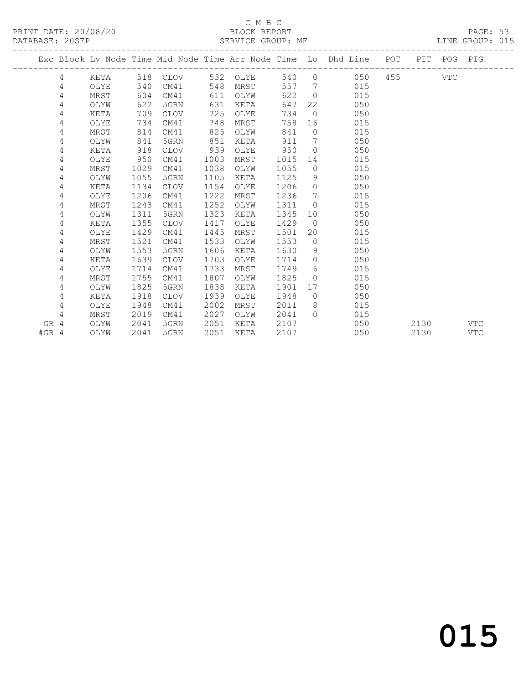#### C M B C<br>BLOCK REPORT SERVICE GROUP: MF

|   |             |      |             |      |          |      |                | Exc Block Lv Node Time Mid Node Time Arr Node Time Lo Dhd Line | POT | PIT POG PIG |  |
|---|-------------|------|-------------|------|----------|------|----------------|----------------------------------------------------------------|-----|-------------|--|
| 4 | KETA        |      | 518 CLOV    |      | 532 OLYE | 540  |                | $\Omega$<br>050                                                |     | VTC         |  |
| 4 | OLYE        | 540  | CM41        | 548  | MRST     | 557  | 7              | 015                                                            |     |             |  |
| 4 | MRST        | 604  | CM41        | 611  | OLYW     | 622  | $\overline{0}$ | 015                                                            |     |             |  |
| 4 | OLYW        | 622  | 5GRN        | 631  | KETA     | 647  | 22             | 050                                                            |     |             |  |
| 4 | KETA        | 709  | <b>CLOV</b> | 725  | OLYE     | 734  | $\Omega$       | 050                                                            |     |             |  |
| 4 | OLYE        | 734  | CM41        | 748  | MRST     | 758  | 16             | 015                                                            |     |             |  |
| 4 | MRST        | 814  | CM41        | 825  | OLYW     | 841  | $\Omega$       | 015                                                            |     |             |  |
| 4 | OLYW        | 841  | 5GRN        | 851  | KETA     | 911  | 7              | 050                                                            |     |             |  |
| 4 | KETA        | 918  | <b>CLOV</b> | 939  | OLYE     | 950  | $\Omega$       | 050                                                            |     |             |  |
| 4 | OLYE        | 950  | CM41        | 1003 | MRST     | 1015 | 14             | 015                                                            |     |             |  |
| 4 | MRST        | 1029 | CM41        | 1038 | OLYW     | 1055 | $\Omega$       | 015                                                            |     |             |  |
| 4 | OLYW        | 1055 | 5GRN        | 1105 | KETA     | 1125 | 9              | 050                                                            |     |             |  |
| 4 | KETA        | 1134 | CLOV        | 1154 | OLYE     | 1206 | $\Omega$       | 050                                                            |     |             |  |
| 4 | OLYE        | 1206 | CM41        | 1222 | MRST     | 1236 | 7              | 015                                                            |     |             |  |
| 4 | MRST        | 1243 | CM41        | 1252 | OLYW     | 1311 | $\bigcirc$     | 015                                                            |     |             |  |
| 4 | OLYW        | 1311 | 5GRN        | 1323 | KETA     | 1345 | 10             | 050                                                            |     |             |  |
| 4 | <b>KETA</b> | 1355 | <b>CLOV</b> | 1417 | OLYE     | 1429 | $\bigcirc$     | 050                                                            |     |             |  |
| 4 | OLYE        | 1429 | CM41        | 1445 | MRST     | 1501 | 20             | 015                                                            |     |             |  |
| 4 | MRST        | 1521 | CM41        | 1533 | OLYW     | 1553 | $\bigcirc$     | 015                                                            |     |             |  |
| 4 | OLYW        | 1553 | 5GRN        | 1606 | KETA     | 1630 | 9              | 050                                                            |     |             |  |
| 4 | KETA        | 1639 | <b>CLOV</b> | 1703 | OLYE     | 1714 | $\Omega$       | 050                                                            |     |             |  |
| 4 | OLYE        | 1714 | CM41        | 1733 | MRST     | 1749 | 6              | 015                                                            |     |             |  |
| 4 | MRST        | 1755 | CM41        | 1807 | OLYW     | 1825 | $\Omega$       | 015                                                            |     |             |  |
| 4 | OLYW        | 1825 | 5GRN        | 1838 | KETA     | 1901 | 17             | 050                                                            |     |             |  |
| 4 | KETA        | 1918 | CLOV        | 1939 | OLYE     | 1948 | $\Omega$       | 050                                                            |     |             |  |

|          | OLYE 1948 CM41 2002 MRST 2011 8 |  |  |      | 015 |      |     |
|----------|---------------------------------|--|--|------|-----|------|-----|
|          | MRST 2019 CM41 2027 OLYW 2041 0 |  |  |      | 015 |      |     |
|          | GR 4 0LYW 2041 5GRN 2051 KETA   |  |  | 2107 | 050 | 2130 | VTC |
| $\#GR$ 4 | OLYW 2041 5GRN 2051 KETA        |  |  | 2107 | 050 | 2130 | VTC |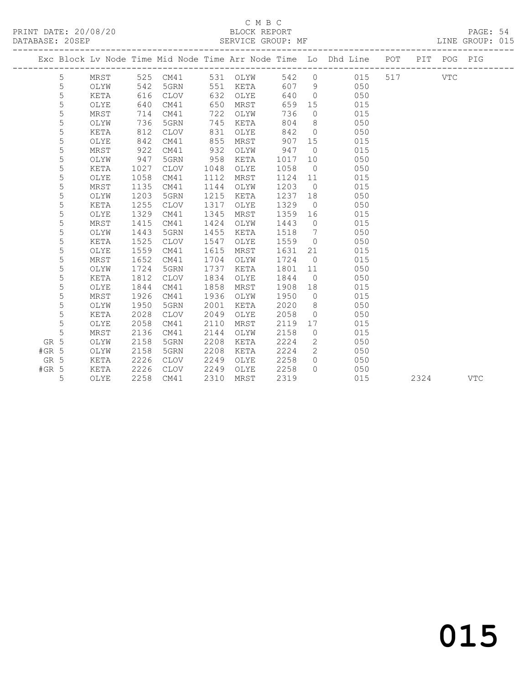### C M B C<br>BLOCK REPORT

PAGE: 54<br>LINE GROUP: 015

|         |   |      |      |             |      |          |      |                | Exc Block Lv Node Time Mid Node Time Arr Node Time Lo Dhd Line POT |     |      | PIT POG PIG |            |
|---------|---|------|------|-------------|------|----------|------|----------------|--------------------------------------------------------------------|-----|------|-------------|------------|
|         | 5 | MRST |      | 525 CM41    |      | 531 OLYW | 542  | $\circ$        | 015                                                                | 517 |      | VTC         |            |
|         | 5 | OLYW | 542  | 5GRN        | 551  | KETA     | 607  | - 9            | 050                                                                |     |      |             |            |
|         | 5 | KETA | 616  | <b>CLOV</b> | 632  | OLYE     | 640  | $\overline{0}$ | 050                                                                |     |      |             |            |
|         | 5 | OLYE | 640  | CM41        | 650  | MRST     | 659  | 15             | 015                                                                |     |      |             |            |
|         | 5 | MRST | 714  | CM41        | 722  | OLYW     | 736  | $\circ$        | 015                                                                |     |      |             |            |
|         | 5 | OLYW | 736  | 5GRN        | 745  | KETA     | 804  | 8              | 050                                                                |     |      |             |            |
|         | 5 | KETA | 812  | <b>CLOV</b> | 831  | OLYE     | 842  | $\overline{0}$ | 050                                                                |     |      |             |            |
|         | 5 | OLYE | 842  | CM41        | 855  | MRST     | 907  | 15             | 015                                                                |     |      |             |            |
|         | 5 | MRST | 922  | CM41        | 932  | OLYW     | 947  | $\overline{0}$ | 015                                                                |     |      |             |            |
|         | 5 | OLYW | 947  | 5GRN        | 958  | KETA     | 1017 | 10             | 050                                                                |     |      |             |            |
|         | 5 | KETA | 1027 | <b>CLOV</b> | 1048 | OLYE     | 1058 | $\overline{0}$ | 050                                                                |     |      |             |            |
|         | 5 | OLYE | 1058 | CM41        | 1112 | MRST     | 1124 | 11             | 015                                                                |     |      |             |            |
|         | 5 | MRST | 1135 | CM41        | 1144 | OLYW     | 1203 | $\overline{0}$ | 015                                                                |     |      |             |            |
|         | 5 | OLYW | 1203 | 5GRN        | 1215 | KETA     | 1237 | 18             | 050                                                                |     |      |             |            |
|         | 5 | KETA | 1255 | <b>CLOV</b> | 1317 | OLYE     | 1329 | $\overline{0}$ | 050                                                                |     |      |             |            |
|         | 5 | OLYE | 1329 | CM41        | 1345 | MRST     | 1359 | 16             | 015                                                                |     |      |             |            |
|         | 5 | MRST | 1415 | CM41        | 1424 | OLYW     | 1443 | $\overline{0}$ | 015                                                                |     |      |             |            |
|         | 5 | OLYW | 1443 | 5GRN        | 1455 | KETA     | 1518 | 7              | 050                                                                |     |      |             |            |
|         | 5 | KETA | 1525 | <b>CLOV</b> | 1547 | OLYE     | 1559 | $\overline{0}$ | 050                                                                |     |      |             |            |
|         | 5 | OLYE | 1559 | CM41        | 1615 | MRST     | 1631 | 21             | 015                                                                |     |      |             |            |
|         | 5 | MRST | 1652 | CM41        | 1704 | OLYW     | 1724 | $\overline{0}$ | 015                                                                |     |      |             |            |
|         | 5 | OLYW | 1724 | 5GRN        | 1737 | KETA     | 1801 | 11             | 050                                                                |     |      |             |            |
|         | 5 | KETA | 1812 | <b>CLOV</b> | 1834 | OLYE     | 1844 | $\overline{0}$ | 050                                                                |     |      |             |            |
|         | 5 | OLYE | 1844 | CM41        | 1858 | MRST     | 1908 | 18             | 015                                                                |     |      |             |            |
|         | 5 | MRST | 1926 | CM41        | 1936 | OLYW     | 1950 | $\overline{0}$ | 015                                                                |     |      |             |            |
|         | 5 | OLYW | 1950 | 5GRN        | 2001 | KETA     | 2020 | 8              | 050                                                                |     |      |             |            |
|         | 5 | KETA | 2028 | <b>CLOV</b> | 2049 | OLYE     | 2058 | $\circ$        | 050                                                                |     |      |             |            |
|         | 5 | OLYE | 2058 | CM41        | 2110 | MRST     | 2119 | 17             | 015                                                                |     |      |             |            |
|         | 5 | MRST | 2136 | CM41        | 2144 | OLYW     | 2158 | $\circ$        | 015                                                                |     |      |             |            |
| GR 5    |   | OLYW | 2158 | 5GRN        | 2208 | KETA     | 2224 | 2              | 050                                                                |     |      |             |            |
| $#GR$ 5 |   | OLYW | 2158 | 5GRN        | 2208 | KETA     | 2224 | 2              | 050                                                                |     |      |             |            |
| GR 5    |   | KETA | 2226 | <b>CLOV</b> | 2249 | OLYE     | 2258 | $\circ$        | 050                                                                |     |      |             |            |
| $#GR$ 5 |   | KETA | 2226 | <b>CLOV</b> | 2249 | OLYE     | 2258 | $\Omega$       | 050                                                                |     |      |             |            |
|         | 5 | OLYE | 2258 | CM41        | 2310 | MRST     | 2319 |                | 015                                                                |     | 2324 |             | <b>VTC</b> |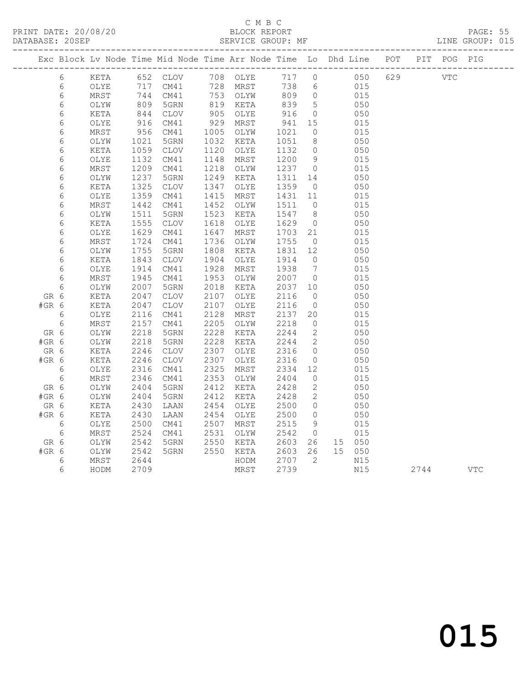# C M B C<br>BLOCK REPORT

PAGE: 55<br>LINE GROUP: 015

|               |            |              |                |                         |              |              |              |                              | Exc Block Lv Node Time Mid Node Time Arr Node Time Lo Dhd Line POT PIT POG PIG |     |            |            |
|---------------|------------|--------------|----------------|-------------------------|--------------|--------------|--------------|------------------------------|--------------------------------------------------------------------------------|-----|------------|------------|
|               |            |              |                |                         |              |              |              |                              |                                                                                |     |            |            |
|               | 6          | KETA         |                | 652 CLOV                |              | 708 OLYE     | 717          | $\circ$                      | 050                                                                            | 629 | <b>VTC</b> |            |
|               | $\epsilon$ | OLYE         | 717            | CM41                    | 728          | MRST         | 738          | $6\overline{6}$              | 015                                                                            |     |            |            |
|               | $\epsilon$ | MRST         | 744            | CM41                    |              | 753 OLYW     | 809          | $\overline{0}$               | 015                                                                            |     |            |            |
|               | $\epsilon$ | OLYW         | $844$<br>$346$ | 5GRN                    | 819          | KETA         | 839          | $5\phantom{0}$               | 050                                                                            |     |            |            |
|               | $\epsilon$ | KETA         |                | CLOV                    | 905          | OLYE         | 916          | $\overline{0}$               | 050                                                                            |     |            |            |
|               | 6          | OLYE         | 916            | CM41                    | 929          | MRST         | 941          | 15                           | 015                                                                            |     |            |            |
|               | $\epsilon$ | MRST         | 956            | CM41                    | 1005         | OLYW         | 1021         | $\circ$                      | 015                                                                            |     |            |            |
|               | $\epsilon$ | OLYW         | 1021           | 5GRN                    | 1032         | KETA         | 1051         | 8                            | 050                                                                            |     |            |            |
|               | $\epsilon$ | KETA         | 1059           | CLOV                    | 1120         | OLYE         | 1132         | $\overline{0}$               | 050                                                                            |     |            |            |
|               | $\epsilon$ | OLYE         | 1132           | CM41                    | 1148         | MRST         | 1200         | 9                            | 015                                                                            |     |            |            |
|               | 6          | MRST         | 1209           | CM41                    | 1218         | OLYW         | 1237         | $\overline{0}$               | 015                                                                            |     |            |            |
|               | $\epsilon$ | OLYW         | 1237           | 5GRN                    | 1249         | KETA         | 1311         | 14                           | 050                                                                            |     |            |            |
|               | 6          | KETA         | 1325           | $\mathtt{CLOV}$         | 1347         | OLYE         | 1359         | $\overline{0}$               | 050                                                                            |     |            |            |
|               | 6          | OLYE         | 1359           | CM41                    | 1415         | MRST         | 1431         | 11                           | 015                                                                            |     |            |            |
|               | $\epsilon$ | MRST         | 1442           | CM41                    | 1452         | OLYW         | 1511         | $\overline{0}$               | 015                                                                            |     |            |            |
|               | $\epsilon$ | OLYW         | 1511           | 5GRN                    | 1523         | KETA         | 1547         | 8 <sup>8</sup>               | 050                                                                            |     |            |            |
|               | $\epsilon$ | KETA         | 1555           | CLOV                    | 1618         | OLYE         | 1629         | $\overline{0}$               | 050                                                                            |     |            |            |
|               | $\epsilon$ | OLYE         | 1629           | CM41                    | 1647         | MRST         | 1703         | 21                           | 015                                                                            |     |            |            |
|               | $\epsilon$ | MRST         | 1724           | CM41                    | 1736         | OLYW         | 1755         | $\overline{0}$               | 015                                                                            |     |            |            |
|               | $\epsilon$ | OLYW         | 1755           | 5GRN                    | 1808         | KETA         | 1831         | 12                           | 050                                                                            |     |            |            |
|               | $\epsilon$ | KETA         | 1843           | $\mathtt{CLOV}$         | 1904<br>1928 | OLYE         | 1914         | $\overline{0}$               | 050                                                                            |     |            |            |
|               | $\epsilon$ | OLYE         | 1914           | CM41<br>CM41            | 1953         | MRST         | 1938         | $7\phantom{.0}\phantom{.0}7$ | 015<br>015                                                                     |     |            |            |
|               | 6          | MRST         | 1945           |                         |              | OLYW         | 2007         | $\overline{0}$               |                                                                                |     |            |            |
|               | 6          | OLYW         | 2007           | 5GRN                    | 2018         | KETA         | 2037         | 10<br>$\overline{0}$         | 050                                                                            |     |            |            |
| GR 6<br>#GR 6 |            | KETA<br>KETA | 2047<br>2047   | CLOV<br>$\mathtt{CLOV}$ | 2107<br>2107 | OLYE<br>OLYE | 2116<br>2116 | $\overline{0}$               | 050<br>050                                                                     |     |            |            |
|               | 6          |              | 2116           | CM41                    | 2128         | MRST         | 2137         | 20                           | 015                                                                            |     |            |            |
|               |            | OLYE<br>MRST | 2157           | CM41                    | 2205         | OLYW         | 2218         | $\overline{0}$               | 015                                                                            |     |            |            |
| GR 6          | 6          |              | 2218           | 5GRN                    | 2228         | KETA         | 2244         | 2                            | 050                                                                            |     |            |            |
| #GR 6         |            | OLYW<br>OLYW | 2218           | 5GRN                    | 2228         | KETA         | 2244         | $\overline{\phantom{a}}$     | 050                                                                            |     |            |            |
| GR 6          |            | KETA         | 2246           | CLOV                    | 2307         | OLYE         | 2316         | $\circ$                      | 050                                                                            |     |            |            |
| #GR 6         |            | KETA         | 2246           | $\mathtt{CLOV}$         | 2307         | OLYE         | 2316         | $\overline{0}$               | 050                                                                            |     |            |            |
|               | 6          | OLYE         | 2316           | CM41                    | 2325         | MRST         | 2334         | 12                           | 015                                                                            |     |            |            |
|               | $\epsilon$ | MRST         | 2346           | CM41                    | 2353         | OLYW         | 2404         | $\overline{0}$               | 015                                                                            |     |            |            |
| GR 6          |            | OLYW         | 2404           | 5GRN                    | 2412         | KETA         | 2428         | $\mathbf{2}$                 | 050                                                                            |     |            |            |
| #GR 6         |            | OLYW         | 2404           | 5GRN                    | 2412         | KETA         | 2428         | 2                            | 050                                                                            |     |            |            |
| GR 6          |            | KETA         | 2430           | LAAN                    | 2454         | OLYE         | 2500         | $\overline{0}$               | 050                                                                            |     |            |            |
| $#GR$ 6       |            | KETA         | 2430           | LAAN                    | 2454         | OLYE         | 2500         | $\overline{0}$               | 050                                                                            |     |            |            |
|               | $6\,$      | OLYE         | 2500           | CM41                    | 2507         | MRST         | 2515         | 9                            | 015                                                                            |     |            |            |
|               | $\sqrt{6}$ | MRST         | 2524           | CM41                    | 2531         | OLYW         | 2542         | $\overline{0}$               | 015                                                                            |     |            |            |
| GR 6          |            | OLYW         | 2542           | 5GRN                    | 2550         | KETA         | 2603         | 26                           | 15 050                                                                         |     |            |            |
| #GR 6         |            | OLYW         | 2542           | 5GRN                    | 2550         | KETA         | 2603         | 26                           | 15 050                                                                         |     |            |            |
|               | 6          | MRST         | 2644           |                         |              | HODM         | 2707         | $\overline{2}$               | N15                                                                            |     |            |            |
|               | 6          | HODM         | 2709           |                         |              | MRST         | 2739         |                              | N15                                                                            |     | 2744       | <b>VTC</b> |
|               |            |              |                |                         |              |              |              |                              |                                                                                |     |            |            |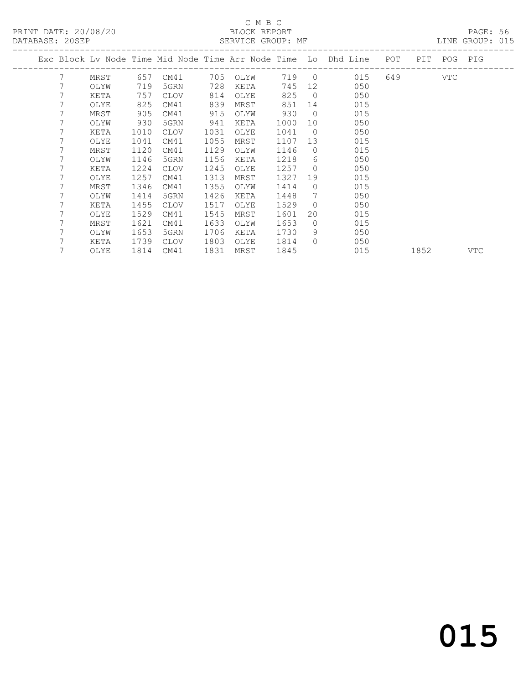# C M B C<br>BLOCK REPORT

PAGE: 56<br>LINE GROUP: 015

|   |      |      |             |      |      |       |                | Exc Block Lv Node Time Mid Node Time Arr Node Time Lo Dhd Line | POT | PIT  |     | POG PIG |
|---|------|------|-------------|------|------|-------|----------------|----------------------------------------------------------------|-----|------|-----|---------|
| 7 | MRST | 657  | CM41        | 705  | OLYW | 719 0 |                | 015                                                            | 649 |      | VTC |         |
| 7 | OLYW | 719  | 5GRN        | 728  | KETA | 745   | 12             | 050                                                            |     |      |     |         |
| 7 | KETA | 757  | CLOV        | 814  | OLYE | 825   | $\overline{0}$ | 050                                                            |     |      |     |         |
|   | OLYE | 825  | CM41        | 839  | MRST | 851   | 14             | 015                                                            |     |      |     |         |
|   | MRST | 905  | CM41        | 915  | OLYW | 930   | $\overline{0}$ | 015                                                            |     |      |     |         |
|   | OLYW | 930  | 5GRN        | 941  | KETA | 1000  | 10             | 050                                                            |     |      |     |         |
|   | KETA | 1010 | CLOV        | 1031 | OLYE | 1041  | $\overline{0}$ | 050                                                            |     |      |     |         |
|   | OLYE | 1041 | CM41        | 1055 | MRST | 1107  | 13             | 015                                                            |     |      |     |         |
| 7 | MRST | 1120 | CM41        | 1129 | OLYW | 1146  | $\Omega$       | 015                                                            |     |      |     |         |
|   | OLYW | 1146 | 5GRN        | 1156 | KETA | 1218  | 6              | 050                                                            |     |      |     |         |
|   | KETA | 1224 | <b>CLOV</b> | 1245 | OLYE | 1257  | $\Omega$       | 050                                                            |     |      |     |         |
|   | OLYE | 1257 | CM41        | 1313 | MRST | 1327  | 19             | 015                                                            |     |      |     |         |
| 7 | MRST | 1346 | CM41        | 1355 | OLYW | 1414  | $\Omega$       | 015                                                            |     |      |     |         |
| 7 | OLYW | 1414 | 5GRN        | 1426 | KETA | 1448  | 7              | 050                                                            |     |      |     |         |
| 7 | KETA | 1455 | CLOV        | 1517 | OLYE | 1529  | $\Omega$       | 050                                                            |     |      |     |         |
|   | OLYE | 1529 | CM41        | 1545 | MRST | 1601  | 20             | 015                                                            |     |      |     |         |
|   | MRST | 1621 | CM41        | 1633 | OLYW | 1653  | $\Omega$       | 015                                                            |     |      |     |         |
|   | OLYW | 1653 | 5GRN        | 1706 | KETA | 1730  | 9              | 050                                                            |     |      |     |         |
|   | KETA | 1739 | CLOV        | 1803 | OLYE | 1814  | $\Omega$       | 050                                                            |     |      |     |         |
|   | OLYE | 1814 | CM41        | 1831 | MRST | 1845  |                | 015                                                            |     | 1852 |     | VTC     |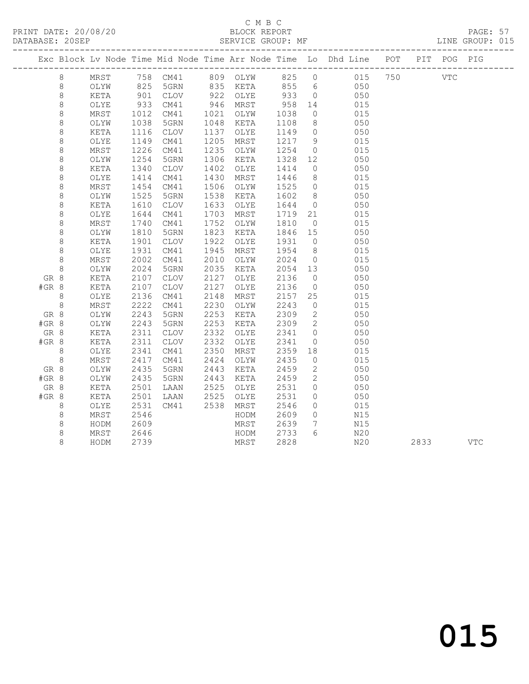### C M B C<br>BLOCK REPORT

PAGE: 57<br>LINE GROUP: 015

|         |         |              |                 |              |              |              |              |                    | Exc Block Lv Node Time Mid Node Time Arr Node Time Lo Dhd Line POT |      | PIT POG PIG |            |
|---------|---------|--------------|-----------------|--------------|--------------|--------------|--------------|--------------------|--------------------------------------------------------------------|------|-------------|------------|
|         | 8       | MRST         |                 |              |              |              |              |                    |                                                                    | VTC  |             |            |
|         | 8       | OLYW         |                 |              |              |              |              |                    | 050                                                                |      |             |            |
|         | $\,8\,$ | KETA         | 901             | CLOV         |              | 922 OLYE     | 933          | $\overline{0}$     | 050                                                                |      |             |            |
|         | $\,8\,$ | OLYE         |                 | CM41         |              | 946 MRST     | 958          | 14                 | 015                                                                |      |             |            |
|         | $\,8\,$ | MRST         | $933$<br>$1012$ | CM41         | 1021         | OLYW         | 1038         | $\overline{0}$     | 015                                                                |      |             |            |
|         | $\,8\,$ | OLYW         | 1038            | 5GRN         | 1048         | KETA         | 1108         | 8 <sup>8</sup>     | 050                                                                |      |             |            |
|         | 8       | KETA         | 1116            | CLOV         | 1137         | OLYE         | 1149         | $\overline{0}$     | 050                                                                |      |             |            |
|         | 8       | OLYE         | 1149            | CM41         | 1205         | MRST         | 1217 9       |                    | 015                                                                |      |             |            |
|         | 8       | MRST         | 1226            | CM41         | 1235         | OLYW         | 1254         | $\overline{0}$     | 015                                                                |      |             |            |
|         | $\,8\,$ | OLYW         | 1254            | 5GRN         | 1306         | KETA         | 1328         | 12                 | 050                                                                |      |             |            |
|         | $\,8\,$ | KETA         | 1340            | CLOV         | 1402         | OLYE         | 1414         | $\overline{0}$     | 050                                                                |      |             |            |
|         | $\,8\,$ | OLYE         | 1414            | CM41         | 1430         | MRST         | 1446         | 8 <sup>8</sup>     | 015                                                                |      |             |            |
|         | $\,8\,$ | MRST         | 1454            | CM41         | 1506         | OLYW         | 1525         | $\overline{0}$     | 015                                                                |      |             |            |
|         | $\,8\,$ | OLYW         | 1525            | 5GRN         | 1538         | KETA         | 1602         | 8 <sup>8</sup>     | 050                                                                |      |             |            |
|         | $\,8\,$ | KETA         | 1610            | CLOV         | 1633         | OLYE         | 1644         | $\overline{0}$     | 050                                                                |      |             |            |
|         | $\,8\,$ | OLYE         | 1644            | CM41         | 1703         | MRST         | 1719         | 21                 | 015                                                                |      |             |            |
|         | $\,8\,$ | MRST         | 1740            | CM41         | 1752         | OLYW         | 1810         | $\overline{0}$     | 015                                                                |      |             |            |
|         | $\,8\,$ | OLYW         | 1810            | 5GRN         | 1823         | KETA         | 1846         | 15                 | 050                                                                |      |             |            |
|         | 8       | KETA         | 1901            | CLOV         | 1922         | OLYE         | 1931         | $\overline{0}$     | 050                                                                |      |             |            |
|         | 8       | OLYE         | 1931            | CM41         | 1945         | MRST         | 1954         | 8 <sup>8</sup>     | 015                                                                |      |             |            |
|         | $\,8\,$ | MRST         | 2002            | CM41         | 2010         | OLYW         | 2024         | $\overline{0}$     | 015                                                                |      |             |            |
|         | 8       | OLYW         | 2024            | 5GRN         | 2035         | KETA         | 2054 13      |                    | 050                                                                |      |             |            |
| GR 8    |         | KETA         | 2107            | CLOV         | 2127         | OLYE         | 2136         | $\overline{0}$     | 050                                                                |      |             |            |
| #GR 8   |         | KETA         | 2107            | CLOV         | 2127         | OLYE         | 2136         | $\overline{0}$     | 050                                                                |      |             |            |
|         | 8       | OLYE         | 2136            | CM41         | 2148         | MRST         | 2157         | 25                 | 015                                                                |      |             |            |
|         | $\,8\,$ | MRST         | 2222            | CM41         | 2230         | OLYW         | 2243         | $\overline{0}$     | 015                                                                |      |             |            |
| GR 8    |         | OLYW         | 2243            | 5GRN         | 2253         | KETA         | 2309         | $\overline{2}$     | 050                                                                |      |             |            |
| #GR 8   |         | OLYW         | 2243            | 5GRN         | 2253         | KETA         | 2309         | $\overline{2}$     | 050                                                                |      |             |            |
| GR 8    |         | KETA         | 2311            | <b>CLOV</b>  | 2332         | OLYE         | 2341         | $\overline{0}$     | 050                                                                |      |             |            |
| #GR 8   |         | KETA         | 2311            | CLOV         | 2332         | OLYE         | 2341         | $\overline{O}$     | 050                                                                |      |             |            |
|         | $8\,$   | OLYE         | 2341            | CM41         | 2350         | MRST         | 2359         | 18                 | 015                                                                |      |             |            |
|         | 8       | MRST         | 2417            | CM41         | 2424         | OLYW         | 2435         | $\overline{0}$     | 015                                                                |      |             |            |
| GR 8    |         | OLYW         | 2435            | 5GRN         | 2443         | KETA         | 2459         | 2                  | 050                                                                |      |             |            |
| #GR 8   |         | OLYW         | 2435            | 5GRN         | 2443         | KETA         | 2459         | $\overline{2}$     | 050                                                                |      |             |            |
| GR 8    |         | KETA         | 2501            | LAAN         | 2525<br>2525 | OLYE         | 2531         | $\circ$<br>$\circ$ | 050                                                                |      |             |            |
| $#GR$ 8 |         | KETA         | 2501<br>2531    | LAAN<br>CM41 | 2538         | OLYE<br>MRST | 2531<br>2546 | $\circ$            | 050<br>015                                                         |      |             |            |
|         | 8<br>8  | OLYE<br>MRST | 2546            |              |              | HODM         | 2609         | $\overline{0}$     | N15                                                                |      |             |            |
|         | $\,8\,$ | HODM         | 2609            |              |              | MRST         | 2639         | $7\overline{ }$    | N15                                                                |      |             |            |
|         | $\,8\,$ | MRST         | 2646            |              |              | HODM         | 2733         | 6                  | N20                                                                |      |             |            |
|         | 8       | HODM         | 2739            |              |              | MRST         | 2828         |                    | N20                                                                | 2833 |             | <b>VTC</b> |
|         |         |              |                 |              |              |              |              |                    |                                                                    |      |             |            |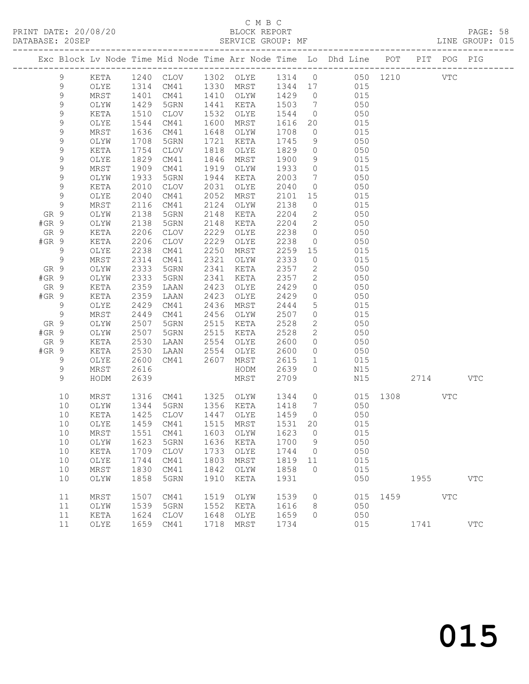# C M B C<br>BLOCK REPORT<br>SERVICE GROUP: MF

|         |                  |              |              |                                                                                |              | C M B C      |              |                 |                                              |            |      |      |            |              |  |
|---------|------------------|--------------|--------------|--------------------------------------------------------------------------------|--------------|--------------|--------------|-----------------|----------------------------------------------|------------|------|------|------------|--------------|--|
|         |                  |              |              | Exc Block Lv Node Time Mid Node Time Arr Node Time Lo Dhd Line POT PIT POG PIG |              |              |              |                 |                                              |            |      |      |            |              |  |
|         |                  |              |              |                                                                                |              |              |              |                 |                                              |            |      |      |            |              |  |
|         | 9                | KETA         |              | 1240 CLOV 1302 OLYE                                                            |              |              |              |                 | 1314 0 050 1210                              |            |      |      | <b>VTC</b> |              |  |
|         | 9                | OLYE         | 1314         | CM41                                                                           |              | 1330 MRST    |              |                 | 1344 17 015                                  |            |      |      |            |              |  |
|         | $\mathsf 9$      | MRST         | 1401         | CM41                                                                           |              | 1410 OLYW    | 1429<br>1503 |                 | $\begin{array}{c} 0 \\ 7 \end{array}$<br>015 |            |      |      |            |              |  |
|         | $\mathsf 9$      | OLYW         | 1429         | 5GRN                                                                           | 1441         | KETA         |              |                 |                                              | 050        |      |      |            |              |  |
|         | $\mathsf 9$      | KETA         | 1510         | CLOV                                                                           | 1532         | OLYE         | 1544         |                 | $0$ 050                                      |            |      |      |            |              |  |
|         | $\mathsf 9$      | OLYE         | 1544         | CM41                                                                           | 1600         | MRST         | 1616         |                 | 20                                           | 015        |      |      |            |              |  |
|         | $\mathsf 9$      | MRST         | 1636         | CM41                                                                           | 1648         | OLYW         | 1708         |                 | $\begin{array}{c} 0 \\ 9 \end{array}$<br>015 |            |      |      |            |              |  |
|         | 9                | OLYW         | 1708         | 5GRN                                                                           | 1721         | KETA         | 1745         |                 | $\overline{0}$                               | 050        |      |      |            |              |  |
|         | 9                | KETA         | 1754         | CLOV                                                                           | 1818         | OLYE         | 1829         |                 |                                              | 050        |      |      |            |              |  |
|         | 9                | OLYE         | 1829         | CM41                                                                           | 1846         | MRST         | 1900         |                 | $9 \left( \frac{1}{2} \right)$               | 015        |      |      |            |              |  |
|         | $\mathsf 9$      | MRST         | 1909         | CM41                                                                           | 1919         | OLYW         | 1933         | $\overline{0}$  | 015                                          |            |      |      |            |              |  |
|         | 9<br>$\mathsf 9$ | OLYW         | 1933         | 5GRN                                                                           | 1944         | KETA         | 2003         | $7\overline{ }$ | $\overline{0}$                               | 050<br>050 |      |      |            |              |  |
|         | 9                | KETA         | 2010         | CLOV                                                                           | 2031         | OLYE         | 2040         |                 |                                              | 015        |      |      |            |              |  |
|         | 9                | OLYE         | 2040<br>2116 | CM41                                                                           | 2052<br>2124 | MRST         | 2101         | $\circ$         | 15 and $\sim$                                |            |      |      |            |              |  |
| GR 9    |                  | MRST<br>OLYW | 2138         | CM41<br>5GRN                                                                   | 2148         | OLYW<br>KETA | 2138<br>2204 | $2^{\circ}$     | 015                                          | 050        |      |      |            |              |  |
| $#GR$ 9 |                  | OLYW         | 2138         | 5GRN                                                                           | 2148         | KETA         | 2204         |                 | $2 \qquad 050$                               |            |      |      |            |              |  |
| GR 9    |                  | KETA         | 2206         | CLOV                                                                           | 2229         | OLYE         | 2238         |                 | $\overline{0}$                               | 050        |      |      |            |              |  |
| $#GR$ 9 |                  | KETA         | 2206         | CLOV                                                                           | 2229         | OLYE         | 2238         |                 | $\overline{0}$                               | 050        |      |      |            |              |  |
|         | $\overline{9}$   | OLYE         | 2238         | CM41                                                                           | 2250         | MRST         | 2259         | 15              |                                              | 015        |      |      |            |              |  |
|         | $\mathsf 9$      | MRST         | 2314         | CM41                                                                           | 2321         | OLYW         | 2333         |                 | $\overline{0}$                               | 015        |      |      |            |              |  |
| GR 9    |                  | OLYW         | 2333         | 5GRN                                                                           | 2341         | KETA         | 2357         |                 | $\overline{2}$                               | 050        |      |      |            |              |  |
| $#GR$ 9 |                  | OLYW         | 2333         | 5GRN                                                                           | 2341         | KETA         | 2357         |                 | 2 050                                        |            |      |      |            |              |  |
| GR 9    |                  | KETA         | 2359         | LAAN                                                                           | 2423         | OLYE         | 2429         | $\overline{0}$  | 050                                          |            |      |      |            |              |  |
| #GR 9   |                  | KETA         | 2359         | LAAN                                                                           | 2423         | OLYE         | 2429         |                 | $\overline{0}$                               | 050        |      |      |            |              |  |
|         | 9                | OLYE         | 2429         | CM41                                                                           | 2436         | MRST         | 2444         |                 | $5^{\circ}$                                  | 015        |      |      |            |              |  |
|         | $\overline{9}$   | MRST         | 2449         | CM41                                                                           | 2456         | OLYW         | 2507         |                 | $\overline{0}$                               | 015        |      |      |            |              |  |
| GR 9    |                  | OLYW         | 2507         | 5GRN                                                                           | 2515         | KETA         | 2528         |                 | $\overline{2}$                               | 050        |      |      |            |              |  |
| $#GR$ 9 |                  | OLYW         | 2507         | 5GRN                                                                           | 2515         | KETA         | 2528         | $2^{\circ}$     |                                              | 050        |      |      |            |              |  |
| GR 9    |                  | KETA         | 2530         | LAAN                                                                           | 2554         | OLYE         | 2600         |                 | $\overline{0}$                               | 050        |      |      |            |              |  |
| $#GR$ 9 |                  | KETA         | 2530         | LAAN                                                                           | 2554         | OLYE         | 2600         |                 | $\overline{0}$                               | 050        |      |      |            |              |  |
|         | 9                | OLYE         | 2600         | CM41                                                                           | 2607         | MRST         | 2615         |                 | $\mathbf{1}$                                 | 015        |      |      |            |              |  |
|         | 9                | MRST         | 2616         |                                                                                |              | HODM         | 2639         | $\Omega$        |                                              | N15        |      |      |            |              |  |
|         | 9                | HODM         | 2639         |                                                                                |              | MRST         | 2709         |                 |                                              | N15        | 2714 |      |            | VTC          |  |
|         | 10               | MRST         |              | 1316 CM41 1325 OLYW                                                            |              |              |              |                 | 1344 0 015 1308                              |            |      |      | VTC        |              |  |
|         | 10               | OLYW         | 1344         | 5GRN                                                                           | 1356         | KETA         | 1418         | 7               |                                              | 050        |      |      |            |              |  |
|         | $10$             | KETA         | 1425         | $\mathtt{CLOV}$                                                                | 1447         | OLYE         | 1459         | 0               |                                              | 050        |      |      |            |              |  |
|         | 10               | OLYE         | 1459         | CM41                                                                           | 1515         | MRST         | 1531         | 20              |                                              | 015        |      |      |            |              |  |
|         | 10               | MRST         | 1551         | CM41                                                                           | 1603         | OLYW         | 1623         | 0               |                                              | 015        |      |      |            |              |  |
|         | 10               | OLYW         | 1623         | 5GRN                                                                           | 1636         | KETA         | 1700         | 9               |                                              | 050        |      |      |            |              |  |
|         | 10               | KETA         | 1709         | $\mathtt{CLOV}$                                                                | 1733         | OLYE         | 1744         | 0               |                                              | 050        |      |      |            |              |  |
|         | 10               | OLYE         | 1744         | CM41                                                                           | 1803         | MRST         | 1819         | 11              |                                              | 015        |      |      |            |              |  |
|         | 10               | MRST         | 1830         | CM41                                                                           | 1842         | OLYW         | 1858         | $\circ$         |                                              | 015        |      |      |            |              |  |
|         | $10$             | OLYW         | 1858         | 5GRN                                                                           | 1910         | KETA         | 1931         |                 |                                              | 050        |      | 1955 |            | $_{\rm VTC}$ |  |
|         |                  | MRST         |              | CM41                                                                           | 1519         |              | 1539         |                 |                                              | 015        | 1459 |      | <b>VTC</b> |              |  |
|         | 11<br>11         | OLYW         | 1507<br>1539 | 5GRN                                                                           | 1552         | OLYW<br>KETA | 1616         | 0<br>8          |                                              | 050        |      |      |            |              |  |
|         | 11               | KETA         | 1624         | <b>CLOV</b>                                                                    | 1648         | OLYE         | 1659         | 0               |                                              | 050        |      |      |            |              |  |
|         |                  |              |              |                                                                                |              |              |              |                 |                                              |            |      |      |            |              |  |

11 OLYE 1659 CM41 1718 MRST 1734 015 1741 VTC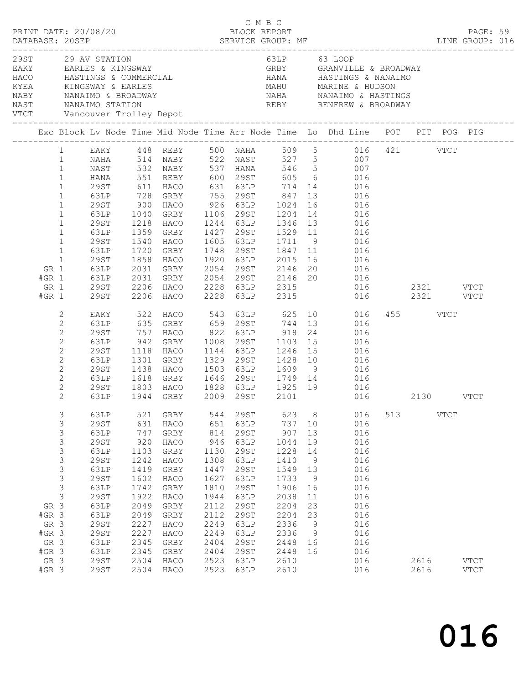|      |                                                                        | PRINT DATE: 20/08/20                                                                                                                                                                                                         |                                                                                                                                                                                        |                                                                                                                                          |                                                                                                                                                                      |                                                                                                                                          |                                                                                                                                                                                               | C M B C<br>BLOCK REPORT                                                                                                                                       |                                                                                         |                                                                                                                                                                                                                                                             |               |              |             | PAGE: 59                     |  |
|------|------------------------------------------------------------------------|------------------------------------------------------------------------------------------------------------------------------------------------------------------------------------------------------------------------------|----------------------------------------------------------------------------------------------------------------------------------------------------------------------------------------|------------------------------------------------------------------------------------------------------------------------------------------|----------------------------------------------------------------------------------------------------------------------------------------------------------------------|------------------------------------------------------------------------------------------------------------------------------------------|-----------------------------------------------------------------------------------------------------------------------------------------------------------------------------------------------|---------------------------------------------------------------------------------------------------------------------------------------------------------------|-----------------------------------------------------------------------------------------|-------------------------------------------------------------------------------------------------------------------------------------------------------------------------------------------------------------------------------------------------------------|---------------|--------------|-------------|------------------------------|--|
| VTCT |                                                                        |                                                                                                                                                                                                                              | 29ST 29 AV STATION                                                                                                                                                                     |                                                                                                                                          | EAKY EARLES & KINGSWAY<br>Vancouver Trolley Depot<br>----------------------------                                                                                    |                                                                                                                                          |                                                                                                                                                                                               | 63LP 63 LOOP                                                                                                                                                  |                                                                                         | GRBY GRANVILLE & BROADWAY<br>MARINGS & COMMERCIAL MANA HASTINGS & NANAIMO (NASTINGS & NANAIMO KYEA KINGSWAY & EARLES (NASTINGS ARABINGS & NANAIMO (NASTINGS ARABINGS ARABINGS ARABINGS ARABINGS ARABINGS ARABINGS ANANAIMO (NASTINGS ARABINGS ARABINGS ARAB |               |              |             |                              |  |
|      |                                                                        |                                                                                                                                                                                                                              |                                                                                                                                                                                        |                                                                                                                                          |                                                                                                                                                                      |                                                                                                                                          |                                                                                                                                                                                               |                                                                                                                                                               |                                                                                         | Exc Block Lv Node Time Mid Node Time Arr Node Time Lo Dhd Line POT PIT POG PIG                                                                                                                                                                              |               |              |             |                              |  |
|      | GR 1<br>$#GR$ 1<br>GR 1<br>$#GR$ 1                                     | $\mathbf{1}$<br>$\mathbf{1}$<br>$\mathbf{1}$<br>$\mathbf{1}$<br>$\mathbf{1}$<br>$\mathbf{1}$<br>$\mathbf{1}$<br>$\mathbf{1}$<br>$\mathbf{1}$<br>$\mathbf{1}$<br>$\mathbf{1}$<br>$\mathbf{1}$<br>$\mathbf{1}$<br>29ST<br>29ST | NAST<br><b>HANA</b><br>29ST<br>63LP<br>29ST<br>63LP<br>29ST<br>63LP<br>29ST<br>63LP<br>29ST<br>63LP<br>63LP                                                                            | 551<br>611<br>728<br>900<br>1040<br>1218<br>1359<br>1540<br>1720<br>1858<br>2031<br>2031                                                 | REBY 600 29ST<br>HACO<br>GRBY<br>HACO<br>GRBY<br>HACO<br>GRBY<br>HACO<br>GRBY<br>HACO<br>GRBY<br>GRBY<br>2206 HACO 2228 63LP 2315<br>2206 HACO 2228 63LP 2315        |                                                                                                                                          |                                                                                                                                                                                               | 631 63LP 714<br>1106 29ST 1204<br>1244 63LP 1346 13<br>1748 29ST 1847 11<br>1920 63LP 2015<br>2054 29ST 2146 20<br>2054 29ST 2146 20<br>2054 29ST 2146 20     | 13<br>16                                                                                | EAKY 448 REBY 500 NAHA 509 5 016 421 VTCT<br>1 12 13 14 NABY 522 NAST 527 5<br>1971 - 132 NABY 537 HANA 546 5<br>605 6 016<br>14 016<br>016<br>016<br>14 016<br>016<br>016<br>016<br>016<br>16 016<br>20 016<br>016<br>016                                  | 016 2321 VTCT |              | 2321 VTCT   |                              |  |
|      |                                                                        | 2<br>$\mathbf{2}$<br>$\mathbf{2}$<br>$\mathbf{2}$<br>$\mathbf{2}$<br>$\mathbf{2}$<br>$\mathbf{2}$<br>$\mathbf{2}$<br>$\mathbf{2}$<br>2                                                                                       | EAKY<br>63LP<br>29ST<br>63LP<br>29ST<br>63LP<br>29ST<br>63LP<br>29ST<br>63LP                                                                                                           | 757<br>942<br>1118<br>1301<br>1438<br>1618                                                                                               | 522 HACO<br>635 GRBY<br>HACO<br>GRBY<br>HACO<br>GRBY<br>HACO<br>GRBY<br>1803 HACO<br>1944 GRBY<br>HACO                                                               | 1329<br>1503                                                                                                                             | 1144 63LP<br>29ST                                                                                                                                                                             | $659$ $29ST$ $744$ $13$<br>822 63LP 918<br>1008 29ST 1103 15<br>1246 15<br>1428 10<br>63LP 1609 9<br>1646 29ST 1749 14<br>1828 63LP 1925 19<br>2009 29ST 2101 | 24                                                                                      | HACO 543 63LP 625 10 016<br>016<br>016<br>016<br>016<br>016<br>016<br>016<br>016<br>016                                                                                                                                                                     |               | 455 VTCT     | 2130 VTCT   |                              |  |
|      | GR 3<br>$#GR$ 3<br>GR 3<br>#GR 3<br>GR 3<br>$#GR$ 3<br>GR 3<br>$#GR$ 3 | 3<br>3<br>3<br>3<br>3<br>$\mathsf S$<br>3<br>3<br>$\mathfrak{Z}$<br>$\mathsf S$                                                                                                                                              | 63LP<br>29ST<br>63LP<br><b>29ST</b><br>63LP<br>29ST<br>63LP<br>29ST<br>63LP<br><b>29ST</b><br>63LP<br>63LP<br><b>29ST</b><br><b>29ST</b><br>63LP<br>63LP<br><b>29ST</b><br><b>29ST</b> | 521<br>631<br>747<br>920<br>1103<br>1242<br>1419<br>1602<br>1742<br>1922<br>2049<br>2049<br>2227<br>2227<br>2345<br>2345<br>2504<br>2504 | GRBY<br>HACO<br>GRBY<br>HACO<br>GRBY<br>HACO<br>GRBY<br>HACO<br>GRBY<br>HACO<br>GRBY<br>${\tt GRBY}$<br>HACO<br>HACO<br>${\tt GRBY}$<br>${\tt GRBY}$<br>HACO<br>HACO | 544<br>651<br>814<br>946<br>1130<br>1308<br>1447<br>1627<br>1810<br>1944<br>2112<br>2112<br>2249<br>2249<br>2404<br>2404<br>2523<br>2523 | 29ST<br>63LP<br><b>29ST</b><br>63LP<br><b>29ST</b><br>63LP<br><b>29ST</b><br>63LP<br><b>29ST</b><br>63LP<br><b>29ST</b><br><b>29ST</b><br>63LP<br>63LP<br>29ST<br><b>29ST</b><br>63LP<br>63LP | 623<br>737<br>907<br>1044<br>1228<br>1410<br>1549<br>1733<br>1906<br>2038<br>2204<br>2204<br>2336<br>2336<br>2448<br>2448<br>2610<br>2610                     | 8<br>10<br>13<br>19<br>14<br>9<br>13<br>9<br>16<br>11<br>23<br>23<br>9<br>9<br>16<br>16 | 016<br>016<br>016<br>016<br>016<br>016<br>016<br>016<br>016<br>016<br>016<br>016<br>016<br>016<br>016<br>016<br>016<br>016                                                                                                                                  | 513           | 2616<br>2616 | <b>VTCT</b> | <b>VTCT</b><br>$_{\rm VTCT}$ |  |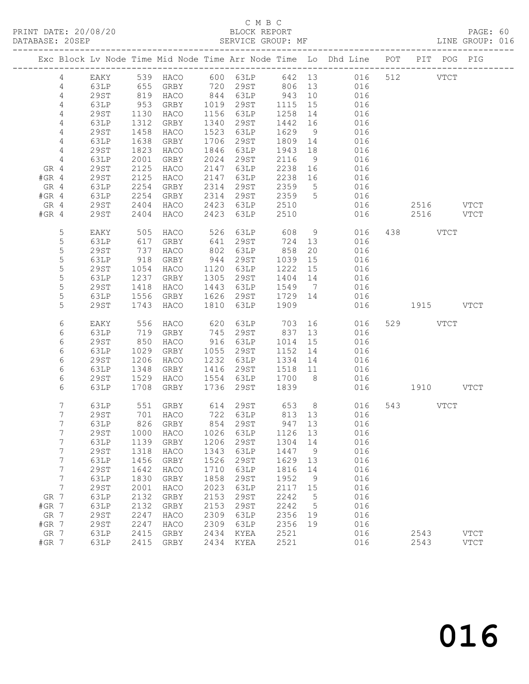# C M B C<br>BLOCK REPORT

PAGE: 60<br>LINE GROUP: 016

|         |                |             |       |                                  |      |             |         |                 | Exc Block Lv Node Time Mid Node Time Arr Node Time Lo Dhd Line POT PIT POG PIG |           |               |             |
|---------|----------------|-------------|-------|----------------------------------|------|-------------|---------|-----------------|--------------------------------------------------------------------------------|-----------|---------------|-------------|
|         | $\overline{4}$ | EAKY        |       |                                  |      |             |         |                 | 539 HACO 600 63LP 642 13 016                                                   | 512       | $_{\rm VTCT}$ |             |
|         | $\overline{4}$ | 63LP        | 655   | GRBY                             |      | 720 29ST    | 806 13  |                 | 016                                                                            |           |               |             |
|         | 4              | <b>29ST</b> | $819$ | HACO                             |      | 844 63LP    | 943     | 10              | 016                                                                            |           |               |             |
|         | 4              | 63LP        | 953   | GRBY                             | 1019 | 29ST        | 1115    | 15              | 016                                                                            |           |               |             |
|         | 4              | 29ST        | 1130  | HACO                             | 1156 | 63LP        | 1258    | 14              | 016                                                                            |           |               |             |
|         | 4              | 63LP        | 1312  | GRBY                             | 1340 | 29ST        | 1442    | 16              | 016                                                                            |           |               |             |
|         | 4              | <b>29ST</b> | 1458  | HACO                             | 1523 | 63LP        | 1629    | 9               | 016                                                                            |           |               |             |
|         | 4              | 63LP        | 1638  | GRBY                             | 1706 | 29ST        | 1809    | 14              | 016                                                                            |           |               |             |
|         | 4              | <b>29ST</b> | 1823  | HACO                             | 1846 | 63LP        | 1943    | 18              | 016                                                                            |           |               |             |
|         | $\overline{4}$ | 63LP        | 2001  | GRBY                             | 2024 | 29ST        | 2116    | 9               | 016                                                                            |           |               |             |
| GR 4    |                | 29ST        | 2125  | HACO                             | 2147 | 63LP        | 2238    | 16              | 016                                                                            |           |               |             |
| $#GR$ 4 |                | 29ST        | 2125  | HACO                             | 2147 | 63LP        | 2238    | 16              | 016                                                                            |           |               |             |
| GR 4    |                | 63LP        | 2254  | GRBY                             | 2314 | 29ST        | 2359    | $5\overline{)}$ | 016                                                                            |           |               |             |
| $#GR$ 4 |                | 63LP        | 2254  | GRBY                             | 2314 | 29ST        | 2359    | 5               | 016                                                                            |           |               |             |
| GR 4    |                | 29ST        | 2404  | HACO                             | 2423 | 63LP        | 2510    |                 | 016                                                                            | 2516      |               | VTCT        |
| $#GR$ 4 |                | 29ST        | 2404  | HACO                             | 2423 | 63LP        | 2510    |                 | 016                                                                            | 2516      | <b>VTCT</b>   |             |
|         |                |             |       |                                  |      |             |         |                 |                                                                                |           |               |             |
|         | 5              | EAKY        | 505   | HACO                             | 526  | 63LP        | 608     | 9               | 016                                                                            | 438 VTCT  |               |             |
|         | $\mathsf S$    | 63LP        | 617   | GRBY                             | 641  | 29ST        | 724     | 13              | 016                                                                            |           |               |             |
|         | 5              | <b>29ST</b> | 737   | HACO                             | 802  | 63LP        | 858     | 20              | 016                                                                            |           |               |             |
|         | 5              | 63LP        | 918   | GRBY                             | 944  | 29ST        | 1039    | 15              | 016                                                                            |           |               |             |
|         | 5              | <b>29ST</b> | 1054  | HACO                             | 1120 | 63LP        | 1222    | 15              | 016                                                                            |           |               |             |
|         | 5              | 63LP        | 1237  | GRBY                             | 1305 | 29ST        | 1404 14 |                 | 016                                                                            |           |               |             |
|         | $\mathsf S$    | <b>29ST</b> | 1418  | HACO                             | 1443 | 63LP        | 1549    | $\overline{7}$  | 016                                                                            |           |               |             |
|         | 5              | 63LP        | 1556  | GRBY                             | 1626 | 29ST        | 1729 14 |                 | 016                                                                            |           |               |             |
|         | 5              | 29ST        | 1743  | HACO                             | 1810 | 63LP        | 1909    |                 | 016                                                                            | 1915 VTCT |               |             |
|         |                |             |       |                                  |      |             |         |                 |                                                                                |           |               |             |
|         | 6              | EAKY        | 556   | HACO                             | 620  | 63LP        | 703     |                 | 016                                                                            | 529 VTCT  |               |             |
|         | 6              | 63LP        | 719   | GRBY                             | 745  | 29ST        | 837     | 13              | 016                                                                            |           |               |             |
|         | 6              | 29ST        | 850   | HACO                             | 916  | 63LP        | 1014    | 15              | 016                                                                            |           |               |             |
|         | 6              | 63LP        | 1029  | GRBY                             | 1055 | 29ST        | 1152    | 14              | 016                                                                            |           |               |             |
|         | 6              | 29ST        | 1206  | HACO                             | 1232 | 63LP        | 1334    | 14              | 016                                                                            |           |               |             |
|         | 6              | 63LP        | 1348  | GRBY                             | 1416 | 29ST        | 1518 11 |                 | 016                                                                            |           |               |             |
|         | 6              | 29ST        | 1529  | HACO                             | 1554 | 63LP        | 1700    | 8 <sup>8</sup>  | 016                                                                            |           |               |             |
|         | 6              | 63LP        | 1708  | GRBY                             | 1736 | 29ST        | 1839    |                 | 016                                                                            | 1910 VTCT |               |             |
|         |                |             |       |                                  |      |             |         |                 |                                                                                |           |               |             |
|         | 7              | 63LP        | 551   | GRBY                             |      | 614 29ST    | 653     |                 | 8<br>016                                                                       | 543 VTCT  |               |             |
|         | 7              | 29ST        | 701   | HACO                             |      | 722 63LP    | 813 13  |                 | 016                                                                            |           |               |             |
|         | 7              | 63LP        |       | 826 GRBY                         |      | 854 29ST    | 947 13  |                 | 016                                                                            |           |               |             |
|         | $\overline{7}$ |             |       | 29ST 1000 HACO 1026 63LP 1126 13 |      |             |         |                 | 016                                                                            |           |               |             |
|         | 7              | 63LP        | 1139  | <b>GRBY</b>                      | 1206 | 29ST        | 1304    | 14              | 016                                                                            |           |               |             |
|         | 7              | 29ST        | 1318  | HACO                             | 1343 | 63LP        | 1447    | 9               | 016                                                                            |           |               |             |
|         | 7              | 63LP        | 1456  | GRBY                             | 1526 | <b>29ST</b> | 1629    | 13              | 016                                                                            |           |               |             |
|         | 7              | <b>29ST</b> | 1642  | HACO                             | 1710 | 63LP        | 1816    | 14              | 016                                                                            |           |               |             |
|         | 7              | 63LP        | 1830  | GRBY                             | 1858 | <b>29ST</b> | 1952    | 9               | 016                                                                            |           |               |             |
|         | 7              | <b>29ST</b> | 2001  | HACO                             | 2023 | 63LP        | 2117    | 15              | 016                                                                            |           |               |             |
| GR 7    |                | 63LP        | 2132  | GRBY                             | 2153 | <b>29ST</b> | 2242    | 5               | 016                                                                            |           |               |             |
| $#GR$ 7 |                | 63LP        | 2132  | GRBY                             | 2153 | <b>29ST</b> | 2242    | 5               | 016                                                                            |           |               |             |
| GR 7    |                | <b>29ST</b> | 2247  | HACO                             | 2309 | 63LP        | 2356    | 19              | 016                                                                            |           |               |             |
| #GR 7   |                | 29ST        | 2247  | HACO                             | 2309 | 63LP        | 2356    | 19              | 016                                                                            |           |               |             |
| GR 7    |                | 63LP        | 2415  | GRBY                             | 2434 | KYEA        | 2521    |                 | 016                                                                            | 2543      |               | <b>VTCT</b> |
| #GR 7   |                | 63LP        | 2415  | GRBY                             | 2434 | KYEA        | 2521    |                 | 016                                                                            | 2543      |               | <b>VTCT</b> |
|         |                |             |       |                                  |      |             |         |                 |                                                                                |           |               |             |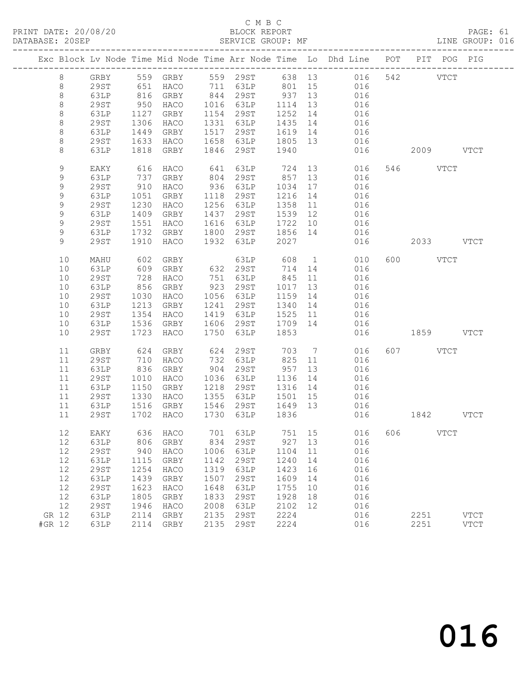### C M B C<br>BLOCK REPORT

PAGE: 61<br>LINE GROUP: 016

|             |             |      |                          |      |                                                     |         |    | Exc Block Lv Node Time Mid Node Time Arr Node Time Lo Dhd Line POT PIT POG PIG |             |           |             |
|-------------|-------------|------|--------------------------|------|-----------------------------------------------------|---------|----|--------------------------------------------------------------------------------|-------------|-----------|-------------|
| 8           |             |      |                          |      |                                                     |         |    | GRBY 559 GRBY 559 29ST 638 13 016 542 VTCT                                     |             |           |             |
| 8           | 29ST        |      | 651 HACO 711 63LP 801 15 |      |                                                     |         |    | 016                                                                            |             |           |             |
| $\,8\,$     | 63LP        | 816  | GRBY                     |      | 844 29ST                                            | 937 13  |    | 016                                                                            |             |           |             |
| $\,8\,$     | 29ST        | 950  | HACO                     |      | 1016 63LP                                           | 1114    | 13 | 016                                                                            |             |           |             |
| $\,8\,$     | 63LP        | 1127 | GRBY                     |      | 1154 29ST                                           | 1252 14 |    | 016                                                                            |             |           |             |
| $\,8\,$     | 29ST        | 1306 | HACO                     |      | 1331 63LP                                           | 1435 14 |    | 016                                                                            |             |           |             |
| $\,8\,$     | 63LP        | 1449 | GRBY                     | 1517 | 29ST                                                | 1619 14 |    | 016                                                                            |             |           |             |
| $\,8\,$     | 29ST        | 1633 | HACO                     |      | 1658 63LP                                           | 1805 13 |    | 016                                                                            |             |           |             |
| $\,8\,$     | 63LP        | 1818 | GRBY                     |      | 1846 29ST                                           | 1940    |    | 016                                                                            |             | 2009 VTCT |             |
| $\mathsf 9$ | EAKY        |      | 616 HACO                 | 641  | 63LP 724 13                                         |         |    | 016                                                                            |             | 546 VTCT  |             |
| 9           | 63LP        | 737  | GRBY                     | 804  | 29ST                                                | 857     | 13 | 016                                                                            |             |           |             |
| 9           | 29ST        | 910  | HACO                     |      | 936 63LP                                            | 1034 17 |    | 010                                                                            |             |           |             |
| $\mathsf 9$ | 63LP        | 1051 | GRBY                     | 1118 | 29ST                                                | 1216    | 14 |                                                                                |             |           |             |
| $\mathsf 9$ | 29ST        | 1230 | HACO                     |      | 1256 63LP                                           | 1358 11 |    | 016                                                                            |             |           |             |
| 9           | 63LP        | 1409 | GRBY                     | 1437 | 29ST                                                | 1539 12 |    | 016                                                                            |             |           |             |
| 9           | 29ST        | 1551 | HACO                     |      | 1616 63LP<br>1616 63LP 1722 10<br>1800 29ST 1856 14 | 1722 10 |    | 016                                                                            |             |           |             |
| 9           | 63LP        |      | 1732 GRBY                |      |                                                     |         |    | 016                                                                            |             |           |             |
| 9           | 29ST        |      | 1910 HACO                | 1932 | 63LP                                                | 2027    |    | 016                                                                            |             | 2033 VTCT |             |
| 10          | MAHU        | 602  | GRBY                     |      |                                                     |         | 1  | 010                                                                            |             | 600 VTCT  |             |
| 10          | 63LP        | 609  | GRBY                     |      | 63LP 608<br>632 29ST 714                            | 714 14  |    | 016                                                                            |             |           |             |
| 10          | 29ST        | 728  | HACO                     |      | 751 63LP                                            | 845     | 11 | 016                                                                            |             |           |             |
| 10          | 63LP        | 856  | GRBY                     |      | 923 29ST                                            | 1017 13 |    | 016                                                                            |             |           |             |
| 10          | 29ST        | 1030 | HACO                     |      | 1056 63LP                                           | 1159 14 |    | 016                                                                            |             |           |             |
| 10          | 63LP        |      | 1213 GRBY                | 1241 | 29ST                                                | 1340 14 |    | 016                                                                            |             |           |             |
| 10          | 29ST        | 1354 | HACO                     |      | 1419 63LP                                           | 1525 11 |    | 016                                                                            |             |           |             |
| 10          | 63LP        | 1536 | GRBY                     |      | 1606 29ST 1709 14                                   |         |    | 016                                                                            |             |           |             |
| 10          | 29ST        | 1723 | HACO                     | 1750 | 63LP                                                | 1853    |    | 016                                                                            | 1859 VTCT   |           |             |
| 11          | GRBY        | 624  | GRBY                     | 624  | 29ST                                                | 703     |    | $7\overline{ }$<br>016                                                         |             | 607 VTCT  |             |
| 11          | 29ST        | 710  | HACO                     | 732  | 63LP                                                | 825 11  |    | 016                                                                            |             |           |             |
| 11          | 63LP        | 836  | GRBY                     | 904  | 29ST                                                | 957     | 13 | 016                                                                            |             |           |             |
| 11          | 29ST        | 1010 | HACO                     |      | 1036 63LP                                           | 1136    | 14 | 016                                                                            |             |           |             |
| 11          | 63LP        | 1150 | GRBY                     | 1218 | 29ST                                                | 1316 14 |    | 016                                                                            |             |           |             |
| 11          | 29ST        | 1330 | HACO                     | 1355 | 63LP 1501 15                                        |         |    | 016                                                                            |             |           |             |
| 11          | 63LP        | 1516 | GRBY                     | 1546 | 29ST 1649 13                                        |         |    | 016                                                                            |             |           |             |
| 11          | 29ST        |      | 1702 HACO                |      | 1730 63LP                                           | 1836    |    | 016                                                                            | $1842$ VTCT |           |             |
|             |             |      |                          |      |                                                     |         |    | 12 EAKY 636 HACO 701 63LP 751 15 016 606 VTCT                                  |             |           |             |
| 12          | 63LP        | 806  | GRBY                     | 834  | 29ST                                                | 927     | 13 | 016                                                                            |             |           |             |
| 12          | 29ST        | 940  | HACO                     | 1006 | 63LP                                                | 1104    | 11 | 016                                                                            |             |           |             |
| 12          | 63LP        | 1115 | GRBY                     | 1142 | 29ST                                                | 1240    | 14 | 016                                                                            |             |           |             |
| 12          | 29ST        | 1254 | HACO                     | 1319 | 63LP                                                | 1423    | 16 | 016                                                                            |             |           |             |
| 12          | 63LP        | 1439 | GRBY                     | 1507 | 29ST                                                | 1609    | 14 | 016                                                                            |             |           |             |
| 12          | <b>29ST</b> | 1623 | HACO                     | 1648 | 63LP                                                | 1755    | 10 | 016                                                                            |             |           |             |
| 12          | 63LP        | 1805 | GRBY                     | 1833 | 29ST                                                | 1928    | 18 | 016                                                                            |             |           |             |
| 12          | <b>29ST</b> | 1946 | HACO                     | 2008 | 63LP                                                | 2102    | 12 | 016                                                                            |             |           |             |
| GR 12       | 63LP        | 2114 | GRBY                     | 2135 | 29ST                                                | 2224    |    | 016                                                                            |             | 2251      | <b>VTCT</b> |
| #GR 12      | 63LP        | 2114 | GRBY                     | 2135 | 29ST                                                | 2224    |    | 016                                                                            |             | 2251      | <b>VTCT</b> |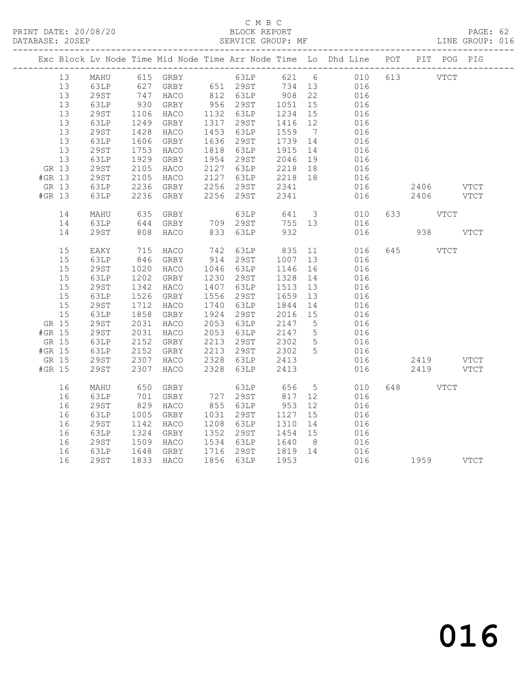## C M B C<br>BLOCK REPORT

PAGE: 62<br>LINE GROUP: 016

|        |       |             |              |           |      |                                                       |                      |                 | Exc Block Lv Node Time Mid Node Time Arr Node Time Lo Dhd Line POT PIT POG PIG |           |      |      |
|--------|-------|-------------|--------------|-----------|------|-------------------------------------------------------|----------------------|-----------------|--------------------------------------------------------------------------------|-----------|------|------|
|        | 13    |             |              |           |      |                                                       |                      |                 | MAHU 615 GRBY 63LP 621 6 010                                                   | 613 VTCT  |      |      |
|        | 13    | 63LP        |              |           |      |                                                       |                      |                 | 016                                                                            |           |      |      |
|        | 13    | 29ST        |              |           |      |                                                       |                      |                 | 016                                                                            |           |      |      |
|        | 13    | 63LP        | 930          | GRBY      |      | 956 29ST                                              | 1051                 | 15              | 016                                                                            |           |      |      |
|        | 13    | <b>29ST</b> | 1106         | HACO      |      | 1132 63LP                                             | 1234                 | 15              | 016                                                                            |           |      |      |
|        | 13    | 63LP        | 1249         | GRBY      |      | 1317 29ST                                             | 1416 12              |                 | 016                                                                            |           |      |      |
|        | 13    | 29ST        | 1428         | HACO      |      | 1453 63LP                                             | 1559                 | $7\overline{)}$ |                                                                                |           |      |      |
|        | 13    | 63LP        | 1606         | GRBY      |      | 1636 29ST                                             | 1739 14              |                 | $016$<br>$016$                                                                 |           |      |      |
|        | 13    | <b>29ST</b> | 1753         | HACO      |      | 1818 63LP                                             | 1915                 | 14              | 016                                                                            |           |      |      |
|        | 13    | 63LP        | 1929         | GRBY      |      |                                                       |                      |                 | 016                                                                            |           |      |      |
|        | GR 13 | 29ST        | 2105         | HACO      |      | 1954 29ST 2046 19<br>2127 63LP 2218 18                |                      |                 | 016                                                                            |           |      |      |
| #GR 13 |       | 29ST        | 2105         | HACO      |      |                                                       |                      |                 | 016                                                                            |           |      |      |
|        | GR 13 | 63LP        | 2236         | GRBY      |      | 2127 63LP 2218 18<br>2256 29ST 2341                   |                      |                 | 016                                                                            | 2406 VTCT |      |      |
| #GR 13 |       | 63LP        |              | 2236 GRBY |      | 2256 29ST                                             | 2341                 |                 | 016                                                                            | 2406      |      | VTCT |
|        |       |             |              |           |      |                                                       |                      |                 |                                                                                |           |      |      |
|        | 14    | MAHU        | 635          | GRBY      |      | 63LP                                                  |                      |                 | 641 3<br>010                                                                   | 633 VTCT  |      |      |
|        | 14    | 63LP        | 644          | GRBY      |      | 709 29ST                                              | 755 13               |                 | 016                                                                            |           |      |      |
|        | 14    | 29ST        | 808          | HACO      |      | 833 63LP                                              | 932                  |                 | 016                                                                            | 938 VTCT  |      |      |
|        |       |             |              |           |      |                                                       |                      |                 |                                                                                |           |      |      |
|        | 15    | EAKY        | 715          | HACO      |      | 742 63LP                                              | 835                  | 11              | 016                                                                            | 645       | VTCT |      |
|        | 15    | 63LP        | 846          | GRBY      |      | 914 29ST                                              | 1007                 | 13              | 016                                                                            |           |      |      |
|        | 15    | 29ST        | 1020         | HACO      |      | 1046 63LP                                             | 1146                 | 16              | 016                                                                            |           |      |      |
|        | 15    | 63LP        | 1202         | GRBY      |      | 1230 29ST                                             | 1328                 | 14              | 016                                                                            |           |      |      |
|        | 15    | 29ST        | 1342         | HACO      |      | 1407 63LP                                             | 1513                 | 13              | 016                                                                            |           |      |      |
|        | 15    | 63LP        | 1526         | GRBY      |      | 1556 29ST                                             | 1659                 | 13              | 016                                                                            |           |      |      |
|        | 15    | 29ST        | 1712         | HACO      |      | 1740 63LP                                             | 1844                 | 14              | 016                                                                            |           |      |      |
|        | 15    | 63LP        | 1858         | GRBY      |      | 1924 29ST                                             | 2016 15              |                 | 016                                                                            |           |      |      |
|        | GR 15 | <b>29ST</b> | 2031         | HACO      |      | 2053 63LP                                             | 2147                 | $5\overline{)}$ | 016                                                                            |           |      |      |
| #GR 15 |       | <b>29ST</b> | 2031         | HACO      |      | 2053 63LP                                             | 2147 5               |                 | 016                                                                            |           |      |      |
| GR 15  |       | 63LP        | 2152         | GRBY      |      | 2213 29ST                                             | 2302                 | $5\overline{)}$ | 016                                                                            |           |      |      |
| #GR 15 |       | 63LP        |              | GRBY      |      |                                                       |                      | $5^{\circ}$     | 016                                                                            |           |      |      |
|        | GR 15 | 29ST        | 2152<br>2307 | HACO      |      | 2213    29ST         2302<br>2328    63LP        2413 |                      |                 | 016                                                                            | 2419 VTCT |      |      |
| #GR 15 |       | 29ST        | 2307         | HACO      | 2328 | 63LP                                                  | 2413                 |                 | 016                                                                            | 2419 VTCT |      |      |
|        |       |             |              |           |      |                                                       |                      |                 |                                                                                |           |      |      |
|        | 16    | MAHU        | 650          | GRBY      |      | 63LP                                                  | 656                  | $5^{\circ}$     | 010                                                                            | 648 — 100 | VTCT |      |
|        | 16    | 63LP        | 701          | GRBY      |      | 727 29ST<br>855 63LP                                  | 817                  | 12              | 016                                                                            |           |      |      |
|        | 16    | 29ST        | 829          | HACO      |      |                                                       | 953                  | 12              | 016                                                                            |           |      |      |
|        | 16    | 63LP        | 1005         | GRBY      |      | 1031 29ST                                             | 1127                 | 15              | 016                                                                            |           |      |      |
|        | 16    | 29ST        | 1142         | HACO      |      | 1208 63LP                                             | 1310                 | 14              | 016                                                                            |           |      |      |
|        | 16    | 63LP        | 1324         | GRBY      |      | 1352 29ST                                             | $\overline{1454}$ 15 |                 | 016                                                                            |           |      |      |
|        | 16    | 29ST        | 1509         | HACO      |      | 1534 63LP 1640 8<br>1716 29ST 1819 14                 |                      |                 | 016                                                                            |           |      |      |
|        | 16    | 63LP        | 1648         | GRBY      |      |                                                       |                      |                 | 016                                                                            |           |      |      |
|        | 16    | 29ST        |              | 1833 HACO |      | 1856 63LP 1953                                        |                      |                 | 016 1959 VTCT                                                                  |           |      |      |
|        |       |             |              |           |      |                                                       |                      |                 |                                                                                |           |      |      |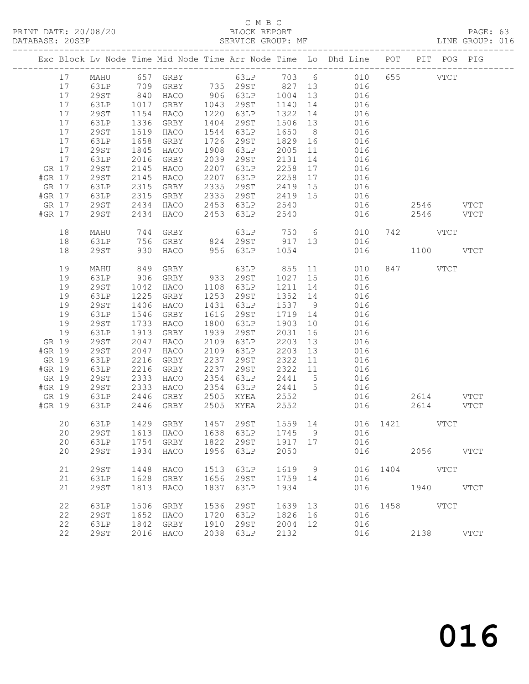# C M B C<br>BLOCK REPORT

PAGE: 63<br>LINE GROUP: 016

|        |       |             |      |                |      |           |         |    | Exc Block Lv Node Time Mid Node Time Arr Node Time Lo Dhd Line POT PIT POG PIG |     |               |             |
|--------|-------|-------------|------|----------------|------|-----------|---------|----|--------------------------------------------------------------------------------|-----|---------------|-------------|
|        | 17    | MAHU        |      |                |      |           |         |    |                                                                                |     | 655 VTCT      |             |
|        | 17    |             |      |                |      |           |         |    | 657 GRBY 63LP 703 6 010                                                        |     |               |             |
|        |       | 63LP        |      |                |      |           |         |    | 016                                                                            |     |               |             |
|        | 17    | 29ST        |      |                |      |           |         |    | 016<br>016                                                                     |     |               |             |
|        | 17    | 63LP        | 1017 | GRBY 1043 29ST |      |           | 1140 14 |    |                                                                                |     |               |             |
|        | 17    | 29ST        | 1154 | HACO           | 1220 | 63LP      | 1322    | 14 | 016                                                                            |     |               |             |
|        | 17    | 63LP        | 1336 | GRBY           |      | 1404 29ST | 1506 13 |    | 016                                                                            |     |               |             |
|        | 17    | 29ST        | 1519 | HACO           | 1544 | 63LP      | 1650 8  |    | 016                                                                            |     |               |             |
|        | 17    | 63LP        | 1658 | GRBY           |      | 1726 29ST | 1829 16 |    | 016                                                                            |     |               |             |
|        | 17    | 29ST        | 1845 | HACO           | 1908 | 63LP      | 2005    | 11 | 016                                                                            |     |               |             |
|        | 17    | 63LP        | 2016 | GRBY           | 2039 | 29ST      | 2131    | 14 | 016                                                                            |     |               |             |
|        | GR 17 | 29ST        | 2145 | HACO           | 2207 | 63LP      | 2258 17 |    | 016                                                                            |     |               |             |
| #GR 17 |       | 29ST        | 2145 | HACO           | 2207 | 63LP      | 2258 17 |    | 016                                                                            |     |               |             |
|        | GR 17 | 63LP        | 2315 | GRBY           | 2335 | 29ST      | 2419 15 |    | 016                                                                            |     |               |             |
| #GR 17 |       | 63LP        | 2315 | GRBY           | 2335 | 29ST      | 2419 15 |    | 016                                                                            |     |               |             |
|        | GR 17 | 29ST        | 2434 | HACO           |      | 2453 63LP | 2540    |    | 016                                                                            |     | 2546 VTCT     |             |
| #GR 17 |       | 29ST        | 2434 | HACO           | 2453 | 63LP      | 2540    |    | 016                                                                            |     | 2546 VTCT     |             |
|        | 18    | MAHU        | 744  |                |      |           |         |    |                                                                                |     | 010 742 VTCT  |             |
|        | 18    | 63LP        |      |                |      |           |         |    | 016                                                                            |     |               |             |
|        | 18    | 29ST        |      |                |      |           |         |    | 016                                                                            |     | 1100 VTCT     |             |
|        | 19    | MAHU        | 849  | GRBY           |      | 63LP      | 855     |    | 11 010                                                                         |     | 847 VTCT      |             |
|        | 19    | 63LP        | 906  | GRBY           |      | 933 29ST  | 1027 15 |    | 016                                                                            |     |               |             |
|        | 19    | 29ST        | 1042 | HACO           |      | 1108 63LP | 1211    | 14 | 016                                                                            |     |               |             |
|        | 19    | 63LP        | 1225 | GRBY           |      | 1253 29ST | 1352 14 |    | 016                                                                            |     |               |             |
|        | 19    | 29ST        | 1406 | HACO           | 1431 | 63LP      | 1537 9  |    | 016                                                                            |     |               |             |
|        | 19    | 63LP        | 1546 | GRBY           | 1616 | 29ST      | 1719 14 |    | 016                                                                            |     |               |             |
|        | 19    | 29ST        | 1733 | HACO           | 1800 | 63LP      | 1903 10 |    | 016                                                                            |     |               |             |
|        | 19    | 63LP        | 1913 | GRBY           | 1939 | 29ST      | 2031    | 16 | 016                                                                            |     |               |             |
| GR 19  |       | 29ST        | 2047 | HACO           | 2109 | 63LP      | 2203    | 13 | 016                                                                            |     |               |             |
| #GR 19 |       | 29ST        | 2047 | HACO           | 2109 | 63LP      | 2203    | 13 | 016                                                                            |     |               |             |
| GR 19  |       | 63LP        | 2216 | GRBY           | 2237 | 29ST      | 2322    | 11 | 016                                                                            |     |               |             |
| #GR 19 |       | 63LP        | 2216 | GRBY           | 2237 | 29ST      | 2322 11 |    | 016                                                                            |     |               |             |
| GR 19  |       | 29ST        | 2333 | HACO           | 2354 | 63LP      | 2441 5  |    | 016                                                                            |     |               |             |
| #GR 19 |       | 29ST        | 2333 | HACO           | 2354 | 63LP      | 2441 5  |    | 016                                                                            |     |               |             |
|        | GR 19 | 63LP        | 2446 | GRBY           | 2505 | KYEA 2552 |         |    | 016                                                                            |     | 2614 VTCT     |             |
| #GR 19 |       | 63LP        | 2446 | GRBY           |      | 2505 KYEA | 2552    |    |                                                                                | 016 | 2614 VTCT     |             |
|        | 20    | 63LP        |      | 1429 GRBY      |      |           |         |    | 1457 29ST 1559 14 016 1421 VTCT                                                |     |               |             |
|        |       |             |      |                |      |           |         |    | 20  29ST  1613  HACO  1638  63LP  1745  9  016                                 |     |               |             |
|        | 20    | 63LP        | 1754 | GRBY           | 1822 | 29ST      | 1917 17 |    | 016                                                                            |     |               |             |
|        | 20    | 29ST        | 1934 | HACO           | 1956 | 63LP      | 2050    |    | 016                                                                            |     | 2056 VTCT     |             |
|        | 21    | <b>29ST</b> | 1448 | HACO           | 1513 | 63LP      |         |    |                                                                                |     | 016 1404 VTCT |             |
|        |       |             |      |                |      |           | 1619    | 9  |                                                                                |     |               |             |
|        | 21    | 63LP        | 1628 | GRBY           | 1656 | 29ST      | 1759 14 |    | 016                                                                            |     |               |             |
|        | 21    | 29ST        | 1813 | HACO           | 1837 | 63LP      | 1934    |    | 016                                                                            |     | 1940 VTCT     |             |
|        | 22    | 63LP        | 1506 | GRBY           | 1536 | 29ST      | 1639 13 |    | 016                                                                            |     | 1458 VTCT     |             |
|        | 22    | <b>29ST</b> | 1652 | HACO           | 1720 | 63LP      | 1826    | 16 | 016                                                                            |     |               |             |
|        | 22    | 63LP        | 1842 | GRBY           | 1910 | 29ST      | 2004    | 12 | 016                                                                            |     |               |             |
|        | 22    | <b>29ST</b> | 2016 | HACO           | 2038 | 63LP      | 2132    |    | 016                                                                            |     | 2138          | <b>VTCT</b> |
|        |       |             |      |                |      |           |         |    |                                                                                |     |               |             |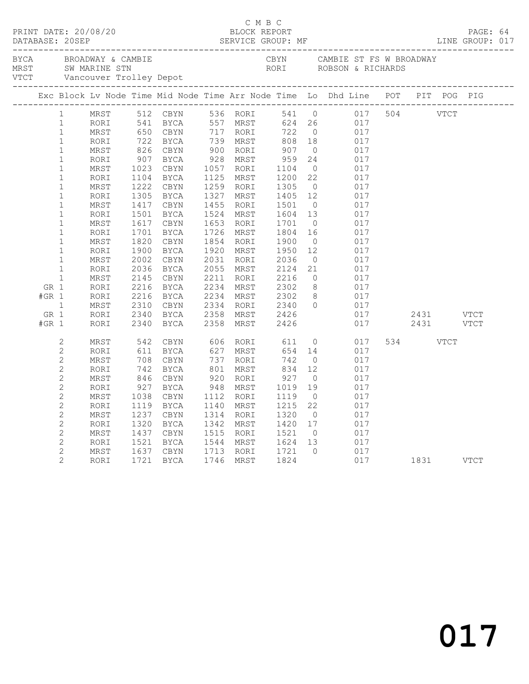|                |                |              |      |                                                                                                                                                                    |           |                                                                                              |                | PAGE: 64<br>LINE GROUP: 017                                                                                                                                                                                                                        |           |  |  |
|----------------|----------------|--------------|------|--------------------------------------------------------------------------------------------------------------------------------------------------------------------|-----------|----------------------------------------------------------------------------------------------|----------------|----------------------------------------------------------------------------------------------------------------------------------------------------------------------------------------------------------------------------------------------------|-----------|--|--|
|                |                |              |      |                                                                                                                                                                    |           |                                                                                              |                |                                                                                                                                                                                                                                                    |           |  |  |
|                |                |              |      |                                                                                                                                                                    |           |                                                                                              |                |                                                                                                                                                                                                                                                    |           |  |  |
|                | 1              |              |      | MRST 512 CBYN 536 RORI                                                                                                                                             |           |                                                                                              |                | 541 0 017 504 VTCT                                                                                                                                                                                                                                 |           |  |  |
|                | $\mathbf{1}$   | RORI         |      |                                                                                                                                                                    |           |                                                                                              |                |                                                                                                                                                                                                                                                    |           |  |  |
|                | $\mathbf{1}$   | MRST         |      |                                                                                                                                                                    |           |                                                                                              |                |                                                                                                                                                                                                                                                    |           |  |  |
|                | $\mathbf{1}$   | RORI         |      |                                                                                                                                                                    |           |                                                                                              |                | 512 CBYN 536 RORI 541 0 017<br>541 BYCA 557 MRST 624 26 017<br>650 CBYN 717 RORI 722 0 017<br>722 BYCA 739 MRST 808 18 017<br>826 CBYN 900 RORI 907 0 017<br>907 BYCA 928 MRST 959 24 017<br>1023 CBYN 1057 RORI 1104 0 017<br>1104 BYCA 1125 MRST |           |  |  |
|                | $\mathbf{1}$   | MRST         |      |                                                                                                                                                                    |           |                                                                                              |                |                                                                                                                                                                                                                                                    |           |  |  |
|                | $\mathbf{1}$   | RORI         |      |                                                                                                                                                                    |           |                                                                                              |                |                                                                                                                                                                                                                                                    |           |  |  |
|                | $\mathbf 1$    | MRST         |      |                                                                                                                                                                    |           |                                                                                              |                |                                                                                                                                                                                                                                                    |           |  |  |
|                | $\mathbf{1}$   | RORI         |      |                                                                                                                                                                    |           |                                                                                              |                |                                                                                                                                                                                                                                                    |           |  |  |
|                | $\mathbf 1$    | $\tt MRST$   |      |                                                                                                                                                                    |           |                                                                                              |                |                                                                                                                                                                                                                                                    |           |  |  |
|                | $\mathbf 1$    | RORI         |      |                                                                                                                                                                    |           |                                                                                              |                |                                                                                                                                                                                                                                                    |           |  |  |
|                | $\mathbf{1}$   | MRST         | 1417 | CBYN                                                                                                                                                               | 1455 RORI | $\begin{array}{rrrr} 1501 & 0 \\ 1501 & 0 \\ 1604 & 13 \\ 1701 & 0 \\ 1804 & 16 \end{array}$ |                | 017                                                                                                                                                                                                                                                |           |  |  |
|                | $\mathbf 1$    | RORI         | 1501 | BYCA                                                                                                                                                               | 1524 MRST |                                                                                              |                | $\frac{1}{017}$                                                                                                                                                                                                                                    |           |  |  |
|                | $\mathbf{1}$   | MRST         | 1617 | CBYN                                                                                                                                                               | 1653 RORI |                                                                                              |                | 017                                                                                                                                                                                                                                                |           |  |  |
|                | $\mathbf 1$    | RORI         | 1701 | BYCA                                                                                                                                                               | 1726 MRST |                                                                                              |                | 017                                                                                                                                                                                                                                                |           |  |  |
|                | $\mathbf{1}$   | MRST         | 1820 | CBYN                                                                                                                                                               |           |                                                                                              | $\overline{0}$ | 017                                                                                                                                                                                                                                                |           |  |  |
|                | $\mathbf{1}$   | RORI         |      | 1900 BYCA                                                                                                                                                          |           |                                                                                              | 12             | 017                                                                                                                                                                                                                                                |           |  |  |
|                | $\mathbf{1}$   | MRST         | 2002 | CBYN                                                                                                                                                               |           |                                                                                              | $\overline{0}$ | 017<br>017                                                                                                                                                                                                                                         |           |  |  |
|                | $\mathbf{1}$   | RORI         |      | 2036 BYCA                                                                                                                                                          |           | 1854 RORI 1900<br>1920 MRST 1950<br>2031 RORI 2036<br>2055 MRST 2124                         | 21             |                                                                                                                                                                                                                                                    |           |  |  |
|                | $\mathbf{1}$   | MRST         |      |                                                                                                                                                                    |           | 2211 RORI 2216<br>2234 MRST 2302                                                             |                | $\begin{array}{ccc} 0 & \quad & 017 \\ 8 & \quad & 017 \end{array}$                                                                                                                                                                                |           |  |  |
| GR 1           |                | RORI         |      |                                                                                                                                                                    |           |                                                                                              |                |                                                                                                                                                                                                                                                    |           |  |  |
| $#GR$ 1        |                | RORI         |      |                                                                                                                                                                    |           |                                                                                              |                | 2234 MRST 2302 8 017<br>2334 RORI 2340 0 017                                                                                                                                                                                                       |           |  |  |
| $\overline{1}$ |                | MRST         |      |                                                                                                                                                                    |           |                                                                                              |                |                                                                                                                                                                                                                                                    |           |  |  |
| GR 1           |                | RORI<br>RORI |      |                                                                                                                                                                    |           |                                                                                              |                |                                                                                                                                                                                                                                                    |           |  |  |
| $#GR$ 1        |                |              |      | 2030 BICA<br>2145 CBYN<br>2216 BYCA<br>2310 CBYN<br>2340 BYCA<br>2340 BYCA                                                                                         |           | 2358 MRST 2426<br>2358 MRST 2426                                                             |                |                                                                                                                                                                                                                                                    |           |  |  |
|                | 2              | MRST         | 542  |                                                                                                                                                                    |           |                                                                                              |                | CBYN 606 RORI 611 0 017                                                                                                                                                                                                                            | 534 VTCT  |  |  |
|                | $\mathbf{2}$   | RORI         |      |                                                                                                                                                                    |           |                                                                                              |                | 017                                                                                                                                                                                                                                                |           |  |  |
|                | $\mathbf{2}$   | MRST         |      | 342 USIN 606 ROKI 611 0<br>611 BYCA 627 MRST 654 14<br>708 CBYN 737 RORI 742 0<br>742 BYCA 801 MRST 834 12<br>846 CBYN 920 RORI 927 0<br>927 BYCA 948 MRST 1019 19 |           |                                                                                              |                | 017                                                                                                                                                                                                                                                |           |  |  |
|                | $\mathbf{2}$   | RORI         |      |                                                                                                                                                                    |           | $\begin{array}{r} \n 72 \\  834 \\  927 \\  1019 \\  1119\n \end{array}$                     |                | 017                                                                                                                                                                                                                                                |           |  |  |
|                | $\mathbf{2}$   | MRST         |      |                                                                                                                                                                    |           |                                                                                              |                | 017                                                                                                                                                                                                                                                |           |  |  |
|                | $\mathbf{2}$   | RORI         |      |                                                                                                                                                                    |           |                                                                                              |                | 017                                                                                                                                                                                                                                                |           |  |  |
|                | $\mathbf{2}$   | MRST         | 1038 | CBYN                                                                                                                                                               | 1112 RORI |                                                                                              | $\overline{0}$ | 017                                                                                                                                                                                                                                                |           |  |  |
|                | $\overline{c}$ | RORI         |      | 1119 BYCA                                                                                                                                                          | 1140 MRST | 1215                                                                                         | 22             | 017                                                                                                                                                                                                                                                |           |  |  |
|                | $\mathbf{2}$   | MRST         | 1237 | CBYN                                                                                                                                                               | 1314 RORI | 1320 0<br>1420 17                                                                            |                | 017                                                                                                                                                                                                                                                |           |  |  |
|                | $\mathbf{2}$   | RORI         | 1320 | BYCA                                                                                                                                                               | 1342 MRST |                                                                                              |                | 017                                                                                                                                                                                                                                                |           |  |  |
|                | $\overline{c}$ | MRST         | 1437 | CBYN                                                                                                                                                               |           | 1515 RORI 1521 0<br>1544 MRST 1624 13                                                        | $\overline{0}$ | 017                                                                                                                                                                                                                                                |           |  |  |
|                | $\mathbf{2}$   | RORI         |      | 1521 BYCA                                                                                                                                                          |           |                                                                                              |                | 017                                                                                                                                                                                                                                                |           |  |  |
|                | $\mathbf{2}$   | MRST         | 1637 | CBYN                                                                                                                                                               |           | 1713 RORI 1721 0<br>1746 MRST 1824                                                           |                | $017$<br>$017$                                                                                                                                                                                                                                     |           |  |  |
|                | $\overline{2}$ | RORI         |      | 1721 BYCA                                                                                                                                                          |           |                                                                                              |                |                                                                                                                                                                                                                                                    | 1831 VTCT |  |  |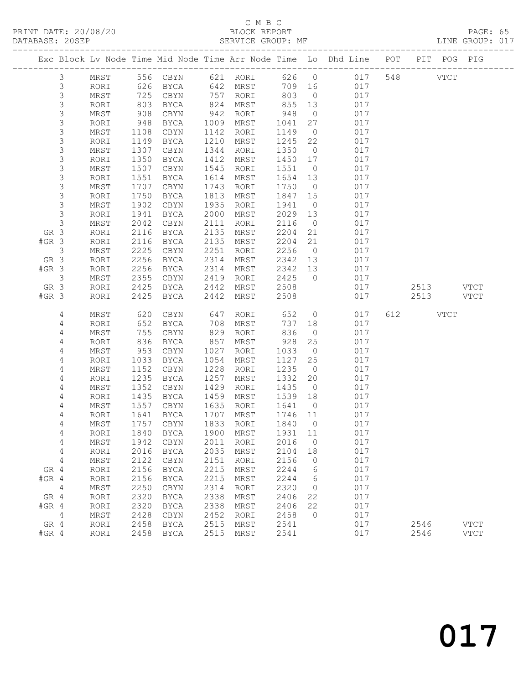# C M B C<br>BLOCK REPORT

|                        | DATABASE: 20SEP |              |                   |                            |              | SERVICE GROUP: MF    |              |                |                                                                                |          |           | LINE GROUP: 017 |  |
|------------------------|-----------------|--------------|-------------------|----------------------------|--------------|----------------------|--------------|----------------|--------------------------------------------------------------------------------|----------|-----------|-----------------|--|
|                        |                 |              |                   |                            |              |                      |              |                | Exc Block Lv Node Time Mid Node Time Arr Node Time Lo Dhd Line POT PIT POG PIG |          |           |                 |  |
|                        | 3               | MRST         |                   |                            |              |                      |              |                | 556 CBYN 621 RORI 626 0 017 548 VTCT                                           |          |           |                 |  |
|                        | 3               | RORI         | 626               |                            |              | BYCA 642 MRST        |              | 709 16         | 017                                                                            |          |           |                 |  |
|                        | 3               | MRST         | 725               | CBYN                       |              | 757 RORI             | 803          | $\overline{0}$ | 017                                                                            |          |           |                 |  |
|                        | $\mathsf S$     | RORI         | 725<br>803<br>908 | BYCA                       |              | 824 MRST<br>942 RORI | 855<br>948   | 13             | 017                                                                            |          |           |                 |  |
|                        | $\mathsf S$     | MRST         |                   | CBYN                       |              |                      |              | $\overline{0}$ | 017                                                                            |          |           |                 |  |
|                        | $\mathsf S$     | RORI         | 948               | BYCA                       |              | 1009 MRST            | 1041         | 27             | 017                                                                            |          |           |                 |  |
|                        | 3               | MRST         | 1108              | CBYN                       | 1142         | RORI                 | 1149         | $\overline{0}$ | 017                                                                            |          |           |                 |  |
|                        | $\mathsf S$     | RORI         | 1149              | BYCA                       |              | 1210 MRST            | 1245         | 22             | 017                                                                            |          |           |                 |  |
|                        | $\mathsf 3$     | MRST         | 1307              | CBYN                       | 1344         | RORI                 | 1350         | $\overline{0}$ | 017                                                                            |          |           |                 |  |
|                        | 3               | RORI         | 1350              | BYCA                       | 1412         | MRST                 | 1450 17      |                | 017                                                                            |          |           |                 |  |
|                        | 3               | MRST         | 1507              | CBYN                       | 1545         | RORI                 | 1551         | $\overline{0}$ | 017                                                                            |          |           |                 |  |
|                        | $\mathsf S$     | RORI         | 1551              | BYCA                       | 1614         | MRST                 | 1654 13      |                | 017                                                                            |          |           |                 |  |
|                        | $\mathsf 3$     | MRST         | 1707              | CBYN                       | 1743         | RORI                 | 1750         | $\overline{0}$ | 017                                                                            |          |           |                 |  |
|                        | $\mathsf 3$     | RORI         | 1750              | BYCA                       | 1813         | MRST                 | 1847 15      |                | 017                                                                            |          |           |                 |  |
|                        | $\mathsf S$     | MRST         | 1902              | CBYN                       | 1935         | RORI                 | 1941         | $\overline{0}$ | 017                                                                            |          |           |                 |  |
|                        | 3               | RORI         | 1941              | BYCA                       | 2000         | MRST                 | 2029         | 13             | 017                                                                            |          |           |                 |  |
|                        | 3               | MRST         | 2042              | CBYN                       | 2111         | RORI                 | 2116         | $\overline{0}$ | 017                                                                            |          |           |                 |  |
| GR 3                   |                 | RORI         | 2116              | BYCA                       | 2135         | MRST                 | 2204         | 21             | 017                                                                            |          |           |                 |  |
| $#GR$ 3                |                 | RORI         | 2116              | BYCA                       | 2135         | MRST                 | 2204         | 21             | 017                                                                            |          |           |                 |  |
|                        | 3               | MRST         | 2225              | CBYN                       | 2251         | RORI                 | 2256         | $\overline{0}$ | 017                                                                            |          |           |                 |  |
| GR 3<br>$#GR$ 3        |                 | RORI         | 2256              | BYCA                       | 2314         | MRST                 | 2342 13      |                | 017                                                                            |          |           |                 |  |
|                        |                 | RORI         | 2256              | BYCA                       | 2314         | MRST                 | 2342 13      |                | 017                                                                            |          |           |                 |  |
|                        | $\mathcal{E}$   | MRST         | 2355              | CBYN<br>BYCA               | 2419<br>2442 | RORI                 | 2425<br>2508 | $\overline{0}$ | 017<br>017                                                                     |          | 2513 VTCT |                 |  |
| GR 3<br>$#GR$ 3        |                 | RORI<br>RORI | 2425<br>2425      | BYCA                       | 2442         | MRST<br>MRST         | 2508         |                | 017                                                                            |          | 2513 VTCT |                 |  |
|                        |                 |              |                   |                            |              |                      |              |                |                                                                                |          |           |                 |  |
|                        | 4               | MRST         | 620               | CBYN                       | 647          | RORI                 | 652          | $\overline{0}$ | 017                                                                            | 612 VTCT |           |                 |  |
|                        | 4               | RORI         | 652               | BYCA                       | 708          | MRST                 | 737          | 18             | 017                                                                            |          |           |                 |  |
|                        | 4               | MRST         | 755               | CBYN                       |              | 829 RORI             | 836          | $\overline{0}$ | 017                                                                            |          |           |                 |  |
|                        | 4               | RORI         | 836               | BYCA                       | 857          | MRST                 | 928          | 25             | 017                                                                            |          |           |                 |  |
|                        | 4               | MRST         | 953               | CBYN                       | 1027         | RORI                 | 1033         | $\overline{0}$ | 017                                                                            |          |           |                 |  |
|                        | 4               | RORI         | 1033              | BYCA                       | 1054         | MRST                 | 1127         | 25             | 017                                                                            |          |           |                 |  |
|                        | 4               | MRST         | 1152              | CBYN                       | 1228         | RORI                 | 1235         | $\overline{0}$ | 017                                                                            |          |           |                 |  |
|                        | 4               | RORI         | 1235              | BYCA                       | 1257         | MRST                 | 1332         | 20             | 017                                                                            |          |           |                 |  |
|                        | 4               | MRST         | 1352              | CBYN                       | 1429         | RORI                 | 1435         | $\overline{0}$ | 017                                                                            |          |           |                 |  |
|                        | 4               | RORI         | 1435              | BYCA                       | 1459         | MRST                 | 1539         | 18             | 017                                                                            |          |           |                 |  |
|                        | 4               | MRST         | 1557<br>1641      | CBYN                       |              | 1635 RORI            | 1641         | $\overline{0}$ | 017                                                                            |          |           |                 |  |
|                        | 4               | RORI         |                   | BYCA                       |              | 1707 MRST            | 1746 11      |                | 017                                                                            |          |           |                 |  |
|                        | 4               |              |                   |                            |              |                      |              |                | MRST 1757 CBYN 1833 RORI 1840 0 017                                            |          |           |                 |  |
|                        | 4               | RORI         | 1840              | BYCA                       | 1900         | MRST                 | 1931         | 11             | 017                                                                            |          |           |                 |  |
|                        | 4               | MRST         | 1942              | CBYN                       | 2011         | RORI                 | 2016         | $\overline{0}$ | 017                                                                            |          |           |                 |  |
|                        | 4               | RORI         | 2016              | <b>BYCA</b>                | 2035         | MRST                 | 2104         | 18             | 017                                                                            |          |           |                 |  |
|                        | 4               | MRST         | 2122              | CBYN                       | 2151         | RORI                 | 2156         | $\overline{0}$ | 017                                                                            |          |           |                 |  |
| GR 4                   |                 | RORI         | 2156              | <b>BYCA</b>                | 2215<br>2215 | MRST                 | 2244<br>2244 | 6<br>6         | 017                                                                            |          |           |                 |  |
| $#GR$ 4                |                 | RORI         | 2156              | BYCA                       |              | MRST                 |              |                | 017                                                                            |          |           |                 |  |
| $\overline{4}$<br>GR 4 |                 | MRST         | 2250<br>2320      | CBYN                       | 2314<br>2338 | RORI                 | 2320         | $\overline{0}$ | 017<br>017                                                                     |          |           |                 |  |
| $#GR$ 4                |                 | RORI<br>RORI | 2320              | <b>BYCA</b><br><b>BYCA</b> | 2338         | MRST<br>MRST         | 2406<br>2406 | 22<br>22       | 017                                                                            |          |           |                 |  |
| $\overline{4}$         |                 |              | 2428              |                            | 2452         |                      |              | $\overline{0}$ |                                                                                |          |           |                 |  |
| GR 4                   |                 | MRST<br>RORI | 2458              | CBYN<br>BYCA               | 2515         | RORI<br>MRST         | 2458<br>2541 |                | 017<br>017                                                                     | 2546     |           | <b>VTCT</b>     |  |
| $#GR$ 4                |                 | RORI         | 2458              | BYCA                       | 2515         | MRST                 | 2541         |                | 017                                                                            | 2546     |           | <b>VTCT</b>     |  |
|                        |                 |              |                   |                            |              |                      |              |                |                                                                                |          |           |                 |  |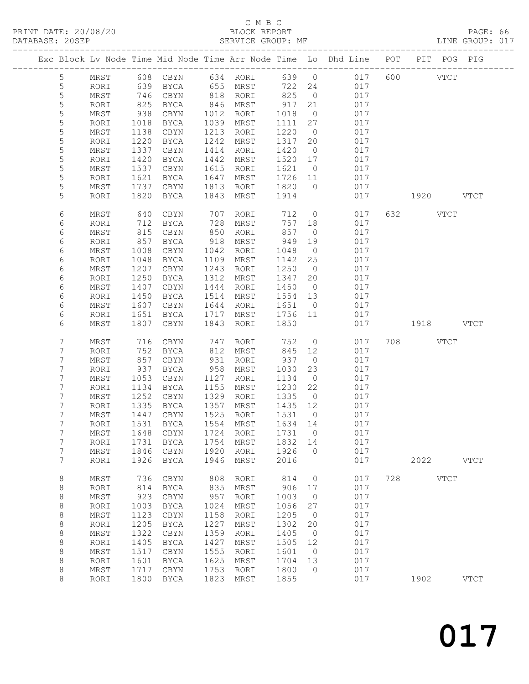#### C M B C<br>BLOCK REPORT SERVICE GROUP: MF

|  |                       |              |              |                            |              |              |              |                | Exc Block Lv Node Time Mid Node Time Arr Node Time Lo Dhd Line POT |     | PIT POG PIG            |             |
|--|-----------------------|--------------|--------------|----------------------------|--------------|--------------|--------------|----------------|--------------------------------------------------------------------|-----|------------------------|-------------|
|  | $5\phantom{.0}$       | MRST         |              | 608 CBYN                   |              | 634 RORI     | 639 0        |                | 017                                                                |     | 600 000<br><b>VTCT</b> |             |
|  | $\mathsf S$           | RORI         | $0 -$<br>746 | BYCA                       |              | 655 MRST     | 722 24       |                | 017                                                                |     |                        |             |
|  | $\mathsf S$           | MRST         |              | CBYN                       | 818          | RORI         | 825          | $\overline{0}$ | 017                                                                |     |                        |             |
|  | $\mathsf S$           | RORI         | 825          | BYCA                       | 846          | MRST         | 917          | 21             | 017                                                                |     |                        |             |
|  | 5                     | MRST         | 938          | CBYN                       | 1012         | RORI         | 1018         | $\overline{0}$ | 017                                                                |     |                        |             |
|  | $\mathsf S$           | RORI         | 1018         | BYCA                       | 1039         | MRST         | 1111         | 27             | 017                                                                |     |                        |             |
|  | $\mathsf S$           | MRST         | 1138         | CBYN                       | 1213         | RORI         | 1220         | $\overline{0}$ | 017                                                                |     |                        |             |
|  | $\mathsf S$           | RORI         | 1220         | BYCA                       | 1242         | MRST         | 1317         | 20             | 017                                                                |     |                        |             |
|  | 5                     | MRST         | 1337         | CBYN                       | 1414         | RORI         | 1420         | $\overline{0}$ | 017                                                                |     |                        |             |
|  | 5                     | RORI         | 1420         | BYCA                       | 1442         | MRST         | 1520         | 17             | 017                                                                |     |                        |             |
|  | $\mathsf S$           | MRST         | 1537         | CBYN                       | 1615         | RORI         | 1621         | $\overline{0}$ | 017                                                                |     |                        |             |
|  | 5                     | RORI         | 1621         | BYCA                       | 1647         | MRST         | 1726         | 11             | 017                                                                |     |                        |             |
|  | 5                     | MRST         | 1737         | CBYN                       | 1813         | RORI         | 1820         | $\overline{0}$ | 017                                                                |     |                        |             |
|  | 5                     | RORI         | 1820         | BYCA                       | 1843         | MRST         | 1914         |                | 017                                                                |     | 1920 VTCT              |             |
|  | 6                     | MRST         | 640          | CBYN                       | 707          | RORI         | 712          | $\overline{0}$ | 017                                                                |     | 632 VTCT               |             |
|  | 6                     | RORI         | 712          | BYCA                       | 728          | MRST         | 757          | 18             | 017                                                                |     |                        |             |
|  | 6                     | MRST         | 815          | CBYN                       | 850          | RORI         | 857          | $\overline{0}$ | 017                                                                |     |                        |             |
|  | 6                     | RORI         | 857          | BYCA                       | 918          | MRST         | 949          | 19             | 017                                                                |     |                        |             |
|  | 6                     | MRST         | 1008         | CBYN                       | 1042         | RORI         | 1048         | $\overline{0}$ | 017                                                                |     |                        |             |
|  | 6                     | RORI         | 1048         | BYCA                       | 1109         | MRST         | 1142         | 25             | 017                                                                |     |                        |             |
|  | 6                     | MRST         | 1207         | CBYN                       | 1243         | RORI         | 1250         | $\overline{0}$ | 017                                                                |     |                        |             |
|  | 6                     | RORI         | 1250         | BYCA                       | 1312         | MRST         | 1347         | 20             | 017                                                                |     |                        |             |
|  | 6                     | MRST         | 1407         | CBYN                       | 1444         | RORI         | 1450         | $\overline{0}$ | 017                                                                |     |                        |             |
|  | 6                     | RORI         | 1450         | BYCA                       | 1514         | MRST         | 1554         | 13             | 017                                                                |     |                        |             |
|  | 6                     | MRST         | 1607         | $\tt CBYN$                 | 1644         | RORI         | 1651         | $\overline{0}$ | 017                                                                |     |                        |             |
|  | 6                     | RORI         | 1651         | BYCA                       | 1717         | MRST         | 1756         | 11             | 017                                                                |     |                        |             |
|  | 6                     | MRST         | 1807         | CBYN                       | 1843         | RORI         | 1850         |                | 017                                                                |     | 1918 VTCT              |             |
|  | $\boldsymbol{7}$      | MRST         | 716          | CBYN                       | 747          | RORI         | 752          | $\overline{0}$ | 017                                                                |     | 708 VTCT               |             |
|  | 7                     | RORI         | 752          | BYCA                       | 812          | MRST         | 845          | 12             | 017                                                                |     |                        |             |
|  | 7                     | MRST         | 857          | CBYN                       | 931          | RORI         | 937          | $\overline{0}$ | 017                                                                |     |                        |             |
|  | 7                     | RORI         | 937          | BYCA                       | 958          | MRST         | 1030         | 23             | 017                                                                |     |                        |             |
|  | 7                     | MRST         | 1053         | CBYN                       | 1127         | RORI         | 1134         | $\overline{0}$ | 017                                                                |     |                        |             |
|  | 7                     | RORI         | 1134         | BYCA                       | 1155         | MRST         | 1230         | 22             | 017                                                                |     |                        |             |
|  | 7                     | MRST         | 1252         | CBYN                       | 1329         | RORI         | 1335         | $\overline{0}$ | 017                                                                |     |                        |             |
|  | 7                     | RORI         | 1335         | BYCA                       | 1357         | MRST         | 1435         | 12             | 017                                                                |     |                        |             |
|  | 7                     | MRST         | 1447         | CBYN                       | 1525         | RORI         | 1531         | $\overline{0}$ | 017                                                                |     |                        |             |
|  | 7                     | RORI         | 1531         | BYCA                       | 1554         | MRST         | 1634 14      |                | 017                                                                |     |                        |             |
|  | 7                     | MRST         |              | 1648 CBYN 1724 RORI 1731 0 |              |              |              |                | 017                                                                |     |                        |             |
|  | 7<br>$\boldsymbol{7}$ | RORI         | 1731<br>1846 | <b>BYCA</b>                | 1754         | MRST<br>RORI | 1832         | 14             | 017                                                                |     |                        |             |
|  | 7                     | MRST<br>RORI | 1926         | CBYN<br>BYCA               | 1920<br>1946 | MRST         | 1926<br>2016 | $\circ$        | 017<br>017                                                         |     | 2022                   | <b>VTCT</b> |
|  |                       |              |              |                            |              |              |              |                |                                                                    |     |                        |             |
|  | 8                     | MRST         | 736          | CBYN                       | 808          | RORI         | 814          | $\circ$        | 017                                                                | 728 | <b>VTCT</b>            |             |
|  | 8                     | RORI         | 814          | <b>BYCA</b>                | 835          | MRST         | 906          | 17             | 017                                                                |     |                        |             |
|  | 8                     | MRST         | 923          | CBYN                       | 957          | RORI         | 1003         | 0              | 017                                                                |     |                        |             |
|  | 8                     | RORI         | 1003         | BYCA                       | 1024         | MRST         | 1056         | 27             | 017                                                                |     |                        |             |
|  | 8                     | MRST         | 1123         | CBYN                       | 1158         | RORI         | 1205         | $\overline{0}$ | 017                                                                |     |                        |             |
|  | 8                     | RORI         | 1205         | <b>BYCA</b>                | 1227         | <b>MRST</b>  | 1302         | 20             | 017                                                                |     |                        |             |
|  | 8                     | MRST         | 1322         | CBYN                       | 1359         | RORI         | 1405         | 0              | 017                                                                |     |                        |             |
|  | 8                     | RORI         | 1405         | BYCA                       | 1427         | MRST         | 1505         | 12             | 017                                                                |     |                        |             |
|  | 8                     | MRST         | 1517         | CBYN                       | 1555         | RORI         | 1601         | $\overline{0}$ | 017                                                                |     |                        |             |
|  | 8                     | RORI         | 1601         | BYCA                       | 1625         | MRST         | 1704         | 13             | 017                                                                |     |                        |             |
|  | 8                     | MRST         | 1717         | CBYN                       | 1753         | RORI         | 1800         | $\Omega$       | 017                                                                |     |                        |             |
|  | 8                     | RORI         | 1800         | BYCA                       | 1823         | MRST         | 1855         |                | 017                                                                |     | 1902                   | <b>VTCT</b> |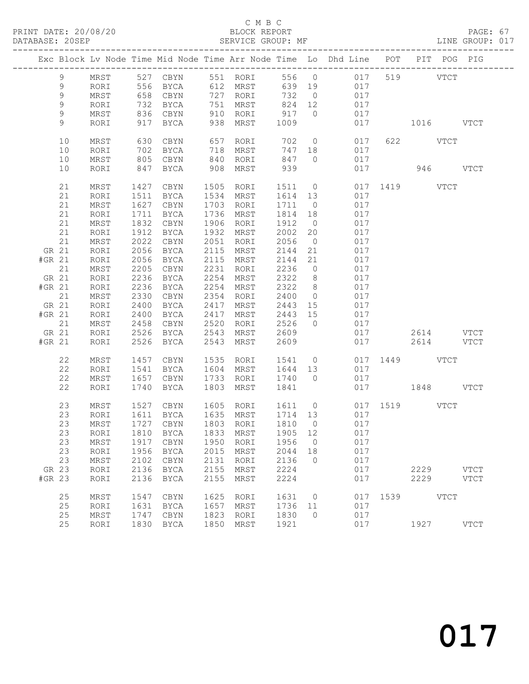#### C M B C<br>BLOCK REPORT

PAGE: 67<br>LINE GROUP: 017

|        |             |      |      |                                     |      |             |         |                          | Exc Block Lv Node Time Mid Node Time Arr Node Time Lo Dhd Line POT PIT POG PIG |      |               |             |
|--------|-------------|------|------|-------------------------------------|------|-------------|---------|--------------------------|--------------------------------------------------------------------------------|------|---------------|-------------|
|        |             |      |      |                                     |      |             |         |                          |                                                                                |      |               |             |
|        | 9           | MRST |      |                                     |      |             |         |                          |                                                                                |      |               |             |
|        | 9           | RORI |      |                                     |      |             |         |                          | 017                                                                            |      |               |             |
|        | $\mathsf 9$ | MRST |      | 658 CBYN                            |      | 727 RORI    | 732     | $\overline{0}$           |                                                                                |      |               |             |
|        | $\mathsf 9$ | RORI | 732  | BYCA                                |      | 751 MRST    | 824 12  |                          | 017                                                                            |      |               |             |
|        | 9           | MRST |      | 836 CBYN                            |      | 910 RORI    | 917     | $\bigcirc$               | 017                                                                            |      |               |             |
|        | 9           | RORI |      | 917 BYCA                            |      | 938 MRST    | 1009    |                          | 017                                                                            |      | 1016 VTCT     |             |
|        | 10          | MRST | 630  | CBYN                                |      | 657 RORI    | 702     |                          | $\overline{0}$<br>017                                                          |      | 622 VTCT      |             |
|        | 10          | RORI | 702  | BYCA                                |      | 718 MRST    | 747     | 18                       | 017                                                                            |      |               |             |
|        | 10          | MRST | 805  | CBYN                                |      | 840 RORI    | 847 0   |                          | 017                                                                            |      |               |             |
|        | 10          | RORI | 847  | BYCA                                | 908  | MRST        | 939     |                          | 017                                                                            |      | 946 VTCT      |             |
|        | 21          | MRST | 1427 | CBYN                                |      | 1505 RORI   | 1511 0  |                          |                                                                                |      | 017 1419 VTCT |             |
|        | 21          | RORI | 1511 | BYCA                                |      | 1534 MRST   | 1614 13 |                          | 017                                                                            |      |               |             |
|        | 21          | MRST | 1627 | CBYN                                |      | 1703 RORI   | 1711 0  |                          | 017                                                                            |      |               |             |
|        | 21          | RORI | 1711 | BYCA                                |      | 1736 MRST   | 1814    | 18                       | 017                                                                            |      |               |             |
|        | 21          | MRST | 1832 | CBYN                                | 1906 | RORI        | 1912    | $\overline{0}$           | 017                                                                            |      |               |             |
|        | 21          | RORI | 1912 | BYCA                                |      | 1932 MRST   | 2002    | 20                       | 017                                                                            |      |               |             |
|        | 21          | MRST | 2022 | CBYN                                |      | 2051 RORI   | 2056    | $\overline{0}$           | 017                                                                            |      |               |             |
|        | GR 21       | RORI | 2056 | BYCA                                |      | 2115 MRST   | 2144    | 21                       | 017                                                                            |      |               |             |
| #GR 21 |             | RORI | 2056 | BYCA                                |      | 2115 MRST   | 2144    | 21                       | 017                                                                            |      |               |             |
|        | 21          | MRST | 2205 | CBYN                                | 2231 | RORI        | 2236    | $\overline{0}$           | 017                                                                            |      |               |             |
| GR 21  |             | RORI | 2236 | BYCA                                |      | 2254 MRST   | 2322    | 8 <sup>8</sup>           | 017                                                                            |      |               |             |
| #GR 21 |             | RORI | 2236 | BYCA                                | 2254 | MRST        | 2322    | 8 <sup>8</sup>           | 017                                                                            |      |               |             |
|        | 21          | MRST | 2330 | CBYN                                | 2354 | RORI        | 2400    | $\overline{0}$           | 017                                                                            |      |               |             |
| GR 21  |             | RORI | 2400 | BYCA                                | 2417 | MRST        | 2443    | 15                       | 017                                                                            |      |               |             |
| #GR 21 |             | RORI | 2400 | BYCA                                | 2417 | MRST        | 2443 15 |                          | 017                                                                            |      |               |             |
|        | 21          | MRST | 2458 | CBYN                                | 2520 | RORI        | 2526    | $\overline{0}$           | 017                                                                            |      |               |             |
| GR 21  |             | RORI | 2526 | BYCA                                | 2543 | MRST        | 2609    |                          |                                                                                | 017  | 2614 VTCT     |             |
| #GR 21 |             | RORI | 2526 | BYCA                                | 2543 | MRST        | 2609    |                          |                                                                                | 017  | 2614 VTCT     |             |
|        | 22          | MRST | 1457 | CBYN                                |      | 1535 RORI   | 1541 0  |                          |                                                                                |      | 017 1449 VTCT |             |
|        | 22          | RORI | 1541 | BYCA                                |      | 1604 MRST   | 1644 13 |                          | 017                                                                            |      |               |             |
|        | 22          | MRST | 1657 | CBYN                                |      | 1733 RORI   | 1740 0  |                          | 017                                                                            |      |               |             |
|        | 22          | RORI | 1740 | BYCA                                | 1803 | MRST        | 1841    |                          |                                                                                |      | 017 1848 VTCT |             |
|        | 23          | MRST | 1527 | CBYN                                |      |             |         |                          | 1605 RORI 1611 0 017 1519 VTCT                                                 |      |               |             |
|        | 23          | RORI | 1611 | BYCA                                |      | 1635 MRST   | 1714 13 |                          | 017                                                                            |      |               |             |
|        | 23          | MRST |      | 1727 CBYN                           |      | 1803 RORI   | 1810    | $\overline{0}$           | 017                                                                            |      |               |             |
|        |             |      |      | 23 RORI 1810 BYCA 1833 MRST 1905 12 |      |             |         |                          | 017                                                                            |      |               |             |
|        | 23          | MRST | 1917 | CBYN                                | 1950 | RORI        | 1956    | $\overline{\phantom{0}}$ | 017                                                                            |      |               |             |
|        | 23          | RORI | 1956 | BYCA                                | 2015 | MRST        | 2044    | 18                       | 017                                                                            |      |               |             |
|        | 23          | MRST | 2102 | CBYN                                | 2131 | RORI        | 2136    | $\circ$                  | 017                                                                            |      |               |             |
| GR 23  |             | RORI | 2136 | BYCA                                | 2155 | MRST        | 2224    |                          | 017                                                                            |      | 2229          | <b>VTCT</b> |
| #GR 23 |             | RORI | 2136 | BYCA                                | 2155 | <b>MRST</b> | 2224    |                          | 017                                                                            |      | 2229          | <b>VTCT</b> |
|        | 25          | MRST | 1547 | CBYN                                | 1625 | RORI        | 1631    | $\overline{0}$           | 017                                                                            | 1539 | <b>VTCT</b>   |             |
|        | 25          | RORI | 1631 | BYCA                                | 1657 | MRST        | 1736    | 11                       | 017                                                                            |      |               |             |
|        | 25          | MRST | 1747 | CBYN                                | 1823 | RORI        | 1830    | $\overline{0}$           | 017                                                                            |      |               |             |
|        | 25          | RORI | 1830 | BYCA                                | 1850 | MRST        | 1921    |                          | 017                                                                            |      | 1927          | <b>VTCT</b> |
|        |             |      |      |                                     |      |             |         |                          |                                                                                |      |               |             |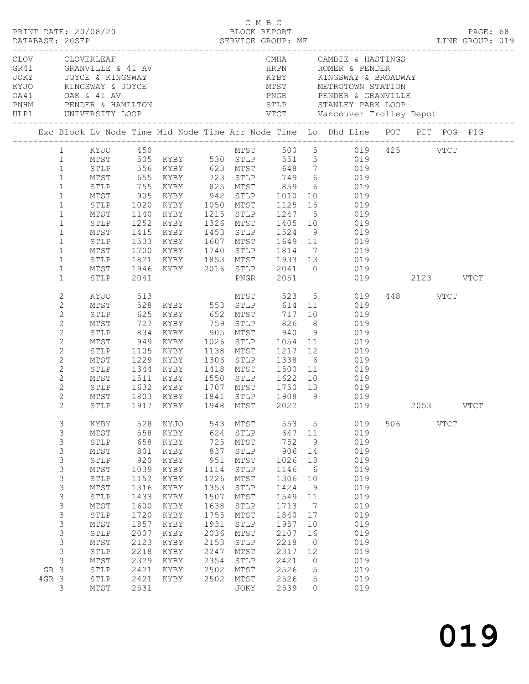|                 | PRINT DATE: 20/08/20                                                                                                                                                                                         |                                                                                                                                                                                                                       |                                                                                                                                                 |                                                                                                                                              |                                                                                                                                         | C M B C<br>BLOCK REPORT                                                                                                                                                            |                                                                                                                                                  |                                                                                                                   | LINE GROUP: 019                                                                                                                                                                                                                                                                                                                                                                                                                                                                                                                 |     |                       |             | PAGE: 68 |  |
|-----------------|--------------------------------------------------------------------------------------------------------------------------------------------------------------------------------------------------------------|-----------------------------------------------------------------------------------------------------------------------------------------------------------------------------------------------------------------------|-------------------------------------------------------------------------------------------------------------------------------------------------|----------------------------------------------------------------------------------------------------------------------------------------------|-----------------------------------------------------------------------------------------------------------------------------------------|------------------------------------------------------------------------------------------------------------------------------------------------------------------------------------|--------------------------------------------------------------------------------------------------------------------------------------------------|-------------------------------------------------------------------------------------------------------------------|---------------------------------------------------------------------------------------------------------------------------------------------------------------------------------------------------------------------------------------------------------------------------------------------------------------------------------------------------------------------------------------------------------------------------------------------------------------------------------------------------------------------------------|-----|-----------------------|-------------|----------|--|
|                 |                                                                                                                                                                                                              | OA41 OAK & 41 AV<br>PNHM PENDER & HAMILTON<br>ULP1 UNIVERSITY LOOP                                                                                                                                                    |                                                                                                                                                 | CLOV CLOVERLEAF<br>GR41 GRANVILLE & 41 AV<br>JOKY JOYCE & KINGSWAY<br>KYJO KINGSWAY & JOYCE                                                  |                                                                                                                                         |                                                                                                                                                                                    | HRPN                                                                                                                                             |                                                                                                                   | CMHA CAMBIE & HASTINGS<br>HRPN HOMER & PENDER<br>MTST METROTOWN STATION                                                                                                                                                                                                                                                                                                                                                                                                                                                         |     |                       |             |          |  |
|                 |                                                                                                                                                                                                              |                                                                                                                                                                                                                       |                                                                                                                                                 |                                                                                                                                              |                                                                                                                                         |                                                                                                                                                                                    |                                                                                                                                                  |                                                                                                                   | Exc Block Lv Node Time Mid Node Time Arr Node Time Lo Dhd Line POT PIT POG PIG                                                                                                                                                                                                                                                                                                                                                                                                                                                  |     |                       |             |          |  |
|                 | $\mathbf{1}$<br>$\mathbf{1}$<br>$\mathbf{1}$<br>$\mathbf{1}$<br>$\mathbf{1}$<br>$\mathbf{1}$<br>$\mathbf{1}$<br>$\mathbf{1}$<br>$\mathbf{1}$<br>$\mathbf{1}$<br>$\mathbf{1}$<br>$\mathbf{1}$<br>$\mathbf{1}$ | STLP<br>MTST<br>STLP<br>MTST<br>STLP<br>MTST<br>STLP<br>MTST<br>STLP<br>MTST<br>STLP                                                                                                                                  | 1020<br>2041                                                                                                                                    |                                                                                                                                              |                                                                                                                                         |                                                                                                                                                                                    |                                                                                                                                                  |                                                                                                                   | 1 KYJO 450 MTST 500 5 019 425 VTCT<br>1 MTST 505 KYBY 530 STLP 551 5 019<br>STLP 556 KYBY 623 MTST 648 7 019<br>MTST 655 KYBY 723 STLP 749 6 019<br>STLP 755 KYBY 825 MTST 859 6 019<br>905 KYBY 942 STLP 1010 10 019<br>KYBY 1050 MTST 1125 15 019<br>1140 KYBY 1215 STLP 1247 5 019<br>1252 KYBY 1326 MTST 1405 10 019<br>1415 KYBY 1453 STLP 1524 9 019<br>1533 KYBY 1607 MTST 1649 11 019<br>1700 KYBY 1740 STLP 1814 7 019<br>1821 KYBY 1853 MTST 1933 13 019<br>1946 KYBY 2016 STLP 2041 0 019<br>PNGR 2051 019 2123 VTCT |     |                       |             |          |  |
|                 |                                                                                                                                                                                                              |                                                                                                                                                                                                                       |                                                                                                                                                 |                                                                                                                                              |                                                                                                                                         |                                                                                                                                                                                    |                                                                                                                                                  |                                                                                                                   |                                                                                                                                                                                                                                                                                                                                                                                                                                                                                                                                 |     |                       |             |          |  |
|                 | $\mathbf{2}$<br>$\mathbf{2}$<br>$\overline{c}$<br>$\mathbf{2}$<br>$\mathbf{2}$<br>$\mathbf{2}$<br>$\mathbf{2}$<br>$\overline{c}$<br>$\overline{c}$<br>2<br>$\overline{2}$<br>$\overline{2}$<br>$2^{\circ}$   | KYJO<br>MTST<br>STLP<br>MTST<br>STLP<br>MTST<br>STLP<br>MTST<br>STLP<br>MTST<br>MTST                                                                                                                                  | 513                                                                                                                                             | 625 KYBY 652 MTST<br>1105 KYBY 1138 MTST 1217 12<br>STLP 1632 KYBY 1707 MTST 1750 13<br>1803 KYBY<br>STLP 1917 KYBY 1948 MTST 2022           |                                                                                                                                         | 1841 STLP                                                                                                                                                                          |                                                                                                                                                  |                                                                                                                   | MTST 523 5 019<br>717 10 019<br>019<br>1229 KYBY 1306 STLP 1338 6 019<br>1344 KYBY 1418 MTST 1500 11 019<br>1511 KYBY 1550 STLP 1622 10 019<br>019<br>019<br>1908 9 019<br>019                                                                                                                                                                                                                                                                                                                                                  |     | 448 VTCT<br>2053 VTCT |             |          |  |
| GR 3<br>$#GR$ 3 | 3<br>3<br>3<br>3<br>$\mathfrak{Z}$<br>3<br>$\mathsf S$<br>$\mathsf S$<br>3<br>3<br>$\mathsf S$<br>3<br>3<br>3<br>3<br>$\mathsf 3$<br>3                                                                       | KYBY<br>MTST<br>STLP<br>$\mathtt{MTST}$<br>STLP<br>$\mathtt{MTST}$<br>${\tt STLP}$<br>MTST<br>STLP<br>MTST<br>${\tt STLP}$<br>$\mathtt{MTST}$<br>${\tt STLP}$<br>MTST<br>${\tt STLP}$<br>MTST<br>STLP<br>STLP<br>MTST | 528<br>558<br>658<br>801<br>920<br>1039<br>1152<br>1316<br>1433<br>1600<br>1720<br>1857<br>2007<br>2123<br>2218<br>2329<br>2421<br>2421<br>2531 | KYJO<br>KYBY<br>KYBY<br>KYBY<br>KYBY<br>KYBY<br>KYBY<br>KYBY<br>KYBY<br>KYBY<br>KYBY<br>KYBY<br>KYBY<br>KYBY<br>KYBY<br>KYBY<br>KYBY<br>KYBY | 543<br>624<br>725<br>837<br>951<br>1114<br>1226<br>1353<br>1507<br>1638<br>1755<br>1931<br>2036<br>2153<br>2247<br>2354<br>2502<br>2502 | MTST<br>${\tt STLP}$<br>MTST<br>STLP<br>MTST<br>${\tt STLP}$<br>MTST<br>STLP<br>MTST<br>${\tt STLP}$<br>$MTST$<br>STLP<br>$MTST$<br>STLP<br>$MTST$<br>STLP<br>MTST<br>MTST<br>JOKY | 553<br>647<br>752<br>906<br>1026<br>1146<br>1306<br>1424<br>1549<br>1713<br>1840<br>1957<br>2107<br>2218<br>2317<br>2421<br>2526<br>2526<br>2539 | 5<br>11<br>9<br>14<br>13<br>6<br>10<br>9<br>11<br>7<br>17<br>10<br>16<br>$\circ$<br>12<br>0<br>5<br>5<br>$\Omega$ | 019<br>019<br>019<br>019<br>019<br>019<br>019<br>019<br>019<br>019<br>019<br>019<br>019<br>019<br>019<br>019<br>019<br>019<br>019                                                                                                                                                                                                                                                                                                                                                                                               | 506 |                       | <b>VTCT</b> |          |  |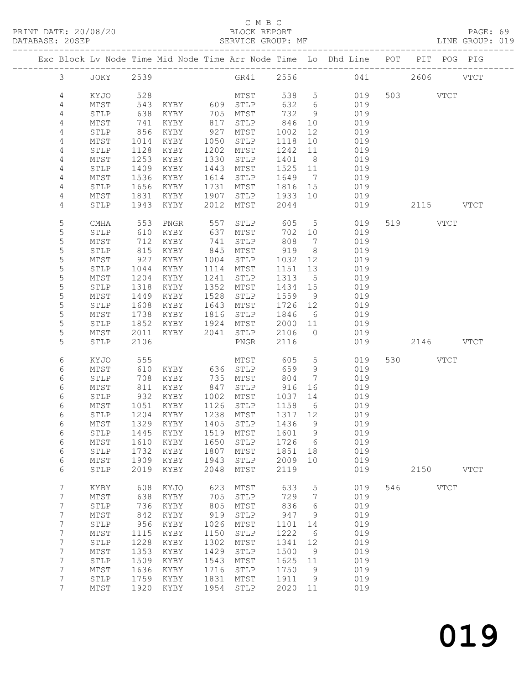#### C M B C<br>BLOCK REPORT SERVICE GROUP: MF

|                       |                         |              |               |              |                            |              |                      | Exc Block Lv Node Time Mid Node Time Arr Node Time Lo Dhd Line POT PIT POG PIG |     |               |             |
|-----------------------|-------------------------|--------------|---------------|--------------|----------------------------|--------------|----------------------|--------------------------------------------------------------------------------|-----|---------------|-------------|
| $\mathfrak{Z}$        | JOKY 2539               |              |               |              | GR41 2556                  |              |                      |                                                                                |     | 041 2606 VTCT |             |
| 4                     | KYJO                    | 528          |               |              | MTST                       | 538 5        |                      | 019                                                                            |     | 503 VTCT      |             |
| 4                     | MTST                    | 543          | KYBY 609 STLP |              |                            | 632          | $6\overline{6}$      | 019                                                                            |     |               |             |
| 4                     | STLP                    | 638          | KYBY          |              | 705 MTST                   | 732          | 9                    | 019                                                                            |     |               |             |
| $\overline{4}$        | MTST                    | 741          | KYBY          | 817          | STLP                       | 846          | 10                   | 019                                                                            |     |               |             |
| $\overline{4}$        | STLP                    | 856          | KYBY          | 927          | MTST                       | 1002         | 12                   | 019                                                                            |     |               |             |
| 4                     | MTST                    | 1014         | KYBY          | 1050         | STLP                       | 1118         | 10                   | 019                                                                            |     |               |             |
| 4<br>4                | STLP<br>MTST            | 1128<br>1253 | KYBY<br>KYBY  | 1202<br>1330 | MTST<br>STLP               | 1242<br>1401 | 11<br>8 <sup>8</sup> | 019<br>019                                                                     |     |               |             |
| 4                     | STLP                    | 1409         | KYBY          | 1443         | MTST                       | 1525 11      |                      | 019                                                                            |     |               |             |
| 4                     | MTST                    | 1536         | KYBY          | 1614         | STLP                       | 1649         | $\overline{7}$       | 019                                                                            |     |               |             |
| 4                     | STLP                    | 1656         | KYBY          | 1731         | MTST                       | 1816 15      |                      | 019                                                                            |     |               |             |
| 4                     | MTST                    | 1831         | KYBY          | 1907         | STLP                       | 1933 10      |                      | 019                                                                            |     |               |             |
| 4                     | STLP                    | 1943         | KYBY          | 2012         | MTST                       | 2044         |                      | 019                                                                            |     | 2115 VTCT     |             |
| 5                     | CMHA                    | 553          | PNGR          | 557          | STLP                       | 605          | $5\overline{)}$      | 019                                                                            |     | 519 VTCT      |             |
| 5                     | STLP                    | 610          | KYBY          | 637          | MTST                       | 702 10       |                      | 019                                                                            |     |               |             |
| 5                     | MTST                    | 712          | KYBY          | 741          | STLP                       | 808          | $\overline{7}$       | 019                                                                            |     |               |             |
| 5<br>5                | STLP<br>MTST            | 815<br>927   | KYBY          | 845<br>1004  | MTST                       | 919<br>1032  | 8 <sup>8</sup><br>12 | 019<br>019                                                                     |     |               |             |
| $\mathsf S$           | STLP                    | 1044         | KYBY<br>KYBY  | 1114         | STLP<br>MTST               | 1151         | 13                   | 019                                                                            |     |               |             |
| 5                     | MTST                    | 1204         | KYBY          | 1241         | STLP                       | 1313         | 5                    | 019                                                                            |     |               |             |
| 5                     | STLP                    | 1318         | KYBY          | 1352         | MTST                       | 1434 15      |                      | 019                                                                            |     |               |             |
| 5                     | MTST                    | 1449         | KYBY          | 1528         | STLP                       | 1559         | 9                    | 019                                                                            |     |               |             |
| $\mathsf S$           | STLP                    | 1608         | KYBY          | 1643         | MTST                       | 1726 12      |                      | 019                                                                            |     |               |             |
| 5                     | MTST                    | 1738         | KYBY          | 1816         | STLP                       | 1846         | 6                    | 019                                                                            |     |               |             |
| 5                     | STLP                    | 1852         | KYBY          | 1924         | MTST                       | 2000 11      |                      | 019                                                                            |     |               |             |
| 5                     | MTST                    | 2011         | KYBY          | 2041         | STLP                       | 2106         | $\bigcirc$           | 019                                                                            |     |               |             |
| 5                     | STLP                    | 2106         |               |              | PNGR                       | 2116         |                      | 019                                                                            |     | 2146 VTCT     |             |
| 6                     | KYJO                    | 555          |               |              | MTST                       | 605          | $5\phantom{.0}$      | 019                                                                            |     | 530 VTCT      |             |
| 6                     | MTST                    | 610          | KYBY 636      |              | STLP                       | 659          | 9                    | 019                                                                            |     |               |             |
| 6                     | STLP                    | 708          | KYBY          | 735          | MTST                       | 804          | $\overline{7}$       | 019                                                                            |     |               |             |
| 6                     | MTST                    | 811          | KYBY          | 847          | STLP                       | 916          | 16                   | 019                                                                            |     |               |             |
| 6<br>6                | STLP<br>MTST            | 932<br>1051  | KYBY<br>KYBY  | 1002<br>1126 | MTST<br>STLP               | 1037<br>1158 | 14<br>6              | 019<br>019                                                                     |     |               |             |
| 6                     | STLP                    | 1204         | KYBY          | 1238         | MTST                       | 1317 12      |                      | 019                                                                            |     |               |             |
| 6                     | MTST                    |              | 1329 KYBY     | 1405         | STLP                       | 1436         | 9                    | 019                                                                            |     |               |             |
| 6                     | ${\tt STLP}$            |              |               |              | 1445 KYBY 1519 MTST 1601 9 |              |                      | 019                                                                            |     |               |             |
| 6                     | MTST                    | 1610         | KYBY          | 1650         | STLP                       | 1726         | 6                    | 019                                                                            |     |               |             |
| 6                     | STLP                    | 1732         | KYBY          | 1807         | MTST                       | 1851         | 18                   | 019                                                                            |     |               |             |
| 6                     | MTST                    | 1909         | KYBY          | 1943         | ${\tt STLP}$               | 2009         | 10                   | 019                                                                            |     |               |             |
| 6                     | STLP                    | 2019         | KYBY          | 2048         | MTST                       | 2119         |                      | 019                                                                            |     | 2150          | <b>VTCT</b> |
| 7                     | KYBY                    | 608          | KYJO          | 623          | MTST                       | 633          | 5                    | 019                                                                            | 546 | <b>VTCT</b>   |             |
| 7                     | MTST                    | 638          | KYBY          | 705          | STLP                       | 729          | $7\phantom{.0}$      | 019                                                                            |     |               |             |
| 7                     | STLP                    | 736          | KYBY          | 805          | MTST                       | 836          | 6                    | 019                                                                            |     |               |             |
| 7                     | MTST                    | 842          | KYBY          | 919          | STLP                       | 947          | - 9                  | 019                                                                            |     |               |             |
| 7                     | STLP                    | 956          | KYBY          | 1026         | MTST                       | 1101         | 14                   | 019                                                                            |     |               |             |
| $\boldsymbol{7}$<br>7 | MTST<br>$\texttt{STLP}$ | 1115<br>1228 | KYBY<br>KYBY  | 1150<br>1302 | STLP<br>MTST               | 1222<br>1341 | 6<br>12              | 019<br>019                                                                     |     |               |             |
| 7                     | MTST                    | 1353         | KYBY          | 1429         | STLP                       | 1500         | 9                    | 019                                                                            |     |               |             |
| 7                     | STLP                    | 1509         | KYBY          | 1543         | MTST                       | 1625         | 11                   | 019                                                                            |     |               |             |
| 7                     | MTST                    | 1636         | KYBY          | 1716         | STLP                       | 1750         | 9                    | 019                                                                            |     |               |             |
| 7                     | STLP                    | 1759         | KYBY          | 1831         | MTST                       | 1911         | 9                    | 019                                                                            |     |               |             |
| $7\overline{ }$       | MTST                    | 1920         | KYBY          | 1954         | STLP                       | 2020 11      |                      | 019                                                                            |     |               |             |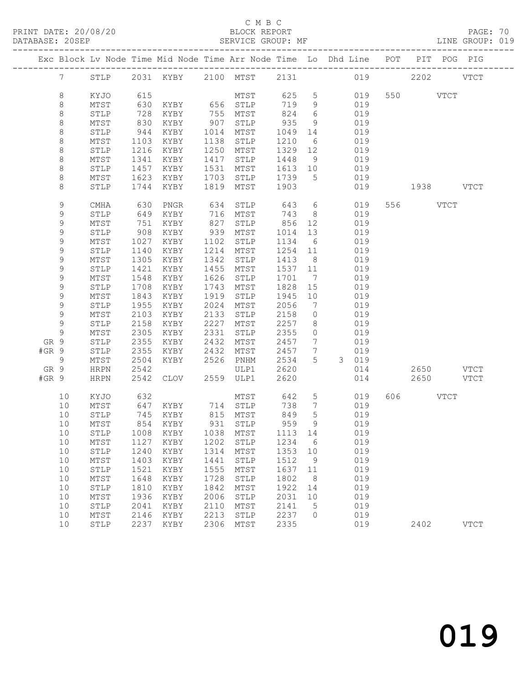#### C M B C<br>BLOCK REPORT

PAGE: 70<br>LINE GROUP: 019

|       |                 |              |      | Exc Block Lv Node Time Mid Node Time Arr Node Time Lo Dhd Line POT PIT POG PIG |      |          |      |                              |       |     |           |      |             |
|-------|-----------------|--------------|------|--------------------------------------------------------------------------------|------|----------|------|------------------------------|-------|-----|-----------|------|-------------|
|       | $7\overline{ }$ | STLP         |      | 2031 KYBY 2100 MTST                                                            |      |          | 2131 |                              | 019   |     |           | 2202 | <b>VTCT</b> |
|       | $\,8\,$         | KYJO         | 615  |                                                                                |      | MTST     | 625  | $5\overline{)}$              | 019   |     | 550 VTCT  |      |             |
|       | 8               | MTST         | 630  | KYBY                                                                           |      | 656 STLP | 719  | 9                            | 019   |     |           |      |             |
|       | $\,8\,$         | STLP         | 728  | KYBY                                                                           | 755  | MTST     | 824  | 6                            | 019   |     |           |      |             |
|       | $\,8\,$         | MTST         | 830  | KYBY                                                                           | 907  | STLP     | 935  | 9                            | 019   |     |           |      |             |
|       | $\,8\,$         | STLP         | 944  | KYBY                                                                           | 1014 | MTST     | 1049 | 14                           | 019   |     |           |      |             |
|       | 8               | MTST         | 1103 | KYBY                                                                           | 1138 | STLP     | 1210 | 6                            | 019   |     |           |      |             |
|       | $\,8\,$         | STLP         | 1216 | KYBY                                                                           | 1250 | MTST     | 1329 | 12                           | 019   |     |           |      |             |
|       | $\,8\,$         | MTST         | 1341 | KYBY                                                                           | 1417 | STLP     | 1448 | 9                            | 019   |     |           |      |             |
|       | $\,8\,$         | STLP         | 1457 | KYBY                                                                           | 1531 | MTST     | 1613 | 10                           | 019   |     |           |      |             |
|       | 8               | MTST         | 1623 | KYBY                                                                           | 1703 | STLP     | 1739 | 5                            | 019   |     |           |      |             |
|       | 8               | STLP         | 1744 | KYBY                                                                           | 1819 | MTST     | 1903 |                              | 019   |     | 1938 VTCT |      |             |
|       | 9               | CMHA         | 630  | PNGR                                                                           | 634  | STLP     | 643  | 6                            | 019   |     | 556 VTCT  |      |             |
|       | $\mathsf 9$     | STLP         | 649  | KYBY                                                                           | 716  | MTST     | 743  | - 8                          | 019   |     |           |      |             |
|       | 9               | MTST         | 751  | KYBY                                                                           | 827  | STLP     | 856  | 12                           | 019   |     |           |      |             |
|       | 9               | STLP         | 908  | KYBY                                                                           | 939  | MTST     | 1014 | 13                           | 019   |     |           |      |             |
|       | 9               | MTST         | 1027 | KYBY                                                                           | 1102 | STLP     | 1134 | 6                            | 019   |     |           |      |             |
|       | $\mathsf 9$     | STLP         | 1140 | KYBY                                                                           | 1214 | MTST     | 1254 | 11                           | 019   |     |           |      |             |
|       | 9               | MTST         | 1305 | KYBY                                                                           | 1342 | STLP     | 1413 | 8 <sup>8</sup>               | 019   |     |           |      |             |
|       | 9               | STLP         | 1421 | KYBY                                                                           | 1455 | MTST     | 1537 | 11                           | 019   |     |           |      |             |
|       | 9               | MTST         | 1548 | KYBY                                                                           | 1626 | STLP     | 1701 | $7\phantom{.0}\phantom{.0}7$ | 019   |     |           |      |             |
|       | $\mathsf 9$     | STLP         | 1708 | KYBY                                                                           | 1743 | MTST     | 1828 | 15                           | 019   |     |           |      |             |
|       | 9               | MTST         | 1843 | KYBY                                                                           | 1919 | STLP     | 1945 | 10                           | 019   |     |           |      |             |
|       | 9               | STLP         | 1955 | KYBY                                                                           | 2024 | MTST     | 2056 | $7\phantom{.0}$              | 019   |     |           |      |             |
|       | $\mathsf 9$     | MTST         | 2103 | KYBY                                                                           | 2133 | STLP     | 2158 | $\circ$                      | 019   |     |           |      |             |
|       | $\mathsf 9$     | STLP         | 2158 | KYBY                                                                           | 2227 | MTST     | 2257 | 8                            | 019   |     |           |      |             |
|       | 9               | MTST         | 2305 | KYBY                                                                           | 2331 | STLP     | 2355 | $\circ$                      | 019   |     |           |      |             |
| GR 9  |                 | STLP         | 2355 | KYBY                                                                           | 2432 | MTST     | 2457 | $7\phantom{.0}$              | 019   |     |           |      |             |
| #GR 9 |                 | STLP         | 2355 | KYBY                                                                           | 2432 | MTST     | 2457 | 7                            | 019   |     |           |      |             |
|       | 9               | MTST         | 2504 | KYBY                                                                           | 2526 | PNHM     | 2534 | 5                            | 3 019 |     |           |      |             |
| GR 9  |                 | <b>HRPN</b>  | 2542 |                                                                                |      | ULP1     | 2620 |                              | 014   |     | 2650      |      | VTCT        |
| #GR 9 |                 | <b>HRPN</b>  | 2542 | CLOV                                                                           | 2559 | ULP1     | 2620 |                              | 014   |     | 2650      |      | <b>VTCT</b> |
|       | 10              | KYJO         | 632  |                                                                                |      | MTST     | 642  | $5\phantom{.0}$              | 019   | 606 |           | VTCT |             |
|       | 10              | MTST         | 647  | KYBY                                                                           |      | 714 STLP | 738  | $7\overline{ }$              | 019   |     |           |      |             |
|       | 10              | STLP         | 745  | KYBY                                                                           |      | 815 MTST | 849  | 5                            | 019   |     |           |      |             |
|       | 10              | MTST         | 854  | KYBY                                                                           |      | 931 STLP | 959  | 9                            | 019   |     |           |      |             |
|       | 10              |              |      | STLP 1008 KYBY 1038 MTST 1113 14                                               |      |          |      |                              | 019   |     |           |      |             |
|       | 10              | MTST         | 1127 | KYBY                                                                           | 1202 | STLP     | 1234 | 6                            | 019   |     |           |      |             |
|       | 10              | STLP         | 1240 | KYBY                                                                           | 1314 | MTST     | 1353 | 10                           | 019   |     |           |      |             |
|       | 10              | MTST         | 1403 | KYBY                                                                           | 1441 | STLP     | 1512 | 9                            | 019   |     |           |      |             |
|       | 10              | STLP         | 1521 | KYBY                                                                           | 1555 | MTST     | 1637 | 11                           | 019   |     |           |      |             |
|       | 10              | MTST         | 1648 | KYBY                                                                           | 1728 | STLP     | 1802 | 8                            | 019   |     |           |      |             |
|       | 10              | ${\tt STLP}$ | 1810 | KYBY                                                                           | 1842 | MTST     | 1922 | 14                           | 019   |     |           |      |             |
|       | 10              | MTST         | 1936 | KYBY                                                                           | 2006 | STLP     | 2031 | 10                           | 019   |     |           |      |             |
|       | 10              | STLP         | 2041 | KYBY                                                                           | 2110 | MTST     | 2141 | 5                            | 019   |     |           |      |             |
|       | 10              | MTST         | 2146 | KYBY                                                                           | 2213 | STLP     | 2237 | $\circ$                      | 019   |     |           |      |             |
|       | 10              | STLP         | 2237 | KYBY                                                                           | 2306 | MTST     | 2335 |                              | 019   |     | 2402      |      | <b>VTCT</b> |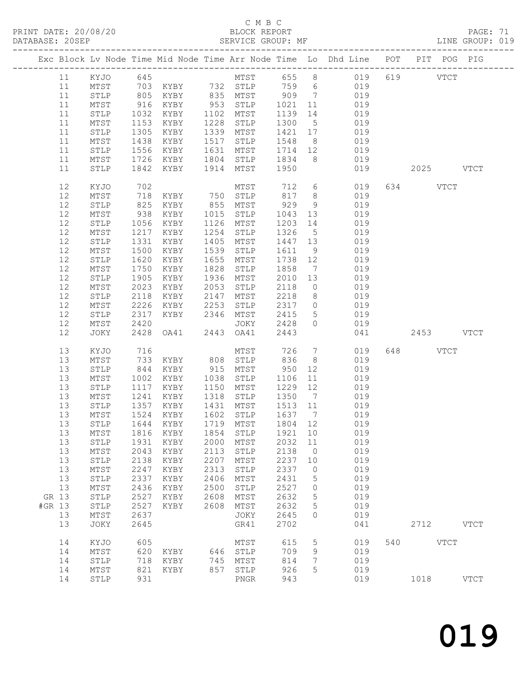### C M B C

| DATABASE: 20SEP |          |                         |              | SERVICE GROUP: MF |      |                |                                                    |                 | LINE GROUP: 019                                                                                 |           |           |             |  |
|-----------------|----------|-------------------------|--------------|-------------------|------|----------------|----------------------------------------------------|-----------------|-------------------------------------------------------------------------------------------------|-----------|-----------|-------------|--|
|                 |          |                         |              |                   |      |                |                                                    |                 | Exc Block Lv Node Time Mid Node Time Arr Node Time Lo Dhd Line POT PIT POG PIG                  |           |           |             |  |
|                 | 11       |                         |              |                   |      |                |                                                    |                 | KYJO 645 MTST 655 8 019 619 VTCT                                                                |           |           |             |  |
|                 | 11       | MTST                    |              |                   |      |                |                                                    |                 | 703 KYBY 732 STLP 759 6 019                                                                     |           |           |             |  |
|                 | 11       | STLP                    |              |                   |      |                |                                                    |                 | 805 KYBY 835 MTST 909 7 019<br>916 KYBY 953 STLP 1021 11 019<br>1032 KYBY 1102 MTST 1139 14 019 |           |           |             |  |
|                 | 11       | MTST                    |              |                   |      |                |                                                    |                 |                                                                                                 |           |           |             |  |
|                 | 11       | STLP                    | 1032         |                   |      |                |                                                    |                 |                                                                                                 |           |           |             |  |
|                 | 11       | MTST                    | 1153         | KYBY              |      | 1228 STLP      | 1300                                               | 5 <sup>5</sup>  | 019                                                                                             |           |           |             |  |
|                 | 11       | STLP                    | 1305         | KYBY              |      | 1339 MTST      | 1421 17                                            |                 | 019                                                                                             |           |           |             |  |
|                 | 11       | MTST                    | 1438         | KYBY              |      | 1517 STLP      | 1548 8                                             |                 | 019                                                                                             |           |           |             |  |
|                 | 11       | STLP                    | 1556         | KYBY              |      | 1631 MTST      | 1714 12                                            |                 | 019                                                                                             |           |           |             |  |
|                 | 11       | MTST                    | 1726         | KYBY              |      | 1804 STLP 1834 |                                                    |                 | 8 019                                                                                           |           |           |             |  |
|                 | 11       | STLP                    | 1842         | KYBY              |      | 1914 MTST 1950 |                                                    |                 | 019                                                                                             |           | 2025 VTCT |             |  |
|                 |          |                         |              |                   |      |                |                                                    |                 |                                                                                                 |           |           |             |  |
|                 | 12       | KYJO                    | 702          |                   |      | MTST           | 712                                                |                 | $6\overline{6}$<br>019                                                                          | 634 VTCT  |           |             |  |
|                 | 12       | MTST                    | 718          | KYBY 750 STLP     |      |                | 817 8                                              |                 | 019                                                                                             |           |           |             |  |
|                 | 12       | ${\tt STLP}$            | 825          | KYBY              |      | 855 MTST       | 929                                                | 9               | 019                                                                                             |           |           |             |  |
|                 | 12       | MTST                    | 938<br>1056  | KYBY              |      | 1015 STLP      | 1043                                               | 13              | 019                                                                                             |           |           |             |  |
|                 | 12       | STLP                    |              | KYBY              |      | 1126 MTST      | 1203 14                                            |                 | 019                                                                                             |           |           |             |  |
|                 | 12       | MTST                    | 1217         | KYBY              | 1254 | STLP           | 1326                                               | $5\overline{)}$ | 019                                                                                             |           |           |             |  |
|                 | 12       | STLP                    | 1331         | KYBY              | 1405 | MTST           | 1447 13                                            |                 | 019                                                                                             |           |           |             |  |
|                 | 12       | $\mathtt{MTST}$         | 1500         | KYBY              | 1539 | STLP           | 1611                                               | 9               | 019                                                                                             |           |           |             |  |
|                 | 12       | $\texttt{STLP}$         | 1620         | KYBY              | 1655 | MTST           | 1738 12                                            |                 | 019                                                                                             |           |           |             |  |
|                 | 12       | MTST                    | 1750         | KYBY              | 1828 | STLP           | 1858                                               | $7\overline{ }$ | 019                                                                                             |           |           |             |  |
|                 | 12       | $\texttt{STLP}$         | 1905         | KYBY              |      | 1936 MTST      | 2010                                               | 13              | 019                                                                                             |           |           |             |  |
|                 | 12       | MTST                    | 2023         | KYBY              | 2053 | STLP           | 2118                                               | $\overline{0}$  | 019                                                                                             |           |           |             |  |
|                 | 12       | STLP                    | 2118         | KYBY              | 2147 | MTST           | 2218                                               | 8 <sup>8</sup>  | 019                                                                                             |           |           |             |  |
|                 | 12       | MTST                    | 2226         | KYBY              | 2253 | STLP           |                                                    |                 | 2317 0 019                                                                                      |           |           |             |  |
|                 | 12       | STLP                    | 2317         | KYBY 2346         |      | MTST           | 2415                                               | 5 <sup>5</sup>  | 019                                                                                             |           |           |             |  |
|                 | 12       | MTST                    | 2420         |                   |      | JOKY           | 2428                                               | $\bigcirc$      | 019                                                                                             |           |           |             |  |
|                 | 12       | JOKY                    | 2428         | OA41 2443 OA41    |      |                | 2443                                               |                 | 041                                                                                             | 2453 VTCT |           |             |  |
|                 | 13       | KYJO                    | 716          |                   |      | MTST           | 726                                                | $7\overline{ }$ | 019                                                                                             | 648 VTCT  |           |             |  |
|                 | 13       | MTST                    | 733          | KYBY 808 STLP     |      |                | 836                                                | 8 <sup>8</sup>  | 019                                                                                             |           |           |             |  |
|                 | 13       | STLP                    | 844          | KYBY 915 MTST     |      |                | 950                                                | 12              | 019                                                                                             |           |           |             |  |
|                 | 13       | MTST                    | 1002         | KYBY              | 1038 | STLP           | 1106                                               | 11              | 019                                                                                             |           |           |             |  |
|                 | 13       | STLP                    | 1117         | KYBY              |      | 1150 MTST      | 1229                                               | 12              | 019                                                                                             |           |           |             |  |
|                 | 13       | MTST                    | 1241         | KYBY              | 1318 | STLP           | 1350                                               | $7\overline{ }$ | 019                                                                                             |           |           |             |  |
|                 | 13       | STLP                    |              | KYBY              |      | 1431 MTST      | 1513 11                                            |                 | 019                                                                                             |           |           |             |  |
|                 | 13       | MTST                    | 1357<br>1524 | KYBY              |      | 1602 STLP      | $\begin{array}{cc}\n1 & 7 \\ 1 & 637\n\end{array}$ |                 | 019                                                                                             |           |           |             |  |
|                 |          |                         |              |                   |      |                |                                                    |                 | 13 STLP 1644 KYBY 1719 MTST 1804 12 019                                                         |           |           |             |  |
|                 | 13       | MTST                    | 1816         | KYBY              | 1854 | STLP           | 1921                                               | 10              | 019                                                                                             |           |           |             |  |
|                 | 13       | STLP                    | 1931         | KYBY              | 2000 | MTST           | 2032                                               | 11              | 019                                                                                             |           |           |             |  |
|                 | 13       | MTST                    | 2043         | KYBY              | 2113 | STLP           | 2138                                               | $\overline{0}$  | 019                                                                                             |           |           |             |  |
|                 | 13       | STLP                    | 2138         | KYBY              | 2207 | MTST           | 2237                                               | 10              | 019                                                                                             |           |           |             |  |
|                 | 13       | MTST                    | 2247         | KYBY              | 2313 | STLP           | 2337                                               | $\overline{0}$  | 019                                                                                             |           |           |             |  |
|                 | 13       | ${\tt STLP}$            | 2337         | KYBY              | 2406 | ${\tt MTST}$   | 2431                                               | 5               | 019                                                                                             |           |           |             |  |
|                 | 13       |                         | 2436         |                   | 2500 | ${\tt STLP}$   | 2527                                               | $\overline{0}$  | 019                                                                                             |           |           |             |  |
|                 |          | MTST                    |              | KYBY              |      |                |                                                    |                 |                                                                                                 |           |           |             |  |
|                 | GR 13    | ${\tt STLP}$            | 2527         | KYBY              | 2608 | MTST           | 2632                                               | $5\phantom{.0}$ | 019                                                                                             |           |           |             |  |
| #GR 13          |          | STLP                    | 2527         | KYBY              | 2608 | MTST           | 2632                                               | 5               | 019                                                                                             |           |           |             |  |
|                 | 13<br>13 | $\mathtt{MTST}$<br>JOKY | 2637<br>2645 |                   |      | JOKY<br>GR41   | 2645<br>2702                                       | $\Omega$        | 019<br>041                                                                                      |           | 2712 VTCT |             |  |
|                 |          |                         |              |                   |      |                |                                                    |                 |                                                                                                 |           |           |             |  |
|                 | 14       | KYJO                    | 605          |                   |      | MTST           | 615                                                | 5               | 019                                                                                             | 540 VTCT  |           |             |  |
|                 | 14       | MTST                    | 620          | KYBY              |      | 646 STLP       | 709                                                | 9               | 019                                                                                             |           |           |             |  |
|                 | 14       | STLP                    | 718          | KYBY              | 745  | MTST           | 814                                                | 7               | 019                                                                                             |           |           |             |  |
|                 | 14       | MTST                    | 821          | KYBY              | 857  | STLP           | 926                                                | 5               | 019                                                                                             |           |           |             |  |
|                 | 14       | STLP                    | 931          |                   |      | PNGR           | 943                                                |                 | 019                                                                                             | 1018      |           | <b>VTCT</b> |  |

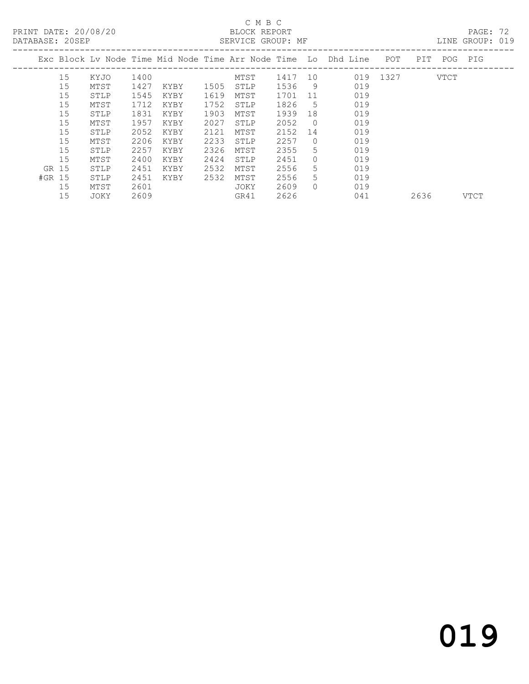## C M B C<br>BLOCK REPORT

PAGE: 72<br>LINE GROUP: 019

|        |    |      |      |      |      | Exc Block Ly Node Time Mid Node Time Arr Node Time Lo Dhd Line |      |          |     | POT  | PIT. | POG  | PIG  |
|--------|----|------|------|------|------|----------------------------------------------------------------|------|----------|-----|------|------|------|------|
|        | 15 | KYJO | 1400 |      |      | MTST                                                           | 1417 | 10       | 019 | 1327 |      | VTCT |      |
|        | 15 | MTST | 1427 | KYBY | 1505 | STLP                                                           | 1536 | 9        | 019 |      |      |      |      |
|        | 15 | STLP | 1545 | KYBY | 1619 | MTST                                                           | 1701 | 11       | 019 |      |      |      |      |
|        | 15 | MTST | 1712 | KYBY | 1752 | STLP                                                           | 1826 | 5        | 019 |      |      |      |      |
|        | 15 | STLP | 1831 | KYBY | 1903 | MTST                                                           | 1939 | 18       | 019 |      |      |      |      |
|        | 15 | MTST | 1957 | KYBY | 2027 | STLP                                                           | 2052 | $\Omega$ | 019 |      |      |      |      |
|        | 15 | STLP | 2052 | KYBY | 2121 | MTST                                                           | 2152 | 14       | 019 |      |      |      |      |
|        | 15 | MTST | 2206 | KYBY | 2233 | STLP                                                           | 2257 | $\Omega$ | 019 |      |      |      |      |
|        | 15 | STLP | 2257 | KYBY | 2326 | MTST                                                           | 2355 | 5.       | 019 |      |      |      |      |
|        | 15 | MTST | 2400 | KYBY | 2424 | STLP                                                           | 2451 | $\Omega$ | 019 |      |      |      |      |
| GR 15  |    | STLP | 2451 | KYBY | 2532 | MTST                                                           | 2556 | 5        | 019 |      |      |      |      |
| #GR 15 |    | STLP | 2451 | KYBY | 2532 | MTST                                                           | 2556 | 5.       | 019 |      |      |      |      |
|        | 15 | MTST | 2601 |      |      | JOKY                                                           | 2609 | $\Omega$ | 019 |      |      |      |      |
|        | 15 | JOKY | 2609 |      |      | GR41                                                           | 2626 |          | 041 |      | 2636 |      | VTCT |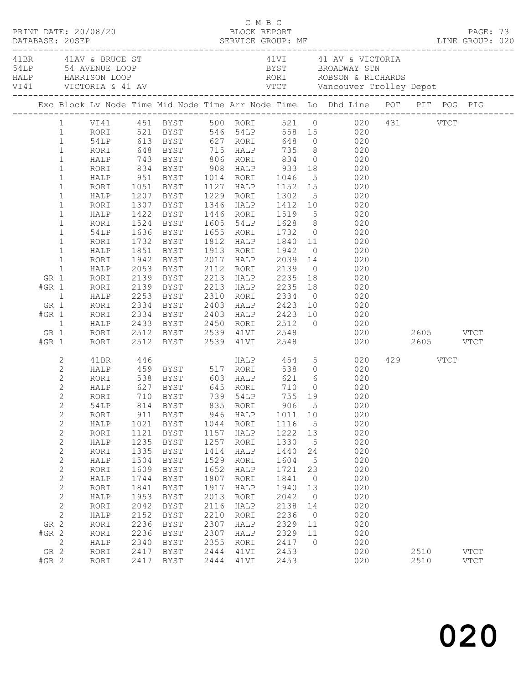|                 |                              |              |              |                                                                               |              |              |                        |         | 41 M AV & BRUCE ST AND AN AVENUE LOOP ALLEY THE MANUSCULP OF THE MANUSCULP OF THE MANUSCULP AND BE A AVENUE LOOP AND BYST BROADWAY STN AND HARRISON LOOP TO THE MANUSCULP OF THE MANUSCULP OF THE MANUSCULP OF THE MANUSCULP O |          |             |  |
|-----------------|------------------------------|--------------|--------------|-------------------------------------------------------------------------------|--------------|--------------|------------------------|---------|--------------------------------------------------------------------------------------------------------------------------------------------------------------------------------------------------------------------------------|----------|-------------|--|
|                 |                              |              |              |                                                                               |              |              |                        |         | Exc Block Lv Node Time Mid Node Time Arr Node Time Lo Dhd Line POT PIT POG PIG                                                                                                                                                 |          |             |  |
|                 |                              |              |              |                                                                               |              |              |                        |         | 1 VI41 451 BYST 500 RORI 521 0 020 431 VTCT                                                                                                                                                                                    |          |             |  |
|                 | $\mathbf{1}$                 | RORI         |              |                                                                               |              |              |                        |         | RORI 521 BYST 546 54LP 558 15 020<br>54LP 613 BYST 627 RORI 648 0 020<br>RORI 648 BYST 715 HALP 735 8 020<br>HALP 743 BYST 806 RORI 834 0 020                                                                                  |          |             |  |
|                 | $\mathbf{1}$                 | 54LP<br>RORI |              |                                                                               |              |              |                        |         |                                                                                                                                                                                                                                |          |             |  |
|                 | $\,1$                        |              |              |                                                                               |              |              |                        |         |                                                                                                                                                                                                                                |          |             |  |
|                 | $\mathbf{1}$                 |              |              |                                                                               |              |              |                        |         |                                                                                                                                                                                                                                |          |             |  |
|                 | $1\,$                        | RORI         |              |                                                                               |              |              |                        |         | 834 BYST 908 HALP 933 18 020<br>951 BYST 1014 RORI 1046 5 020<br>1051 BYST 1127 HALP 1152 15 020                                                                                                                               |          |             |  |
|                 | $\mathbf 1$                  | HALP         |              |                                                                               |              |              |                        |         |                                                                                                                                                                                                                                |          |             |  |
|                 | $\mathbf 1$<br>$\mathbf 1$   | RORI<br>HALP |              | 1207 BYST 1229 RORI                                                           |              |              | 1302                   |         | $\begin{array}{ccc} & 5 & & 020 \\ 15 & & 020 \\ & 5 & & 020 \end{array}$                                                                                                                                                      |          |             |  |
|                 | $\mathbf 1$                  | RORI         |              | 1307 BYST                                                                     |              | 1346 HALP    |                        |         | 1412 10 020                                                                                                                                                                                                                    |          |             |  |
|                 | $\mathbf 1$                  | HALP         |              | 1422 BYST 1446 RORI                                                           |              |              |                        |         |                                                                                                                                                                                                                                |          |             |  |
|                 | $\,1$                        | RORI         |              | 1524 BYST                                                                     |              | 1605 54LP    |                        |         | 1519 5 020<br>1628 8 020<br>1732 0 020                                                                                                                                                                                         |          |             |  |
|                 | $\mathbf 1$                  | 54LP         |              | 1636 BYST 1655 RORI                                                           |              |              | 1732                   |         |                                                                                                                                                                                                                                |          |             |  |
|                 | $\mathbf 1$                  | RORI         |              | 1732 BYST                                                                     |              | 1812 HALP    |                        |         | 1840 11<br>020                                                                                                                                                                                                                 |          |             |  |
|                 | $\mathbf{1}$                 | HALP         | 1851         | BYST                                                                          |              | 1913 RORI    | 1942                   |         | $0\qquad \qquad 020$                                                                                                                                                                                                           |          |             |  |
|                 | $\mathbf{1}$                 | RORI         |              | 1942 BYST                                                                     |              | 2017 HALP    | 2039                   |         | $\begin{array}{ccc} 14 & \hspace{1.5cm} & 020 \\ 0 & \hspace{1.5cm} & 020 \end{array}$                                                                                                                                         |          |             |  |
|                 | $\mathbf{1}$                 | HALP         |              | 2053 BYST                                                                     |              | 2112 RORI    | 2139                   |         |                                                                                                                                                                                                                                |          |             |  |
| GR 1            |                              | RORI         |              | 2139 BYST                                                                     |              | 2213 HALP    | 2235                   |         | 18 020                                                                                                                                                                                                                         |          |             |  |
| $#GR$ 1         |                              | RORI         |              | 2139 BYST                                                                     |              | 2213 HALP    | 2235                   |         | 18 020                                                                                                                                                                                                                         |          |             |  |
| $\overline{1}$  |                              | HALP<br>RORI |              | 2253 BYST 2310 RORI<br>2334 BYST 2403 HALP                                    |              |              | 2334<br>2423           |         | $\begin{array}{ccc} 0 & 020 \\ 10 & 020 \end{array}$                                                                                                                                                                           |          |             |  |
| GR 1<br>$#GR$ 1 |                              | RORI         |              | 2334 BYST 2403 HALP                                                           |              |              | 2423                   |         | 10<br>020                                                                                                                                                                                                                      |          |             |  |
|                 | $\overline{1}$               | HALP         |              | 2433 BYST                                                                     | 2450         | RORI         |                        |         | $0 \qquad \qquad 020$                                                                                                                                                                                                          |          |             |  |
| GR 1            |                              | RORI         |              |                                                                               |              |              |                        |         |                                                                                                                                                                                                                                |          |             |  |
| $#GR$ 1         |                              | RORI         |              | 2512 BYST      2539   41VI<br>2512   BYST       2539   41VI                   |              |              | 2512 0<br>2548<br>2548 |         |                                                                                                                                                                                                                                |          |             |  |
|                 | 2                            | 41BR         | 446          |                                                                               |              |              | HALP 454               |         | 5 020                                                                                                                                                                                                                          | 429 VTCT |             |  |
|                 | $\mathbf{2}$                 | HALP         |              | 459 BYST 517 RORI 538 0<br>538 BYST 603 HALP 621 6<br>627 BYST 645 RORI 710 0 |              |              |                        |         | 020                                                                                                                                                                                                                            |          |             |  |
|                 | $\mathbf{2}$                 | RORI         |              |                                                                               |              |              |                        |         | 020                                                                                                                                                                                                                            |          |             |  |
|                 | $\mathbf{2}$                 | HALP         |              |                                                                               |              |              |                        |         | $0$ 020                                                                                                                                                                                                                        |          |             |  |
|                 | $\overline{2}$               | RORI         |              | 710 BYST 739 54LP                                                             |              |              |                        |         | 755 19 020                                                                                                                                                                                                                     |          |             |  |
|                 | $\overline{2}$               | 54LP         |              | 814 BYST 835 RORI 906 5                                                       |              |              |                        |         | 020                                                                                                                                                                                                                            |          |             |  |
|                 | $\sqrt{2}$                   | RORI         | 911          | BYST                                                                          | 946          | HALP         | 1011                   | 10      | 020                                                                                                                                                                                                                            |          |             |  |
|                 | $\sqrt{2}$                   | HALP<br>RORI | 1021<br>1121 | BYST<br>BYST                                                                  | 1044<br>1157 | RORI<br>HALP | 1116<br>1222           | 5<br>13 | 020<br>020                                                                                                                                                                                                                     |          |             |  |
|                 | $\overline{c}$<br>$\sqrt{2}$ | HALP         | 1235         | BYST                                                                          | 1257         | RORI         | 1330                   | 5       | 020                                                                                                                                                                                                                            |          |             |  |
|                 | $\sqrt{2}$                   | RORI         | 1335         | <b>BYST</b>                                                                   | 1414         | HALP         | 1440                   | 24      | 020                                                                                                                                                                                                                            |          |             |  |
|                 | $\sqrt{2}$                   | HALP         | 1504         | BYST                                                                          | 1529         | RORI         | 1604                   | 5       | 020                                                                                                                                                                                                                            |          |             |  |
|                 | $\mathbf{2}$                 | RORI         | 1609         | BYST                                                                          | 1652         | HALP         | 1721                   | 23      | 020                                                                                                                                                                                                                            |          |             |  |
|                 | $\sqrt{2}$                   | HALP         | 1744         | BYST                                                                          | 1807         | RORI         | 1841                   | 0       | 020                                                                                                                                                                                                                            |          |             |  |
|                 | $\sqrt{2}$                   | RORI         | 1841         | BYST                                                                          | 1917         | HALP         | 1940                   | 13      | 020                                                                                                                                                                                                                            |          |             |  |
|                 | $\sqrt{2}$                   | HALP         | 1953         | BYST                                                                          | 2013         | RORI         | 2042                   | $\circ$ | 020                                                                                                                                                                                                                            |          |             |  |
|                 | $\sqrt{2}$                   | RORI         | 2042         | BYST                                                                          | 2116         | HALP         | 2138                   | 14      | 020                                                                                                                                                                                                                            |          |             |  |
|                 | $\mathbf{2}$                 | HALP         | 2152         | BYST                                                                          | 2210         | RORI         | 2236                   | $\circ$ | 020                                                                                                                                                                                                                            |          |             |  |
| GR 2            |                              | RORI         | 2236         | BYST                                                                          | 2307         | HALP         | 2329                   | 11      | 020                                                                                                                                                                                                                            |          |             |  |
| $#GR$ 2         |                              | RORI         | 2236         | BYST                                                                          | 2307         | HALP         | 2329                   | 11      | 020                                                                                                                                                                                                                            |          |             |  |
| GR 2            | $\mathbf{2}$                 | HALP<br>RORI | 2340<br>2417 | BYST<br>BYST                                                                  | 2355<br>2444 | RORI<br>41VI | 2417<br>2453           | 0       | 020<br>020                                                                                                                                                                                                                     | 2510     | <b>VTCT</b> |  |
| $#GR$ 2         |                              | RORI         | 2417         | BYST                                                                          | 2444         | 41VI         | 2453                   |         | 020                                                                                                                                                                                                                            | 2510     | <b>VTCT</b> |  |
|                 |                              |              |              |                                                                               |              |              |                        |         |                                                                                                                                                                                                                                |          |             |  |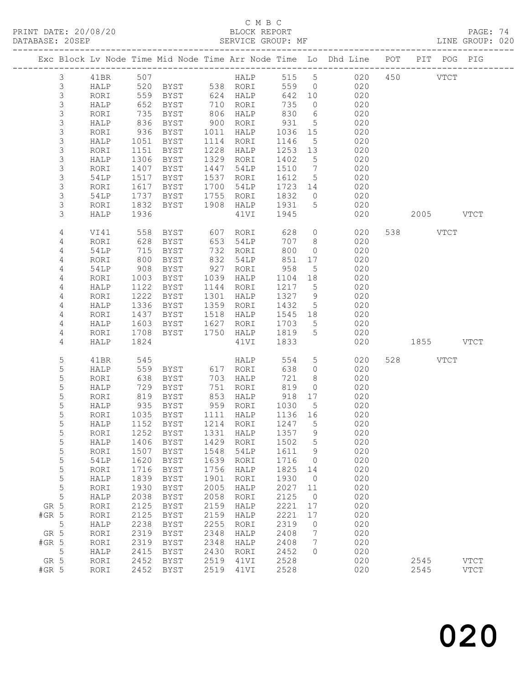#### C M B C

| DATABASE: 20SEP |               |              |                                                     | SERVICE GROUP: MF                                                                                         |      |                            |                   |                 | LINE GROUP: 020                                                                |           |           |             |  |
|-----------------|---------------|--------------|-----------------------------------------------------|-----------------------------------------------------------------------------------------------------------|------|----------------------------|-------------------|-----------------|--------------------------------------------------------------------------------|-----------|-----------|-------------|--|
|                 |               |              |                                                     |                                                                                                           |      |                            |                   |                 | Exc Block Lv Node Time Mid Node Time Arr Node Time Lo Dhd Line POT PIT POG PIG |           |           |             |  |
|                 | $\mathcal{S}$ | 41BR 507     |                                                     |                                                                                                           |      |                            |                   |                 | HALP 515 5 020 450 VTCT                                                        |           |           |             |  |
|                 | 3             |              |                                                     | HALP 520 BYST 538 RORI                                                                                    |      |                            |                   |                 | 559 0 020                                                                      |           |           |             |  |
|                 | 3             | RORI         |                                                     | 559 BYST 624 HALP                                                                                         |      |                            | 642 10            |                 | 020                                                                            |           |           |             |  |
|                 | $\mathsf S$   | HALP         | 652                                                 | BYST                                                                                                      |      | 710    RORI<br>806    HALP | 735<br>830        | $\overline{0}$  | 020                                                                            |           |           |             |  |
|                 | $\mathsf S$   | RORI         | 735                                                 | BYST                                                                                                      |      |                            |                   | 6               | 020                                                                            |           |           |             |  |
|                 | $\mathsf S$   | HALP         | 836                                                 | BYST                                                                                                      |      | 900 RORI                   | 931               | $5\overline{)}$ | 020                                                                            |           |           |             |  |
|                 | 3             | RORI         | 936                                                 | BYST                                                                                                      |      | 1011 HALP                  | 1036              | 15              | 020                                                                            |           |           |             |  |
|                 | $\mathsf S$   | HALP         | 1051                                                | BYST                                                                                                      |      | 1114 RORI                  | 1146              | $5\overline{)}$ | 020                                                                            |           |           |             |  |
|                 | $\mathsf S$   | RORI         | 1151                                                | BYST                                                                                                      | 1228 | HALP                       | 1253 13           |                 | 020                                                                            |           |           |             |  |
|                 | 3             | HALP         | 1306                                                | BYST                                                                                                      |      | 1329 RORI                  | 1402              | $5^{\circ}$     | 020                                                                            |           |           |             |  |
|                 | 3             | RORI         | 1407                                                | BYST                                                                                                      | 1447 | 54LP                       | 1510              | $\overline{7}$  | 020                                                                            |           |           |             |  |
|                 | 3             | 54LP         | 1517                                                | BYST                                                                                                      |      | 1537 RORI                  | 1612              | $5\overline{)}$ | 020                                                                            |           |           |             |  |
|                 | $\mathsf S$   | RORI         | 1617                                                | BYST                                                                                                      |      | 1700 54LP                  | 1723 14           |                 | 020                                                                            |           |           |             |  |
|                 | 3             | 54LP         | 1737                                                | BYST                                                                                                      |      | 1755 RORI                  | 1832              |                 | 020<br>$\overline{0}$                                                          |           |           |             |  |
|                 | 3             | RORI         | 1832                                                | BYST                                                                                                      |      | 1908 HALP 1931 5           |                   |                 | 020                                                                            |           |           |             |  |
|                 | 3             | HALP         | 1936                                                |                                                                                                           |      | 41VI                       | 1945              |                 | 020                                                                            |           | 2005 VTCT |             |  |
|                 | 4             | VI41         | 558                                                 | BYST 607 RORI                                                                                             |      |                            | 628               | $\overline{0}$  | 020                                                                            | 538 VTCT  |           |             |  |
|                 | 4             | RORI         | 628                                                 | BYST                                                                                                      |      | 653 54LP                   | 707               | 8 <sup>8</sup>  | 020                                                                            |           |           |             |  |
|                 | 4             | 54LP         | $\begin{array}{c}\n 1 \\  800 \\  29\n \end{array}$ | BYST                                                                                                      |      | 732 RORI                   | 800               | $\overline{0}$  | 020                                                                            |           |           |             |  |
|                 | 4             | RORI         |                                                     | BYST                                                                                                      |      | 832 54LP                   | 851               | 17              | 020                                                                            |           |           |             |  |
|                 | 4             | 54LP         | 908                                                 | BYST                                                                                                      |      | 927 RORI                   | 958               | 5               | 020                                                                            |           |           |             |  |
|                 | 4             | RORI         | 1003                                                | BYST                                                                                                      |      | 1039 HALP                  | 1104              | 18              | 020                                                                            |           |           |             |  |
|                 | 4             | HALP         | 1122                                                | BYST                                                                                                      |      | 1144 RORI                  | 1217              | $5^{\circ}$     | 020                                                                            |           |           |             |  |
|                 | 4             | RORI         | 1222                                                | BYST                                                                                                      |      | 1301 HALP                  | 1327 9            |                 | 020                                                                            |           |           |             |  |
|                 | 4             | HALP         | 1336                                                | BYST                                                                                                      |      | 1359 RORI                  | 1432              | $5\overline{)}$ | 020                                                                            |           |           |             |  |
|                 | 4             | RORI         | 1437                                                | BYST                                                                                                      |      | 1518 HALP                  | 1545 18           |                 | 020                                                                            |           |           |             |  |
|                 | 4             | HALP         | 1603                                                | BYST                                                                                                      | 1627 | RORI                       | 1703              | 5               | 020                                                                            |           |           |             |  |
|                 | 4             | RORI         | 1708                                                | BYST                                                                                                      |      | 1750 HALP                  | 1819              | 5               | 020                                                                            |           |           |             |  |
|                 | 4             | HALP         | 1824                                                |                                                                                                           |      | 41VI                       | 1833              |                 | 020                                                                            | 1855 VTCT |           |             |  |
|                 | 5             | 41BR         | 545                                                 | $\begin{array}{ll}\n\text{HALP}\n\text{BYST} & 617 \text{ RORI}\n\text{BYST} & 703 \text{ }\n\end{array}$ |      |                            | 554               | $5\overline{)}$ | 020                                                                            | 528 VTCT  |           |             |  |
|                 | 5             | HALP         | 559                                                 |                                                                                                           |      |                            | 638               | $\overline{0}$  | 020                                                                            |           |           |             |  |
|                 | 5             | RORI         | 638                                                 |                                                                                                           |      |                            | 721               | 8               | 020                                                                            |           |           |             |  |
|                 | 5             | HALP         | 729                                                 | BYST                                                                                                      |      | 751 RORI                   | 819               | $\circ$         | 020                                                                            |           |           |             |  |
|                 | 5             | RORI         | 819                                                 | BYST                                                                                                      |      | 853 HALP                   | 918               | 17              | 020                                                                            |           |           |             |  |
|                 | 5             | HALP         | 935                                                 | BYST                                                                                                      |      | 959 RORI                   | 1030 5<br>1136 16 | $5^{\circ}$     | 020                                                                            |           |           |             |  |
|                 | 5             | RORI         |                                                     | 1035 BYST                                                                                                 |      | 1111 HALP                  |                   |                 | 020                                                                            |           |           |             |  |
|                 | 5             |              |                                                     |                                                                                                           |      |                            |                   |                 | HALP 1152 BYST 1214 RORI 1247 5 020                                            |           |           |             |  |
|                 | 5             | RORI         | 1252                                                | BYST                                                                                                      | 1331 | HALP                       | 1357              | 9               | 020                                                                            |           |           |             |  |
|                 | 5             | HALP         | 1406                                                | BYST                                                                                                      | 1429 | RORI                       | 1502              | 5               | 020                                                                            |           |           |             |  |
|                 | 5             | RORI         | 1507                                                | BYST                                                                                                      | 1548 | 54LP                       | 1611              | 9               | 020                                                                            |           |           |             |  |
|                 | 5             | 54LP         | 1620                                                | <b>BYST</b>                                                                                               | 1639 | RORI                       | 1716              | $\overline{0}$  | 020                                                                            |           |           |             |  |
|                 | 5             | RORI         | 1716                                                | <b>BYST</b>                                                                                               | 1756 | HALP                       | 1825              | 14              | 020                                                                            |           |           |             |  |
|                 | 5             | ${\tt HALP}$ | 1839                                                | BYST                                                                                                      | 1901 | RORI                       | 1930              | $\overline{0}$  | 020                                                                            |           |           |             |  |
|                 | $\mathsf S$   | RORI         | 1930                                                | BYST                                                                                                      | 2005 | HALP                       | 2027              | 11              | 020                                                                            |           |           |             |  |
|                 | 5             | HALP         | 2038                                                | <b>BYST</b>                                                                                               | 2058 | RORI                       | 2125              | $\overline{0}$  | 020                                                                            |           |           |             |  |
| GR 5            |               | RORI         | 2125                                                | BYST                                                                                                      | 2159 | HALP                       | 2221              | 17              | 020                                                                            |           |           |             |  |
| $#GR$ 5         |               | RORI         | 2125                                                | <b>BYST</b>                                                                                               | 2159 | HALP                       | 2221              | 17              | 020                                                                            |           |           |             |  |
| $5\overline{)}$ |               | HALP         | 2238                                                | <b>BYST</b>                                                                                               | 2255 | RORI                       | 2319              | $\overline{0}$  | 020                                                                            |           |           |             |  |
| GR 5            |               | RORI         | 2319                                                | BYST                                                                                                      | 2348 | HALP                       | 2408              | $7\phantom{.0}$ | 020                                                                            |           |           |             |  |
| $#GR$ 5         |               | RORI         | 2319                                                | <b>BYST</b>                                                                                               | 2348 | HALP                       | 2408              | $7\phantom{.0}$ | 020                                                                            |           |           |             |  |
|                 | 5             | HALP         | 2415                                                | <b>BYST</b>                                                                                               | 2430 | RORI                       | 2452              | $\Omega$        | 020                                                                            |           |           |             |  |
| GR 5            |               | RORI         | 2452                                                | BYST                                                                                                      | 2519 | 41VI                       | 2528              |                 | 020                                                                            | 2545      |           | <b>VTCT</b> |  |
| $#GR$ 5         |               | RORI         | 2452                                                | BYST                                                                                                      | 2519 | 41VI                       | 2528              |                 | 020                                                                            | 2545      |           | <b>VTCT</b> |  |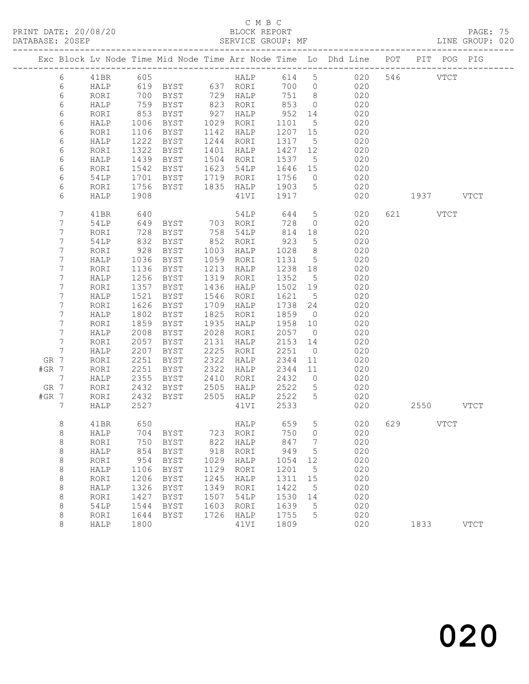#### C M B C<br>BLOCK REPORT

PAGE: 75<br>LINE GROUP: 020

|         |            |      |      |               |      |          |       |                 | Exc Block Lv Node Time Mid Node Time Arr Node Time Lo Dhd Line POT PIT POG PIG |     |             |             |
|---------|------------|------|------|---------------|------|----------|-------|-----------------|--------------------------------------------------------------------------------|-----|-------------|-------------|
|         | $6\,$      | 41BR | 605  |               |      | HALP     | 614   | 5 <sup>5</sup>  | 020                                                                            | 546 | <b>VTCT</b> |             |
|         | 6          | HALP | 619  | BYST 637 RORI |      |          | 700   | $\circ$         | 020                                                                            |     |             |             |
|         | $\epsilon$ | RORI | 700  | BYST          |      | 729 HALP | 751   | 8               | 020                                                                            |     |             |             |
|         | 6          | HALP | 759  | BYST          | 823  | RORI     | 853   | $\circ$         | 020                                                                            |     |             |             |
|         | 6          | RORI | 853  | BYST          | 927  | HALP     | 952   | 14              | 020                                                                            |     |             |             |
|         | 6          | HALP | 1006 | BYST          | 1029 | RORI     | 1101  | 5               | 020                                                                            |     |             |             |
|         | 6          | RORI | 1106 | BYST          | 1142 | HALP     | 1207  | 15              | 020                                                                            |     |             |             |
|         | 6          | HALP | 1222 | <b>BYST</b>   | 1244 | RORI     | 1317  | $5\overline{)}$ | 020                                                                            |     |             |             |
|         | 6          | RORI | 1322 | BYST          | 1401 | HALP     | 1427  | 12              | 020                                                                            |     |             |             |
|         | 6          | HALP | 1439 | BYST          | 1504 | RORI     | 1537  | 5               | 020                                                                            |     |             |             |
|         | 6          | RORI | 1542 | BYST          | 1623 | 54LP     | 1646  | 15              | 020                                                                            |     |             |             |
|         | 6          | 54LP | 1701 | BYST          | 1719 | RORI     | 1756  | $\overline{0}$  | 020                                                                            |     |             |             |
|         | 6          | RORI | 1756 | BYST          | 1835 | HALP     | 1903  | 5               | 020                                                                            |     |             |             |
|         | 6          | HALP | 1908 |               |      | 41VI     | 1917  |                 | 020                                                                            |     | 1937 VTCT   |             |
|         |            |      |      |               |      |          |       |                 |                                                                                |     |             |             |
|         | 7          | 41BR | 640  |               |      | 54LP     | 644   | $5\phantom{.0}$ | 020                                                                            | 621 | <b>VTCT</b> |             |
|         | 7          | 54LP | 649  | BYST          |      | 703 RORI | 728   | $\circ$         | 020                                                                            |     |             |             |
|         | 7          | RORI | 728  | BYST          | 758  | 54LP     | 814   | 18              | 020                                                                            |     |             |             |
|         | 7          | 54LP | 832  | BYST          | 852  | RORI     | 923   | 5               | 020                                                                            |     |             |             |
|         | 7          | RORI | 928  | BYST          | 1003 | HALP     | 1028  | 8 <sup>8</sup>  | 020                                                                            |     |             |             |
|         | 7          | HALP | 1036 | BYST          | 1059 | RORI     | 1131  | $5\overline{)}$ | 020                                                                            |     |             |             |
|         | 7          | RORI | 1136 | BYST          | 1213 | HALP     | 1238  | 18              | 020                                                                            |     |             |             |
|         | 7          | HALP | 1256 | BYST          | 1319 | RORI     | 1352  | 5               | 020                                                                            |     |             |             |
|         | 7          | RORI | 1357 | BYST          | 1436 | HALP     | 1502  | 19              | 020                                                                            |     |             |             |
|         | 7          | HALP | 1521 | <b>BYST</b>   | 1546 | RORI     | 1621  | $5\overline{)}$ | 020                                                                            |     |             |             |
|         | 7          | RORI | 1626 | BYST          | 1709 | HALP     | 1738  | 24              | 020                                                                            |     |             |             |
|         | 7          | HALP | 1802 | <b>BYST</b>   | 1825 | RORI     | 1859  | $\overline{0}$  | 020                                                                            |     |             |             |
|         | 7          | RORI | 1859 | BYST          | 1935 | HALP     | 1958  | 10              | 020                                                                            |     |             |             |
|         | 7          | HALP | 2008 | <b>BYST</b>   | 2028 | RORI     | 2057  | $\overline{0}$  | 020                                                                            |     |             |             |
|         | 7          | RORI | 2057 | BYST          | 2131 | HALP     | 2153  | 14              | 020                                                                            |     |             |             |
|         | 7          | HALP | 2207 | <b>BYST</b>   | 2225 | RORI     | 2251  | $\overline{0}$  | 020                                                                            |     |             |             |
| GR 7    |            | RORI | 2251 | BYST          | 2322 | HALP     | 2344  | 11              | 020                                                                            |     |             |             |
| $#GR$ 7 |            | RORI | 2251 | <b>BYST</b>   | 2322 | HALP     | 2344  | 11              | 020                                                                            |     |             |             |
|         | 7          | HALP | 2355 | BYST          | 2410 | RORI     | 2432  | $\overline{0}$  | 020                                                                            |     |             |             |
| GR 7    |            | RORI | 2432 | BYST          | 2505 | HALP     | 2522  | 5               | 020                                                                            |     |             |             |
| $#GR$ 7 |            | RORI | 2432 | BYST          | 2505 | HALP     | 2522  | 5               | 020                                                                            |     |             |             |
|         | 7          | HALP | 2527 |               |      | 41VI     | 2533  |                 | 020                                                                            |     | 2550 VTCT   |             |
|         | 8          | 41BR | 650  |               |      | HALP     | 659   | 5               | 020                                                                            |     | 629 VTCT    |             |
|         | 8          | HALP |      | 704 BYST      |      | 723 RORI | 750 0 |                 | 020                                                                            |     |             |             |
|         | 8          | RORI | 750  | <b>BYST</b>   | 822  | HALP     | 847   | 7               | 020                                                                            |     |             |             |
|         | 8          | HALP | 854  | <b>BYST</b>   | 918  | RORI     | 949   | 5               | 020                                                                            |     |             |             |
|         | 8          | RORI | 954  | <b>BYST</b>   | 1029 | HALP     | 1054  | 12              | 020                                                                            |     |             |             |
|         | $\,8\,$    | HALP | 1106 | <b>BYST</b>   | 1129 | RORI     | 1201  | 5               | 020                                                                            |     |             |             |
|         | $\,8\,$    | RORI | 1206 | <b>BYST</b>   | 1245 | HALP     | 1311  | 15              | 020                                                                            |     |             |             |
|         | 8          | HALP | 1326 | <b>BYST</b>   | 1349 | RORI     | 1422  | 5               | 020                                                                            |     |             |             |
|         | 8          | RORI | 1427 | <b>BYST</b>   | 1507 | 54LP     | 1530  | 14              | 020                                                                            |     |             |             |
|         | $\,8\,$    | 54LP | 1544 | <b>BYST</b>   | 1603 | RORI     | 1639  | 5               | 020                                                                            |     |             |             |
|         | $\,8\,$    | RORI | 1644 | <b>BYST</b>   | 1726 | HALP     | 1755  | 5               | 020                                                                            |     |             |             |
|         | 8          | HALP | 1800 |               |      | 41VI     | 1809  |                 | 020                                                                            |     | 1833        | <b>VTCT</b> |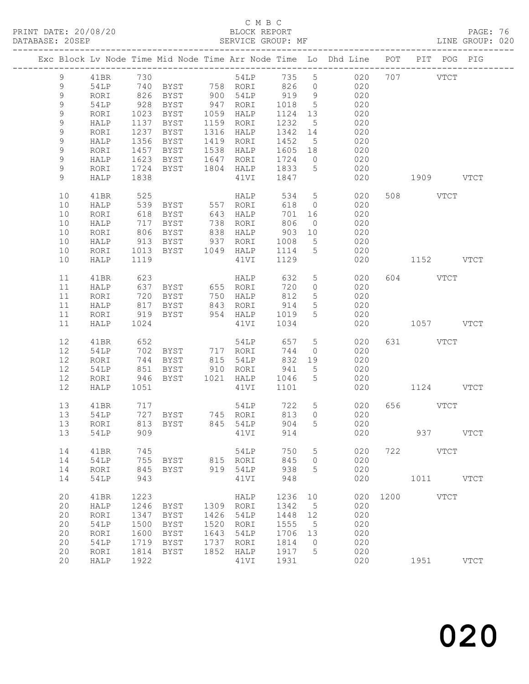#### C M B C<br>BLOCK REPORT

PAGE: 76<br>LINE GROUP: 020

|             |      |      |                   |      |                                         |         |                 | Exc Block Lv Node Time Mid Node Time Arr Node Time Lo Dhd Line POT |                |             | PIT POG PIG |               |
|-------------|------|------|-------------------|------|-----------------------------------------|---------|-----------------|--------------------------------------------------------------------|----------------|-------------|-------------|---------------|
| 9           | 41BR |      |                   |      |                                         |         |                 |                                                                    |                |             |             |               |
| 9           | 54LP |      |                   |      |                                         |         |                 |                                                                    |                |             |             |               |
| 9           | RORI | 826  | BYST 900 54LP     |      |                                         | 919 9   |                 | 020                                                                |                |             |             |               |
| 9           | 54LP | 928  | BYST              |      | 947 RORI                                | 1018    | $5^{\circ}$     | 020                                                                |                |             |             |               |
| 9           | RORI | 1023 | BYST              |      | 1059 HALP                               | 1124 13 |                 | 020                                                                |                |             |             |               |
| 9           | HALP | 1137 | BYST              |      | 1159 RORI                               | 1232    | $5\overline{)}$ | 020                                                                |                |             |             |               |
| 9           | RORI | 1237 | BYST              |      | 1316 HALP                               | 1342 14 |                 | 020                                                                |                |             |             |               |
| 9           | HALP | 1356 | BYST              |      | 1419 RORI                               | 1452    | $5^{\circ}$     | 020                                                                |                |             |             |               |
| $\mathsf 9$ | RORI | 1457 | BYST              |      | 1538 HALP                               | 1605 18 |                 | 020                                                                |                |             |             |               |
| $\mathsf 9$ | HALP | 1623 | BYST              |      | 1647 RORI                               | 1724 0  |                 | 020                                                                |                |             |             |               |
| 9           | RORI | 1724 |                   |      | BYST 1804 HALP 1833 5                   |         |                 | 020                                                                |                |             |             |               |
| 9           | HALP | 1838 |                   |      | 41VI 1847                               |         |                 | 020                                                                |                | 1909 VTCT   |             |               |
| 10          | 41BR | 525  |                   |      | HALP                                    | 534     | $5\overline{)}$ | 020                                                                |                | 508 VTCT    |             |               |
| 10          | HALP | 539  | BYST 557 RORI     |      |                                         | 618     | $\overline{0}$  | 020                                                                |                |             |             |               |
| 10          | RORI | 618  | BYST              |      | 643 HALP                                | 701     | 16              | 020                                                                |                |             |             |               |
| 10          | HALP | 717  | BYST              |      | 738 RORI                                | 806     | $\overline{0}$  | 020                                                                |                |             |             |               |
| 10          | RORI | 806  | BYST              |      | 838 HALP                                | 903     | 10              | 020                                                                |                |             |             |               |
| 10          | HALP | 913  | BYST              |      | 937 RORI                                | 1008    | $5\overline{)}$ | 020                                                                |                |             |             |               |
| 10          | RORI | 1013 |                   |      | BYST 1049 HALP                          | 1114 5  |                 | 020                                                                |                |             |             |               |
| 10          | HALP | 1119 |                   |      | 41VI                                    | 1129    |                 | 020                                                                |                | 1152 VTCT   |             |               |
| 11          | 41BR | 623  |                   |      | HALP                                    | 632     | 5 <sup>5</sup>  | 020                                                                |                | 604 VTCT    |             |               |
| 11          | HALP | 637  | BYST 655 RORI     |      |                                         | 720     | $\overline{0}$  | 020                                                                |                |             |             |               |
| 11          | RORI | 720  | BYST              |      | 750 HALP                                | 812     | 5               | 020                                                                |                |             |             |               |
| 11          | HALP | 817  |                   |      | BYST 843 RORI 914<br>BYST 954 HALP 1019 | 914     | $5\overline{)}$ | 020                                                                |                |             |             |               |
| 11          | RORI | 919  |                   |      |                                         |         | $5\overline{)}$ | 020                                                                |                |             |             |               |
| 11          | HALP | 1024 |                   |      | 41VI 1034                               |         |                 | 020                                                                |                | $1057$ VTCT |             |               |
| 12          | 41BR | 652  |                   |      | 54LP                                    | 657     | $5\overline{)}$ | 020                                                                |                | 631 VTCT    |             |               |
| 12          | 54LP | 702  | BYST 717 RORI     |      |                                         | 744     | $\overline{0}$  | 020                                                                |                |             |             |               |
| 12          | RORI | 744  | BYST              |      | 815 54LP                                | 832 19  |                 | 020                                                                |                |             |             |               |
| 12          | 54LP | 851  | BYST 910 RORI     |      |                                         | 941     | $5^{\circ}$     | 020                                                                |                |             |             |               |
| 12          | RORI | 946  | BYST              |      | 1021 HALP                               | 1046    | $5\overline{)}$ | 020                                                                |                |             |             |               |
| 12          | HALP | 1051 |                   |      | 41VI                                    | 1101    |                 | 020                                                                |                | 1124 VTCT   |             |               |
| 13          | 41BR | 717  |                   |      | 54LP 722                                |         | 5 <sup>5</sup>  | 020                                                                |                | 656 VTCT    |             |               |
| 13          | 54LP | 727  | BYST 745 RORI     |      |                                         | 813     | $\overline{0}$  | 020                                                                |                |             |             |               |
| 13          | RORI |      | 813 BYST 845 54LP |      |                                         | 904     | $5\overline{)}$ | 020                                                                |                |             |             |               |
|             |      |      |                   |      |                                         |         |                 | 13 54LP 909 41VI 914 020                                           |                | 937         |             | <b>VTCT</b>   |
| 14          | 41BR | 745  |                   |      | 54LP                                    | 750     | 5               | 020                                                                | 722            | <b>VTCT</b> |             |               |
| 14          | 54LP | 755  | BYST              |      | 815 RORI                                | 845     | $\circledcirc$  | 020                                                                |                |             |             |               |
| 14          | RORI | 845  | BYST              | 919  | 54LP                                    | 938     | 5               | 020                                                                |                |             |             |               |
| 14          | 54LP | 943  |                   |      | 41VI                                    | 948     |                 | 020                                                                |                |             | 1011 VTCT   |               |
| 20          | 41BR | 1223 |                   |      | HALP                                    | 1236    | 10              | 020                                                                | $1200$ $V$ TCT |             |             |               |
| 20          | HALP | 1246 | BYST              | 1309 | RORI                                    | 1342    | 5               | 020                                                                |                |             |             |               |
| 20          | RORI | 1347 | <b>BYST</b>       | 1426 | <b>54LP</b>                             | 1448    | 12              | 020                                                                |                |             |             |               |
| 20          | 54LP | 1500 | BYST              | 1520 | RORI                                    | 1555    | 5               | 020                                                                |                |             |             |               |
| 20          | RORI | 1600 | BYST              | 1643 | 54LP                                    | 1706    | 13              | 020                                                                |                |             |             |               |
| 20          | 54LP | 1719 | BYST              | 1737 | RORI                                    | 1814    | $\overline{0}$  | 020                                                                |                |             |             |               |
| 20          | RORI | 1814 | BYST              | 1852 | HALP                                    | 1917    | 5               | 020                                                                |                |             |             |               |
| 20          | HALP | 1922 |                   |      | 41VI                                    | 1931    |                 | 020                                                                |                |             | 1951        | $_{\rm VTCT}$ |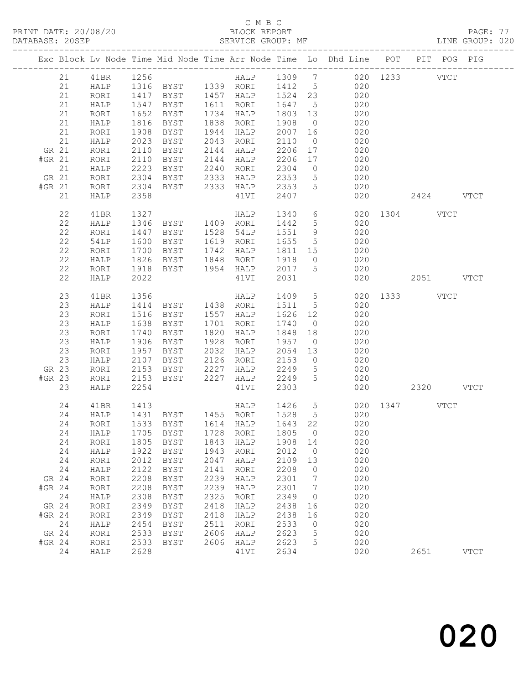#### C M B C<br>BLOCK REPORT

| DATABASE: 20SEP |        |    |              |              |                                  |      | SERVICE GROUP: MF                  |         |                              | LINE GROUP: 020                                                                |               |      |           |             |  |
|-----------------|--------|----|--------------|--------------|----------------------------------|------|------------------------------------|---------|------------------------------|--------------------------------------------------------------------------------|---------------|------|-----------|-------------|--|
|                 |        |    |              |              |                                  |      |                                    |         |                              | Exc Block Lv Node Time Mid Node Time Arr Node Time Lo Dhd Line POT PIT POG PIG |               |      |           |             |  |
|                 |        |    |              |              |                                  |      |                                    |         |                              |                                                                                |               |      |           |             |  |
|                 |        | 21 | HALP         |              |                                  |      |                                    |         |                              | 1316 BYST 1339 RORI 1412 5 020                                                 |               |      |           |             |  |
|                 |        | 21 | RORI         |              |                                  |      | 1417 BYST 1457 HALP 1524 23        |         |                              | 020                                                                            |               |      |           |             |  |
|                 |        | 21 | HALP         |              | 1547 BYST 1611 RORI              |      |                                    | 1647 5  |                              | 020                                                                            |               |      |           |             |  |
|                 |        | 21 | RORI         | 1652         | BYST                             |      | 1734 HALP                          | 1803 13 |                              | 020                                                                            |               |      |           |             |  |
|                 |        | 21 | HALP         | 1816         | BYST                             |      | 1838 RORI                          | 1908    | $\overline{0}$               | 020                                                                            |               |      |           |             |  |
|                 |        | 21 | RORI         | 1908         | BYST                             |      | 1944 HALP                          | 2007    | 16                           | 020                                                                            |               |      |           |             |  |
|                 |        | 21 | HALP         | 2023         | BYST                             |      | 2043 RORI                          | 2110    | $\overline{0}$               | 020                                                                            |               |      |           |             |  |
|                 | GR 21  |    | RORI         | 2110         | BYST                             |      | 2144 HALP                          | 2206    | 17                           | $020$                                                                          |               |      |           |             |  |
|                 | #GR 21 |    | RORI         | 2110         | BYST                             |      | 2144 HALP                          | 2206 17 |                              | 020                                                                            |               |      |           |             |  |
|                 |        | 21 | HALP         | 2223         | BYST                             |      | 2240 RORI                          | 2304    | $\overline{0}$               | 020                                                                            |               |      |           |             |  |
|                 | GR 21  |    | RORI         |              |                                  |      |                                    | 2353    | 5 <sup>5</sup>               | 020                                                                            |               |      |           |             |  |
|                 | #GR 21 |    | RORI         | 2304<br>2304 | BYST 2333 HALP<br>BYST 2333 HALP |      |                                    | 2353    | 5 <sup>5</sup>               | $\frac{1}{020}$                                                                |               |      |           |             |  |
|                 |        | 21 | HALP         | 2358         |                                  |      | 41VI                               | 2407    |                              | 020                                                                            |               |      | 2424 VTCT |             |  |
|                 |        | 22 | 41BR         | 1327         |                                  |      | HALP                               | 1340    | $6\overline{6}$              |                                                                                | 020 1304 VTCT |      |           |             |  |
|                 |        | 22 | HALP         | 1346         |                                  |      |                                    | 1442    | 5 <sup>5</sup>               | 020                                                                            |               |      |           |             |  |
|                 |        | 22 | RORI         | 1447         | <b>BYST</b>                      |      | 1528 54LP                          | 1551 9  |                              | 020                                                                            |               |      |           |             |  |
|                 |        | 22 | 54LP         | 1600         | BYST                             |      | 1619 RORI                          | 1655    | $5\overline{)}$              | 020                                                                            |               |      |           |             |  |
|                 |        | 22 | RORI         | 1700         | <b>BYST</b>                      |      | 1742 HALP                          | 1811 15 |                              | 020                                                                            |               |      |           |             |  |
|                 |        | 22 | HALP         | 1826         | <b>BYST</b>                      |      | 1848 RORI                          | 1918    | $\overline{0}$               | 020                                                                            |               |      |           |             |  |
|                 |        | 22 | RORI         | 1918         | BYST                             |      | 1954 HALP                          | 2017    | $5\overline{)}$              | 020                                                                            |               |      |           |             |  |
|                 |        | 22 | HALP         | 2022         |                                  |      | 41VI                               | 2031    |                              |                                                                                | 020           |      | 2051 VTCT |             |  |
|                 |        | 23 | 41BR         | 1356         |                                  |      | HALP                               | 1409 5  |                              |                                                                                | 020 1333 VTCT |      |           |             |  |
|                 |        | 23 | HALP         | 1414         |                                  |      |                                    | 1511 5  |                              | 020                                                                            |               |      |           |             |  |
|                 |        | 23 | RORI         | 1516         | BYST 1557 HALP                   |      |                                    | 1626 12 |                              | 020                                                                            |               |      |           |             |  |
|                 |        | 23 | HALP         | 1638         | BYST                             |      | 1701 RORI                          | 1740    | $\overline{0}$               | 020                                                                            |               |      |           |             |  |
|                 |        | 23 | RORI         | 1740         | BYST                             |      | 1820 HALP                          | 1848 18 |                              | 020                                                                            |               |      |           |             |  |
|                 |        | 23 | HALP         | 1906         | BYST                             |      | 1928 RORI                          | 1957    | $\overline{0}$               | 020                                                                            |               |      |           |             |  |
|                 |        | 23 | RORI         | 1957         | BYST                             |      | 2032 HALP                          | 2054 13 |                              | 020                                                                            |               |      |           |             |  |
|                 |        | 23 | HALP         | 2107         | BYST                             |      | 2126 RORI                          | 2153    | $\overline{0}$               | 020                                                                            |               |      |           |             |  |
|                 | GR 23  |    | RORI         |              |                                  |      |                                    | 2249    | 5 <sup>5</sup>               | 020                                                                            |               |      |           |             |  |
|                 | #GR 23 |    | RORI         | 2153<br>2153 |                                  |      |                                    | 2249    | $5\overline{)}$              | 020                                                                            |               |      |           |             |  |
|                 |        | 23 | HALP         | 2254         |                                  |      | 41VI                               | 2303    |                              |                                                                                | 020 2320 VTCT |      |           |             |  |
|                 |        | 24 | 41BR         | 1413         |                                  |      |                                    |         |                              | HALP 1426 5 020 1347 VTCT<br>RORI 1528 5 020                                   |               |      |           |             |  |
|                 |        | 24 | HALP         |              |                                  |      | 1415<br>1431 BYST 1455 RORI 1528 5 |         |                              |                                                                                |               |      |           |             |  |
|                 |        |    |              |              |                                  |      |                                    |         |                              | 24 RORI 1533 BYST 1614 HALP 1643 22 020                                        |               |      |           |             |  |
|                 |        | 24 | HALP         | 1705         | BYST                             | 1728 | RORI                               | 1805    | $\overline{0}$               | 020                                                                            |               |      |           |             |  |
|                 |        | 24 | RORI         | 1805         | BYST                             | 1843 | HALP                               | 1908 14 |                              | 020                                                                            |               |      |           |             |  |
|                 |        | 24 | ${\tt HALP}$ | 1922         | BYST                             | 1943 | RORI                               | 2012    | $\overline{0}$               | 020                                                                            |               |      |           |             |  |
|                 |        | 24 | RORI         | 2012         | <b>BYST</b>                      | 2047 | HALP                               | 2109    | 13                           | 020                                                                            |               |      |           |             |  |
|                 |        | 24 | ${\tt HALP}$ | 2122         | <b>BYST</b>                      | 2141 | RORI                               | 2208    | $\overline{0}$               | 020                                                                            |               |      |           |             |  |
|                 | GR 24  |    | RORI         | 2208         | <b>BYST</b>                      | 2239 | HALP                               | 2301    | $\overline{7}$               | 020                                                                            |               |      |           |             |  |
|                 | #GR 24 |    | RORI         | 2208         | BYST                             | 2239 | HALP                               | 2301    | $7\phantom{.0}\phantom{.0}7$ | 020                                                                            |               |      |           |             |  |
|                 |        | 24 | ${\tt HALP}$ | 2308         | <b>BYST</b>                      | 2325 | RORI                               | 2349    | $\overline{0}$               | 020                                                                            |               |      |           |             |  |
|                 | GR 24  |    | RORI         | 2349         | BYST                             | 2418 | HALP                               | 2438    | 16                           | 020                                                                            |               |      |           |             |  |
|                 | #GR 24 |    | RORI         | 2349         | <b>BYST</b>                      | 2418 | HALP                               | 2438    | 16                           | 020                                                                            |               |      |           |             |  |
|                 | 24     |    | ${\tt HALP}$ | 2454         | <b>BYST</b>                      | 2511 | RORI                               | 2533    | $\overline{0}$               | 020                                                                            |               |      |           |             |  |
|                 | GR 24  |    | RORI         | 2533         | BYST                             | 2606 | HALP                               | 2623    | 5                            | 020                                                                            |               |      |           |             |  |
|                 | #GR 24 |    | RORI         | 2533         | BYST                             | 2606 | HALP                               | 2623    | 5                            | 020                                                                            |               |      |           |             |  |
|                 |        | 24 | HALP         | 2628         |                                  |      | 41VI                               | 2634    |                              | 020                                                                            |               | 2651 |           | <b>VTCT</b> |  |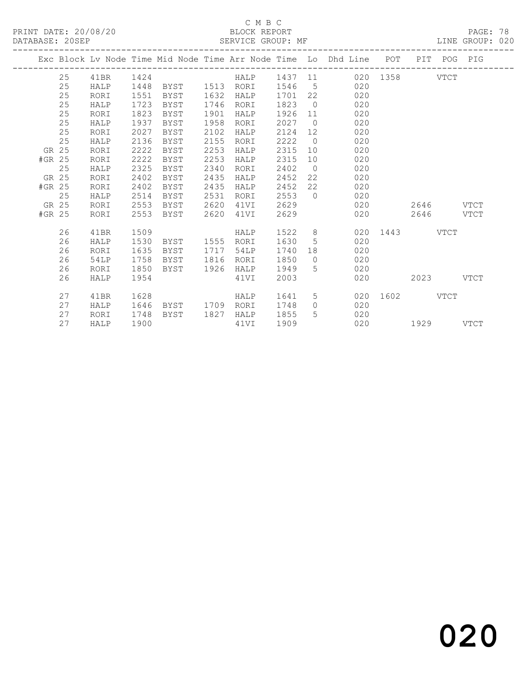#### C M B C<br>BLOCK REPORT

PAGE: 78<br>LINE GROUP: 020

|        |    |      |      |                |      |           |        |                | Exc Block Lv Node Time Mid Node Time Arr Node Time Lo Dhd Line POT |           |           | PIT POG PIG |      |
|--------|----|------|------|----------------|------|-----------|--------|----------------|--------------------------------------------------------------------|-----------|-----------|-------------|------|
|        | 25 | 41BR | 1424 |                |      |           |        |                | HALP 1437 11 020 1358 VTCT                                         |           |           |             |      |
|        | 25 | HALP | 1448 | BYST 1513      |      | RORI      | 1546   |                | $5\degree$<br>020                                                  |           |           |             |      |
|        | 25 | RORI | 1551 | BYST           | 1632 | HALP      | 1701   | 22             | 020                                                                |           |           |             |      |
|        | 25 | HALP | 1723 | BYST           | 1746 | RORI      | 1823   | $\overline{0}$ | 020                                                                |           |           |             |      |
|        | 25 | RORI | 1823 | BYST           | 1901 | HALP      | 1926   |                | 020<br>11                                                          |           |           |             |      |
|        | 25 | HALP | 1937 | BYST           | 1958 | RORI      | 2027   | $\overline{0}$ | 020                                                                |           |           |             |      |
|        | 25 | RORI | 2027 | BYST           | 2102 | HALP      | 2124   | 12             | 020                                                                |           |           |             |      |
|        | 25 | HALP | 2136 | BYST           | 2155 | RORI      | 2222   | $\overline{0}$ | 020                                                                |           |           |             |      |
| GR 25  |    | RORI | 2222 | BYST           | 2253 | HALP      | 2315   | 10             | 020                                                                |           |           |             |      |
| #GR 25 |    | RORI | 2222 | BYST           | 2253 | HALP      | 2315   | 10             | 020                                                                |           |           |             |      |
|        | 25 | HALP | 2325 | BYST           | 2340 | RORI      | 2402   | $\overline{0}$ | 020                                                                |           |           |             |      |
| GR 25  |    | RORI | 2402 | BYST           | 2435 | HALP      | 2452   | 22             | 020                                                                |           |           |             |      |
| #GR 25 |    | RORI | 2402 | BYST           | 2435 | HALP      | 2452   | 22             | 020                                                                |           |           |             |      |
|        | 25 | HALP | 2514 | BYST           | 2531 | RORI      | 2553   |                | $\Omega$<br>020                                                    |           |           |             |      |
| GR 25  |    | RORI | 2553 | BYST           | 2620 | 41VI      | 2629   |                |                                                                    | 020       | 2646 VTCT |             |      |
| #GR 25 |    | RORI | 2553 | BYST           | 2620 | 41VI      | 2629   |                | 020                                                                |           | 2646      |             | VTCT |
|        | 26 | 41BR | 1509 |                |      | HALP      | 1522 8 |                | 020                                                                | 1443 VTCT |           |             |      |
|        | 26 | HALP | 1530 | BYST 1555 RORI |      |           | 1630   | 5              | 020                                                                |           |           |             |      |
|        | 26 | RORI | 1635 | BYST           |      | 1717 54LP | 1740   | 18             | 020                                                                |           |           |             |      |
|        | 26 | 54LP | 1758 | BYST           | 1816 | RORI      | 1850   | $\bigcirc$     | 020                                                                |           |           |             |      |
|        | 26 | RORI | 1850 | BYST           | 1926 | HALP      | 1949   | 5              | 020                                                                |           |           |             |      |
|        | 26 | HALP | 1954 |                |      | 41VI      | 2003   |                | 020                                                                |           | 2023      |             | VTCT |
|        | 27 | 41BR | 1628 |                |      | HALP      | 1641   | 5              | 020                                                                | 1602 160  |           | VTCT        |      |
|        | 27 | HALP | 1646 | BYST           | 1709 | RORI      | 1748   | $\circ$        | 020                                                                |           |           |             |      |
|        | 27 | RORI | 1748 | BYST           | 1827 | HALP      | 1855   | 5              | 020                                                                |           |           |             |      |
|        | 27 | HALP | 1900 |                |      | 41VI      | 1909   |                | 020                                                                | 1929      |           |             | VTCT |
|        |    |      |      |                |      |           |        |                |                                                                    |           |           |             |      |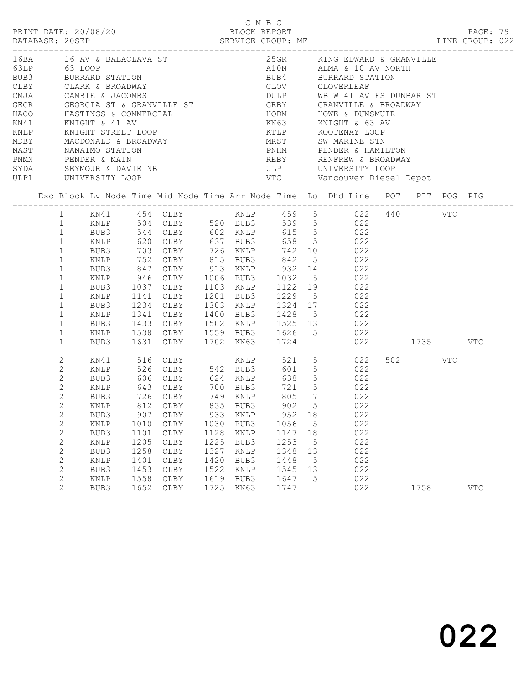|                                                                                                                                                                                                                                                  |                              |              |              |                                                                                                          |              |              | C M B C      |       |   | LINE GROUP: 022                                                                                                                           |         | PAGE: 79   |  |
|--------------------------------------------------------------------------------------------------------------------------------------------------------------------------------------------------------------------------------------------------|------------------------------|--------------|--------------|----------------------------------------------------------------------------------------------------------|--------------|--------------|--------------|-------|---|-------------------------------------------------------------------------------------------------------------------------------------------|---------|------------|--|
| 16BA 16 AV & BALACLAVA ST                                                                                                                                                                                                                        |                              |              |              |                                                                                                          |              |              |              |       |   | 25GR KING EDWARD & GRANVILLE<br>A10N ALMA & 10 AV NORTH<br>BUB4 BURRARD STATION                                                           |         |            |  |
| 63LP 63 LOOP<br>BUB3 BURRARD STATION<br>CLBY CLARK & BROADWAY                                                                                                                                                                                    |                              |              |              |                                                                                                          |              |              |              |       |   |                                                                                                                                           |         |            |  |
|                                                                                                                                                                                                                                                  |                              |              |              |                                                                                                          |              |              |              |       |   |                                                                                                                                           |         |            |  |
|                                                                                                                                                                                                                                                  |                              |              |              |                                                                                                          |              |              |              |       |   | CLOV CLOVERLEAF                                                                                                                           |         |            |  |
| CLARA & BROADWAY<br>CMJA CAMBIE & JACOMBS<br>GEGR GEORGIA ST & GRANVILLE ST<br>HACO HASTINGS & COMMERCIAL<br>KN41 KNIGHT & 41 AV<br>KNLP KNIGHT STREET LOOP<br>MDBY MACDONALD & BROADWAY<br>NAST NANAIMO STATION<br>PENDER & MAIN<br>SYNA SEYMOU |                              |              |              |                                                                                                          |              |              |              |       |   | DULP WB W 41 AV FS DUNBAR ST<br>GRBY GRANVILLE & BROADWAY<br>HODM HOWE & DUNSMUIR<br>KN63 KNIGHT & 63 AV                                  |         |            |  |
|                                                                                                                                                                                                                                                  |                              |              |              |                                                                                                          |              |              |              |       |   |                                                                                                                                           |         |            |  |
|                                                                                                                                                                                                                                                  |                              |              |              |                                                                                                          |              |              |              |       |   |                                                                                                                                           |         |            |  |
|                                                                                                                                                                                                                                                  |                              |              |              |                                                                                                          |              |              |              |       |   |                                                                                                                                           |         |            |  |
|                                                                                                                                                                                                                                                  |                              |              |              |                                                                                                          |              |              |              |       |   | KTLP KOOTENAY LOOP<br>MRST SW MARINE STN<br>PNHM PENDER & HAMILTON                                                                        |         |            |  |
|                                                                                                                                                                                                                                                  |                              |              |              |                                                                                                          |              |              |              |       |   |                                                                                                                                           |         |            |  |
|                                                                                                                                                                                                                                                  |                              |              |              |                                                                                                          |              |              |              |       |   | REBY RENFREW & BROADWAY                                                                                                                   |         |            |  |
|                                                                                                                                                                                                                                                  |                              |              |              |                                                                                                          |              |              |              |       |   |                                                                                                                                           |         |            |  |
|                                                                                                                                                                                                                                                  |                              |              |              |                                                                                                          |              |              |              |       |   |                                                                                                                                           |         |            |  |
| Exc Block Lv Node Time Mid Node Time Arr Node Time Lo Dhd Line POT PIT POG PIG                                                                                                                                                                   |                              |              |              |                                                                                                          |              |              |              |       |   |                                                                                                                                           |         |            |  |
|                                                                                                                                                                                                                                                  |                              |              |              |                                                                                                          |              |              |              |       |   | 1 KN41 454 CLBY<br>1 KNLP 504 CLBY 520 BUB3 539 5 022 440 VTC<br>1 BUB3 544 CLBY 602 KNLP 615 5 022<br>1 BUB3 544 CLBY 602 KNLP 615 5 022 |         |            |  |
|                                                                                                                                                                                                                                                  |                              |              |              |                                                                                                          |              |              |              |       |   |                                                                                                                                           |         |            |  |
|                                                                                                                                                                                                                                                  |                              |              |              |                                                                                                          |              |              |              |       |   |                                                                                                                                           |         |            |  |
|                                                                                                                                                                                                                                                  |                              |              |              | 1 KNLP 620 CLBY 637 BUB3 658 5 022                                                                       |              |              |              |       |   |                                                                                                                                           |         |            |  |
|                                                                                                                                                                                                                                                  | $\mathbf{1}$                 | BUB3         |              |                                                                                                          |              |              |              |       |   |                                                                                                                                           |         |            |  |
|                                                                                                                                                                                                                                                  | $\mathbf{1}$                 | KNLP         |              |                                                                                                          |              |              |              |       |   |                                                                                                                                           |         |            |  |
|                                                                                                                                                                                                                                                  | $\mathbf{1}$                 | BUB3         |              | 703 CLBY 726 KNLP 742 10 022<br>752 CLBY 815 BUB3 842 5 022<br>847 CLBY 913 KNLP 932 14 022              |              |              |              |       |   |                                                                                                                                           |         |            |  |
|                                                                                                                                                                                                                                                  | $\mathbf{1}$                 | KNLP         |              | 946 CLBY 1006 BUB3 1032 5 022                                                                            |              |              |              |       |   |                                                                                                                                           |         |            |  |
|                                                                                                                                                                                                                                                  | $\mathbf{1}$                 | BUB3         |              | 1037 CLBY 1103 KNLP 1122 19 022<br>1141 CLBY 1201 BUB3 1229 5 022<br>1234 CLBY 1303 KNLP 1324 17 022     |              |              |              |       |   |                                                                                                                                           |         |            |  |
|                                                                                                                                                                                                                                                  | $\mathbf{1}$                 | KNLP         |              |                                                                                                          |              |              |              |       |   |                                                                                                                                           |         |            |  |
|                                                                                                                                                                                                                                                  | $\mathbf{1}$                 | BUB3         |              |                                                                                                          |              |              |              |       |   |                                                                                                                                           |         |            |  |
|                                                                                                                                                                                                                                                  | $\mathbf{1}$                 | KNLP         |              | 1341 CLBY 1400 BUB3 1428 5 022                                                                           |              |              |              |       |   |                                                                                                                                           |         |            |  |
|                                                                                                                                                                                                                                                  | $\mathbf{1}$                 | BUB3         |              | 1433 CLBY 1502 KNLP 1525 13 022                                                                          |              |              |              |       |   |                                                                                                                                           |         |            |  |
|                                                                                                                                                                                                                                                  | $\mathbf{1}$                 | KNLP         |              | 1538 CLBY 1559 BUB3 1626 5 022<br>1631 CLBY 1702 KN63 1724 022                                           |              |              |              |       |   |                                                                                                                                           |         |            |  |
|                                                                                                                                                                                                                                                  | $\mathbf{1}$                 | BUB3         |              |                                                                                                          |              |              |              |       |   | 022 1735 VTC                                                                                                                              |         |            |  |
|                                                                                                                                                                                                                                                  | $\mathbf{2}$                 | KN41         |              | 516 CLBY 642 BUB3 601 5 022<br>526 CLBY 542 BUB3 601 5 022<br>606 CLBY 624 KNLP 638 5 022<br>22 21 5 022 |              |              |              |       |   | KNLP $521 \t 5 \t 022$                                                                                                                    | 502 VTC |            |  |
|                                                                                                                                                                                                                                                  | $\mathbf{2}$                 | KNLP         |              |                                                                                                          |              |              |              |       |   |                                                                                                                                           |         |            |  |
|                                                                                                                                                                                                                                                  | $\mathbf{2}$                 | BUB3         |              |                                                                                                          |              |              |              |       |   |                                                                                                                                           |         |            |  |
|                                                                                                                                                                                                                                                  | $\mathbf{2}$                 | KNLP         |              |                                                                                                          |              |              |              |       |   |                                                                                                                                           |         |            |  |
|                                                                                                                                                                                                                                                  | $\overline{2}$               | BUB3         |              | 726 CLBY 749 KNLP                                                                                        |              |              |              | 805 7 |   | 022                                                                                                                                       |         |            |  |
|                                                                                                                                                                                                                                                  | $2^{\circ}$                  | KNLP         |              | 812 CLBY 835 BUB3 902 5                                                                                  |              |              |              |       |   | 022                                                                                                                                       |         |            |  |
|                                                                                                                                                                                                                                                  | $\mathbf{2}$                 | BUB3         | 907          | CLBY                                                                                                     | 933          | KNLP         | 952          | 18    |   | 022                                                                                                                                       |         |            |  |
|                                                                                                                                                                                                                                                  | $\mathbf{2}$                 | KNLP         | 1010         | CLBY                                                                                                     | 1030         | BUB3         | 1056         |       | 5 | 022                                                                                                                                       |         |            |  |
|                                                                                                                                                                                                                                                  | $\mathbf{2}$                 | BUB3         | 1101         | ${\tt CLBY}$                                                                                             | 1128         | KNLP         | 1147         | 18    |   | 022                                                                                                                                       |         |            |  |
|                                                                                                                                                                                                                                                  | $\mathbf{2}$<br>$\mathbf{2}$ | KNLP<br>BUB3 | 1205<br>1258 | CLBY<br>${\tt CLBY}$                                                                                     | 1225<br>1327 | BUB3<br>KNLP | 1253<br>1348 | 13    | 5 | 022<br>022                                                                                                                                |         |            |  |
|                                                                                                                                                                                                                                                  | $\mathbf{2}$                 |              | 1401         | ${\tt CLBY}$                                                                                             | 1420         | BUB3         | 1448         |       |   | 022                                                                                                                                       |         |            |  |
|                                                                                                                                                                                                                                                  | $\mathbf{2}$                 | KNLP<br>BUB3 | 1453         | ${\tt CLBY}$                                                                                             | 1522         | KNLP         | 1545         | 13    | 5 | 022                                                                                                                                       |         |            |  |
|                                                                                                                                                                                                                                                  | $\mathbf{2}$                 | KNLP         | 1558         | ${\tt CLBY}$                                                                                             | 1619         | BUB3         | 1647         |       | 5 | 022                                                                                                                                       |         |            |  |
|                                                                                                                                                                                                                                                  | $\overline{2}$               | BUB3         | 1652         | CLBY                                                                                                     | 1725         | KN63         | 1747         |       |   | 022                                                                                                                                       | 1758    | <b>VTC</b> |  |
|                                                                                                                                                                                                                                                  |                              |              |              |                                                                                                          |              |              |              |       |   |                                                                                                                                           |         |            |  |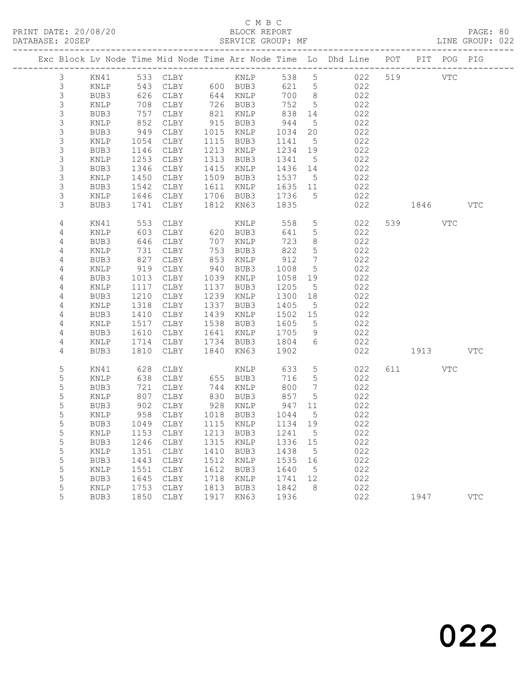# C M B C<br>BLOCK REPORT

|                |              |                                                                                                     |                                              |              |              |              |                              | Exc Block Lv Node Time Mid Node Time Arr Node Time Lo Dhd Line POT |         | PIT POG PIG |            |
|----------------|--------------|-----------------------------------------------------------------------------------------------------|----------------------------------------------|--------------|--------------|--------------|------------------------------|--------------------------------------------------------------------|---------|-------------|------------|
| $\mathcal{S}$  |              |                                                                                                     | KN41 533 CLBY KNLP<br>KNLP 543 CLBY 600 BUB3 |              |              |              |                              | 538 5 022                                                          | 519 VTC |             |            |
| $\mathsf 3$    |              |                                                                                                     |                                              |              |              | 621 5        |                              | 022                                                                |         |             |            |
| 3              | BUB3         | 626                                                                                                 | CLBY                                         |              | 644 KNLP     | 700 8        |                              | 022                                                                |         |             |            |
| $\mathfrak{S}$ | KNLP         | 708                                                                                                 | CLBY                                         |              | 726 BUB3     | 752          | $5\overline{)}$              | 022                                                                |         |             |            |
| 3              | BUB3         | 757                                                                                                 | CLBY                                         | 821          | KNLP         | 838          | 14                           | 022                                                                |         |             |            |
| $\mathsf S$    | KNLP         | $\begin{array}{c} \n \overline{\phantom{0}} \\  852 \\  \overline{\phantom{0}} \\  2\n \end{array}$ | CLBY                                         |              | 915 BUB3     | 944          | $5\overline{)}$              | 022                                                                |         |             |            |
| 3              | BUB3         | 949                                                                                                 | CLBY                                         | 1015         | KNLP         | 1034         | 20                           | 022                                                                |         |             |            |
| $\mathsf S$    | KNLP         | 1054                                                                                                | CLBY                                         |              | 1115 BUB3    | 1141         | $5^{\circ}$                  | 022                                                                |         |             |            |
| 3              | BUB3         | 1146                                                                                                | CLBY                                         | 1213         | KNLP         | 1234         | 19                           | 022                                                                |         |             |            |
| $\mathsf S$    | KNLP         | 1253                                                                                                | CLBY                                         | 1313         | BUB3         | 1341         | $5^{\circ}$                  | 022                                                                |         |             |            |
| 3              | BUB3         | 1346                                                                                                | CLBY                                         | 1415         | KNLP         | 1436 14      |                              | 022                                                                |         |             |            |
| 3              | KNLP         | 1450                                                                                                | CLBY                                         | 1509         | BUB3         | 1537 5       |                              | 022                                                                |         |             |            |
| 3              | BUB3         | 1542                                                                                                | CLBY                                         | 1611         | KNLP         | 1635 11      |                              | 022                                                                |         |             |            |
| $\mathsf S$    | KNLP         | 1646                                                                                                | CLBY                                         |              | 1706 BUB3    | 1736         | $5^{\circ}$                  | 022                                                                |         |             |            |
| 3              | BUB3         | 1741                                                                                                | CLBY                                         |              | 1812 KN63    | 1835         |                              | 022                                                                | 1846    |             | <b>VTC</b> |
| 4              | KN41         | 553                                                                                                 | CLBY                                         |              | KNLP         | 558          | $5\phantom{.0}$              | 022                                                                | 539     | VTC         |            |
| 4              | KNLP         | 603                                                                                                 | CLBY                                         |              | 620 BUB3     | 641          | $5\phantom{.0}$              | 022                                                                |         |             |            |
| 4              | BUB3         | 646                                                                                                 | CLBY                                         | 707          | KNLP         | 723          | 8                            | 022                                                                |         |             |            |
| 4              | KNLP         | 731                                                                                                 | CLBY                                         | 753          | BUB3         | 822          | $5\phantom{.0}$              | 022                                                                |         |             |            |
| 4              | BUB3         | 827                                                                                                 | CLBY                                         | 853          | KNLP         | 912          | $7\phantom{.0}\phantom{.0}7$ | 022                                                                |         |             |            |
| 4              | KNLP         | 919                                                                                                 | CLBY                                         | 940          | BUB3         | 1008         | $5\overline{)}$              | 022                                                                |         |             |            |
| 4              | BUB3         | 1013                                                                                                | CLBY                                         | 1039         | KNLP         | 1058         | 19                           | 022                                                                |         |             |            |
| 4              | KNLP         | 1117                                                                                                | CLBY                                         | 1137         | BUB3         | 1205         | $5^{\circ}$                  | 022                                                                |         |             |            |
| 4              | BUB3         | 1210                                                                                                | CLBY                                         | 1239         | KNLP         | 1300         | 18                           | 022                                                                |         |             |            |
| $\overline{4}$ | KNLP         | 1318                                                                                                | CLBY                                         | 1337         | BUB3         | 1405         | $5^{\circ}$                  | 022                                                                |         |             |            |
| 4              | BUB3         | 1410                                                                                                | CLBY                                         | 1439         | KNLP         | 1502 15      |                              | 022                                                                |         |             |            |
| 4              | KNLP         | 1517                                                                                                | CLBY                                         | 1538         | BUB3         | 1605         | $5^{\circ}$                  | 022                                                                |         |             |            |
| 4              | BUB3         | 1610                                                                                                | CLBY                                         | 1641         | KNLP         | 1705         | 9                            | 022                                                                |         |             |            |
| 4              | KNLP         | 1714                                                                                                | CLBY                                         |              | 1734 BUB3    | 1804         | 6                            | 022                                                                |         |             |            |
| 4              | BUB3         | 1810                                                                                                | CLBY                                         |              | 1840 KN63    | 1902         |                              | 022                                                                | 1913    |             | <b>VTC</b> |
| 5              | KN41         | 628                                                                                                 | CLBY                                         |              | KNLP         | 633          | 5                            | 022                                                                | 611 VTC |             |            |
| 5              | KNLP         | 638                                                                                                 | CLBY                                         |              | 655 BUB3     | 716          | 5                            | 022                                                                |         |             |            |
| 5              | BUB3         | 721                                                                                                 | CLBY                                         | 744          | KNLP         | 800          | $\overline{7}$               | 022                                                                |         |             |            |
| 5              | KNLP         | 807                                                                                                 | CLBY                                         | 830          | BUB3         | 857          | 5                            | 022                                                                |         |             |            |
| 5              | BUB3         | 902                                                                                                 | CLBY                                         |              | 928 KNLP     | 947          | 11                           | 022                                                                |         |             |            |
| 5              | KNLP         | 958                                                                                                 | CLBY                                         |              | 1018 BUB3    | 1044         | $5^{\circ}$                  | 022                                                                |         |             |            |
| 5              | BUB3         |                                                                                                     | 1049 CLBY                                    |              | 1115 KNLP    | 1134 19      |                              | 022                                                                |         |             |            |
| 5              |              |                                                                                                     | KNLP 1153 CLBY 1213 BUB3 1241 5              |              |              |              |                              | 022                                                                |         |             |            |
| 5              | BUB3         | 1246                                                                                                | CLBY                                         | 1315         | KNLP         | 1336         | 15                           | 022                                                                |         |             |            |
| 5              | KNLP         | 1351                                                                                                | CLBY                                         | 1410         | BUB3         | 1438         | 5                            | 022<br>022                                                         |         |             |            |
| $\mathsf S$    | BUB3         | 1443                                                                                                | CLBY                                         | 1512         | KNLP         | 1535         | 16                           |                                                                    |         |             |            |
| 5<br>5         | KNLP<br>BUB3 | 1551                                                                                                | CLBY<br>${\tt CLBY}$                         | 1612<br>1718 | BUB3         | 1640         | 5                            | 022<br>022                                                         |         |             |            |
| 5              |              | 1645<br>1753                                                                                        |                                              | 1813         | KNLP         | 1741<br>1842 | 12<br>8                      | 022                                                                |         |             |            |
| 5              | KNLP<br>BUB3 | 1850                                                                                                | CLBY<br>CLBY                                 | 1917         | BUB3<br>KN63 | 1936         |                              | 022                                                                | 1947    |             | <b>VTC</b> |
|                |              |                                                                                                     |                                              |              |              |              |                              |                                                                    |         |             |            |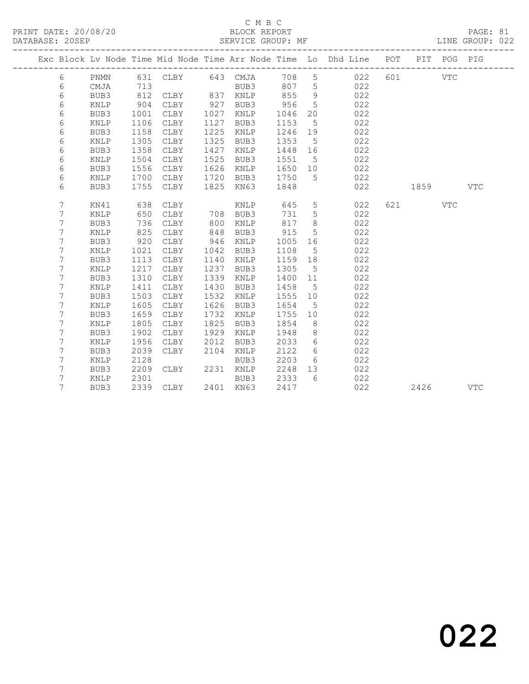#### C M B C<br>BLOCK REPORT

|  |                |      |      |                   |      |               |         |                 | Exc Block Lv Node Time Mid Node Time Arr Node Time Lo Dhd Line POT PIT POG PIG |         |     |            |
|--|----------------|------|------|-------------------|------|---------------|---------|-----------------|--------------------------------------------------------------------------------|---------|-----|------------|
|  | 6              | PNMN |      | 631 CLBY 643 CMJA |      |               |         |                 | 708 5 022                                                                      | 601 VTC |     |            |
|  | 6              | CMJA | 713  |                   |      | BUB3          | 807 5   |                 | 022                                                                            |         |     |            |
|  | 6              | BUB3 | 812  | CLBY              |      | 837 KNLP      | 855     | 9               | 022                                                                            |         |     |            |
|  | 6              | KNLP | 904  | CLBY              | 927  | BUB3          | 956     | $5^{\circ}$     | 022                                                                            |         |     |            |
|  | 6              | BUB3 | 1001 | CLBY              | 1027 | KNLP          | 1046    | 20              | 022                                                                            |         |     |            |
|  | 6              | KNLP | 1106 | CLBY              | 1127 | BUB3          | 1153    | $5^{\circ}$     | 022                                                                            |         |     |            |
|  | 6              | BUB3 | 1158 | CLBY              | 1225 | KNLP          | 1246    | 19              | 022                                                                            |         |     |            |
|  | 6              | KNLP | 1305 | CLBY              | 1325 | BUB3          | 1353    | $5^{\circ}$     | 022                                                                            |         |     |            |
|  | 6              | BUB3 | 1358 | CLBY              | 1427 | KNLP          | 1448    | 16              | 022                                                                            |         |     |            |
|  | 6              | KNLP | 1504 | CLBY              | 1525 | BUB3          | 1551    | $5^{\circ}$     | 022                                                                            |         |     |            |
|  | 6              | BUB3 | 1556 | CLBY              | 1626 | KNLP          | 1650    | 10              | 022                                                                            |         |     |            |
|  | 6              | KNLP | 1700 | CLBY              | 1720 | BUB3          | 1750    | $5^{\circ}$     | 022                                                                            |         |     |            |
|  | 6              | BUB3 | 1755 | CLBY              | 1825 | KN63          | 1848    |                 | 022                                                                            | 1859    |     | <b>VTC</b> |
|  |                |      |      |                   |      |               |         |                 |                                                                                |         |     |            |
|  | $7\phantom{.}$ | KN41 | 638  | CLBY              |      | $\verb KNLP $ | 645     | $5\phantom{.0}$ | 022                                                                            | 621 7   | VTC |            |
|  | 7              | KNLP | 650  | CLBY              |      | 708 BUB3      | 731     | 5               | 022                                                                            |         |     |            |
|  | 7              | BUB3 | 736  | CLBY              | 800  | KNLP          | 817     | 8               | 022                                                                            |         |     |            |
|  | 7              | KNLP | 825  | CLBY              | 848  | BUB3          | 915     | $5\phantom{.0}$ | 022                                                                            |         |     |            |
|  | 7              | BUB3 | 920  | CLBY              | 946  | KNLP          | 1005    | 16              | 022                                                                            |         |     |            |
|  | 7              | KNLP | 1021 | CLBY              | 1042 | BUB3          | 1108    | $5^{\circ}$     | 022                                                                            |         |     |            |
|  | 7              | BUB3 | 1113 | CLBY              | 1140 | KNLP          | 1159 18 |                 | 022                                                                            |         |     |            |
|  | 7              | KNLP | 1217 | CLBY              | 1237 | BUB3          | 1305    | 5               | 022                                                                            |         |     |            |
|  | $\overline{7}$ | BUB3 | 1310 | CLBY              | 1339 | KNLP          | 1400    | 11              | 022                                                                            |         |     |            |
|  | 7              | KNLP | 1411 | CLBY              | 1430 | BUB3          | 1458    | $5^{\circ}$     | 022                                                                            |         |     |            |
|  | 7              | BUB3 | 1503 | CLBY              | 1532 | KNLP          | 1555    | 10              | 022                                                                            |         |     |            |
|  | 7              | KNLP | 1605 | CLBY              | 1626 | BUB3          | 1654    | $5\phantom{0}$  | 022                                                                            |         |     |            |
|  | 7              | BUB3 | 1659 | CLBY              | 1732 | KNLP          | 1755    | 10              | 022                                                                            |         |     |            |
|  | 7              | KNLP | 1805 | CLBY              | 1825 | BUB3          | 1854    | 8 <sup>8</sup>  | 022                                                                            |         |     |            |
|  | 7              | BUB3 | 1902 | CLBY              | 1929 | KNLP          | 1948    | 8 <sup>8</sup>  | 022                                                                            |         |     |            |
|  | 7              | KNLP | 1956 | CLBY              | 2012 | BUB3          | 2033    | 6               | 022                                                                            |         |     |            |
|  | 7              | BUB3 | 2039 | CLBY              | 2104 | KNLP          | 2122    | 6               | 022                                                                            |         |     |            |
|  | 7              | KNLP | 2128 |                   |      | BUB3          | 2203    | 6               | 022                                                                            |         |     |            |
|  | 7              | BUB3 | 2209 | CLBY              |      | 2231 KNLP     | 2248    | 13              | 022                                                                            |         |     |            |
|  | 7              | KNLP | 2301 |                   |      | BUB3          | 2333    | 6               | 022                                                                            |         |     |            |
|  | 7              | BUB3 |      | 2339 CLBY         |      | 2401 KN63     | 2417    |                 | 022                                                                            | 2426    |     | <b>VTC</b> |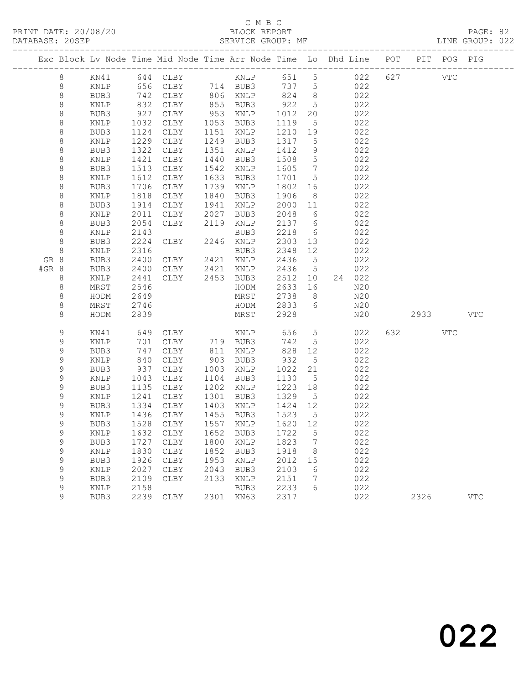# C M B C<br>BLOCK REPORT

|       |             |              |              | Exc Block Lv Node Time Mid Node Time Arr Node Time Lo Dhd Line POT |              |                      |              |                                  |            |     |            | PIT POG PIG |            |
|-------|-------------|--------------|--------------|--------------------------------------------------------------------|--------------|----------------------|--------------|----------------------------------|------------|-----|------------|-------------|------------|
|       | 8           |              |              | KN41 644 CLBY KNLP 651 5                                           |              |                      |              |                                  | 022        | 627 | <b>VTC</b> |             |            |
|       | 8           | KNLP         |              | 656 CLBY 714 BUB3                                                  |              |                      | 737 5        |                                  | 022        |     |            |             |            |
|       | $\,8\,$     | BUB3         | 742          | CLBY                                                               |              | 806 KNLP             | 824 8        |                                  | 022        |     |            |             |            |
|       | 8           | KNLP         | 832          | CLBY                                                               |              | 855 BUB3             | 922          | $5^{\circ}$                      | 022        |     |            |             |            |
|       | $\,8\,$     | BUB3         | 927          | CLBY                                                               |              | 953 KNLP             | 1012         | 20                               | 022        |     |            |             |            |
|       | 8           | KNLP         | 1032         | CLBY                                                               |              | 1053 BUB3            | 1119         | $5\overline{)}$                  | 022        |     |            |             |            |
|       | 8           | BUB3         | 1124         | CLBY                                                               |              | 1151 KNLP            | 1210 19      |                                  | 022        |     |            |             |            |
|       | 8           | KNLP         | 1229         | CLBY                                                               |              | 1249 BUB3            | 1317         | $5^{\circ}$                      | 022        |     |            |             |            |
|       | $\,8\,$     | BUB3         | 1322         | CLBY                                                               |              | 1351 KNLP            | 1412         | 9                                | 022        |     |            |             |            |
|       | $\,8\,$     | KNLP         | 1421         | CLBY                                                               | 1440         | BUB3                 | 1508         | $5\overline{)}$                  | 022        |     |            |             |            |
|       | 8<br>8      | BUB3<br>KNLP | 1513<br>1612 | CLBY<br>CLBY                                                       | 1542<br>1633 | KNLP<br>BUB3         | 1605<br>1701 | $\overline{7}$<br>$5^{\circ}$    | 022<br>022 |     |            |             |            |
|       | $\,8\,$     | BUB3         | 1706         | CLBY                                                               |              | 1739 KNLP            | 1802 16      |                                  | 022        |     |            |             |            |
|       | $\,8\,$     | KNLP         | 1818         | CLBY                                                               |              | 1840 BUB3            | 1906         | 8 <sup>8</sup>                   | 022        |     |            |             |            |
|       | 8           | BUB3         | 1914         | CLBY                                                               | 1941         | KNLP                 | 2000 11      |                                  | 022        |     |            |             |            |
|       | 8           | KNLP         | 2011         | CLBY 2027 BUB3                                                     |              |                      | 2048         | 6                                | 022        |     |            |             |            |
|       | $\,8\,$     | BUB3         | 2054         | CLBY                                                               |              | 2119 KNLP            | 2137 6       |                                  | 022        |     |            |             |            |
|       | 8           | KNLP         | 2143         |                                                                    |              | BUB3                 | 2218         | 6                                | 022        |     |            |             |            |
|       | 8           | BUB3         | 2224         | CLBY                                                               |              | 2246 KNLP            | 2303 13      |                                  | 022        |     |            |             |            |
|       | 8           | KNLP         | 2316         |                                                                    |              | BUB3                 | 2348         | 12                               | 022        |     |            |             |            |
| GR 8  |             | BUB3         | 2400         | CLBY 2421 KNLP                                                     |              |                      | 2436         | $5^{\circ}$                      | 022        |     |            |             |            |
| #GR 8 |             | BUB3         | 2400         | CLBY                                                               |              | 2421 KNLP            | 2436 5       |                                  | 022        |     |            |             |            |
|       | 8           | KNLP         | 2441         | CLBY                                                               |              | 2453 BUB3            | 2512 10      |                                  | 24 022     |     |            |             |            |
|       | 8           | MRST         | 2546         |                                                                    |              | HODM                 | 2633 16      |                                  | N20        |     |            |             |            |
|       | 8           | HODM         | 2649         |                                                                    |              | MRST                 | 2738         | 8 <sup>8</sup>                   | N20        |     |            |             |            |
|       | $\,8\,$     | MRST         | 2746         |                                                                    |              | HODM                 | 2833 6       |                                  | N20        |     |            |             |            |
|       | 8           | HODM         | 2839         |                                                                    |              | MRST                 | 2928         |                                  | N20        |     | 2933       |             | VTC        |
|       | 9           | KN41         |              | 649 CLBY                                                           |              | KNLP                 | 656          | $5\overline{)}$                  | 022        |     | 632 VTC    |             |            |
|       | 9           | KNLP         | 701          | CLBY                                                               |              | 719 BUB3<br>811 KNLP | 742          | $5^{\circ}$                      | 022        |     |            |             |            |
|       | 9           | BUB3         | 747          | CLBY                                                               |              | 811 KNLP             | 828          | 12                               | 022        |     |            |             |            |
|       | 9           | KNLP         | 840          | CLBY                                                               |              | 903 BUB3             | 932          | $5^{\circ}$                      | 022        |     |            |             |            |
|       | 9           | BUB3         | 937          | CLBY                                                               |              | 1003 KNLP            | 1022         | 21                               | 022        |     |            |             |            |
|       | 9           | KNLP         | 1043         | CLBY                                                               | 1104         | BUB3                 | 1130         | 5 <sup>5</sup>                   | 022        |     |            |             |            |
|       | $\mathsf 9$ | BUB3         | 1135         | CLBY                                                               | 1202         | KNLP                 | 1223 18      |                                  | 022        |     |            |             |            |
|       | 9           | KNLP         | 1241         | CLBY                                                               | 1301         | BUB3                 | 1329         | $5^{\circ}$                      | 022        |     |            |             |            |
|       | 9           | BUB3         | 1334         | CLBY                                                               |              | 1403 KNLP            | 1424         | 12                               | 022        |     |            |             |            |
|       | 9           | KNLP         | 1436         | CLBY                                                               |              | 1455 BUB3            | 1523         | $5^{\circ}$                      | 022        |     |            |             |            |
|       | $\mathsf 9$ | BUB3         | 1528         | CLBY                                                               |              | 1557 KNLP            | 1620 12      |                                  | 022        |     |            |             |            |
|       | 9           |              |              | KNLP 1632 CLBY 1652 BUB3 1722 5                                    |              |                      |              |                                  | 022        |     |            |             |            |
|       | 9<br>9      | BUB3<br>KNLP | 1727<br>1830 | CLBY<br>CLBY                                                       | 1800<br>1852 | KNLP<br>BUB3         | 1823<br>1918 | $\overline{7}$<br>8 <sup>8</sup> | 022<br>022 |     |            |             |            |
|       | 9           | BUB3         | 1926         | CLBY                                                               | 1953         | KNLP                 | 2012         | 15                               | 022        |     |            |             |            |
|       | 9           | KNLP         | 2027         | CLBY                                                               | 2043         | BUB3                 | 2103         | 6                                | 022        |     |            |             |            |
|       | 9           | BUB3         | 2109         | CLBY                                                               | 2133         | KNLP                 | 2151         | 7                                | 022        |     |            |             |            |
|       | 9           | KNLP         | 2158         |                                                                    |              | BUB3                 | 2233         | 6                                | 022        |     |            |             |            |
|       | 9           | BUB3         |              | 2239 CLBY                                                          |              | 2301 KN63            | 2317         |                                  | 022        |     | 2326       |             | <b>VTC</b> |
|       |             |              |              |                                                                    |              |                      |              |                                  |            |     |            |             |            |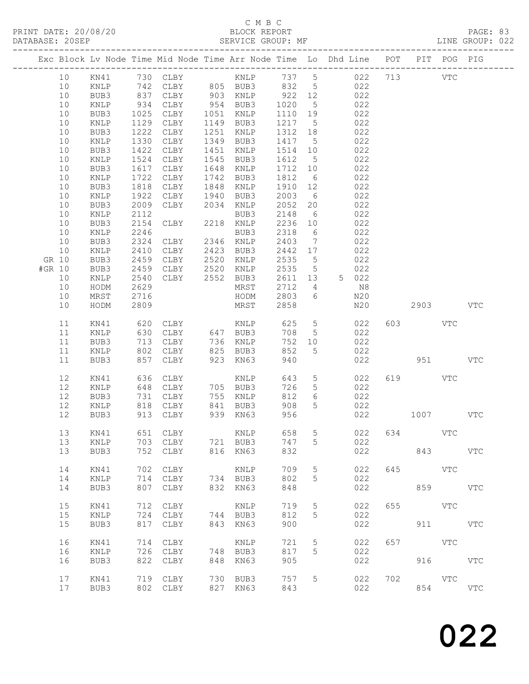#### C M B C<br>BLOCK REPORT

|        |       |                 |            |          |      |                      |         |                 | Exc Block Lv Node Time Mid Node Time Arr Node Time Lo Dhd Line POT PIT POG PIG |         |            |              |            |
|--------|-------|-----------------|------------|----------|------|----------------------|---------|-----------------|--------------------------------------------------------------------------------|---------|------------|--------------|------------|
|        | 10    | KN41            |            | 730 CLBY |      |                      |         |                 | KNLP 737 5 022 713                                                             |         |            | $_{\rm VTC}$ |            |
|        | 10    | KNLP            |            | 742 CLBY |      | 805 BUB3             | 832     | $5\overline{)}$ | 022                                                                            |         |            |              |            |
|        | 10    | BUB3            |            | CLBY     |      |                      | 922 12  |                 | 022                                                                            |         |            |              |            |
|        | 10    | $\texttt{KNLP}$ | 837<br>934 | CLBY     |      | 903 KNLP<br>954 BUB3 | 1020    | $5\overline{)}$ | 022                                                                            |         |            |              |            |
|        | 10    | BUB3            | 1025       | CLBY     |      | 1051 KNLP            | 1110 19 |                 | 022                                                                            |         |            |              |            |
|        | 10    |                 | 1129       |          | 1149 |                      | 1217    |                 |                                                                                |         |            |              |            |
|        |       | KNLP            |            | CLBY     |      | BUB3                 |         | $5^{\circ}$     | 022                                                                            |         |            |              |            |
|        | 10    | BUB3            | 1222       | CLBY     | 1251 | KNLP                 | 1312    | 18              | 022                                                                            |         |            |              |            |
|        | 10    | $\texttt{KNLP}$ | 1330       | CLBY     | 1349 | BUB3                 | 1417    | $5^{\circ}$     | 022                                                                            |         |            |              |            |
|        | 10    | BUB3            | 1422       | CLBY     | 1451 | KNLP                 | 1514    | 10              | 022                                                                            |         |            |              |            |
|        | 10    | KNLP            | 1524       | CLBY     | 1545 | BUB3                 | 1612    | $5\overline{)}$ | 022                                                                            |         |            |              |            |
|        | 10    | BUB3            | 1617       | CLBY     | 1648 | KNLP                 | 1712    | 10              | 022                                                                            |         |            |              |            |
|        | 10    | $\texttt{KNLP}$ | 1722       | CLBY     | 1742 | BUB3                 | 1812    | $6\overline{6}$ | 022                                                                            |         |            |              |            |
|        | 10    | BUB3            | 1818       | CLBY     | 1848 | KNLP                 | 1910    | 12              | 022                                                                            |         |            |              |            |
|        | 10    | KNLP            | 1922       | CLBY     | 1940 | BUB3                 | 2003    | $6\overline{6}$ | 022                                                                            |         |            |              |            |
|        | 10    | BUB3            | 2009       | CLBY     | 2034 | KNLP                 | 2052    | 20              | 022                                                                            |         |            |              |            |
|        | 10    | $\texttt{KNLP}$ | 2112       |          |      | BUB3                 | 2148    | $6\overline{6}$ | 022                                                                            |         |            |              |            |
|        | 10    | BUB3            | 2154       | CLBY     |      | 2218 KNLP            | 2236    | 10              | 022                                                                            |         |            |              |            |
|        | 10    | KNLP            | 2246       |          |      | BUB3                 | 2318    | $6\overline{6}$ | 022                                                                            |         |            |              |            |
|        | 10    | BUB3            | 2324       | CLBY     | 2346 | KNLP                 | 2403    | $\overline{7}$  | 022                                                                            |         |            |              |            |
|        | 10    | $\texttt{KNLP}$ | 2410       | CLBY     | 2423 | BUB3                 | 2442 17 |                 | 022                                                                            |         |            |              |            |
|        | GR 10 | BUB3            | 2459       | CLBY     | 2520 | KNLP                 | 2535    | $5\overline{)}$ | 022                                                                            |         |            |              |            |
| #GR 10 |       | BUB3            | 2459       | CLBY     | 2520 | KNLP                 | 2535    | $5\overline{)}$ | 022                                                                            |         |            |              |            |
|        | 10    | KNLP            | 2540       | CLBY     | 2552 | BUB3                 | 2611    | 13              | 5 022                                                                          |         |            |              |            |
|        | 10    | HODM            | 2629       |          |      | MRST                 | 2712    | $\overline{4}$  | N8                                                                             |         |            |              |            |
|        | 10    |                 | 2716       |          |      |                      | 2803    | 6               |                                                                                |         |            |              |            |
|        | 10    | MRST            | 2809       |          |      | HODM<br>MRST         | 2858    |                 | N20<br>N20                                                                     |         | 2903       |              | <b>VTC</b> |
|        |       | HODM            |            |          |      |                      |         |                 |                                                                                |         |            |              |            |
|        |       |                 | 620        |          |      |                      |         | $5\overline{)}$ |                                                                                |         | 603 VTC    |              |            |
|        | 11    | KN41            |            | CLBY     |      | KNLP                 | 625     |                 | 022                                                                            |         |            |              |            |
|        | 11    | KNLP            | 630        | CLBY     |      | 647 BUB3             | 708     | $5\overline{)}$ | 022                                                                            |         |            |              |            |
|        | 11    | BUB3            | 713        | CLBY     |      | 736 KNLP             | 752     | 10              | 022                                                                            |         |            |              |            |
|        | 11    | KNLP            | 802        | CLBY     | 825  | BUB3                 | 852     | 5               | 022                                                                            |         |            |              |            |
|        | 11    | BUB3            | 857        | CLBY     | 923  | KN63                 | 940     |                 | 022                                                                            |         | 951        |              | <b>VTC</b> |
|        |       |                 |            |          |      |                      |         |                 |                                                                                |         |            |              |            |
|        | 12    | KN41            | 636        | CLBY     |      | KNLP                 | 643     | $5\phantom{.0}$ | 022                                                                            |         | 619        | VTC          |            |
|        | 12    | KNLP            | 648        | CLBY     |      | 705 BUB3             | 726     | $5\phantom{.0}$ | 022                                                                            |         |            |              |            |
|        | 12    | BUB3            | 731        | CLBY     |      | 755 KNLP             | 812     | 6               | 022                                                                            |         |            |              |            |
|        | 12    | KNLP            | 818        | CLBY     |      | 841 BUB3             | 908     | 5               | 022                                                                            |         |            |              |            |
|        | 12    | BUB3            |            | 913 CLBY |      | 939 KN63             | 956     |                 | 022                                                                            |         | 1007       |              | <b>VTC</b> |
|        |       |                 |            |          |      |                      |         |                 |                                                                                |         |            |              |            |
|        | 13    | KN41            |            | 651 CLBY |      | KNLP                 | 658 5   |                 |                                                                                | 022 634 |            | VTC          |            |
|        | 13    | KNLP            | 703        | CLBY     |      | 721 BUB3             | 747     | 5               | 022                                                                            |         |            |              |            |
|        | 13    | BUB3            | 752        | CLBY     | 816  | KN63                 | 832     |                 | 022                                                                            |         | 843        |              | <b>VTC</b> |
|        |       |                 |            |          |      |                      |         |                 |                                                                                |         |            |              |            |
|        | 14    | KN41            | 702        | CLBY     |      | <b>KNLP</b>          | 709     | 5               | 022                                                                            | 645     |            | VTC          |            |
|        | 14    | $\texttt{KNLP}$ | 714        | CLBY     |      | 734 BUB3             | 802     | 5               | 022                                                                            |         |            |              |            |
|        | 14    | BUB3            | 807        | CLBY     | 832  | KN63                 | 848     |                 | 022                                                                            |         |            | 859          | <b>VTC</b> |
|        |       |                 |            |          |      |                      |         |                 |                                                                                |         |            |              |            |
|        | 15    | KN41            | 712        | CLBY     |      | KNLP                 | 719     | 5               | 022                                                                            | 655     | <b>VTC</b> |              |            |
|        | 15    | KNLP            | 724        | CLBY     |      | 744 BUB3             | 812     | 5               | 022                                                                            |         |            |              |            |
|        | 15    | BUB3            | 817        | CLBY     | 843  | KN63                 | 900     |                 | 022                                                                            |         |            | 911 7        | <b>VTC</b> |
|        |       |                 |            |          |      |                      |         |                 |                                                                                |         |            |              |            |
|        | 16    | KN41            | 714        | CLBY     |      | <b>KNLP</b>          | 721     | 5               | 022                                                                            | 657     |            | <b>VTC</b>   |            |
|        | 16    | KNLP            | 726        | CLBY     | 748  | BUB3                 | 817     | 5               | 022                                                                            |         |            |              |            |
|        | 16    | BUB3            | 822        | CLBY     | 848  | KN63                 | 905     |                 | 022                                                                            |         |            | 916          | <b>VTC</b> |
|        |       |                 |            |          |      |                      |         |                 |                                                                                |         |            |              |            |
|        | 17    | KN41            | 719        | CLBY     | 730  | BUB3                 | 757     | 5               | 022                                                                            | 702     | <b>VTC</b> |              |            |
|        | 17    | BUB3            | 802        |          | 827  | KN63                 | 843     |                 | 022                                                                            |         | 854        |              | <b>VTC</b> |
|        |       |                 |            | CLBY     |      |                      |         |                 |                                                                                |         |            |              |            |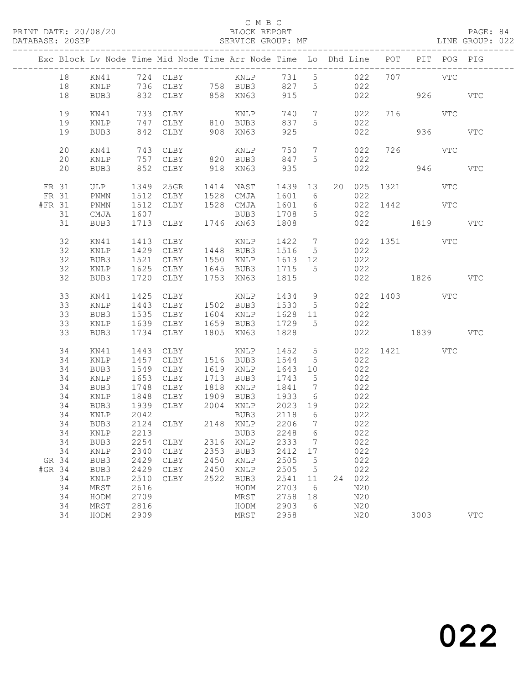#### C M B C<br>BLOCK REPORT SERVICE GROUP: MF

|                 |          |                         |              | Exc Block Lv Node Time Mid Node Time Arr Node Time Lo Dhd Line POT |              |                                  |              |                                    |    |            |     |                 | PIT POG PIG |            |
|-----------------|----------|-------------------------|--------------|--------------------------------------------------------------------|--------------|----------------------------------|--------------|------------------------------------|----|------------|-----|-----------------|-------------|------------|
|                 | 18       | KN41                    |              |                                                                    |              |                                  |              |                                    |    |            |     | 707 VTC         |             |            |
|                 | 18       | KNLP                    |              |                                                                    |              |                                  |              |                                    |    |            |     |                 |             |            |
|                 | 18       | BUB3                    |              |                                                                    |              |                                  |              |                                    |    |            |     | 926 VTC         |             |            |
|                 |          |                         | 733          |                                                                    |              |                                  |              |                                    |    |            |     |                 |             |            |
|                 | 19<br>19 | KN41<br>$\texttt{KNLP}$ |              | CLBY<br>747 CLBY                                                   |              | KNLP<br>BUB3<br>KNLP<br>810 BUB3 | 740<br>837   | $7\overline{ }$<br>$5\overline{)}$ |    | 022<br>022 |     | 716 VTC         |             |            |
|                 | 19       | BUB3                    |              | 842 CLBY                                                           |              | 908 KN63                         | 925          |                                    |    | 022        |     |                 | 936 000     | <b>VTC</b> |
|                 |          |                         |              |                                                                    |              |                                  |              |                                    |    |            |     |                 |             |            |
|                 | 20       | KN41                    |              |                                                                    |              |                                  | 750          | $\overline{7}$                     |    | 022        |     | 726 VTC         |             |            |
|                 | 20       | KNLP                    |              |                                                                    |              |                                  | 847          | 5                                  |    | 022        |     |                 |             |            |
|                 | 20       | BUB3                    |              | 743 CLBY<br>757 CLBY<br>852 CLBY                                   |              | KNLP<br>820 BUB3<br>918 KN63     | 935          |                                    |    | 022        |     |                 | 946 940     | <b>VTC</b> |
| FR 31           |          | ULP                     | 1349         | $25$ GR                                                            |              | 1414 NAST                        | 1439         | 13                                 |    |            |     | 20 025 1321 VTC |             |            |
| FR 31           |          | PNMN                    | 1512         | CLBY                                                               |              | 1528 CMJA                        | 1601         | $6\overline{6}$                    |    | 022        |     |                 |             |            |
| #FR 31          |          | PNMN                    | 1512         | CLBY                                                               |              | 1528 CMJA                        | 1601         | $6\overline{6}$                    |    |            |     | 022 1442 VTC    |             |            |
|                 | 31       | CMJA                    | 1607         |                                                                    |              | BUB3                             | 1708         | $5^{\circ}$                        |    | 022        |     |                 |             |            |
|                 | 31       | BUB3                    | 1713         | CLBY                                                               |              | 1746 KN63                        | 1808         |                                    |    |            | 022 | 1819            |             | <b>VTC</b> |
|                 |          |                         |              |                                                                    |              |                                  |              |                                    |    |            |     |                 |             |            |
|                 | 32       | KN41                    | 1413         | CLBY                                                               |              | KNLP                             | 1422         | $7\overline{ }$                    |    |            |     | 022 1351 VTC    |             |            |
|                 | 32       | KNLP                    | 1429         | CLBY                                                               |              | 1448 BUB3                        | 1516         | $5\overline{)}$                    |    | 022        |     |                 |             |            |
|                 | 32       | BUB3                    | 1521         | CLBY                                                               |              | 1550 KNLP                        | 1613 12      |                                    |    | 022        |     |                 |             |            |
|                 | 32<br>32 | KNLP                    | 1625<br>1720 | CLBY                                                               |              | 1645 BUB3<br>1753 KN63           | 1715<br>1815 | $5^{\circ}$                        |    | 022        |     | 022 1826        |             | <b>VTC</b> |
|                 |          | BUB3                    |              | CLBY                                                               |              |                                  |              |                                    |    |            |     |                 |             |            |
|                 | 33       | KN41                    | 1425         | CLBY                                                               |              | KNLP                             | 1434         | 9                                  |    | 022        |     | 1403 VTC        |             |            |
|                 | 33       | KNLP                    | 1443         | CLBY                                                               |              | 1502 BUB3                        | 1530         | $5\overline{)}$                    |    | 022        |     |                 |             |            |
|                 | 33       | BUB3                    | 1535         | CLBY                                                               |              | 1604 KNLP                        | 1628         | 11                                 |    | 022        |     |                 |             |            |
|                 | 33       | KNLP                    |              | 1639 CLBY                                                          |              | 1659 BUB3                        | 1729         | $5^{\circ}$                        |    | 022        |     |                 |             |            |
|                 | 33       | BUB3                    | 1734         | CLBY                                                               |              | 1805 KN63                        | 1828         |                                    |    |            |     | 022 1839 VTC    |             |            |
|                 | 34       | KN41                    | 1443         | CLBY                                                               |              | KNLP                             | 1452         | 5 <sup>5</sup>                     |    |            |     | 022 1421 VTC    |             |            |
|                 | 34       | KNLP                    | 1457         | CLBY                                                               |              | 1516 BUB3                        | 1544         | $5\overline{)}$                    |    | 022        |     |                 |             |            |
|                 | 34       | BUB3                    | 1549         | CLBY                                                               |              | 1619 KNLP                        | 1643         | 10                                 |    | 022        |     |                 |             |            |
|                 | 34       | KNLP                    | 1653         | CLBY                                                               |              | 1713 BUB3                        | 1743         | $5\overline{)}$                    |    | 022        |     |                 |             |            |
|                 | 34       | BUB3                    | 1748         | CLBY                                                               | 1818         | KNLP                             | 1841         | $7\phantom{.0}\phantom{.0}7$       |    | 022        |     |                 |             |            |
|                 | 34       | KNLP                    | 1848         | CLBY                                                               | 1909         | BUB3                             | 1933         | $6\overline{6}$                    |    | 022        |     |                 |             |            |
|                 | 34       | BUB3                    |              | 1939 CLBY                                                          |              | 2004 KNLP 2023 19                |              |                                    |    | 022        |     |                 |             |            |
|                 | 34       | KNLP                    | 2042         |                                                                    |              | BUB3                             | 2118         | $6\overline{6}$                    |    | 022        |     |                 |             |            |
|                 | 34       | BUB3                    |              | 2124 CLBY 2148 KNLP                                                |              |                                  | 2206         | $\overline{7}$                     |    | 022        |     |                 |             |            |
|                 |          |                         |              | 34 KNLP 2213 BUB3 2248 6                                           |              |                                  |              |                                    |    | 022        |     |                 |             |            |
|                 | 34       | BUB3                    | 2254         | CLBY                                                               | 2316         | KNLP                             | 2333         | 7                                  |    | 022        |     |                 |             |            |
|                 | 34       | KNLP                    | 2340         | CLBY                                                               | 2353         | BUB3                             | 2412         | 17                                 |    | 022        |     |                 |             |            |
| GR 34<br>#GR 34 |          | BUB3                    | 2429<br>2429 | CLBY                                                               | 2450<br>2450 | KNLP                             | 2505<br>2505 | 5                                  |    | 022<br>022 |     |                 |             |            |
|                 | 34       | BUB3<br>KNLP            | 2510         | CLBY<br>CLBY                                                       | 2522         | KNLP<br>BUB3                     | 2541         | 5<br>11                            | 24 | 022        |     |                 |             |            |
|                 | 34       | MRST                    | 2616         |                                                                    |              | HODM                             | 2703         | 6                                  |    | N20        |     |                 |             |            |
|                 | 34       | HODM                    | 2709         |                                                                    |              | MRST                             | 2758         | 18                                 |    | N20        |     |                 |             |            |
|                 | 34       | MRST                    | 2816         |                                                                    |              | HODM                             | 2903         | 6                                  |    | N20        |     |                 |             |            |
|                 | 34       | HODM                    | 2909         |                                                                    |              | MRST                             | 2958         |                                    |    | N20        |     | 3003            |             | <b>VTC</b> |
|                 |          |                         |              |                                                                    |              |                                  |              |                                    |    |            |     |                 |             |            |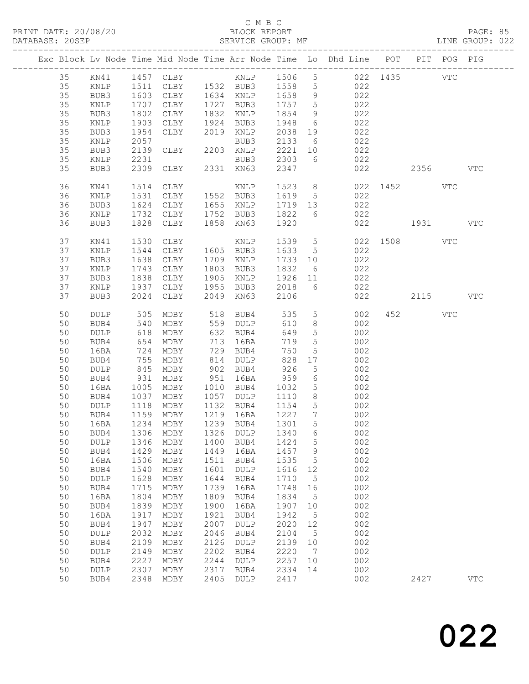#### C M B C<br>BLOCK REPORT

|    |                 |      |                                 |      |             |      |                 | Exc Block Lv Node Time Mid Node Time Arr Node Time Lo Dhd Line POT PIT POG PIG |                                                                                                                                                                                                                                 |            |            |
|----|-----------------|------|---------------------------------|------|-------------|------|-----------------|--------------------------------------------------------------------------------|---------------------------------------------------------------------------------------------------------------------------------------------------------------------------------------------------------------------------------|------------|------------|
| 35 | KN41            |      | 1457 CLBY                       |      | KNLP 1506   |      |                 | 5 022 1435                                                                     |                                                                                                                                                                                                                                 | <b>VTC</b> |            |
| 35 | KNLP            |      | 1511 CLBY 1532 BUB3             |      |             | 1558 | 5 <sup>5</sup>  | 022                                                                            |                                                                                                                                                                                                                                 |            |            |
| 35 | BUB3            | 1603 | CLBY                            |      | 1634 KNLP   | 1658 | 9               | 022                                                                            |                                                                                                                                                                                                                                 |            |            |
| 35 | KNLP            | 1707 | CLBY                            |      | 1727 BUB3   | 1757 | $5\overline{)}$ | 022                                                                            |                                                                                                                                                                                                                                 |            |            |
|    |                 |      |                                 |      |             |      |                 |                                                                                |                                                                                                                                                                                                                                 |            |            |
| 35 | BUB3            | 1802 | CLBY                            |      | 1832 KNLP   | 1854 | 9               | 022                                                                            |                                                                                                                                                                                                                                 |            |            |
| 35 | KNLP            | 1903 | CLBY                            | 1924 | BUB3        | 1948 | 6               | 022                                                                            |                                                                                                                                                                                                                                 |            |            |
| 35 | BUB3            | 1954 | CLBY                            |      | 2019 KNLP   | 2038 | 19              | 022                                                                            |                                                                                                                                                                                                                                 |            |            |
| 35 | KNLP            | 2057 |                                 |      | BUB3        | 2133 | 6               | 022                                                                            |                                                                                                                                                                                                                                 |            |            |
| 35 | BUB3            | 2139 | CLBY                            |      | 2203 KNLP   | 2221 | 10              | 022                                                                            |                                                                                                                                                                                                                                 |            |            |
| 35 | KNLP            | 2231 |                                 |      | BUB3        | 2303 | 6               | 022                                                                            |                                                                                                                                                                                                                                 |            |            |
| 35 | BUB3            | 2309 | CLBY                            |      | 2331 KN63   | 2347 |                 | 022                                                                            | 2356                                                                                                                                                                                                                            |            | VTC        |
|    |                 |      |                                 |      |             |      |                 |                                                                                |                                                                                                                                                                                                                                 |            |            |
| 36 | KN41            | 1514 | CLBY                            |      | KNLP        | 1523 |                 | 8                                                                              | 022 1452 VTC                                                                                                                                                                                                                    |            |            |
| 36 | KNLP            | 1531 | CLBY                            |      | 1552 BUB3   | 1619 | $5\overline{)}$ | 022                                                                            |                                                                                                                                                                                                                                 |            |            |
| 36 | BUB3            | 1624 | CLBY                            |      | 1655 KNLP   | 1719 | 13              | 022                                                                            |                                                                                                                                                                                                                                 |            |            |
| 36 | KNLP            | 1732 | CLBY                            |      | 1752 BUB3   | 1822 | 6               | 022                                                                            |                                                                                                                                                                                                                                 |            |            |
| 36 | BUB3            | 1828 | CLBY                            | 1858 | KN63        | 1920 |                 | 022                                                                            | 1931 — 1931 — 1932 — 1933 — 1934 — 1935 — 1936 — 1937 — 1938 — 1938 — 1938 — 1938 — 1938 — 1938 — 1938 — 1938 — 1938 — 1938 — 1939 — 1939 — 1939 — 1939 — 1939 — 1939 — 1939 — 1939 — 1939 — 1939 — 1939 — 1939 — 1939 — 1939 — |            | <b>VTC</b> |
|    |                 |      |                                 |      |             |      |                 |                                                                                |                                                                                                                                                                                                                                 |            |            |
| 37 | KN41            | 1530 | CLBY                            |      | KNLP        | 1539 | $5\overline{)}$ |                                                                                | 022 1508 VTC                                                                                                                                                                                                                    |            |            |
| 37 | KNLP            | 1544 | CLBY                            |      | 1605 BUB3   | 1633 | $5\overline{)}$ | 022                                                                            |                                                                                                                                                                                                                                 |            |            |
| 37 | BUB3            | 1638 | CLBY                            | 1709 | KNLP        | 1733 | 10              | 022                                                                            |                                                                                                                                                                                                                                 |            |            |
| 37 | KNLP            | 1743 | CLBY                            | 1803 | BUB3        | 1832 | 6               | 022                                                                            |                                                                                                                                                                                                                                 |            |            |
| 37 | BUB3            | 1838 | CLBY                            | 1905 | KNLP        | 1926 | 11              | 022                                                                            |                                                                                                                                                                                                                                 |            |            |
| 37 | KNLP            | 1937 | CLBY                            | 1955 | BUB3        | 2018 | 6               | 022                                                                            |                                                                                                                                                                                                                                 |            |            |
| 37 | BUB3            | 2024 | CLBY                            | 2049 | KN63        | 2106 |                 | 022                                                                            | 2115                                                                                                                                                                                                                            |            | <b>VTC</b> |
|    |                 |      |                                 |      |             |      |                 |                                                                                |                                                                                                                                                                                                                                 |            |            |
| 50 | DULP            | 505  | MDBY                            | 518  | BUB4        | 535  | $5\overline{)}$ | 002                                                                            | 452                                                                                                                                                                                                                             | VTC        |            |
| 50 | BUB4            | 540  | MDBY                            |      | 559 DULP    | 610  | 8               | 002                                                                            |                                                                                                                                                                                                                                 |            |            |
| 50 | $\texttt{DULP}$ | 618  | MDBY                            | 632  | BUB4        | 649  | $5\phantom{.0}$ | 002                                                                            |                                                                                                                                                                                                                                 |            |            |
| 50 | BUB4            | 654  | MDBY                            | 713  | 16BA        | 719  | $5\phantom{.0}$ | 002                                                                            |                                                                                                                                                                                                                                 |            |            |
| 50 | 16BA            | 724  | MDBY                            | 729  | BUB4        | 750  | $5\phantom{.0}$ | 002                                                                            |                                                                                                                                                                                                                                 |            |            |
| 50 | BUB4            | 755  | MDBY                            | 814  | DULP        | 828  | 17              | 002                                                                            |                                                                                                                                                                                                                                 |            |            |
| 50 | DULP            | 845  | MDBY                            | 902  | BUB4        | 926  | $5\phantom{.0}$ | 002                                                                            |                                                                                                                                                                                                                                 |            |            |
| 50 | BUB4            | 931  | MDBY                            | 951  | 16BA        | 959  | $6\overline{6}$ | 002                                                                            |                                                                                                                                                                                                                                 |            |            |
| 50 | 16BA            | 1005 | MDBY                            | 1010 | BUB4        | 1032 | $5\phantom{.0}$ | 002                                                                            |                                                                                                                                                                                                                                 |            |            |
| 50 | BUB4            | 1037 | MDBY                            | 1057 | DULP        | 1110 | 8               | 002                                                                            |                                                                                                                                                                                                                                 |            |            |
| 50 | DULP            | 1118 | MDBY                            |      | 1132 BUB4   | 1154 | $5\overline{)}$ | 002                                                                            |                                                                                                                                                                                                                                 |            |            |
| 50 | BUB4            |      | 1159 MDBY                       |      | 1219 16BA   | 1227 | $\overline{7}$  | 002                                                                            |                                                                                                                                                                                                                                 |            |            |
| 50 | 16BA            |      | 1234 MDBY                       |      | 1239 BUB4   | 1301 | 5               | 002                                                                            |                                                                                                                                                                                                                                 |            |            |
| 50 |                 |      | BUB4 1306 MDBY 1326 DULP 1340 6 |      |             |      |                 | 002                                                                            |                                                                                                                                                                                                                                 |            |            |
| 50 | DULP            | 1346 | MDBY                            | 1400 | BUB4        | 1424 | 5               | 002                                                                            |                                                                                                                                                                                                                                 |            |            |
| 50 | BUB4            | 1429 | MDBY                            | 1449 | 16BA        | 1457 | 9               | 002                                                                            |                                                                                                                                                                                                                                 |            |            |
| 50 | 16BA            | 1506 | MDBY                            | 1511 | BUB4        | 1535 | 5               | 002                                                                            |                                                                                                                                                                                                                                 |            |            |
| 50 | BUB4            | 1540 | MDBY                            | 1601 | <b>DULP</b> | 1616 | 12              | 002                                                                            |                                                                                                                                                                                                                                 |            |            |
| 50 | DULP            | 1628 | MDBY                            | 1644 | BUB4        | 1710 | 5               | 002                                                                            |                                                                                                                                                                                                                                 |            |            |
|    |                 |      | MDBY                            |      |             |      |                 | 002                                                                            |                                                                                                                                                                                                                                 |            |            |
| 50 | BUB4            | 1715 |                                 | 1739 | 16BA        | 1748 | 16              |                                                                                |                                                                                                                                                                                                                                 |            |            |
| 50 | 16BA            | 1804 | MDBY                            | 1809 | BUB4        | 1834 | 5               | 002                                                                            |                                                                                                                                                                                                                                 |            |            |
| 50 | BUB4            | 1839 | MDBY                            | 1900 | 16BA        | 1907 | 10              | 002                                                                            |                                                                                                                                                                                                                                 |            |            |
| 50 | 16BA            | 1917 | MDBY                            | 1921 | BUB4        | 1942 | 5               | 002                                                                            |                                                                                                                                                                                                                                 |            |            |
| 50 | BUB4            | 1947 | MDBY                            | 2007 | <b>DULP</b> | 2020 | 12              | 002                                                                            |                                                                                                                                                                                                                                 |            |            |
| 50 | DULP            | 2032 | MDBY                            | 2046 | BUB4        | 2104 | 5               | 002                                                                            |                                                                                                                                                                                                                                 |            |            |
| 50 | BUB4            | 2109 | MDBY                            | 2126 | <b>DULP</b> | 2139 | 10              | 002                                                                            |                                                                                                                                                                                                                                 |            |            |
| 50 | DULP            | 2149 | MDBY                            | 2202 | BUB4        | 2220 | $7\phantom{.0}$ | 002                                                                            |                                                                                                                                                                                                                                 |            |            |
| 50 | BUB4            | 2227 | MDBY                            | 2244 | <b>DULP</b> | 2257 | 10              | 002                                                                            |                                                                                                                                                                                                                                 |            |            |
| 50 | DULP            | 2307 | MDBY                            | 2317 | BUB4        | 2334 | 14              | 002                                                                            |                                                                                                                                                                                                                                 |            |            |
| 50 | BUB4            | 2348 | MDBY                            | 2405 | DULP        | 2417 |                 | 002                                                                            | 2427                                                                                                                                                                                                                            |            | <b>VTC</b> |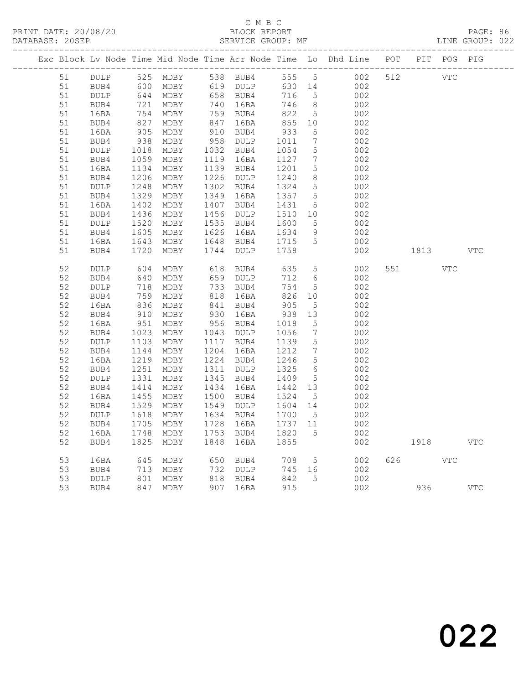# C M B C<br>BLOCK REPORT

LINE GROUP: 022

|          |              |                                                                                                            |              |      |                        |              |                              | Exc Block Lv Node Time Mid Node Time Arr Node Time Lo Dhd Line POT PIT POG PIG |     |      |            |            |
|----------|--------------|------------------------------------------------------------------------------------------------------------|--------------|------|------------------------|--------------|------------------------------|--------------------------------------------------------------------------------|-----|------|------------|------------|
| 51       | DULP         |                                                                                                            | 525 MDBY     |      | 538 BUB4               | 555 5        |                              | 002                                                                            | 512 | VTC  |            |            |
| 51       | BUB4         | 600                                                                                                        | MDBY         |      | 619 DULP               | 630 14       |                              | 002                                                                            |     |      |            |            |
| 51       | DULP         | 644<br>644<br>721                                                                                          | MDBY         |      | 658 BUB4<br>740 16BA   | 716          | $5^{\circ}$                  | 002                                                                            |     |      |            |            |
| 51       | BUB4         |                                                                                                            | MDBY         |      |                        | 746          | 8 <sup>8</sup>               | 002                                                                            |     |      |            |            |
| 51       | 16BA         |                                                                                                            | MDBY         |      | 759 BUB4<br>847 16BA   | 822          | 5                            | 002                                                                            |     |      |            |            |
| 51       | BUB4         | $\frac{1}{827}$                                                                                            | MDBY         |      |                        | 855          | 10                           | 002                                                                            |     |      |            |            |
| 51       | 16BA         | 905<br>938                                                                                                 | MDBY         |      | 910 BUB4<br>958 DULP   | 933          | $5\overline{)}$              | 002                                                                            |     |      |            |            |
| 51       | BUB4         |                                                                                                            | MDBY         |      |                        | 1011         | $7\overline{ }$              | 002                                                                            |     |      |            |            |
| 51       | DULP         | 1018<br>1059                                                                                               | MDBY         |      | 1032 BUB4              | 1054         | 5                            | 002                                                                            |     |      |            |            |
| 51       | BUB4         |                                                                                                            | MDBY         |      | 1119 16BA              | 1127         | $7\phantom{.0}$              | 002                                                                            |     |      |            |            |
| 51       | 16BA         | $1134$<br>$1206$                                                                                           | MDBY         |      | 1139 BUB4              | 1201         | 5                            | 002                                                                            |     |      |            |            |
| 51       | BUB4         |                                                                                                            | MDBY         |      | 1226 DULP              | 1240         | 8 <sup>8</sup>               | 002                                                                            |     |      |            |            |
| 51       | DULP         | 1248<br>1329                                                                                               | MDBY         |      | 1302 BUB4              | 1324         | $5\overline{)}$              | 002                                                                            |     |      |            |            |
| 51       | BUB4         |                                                                                                            | MDBY         |      | 1349 16BA              | 1357         | $5\overline{)}$              | 002                                                                            |     |      |            |            |
| 51       | 16BA         | $1402$<br>$1436$                                                                                           | MDBY         |      | 1407 BUB4              | 1431         | $5\overline{)}$              | 002                                                                            |     |      |            |            |
| 51       | BUB4         |                                                                                                            | MDBY         |      | 1456 DULP              | 1510         | 10                           | 002                                                                            |     |      |            |            |
| 51<br>51 | DULP         | 1520<br>1605                                                                                               | MDBY<br>MDBY |      | 1535 BUB4<br>1626 16BA | 1600<br>1634 | $5\overline{)}$<br>9         | 002<br>002                                                                     |     |      |            |            |
| 51       | BUB4<br>16BA |                                                                                                            | MDBY         |      | 1648 BUB4              | 1715         | $5\overline{)}$              | 002                                                                            |     |      |            |            |
| 51       | BUB4         | 1643<br>1720                                                                                               | MDBY         |      | 1744 DULP              | 1758         |                              | 002                                                                            |     | 1813 |            | <b>VTC</b> |
|          |              |                                                                                                            |              |      |                        |              |                              |                                                                                |     |      |            |            |
| 52       | DULP         | 604                                                                                                        | MDBY         |      | 618 BUB4               | 635          | $5\overline{)}$              | 002                                                                            | 551 |      | <b>VTC</b> |            |
| 52       | BUB4         | 640                                                                                                        | MDBY         |      | 659 DULP               | 712          | 6                            | 002                                                                            |     |      |            |            |
| 52       | DULP         | 718                                                                                                        | MDBY         |      |                        | 754          | $5\overline{)}$              | 002                                                                            |     |      |            |            |
| 52       | BUB4         | $752$<br>836                                                                                               | MDBY         |      | 733 BUB4<br>818 16BA   | 826          | 10                           | 002                                                                            |     |      |            |            |
| 52       | 16BA         |                                                                                                            | MDBY         |      | 841 BUB4               | 905          | $5\overline{)}$              | 002                                                                            |     |      |            |            |
| 52       | BUB4         | 910                                                                                                        | MDBY         |      | 930 16BA               | 938          | 13                           | 002                                                                            |     |      |            |            |
| 52       | 16BA         | 951                                                                                                        | MDBY         |      | 956 BUB4<br>1043 DULP  | 1018         | $5\overline{)}$              | 002                                                                            |     |      |            |            |
| 52       | BUB4         | 1023                                                                                                       | MDBY         |      |                        | 1056         | $7\phantom{.0}$              | 002                                                                            |     |      |            |            |
| 52       | DULP         | 1103                                                                                                       | MDBY         |      | 1117 BUB4              | 1139         | $5\overline{)}$              | 002                                                                            |     |      |            |            |
| 52       | BUB4         | 1144                                                                                                       | MDBY         |      | 1204 16BA              | 1212         | $7\phantom{.0}\phantom{.0}7$ | 002                                                                            |     |      |            |            |
| 52       | 16BA         | 1219                                                                                                       | MDBY         |      | 1224 BUB4              | 1246         | $5\overline{)}$              | 002                                                                            |     |      |            |            |
| 52       | BUB4         | 1251                                                                                                       | MDBY         |      | 1311 DULP              | 1325         | 6                            | 002                                                                            |     |      |            |            |
| 52       | <b>DULP</b>  | 1331                                                                                                       | MDBY         |      | 1345 BUB4              | 1409         | $5\overline{)}$              | 002                                                                            |     |      |            |            |
| 52       | BUB4         | 1414                                                                                                       | MDBY         |      | 1434 16BA              | 1442         | 13                           | 002                                                                            |     |      |            |            |
| 52       | 16BA         | 1455                                                                                                       | MDBY         |      | 1500 BUB4              | 1524         | 5                            | 002                                                                            |     |      |            |            |
| 52       | BUB4         | 1529                                                                                                       | MDBY         |      | 1549 DULP              | 1604         | 14                           | 002                                                                            |     |      |            |            |
| 52       | DULP         | 1618                                                                                                       | MDBY         |      | 1634 BUB4              | 1700         | $5^{\circ}$                  | 002                                                                            |     |      |            |            |
| 52       | BUB4         | 1705                                                                                                       | MDBY         |      | 1728 16BA              | 1737 11      |                              | 002                                                                            |     |      |            |            |
| 52       | 16BA         | 1748                                                                                                       | MDBY         |      | 1753 BUB4              | 1820         | $5\overline{)}$              | 002                                                                            |     |      |            |            |
| 52       | BUB4         | 1825                                                                                                       | MDBY         | 1848 | 16BA                   | 1855         |                              | 002                                                                            |     | 1918 |            | <b>VTC</b> |
| 53       |              |                                                                                                            |              |      |                        | 708          |                              |                                                                                | 626 |      | <b>VTC</b> |            |
| 53       | 16BA<br>BUB4 | 645<br>713                                                                                                 | MDBY<br>MDBY |      | 650 BUB4               | 745 16       | $5\overline{)}$              | 002<br>002                                                                     |     |      |            |            |
| 53       | DULP         |                                                                                                            | MDBY         |      | 732 DULP<br>818 BUB4   | 842          | $5^{\circ}$                  | 002                                                                            |     |      |            |            |
| 53       | BUB4         | $\begin{array}{c} \n \overline{\phantom{0}} \\  801 \\  \overline{\phantom{0}} \\  7\n \end{array}$<br>847 | MDBY         |      | 907 16BA               | 915          |                              | 002                                                                            |     | 936  |            | <b>VTC</b> |
|          |              |                                                                                                            |              |      |                        |              |                              |                                                                                |     |      |            |            |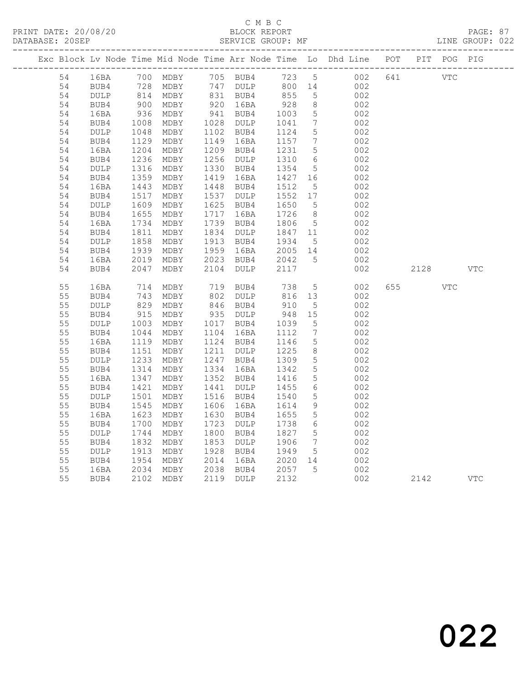## C M B C<br>BLOCK REPORT

|          |                 |                            |                        |      |                        |                               |                              | Exc Block Lv Node Time Mid Node Time Arr Node Time Lo Dhd Line POT PIT POG PIG |     |      |            |              |
|----------|-----------------|----------------------------|------------------------|------|------------------------|-------------------------------|------------------------------|--------------------------------------------------------------------------------|-----|------|------------|--------------|
| 54       | 16BA            |                            | 700 MDBY               |      |                        |                               |                              | 105 BUB4 123 5 002<br>147 DULP 800 14 002                                      | 641 | VTC  |            |              |
| 54       | BUB4            |                            | 728 MDBY               |      | 747 DULP               | 800 14                        |                              | 002                                                                            |     |      |            |              |
| 54       | DULP            |                            | 814 MDBY<br>900 MDBY   |      | 831 BUB4<br>920 16BA   | 855                           | 5                            | 002                                                                            |     |      |            |              |
| 54       | BUB4            |                            |                        |      |                        | $928$<br>$1003$               | 8 <sup>8</sup>               | 002                                                                            |     |      |            |              |
| 54       | 16BA            | $936$<br>$1008$            | MDBY                   |      | 941 BUB4               |                               | $5\overline{)}$              | 002                                                                            |     |      |            |              |
| 54       | BUB4            |                            | MDBY                   |      | 1028 DULP              | 1041                          | $7\overline{ }$              | 002                                                                            |     |      |            |              |
| 54       | DULP            | $1048$<br>$1129$<br>$1204$ | MDBY                   |      | 1102 BUB4              | 1124                          | $5\overline{)}$              | 002                                                                            |     |      |            |              |
| 54       | BUB4            |                            | MDBY                   |      | 1149 16BA              | 1157<br>1231                  | $\overline{7}$               | 002                                                                            |     |      |            |              |
| 54<br>54 | 16BA<br>BUB4    | 1236                       | MDBY<br>MDBY           |      | 1209 BUB4<br>1256 DULP |                               | 5<br>$6\overline{6}$         | 002<br>002                                                                     |     |      |            |              |
| 54       | $\texttt{DULP}$ | $1230$<br>$1316$           | MDBY                   |      | 1330 BUB4              | 1310<br>1354                  | $5\overline{)}$              | 002                                                                            |     |      |            |              |
| 54       | BUB4            |                            | MDBY                   |      | 1419 16BA              |                               |                              | 002                                                                            |     |      |            |              |
| 54       | 16BA            | 1359<br>1443               | MDBY                   |      | 1448 BUB4              | $1427$ $16$<br>1512 =<br>1512 | $5\overline{)}$              | 002                                                                            |     |      |            |              |
| 54       | BUB4            |                            | MDBY                   |      | 1537 DULP              | 1552 17                       |                              | 002                                                                            |     |      |            |              |
| 54       | DULP            | 1517<br>1609               | MDBY                   |      | 1625 BUB4              | 1650                          | $5\overline{)}$              | 002                                                                            |     |      |            |              |
| 54       | BUB4            |                            | MDBY                   |      | 1717 16BA              | 1726                          | 8 <sup>8</sup>               | 002                                                                            |     |      |            |              |
| 54       | 16BA            | 1655<br>1734               | MDBY                   |      | 1739 BUB4              | 1806                          | $5\overline{)}$              | 002                                                                            |     |      |            |              |
| 54       | BUB4            | 1811                       | MDBY                   |      | 1834 DULP              | 1847 11                       |                              | 002                                                                            |     |      |            |              |
| 54       | DULP            |                            |                        |      | 1913 BUB4              |                               | $5\overline{)}$              | 002                                                                            |     |      |            |              |
| 54       | BUB4            |                            | 1858 MDBY<br>1939 MDBY |      | 1959 16BA              | 1934 5<br>2005 14             |                              | 002                                                                            |     |      |            |              |
| 54       | 16BA            | 2019                       | MDBY                   |      | 2023 BUB4              | 2042<br>2117                  | 5                            | 002                                                                            |     |      |            |              |
| 54       | BUB4            | 2047                       | MDBY                   | 2104 | DULP                   |                               |                              | 002                                                                            |     | 2128 |            | <b>VTC</b>   |
| 55       | 16BA            | 714                        | MDBY                   |      | 719 BUB4               | 738                           | 5 <sup>5</sup>               | 002                                                                            | 655 |      | <b>VTC</b> |              |
| 55       | BUB4            | $\frac{1}{829}$            | MDBY                   |      | $802$ DULP             |                               |                              | 002                                                                            |     |      |            |              |
| 55       | DULP            |                            | MDBY                   |      | 846 BUB4               | 816 13<br>910 5               |                              | 002                                                                            |     |      |            |              |
| 55       | BUB4            | 915                        | MDBY                   |      | 935 DULP               | 948 15                        |                              | 002                                                                            |     |      |            |              |
| 55       | $\texttt{DULP}$ | 1003                       | MDBY                   |      | 1017 BUB4              | 1039                          | $5\overline{)}$              | 002                                                                            |     |      |            |              |
| 55       | BUB4            |                            | MDBY                   |      | 1104 16BA              | 1112                          | $7\phantom{.0}\phantom{.0}7$ | 002                                                                            |     |      |            |              |
| 55       | 16BA            | 1119                       | MDBY                   |      | 1124 BUB4              | 1146<br>1225                  | $5\overline{)}$              | 002                                                                            |     |      |            |              |
| 55       | BUB4            | $\frac{1044}{1119}$        | MDBY                   |      | 1211 DULP              |                               | 8 <sup>8</sup>               | 002                                                                            |     |      |            |              |
| 55       | DULP            |                            | MDBY                   |      | 1247 BUB4              | 1309<br>1342                  | $5\overline{)}$              | 002                                                                            |     |      |            |              |
| 55       | BUB4            | $1233$<br>$1314$           | MDBY                   |      | 1334 16BA              |                               | $5\overline{)}$              | 002                                                                            |     |      |            |              |
| 55       | 16BA            | 1347<br>134/1421           | MDBY                   |      | 1352 BUB4              | 1416<br>1455                  | $5\overline{)}$              | 002                                                                            |     |      |            |              |
| 55       | BUB4            |                            | MDBY                   |      | 1441 DULP              | 1455                          | 6                            | 002                                                                            |     |      |            |              |
| 55       | DULP            | 1501<br>1545               | MDBY                   |      | 1516 BUB4              | 1540                          | $5\phantom{.0}$              | 002                                                                            |     |      |            |              |
| 55       | BUB4            |                            | MDBY                   |      | 1606 16BA<br>1630 BUB4 | 1614<br>1655                  | 9<br>$5\overline{)}$         | 002                                                                            |     |      |            |              |
| 55<br>55 | 16BA<br>BUB4    | 1623<br>1700               | MDBY<br>MDBY           |      | 1723 DULP              | 1738                          | $6\overline{6}$              | 002<br>002                                                                     |     |      |            |              |
| 55       | DULP            | 1744                       | MDBY                   |      | 1800 BUB4              | 1827                          | $5\overline{)}$              | 002                                                                            |     |      |            |              |
| 55       | BUB4            | 1832                       | MDBY                   |      | 1853 DULP              | 1906                          | $7\overline{ }$              | 002                                                                            |     |      |            |              |
| 55       | DULP            | 1992<br>1913               | MDBY                   |      | 1928 BUB4              | 1949                          | $5\overline{)}$              | 002                                                                            |     |      |            |              |
| 55       | BUB4            |                            | MDBY                   |      |                        |                               |                              | 002                                                                            |     |      |            |              |
| 55       | 16BA            | 1954<br>2034               | MDBY                   |      | 2014 16BA<br>2038 BUB4 | 2020 14<br>2057 5             |                              | 002                                                                            |     |      |            |              |
| 55       | BUB4            |                            | 2102 MDBY              |      | 2119 DULP              | 2132                          |                              | 002                                                                            |     | 2142 |            | $_{\rm VTC}$ |
|          |                 |                            |                        |      |                        |                               |                              |                                                                                |     |      |            |              |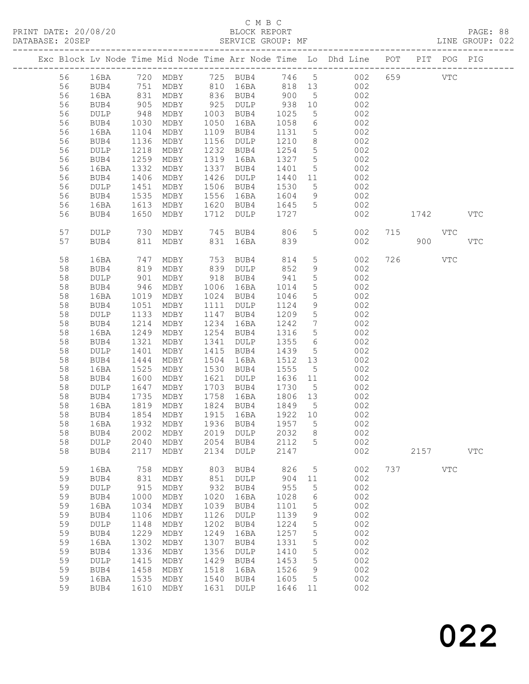#### C M B C<br>BLOCK REPORT

|  |    |      |             |          |      |                                        |            |                 | Exc Block Lv Node Time Mid Node Time Arr Node Time Lo Dhd Line POT                                        |     |            | PIT POG PIG  |              |
|--|----|------|-------------|----------|------|----------------------------------------|------------|-----------------|-----------------------------------------------------------------------------------------------------------|-----|------------|--------------|--------------|
|  | 56 |      |             |          |      |                                        |            |                 | 16BA 720 MDBY 725 BUB4 746 5 002<br>BUB4 751 MDBY 810 16BA 818 13 002<br>16BA 831 MDBY 836 BUB4 900 5 002 | 659 |            | $_{\rm VTC}$ |              |
|  | 56 |      |             |          |      |                                        |            |                 |                                                                                                           |     |            |              |              |
|  | 56 |      |             |          |      | 836 BUB4                               | 900        |                 |                                                                                                           |     |            |              |              |
|  | 56 | BUB4 | 905         | MDBY     | 925  | DULP                                   | 938        | 10              | 002                                                                                                       |     |            |              |              |
|  | 56 | DULP |             | MDBY     |      | 1003 BUB4                              | 1025       | 5 <sup>5</sup>  | 002                                                                                                       |     |            |              |              |
|  | 56 | BUB4 | 948<br>1030 | MDBY     | 1050 | 16BA                                   | 1058       | $6\overline{6}$ | 002                                                                                                       |     |            |              |              |
|  | 56 | 16BA | 1104        | MDBY     | 1109 | BUB4                                   | 1131       | 5 <sup>5</sup>  | 002                                                                                                       |     |            |              |              |
|  | 56 | BUB4 | 1136        | MDBY     | 1156 | DULP                                   | 1210       | 8 <sup>8</sup>  | 002                                                                                                       |     |            |              |              |
|  | 56 | DULP | 1218        | MDBY     | 1232 | BUB4                                   | 1254       | $5\overline{)}$ | 002                                                                                                       |     |            |              |              |
|  | 56 | BUB4 | 1259        | MDBY     | 1319 | 16BA                                   | 1327 5     |                 | 002                                                                                                       |     |            |              |              |
|  | 56 | 16BA | 1332        | MDBY     | 1337 | BUB4                                   | 1401       | $5\overline{)}$ | 002                                                                                                       |     |            |              |              |
|  | 56 | BUB4 | 1406        | MDBY     | 1426 | DULP                                   | 1440 11    |                 | 002                                                                                                       |     |            |              |              |
|  | 56 | DULP | 1451        | MDBY     |      | 1506 BUB4                              | 1530       | 5 <sup>5</sup>  | 002                                                                                                       |     |            |              |              |
|  | 56 | BUB4 | 1535        | MDBY     | 1556 | 16BA                                   | 1604       | 9               | 002                                                                                                       |     |            |              |              |
|  | 56 | 16BA | 1613        | MDBY     |      | 1620 BUB4                              | 1645       | 5 <sup>5</sup>  | 002                                                                                                       |     |            |              |              |
|  | 56 | BUB4 | 1650        | MDBY     | 1712 | DULP                                   | 1727       |                 | 002                                                                                                       |     | 1742       |              | <b>VTC</b>   |
|  | 57 | DULP | 730         |          |      |                                        |            | 5 <sup>5</sup>  | 002                                                                                                       |     | 715 VTC    |              |              |
|  | 57 | BUB4 |             | 811 MDBY |      | MDBY 745 BUB4 806<br>MDBY 831 16BA 839 |            |                 | 002                                                                                                       |     | 900 — 100  |              | <b>VTC</b>   |
|  | 58 | 16BA | 747         | MDBY     | 753  | BUB4                                   | 814        | 5 <sub>5</sub>  | 002                                                                                                       | 726 | <b>VTC</b> |              |              |
|  | 58 | BUB4 |             | MDBY     |      | DULP                                   |            | 9               | 002                                                                                                       |     |            |              |              |
|  | 58 | DULP | 819<br>901  | MDBY     |      | 839 DULP<br>918 BUB4                   | 852<br>941 | 5 <sup>5</sup>  | 002                                                                                                       |     |            |              |              |
|  | 58 | BUB4 | 946         | MDBY     | 1006 | 16BA                                   | 1014       | $5\overline{)}$ | 002                                                                                                       |     |            |              |              |
|  | 58 | 16BA | 1019        | MDBY     |      | 1024 BUB4                              | 1046       | $5\overline{)}$ | 002                                                                                                       |     |            |              |              |
|  | 58 | BUB4 | 1051        | MDBY     | 1111 | DULP                                   | 1124       | 9               | 002                                                                                                       |     |            |              |              |
|  | 58 | DULP | 1133        | MDBY     | 1147 | BUB4                                   | 1209       | $5\overline{)}$ | 002                                                                                                       |     |            |              |              |
|  | 58 | BUB4 | 1214        | MDBY     | 1234 | 16BA                                   | 1242       | $7\overline{ }$ | 002                                                                                                       |     |            |              |              |
|  | 58 | 16BA | 1249        | MDBY     | 1254 | BUB4                                   | 1316       | $5\overline{)}$ | 002                                                                                                       |     |            |              |              |
|  | 58 | BUB4 | 1321        | MDBY     | 1341 | DULP                                   | 1355       | 6               | 002                                                                                                       |     |            |              |              |
|  | 58 | DULP | 1401        | MDBY     | 1415 | BUB4                                   | 1439       | 5 <sup>5</sup>  | 002                                                                                                       |     |            |              |              |
|  | 58 | BUB4 | 1444        | MDBY     | 1504 | 16BA                                   | 1512 13    |                 | 002                                                                                                       |     |            |              |              |
|  | 58 | 16BA | 1525        | MDBY     | 1530 | BUB4                                   | 1555       | 5 <sup>5</sup>  | 002                                                                                                       |     |            |              |              |
|  | 58 | BUB4 | 1600        | MDBY     | 1621 | DULP                                   | 1636       | 11              | 002                                                                                                       |     |            |              |              |
|  | 58 | DULP | 1647        | MDBY     | 1703 | BUB4                                   | 1730       | $5\overline{)}$ | 002                                                                                                       |     |            |              |              |
|  | 58 | BUB4 | 1735        | MDBY     | 1758 | 16BA                                   | 1806       | 13              | 002                                                                                                       |     |            |              |              |
|  | 58 | 16BA | 1819        | MDBY     |      | 1824 BUB4                              | 1849       | $5\overline{)}$ | 002                                                                                                       |     |            |              |              |
|  | 58 | BUB4 | 1854        | MDBY     |      | 1915 16BA                              | 1922 10    |                 | 002                                                                                                       |     |            |              |              |
|  | 58 | 16BA | 1932        | MDBY     |      | 1936 BUB4                              | 1957 5     |                 | 002                                                                                                       |     |            |              |              |
|  | 58 |      |             |          |      | BUB4 2002 MDBY 2019 DULP               | 2032 8     |                 | 002                                                                                                       |     |            |              |              |
|  | 58 | DULP | 2040        | MDBY     | 2054 | BUB4                                   | 2112       | 5               | 002                                                                                                       |     |            |              |              |
|  | 58 | BUB4 | 2117        | MDBY     | 2134 | DULP                                   | 2147       |                 | 002                                                                                                       |     | 2157       |              | $_{\rm VTC}$ |
|  | 59 | 16BA | 758         | MDBY     | 803  | BUB4                                   | 826        | 5               | 002                                                                                                       | 737 |            | <b>VTC</b>   |              |
|  | 59 | BUB4 | 831         | MDBY     | 851  | DULP                                   | 904        | 11              | 002                                                                                                       |     |            |              |              |
|  | 59 | DULP | 915         | MDBY     | 932  | BUB4                                   | 955        | 5               | 002                                                                                                       |     |            |              |              |
|  | 59 | BUB4 | 1000        | MDBY     | 1020 | 16BA                                   | 1028       | 6               | 002                                                                                                       |     |            |              |              |
|  | 59 | 16BA | 1034        | MDBY     | 1039 | BUB4                                   | 1101       | $\mathsf S$     | 002                                                                                                       |     |            |              |              |
|  | 59 | BUB4 | 1106        | MDBY     | 1126 | DULP                                   | 1139       | 9               | 002                                                                                                       |     |            |              |              |
|  | 59 | DULP | 1148        | MDBY     | 1202 | BUB4                                   | 1224       | 5               | 002                                                                                                       |     |            |              |              |
|  | 59 | BUB4 | 1229        | MDBY     | 1249 | 16BA                                   | 1257       | 5               | 002                                                                                                       |     |            |              |              |
|  | 59 | 16BA | 1302        | MDBY     | 1307 | BUB4                                   | 1331       | $\mathsf S$     | 002                                                                                                       |     |            |              |              |
|  | 59 | BUB4 | 1336        | MDBY     | 1356 | DULP                                   | 1410       | 5               | 002                                                                                                       |     |            |              |              |
|  | 59 | DULP | 1415        | MDBY     | 1429 | BUB4                                   | 1453       | 5               | 002                                                                                                       |     |            |              |              |
|  | 59 | BUB4 | 1458        | MDBY     | 1518 | 16BA                                   | 1526       | 9               | 002                                                                                                       |     |            |              |              |
|  | 59 | 16BA | 1535        | MDBY     | 1540 | BUB4                                   | 1605       | 5               | 002                                                                                                       |     |            |              |              |
|  | 59 | BUB4 | 1610        | MDBY     | 1631 | DULP                                   | 1646 11    |                 | 002                                                                                                       |     |            |              |              |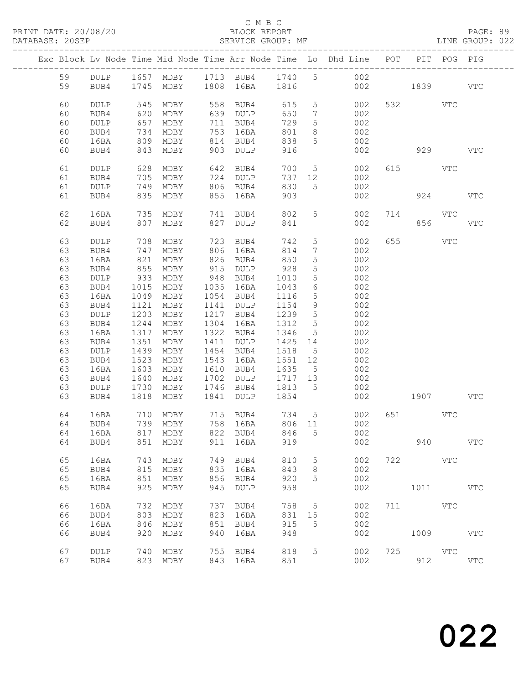#### C M B C<br>BLOCK REPORT

|  |    |                 |      |                          |      |                                                                       |         |                              | Exc Block Lv Node Time Mid Node Time Arr Node Time Lo Dhd Line POT |          |            | PIT POG PIG |            |
|--|----|-----------------|------|--------------------------|------|-----------------------------------------------------------------------|---------|------------------------------|--------------------------------------------------------------------|----------|------------|-------------|------------|
|  | 59 |                 |      |                          |      |                                                                       |         |                              | DULP 1657 MDBY 1713 BUB4 1740 5 002                                |          |            |             |            |
|  | 59 | BUB4            |      | 1745 MDBY 1808 16BA 1816 |      |                                                                       |         |                              |                                                                    | 002 1839 |            |             | VTC        |
|  |    |                 |      |                          |      |                                                                       |         |                              |                                                                    |          |            |             |            |
|  |    |                 |      |                          |      |                                                                       |         |                              |                                                                    |          |            |             |            |
|  | 60 | <b>DULP</b>     | 545  | MDBY                     |      | 558 BUB4                                                              | 615     | $5\overline{)}$              | 002                                                                |          | 532 VTC    |             |            |
|  | 60 | BUB4            | 620  | MDBY                     |      | 639 DULP                                                              | 650     | $7\phantom{.0}\phantom{.0}7$ | 002                                                                |          |            |             |            |
|  | 60 | $\texttt{DULP}$ | 657  | MDBY                     |      | 711 BUB4                                                              | 729     | $5\phantom{.0}$              | 002                                                                |          |            |             |            |
|  | 60 | BUB4            | 734  | MDBY                     |      | 753 16BA                                                              | 801     | 8                            | 002                                                                |          |            |             |            |
|  | 60 | 16BA            | 809  | MDBY                     |      | 814 BUB4                                                              | 838     | 5 <sup>5</sup>               | 002                                                                |          |            |             |            |
|  | 60 | BUB4            | 843  | MDBY                     |      | 903 DULP                                                              | 916     |                              | 002                                                                |          | 929        |             | <b>VTC</b> |
|  |    |                 |      |                          |      |                                                                       |         |                              |                                                                    |          |            |             |            |
|  | 61 | DULP            |      | 628 MDBY                 |      | 642 BUB4                                                              | 700     |                              | 5 <sub>1</sub><br>002                                              |          | 615 VTC    |             |            |
|  | 61 | BUB4            | 705  | MDBY                     |      | 724 DULP                                                              | 737     | 12                           | 002                                                                |          |            |             |            |
|  | 61 | DULP            | 749  | MDBY                     |      | 806 BUB4                                                              | 830     | 5 <sup>5</sup>               | 002                                                                |          |            |             |            |
|  | 61 | BUB4            |      | 835 MDBY                 |      | 855 16BA                                                              | 903     |                              | 002                                                                |          | 924        |             | <b>VTC</b> |
|  |    |                 |      |                          |      |                                                                       |         |                              |                                                                    |          |            |             |            |
|  | 62 | 16BA            | 735  | MDBY                     |      | 741 BUB4                                                              | 802     | 5 <sup>5</sup>               | 002                                                                |          | 714 VTC    |             |            |
|  | 62 | BUB4            | 807  | MDBY                     | 827  | DULP                                                                  | 841     |                              | 002                                                                |          | 856        |             | <b>VTC</b> |
|  |    |                 |      |                          |      |                                                                       |         |                              |                                                                    |          |            |             |            |
|  | 63 | DULP            | 708  | MDBY                     | 723  | BUB4                                                                  | 742     | $5\phantom{.0}$              | 002                                                                | 655      | <b>VTC</b> |             |            |
|  | 63 | BUB4            | 747  | MDBY                     |      | 806 16BA                                                              | 814     | $7\phantom{.0}$              | 002                                                                |          |            |             |            |
|  | 63 | 16BA            | 821  | MDBY                     |      | 826 BUB4                                                              | 850     | $5\phantom{.0}$              | 002                                                                |          |            |             |            |
|  | 63 | BUB4            | 855  | MDBY                     |      | 915 DULP                                                              | 928     | $5\phantom{.0}$              | 002                                                                |          |            |             |            |
|  | 63 | DULP            | 933  | MDBY                     |      | 948 BUB4                                                              | 1010    | $5\phantom{.0}$              | 002                                                                |          |            |             |            |
|  | 63 | BUB4            | 1015 | MDBY                     |      | 1035 16BA                                                             | 1043    | 6                            | 002                                                                |          |            |             |            |
|  | 63 | 16BA            | 1049 | MDBY                     |      | 1054 BUB4                                                             | 1116    | $5\phantom{.0}$              | 002                                                                |          |            |             |            |
|  | 63 | BUB4            | 1121 | MDBY                     |      | 1141 DULP                                                             | 1154    | 9                            | 002                                                                |          |            |             |            |
|  |    |                 |      |                          |      | 1217 BUB4                                                             |         |                              |                                                                    |          |            |             |            |
|  | 63 | DULP            | 1203 | MDBY                     |      |                                                                       | 1239    | $5\overline{)}$              | 002                                                                |          |            |             |            |
|  | 63 | BUB4            | 1244 | MDBY                     |      | 1304 16BA                                                             | 1312    | 5                            | 002                                                                |          |            |             |            |
|  | 63 | 16BA            | 1317 | MDBY                     |      | 1322 BUB4                                                             | 1346    | $5\overline{)}$              | 002                                                                |          |            |             |            |
|  | 63 | BUB4            | 1351 | MDBY                     |      | 1411 DULP                                                             | 1425 14 |                              | 002                                                                |          |            |             |            |
|  | 63 | DULP            | 1439 | MDBY                     |      | 1454 BUB4                                                             | 1518    | 5 <sup>5</sup>               | 002                                                                |          |            |             |            |
|  | 63 | BUB4            | 1523 | MDBY                     |      | 1543 16BA                                                             | 1551 12 |                              | 002                                                                |          |            |             |            |
|  | 63 | 16BA            | 1603 | MDBY                     |      | 1610 BUB4                                                             | 1635 5  |                              | 002                                                                |          |            |             |            |
|  | 63 | BUB4            | 1640 | MDBY                     |      | 1702 DULP                                                             | 1717 13 |                              | 002                                                                |          |            |             |            |
|  | 63 | DULP            | 1730 | MDBY                     |      | 1746 BUB4                                                             | 1813 5  |                              | 002                                                                |          |            |             |            |
|  | 63 | BUB4            |      | 1818 MDBY                | 1841 | <b>DULP</b>                                                           | 1854    |                              | 002                                                                |          | 1907 VTC   |             |            |
|  |    |                 |      |                          |      |                                                                       |         |                              |                                                                    |          |            |             |            |
|  | 64 | 16BA            | 710  | MDBY                     |      | 715    BUB4            734       5<br>758    16BA           806    11 |         |                              | 002                                                                |          | 651 VTC    |             |            |
|  | 64 | BUB4            |      | 739 MDBY                 |      |                                                                       |         |                              | 002                                                                |          |            |             |            |
|  |    |                 |      |                          |      |                                                                       |         |                              | 64 16BA 817 MDBY 822 BUB4 846 5 002                                |          |            |             |            |
|  | 64 | BUB4            |      | 851 MDBY                 |      | 911 16BA                                                              | 919     |                              | 002                                                                |          | 940        |             | <b>VTC</b> |
|  |    |                 |      |                          |      |                                                                       |         |                              |                                                                    |          |            |             |            |
|  | 65 | 16BA            | 743  | MDBY                     | 749  | BUB4                                                                  | 810     | $5\phantom{.0}$              | 002                                                                |          | 722 VTC    |             |            |
|  | 65 | BUB4            | 815  | MDBY                     | 835  | 16BA                                                                  | 843     | 8                            | 002                                                                |          |            |             |            |
|  | 65 | 16BA            | 851  | MDBY                     | 856  | BUB4                                                                  | 920     | 5                            | 002                                                                |          |            |             |            |
|  | 65 | BUB4            | 925  | MDBY                     | 945  | DULP                                                                  | 958     |                              | 002                                                                |          | 1011 \     |             | <b>VTC</b> |
|  |    |                 |      |                          |      |                                                                       |         |                              |                                                                    |          |            |             |            |
|  | 66 | 16BA            | 732  | MDBY                     | 737  | BUB4                                                                  | 758     | 5                            | 002                                                                | 711      | <b>VTC</b> |             |            |
|  | 66 | BUB4            | 803  | MDBY                     | 823  | 16BA                                                                  | 831     | 15                           | 002                                                                |          |            |             |            |
|  | 66 | 16BA            | 846  | MDBY                     | 851  | BUB4                                                                  | 915     | 5                            | 002                                                                |          |            |             |            |
|  | 66 | BUB4            | 920  | MDBY                     | 940  | 16BA                                                                  | 948     |                              | 002                                                                |          | 1009       |             | <b>VTC</b> |
|  |    |                 |      |                          |      |                                                                       |         |                              |                                                                    |          |            |             |            |
|  | 67 | DULP            | 740  | MDBY                     | 755  | BUB4                                                                  | 818     | 5                            | 002                                                                |          | 725 VTC    |             |            |
|  | 67 | BUB4            |      | 823 MDBY                 |      | 843 16BA                                                              | 851     |                              | 002                                                                |          | 912        |             | <b>VTC</b> |
|  |    |                 |      |                          |      |                                                                       |         |                              |                                                                    |          |            |             |            |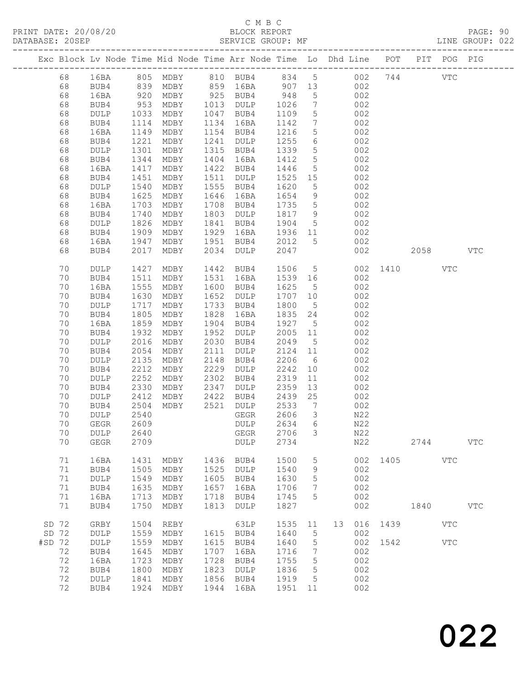### C M B C

| DATABASE: 20SEP |    |                       |                    |                |      | SERVICE GROUP: MF                                                              |         |                              |             |     |              |            |            | LINE GROUP: 022 |  |
|-----------------|----|-----------------------|--------------------|----------------|------|--------------------------------------------------------------------------------|---------|------------------------------|-------------|-----|--------------|------------|------------|-----------------|--|
|                 |    | --------------------- |                    |                |      | Exc Block Lv Node Time Mid Node Time Arr Node Time Lo Dhd Line POT PIT POG PIG |         |                              |             |     |              |            |            |                 |  |
|                 | 68 |                       |                    |                |      | 16BA 805 MDBY 810 BUB4 834 5 002 744 VTC                                       |         |                              |             |     |              |            |            |                 |  |
|                 | 68 | BUB4                  |                    |                |      | 839 MDBY 859 16BA 907 13 002                                                   |         |                              |             |     |              |            |            |                 |  |
|                 | 68 | 16BA                  |                    |                |      |                                                                                |         | 5 <sup>5</sup>               | 002         |     |              |            |            |                 |  |
|                 | 68 | BUB4                  | 920<br>953<br>1033 |                |      | MDBY 925 BUB4 948<br>MDBY 1013 DULP 1026                                       |         | $7\overline{ }$              |             | 002 |              |            |            |                 |  |
|                 | 68 | DULP                  |                    | MDBY           |      | 1047 BUB4                                                                      | 1109    | $5\overline{)}$              |             | 002 |              |            |            |                 |  |
|                 | 68 | BUB4                  | 1114               | MDBY           |      | 1134 16BA                                                                      | 1142    | $7\phantom{.0}\phantom{.0}7$ | 002         |     |              |            |            |                 |  |
|                 | 68 | 16BA                  | 1149               | MDBY           |      | 1154 BUB4                                                                      | 1216    | $5\overline{)}$              |             | 002 |              |            |            |                 |  |
|                 | 68 | BUB4                  | 1221               | MDBY           |      | 1241 DULP                                                                      | 1255    | $6\overline{6}$              |             | 002 |              |            |            |                 |  |
|                 | 68 | DULP                  | 1301               | MDBY           |      | 1315 BUB4                                                                      | 1339    | $5\overline{)}$              |             | 002 |              |            |            |                 |  |
|                 | 68 | BUB4                  | 1344               | MDBY           |      | 1404 16BA                                                                      | 1412    | $5\overline{)}$              |             | 002 |              |            |            |                 |  |
|                 | 68 | 16BA                  | 1417               | MDBY           |      | 1422 BUB4                                                                      | 1446    | $5\overline{)}$              |             | 002 |              |            |            |                 |  |
|                 | 68 | BUB4                  | 1451               | MDBY           |      | 1511 DULP                                                                      | 1525 15 |                              |             | 002 |              |            |            |                 |  |
|                 | 68 | DULP                  | 1540               | MDBY           |      | 1555 BUB4                                                                      | 1620    | $5\overline{)}$              |             | 002 |              |            |            |                 |  |
|                 | 68 | BUB4                  | 1625               | MDBY           |      | 1646 16BA                                                                      | 1654    | 9                            |             | 002 |              |            |            |                 |  |
|                 | 68 | 16BA                  | 1703               | MDBY           |      | 1708 BUB4                                                                      | 1735    | $5\overline{)}$              | 002         |     |              |            |            |                 |  |
|                 | 68 | BUB4                  | 1740               | MDBY           |      | 1803 DULP                                                                      | 1817 9  |                              |             | 002 |              |            |            |                 |  |
|                 | 68 | DULP                  | 1826               | MDBY           |      | 1841 BUB4                                                                      | 1904    | 5 <sup>5</sup>               |             | 002 |              |            |            |                 |  |
|                 | 68 | BUB4                  | 1909               | MDBY           | 1929 | 16BA                                                                           | 1936 11 |                              | 002         |     |              |            |            |                 |  |
|                 | 68 | 16BA                  | 1947               |                |      | MDBY 1951 BUB4                                                                 | 2012    | 5 <sup>5</sup>               | 002         |     |              |            |            |                 |  |
|                 | 68 | BUB4                  | 2017               | MDBY           |      | 2034 DULP                                                                      | 2047    |                              |             | 002 |              | 2058 70    |            | VTC             |  |
|                 | 70 | DULP                  | 1427               | MDBY           |      | 1442 BUB4                                                                      | 1506    |                              | $5^{\circ}$ |     | 002 1410     |            | <b>VTC</b> |                 |  |
|                 | 70 | BUB4                  | 1511               | MDBY           |      | 1531 16BA                                                                      | 1539 16 |                              |             | 002 |              |            |            |                 |  |
|                 | 70 | 16BA                  | 1555               | MDBY           |      | 1600 BUB4                                                                      | 1625    | $5\overline{)}$              |             | 002 |              |            |            |                 |  |
|                 | 70 | BUB4                  | 1630               | MDBY           |      | 1652 DULP                                                                      | 1707 10 |                              |             | 002 |              |            |            |                 |  |
|                 | 70 | DULP                  | 1717               | MDBY           |      | 1733 BUB4                                                                      | 1800    | $5\overline{)}$              |             | 002 |              |            |            |                 |  |
|                 | 70 | BUB4                  | 1805               | MDBY           | 1828 | 16BA                                                                           | 1835 24 |                              |             | 002 |              |            |            |                 |  |
|                 | 70 | 16BA                  | 1859               | MDBY           |      | 1904 BUB4                                                                      | 1927    | $5\overline{)}$              |             | 002 |              |            |            |                 |  |
|                 | 70 | BUB4                  | 1932               | MDBY           |      | 1952 DULP                                                                      | 2005 11 |                              |             | 002 |              |            |            |                 |  |
|                 | 70 | DULP                  | 2016               | MDBY           |      | 2030 BUB4                                                                      | 2049    | 5 <sup>5</sup>               |             | 002 |              |            |            |                 |  |
|                 | 70 | BUB4                  | 2054               | MDBY           | 2111 | DULP                                                                           | 2124 11 |                              |             | 002 |              |            |            |                 |  |
|                 | 70 | DULP                  | 2135               | MDBY           | 2148 | BUB4                                                                           | 2206    | $6\overline{6}$              |             | 002 |              |            |            |                 |  |
|                 | 70 | BUB4                  | 2212               | MDBY           | 2229 | DULP                                                                           | 2242    | 10                           |             | 002 |              |            |            |                 |  |
|                 | 70 | DULP                  | 2252               | MDBY           | 2302 | BUB4                                                                           | 2319    | 11                           |             | 002 |              |            |            |                 |  |
|                 | 70 | BUB4                  | 2330               | MDBY           | 2347 | <b>DULP</b>                                                                    | 2359    | 13                           |             | 002 |              |            |            |                 |  |
|                 | 70 | DULP                  | 2412               | MDBY           | 2422 | BUB4                                                                           | 2439    | 25                           | 002         |     |              |            |            |                 |  |
|                 | 70 | BUB4                  | 2504               | MDBY 2521 DULP |      |                                                                                | 2533    | $\overline{7}$               |             | 002 |              |            |            |                 |  |
|                 | 70 | <b>DULP</b>           | 2540               |                |      | GEGR                                                                           | 2606    | $\mathcal{S}$                |             | N22 |              |            |            |                 |  |
|                 | 70 | GEGR 2609             |                    |                |      | DULP 2634 6                                                                    |         |                              |             | N22 |              |            |            |                 |  |
|                 | 70 | DULP                  | 2640               |                |      | GEGR                                                                           | 2706    | $\mathcal{S}$                |             | N22 |              |            |            |                 |  |
|                 | 70 | GEGR                  | 2709               |                |      | DULP                                                                           | 2734    |                              |             | N22 |              | 2744       |            | <b>VTC</b>      |  |
|                 | 71 | 16BA                  | 1431               | MDBY           | 1436 | BUB4                                                                           | 1500    | 5                            |             |     | 002 1405 VTC |            |            |                 |  |
|                 | 71 | BUB4                  | 1505               | MDBY           |      | 1525 DULP                                                                      | 1540    | 9                            |             | 002 |              |            |            |                 |  |
|                 | 71 | DULP                  | 1549               | MDBY           | 1605 | BUB4                                                                           | 1630    | 5                            |             | 002 |              |            |            |                 |  |
|                 | 71 | BUB4                  | 1635               | MDBY           | 1657 | 16BA                                                                           | 1706    | $7\phantom{.0}$              |             | 002 |              |            |            |                 |  |
|                 | 71 | 16BA                  |                    | 1713 MDBY      | 1718 | BUB4                                                                           | 1745    | 5                            |             | 002 |              |            |            |                 |  |
|                 | 71 | BUB4                  | 1750               | MDBY           | 1813 | DULP                                                                           | 1827    |                              |             | 002 |              | 1840       |            | <b>VTC</b>      |  |
| SD 72           |    | GRBY                  | 1504               | REBY           |      | 63LP                                                                           | 1535 11 |                              |             |     | 13 016 1439  |            | <b>VTC</b> |                 |  |
| SD 72           |    | $\texttt{DULP}$       | 1559               | MDBY           |      | 1615 BUB4                                                                      | 1640    | $5\overline{)}$              |             | 002 |              |            |            |                 |  |
| $#SD$ 72        |    | DULP                  | 1559               | MDBY           | 1615 | BUB4                                                                           | 1640    | $5^{\circ}$                  |             |     | 002 1542     | <b>VTC</b> |            |                 |  |
|                 | 72 | BUB4                  | 1645               | MDBY           | 1707 | 16BA                                                                           | 1716    | $\overline{7}$               |             | 002 |              |            |            |                 |  |
|                 | 72 | 16BA                  | 1723               | MDBY           | 1728 | BUB4                                                                           | 1755    | $5\overline{)}$              |             | 002 |              |            |            |                 |  |
|                 | 72 | BUB4                  | 1800               | MDBY           | 1823 | DULP                                                                           | 1836    | $5\overline{)}$              |             | 002 |              |            |            |                 |  |
|                 | 72 | DULP                  | 1841               | MDBY           | 1856 | BUB4                                                                           | 1919    | $5^{\circ}$                  |             | 002 |              |            |            |                 |  |
|                 | 72 | BUB4                  |                    | 1924 MDBY      |      | 1944 16BA                                                                      | 1951 11 |                              |             | 002 |              |            |            |                 |  |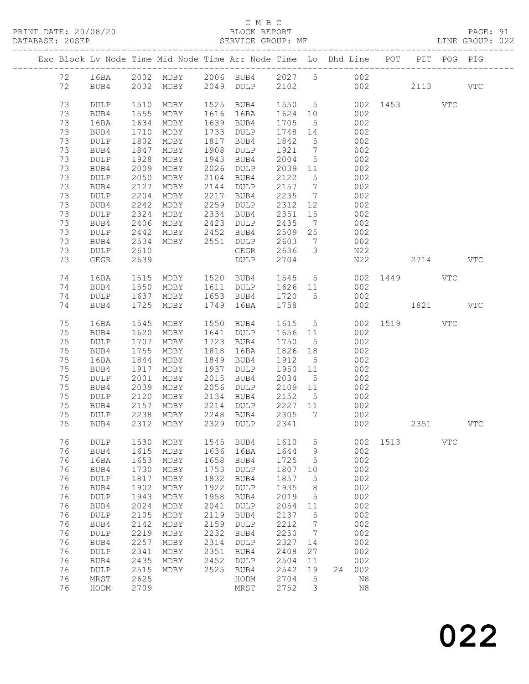#### C M B C<br>
PRINT DATE: 20/08/20<br>
BLOCK REPORT

DATABASE: 20SEP SERVICE GROUP: MF LINE GROUP: 022

|    |                 |      | Exc Block Lv Node Time Mid Node Time Arr Node Time Lo Dhd Line POT             |      |                             |                          |                         |     |       |                     | PIT      | POG        | PIG        |
|----|-----------------|------|--------------------------------------------------------------------------------|------|-----------------------------|--------------------------|-------------------------|-----|-------|---------------------|----------|------------|------------|
|    |                 |      | 12 16BA 2002 MDBY 2006 BUB4 2027 5 002<br>12 BUB4 2032 MDBY 2049 DULP 2102 002 |      |                             |                          |                         |     |       |                     |          |            |            |
|    |                 |      |                                                                                |      |                             |                          |                         |     |       | 002                 | 2113     |            | VTC        |
| 73 | DULP            | 1510 | MDBY                                                                           |      | 1525 BUB4                   |                          |                         |     |       | 1550 5 002 1453 VTC |          |            |            |
| 73 | BUB4            | 1555 | MDBY                                                                           |      | 1616 16BA                   | 1624 10<br>1705 5        |                         |     | 002   |                     |          |            |            |
| 73 | 16BA            | 1634 | MDBY                                                                           |      | 1639 BUB4                   |                          |                         |     | 002   |                     |          |            |            |
| 73 | BUB4            | 1710 | MDBY                                                                           |      | 1733 DULP                   | 1748 14                  |                         | 002 |       |                     |          |            |            |
| 73 | DULP            | 1802 | MDBY                                                                           |      | 1817 BUB4                   | 1842                     | $5\overline{)}$         | 002 |       |                     |          |            |            |
| 73 | BUB4            | 1847 | MDBY                                                                           | 1908 | DULP                        | 1921 7<br>$1921$<br>2004 |                         |     | 002   |                     |          |            |            |
| 73 | DULP            | 1928 | MDBY                                                                           |      | 1943 BUB4                   |                          | $5\overline{)}$         |     | 002   |                     |          |            |            |
| 73 | BUB4            | 2009 | MDBY                                                                           | 2026 | DULP                        | 2039 11                  |                         | 002 |       |                     |          |            |            |
| 73 | DULP            | 2050 | MDBY                                                                           | 2104 | BUB4                        | 2122                     | $5\overline{)}$         | 002 |       |                     |          |            |            |
| 73 | BUB4            | 2127 | MDBY                                                                           |      | 2144 DULP<br>2217 BUB4      | 2157 7                   |                         |     | 002   |                     |          |            |            |
| 73 | DULP            | 2204 | MDBY                                                                           |      |                             | 2235                     | $\overline{7}$          |     | 002   |                     |          |            |            |
| 73 | BUB4            | 2242 | MDBY                                                                           | 2259 | DULP                        | 2312 12                  |                         |     | 002   |                     |          |            |            |
| 73 | DULP            | 2324 | MDBY                                                                           |      | 2334 BUB4                   | 2351                     | 15                      | 002 |       |                     |          |            |            |
| 73 | BUB4            | 2406 | MDBY                                                                           |      | 2423 DULP                   | 2435                     | $\overline{7}$          |     | 002   |                     |          |            |            |
| 73 | DULP            | 2442 |                                                                                |      |                             |                          |                         |     | 002   |                     |          |            |            |
| 73 | BUB4            | 2534 | MDBY 2452 BUB4<br>MDBY 2551 DULP                                               |      | BUB4 2509 25<br>DULP 2603 7 |                          | $7\overline{ }$         |     | $002$ |                     |          |            |            |
| 73 | DULP            | 2610 |                                                                                |      | GEGR 2636                   |                          | $\overline{\mathbf{3}}$ | N22 |       |                     |          |            |            |
| 73 | GEGR            | 2639 |                                                                                |      | DULP                        | 2704                     |                         |     | N22   |                     | 2714 VTC |            |            |
| 74 | 16BA            | 1515 |                                                                                |      | MDBY 1520 BUB4 1545         |                          |                         |     |       | 5 002 1449 VTC      |          |            |            |
| 74 | BUB4            | 1550 |                                                                                |      | MDBY 1611 DULP 1626 11      |                          |                         | 002 |       |                     |          |            |            |
| 74 | DULP            | 1637 |                                                                                |      | MDBY 1653 BUB4 1720 5       |                          |                         | 002 |       |                     |          |            |            |
| 74 | BUB4            | 1725 | MDBY                                                                           | 1749 | 16BA                        | 1758                     |                         |     | 002   | 1821                |          |            | VTC        |
| 75 | 16BA            | 1545 |                                                                                |      | MDBY 1550 BUB4 1615 5       |                          |                         |     |       | 002 1519 VTC        |          |            |            |
| 75 | BUB4            | 1620 | MDBY                                                                           |      | 1641 DULP                   | 1656 11                  |                         | 002 |       |                     |          |            |            |
| 75 | DULP            | 1707 | MDBY                                                                           |      | 1723 BUB4                   | 1750                     | $5\overline{)}$         |     | 002   |                     |          |            |            |
| 75 | BUB4            | 1755 | MDBY                                                                           | 1818 | 16BA                        | 1826 18                  |                         |     | 002   |                     |          |            |            |
| 75 | 16BA            | 1844 | MDBY                                                                           | 1849 | BUB4                        | 1912                     | $5^{\circ}$             | 002 |       |                     |          |            |            |
| 75 | BUB4            | 1917 | MDBY                                                                           | 1937 | DULP                        | 1950 11                  |                         | 002 |       |                     |          |            |            |
| 75 | DULP            | 2001 | MDBY                                                                           | 2015 | BUB4                        | 2034                     | $5\overline{)}$         |     | 002   |                     |          |            |            |
| 75 | BUB4            | 2039 | MDBY                                                                           | 2056 | DULP                        | 2109 11                  |                         |     | 002   |                     |          |            |            |
| 75 | DULP            | 2120 | MDBY                                                                           | 2134 | BUB4                        | 2152 5                   |                         | 002 |       |                     |          |            |            |
| 75 | BUB4            | 2157 | MDBY                                                                           |      | 2214 DULP 2227 11           |                          |                         | 002 |       |                     |          |            |            |
| 75 | DULP            | 2238 | MDBY                                                                           | 2248 | BUB4 2305                   |                          | $\overline{7}$          |     | 002   |                     |          |            |            |
| 75 | BUB4            |      | 2312 MDBY                                                                      |      | 2329 DULP 2341              |                          |                         |     | 002   |                     | 2351     |            | <b>VTC</b> |
|    |                 |      |                                                                                |      |                             |                          |                         |     |       |                     |          |            |            |
| 76 | DULP            | 1530 | MDBY                                                                           | 1545 | BUB4                        | 1610                     | 5                       |     | 002   | 1513                |          | <b>VTC</b> |            |
| 76 | BUB4            | 1615 | MDBY                                                                           | 1636 | 16BA                        | 1644                     | 9                       |     | 002   |                     |          |            |            |
| 76 | 16BA            | 1653 | MDBY                                                                           | 1658 | BUB4                        | 1725                     | 5                       |     | 002   |                     |          |            |            |
| 76 | BUB4            | 1730 | MDBY                                                                           | 1753 | <b>DULP</b>                 | 1807                     | 10                      |     | 002   |                     |          |            |            |
| 76 | $\texttt{DULP}$ | 1817 | MDBY                                                                           | 1832 | BUB4                        | 1857                     | 5                       |     | 002   |                     |          |            |            |
| 76 | BUB4            | 1902 | MDBY                                                                           | 1922 | <b>DULP</b>                 | 1935                     | 8                       |     | 002   |                     |          |            |            |
| 76 | DULP            | 1943 | MDBY                                                                           | 1958 | BUB4                        | 2019                     | 5                       |     | 002   |                     |          |            |            |
| 76 | BUB4            | 2024 | MDBY                                                                           | 2041 | <b>DULP</b>                 | 2054                     | 11                      |     | 002   |                     |          |            |            |
| 76 | DULP            | 2105 | MDBY                                                                           | 2119 | BUB4                        | 2137                     | 5                       |     | 002   |                     |          |            |            |
| 76 | BUB4            | 2142 | MDBY                                                                           | 2159 | $\texttt{DULP}$             | 2212                     | 7                       |     | 002   |                     |          |            |            |
| 76 | DULP            | 2219 | MDBY                                                                           | 2232 | BUB4                        | 2250                     | 7                       |     | 002   |                     |          |            |            |
| 76 | BUB4            | 2257 | MDBY                                                                           | 2314 | <b>DULP</b>                 | 2327                     | 14                      |     | 002   |                     |          |            |            |
| 76 | $\texttt{DULP}$ | 2341 | MDBY                                                                           | 2351 | BUB4                        | 2408                     | 27                      |     | 002   |                     |          |            |            |
| 76 | BUB4            | 2435 | MDBY                                                                           | 2452 | $\texttt{DULP}$             | 2504                     | 11                      |     | 002   |                     |          |            |            |
| 76 | DULP            | 2515 | MDBY                                                                           | 2525 | BUB4                        | 2542                     | 19                      | 24  | 002   |                     |          |            |            |
| 76 | MRST            | 2625 |                                                                                |      | HODM                        | 2704                     | 5                       |     | N8    |                     |          |            |            |
| 76 | HODM            | 2709 |                                                                                |      | MRST                        | 2752                     | 3                       |     | N8    |                     |          |            |            |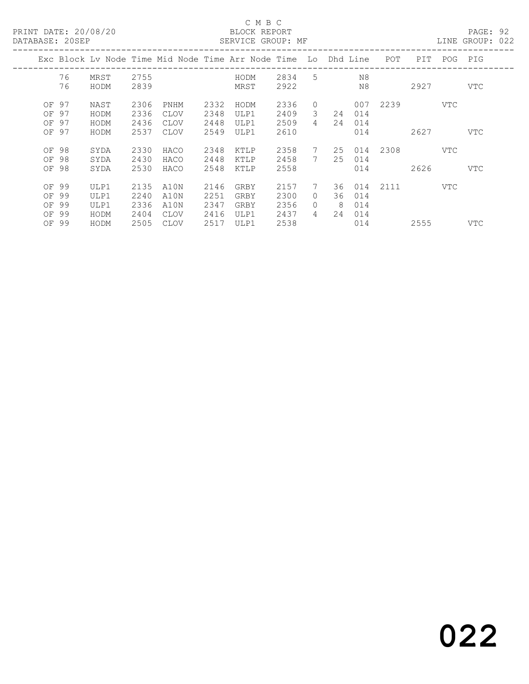#### C M B C C M B C C M B C C M B C C M B C C M B C C M B C C M B C C M B C C M B C C M B C C M B C C M B C C M B C C M B C C M B C C M B C C M B C C M B C C M B C C M B C C M B C C M B C C M B C C M B C C M B C C M B C C M B

| DATABASE: 20SEP |    |      |      |      |      | SERVICE GROUP: MF                                                  |        |                |                |     |          |          |      | LINE GROUP: 022 |  |
|-----------------|----|------|------|------|------|--------------------------------------------------------------------|--------|----------------|----------------|-----|----------|----------|------|-----------------|--|
|                 |    |      |      |      |      | Exc Block Lv Node Time Mid Node Time Arr Node Time Lo Dhd Line POT |        |                |                |     |          | PIT      |      | POG PIG         |  |
|                 | 76 | MRST | 2755 |      |      | HODM                                                               | 2834 5 |                |                | N8  |          |          |      |                 |  |
|                 | 76 | HODM | 2839 |      |      | MRST                                                               | 2922   |                | N <sub>8</sub> |     |          |          | 2927 | VTC             |  |
| OF 97           |    | NAST | 2306 | PNHM | 2332 | HODM                                                               | 2336   | $\circ$        |                |     | 007 2239 |          | VTC  |                 |  |
| OF 97           |    | HODM | 2336 | CLOV | 2348 | ULP1                                                               | 2409   | $\mathcal{B}$  | 24             | 014 |          |          |      |                 |  |
| OF 97           |    | HODM | 2436 | CLOV | 2448 | ULP1                                                               | 2509   | 4              | 24             | 014 |          |          |      |                 |  |
| OF 97           |    | HODM | 2537 | CLOV | 2549 | ULP1                                                               | 2610   |                |                | 014 |          | 2627     |      | <b>VTC</b>      |  |
| OF 98           |    | SYDA | 2330 | HACO | 2348 | KTLP                                                               | 2358   | $7\phantom{0}$ | 25             |     | 014 2308 |          | VTC  |                 |  |
| OF 98           |    | SYDA | 2430 | HACO | 2448 | KTLP                                                               | 2458   | 7              | 25             | 014 |          |          |      |                 |  |
| OF 98           |    | SYDA | 2530 | HACO | 2548 | KTLP                                                               | 2558   |                |                | 014 |          | 2626 200 |      | VTC             |  |
| OF 99           |    | ULP1 | 2135 | A10N | 2146 | GRBY                                                               | 2157   | $7\phantom{0}$ | 36             |     | 014 2111 |          | VTC  |                 |  |
| OF 99           |    | ULP1 | 2240 | A10N | 2251 | GRBY                                                               | 2300   | $\Omega$       | 36             | 014 |          |          |      |                 |  |
| OF 99           |    | ULP1 | 2336 | A10N | 2347 | GRBY                                                               | 2356   | $\bigcap$      | - 8            | 014 |          |          |      |                 |  |
| OF 99           |    | HODM | 2404 | CLOV | 2416 | ULP1                                                               | 2437   | $\overline{4}$ | 24             | 014 |          |          |      |                 |  |
| OF 99           |    | HODM | 2505 | CLOV | 2517 | ULP1                                                               | 2538   |                |                | 014 |          | 2555     |      | VTC             |  |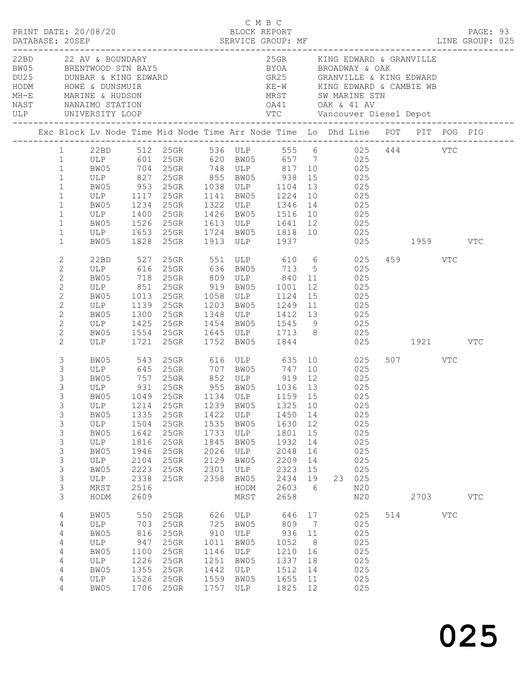|  |                                                                                                                                          |                                                                                   |                                                                          |                                                                                                                                                                                                                                                                                                                                                                     |                                                                   |                                                                         | C M B C                                                                   |                                                                |                  |                                                                    |     |                         |            | PAGE: 93<br>LINE GROUP: 025 |  |
|--|------------------------------------------------------------------------------------------------------------------------------------------|-----------------------------------------------------------------------------------|--------------------------------------------------------------------------|---------------------------------------------------------------------------------------------------------------------------------------------------------------------------------------------------------------------------------------------------------------------------------------------------------------------------------------------------------------------|-------------------------------------------------------------------|-------------------------------------------------------------------------|---------------------------------------------------------------------------|----------------------------------------------------------------|------------------|--------------------------------------------------------------------|-----|-------------------------|------------|-----------------------------|--|
|  |                                                                                                                                          |                                                                                   |                                                                          | 22BD 22 AV & BOUNDARY<br>BW05 BRENTWOOD STN BAY5<br>DU25 DUNBAR & KING EDWARD<br>HODM HOWE & DUNSMUIR                                                                                                                                                                                                                                                               |                                                                   |                                                                         | 25GR KING EDWARD & GRANVILLE<br>MRST SW MARINE STN                        |                                                                |                  |                                                                    |     |                         |            |                             |  |
|  |                                                                                                                                          |                                                                                   |                                                                          | Exc Block Lv Node Time Mid Node Time Arr Node Time Lo Dhd Line POT PIT POG PIG                                                                                                                                                                                                                                                                                      |                                                                   |                                                                         |                                                                           |                                                                |                  |                                                                    |     |                         |            |                             |  |
|  | $1 \qquad \qquad$<br>1<br>$\mathbf{1}$<br>$\mathbf{1}$<br>$\,1$<br>$\mathbf{1}$<br>$1\,$<br>$\mathbf{1}$<br>$\mathbf{1}$<br>$\mathbf{1}$ | BW05                                                                              | 1234                                                                     | 22BD 512 25GR 536 ULP 555 6 025 444 VTC<br>ULP 601 25GR 620 BW05 657 7 025<br>BW05 704 25GR 748 ULP 817 10 025<br>ULP 827 25GR 855 BW05 938 15 025<br>BW05 953 25GR 1038 ULP 1104 13 025<br>ULP 1117 25GR 1141 BW05 1224<br>25GR 1322 ULP 1346<br>ULP 1400 25GR 1426 BW05 1516 10 025<br>BW05 1526 25GR 1613 ULP 1641 12 025<br>ULP 1653 25GR 1724 BW05 1818 10 025 |                                                                   |                                                                         |                                                                           |                                                                | 10 025<br>14 025 |                                                                    |     |                         |            |                             |  |
|  | $\mathbf{1}$<br>$\mathbf{2}$<br>2                                                                                                        |                                                                                   |                                                                          | BW05 1828 25GR 1913 ULP 1937<br>22BD 527 25GR 551 ULP 610 6 025<br>ULP 616 25GR 636 BW05 713 5 025<br>718 25GR 809 ULP 840 11 025                                                                                                                                                                                                                                   |                                                                   |                                                                         |                                                                           |                                                                |                  |                                                                    |     | 025 1959 VTC<br>459 VTC |            |                             |  |
|  | $\mathbf{2}$<br>$\mathbf{2}$<br>$\mathbf{2}$<br>$\mathbf{2}$<br>$\mathbf{2}$<br>2<br>$\mathbf{2}$                                        | BW05<br>BW05<br>ULP                                                               | 1425                                                                     | ULP 851 25GR 919 BW05 1001 12 025<br>BW05 1013 25GR 1058 ULP 1124 15 025<br>ULP 1139 25GR 1203 BW05 1249 11 025<br>1300 25GR 1348 ULP 1412 13 025<br>25GR 1454 BW05 1545 9 025                                                                                                                                                                                      |                                                                   |                                                                         |                                                                           |                                                                |                  | 025                                                                |     |                         |            |                             |  |
|  | 2<br>3                                                                                                                                   | BW05                                                                              | 543                                                                      | BW05 1554 25GR 1645 ULP 1713 8<br>ULP 1721 25GR 1752 BW05 1844<br>25GR 616 ULP 635 10 025                                                                                                                                                                                                                                                                           |                                                                   |                                                                         |                                                                           |                                                                |                  |                                                                    |     | 025 1921 VTC<br>507 VTC |            |                             |  |
|  | $\mathsf 3$<br>3<br>3<br>3<br>$\mathcal{S}$<br>3<br>3<br>3<br>3<br>3<br>3<br>3<br>3<br>3                                                 | BW05<br>BW05<br>ULP<br>BW05<br>$_{\rm ULP}$<br>BW05<br>ULP<br>BW05<br>ULP<br>MRST | 1335<br>1504<br>1642<br>1816<br>1946<br>2104<br>2223<br>2338<br>2516     | ULP 645 25GR 707 BW05 747 10 025<br>BW05 757 25GR 852 ULP 919 12 025<br>ULP 931 25GR 955 BW05 1036 13 025<br>1049 25GR 1134 ULP 1159 15<br>ULP 1214 25GR 1239 BW05 1325 10<br>25GR<br>25GR<br>25GR<br>25GR<br>25GR<br>25GR<br>25GR<br>25GR                                                                                                                          | 1422<br>1535<br>1733<br>1845<br>2026<br>2129<br>2301<br>2358      | ULP<br>BW05<br>ULP<br>BW05<br>ULP<br>BW05<br>ULP<br>BW05<br>HODM        | 1450<br>1630<br>1801<br>1932<br>2048<br>2209<br>2323<br>2434<br>2603      | 14<br>12<br>15<br>14<br>16<br>14<br>15<br>19<br>6              | 025<br>23        | 025<br>025<br>025<br>025<br>025<br>025<br>025<br>025<br>025<br>N20 |     |                         |            |                             |  |
|  | 3<br>4<br>4<br>4<br>4<br>4<br>4<br>4<br>4<br>4                                                                                           | HODM<br>BW05<br>ULP<br>BW05<br>ULP<br>BW05<br>ULP<br>BW05<br>ULP<br>BW05          | 2609<br>550<br>703<br>816<br>947<br>1100<br>1226<br>1355<br>1526<br>1706 | 25GR<br>25GR<br>25GR<br>25GR<br>25GR<br>25GR<br>25GR<br>25GR<br>25GR                                                                                                                                                                                                                                                                                                | 626<br>725<br>910<br>1011<br>1146<br>1251<br>1442<br>1559<br>1757 | MRST<br>ULP<br>BW05<br>ULP<br>BW05<br>ULP<br>BW05<br>ULP<br>BW05<br>ULP | 2658<br>646<br>809<br>936<br>1052<br>1210<br>1337<br>1512<br>1655<br>1825 | 17<br>$7\phantom{.0}$<br>11<br>8<br>16<br>18<br>14<br>11<br>12 |                  | N20<br>025<br>025<br>025<br>025<br>025<br>025<br>025<br>025<br>025 | 514 | 2703                    | <b>VTC</b> | $_{\rm VTC}$                |  |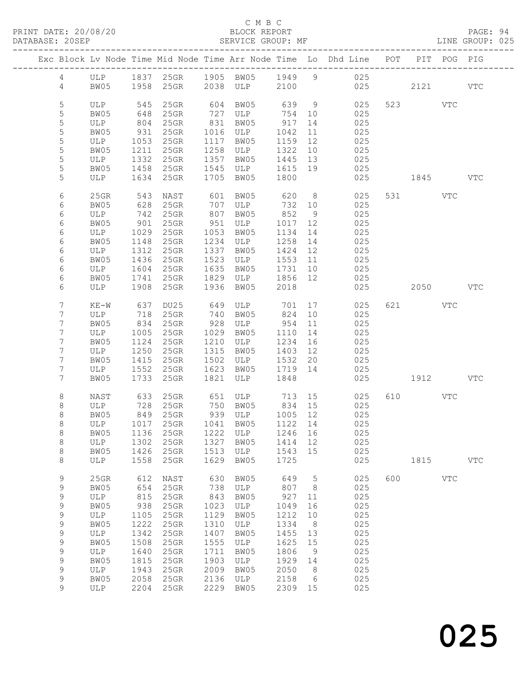#### C M B C<br>BLOCK REPORT

PAGE: 94<br>LINE GROUP: 025

|  |                  |             |              |                    |              |                                      |                    |                 | Exc Block Lv Node Time Mid Node Time Arr Node Time Lo Dhd Line POT         |     |          | PIT POG PIG |            |
|--|------------------|-------------|--------------|--------------------|--------------|--------------------------------------|--------------------|-----------------|----------------------------------------------------------------------------|-----|----------|-------------|------------|
|  |                  |             |              |                    |              |                                      |                    |                 |                                                                            |     |          |             |            |
|  |                  |             |              |                    |              |                                      |                    |                 | 4 ULP 1837 25GR 1905 BW05 1949 9 025<br>4 BW05 1958 25GR 2038 ULP 2100 025 | 025 | 2121 VTC |             |            |
|  | 5                | ULP         | 545          | $25$ GR            |              | 604 BW05                             | 639                | 9               | 025                                                                        |     | 523 VTC  |             |            |
|  | 5                | BW05        | 648          | 25GR               |              | 727 ULP                              | 754 10             |                 | 025                                                                        |     |          |             |            |
|  | $\mathsf S$      | ULP         | 804          | 25GR               |              | $831$ BW05                           | 917                | 14              | 025                                                                        |     |          |             |            |
|  | 5                | BW05        | 931          | $25$ GR            |              | 1016 ULP                             | 1042               | 11              | 025                                                                        |     |          |             |            |
|  | 5                | ULP         | 1053         | 25GR               |              | 1117 BW05                            | 1159               | 12              | 025                                                                        |     |          |             |            |
|  | 5                | BW05        | 1211         | $25$ GR            |              | 1258 ULP                             | 1322               | 10              | 025                                                                        |     |          |             |            |
|  | $\mathsf S$<br>5 | ULP         | 1332         | 25GR               | 1357         | BW05<br>ULP                          | 1445 13<br>1615 19 |                 | 025<br>025                                                                 |     |          |             |            |
|  | 5                | BW05<br>ULP | 1458<br>1634 | $25$ GR<br>$25$ GR | 1545<br>1705 | BW05                                 | 1800               |                 | 025                                                                        |     | 1845 VTC |             |            |
|  |                  |             |              |                    |              |                                      |                    |                 |                                                                            |     |          |             |            |
|  | 6                | $25$ GR     | 543          | NAST               |              | 601 BW05                             | 620                |                 | 8 025                                                                      |     | 531 VTC  |             |            |
|  | 6                | BW05        | 628          | 25GR               | 707          | ULP                                  | 732 10             |                 | 025                                                                        |     |          |             |            |
|  | 6                | ULP         | 742          | $25$ GR            | 807          | BW05                                 | 852                | 9               | 025                                                                        |     |          |             |            |
|  | 6                | BW05        | 901          | 25GR               | 951          | ULP                                  | 1017               | 12              | 025                                                                        |     |          |             |            |
|  | 6                | ULP         | 1029         | 25GR               | 1053         | BW05                                 | 1134               | 14              | 025                                                                        |     |          |             |            |
|  | 6<br>6           | BW05<br>ULP | 1148<br>1312 | $25$ GR<br>25GR    | 1234<br>1337 | ULP                                  | 1258<br>1424       | 14<br>12        | 025<br>025                                                                 |     |          |             |            |
|  | 6                | BW05        | 1436         | 25GR               | 1523         | BW05<br>ULP                          | 1553               | 11              | 025                                                                        |     |          |             |            |
|  | 6                | ULP         | 1604         | $25$ GR            | 1635         | BW05                                 | 1731               | 10              | 025                                                                        |     |          |             |            |
|  | 6                | BW05        | 1741         | $25$ GR            | 1829         | ULP                                  | 1856 12            |                 | 025                                                                        |     |          |             |            |
|  | 6                | ULP         |              | 1908 25GR          | 1936         | BW05                                 | 2018               |                 | 025                                                                        |     | 2050 70  |             | VTC        |
|  |                  |             |              |                    |              |                                      |                    |                 |                                                                            |     |          |             |            |
|  | $7\phantom{.}$   | KE-W        | 637          | DU25               | 649<br>740   | ULP 701                              |                    | 17              | 025                                                                        |     | 621 VTC  |             |            |
|  | 7                | ULP         | 718          | $25$ GR            |              | BW05                                 | 824                | 10              | 025                                                                        |     |          |             |            |
|  | 7                | BW05        | 834          | $25$ GR            | 928          | ULP                                  | 954                | 11              | 025                                                                        |     |          |             |            |
|  | 7                | ULP         | 1005         | $25$ GR            | 1029         | BW05                                 | 1110               | 14              | 025                                                                        |     |          |             |            |
|  | 7                | BW05        | 1124         | $25$ GR            | 1210         | ULP                                  | 1234               | 16              | 025                                                                        |     |          |             |            |
|  | 7<br>7           | ULP<br>BW05 | 1250<br>1415 | $25$ GR<br>$25$ GR | 1315<br>1502 | BW05<br>ULP                          | 1403<br>1532       | 12<br>20        | 025<br>025                                                                 |     |          |             |            |
|  | 7                | ULP         | 1552         | $25$ GR            | 1623         | BW05                                 | 1719 14            |                 | 025                                                                        |     |          |             |            |
|  | 7                | BW05        | 1733         | 25GR               | 1821         | ULP                                  | 1848               |                 | 025                                                                        |     | 1912     |             | VTC        |
|  |                  |             |              |                    |              |                                      |                    |                 |                                                                            |     |          |             |            |
|  | 8                | NAST        | 633          | 25GR               | 651          |                                      |                    |                 | ULP 713 15 025                                                             |     | 610 VTC  |             |            |
|  | 8                | ULP         | 728          | 25GR               |              | 750 BW05 834 15                      |                    |                 | 025                                                                        |     |          |             |            |
|  | 8                | BW05        | 849          | 25GR               |              | 939 ULP 1005 12<br>1041 BW05 1122 14 |                    |                 | 025                                                                        |     |          |             |            |
|  | 8                | ULP         |              | 1017 25GR          |              | 1041 BW05                            |                    |                 | 025                                                                        |     |          |             |            |
|  | 8                |             |              |                    |              |                                      |                    |                 | BW05 1136 25GR 1222 ULP 1246 16 025                                        |     |          |             |            |
|  | 8                | ULP         | 1302         | 25GR               | 1327         | BW05                                 | 1414 12            |                 | 025                                                                        |     |          |             |            |
|  | $\,8\,$<br>8     | BW05<br>ULP | 1426<br>1558 | $25$ GR<br>25GR    | 1513<br>1629 | ULP<br>BW05                          | 1543 15<br>1725    |                 | 025<br>025                                                                 |     | 1815     |             | <b>VTC</b> |
|  |                  |             |              |                    |              |                                      |                    |                 |                                                                            |     |          |             |            |
|  | 9                | 25GR        | 612          | NAST               | 630          | BW05                                 | 649                | $5\overline{)}$ | 025                                                                        | 600 |          | VTC         |            |
|  | 9                | BW05        | 654          | 25GR               | 738          | ULP                                  | 807                | 8               | 025                                                                        |     |          |             |            |
|  | $\mathsf 9$      | ULP         | 815          | 25GR               | 843          | BW05                                 | 927                | 11              | 025                                                                        |     |          |             |            |
|  | $\mathsf 9$      | BW05        | 938          | 25GR               | 1023         | ULP                                  | 1049               | 16              | 025                                                                        |     |          |             |            |
|  | 9                | ULP         | 1105         | 25GR               | 1129         | BW05                                 | 1212               | 10              | 025                                                                        |     |          |             |            |
|  | 9                | BW05        | 1222         | 25GR               | 1310         | ULP                                  | 1334               | 8 <sup>8</sup>  | 025                                                                        |     |          |             |            |
|  | $\mathsf 9$      | ULP         | 1342         | 25GR               | 1407         | BW05                                 | 1455               | 13              | 025                                                                        |     |          |             |            |
|  | $\mathsf 9$<br>9 | BW05        | 1508<br>1640 | 25GR<br>25GR       | 1555<br>1711 | ULP                                  | 1625<br>1806       | 15              | 025<br>025                                                                 |     |          |             |            |
|  | 9                | ULP<br>BW05 | 1815         | 25GR               | 1903         | BW05<br>ULP                          | 1929               | 9<br>14         | 025                                                                        |     |          |             |            |
|  | $\mathsf 9$      | ULP         | 1943         | 25GR               | 2009         | BW05                                 | 2050               | 8 <sup>8</sup>  | 025                                                                        |     |          |             |            |
|  | $\mathsf 9$      | BW05        | 2058         | 25GR               | 2136         | ULP                                  | 2158               | 6               | 025                                                                        |     |          |             |            |
|  | 9                | ULP         | 2204         | 25GR               | 2229         | BW05                                 | 2309 15            |                 | 025                                                                        |     |          |             |            |
|  |                  |             |              |                    |              |                                      |                    |                 |                                                                            |     |          |             |            |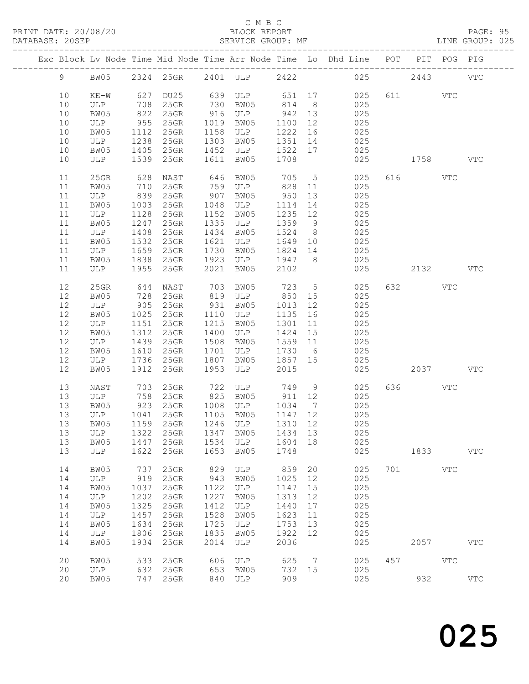#### C M B C<br>BLOCK REPORT

| DATABASE: 20SEP |    |                                |                                                                                                                  | SERVICE GROUP: MF |      |                                                |         |    |                                                                                |          |      | LINE GROUP: 025 |
|-----------------|----|--------------------------------|------------------------------------------------------------------------------------------------------------------|-------------------|------|------------------------------------------------|---------|----|--------------------------------------------------------------------------------|----------|------|-----------------|
|                 |    |                                |                                                                                                                  |                   |      |                                                |         |    | Exc Block Lv Node Time Mid Node Time Arr Node Time Lo Dhd Line POT PIT POG PIG |          |      |                 |
|                 |    |                                |                                                                                                                  |                   |      |                                                |         |    | 9 BW05 2324 25GR 2401 ULP 2422 025 2443 VTC                                    |          |      |                 |
|                 | 10 | $KE-W$                         | 627                                                                                                              |                   |      |                                                |         |    | DU25 639 ULP 651 17 025                                                        | 611 VTC  |      |                 |
|                 | 10 |                                |                                                                                                                  |                   |      | 25GR 730 BW05 814 8<br>25GR 916 ULP 942 13     |         |    | 025                                                                            |          |      |                 |
|                 | 10 | ULP 708<br>BW05 822            |                                                                                                                  |                   |      |                                                |         |    | $025$                                                                          |          |      |                 |
|                 | 10 | ULP                            | 955                                                                                                              | 25GR 1019 BW05    |      |                                                | 1100 12 |    | 025                                                                            |          |      |                 |
|                 | 10 | BW05                           | 1112                                                                                                             | $25$ GR           |      | 1158 ULP                                       | 1222 16 |    | 025                                                                            |          |      |                 |
|                 | 10 | ULP                            | 1238                                                                                                             | $25$ GR           |      | 1303 BW05                                      | 1351 14 |    | 025                                                                            |          |      |                 |
|                 | 10 | BW05                           |                                                                                                                  | $1405$ 25GR       |      | 1452 ULP                                       | 1522 17 |    | 025                                                                            |          |      |                 |
|                 | 10 | ULP 1539 25GR                  |                                                                                                                  |                   |      | 1611 BW05                                      | 1708    |    | 025                                                                            | 1758 VTC |      |                 |
|                 | 11 | $25$ GR                        | 628                                                                                                              |                   |      |                                                |         |    |                                                                                | 616 VTC  |      |                 |
|                 | 11 | BW05                           | 710                                                                                                              |                   |      |                                                |         |    | NAST 646 BW05 705 5 025<br>25GR 759 ULP 828 11 025                             |          |      |                 |
|                 | 11 | ULP                            | 839                                                                                                              | $25$ GR           |      | 907 BW05                                       | 950     | 13 | 025                                                                            |          |      |                 |
|                 | 11 | BW05                           | 1003                                                                                                             | 25GR              |      | 1048 ULP                                       | 1114    | 14 | 025                                                                            |          |      |                 |
|                 | 11 | ULP                            | 1128                                                                                                             | $25$ GR           |      | 1152 BW05                                      | 1235 12 |    | 025                                                                            |          |      |                 |
|                 | 11 | BW05                           | 11247                                                                                                            | $25$ GR           |      | 1335 ULP                                       | 1359 9  |    | 025                                                                            |          |      |                 |
|                 | 11 | ULP                            | 1408                                                                                                             | 25GR              |      | 1434 BW05                                      | 1524 8  |    | 025                                                                            |          |      |                 |
|                 | 11 | BW05                           | 1532                                                                                                             | $25$ GR           |      | 1621 ULP                                       |         |    | 1649 10 025                                                                    |          |      |                 |
|                 | 11 | ULP                            | 1659                                                                                                             | $25$ GR           |      | 1730 BW05                                      | 1824 14 |    | 025                                                                            |          |      |                 |
|                 | 11 | BW05                           | $1000$<br>$1838$                                                                                                 | $25$ GR           |      | 1923 ULP                                       | 1947 8  |    | 025                                                                            |          |      |                 |
|                 |    | ULP                            |                                                                                                                  | 1955 25GR         |      |                                                |         |    |                                                                                |          |      |                 |
|                 | 11 |                                |                                                                                                                  |                   | 2021 | BW05                                           | 2102    |    | 025                                                                            |          | 2132 | <b>VTC</b>      |
|                 | 12 | 25GR                           | 644                                                                                                              | NAST              |      | 703 BW05<br>819 ULP                            |         |    | 723 5<br>025                                                                   | 632 88   | VTC  |                 |
|                 | 12 | BW05                           | 728                                                                                                              | $25$ GR           |      |                                                | 850 15  |    | 025                                                                            |          |      |                 |
|                 | 12 | ULP                            | 905                                                                                                              | 25GR              |      | 931 BW05                                       | 1013 12 |    | 025                                                                            |          |      |                 |
|                 | 12 | BW05                           | 1025                                                                                                             | 25GR 1110 ULP     |      |                                                | 1135 16 |    | 025                                                                            |          |      |                 |
|                 | 12 | ULP                            | 1151                                                                                                             | 25GR              |      | 1215 BW05                                      | 1301    | 11 | 025                                                                            |          |      |                 |
|                 | 12 | BW05                           | $\begin{array}{c}\n\perp \\ \perp \\ \perp \\ \end{array}$ $\begin{array}{c}\n1312 \\ \therefore \\ \end{array}$ | 25GR              |      | 1400 ULP                                       | 1424 15 |    | 025                                                                            |          |      |                 |
|                 | 12 | ULP                            | 1439                                                                                                             | 25GR              |      | 1508 BW05                                      | 1559 11 |    | 025                                                                            |          |      |                 |
|                 | 12 | BW05                           | 1610                                                                                                             | 25GR              |      | 1701 ULP                                       | 1730 6  |    | 025                                                                            |          |      |                 |
|                 | 12 | ULP                            | 1736                                                                                                             | $25$ GR           |      | 1807 BW05 1857 15                              |         |    | 025                                                                            |          |      |                 |
|                 | 12 | BW05                           | 1912                                                                                                             | 25GR              | 1953 | ULP                                            | 2015    |    | 025                                                                            | 2037     |      | VTC             |
|                 | 13 | NAST                           | 703                                                                                                              | 25GR              |      | 722 ULP 749 9                                  |         |    | 025                                                                            | 636 VTC  |      |                 |
|                 | 13 | ULP                            | 758                                                                                                              |                   |      |                                                |         |    | 25GR 825 BW05 911 12 025                                                       |          |      |                 |
|                 | 13 |                                |                                                                                                                  |                   |      |                                                |         |    | 025                                                                            |          |      |                 |
|                 | 13 | BW05 923 25GR<br>ULP 1041 25GR |                                                                                                                  |                   |      | 25GR 1008 ULP 1034 7<br>25GR 1105 BW05 1147 12 |         |    | 025                                                                            |          |      |                 |
|                 |    |                                |                                                                                                                  |                   |      |                                                |         |    | 13 BW05 1159 25GR 1246 ULP 1310 12 025                                         |          |      |                 |
|                 | 13 | ULP                            | 1322                                                                                                             | 25GR              | 1347 | BW05                                           | 1434 13 |    | 025                                                                            |          |      |                 |
|                 | 13 |                                | 1447                                                                                                             |                   |      | 1534 ULP                                       | 1604 18 |    | 025                                                                            |          |      |                 |
|                 | 13 | BW05                           | 1622                                                                                                             | 25GR<br>$25$ GR   | 1653 | BW05                                           | 1748    |    | 025                                                                            |          | 1833 | <b>VTC</b>      |
|                 |    | ULP                            |                                                                                                                  |                   |      |                                                |         |    |                                                                                |          |      |                 |
|                 | 14 | BW05                           | 737                                                                                                              | 25GR              | 829  | ULP                                            | 859     | 20 | 025                                                                            | 701 VTC  |      |                 |
|                 | 14 | ULP                            | 919                                                                                                              | $25$ GR           | 943  | BW05                                           | 1025    | 12 | 025                                                                            |          |      |                 |
|                 | 14 | BW05                           | 1037                                                                                                             | 25GR              | 1122 | ULP                                            | 1147    | 15 | 025                                                                            |          |      |                 |
|                 | 14 | ULP                            | 1202                                                                                                             | 25GR              | 1227 | BW05                                           | 1313    | 12 | 025                                                                            |          |      |                 |
|                 | 14 | BW05                           | 1325                                                                                                             | 25GR              | 1412 | ULP                                            | 1440    | 17 | 025                                                                            |          |      |                 |
|                 | 14 | ULP                            | 1457                                                                                                             | 25GR              | 1528 | BW05                                           | 1623    | 11 | 025                                                                            |          |      |                 |
|                 | 14 | BW05                           | 1634                                                                                                             | 25GR              | 1725 | ULP                                            | 1753    | 13 | 025                                                                            |          |      |                 |
|                 | 14 | ULP                            | 1806                                                                                                             | 25GR              | 1835 | BW05                                           | 1922    | 12 | 025                                                                            |          |      |                 |
|                 | 14 | BW05                           | 1934                                                                                                             | 25GR              | 2014 | ULP                                            | 2036    |    | 025                                                                            |          | 2057 | $_{\rm VTC}$    |
|                 |    |                                |                                                                                                                  |                   |      |                                                |         |    |                                                                                |          |      |                 |
|                 | 20 | BW05                           | 533                                                                                                              | 25GR              | 606  | ULP                                            | 625 7   |    | 025                                                                            | 457 VTC  |      |                 |
|                 | 20 | ULP                            | 632                                                                                                              | $25$ GR           |      | 653 BW05                                       | 732 15  |    | 025                                                                            |          |      |                 |
|                 | 20 | BW05                           |                                                                                                                  | 747 25GR          |      | 840 ULP                                        | 909     |    | 025                                                                            | 932      |      | $_{\rm VTC}$    |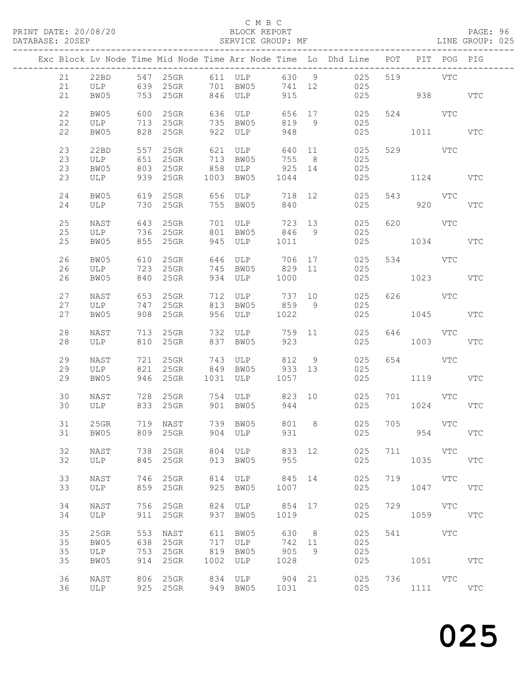#### C M B C<br>BLOCK REPORT

PAGE: 96<br>LINE GROUP: 025

|          |              |            |                      |            |                                            |                |                | Exc Block Lv Node Time Mid Node Time Arr Node Time Lo Dhd Line POT PIT POG PIG |     |                    |     |            |
|----------|--------------|------------|----------------------|------------|--------------------------------------------|----------------|----------------|--------------------------------------------------------------------------------|-----|--------------------|-----|------------|
|          |              |            |                      |            |                                            |                |                |                                                                                |     |                    |     |            |
| 21       | 22BD         |            |                      |            | 547 25GR 611 ULP 630 9                     |                |                | 025                                                                            |     | 519 VTC            |     |            |
| 21       |              |            |                      |            | ULP 639 25GR 701 BW05                      | 741 12         |                | 025                                                                            |     |                    |     |            |
| 21       | BW05         |            | 753 25GR             |            | 846 ULP                                    | 915            |                | 025                                                                            |     | 938 VTC            |     |            |
| 22       | BW05         |            | 600 25GR             |            | 636 ULP                                    |                |                | 656 17 025                                                                     |     | 524 VTC            |     |            |
| 22       | ULP          | 713        | $25$ GR              |            | 735 BW05                                   | 819            | 9              | 025                                                                            |     |                    |     |            |
| 22       | BW05         | 828        | $25$ GR              | 922        | ULP                                        | 948            |                | 025                                                                            |     | 1011 VTC           |     |            |
|          |              |            |                      |            |                                            |                |                |                                                                                |     |                    |     |            |
| 23       | 22BD         |            | 557 25GR<br>651 25GR |            | 621 ULP<br>713 RW05<br>621 ULP<br>713 BW05 | 640 11         |                | 025                                                                            |     | 529 VTC            |     |            |
| 23       | ULP          |            |                      |            | 858 ULP                                    | 755            | 8 <sup>8</sup> | 025                                                                            |     |                    |     |            |
| 23<br>23 | BW05<br>ULP  | 803<br>939 | $25$ GR<br>$25$ GR   |            | 1003 BW05                                  | 925 14<br>1044 |                | 025<br>025                                                                     |     | 1124 VTC           |     |            |
|          |              |            |                      |            |                                            |                |                |                                                                                |     |                    |     |            |
| 24       | BW05         |            | 619 25GR             |            | 656 ULP                                    |                |                | 718 12 025                                                                     |     | 543 VTC            |     |            |
| 24       | ULP          | 730        | $25$ GR              |            | 755 BW05                                   | 840            |                | 025                                                                            |     | 920                |     | <b>VTC</b> |
|          |              |            |                      |            |                                            |                |                |                                                                                |     |                    |     |            |
| 25       | NAST         |            | 643 25GR             |            | 701 ULP 723 13<br>701 ULP<br>801 BW05      |                |                | 025                                                                            |     | 620 VTC            |     |            |
| 25<br>25 | ULP<br>BW05  |            | 736 25GR<br>855 25GR |            | 945 ULP 1011                               | 846 9          |                | 025<br>025                                                                     |     | 1034 VTC           |     |            |
|          |              |            |                      |            |                                            |                |                |                                                                                |     |                    |     |            |
| 26       | BW05         | 610        | 25GR                 |            | 646 ULP 706 17                             |                |                | 025                                                                            |     | 534 VTC            |     |            |
| 26       | ULP          |            | 723 25GR             |            | 745 BW05                                   | 829 11         |                | 025                                                                            |     |                    |     |            |
| 26       | BW05         | 840        | $25$ GR              |            | 934 ULP                                    | 1000           |                | 025                                                                            |     | 1023               |     | VTC        |
|          |              |            |                      |            |                                            |                |                |                                                                                |     |                    |     |            |
| 27<br>27 | NAST<br>ULP  |            | 653 25GR<br>747 25GR |            | 712 ULP 737 10<br>813 BW05 859 9           |                |                | 025<br>025                                                                     |     | 626 VTC            |     |            |
| 27       | BW05         |            | 908 25GR             | 956        | ULP 1022                                   |                |                | 025                                                                            |     | 1045 VTC           |     |            |
|          |              |            |                      |            |                                            |                |                |                                                                                |     |                    |     |            |
| 28       | NAST         |            | 713 25GR             |            | 732 ULP 759 11                             |                |                | 025                                                                            |     | 646 VTC            |     |            |
| 28       | ULP          |            | 810 25GR             |            | 837 BW05                                   | 923            |                | 025                                                                            |     | 1003               |     | VTC        |
| 29       | NAST         |            | 721 25GR             |            | 743 ULP 812 9                              |                |                | 025                                                                            |     | 654 VTC            |     |            |
| 29       | ULP          |            | 821 25GR             |            | 849 BW05 933 13                            |                |                | 025                                                                            |     |                    |     |            |
| 29       | BW05         |            | 946 25GR             |            | 1031 ULP 1057                              |                |                | 025                                                                            |     | 1119 VTC           |     |            |
|          |              |            |                      |            |                                            |                |                |                                                                                |     |                    |     |            |
| 30       | NAST         |            | 728 25GR             |            |                                            |                |                | 754 ULP 823 10 025                                                             |     | 701 VTC            |     |            |
| 30       | ULP          |            | 833 25GR             |            | 901 BW05                                   | 944            |                | 025                                                                            |     | 1024               |     | VTC        |
| 31       | $25$ GR      |            | 719 NAST             |            | 739 BW05                                   | 801 8          |                | 025                                                                            |     | 705 VTC            |     |            |
|          |              |            | 31 BW05 809 25GR     |            | 904 ULP                                    |                |                | 931 000<br>025                                                                 |     |                    | 954 | VTC        |
|          |              |            |                      |            |                                            |                |                |                                                                                |     |                    |     |            |
| 32       | NAST         |            | 738 25GR             |            | 804 ULP                                    | 833 12         |                | 025                                                                            | 711 | <b>STATE STATE</b> |     |            |
| 32       | ULP          |            | 845 25GR             | 913        | BW05                                       | 955            |                | 025                                                                            |     | 1035               |     | <b>VTC</b> |
| 33       | NAST         | 746        | 25GR                 | 814        | ULP                                        | 845            | 14             | 025                                                                            | 719 | <b>VTC</b>         |     |            |
| 33       | ULP          | 859        | $25$ GR              | 925        | BW05                                       | 1007           |                | 025                                                                            |     | 1047               |     | <b>VTC</b> |
|          |              |            |                      |            |                                            |                |                |                                                                                |     |                    |     |            |
| 34       | NAST         |            | 756 25GR             | 824        | ULP                                        | 854 17         |                | 025                                                                            | 729 | VTC                |     |            |
| 34       | ULP          | 911        | $25$ GR              | 937        | BW05                                       | 1019           |                | 025                                                                            |     | 1059               |     | <b>VTC</b> |
|          |              |            |                      |            |                                            |                |                |                                                                                |     |                    |     |            |
| 35<br>35 | 25GR<br>BW05 | 553<br>638 | NAST<br>25GR         | 611<br>717 | BW05<br>ULP                                | 630<br>742 11  | 8 <sup>8</sup> | 025<br>025                                                                     | 541 | <b>VTC</b>         |     |            |
| 35       | ULP          | 753        | $25$ GR              | 819        | BW05                                       | 905            | 9              | 025                                                                            |     |                    |     |            |
| 35       | BW05         | 914        | 25GR                 | 1002       | ULP                                        | 1028           |                | 025                                                                            |     | 1051               |     | <b>VTC</b> |
|          |              |            |                      |            |                                            |                |                |                                                                                |     |                    |     |            |
| 36       | NAST         |            | 806 25GR             | 834        | ULP                                        | 904 21         |                | 025                                                                            |     | 736 VTC            |     |            |
| 36       | ULP          |            | 925 25GR             | 949        | BW05                                       | 1031           |                | 025                                                                            |     | 1111               |     | <b>VTC</b> |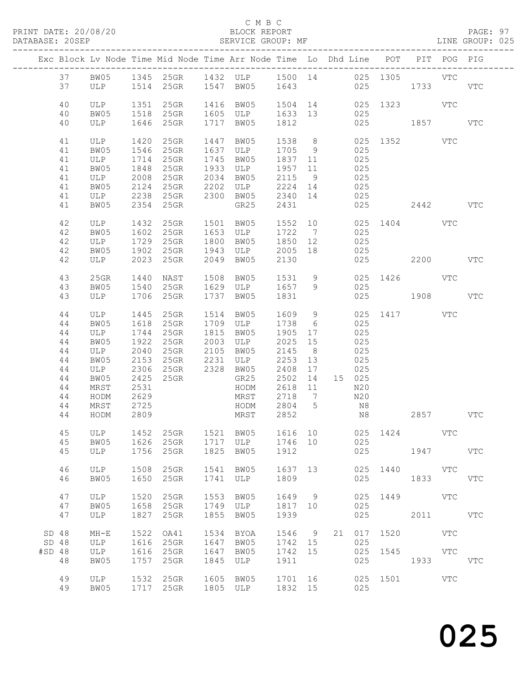#### C M B C

DATABASE: 20SEP SERVICE GROUP: MF LINE GROUP: 025

|                                       |                                                                      |                                                                                          |                                                                                              | Exc Block Lv Node Time Mid Node Time Arr Node Time Lo Dhd Line POT              |                                                          |                                                                 |                                                                                                     |                                  |     |                                                                      |                              | PIT POG PIG        |            |            |
|---------------------------------------|----------------------------------------------------------------------|------------------------------------------------------------------------------------------|----------------------------------------------------------------------------------------------|---------------------------------------------------------------------------------|----------------------------------------------------------|-----------------------------------------------------------------|-----------------------------------------------------------------------------------------------------|----------------------------------|-----|----------------------------------------------------------------------|------------------------------|--------------------|------------|------------|
|                                       | 37                                                                   |                                                                                          |                                                                                              | 37 BW05 1345 25GR 1432 ULP 1500 14 025 1305 VTC<br>ULP 1514 25GR 1547 BW05 1643 |                                                          |                                                                 |                                                                                                     |                                  |     | 025                                                                  | 1733                         |                    |            | VTC        |
|                                       | 40<br>40<br>40                                                       | ULP 1351<br>BW05<br>ULP                                                                  | 1518                                                                                         | 25GR<br>$25$ GR<br>1646 25GR                                                    | 1416 BW05<br>1717 BW05                                   | 1605 ULP                                                        | 1633 13<br>1812                                                                                     |                                  |     | 025<br>025                                                           | 1504 14 025 1323 VTC<br>1857 |                    |            | VTC        |
|                                       | 41<br>41<br>41<br>41<br>41<br>41<br>41<br>41                         | ULP 1420<br>BW05<br>ULP<br>BW05<br>ULP<br>BW05<br>ULP<br>BW05                            | 1546<br>1714<br>1848<br>2008<br>2124<br>2354                                                 | $25$ GR<br>25GR<br>25GR<br>25GR<br>$25$ GR<br>$25$ GR<br>2238 25GR<br>25GR      | 1447 BW05<br>1745<br>1933<br>2034<br>2202<br>$2300$ BW05 | 1637 ULP<br>BW05<br>ULP<br>BW05<br>ULP<br>GR25                  | 1538 8<br>1705 9<br>1837 11<br>1957 11<br>2115 9<br>2224 14<br>2340 14<br>2431                      |                                  |     | 025<br>025<br>025<br>025<br>025<br>025<br>025                        | 025 1352 VTC                 | 2442               |            | <b>VTC</b> |
|                                       | 42<br>42<br>42<br>42<br>42                                           | ULP 1432 2001<br>PMO5 1602 25GR<br>ULP<br>BW05<br>ULP                                    | 1729<br>1902<br>2023                                                                         | 25GR<br>$25$ GR<br>$25$ GR                                                      | 1501 BW05<br>1800<br>1943<br>2049                        | 1653 ULP<br>BW05<br>ULP<br>BW05                                 | 1552 10<br>1722 7<br>1850 12<br>2005 18<br>2130                                                     |                                  | 025 | 025<br>025                                                           | 025 1404 VTC<br>025 2200     |                    |            | VTC        |
|                                       | 43<br>43<br>43                                                       | 25GR<br>BW05<br>ULP                                                                      | 1440<br>1540                                                                                 | NAST<br>$25$ GR<br>1706 25GR                                                    | 1508<br>1737                                             | BW05<br>1629 ULP 1657 9<br>BW05                                 | 1531 9<br>1831                                                                                      |                                  |     | 025                                                                  | 025 1426 VTC<br>025 1908     |                    |            | VTC        |
|                                       | 44<br>44<br>44<br>44<br>44<br>44<br>44<br>44<br>44<br>44<br>44<br>44 | ULP<br>BW05<br>ULP<br>BW05<br>ULP<br>BW05<br>ULP<br>BW05<br>MRST<br>HODM<br>MRST<br>HODM | 1445<br>1618<br>1744<br>1922<br>2040<br>2153<br>2306<br>2425<br>2531<br>2629<br>2725<br>2809 | $25$ GR<br>25GR<br>$25$ GR<br>$25$ GR<br>25GR<br>25GR<br>25GR                   | 1514 BW05<br>1815<br>2003 ULP<br>2105 BW05<br>2328 BW05  | 1709 ULP<br>BW05<br>GR25<br>HODM<br>MRST<br>HODM 2804 5<br>MRST | 1609 9<br>1738 6<br>1905<br>2025 15<br>2145<br>2253 13<br>2408<br>2502<br>2618 11<br>2718 7<br>2852 | 17<br>8 <sup>8</sup><br>17<br>14 | N8  | 025<br>025<br>025<br>025<br>025<br>025<br>15 025<br>N20<br>N20<br>N8 | 025 1417 VTC                 | 2857               |            | <b>VTC</b> |
|                                       | 45<br>45                                                             | BW05<br>ULP                                                                              | 1626<br>1756                                                                                 | 45 ULP 1452 25GR 1521 BW05 1616 10 025 1424<br>25GR<br>25GR                     | 1717 ULP<br>1825                                         | BW05                                                            | 1746 10<br>1912                                                                                     |                                  |     | 025<br>025                                                           |                              | 1947               | VTC        | VTC        |
|                                       | 46<br>46                                                             | ULP<br>BW05                                                                              | 1508<br>1650                                                                                 | 25GR<br>25GR                                                                    | 1541<br>1741                                             | BW05<br>ULP                                                     | 1637<br>1809                                                                                        | 13                               |     | 025                                                                  | 025 1440                     | 1833               | VTC        | VTC        |
|                                       | 47<br>47<br>47                                                       | ULP<br>BW05<br>ULP                                                                       | 1520<br>1658<br>1827                                                                         | 25GR<br>25GR<br>25GR                                                            | 1553<br>1749<br>1855                                     | BW05<br>ULP<br>BW05                                             | 1649 9<br>1817 10<br>1939                                                                           |                                  |     | 025<br>025<br>025                                                    | 1449                         | <b>VTC</b><br>2011 |            | <b>VTC</b> |
| SD <sub>48</sub><br>SD 48<br>$#SD$ 48 | 48                                                                   | $MH-E$<br>ULP<br>ULP<br>BW05                                                             | 1522<br>1616<br>1616<br>1757                                                                 | OA41<br>25GR<br>$25$ GR<br>25GR                                                 | 1534<br>1647<br>1647<br>1845                             | BYOA<br>BW05<br>BW05<br>ULP                                     | 1546 9<br>1742 15<br>1742<br>1911                                                                   | 15                               | 21  | 025<br>025<br>025                                                    | 017 1520<br>1545             | 1933               | VTC<br>VTC | <b>VTC</b> |
|                                       | 49<br>49                                                             | ULP<br>BW05                                                                              | 1532                                                                                         | $25$ GR<br>1717 25GR                                                            | 1605 BW05<br>1805 ULP                                    |                                                                 | 1701 16<br>1832 15                                                                                  |                                  |     | 025                                                                  | 025 1501                     |                    | VTC        |            |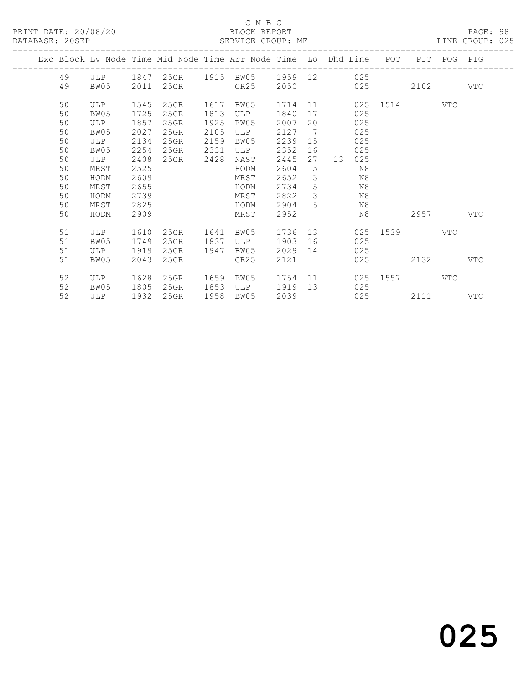#### C M B C<br>BLOCK REPORT

PAGE: 98<br>LINE GROUP: 025

|  |    |      |      |         |      | Exc Block Lv Node Time Mid Node Time Arr Node Time Lo Dhd Line |         |               | ________________ |     | POT  | PIT  | POG | PIG        |
|--|----|------|------|---------|------|----------------------------------------------------------------|---------|---------------|------------------|-----|------|------|-----|------------|
|  | 49 | ULP  | 1847 | 25GR    |      | 1915 BW05                                                      | 1959 12 |               |                  | 025 |      |      |     |            |
|  | 49 | BW05 | 2011 | 25GR    |      | GR25                                                           | 2050    |               |                  | 025 |      | 2102 |     | <b>VTC</b> |
|  | 50 | ULP  | 1545 | 25GR    | 1617 | BW05                                                           | 1714    | 11            |                  | 025 | 1514 |      | VTC |            |
|  | 50 | BW05 | 1725 | $25$ GR | 1813 | <b>ULP</b>                                                     | 1840    | 17            |                  | 025 |      |      |     |            |
|  | 50 | ULP  | 1857 | $25$ GR | 1925 | BW05                                                           | 2007    | 20            |                  | 025 |      |      |     |            |
|  | 50 | BW05 | 2027 | 25GR    | 2105 | ULP                                                            | 2127    | 7             |                  | 025 |      |      |     |            |
|  | 50 | ULP  | 2134 | $25$ GR | 2159 | BW05                                                           | 2239    | 15            |                  | 025 |      |      |     |            |
|  | 50 | BW05 | 2254 | $25$ GR | 2331 | ULP                                                            | 2352    | 16            |                  | 025 |      |      |     |            |
|  | 50 | ULP  | 2408 | 25GR    | 2428 | NAST                                                           | 2445    | 27            | 13               | 025 |      |      |     |            |
|  | 50 | MRST | 2525 |         |      | HODM                                                           | 2604    | 5             |                  | N8  |      |      |     |            |
|  | 50 | HODM | 2609 |         |      | MRST                                                           | 2652    | $\mathcal{S}$ |                  | N8  |      |      |     |            |
|  | 50 | MRST | 2655 |         |      | HODM                                                           | 2734    | 5             |                  | N8  |      |      |     |            |
|  | 50 | HODM | 2739 |         |      | MRST                                                           | 2822    | 3             |                  | N8  |      |      |     |            |
|  | 50 | MRST | 2825 |         |      | HODM                                                           | 2904    | 5             |                  | N8  |      |      |     |            |
|  | 50 | HODM | 2909 |         |      | MRST                                                           | 2952    |               |                  | N8  |      | 2957 |     | VTC        |
|  | 51 | ULP  | 1610 | 25GR    | 1641 | BW05                                                           | 1736    | 13            |                  | 025 | 1539 |      | VTC |            |
|  | 51 | BW05 | 1749 | $25$ GR | 1837 | ULP                                                            | 1903    | 16            |                  | 025 |      |      |     |            |
|  | 51 | ULP  | 1919 | $25$ GR | 1947 | BW05                                                           | 2029    | 14            |                  | 025 |      |      |     |            |
|  | 51 | BW05 | 2043 | 25GR    |      | GR25                                                           | 2121    |               |                  | 025 |      | 2132 |     | <b>VTC</b> |
|  | 52 | ULP  | 1628 | 25GR    | 1659 | BW05                                                           | 1754    | 11            |                  | 025 | 1557 |      | VTC |            |
|  | 52 | BW05 | 1805 | $25$ GR | 1853 | ULP                                                            | 1919    | 13            |                  | 025 |      |      |     |            |
|  | 52 | ULP  | 1932 | $25$ GR | 1958 | BW05                                                           | 2039    |               |                  | 025 |      | 2111 |     | VTC        |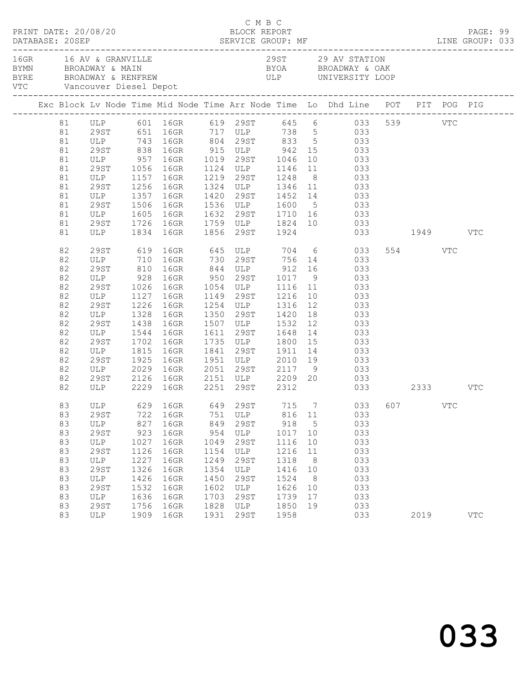|    |    | PRINT DATE: 20/08/20            |      |                              |      | C M B C | BLOCK REPORT   |                 |                                                                                                                                                 |         | PAGE: 99   |  |
|----|----|---------------------------------|------|------------------------------|------|---------|----------------|-----------------|-------------------------------------------------------------------------------------------------------------------------------------------------|---------|------------|--|
|    |    | 16GR 16 AV & GRANVILLE          |      | VTC Vancouver Diesel Depot   |      |         |                |                 | 29ST 29 AV STATION<br>BYMN BROADWAY & MAIN BYOA BROADWAY & MAIN BYOA BROADWAY & OAK<br>BYRE BROADWAY & RENFREW ULP UNIVERSITY LOOP              |         |            |  |
|    |    |                                 |      |                              |      |         |                |                 | Exc Block Lv Node Time Mid Node Time Arr Node Time Lo Dhd Line POT PIT POG PIG                                                                  |         |            |  |
|    |    |                                 |      |                              |      |         |                |                 | 81 ULP 601 16GR 619 29ST 645 6 033 539 VTC<br>81 29ST 651 16GR 717 ULP 738 5 033                                                                |         |            |  |
|    |    |                                 |      |                              |      |         |                |                 |                                                                                                                                                 |         |            |  |
| 81 |    |                                 |      |                              |      |         |                |                 | ULP 743 16GR 804 29ST 833 5 033                                                                                                                 |         |            |  |
| 81 |    |                                 |      |                              |      |         |                |                 | 29<br>ST 838 16GR 915 ULP 942 15 033<br>ULP 957 16GR 1019 29<br>ST 1056 16GR 1124 ULP 1146 11 033                                               |         |            |  |
| 81 |    |                                 |      |                              |      |         |                |                 |                                                                                                                                                 |         |            |  |
| 81 |    |                                 |      |                              |      |         |                |                 |                                                                                                                                                 |         |            |  |
| 81 |    | ULP 1157 16GR                   |      |                              |      |         | 1219 29ST 1248 |                 | 8 033                                                                                                                                           |         |            |  |
| 81 |    |                                 |      | 1256 16GR                    |      |         |                |                 | 29ST 1256 16GR 1324 ULP 1346 11 033<br>ULP 1357 16GR 1420 29ST 1452 14 033<br>29ST 1506 16GR 1536 ULP 1600 5 033                                |         |            |  |
| 81 |    |                                 |      |                              |      |         |                |                 |                                                                                                                                                 |         |            |  |
| 81 |    |                                 |      |                              |      |         |                |                 |                                                                                                                                                 |         |            |  |
| 81 |    | ULP 1605 16GR                   |      |                              |      |         |                |                 | 1632 29ST 1710 16 033                                                                                                                           |         |            |  |
| 81 |    | 29ST                            |      |                              |      |         |                |                 | 1726 16GR 1759 ULP 1824 10 033                                                                                                                  |         |            |  |
| 81 |    |                                 |      | ULP 1834 16GR 1856 29ST 1924 |      |         |                |                 | 033 1949 VTC                                                                                                                                    |         |            |  |
| 82 |    | 29ST                            |      |                              |      |         |                |                 | 619 16GR 645 ULP 704 6 033                                                                                                                      | 554 VTC |            |  |
| 82 |    |                                 |      |                              |      |         |                |                 |                                                                                                                                                 |         |            |  |
| 82 |    |                                 |      |                              |      |         |                |                 | ULP 710 16GR 730 29ST 756 14 033<br>29ST 810 16GR 844 ULP 912 16 033<br>ULP 928 16GR 950 29ST 1017 9 033<br>29ST 1026 16GR 1054 ULP 1116 11 033 |         |            |  |
| 82 |    |                                 |      |                              |      |         |                |                 |                                                                                                                                                 |         |            |  |
| 82 |    |                                 |      |                              |      |         |                |                 |                                                                                                                                                 |         |            |  |
| 82 |    | ULP                             |      | 1127 16GR                    |      |         |                |                 | 1149 29ST 1216 10 033                                                                                                                           |         |            |  |
| 82 |    | 29ST                            | 1226 | 16GR                         |      |         |                |                 | 1254 ULP 1316 12 033<br>1350 29ST 1420 18 033<br>1507 ULP 1532 12 033                                                                           |         |            |  |
| 82 |    | ULP                             |      |                              |      |         |                |                 |                                                                                                                                                 |         |            |  |
| 82 |    | 29ST                            |      | 1328 16GR<br>1438 16GR       |      |         |                |                 |                                                                                                                                                 |         |            |  |
| 82 |    | ULP                             |      | 1544 16GR                    |      |         |                |                 | 1611 29ST 1648 14 033                                                                                                                           |         |            |  |
| 82 |    | 29ST                            | 1702 | 16GR                         |      |         |                |                 | 1735 ULP 1800 15 033<br>1841 29ST 1911 14 033<br>1951 ULP 2010 19 033                                                                           |         |            |  |
| 82 |    | ULP 1815 16GR<br>29ST 1925 16GR |      |                              |      |         |                |                 |                                                                                                                                                 |         |            |  |
| 82 |    |                                 |      |                              |      |         |                |                 |                                                                                                                                                 |         |            |  |
| 82 |    | ULP 2029                        |      | 16GR                         |      |         |                |                 | 2051 29ST 2117 9 033                                                                                                                            |         |            |  |
| 82 |    | 29ST                            |      |                              |      |         |                |                 | 2126 16GR 2151 ULP 2209 20 033                                                                                                                  |         |            |  |
| 82 |    |                                 |      | ULP 2229 16GR 2251 29ST 2312 |      |         |                |                 | 033 2333 VTC                                                                                                                                    |         |            |  |
|    | 83 |                                 |      |                              |      |         |                |                 | ULP 629 16GR 649 29ST 715 7 033 607 VTC                                                                                                         |         |            |  |
| 83 |    | 29ST                            | 722  | 16GR                         | 751  | ULP     | 816            | 11              | 033                                                                                                                                             |         |            |  |
| 83 |    | ULP                             | 827  | 16GR                         | 849  | 29ST    | 918            | $5\overline{)}$ | 033                                                                                                                                             |         |            |  |
| 83 |    | 29ST                            | 923  | 16GR                         | 954  | ULP     | 1017           | 10              | 033                                                                                                                                             |         |            |  |
| 83 |    | ULP                             | 1027 | 16GR                         | 1049 | 29ST    | 1116           | 10              | 033                                                                                                                                             |         |            |  |
| 83 |    | 29ST                            | 1126 | 16GR                         | 1154 | ULP     | 1216           | 11              | 033                                                                                                                                             |         |            |  |
| 83 |    | ULP                             | 1227 | 16GR                         | 1249 | 29ST    | 1318           | 8               | 033                                                                                                                                             |         |            |  |
| 83 |    | 29ST                            | 1326 | 16GR                         | 1354 | ULP     | 1416           | 10              | 033                                                                                                                                             |         |            |  |
| 83 |    | ULP                             | 1426 | 16GR                         | 1450 | 29ST    | 1524           | 8               | 033                                                                                                                                             |         |            |  |
| 83 |    | 29ST                            | 1532 | 16GR                         | 1602 | ULP     | 1626           | 10              | 033                                                                                                                                             |         |            |  |
| 83 |    | ULP                             | 1636 | 16GR                         | 1703 | 29ST    | 1739           | 17              | 033                                                                                                                                             |         |            |  |
| 83 |    | 29ST                            | 1756 | 16GR                         | 1828 | ULP     | 1850           | 19              | 033                                                                                                                                             |         |            |  |
| 83 |    | ULP                             |      | 1909 16GR                    | 1931 | 29ST    | 1958           |                 | 033                                                                                                                                             | 2019    | <b>VTC</b> |  |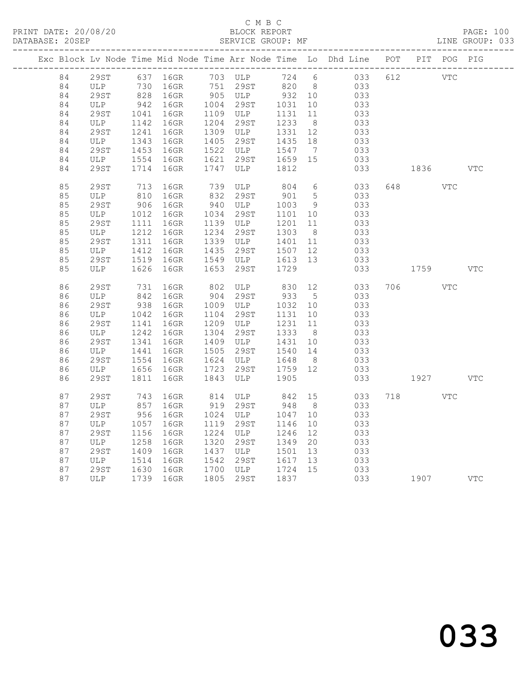#### C M B C<br>BLOCK REPORT SERVICE GROUP: MF

|          |             |              |                                                            |      |                                                             |                      |                      | Exc Block Lv Node Time Mid Node Time Arr Node Time Lo Dhd Line POT PIT POG PIG |     |         |            |              |
|----------|-------------|--------------|------------------------------------------------------------|------|-------------------------------------------------------------|----------------------|----------------------|--------------------------------------------------------------------------------|-----|---------|------------|--------------|
| 84       |             |              | --------<br>29ST 637 16GR 703 ULP<br>--- 730 16GR 751 29ST |      | 703 ULP                                                     |                      |                      | 724 6 033                                                                      |     | 612 VTC |            |              |
| 84       |             |              |                                                            |      |                                                             | 820 8                |                      | 033                                                                            |     |         |            |              |
| 84       | 29ST        |              | 828 16GR                                                   |      | 905 ULP 932 10                                              |                      |                      | 033                                                                            |     |         |            |              |
| 84       | ULP         | 942          | 16GR                                                       |      | 1004 29ST 1031 10                                           |                      |                      | 033                                                                            |     |         |            |              |
| 84       | 29ST        | 1041         | 16GR                                                       |      | 1109 ULP 1131 11<br>1204 29ST 1233 8                        |                      |                      | 033                                                                            |     |         |            |              |
| 84       | ULP         | 1142         | 16GR                                                       |      | 1309 ULP 1331 12                                            |                      |                      | 033                                                                            |     |         |            |              |
| 84       | 29ST        | 1241         | 16GR                                                       |      | 1405 29ST 1435 18                                           |                      |                      | 033                                                                            |     |         |            |              |
| 84       | ULP         | 1343<br>1453 | 16GR                                                       |      | $1522$ ULP $1547$                                           |                      |                      | 033                                                                            |     |         |            |              |
| 84<br>84 | 29ST<br>ULP | 1554         | 16GR<br>16GR                                               | 1621 |                                                             | 1659 15              | $\overline{7}$       | 033<br>033                                                                     |     |         |            |              |
| 84       | 29ST        | 1714         | 16GR                                                       | 1747 | 29ST<br>ULP                                                 | 1812                 |                      | 033                                                                            |     | 1836    |            | $_{\rm VTC}$ |
|          |             |              |                                                            |      |                                                             |                      |                      |                                                                                |     |         |            |              |
| 85       | 29ST        | 713          | 16GR                                                       |      | 739 ULP 804                                                 |                      | 6                    | 033                                                                            | 648 |         | <b>VTC</b> |              |
| 85       | ULP         | 810          | 16GR                                                       |      | 832 29ST                                                    | 901                  | $5\overline{)}$      | 033                                                                            |     |         |            |              |
| 85       | <b>29ST</b> | 906          | 16GR                                                       |      | 940 ULP                                                     | 1003                 | 9                    | 033                                                                            |     |         |            |              |
| 85       | ULP         | 1012         | 16GR                                                       |      | 1034 29ST                                                   | 1101 10              |                      | 033                                                                            |     |         |            |              |
| 85       | 29ST        | 1111         | 16GR                                                       |      | 1139 ULP                                                    | 1201<br>1303         | 11                   | 033                                                                            |     |         |            |              |
| 85<br>85 | ULP         | 1212         | 16GR                                                       |      | 1234 29ST                                                   |                      | 8 <sup>8</sup><br>11 | 033                                                                            |     |         |            |              |
| 85       | 29ST<br>ULP | 1311<br>1412 | 16GR<br>16GR                                               |      | 1339 ULP 1401 11<br>1435 29ST 1507 12                       |                      |                      | 033<br>033                                                                     |     |         |            |              |
| 85       | 29ST        | 1519         | 16GR                                                       |      |                                                             |                      |                      | 033                                                                            |     |         |            |              |
| 85       | ULP         | 1626         | 16GR                                                       | 1653 | 1549 ULP 1613 13<br>1653 29ST 1729<br>29ST                  | 1729                 |                      | 033                                                                            |     | 1759    |            | $_{\rm VTC}$ |
|          |             |              |                                                            |      |                                                             |                      |                      |                                                                                |     |         |            |              |
| 86       | 29ST        | 731          | 16GR                                                       | 802  | ULP                                                         | 830 12               |                      | 033                                                                            | 706 |         | <b>VTC</b> |              |
| 86       | ULP         | 842          | 16GR                                                       |      | 904 29ST                                                    | 933                  | $5\overline{)}$      | 033                                                                            |     |         |            |              |
| 86       | <b>29ST</b> | 938          | 16GR                                                       |      | 1009 ULP                                                    | 1032 10              |                      | 033                                                                            |     |         |            |              |
| 86       | ULP         | 1042         | 16GR                                                       |      | 1104 29ST 1131 10                                           |                      |                      | 033                                                                            |     |         |            |              |
| 86       | <b>29ST</b> | 1141         | 16GR                                                       |      | 1209 ULP                                                    | 1231<br>1231<br>1333 | 11                   | 033                                                                            |     |         |            |              |
| 86       | ULP         | 1242         | 16GR                                                       |      | 1304 29ST<br>1304<br>1409 ULP 1431 10<br>1540 14<br>1540 14 |                      | 8 <sup>8</sup>       | 033                                                                            |     |         |            |              |
| 86       | 29ST        | 1341         | 16GR                                                       |      |                                                             |                      |                      | 033                                                                            |     |         |            |              |
| 86       | ULP         | 1441         | 16GR                                                       |      | 1505 2552<br>1624 ULP 1648 8<br>1759 12                     |                      |                      | 033                                                                            |     |         |            |              |
| 86       | <b>29ST</b> | 1554         | 16GR                                                       |      |                                                             |                      |                      | 033                                                                            |     |         |            |              |
| 86       | ULP         | 1656         | 16GR                                                       |      |                                                             |                      |                      | 033                                                                            |     |         |            |              |
| 86       | <b>29ST</b> | 1811         | 16GR                                                       | 1843 | ULP                                                         | 1905                 |                      | 033                                                                            |     | 1927    |            | $_{\rm VTC}$ |
| 87       | 29ST        | 743          | 16GR                                                       |      | 814 ULP                                                     | 842 15               |                      | 033                                                                            | 718 |         | <b>VTC</b> |              |
| 87       | ULP         | 857          | 16GR                                                       |      | 919 29ST                                                    | 948                  | 8 <sup>8</sup>       | 033                                                                            |     |         |            |              |
| 87       | 29ST        | 956          | 16GR                                                       |      | 1024 ULP                                                    | 1047 10              |                      | 033                                                                            |     |         |            |              |
| 87       | ULP         | 1057         | 16GR                                                       |      | 1119 29ST                                                   | 1146                 | 10                   | 033                                                                            |     |         |            |              |
| 87       | <b>29ST</b> | 1156         | 16GR                                                       |      | 1224 ULP                                                    | 1246                 | 12                   | 033                                                                            |     |         |            |              |
| 87       | ULP         | 1258         | 16GR                                                       | 1320 | 29ST                                                        | 1349                 | 20                   | 033                                                                            |     |         |            |              |
| 87       | 29ST        | 1409         | 16GR                                                       |      | 1437 ULP                                                    | 1501                 | 13                   | 033                                                                            |     |         |            |              |
| 87       | ULP         | 1514         | 16GR                                                       |      | 1542 29ST 1617 13<br>1700 ULP 1724 15                       |                      |                      | 033                                                                            |     |         |            |              |
| 87       | 29ST        | 1630         | 16GR                                                       |      |                                                             |                      |                      | 033                                                                            |     |         |            |              |
| 87       | ULP         |              | 1739 16GR                                                  |      | 1805 29ST 1837                                              |                      |                      | 033 1907 VTC                                                                   |     |         |            |              |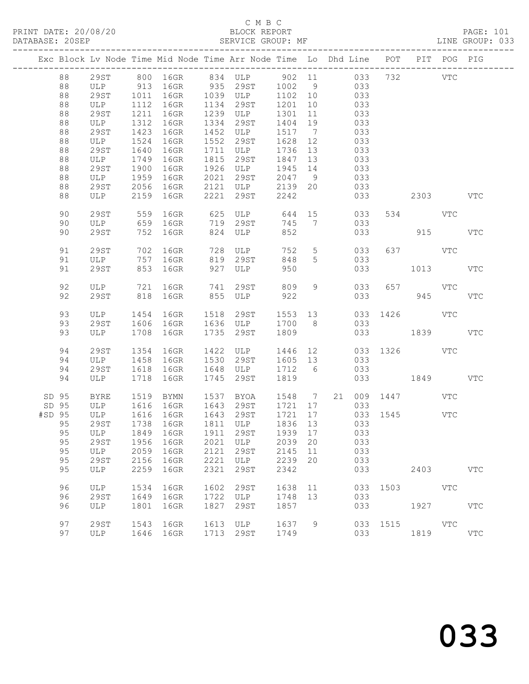#### C M B C<br>BLOCK REPORT SERVICE GROUP: MF

|        |                                        |                                                        |                                              |                                                           |                      | Exc Block Lv Node Time Mid Node Time Arr Node Time Lo Dhd Line POT PIT POG PIG                                       |                                                                 |                      |            |                                        |          |                                          |            |
|--------|----------------------------------------|--------------------------------------------------------|----------------------------------------------|-----------------------------------------------------------|----------------------|----------------------------------------------------------------------------------------------------------------------|-----------------------------------------------------------------|----------------------|------------|----------------------------------------|----------|------------------------------------------|------------|
|        | 88<br>88<br>88<br>88<br>88<br>88<br>88 | 29ST<br>ULP 913<br>29ST<br>ULP<br>29ST<br>ULP<br>29ST  | 1011<br>1112<br>1211<br>1312<br>1423         | 16GR 935 29ST<br>16GR<br>16GR<br>16GR<br>16GR             | 1134<br>1334         | 800 16GR 834 ULP 902 11 033 732 VTC<br>16GR 1039 ULP<br>29ST<br>1239 ULP<br>29ST<br>1452 ULP                         | 1002 9<br>1102 10<br>1201<br>1301<br>1404<br>1517 7             | 10<br>11<br>19       | 033<br>033 | 033<br>033<br>033<br>033               |          |                                          |            |
|        | 88<br>88<br>88<br>88<br>88<br>88<br>88 | ULP<br>29ST<br>ULP<br>29ST<br>ULP<br>29ST<br>ULP       | 1524<br>1640<br>1749<br>1900<br>1959<br>2056 | 16GR<br>16GR<br>16GR<br>16GR<br>16GR<br>16GR<br>2159 16GR | 1815<br>2021<br>2221 | 1552 29ST<br>1711 ULP<br>29ST<br>1926 ULP<br>29ST<br>2121 ULP<br>29ST                                                | 1628<br>1736 13<br>1847<br>1945 14<br>2047 9<br>2139 20<br>2242 | 12<br>13             | 033        | 033<br>033<br>033<br>033<br>033<br>033 |          | 2303                                     | <b>VTC</b> |
|        | 90<br>90<br>90                         | 29ST<br>ULP<br>29ST                                    | 559<br>752                                   | 16GR<br>659 16GR<br>16GR                                  |                      | 625 ULP 644<br>719 29ST<br>824 ULP                                                                                   | $745$<br>$745$<br>$85$                                          | 15                   |            | 033<br>033<br>033                      |          | 534 VTC<br>915                           | VTC        |
|        | 91<br>91<br>91                         | 29ST<br>ULP<br>29ST                                    | 702<br>757<br>853                            | 16GR<br>16GR<br>16GR                                      | 728                  | ULP<br>819 29ST<br>927 ULP                                                                                           | 752<br>848<br>950                                               | $5\overline{)}$<br>5 |            | 033<br>033<br>033                      |          | 637 VTC<br>1013                          | <b>VTC</b> |
|        | 92<br>92                               | ULP<br>29ST                                            |                                              | 721 16GR<br>818 16GR                                      | 741                  | 29ST<br>855 ULP                                                                                                      | 809<br>922                                                      | 9                    |            | 033                                    | 033      | 657 VTC<br>945                           | <b>VTC</b> |
|        | 93<br>93<br>93                         | ULP<br>29ST<br>ULP                                     | 1454<br>1606<br>1708                         | 16GR<br>16GR<br>16GR                                      | 1518                 | 29ST 1553 13<br>1636 ULP<br>1735 29ST                                                                                | 1700 8<br>1809                                                  |                      |            | 033                                    |          | 033 1426 VTC<br>033 1839                 | <b>VTC</b> |
|        | 94<br>94<br>94<br>94                   | 29ST<br>ULP<br>29ST<br>ULP                             | 1354<br>1458<br>1618<br>1718                 | 16GR<br>16GR<br>16GR<br>16GR                              | 1422<br>1745         | ULP<br>1530 29ST<br>1648 ULP<br>29ST                                                                                 | 1446 12<br>1605 13<br>1712 6<br>1819                            |                      |            | 033<br>033                             |          | 033 1326 VTC<br>033 1849                 | VTC        |
| #SD 95 | SD 95<br>SD 95<br>95<br>95<br>95<br>95 | BYRE<br>ULP 1616<br>ULP<br>29ST<br>29ST<br>ULP<br>29ST | 1519<br>1616<br>1956<br>2059<br>2156         | BYMN<br>16GR<br>16GR<br>$1738$ 16GR<br>16GR<br>16GR       | 2121<br>2221         | 1537 BYOA<br>1643 29ST<br>1643 29ST<br>1811 ULP<br>95 ULP 1849 16GR 1911 29ST 1939 17 033<br>2021 ULP<br>29ST<br>ULP | 1721<br>1721 17<br>1836 13<br>2039 20<br>2145<br>2239           | 11<br>20             | 17 / 17    | 033<br>033<br>033<br>033<br>033        |          | 1548 7 21 009 1447 VTC<br>$033$ 1545 VTC |            |
|        | 95<br>96                               | ULP<br>ULP                                             | 2259<br>1534                                 | 16GR<br>16GR<br>16GR                                      | 2321<br>1602         | 29ST<br>29ST                                                                                                         | 2342<br>1638                                                    | 11                   |            | 033                                    | 033 1503 | 2403<br><b>VTC</b>                       | <b>VTC</b> |
|        | 96<br>96<br>97                         | <b>29ST</b><br>ULP<br><b>29ST</b>                      | 1649<br>1801<br>1543                         | 16GR<br>16GR<br>16GR                                      | 1827                 | 1722 ULP<br>29ST<br>1613 ULP                                                                                         | 1748<br>1857<br>1637                                            | 13<br>9              |            | 033<br>033                             |          | 1927<br>033 1515 VTC                     | VTC        |
|        | 97                                     | ULP                                                    |                                              | 1646 16GR                                                 |                      | 1713 29ST                                                                                                            | 1749                                                            |                      |            | 033                                    |          | 1819                                     | <b>VTC</b> |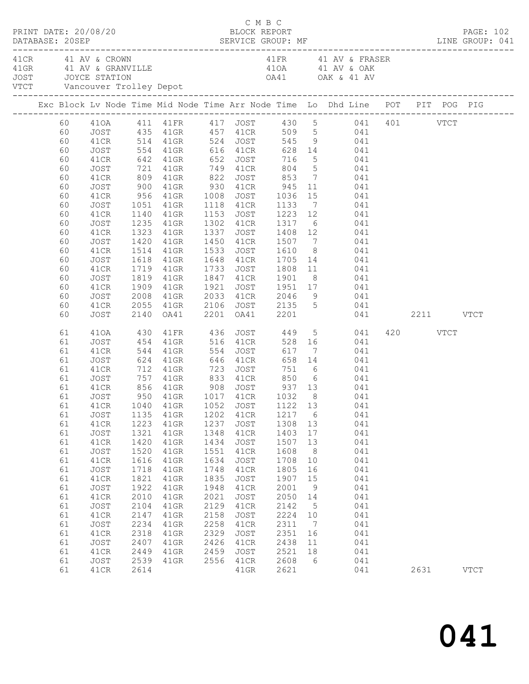| PRINT DATE: 20/08/20 |                                                                                                                                                          |                                                                                                                                                                                                              |                                                                                                                                                            |                                                                                                                                                                                                                                                                                                                      |                                                                                                                                      | C M B C<br>BLOCK REPORT                                                                                                                                        |                                                                                                                                                 |                                                                                                                                |                                                                                                                                                                                                                                                                                                         |                  | PAGE: 102   |
|----------------------|----------------------------------------------------------------------------------------------------------------------------------------------------------|--------------------------------------------------------------------------------------------------------------------------------------------------------------------------------------------------------------|------------------------------------------------------------------------------------------------------------------------------------------------------------|----------------------------------------------------------------------------------------------------------------------------------------------------------------------------------------------------------------------------------------------------------------------------------------------------------------------|--------------------------------------------------------------------------------------------------------------------------------------|----------------------------------------------------------------------------------------------------------------------------------------------------------------|-------------------------------------------------------------------------------------------------------------------------------------------------|--------------------------------------------------------------------------------------------------------------------------------|---------------------------------------------------------------------------------------------------------------------------------------------------------------------------------------------------------------------------------------------------------------------------------------------------------|------------------|-------------|
| 41 CR 41 AV & CROWN  |                                                                                                                                                          |                                                                                                                                                                                                              |                                                                                                                                                            |                                                                                                                                                                                                                                                                                                                      |                                                                                                                                      |                                                                                                                                                                |                                                                                                                                                 |                                                                                                                                | 41FR 41 AV & FRASER                                                                                                                                                                                                                                                                                     |                  |             |
|                      |                                                                                                                                                          |                                                                                                                                                                                                              |                                                                                                                                                            |                                                                                                                                                                                                                                                                                                                      |                                                                                                                                      |                                                                                                                                                                |                                                                                                                                                 |                                                                                                                                | Exc Block Lv Node Time Mid Node Time Arr Node Time Lo Dhd Line POT PIT POG PIG                                                                                                                                                                                                                          |                  |             |
|                      | 60                                                                                                                                                       | JOST                                                                                                                                                                                                         |                                                                                                                                                            |                                                                                                                                                                                                                                                                                                                      |                                                                                                                                      |                                                                                                                                                                |                                                                                                                                                 |                                                                                                                                | 410A 411 41FR 417 JOST 430 5<br>430 5 041 401 VTCT 60<br>41CR 514 41GR 524 JOST 545 9 041<br>554 41GR 616 41CR 628 14 041                                                                                                                                                                               |                  |             |
|                      | 60<br>60<br>60<br>60<br>60                                                                                                                               | 41CR<br>JOST<br>41CR<br>JOST<br>41CR                                                                                                                                                                         | 900                                                                                                                                                        | 41GR 930 41CR 945                                                                                                                                                                                                                                                                                                    |                                                                                                                                      |                                                                                                                                                                |                                                                                                                                                 |                                                                                                                                | 11 041                                                                                                                                                                                                                                                                                                  |                  |             |
|                      | 60<br>60<br>60<br>60                                                                                                                                     | JOST<br>41CR<br>JOST<br>41CR                                                                                                                                                                                 | 1323                                                                                                                                                       | 1235 41GR<br>41GR                                                                                                                                                                                                                                                                                                    |                                                                                                                                      | 1337 JOST                                                                                                                                                      |                                                                                                                                                 |                                                                                                                                | 956 41GR 1008 JOST 1036 15 041<br>1051 41GR 1118 41CR 1133 7 041<br>1140 41GR 1153 JOST 1223 12 041<br>1302 41CR 1317 6 041                                                                                                                                                                             |                  |             |
|                      | 60<br>60<br>60<br>60                                                                                                                                     | JOST<br>41CR<br>JOST<br>41CR                                                                                                                                                                                 | 1618                                                                                                                                                       | 1420 41GR<br>1514 41GR<br>41GR<br>1719 41GR                                                                                                                                                                                                                                                                          |                                                                                                                                      |                                                                                                                                                                |                                                                                                                                                 |                                                                                                                                | 1337 JOST 1408 12 041<br>1450 41CR 1507 7 041<br>1533 JOST 1610 8 041<br>1648 41CR 1705 14 041                                                                                                                                                                                                          |                  |             |
|                      | 60<br>60<br>60<br>60                                                                                                                                     | JOST<br>41CR<br>JOST<br>41CR                                                                                                                                                                                 | 2008<br>2055                                                                                                                                               | 1819 41GR<br>1909 41GR<br>41GR<br>41GR                                                                                                                                                                                                                                                                               | 1921                                                                                                                                 |                                                                                                                                                                |                                                                                                                                                 |                                                                                                                                | 1733 JOST 1808 11 041<br>1847 41CR 1901 8 041<br>1921 JOST 1951 17 041<br>2033 41CR 2046 9 041<br>2106 JOST 2135 5 041                                                                                                                                                                                  |                  |             |
|                      | 60                                                                                                                                                       | JOST                                                                                                                                                                                                         | 2140                                                                                                                                                       | OA41                                                                                                                                                                                                                                                                                                                 |                                                                                                                                      | 2201 OA41 2201                                                                                                                                                 |                                                                                                                                                 |                                                                                                                                | 041 2211 VTCT                                                                                                                                                                                                                                                                                           |                  |             |
|                      | 61<br>61<br>61<br>61<br>61<br>61<br>61<br>61<br>61<br>61<br>61<br>61<br>61<br>61<br>61<br>61<br>61<br>61<br>61<br>61<br>61<br>61<br>61<br>61<br>61<br>61 | 410A<br>JOST<br>41CR<br>JOST<br>41CR<br>JOST<br>41CR<br>JOST<br>JOST<br>41CR<br>JOST<br>41CR<br>JOST<br>41CR<br>JOST<br>41CR<br>JOST<br>41CR<br>JOST<br>41CR<br>JOST<br>41CR<br>JOST<br>41CR<br>JOST<br>41CR | 430<br>454<br>1135<br>1223<br>1321<br>1420<br>1520<br>1616<br>1718<br>1821<br>1922<br>2010<br>2104<br>2147<br>2234<br>2318<br>2407<br>2449<br>2539<br>2614 | 41GR 516 41CR<br>544 41GR 554<br>624 41GR 646<br>712 41GR 723<br>757 41GR 833 41CR 850 6<br>856 41GR 908 JOST 937 13<br>950 41GR 1017 41CR 1032 8<br>41GR<br>$41$ GR<br>41GR<br>41GR<br>$41$ GR<br>$41$ GR<br>$41$ GR<br>$41$ GR<br>$41$ GR<br>41GR<br>41GR<br>41GR<br>$41$ GR<br>$41$ GR<br>41GR<br>41GR<br>$41$ GR | 1202<br>1237<br>1348<br>1434<br>1551<br>1634<br>1748<br>1835<br>1948<br>2021<br>2129<br>2158<br>2258<br>2329<br>2426<br>2459<br>2556 | <b>JOST</b><br>41CR<br>JOST<br>41CR<br>JOST<br>41CR<br>JOST<br>41CR<br>JOST<br>41CR<br>JOST<br>41CR<br>JOST<br>41CR<br>JOST<br>41CR<br>JOST<br>41CR<br>$41$ GR | 1217<br>1308 13<br>1403<br>1507<br>1608<br>1708<br>1805<br>1907<br>2001<br>2050<br>2142<br>2224<br>2311<br>2351<br>2438<br>2521<br>2608<br>2621 | 6<br>17<br>13<br>8 <sup>8</sup><br>10<br>16<br>15<br>9<br>14<br>$5\overline{)}$<br>10<br>$\overline{7}$<br>16<br>11<br>18<br>6 | 41FR 436 JOST 449 5 041<br>528 16 041<br>JOST 617 7 041<br>41CR 658 14 041<br>751 6 041<br>6 041<br>041<br>041<br>61   41CR   1040   41GR   1052   JOST   1122   13   041<br>041<br>041<br>041<br>041<br>041<br>041<br>041<br>041<br>041<br>041<br>041<br>041<br>041<br>041<br>041<br>041<br>041<br>041 | 420 VTCT<br>2631 | <b>VTCT</b> |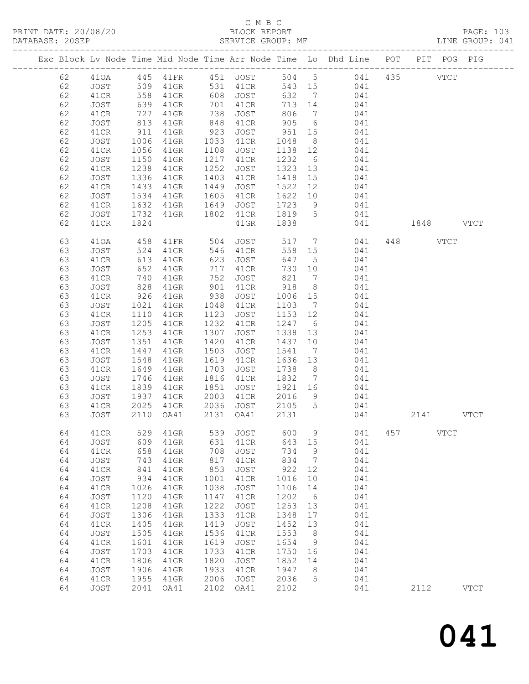#### C M B C<br>BLOCK REPORT

| DATABASE: 20SEP |    | ------------------- |                   |                |      | SERVICE GROUP: MF                          |         |                 |                                                                                |     |               | LINE GROUP: 041 |
|-----------------|----|---------------------|-------------------|----------------|------|--------------------------------------------|---------|-----------------|--------------------------------------------------------------------------------|-----|---------------|-----------------|
|                 |    |                     |                   |                |      |                                            |         |                 | Exc Block Lv Node Time Mid Node Time Arr Node Time Lo Dhd Line POT PIT POG PIG |     |               |                 |
|                 | 62 |                     |                   |                |      |                                            |         |                 | 410A 445 41FR 451 JOST 504 5 041 435 VTCT                                      |     |               |                 |
|                 | 62 | JOST 509            |                   |                |      |                                            |         |                 | 41GR 531 41CR 543 15 041                                                       |     |               |                 |
|                 | 62 | 41CR                |                   |                |      | 41GR 608 JOST                              | 632     |                 | 7 041                                                                          |     |               |                 |
|                 | 62 | JOST                | 558<br>639<br>727 | 41GR           |      |                                            | 713 14  |                 | 041                                                                            |     |               |                 |
|                 | 62 | 41CR                |                   | $41$ GR        |      | 701 41CR<br>738 JOST                       | 806     |                 | $\frac{1}{7}$ 041                                                              |     |               |                 |
|                 | 62 | JOST                | 813               | 41GR           |      | 848 41CR                                   | 905     |                 | 6 041                                                                          |     |               |                 |
|                 | 62 | 41CR                | 911               | 41GR           | 923  | JOST                                       | 951     | 15              | 041                                                                            |     |               |                 |
|                 | 62 | JOST                |                   | 41GR           |      | 1033 41CR                                  | 1048    | 8 <sup>8</sup>  | 041                                                                            |     |               |                 |
|                 | 62 | 41CR                | 1006<br>1056      | 41GR           | 1108 | JOST                                       | 1138 12 |                 | 041                                                                            |     |               |                 |
|                 | 62 | JOST                | 1150              | 41GR           | 1217 | 41CR                                       | 1232    |                 | 6 041                                                                          |     |               |                 |
|                 | 62 | 41CR                | 1238              | 41GR           | 1252 | JOST                                       | 1323    |                 | 13 041                                                                         |     |               |                 |
|                 | 62 | JOST                |                   | 41GR           | 1403 | 41CR                                       | 1418    |                 | 041                                                                            |     |               |                 |
|                 | 62 |                     | 1336<br>1433      |                | 1449 |                                            | 1522    |                 | $\begin{array}{c} 15 \\ 12 \end{array}$<br>041                                 |     |               |                 |
|                 |    | 41CR                | 1534              | 41GR           |      | JOST                                       |         |                 | 1622 10 041                                                                    |     |               |                 |
|                 | 62 | JOST                |                   | 41GR           |      | 1605 41CR                                  |         |                 |                                                                                |     |               |                 |
|                 | 62 | 41CR                | 1632              | 41GR           | 1649 | JOST                                       | 1723    | 9               | 041                                                                            |     |               |                 |
|                 | 62 | JOST                | 1732              | 41GR 1802 41CR |      |                                            | 1819 5  |                 | 041                                                                            |     |               |                 |
|                 | 62 | 41CR                | 1824              |                |      | $41$ GR                                    | 1838    |                 |                                                                                |     | 041 1848 VTCT |                 |
|                 | 63 | 410A                | 458               | 41FR 504       |      | JOST 517 7                                 |         |                 | 041                                                                            |     | 448 VTCT      |                 |
|                 | 63 | JOST                |                   | 41GR           |      |                                            |         |                 | 558 15 041                                                                     |     |               |                 |
|                 | 63 | 41CR                | 524<br>613<br>652 | $41$ GR        |      |                                            | 647     | $5\overline{)}$ | 041                                                                            |     |               |                 |
|                 | 63 | JOST                |                   | $41$ GR        |      | 717 41CR                                   | 730 10  |                 | 041                                                                            |     |               |                 |
|                 | 63 | 41CR                | 740               | 41GR           |      | 752 JOST                                   | 821     | $7\overline{ }$ | 041                                                                            |     |               |                 |
|                 | 63 | JOST                | 828<br>926        | $41$ GR        | 901  | 41CR                                       | 918     | 8 <sup>8</sup>  | 041                                                                            |     |               |                 |
|                 | 63 | 41CR                |                   | 41GR           | 938  | JOST                                       | 1006 15 |                 | 041                                                                            |     |               |                 |
|                 | 63 | JOST                | 1021              | 41GR           |      | 1048 41CR                                  | 1103 7  |                 | 041                                                                            |     |               |                 |
|                 | 63 | 41CR                | 1110              | 41GR           | 1123 | JOST                                       | 1153 12 |                 | 041                                                                            |     |               |                 |
|                 | 63 | JOST                | 1205              | 41GR           | 1232 | 41CR                                       | 1247    | 6               | 041                                                                            |     |               |                 |
|                 | 63 | 41CR                | 1253              | 41GR           | 1307 | JOST                                       | 1338 13 |                 | 041                                                                            |     |               |                 |
|                 | 63 | JOST                | 1351              | 41GR           |      | 1420 41CR                                  | 1437    | 10              | 041                                                                            |     |               |                 |
|                 | 63 | 41CR                | 1447              | 41GR           | 1503 | JOST                                       | 1541    | $\overline{7}$  | 041                                                                            |     |               |                 |
|                 | 63 | JOST                | 1548              | 41GR           | 1619 | 41CR                                       | 1636 13 |                 | 041                                                                            |     |               |                 |
|                 | 63 | 41CR                | 1649              | 41GR           | 1703 | JOST                                       | 1738    | 8 <sup>8</sup>  | 041                                                                            |     |               |                 |
|                 | 63 | JOST                | 1746              | 41GR           |      | 1816 41CR                                  | 1832    |                 | $7 \qquad 041$                                                                 |     |               |                 |
|                 | 63 | 41CR                | 1839              | 41GR           | 1851 | JOST                                       |         |                 | 1921 16 041                                                                    |     |               |                 |
|                 | 63 | JOST                | 1937              | 41GR           |      | 2003 41CR                                  | 2016    | 9               | 041                                                                            |     |               |                 |
|                 | 63 | 41CR                |                   |                |      |                                            | 2105 5  |                 | 041                                                                            |     |               |                 |
|                 | 63 | JOST                |                   |                |      | 2025 41GR 2036 JOST<br>2110 0A41 2131 0A41 | 2131    |                 | 041                                                                            |     | 2141 VTCT     |                 |
|                 | 64 | 41CR                | 529               | 41GR           | 539  | <b>JOST</b>                                | 600     | 9               | 041                                                                            | 457 | <b>VTCT</b>   |                 |
|                 | 64 | JOST                | 609               | 41GR           | 631  | 41CR                                       | 643     | 15              | 041                                                                            |     |               |                 |
|                 | 64 | 41CR                | 658               | 41GR           | 708  | <b>JOST</b>                                | 734     | 9               | 041                                                                            |     |               |                 |
|                 |    |                     |                   |                | 817  |                                            | 834     | 7               | 041                                                                            |     |               |                 |
|                 | 64 | JOST                | 743               | 41GR           |      | 41CR                                       |         |                 |                                                                                |     |               |                 |
|                 | 64 | 41CR                | 841               | 41GR           | 853  | JOST                                       | 922     | 12              | 041                                                                            |     |               |                 |
|                 | 64 | JOST                | 934               | 41GR           | 1001 | 41CR                                       | 1016    | 10              | 041                                                                            |     |               |                 |
|                 | 64 | 41CR                | 1026              | 41GR           | 1038 | JOST                                       | 1106    | 14              | 041                                                                            |     |               |                 |
|                 | 64 | JOST                | 1120              | 41GR           | 1147 | 41CR                                       | 1202    | 6               | 041                                                                            |     |               |                 |
|                 | 64 | 41CR                | 1208              | 41GR           | 1222 | JOST                                       | 1253    | 13              | 041                                                                            |     |               |                 |
|                 | 64 | JOST                | 1306              | 41GR           | 1333 | 41CR                                       | 1348    | 17              | 041                                                                            |     |               |                 |
|                 | 64 | 41CR                | 1405              | 41GR           | 1419 | <b>JOST</b>                                | 1452    | 13              | 041                                                                            |     |               |                 |
|                 | 64 | JOST                | 1505              | 41GR           | 1536 | 41CR                                       | 1553    | 8               | 041                                                                            |     |               |                 |
|                 | 64 | 41CR                | 1601              | 41GR           | 1619 | JOST                                       | 1654    | 9               | 041                                                                            |     |               |                 |
|                 | 64 | JOST                | 1703              | 41GR           | 1733 | 41CR                                       | 1750    | 16              | 041                                                                            |     |               |                 |
|                 | 64 | 41CR                | 1806              | 41GR           | 1820 | <b>JOST</b>                                | 1852    | 14              | 041                                                                            |     |               |                 |
|                 | 64 | JOST                | 1906              | 41GR           | 1933 | 41CR                                       | 1947    | 8               | 041                                                                            |     |               |                 |
|                 | 64 | 41CR                | 1955              | 41GR           | 2006 | JOST                                       | 2036    | 5               | 041                                                                            |     |               |                 |
|                 | 64 | JOST                | 2041              | OA41           | 2102 | OA41                                       | 2102    |                 | 041                                                                            |     | 2112          | <b>VTCT</b>     |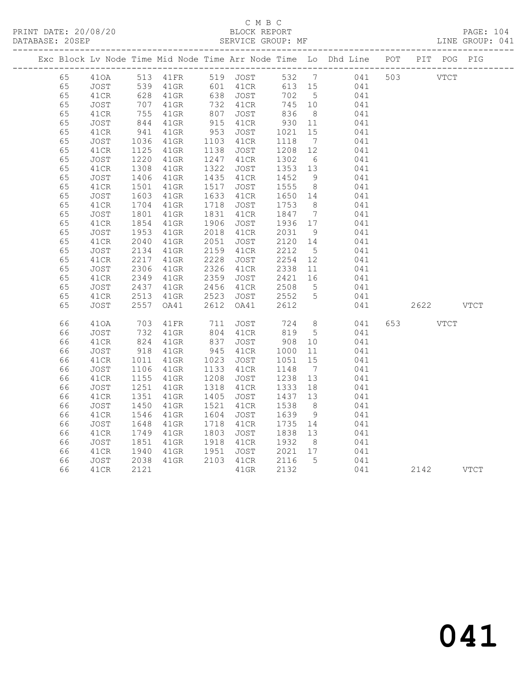#### C M B C<br>
PRINT DATE: 20/08/20<br>
BLOCK REPOI

 65 41CR 755 41GR 807 JOST 836 8 041 65 JOST 844 41GR 915 41CR 930 11 041 65 41CR 941 41GR 953 JOST 1021 15 041

| DATABASE: 20SEP      | PRINT DATE: 20/08/20         |                          |                                |                          | BLOCK REPORT<br>SERVICE GROUP: MF |                                  |     |                                                                    |     |     |      | PAGE: 104<br>LINE GROUP: 041 |  |
|----------------------|------------------------------|--------------------------|--------------------------------|--------------------------|-----------------------------------|----------------------------------|-----|--------------------------------------------------------------------|-----|-----|------|------------------------------|--|
|                      |                              |                          |                                |                          |                                   |                                  |     | Exc Block Ly Node Time Mid Node Time Arr Node Time Lo Dhd Line POT |     | PIT |      | POG PTG                      |  |
| 65<br>65<br>65<br>65 | 410A<br>JOST<br>41CR<br>JOST | 513<br>539<br>628<br>707 | 41 FR<br>41GR<br>41GR<br>41 GR | 519<br>601<br>638<br>732 | JOST<br>41CR<br>JOST<br>41 C.R    | 532 7<br>613 15<br>702<br>745 10 | - 5 | 041<br>041<br>041<br>041                                           | 503 |     | VTCT |                              |  |

| 65 | <b>JOST</b> | 1036 | 41GR | 1103 | 41CR        | 1118 | 7               | 041 |     |      |             |             |  |
|----|-------------|------|------|------|-------------|------|-----------------|-----|-----|------|-------------|-------------|--|
| 65 | 41CR        | 1125 | 41GR | 1138 | <b>JOST</b> | 1208 | 12              | 041 |     |      |             |             |  |
| 65 | <b>JOST</b> | 1220 | 41GR | 1247 | 41CR        | 1302 | 6               | 041 |     |      |             |             |  |
| 65 | 41CR        | 1308 | 41GR | 1322 | <b>JOST</b> | 1353 | 13              | 041 |     |      |             |             |  |
| 65 | <b>JOST</b> | 1406 | 41GR | 1435 | 41CR        | 1452 | $\mathsf 9$     | 041 |     |      |             |             |  |
| 65 | 41CR        | 1501 | 41GR | 1517 | <b>JOST</b> | 1555 | 8               | 041 |     |      |             |             |  |
| 65 | JOST        | 1603 | 41GR | 1633 | 41CR        | 1650 | 14              | 041 |     |      |             |             |  |
| 65 | 41CR        | 1704 | 41GR | 1718 | <b>JOST</b> | 1753 | $\,8\,$         | 041 |     |      |             |             |  |
| 65 | <b>JOST</b> | 1801 | 41GR | 1831 | 41CR        | 1847 | $7\phantom{.0}$ | 041 |     |      |             |             |  |
| 65 | 41CR        | 1854 | 41GR | 1906 | <b>JOST</b> | 1936 | 17              | 041 |     |      |             |             |  |
| 65 | <b>JOST</b> | 1953 | 41GR | 2018 | 41CR        | 2031 | $\mathsf 9$     | 041 |     |      |             |             |  |
| 65 | 41CR        | 2040 | 41GR | 2051 | JOST        | 2120 | 14              | 041 |     |      |             |             |  |
| 65 | JOST        | 2134 | 41GR | 2159 | 41CR        | 2212 | 5               | 041 |     |      |             |             |  |
| 65 | 41CR        | 2217 | 41GR | 2228 | JOST        | 2254 | 12              | 041 |     |      |             |             |  |
| 65 | JOST        | 2306 | 41GR | 2326 | 41CR        | 2338 | 11              | 041 |     |      |             |             |  |
| 65 | 41CR        | 2349 | 41GR | 2359 | JOST        | 2421 | 16              | 041 |     |      |             |             |  |
| 65 | JOST        | 2437 | 41GR | 2456 | 41CR        | 2508 | 5               | 041 |     |      |             |             |  |
| 65 | 41CR        | 2513 | 41GR | 2523 | JOST        | 2552 | 5               | 041 |     |      |             |             |  |
| 65 | <b>JOST</b> | 2557 | OA41 | 2612 | OA41        | 2612 |                 | 041 |     | 2622 |             | <b>VTCT</b> |  |
|    |             |      |      |      |             |      |                 |     |     |      |             |             |  |
| 66 | 410A        | 703  | 41FR | 711  | <b>JOST</b> | 724  | 8               | 041 | 653 |      | <b>VTCT</b> |             |  |
| 66 | JOST        | 732  | 41GR | 804  | 41CR        | 819  | $\overline{5}$  | 041 |     |      |             |             |  |
| 66 | 41CR        | 824  | 41GR | 837  | JOST        | 908  | 10              | 041 |     |      |             |             |  |
| 66 | JOST        | 918  | 41GR | 945  | 41CR        | 1000 | 11              | 041 |     |      |             |             |  |
| 66 | 41CR        | 1011 | 41GR | 1023 | JOST        | 1051 | 15              | 041 |     |      |             |             |  |
| 66 | JOST        | 1106 | 41GR | 1133 | 41CR        | 1148 | $7\phantom{.0}$ | 041 |     |      |             |             |  |
| 66 | 41CR        | 1155 | 41GR | 1208 | JOST        | 1238 | 13              | 041 |     |      |             |             |  |
| 66 | JOST        | 1251 | 41GR | 1318 | 41CR        | 1333 | 18              | 041 |     |      |             |             |  |
| 66 | 41CR        | 1351 | 41GR | 1405 | JOST        | 1437 | 13              | 041 |     |      |             |             |  |
| 66 | JOST        | 1450 | 41GR | 1521 | 41CR        | 1538 | 8               | 041 |     |      |             |             |  |
| 66 | 41CR        | 1546 | 41GR | 1604 | <b>JOST</b> | 1639 | 9               | 041 |     |      |             |             |  |
| 66 | JOST        | 1648 | 41GR | 1718 | 41CR        | 1735 | 14              | 041 |     |      |             |             |  |
| 66 | 41CR        | 1749 | 41GR | 1803 | <b>JOST</b> | 1838 | 13              | 041 |     |      |             |             |  |
| 66 | JOST        | 1851 | 41GR | 1918 | 41CR        | 1932 | $\,8\,$         | 041 |     |      |             |             |  |
| 66 | 41CR        | 1940 | 41GR | 1951 | JOST        | 2021 | $17$            | 041 |     |      |             |             |  |
| 66 | JOST        | 2038 | 41GR | 2103 | 41CR        | 2116 | 5               | 041 |     |      |             |             |  |
| 66 | 41CR        | 2121 |      |      | $41$ GR     | 2132 |                 | 041 |     | 2142 |             | <b>VTCT</b> |  |
|    |             |      |      |      |             |      |                 |     |     |      |             |             |  |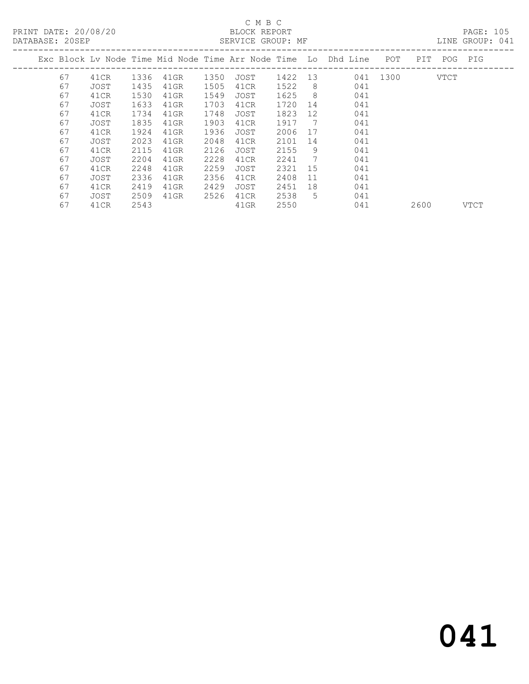# C M B C<br>BLOCK REPORT<br>SERVICE GROUP

LINE GROUP: 041

|    |      |      |         |      |      |      |     | Exc Block Lv Node Time Mid Node Time Arr Node Time Lo Dhd Line | POT  | PIT. | POG  | PIG  |
|----|------|------|---------|------|------|------|-----|----------------------------------------------------------------|------|------|------|------|
| 67 | 41CR | 1336 | 41GR    | 1350 | JOST | 1422 | 13  | 041                                                            | 1300 |      | VTCT |      |
| 67 | JOST | 1435 | 41GR    | 1505 | 41CR | 1522 | 8   | 041                                                            |      |      |      |      |
| 67 | 41CR | 1530 | $41$ GR | 1549 | JOST | 1625 | 8   | 041                                                            |      |      |      |      |
| 67 | JOST | 1633 | $41$ GR | 1703 | 41CR | 1720 | 14  | 041                                                            |      |      |      |      |
| 67 | 41CR | 1734 | 41GR    | 1748 | JOST | 1823 | 12  | 041                                                            |      |      |      |      |
| 67 | JOST | 1835 | 41GR    | 1903 | 41CR | 1917 | - 7 | 041                                                            |      |      |      |      |
| 67 | 41CR | 1924 | $41$ GR | 1936 | JOST | 2006 | 17  | 041                                                            |      |      |      |      |
| 67 | JOST | 2023 | $41$ GR | 2048 | 41CR | 2101 | 14  | 041                                                            |      |      |      |      |
| 67 | 41CR | 2115 | 41GR    | 2126 | JOST | 2155 | 9   | 041                                                            |      |      |      |      |
| 67 | JOST | 2204 | 41GR    | 2228 | 41CR | 2241 | 7   | 041                                                            |      |      |      |      |
| 67 | 41CR | 2248 | $41$ GR | 2259 | JOST | 2321 | 15  | 041                                                            |      |      |      |      |
| 67 | JOST | 2336 | 41GR    | 2356 | 41CR | 2408 | 11  | 041                                                            |      |      |      |      |
| 67 | 41CR | 2419 | 41GR    | 2429 | JOST | 2451 | 18  | 041                                                            |      |      |      |      |
| 67 | JOST | 2509 | 41GR    | 2526 | 41CR | 2538 | 5.  | 041                                                            |      |      |      |      |
| 67 | 41CR | 2543 |         |      | 41GR | 2550 |     | 041                                                            |      | 2600 |      | VTCT |
|    |      |      |         |      |      |      |     |                                                                |      |      |      |      |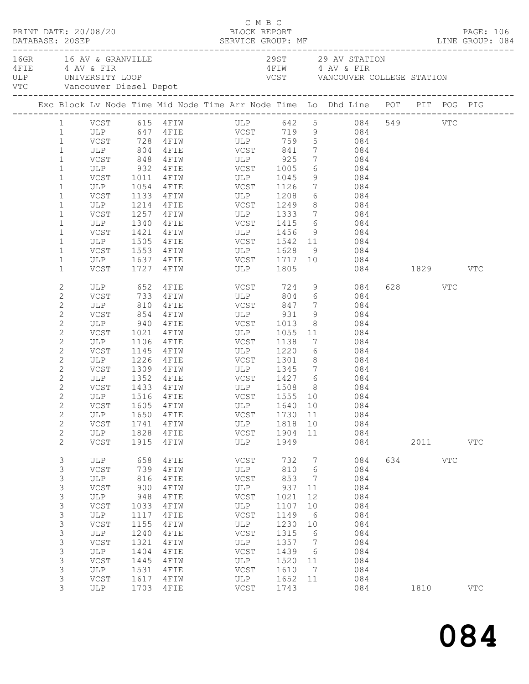|  | DATABASE: 20SEP                                                                                                                                                                                                                                                              | PRINT DATE: 20/08/20                                                                                                        |                                                                                                                         |                                                                                                                                                                              | C M B C<br>BLOCK REPORT                                                                                                                                                                           |                                                                                                                          |                                                                                       |                                                                                                                                                                                                                                                                                                                                                                                                                                                                                                                                                                                                                                                             |          |                              | PAGE: 106         |
|--|------------------------------------------------------------------------------------------------------------------------------------------------------------------------------------------------------------------------------------------------------------------------------|-----------------------------------------------------------------------------------------------------------------------------|-------------------------------------------------------------------------------------------------------------------------|------------------------------------------------------------------------------------------------------------------------------------------------------------------------------|---------------------------------------------------------------------------------------------------------------------------------------------------------------------------------------------------|--------------------------------------------------------------------------------------------------------------------------|---------------------------------------------------------------------------------------|-------------------------------------------------------------------------------------------------------------------------------------------------------------------------------------------------------------------------------------------------------------------------------------------------------------------------------------------------------------------------------------------------------------------------------------------------------------------------------------------------------------------------------------------------------------------------------------------------------------------------------------------------------------|----------|------------------------------|-------------------|
|  |                                                                                                                                                                                                                                                                              | 16GR 16 AV & GRANVILLE<br>4 FIE 4 AV & FIR<br>VTC Vancouver Diesel Depot                                                    |                                                                                                                         | ULP UNIVERSITY LOOP                                                                                                                                                          |                                                                                                                                                                                                   |                                                                                                                          |                                                                                       | 29ST 29 AV STATION<br>4 FIW 4 AV & FIR<br>VCST VANCOUVER COLLEGE STATION                                                                                                                                                                                                                                                                                                                                                                                                                                                                                                                                                                                    |          |                              |                   |
|  |                                                                                                                                                                                                                                                                              |                                                                                                                             |                                                                                                                         |                                                                                                                                                                              |                                                                                                                                                                                                   |                                                                                                                          |                                                                                       | Exc Block Lv Node Time Mid Node Time Arr Node Time Lo Dhd Line POT PIT POG PIG                                                                                                                                                                                                                                                                                                                                                                                                                                                                                                                                                                              |          |                              |                   |
|  | $\mathbf{1}$<br>$\mathbf{1}$<br>$\mathbf 1$<br>$\mathbf{1}$<br>$\mathbf 1$<br>$\mathbf 1$<br>$\mathbf 1$<br>$\mathbf{1}$<br>$\mathbf 1$                                                                                                                                      | ULP<br>VCST                                                                                                                 | 1054                                                                                                                    |                                                                                                                                                                              | ULP 804 4FIE VCST 841<br>VCST 848 4FIW ULP 925<br>ULP 932 4FIE VCST 1005<br>VCST 1011 4FIW ULP 1045<br>4FIE VCST 1126<br>VCST 1133 4FIW ULP 1208<br>ULP 1214 4FIE VCST 1249<br>1257 4FIW ULP 1333 |                                                                                                                          | 8 <sup>8</sup>                                                                        | 1 VCST 615 4FIW ULP 642 5 084 549 VTC<br>1 ULP 647 4FIE VCST 719 9 084<br>VCST 728 4FIW ULP 759 5 084<br>$7 \hspace{1.5cm} 084$<br>$\begin{array}{ccc} 7 & \phantom{0} & \phantom{0} & \phantom{0} & \phantom{0} & \phantom{0} & \phantom{0} & \phantom{0} & \phantom{0} & \phantom{0} & \phantom{0} & \phantom{0} & \phantom{0} & \phantom{0} & \phantom{0} & \phantom{0} & \phantom{0} & \phantom{0} & \phantom{0} & \phantom{0} & \phantom{0} & \phantom{0} & \phantom{0} & \phantom{0} & \phantom{0} & \phantom{0} & \phantom{0} & \phantom{0} & \phantom{0} & \phantom{0} & \phantom{0} &$<br>9 084<br>7 084<br>$6\overline{6}$<br>084<br>084<br>7 084 |          |                              |                   |
|  | $\mathbf 1$<br>$\mathbf 1$<br>$\mathbf{1}$<br>$\mathbf 1$<br>$\mathbf 1$<br>$\mathbf 1$                                                                                                                                                                                      | ULP<br>VCST<br>ULP<br>VCST<br>VCST                                                                                          | 1340<br>1421                                                                                                            | 1505 4FIE<br>1727 4FIW                                                                                                                                                       | 4 FIE VCST 1415<br>ULP 1805                                                                                                                                                                       |                                                                                                                          |                                                                                       | 6 084<br>084<br>084<br>9 084                                                                                                                                                                                                                                                                                                                                                                                                                                                                                                                                                                                                                                | 084 1829 |                              | VTC               |
|  | $\mathbf{2}$<br>$\mathbf{2}$<br>$\mathbf{2}$<br>$\mathbf{2}$<br>$\mathbf{2}$<br>$\mathbf{2}$<br>$\mathbf{2}$<br>$\mathbf{2}$<br>$\mathbf{2}$<br>$\mathbf{2}$<br>$\mathbf{2}$<br>$\mathbf{2}$<br>$\mathbf{2}$<br>$\mathbf{2}$<br>$\mathbf{2}$<br>$\mathbf{2}$<br>$\mathbf{2}$ | ULP<br>VCST<br>ULP<br>VCST<br>ULP<br>VCST<br>ULP<br>VCST<br>VCST<br>VCSI 1999 FEIN<br>ULP 1516 4FIE<br>ULP<br>VCST<br>ULP   | 810<br>1106<br>1650<br>1741<br>1828                                                                                     | ULP 652 4FIE<br>VCST 733 4FIW<br>$4$ FIE<br>854 4FIW  <br>940 4FIE<br>$4$ $F$ $I$ $W$<br>4FIE<br>1145    4FIW<br>1226 4FIE<br>1309 4FIW<br>1433 4FIW<br>4FIE<br>4FIW<br>4FIE | VCST 724 9<br>ULP<br>VCST 847<br>ULP 931<br>VCST 1013<br>1021 4FIW ULP 1055<br>VCST<br>ULP 1220<br>VCST 1301<br>VCST<br>ULP<br>VCST                                                               | 1138<br>1730 11<br>1818<br>1904                                                                                          | $7\overline{ }$<br>9<br>$6\overline{6}$<br>10<br>11                                   | 084<br>804 6 084<br>084<br>084<br>$\begin{array}{c c}\n\hline\n8 & 084\n\end{array}$<br>11 084<br>7<br>084<br>084<br>$8 - 1$<br>084<br>ULP 1345 7 084<br>ULP 1508 8 084<br>VCST 1555 10 084<br>VCST 1605 4FIW ULP 1640 10 084<br>084<br>084<br>084                                                                                                                                                                                                                                                                                                                                                                                                          |          | 628 VTC                      |                   |
|  | $\mathbf{2}$<br>3<br>3<br>3<br>3<br>$\mathsf 3$<br>$\mathsf 3$<br>$\mathsf 3$<br>3<br>$\mathsf S$<br>$\mathsf S$<br>$\mathsf 3$<br>3<br>3<br>$\mathsf S$<br>3                                                                                                                | VCST<br>ULP<br>VCST<br>ULP<br>VCST<br>ULP<br>VCST<br>ULP<br>VCST<br>ULP<br>VCST<br>ULP<br>VCST<br><b>ULP</b><br>VCST<br>ULP | 1915<br>658<br>739<br>816<br>900<br>948<br>1033<br>1117<br>1155<br>1240<br>1321<br>1404<br>1445<br>1531<br>1617<br>1703 | 4FIW<br>4FIE<br>4FIW<br>4FIE<br>4FIW<br>4FIE<br>4FIW<br>4FIE<br>4FIW<br>4FIE<br>4FIW<br>4FIE<br>4FIW<br>4FIE<br>4FIW<br>4FIE                                                 | ULP<br>VCST<br>ULP<br>VCST<br>ULP<br>VCST<br>ULP<br>VCST<br>ULP<br>VCST<br>ULP<br>VCST<br>ULP<br>VCST<br>ULP<br>VCST                                                                              | 1949<br>732<br>810<br>853<br>937<br>1021<br>1107<br>1149<br>1230<br>1315<br>1357<br>1439<br>1520<br>1610<br>1652<br>1743 | 7<br>6<br>7<br>11<br>12<br>10<br>6<br>10<br>6<br>$\overline{7}$<br>6<br>11<br>7<br>11 | 084<br>084<br>084<br>084<br>084<br>084<br>084<br>084<br>084<br>084<br>084<br>084<br>084<br>084<br>084<br>084                                                                                                                                                                                                                                                                                                                                                                                                                                                                                                                                                |          | 2011 2012<br>634 VTC<br>1810 | VTC<br><b>VTC</b> |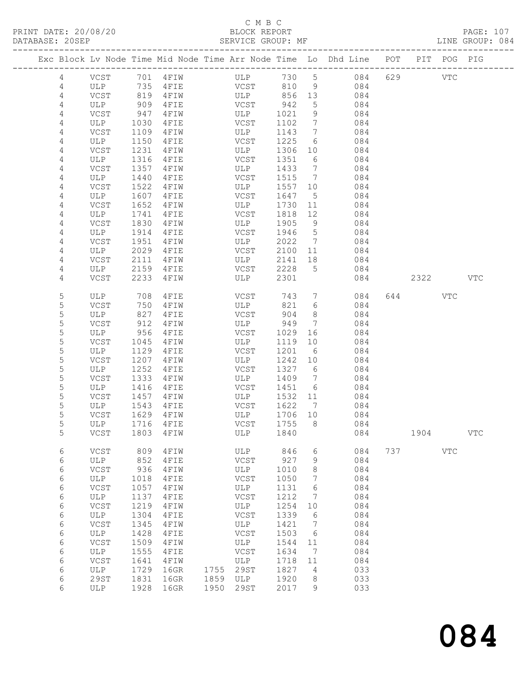#### C M B C<br>BLOCK REPORT SERVICE GROUP: MF

|                |             |              |                | Exc Block Lv Node Time Mid Node Time Arr Node Time Lo Dhd Line POT |              |                 |            |     |      | PIT POG PIG  |             |
|----------------|-------------|--------------|----------------|--------------------------------------------------------------------|--------------|-----------------|------------|-----|------|--------------|-------------|
| 4              | VCST        |              | 701 4FIW       | ULP                                                                | 730          | 5 <sup>5</sup>  | 084        | 629 |      | $_{\rm VTC}$ |             |
| 4              | ULP         | 735          | 4FIE           | VCST                                                               | 810          | 9               | 084        |     |      |              |             |
| $\overline{4}$ | VCST        | 819          | 4 F I W        | ULP                                                                | 856          | 13              | 084        |     |      |              |             |
| $\overline{4}$ | ULP         | 909          | 4FIE           | VCST                                                               | 942          | 5               | 084        |     |      |              |             |
| 4              | VCST        | 947          | 4FIW           | ULP                                                                | 1021         | 9               | 084        |     |      |              |             |
| 4              | ULP         | 1030         | 4FIE           | VCST                                                               | 1102         | $7\phantom{.0}$ | 084        |     |      |              |             |
| 4              | VCST        | 1109         | 4FIW           | ULP                                                                | 1143         | $7\phantom{.0}$ | 084        |     |      |              |             |
| 4              | ULP         | 1150         | 4FIE           | VCST                                                               | 1225         | 6               | 084        |     |      |              |             |
| 4              | VCST        | 1231         | 4FIW           | ULP                                                                | 1306         | 10              | 084        |     |      |              |             |
| 4<br>4         | ULP<br>VCST | 1316<br>1357 | 4FIE<br>4FIW   | VCST<br>ULP                                                        | 1351<br>1433 | 6<br>7          | 084<br>084 |     |      |              |             |
| 4              | ULP         | 1440         | 4FIE           | VCST                                                               | 1515         | 7               | 084        |     |      |              |             |
| 4              | VCST        | 1522         | 4FIW           | ULP                                                                | 1557         | 10              | 084        |     |      |              |             |
| 4              | ULP         | 1607         | 4FIE           | VCST                                                               | 1647         | 5               | 084        |     |      |              |             |
| $\overline{4}$ | VCST        | 1652         | 4 F I W        | ULP                                                                | 1730         | 11              | 084        |     |      |              |             |
| 4              | ULP         | 1741         | 4FIE           | VCST                                                               | 1818         | 12              | 084        |     |      |              |             |
| 4              | VCST        | 1830         | 4FIW           | ULP                                                                | 1905         | 9               | 084        |     |      |              |             |
| 4              | ULP         | 1914         | 4FIE           | VCST                                                               | 1946         | 5               | 084        |     |      |              |             |
| 4              | VCST        | 1951         | 4FIW           | ULP                                                                | 2022         | $\overline{7}$  | 084        |     |      |              |             |
| 4              | ULP         | 2029         | 4FIE           | VCST                                                               | 2100         | 11              | 084        |     |      |              |             |
| 4              | VCST        | 2111         | 4FIW           | ULP                                                                | 2141         | 18              | 084        |     |      |              |             |
| 4              | ULP         | 2159         | 4FIE           | VCST                                                               | 2228         | 5               | 084        |     |      |              |             |
| 4              | VCST        | 2233         | 4 F I W        | ULP                                                                | 2301         |                 | 084        |     | 2322 |              | VTC         |
| 5              | ULP         | 708          | 4FIE           | VCST                                                               | 743          | $7\phantom{.0}$ | 084        |     | 644  | VTC          |             |
| 5              | VCST        | 750          | 4FIW           | ULP                                                                | 821          | 6               | 084        |     |      |              |             |
| 5              | ULP         | 827          | 4 F I E        | VCST                                                               | 904          | 8               | 084        |     |      |              |             |
| 5              | VCST        | 912          | 4FIW           | ULP                                                                | 949          | $7\phantom{.0}$ | 084        |     |      |              |             |
| 5              | ULP         | 956          | 4FIE           | VCST                                                               | 1029         | 16              | 084        |     |      |              |             |
| 5<br>5         | VCST<br>ULP | 1045         | 4FIW           | ULP                                                                | 1119         | 10              | 084<br>084 |     |      |              |             |
| 5              | VCST        | 1129<br>1207 | 4FIE<br>4FIW   | VCST<br>ULP                                                        | 1201<br>1242 | - 6<br>10       | 084        |     |      |              |             |
| 5              | ULP         | 1252         | 4FIE           | VCST                                                               | 1327         | 6               | 084        |     |      |              |             |
| 5              | VCST        | 1333         | 4FIW           | ULP                                                                | 1409         | 7               | 084        |     |      |              |             |
| 5              | ULP         | 1416         | 4FIE           | VCST                                                               | 1451         | 6               | 084        |     |      |              |             |
| 5              | VCST        | 1457         | 4FIW           | ULP                                                                | 1532         | 11              | 084        |     |      |              |             |
| 5              | ULP         | 1543         | 4 F I E        | VCST                                                               | 1622         | $\overline{7}$  | 084        |     |      |              |             |
| 5              | VCST        | 1629         | 4 F I W        | ULP                                                                | 1706         | 10              | 084        |     |      |              |             |
| 5              | ULP         | 1716         | 4FIE           | VCST                                                               | 1755         | 8 <sup>8</sup>  | 084        |     |      |              |             |
| 5              |             |              | VCST 1803 4FIW | ULP 1840                                                           |              |                 | 084        |     | 1904 |              | ${\tt VTC}$ |
| 6              | <b>VCST</b> | 809          | 4FIW           | ULP                                                                | 846          | 6               | 084        | 737 |      | $_{\rm VTC}$ |             |
| 6              | ULP         | 852          | 4FIE           | ${\tt VCST}$                                                       | 927          | 9               | 084        |     |      |              |             |
| $\epsilon$     | VCST        | 936          | 4FIW           | ULP                                                                | 1010         | 8               | 084        |     |      |              |             |
| 6              | ULP         | 1018         | 4FIE           | VCST                                                               | 1050         | 7               | 084        |     |      |              |             |
| 6              | VCST        | 1057         | 4FIW           | ULP                                                                | 1131         | 6               | 084        |     |      |              |             |
| 6              | ULP         | 1137         | 4FIE           | VCST                                                               | 1212         | 7               | 084        |     |      |              |             |
| $\epsilon$     | VCST        | 1219<br>1304 | 4FIW           | ULP                                                                | 1254<br>1339 | 10              | 084<br>084 |     |      |              |             |
| 6<br>6         | ULP<br>VCST | 1345         | 4FIE<br>4FIW   | VCST<br>ULP                                                        | 1421         | 6<br>7          | 084        |     |      |              |             |
| 6              | ULP         | 1428         | 4FIE           | VCST                                                               | 1503         | 6               | 084        |     |      |              |             |
| $\epsilon$     | VCST        | 1509         | 4FIW           | ULP                                                                | 1544         | 11              | 084        |     |      |              |             |
| 6              | ULP         | 1555         | 4FIE           | VCST                                                               | 1634         | 7               | 084        |     |      |              |             |
| 6              | VCST        | 1641         | 4FIW           | ULP                                                                | 1718         | 11              | 084        |     |      |              |             |
| 6              | ULP         | 1729         | 16GR           | 1755<br>29ST                                                       | 1827         | 4               | 033        |     |      |              |             |
| $\epsilon$     | 29ST        | 1831         | 16GR           | 1859<br>$_{\rm ULP}$                                               | 1920         | 8               | 033        |     |      |              |             |
| 6              | ULP         | 1928         | 16GR           | 1950<br>29ST                                                       | 2017         | 9               | 033        |     |      |              |             |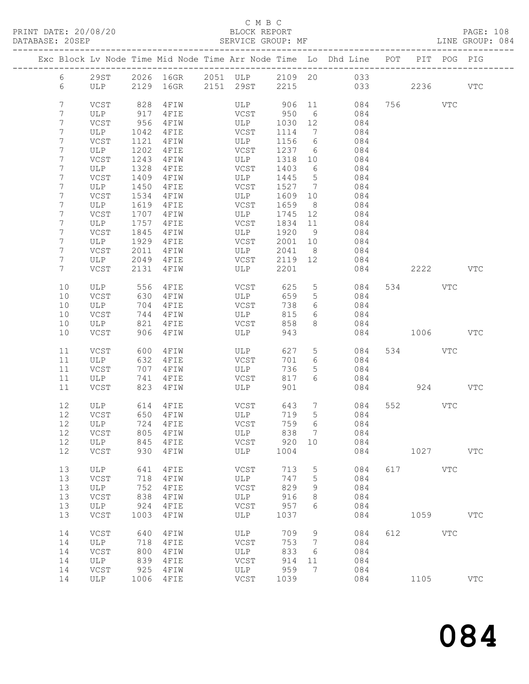#### C M B C<br>BLOCK REPORT SERVICE GROUP: MF

|                |             |              |                      | Exc Block Lv Node Time Mid Node Time Arr Node Time Lo Dhd Line POT      |                 |                               |               |              | PIT POG PIG |              |
|----------------|-------------|--------------|----------------------|-------------------------------------------------------------------------|-----------------|-------------------------------|---------------|--------------|-------------|--------------|
| 6              |             |              |                      |                                                                         |                 |                               |               |              |             |              |
| 6              |             |              |                      | 29ST 2026 16GR 2051 ULP 2109 20 033<br>ULP 2129 16GR 2151 29ST 2215 033 |                 |                               | 033           | 2236         |             | VTC          |
|                |             |              |                      |                                                                         |                 |                               |               |              |             |              |
| 7<br>7         | VCST<br>ULP | 828<br>917   | 4 F I W<br>4 F I E   | ULP 906<br>VCST                                                         | 950             | 6 <sup>6</sup>                | 11 084<br>084 | 756 VTC      |             |              |
| 7              | VCST        | 956          | 4 F I W              | ULP                                                                     | 1030            | 12                            | 084           |              |             |              |
| 7              | ULP         | 1042         | 4FIE                 | VCST                                                                    | 1114            | 7                             | 084           |              |             |              |
| 7              | VCST        | 1121         | 4 F I W              | ULP                                                                     | 1156            | 6                             | 084           |              |             |              |
| 7              | ULP         | 1202         | $4$ FIE              | VCST                                                                    | 1237 6          |                               | 084           |              |             |              |
| $\overline{7}$ | VCST        | 1243         | 4 F I W              | ULP                                                                     | 1318 10         |                               | 084           |              |             |              |
| 7              | ULP         | 1328         | $4$ FIE              | VCST                                                                    | 1403            | 6                             | 084           |              |             |              |
| 7<br>7         | VCST<br>ULP | 1409<br>1450 | 4 F I W<br>4FIE      | ULP<br>VCST                                                             | 1445<br>1527    | $5^{\circ}$<br>$\overline{7}$ | 084<br>084    |              |             |              |
| 7              | VCST        | 1534         | 4FIW                 | ULP                                                                     | 1609            | 10                            | 084           |              |             |              |
| 7              | ULP         | 1619         | 4FIE                 | VCST                                                                    | 1659            | 8 <sup>8</sup>                | 084           |              |             |              |
| 7              | VCST        | 1707         | 4 F I W              | ULP                                                                     | 1745            | 12                            | 084           |              |             |              |
| 7              | ULP         | 1757         | 4 F I E              | VCST                                                                    | 1834            | 11                            | 084           |              |             |              |
| 7              | VCST        | 1845         | 4 F I W              | ULP                                                                     | 1920 9          |                               | 084           |              |             |              |
| 7              | ULP         | 1929         | $4$ FIE              | VCST                                                                    | 2001 10         |                               | 084           |              |             |              |
| 7<br>7         | VCST<br>ULP | 2011<br>2049 | $4$ FIW              | ULP<br>VCST                                                             | 2041<br>2119 12 | 8 <sup>8</sup>                | 084<br>084    |              |             |              |
| 7 <sup>1</sup> | VCST        | 2131         | $4$ FIE<br>4 F I W   | ULP                                                                     | 2201            |                               | 084           | 2222         |             | <b>VTC</b>   |
|                |             |              |                      |                                                                         |                 |                               |               |              |             |              |
| 10             | ULP         | 556          | 4FIE                 | VCST                                                                    | 625             | 5 <sup>5</sup>                | 084           | 534 VTC      |             |              |
| 10             | VCST        | 630          | 4 F I W              | ULP                                                                     | 659             | $5\overline{)}$               | 084           |              |             |              |
| 10             | ULP         | 704          | 4 F I E              | VCST                                                                    | 738             | 6                             | 084           |              |             |              |
| 10<br>10       | VCST<br>ULP | 744<br>821   | 4 F I W<br>4FIE      | ULP<br>VCST                                                             | 815<br>858      | 6<br>8                        | 084<br>084    |              |             |              |
| 10             | VCST        | 906          | 4 F I W              | ULP                                                                     | 943             |                               |               | 084 1006 VTC |             |              |
|                |             |              |                      |                                                                         |                 |                               |               |              |             |              |
| 11             | VCST        | 600          | 4 F I W              | ULP                                                                     | 627             | $5\overline{)}$               | 084           | 534 VTC      |             |              |
| 11             | ULP         | 632          | 4FIE                 | VCST                                                                    | 701             | 6                             | 084           |              |             |              |
| 11<br>11       | VCST<br>ULP | 707<br>741   | 4 F I W<br>4FIE      | ULP<br>VCST                                                             | 736<br>817      | 5<br>6                        | 084<br>084    |              |             |              |
| 11             | VCST        | 823          | 4FIW                 | ULP                                                                     | 901             |                               | 084           |              | 924         | VTC          |
|                |             |              |                      |                                                                         |                 |                               |               |              |             |              |
| 12             | ULP 614     |              | 4 F I E              | VCST                                                                    | 643             | $7\phantom{.0}$               | 084           | 552 VTC      |             |              |
| 12             | VCST        | 650          | 4 F I W              | ULP<br>VCST                                                             | 719             | 5 <sup>5</sup>                | 084           |              |             |              |
| 12<br>12 VCST  | ULP         |              | 724 4FIE<br>805 4FIW |                                                                         | 759<br>838      | 6<br>$7\overline{ }$          | 084<br>084    |              |             |              |
| 12             | ULP         | 845          | 4FIE                 | ULP<br>VCST                                                             | 920 10          |                               | 084           |              |             |              |
| 12             | VCST        | 930          | 4FIW                 | ULP                                                                     | 1004            |                               | 084           | 1027         |             | $_{\rm VTC}$ |
|                |             |              |                      |                                                                         |                 |                               |               |              |             |              |
| 13             | ULP         | 641          | $4$ F I E            | VCST                                                                    | 713             | 5                             | 084           | 617          | <b>VTC</b>  |              |
| 13<br>13       | VCST        | 718<br>752   | 4FIW                 | ULP<br>VCST                                                             | 747<br>829      | 5                             | 084<br>084    |              |             |              |
| 13             | ULP<br>VCST | 838          | 4FIE<br>4FIW         | ULP                                                                     | 916             | 9<br>8                        | 084           |              |             |              |
| 13             | ULP         | 924          | 4FIE                 | VCST                                                                    | 957             | 6                             | 084           |              |             |              |
| 13             | VCST        | 1003         | 4FIW                 | ULP                                                                     | 1037            |                               | 084           | 1059         |             | $_{\rm VTC}$ |
| 14             | VCST        | 640          | 4FIW                 | ULP                                                                     | 709             | 9                             | 084           | 612          | VTC         |              |
| 14             | ULP         | 718          | 4FIE                 | $_{\rm VCST}$                                                           | 753             | 7                             | 084           |              |             |              |
| 14             | VCST        | 800          | 4FIW                 | ULP                                                                     | 833             | 6                             | 084           |              |             |              |
| 14             | ULP         | 839          | 4FIE                 | VCST                                                                    | 914             | 11                            | 084           |              |             |              |
| 14             | VCST        | 925          | 4FIW                 | ULP                                                                     | 959             | 7                             | 084           |              |             |              |
| 14             | ULP         |              | 1006 4FIE            | VCST                                                                    | 1039            |                               | 084           | 1105         |             | VTC          |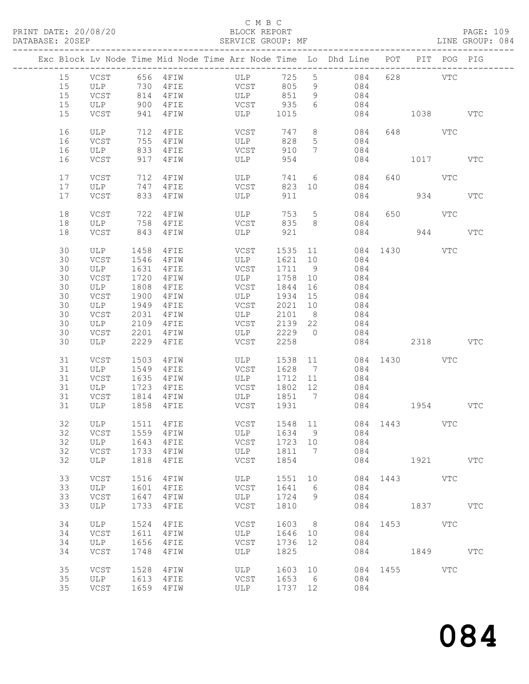### C M B C<br>BLOCK REPORT

#### SERVICE GROUP: MF

|    |          |      |               | Exc Block Lv Node Time Mid Node Time Arr Node Time Lo Dhd Line POT PIT POG PIG |         |                 |          |                |             |     |              |
|----|----------|------|---------------|--------------------------------------------------------------------------------|---------|-----------------|----------|----------------|-------------|-----|--------------|
| 15 |          |      | VCST 656 4FIW | ULP                                                                            | 725 5   |                 | 084      |                | 628 VTC     |     |              |
| 15 | ULP      | 730  | $4$ FIE       | <b>VCST</b>                                                                    | 805     | 9               | 084      |                |             |     |              |
| 15 | VCST     | 814  |               | 4FIW ULP 851                                                                   |         | 9               | 084      |                |             |     |              |
| 15 | ULP      | 900  | $4$ FIE       | VCST 935                                                                       |         | 6               | 084      |                |             |     |              |
| 15 | VCST     | 941  | 4 F I W       | ULP 1015                                                                       |         |                 |          | 084 1038       |             |     | <b>VTC</b>   |
|    |          |      |               |                                                                                |         |                 |          |                |             |     |              |
| 16 | ULP      | 712  | 4FIE          | VCST                                                                           | 747     |                 | 8<br>084 |                | 648 VTC     |     |              |
| 16 | VCST     | 755  | 4 F I W       | ULP                                                                            | 828     | 5 <sup>5</sup>  | 084      |                |             |     |              |
| 16 | ULP      | 833  | 4FIE          | VCST                                                                           | 910     | $7\overline{ }$ | 084      |                |             |     |              |
| 16 |          |      |               | $\begin{array}{c}\n\hline\n\downarrow \\ \hline\n\end{array}$ ULP              | 954     |                 | 084      |                |             |     | VTC          |
|    | VCST     | 917  | 4 F I W       |                                                                                |         |                 |          |                | 1017        |     |              |
| 17 | VCST     | 712  | 4FIW          | ULP                                                                            | 741 6   |                 | 084      |                | 640 VTC     |     |              |
| 17 | ULP      | 747  | 4FIE          | VCST                                                                           | 823 10  |                 | 084      |                |             |     |              |
|    |          |      |               | $$\mathbb{Z}_+^+$ ULP                                                          |         |                 |          |                |             |     |              |
| 17 | VCST     | 833  | 4 F I W       |                                                                                | 911     |                 | 084      |                | 934         |     | <b>VTC</b>   |
|    |          |      |               |                                                                                |         |                 |          |                |             |     |              |
| 18 | VCST     | 722  | 4 F I W       | ULP                                                                            | 753     | $5\overline{)}$ | 084      |                | 650 VTC     |     |              |
| 18 | ULP      | 758  | $4$ FIE       | VCST                                                                           | 835     | 8 <sup>8</sup>  | 084      |                |             |     |              |
| 18 | VCST     | 843  | 4 F I W       | ULP                                                                            | 921     |                 |          | 084 and $\sim$ |             | 944 | <b>VTC</b>   |
|    |          |      |               |                                                                                |         |                 |          |                |             |     |              |
| 30 | ULP      | 1458 | 4FIE          | <b>VCST</b>                                                                    |         |                 | 1535 11  | 084 1430 VTC   |             |     |              |
| 30 | VCST     | 1546 | 4 F I W       | ULP                                                                            | 1621 10 |                 | 084      |                |             |     |              |
| 30 | ULP      | 1631 | 4FIE          | VCST                                                                           | 1711 9  |                 | 084      |                |             |     |              |
| 30 | VCST     | 1720 | 4FIW          | ULP                                                                            | 1758    | 10              | 084      |                |             |     |              |
| 30 | ULP      | 1808 | 4FIE          | VCST                                                                           | 1844    | 16              | 084      |                |             |     |              |
| 30 | VCST     | 1900 | 4 F I W       | ULP                                                                            | 1934    | 15              | 084      |                |             |     |              |
| 30 | ULP      | 1949 | 4FIE          | VCST                                                                           | 2021 10 |                 | 084      |                |             |     |              |
| 30 | VCST     | 2031 | 4FIW          | ULP                                                                            | 2101 8  |                 | 084      |                |             |     |              |
| 30 | ULP      | 2109 | 4 F I E       | VCST                                                                           | 2139 22 |                 | 084      |                |             |     |              |
| 30 | VCST     | 2201 | 4 F I W       | ULP                                                                            | 2229 0  |                 | 084      |                |             |     |              |
| 30 | ULP      | 2229 | 4FIE          | VCST                                                                           | 2258    |                 |          | 084 2318       |             |     | VTC          |
| 31 | VCST     | 1503 | 4 F I W       | ULP                                                                            | 1538 11 |                 |          | 084 1430 VTC   |             |     |              |
| 31 | ULP      | 1549 | 4 F I E       | VCST                                                                           | 1628 7  |                 | 084      |                |             |     |              |
| 31 | VCST     | 1635 | 4 F I W       | ULP                                                                            | 1712 11 |                 | 084      |                |             |     |              |
| 31 | ULP      | 1723 | $4$ FIE       | VCST                                                                           | 1802 12 |                 | 084      |                |             |     |              |
| 31 | VCST     | 1814 | 4 F I W       | <b>ULP</b>                                                                     | 1851 7  |                 | 084      |                |             |     |              |
| 31 | ULP 1858 |      | 4FIE          | VCST                                                                           | 1931    |                 |          | 084 1954       |             |     | VTC          |
|    |          |      |               |                                                                                |         |                 |          |                |             |     |              |
| 32 | ULP      |      | 1511 4FIE     | VCST 1548 11 084 1443 VTC                                                      |         |                 |          |                |             |     |              |
| 32 |          |      |               | VCST 1559 4FIW ULP 1634 9 084                                                  |         |                 |          |                |             |     |              |
| 32 | ULP      | 1643 | 4FIE          | VCST                                                                           | 1723 10 |                 | 084      |                |             |     |              |
| 32 | VCST     | 1733 | 4 F I W       | ULP                                                                            | 1811    | $\overline{7}$  | 084      |                |             |     |              |
| 32 | ULP      | 1818 | 4FIE          | VCST                                                                           | 1854    |                 | 084      |                | 1921 / 1921 |     | <b>VTC</b>   |
|    |          |      |               |                                                                                |         |                 |          |                |             |     |              |
| 33 | VCST     | 1516 | 4FIW          | ULP                                                                            | 1551    | 10              | 084      | 1443 VTC       |             |     |              |
| 33 | ULP      | 1601 | 4FIE          | VCST                                                                           | 1641    | 6               | 084      |                |             |     |              |
| 33 | VCST     | 1647 | 4FIW          | ULP                                                                            | 1724    | $\overline{9}$  | 084      |                |             |     |              |
| 33 | ULP      | 1733 | 4FIE          | VCST                                                                           | 1810    |                 | 084      |                | 1837        |     | <b>VTC</b>   |
|    |          |      |               |                                                                                |         |                 |          |                |             |     |              |
| 34 | ULP      | 1524 | 4FIE          | VCST                                                                           | 1603    | 8 <sup>8</sup>  |          | 084 1453 VTC   |             |     |              |
| 34 | VCST     | 1611 | 4FIW          | ULP                                                                            | 1646 10 |                 | 084      |                |             |     |              |
| 34 | ULP      | 1656 |               | VCST                                                                           | 1736 12 |                 | 084      |                |             |     |              |
| 34 |          |      | 4FIE          | ULP                                                                            | 1825    |                 |          | 1849           |             |     | $_{\rm VTC}$ |
|    | VCST     | 1748 | 4FIW          |                                                                                |         |                 | 084      |                |             |     |              |
| 35 | VCST     | 1528 | 4FIW          | ULP                                                                            | 1603 10 |                 |          | 084 1455 VTC   |             |     |              |
| 35 | ULP      | 1613 | 4 F I E       | VCST                                                                           | 1653 6  |                 | 084      |                |             |     |              |
| 35 | VCST     |      | 1659 4FIW     | ULP                                                                            | 1737 12 |                 | 084      |                |             |     |              |
|    |          |      |               |                                                                                |         |                 |          |                |             |     |              |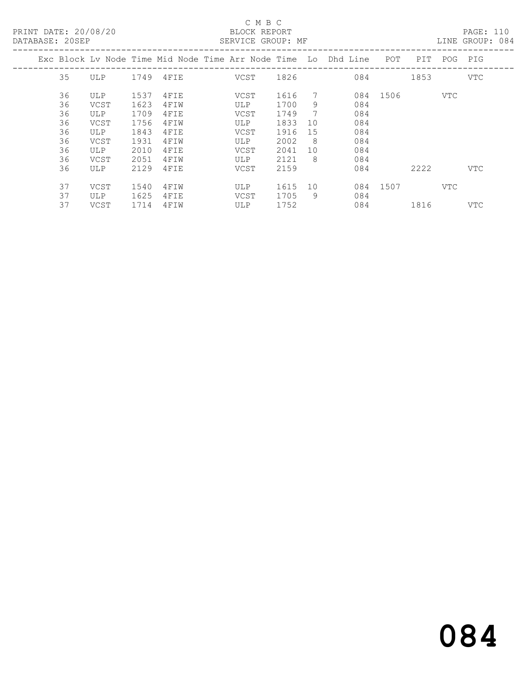# C M B C<br>BLOCK REPORT<br>CERVICE CROUP

LINE GROUP: 084

|  |    |            |      |      | Exc Block Lv Node Time Mid Node Time Arr Node Time Lo Dhd Line |      |     |     | POT  | PIT. | POG  | PIG        |
|--|----|------------|------|------|----------------------------------------------------------------|------|-----|-----|------|------|------|------------|
|  | 35 | <b>ULP</b> | 1749 | 4FIE | VCST                                                           | 1826 |     | 084 |      | 1853 |      | <b>VTC</b> |
|  | 36 | ULP        | 1537 | 4FIE | VCST                                                           | 1616 | 7   | 084 | 1506 |      | VTC  |            |
|  | 36 | VCST       | 1623 | 4FIW | ULP                                                            | 1700 | 9   | 084 |      |      |      |            |
|  | 36 | ULP        | 1709 | 4FIE | VCST                                                           | 1749 | 7   | 084 |      |      |      |            |
|  | 36 | VCST       | 1756 | 4FIW | <b>ULP</b>                                                     | 1833 | 10  | 084 |      |      |      |            |
|  | 36 | ULP        | 1843 | 4FIE | VCST                                                           | 1916 | 15  | 084 |      |      |      |            |
|  | 36 | VCST       | 1931 | 4FIW | ULP                                                            | 2002 | - 8 | 084 |      |      |      |            |
|  | 36 | <b>ULP</b> | 2010 | 4FIE | <b>VCST</b>                                                    | 2041 | 10  | 084 |      |      |      |            |
|  | 36 | VCST       | 2051 | 4FIW | <b>ULP</b>                                                     | 2121 | 8   | 084 |      |      |      |            |
|  | 36 | <b>ULP</b> | 2129 | 4FIE | <b>VCST</b>                                                    | 2159 |     | 084 |      | 2222 |      | <b>VTC</b> |
|  | 37 | VCST       | 1540 | 4FIW | ULP                                                            | 1615 | 10  | 084 | 1507 |      | VTC. |            |
|  | 37 | <b>ULP</b> | 1625 | 4FIE | VCST                                                           | 1705 | 9   | 084 |      |      |      |            |
|  | 37 | VCST       | 1714 | 4FIW | <b>ULP</b>                                                     | 1752 |     | 084 |      | 1816 |      | <b>VTC</b> |
|  |    |            |      |      |                                                                |      |     |     |      |      |      |            |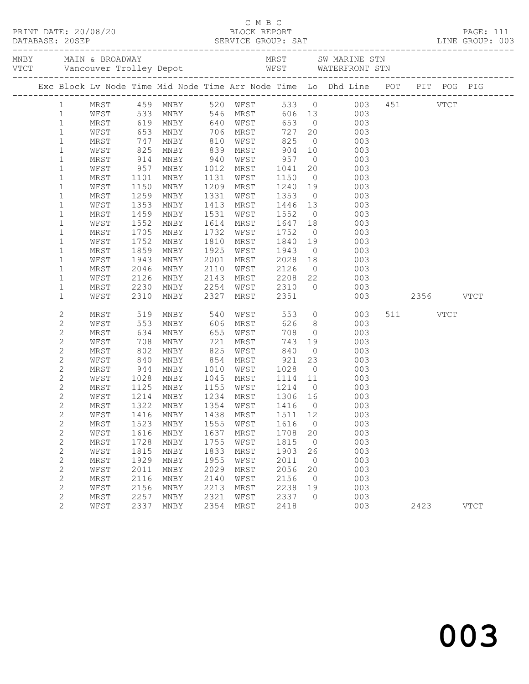|                |             |                           |                                  |      |                                                                                   |      |                | C M B C<br>PRINT DATE: 20/08/20 BLOCK REPORT PAGE: 111<br>DATABASE: 20SEP SERVICE GROUP: SAT LINE GROUP: 003 |               |             |
|----------------|-------------|---------------------------|----------------------------------|------|-----------------------------------------------------------------------------------|------|----------------|--------------------------------------------------------------------------------------------------------------|---------------|-------------|
|                |             |                           |                                  |      |                                                                                   |      |                |                                                                                                              |               |             |
|                |             |                           |                                  |      |                                                                                   |      |                | Exc Block Lv Node Time Mid Node Time Arr Node Time Lo Dhd Line POT PIT POG PIG                               |               |             |
| $\mathbf{1}$   |             |                           |                                  |      |                                                                                   |      |                | MRST 459 MNBY 520 WFST 533 0 003 451 VTCT                                                                    |               |             |
| $\mathbf{1}$   |             |                           | WFST 533 MNBY 546 MRST           |      |                                                                                   |      |                | 606 13<br>003                                                                                                |               |             |
| $\mathbf{1}$   |             |                           | MRST 619 MNBY 640 WFST           |      |                                                                                   |      |                | 653 0 003                                                                                                    |               |             |
| $\mathbf{1}$   | WFST        |                           | 653 MNBY<br>747 MNBY<br>825 MNBY |      | 706 MRST      727   20<br>810   WFST       825    0<br>839   MRST        904   10 |      |                | 727 20 003                                                                                                   |               |             |
| $\mathbf{1}$   | MRST        |                           |                                  |      |                                                                                   |      |                | 003                                                                                                          |               |             |
| $\mathbf{1}$   | WFST        |                           |                                  |      |                                                                                   |      |                | 003                                                                                                          |               |             |
| $\mathbf{1}$   | MRST        | 914                       | MNBY                             |      | 940 WFST 957 0                                                                    |      |                | 003                                                                                                          |               |             |
| $\mathbf{1}$   | WFST        | $957$<br>$1101$<br>$1150$ | MNBY                             |      |                                                                                   |      |                | 20 003                                                                                                       |               |             |
| $\mathbf{1}$   | MRST        |                           | MNBY                             |      |                                                                                   |      |                | 003                                                                                                          |               |             |
| $\mathbf{1}$   | WFST        |                           | MNBY                             |      |                                                                                   |      |                | 1131 WEST 1130 0003<br>1209 MRST 1240 19 003                                                                 |               |             |
| $\mathbf{1}$   | MRST        | 1259                      | MNBY                             |      | 1331 WFST 1353 0                                                                  |      |                | 003                                                                                                          |               |             |
| $\mathbf{1}$   | WFST        | 1353                      | MNBY                             |      | 1413 MRST 1446 13                                                                 |      |                | 003                                                                                                          |               |             |
| $\mathbf{1}$   | MRST        | 1459<br>1552              | MNBY                             |      | 1531 WFST 1552 0<br>1614 MRST 1647 18                                             |      |                | 003                                                                                                          |               |             |
| $\mathbf{1}$   | WFST        |                           | MNBY                             |      |                                                                                   |      |                | 003                                                                                                          |               |             |
| $\mathbf{1}$   | MRST        | 1705                      | MNBY                             | 1732 | WFST 1752                                                                         |      |                | $\overline{O}$<br>003                                                                                        |               |             |
| $\mathbf{1}$   | WFST        | 1752                      | MNBY                             | 1810 | MRST                                                                              |      |                | 1840 19<br>003                                                                                               |               |             |
| $\mathbf{1}$   | MRST        | 1859<br>1943              | MNBY                             |      |                                                                                   |      |                | 1925 WFST 1943 0 003<br>2001 MRST 2028 18 003                                                                |               |             |
| $\mathbf{1}$   | WFST        |                           | MNBY                             |      |                                                                                   |      |                |                                                                                                              |               |             |
| $\mathbf{1}$   | MRST        | 2046                      | MNBY                             | 2110 | WFST 2126                                                                         |      |                | $0\qquad \qquad 003$                                                                                         |               |             |
| $\mathbf{1}$   | WFST        | 2126                      | MNBY                             |      |                                                                                   |      |                | 2143 MRST 2208 22 003                                                                                        |               |             |
| $\mathbf{1}$   | MRST        | 2230<br>2310              | MNBY                             |      |                                                                                   |      |                |                                                                                                              |               |             |
| $\mathbf{1}$   | WFST        |                           | MNBY                             |      |                                                                                   |      |                |                                                                                                              | 003 2356 VTCT |             |
| $\mathbf{2}$   | MRST        | 519                       | MNBY 540 WFST                    |      |                                                                                   |      |                | 553 0<br>003                                                                                                 | 511 VTCT      |             |
| 2              | WFST        |                           | MNBY                             |      |                                                                                   | 626  |                | 8 003                                                                                                        |               |             |
| $\sqrt{2}$     | MRST        | 553<br>634                | MNBY                             |      | 606 MRST<br>655 WFST                                                              | 708  | $\overline{0}$ | 003                                                                                                          |               |             |
| $\mathbf{2}$   | WFST        | 708                       | MNBY                             | 721  | MRST                                                                              |      |                | 743 19<br>003                                                                                                |               |             |
| $\mathbf{2}$   | MRST        | 802                       | MNBY                             |      | 825 WFST 840                                                                      |      |                | $\overline{0}$<br>003                                                                                        |               |             |
| $\mathbf{2}$   | WFST        |                           |                                  |      |                                                                                   |      |                | 23                                                                                                           |               |             |
| $\mathbf{2}$   | MRST        |                           |                                  |      |                                                                                   |      |                | 840 MNBY 854 MRST 921 23 003<br>944 MNBY 1010 WFST 1028 0 003<br>1028 MNBY 1045 MRST 1114 11 003             |               |             |
| $\mathbf{2}$   | WFST        |                           |                                  |      |                                                                                   |      |                |                                                                                                              |               |             |
| $\mathbf{2}$   | MRST        |                           |                                  |      |                                                                                   |      |                | 1125 MNBY 1155 WFST 1214 0 003                                                                               |               |             |
| $\mathbf{2}$   | WFST        |                           | 1214 MNBY                        |      | 1234 MRST                                                                         |      |                | 1306 16 003                                                                                                  |               |             |
| $\mathbf{2}$   |             |                           | MRST 1322 MNBY 1354 WFST 1416 0  |      |                                                                                   |      |                | 003                                                                                                          |               |             |
| $\sqrt{2}$     | WFST        | 1416                      | MNBY                             | 1438 | MRST                                                                              | 1511 | 12             | 003                                                                                                          |               |             |
| $\mathbf{2}$   | MRST        | 1523                      | MNBY                             | 1555 | WFST                                                                              | 1616 | $\circ$        | 003                                                                                                          |               |             |
| $\mathbf{2}$   | WFST        | 1616                      | MNBY                             | 1637 | MRST                                                                              | 1708 | 20             | 003                                                                                                          |               |             |
| $\mathbf{2}$   | <b>MRST</b> | 1728                      | MNBY                             | 1755 | WFST                                                                              | 1815 | $\circ$        | 003                                                                                                          |               |             |
| $\mathbf{2}$   | WFST        | 1815                      | MNBY                             | 1833 | MRST                                                                              | 1903 | 26             | 003                                                                                                          |               |             |
| $\mathbf{2}$   | <b>MRST</b> | 1929                      | MNBY                             | 1955 | WFST                                                                              | 2011 | 0              | 003                                                                                                          |               |             |
| $\mathbf{2}$   | WFST        | 2011                      | MNBY                             | 2029 | MRST                                                                              | 2056 | 20             | 003                                                                                                          |               |             |
| $\mathbf{2}$   | MRST        | 2116                      | MNBY                             | 2140 | WFST                                                                              | 2156 | $\circ$        | 003                                                                                                          |               |             |
| $\mathbf 2$    | WFST        | 2156                      | MNBY                             | 2213 | MRST                                                                              | 2238 | 19             | 003                                                                                                          |               |             |
| 2              | MRST        | 2257                      | MNBY                             | 2321 | WFST                                                                              | 2337 | $\circ$        | 003                                                                                                          |               |             |
| $\overline{2}$ | WFST        | 2337                      | MNBY                             | 2354 | MRST                                                                              | 2418 |                | 003                                                                                                          | 2423          | <b>VTCT</b> |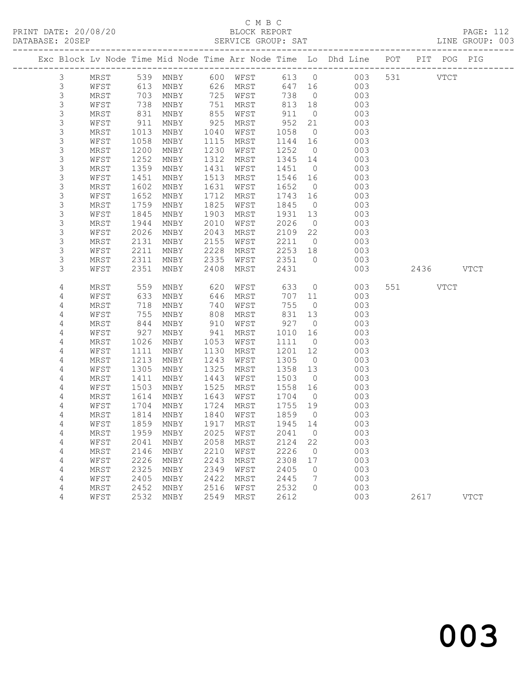|                |              |            |                     |            |              |            |                      | Exc Block Lv Node Time Mid Node Time Arr Node Time Lo Dhd Line POT |           | PIT POG PIG |             |
|----------------|--------------|------------|---------------------|------------|--------------|------------|----------------------|--------------------------------------------------------------------|-----------|-------------|-------------|
| $\mathfrak{Z}$ | MRST         |            | 539 MNBY            | 600        | WFST         |            | 613 0                | 003                                                                | 531 000   | <b>VTCT</b> |             |
| $\mathsf 3$    | WFST         | 613        | MNBY                |            | 626 MRST     | 647 16     |                      | 003                                                                |           |             |             |
| $\mathsf S$    | MRST         | 703        | MNBY                | 725        | WFST         | 738        | $\overline{0}$       | 003                                                                |           |             |             |
| 3              | WFST         | 738        | MNBY                | 751        | MRST         | 813        | 18                   | 003                                                                |           |             |             |
| $\mathsf S$    | MRST         | 831        | MNBY                | 855        | WFST         | 911        | $\overline{0}$       | 003                                                                |           |             |             |
| 3              | WFST         | 911        | MNBY                | 925        | MRST         | 952        | 21                   | 003                                                                |           |             |             |
| $\mathsf S$    | MRST         | 1013       | MNBY                | 1040       | WFST         | 1058       | $\overline{0}$       | 003                                                                |           |             |             |
| $\mathsf 3$    | WFST         | 1058       | MNBY                | 1115       | MRST         | 1144       | 16                   | 003                                                                |           |             |             |
| $\mathsf S$    | MRST         | 1200       | MNBY                | 1230       | WFST         | 1252       | $\overline{0}$       | 003                                                                |           |             |             |
| 3              | WFST         | 1252       | MNBY                | 1312       | MRST         | 1345       | 14                   | 003                                                                |           |             |             |
| $\mathsf S$    | MRST         | 1359       | MNBY                | 1431       | WFST         | 1451       | $\overline{0}$       | 003                                                                |           |             |             |
| $\mathsf 3$    | WFST         | 1451       | MNBY                | 1513       | MRST         | 1546       | 16                   | 003                                                                |           |             |             |
| 3              | MRST         | 1602       | MNBY                | 1631       | WFST         | 1652       | $\overline{0}$       | 003                                                                |           |             |             |
| 3              | WFST         | 1652       | MNBY                | 1712       | MRST         | 1743       | 16                   | 003                                                                |           |             |             |
| $\mathsf S$    | MRST         | 1759       | MNBY                | 1825       | WFST         | 1845       | $\overline{0}$       | 003                                                                |           |             |             |
| $\mathsf S$    | WFST         | 1845       | MNBY                | 1903       | MRST         | 1931       | 13                   | 003                                                                |           |             |             |
| $\mathsf S$    | MRST         | 1944       | MNBY                | 2010       | WFST         | 2026       | $\overline{0}$       | 003                                                                |           |             |             |
| 3              | WFST         | 2026       | MNBY                | 2043       | MRST         | 2109       | 22                   | 003                                                                |           |             |             |
| $\mathsf S$    | MRST         | 2131       | MNBY                | 2155       | WFST         | 2211       | $\overline{0}$       | 003                                                                |           |             |             |
| 3              | WFST         | 2211       | MNBY                | 2228       | MRST         | 2253       | 18                   | 003                                                                |           |             |             |
| 3              | MRST         | 2311       | MNBY                | 2335       | WFST         | 2351       | $\overline{0}$       | 003                                                                |           |             |             |
| 3              | WFST         | 2351       | MNBY                | 2408       | MRST         | 2431       |                      | 003                                                                | 2436 VTCT |             |             |
|                |              |            |                     |            |              |            |                      |                                                                    |           |             |             |
| 4              | MRST         | 559        | MNBY                | 620        | WFST         | 633        | $\overline{0}$       | 003                                                                | 551 VTCT  |             |             |
| 4              | WFST         | 633        | MNBY                | 646        | MRST         | 707        | 11                   | 003                                                                |           |             |             |
| 4              | MRST         | 718<br>755 | MNBY                | 740        | WFST         | 755        | $\overline{0}$       | 003                                                                |           |             |             |
| 4<br>4         | WFST         |            | MNBY                | 808        | MRST         | 831<br>927 | 13<br>$\overline{0}$ | 003                                                                |           |             |             |
| 4              | MRST<br>WFST | 844<br>927 | MNBY<br>MNBY        | 910<br>941 | WFST<br>MRST | 1010       | 16                   | 003<br>003                                                         |           |             |             |
| 4              | MRST         | 1026       | MNBY                | 1053       | WFST         | 1111       | $\overline{0}$       | 003                                                                |           |             |             |
| 4              | WFST         | 1111       | MNBY                | 1130       | MRST         | 1201       | 12                   | 003                                                                |           |             |             |
| 4              | MRST         | 1213       | MNBY                | 1243       | WFST         | 1305       | $\overline{0}$       | 003                                                                |           |             |             |
| 4              | WFST         | 1305       | MNBY                | 1325       | MRST         | 1358       | 13                   | 003                                                                |           |             |             |
| 4              | MRST         | 1411       | MNBY                | 1443       | WFST         | 1503       | $\overline{0}$       | 003                                                                |           |             |             |
| 4              | WFST         | 1503       | MNBY                | 1525       | MRST         | 1558       | 16                   | 003                                                                |           |             |             |
| 4              | MRST         | 1614       | MNBY                | 1643       | WFST         | 1704       | $\overline{0}$       | 003                                                                |           |             |             |
| 4              | WFST         | 1704       | MNBY                | 1724       | MRST         | 1755       | 19                   | 003                                                                |           |             |             |
| 4              | MRST         | 1814       | MNBY                | 1840       | WFST         | 1859       | $\overline{0}$       | 003                                                                |           |             |             |
| 4              | WFST         | 1859       | MNBY                | 1917       | MRST         | 1945       | 14                   | 003                                                                |           |             |             |
| 4              | MRST         |            | 1959 MNBY 2025 WFST |            |              | 2041 0     |                      | 003                                                                |           |             |             |
| 4              | WFST         | 2041       | <b>MNBY</b>         | 2058       | MRST         | 2124       | 22                   | 003                                                                |           |             |             |
| 4              | MRST         | 2146       | MNBY                | 2210       | WFST         | 2226       | 0                    | 003                                                                |           |             |             |
| 4              | WFST         | 2226       | MNBY                | 2243       | MRST         | 2308       | 17                   | 003                                                                |           |             |             |
| 4              | MRST         | 2325       | MNBY                | 2349       | WFST         | 2405       | 0                    | 003                                                                |           |             |             |
| 4              | WFST         | 2405       | MNBY                | 2422       | MRST         | 2445       | 7                    | 003                                                                |           |             |             |
| 4              | MRST         | 2452       | MNBY                | 2516       | WFST         | 2532       | $\circ$              | 003                                                                |           |             |             |
| 4              | WFST         | 2532       | MNBY                | 2549       | MRST         | 2612       |                      | 003                                                                | 2617      |             | <b>VTCT</b> |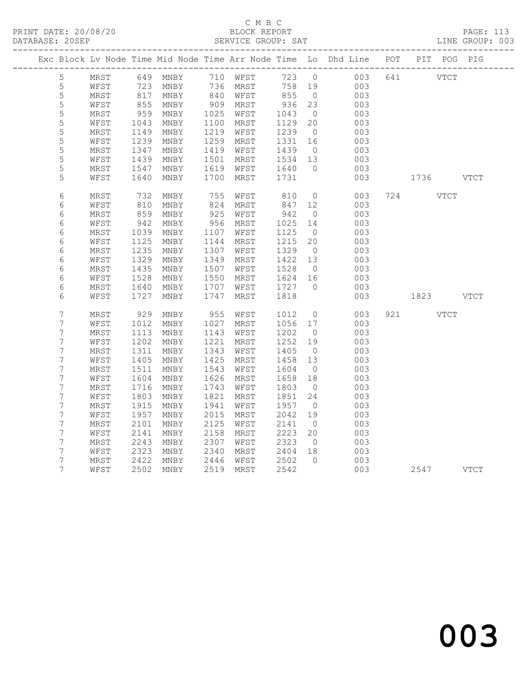### C M B C<br>BLOCK REPORT SERVICE GROUP: SAT

|                 |      |                 |                                |                                                                                                                               |          |        |                | Exc Block Lv Node Time Mid Node Time Arr Node Time Lo Dhd Line POT PIT POG PIG |     |           |  |
|-----------------|------|-----------------|--------------------------------|-------------------------------------------------------------------------------------------------------------------------------|----------|--------|----------------|--------------------------------------------------------------------------------|-----|-----------|--|
| $5\phantom{.0}$ | MRST |                 | 649 MNBY                       |                                                                                                                               | 710 WFST | 723 0  |                | 003                                                                            | 641 | VTCT      |  |
| $\mathsf S$     | WFST | 723             | MNBY                           | $\begin{array}{c} \n \stackrel{\frown}{\phantom{}_{340}}\\ \n 840 \\ \n \stackrel{\frown}{\phantom{}_{396}}\\ \n \end{array}$ | 736 MRST | 758 19 |                | 003                                                                            |     |           |  |
| 5               | MRST | $\frac{1}{817}$ | MNBY                           |                                                                                                                               | WFST     | 855    | $\overline{0}$ | 003                                                                            |     |           |  |
| 5               | WFST | 855             | MNBY                           | 909                                                                                                                           | MRST     | 936    | 23             | 003                                                                            |     |           |  |
| 5               | MRST | 959             | MNBY                           | 1025                                                                                                                          | WFST     | 1043   | $\overline{0}$ | 003                                                                            |     |           |  |
| 5               | WFST | 1043            | MNBY                           | 1100                                                                                                                          | MRST     | 1129   | 20             | 003                                                                            |     |           |  |
| 5               | MRST | 1149            | MNBY                           | 1219                                                                                                                          | WFST     | 1239   | $\overline{0}$ | 003                                                                            |     |           |  |
| 5               | WFST | 1239            | MNBY                           | 1259                                                                                                                          | MRST     | 1331   | 16             | 003                                                                            |     |           |  |
| 5               | MRST | 1347            | MNBY                           | 1419                                                                                                                          | WFST     | 1439   | $\overline{0}$ | 003                                                                            |     |           |  |
| 5               | WFST | 1439            | MNBY                           | 1501                                                                                                                          | MRST     | 1534   | 13             | 003                                                                            |     |           |  |
| 5               | MRST | 1547            | MNBY                           | 1619                                                                                                                          | WFST     | 1640   | $\bigcirc$     | 003                                                                            |     |           |  |
| 5               | WFST | 1640            | MNBY                           | 1700                                                                                                                          | MRST     | 1731   |                | 003                                                                            |     | 1736 VTCT |  |
| 6               | MRST | 732             | MNBY                           | 755                                                                                                                           | WFST     | 810    | $\overline{0}$ | 003                                                                            |     | 724 VTCT  |  |
| 6               | WFST | 810             | MNBY                           | 824                                                                                                                           | MRST     | 847    | 12             | 003                                                                            |     |           |  |
| 6               | MRST | 859             | $\operatorname{\texttt{MNBY}}$ | 925                                                                                                                           | WFST     | 942    | $\overline{0}$ | 003                                                                            |     |           |  |
| 6               | WFST | 942             | MNBY                           | 956                                                                                                                           | MRST     | 1025   | 14             | 003                                                                            |     |           |  |
| $\epsilon$      | MRST | 1039            | MNBY                           | 1107                                                                                                                          | WFST     | 1125   | $\overline{0}$ | 003                                                                            |     |           |  |
| $\epsilon$      | WFST | 1125            | MNBY                           | 1144                                                                                                                          | MRST     | 1215   | 20             | 003                                                                            |     |           |  |
| 6               | MRST | 1235            | MNBY                           | 1307                                                                                                                          | WFST     | 1329   | $\overline{0}$ | 003                                                                            |     |           |  |
| 6               | WFST | 1329            | MNBY                           | 1349                                                                                                                          | MRST     | 1422   | 13             | 003                                                                            |     |           |  |
| 6               | MRST | 1435            | MNBY                           | 1507                                                                                                                          | WFST     | 1528   | $\overline{0}$ | 003                                                                            |     |           |  |
| 6               | WFST | 1528            | MNBY                           | 1550                                                                                                                          | MRST     | 1624   | 16             | 003                                                                            |     |           |  |
| 6               | MRST | 1640            | MNBY                           | 1707                                                                                                                          | WFST     | 1727   | $\bigcirc$     | 003                                                                            |     |           |  |
| 6               | WFST | 1727            | MNBY                           | 1747                                                                                                                          | MRST     | 1818   |                | 003                                                                            |     | 1823 VTCT |  |
| $\overline{7}$  | MRST | 929             | MNBY                           | 955                                                                                                                           | WFST     | 1012   | $\overline{0}$ | 003                                                                            |     | 921 VTCT  |  |
| $\overline{7}$  | WFST | 1012            | MNBY                           | 1027                                                                                                                          | MRST     | 1056   | 17             | 003                                                                            |     |           |  |
| 7               | MRST | 1113            | MNBY                           | 1143                                                                                                                          | WFST     | 1202   | $\overline{0}$ | 003                                                                            |     |           |  |
| $\overline{7}$  | WFST | 1202            | MNBY                           | 1221                                                                                                                          | MRST     | 1252   | 19             | 003                                                                            |     |           |  |
| 7               | MRST | 1311            | MNBY                           | 1343                                                                                                                          | WFST     | 1405   | $\overline{0}$ | 003                                                                            |     |           |  |
| $\overline{7}$  | WFST | 1405            | MNBY                           | 1425                                                                                                                          | MRST     | 1458   | 13             | 003                                                                            |     |           |  |
| $\overline{7}$  | MRST | 1511            | MNBY                           | 1543                                                                                                                          | WFST     | 1604   | $\overline{0}$ | 003                                                                            |     |           |  |
| 7               | WFST | 1604            | MNBY                           | 1626                                                                                                                          | MRST     | 1658   | 18             | 003                                                                            |     |           |  |
| 7               | MRST | 1716            | MNBY                           | 1743                                                                                                                          | WFST     | 1803   | $\overline{0}$ | 003                                                                            |     |           |  |
| 7               | WFST | 1803            | MNBY                           | 1821                                                                                                                          | MRST     | 1851   | 24             | 003                                                                            |     |           |  |
| $\overline{7}$  | MRST | 1915            | MNBY                           | 1941                                                                                                                          | WFST     | 1957   | $\overline{0}$ | 003                                                                            |     |           |  |
| 7               | WFST | 1957            | MNBY                           | 2015                                                                                                                          | MRST     | 2042   | 19             | 003                                                                            |     |           |  |
| 7               | MRST | 2101            | MNBY                           | 2125                                                                                                                          | WFST     | 2141   | $\overline{0}$ | 003                                                                            |     |           |  |
| 7               | WFST | 2141            | MNBY                           | 2158                                                                                                                          | MRST     | 2223   | 20             | 003                                                                            |     |           |  |
| 7               | MRST | 2243            | MNBY                           | 2307                                                                                                                          | WFST     | 2323   | $\overline{0}$ | 003                                                                            |     |           |  |
| 7               | WFST | 2323            | MNBY                           | 2340                                                                                                                          | MRST     | 2404   | 18             | 003                                                                            |     |           |  |
| 7               | MRST | 2422            | MNBY                           | 2446                                                                                                                          | WFST     | 2502   | $\bigcirc$     | 003                                                                            |     |           |  |
| $\overline{7}$  | WFST | 2502            | MNBY                           | 2519                                                                                                                          | MRST     | 2542   |                | 003                                                                            |     | 2547 VTCT |  |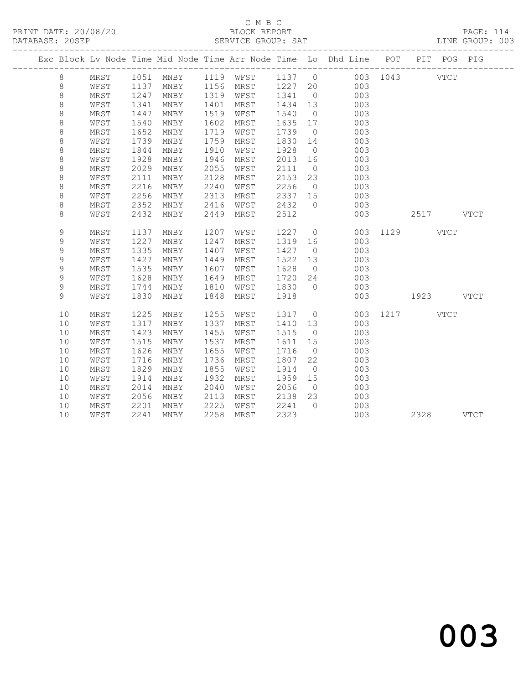|  |               |              |              |              |              |              |                 |                      | Exc Block Lv Node Time Mid Node Time Arr Node Time Lo Dhd Line POT |               |           | PIT POG PIG |  |
|--|---------------|--------------|--------------|--------------|--------------|--------------|-----------------|----------------------|--------------------------------------------------------------------|---------------|-----------|-------------|--|
|  | 8             | MRST         |              |              |              |              |                 |                      | 1051 MNBY 1119 WFST 1137 0 003 1043 VTCT                           |               |           |             |  |
|  | 8             | WFST         | 1137         | MNBY         |              | 1156 MRST    | 1227 20         |                      | 003                                                                |               |           |             |  |
|  | $\,8\,$       | MRST         | 1247         | MNBY         | 1319         | WFST         | 1341            | $\overline{0}$       | 003                                                                |               |           |             |  |
|  | $\,8\,$       | WFST         | 1341         | MNBY         | 1401         | MRST         | 1434            | 13                   | 003                                                                |               |           |             |  |
|  | 8             | MRST         | 1447         | MNBY         | 1519         | WFST         | 1540            | $\overline{0}$       | 003                                                                |               |           |             |  |
|  | $\,8\,$       | WFST         | 1540         | MNBY         | 1602         | MRST         | 1635 17         |                      | 003                                                                |               |           |             |  |
|  | $\,8\,$       | MRST         | 1652         | MNBY         | 1719         | WFST         | 1739            | $\overline{0}$       | 003                                                                |               |           |             |  |
|  | $\,8\,$       | WFST         | 1739         | MNBY         | 1759         | MRST         | 1830            | 14                   | 003                                                                |               |           |             |  |
|  | $\,8\,$       | MRST         | 1844         | MNBY         | 1910         | WFST         | 1928            | $\overline{0}$       | 003                                                                |               |           |             |  |
|  | $\,8\,$       | WFST         | 1928         | MNBY         | 1946         | MRST         | 2013            | 16                   | 003                                                                |               |           |             |  |
|  | $\,8\,$       | MRST         | 2029         | MNBY         | 2055         | WFST         | 2111            | $\overline{0}$       | 003                                                                |               |           |             |  |
|  | $\,8\,$       | WFST         | 2111         | MNBY         | 2128         | MRST         | 2153            | 23                   | 003                                                                |               |           |             |  |
|  | $\,8\,$       | MRST         | 2216         | MNBY         | 2240         | WFST         | 2256            | $\overline{0}$       | 003                                                                |               |           |             |  |
|  | $\,8\,$       | WFST         | 2256         | MNBY         | 2313         | MRST         | 2337 15         |                      | 003                                                                |               |           |             |  |
|  | $\,8\,$       | MRST         | 2352         | MNBY         | 2416         | WFST         | 2432            | $\overline{0}$       | 003                                                                |               |           |             |  |
|  | 8             | WFST         | 2432         | MNBY         | 2449         | MRST         | 2512            |                      | 003                                                                |               | 2517 VTCT |             |  |
|  |               |              |              |              |              |              |                 |                      |                                                                    |               |           |             |  |
|  | 9             | MRST         | 1137<br>1227 | MNBY         | 1207<br>1247 | WFST         | 1227            | $\overline{0}$       | 003                                                                | 003 1129 VTCT |           |             |  |
|  | 9<br>9        | WFST<br>MRST | 1335         | MNBY<br>MNBY | 1407         | MRST<br>WFST | 1319 16<br>1427 | $\overline{0}$       | 003                                                                |               |           |             |  |
|  | $\mathcal{G}$ |              | 1427         |              | 1449         |              | 1522            |                      |                                                                    |               |           |             |  |
|  | 9             | WFST<br>MRST | 1535         | MNBY<br>MNBY | 1607         | MRST         | 1628            | 13<br>$\overline{0}$ | 003<br>003                                                         |               |           |             |  |
|  | 9             | WFST         | 1628         | MNBY         | 1649         | WFST<br>MRST | 1720            | 24                   | 003                                                                |               |           |             |  |
|  | 9             | MRST         | 1744         | MNBY         | 1810         | WFST         | 1830            | $\bigcirc$           | 003                                                                |               |           |             |  |
|  | 9             | WFST         | 1830         | MNBY         | 1848         | MRST         | 1918            |                      | 003                                                                |               | 1923 VTCT |             |  |
|  |               |              |              |              |              |              |                 |                      |                                                                    |               |           |             |  |
|  | 10            | MRST         | 1225         | MNBY         | 1255         | WFST         | 1317            |                      | $\overline{0}$                                                     | 003 1217 VTCT |           |             |  |
|  | 10            | WFST         | 1317         | MNBY         | 1337         | MRST         | 1410            | 13                   | 003                                                                |               |           |             |  |
|  | 10            | MRST         | 1423         | MNBY         | 1455         | WFST         | 1515            | $\overline{0}$       | 003                                                                |               |           |             |  |
|  | 10            | WFST         | 1515         | MNBY         | 1537         | MRST         | 1611            | 15                   | 003                                                                |               |           |             |  |
|  | 10            | MRST         | 1626         | MNBY         | 1655         | WFST         | 1716            | $\overline{0}$       | 003                                                                |               |           |             |  |
|  | 10            | WFST         | 1716         | MNBY         | 1736         | MRST         | 1807            | 22                   | 003                                                                |               |           |             |  |
|  | 10            | MRST         | 1829         | MNBY         | 1855         | WFST         | 1914            | $\overline{0}$       | 003                                                                |               |           |             |  |
|  | 10            | WFST         | 1914         | MNBY         | 1932         | MRST         | 1959            | 15                   | 003                                                                |               |           |             |  |
|  | 10            | MRST         | 2014         | MNBY         | 2040         | WFST         | 2056            | $\overline{0}$       | 003                                                                |               |           |             |  |
|  | 10            | WFST         | 2056         | MNBY         | 2113         | MRST         | 2138            | 23                   | 003                                                                |               |           |             |  |
|  | 10            | MRST         | 2201         | MNBY         | 2225         | WFST         | 2241            | $\bigcirc$           | 003                                                                |               |           |             |  |
|  | 10            | WFST         | 2241         | MNBY         | 2258         | MRST         | 2323            |                      | 003                                                                |               | 2328 VTCT |             |  |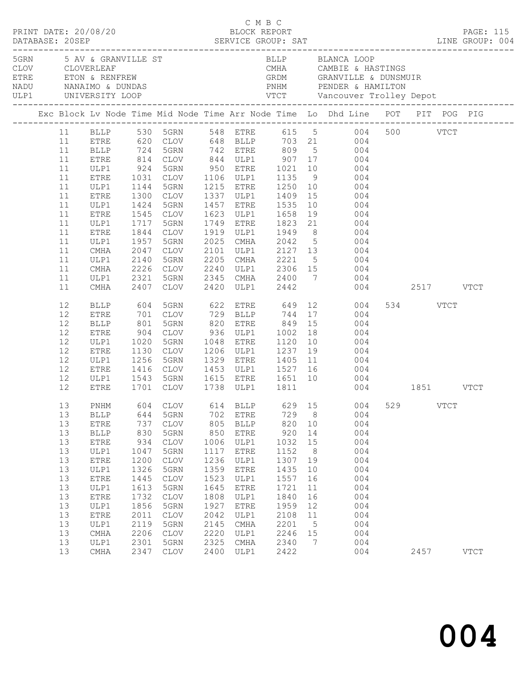|  |                                                                                                                |                                                                                                                                                                                                                             |                                                                                                                          |                                                                                                                                                                                                                                       |                                                                                                                           |                                                                                                                                                          | C M B C                                                                                                                   |                                                                                    |                                                                                                                                                                                                                                                                                                                                                                                                                        |               |          |               |
|--|----------------------------------------------------------------------------------------------------------------|-----------------------------------------------------------------------------------------------------------------------------------------------------------------------------------------------------------------------------|--------------------------------------------------------------------------------------------------------------------------|---------------------------------------------------------------------------------------------------------------------------------------------------------------------------------------------------------------------------------------|---------------------------------------------------------------------------------------------------------------------------|----------------------------------------------------------------------------------------------------------------------------------------------------------|---------------------------------------------------------------------------------------------------------------------------|------------------------------------------------------------------------------------|------------------------------------------------------------------------------------------------------------------------------------------------------------------------------------------------------------------------------------------------------------------------------------------------------------------------------------------------------------------------------------------------------------------------|---------------|----------|---------------|
|  |                                                                                                                |                                                                                                                                                                                                                             |                                                                                                                          | 5GRN 5 AV & GRANVILLE ST                                                                                                                                                                                                              |                                                                                                                           |                                                                                                                                                          |                                                                                                                           |                                                                                    | BLLP       BLANCA LOOP<br>CMHA        CAMBIE & HASTINGS<br>GRDM        GRANVILLE & DUNSMUIR                                                                                                                                                                                                                                                                                                                            |               |          |               |
|  |                                                                                                                |                                                                                                                                                                                                                             |                                                                                                                          |                                                                                                                                                                                                                                       |                                                                                                                           |                                                                                                                                                          |                                                                                                                           |                                                                                    | Exc Block Lv Node Time Mid Node Time Arr Node Time Lo Dhd Line POT PIT POG PIG                                                                                                                                                                                                                                                                                                                                         |               |          |               |
|  | 11<br>11<br>11<br>11<br>11<br>11<br>11<br>11<br>11<br>11<br>11<br>11<br>11<br>11<br>11<br>11<br>11             | ULP1<br>ETRE<br>ULP1<br>ETRE<br>ULP1<br>ETRE<br>ULP1<br>${\tt ETRE}$<br>ULP1<br>CMHA<br>ULP1<br>CMHA<br>ULP1                                                                                                                | 924<br>1031<br>1144<br>1424<br>1545<br>1717<br>1844<br>1957<br>2047<br>2321                                              | 5GRN<br>CLOV<br>5GRN<br>1300 CLOV<br>5GRN<br>CLOV<br>5GRN<br>CLOV<br>5GRN<br>CLOV<br>2140 5GRN<br>2226 CLOV<br>5GRN                                                                                                                   |                                                                                                                           | 1457 ETRE                                                                                                                                                | 1535                                                                                                                      |                                                                                    | BLLP 530 5GRN 548 ETRE 615 5 004 500 VTCT<br>ETRE 620 CLOV 648 BLLP 703 21 004<br>BLLP 724 5GRN 742 ETRE 809 5 004<br>ETRE 814 CLOV 844 ULP1 907 17 004<br>950 ETRE 1021 10 004<br>1337 ULP1 1409 15 004<br>10 004<br>1623 ULP1 1658 19 004<br>1749 ETRE 1823 21 004<br>1919 ULP1 1949 8 004<br>2025 CMHA 2042 5 004<br>2101 ULP1 2127 13 004<br>2205 CMHA 2221 5 004<br>2240 ULP1 2306 15 004<br>2345 CMHA 2400 7 004 |               |          |               |
|  | 11<br>12<br>12<br>12<br>12<br>12<br>12<br>12<br>12                                                             | CMHA<br>BLLP<br><b>ETRE</b><br><b>BLLP</b><br>ETRE<br>ULP1<br>ETRE<br>ULP1<br>ETRE                                                                                                                                          | 2407<br>604<br>701<br>$\begin{array}{c} 801 \\ 904 \\ 1020 \end{array}$<br>1130<br>1256                                  | CLOV<br>5GRN 622 ETRE 649 12<br>CLOV<br>5GRN<br>CLOV<br>5GRN<br>CLOV<br>5GRN                                                                                                                                                          |                                                                                                                           | 820 ETRE<br>1048 ETRE                                                                                                                                    | 2420 ULP1 2442<br>729 BLLP 744 17<br>849 15<br>936 ULP1 1002 18<br>1048 ETRE 1120 10<br>1206 ULP1 1237 19                 |                                                                                    | 004<br>004<br>004<br>004<br>004<br>004<br>1329 ETRE 1405 11 004                                                                                                                                                                                                                                                                                                                                                        | 004 2517 VTCT | 534 VTCT |               |
|  | 12<br>12<br>13<br>13<br>13<br>13<br>13<br>13<br>13<br>13<br>13<br>13<br>13<br>13<br>13<br>13<br>13<br>13<br>13 | ULP1<br>ETRE<br>PNHM<br>$\operatorname{BLLP}$<br>${\tt ETRE}$<br><b>BLLP</b><br>${\tt ETRE}$<br>ULP1<br>${\tt ETRE}$<br>ULP1<br>${\tt ETRE}$<br>ULP1<br>${\tt ETRE}$<br>ULP1<br><b>ETRE</b><br>ULP1<br>CMHA<br>ULP1<br>CMHA | 644<br>737<br>830<br>934<br>1047<br>1200<br>1326<br>1445<br>1613<br>1732<br>1856<br>2011<br>2119<br>2206<br>2301<br>2347 | 1701 CLOV<br>604 CLOV<br>5GRN<br>$\mathtt{CLOV}$<br>5GRN<br>$\mathtt{CLOV}$<br>5GRN<br>$\mathtt{CLOV}$<br>5GRN<br>$\mathop{\mathtt{CLOV}}$<br>5GRN<br><b>CLOV</b><br>5GRN<br>CLOV<br>5GRN<br>$\mathop{\mathtt{CLOV}}$<br>5GRN<br>CLOV | 702<br>805<br>850<br>1006<br>1117<br>1236<br>1359<br>1523<br>1645<br>1808<br>1927<br>2042<br>2145<br>2220<br>2325<br>2400 | <b>ETRE</b><br><b>BLLP</b><br>ETRE<br>ULP1<br>ETRE<br>ULP1<br>ETRE<br>ULP1<br><b>ETRE</b><br>ULP1<br><b>ETRE</b><br>ULP1<br>CMHA<br>ULP1<br>CMHA<br>ULP1 | 729<br>820<br>920<br>1032<br>1152<br>1307<br>1435<br>1557<br>1721<br>1840<br>1959<br>2108<br>2201<br>2246<br>2340<br>2422 | 8<br>10<br>14<br>15<br>8<br>19<br>10<br>16<br>11<br>16<br>12<br>11<br>5<br>15<br>7 | 1416 CLOV 1453 ULP1 1527 16 004<br>1543 5GRN 1615 ETRE 1651 10 004<br>1701 CLOV 1738 ULP1 1811 004 1851 VTCT<br>614 BLLP 629 15 004 529 VTCT<br>004<br>004<br>004<br>004<br>004<br>004<br>004<br>004<br>004<br>004<br>004<br>004<br>004<br>004<br>004<br>004                                                                                                                                                           |               | 2457     | $_{\rm VTCT}$ |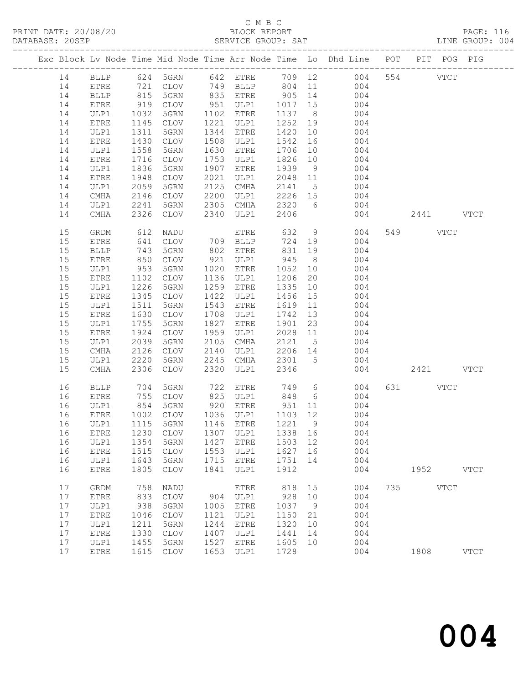|  |    |              |                                                                                          |                                  |      |              |         |                 | Exc Block Lv Node Time Mid Node Time Arr Node Time Lo Dhd Line POT PIT POG PIG |     |          |               |               |
|--|----|--------------|------------------------------------------------------------------------------------------|----------------------------------|------|--------------|---------|-----------------|--------------------------------------------------------------------------------|-----|----------|---------------|---------------|
|  | 14 | BLLP         |                                                                                          | 624 5GRN                         |      | 642 ETRE     |         |                 | 709 12<br>004                                                                  |     | 554      | $_{\rm VTCT}$ |               |
|  | 14 | ${\tt ETRE}$ |                                                                                          | CLOV                             |      | 749 BLLP     | 804     | 11              | 004                                                                            |     |          |               |               |
|  | 14 | <b>BLLP</b>  | $\begin{array}{c} \n \stackrel{\frown}{\phantom{}_{0}} \\  815 \\  \hline\n \end{array}$ | 5GRN                             |      | 835 ETRE     | 905     | 14              | 004                                                                            |     |          |               |               |
|  | 14 | ETRE         | 919                                                                                      | CLOV                             | 951  | ULP1         | 1017    | 15              | 004                                                                            |     |          |               |               |
|  | 14 | ULP1         | 1032                                                                                     | 5GRN                             | 1102 | ETRE         | 1137    | 8 <sup>8</sup>  | 004                                                                            |     |          |               |               |
|  | 14 | ETRE         | 1145                                                                                     | CLOV                             | 1221 | ULP1         | 1252    | 19              | 004                                                                            |     |          |               |               |
|  | 14 | ULP1         | 1311                                                                                     | 5GRN                             | 1344 | ETRE         | 1420    | 10              | 004                                                                            |     |          |               |               |
|  | 14 | ${\tt ETRE}$ | 1430                                                                                     | CLOV                             | 1508 | ULP1         | 1542    | 16              | 004                                                                            |     |          |               |               |
|  | 14 | ULP1         | 1558                                                                                     | 5GRN                             | 1630 | <b>ETRE</b>  | 1706    | 10              | 004                                                                            |     |          |               |               |
|  | 14 | ETRE         | 1716                                                                                     | CLOV                             | 1753 | ULP1         | 1826    | 10              | 004                                                                            |     |          |               |               |
|  | 14 | ULP1         | 1836                                                                                     | 5GRN                             | 1907 | <b>ETRE</b>  | 1939    | 9               | 004                                                                            |     |          |               |               |
|  | 14 | ETRE         | 1948                                                                                     | CLOV                             | 2021 | ULP1         | 2048    | 11              | 004                                                                            |     |          |               |               |
|  | 14 | ULP1         | 2059                                                                                     | 5GRN                             | 2125 | CMHA         | 2141    | $5\overline{)}$ | 004                                                                            |     |          |               |               |
|  | 14 | CMHA         | 2146                                                                                     | CLOV                             | 2200 | ULP1         | 2226    | 15              | 004                                                                            |     |          |               |               |
|  | 14 |              | 2241                                                                                     | 5GRN                             | 2305 | CMHA         | 2320    | 6               | 004                                                                            |     |          |               |               |
|  |    | ULP1         |                                                                                          |                                  |      |              |         |                 |                                                                                |     | 2441     |               |               |
|  | 14 | CMHA         | 2326                                                                                     | CLOV                             | 2340 | ULP1         | 2406    |                 | 004                                                                            |     |          |               | <b>VTCT</b>   |
|  | 15 | GRDM         | 612                                                                                      | NADU                             |      | ETRE         | 632     | 9               | 004                                                                            |     | 549      | <b>VTCT</b>   |               |
|  | 15 | ETRE         | 641                                                                                      | CLOV                             |      | 709 BLLP     | 724     | 19              | 004                                                                            |     |          |               |               |
|  | 15 | <b>BLLP</b>  | 743                                                                                      | 5GRN                             | 802  | ETRE         | 831     | 19              | 004                                                                            |     |          |               |               |
|  | 15 | ETRE         | 850                                                                                      | <b>CLOV</b>                      | 921  | ULP1         | 945     | 8 <sup>8</sup>  | 004                                                                            |     |          |               |               |
|  | 15 | ULP1         | 953                                                                                      | 5GRN                             | 1020 | ETRE         | 1052    | 10              | 004                                                                            |     |          |               |               |
|  | 15 | ETRE         | 1102                                                                                     | CLOV                             | 1136 | ULP1         | 1206    | 20              | 004                                                                            |     |          |               |               |
|  | 15 | ULP1         | 1226                                                                                     | 5GRN                             | 1259 | <b>ETRE</b>  | 1335    | 10              | 004                                                                            |     |          |               |               |
|  | 15 | ETRE         | 1345                                                                                     | $\mathtt{CLOV}$                  | 1422 | ULP1         | 1456    | 15              | 004                                                                            |     |          |               |               |
|  | 15 | ULP1         | 1511                                                                                     | 5GRN                             | 1543 | ETRE         | 1619    | 11              | 004                                                                            |     |          |               |               |
|  | 15 | ETRE         | 1630                                                                                     | CLOV                             | 1708 | ULP1         | 1742    | 13              | 004                                                                            |     |          |               |               |
|  | 15 | ULP1         | 1755                                                                                     | 5GRN                             | 1827 | ${\tt ETRE}$ | 1901    | 23              | 004                                                                            |     |          |               |               |
|  | 15 | ETRE         | 1924                                                                                     | CLOV                             | 1959 | ULP1         | 2028    | 11              | 004                                                                            |     |          |               |               |
|  | 15 | ULP1         | 2039                                                                                     | 5GRN                             | 2105 | CMHA         | 2121    | $5\overline{)}$ | 004                                                                            |     |          |               |               |
|  | 15 | CMHA         | 2126                                                                                     | CLOV                             | 2140 | ULP1         | 2206    | 14              | 004                                                                            |     |          |               |               |
|  | 15 | ULP1         | 2220                                                                                     | 5GRN                             | 2245 | CMHA         | 2301    | 5               | 004                                                                            |     |          |               |               |
|  | 15 | CMHA         | 2306                                                                                     | <b>CLOV</b>                      | 2320 | ULP1         | 2346    |                 | 004                                                                            |     | 2421     |               | <b>VTCT</b>   |
|  | 16 | <b>BLLP</b>  | 704                                                                                      | 5GRN                             | 722  | ETRE         | 749     | 6               | 004                                                                            |     | 631 VTCT |               |               |
|  | 16 | ETRE         | 755                                                                                      | CLOV                             | 825  | ULP1         | 848     | 6               | 004                                                                            |     |          |               |               |
|  | 16 | ULP1         | 854                                                                                      | 5GRN                             |      | 920 ETRE     | 951     | 11              | 004                                                                            |     |          |               |               |
|  | 16 | ETRE         | 1002                                                                                     | CLOV                             |      | 1036 ULP1    | 1103 12 |                 | 004                                                                            |     |          |               |               |
|  | 16 | ULP1         | 1115                                                                                     | 5GRN                             |      | 1146 ETRE    | 1221    | $\overline{9}$  | 004                                                                            |     |          |               |               |
|  | 16 |              |                                                                                          | ETRE 1230 CLOV 1307 ULP1 1338 16 |      |              |         |                 | 004                                                                            |     |          |               |               |
|  | 16 | ULP1         | 1354                                                                                     | 5GRN                             | 1427 | <b>ETRE</b>  | 1503    | 12              | 004                                                                            |     |          |               |               |
|  | 16 | <b>ETRE</b>  | 1515                                                                                     | <b>CLOV</b>                      | 1553 | ULP1         | 1627    | 16              | 004                                                                            |     |          |               |               |
|  | 16 | ULP1         | 1643                                                                                     | 5GRN                             | 1715 | ETRE         | 1751    | 14              | 004                                                                            |     |          |               |               |
|  | 16 | ETRE         | 1805                                                                                     | <b>CLOV</b>                      | 1841 | ULP1         | 1912    |                 | 004                                                                            |     | 1952     |               | <b>VTCT</b>   |
|  | 17 | GRDM         | 758                                                                                      | NADU                             |      | <b>ETRE</b>  | 818     | 15              | 004                                                                            | 735 |          | <b>VTCT</b>   |               |
|  | 17 | ETRE         | 833                                                                                      | <b>CLOV</b>                      | 904  | ULP1         | 928     | 10              | 004                                                                            |     |          |               |               |
|  | 17 | ULP1         | 938                                                                                      | 5GRN                             | 1005 | <b>ETRE</b>  | 1037    | $\overline{9}$  | 004                                                                            |     |          |               |               |
|  | 17 | ETRE         | 1046                                                                                     | <b>CLOV</b>                      | 1121 | ULP1         | 1150    | 21              | 004                                                                            |     |          |               |               |
|  | 17 | ULP1         | 1211                                                                                     | 5GRN                             | 1244 | <b>ETRE</b>  | 1320    | 10              | 004                                                                            |     |          |               |               |
|  | 17 | ETRE         | 1330                                                                                     | <b>CLOV</b>                      | 1407 | ULP1         | 1441    | 14              | 004                                                                            |     |          |               |               |
|  | 17 | ULP1         | 1455                                                                                     | 5GRN                             | 1527 | <b>ETRE</b>  | 1605    | 10              | 004                                                                            |     |          |               |               |
|  | 17 | ${\tt ETRE}$ | 1615                                                                                     | $\mathtt{CLOV}$                  | 1653 | ULP1         | 1728    |                 | 004                                                                            |     | 1808     |               | $_{\rm VTCT}$ |
|  |    |              |                                                                                          |                                  |      |              |         |                 |                                                                                |     |          |               |               |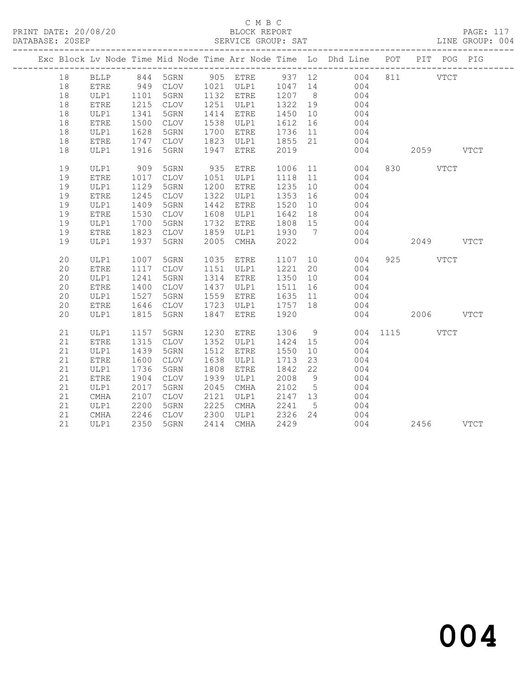|  |    |                    |      |      |      |              |         |                 | Exc Block Lv Node Time Mid Node Time Arr Node Time Lo Dhd Line POT                               | PIT POG PIG |  |
|--|----|--------------------|------|------|------|--------------|---------|-----------------|--------------------------------------------------------------------------------------------------|-------------|--|
|  | 18 | <b>BLLP</b>        |      |      |      |              |         |                 | 844 5GRN 905 ETRE 937 12 004<br>949 CLOV 1021 ULP1 1047 14 004<br>1101 5GRN 1132 ETRE 1207 8 004 | 811 VTCT    |  |
|  | 18 | <b>ETRE</b>        |      |      |      |              |         |                 |                                                                                                  |             |  |
|  | 18 | ULP1               |      |      |      | $1132$ ETRE  |         |                 | 004                                                                                              |             |  |
|  | 18 | ETRE               | 1215 | CLOV | 1251 | ULP1         | 1322 19 |                 | 004                                                                                              |             |  |
|  | 18 | ULP1               | 1341 | 5GRN | 1414 | ETRE         | 1450    | 10              | 004                                                                                              |             |  |
|  | 18 | ETRE               | 1500 | CLOV | 1538 | ULP1         | 1612    | 16              | $004$<br>$004$                                                                                   |             |  |
|  | 18 | ULP1               | 1628 | 5GRN | 1700 | ETRE         | 1736    | 11              |                                                                                                  |             |  |
|  | 18 | ETRE               | 1747 | CLOV | 1823 | ULP1         | 1855    | 21              | 004                                                                                              |             |  |
|  | 18 | ULP1               | 1916 | 5GRN | 1947 | <b>ETRE</b>  | 2019    |                 | 004                                                                                              | 2059 VTCT   |  |
|  | 19 | ULP1               | 909  | 5GRN | 935  | ETRE         | 1006    |                 | 11 \,<br>004                                                                                     | 830 VTCT    |  |
|  | 19 | <b>ETRE</b>        | 1017 | CLOV | 1051 | ULP1         | 1118    | 11              | 004                                                                                              |             |  |
|  | 19 | ULP1               | 1129 | 5GRN | 1200 | ETRE         | 1235    | 10              | 004                                                                                              |             |  |
|  | 19 | ETRE               | 1245 | CLOV | 1322 | ULP1         | 1353    | 16              | 004                                                                                              |             |  |
|  | 19 | ULP1               | 1409 | 5GRN | 1442 | ETRE         | 1520    | 10              | 004                                                                                              |             |  |
|  | 19 | <b>ETRE</b>        | 1530 | CLOV | 1608 | ULP1         | 1642    | 18              | 004                                                                                              |             |  |
|  | 19 | ULP1               | 1700 | 5GRN | 1732 | <b>ETRE</b>  | 1808    | 15              | 004                                                                                              |             |  |
|  | 19 | <b>ETRE</b>        | 1823 | CLOV | 1859 | ULP1         | 1930    | $\overline{7}$  | 004                                                                                              |             |  |
|  | 19 | ULP1               | 1937 | 5GRN | 2005 | CMHA         | 2022    |                 | 004                                                                                              | 2049 VTCT   |  |
|  | 20 | ULP1               | 1007 | 5GRN | 1035 | ETRE         | 1107 10 |                 | 004                                                                                              | 925 VTCT    |  |
|  | 20 | <b>ETRE</b>        | 1117 | CLOV | 1151 | ULP1         | 1221    | 20              | 004                                                                                              |             |  |
|  | 20 | ULP1               | 1241 | 5GRN | 1314 | ETRE         | 1350    | 10              | 004                                                                                              |             |  |
|  | 20 | ETRE               | 1400 | CLOV | 1437 | ULP1         | 1511    | 16              | 004                                                                                              |             |  |
|  | 20 | ULP1               | 1527 | 5GRN | 1559 | ETRE         | 1635    | 11              | 004                                                                                              |             |  |
|  | 20 | ${\tt ETRE}$       | 1646 | CLOV | 1723 | ULP1         | 1757    | 18              | 004                                                                                              |             |  |
|  | 20 | ULP1               | 1815 | 5GRN | 1847 | ETRE         | 1920    |                 | 004                                                                                              | 2006 VTCT   |  |
|  | 21 | ULP1               | 1157 | 5GRN | 1230 | ETRE         | 1306    | 9               | 004                                                                                              | 1115 VTCT   |  |
|  | 21 | <b>ETRE</b>        | 1315 | CLOV | 1352 | ULP1         | 1424    | 15              | 004                                                                                              |             |  |
|  | 21 | ULP1               | 1439 | 5GRN | 1512 | ${\tt ETRE}$ | 1550    | 10              | 004                                                                                              |             |  |
|  | 21 | <b>ETRE</b>        | 1600 | CLOV | 1638 | ULP1         | 1713    | 23              | 004                                                                                              |             |  |
|  | 21 | ULP1               | 1736 | 5GRN | 1808 | ETRE         | 1842    | 22              | 004                                                                                              |             |  |
|  | 21 | ETRE               | 1904 | CLOV | 1939 | ULP1         | 2008    | 9               | 004                                                                                              |             |  |
|  | 21 | ULP1               | 2017 | 5GRN | 2045 | CMHA         | 2102    | $5\overline{)}$ | 004                                                                                              |             |  |
|  | 21 | $\mathop{\rm CMA}$ | 2107 | CLOV | 2121 | ULP1         | 2147    | 13              | 004                                                                                              |             |  |
|  | 21 | ULP1               | 2200 | 5GRN | 2225 | CMHA         | 2241    | $5^{\circ}$     | 004                                                                                              |             |  |
|  | 21 | CMHA               | 2246 | CLOV | 2300 | ULP1         | 2326    | 24              | 004                                                                                              |             |  |
|  | 21 | ULP1               | 2350 | 5GRN | 2414 | CMHA         | 2429    |                 | 004                                                                                              | 2456 VTCT   |  |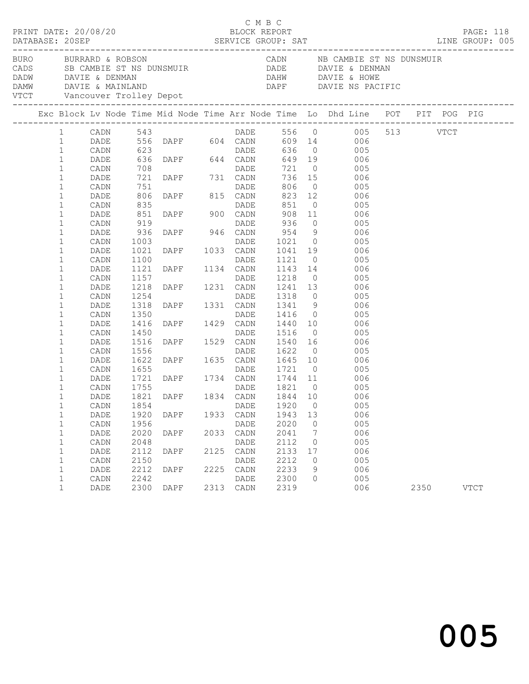| PRINT DATE: 20/08/20                         |                      |                      |              |      | СМВС<br>BLOCK REPORT      |                      |                                        |                                                                                                                                                                                                                                                                                                                        |      | PAGE: 118   |
|----------------------------------------------|----------------------|----------------------|--------------|------|---------------------------|----------------------|----------------------------------------|------------------------------------------------------------------------------------------------------------------------------------------------------------------------------------------------------------------------------------------------------------------------------------------------------------------------|------|-------------|
| BURO BURRARD & ROBSON                        |                      |                      |              |      |                           |                      |                                        | CADN NB CAMBIE ST NS DUNSMUIR<br>CADS SB CAMBIE ST NS DUNSMUIR<br>DADW DAVIE & DENMAN DAVIE & DENMAN DAVIE & DENMAN DAVIE & DENMAN DAVIE & MAINLAND<br>DAMW DAVIE & MAINLAND DAPF DAVIE NS PACIFIC<br>VTCT Vancouver Trolley Depot<br>---------------------------------                                                |      |             |
|                                              |                      |                      |              |      |                           |                      |                                        | Exc Block Lv Node Time Mid Node Time Arr Node Time Lo Dhd Line POT PIT POG PIG                                                                                                                                                                                                                                         |      |             |
| $\mathbf{1}$                                 | CADN                 |                      |              |      |                           |                      |                                        | 1 CADN 543 DADE 556 0 005 513 VTCT<br>1 DADE 556 DAPF 604 CADN 609 14 006                                                                                                                                                                                                                                              |      |             |
| $\mathbf{1}$<br>$\mathbf{1}$<br>$\mathbf{1}$ | DADE<br>CADN<br>DADE |                      |              |      |                           |                      |                                        |                                                                                                                                                                                                                                                                                                                        |      |             |
| $\mathbf{1}$<br>$\mathbf{1}$<br>$1\,$        | CADN<br>DADE<br>CADN |                      |              |      |                           |                      |                                        | 751<br>751<br>806 DAPF 815 CADN 823 12<br>835 DADE 851 0 005<br>851 DAPF 900 CADN 908 11 006                                                                                                                                                                                                                           |      |             |
| $\mathbf{1}$<br>$\mathbf{1}$<br>$\mathbf{1}$ | DADE<br>CADN<br>DADE |                      |              |      |                           |                      |                                        |                                                                                                                                                                                                                                                                                                                        |      |             |
| $\mathbf{1}$<br>$\mathbf{1}$<br>$1\,$        | CADN<br>DADE<br>CADN |                      |              |      |                           |                      |                                        | $\begin{tabular}{cccc} 851 & DAPF & 900 & CADN & 908 & 11 & 006 \\ 919 & DADE & 936 & 0 & 005 \\ 936 & DAPF & 946 & CADN & 954 & 9 & 006 \\ 1003 & DADE & 1021 & 0 & 006 \\ 1021 & DAPF & 1033 & CADN & 1041 & 19 & 006 \\ 1100 & DADE & 1121 & 0 & 005 \\ 1121 & DAPF & 1134 & CADN & 1143 & 14 & 006 \\ 1157 & 1134$ |      |             |
| $\mathbf{1}$<br>$1\,$<br>$\mathbf{1}$        | DADE<br>CADN<br>DADE |                      |              |      |                           |                      |                                        |                                                                                                                                                                                                                                                                                                                        |      |             |
| $\mathbf{1}$<br>$\mathbf{1}$<br>$\mathbf{1}$ | CADN<br>DADE<br>CADN |                      |              |      |                           |                      |                                        |                                                                                                                                                                                                                                                                                                                        |      |             |
| $\mathbf{1}$<br>$1\,$<br>$\mathbf{1}$        | DADE<br>CADN<br>DADE |                      |              |      |                           |                      |                                        |                                                                                                                                                                                                                                                                                                                        |      |             |
| $\mathbf{1}$<br>$\mathbf{1}$<br>$\mathbf{1}$ | CADN<br>DADE<br>CADN |                      |              |      |                           |                      |                                        |                                                                                                                                                                                                                                                                                                                        |      |             |
| $\mathbf{1}$<br>$\mathbf{1}$<br>$\mathbf{1}$ | DADE<br>CADN<br>DADE |                      |              |      |                           |                      |                                        | 005                                                                                                                                                                                                                                                                                                                    |      |             |
| 1<br>$\mathbf{1}$                            | DADE                 | 1920                 | DAPF         |      | 1933 CADN                 | 1943                 | 13                                     | CADN 1854 DADE 1920 0 005<br>006                                                                                                                                                                                                                                                                                       |      |             |
| $\mathbf{1}$<br>$\mathbf 1$<br>$\mathbf{1}$  | CADN<br>DADE<br>CADN | 1956<br>2020<br>2048 | DAPF         |      | DADE<br>2033 CADN<br>DADE | 2020<br>2041<br>2112 | $\overline{0}$<br>$7\phantom{.0}$<br>0 | 005<br>006<br>005                                                                                                                                                                                                                                                                                                      |      |             |
| $\mathbf{1}$<br>$\mathbf{1}$<br>$\mathbf{1}$ | DADE<br>CADN<br>DADE | 2112<br>2150<br>2212 | DAPF<br>DAPF | 2125 | CADN<br>DADE<br>2225 CADN | 2133<br>2212<br>2233 | 17<br>0<br>9                           | 006<br>005<br>006                                                                                                                                                                                                                                                                                                      |      |             |
| $\mathbf{1}$<br>$\mathbf{1}$                 | CADN<br><b>DADE</b>  | 2242<br>2300         | DAPF         |      | DADE<br>2313 CADN         | 2300<br>2319         | $\circ$                                | 005<br>006                                                                                                                                                                                                                                                                                                             | 2350 | <b>VTCT</b> |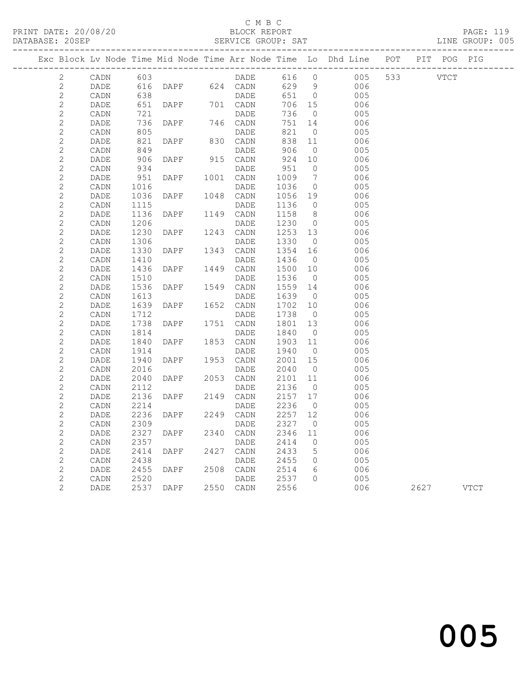### C M B C

DATABASE: 20SEP SERVICE GROUP: SAT LINE GROUP: 005 ------------------------------------------------------------------------------------------------- Exc Block Lv Node Time Mid Node Time Arr Node Time Lo Dhd Line POT PIT POG PIG ------------------------------------------------------------------------------------------------- 2 CADN 603 DADE 616 0 005 533 VTCT 2 DADE 616 DAPF 624 CADN 629 9 006 2 CADN 638<br>2 DADE 651 DAPF 701 CADN 706 15 006<br>2 DADE 651 DAPF 701 CADN 706 15 006 2 DADE 651 DAPF 701 CADN 706 15 006<br>2 DADE 736 DAPF 746 CADN 751 14 006<br>2 DADE 736 DAPF 746 CADN 751 14 006<br>2 DADE 821 DAPF 830 CADN 838 11 006<br>2 DADE 821 DAPF 830 CADN 838 11 006<br>2 CADN 849 DADE 906 0 005 2 CADN 721 DADE 736 0 005 2 DADE 736 DAPF 746 CADN 751 14 006 2 CADN 805 DADE 821 0 005 2 DADE 821 DAPF 830 CADN 838 11 006<br>2 CADN 849 DADE 906 0 005 2 DADE 821 DAPF 830 CADN 838 11 006<br>2 CADN 849 DADE 906 0 005<br>2 DADE 906 DAPF 915 CADN 924 10 006<br>2 CADN 934 DADE 951 0 005 2 DADE 906 DAPF 915 CADN 924 10 006<br>2 CADN 934 DADE 951 0 005 2 CADN 934 DADE 951 0 005 2 DADE 951 DAPF 1001 CADN 1009 7 006 2 CADN 1016 DADE 1036 0 005 2 DADE 1036 DAPF 1048 CADN 1056 19 006 2 CADN 1115 DADE 1136 0 005 2 DADE 1136 DAPF 1149 CADN 1158 8 006<br>2 CADN 1206 DADE 1230 0 005<br>2 DADE 1230 DAPF 1243 CADN 1253 13 006<br>2 CADN 1306 DADE 1330 0 005 2 CADN 1206 DADE 1230 0 005 2 DADE 1230 DAPF 1243 CADN 1253 13 006 2 CADN 1306 DADE 1330 0 005 2 DADE 1330 DAPF 1343 CADN 1354 16 006 2 CADN 1410 DADE 1436 0 005 2 DADE 1436 DAPF 1449 CADN 1500 10 006 2 CADN 1510 DADE 1536 0 005 2 DADE 1536 DAPF 1549 CADN 1559 14 006 2 CADN 1613 DADE 1639 0 005 2 DADE 1639 DAPF 1652 CADN 1702 10 006 2 CADN 1712 DADE 1738 0 005 2 DADE 1738 DAPF 1751 CADN 1801 13 006 2 CADN 1814 DADE 1840 0 005 2 DADE 1840 DAPF 1853 CADN 1903 11 006 2 CADN 1914 DADE 1940 0 005 2 DADE 1940 DAPF 1953 CADN 2001 15 006 2 CADN 2016 DADE 2040 0 005 2 DADE 2040 DAPF 2053 CADN 2101 11 006<br>2 CADN 2112 DADE 2136 0 005 2 CADN 2112 DADE 2136 0 005 2 DADE 2136 DAPF 2149 CADN 2157 17 006 2 CADN 2214 DADE 2236 0 005 2 DADE 2236 DAPF 2249 CADN 2257 12 006 2 CADN 2309 DADE 2327 0 005 2 DADE 2327 DAPF 2340 CADN 2346 11 006 2 CADN 2357 DADE 2414 0 005 2 CADN 2357 DADE 2414 0 005<br>2 DADE 2414 DAPF 2427 CADN 2433 5 006<br>2 CADN 2438 DADE 2455 0 005 2 CADN 2438 DADE 2455 0 005 2 CADN 2438<br>
2 DADE 2455 DAPF 2508 CADN 2514 6 006<br>
2 CADN 2520 DADE 2537 0 005<br>
2 DADE 2537 DAPF 2550 CADN 2556 006 2 CADN 2520 DADE 2537 0 005

2 DADE 2537 DAPF 2550 CADN 2556 006 2627 VTCT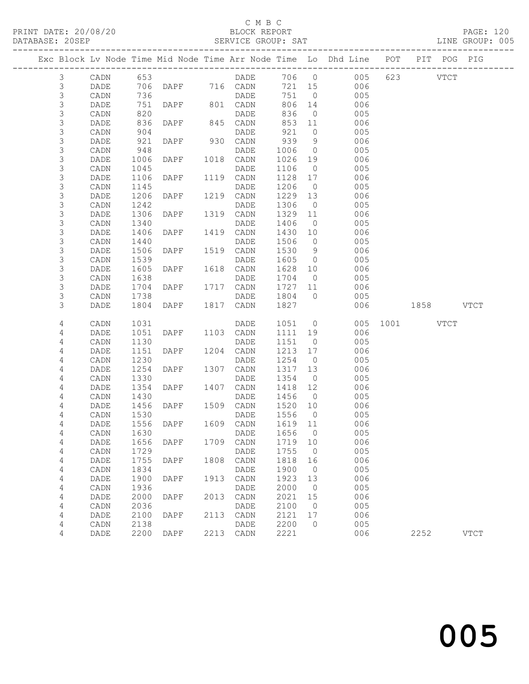### C M B C<br>BLOCK REPORT

#### SERVICE GROUP: SAT

|                            |              |              |               |      |              |              |                      | Exc Block Lv Node Time Mid Node Time Arr Node Time Lo Dhd Line POT PIT POG PIG |           |             |             |
|----------------------------|--------------|--------------|---------------|------|--------------|--------------|----------------------|--------------------------------------------------------------------------------|-----------|-------------|-------------|
| $\mathcal{E}$              | CADN         | 653          |               |      | DADE         | 706 0        |                      | 005                                                                            | 623       | <b>VTCT</b> |             |
| $\mathsf 3$                | DADE         | 706          | DAPF 716 CADN |      |              | 721 15       |                      | 006                                                                            |           |             |             |
| $\mathsf S$                | CADN         | 736          |               |      | DADE         | 751          | $\overline{0}$       | 005                                                                            |           |             |             |
| 3                          | DADE         | 751          | DAPF          |      | 801 CADN     | 806          | 14                   | 006                                                                            |           |             |             |
| 3                          | CADN         | 820          |               |      | DADE         | 836          | $\overline{0}$       | 005                                                                            |           |             |             |
| 3                          | DADE         | 836          | DAPF          |      | 845 CADN     | 853          | 11                   | 006                                                                            |           |             |             |
| $\mathsf S$                | CADN         | 904          |               |      | DADE         | 921          | $\circ$              | 005                                                                            |           |             |             |
| $\mathsf S$                | DADE         | 921          | <b>DAPF</b>   | 930  | CADN         | 939          | 9                    | 006                                                                            |           |             |             |
| $\mathsf S$                | CADN         | 948          |               |      | DADE         | 1006         | $\overline{0}$       | 005                                                                            |           |             |             |
| $\mathsf S$                | DADE         | 1006         | DAPF          | 1018 | CADN         | 1026         | 19                   | 006                                                                            |           |             |             |
| $\mathsf S$<br>$\mathsf 3$ | CADN         | 1045         |               | 1119 | DADE         | 1106         | $\overline{0}$       | 005                                                                            |           |             |             |
| $\mathsf S$                | DADE<br>CADN | 1106<br>1145 | DAPF          |      | CADN<br>DADE | 1128<br>1206 | 17<br>$\overline{0}$ | 006<br>005                                                                     |           |             |             |
| 3                          | DADE         | 1206         | DAPF          | 1219 | CADN         | 1229         | 13                   | 006                                                                            |           |             |             |
| $\mathsf S$                | CADN         | 1242         |               |      | DADE         | 1306         | $\overline{0}$       | 005                                                                            |           |             |             |
| $\mathsf 3$                | DADE         | 1306         | DAPF          | 1319 | CADN         | 1329         | 11                   | 006                                                                            |           |             |             |
| $\mathsf 3$                | CADN         | 1340         |               |      | DADE         | 1406         | $\overline{0}$       | 005                                                                            |           |             |             |
| $\mathsf S$                | DADE         | 1406         | DAPF          | 1419 | CADN         | 1430         | 10                   | 006                                                                            |           |             |             |
| $\mathsf S$                | CADN         | 1440         |               |      | DADE         | 1506         | $\overline{0}$       | 005                                                                            |           |             |             |
| $\mathsf S$                | DADE         | 1506         | DAPF          | 1519 | CADN         | 1530         | 9                    | 006                                                                            |           |             |             |
| $\mathsf 3$                | CADN         | 1539         |               |      | DADE         | 1605         | $\overline{0}$       | 005                                                                            |           |             |             |
| $\mathsf S$                | DADE         | 1605         | DAPF          | 1618 | CADN         | 1628         | 10                   | 006                                                                            |           |             |             |
| $\mathsf S$                | CADN         | 1638         |               |      | DADE         | 1704         | $\overline{0}$       | 005                                                                            |           |             |             |
| $\mathsf S$                | DADE         | 1704         | DAPF          |      | 1717 CADN    | 1727         | 11                   | 006                                                                            |           |             |             |
| 3                          | CADN         | 1738         |               |      | DADE         | 1804         | $\overline{0}$       | 005                                                                            |           |             |             |
| 3                          | DADE         | 1804         | DAPF          | 1817 | CADN         | 1827         |                      | 006                                                                            | 1858 VTCT |             |             |
| 4                          | CADN         | 1031         |               |      | DADE         | 1051         | $\overline{0}$       | 005                                                                            | 1001 VTCT |             |             |
| 4                          | DADE         | 1051         | DAPF          | 1103 | CADN         | 1111         | 19                   | 006                                                                            |           |             |             |
| 4                          | CADN         | 1130         |               |      | DADE         | 1151         | $\overline{0}$       | 005                                                                            |           |             |             |
| 4                          | DADE         | 1151         | DAPF          | 1204 | CADN         | 1213         | 17                   | 006                                                                            |           |             |             |
| 4                          | CADN         | 1230         |               |      | DADE         | 1254         | $\overline{0}$       | 005                                                                            |           |             |             |
| 4                          | DADE         | 1254         | DAPF          | 1307 | CADN         | 1317         | 13                   | 006                                                                            |           |             |             |
| 4                          | CADN         | 1330         |               |      | DADE         | 1354         | $\overline{0}$       | 005                                                                            |           |             |             |
| 4                          | DADE         | 1354         | DAPF          | 1407 | CADN         | 1418         | 12                   | 006                                                                            |           |             |             |
| 4                          | CADN         | 1430         |               |      | <b>DADE</b>  | 1456         | $\overline{0}$       | 005                                                                            |           |             |             |
| 4<br>4                     | DADE         | 1456         | DAPF          | 1509 | CADN         | 1520<br>1556 | 10<br>$\overline{0}$ | 006                                                                            |           |             |             |
| 4                          | CADN<br>DADE | 1530<br>1556 | DAPF          | 1609 | DADE<br>CADN | 1619         | 11                   | 005<br>006                                                                     |           |             |             |
| 4                          | CADN         | 1630         |               |      | DADE 1656 0  |              |                      | 005                                                                            |           |             |             |
| 4                          | DADE         | 1656         | DAPF          | 1709 | CADN         | 1719         | 10                   | 006                                                                            |           |             |             |
| 4                          | CADN         | 1729         |               |      | DADE         | 1755         | $\circ$              | 005                                                                            |           |             |             |
| 4                          | DADE         | 1755         | DAPF          | 1808 | CADN         | 1818         | 16                   | 006                                                                            |           |             |             |
| 4                          | CADN         | 1834         |               |      | DADE         | 1900         | $\overline{0}$       | 005                                                                            |           |             |             |
| 4                          | DADE         | 1900         | DAPF          | 1913 | CADN         | 1923         | 13                   | 006                                                                            |           |             |             |
| 4                          | CADN         | 1936         |               |      | DADE         | 2000         | $\overline{0}$       | 005                                                                            |           |             |             |
| 4                          | DADE         | 2000         | DAPF          | 2013 | CADN         | 2021         | 15                   | 006                                                                            |           |             |             |
| 4                          | CADN         | 2036         |               |      | DADE         | 2100         | $\circ$              | 005                                                                            |           |             |             |
| 4                          | DADE         | 2100         | DAPF          | 2113 | CADN         | 2121         | 17                   | 006                                                                            |           |             |             |
| 4                          | CADN         | 2138         |               |      | DADE         | 2200         | $\circ$              | 005                                                                            |           |             |             |
| 4                          | DADE         | 2200         | DAPF          | 2213 | CADN         | 2221         |                      | 006                                                                            | 2252      |             | <b>VTCT</b> |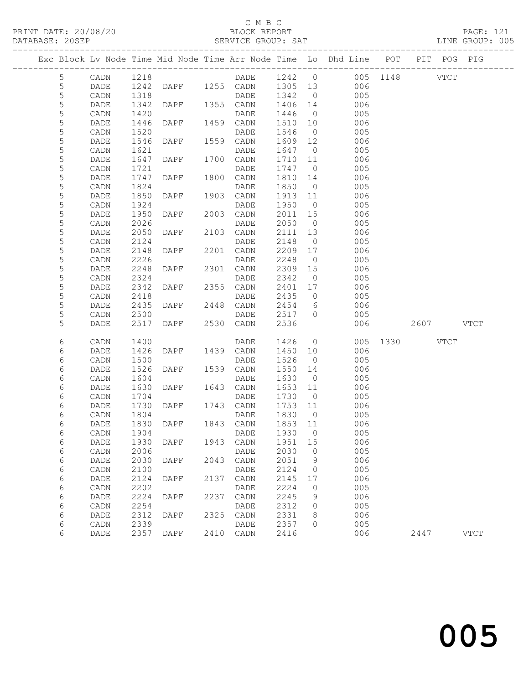### C M B C

| DATABASE: 20SEP |             |             |      |                 |      | SERVICE GROUP: SAT     |         |                          |                                                                                |               |      | LINE GROUP: 005 |  |
|-----------------|-------------|-------------|------|-----------------|------|------------------------|---------|--------------------------|--------------------------------------------------------------------------------|---------------|------|-----------------|--|
|                 |             |             |      |                 |      |                        |         |                          | Exc Block Lv Node Time Mid Node Time Arr Node Time Lo Dhd Line POT PIT POG PIG |               |      |                 |  |
|                 | 5           | CADN        | 1218 |                 |      |                        |         |                          | DADE 1242 0 005 1148 VTCT                                                      |               |      |                 |  |
|                 | 5           | DADE        | 1242 |                 |      | DAPF 1255 CADN 1305 13 |         |                          | 006                                                                            |               |      |                 |  |
|                 | 5           | CADN        | 1318 |                 |      | DADE                   | 1342 0  |                          | 005                                                                            |               |      |                 |  |
|                 | $\mathsf S$ | DADE        | 1342 | DAPF 1355 CADN  |      |                        | 1406 14 |                          | 006                                                                            |               |      |                 |  |
|                 | 5           | CADN        | 1420 |                 |      | DADE                   | 1446    | $\overline{0}$           | 005                                                                            |               |      |                 |  |
|                 | 5           | DADE        | 1446 | DAPF            |      | 1459 CADN              | 1510    | 10                       | 006                                                                            |               |      |                 |  |
|                 | 5           | CADN        | 1520 |                 |      | DADE                   | 1546    | $\overline{0}$           | 005                                                                            |               |      |                 |  |
|                 | 5           | DADE        | 1546 | DAPF            |      | 1559 CADN              | 1609 12 |                          | 006                                                                            |               |      |                 |  |
|                 | 5           | CADN        | 1621 |                 |      | DADE                   | 1647    | $\overline{0}$           | 005                                                                            |               |      |                 |  |
|                 | 5           | DADE        | 1647 | DAPF            |      | 1700 CADN              | 1710 11 |                          | 006                                                                            |               |      |                 |  |
|                 | 5           | CADN        | 1721 |                 |      | DADE                   | 1747    | $\overline{0}$           | 005                                                                            |               |      |                 |  |
|                 | 5           | DADE        | 1747 | DAPF            |      | 1800 CADN              | 1810 14 |                          | 006                                                                            |               |      |                 |  |
|                 | 5           | CADN        | 1824 |                 |      | DADE                   | 1850    | $\overline{0}$           | 005                                                                            |               |      |                 |  |
|                 | 5           | DADE        | 1850 | DAPF            |      | 1903 CADN              | 1913 11 |                          | 006                                                                            |               |      |                 |  |
|                 | 5           | CADN        | 1924 |                 |      | DADE                   | 1950    | $\overline{0}$           | 005                                                                            |               |      |                 |  |
|                 | 5           | DADE        | 1950 | DAPF            |      | 2003 CADN              | 2011    | 15                       | 006                                                                            |               |      |                 |  |
|                 | 5           | CADN        | 2026 |                 |      | DADE                   | 2050    | $\overline{0}$           | 005                                                                            |               |      |                 |  |
|                 | 5           | DADE        | 2050 | DAPF            |      | 2103 CADN              | 2111    | 13                       | 006                                                                            |               |      |                 |  |
|                 | 5           | CADN        | 2124 |                 |      | DADE                   | 2148    | $\overline{0}$           | 005                                                                            |               |      |                 |  |
|                 | 5           | DADE        | 2148 | DAPF            |      | 2201 CADN              | 2209 17 |                          | 006                                                                            |               |      |                 |  |
|                 | 5           | CADN        | 2226 |                 |      | DADE                   | 2248    | $\overline{0}$           | 005                                                                            |               |      |                 |  |
|                 | 5           | DADE        | 2248 | DAPF            |      | 2301 CADN              | 2309    | 15                       | 006                                                                            |               |      |                 |  |
|                 | 5           | CADN        | 2324 |                 |      | DADE                   | 2342    | $\overline{0}$           | 005                                                                            |               |      |                 |  |
|                 | 5           | DADE        | 2342 | DAPF            |      | 2355 CADN              | 2401    | 17                       | 006                                                                            |               |      |                 |  |
|                 | 5           | CADN        | 2418 | <b>DAPF</b>     |      | DADE                   | 2435    | $\overline{0}$           | 005                                                                            |               |      |                 |  |
|                 | 5           | DADE        | 2435 |                 |      | 2448 CADN              | 2454    | 6                        | 006                                                                            |               |      |                 |  |
|                 | 5           | CADN        | 2500 |                 |      | DADE                   | 2517    | $\bigcirc$               | 005                                                                            |               |      |                 |  |
|                 | 5           | DADE        | 2517 | DAPF 2530 CADN  |      |                        | 2536    |                          | 006                                                                            | 2607 VTCT     |      |                 |  |
|                 | 6           | CADN        | 1400 |                 |      | DADE                   | 1426    | $\overline{0}$           |                                                                                | 005 1330 VTCT |      |                 |  |
|                 | 6           | DADE        | 1426 | DAPF 1439 CADN  |      |                        | 1450    | 10                       | 006                                                                            |               |      |                 |  |
|                 | 6           | CADN        | 1500 |                 |      | DADE                   | 1526    | $\overline{0}$           | 005                                                                            |               |      |                 |  |
|                 | 6           | DADE        | 1526 | DAPF            |      | 1539 CADN              | 1550 14 |                          | 006                                                                            |               |      |                 |  |
|                 | 6           | CADN        | 1604 |                 |      | DADE                   | 1630    | $\overline{0}$           | 005                                                                            |               |      |                 |  |
|                 | 6           | DADE        | 1630 | DAPF 1643 CADN  |      |                        | 1653 11 |                          | 006                                                                            |               |      |                 |  |
|                 | 6           | CADN        | 1704 |                 |      | DADE                   | 1730    | $\overline{0}$           | 005                                                                            |               |      |                 |  |
|                 | 6           | DADE        | 1730 | DAPF 1743 CADN  |      |                        | 1753 11 |                          | 006                                                                            |               |      |                 |  |
|                 | 6           | CADN        | 1804 |                 |      | DADE                   | 1830    | $\overline{0}$           | 005                                                                            |               |      |                 |  |
|                 | 6           |             |      |                 |      |                        |         |                          | DADE 1830 DAPF 1843 CADN 1853 11 006                                           |               |      |                 |  |
|                 | 6           | CADN        | 1904 |                 |      | DADE                   | 1930    | $\overline{\phantom{0}}$ | 005                                                                            |               |      |                 |  |
|                 | 6           | DADE        | 1930 | DAPF            | 1943 | CADN                   | 1951    | 15                       | 006                                                                            |               |      |                 |  |
|                 | 6           | CADN        | 2006 |                 |      | DADE                   | 2030    | $\overline{0}$           | 005                                                                            |               |      |                 |  |
|                 | 6           | DADE        | 2030 | $\texttt{DAPF}$ | 2043 | CADN                   | 2051    | 9                        | 006                                                                            |               |      |                 |  |
|                 | 6           | CADN        | 2100 |                 |      | DADE                   | 2124    | 0                        | 005                                                                            |               |      |                 |  |
|                 | 6           | DADE        | 2124 | DAPF            | 2137 | CADN                   | 2145    | 17                       | 006                                                                            |               |      |                 |  |
|                 | 6           | CADN        | 2202 |                 |      | DADE                   | 2224    | 0                        | 005                                                                            |               |      |                 |  |
|                 | 6           | DADE        | 2224 | DAPF            | 2237 | CADN                   | 2245    | 9                        | 006                                                                            |               |      |                 |  |
|                 | 6           | CADN        | 2254 |                 |      | DADE                   | 2312    | 0                        | 005                                                                            |               |      |                 |  |
|                 | 6           | DADE        | 2312 | DAPF            | 2325 | CADN                   | 2331    | 8                        | 006                                                                            |               |      |                 |  |
|                 | 6           | CADN        | 2339 |                 |      | DADE                   | 2357    | $\Omega$                 | 005                                                                            |               |      |                 |  |
|                 | 6           | <b>DADE</b> | 2357 | DAPF            | 2410 | CADN                   | 2416    |                          | 006                                                                            |               | 2447 | <b>VTCT</b>     |  |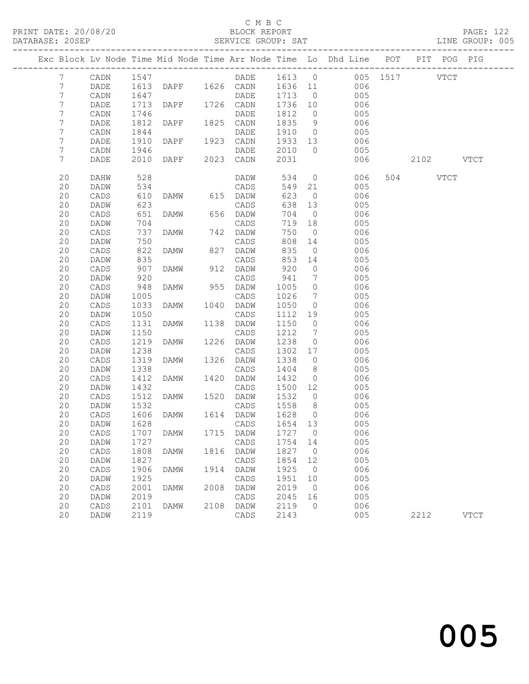### C M B C<br>BLOCK REPORT

|  |                  |                 |              |                                 |      |                   |                 |                              | Exc Block Lv Node Time Mid Node Time Arr Node Time Lo Dhd Line POT PIT POG PIG |           |             |
|--|------------------|-----------------|--------------|---------------------------------|------|-------------------|-----------------|------------------------------|--------------------------------------------------------------------------------|-----------|-------------|
|  | $7\phantom{.0}$  | CADN            | 1547         |                                 |      |                   |                 |                              | DADE 1613 0 005 1517 VTCT                                                      |           |             |
|  | $7\phantom{.0}$  | DADE            |              |                                 |      |                   |                 |                              | 1613 DAPF 1626 CADN 1636 11 006                                                |           |             |
|  | $7\phantom{.}$   | CADN            | 1647         |                                 |      | DADE              | 1713            | $\overline{0}$               | 005                                                                            |           |             |
|  | $\boldsymbol{7}$ | DADE            | 1713         | DAPF 1726 CADN                  |      |                   | 1736 10         |                              | 006                                                                            |           |             |
|  | $\boldsymbol{7}$ | CADN            | 1746         |                                 |      | DADE              | 1812            | $\overline{0}$               | 005                                                                            |           |             |
|  | 7                | DADE            | 1812         | DAPF 1825 CADN                  |      |                   | 1835            | 9                            | 006                                                                            |           |             |
|  | 7                | CADN            | 1844         |                                 |      | DADE              |                 |                              | 1910 0<br>005                                                                  |           |             |
|  | $\boldsymbol{7}$ | DADE            | 1910         | DAPF 1923 CADN                  |      |                   | 1933 13         |                              | 006                                                                            |           |             |
|  | $\boldsymbol{7}$ | CADN            |              | 1946<br>2010 DAPF 2023          |      | <b>DADE</b>       | 2010<br>2031    | $\overline{0}$               | 005                                                                            |           |             |
|  | $7\phantom{.}$   | DADE            |              |                                 |      | 2023 CADN         |                 |                              | 006                                                                            | 2102 VTCT |             |
|  | 20               | DAHW            | 528          |                                 |      | DADW              | 534             |                              | $\overline{0}$<br>006                                                          | 504 VTCT  |             |
|  | 20               | DADW            | 534<br>610   |                                 |      | CADS              | 549 21          |                              | 005                                                                            |           |             |
|  | 20               | CADS            |              | DAMW 615 DADW                   |      |                   | 623             | $\overline{0}$               | 006                                                                            |           |             |
|  | 20               | DADW            | 623          |                                 |      | CADS              | 638             | 13                           | 005                                                                            |           |             |
|  | 20               | CADS            | 651          | DAMW                            |      | 656 DADW          | 704             | $\overline{0}$               | 006                                                                            |           |             |
|  | 20               | DADW            | 704          |                                 |      | CADS              | 719 18          |                              | 005                                                                            |           |             |
|  | 20               | CADS            | 737          | <b>DAMW</b>                     |      | 742 DADW          | 750             | $\overline{0}$               | 006                                                                            |           |             |
|  | 20               | DADW            | 750          |                                 |      | CADS              | 808             | 14                           | 005                                                                            |           |             |
|  | 20               | CADS            | 822          | DAMW                            |      | 827 DADW          | 835             | $\overline{0}$               | 006                                                                            |           |             |
|  | 20               | DADW            | 835<br>907   |                                 |      | CADS              | 853             | 14                           | 005                                                                            |           |             |
|  | 20               | $\mathtt{CADS}$ |              | DAMW                            |      | 912 DADW          | 920             | $\overline{0}$               | 006                                                                            |           |             |
|  | 20               | DADW            | 920          |                                 |      | CADS              | 941             | $\overline{7}$               | 005                                                                            |           |             |
|  | 20               | CADS            | 948          | DAMW                            |      | 955 DADW          | 1005            | $\overline{0}$               | 006                                                                            |           |             |
|  | 20               | DADW            | 1005         |                                 |      | CADS              | 1026            | $7\phantom{.0}\phantom{.0}7$ | 005                                                                            |           |             |
|  | 20               | CADS            | 1033         | DAMW                            |      | 1040 DADW         | 1050            | $\overline{0}$               | 006                                                                            |           |             |
|  | 20               | DADW            | 1050         |                                 |      | CADS              | 1112 19         |                              | 005                                                                            |           |             |
|  | 20               | CADS            | 1131         | DAMW                            |      | 1138 DADW         | 1150            | $\overline{0}$               | 006                                                                            |           |             |
|  | 20               | DADW            | 1150<br>1219 |                                 |      | CADS<br>1226 DADW | 1212            | $\overline{7}$               | 005                                                                            |           |             |
|  | 20<br>20         | CADS            | 1238         | DAMW                            |      |                   | 1238<br>1302 17 | $\overline{0}$               | 006<br>005                                                                     |           |             |
|  | 20               | DADW<br>CADS    | 1319         | DAMW                            |      | CADS<br>1326 DADW | 1338            | $\overline{0}$               | 006                                                                            |           |             |
|  | 20               | DADW            | 1338         |                                 |      | CADS              | 1404            | 8 <sup>8</sup>               | 005                                                                            |           |             |
|  | 20               | CADS            | 1412         | DAMW                            |      | 1420 DADW         | 1432            | $\overline{0}$               | 006                                                                            |           |             |
|  | 20               | DADW            | 1432         |                                 |      | CADS              | 1500 12         |                              | 005                                                                            |           |             |
|  | 20               | CADS            | 1512         | DAMW                            |      | 1520 DADW         | 1532            | $\overline{0}$               | 006                                                                            |           |             |
|  | 20               | DADW            | 1532         |                                 |      | CADS              | 1558            | 8 <sup>8</sup>               | 005                                                                            |           |             |
|  | 20               | CADS            | 1606         | DAMW                            |      | 1614 DADW         | 1628            | $\overline{0}$               | 006                                                                            |           |             |
|  | 20               | DADW            | 1628         |                                 |      | CADS              | 1654 13         |                              | 005                                                                            |           |             |
|  | 20               |                 |              | CADS 1707 DAMW 1715 DADW 1727 0 |      |                   |                 |                              | 006                                                                            |           |             |
|  | 20               | DADW            | 1727         |                                 |      | CADS              | 1754            | 14                           | 005                                                                            |           |             |
|  | 20               | CADS            | 1808         | DAMW                            | 1816 | DADW              | 1827            | $\overline{0}$               | 006                                                                            |           |             |
|  | 20               | DADW            | 1827         |                                 |      | CADS              | 1854            | 12                           | 005                                                                            |           |             |
|  | 20               | CADS            | 1906         | DAMW                            | 1914 | DADW              | 1925            | $\overline{0}$               | 006                                                                            |           |             |
|  | 20               | DADW            | 1925         |                                 |      | CADS              | 1951            | 10                           | 005                                                                            |           |             |
|  | 20               | CADS            | 2001         | DAMW                            | 2008 | DADW              | 2019            | $\overline{0}$               | 006                                                                            |           |             |
|  | 20               | DADW            | 2019         |                                 |      | CADS              | 2045            | 16                           | 005                                                                            |           |             |
|  | 20               | CADS            | 2101         | DAMW                            | 2108 | DADW              | 2119            | $\circ$                      | 006                                                                            |           |             |
|  | 20               | DADW            | 2119         |                                 |      | CADS              | 2143            |                              | 005                                                                            | 2212      | <b>VTCT</b> |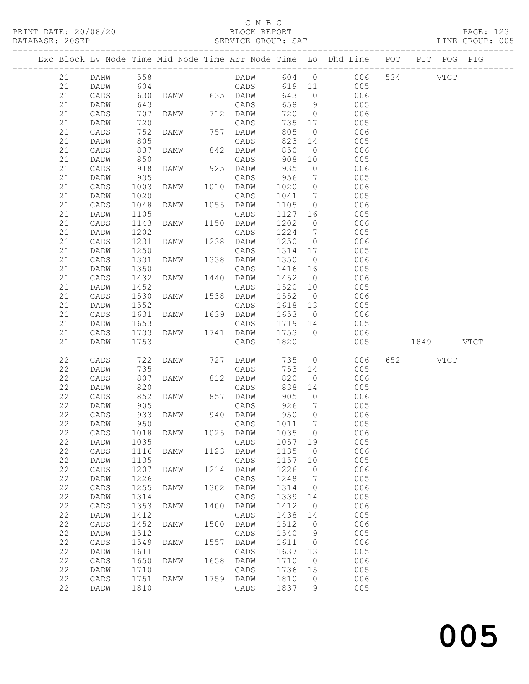### C M B C<br>BLOCK REPORT

SERVICE GROUP: SAT

PRINT DATE: 20/08/20 BLOCK REPORT PAGE: 123

|          |                 |                                                      |             |      |                   |              |                                  | Exc Block Lv Node Time Mid Node Time Arr Node Time Lo Dhd Line POT |           | PIT POG PIG |  |
|----------|-----------------|------------------------------------------------------|-------------|------|-------------------|--------------|----------------------------------|--------------------------------------------------------------------|-----------|-------------|--|
| 21       | DAHW            | 558<br>604                                           |             |      |                   |              |                                  | DADW 604 0 006 534 VTCT<br>CADS 619 11 005                         |           |             |  |
| 21       | DADW            |                                                      |             |      |                   |              |                                  |                                                                    |           |             |  |
| 21       | CADS            | 630                                                  |             |      | DAMW 635 DADW     | 643          | $\overline{0}$                   | 006                                                                |           |             |  |
| 21       | DADW            | 643                                                  |             |      | CADS              | 658          | 9                                | 005                                                                |           |             |  |
| 21       | CADS            | 707                                                  | DAMW        |      | 712 DADW          | 720          | $\overline{0}$                   | 006                                                                |           |             |  |
| 21       | DADW            | 720                                                  |             |      | CADS              | 735          | 17                               | 005                                                                |           |             |  |
| 21       | CADS            | 752                                                  | DAMW        |      | 757 DADW          | 805          | $\overline{0}$                   | 006                                                                |           |             |  |
| 21       | DADW            | 805                                                  |             |      | CADS              | 823          | 14                               | 005                                                                |           |             |  |
| 21       | CADS            | $837$<br>$850$                                       | DAMW        |      | 842 DADW          | 850          | $\overline{0}$                   | 006                                                                |           |             |  |
| 21       | DADW            |                                                      |             |      | CADS              | 908          | 10                               | 005                                                                |           |             |  |
| 21       | CADS            | 918                                                  | DAMW        |      | 925 DADW          | 935          | $\overline{0}$                   | 006                                                                |           |             |  |
| 21       | DADW            | 935                                                  |             |      | CADS              | 956          | $\overline{7}$                   | 005                                                                |           |             |  |
| 21       | CADS            | 1003                                                 | DAMW        |      | 1010 DADW         | 1020         | $\overline{0}$                   | 006                                                                |           |             |  |
| 21       | DADW            | 1020                                                 |             |      | CADS<br>1055 DADW | 1041         | $7\overline{ }$                  | 005                                                                |           |             |  |
| 21<br>21 | CADS            | 1048<br>1105                                         | DAMW        |      | CADS              | 1105<br>1127 | $\overline{0}$                   | 006<br>005                                                         |           |             |  |
| 21       | DADW<br>CADS    | 1143                                                 | DAMW        | 1150 | DADW              | 1202         | 16<br>$\overline{0}$             | 006                                                                |           |             |  |
| 21       | DADW            | 1202                                                 |             |      | CADS              | 1224         | $\overline{7}$                   | 005                                                                |           |             |  |
| 21       | CADS            | 1231                                                 | DAMW        |      | 1238 DADW         | 1250         | $\overline{0}$                   | 006                                                                |           |             |  |
| 21       | DADW            | 1250                                                 |             |      | CADS              | 1314 17      |                                  | 005                                                                |           |             |  |
| 21       | CADS            | 1331                                                 | DAMW        | 1338 | DADW              | 1350         | $\overline{0}$                   | 006                                                                |           |             |  |
| 21       | DADW            | 1350                                                 |             |      | CADS              | 1416 16      |                                  | 005                                                                |           |             |  |
| 21       | $\mathtt{CADS}$ | 1432                                                 | DAMW        |      | 1440 DADW         | 1452         | $\overline{0}$                   | 006                                                                |           |             |  |
| 21       | DADW            | 1452                                                 |             |      | CADS              | 1520 10      |                                  | 005                                                                |           |             |  |
| 21       | CADS            | 1530                                                 | DAMW        | 1538 | DADW              | 1552         | $\overline{0}$                   | 006                                                                |           |             |  |
| 21       | DADW            | 1552                                                 |             |      | CADS              | 1618 13      |                                  | 005                                                                |           |             |  |
| 21       | CADS            | 1631                                                 | DAMW        |      | 1639 DADW         | 1653 0       |                                  | 006                                                                |           |             |  |
| 21       | DADW            | 1653                                                 |             |      | CADS              | 1719 14      |                                  | 005                                                                |           |             |  |
| 21       | CADS            | 1733                                                 | DAMW        |      | 1741 DADW         | 1753         | $\overline{0}$                   | 006                                                                |           |             |  |
| 21       | DADW            | 1753                                                 |             |      | CADS              | 1820         |                                  | 005                                                                | 1849 VTCT |             |  |
|          |                 |                                                      |             |      |                   |              |                                  |                                                                    |           |             |  |
| 22       | CADS            | 722                                                  | DAMW        |      | 727 DADW          | 735          |                                  | $\overline{0}$<br>006                                              | 652 VTCT  |             |  |
| 22       | DADW            | 735                                                  |             |      | CADS              | 753          | 14                               | 005                                                                |           |             |  |
| 22       | CADS            | 807                                                  | DAMW        |      | 812 DADW          | 820          | $\overline{0}$                   | 006                                                                |           |             |  |
| 22<br>22 | DADW            | $\begin{array}{c} 0 \\ 820 \\ -2 \end{array}$<br>852 |             |      | CADS<br>857 DADW  | 838          | 14                               | 005                                                                |           |             |  |
| 22       | CADS<br>DADW    | 905                                                  | DAMW        |      | CADS              | 905<br>926   | $\overline{0}$<br>$\overline{7}$ | 006<br>005                                                         |           |             |  |
| 22       | CADS            |                                                      | <b>DAMW</b> |      | 940 DADW          | 950          | $\overline{0}$                   | 006                                                                |           |             |  |
| 22       | DADW            | 933<br>950                                           |             |      | CADS              | 1011         | $7\phantom{.0}\phantom{.0}7$     | 005                                                                |           |             |  |
| 22       | CADS 1018 DAMW  |                                                      |             |      | 1025 DADW 1035 0  |              |                                  | 006                                                                |           |             |  |
| 22       | DADW            | 1035                                                 |             |      | CADS              | 1057         | 19                               | 005                                                                |           |             |  |
| 22       | CADS            | 1116                                                 | DAMW        | 1123 | DADW              | 1135         | $\overline{0}$                   | 006                                                                |           |             |  |
| 22       | DADW            | 1135                                                 |             |      | CADS              | 1157         | 10                               | 005                                                                |           |             |  |
| 22       | CADS            | 1207                                                 | DAMW        | 1214 | DADW              | 1226         | $\circ$                          | 006                                                                |           |             |  |
| 22       | DADW            | 1226                                                 |             |      | CADS              | 1248         | $7\phantom{.0}$                  | 005                                                                |           |             |  |
| 22       | CADS            | 1255                                                 | DAMW        | 1302 | DADW              | 1314         | $\overline{0}$                   | 006                                                                |           |             |  |
| 22       | DADW            | 1314                                                 |             |      | CADS              | 1339         | 14                               | 005                                                                |           |             |  |
| 22       | $\mathtt{CADS}$ | 1353                                                 | DAMW        | 1400 | DADW              | 1412         | $\overline{0}$                   | 006                                                                |           |             |  |
| 22       | <b>DADW</b>     | 1412                                                 |             |      | CADS              | 1438         | 14                               | 005                                                                |           |             |  |
| 22       | CADS            | 1452                                                 | <b>DAMW</b> | 1500 | DADW              | 1512         | 0                                | 006                                                                |           |             |  |
| 22       | DADW            | 1512                                                 |             |      | CADS              | 1540         | 9                                | 005                                                                |           |             |  |
| 22       | $\mathtt{CADS}$ | 1549                                                 | DAMW        | 1557 | DADW              | 1611         | $\overline{0}$                   | 006                                                                |           |             |  |
| 22       | DADW            | 1611                                                 |             |      | CADS              | 1637         | 13                               | 005                                                                |           |             |  |
| 22       | $\mathtt{CADS}$ | 1650                                                 | <b>DAMW</b> | 1658 | DADW              | 1710         | $\overline{0}$                   | 006                                                                |           |             |  |
| 22       | DADW            | 1710                                                 |             |      | CADS              | 1736         | 15                               | 005                                                                |           |             |  |
| 22       | CADS            | 1751                                                 | DAMW        |      | 1759 DADW         | 1810         | $\circ$                          | 006                                                                |           |             |  |
| 22       | DADW            | 1810                                                 |             |      | CADS              | 1837         | 9                                | 005                                                                |           |             |  |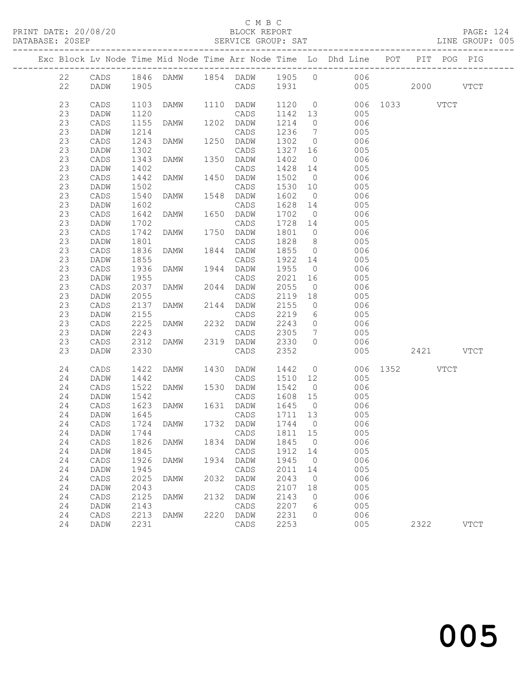### C M B C<br>BLOCK REPORT

#### SERVICE GROUP: SAT

|  |          |                 |              |                |      |                   |              |                      | Exc Block Lv Node Time Mid Node Time Arr Node Time Lo Dhd Line POT PIT POG PIG |               |           |               |
|--|----------|-----------------|--------------|----------------|------|-------------------|--------------|----------------------|--------------------------------------------------------------------------------|---------------|-----------|---------------|
|  | 22       | CADS            |              |                |      |                   |              |                      | 1846 DAMW 1854 DADW 1905 0 006                                                 |               |           |               |
|  | 22       | DADW            | 1905         |                |      |                   |              |                      | CADS 1931 005                                                                  |               | 2000 VTCT |               |
|  |          |                 |              |                |      |                   |              |                      |                                                                                |               |           |               |
|  | 23       | CADS            | 1103         | DAMW 1110 DADW |      |                   | 1120         |                      | $\overline{0}$                                                                 | 006 1033 VTCT |           |               |
|  | 23       | DADW            | 1120         |                |      | CADS              | 1142 13      |                      | 005                                                                            |               |           |               |
|  | 23       | CADS            | 1155         | <b>DAMW</b>    |      | 1202 DADW         | 1214         | $\circ$              | 006                                                                            |               |           |               |
|  | 23       | DADW            | 1214         |                |      | CADS              | 1236         | $\overline{7}$       | 005                                                                            |               |           |               |
|  | 23       | CADS            | 1243         | DAMW           | 1250 | DADW              | 1302         | $\overline{0}$       | 006                                                                            |               |           |               |
|  | 23       | DADW            | 1302         |                |      | CADS              | 1327         | 16                   | 005                                                                            |               |           |               |
|  | 23       | CADS            | 1343         | DAMW           | 1350 | DADW              | 1402         | $\overline{0}$       | 006                                                                            |               |           |               |
|  | 23       | DADW            | 1402         |                |      | CADS              | 1428         | 14                   | 005                                                                            |               |           |               |
|  | 23       | CADS            | 1442         | DAMW           | 1450 | DADW              | 1502         | $\overline{0}$       | 006                                                                            |               |           |               |
|  | 23<br>23 | DADW            | 1502         |                | 1548 | CADS              | 1530         | 10<br>$\overline{0}$ | 005<br>006                                                                     |               |           |               |
|  | 23       | CADS            | 1540<br>1602 | DAMW           |      | DADW              | 1602<br>1628 | 14                   |                                                                                |               |           |               |
|  | 23       | DADW<br>CADS    | 1642         | DAMW           |      | CADS<br>1650 DADW | 1702         | $\overline{0}$       | 005<br>006                                                                     |               |           |               |
|  | 23       | DADW            | 1702         |                |      | CADS              | 1728         | 14                   | 005                                                                            |               |           |               |
|  | 23       | CADS            | 1742         | DAMW           | 1750 | DADW              | 1801         | $\overline{0}$       | 006                                                                            |               |           |               |
|  | 23       | DADW            | 1801         |                |      | CADS              | 1828         | 8 <sup>8</sup>       | 005                                                                            |               |           |               |
|  | 23       | CADS            | 1836         | DAMW           |      | 1844 DADW         | 1855         | $\overline{0}$       | 006                                                                            |               |           |               |
|  | 23       | DADW            | 1855         |                |      | CADS              | 1922         | 14                   | 005                                                                            |               |           |               |
|  | 23       | CADS            | 1936         | DAMW           |      | 1944 DADW         | 1955         | $\overline{0}$       | 006                                                                            |               |           |               |
|  | 23       | DADW            | 1955         |                |      | CADS              | 2021         | 16                   | 005                                                                            |               |           |               |
|  | 23       | CADS            | 2037         | DAMW           |      | 2044 DADW         | 2055         | $\overline{0}$       | 006                                                                            |               |           |               |
|  | 23       | DADW            | 2055         |                |      | CADS              | 2119         | 18                   | 005                                                                            |               |           |               |
|  | 23       | CADS            | 2137         | DAMW           |      | 2144 DADW         | 2155         | $\overline{0}$       | 006                                                                            |               |           |               |
|  | 23       | DADW            | 2155         |                |      | CADS              | 2219         | 6                    | 005                                                                            |               |           |               |
|  | 23       | CADS            | 2225         | DAMW           |      | 2232 DADW         | 2243         | $\overline{0}$       | 006                                                                            |               |           |               |
|  | 23       | DADW            | 2243         |                |      | CADS              | 2305         | $7\overline{ }$      | 005                                                                            |               |           |               |
|  | 23       | CADS            | 2312         | DAMW           |      | 2319 DADW         | 2330         | $\circ$              | 006                                                                            |               |           |               |
|  | 23       | DADW            | 2330         |                |      | CADS              | 2352         |                      | 005                                                                            |               | 2421 VTCT |               |
|  | 24       | CADS            | 1422         | DAMW           | 1430 | DADW              | 1442         |                      | $\overline{0}$                                                                 | 006 1352 VTCT |           |               |
|  | 24       | <b>DADW</b>     | 1442         |                |      | CADS              | 1510         | 12                   | 005                                                                            |               |           |               |
|  | 24       | CADS            | 1522         | DAMW           | 1530 | DADW              | 1542         | $\overline{0}$       | 006                                                                            |               |           |               |
|  | 24       | DADW            | 1542         |                |      | CADS              | 1608         | 15                   | 005                                                                            |               |           |               |
|  | 24       | CADS            | 1623         | DAMW           |      | 1631 DADW         | 1645         | $\overline{0}$       | 006                                                                            |               |           |               |
|  | 24       | DADW            | 1645         |                |      | CADS              | 1711 13      |                      | 005                                                                            |               |           |               |
|  | 24       | CADS            | 1724         | DAMW           |      | 1732 DADW         | 1744 0       |                      | 006                                                                            |               |           |               |
|  | 24       | <b>DADW</b>     | 1744         |                |      | CADS 1811 15      |              |                      | 005                                                                            |               |           |               |
|  | 24       | $\mathtt{CADS}$ | 1826         | DAMW           | 1834 | DADW              | 1845         | $\circ$              | 006                                                                            |               |           |               |
|  | 24       | DADW            | 1845         |                |      | $\mathtt{CADS}$   | 1912         | 14                   | 005                                                                            |               |           |               |
|  | 24       | CADS            | 1926         | <b>DAMW</b>    | 1934 | DADW              | 1945         | $\circ$              | 006                                                                            |               |           |               |
|  | 24       | DADW            | 1945         |                |      | CADS              | 2011         | 14                   | 005                                                                            |               |           |               |
|  | 24       | $\mathtt{CADS}$ | 2025         | DAMW           | 2032 | DADW              | 2043         | $\circ$              | 006                                                                            |               |           |               |
|  | 24<br>24 | DADW            | 2043<br>2125 |                | 2132 | CADS              | 2107<br>2143 | 18                   | 005<br>006                                                                     |               |           |               |
|  | 24       | CADS<br>DADW    | 2143         | DAMW           |      | DADW<br>CADS      | 2207         | 0<br>6               | 005                                                                            |               |           |               |
|  | 24       | $\mathtt{CADS}$ | 2213         | DAMW           | 2220 | DADW              | 2231         | 0                    | 006                                                                            |               |           |               |
|  | 24       | DADW            | 2231         |                |      | $\mathtt{CADS}$   | 2253         |                      | 005                                                                            |               | 2322      | $_{\rm VTCT}$ |
|  |          |                 |              |                |      |                   |              |                      |                                                                                |               |           |               |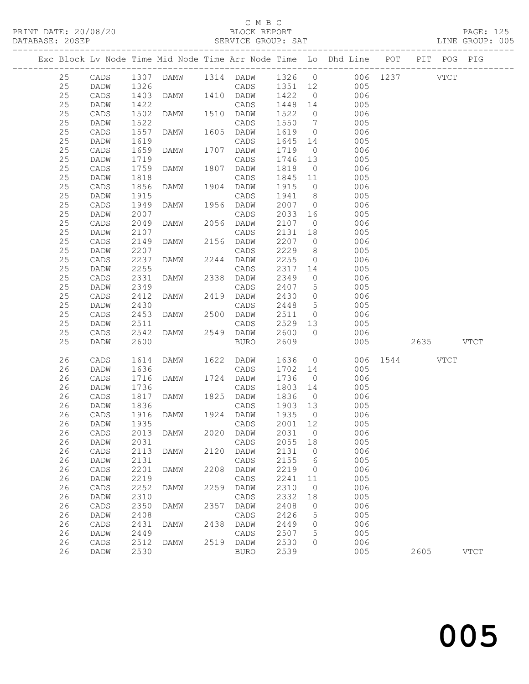### C M B C<br>BLOCK REPORT

|  |          |                 |              |             |      |                  |              |                 | Exc Block Lv Node Time Mid Node Time Arr Node Time Lo Dhd Line POT |           |           | PIT POG PIG   |
|--|----------|-----------------|--------------|-------------|------|------------------|--------------|-----------------|--------------------------------------------------------------------|-----------|-----------|---------------|
|  | 25       | CADS            |              |             |      |                  |              |                 | 1307 DAMW 1314 DADW 1326 0 006 1237 VTCT                           |           |           |               |
|  | 25       | DADW            | 1326         |             |      |                  |              |                 | CADS 1351 12 005                                                   |           |           |               |
|  | 25       | CADS            | 1403         | <b>DAMW</b> |      | 1410 DADW 1422   |              | $\overline{0}$  | 006                                                                |           |           |               |
|  | 25       | DADW            | 1422         |             |      | CADS             | 1448 14      |                 | 005                                                                |           |           |               |
|  | 25       | CADS            | 1502         | DAMW        |      | 1510 DADW        | 1522         | $\overline{0}$  | 006                                                                |           |           |               |
|  | 25       | DADW            | 1522         |             |      | CADS             | 1550         | $\overline{7}$  | 005                                                                |           |           |               |
|  | 25       | CADS            | 1557         | DAMW        |      | 1605 DADW        | 1619         | $\overline{0}$  | 006                                                                |           |           |               |
|  | 25       | DADW            | 1619         |             |      | CADS             | 1645         | 14              | 005                                                                |           |           |               |
|  | 25       | CADS            | 1659         | DAMW        |      | 1707 DADW        | 1719         | $\overline{0}$  | 006                                                                |           |           |               |
|  | 25       | DADW            | 1719         |             |      | CADS             | 1746 13      |                 | 005                                                                |           |           |               |
|  | 25       | CADS            | 1759         | DAMW        |      | 1807 DADW        | 1818         | $\overline{0}$  | 006                                                                |           |           |               |
|  | 25       | DADW            | 1818         |             |      | CADS             | 1845 11      |                 | 005                                                                |           |           |               |
|  | 25       | CADS            | 1856         | DAMW        |      | 1904 DADW        | 1915         | $\overline{0}$  | 006                                                                |           |           |               |
|  | 25       | DADW            | 1915         |             |      | CADS             | 1941         | 8 <sup>8</sup>  | 005                                                                |           |           |               |
|  | 25       | CADS            | 1949         | DAMW        |      | 1956 DADW        | 2007         | $\overline{0}$  | 006                                                                |           |           |               |
|  | 25       | DADW            | 2007         |             |      | CADS             | 2033         | 16              | 005                                                                |           |           |               |
|  | 25       | CADS            | 2049         | DAMW        |      | 2056 DADW        | 2107 0       |                 | 006                                                                |           |           |               |
|  | 25       | DADW            | 2107         |             |      | CADS             | 2131         | 18              | 005                                                                |           |           |               |
|  | 25       | CADS            | 2149         | DAMW        |      | 2156 DADW        | 2207 0       |                 | 006                                                                |           |           |               |
|  | 25       | DADW            | 2207         |             |      | CADS             | 2229         | 8 <sup>8</sup>  | 005                                                                |           |           |               |
|  | 25       | $\mathtt{CADS}$ | 2237         | DAMW        |      | 2244 DADW        | 2255         | $\overline{0}$  | 006                                                                |           |           |               |
|  | 25       | DADW            | 2255         |             |      | CADS             | 2317 14      |                 | 005                                                                |           |           |               |
|  | 25       | CADS            | 2331         | DAMW        |      | 2338 DADW        | 2349         | $\overline{0}$  | 006                                                                |           |           |               |
|  | 25       | DADW            | 2349         |             |      | CADS             | 2407         | $5\overline{)}$ | 005                                                                |           |           |               |
|  | 25       | CADS            | 2412         | DAMW        |      | 2419 DADW        | 2430         | $\overline{0}$  | 006                                                                |           |           |               |
|  | 25       | DADW            | 2430         |             |      | CADS             | 2448         | $5\overline{)}$ | 005                                                                |           |           |               |
|  | 25       | CADS            | 2453         | DAMW        |      | 2500 DADW        | 2511 0       |                 | 006                                                                |           |           |               |
|  | 25       | DADW            | 2511         |             |      | CADS             | 2529 13      |                 | 005                                                                |           |           |               |
|  | 25       | CADS            | 2542         | DAMW        |      | 2549 DADW        | 2600         | $\bigcirc$      | 006                                                                |           |           |               |
|  | 25       | DADW            | 2600         |             |      | BURO             | 2609         |                 | 005                                                                |           | 2635 VTCT |               |
|  | 26       | CADS            | 1614         | DAMW        |      | 1622 DADW        | 1636         |                 | $\overline{0}$<br>006                                              | 1544 VTCT |           |               |
|  | 26       | DADW            | 1636         |             |      | CADS             | 1702         | 14              | 005                                                                |           |           |               |
|  | 26       | CADS            | 1716         | DAMW        |      | 1724 DADW        | 1736         | $\overline{0}$  | 006                                                                |           |           |               |
|  | 26       | DADW            | 1736         |             |      | CADS             | 1803 14      |                 | 005                                                                |           |           |               |
|  | 26       | CADS            | 1817         | DAMW        |      | 1825 DADW        | 1836         | $\overline{0}$  | 006                                                                |           |           |               |
|  | 26       | DADW            | 1836         |             |      | CADS             | 1903 13      |                 | 005                                                                |           |           |               |
|  | 26       | CADS            | 1916<br>1935 | DAMW        |      | 1924 DADW        | 1935         | $\overline{0}$  | 006                                                                |           |           |               |
|  | 26       | DADW            |              |             |      | CADS             | 2001 12      |                 | 005                                                                |           |           |               |
|  |          |                 |              |             |      | 2020 DADW 2031 0 |              |                 | 006                                                                |           |           |               |
|  | 26       | DADW            | 2031         |             |      | CADS             | 2055         | 18              | 005                                                                |           |           |               |
|  | 26       | CADS            | 2113         | DAMW        | 2120 | DADW             | 2131         | $\overline{0}$  | 006                                                                |           |           |               |
|  | 26       | DADW            | 2131         |             |      | CADS             | 2155         | 6               | 005                                                                |           |           |               |
|  | 26       | $\mathtt{CADS}$ | 2201         | DAMW        | 2208 | DADW             | 2219         | $\overline{0}$  | 006                                                                |           |           |               |
|  | 26       | DADW            | 2219         |             |      | CADS             | 2241         | 11              | 005                                                                |           |           |               |
|  | 26       | CADS            | 2252         | DAMW        | 2259 | DADW             | 2310         | $\overline{0}$  | 006                                                                |           |           |               |
|  | 26       | DADW            | 2310         |             |      | CADS             | 2332         | 18              | 005                                                                |           |           |               |
|  | 26       | CADS            | 2350         | <b>DAMW</b> | 2357 | DADW             | 2408         | $\circ$         | 006                                                                |           |           |               |
|  | 26<br>26 | DADW            | 2408<br>2431 |             | 2438 | CADS             | 2426         | 5               | 005<br>006                                                         |           |           |               |
|  | 26       | CADS<br>DADW    | 2449         | DAMW        |      | DADW<br>CADS     | 2449<br>2507 | 0<br>5          | 005                                                                |           |           |               |
|  | 26       | CADS            | 2512         | DAMW        | 2519 | <b>DADW</b>      | 2530         | 0               | 006                                                                |           |           |               |
|  | 26       | DADW            | 2530         |             |      | <b>BURO</b>      | 2539         |                 | 005                                                                |           | 2605      | $_{\rm VTCT}$ |
|  |          |                 |              |             |      |                  |              |                 |                                                                    |           |           |               |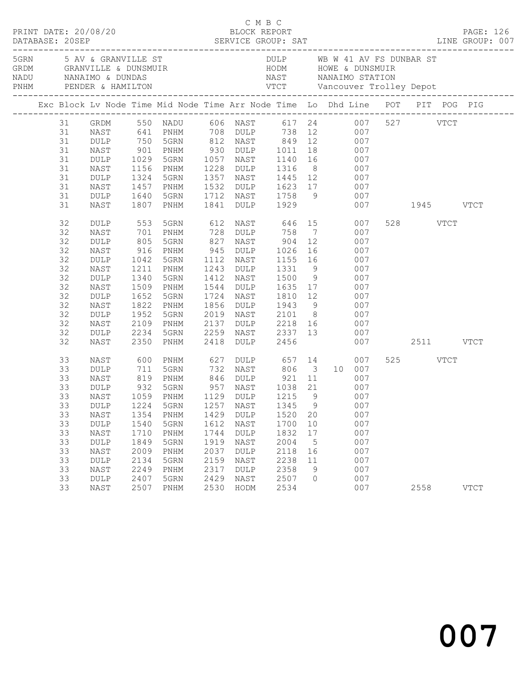| Exc Block Lv Node Time Mid Node Time Arr Node Time Lo Dhd Line POT PIT POG PIG |      |              |                                                                                                                      |            |             |                              |                 |                 |     |               |          |             |
|--------------------------------------------------------------------------------|------|--------------|----------------------------------------------------------------------------------------------------------------------|------------|-------------|------------------------------|-----------------|-----------------|-----|---------------|----------|-------------|
| 31                                                                             |      |              | GRDM 550 NADU 606 NAST 617 24 007 527 VTCT<br>NAST 641 PNHM 708 DULP 738 12 007<br>DULP 750 5GRN 812 NAST 849 12 007 |            |             |                              |                 |                 |     |               |          |             |
| 31                                                                             |      |              |                                                                                                                      |            |             |                              |                 |                 |     |               |          |             |
| 31                                                                             |      |              |                                                                                                                      |            |             |                              |                 |                 |     |               |          |             |
| 31                                                                             | NAST | 901          | PNHM                                                                                                                 |            |             | 930 DULP 1011 18             |                 |                 | 007 |               |          |             |
| 31                                                                             | DULP | 1029         | 5GRN                                                                                                                 |            | 1057 NAST   |                              |                 | 1140 16         | 007 |               |          |             |
| 31                                                                             | NAST |              | PNHM                                                                                                                 |            | 1228 DULP   |                              |                 |                 | 007 |               |          |             |
| 31                                                                             | DULP | 1156<br>1324 | 5GRN                                                                                                                 |            | 1357 NAST   | 1316 8<br>1445 12            |                 |                 | 007 |               |          |             |
| 31                                                                             | NAST | 1457         | PNHM                                                                                                                 |            |             | 1532 DULP 1623 17            |                 |                 | 007 |               |          |             |
| 31                                                                             | DULP | 1640         | 5GRN                                                                                                                 |            | 1712 NAST   |                              |                 | 1758 9          | 007 |               |          |             |
| 31                                                                             | NAST | 1807         | PNHM                                                                                                                 |            | 1841 DULP   | 1929                         |                 |                 |     | 007 1945 VTCT |          |             |
| 32                                                                             | DULP | 553          | 5GRN                                                                                                                 |            |             | 612 NAST 646 15              |                 |                 | 007 |               | 528 VTCT |             |
| 32                                                                             | NAST | 701          | PNHM                                                                                                                 | 728        |             | DULP 758                     |                 | $7\overline{ }$ | 007 |               |          |             |
| 32                                                                             | DULP | 805<br>916   | 5GRN                                                                                                                 |            |             | NAST 904 12<br>DULP 1026 16  |                 |                 | 007 |               |          |             |
| 32                                                                             | NAST |              | PNHM                                                                                                                 | 827<br>945 |             |                              |                 |                 | 007 |               |          |             |
| 32                                                                             | DULP | 1042         | 5GRN                                                                                                                 | 1112       | NAST        | 1155 16                      |                 |                 | 007 |               |          |             |
| 32                                                                             | NAST | 1211         | PNHM                                                                                                                 |            | 1243 DULP   | 1331                         | 9               |                 | 007 |               |          |             |
| 32                                                                             | DULP | 1340         | 5GRN                                                                                                                 |            | 1412 NAST   |                              |                 |                 | 007 |               |          |             |
| 32                                                                             | NAST | 1509         | PNHM                                                                                                                 |            | 1544 DULP   | 1500 9<br>1635 17            |                 |                 | 007 |               |          |             |
| 32                                                                             | DULP | 1652         | 5GRN                                                                                                                 | 1724       | NAST        | 1810 12                      |                 |                 | 007 |               |          |             |
| 32                                                                             | NAST | 1822         | PNHM                                                                                                                 |            |             | 1856 DULP 1943 9             |                 |                 | 007 |               |          |             |
| 32                                                                             | DULP | 1952         | 5GRN                                                                                                                 | 2019       |             | NAST 2101 8<br>DULP 2218 16  |                 |                 | 007 |               |          |             |
| 32                                                                             | NAST | 2109         | PNHM                                                                                                                 | 2137       |             |                              |                 |                 | 007 |               |          |             |
| 32                                                                             | DULP | 2234         | 5GRN                                                                                                                 | 2259       |             | DULP 2218 16<br>NAST 2337 13 |                 |                 | 007 |               |          |             |
| 32                                                                             | NAST | 2350         | PNHM                                                                                                                 | 2418       | <b>DULP</b> | 2456                         |                 |                 |     | 007 2511 VTCT |          |             |
| 33                                                                             | NAST | 600<br>711   | PNHM                                                                                                                 |            |             |                              |                 |                 | 007 |               | 525 VTCT |             |
| 33                                                                             | DULP |              | 5GRN                                                                                                                 |            |             |                              |                 | $3 \t10$        | 007 |               |          |             |
| 33                                                                             | NAST | 819          | PNHM                                                                                                                 |            |             | 846 DULP 921 11              |                 |                 | 007 |               |          |             |
| 33                                                                             | DULP | 932          | 5GRN                                                                                                                 |            |             | 957 NAST 1038 21             |                 |                 | 007 |               |          |             |
| 33                                                                             | NAST | 1059<br>1224 | PNHM                                                                                                                 |            | 1129 DULP   |                              |                 |                 |     |               |          |             |
| 33                                                                             | DULP |              | 5GRN                                                                                                                 |            | $1257$ NAST | 1215 9<br>1345 9             |                 | $007$<br>007    |     |               |          |             |
| 33                                                                             |      |              | NAST 1354 PNHM 1429 DULP 1520 20 007                                                                                 |            |             |                              |                 |                 |     |               |          |             |
| 33                                                                             | DULP | 1540         | 5GRN                                                                                                                 | 1612       | NAST        | 1700                         | 10              |                 | 007 |               |          |             |
| 33                                                                             | NAST | 1710         | PNHM                                                                                                                 | 1744       | <b>DULP</b> | 1832                         | 17              |                 | 007 |               |          |             |
| 33                                                                             | DULP | 1849         | 5GRN                                                                                                                 | 1919       | NAST        | 2004                         | $5\phantom{.0}$ |                 | 007 |               |          |             |
| 33                                                                             | NAST | 2009         | PNHM                                                                                                                 | 2037       | DULP        | 2118                         | 16              |                 | 007 |               |          |             |
| 33                                                                             | DULP | 2134         | 5GRN                                                                                                                 | 2159       | NAST        | 2238                         | 11              |                 | 007 |               |          |             |
| 33                                                                             | NAST | 2249         | PNHM                                                                                                                 | 2317       | <b>DULP</b> | 2358                         | 9               |                 | 007 |               |          |             |
| 33                                                                             | DULP | 2407         | 5GRN                                                                                                                 | 2429       | NAST        | 2507                         | $\circ$         |                 | 007 |               |          |             |
| 33                                                                             | NAST | 2507         | PNHM                                                                                                                 | 2530       | HODM        | 2534                         |                 |                 | 007 |               | 2558     | <b>VTCT</b> |
|                                                                                |      |              |                                                                                                                      |            |             |                              |                 |                 |     |               |          |             |

C M B C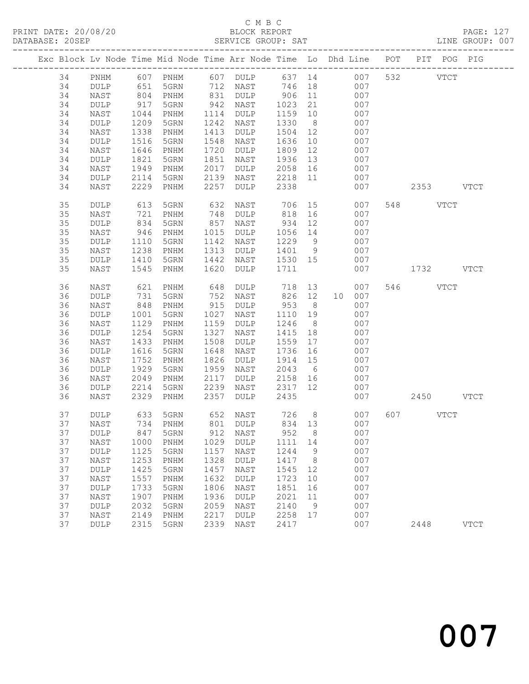| Exc Block Lv Node Time Mid Node Time Arr Node Time Lo Dhd Line POT |             |      |                              |      |             |         |                 |    |     |           | PIT POG PIG |             |
|--------------------------------------------------------------------|-------------|------|------------------------------|------|-------------|---------|-----------------|----|-----|-----------|-------------|-------------|
| 34                                                                 | PNHM        |      |                              |      |             |         |                 |    | 007 | 532 VTCT  |             |             |
| 34                                                                 | DULP        |      |                              |      |             |         |                 |    | 007 |           |             |             |
| 34                                                                 | NAST        | 804  | PNHM                         | 831  | DULP        | 906     | 11              |    | 007 |           |             |             |
| 34                                                                 | DULP        | 917  | 5GRN                         | 942  | NAST        | 1023    | 21              |    | 007 |           |             |             |
| 34                                                                 | NAST        | 1044 | PNHM                         | 1114 | DULP        | 1159    | 10              |    | 007 |           |             |             |
| 34                                                                 | DULP        | 1209 | 5GRN                         | 1242 | NAST        | 1330    | 8 <sup>8</sup>  |    | 007 |           |             |             |
| 34                                                                 | NAST        | 1338 | PNHM                         | 1413 | DULP        | 1504    | 12              |    | 007 |           |             |             |
| 34                                                                 | DULP        | 1516 | 5GRN                         | 1548 | NAST        | 1636    | 10              |    | 007 |           |             |             |
| 34                                                                 | NAST        | 1646 | PNHM                         | 1720 | DULP        | 1809    | 12              |    | 007 |           |             |             |
| 34                                                                 | DULP        | 1821 | 5GRN                         | 1851 | NAST        | 1936    | 13              |    | 007 |           |             |             |
| 34                                                                 | NAST        | 1949 | PNHM                         | 2017 | DULP        | 2058    | 16              |    | 007 |           |             |             |
| 34                                                                 | DULP        | 2114 | 5GRN                         | 2139 | NAST        | 2218    | 11              |    | 007 |           |             |             |
| 34                                                                 | NAST        | 2229 | PNHM                         | 2257 | DULP        | 2338    |                 |    | 007 | 2353 VTCT |             |             |
|                                                                    |             |      |                              |      |             |         |                 |    |     |           |             |             |
| 35                                                                 | DULP        | 613  | 5GRN                         | 632  | NAST        | 706     |                 | 15 | 007 | 548 VTCT  |             |             |
| 35                                                                 | NAST        | 721  | PNHM                         | 748  | DULP        | 818     | 16              |    | 007 |           |             |             |
| 35                                                                 | DULP        | 834  | 5GRN                         | 857  | NAST        | 934     | 12              |    | 007 |           |             |             |
| 35                                                                 | NAST        | 946  | PNHM                         | 1015 | DULP        | 1056    | 14              |    | 007 |           |             |             |
| 35                                                                 | DULP        | 1110 | 5GRN                         | 1142 | NAST        | 1229    | 9               |    | 007 |           |             |             |
| 35                                                                 | NAST        | 1238 | PNHM                         | 1313 | DULP        | 1401    | 9               |    | 007 |           |             |             |
| 35                                                                 | <b>DULP</b> | 1410 | 5GRN                         | 1442 | NAST        | 1530 15 |                 |    | 007 |           |             |             |
| 35                                                                 | NAST        | 1545 | PNHM                         | 1620 | DULP        | 1711    |                 |    | 007 | 1732 VTCT |             |             |
| 36                                                                 | NAST        | 621  | PNHM                         | 648  | DULP        | 718     |                 | 13 | 007 | 546 VTCT  |             |             |
| 36                                                                 | DULP        | 731  | 5GRN                         | 752  | NAST        | 826     | 12              | 10 | 007 |           |             |             |
| 36                                                                 | NAST        | 848  | PNHM                         | 915  | DULP        | 953     | 8               |    | 007 |           |             |             |
| 36                                                                 | DULP        | 1001 | 5GRN                         | 1027 | NAST        | 1110    | 19              |    | 007 |           |             |             |
| 36                                                                 | NAST        | 1129 | PNHM                         | 1159 | DULP        | 1246    | 8 <sup>8</sup>  |    | 007 |           |             |             |
| 36                                                                 | DULP        | 1254 | 5GRN                         | 1327 | NAST        | 1415    | 18              |    | 007 |           |             |             |
| 36                                                                 | NAST        | 1433 | PNHM                         | 1508 | DULP        | 1559    | 17              |    | 007 |           |             |             |
| 36                                                                 | DULP        | 1616 | 5GRN                         | 1648 | NAST        | 1736    | 16              |    | 007 |           |             |             |
| 36                                                                 | NAST        | 1752 | PNHM                         | 1826 | DULP        | 1914    | 15              |    | 007 |           |             |             |
| 36                                                                 | DULP        | 1929 | 5GRN                         | 1959 | NAST        | 2043    | $6\overline{6}$ |    | 007 |           |             |             |
| 36                                                                 | NAST        | 2049 | PNHM                         | 2117 | DULP        | 2158    | 16              |    | 007 |           |             |             |
| 36                                                                 | DULP        | 2214 | 5GRN                         | 2239 | NAST        | 2317    | 12              |    | 007 |           |             |             |
| 36                                                                 | NAST        | 2329 | PNHM                         | 2357 | DULP        | 2435    |                 |    | 007 | 2450 VTCT |             |             |
| 37                                                                 | <b>DULP</b> | 633  | 5GRN                         | 652  | NAST        | 726     | 8 <sup>8</sup>  |    | 007 | 607 VTCT  |             |             |
| 37                                                                 | NAST        | 734  | PNHM                         |      | 801 DULP    | 834 13  |                 |    | 007 |           |             |             |
| 37                                                                 |             |      | DULP 847 5GRN 912 NAST 952 8 |      |             |         |                 |    | 007 |           |             |             |
| 37                                                                 | NAST        | 1000 | PNHM                         | 1029 | DULP        | 1111    | 14              |    | 007 |           |             |             |
| 37                                                                 | DULP        | 1125 | 5GRN                         | 1157 | NAST        | 1244    | 9               |    | 007 |           |             |             |
| 37                                                                 | NAST        | 1253 | PNHM                         | 1328 | DULP        | 1417    | 8 <sup>8</sup>  |    | 007 |           |             |             |
| 37                                                                 | DULP        | 1425 | 5GRN                         | 1457 | NAST        | 1545    | 12              |    | 007 |           |             |             |
| 37                                                                 | NAST        | 1557 | PNHM                         | 1632 | DULP        | 1723    | 10              |    | 007 |           |             |             |
| 37                                                                 | DULP        | 1733 | 5GRN                         | 1806 | NAST        | 1851    | 16              |    | 007 |           |             |             |
| 37                                                                 | NAST        | 1907 | PNHM                         | 1936 | DULP        | 2021    | 11              |    | 007 |           |             |             |
| 37                                                                 | DULP        | 2032 | 5GRN                         | 2059 | NAST        | 2140    | 9               |    | 007 |           |             |             |
| 37                                                                 | NAST        | 2149 | PNHM                         | 2217 | <b>DULP</b> | 2258    | 17              |    | 007 |           |             |             |
| 37                                                                 | DULP        | 2315 | 5GRN                         | 2339 | NAST        | 2417    |                 |    | 007 | 2448      |             | <b>VTCT</b> |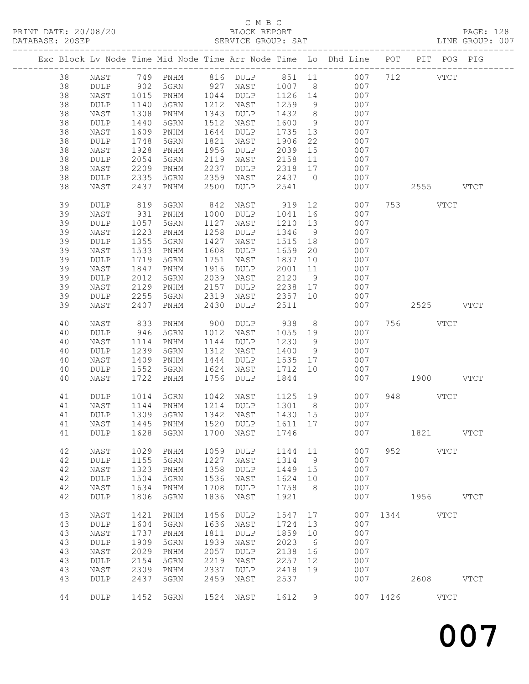## C M B C<br>BLOCK REPORT

| DATABASE: 20SEP |    |                 |      |                   |      | SERVICE GROUP: SAT   |           |                |                                                                                |               | LINE GROUP: 007 |
|-----------------|----|-----------------|------|-------------------|------|----------------------|-----------|----------------|--------------------------------------------------------------------------------|---------------|-----------------|
|                 |    |                 |      |                   |      |                      |           |                | Exc Block Lv Node Time Mid Node Time Arr Node Time Lo Dhd Line POT PIT POG PIG |               |                 |
|                 | 38 |                 |      |                   |      |                      |           |                | NAST 749 PNHM 816 DULP 851 11 007 712 VTCT                                     |               |                 |
|                 | 38 | DULP            | 902  |                   |      | 5GRN 927 NAST 1007 8 |           |                | 007                                                                            |               |                 |
|                 | 38 | NAST            | 1015 |                   |      | PNHM 1044 DULP       |           |                | 1126 14<br>007                                                                 |               |                 |
|                 | 38 | DULP            | 1140 | 5GRN              |      | 1212 NAST            | 1259      | 9              | 007                                                                            |               |                 |
|                 | 38 | NAST            | 1308 | PNHM              | 1343 | DULP                 | 1432      | 8 <sup>8</sup> | 007                                                                            |               |                 |
|                 | 38 | DULP            | 1440 | 5GRN              | 1512 | NAST                 | 1600      | 9              | 007                                                                            |               |                 |
|                 | 38 |                 |      |                   | 1644 |                      | 1735      | 13             | 007                                                                            |               |                 |
|                 |    | NAST            | 1609 | PNHM              |      | DULP                 |           |                |                                                                                |               |                 |
|                 | 38 | DULP            | 1748 | 5GRN              | 1821 | NAST                 | 1906      | 22             | 007                                                                            |               |                 |
|                 | 38 | NAST            | 1928 | PNHM              | 1956 | DULP                 | 2039      | 15             | 007                                                                            |               |                 |
|                 | 38 | DULP            | 2054 | 5GRN              | 2119 | NAST                 | 2158      | 11             | 007                                                                            |               |                 |
|                 | 38 | NAST            | 2209 | PNHM              | 2237 | DULP                 | 2318 17   |                | 007                                                                            |               |                 |
|                 | 38 | DULP            | 2335 | 5GRN              | 2359 | NAST                 | 2437 0    |                | 007                                                                            |               |                 |
|                 | 38 | NAST            | 2437 | PNHM              | 2500 | DULP                 | 2541      |                | 007                                                                            | 2555 VTCT     |                 |
|                 | 39 | DULP            | 819  | 5GRN              | 842  | NAST                 | 919       |                | 12 and $\overline{a}$<br>007                                                   | 753 VTCT      |                 |
|                 | 39 | NAST            | 931  | PNHM              | 1000 | DULP                 | 1041      | 16             | 007                                                                            |               |                 |
|                 | 39 | DULP            | 1057 | 5GRN              | 1127 | NAST                 | 1210      | 13             | 007                                                                            |               |                 |
|                 | 39 | NAST            | 1223 | PNHM              | 1258 | DULP                 | 1346      | 9              | 007                                                                            |               |                 |
|                 | 39 | DULP            | 1355 | 5GRN              | 1427 | NAST                 | 1515      | 18             | 007                                                                            |               |                 |
|                 | 39 | NAST            | 1533 | PNHM              | 1608 | DULP                 | 1659      | 20             | 007                                                                            |               |                 |
|                 | 39 | $\texttt{DULP}$ | 1719 | 5GRN              | 1751 | NAST                 | 1837      | 10             | 007                                                                            |               |                 |
|                 | 39 | NAST            | 1847 | PNHM              | 1916 | DULP                 | 2001      | 11             | 007                                                                            |               |                 |
|                 | 39 | $\texttt{DULP}$ | 2012 | 5GRN              | 2039 | NAST                 | 2120      | 9              | 007                                                                            |               |                 |
|                 | 39 | NAST            | 2129 | PNHM              | 2157 | DULP                 | 2238 17   |                | 007                                                                            |               |                 |
|                 | 39 | DULP            | 2255 | 5GRN              | 2319 | NAST                 | 2357 10   |                | 007                                                                            |               |                 |
|                 | 39 | NAST            | 2407 | PNHM              | 2430 | DULP                 | 2511      |                | 007                                                                            | 2525 VTCT     |                 |
|                 |    |                 |      |                   |      |                      |           |                |                                                                                |               |                 |
|                 | 40 | NAST            | 833  | PNHM              | 900  | DULP                 | 938       | 8 <sup>8</sup> | 007                                                                            | 756 VTCT      |                 |
|                 | 40 | DULP            | 946  | 5GRN              |      | 1012 NAST            | 1055 19   |                | 007                                                                            |               |                 |
|                 | 40 | NAST            | 1114 | PNHM              | 1144 | DULP                 | 1230      | 9              | 007                                                                            |               |                 |
|                 | 40 | $\texttt{DULP}$ | 1239 | 5GRN              | 1312 | NAST                 | 1400      | 9              | 007                                                                            |               |                 |
|                 | 40 | NAST            | 1409 | PNHM              | 1444 | DULP                 | 1535      | 17             | 007                                                                            |               |                 |
|                 | 40 | DULP            | 1552 | 5GRN              | 1624 | NAST                 | 1712 10   |                | 007                                                                            |               |                 |
|                 | 40 | NAST            | 1722 | PNHM              | 1756 | DULP                 | 1844      |                |                                                                                | 007 1900 VTCT |                 |
|                 | 41 | DULP            | 1014 | 5GRN              | 1042 | NAST                 |           |                | 1125 19<br>007                                                                 | 948 VTCT      |                 |
|                 | 41 | NAST            | 1144 | PNHM              |      | 1214 DULP            | 1301 8    |                | 007                                                                            |               |                 |
|                 | 41 | DULP            | 1309 | 5GRN              |      | 1342 NAST            | $1430$ 15 |                | 007                                                                            |               |                 |
|                 |    |                 |      |                   |      |                      |           |                |                                                                                |               |                 |
|                 |    |                 |      |                   |      |                      |           |                | 41 NAST 1445 PNHM 1520 DULP 1611 17 007                                        |               |                 |
|                 | 41 | DULP            | 1628 | 5GRN              | 1700 | NAST                 | 1746      |                | 007                                                                            | 1821 VTCT     |                 |
|                 | 42 | NAST            | 1029 | PNHM              | 1059 | DULP                 | 1144      | 11             | 007                                                                            | 952 VTCT      |                 |
|                 | 42 | DULP            | 1155 | 5GRN              | 1227 | NAST                 | 1314      | 9              | 007                                                                            |               |                 |
|                 | 42 | NAST            | 1323 | PNHM              | 1358 | DULP                 | 1449      | 15             | 007                                                                            |               |                 |
|                 | 42 | DULP            | 1504 | 5GRN              | 1536 | NAST                 | 1624      | 10             | 007                                                                            |               |                 |
|                 | 42 | NAST            | 1634 | PNHM              | 1708 | DULP                 | 1758      | 8              | 007                                                                            |               |                 |
|                 | 42 | <b>DULP</b>     | 1806 | 5GRN              | 1836 | NAST                 | 1921      |                | 007                                                                            | 1956 VTCT     |                 |
|                 | 43 | NAST            | 1421 | PNHM              | 1456 | DULP                 | 1547      | 17             | 007                                                                            | 1344 VTCT     |                 |
|                 | 43 | DULP            | 1604 | 5GRN              | 1636 | NAST                 | 1724      | 13             | 007                                                                            |               |                 |
|                 | 43 | NAST            | 1737 | PNHM              | 1811 | DULP                 | 1859      | 10             | 007                                                                            |               |                 |
|                 | 43 | DULP            | 1909 | 5GRN              | 1939 | NAST                 | 2023      | 6              | 007                                                                            |               |                 |
|                 | 43 | NAST            | 2029 | PNHM              | 2057 | DULP                 | 2138      | 16             | 007                                                                            |               |                 |
|                 | 43 | DULP            | 2154 | 5GRN              | 2219 | NAST                 | 2257      | 12             | 007                                                                            |               |                 |
|                 | 43 | NAST            | 2309 | $\texttt{PNHM}{}$ | 2337 | DULP                 | 2418      | 19             | 007                                                                            |               |                 |
|                 | 43 | <b>DULP</b>     | 2437 | 5GRN              | 2459 | NAST                 | 2537      |                | 007                                                                            | 2608 VTCT     |                 |
|                 |    |                 |      |                   |      |                      |           |                |                                                                                |               |                 |
|                 | 44 | DULP            | 1452 | 5GRN              |      | 1524 NAST            | 1612      | 9              |                                                                                | 007 1426 VTCT |                 |

and 2007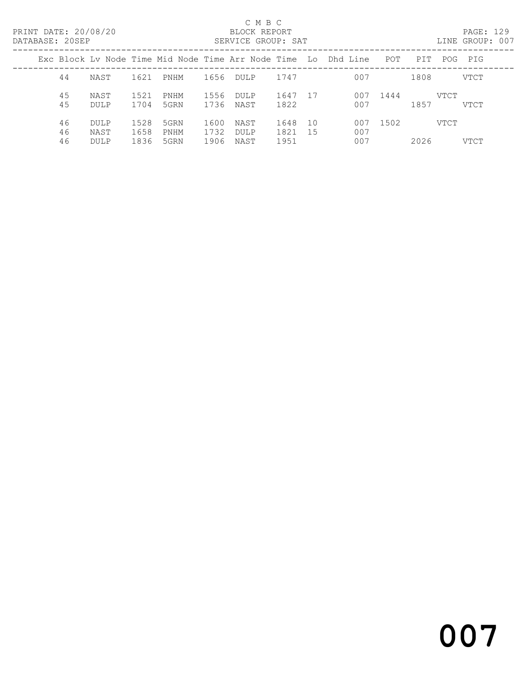## C M B C<br>BLOCK REPORT

PAGE: 129<br>LINE GROUP: 007

|                |                             |                      |                      |                      |                             |                      |           | Exc Block Lv Node Time Mid Node Time Arr Node Time (Lo) Dhd Line | POT  | PIT  |             | POG PIG     |
|----------------|-----------------------------|----------------------|----------------------|----------------------|-----------------------------|----------------------|-----------|------------------------------------------------------------------|------|------|-------------|-------------|
| 44             | NAST                        | 1621                 | PNHM                 | 1656                 | <b>DULP</b>                 | 1747                 |           | 007                                                              |      | 1808 |             | <b>VTCT</b> |
| 45<br>45       | NAST<br>DULP                | 1521<br>1704         | PNHM<br>5GRN         | 1556<br>1736         | <b>DULP</b><br>NAST         | 1647<br>1822         | -17       | 007<br>007                                                       | 1444 | 1857 | <b>VTCT</b> | VTCT        |
| 46<br>46<br>46 | DULP<br>NAST<br><b>DULP</b> | 1528<br>1658<br>1836 | 5GRN<br>PNHM<br>5GRN | 1600<br>1732<br>1906 | NAST<br><b>DULP</b><br>NAST | 1648<br>1821<br>1951 | 10<br>-15 | 007<br>007<br>007                                                | 1502 | 2026 | VTCT        | VTCT        |
|                |                             |                      |                      |                      |                             |                      |           |                                                                  |      |      |             |             |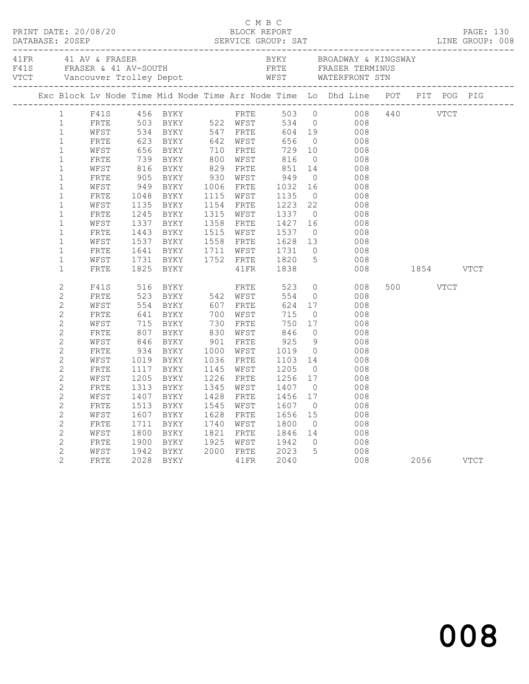|                | 1 F41S 456 BYKY FRTE 503 0 008 440 VTCT<br>1 FRTE 503 0 008 440 VTCT<br>1 FRTE 503 BYKY 522 WFST 534 0 008<br>1 WFST 534 BYKY 547 FRTE 604 19 008<br>1 FRTE 623 BYKY 642 WFST 656 0 008<br>1 FRTE 739 BYKY 710 FRTE 729 10 008<br>1 FRTE 739 BYK |                                                                                                                                                                                                                                                           |           |                                                           |                                                                                                                                                                         |               |          |  |  |
|----------------|--------------------------------------------------------------------------------------------------------------------------------------------------------------------------------------------------------------------------------------------------|-----------------------------------------------------------------------------------------------------------------------------------------------------------------------------------------------------------------------------------------------------------|-----------|-----------------------------------------------------------|-------------------------------------------------------------------------------------------------------------------------------------------------------------------------|---------------|----------|--|--|
|                |                                                                                                                                                                                                                                                  |                                                                                                                                                                                                                                                           |           |                                                           |                                                                                                                                                                         |               |          |  |  |
|                |                                                                                                                                                                                                                                                  |                                                                                                                                                                                                                                                           |           |                                                           |                                                                                                                                                                         |               |          |  |  |
|                |                                                                                                                                                                                                                                                  |                                                                                                                                                                                                                                                           |           |                                                           |                                                                                                                                                                         |               |          |  |  |
|                |                                                                                                                                                                                                                                                  |                                                                                                                                                                                                                                                           |           |                                                           |                                                                                                                                                                         |               |          |  |  |
|                |                                                                                                                                                                                                                                                  |                                                                                                                                                                                                                                                           |           |                                                           |                                                                                                                                                                         |               |          |  |  |
|                |                                                                                                                                                                                                                                                  |                                                                                                                                                                                                                                                           |           |                                                           |                                                                                                                                                                         |               |          |  |  |
|                |                                                                                                                                                                                                                                                  |                                                                                                                                                                                                                                                           |           |                                                           |                                                                                                                                                                         |               |          |  |  |
|                |                                                                                                                                                                                                                                                  |                                                                                                                                                                                                                                                           |           |                                                           |                                                                                                                                                                         |               |          |  |  |
|                |                                                                                                                                                                                                                                                  |                                                                                                                                                                                                                                                           |           |                                                           | 1000 FKIE 1032 10 008<br>1115 WFST 1135 0 008<br>1154 FRTE 1223 22 008<br>1315 WFST 1337 0 008<br>1358 FRTE 1427 16 008<br>1515 WFST 1537 0 008<br>1558 FRTE 1537 0 008 |               |          |  |  |
| $\mathbf 1$    | WFST                                                                                                                                                                                                                                             | 1135 BYKY                                                                                                                                                                                                                                                 |           |                                                           |                                                                                                                                                                         |               |          |  |  |
| $\mathbf 1$    | FRTE                                                                                                                                                                                                                                             | 1245 BYKY                                                                                                                                                                                                                                                 |           |                                                           |                                                                                                                                                                         |               |          |  |  |
| $\mathbf{1}$   | WFST                                                                                                                                                                                                                                             | 1337 BYKY<br>1443 BYKY                                                                                                                                                                                                                                    |           |                                                           |                                                                                                                                                                         |               |          |  |  |
| $\mathbf 1$    | FRTE                                                                                                                                                                                                                                             |                                                                                                                                                                                                                                                           |           |                                                           |                                                                                                                                                                         |               |          |  |  |
| $\mathbf{1}$   | WFST                                                                                                                                                                                                                                             | 1537 BYKY<br>1641 BYKY                                                                                                                                                                                                                                    |           |                                                           | 1558 FRTE 1628 13 008<br>1711 WFST 1731 0 008                                                                                                                           |               |          |  |  |
| $\mathbf{1}$   | FRTE                                                                                                                                                                                                                                             |                                                                                                                                                                                                                                                           |           |                                                           |                                                                                                                                                                         |               |          |  |  |
| $\mathbf 1$    | WFST                                                                                                                                                                                                                                             | 1731 BYKY 1752 FRTE 1820<br>1825 BYKY 1752 41FR 1838                                                                                                                                                                                                      |           |                                                           | $\frac{1}{5}$<br>008                                                                                                                                                    |               |          |  |  |
| $\mathbf{1}$   | FRTE                                                                                                                                                                                                                                             |                                                                                                                                                                                                                                                           |           |                                                           |                                                                                                                                                                         | 008 1854 VTCT |          |  |  |
| $\mathbf{2}$   | F41S                                                                                                                                                                                                                                             | 516 BYKY                                                                                                                                                                                                                                                  |           | FRTE 523                                                  | $\overline{0}$<br>008                                                                                                                                                   |               | 500 VTCT |  |  |
| $\mathbf{2}$   | FRTE                                                                                                                                                                                                                                             | 516 BYKY 542 WFST 554 0<br>523 BYKY 542 WFST 554 0<br>554 BYKY 607 FRTE 624 17<br>641 BYKY 700 WFST 715 0<br>715 BYKY 730 FRTE 750 17<br>807 BYKY 830 WFST 846 0<br>846 BYKY 830 WFST 846 0<br>846 BYKY 901 FRTE 925 9<br>934 BYKY 1000 WFST 1019 0<br>10 |           |                                                           | 008                                                                                                                                                                     |               |          |  |  |
| $\mathbf{2}$   | WFST                                                                                                                                                                                                                                             |                                                                                                                                                                                                                                                           |           |                                                           | 008                                                                                                                                                                     |               |          |  |  |
| $\mathbf{2}$   | FRTE                                                                                                                                                                                                                                             |                                                                                                                                                                                                                                                           |           |                                                           | $\begin{array}{ccc} 0 & \hspace{1.5cm} & 008 \\ 17 & \hspace{1.5cm} & 008 \end{array}$                                                                                  |               |          |  |  |
| $\overline{c}$ | WFST                                                                                                                                                                                                                                             |                                                                                                                                                                                                                                                           |           |                                                           |                                                                                                                                                                         |               |          |  |  |
| $\mathbf{2}$   | FRTE                                                                                                                                                                                                                                             |                                                                                                                                                                                                                                                           |           |                                                           | $\begin{array}{ccc} 0 & \hspace{1.5cm} & 008 \\ 9 & \hspace{1.5cm} & 008 \end{array}$                                                                                   |               |          |  |  |
| $\mathbf{2}$   | WFST                                                                                                                                                                                                                                             |                                                                                                                                                                                                                                                           |           |                                                           |                                                                                                                                                                         |               |          |  |  |
| $\mathbf{2}$   | FRTE                                                                                                                                                                                                                                             |                                                                                                                                                                                                                                                           |           |                                                           | $\begin{array}{ccc} 0 & 008 \\ 14 & 008 \end{array}$                                                                                                                    |               |          |  |  |
| $\overline{c}$ | WFST                                                                                                                                                                                                                                             |                                                                                                                                                                                                                                                           |           |                                                           |                                                                                                                                                                         |               |          |  |  |
| $\mathbf{2}$   | FRTE                                                                                                                                                                                                                                             | 1117 BYKY                                                                                                                                                                                                                                                 |           |                                                           | 008                                                                                                                                                                     |               |          |  |  |
| $\overline{c}$ | WFST                                                                                                                                                                                                                                             | 1205 BYKY                                                                                                                                                                                                                                                 | 1226 FRTE |                                                           | 008                                                                                                                                                                     |               |          |  |  |
| $\mathbf{2}$   | FRTE                                                                                                                                                                                                                                             | 1313 BYKY                                                                                                                                                                                                                                                 |           |                                                           | 008                                                                                                                                                                     |               |          |  |  |
| $\mathbf{2}$   | WFST                                                                                                                                                                                                                                             | 1407 BYKY                                                                                                                                                                                                                                                 |           |                                                           | 008                                                                                                                                                                     |               |          |  |  |
| $\mathbf{2}$   | FRTE                                                                                                                                                                                                                                             | 1513 BYKY                                                                                                                                                                                                                                                 |           | 1545 WFST 1607 0<br>1545 WFST 1607 0<br>1628 FRTE 1656 15 | 008                                                                                                                                                                     |               |          |  |  |
| $\mathbf{2}$   | WFST                                                                                                                                                                                                                                             | 1607 BYKY                                                                                                                                                                                                                                                 |           |                                                           | 008                                                                                                                                                                     |               |          |  |  |
| $\mathbf{2}$   | FRTE                                                                                                                                                                                                                                             | 1711 BYKY                                                                                                                                                                                                                                                 |           | 1740 WFST 1800                                            | $\overline{O}$<br>008                                                                                                                                                   |               |          |  |  |
| $\overline{c}$ | WFST                                                                                                                                                                                                                                             |                                                                                                                                                                                                                                                           |           |                                                           | 1800 BYKY 1821 FRTE 1846 14 008<br>1900 BYKY 1925 WFST 1942 0 008<br>1942 BYKY 2000 FRTE 2023 5 008<br>2028 BYKY 41FR 2040 008                                          |               |          |  |  |
| $\mathbf{2}$   | FRTE                                                                                                                                                                                                                                             |                                                                                                                                                                                                                                                           |           |                                                           |                                                                                                                                                                         |               |          |  |  |
| $\mathbf{2}$   | WFST                                                                                                                                                                                                                                             |                                                                                                                                                                                                                                                           |           |                                                           | $\begin{array}{cccc} 5 & 008 & & 2056 & & \text{VTCT} \end{array}$                                                                                                      |               |          |  |  |
| $\overline{2}$ | FRTE                                                                                                                                                                                                                                             |                                                                                                                                                                                                                                                           |           |                                                           |                                                                                                                                                                         |               |          |  |  |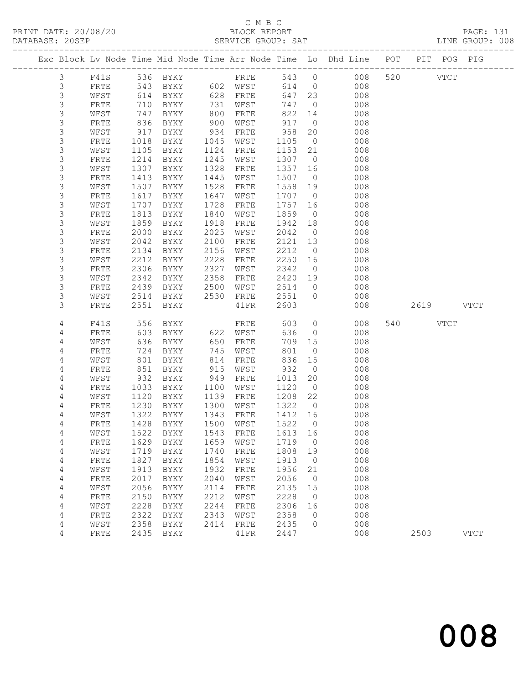# C M B C

| DATABASE: 20SEP | ------------------------------ |              |              |                                            |              | SERVICE GROUP: SAT   |                 |                | LINE GROUP: 008                                                                |          |           |             |  |
|-----------------|--------------------------------|--------------|--------------|--------------------------------------------|--------------|----------------------|-----------------|----------------|--------------------------------------------------------------------------------|----------|-----------|-------------|--|
|                 |                                |              |              |                                            |              |                      |                 |                | Exc Block Lv Node Time Mid Node Time Arr Node Time Lo Dhd Line POT PIT POG PIG |          |           |             |  |
|                 | $\mathcal{S}$                  |              |              |                                            |              | F41S 536 BYKY FRTE   |                 |                | 543 0 008 520 VTCT                                                             |          |           |             |  |
|                 | $\mathfrak{Z}$                 | FRTE         | 543          |                                            |              | BYKY 602 WFST        |                 |                | 614 0<br>008                                                                   |          |           |             |  |
|                 | 3                              | WFST         | 614          | BYKY 628 FRTE                              |              |                      |                 | 647 23         | 008                                                                            |          |           |             |  |
|                 | $\mathsf S$                    | FRTE         | 710          | BYKY                                       |              | 731 WFST<br>800 FRTE | 747 0           |                | 008                                                                            |          |           |             |  |
|                 | $\mathsf S$                    | WFST         | 747          | BYKY                                       |              | 800 FRTE             | 822             | 14             | 008                                                                            |          |           |             |  |
|                 | 3                              | FRTE         | 836          | BYKY                                       |              | 900 WFST             | 917             |                | $\overline{0}$<br>008                                                          |          |           |             |  |
|                 | 3                              | WFST         | 917          | BYKY                                       | 934          | FRTE                 | 958             | 20             | 008                                                                            |          |           |             |  |
|                 | $\mathsf S$                    | FRTE         | 1018         | BYKY                                       | 1045         | WFST                 | 1105            | $\overline{0}$ | 008                                                                            |          |           |             |  |
|                 | $\mathsf 3$                    | WFST         | 1105         | BYKY                                       | 1124         | FRTE                 | 1153 21         |                | 008                                                                            |          |           |             |  |
|                 | 3                              | <b>FRTE</b>  | 1214         | BYKY                                       | 1245         | WFST                 | 1307            | $\overline{0}$ | 008                                                                            |          |           |             |  |
|                 | 3                              | WFST         | 1307         | BYKY                                       | 1328         | FRTE                 | 1357            | 16             | 008                                                                            |          |           |             |  |
|                 | $\mathsf S$                    | FRTE         | 1413         | BYKY                                       | 1445         | WFST                 | 1507 0          |                | 008                                                                            |          |           |             |  |
|                 | $\ensuremath{\mathsf{3}}$      | WFST         | 1507         | BYKY                                       | 1528         | FRTE                 | 1558            | 19             | 008                                                                            |          |           |             |  |
|                 | 3                              | FRTE         | 1617         | BYKY                                       | 1647         | WFST                 | 1707 0          |                | 008                                                                            |          |           |             |  |
|                 | $\mathsf S$                    | WFST         | 1707         | BYKY                                       | 1728         | FRTE                 | 1757            | 16             | 008                                                                            |          |           |             |  |
|                 | 3                              | FRTE         | 1813         | BYKY                                       | 1840         | WFST                 | 1859            | $\overline{0}$ | 008                                                                            |          |           |             |  |
|                 | $\mathsf S$                    | WFST         | 1859         | BYKY                                       | 1918         | FRTE                 | 1942            | 18             | 008                                                                            |          |           |             |  |
|                 | 3                              | FRTE         | 2000         | BYKY                                       | 2025         | WFST                 | 2042            | $\overline{0}$ | 008                                                                            |          |           |             |  |
|                 | 3                              | WFST         | 2042         | BYKY                                       | 2100         | FRTE                 | 2121            | 13             | 008                                                                            |          |           |             |  |
|                 | 3                              | FRTE         | 2134         | BYKY                                       | 2156         | WFST                 | 2212            | $\overline{0}$ | 008                                                                            |          |           |             |  |
|                 | 3                              | WFST         | 2212         | BYKY                                       | 2228         | FRTE                 | 2250 16         |                | 008                                                                            |          |           |             |  |
|                 | 3<br>3                         | FRTE         | 2306         | BYKY                                       | 2327         | WFST                 | 2342            | $\overline{0}$ | 008                                                                            |          |           |             |  |
|                 | 3                              | WFST<br>FRTE | 2342<br>2439 | BYKY                                       | 2358         | FRTE                 | 2420 19<br>2514 | $\overline{0}$ | 008<br>008                                                                     |          |           |             |  |
|                 | 3                              | WFST         |              | 2439 BYKY 2500 WFST<br>2514 BYKY 2530 FRTE |              |                      | 2551 0          |                | 008                                                                            |          |           |             |  |
|                 | 3                              | FRTE         | 2551         | BYKY                                       |              | 41 FR                | 2603            |                | 008                                                                            |          | 2619 VTCT |             |  |
|                 | 4                              | F41S         | 556          | BYKY                                       |              | FRTE                 | 603             | $\overline{0}$ | 008                                                                            | 540 VTCT |           |             |  |
|                 | 4                              | FRTE         | 603          | BYKY                                       |              | 622 WFST             | 636             | $\overline{0}$ | 008                                                                            |          |           |             |  |
|                 | 4                              | WFST         | 636          | BYKY                                       |              | 650 FRTE             | 709             | 15             | 008                                                                            |          |           |             |  |
|                 | 4                              | FRTE         | 724          | BYKY                                       | 745          | WFST                 | 801             | $\overline{0}$ | 008                                                                            |          |           |             |  |
|                 | 4                              | WFST         | 801          | BYKY                                       | 814          | FRTE                 | 836             | 15             | 008                                                                            |          |           |             |  |
|                 | 4                              | FRTE         | 851          | BYKY                                       | 915          | WFST                 | 932             | $\overline{0}$ | 008                                                                            |          |           |             |  |
|                 | 4                              | WFST         | 932          | BYKY                                       | 949          | FRTE                 | 1013            | 20             | 008                                                                            |          |           |             |  |
|                 | 4                              | <b>FRTE</b>  | 1033         | BYKY                                       | 1100         | WFST                 | 1120            | $\overline{0}$ | 008                                                                            |          |           |             |  |
|                 | 4                              | WFST         | 1120         | BYKY                                       | 1139         | FRTE                 | 1208            | 22             | 008                                                                            |          |           |             |  |
|                 | 4                              | FRTE         | 1230         | BYKY                                       |              | 1300 WFST            | 1322            | $\overline{0}$ | 008                                                                            |          |           |             |  |
|                 | 4                              | WFST         | 1322         | BYKY                                       |              | 1343 FRTE            | 1412 16         |                | 008                                                                            |          |           |             |  |
|                 | 4                              |              |              |                                            |              |                      |                 |                | FRTE 1428 BYKY 1500 WFST 1522 0 008                                            |          |           |             |  |
|                 | 4                              | WFST         | 1522         | BYKY                                       | 1543         | FRTE                 | 1613            | 16             | 008                                                                            |          |           |             |  |
|                 | 4                              | FRTE         | 1629         | BYKY                                       | 1659         | WFST                 | 1719            | $\overline{0}$ | 008                                                                            |          |           |             |  |
|                 | 4                              | WFST         | 1719         | BYKY                                       | 1740         | FRTE                 | 1808            | 19             | 008                                                                            |          |           |             |  |
|                 | 4                              | FRTE         | 1827         | BYKY                                       | 1854         | WFST                 | 1913            | $\overline{0}$ | 008                                                                            |          |           |             |  |
|                 | 4                              | WFST         | 1913         | <b>BYKY</b>                                | 1932         | FRTE                 | 1956            | 21             | 008                                                                            |          |           |             |  |
|                 | 4                              | FRTE         | 2017         | <b>BYKY</b>                                | 2040         | WFST                 | 2056            | $\overline{0}$ | 008                                                                            |          |           |             |  |
|                 | 4                              | WFST         | 2056         | BYKY                                       | 2114         | FRTE                 | 2135            | 15             | 008                                                                            |          |           |             |  |
|                 | 4                              | FRTE         | 2150<br>2228 | BYKY                                       | 2212<br>2244 | WFST                 | 2228            | $\overline{0}$ | 008<br>008                                                                     |          |           |             |  |
|                 | 4                              | WFST         | 2322         | BYKY                                       | 2343         | FRTE                 | 2306            | 16<br>$\circ$  |                                                                                |          |           |             |  |
|                 | 4<br>4                         | FRTE<br>WFST | 2358         | BYKY<br>BYKY                               | 2414         | WFST<br>FRTE         | 2358<br>2435    | $\circ$        | 008<br>008                                                                     |          |           |             |  |
|                 | 4                              | FRTE         | 2435         | BYKY                                       |              | 41FR                 | 2447            |                | 008                                                                            | 2503     |           | <b>VTCT</b> |  |
|                 |                                |              |              |                                            |              |                      |                 |                |                                                                                |          |           |             |  |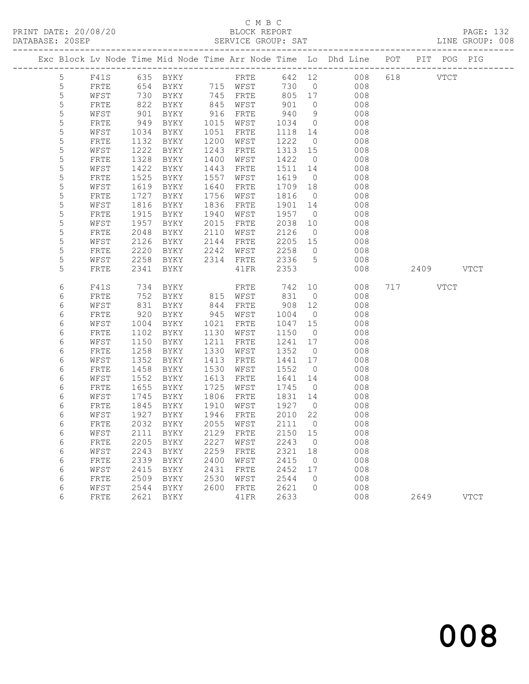### C M B C<br>BLOCK REPORT SERVICE GROUP: SAT

PRINT DATE: 20/08/20 BLOCK REPORT PAGE: 132

|                |              |              |                             |              |              |                 |                | Exc Block Lv Node Time Mid Node Time Arr Node Time Lo Dhd Line POT PIT POG PIG |          |           |             |
|----------------|--------------|--------------|-----------------------------|--------------|--------------|-----------------|----------------|--------------------------------------------------------------------------------|----------|-----------|-------------|
| 5              | F41S         |              |                             |              |              |                 |                | 635 BYKY FRTE 642 12 008                                                       | 618 VTCT |           |             |
| $\overline{5}$ | FRTE         |              | 654 BYKY 715 WFST           |              |              | 730             | $\overline{0}$ | 008                                                                            |          |           |             |
| 5              | WFST         | 730          | BYKY                        |              | 745 FRTE     | 805 17          |                | 008                                                                            |          |           |             |
| 5              | FRTE         | 822          | BYKY                        | 845          | WFST         | 901             | $\circ$        | 008                                                                            |          |           |             |
| 5              | WFST         | 901          | BYKY                        | 916          | FRTE         | 940             | 9              | 008                                                                            |          |           |             |
| 5              | FRTE         | 949          | BYKY                        | 1015         | WFST         | 1034            | $\overline{0}$ | 008                                                                            |          |           |             |
| 5              | WFST         | 1034         | BYKY                        | 1051         | FRTE         | 1118            | 14             | 008                                                                            |          |           |             |
| 5              | FRTE         | 1132         | BYKY                        | 1200         | WFST         | 1222            | $\overline{0}$ | 008                                                                            |          |           |             |
| 5              | WFST         | 1222         | BYKY                        | 1243         | FRTE         | 1313 15         |                | 008                                                                            |          |           |             |
| 5              | FRTE         | 1328         | BYKY                        | 1400         | WFST         | 1422            | $\overline{0}$ | 008                                                                            |          |           |             |
| 5              | WFST         | 1422         | BYKY                        | 1443         | FRTE         | 1511 14         |                | 008                                                                            |          |           |             |
| 5              | FRTE         | 1525         | BYKY                        | 1557         | WFST         | 1619            | $\overline{0}$ | 008                                                                            |          |           |             |
| 5<br>5         | WFST         | 1619<br>1727 | BYKY                        | 1640<br>1756 | FRTE         | 1709 18<br>1816 | $\overline{0}$ | 008<br>008                                                                     |          |           |             |
| 5              | ${\tt FRTE}$ | 1816         | BYKY                        | 1836         | WFST         | 1901            | 14             | 008                                                                            |          |           |             |
| 5              | WFST<br>FRTE | 1915         | BYKY<br>BYKY                | 1940         | FRTE<br>WFST | 1957            | $\overline{0}$ | 008                                                                            |          |           |             |
| 5              | WFST         | 1957         | BYKY                        | 2015         | FRTE         | 2038            | 10             | 008                                                                            |          |           |             |
| 5              | FRTE         | 2048         | BYKY                        | 2110         | WFST         | 2126            | $\overline{0}$ | 008                                                                            |          |           |             |
| 5              | WFST         | 2126         | BYKY                        | 2144         | FRTE         | 2205 15         |                | 008                                                                            |          |           |             |
| 5              | FRTE         | 2220         | BYKY                        | 2242         | WFST         | 2258            | $\overline{0}$ | 008                                                                            |          |           |             |
| 5              | WFST         | 2258         | BYKY                        |              | 2314 FRTE    | 2336            | $5^{\circ}$    | 008                                                                            |          |           |             |
| 5              | FRTE         | 2341         | BYKY                        |              | 41FR         | 2353            |                | 008                                                                            |          | 2409 VTCT |             |
|                |              |              |                             |              |              |                 |                |                                                                                |          |           |             |
| 6              | F41S         | 734          | BYKY                        |              | FRTE         | 742             | 10             | 008                                                                            | 717 VTCT |           |             |
| 6              | FRTE         | 752          | BYKY                        |              | 815 WFST     | 831             | $\overline{0}$ | 008                                                                            |          |           |             |
| 6              | WFST         | 831          | BYKY                        | 844          | FRTE         | 908 12          |                | 008                                                                            |          |           |             |
| 6              | FRTE         | 920          | BYKY                        | 945          | WFST         | 1004            | $\overline{0}$ | 008                                                                            |          |           |             |
| 6              | WFST         | 1004         | BYKY                        | 1021         | FRTE         | 1047 15         |                | 008                                                                            |          |           |             |
| 6              | FRTE         | 1102         | BYKY                        | 1130         | WFST         | 1150            | $\overline{0}$ | 008                                                                            |          |           |             |
| 6              | WFST         | 1150         | BYKY                        | 1211         | FRTE         | 1241 17         |                | 008                                                                            |          |           |             |
| 6              | ${\tt FRTE}$ | 1258         | BYKY                        | 1330         | WFST         | 1352            | $\overline{0}$ | 008                                                                            |          |           |             |
| 6              | WFST         | 1352         | BYKY                        | 1413         | FRTE         | 1441 17         |                | 008                                                                            |          |           |             |
| 6              | FRTE         | 1458         | BYKY                        | 1530         | WFST         | 1552            | $\overline{0}$ | 008                                                                            |          |           |             |
| 6              | WFST         | 1552         | BYKY                        | 1613         | FRTE         | 1641            | 14             | 008                                                                            |          |           |             |
| 6              | FRTE         | 1655         | BYKY                        | 1725         | WFST         | 1745            | $\overline{0}$ | 008                                                                            |          |           |             |
| 6              | WFST         | 1745         | BYKY                        | 1806         | FRTE         | 1831 14         |                | 008                                                                            |          |           |             |
| 6              | FRTE         | 1845         | BYKY                        | 1910         | WFST         | 1927            | $\overline{0}$ | 008                                                                            |          |           |             |
| 6              | WFST         | 1927         | BYKY                        | 1946         | FRTE         | 2010 22         |                | 008                                                                            |          |           |             |
| 6              | FRTE         |              | 2032 BYKY                   |              | 2055 WFST    | 2111            | $\overline{0}$ | 008                                                                            |          |           |             |
| 6              | WFST         |              | 2111 BYKY 2129 FRTE 2150 15 |              |              |                 |                | 008                                                                            |          |           |             |
| 6              | FRTE         | 2205         | BYKY                        | 2227         | WFST         | 2243            | 0              | 008                                                                            |          |           |             |
| 6              | WFST         | 2243         | BYKY                        | 2259         | FRTE         | 2321            | 18             | 008                                                                            |          |           |             |
| 6              | FRTE         | 2339         | BYKY                        | 2400<br>2431 | WFST         | 2415<br>2452    | $\overline{0}$ | 008<br>008                                                                     |          |           |             |
| 6<br>6         | WFST         | 2415         | BYKY                        | 2530         | FRTE         |                 | 17<br>0        | 008                                                                            |          |           |             |
|                | FRTE         | 2509         | BYKY                        | 2600         | WFST         | 2544<br>2621    | 0              | 008                                                                            |          |           |             |
| 6<br>6         | WFST<br>FRTE | 2544<br>2621 | BYKY<br>BYKY                |              | FRTE<br>41FR | 2633            |                | 008                                                                            | 2649     |           | <b>VTCT</b> |
|                |              |              |                             |              |              |                 |                |                                                                                |          |           |             |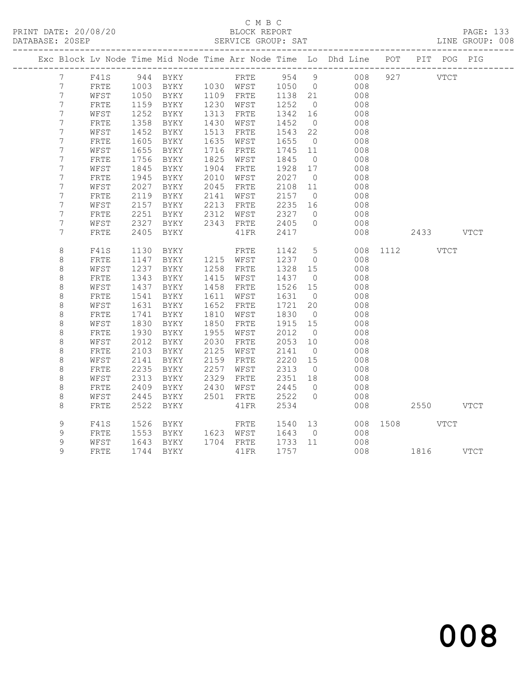### C M B C<br>BLOCK REPORT SERVICE GROUP: SAT

|  |                    |                      |              |              |              |              |              |                      | Exc Block Lv Node Time Mid Node Time Arr Node Time Lo Dhd Line POT PIT POG PIG |     |               |  |
|--|--------------------|----------------------|--------------|--------------|--------------|--------------|--------------|----------------------|--------------------------------------------------------------------------------|-----|---------------|--|
|  | $7^{\circ}$        |                      |              |              |              |              |              |                      | F41S 944 BYKY FRTE 954 9 008                                                   | 927 | <b>VTCT</b>   |  |
|  | $7\overline{ }$    | FRTE                 |              |              |              |              |              |                      | 1003 BYKY 1030 WFST 1050 0 008                                                 |     |               |  |
|  | 7                  | WFST                 | 1050         | <b>BYKY</b>  |              | 1109 FRTE    | 1138 21      |                      | 008                                                                            |     |               |  |
|  | $\overline{7}$     | ${\tt FRTE}$         | 1159         | BYKY         | 1230         | WFST         | 1252         | $\overline{0}$       | 008                                                                            |     |               |  |
|  | $\overline{7}$     | WFST                 | 1252         | BYKY         | 1313         | FRTE         | 1342         | 16                   | 008                                                                            |     |               |  |
|  | 7                  | FRTE                 | 1358         | BYKY         | 1430         | WFST         | 1452         | $\overline{0}$       | 008                                                                            |     |               |  |
|  | $\overline{7}$     | WFST                 | 1452         | BYKY         | 1513         | FRTE         | 1543         | 22                   | 008                                                                            |     |               |  |
|  | 7                  | FRTE                 | 1605         | BYKY         | 1635         | WFST         | 1655         | $\overline{0}$       | 008                                                                            |     |               |  |
|  | 7                  | WFST                 | 1655         | BYKY         | 1716         | FRTE         | 1745 11      |                      | 008                                                                            |     |               |  |
|  | $\overline{7}$     | ${\tt FRTE}$         | 1756         | BYKY         | 1825         | WFST         | 1845         | $\overline{0}$       | 008                                                                            |     |               |  |
|  | 7                  | WFST                 | 1845         | BYKY         | 1904         | FRTE         | 1928         | 17                   | 008                                                                            |     |               |  |
|  | 7                  | FRTE                 | 1945         | BYKY         | 2010         | WFST         | 2027         | $\overline{0}$       | 008                                                                            |     |               |  |
|  | $\boldsymbol{7}$   | WFST                 | 2027         | BYKY         | 2045         | FRTE         | 2108         | 11                   | 008                                                                            |     |               |  |
|  | 7                  | FRTE                 | 2119         | BYKY         | 2141         | WFST         | 2157         | $\overline{0}$       | 008                                                                            |     |               |  |
|  | 7                  | WFST                 | 2157         | BYKY         | 2213         | FRTE         | 2235         | 16                   | 008                                                                            |     |               |  |
|  | $7\phantom{.0}$    | FRTE                 | 2251         | BYKY         | 2312         | WFST         | 2327         | $\overline{0}$       | 008                                                                            |     |               |  |
|  | 7                  | WFST                 | 2327         | BYKY         |              | 2343 FRTE    | 2405         | $\overline{0}$       | 008                                                                            |     |               |  |
|  | 7                  | <b>FRTE</b>          | 2405         | BYKY         |              | 41FR         | 2417         |                      | 008                                                                            |     | 2433 VTCT     |  |
|  |                    |                      |              |              |              |              |              |                      |                                                                                |     |               |  |
|  | $\,8\,$            | F41S                 | 1130         | BYKY         |              | FRTE         | 1142         |                      | 5 <sub>1</sub>                                                                 |     | 008 1112 VTCT |  |
|  | $\,8\,$            | FRTE                 | 1147         | BYKY         |              | 1215 WFST    | 1237         | $\overline{0}$       | 008                                                                            |     |               |  |
|  | $\,8\,$            | WFST                 | 1237         | BYKY         | 1258         | FRTE         | 1328         | 15                   | 008                                                                            |     |               |  |
|  | $\,8\,$            | FRTE                 | 1343         | BYKY         | 1415         | WFST         | 1437         | $\overline{0}$       | 008                                                                            |     |               |  |
|  | $\,8\,$            | WFST                 | 1437         | BYKY         | 1458         | FRTE         | 1526         | 15                   | 008                                                                            |     |               |  |
|  | $\,8\,$            | ${\tt FRTE}$         | 1541         | BYKY         | 1611         | WFST         | 1631         | $\overline{0}$       | 008                                                                            |     |               |  |
|  | 8                  | WFST                 | 1631         | BYKY         | 1652         | FRTE         | 1721         | 20                   | 008                                                                            |     |               |  |
|  | $\,8\,$            | FRTE                 | 1741         | BYKY         | 1810         | WFST         | 1830         | $\overline{0}$       | 008                                                                            |     |               |  |
|  | $\,8\,$            | WFST                 | 1830         | BYKY         | 1850<br>1955 | FRTE         | 1915<br>2012 | 15                   | 008                                                                            |     |               |  |
|  | $\,8\,$            | FRTE                 | 1930         | BYKY         |              | WFST         |              | $\overline{0}$       | 008                                                                            |     |               |  |
|  | $\,8\,$<br>$\,8\,$ | WFST                 | 2012<br>2103 | BYKY<br>BYKY | 2030<br>2125 | FRTE         | 2053<br>2141 | 10<br>$\overline{0}$ | 008<br>008                                                                     |     |               |  |
|  | $\,8\,$            | FRTE<br>WFST         | 2141         | BYKY         | 2159         | WFST         | 2220         | 15                   | 008                                                                            |     |               |  |
|  | $\,8\,$            | FRTE                 | 2235         | BYKY         | 2257         | FRTE<br>WFST | 2313         | $\overline{0}$       | 008                                                                            |     |               |  |
|  |                    |                      | 2313         |              | 2329         |              | 2351         |                      |                                                                                |     |               |  |
|  | $\,8\,$<br>$\,8\,$ | WFST<br>${\tt FRTE}$ | 2409         | BYKY         | 2430         | FRTE<br>WFST | 2445         | 18<br>$\overline{0}$ | 008<br>008                                                                     |     |               |  |
|  | $\,8\,$            | WFST                 |              | BYKY         |              | 2501 FRTE    | 2522         | $\overline{0}$       | 008                                                                            |     |               |  |
|  | 8                  | ${\tt FRTE}$         | 2445<br>2522 | BYKY<br>BYKY |              | 41FR         | 2534         |                      | 008                                                                            |     | 2550 VTCT     |  |
|  |                    |                      |              |              |              |              |              |                      |                                                                                |     |               |  |
|  | 9                  | F41S                 | 1526         | BYKY         |              | FRTE         |              |                      | 1540 13                                                                        |     | 008 1508 VTCT |  |
|  | 9                  | FRTE                 | 1553         | BYKY         |              | 1623 WFST    | 1643         | $\overline{0}$       | 008                                                                            |     |               |  |
|  | 9                  | WFST                 | 1643         | BYKY         |              | 1704 FRTE    | 1733 11      |                      | 008                                                                            |     |               |  |
|  | 9                  | <b>FRTE</b>          |              | 1744 BYKY    |              | 41FR         | 1757         |                      | 008                                                                            |     | 1816 VTCT     |  |
|  |                    |                      |              |              |              |              |              |                      |                                                                                |     |               |  |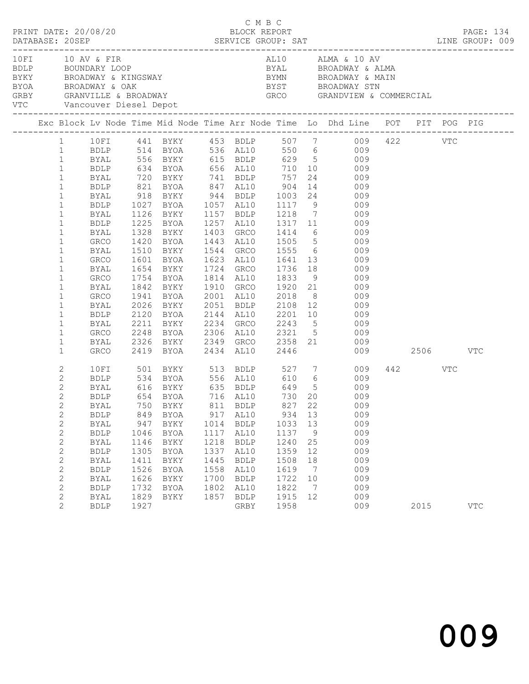|                              | PRINT DATE: 20/08/20                                                                                            |              |                       |      | C M B C<br>BLOCK REPORT |      |                |                                                                                                                                                                                                                                                                                                                                   |         | PAGE: 134  |
|------------------------------|-----------------------------------------------------------------------------------------------------------------|--------------|-----------------------|------|-------------------------|------|----------------|-----------------------------------------------------------------------------------------------------------------------------------------------------------------------------------------------------------------------------------------------------------------------------------------------------------------------------------|---------|------------|
|                              | 10 FI 10 AV & FIR<br>VTC Vancouver Diesel Depot                                                                 |              |                       |      |                         |      |                | AL10 ALMA & 10 AV<br>ALIU ALMA & IU AV<br>BDLP BOUNDARY LOOP BYAL BROADWAY & ALMA<br>BYKY BROADWAY & KINGSWAY BYAN BYON BROADWAY & MAIN<br>BYOA BROADWAY & OAK BYST BROADWAY STN<br>GREY GRANVILLE & BROADWAY<br>THE GRANDWAY STN GROADWAY STN GROADWAY STN G<br>BYST         BROADWAY STN<br>GRCO         GRANDVIEW & COMMERCIAL |         |            |
|                              |                                                                                                                 |              |                       |      |                         |      |                | Exc Block Lv Node Time Mid Node Time Arr Node Time Lo Dhd Line POT PIT POG PIG                                                                                                                                                                                                                                                    |         |            |
|                              |                                                                                                                 |              |                       |      |                         |      |                | 1 10FI 441 BYKY 453 BDLP 507 7 009 422 VTC                                                                                                                                                                                                                                                                                        |         |            |
|                              |                                                                                                                 |              |                       |      |                         |      |                |                                                                                                                                                                                                                                                                                                                                   |         |            |
|                              |                                                                                                                 |              |                       |      |                         |      |                |                                                                                                                                                                                                                                                                                                                                   |         |            |
|                              | 1 BDLP 514 BYOA 536 AL10 550 6 009<br>1 BYAL 556 BYKY 615 BDLP 629 5 009<br>1 BDLP 634 BYOA 656 AL10 710 10 009 |              |                       |      |                         |      |                |                                                                                                                                                                                                                                                                                                                                   |         |            |
| $\mathbf{1}$                 | <b>BYAL</b>                                                                                                     |              | 720 BYKY 741 BDLP 757 |      |                         |      |                | 24 009                                                                                                                                                                                                                                                                                                                            |         |            |
| $\mathbf{1}$                 | BDLP                                                                                                            |              |                       |      |                         |      |                |                                                                                                                                                                                                                                                                                                                                   |         |            |
| $\mathbf{1}$                 | BYAL                                                                                                            |              |                       |      |                         |      |                | 821 BYOA 847 AL10 904 14 009<br>918 BYKY 944 BDLP 1003 24 009<br>1027 BYOA 1057 AL10 1117 9 009                                                                                                                                                                                                                                   |         |            |
| $\mathbf{1}$                 | BDLP                                                                                                            |              |                       |      |                         |      |                |                                                                                                                                                                                                                                                                                                                                   |         |            |
| $\mathbf{1}$                 | BYAL                                                                                                            |              |                       |      |                         |      |                | 1126 BYKY 1157 BDLP 1218 7 009                                                                                                                                                                                                                                                                                                    |         |            |
| $\mathbf{1}$                 | BDLP                                                                                                            | 1225         |                       |      |                         |      |                | BYOA 1257 AL10 1317 11 009                                                                                                                                                                                                                                                                                                        |         |            |
| $\mathbf{1}$                 | BYAL                                                                                                            | 1328<br>1420 |                       |      |                         |      |                | BYKY 1403 GRCO 1414 6 009<br>BYOA 1443 AL10 1505 5 009                                                                                                                                                                                                                                                                            |         |            |
| $\mathbf{1}$                 | GRCO                                                                                                            |              |                       |      |                         |      |                |                                                                                                                                                                                                                                                                                                                                   |         |            |
| $\mathbf{1}$                 | BYAL                                                                                                            | 1510         |                       |      |                         |      |                | BYKY 1544 GRCO 1555 6 009                                                                                                                                                                                                                                                                                                         |         |            |
| $\mathbf{1}$                 | GRCO                                                                                                            | 1601         |                       |      |                         |      |                | BYOA 1623 AL10 1641 13 009                                                                                                                                                                                                                                                                                                        |         |            |
| $\mathbf{1}$                 | BYAL                                                                                                            | 1654         |                       |      |                         |      |                | 1654 BYKY 1724 GRCO 1736 18 009<br>1754 BYOA 1814 AL10 1833 9 009<br>1842 BYKY 1910 GRCO 1920 21 009                                                                                                                                                                                                                              |         |            |
| $\mathbf{1}$                 | GRCO                                                                                                            |              |                       |      |                         |      |                |                                                                                                                                                                                                                                                                                                                                   |         |            |
| $\mathbf 1$                  | BYAL                                                                                                            |              |                       |      |                         |      |                |                                                                                                                                                                                                                                                                                                                                   |         |            |
| $\mathbf{1}$                 | GRCO                                                                                                            | 1941         |                       |      |                         |      |                | BYOA 2001 AL10 2018 8 009                                                                                                                                                                                                                                                                                                         |         |            |
| $\mathbf{1}$                 | BYAL                                                                                                            | 2026         |                       |      |                         |      |                | BYKY 2051 BDLP 2108 12 009<br>BYOA 2144 AL10 2201 10 009<br>BYKY 2234 GRCO 2243 5 009                                                                                                                                                                                                                                             |         |            |
| $\mathbf{1}$                 | BDLP                                                                                                            | 2120<br>2211 |                       |      |                         |      |                |                                                                                                                                                                                                                                                                                                                                   |         |            |
| $\mathbf{1}$                 | BYAL                                                                                                            |              |                       |      |                         |      |                |                                                                                                                                                                                                                                                                                                                                   |         |            |
| $\mathbf{1}$                 | GRCO                                                                                                            |              |                       |      |                         |      |                | 2248 BYOA 2306 AL10 2321 5 009                                                                                                                                                                                                                                                                                                    |         |            |
| $\mathbf{1}$<br>$\mathbf{1}$ | BYAL<br>GRCO                                                                                                    | 2326         | 2419 BYOA 2434 AL10   |      |                         | 2446 |                | BYKY 2349 GRCO 2358 21 009<br>009 2506 VTC                                                                                                                                                                                                                                                                                        |         |            |
|                              |                                                                                                                 |              |                       |      |                         |      |                |                                                                                                                                                                                                                                                                                                                                   |         |            |
| 2                            |                                                                                                                 |              |                       |      |                         |      |                | 10FI 501 BYKY 513 BDLP 527 7 009                                                                                                                                                                                                                                                                                                  | 442 VTC |            |
| $\mathbf{2}$<br>$\mathbf{2}$ | BDLP                                                                                                            |              |                       |      |                         |      |                | 534 BYOA 556 AL10 610 6 009                                                                                                                                                                                                                                                                                                       |         |            |
| 2                            | BYAL<br>BDLP                                                                                                    |              |                       |      |                         |      |                |                                                                                                                                                                                                                                                                                                                                   |         |            |
| $\mathbf{2}$                 |                                                                                                                 |              |                       |      |                         |      |                | BYAL 750 BYKY 811 BDLP 827 22 009                                                                                                                                                                                                                                                                                                 |         |            |
| $\mathbf{2}$                 | <b>BDLP</b>                                                                                                     | 849          | BYOA                  | 917  | AL10                    | 934  | 13             | 009                                                                                                                                                                                                                                                                                                                               |         |            |
| $\mathbf{2}$                 | BYAL                                                                                                            | 947          | BYKY                  | 1014 | BDLP                    | 1033 | 13             | 009                                                                                                                                                                                                                                                                                                                               |         |            |
| $\mathbf{2}$                 | <b>BDLP</b>                                                                                                     | 1046         | BYOA                  | 1117 | AL10                    | 1137 | 9              | 009                                                                                                                                                                                                                                                                                                                               |         |            |
| 2                            | <b>BYAL</b>                                                                                                     | 1146         | BYKY                  | 1218 | <b>BDLP</b>             | 1240 | 25             | 009                                                                                                                                                                                                                                                                                                                               |         |            |
| $\mathbf{2}$                 | <b>BDLP</b>                                                                                                     | 1305         | BYOA                  | 1337 | AL10                    | 1359 | 12             | 009                                                                                                                                                                                                                                                                                                                               |         |            |
| $\mathbf{2}$                 | <b>BYAL</b>                                                                                                     | 1411         | BYKY                  | 1445 | <b>BDLP</b>             | 1508 | 18             | 009                                                                                                                                                                                                                                                                                                                               |         |            |
| $\mathbf{2}$                 | <b>BDLP</b>                                                                                                     | 1526         | BYOA                  | 1558 | AL10                    | 1619 | $\overline{7}$ | 009                                                                                                                                                                                                                                                                                                                               |         |            |
| 2                            | BYAL                                                                                                            | 1626         | BYKY                  | 1700 | <b>BDLP</b>             | 1722 | 10             | 009                                                                                                                                                                                                                                                                                                                               |         |            |
| $\mathbf{2}$                 | <b>BDLP</b>                                                                                                     | 1732         | BYOA                  | 1802 | AL10                    | 1822 | $\overline{7}$ | 009                                                                                                                                                                                                                                                                                                                               |         |            |
| 2                            | <b>BYAL</b>                                                                                                     | 1829         | BYKY                  | 1857 | <b>BDLP</b>             | 1915 | 12             | 009                                                                                                                                                                                                                                                                                                                               |         |            |
| 2                            | <b>BDLP</b>                                                                                                     | 1927         |                       |      | GRBY                    | 1958 |                | 009                                                                                                                                                                                                                                                                                                                               | 2015    | <b>VTC</b> |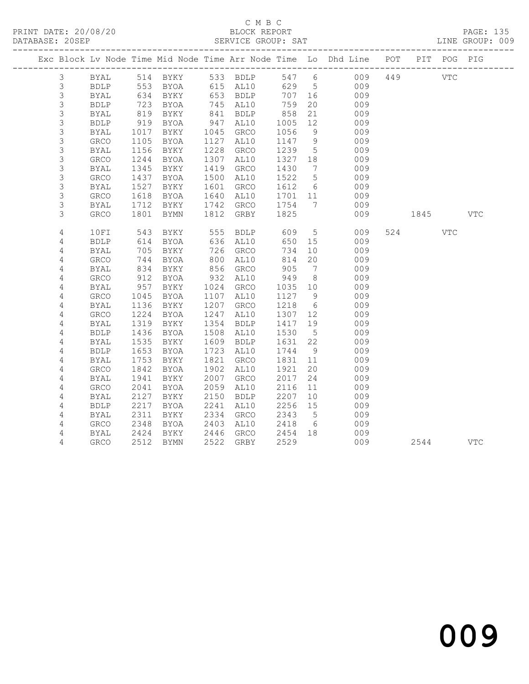### C M B C<br>BLOCK REPORT SERVICE GROUP: SAT

|                |              |      |      |      |                   |         |                              | Exc Block Lv Node Time Mid Node Time Arr Node Time Lo Dhd Line POT |     |             | PIT POG PIG |            |
|----------------|--------------|------|------|------|-------------------|---------|------------------------------|--------------------------------------------------------------------|-----|-------------|-------------|------------|
| 3              | BYAL         |      |      |      | 514 BYKY 533 BDLP |         |                              | 547 6<br>009                                                       | 449 |             | VTC         |            |
| 3              | BDLP         | 553  |      |      | BYOA 615 AL10     |         | 629 5                        | 009                                                                |     |             |             |            |
| $\mathsf S$    | <b>BYAL</b>  | 634  | BYKY |      | 653 BDLP          | 707 16  |                              | 009                                                                |     |             |             |            |
| $\mathsf S$    | <b>BDLP</b>  | 723  | BYOA |      | 745 AL10          | 759     | 20                           | 009                                                                |     |             |             |            |
| $\mathsf S$    | <b>BYAL</b>  | 819  | BYKY |      | 841 BDLP          | 858     | 21                           | 009                                                                |     |             |             |            |
| $\mathsf S$    | <b>BDLP</b>  | 919  | BYOA | 947  | AL10              | 1005    | 12                           | 009                                                                |     |             |             |            |
| $\mathsf S$    | BYAL         | 1017 | BYKY | 1045 | GRCO              | 1056    | 9                            | 009                                                                |     |             |             |            |
| $\mathsf S$    | GRCO         | 1105 | BYOA | 1127 | AL10              | 1147    | 9                            | 009                                                                |     |             |             |            |
| $\mathsf S$    | BYAL         | 1156 | BYKY | 1228 | GRCO              | 1239    | $5\overline{)}$              | 009                                                                |     |             |             |            |
| $\mathsf S$    | GRCO         | 1244 | BYOA | 1307 | AL10              | 1327 18 |                              | 009                                                                |     |             |             |            |
| 3              | BYAL         | 1345 | BYKY | 1419 | GRCO              | 1430    | $7\phantom{.0}\phantom{.0}7$ | 009                                                                |     |             |             |            |
| $\mathsf S$    | GRCO         | 1437 | BYOA | 1500 | AL10              | 1522    | $5\overline{)}$              | 009                                                                |     |             |             |            |
| $\mathsf S$    | BYAL         | 1527 | BYKY | 1601 | GRCO              | 1612    | $6\overline{6}$              | 009                                                                |     |             |             |            |
| $\mathsf S$    | ${\tt GRCO}$ | 1618 | BYOA | 1640 | AL10              | 1701 11 |                              | 009                                                                |     |             |             |            |
| 3              | BYAL         | 1712 | BYKY | 1742 | GRCO              | 1754    | $\overline{7}$               | 009                                                                |     |             |             |            |
| 3              | GRCO         | 1801 | BYMN | 1812 | GRBY              | 1825    |                              | 009                                                                |     | 1845   1840 |             | VTC        |
|                |              |      |      |      |                   |         |                              |                                                                    |     |             |             |            |
| 4              | 10FI         | 543  | BYKY | 555  | BDLP              | 609     | $5\overline{)}$              | 009                                                                |     | 524         | VTC         |            |
| 4              | <b>BDLP</b>  | 614  | BYOA |      | 636 AL10          | 650     | 15                           | 009                                                                |     |             |             |            |
| 4              | BYAL         | 705  | BYKY | 726  | GRCO              | 734     | 10                           | 009                                                                |     |             |             |            |
| 4              | GRCO         | 744  | BYOA | 800  | AL10              | 814     | 20                           | 009                                                                |     |             |             |            |
| 4              | <b>BYAL</b>  | 834  | BYKY | 856  | GRCO              | 905     | $\overline{7}$               | 009                                                                |     |             |             |            |
| 4              | ${\tt GRCO}$ | 912  | BYOA | 932  | AL10              | 949     | 8 <sup>8</sup>               | 009                                                                |     |             |             |            |
| 4              | BYAL         | 957  | BYKY | 1024 | GRCO              | 1035    | 10                           | 009                                                                |     |             |             |            |
| $\sqrt{4}$     | GRCO         | 1045 | BYOA | 1107 | AL10              | 1127    | 9                            | 009                                                                |     |             |             |            |
| 4              | BYAL         | 1136 | BYKY | 1207 | GRCO              | 1218    | $6\overline{6}$              | 009                                                                |     |             |             |            |
| $\sqrt{4}$     | GRCO         | 1224 | BYOA | 1247 | AL10              | 1307    | 12                           | 009                                                                |     |             |             |            |
| 4              | BYAL         | 1319 | BYKY | 1354 | <b>BDLP</b>       | 1417    | 19                           | 009                                                                |     |             |             |            |
| 4              | <b>BDLP</b>  | 1436 | BYOA | 1508 | AL10              | 1530    | 5                            | 009                                                                |     |             |             |            |
| 4              | BYAL         | 1535 | BYKY | 1609 | <b>BDLP</b>       | 1631    | 22                           | 009                                                                |     |             |             |            |
| 4              | <b>BDLP</b>  | 1653 | BYOA | 1723 | AL10              | 1744    | 9                            | 009                                                                |     |             |             |            |
| 4              | BYAL         | 1753 | BYKY | 1821 | GRCO              | 1831    | 11                           | 009                                                                |     |             |             |            |
| 4              | GRCO         | 1842 | BYOA | 1902 | AL10              | 1921    | 20                           | 009                                                                |     |             |             |            |
| 4              | BYAL         | 1941 | BYKY | 2007 | GRCO              | 2017    | 24                           | 009                                                                |     |             |             |            |
| 4              | GRCO         | 2041 | BYOA | 2059 | AL10              | 2116    | 11                           | 009                                                                |     |             |             |            |
| 4              | <b>BYAL</b>  | 2127 | BYKY | 2150 | <b>BDLP</b>       | 2207    | 10                           | 009                                                                |     |             |             |            |
| $\sqrt{4}$     | <b>BDLP</b>  | 2217 | BYOA | 2241 | AL10              | 2256    | 15                           | 009                                                                |     |             |             |            |
| 4              | BYAL         | 2311 | BYKY | 2334 | GRCO              | 2343    | $5\overline{)}$              | 009                                                                |     |             |             |            |
| 4              | GRCO         | 2348 | BYOA | 2403 | AL10              | 2418    | 6                            | 009                                                                |     |             |             |            |
| $\overline{4}$ | BYAL         | 2424 | BYKY | 2446 | GRCO              | 2454    | 18                           | 009                                                                |     |             |             |            |
| 4              | GRCO         | 2512 | BYMN | 2522 | GRBY              | 2529    |                              | 009                                                                |     | 2544        |             | <b>VTC</b> |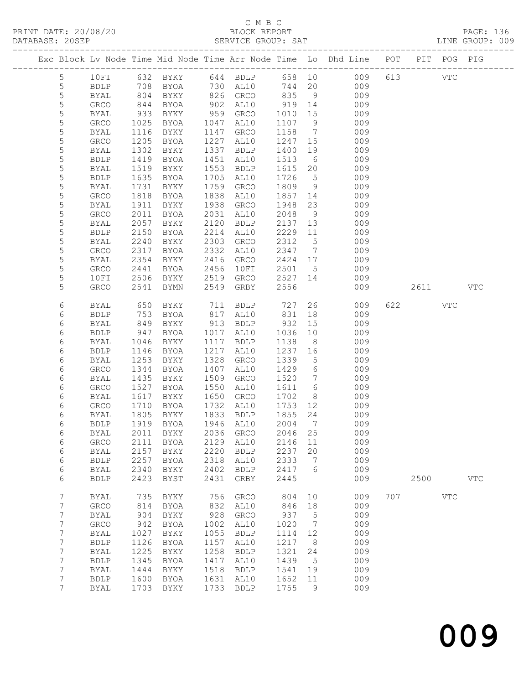# C M B C<br>BLOCK REPORT

PRINT DATE: 20/08/20 BLOCK REPORT PAGE: 136 SERVICE GROUP: SAT

|  |                  |                     |              |                                  |              |                     |              |                       | Exc Block Lv Node Time Mid Node Time Arr Node Time Lo Dhd Line POT |     |         | PIT POG PIG |            |
|--|------------------|---------------------|--------------|----------------------------------|--------------|---------------------|--------------|-----------------------|--------------------------------------------------------------------|-----|---------|-------------|------------|
|  |                  |                     |              |                                  |              |                     |              |                       |                                                                    |     |         |             |            |
|  | 5                | 10FI                |              |                                  |              |                     |              |                       | 632 BYKY 644 BDLP 658 10 009                                       |     | 613 VTC |             |            |
|  | $5\phantom{.0}$  | BDLP                |              | 708 BYOA                         |              | 730 AL10            | 744 20       |                       | 009                                                                |     |         |             |            |
|  | $\mathsf S$      | BYAL                | 804          | BYKY                             |              | 826 GRCO            | 835          | 9                     | 009                                                                |     |         |             |            |
|  | $\mathsf S$      | GRCO                | 844          | BYOA                             | 902          | AL10                | 919          | 14                    | 009                                                                |     |         |             |            |
|  | $\mathsf S$      | BYAL                | 933          | BYKY                             | 959          | GRCO                | 1010         | 15                    | 009                                                                |     |         |             |            |
|  | $\mathsf S$      | GRCO                | 1025         | BYOA                             | 1047         | AL10                | 1107         | 9                     | 009                                                                |     |         |             |            |
|  | $\mathsf S$      | BYAL                | 1116         | BYKY                             | 1147         | GRCO                | 1158         | $\overline{7}$        | 009                                                                |     |         |             |            |
|  | 5                | GRCO                | 1205         | BYOA                             | 1227         | AL10                | 1247         | 15                    | 009                                                                |     |         |             |            |
|  | $\mathsf S$      | BYAL                | 1302         | BYKY                             | 1337         | BDLP                | 1400         | 19                    | 009                                                                |     |         |             |            |
|  | 5<br>5           | <b>BDLP</b><br>BYAL | 1419<br>1519 | BYOA<br>BYKY                     | 1451<br>1553 | AL10<br><b>BDLP</b> | 1513<br>1615 | $6\overline{6}$<br>20 | 009<br>009                                                         |     |         |             |            |
|  | 5                | <b>BDLP</b>         | 1635         | BYOA                             | 1705         | AL10                | 1726         | $5^{\circ}$           | 009                                                                |     |         |             |            |
|  | $\mathsf S$      | BYAL                | 1731         | BYKY                             | 1759         | GRCO                | 1809         | 9                     | 009                                                                |     |         |             |            |
|  | 5                | GRCO                | 1818         | BYOA                             | 1838         | AL10                | 1857         | 14                    | 009                                                                |     |         |             |            |
|  | $\mathsf S$      | BYAL                | 1911         | BYKY                             | 1938         | GRCO                | 1948         | 23                    | 009                                                                |     |         |             |            |
|  | $\mathsf S$      | GRCO                | 2011         | BYOA                             | 2031         | AL10                | 2048         | 9                     | 009                                                                |     |         |             |            |
|  | $\mathsf S$      | BYAL                | 2057         | BYKY                             | 2120         | BDLP                | 2137         | 13                    | 009                                                                |     |         |             |            |
|  | $\mathsf S$      | <b>BDLP</b>         | 2150         | BYOA                             | 2214         | AL10                | 2229         | 11                    | 009                                                                |     |         |             |            |
|  | 5                | BYAL                | 2240         | BYKY                             | 2303         | GRCO                | 2312         | $5\overline{)}$       | 009                                                                |     |         |             |            |
|  | $\mathsf S$      | GRCO                | 2317         | BYOA                             | 2332         | AL10                | 2347         | $\overline{7}$        | 009                                                                |     |         |             |            |
|  | 5                | BYAL                | 2354         | BYKY                             | 2416         | GRCO                | 2424 17      |                       | 009                                                                |     |         |             |            |
|  | $\mathsf S$      | GRCO                | 2441         | BYOA                             | 2456         | 10FI                | 2501         | $5^{\circ}$           | 009                                                                |     |         |             |            |
|  | 5                | 10FI                | 2506         | BYKY                             | 2519         | GRCO                | 2527 14      |                       | 009                                                                |     |         |             |            |
|  | 5                | GRCO                | 2541         | <b>BYMN</b>                      | 2549         | GRBY                | 2556         |                       | 009                                                                |     | 2611    |             | <b>VTC</b> |
|  |                  |                     |              |                                  |              |                     |              |                       |                                                                    |     |         |             |            |
|  | 6                | BYAL                | 650          | BYKY                             |              | 711 BDLP            | 727          |                       | 26<br>009                                                          |     | 622     | VTC         |            |
|  | 6                | <b>BDLP</b>         | 753          | BYOA                             |              | 817 AL10            | 831          | 18                    | 009                                                                |     |         |             |            |
|  | 6                | <b>BYAL</b>         | 849          | BYKY                             |              | 913 BDLP            | 932          | 15                    | 009                                                                |     |         |             |            |
|  | 6<br>6           | BDLP<br>BYAL        | 947<br>1046  | BYOA<br>BYKY                     | 1017<br>1117 | AL10<br>BDLP        | 1036<br>1138 | 10<br>8 <sup>8</sup>  | 009<br>009                                                         |     |         |             |            |
|  | 6                | <b>BDLP</b>         | 1146         | BYOA                             | 1217         | AL10                | 1237         | 16                    | 009                                                                |     |         |             |            |
|  | 6                | BYAL                | 1253         | BYKY                             | 1328         | GRCO                | 1339         | $5\overline{)}$       | 009                                                                |     |         |             |            |
|  | 6                | GRCO                | 1344         | BYOA                             | 1407         | AL10                | 1429         | 6                     | 009                                                                |     |         |             |            |
|  | 6                | BYAL                | 1435         | BYKY                             | 1509         | GRCO                | 1520         | $\overline{7}$        | 009                                                                |     |         |             |            |
|  | 6                | GRCO                | 1527         | BYOA                             | 1550         | AL10                | 1611         | $6\overline{6}$       | 009                                                                |     |         |             |            |
|  | 6                | BYAL                | 1617         | BYKY                             | 1650         | GRCO                | 1702         | 8 <sup>8</sup>        | 009                                                                |     |         |             |            |
|  | 6                | GRCO                | 1710         | BYOA                             | 1732         | AL10                | 1753         | 12                    | 009                                                                |     |         |             |            |
|  | 6                | BYAL                | 1805         | BYKY                             | 1833         | BDLP                | 1855         | 24                    | 009                                                                |     |         |             |            |
|  | 6                | BDLP                |              | 1919 BYOA                        |              | 1946 AL10           | 2004         | $\overline{7}$        | 009                                                                |     |         |             |            |
|  | 6                |                     |              | BYAL 2011 BYKY 2036 GRCO 2046 25 |              |                     |              |                       | 009                                                                |     |         |             |            |
|  | 6                | <b>GRCO</b>         | 2111         | BYOA                             | 2129         | AL10                | 2146         | 11                    | 009                                                                |     |         |             |            |
|  | 6                | <b>BYAL</b>         | 2157         | BYKY                             | 2220         | BDLP                | 2237         | 20                    | 009                                                                |     |         |             |            |
|  | 6                | <b>BDLP</b>         | 2257         | BYOA                             | 2318         | AL10                | 2333         | $\overline{7}$        | 009                                                                |     |         |             |            |
|  | 6                | <b>BYAL</b>         | 2340         | BYKY                             | 2402         | BDLP                | 2417         | $6\overline{6}$       | 009                                                                |     |         |             |            |
|  | 6                | <b>BDLP</b>         | 2423         | BYST                             | 2431         | GRBY                | 2445         |                       | 009                                                                |     | 2500    |             | <b>VTC</b> |
|  | $\boldsymbol{7}$ | BYAL                | 735          | BYKY                             | 756          | GRCO                | 804          | 10                    | 009                                                                | 707 |         | VTC         |            |
|  | $\boldsymbol{7}$ | GRCO                | 814          | BYOA                             | 832          | AL10                | 846          | 18                    | 009                                                                |     |         |             |            |
|  | $7\phantom{.0}$  | <b>BYAL</b>         | 904          | BYKY                             | 928          | GRCO                | 937          | $5\phantom{.0}$       | 009                                                                |     |         |             |            |
|  | $7\phantom{.0}$  | GRCO                | 942          | BYOA                             | 1002         | AL10                | 1020         | $\overline{7}$        | 009                                                                |     |         |             |            |
|  | $\boldsymbol{7}$ | <b>BYAL</b>         | 1027         | <b>BYKY</b>                      | 1055         | <b>BDLP</b>         | 1114         | 12                    | 009                                                                |     |         |             |            |
|  | $7\phantom{.0}$  | <b>BDLP</b>         | 1126         | BYOA                             | 1157         | AL10                | 1217         | 8                     | 009                                                                |     |         |             |            |
|  | $7\phantom{.}$   | <b>BYAL</b>         | 1225         | BYKY                             | 1258         | <b>BDLP</b>         | 1321         | 24                    | 009                                                                |     |         |             |            |
|  | 7                | <b>BDLP</b>         | 1345         | BYOA                             | 1417         | AL10                | 1439         | $5^{\circ}$           | 009                                                                |     |         |             |            |
|  | $7\phantom{.0}$  | <b>BYAL</b>         | 1444         | BYKY                             | 1518         | <b>BDLP</b>         | 1541         | 19                    | 009                                                                |     |         |             |            |
|  | $7\phantom{.0}$  | <b>BDLP</b>         | 1600         | BYOA                             | 1631         | AL10                | 1652         | 11                    | 009                                                                |     |         |             |            |
|  | $7\phantom{.0}$  | <b>BYAL</b>         |              | 1703 BYKY                        | 1733         | BDLP                | 1755         | 9                     | 009                                                                |     |         |             |            |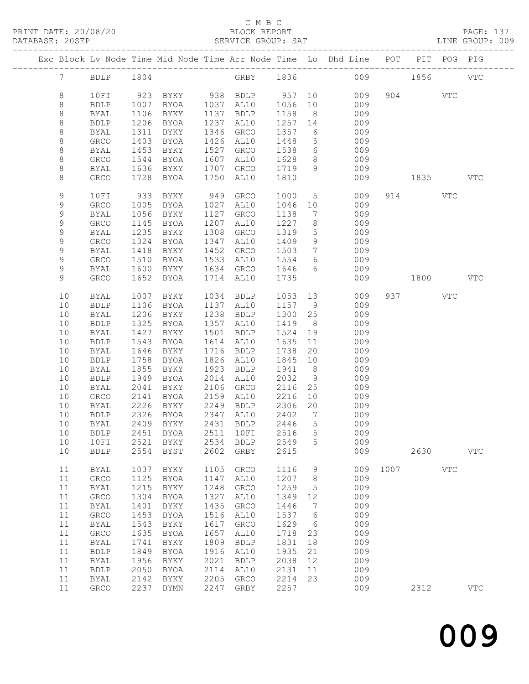### C M B C<br>BLOCK REPORT SERVICE GROUP: SAT

|  |                            |                             |              |                                    |              |                     |              |                                   | Exc Block Lv Node Time Mid Node Time Arr Node Time Lo Dhd Line POT |      |          | PIT POG PIG |              |
|--|----------------------------|-----------------------------|--------------|------------------------------------|--------------|---------------------|--------------|-----------------------------------|--------------------------------------------------------------------|------|----------|-------------|--------------|
|  | $7\overline{ }$            | <b>BDLP</b>                 | 1804         |                                    |              | GRBY 1836           |              |                                   |                                                                    | 009  | 1856     |             | <b>VTC</b>   |
|  | $\,8\,$                    | 10FI                        |              | 923 BYKY 938 BDLP 957 10           |              |                     |              |                                   | 009                                                                |      | 904 VTC  |             |              |
|  | 8                          | BDLP                        | 1007         | BYOA                               |              | 1037 AL10           | 1056         | 10                                | 009                                                                |      |          |             |              |
|  | $\,8\,$                    | BYAL                        | 1106         | BYKY                               |              | 1137 BDLP           | 1158         | 8 <sup>8</sup>                    | 009                                                                |      |          |             |              |
|  | $\,8\,$                    | <b>BDLP</b>                 | 1206         | BYOA                               |              | 1237 AL10           | 1257 14      |                                   | 009                                                                |      |          |             |              |
|  | $\,8\,$                    | BYAL                        | 1311         | BYKY                               | 1346         | GRCO                | 1357         | 6                                 | 009                                                                |      |          |             |              |
|  | 8                          | GRCO                        | 1403         | BYOA                               | 1426         | AL10                | 1448         | $5\overline{)}$                   | 009                                                                |      |          |             |              |
|  | $\,8\,$                    | BYAL                        | 1453         | BYKY                               | 1527         | GRCO                | 1538         | $6\overline{6}$                   | 009                                                                |      |          |             |              |
|  | $\,8\,$                    | GRCO                        | 1544         | BYOA                               | 1607         | AL10                | 1628         | 8 <sup>8</sup>                    | 009                                                                |      |          |             |              |
|  | $\,8\,$                    | BYAL                        | 1636         | BYKY                               | 1707         | GRCO                | 1719         | 9                                 | 009                                                                |      |          |             |              |
|  | 8                          | GRCO                        | 1728         | BYOA                               | 1750         | AL10                | 1810         |                                   | 009                                                                |      | 1835 VTC |             |              |
|  | 9                          | 10FI                        | 933          | BYKY                               | 949          | GRCO                | 1000         | $5\overline{)}$                   | 009                                                                |      | 914      | <b>VTC</b>  |              |
|  | 9                          | GRCO                        | 1005         | BYOA                               | 1027         | AL10                | 1046         | 10                                | 009                                                                |      |          |             |              |
|  | 9                          | BYAL                        | 1056         | BYKY                               | 1127         | GRCO                | 1138         | $\overline{7}$                    | 009                                                                |      |          |             |              |
|  | 9                          | GRCO                        | 1145         | BYOA                               | 1207         | AL10                | 1227         | 8 <sup>8</sup>                    | 009                                                                |      |          |             |              |
|  | 9                          | BYAL                        | 1235         | BYKY                               | 1308         | GRCO                | 1319         | $5\phantom{.0}$                   | 009                                                                |      |          |             |              |
|  | $\mathsf 9$<br>$\mathsf 9$ | GRCO                        | 1324<br>1418 | BYOA<br>BYKY                       | 1347<br>1452 | AL10                | 1409         | 9<br>$7\phantom{.0}\phantom{.0}7$ | 009                                                                |      |          |             |              |
|  | 9                          | BYAL<br>GRCO                | 1510         | BYOA                               | 1533         | GRCO<br>AL10        | 1503<br>1554 | 6                                 | 009<br>009                                                         |      |          |             |              |
|  | 9                          | BYAL                        | 1600         | BYKY                               | 1634         | GRCO                | 1646         | 6                                 | 009                                                                |      |          |             |              |
|  | 9                          | GRCO                        | 1652         | BYOA                               |              | 1714 AL10           | 1735         |                                   | 009                                                                |      | 1800     |             | VTC          |
|  |                            |                             |              |                                    |              |                     |              |                                   |                                                                    |      |          |             |              |
|  | 10                         | BYAL                        | 1007         | BYKY                               | 1034         | BDLP                | 1053         |                                   | 13<br>009                                                          |      | 937      | VTC         |              |
|  | 10                         | <b>BDLP</b>                 | 1106         | BYOA                               |              | 1137 AL10           | 1157         | 9                                 | 009                                                                |      |          |             |              |
|  | 10<br>10                   | BYAL                        | 1206<br>1325 | BYKY                               | 1238<br>1357 | BDLP                | 1300         | 25<br>8 <sup>8</sup>              | 009                                                                |      |          |             |              |
|  | 10                         | <b>BDLP</b><br>BYAL         | 1427         | BYOA<br>BYKY                       | 1501         | AL10<br>BDLP        | 1419<br>1524 | 19                                | 009<br>009                                                         |      |          |             |              |
|  | 10                         | <b>BDLP</b>                 | 1543         | BYOA                               | 1614         | AL10                | 1635         | 11                                | 009                                                                |      |          |             |              |
|  | 10                         | BYAL                        | 1646         | BYKY                               | 1716         | BDLP                | 1738         | 20                                | 009                                                                |      |          |             |              |
|  | 10                         | <b>BDLP</b>                 | 1758         | BYOA                               | 1826         | AL10                | 1845         | 10                                | 009                                                                |      |          |             |              |
|  | 10                         | BYAL                        | 1855         | BYKY                               | 1923         | BDLP                | 1941         | 8 <sup>8</sup>                    | 009                                                                |      |          |             |              |
|  | 10                         | <b>BDLP</b>                 | 1949         | BYOA                               | 2014         | AL10                | 2032         | 9                                 | 009                                                                |      |          |             |              |
|  | 10                         | BYAL                        | 2041         | BYKY                               | 2106         | GRCO                | 2116         | 25                                | 009                                                                |      |          |             |              |
|  | 10                         | GRCO                        | 2141         | BYOA                               | 2159         | AL10                | 2216         | 10                                | 009                                                                |      |          |             |              |
|  | 10                         | BYAL                        | 2226         | BYKY                               |              | 2249 BDLP           | 2306         | 20                                | 009                                                                |      |          |             |              |
|  | 10                         | <b>BDLP</b>                 | 2326         | BYOA                               |              | 2347 AL10           | 2402         | $\overline{7}$                    | 009                                                                |      |          |             |              |
|  | 10                         | <b>BYAL</b>                 | 2409         | BYKY                               |              | 2431 BDLP           | 2446         | $5\overline{)}$                   | 009                                                                |      |          |             |              |
|  |                            |                             |              | 10 BDLP 2451 BYOA 2511 10FI 2516 5 | 2534         |                     |              |                                   | 009                                                                |      |          |             |              |
|  | 10<br>10                   | 10FI<br><b>BDLP</b>         | 2521<br>2554 | BYKY<br><b>BYST</b>                | 2602         | <b>BDLP</b><br>GRBY | 2549<br>2615 | 5                                 | 009<br>009                                                         |      | 2630     |             | $_{\rm VTC}$ |
|  |                            |                             |              |                                    |              |                     |              |                                   |                                                                    |      |          |             |              |
|  | 11                         | <b>BYAL</b>                 | 1037         | BYKY                               | 1105         | GRCO                | 1116         | 9                                 | 009                                                                | 1007 |          | <b>VTC</b>  |              |
|  | 11                         | ${\tt GRCO}$                | 1125         | <b>BYOA</b>                        | 1147         | AL10                | 1207         | 8                                 | 009                                                                |      |          |             |              |
|  | 11                         | <b>BYAL</b>                 | 1215         | BYKY                               | 1248         | GRCO                | 1259         | 5                                 | 009                                                                |      |          |             |              |
|  | 11                         | GRCO                        | 1304         | BYOA                               | 1327         | AL10                | 1349         | 12                                | 009                                                                |      |          |             |              |
|  | 11<br>11                   | <b>BYAL</b><br>${\tt GRCO}$ | 1401<br>1453 | BYKY<br><b>BYOA</b>                | 1435<br>1516 | GRCO<br>AL10        | 1446<br>1537 | 7<br>6                            | 009<br>009                                                         |      |          |             |              |
|  | 11                         | BYAL                        | 1543         | BYKY                               | 1617         | GRCO                | 1629         | - 6                               | 009                                                                |      |          |             |              |
|  | 11                         | ${\tt GRCO}$                | 1635         | BYOA                               | 1657         | AL10                | 1718         | 23                                | 009                                                                |      |          |             |              |
|  | 11                         | <b>BYAL</b>                 | 1741         | BYKY                               | 1809         | <b>BDLP</b>         | 1831         | 18                                | 009                                                                |      |          |             |              |
|  | 11                         | ${\tt BDLP}$                | 1849         | <b>BYOA</b>                        | 1916         | AL10                | 1935         | 21                                | 009                                                                |      |          |             |              |
|  | 11                         | <b>BYAL</b>                 | 1956         | BYKY                               | 2021         | <b>BDLP</b>         | 2038         | 12                                | 009                                                                |      |          |             |              |
|  | 11                         | ${\tt BDLP}$                | 2050         | <b>BYOA</b>                        | 2114         | AL10                | 2131         | 11                                | 009                                                                |      |          |             |              |
|  | 11                         | <b>BYAL</b>                 | 2142         | BYKY                               | 2205         | GRCO                | 2214         | 23                                | 009                                                                |      |          |             |              |
|  | 11                         | GRCO                        | 2237         | <b>BYMN</b>                        | 2247         | GRBY                | 2257         |                                   | 009                                                                |      | 2312     |             | <b>VTC</b>   |
|  |                            |                             |              |                                    |              |                     |              |                                   |                                                                    |      |          |             |              |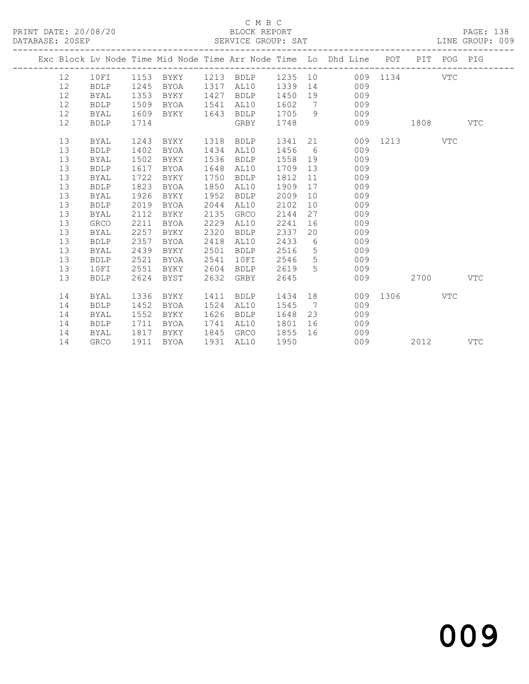### C M B C<br>BLOCK REPORT SERVICE GROUP: SAT

|  |    |             |      |             |      |                             |      |                 | Exc Block Lv Node Time Mid Node Time Arr Node Time Lo Dhd Line POT |              | PIT POG PIG |            |
|--|----|-------------|------|-------------|------|-----------------------------|------|-----------------|--------------------------------------------------------------------|--------------|-------------|------------|
|  | 12 | 10FI        |      |             |      | 1153 BYKY 1213 BDLP 1235 10 |      |                 |                                                                    | 009 1134 VTC |             |            |
|  | 12 | <b>BDLP</b> | 1245 | BYOA        | 1317 | AL10                        | 1339 |                 | 14 \,<br>009                                                       |              |             |            |
|  | 12 | <b>BYAL</b> | 1353 | BYKY        | 1427 | <b>BDLP</b>                 | 1450 |                 | 009<br>19                                                          |              |             |            |
|  | 12 | <b>BDLP</b> | 1509 | BYOA        | 1541 | AL10                        | 1602 | $\overline{7}$  | 009                                                                |              |             |            |
|  | 12 | BYAL        | 1609 | BYKY        | 1643 | <b>BDLP</b>                 | 1705 | 9               | 009                                                                |              |             |            |
|  | 12 | <b>BDLP</b> | 1714 |             |      | GRBY                        | 1748 |                 | 009                                                                | 1808         |             | VTC        |
|  | 13 | <b>BYAL</b> | 1243 | BYKY        | 1318 | BDLP                        | 1341 |                 |                                                                    | 009 1213     | VTC         |            |
|  | 13 | <b>BDLP</b> | 1402 | BYOA        | 1434 | AL10                        | 1456 | $6\overline{6}$ | 009                                                                |              |             |            |
|  | 13 | <b>BYAL</b> | 1502 | BYKY        | 1536 | <b>BDLP</b>                 | 1558 | 19              | 009                                                                |              |             |            |
|  | 13 | <b>BDLP</b> | 1617 | BYOA        | 1648 | AL10                        | 1709 | 13              | 009                                                                |              |             |            |
|  | 13 | <b>BYAL</b> | 1722 | BYKY        | 1750 | <b>BDLP</b>                 | 1812 | 11              | 009                                                                |              |             |            |
|  | 13 | <b>BDLP</b> | 1823 | BYOA        | 1850 | AL10                        | 1909 | 17              | 009                                                                |              |             |            |
|  | 13 | BYAL        | 1926 | BYKY        | 1952 | <b>BDLP</b>                 | 2009 | 10              | 009                                                                |              |             |            |
|  | 13 | <b>BDLP</b> | 2019 | BYOA        | 2044 | AL10                        | 2102 | 10              | 009                                                                |              |             |            |
|  | 13 | <b>BYAL</b> | 2112 | BYKY        | 2135 | GRCO                        | 2144 | 27              | 009                                                                |              |             |            |
|  | 13 | <b>GRCO</b> | 2211 | <b>BYOA</b> | 2229 | AL10                        | 2241 | 16              | 009                                                                |              |             |            |
|  | 13 | BYAL        | 2257 | BYKY        | 2320 | <b>BDLP</b>                 | 2337 | 20              | 009                                                                |              |             |            |
|  | 13 | <b>BDLP</b> | 2357 | <b>BYOA</b> | 2418 | AL10                        | 2433 | 6               | 009                                                                |              |             |            |
|  | 13 | BYAL        | 2439 | BYKY        | 2501 | <b>BDLP</b>                 | 2516 | $5\overline{)}$ | 009                                                                |              |             |            |
|  | 13 | <b>BDLP</b> | 2521 | <b>BYOA</b> | 2541 | 10FI                        | 2546 | 5               | 009                                                                |              |             |            |
|  | 13 | 10FI        | 2551 | BYKY        | 2604 | <b>BDLP</b>                 | 2619 | 5 <sup>1</sup>  | 009                                                                |              |             |            |
|  | 13 | <b>BDLP</b> | 2624 | BYST        | 2632 | GRBY                        | 2645 |                 | 009                                                                | 2700         |             | <b>VTC</b> |
|  | 14 | <b>BYAL</b> | 1336 | BYKY        | 1411 | <b>BDLP</b>                 | 1434 |                 | 18                                                                 | 009 1306     | <b>VTC</b>  |            |
|  | 14 | <b>BDLP</b> | 1452 | <b>BYOA</b> | 1524 | AL10                        | 1545 | $\overline{7}$  | 009                                                                |              |             |            |
|  | 14 | BYAL        | 1552 | BYKY        | 1626 | <b>BDLP</b>                 | 1648 | 23              | 009                                                                |              |             |            |
|  | 14 | <b>BDLP</b> | 1711 | BYOA        | 1741 | AL10                        | 1801 | 16              | 009                                                                |              |             |            |
|  | 14 | BYAL        | 1817 | BYKY        | 1845 | GRCO                        | 1855 | 16              | 009                                                                |              |             |            |
|  | 14 | <b>GRCO</b> | 1911 | BYOA        | 1931 | AL10                        | 1950 |                 | 009                                                                | 2012         |             | VTC        |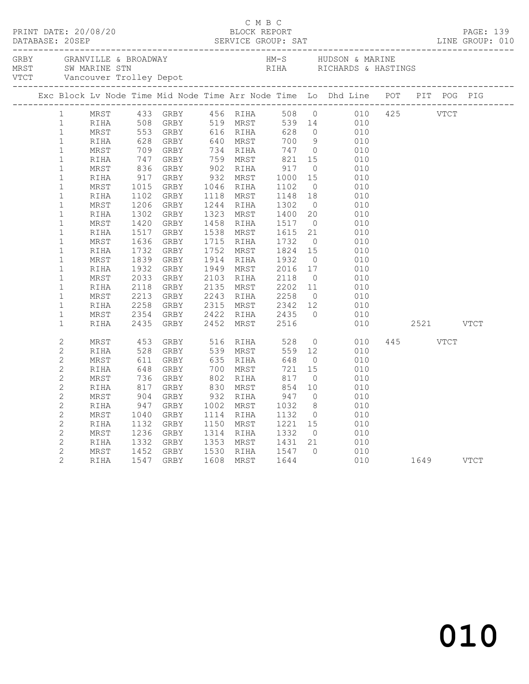|  |                   |            |  |  |                                                        | Exc Block Lv Node Time Mid Node Time Arr Node Time Lo Dhd Line POT PIT POG PIG<br>11 11 12 GRBY 1981 MRST 1400 20 010<br>11 11 1608 GRBY 1988 MRST 553 GRBY 516 RTHA 508 0 010 425<br>11 1608 GRBY 516 RTHA 628 0 010 425<br>11 1608 GRBY 616 RTHA 628 0 010<br>11 11 628 GRBY 640 MRST 700 9 010<br>11 11 747 GRBY 640 MR |          |  |  |
|--|-------------------|------------|--|--|--------------------------------------------------------|----------------------------------------------------------------------------------------------------------------------------------------------------------------------------------------------------------------------------------------------------------------------------------------------------------------------------|----------|--|--|
|  | $1 \qquad \qquad$ |            |  |  |                                                        |                                                                                                                                                                                                                                                                                                                            |          |  |  |
|  | $\mathbf{1}$      |            |  |  |                                                        |                                                                                                                                                                                                                                                                                                                            |          |  |  |
|  | $\mathbf{1}$      |            |  |  |                                                        |                                                                                                                                                                                                                                                                                                                            |          |  |  |
|  | $\mathbf{1}$      |            |  |  |                                                        |                                                                                                                                                                                                                                                                                                                            |          |  |  |
|  | $\mathbf{1}$      |            |  |  |                                                        |                                                                                                                                                                                                                                                                                                                            |          |  |  |
|  | $\mathbf{1}$      |            |  |  |                                                        |                                                                                                                                                                                                                                                                                                                            |          |  |  |
|  | $1\,$             |            |  |  |                                                        |                                                                                                                                                                                                                                                                                                                            |          |  |  |
|  | $1\,$             |            |  |  |                                                        |                                                                                                                                                                                                                                                                                                                            |          |  |  |
|  | $\mathbf{1}$      |            |  |  |                                                        |                                                                                                                                                                                                                                                                                                                            |          |  |  |
|  | $\mathbf 1$       |            |  |  |                                                        |                                                                                                                                                                                                                                                                                                                            |          |  |  |
|  | $\mathbf 1$       |            |  |  |                                                        |                                                                                                                                                                                                                                                                                                                            |          |  |  |
|  | $1\,$             |            |  |  |                                                        |                                                                                                                                                                                                                                                                                                                            |          |  |  |
|  | $\mathbf 1$       |            |  |  |                                                        |                                                                                                                                                                                                                                                                                                                            |          |  |  |
|  | $\mathbf 1$       |            |  |  |                                                        |                                                                                                                                                                                                                                                                                                                            |          |  |  |
|  | $\mathbf 1$       |            |  |  |                                                        |                                                                                                                                                                                                                                                                                                                            |          |  |  |
|  | $\mathbf 1$       |            |  |  |                                                        |                                                                                                                                                                                                                                                                                                                            |          |  |  |
|  | $\mathbf 1$       |            |  |  |                                                        |                                                                                                                                                                                                                                                                                                                            |          |  |  |
|  | $\mathbf 1$       |            |  |  |                                                        |                                                                                                                                                                                                                                                                                                                            |          |  |  |
|  | $\mathbf{1}$      |            |  |  |                                                        |                                                                                                                                                                                                                                                                                                                            |          |  |  |
|  | $\mathbf{1}$      |            |  |  |                                                        |                                                                                                                                                                                                                                                                                                                            |          |  |  |
|  | $\mathbf{1}$      |            |  |  |                                                        |                                                                                                                                                                                                                                                                                                                            |          |  |  |
|  | $\mathbf 1$       |            |  |  |                                                        |                                                                                                                                                                                                                                                                                                                            |          |  |  |
|  | $\mathbf 1$       |            |  |  |                                                        | 2354 GRBY 2422 RIHA 2435 0 010<br>2435 GRBY 2452 MRST 2516 010                                                                                                                                                                                                                                                             |          |  |  |
|  | $\mathbf 1$       | RIHA       |  |  |                                                        |                                                                                                                                                                                                                                                                                                                            |          |  |  |
|  | $\mathbf{2}$      | MRST       |  |  | 453 GRBY 516 RIHA 528                                  | $0$ $010$                                                                                                                                                                                                                                                                                                                  | 445 VTCT |  |  |
|  | $\overline{c}$    | RIHA       |  |  |                                                        | $559$ 12                                                                                                                                                                                                                                                                                                                   |          |  |  |
|  | $\overline{c}$    | MRST       |  |  |                                                        |                                                                                                                                                                                                                                                                                                                            |          |  |  |
|  | $\mathbf{2}$      | RIHA       |  |  |                                                        |                                                                                                                                                                                                                                                                                                                            |          |  |  |
|  | $\mathbf{2}$      | MRST       |  |  |                                                        |                                                                                                                                                                                                                                                                                                                            |          |  |  |
|  | $\mathbf{2}$      | RIHA       |  |  |                                                        |                                                                                                                                                                                                                                                                                                                            |          |  |  |
|  | $\mathbf{2}$      | $\tt MRST$ |  |  |                                                        |                                                                                                                                                                                                                                                                                                                            |          |  |  |
|  | $\overline{c}$    | RIHA       |  |  |                                                        | 453 GRBY 516 RIHA 528 0 010<br>528 GRBY 539 MRST 559 12 010<br>611 GRBY 635 RIHA 648 0 010<br>648 GRBY 700 MRST 721 15 010<br>736 GRBY 802 RIHA 817 0 010<br>817 GRBY 830 MRST 854 10 010<br>904 GRBY 932 RIHA 947 0 010<br>947 GRBY 932 RIHA 947 0                                                                        |          |  |  |
|  | $\mathbf{2}$      | MRST       |  |  |                                                        |                                                                                                                                                                                                                                                                                                                            |          |  |  |
|  | $\mathbf{2}$      | RIHA       |  |  |                                                        |                                                                                                                                                                                                                                                                                                                            |          |  |  |
|  | $\mathbf{2}$      | MRST       |  |  |                                                        |                                                                                                                                                                                                                                                                                                                            |          |  |  |
|  | $\mathbf{2}$      | RIHA       |  |  |                                                        |                                                                                                                                                                                                                                                                                                                            |          |  |  |
|  | $\mathbf{2}$      | MRST       |  |  | 1452 GRBY 1530 RIHA 1547 0<br>1547 GRBY 1608 MRST 1644 | $0$ $010$<br>$010$ $1649$ VTCT                                                                                                                                                                                                                                                                                             |          |  |  |
|  | $\overline{2}$    | RIHA       |  |  |                                                        |                                                                                                                                                                                                                                                                                                                            |          |  |  |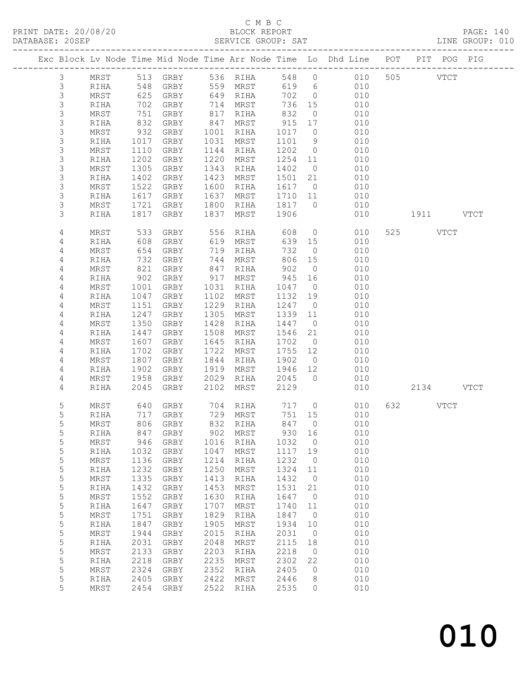### C M B C<br>BLOCK REPORT SERVICE GROUP: SAT

|                            |              |              |              |              |                     |              |                      | Exc Block Lv Node Time Mid Node Time Arr Node Time Lo Dhd Line POT |     |        | PIT POG PIG |             |
|----------------------------|--------------|--------------|--------------|--------------|---------------------|--------------|----------------------|--------------------------------------------------------------------|-----|--------|-------------|-------------|
| 3                          | MRST         | 513          | GRBY         |              | 536 RIHA            | 548          | $\circ$              | 010                                                                |     | 505    | <b>VTCT</b> |             |
| 3                          | RIHA         | 548          | GRBY         | 559          | MRST                | 619          | 6                    | 010                                                                |     |        |             |             |
| $\mathsf 3$                | MRST         | 625          | GRBY         | 649          | RIHA                | 702          | $\overline{0}$       | 010                                                                |     |        |             |             |
| $\mathfrak{Z}$             | RIHA         | 702          | GRBY         | 714          | MRST                | 736          | 15                   | 010                                                                |     |        |             |             |
| $\mathfrak{Z}$             | MRST         | 751          | GRBY         | 817          | RIHA                | 832          | $\overline{0}$       | 010                                                                |     |        |             |             |
| $\mathfrak{Z}$             | RIHA         | 832          | GRBY         | 847          | MRST                | 915          | 17                   | 010                                                                |     |        |             |             |
| $\mathsf 3$                | MRST         | 932          | GRBY         | 1001         | RIHA                | 1017         | $\overline{0}$       | 010                                                                |     |        |             |             |
| $\mathsf 3$                | RIHA         | 1017         | GRBY         | 1031         | MRST                | 1101         | 9                    | 010                                                                |     |        |             |             |
| $\mathfrak{Z}$             | MRST         | 1110         | GRBY         | 1144         | RIHA                | 1202         | $\overline{0}$       | 010                                                                |     |        |             |             |
| $\mathsf 3$                | RIHA         | 1202         | GRBY         | 1220         | MRST                | 1254         | 11                   | 010                                                                |     |        |             |             |
| $\mathsf 3$                | MRST         | 1305         | GRBY         | 1343         | RIHA                | 1402         | $\overline{0}$       | 010                                                                |     |        |             |             |
| $\mathsf 3$<br>3           | RIHA         | 1402         | GRBY         | 1423<br>1600 | MRST                | 1501<br>1617 | 21                   | 010<br>010                                                         |     |        |             |             |
| 3                          | MRST<br>RIHA | 1522<br>1617 | GRBY<br>GRBY | 1637         | RIHA<br>MRST        | 1710         | $\overline{0}$<br>11 | 010                                                                |     |        |             |             |
| $\mathsf 3$                | MRST         | 1721         | GRBY         | 1800         | RIHA                | 1817         | $\overline{0}$       | 010                                                                |     |        |             |             |
| 3                          | RIHA         | 1817         | GRBY         | 1837         | MRST                | 1906         |                      | 010                                                                |     | 1911 \ |             | <b>VTCT</b> |
|                            |              |              |              |              |                     |              |                      |                                                                    |     |        |             |             |
| 4                          | MRST         | 533          | GRBY         | 556          | RIHA                | 608          | $\overline{0}$       | 010                                                                | 525 |        | <b>VTCT</b> |             |
| 4                          | RIHA         | 608          | GRBY         | 619          | MRST                | 639          | 15                   | 010                                                                |     |        |             |             |
| 4                          | MRST         | 654          | GRBY         | 719          | RIHA                | 732          | $\overline{0}$       | 010                                                                |     |        |             |             |
| 4                          | RIHA         | 732          | GRBY         | 744          | MRST                | 806          | 15                   | 010                                                                |     |        |             |             |
| 4                          | MRST         | 821<br>902   | GRBY         | 847          | RIHA                | 902<br>945   | $\overline{0}$       | 010<br>010                                                         |     |        |             |             |
| 4<br>$\overline{4}$        | RIHA<br>MRST | 1001         | GRBY<br>GRBY | 917<br>1031  | MRST<br>RIHA        | 1047         | 16<br>$\overline{0}$ | 010                                                                |     |        |             |             |
| 4                          | RIHA         | 1047         | GRBY         | 1102         | MRST                | 1132         | 19                   | 010                                                                |     |        |             |             |
| 4                          | MRST         | 1151         | GRBY         | 1229         | RIHA                | 1247         | $\overline{0}$       | 010                                                                |     |        |             |             |
| 4                          | RIHA         | 1247         | GRBY         | 1305         | MRST                | 1339         | 11                   | 010                                                                |     |        |             |             |
| 4                          | MRST         | 1350         | GRBY         | 1428         | RIHA                | 1447         | $\overline{0}$       | 010                                                                |     |        |             |             |
| 4                          | RIHA         | 1447         | GRBY         | 1508         | MRST                | 1546         | 21                   | 010                                                                |     |        |             |             |
| 4                          | MRST         | 1607         | GRBY         | 1645         | RIHA                | 1702         | $\overline{0}$       | 010                                                                |     |        |             |             |
| 4                          | RIHA         | 1702         | GRBY         | 1722         | MRST                | 1755         | 12                   | 010                                                                |     |        |             |             |
| 4                          | MRST         | 1807         | GRBY         | 1844         | RIHA                | 1902         | $\overline{0}$       | 010                                                                |     |        |             |             |
| 4                          | RIHA         | 1902         | GRBY         | 1919         | MRST                | 1946         | 12                   | 010                                                                |     |        |             |             |
| 4                          | MRST         | 1958         | GRBY         | 2029         | RIHA                | 2045         | $\overline{0}$       | 010                                                                |     |        |             |             |
| 4                          | RIHA         | 2045         | GRBY         | 2102         | MRST                | 2129         |                      | 010                                                                |     | 2134   |             | <b>VTCT</b> |
| 5                          | MRST         | 640          | GRBY         | 704          | RIHA                | 717          | $\overline{0}$       | 010                                                                | 632 |        | VTCT        |             |
| 5                          | RIHA         | 717          | GRBY         | 729          | MRST                | 751          | 15                   | 010                                                                |     |        |             |             |
| 5                          | MRST         |              | 806 GRBY     |              | 832 RIHA            | 847          | $\overline{0}$       | 010                                                                |     |        |             |             |
| 5                          | <b>RIHA</b>  |              | 847 GRBY     |              | 902 MRST            | 930 16       |                      | 010                                                                |     |        |             |             |
| 5                          | MRST         | 946          | GRBY         | 1016         | RIHA                | 1032         | $\circ$              | 010                                                                |     |        |             |             |
| 5                          | RIHA         | 1032         | GRBY         | 1047         | MRST                | 1117         | 19                   | 010                                                                |     |        |             |             |
| $\mathsf S$<br>$\mathsf S$ | MRST         | 1136<br>1232 | GRBY         | 1214         | RIHA                | 1232         | 0                    | 010<br>010                                                         |     |        |             |             |
| $\mathsf S$                | RIHA<br>MRST | 1335         | GRBY<br>GRBY | 1250<br>1413 | MRST<br><b>RIHA</b> | 1324<br>1432 | 11<br>$\circ$        | 010                                                                |     |        |             |             |
| 5                          | RIHA         | 1432         | GRBY         | 1453         | MRST                | 1531         | 21                   | 010                                                                |     |        |             |             |
| 5                          | MRST         | 1552         | GRBY         | 1630         | RIHA                | 1647         | 0                    | 010                                                                |     |        |             |             |
| $\mathsf S$                | RIHA         | 1647         | GRBY         | 1707         | MRST                | 1740         | 11                   | 010                                                                |     |        |             |             |
| $\mathsf S$                | MRST         | 1751         | GRBY         | 1829         | RIHA                | 1847         | $\overline{0}$       | 010                                                                |     |        |             |             |
| $\mathsf S$                | RIHA         | 1847         | GRBY         | 1905         | MRST                | 1934         | 10                   | 010                                                                |     |        |             |             |
| $\mathsf S$                | MRST         | 1944         | GRBY         | 2015         | RIHA                | 2031         | $\circ$              | 010                                                                |     |        |             |             |
| $\mathsf S$                | RIHA         | 2031         | GRBY         | 2048         | MRST                | 2115         | 18                   | 010                                                                |     |        |             |             |
| $\mathsf S$                | MRST         | 2133         | GRBY         | 2203         | RIHA                | 2218         | $\circ$              | 010                                                                |     |        |             |             |
| 5                          | RIHA         | 2218         | ${\tt GRBY}$ | 2235         | MRST                | 2302         | 22                   | 010                                                                |     |        |             |             |
| 5                          | MRST         | 2324         | GRBY         | 2352         | RIHA                | 2405         | 0                    | 010                                                                |     |        |             |             |
| 5<br>5                     | RIHA         | 2405<br>2454 | ${\tt GRBY}$ | 2422<br>2522 | MRST                | 2446<br>2535 | 8                    | 010<br>010                                                         |     |        |             |             |
|                            | MRST         |              | GRBY         |              | RIHA                |              | 0                    |                                                                    |     |        |             |             |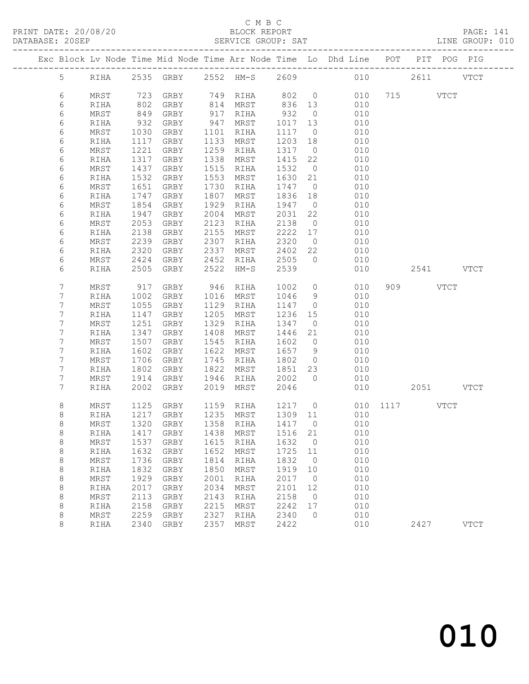| DATABASE: 20SEP |         |              |              | --------------------------                                                     |              |               | SERVICE GROUP: SAT                                     |                |                      |              |  |           | LINE GROUP: 010 |  |
|-----------------|---------|--------------|--------------|--------------------------------------------------------------------------------|--------------|---------------|--------------------------------------------------------|----------------|----------------------|--------------|--|-----------|-----------------|--|
|                 |         |              |              | Exc Block Lv Node Time Mid Node Time Arr Node Time Lo Dhd Line POT PIT POG PIG |              |               |                                                        |                |                      |              |  |           |                 |  |
|                 |         |              |              | 5 RIHA 2535 GRBY 2552 HM-S 2609 010 2611 VTCT                                  |              |               |                                                        |                |                      |              |  |           |                 |  |
|                 | 6       | MRST         |              | 723 GRBY 749 RIHA 802 0                                                        |              |               |                                                        |                |                      | 010 715 VTCT |  |           |                 |  |
|                 | 6       | RIHA         | 802          | GRBY                                                                           |              |               |                                                        |                |                      | 010          |  |           |                 |  |
|                 | 6       | MRST         | 849          | GRBY                                                                           |              | .<br>917 RIHA | 814 MRST       836   13<br>917   RIHA        932     0 |                |                      | 010          |  |           |                 |  |
|                 | 6       | RIHA         | 932          | GRBY                                                                           |              | 947 MRST      | 1017                                                   | 13             |                      | 010          |  |           |                 |  |
|                 | 6       | MRST         | 1030         | GRBY                                                                           | 1101         | RIHA          | 1117                                                   | $\overline{0}$ |                      | 010          |  |           |                 |  |
|                 | 6       | RIHA         | 1117         | GRBY                                                                           |              | 1133 MRST     | 1203 18                                                |                |                      | 010          |  |           |                 |  |
|                 | 6       | MRST         | 1221         | GRBY                                                                           |              | 1259 RIHA     | 1317 0                                                 |                |                      | 010          |  |           |                 |  |
|                 | 6       | RIHA         | 1317         | GRBY                                                                           | 1338         | MRST          | 1415                                                   | 22             |                      | 010          |  |           |                 |  |
|                 | 6       | MRST         | 1437         | GRBY                                                                           | 1515         | RIHA          | 1532                                                   | $\overline{0}$ |                      | 010          |  |           |                 |  |
|                 | 6       | RIHA         | 1532         | GRBY                                                                           | 1553         | MRST          | 1630 21                                                |                |                      | 010          |  |           |                 |  |
|                 | 6       | MRST         | 1651         | GRBY                                                                           |              | 1730 RIHA     | 1747                                                   | $\overline{0}$ |                      | 010          |  |           |                 |  |
|                 | 6       | RIHA         | 1747         | GRBY                                                                           | 1807         | MRST          | 1836                                                   | 18             |                      | 010          |  |           |                 |  |
|                 | 6       | MRST         | 1854         | GRBY                                                                           | 1929         | RIHA          | 1947                                                   | $\overline{0}$ |                      | 010          |  |           |                 |  |
|                 | 6       | RIHA         | 1947         | GRBY                                                                           | 2004         | MRST          | 2031                                                   | 22             |                      | 010          |  |           |                 |  |
|                 | 6       | MRST         | 2053         | GRBY                                                                           | 2123         | RIHA          | 2138                                                   | $\overline{0}$ |                      | 010          |  |           |                 |  |
|                 | 6<br>6  | RIHA         | 2138<br>2239 | GRBY                                                                           | 2155         | MRST          | 2222 17<br>2320                                        | $\overline{0}$ |                      | 010<br>010   |  |           |                 |  |
|                 | 6       | MRST<br>RIHA | 2320         | GRBY<br>GRBY                                                                   | 2307<br>2337 | RIHA<br>MRST  | 2402 22                                                |                |                      | 010          |  |           |                 |  |
|                 | 6       | MRST         | 2424         | GRBY                                                                           |              | 2452 RIHA     | 2505                                                   | $\bigcirc$     |                      | 010          |  |           |                 |  |
|                 | 6       | RIHA         | 2505         | GRBY                                                                           | 2522         | HM-S          | 2539                                                   |                |                      | 010          |  | 2541 VTCT |                 |  |
|                 |         |              |              |                                                                                |              |               |                                                        |                |                      |              |  |           |                 |  |
|                 | 7       | MRST         | 917          | GRBY                                                                           |              | 946 RIHA      | 1002                                                   | $\overline{0}$ |                      | 010          |  | 909 VTCT  |                 |  |
|                 | 7       | RIHA         | 1002         | GRBY                                                                           |              | 1016 MRST     | 1046                                                   | 9              |                      | 010          |  |           |                 |  |
|                 | 7       | MRST         | 1055         | GRBY                                                                           |              | 1129 RIHA     | 1147                                                   | $\overline{0}$ |                      | 010          |  |           |                 |  |
|                 | 7       | RIHA         | 1147         | GRBY                                                                           | 1205         | MRST          | 1236                                                   | 15             |                      | 010          |  |           |                 |  |
|                 | 7       | MRST         | 1251         | GRBY                                                                           | 1329         | RIHA          | 1347                                                   | $\overline{0}$ |                      | 010          |  |           |                 |  |
|                 | 7       | RIHA         | 1347         | GRBY                                                                           |              | 1408 MRST     | 1446                                                   | 21             |                      | 010          |  |           |                 |  |
|                 | 7       | MRST         | 1507         | GRBY                                                                           |              | 1545 RIHA     | 1602                                                   | $\overline{0}$ |                      | 010          |  |           |                 |  |
|                 | 7       | RIHA         | 1602         | GRBY                                                                           |              | 1622 MRST     | 1657                                                   | 9              |                      | 010          |  |           |                 |  |
|                 | 7       | MRST         | 1706         | GRBY                                                                           |              | 1745 RIHA     | 1802                                                   | $\overline{0}$ |                      | 010          |  |           |                 |  |
|                 | 7       | RIHA         | 1802         | GRBY                                                                           |              | 1822 MRST     | 1851                                                   | 23             |                      | 010          |  |           |                 |  |
|                 | 7       | MRST         | 1914         | GRBY                                                                           |              | 1946 RIHA     | 2002                                                   | $\overline{0}$ |                      | 010          |  |           |                 |  |
|                 | 7       | RIHA         | 2002         | GRBY                                                                           | 2019         | MRST          | 2046                                                   |                |                      | 010 00       |  | 2051 VTCT |                 |  |
|                 | 8       | MRST         | 1125         | GRBY                                                                           |              | 1159 RIHA     |                                                        |                | 1217 0 010 1117 VTCT |              |  |           |                 |  |
|                 | 8       | RIHA         |              | 1217 GRBY                                                                      |              |               | 1235 MRST 1309 11                                      |                |                      | 010          |  |           |                 |  |
|                 | 8       |              |              | MRST 1320 GRBY 1358 RIHA 1417 0 010                                            |              |               |                                                        |                |                      |              |  |           |                 |  |
|                 | 8       | RIHA         | 1417         | GRBY                                                                           | 1438         | MRST          | 1516                                                   | 21             |                      | 010          |  |           |                 |  |
|                 | $\,8\,$ | $\tt MRST$   | 1537         | GRBY                                                                           | 1615         | RIHA          | 1632                                                   | $\overline{0}$ |                      | 010          |  |           |                 |  |
|                 | $\,8\,$ | RIHA         | 1632         | GRBY                                                                           | 1652         | MRST          | 1725                                                   | 11             |                      | 010          |  |           |                 |  |
|                 | 8       | MRST         | 1736         | GRBY                                                                           | 1814         | RIHA          | 1832                                                   | $\overline{0}$ |                      | 010          |  |           |                 |  |
|                 | $\,8\,$ | RIHA         | 1832         | GRBY                                                                           | 1850         | MRST          | 1919                                                   | 10             |                      | 010          |  |           |                 |  |
|                 | $\,8\,$ | MRST         | 1929         | GRBY                                                                           | 2001         | RIHA          | 2017                                                   | $\overline{0}$ |                      | 010          |  |           |                 |  |
|                 | $\,8\,$ | RIHA         | 2017         | GRBY                                                                           | 2034         | MRST          | 2101                                                   | 12             |                      | 010          |  |           |                 |  |
|                 | 8       | MRST         | 2113         | GRBY                                                                           | 2143         | RIHA          | 2158                                                   | $\overline{0}$ |                      | 010          |  |           |                 |  |
|                 | 8       | RIHA         | 2158         | GRBY                                                                           | 2215         | MRST          | 2242                                                   | 17             |                      | 010          |  |           |                 |  |
|                 | 8<br>8  | MRST<br>RIHA | 2259         | GRBY<br>2340 GRBY                                                              | 2327<br>2357 | RIHA<br>MRST  | 2340<br>2422                                           | $\overline{0}$ |                      | 010<br>010   |  | 2427      | VTCT            |  |
|                 |         |              |              |                                                                                |              |               |                                                        |                |                      |              |  |           |                 |  |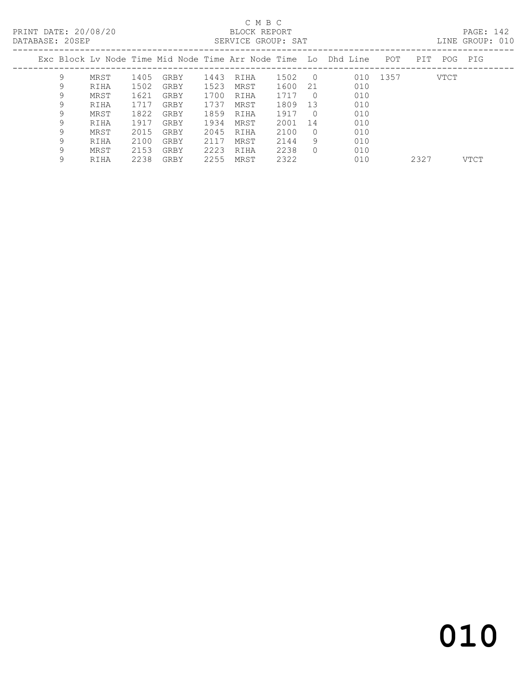#### C M B C<br>BLOCK REPORT DATABASE: 20SEP SERVICE GROUP: SAT LINE GROUP: 010

|   |      |                 |      |      |      |                              |            |                    |     |                                                                                 | TIME GRAAL: AIA |
|---|------|-----------------|------|------|------|------------------------------|------------|--------------------|-----|---------------------------------------------------------------------------------|-----------------|
|   |      |                 |      |      |      |                              |            |                    | POT | PIT<br>POG                                                                      | PIG             |
| 9 | MRST | 1405            | GRBY |      | RIHA | 1502                         | $\bigcirc$ |                    |     | VTCT                                                                            |                 |
| 9 | RIHA | 1502            | GRBY | 1523 | MRST | 1600                         | 21         | 010                |     |                                                                                 |                 |
| 9 | MRST | 1621            | GRBY |      | RIHA | 1717                         | $\bigcap$  | 010                |     |                                                                                 |                 |
| 9 | RIHA | 1717            | GRBY | 1737 | MRST | 1809                         | 13         | 010                |     |                                                                                 |                 |
| 9 | MRST | 1822            | GRBY |      | RIHA | 1917                         | $\Omega$   | 010                |     |                                                                                 |                 |
| 9 | RIHA | 1917            | GRBY | 1934 | MRST | 2001                         | 14         | 010                |     |                                                                                 |                 |
| 9 | MRST | 2015            | GRBY |      | RIHA | 2100                         | $\Omega$   | 010                |     |                                                                                 |                 |
| 9 | RIHA | 2100            | GRBY | 2117 | MRST | 2144                         | 9          | 010                |     |                                                                                 |                 |
| 9 | MRST | 2153            | GRBY | 2223 | RIHA | 2238                         | 0          | 010                |     |                                                                                 |                 |
|   |      | DAIADAJL. ZVJEF |      |      |      | 1443<br>1700<br>1859<br>2045 |            | SERVICE GRUUF. SAI |     | Exc Block Lv Node Time Mid Node Time Arr Node Time  Lo  Dhd Line  .<br>010 1357 |                 |

9 RIHA 2238 GRBY 2255 MRST 2322 010 2327 VTCT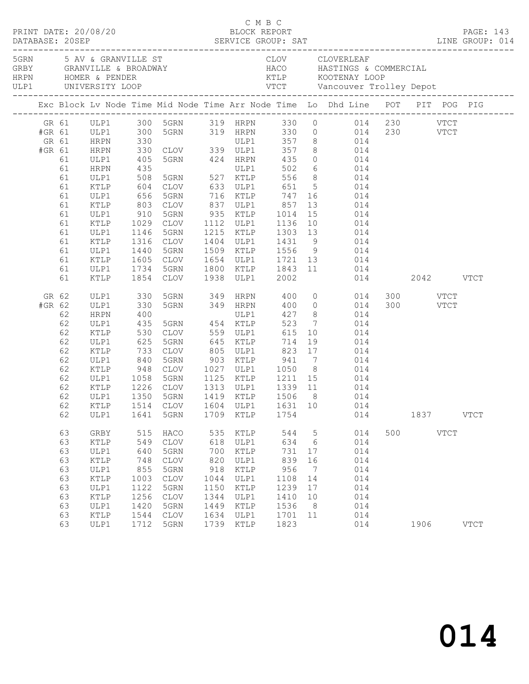|                           |                                                                                  |                                                                                                                      |                                                                                 |                                                                                                                             |                                                                                 | C M B C                                                                              |                                                                                 |                                                      |                                                                                                                                                                                                                                                                                                                                                                                                                                                 |     |      |             |             |
|---------------------------|----------------------------------------------------------------------------------|----------------------------------------------------------------------------------------------------------------------|---------------------------------------------------------------------------------|-----------------------------------------------------------------------------------------------------------------------------|---------------------------------------------------------------------------------|--------------------------------------------------------------------------------------|---------------------------------------------------------------------------------|------------------------------------------------------|-------------------------------------------------------------------------------------------------------------------------------------------------------------------------------------------------------------------------------------------------------------------------------------------------------------------------------------------------------------------------------------------------------------------------------------------------|-----|------|-------------|-------------|
|                           |                                                                                  |                                                                                                                      |                                                                                 |                                                                                                                             |                                                                                 |                                                                                      |                                                                                 |                                                      |                                                                                                                                                                                                                                                                                                                                                                                                                                                 |     |      |             |             |
|                           |                                                                                  |                                                                                                                      |                                                                                 |                                                                                                                             |                                                                                 |                                                                                      |                                                                                 |                                                      | Exc Block Lv Node Time Mid Node Time Arr Node Time Lo Dhd Line POT PIT POG PIG                                                                                                                                                                                                                                                                                                                                                                  |     |      |             |             |
| #GR 61<br>GR 61<br>#GR 61 | 61<br>61<br>61<br>61<br>61<br>61<br>61<br>61<br>61<br>61<br>61<br>61<br>61<br>61 | HRPN<br>ULP1<br>HRPN<br>ULP1<br>KTLP<br>ULP1<br>KTLP<br>ULP1<br>KTLP<br>ULP1<br>KTLP<br>ULP1<br>KTLP<br>ULP1<br>KTLP | 435<br>508<br>604<br>656<br>1146<br>1734<br>1854                                | 405 5GRN 424 HRPN 435<br>5GRN<br>5GRN<br>1316 CLOV<br>1440 5GRN<br>1605 CLOV<br>5GRN<br>CLOV                                |                                                                                 | 1938 ULP1                                                                            | 2002                                                                            |                                                      | GR 61 ULP1 300 5GRN 319 HRPN 330 0 014 230 VTCT<br>ULP1 300 5GRN 319 HRPN 330 0 014 230 VTCT<br>HRPN 330 ULP1 357 8 014<br>HRPN 330 CLOV 339 ULP1 357 8 014<br>$0$ $014$<br>716 KTLP 747 16 014<br>803 CLOV 837 ULP1 857 13 014<br>910 5GRN 935 KTLP 1014 15 014<br>1029 CLOV 1112 ULP1 1136 10 014<br>1215 KTLP 1303 13 014<br>1404 ULP1 1431 9 014<br>1509 KTLP 1556 9 014<br>1654 ULP1 1721 13 014<br>1800 KTLP 1843 11 014<br>014 2042 VTCT |     |      |             |             |
| GR 62<br>#GR 62           | 62<br>62<br>62<br>62<br>62<br>62<br>62<br>62<br>62<br>62<br>62                   | ULP1<br>ULP1<br>HRPN<br>ULP1<br>KTLP<br>ULP1<br>KTLP<br>ULP1<br>KTLP<br>ULP1<br>KTLP<br>ULP1<br>ULP1                 | 330<br>330<br>400<br>435<br>530<br>625<br>733<br>1641                           | ULP1<br>5GRN 454 KTLP<br>CLOV 559 ULP1<br>5GRN<br>CLOV<br>1350 5GRN<br>5GRN                                                 | 1709                                                                            | $645$ KTLP<br>1419 KTLP<br>KTLP                                                      | 523<br>615<br>714<br>1506 8<br>1754                                             |                                                      | 5GRN 349 HRPN 400 0 014 300 VTCT<br>5GRN 349 HRPN 400 0 014 300 VTCT<br>427 8 014<br>$\begin{array}{ccc}7 & 014 \\ 10 & 014 \end{array}$<br>$19$ $014$<br>805 ULP1 823 17 014<br>840 5GRN 903 KTLP 941 7 014<br>948 CLOV 1027 ULP1 1050 8 014<br>1058 5GRN 1125 KTLP 1211 15 014<br>1226 CLOV 1313 ULP1 1339 11 014<br>014<br>62 KTLP 1514 CLOV 1604 ULP1 1631 10 014<br>014                                                                    |     | 1837 |             | <b>VTCT</b> |
|                           | 63<br>63<br>63<br>63<br>63<br>63<br>63<br>63<br>63<br>63<br>63                   | GRBY<br>KTLP<br>ULP1<br>KTLP<br>ULP1<br>KTLP<br>ULP1<br>KTLP<br>ULP1<br>KTLP<br>ULP1                                 | 515<br>549<br>640<br>748<br>855<br>1003<br>1122<br>1256<br>1420<br>1544<br>1712 | HACO<br>$\mathtt{CLOV}$<br>5GRN<br><b>CLOV</b><br>5GRN<br><b>CLOV</b><br>5GRN<br><b>CLOV</b><br>5GRN<br><b>CLOV</b><br>5GRN | 535<br>618<br>700<br>820<br>918<br>1044<br>1150<br>1344<br>1449<br>1634<br>1739 | KTLP<br>ULP1<br>KTLP<br>ULP1<br>KTLP<br>ULP1<br>KTLP<br>ULP1<br>KTLP<br>ULP1<br>KTLP | 544<br>634<br>731<br>839<br>956<br>1108<br>1239<br>1410<br>1536<br>1701<br>1823 | 5<br>6<br>17<br>16<br>7<br>14<br>17<br>10<br>8<br>11 | 014<br>014<br>014<br>014<br>014<br>014<br>014<br>014<br>014<br>014<br>014                                                                                                                                                                                                                                                                                                                                                                       | 500 | 1906 | <b>VTCT</b> | <b>VTCT</b> |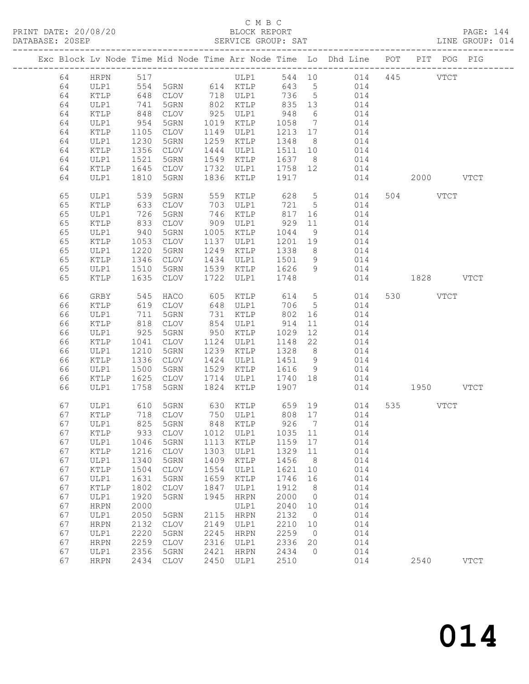## C M B C<br>BLOCK REPORT

| DATABASE: 20SEP |    |                 |                                                                                   |                           |      | SERVICE GROUP: SAT                                                 |         |                 |                                                                                |               | LINE GROUP: 014 |
|-----------------|----|-----------------|-----------------------------------------------------------------------------------|---------------------------|------|--------------------------------------------------------------------|---------|-----------------|--------------------------------------------------------------------------------|---------------|-----------------|
|                 |    |                 |                                                                                   |                           |      |                                                                    |         |                 | Exc Block Lv Node Time Mid Node Time Arr Node Time Lo Dhd Line POT PIT POG PIG |               |                 |
|                 |    | 64 HRPN 517     |                                                                                   |                           |      | ULP1                                                               |         |                 | 544 10 014 445 VTCT                                                            |               |                 |
|                 | 64 | ULP1            | 554                                                                               |                           |      | 5GRN 614 KTLP                                                      |         |                 | 643 5 014                                                                      |               |                 |
|                 | 64 | KTLP            | 648<br>741<br>848                                                                 |                           |      | CLOV 718 ULP1 736 5<br>5GRN 802 KTLP 835 13<br>CLOV 925 ULP1 948 6 |         |                 | 014                                                                            |               |                 |
|                 | 64 | ULP1            |                                                                                   |                           |      |                                                                    |         |                 | 014                                                                            |               |                 |
|                 | 64 | $\texttt{KTLP}$ |                                                                                   |                           |      |                                                                    |         |                 | 014                                                                            |               |                 |
|                 | 64 | ULP1            | 954                                                                               | 5GRN                      |      | 1019 KTLP                                                          | 1058    | $7\overline{ }$ | 014                                                                            |               |                 |
|                 | 64 | KTLP            | 1105                                                                              | CLOV                      |      | 1149 ULP1                                                          | 1213 17 |                 | 014                                                                            |               |                 |
|                 | 64 | ULP1            | 1230                                                                              | 5GRN                      |      | 1259 KTLP                                                          | 1348 8  |                 | 014                                                                            |               |                 |
|                 | 64 | KTLP            | 1356                                                                              | CLOV                      | 1444 | ULP1                                                               | 1511 10 |                 | 014                                                                            |               |                 |
|                 | 64 | ULP1            | 1521                                                                              | 5GRN                      |      | 1549 KTLP                                                          | 1637 8  |                 | 014                                                                            |               |                 |
|                 | 64 | KTLP            | 1645                                                                              | CLOV                      |      | 1732 ULP1                                                          | 1758 12 |                 | 014                                                                            |               |                 |
|                 | 64 | ULP1            | 1810                                                                              | 5GRN                      |      | 1836 KTLP                                                          | 1917    |                 | 014                                                                            | 2000 VTCT     |                 |
|                 | 65 | ULP1            | 539                                                                               | 5GRN                      | 559  | KTLP                                                               | 628     |                 | 5 <sub>5</sub><br>014                                                          | 504 VTCT      |                 |
|                 | 65 | KTLP            | 633                                                                               | CLOV                      |      | 703 ULP1                                                           | 721     | $5\overline{)}$ | 014                                                                            |               |                 |
|                 | 65 | ULP1            | 726                                                                               | 5GRN                      |      | 746 KTLP                                                           |         | 16              | 014                                                                            |               |                 |
|                 | 65 | KTLP            | $\begin{array}{c} \n \overline{\phantom{0}} \\  833 \\  \hline\n 1\n \end{array}$ | CLOV                      |      | $140$<br>909 ULP1                                                  | 81/929  | 11              | 014                                                                            |               |                 |
|                 | 65 | ULP1            | 940                                                                               | 5GRN                      |      | 1005 KTLP                                                          | 1044    | 9               | 014                                                                            |               |                 |
|                 | 65 | KTLP            | 1053                                                                              | CLOV                      |      | 1137 ULP1                                                          | 1201 19 |                 | 014                                                                            |               |                 |
|                 | 65 | ULP1            | 1220                                                                              | 5GRN                      |      | 1249 KTLP                                                          | 1338    | 8 <sup>8</sup>  | 014                                                                            |               |                 |
|                 | 65 | $\texttt{KTLP}$ | 1346                                                                              | CLOV                      |      | 1434 ULP1                                                          | 1501 9  |                 | 014                                                                            |               |                 |
|                 | 65 | ULP1            | 1510                                                                              | 5GRN                      |      | 1539 KTLP                                                          | 1626    | 9               | 014                                                                            |               |                 |
|                 | 65 | KTLP            | 1635                                                                              | CLOV                      | 1722 | ULP1                                                               | 1748    |                 |                                                                                | 014 1828 VTCT |                 |
|                 | 66 | GRBY            | 545                                                                               | HACO                      | 605  | KTLP                                                               | 614 5   |                 | 014                                                                            | 530 VTCT      |                 |
|                 | 66 | KTLP            | 619                                                                               | CLOV                      |      | 648 ULP1                                                           | 706     | 5 <sup>5</sup>  | 014                                                                            |               |                 |
|                 | 66 | ULP1            | 711                                                                               | 5GRN                      |      | 731 KTLP                                                           | 802     | 16              | 014                                                                            |               |                 |
|                 | 66 | KTLP            | 818                                                                               | CLOV                      |      | 854 ULP1                                                           | 914     | 11              | 014                                                                            |               |                 |
|                 | 66 | ULP1            | 925                                                                               | 5GRN                      |      | 950 KTLP                                                           | 1029    | 12              | 014                                                                            |               |                 |
|                 | 66 | KTLP            | 1041                                                                              | CLOV                      |      | 1124 ULP1                                                          | 1148    | 22              | 014                                                                            |               |                 |
|                 | 66 | ULP1            | 1210                                                                              | 5GRN                      |      | 1239 KTLP                                                          | 1328    | 8 <sup>8</sup>  | 014                                                                            |               |                 |
|                 | 66 | KTLP            | 1336                                                                              | CLOV                      |      | 1424 ULP1                                                          | 1451 9  |                 | 014                                                                            |               |                 |
|                 | 66 | ULP1            | 1500                                                                              | 5GRN                      |      | 1529 KTLP                                                          | 1616    | 9               | 014                                                                            |               |                 |
|                 | 66 | KTLP            | 1625                                                                              | CLOV                      |      | 1714 ULP1                                                          | 1740 18 |                 | 014                                                                            |               |                 |
|                 | 66 | ULP1            | 1758                                                                              | 5GRN                      | 1824 | KTLP                                                               | 1907    |                 |                                                                                | 014 1950 VTCT |                 |
|                 | 67 | ULP1            | 610                                                                               | 5GRN                      |      |                                                                    |         |                 |                                                                                | 535 VTCT      |                 |
|                 | 67 | KTLP            |                                                                                   | 718 CLOV                  |      |                                                                    |         |                 |                                                                                |               |                 |
|                 |    |                 |                                                                                   | 67 ULP1 825 5GRN 848 KTLP |      |                                                                    |         |                 | 926 7 014                                                                      |               |                 |
|                 | 67 | KTLP            | 933                                                                               | CLOV                      | 1012 | ULP1                                                               | 1035    | 11              | 014                                                                            |               |                 |
|                 | 67 | ULP1            | 1046                                                                              | 5GRN                      | 1113 | KTLP                                                               | 1159    | 17              | 014                                                                            |               |                 |
|                 | 67 | KTLP            | 1216                                                                              | <b>CLOV</b>               | 1303 | ULP1                                                               | 1329    | 11              | 014                                                                            |               |                 |
|                 | 67 | ULP1            | 1340                                                                              | 5GRN                      | 1409 | KTLP                                                               | 1456    | 8 <sup>8</sup>  | 014                                                                            |               |                 |
|                 | 67 | KTLP            | 1504                                                                              | CLOV                      | 1554 | ULP1                                                               | 1621    | 10              | 014                                                                            |               |                 |
|                 | 67 | ULP1            | 1631                                                                              | 5GRN                      | 1659 | KTLP                                                               | 1746    | 16              | 014                                                                            |               |                 |
|                 | 67 | KTLP            | 1802                                                                              | CLOV                      | 1847 | ULP1                                                               | 1912    | 8 <sup>8</sup>  | 014                                                                            |               |                 |
|                 | 67 | ULP1            | 1920                                                                              | 5GRN                      | 1945 | <b>HRPN</b>                                                        | 2000    | $\overline{0}$  | 014                                                                            |               |                 |
|                 | 67 | <b>HRPN</b>     | 2000                                                                              |                           |      | ULP1                                                               | 2040    | 10              | 014                                                                            |               |                 |
|                 | 67 | ULP1            | 2050                                                                              | 5GRN                      | 2115 | <b>HRPN</b>                                                        | 2132    | $\overline{0}$  | 014                                                                            |               |                 |
|                 | 67 | <b>HRPN</b>     | 2132                                                                              | $\mathtt{CLOV}$           | 2149 | ULP1                                                               | 2210    | 10              | 014                                                                            |               |                 |
|                 | 67 | ULP1            | 2220                                                                              | 5GRN                      | 2245 | <b>HRPN</b>                                                        | 2259    | $\overline{0}$  | 014                                                                            |               |                 |
|                 | 67 | <b>HRPN</b>     | 2259                                                                              | <b>CLOV</b>               | 2316 | ULP1                                                               | 2336    | 20              | 014                                                                            |               |                 |
|                 | 67 | ULP1            | 2356                                                                              | 5GRN                      | 2421 | <b>HRPN</b>                                                        | 2434    | $\overline{0}$  | 014                                                                            |               |                 |
|                 | 67 | <b>HRPN</b>     | 2434                                                                              | $\mathtt{CLOV}$           | 2450 | ULP1                                                               | 2510    |                 | 014                                                                            | 2540          | <b>VTCT</b>     |
|                 |    |                 |                                                                                   |                           |      |                                                                    |         |                 |                                                                                |               |                 |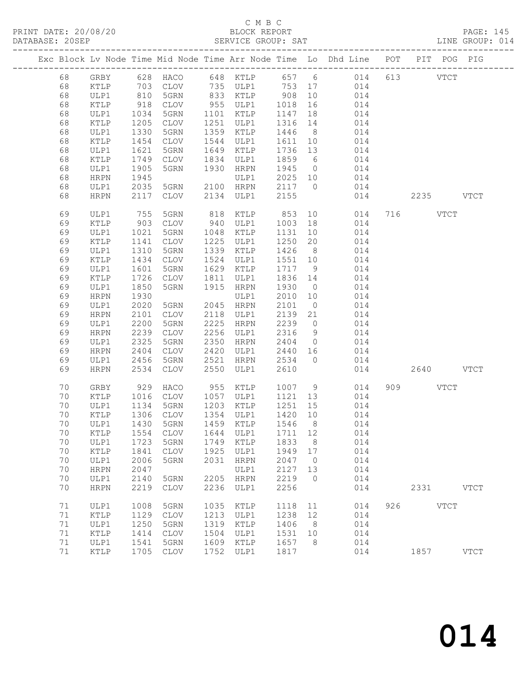|    |                                     |      |                            |      |                                                                                                                                                                                                                                              |         |                | Exc Block Lv Node Time Mid Node Time Arr Node Time Lo Dhd Line POT PIT POG PIG |     |           |             |             |
|----|-------------------------------------|------|----------------------------|------|----------------------------------------------------------------------------------------------------------------------------------------------------------------------------------------------------------------------------------------------|---------|----------------|--------------------------------------------------------------------------------|-----|-----------|-------------|-------------|
| 68 | GRBY                                |      |                            |      |                                                                                                                                                                                                                                              |         |                | 628 HACO 648 KTLP 657 6 014                                                    |     | 613 VTCT  |             |             |
| 68 | KTLP                                |      | 703 CLOV<br>810 5GRN       |      | 735 ULP1     753  17<br>833  KTLP      908  10                                                                                                                                                                                               |         |                | 014                                                                            |     |           |             |             |
| 68 | ULP1                                |      |                            |      | $\begin{array}{ccccc} \text{753} & \text{C} & \text{C} & \text{C} & \text{C} & \text{C} \\ 833 & \text{KTLP} & \text{C} & \text{C} & \text{C} & \text{C} \\ \text{775} & \text{775} & \text{C} & \text{C} & \text{C} & \text{C} \end{array}$ |         |                | 014                                                                            |     |           |             |             |
| 68 | KTLP                                | 918  | CLOV                       |      | 955 ULP1                                                                                                                                                                                                                                     | 1018    | 16             | 014                                                                            |     |           |             |             |
| 68 | ULP1                                | 1034 | 5GRN                       | 1101 | KTLP                                                                                                                                                                                                                                         | 1147    | 18             | 014                                                                            |     |           |             |             |
| 68 | KTLP                                | 1205 | CLOV                       | 1251 | ULP1                                                                                                                                                                                                                                         | 1316    | 14             | 014                                                                            |     |           |             |             |
| 68 | ULP1                                | 1330 | 5GRN                       | 1359 | KTLP                                                                                                                                                                                                                                         | 1446    | 8 <sup>8</sup> | 014                                                                            |     |           |             |             |
| 68 | KTLP                                | 1454 | CLOV                       | 1544 | ULP1                                                                                                                                                                                                                                         | 1611    | 10             | 014                                                                            |     |           |             |             |
| 68 | ULP1                                | 1621 | 5GRN                       | 1649 | KTLP                                                                                                                                                                                                                                         | 1736    | 13             | 014                                                                            |     |           |             |             |
| 68 | KTLP                                | 1749 | CLOV                       | 1834 | ULP1                                                                                                                                                                                                                                         | 1859    | 6              | 014                                                                            |     |           |             |             |
| 68 | ULP1                                | 1905 | 5GRN                       | 1930 | HRPN                                                                                                                                                                                                                                         | 1945    | $\overline{0}$ | 014                                                                            |     |           |             |             |
| 68 | <b>HRPN</b>                         | 1945 |                            |      | ULP1                                                                                                                                                                                                                                         | 2025 10 |                | 014                                                                            |     |           |             |             |
| 68 | ULP1                                | 2035 | 5GRN                       |      | 2100 HRPN                                                                                                                                                                                                                                    | 2117    | $\overline{0}$ | 014                                                                            |     |           |             |             |
| 68 | <b>HRPN</b>                         | 2117 | CLOV                       | 2134 | ULP1                                                                                                                                                                                                                                         | 2155    |                | 014                                                                            |     |           | 2235 VTCT   |             |
| 69 | ULP1                                | 755  | 5GRN                       | 818  | KTLP                                                                                                                                                                                                                                         | 853     | 10             | 014                                                                            |     | 716 VTCT  |             |             |
| 69 | KTLP                                | 903  | <b>CLOV</b>                | 940  | ULP1                                                                                                                                                                                                                                         | 1003    | 18             | 014                                                                            |     |           |             |             |
| 69 | ULP1                                | 1021 | 5GRN                       | 1048 | KTLP                                                                                                                                                                                                                                         | 1131    | 10             | 014                                                                            |     |           |             |             |
| 69 | KTLP                                | 1141 | CLOV                       | 1225 | ULP1                                                                                                                                                                                                                                         | 1250    | 20             | 014                                                                            |     |           |             |             |
| 69 | ULP1                                | 1310 | 5GRN                       | 1339 | KTLP                                                                                                                                                                                                                                         | 1426    | 8 <sup>8</sup> | 014                                                                            |     |           |             |             |
| 69 | KTLP                                | 1434 | CLOV                       | 1524 | ULP1                                                                                                                                                                                                                                         | 1551    | 10             | 014                                                                            |     |           |             |             |
| 69 | ULP1                                | 1601 | 5GRN                       | 1629 | KTLP                                                                                                                                                                                                                                         | 1717    | 9              | 014                                                                            |     |           |             |             |
| 69 | KTLP                                | 1726 | CLOV                       | 1811 | ULP1                                                                                                                                                                                                                                         | 1836    | 14             | 014                                                                            |     |           |             |             |
| 69 | ULP1                                | 1850 | 5GRN                       | 1915 | HRPN                                                                                                                                                                                                                                         | 1930    | $\overline{0}$ | 014                                                                            |     |           |             |             |
| 69 | <b>HRPN</b>                         | 1930 |                            |      | ULP1                                                                                                                                                                                                                                         | 2010    | 10             | 014                                                                            |     |           |             |             |
| 69 | ULP1                                | 2020 | 5GRN                       | 2045 | HRPN                                                                                                                                                                                                                                         | 2101    | $\overline{0}$ | 014                                                                            |     |           |             |             |
| 69 | <b>HRPN</b>                         | 2101 | CLOV                       | 2118 | ULP1                                                                                                                                                                                                                                         | 2139    | 21             | 014                                                                            |     |           |             |             |
| 69 | ULP1                                | 2200 | 5GRN                       | 2225 | HRPN                                                                                                                                                                                                                                         | 2239    | $\overline{0}$ | 014                                                                            |     |           |             |             |
| 69 | <b>HRPN</b>                         | 2239 | CLOV                       | 2256 | ULP1                                                                                                                                                                                                                                         | 2316    | 9              | 014                                                                            |     |           |             |             |
| 69 | ULP1                                | 2325 | 5GRN                       | 2350 | HRPN                                                                                                                                                                                                                                         | 2404    | $\overline{0}$ | 014                                                                            |     |           |             |             |
| 69 | <b>HRPN</b>                         | 2404 | CLOV                       | 2420 | ULP1                                                                                                                                                                                                                                         | 2440    | 16             | 014                                                                            |     |           |             |             |
| 69 | ULP1                                | 2456 | 5GRN                       | 2521 | HRPN                                                                                                                                                                                                                                         | 2534    | $\bigcirc$     | 014                                                                            |     |           |             |             |
| 69 | <b>HRPN</b>                         | 2534 | CLOV                       | 2550 | ULP1                                                                                                                                                                                                                                         | 2610    |                | 014                                                                            |     |           | 2640 VTCT   |             |
| 70 | GRBY                                | 929  | HACO                       | 955  | KTLP                                                                                                                                                                                                                                         | 1007 9  |                | 014                                                                            |     | 909 — 100 | <b>VTCT</b> |             |
| 70 | KTLP                                | 1016 | CLOV                       |      | 1057 ULP1                                                                                                                                                                                                                                    | 1121    | 13             | 014                                                                            |     |           |             |             |
| 70 | ULP1                                | 1134 | 5GRN                       | 1203 | KTLP                                                                                                                                                                                                                                         | 1251    | 15             | 014                                                                            |     |           |             |             |
| 70 | KTLP                                | 1306 | CLOV                       |      | 1354 ULP1                                                                                                                                                                                                                                    | 1420    | 10             | 014                                                                            |     |           |             |             |
| 70 | ULP1                                | 1430 | 5GRN                       |      | 1459 KTLP                                                                                                                                                                                                                                    | 1546    | 8 <sup>8</sup> | 014                                                                            |     |           |             |             |
|    | 70 KTLP 1554 CLOV 1644 ULP1 1711 12 |      |                            |      |                                                                                                                                                                                                                                              |         |                | 014                                                                            |     |           |             |             |
| 70 | ULP1                                | 1723 | 5GRN                       | 1749 | KTLP                                                                                                                                                                                                                                         | 1833    | 8              | 014                                                                            |     |           |             |             |
| 70 | KTLP                                | 1841 | <b>CLOV</b>                | 1925 | ULP1                                                                                                                                                                                                                                         | 1949    | 17             | 014                                                                            |     |           |             |             |
| 70 | ULP1                                | 2006 | 5GRN                       | 2031 | HRPN                                                                                                                                                                                                                                         | 2047    | $\overline{0}$ | 014                                                                            |     |           |             |             |
| 70 | <b>HRPN</b>                         | 2047 |                            |      | ULP1                                                                                                                                                                                                                                         | 2127    | 13             | 014                                                                            |     |           |             |             |
| 70 | ULP1                                | 2140 | 5GRN                       | 2205 | HRPN                                                                                                                                                                                                                                         | 2219    | $\circ$        | 014                                                                            |     |           |             |             |
| 70 | <b>HRPN</b>                         | 2219 | <b>CLOV</b>                | 2236 | ULP1                                                                                                                                                                                                                                         | 2256    |                | 014                                                                            |     | 2331      |             | <b>VTCT</b> |
| 71 | ULP1                                | 1008 | 5GRN                       | 1035 | KTLP                                                                                                                                                                                                                                         | 1118    | 11             | 014                                                                            | 926 |           | <b>VTCT</b> |             |
| 71 | KTLP                                | 1129 | $\ensuremath{\text{CLOV}}$ | 1213 | ULP1                                                                                                                                                                                                                                         | 1238    | 12             | 014                                                                            |     |           |             |             |
| 71 | ULP1                                | 1250 | 5GRN                       | 1319 | <b>KTLP</b>                                                                                                                                                                                                                                  | 1406    | - 8            | 014                                                                            |     |           |             |             |
| 71 | KTLP                                | 1414 | <b>CLOV</b>                | 1504 | ULP1                                                                                                                                                                                                                                         | 1531    | 10             | 014                                                                            |     |           |             |             |
| 71 | ULP1                                | 1541 | 5GRN                       | 1609 | KTLP                                                                                                                                                                                                                                         | 1657    | 8              | 014                                                                            |     |           |             |             |
| 71 | $\verb KTLP $                       | 1705 | CLOV                       | 1752 | ULP1                                                                                                                                                                                                                                         | 1817    |                | 014                                                                            |     | 1857      |             | <b>VTCT</b> |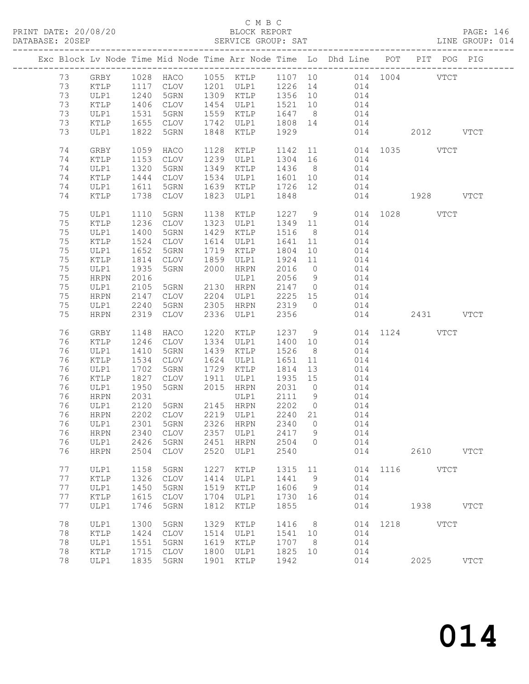### C M B C<br>BLOCK REPORT

PAGE: 146<br>LINE GROUP: 014

|    |                 |      |                 |      |           |         |                | ---------------------------                                                    |               |      |             |             |
|----|-----------------|------|-----------------|------|-----------|---------|----------------|--------------------------------------------------------------------------------|---------------|------|-------------|-------------|
|    |                 |      |                 |      |           |         |                | Exc Block Lv Node Time Mid Node Time Arr Node Time Lo Dhd Line POT PIT POG PIG |               |      |             |             |
| 73 | GRBY            |      |                 |      |           |         |                | 1028 HACO 1055 KTLP 1107 10 014 1004 VTCT                                      |               |      |             |             |
| 73 | KTLP            |      | 1117 CLOV       |      | 1201 ULP1 |         |                | 1226 14<br>014                                                                 |               |      |             |             |
| 73 | ULP1            | 1240 | 5GRN            |      | 1309 KTLP | 1356 10 |                |                                                                                |               |      |             |             |
| 73 | KTLP            | 1406 | CLOV            |      | 1454 ULP1 | 1521 10 |                | 014                                                                            |               |      |             |             |
|    |                 |      |                 |      |           |         |                | 014                                                                            |               |      |             |             |
| 73 | ULP1            | 1531 | 5GRN            |      | 1559 KTLP | 1647    | 8 <sup>8</sup> | 014                                                                            |               |      |             |             |
| 73 | KTLP            | 1655 | CLOV            |      | 1742 ULP1 | 1808 14 |                | 014                                                                            |               |      |             |             |
| 73 | ULP1            | 1822 | 5GRN            | 1848 | KTLP      | 1929    |                | 014                                                                            | 2012 VTCT     |      |             |             |
| 74 | GRBY            | 1059 | HACO            | 1128 | KTLP      | 1142    |                | 11                                                                             | 014 1035 VTCT |      |             |             |
| 74 | KTLP            | 1153 | CLOV            |      | 1239 ULP1 | 1304    |                | 014                                                                            |               |      |             |             |
|    |                 |      |                 |      |           |         | 16             |                                                                                |               |      |             |             |
| 74 | ULP1            | 1320 | 5GRN            |      | 1349 KTLP | 1436    | 8 <sup>8</sup> | 014                                                                            |               |      |             |             |
| 74 | KTLP            | 1444 | CLOV            |      | 1534 ULP1 | 1601    | 10             | 014                                                                            |               |      |             |             |
| 74 | ULP1            | 1611 | 5GRN            |      | 1639 KTLP | 1726 12 |                | 014                                                                            |               |      |             |             |
| 74 | KTLP            | 1738 | CLOV            | 1823 | ULP1      | 1848    |                |                                                                                | 014 1928 VTCT |      |             |             |
| 75 | ULP1            | 1110 | 5GRN            | 1138 | KTLP      | 1227    | 9              |                                                                                | 014 1028 VTCT |      |             |             |
| 75 | KTLP            | 1236 | CLOV            | 1323 | ULP1      | 1349    | 11             | 014                                                                            |               |      |             |             |
| 75 | ULP1            | 1400 | 5GRN            | 1429 | KTLP      | 1516    | 8 <sup>8</sup> | 014                                                                            |               |      |             |             |
|    |                 |      |                 |      |           |         |                |                                                                                |               |      |             |             |
| 75 | KTLP            | 1524 | CLOV            | 1614 | ULP1      | 1641    | 11             | 014                                                                            |               |      |             |             |
| 75 | ULP1            | 1652 | 5GRN            | 1719 | KTLP      | 1804    | 10             | 014                                                                            |               |      |             |             |
| 75 | $\texttt{KTLP}$ | 1814 | CLOV            | 1859 | ULP1      | 1924    | 11             | 014                                                                            |               |      |             |             |
| 75 | ULP1            | 1935 | 5GRN            | 2000 | HRPN      | 2016    | $\overline{0}$ | 014                                                                            |               |      |             |             |
| 75 | HRPN            | 2016 |                 |      | ULP1      | 2056    | 9              | 014                                                                            |               |      |             |             |
| 75 | ULP1            | 2105 | 5GRN            |      | 2130 HRPN | 2147    | $\overline{0}$ | 014                                                                            |               |      |             |             |
| 75 | HRPN            | 2147 | CLOV            | 2204 | ULP1      | 2225    | 15             | 014                                                                            |               |      |             |             |
| 75 | ULP1            | 2240 | 5GRN            | 2305 | HRPN      | 2319    | $\overline{0}$ | 014                                                                            |               |      |             |             |
| 75 | <b>HRPN</b>     | 2319 | CLOV            | 2336 | ULP1      | 2356    |                | 014                                                                            |               |      | 2431 VTCT   |             |
|    |                 |      |                 |      |           |         |                |                                                                                |               |      |             |             |
| 76 | GRBY            | 1148 | HACO            |      | 1220 KTLP | 1237    | 9              |                                                                                | 014 1124 VTCT |      |             |             |
| 76 | KTLP            | 1246 | CLOV            |      | 1334 ULP1 | 1400    | 10             | 014                                                                            |               |      |             |             |
| 76 | ULP1            | 1410 | 5GRN            | 1439 | KTLP      | 1526    | 8 <sup>8</sup> | 014                                                                            |               |      |             |             |
| 76 | KTLP            | 1534 | CLOV            | 1624 | ULP1      | 1651    | 11             | 014                                                                            |               |      |             |             |
| 76 | ULP1            | 1702 | 5GRN            | 1729 | KTLP      | 1814    | 13             | 014                                                                            |               |      |             |             |
| 76 | $\texttt{KTLP}$ | 1827 | CLOV            | 1911 | ULP1      | 1935    | 15             | 014                                                                            |               |      |             |             |
| 76 | ULP1            | 1950 | 5GRN            | 2015 | HRPN      | 2031    | $\overline{0}$ | 014                                                                            |               |      |             |             |
| 76 | HRPN            | 2031 |                 |      | ULP1      | 2111    | 9              | 014                                                                            |               |      |             |             |
| 76 | ULP1            | 2120 | 5GRN            |      | 2145 HRPN | 2202    | $\overline{0}$ | 014                                                                            |               |      |             |             |
| 76 | HRPN            | 2202 | CLOV            |      | 2219 ULP1 | 2240    | 21             | 014                                                                            |               |      |             |             |
| 76 | ULP1            | 2301 | 5GRN            |      | 2326 HRPN | 2340    | $\overline{0}$ | 014                                                                            |               |      |             |             |
| 76 | <b>HRPN</b>     | 2340 | <b>CLOV</b>     | 2357 | ULP1      | 2417    | 9              | 014                                                                            |               |      |             |             |
| 76 | ULP1            | 2426 | 5GRN            | 2451 | HRPN      | 2504    | 0              | 014                                                                            |               |      |             |             |
| 76 | HRPN            | 2504 | CLOV            | 2520 | ULP1      | 2540    |                | 014                                                                            |               | 2610 |             | <b>VTCT</b> |
|    |                 |      |                 |      |           |         |                |                                                                                |               |      |             |             |
| 77 | ULP1            | 1158 | 5GRN            | 1227 | KTLP      | 1315    | 11             | 014                                                                            | 1116          |      | <b>VTCT</b> |             |
| 77 | KTLP            | 1326 | $\mathtt{CLOV}$ | 1414 | ULP1      | 1441    | 9              | 014                                                                            |               |      |             |             |
| 77 | ULP1            | 1450 | 5GRN            | 1519 | KTLP      | 1606    | 9              | 014                                                                            |               |      |             |             |
| 77 | KTLP            | 1615 | CLOV            | 1704 | ULP1      | 1730    | 16             | 014                                                                            |               |      |             |             |
| 77 | ULP1            | 1746 | 5GRN            | 1812 | KTLP      | 1855    |                | 014                                                                            |               | 1938 |             | <b>VTCT</b> |
|    |                 |      |                 |      |           |         |                |                                                                                |               |      |             |             |
| 78 | ULP1            | 1300 | 5GRN            | 1329 | KTLP      | 1416    | 8              | 014                                                                            | 1218          |      | <b>VTCT</b> |             |
| 78 | KTLP            | 1424 | <b>CLOV</b>     | 1514 | ULP1      | 1541    | 10             | 014                                                                            |               |      |             |             |
| 78 | ULP1            | 1551 | 5GRN            | 1619 | KTLP      | 1707    | 8              | 014                                                                            |               |      |             |             |
| 78 | KTLP            | 1715 | CLOV            | 1800 | ULP1      | 1825    | 10             | 014                                                                            |               |      |             |             |
| 78 | ULP1            | 1835 | 5GRN            | 1901 | KTLP      | 1942    |                | 014                                                                            |               | 2025 |             | <b>VTCT</b> |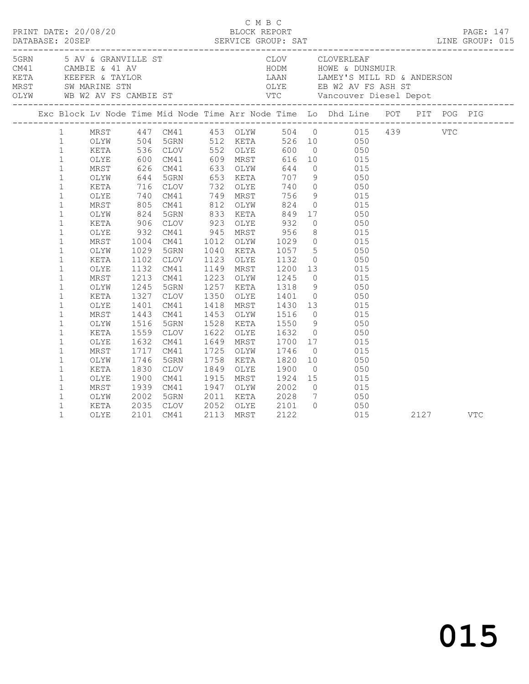|  |                                                                                                                                                                                                                                                                                                                                                                                                                        |                                                                                                                                                                                                                              |                                                                              |                                                                                                                                                                                                                                                    |      |                                                                                                                                      |                                                                                                                                                                            |                                       | 3<br>SGRN 5 AV & GRANVILLE ST CLOV CLOVERLEAF<br>CAMBIE & 41 AV HODM HOWE & DUNSMUIR<br>KETA KEEFER & TAYLOR LAAN LAMEY'S MILL RD & ANDERSON<br>MRST SW MARINE STN OLYE EB W2 AV FS ASH ST<br>OLYW WB W2 AV FS CAMBIE ST VTC Vancouver D                                                                                                                                                                                                                                                                                                                                                                                                                                                                                                                                                                                                                                                                                                                                                                                                                            |          |  |
|--|------------------------------------------------------------------------------------------------------------------------------------------------------------------------------------------------------------------------------------------------------------------------------------------------------------------------------------------------------------------------------------------------------------------------|------------------------------------------------------------------------------------------------------------------------------------------------------------------------------------------------------------------------------|------------------------------------------------------------------------------|----------------------------------------------------------------------------------------------------------------------------------------------------------------------------------------------------------------------------------------------------|------|--------------------------------------------------------------------------------------------------------------------------------------|----------------------------------------------------------------------------------------------------------------------------------------------------------------------------|---------------------------------------|---------------------------------------------------------------------------------------------------------------------------------------------------------------------------------------------------------------------------------------------------------------------------------------------------------------------------------------------------------------------------------------------------------------------------------------------------------------------------------------------------------------------------------------------------------------------------------------------------------------------------------------------------------------------------------------------------------------------------------------------------------------------------------------------------------------------------------------------------------------------------------------------------------------------------------------------------------------------------------------------------------------------------------------------------------------------|----------|--|
|  |                                                                                                                                                                                                                                                                                                                                                                                                                        |                                                                                                                                                                                                                              |                                                                              |                                                                                                                                                                                                                                                    |      |                                                                                                                                      |                                                                                                                                                                            |                                       | Exc Block Lv Node Time Mid Node Time Arr Node Time Lo Dhd Line POT PIT POG PIG                                                                                                                                                                                                                                                                                                                                                                                                                                                                                                                                                                                                                                                                                                                                                                                                                                                                                                                                                                                      |          |  |
|  | $\mathbf 1$<br>$\mathbf{1}$<br>$\,1$<br>$1\,$<br>$\mathbf 1$<br>$1\,$<br>$\mathbf 1$<br>$\mathbf{1}$<br>$\mathbf 1$<br>$\mathbf 1$<br>$\mathbf 1$<br>$\mathbf 1$<br>$\mathbf 1$<br>$\mathbf{1}$<br>$\mathbf{1}$<br>$\mathbf 1$<br>$\mathbf{1}$<br>$\mathbf 1$<br>$\mathbf 1$<br>$\mathbf 1$<br>$\mathbf 1$<br>$\mathbf 1$<br>$\mathbf 1$<br>$\mathbf{1}$<br>$\mathbf 1$<br>$\mathbf{1}$<br>$\mathbf 1$<br>$\mathbf{1}$ | OLYE<br>MRST<br>OLYW<br>KETA<br>OLYE<br>MRST<br>OLYW<br>KETA<br>OLYE<br>MRST<br>OLYW<br>KETA<br>OLYE<br>MRST<br>OLYW<br>KETA<br>OLYE<br>MRST<br>OLYW<br>KETA<br>OLYE<br>MRST<br>OLYW<br>KETA<br>OLYE<br>MRST<br>OLYW<br>KETA | 1029<br>1245<br>1327<br>1401<br>1443<br>1516<br>1632<br>1746<br>1830<br>2002 | 600 CM41<br>906 CLOV<br>932 CM41<br>1004 CM41<br>5GRN<br>1102 CLOV<br>1132 CM41<br>1213 CM41<br>5GRN<br>1327 CLOV<br>CM41<br>CM41<br>5GRN<br>1559 CLOV<br>CM41<br>1717 CM41<br>1746 5GRN<br>5GRN<br>CLOV<br>1900 CM41<br>1939 CM41<br>5GRN<br>CLOV | 1758 | 923 OLYE<br>945 MRST<br>1012 OLYW<br>1040 KETA<br>1453 OLYW<br>1649 MRST<br>1725 OLYW<br>KETA<br>1849 OLYE<br>1915 MRST<br>1947 OLYW | 1223 OLYW 1245<br>1257 KETA 1318<br>1350 OLYE 1401<br>1453 OLYW 1516<br>1528 KETA 1550<br>1622 OLYE 1632<br>1700<br>1746<br>1820<br>1900<br>1924<br>2002<br>2011 KETA 2028 | 9<br>$\overline{0}$<br>$\overline{0}$ | 1 MRST 447 CM41 453 OLYW 504 0 015 439 VTC<br>1 OLYW 504 5GRN 512 KETA 526 10 050 VTC<br>1 KETA 536 CLOV 552 OLYE 600 0 050<br>609 MRST 616 10 015<br>626 CM41 633 OLYW 644 0 015<br>644 5GRN 653 KETA 707 9 050<br>716 CLOV 732 OLYE 740 0 050<br>740 CM41 749 MRST 756 9 015<br>805 CM41 812 OLYW 824 0 015<br>824 5GRN 833 KETA 849 17 050<br>932 0 050<br>956 8 015<br>1029 0 015<br>1040 KETA 1057 5 050<br>1123 OLYE 1132 0 050<br>1149 MRST 1200 13 015<br>$0$ 015<br>9 050<br>0 050<br>1418 MRST 1430 13 015<br>$\begin{matrix} 0 & 0 & 0 & 0 \\ 0 & 0 & 0 & 0 \\ 0 & 0 & 0 & 0 \\ 0 & 0 & 0 & 0 \\ 0 & 0 & 0 & 0 \\ 0 & 0 & 0 & 0 \\ 0 & 0 & 0 & 0 \\ 0 & 0 & 0 & 0 \\ 0 & 0 & 0 & 0 \\ 0 & 0 & 0 & 0 \\ 0 & 0 & 0 & 0 \\ 0 & 0 & 0 & 0 \\ 0 & 0 & 0 & 0 & 0 \\ 0 & 0 & 0 & 0 & 0 \\ 0 & 0 & 0 & 0 & 0 \\ 0 & 0 & 0 & 0 & 0 \\ 0 & 0 & 0 & 0$<br>050<br>$\begin{matrix} 0 & 0.50 \\ 0 & 0.50 \end{matrix}$<br>17 015<br>015<br>$10$ $050$<br>$0 \qquad \qquad 050$<br>$\begin{array}{ccc} 15 & \quad & 015 \\ 0 & \quad & 015 \end{array}$<br>7 050<br>050 |          |  |
|  | $\mathbf{1}$                                                                                                                                                                                                                                                                                                                                                                                                           | OLYE                                                                                                                                                                                                                         |                                                                              | 2035 CLOV<br>2101 CM41                                                                                                                                                                                                                             |      |                                                                                                                                      | 2052 OLYE 2101<br>2113 MRST 2122                                                                                                                                           |                                       | 015                                                                                                                                                                                                                                                                                                                                                                                                                                                                                                                                                                                                                                                                                                                                                                                                                                                                                                                                                                                                                                                                 | 2127 VTC |  |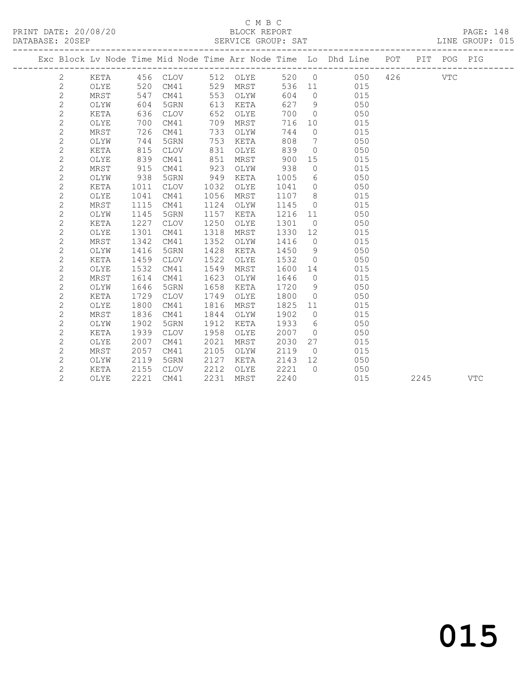#### C M B C<br>BLOCK REPORT SERVICE GROUP: SAT

 2 KETA 815 CLOV 831 OLYE 839 0 050 2 OLYE 839 CM41 851 MRST 900 15 015 2 MRST 915 CM41 923 OLYW 938 0 015 2 OLYW 938 5GRN 949 KETA 1005 6 050

| Exc Block Ly Node Time Mid Node Time Arr Node Time Lo Dhd Line |      |     |          |     |      |     |          |     | POT | PTT | POG  | PIG |
|----------------------------------------------------------------|------|-----|----------|-----|------|-----|----------|-----|-----|-----|------|-----|
|                                                                | KETA |     | 456 CLOV | 512 | OLYE | 520 | $\cup$ 0 | 050 | 426 |     | VTC. |     |
|                                                                | OLYE | 520 | CM41     | 529 | MRST | 536 | -11      | 015 |     |     |      |     |
|                                                                | MRST | 547 | CM41     | 553 | OLYW | 604 | $\Omega$ | 015 |     |     |      |     |
|                                                                | OLYW | 604 | 5GRN     | 613 | KETA | 627 | 9        | 050 |     |     |      |     |
|                                                                | KETA | 636 | CLOV     | 652 | OLYE | 700 | $\Omega$ | 050 |     |     |      |     |
|                                                                | OLYE | 700 | CM41     | 709 | MRST | 716 | 10       | 015 |     |     |      |     |
|                                                                | MRST | 726 | CM41     | 733 | OLYW | 744 | $\Omega$ | 015 |     |     |      |     |
|                                                                | OLYW | 744 | 5GRN     | 753 | KETA | 808 | 7        | 050 |     |     |      |     |

| 2 | KETA | 1011 | <b>CLOV</b> | 1032 | OLYE | 1041 | $\Omega$ | 050 |      |     |  |
|---|------|------|-------------|------|------|------|----------|-----|------|-----|--|
| 2 | OLYE | 1041 | CM41        | 1056 | MRST | 1107 | 8        | 015 |      |     |  |
| 2 | MRST | 1115 | CM41        | 1124 | OLYW | 1145 | $\Omega$ | 015 |      |     |  |
| 2 | OLYW | 1145 | 5GRN        | 1157 | KETA | 1216 | 11       | 050 |      |     |  |
| 2 | KETA | 1227 | <b>CLOV</b> | 1250 | OLYE | 1301 | $\circ$  | 050 |      |     |  |
| 2 | OLYE | 1301 | CM41        | 1318 | MRST | 1330 | 12       | 015 |      |     |  |
| 2 | MRST | 1342 | CM41        | 1352 | OLYW | 1416 | $\Omega$ | 015 |      |     |  |
| 2 | OLYW | 1416 | 5GRN        | 1428 | KETA | 1450 | 9        | 050 |      |     |  |
| 2 | KETA | 1459 | <b>CLOV</b> | 1522 | OLYE | 1532 | $\circ$  | 050 |      |     |  |
| 2 | OLYE | 1532 | CM41        | 1549 | MRST | 1600 | 14       | 015 |      |     |  |
| 2 | MRST | 1614 | CM41        | 1623 | OLYW | 1646 | $\circ$  | 015 |      |     |  |
| 2 | OLYW | 1646 | 5GRN        | 1658 | KETA | 1720 | 9        | 050 |      |     |  |
| 2 | KETA | 1729 | <b>CLOV</b> | 1749 | OLYE | 1800 | $\Omega$ | 050 |      |     |  |
| 2 | OLYE | 1800 | CM41        | 1816 | MRST | 1825 | 11       | 015 |      |     |  |
| 2 | MRST | 1836 | CM41        | 1844 | OLYW | 1902 | $\circ$  | 015 |      |     |  |
| 2 | OLYW | 1902 | 5GRN        | 1912 | KETA | 1933 | 6        | 050 |      |     |  |
| 2 | KETA | 1939 | <b>CLOV</b> | 1958 | OLYE | 2007 | $\Omega$ | 050 |      |     |  |
| 2 | OLYE | 2007 | CM41        | 2021 | MRST | 2030 | 27       | 015 |      |     |  |
| 2 | MRST | 2057 | CM41        | 2105 | OLYW | 2119 | $\circ$  | 015 |      |     |  |
| 2 | OLYW | 2119 | 5GRN        | 2127 | KETA | 2143 | 12       | 050 |      |     |  |
| 2 | KETA | 2155 | <b>CLOV</b> | 2212 | OLYE | 2221 | $\Omega$ | 050 |      |     |  |
| 2 | OLYE | 2221 | CM41        | 2231 | MRST | 2240 |          | 015 | 2245 | VTC |  |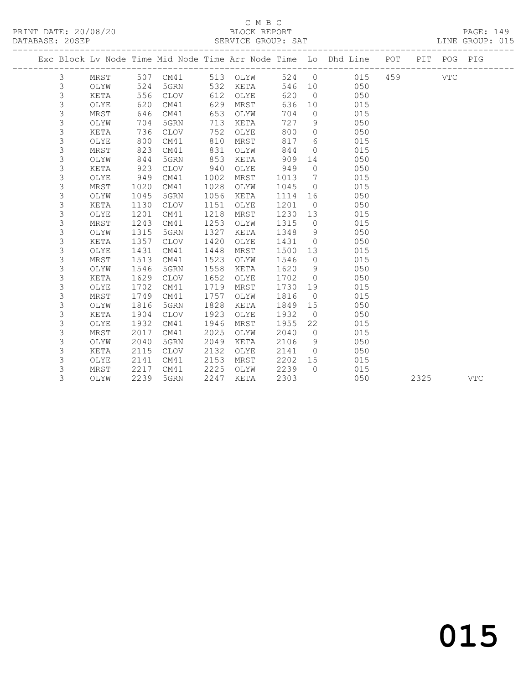### C M B C<br>BLOCK REPORT

| PRINT DATE: 20/08/20<br>DATABASE: 20SEP |                |      |      |                   |      |          |      |                |                                                                                |  |            | BLOCK REPORT BLOGK REPORT PAGE: 149<br>SERVICE GROUP: SAT LINE GROUP: 015 |
|-----------------------------------------|----------------|------|------|-------------------|------|----------|------|----------------|--------------------------------------------------------------------------------|--|------------|---------------------------------------------------------------------------|
|                                         |                |      |      |                   |      |          |      |                | Exc Block Lv Node Time Mid Node Time Arr Node Time Lo Dhd Line POT PIT POG PIG |  |            |                                                                           |
|                                         | 3              | MRST |      | 507 CM41 513 OLYW |      |          |      |                | 524 0 015 459                                                                  |  | <b>VTC</b> |                                                                           |
|                                         | $\mathcal{S}$  | OLYW | 524  | 5GRN              |      | 532 KETA |      |                | 546 10 050                                                                     |  |            |                                                                           |
|                                         | 3              | KETA | 556  | CLOV              | 612  | OLYE     | 620  |                | $\overline{0}$<br>050                                                          |  |            |                                                                           |
|                                         | 3              | OLYE | 620  | CM41              | 629  | MRST     | 636  |                | 015<br>10                                                                      |  |            |                                                                           |
|                                         | 3              | MRST | 646  | CM41              | 653  | OLYW     | 704  | $\Omega$       | 015                                                                            |  |            |                                                                           |
|                                         | $\mathfrak{Z}$ | OLYW | 704  | 5GRN              | 713  | KETA     | 727  | 9              | 050                                                                            |  |            |                                                                           |
|                                         | $\mathfrak{Z}$ | KETA | 736  | CLOV              | 752  | OLYE     | 800  | $\circ$        | 050                                                                            |  |            |                                                                           |
|                                         | 3              | OLYE | 800  | CM41              | 810  | MRST     | 817  | 6              | 015                                                                            |  |            |                                                                           |
|                                         | 3              | MRST | 823  | CM41              | 831  | OLYW     | 844  | $\overline{0}$ | 015                                                                            |  |            |                                                                           |
|                                         | 3              | OLYW | 844  | 5GRN              | 853  | KETA     | 909  | 14             | 050                                                                            |  |            |                                                                           |
|                                         | 3              | KETA | 923  | <b>CLOV</b>       | 940  | OLYE     | 949  | $\overline{0}$ | 050                                                                            |  |            |                                                                           |
|                                         | 3              | OLYE | 949  | CM41              | 1002 | MRST     | 1013 |                | $7\overline{ }$<br>015                                                         |  |            |                                                                           |
|                                         | 3              | MRST | 1020 | CM41              | 1028 | OLYW     | 1045 |                | $\overline{0}$<br>015                                                          |  |            |                                                                           |
|                                         | 3              | OLYW | 1045 | 5GRN              | 1056 | KETA     | 1114 |                | 050                                                                            |  |            |                                                                           |
|                                         | 3              | KETA | 1130 | <b>CLOV</b>       | 1151 | OLYE     | 1201 | $\overline{0}$ | 050                                                                            |  |            |                                                                           |
|                                         | 3              | OLYE | 1201 | CM41              | 1218 | MRST     | 1230 | 13             | 015                                                                            |  |            |                                                                           |
|                                         | 3              | MRST | 1243 | CM41              | 1253 | OLYW     | 1315 | $\overline{0}$ | 015                                                                            |  |            |                                                                           |
|                                         | $\mathsf 3$    | OLYW | 1315 | 5GRN              | 1327 | KETA     | 1348 | 9              | 050                                                                            |  |            |                                                                           |
|                                         | 3              | KETA | 1357 | $\mathtt{CLOV}$   | 1420 | OLYE     | 1431 | $\overline{0}$ | 050                                                                            |  |            |                                                                           |
|                                         | 3              | OLYE | 1431 | CM41              | 1448 | MRST     | 1500 | 13             | 015                                                                            |  |            |                                                                           |
|                                         | 3              | MRST | 1513 | CM41              | 1523 | OLYW     | 1546 | $\overline{0}$ | 015                                                                            |  |            |                                                                           |
|                                         | 3              | OLYW | 1546 | 5GRN              | 1558 | KETA     | 1620 | 9              | 050                                                                            |  |            |                                                                           |
|                                         | 3              | KETA | 1629 | <b>CLOV</b>       | 1652 | OLYE     | 1702 |                | $\overline{0}$<br>050                                                          |  |            |                                                                           |
|                                         | 3              | OLYE | 1702 | CM41              | 1719 | MRST     | 1730 |                | 19<br>015                                                                      |  |            |                                                                           |
|                                         | 3              | MRST | 1749 | CM41              | 1757 | OLYW     | 1816 |                | 015<br>$\overline{0}$                                                          |  |            |                                                                           |
|                                         | 3              | OLYW | 1816 | 5GRN              | 1828 | KETA     | 1849 | 15             | 050                                                                            |  |            |                                                                           |
|                                         | 3              | KETA | 1904 | <b>CLOV</b>       | 1923 | OLYE     | 1932 | $\overline{0}$ | 050                                                                            |  |            |                                                                           |
|                                         | 3              | OLYE | 1932 | CM41              | 1946 | MRST     | 1955 | 22             | 015                                                                            |  |            |                                                                           |
|                                         | $\mathsf 3$    | MRST | 2017 | CM41              | 2025 | OLYW     | 2040 | $\overline{0}$ | 015                                                                            |  |            |                                                                           |
|                                         | 3              | OLYW | 2040 | 5GRN              | 2049 | KETA     | 2106 | 9              | 050                                                                            |  |            |                                                                           |
|                                         | 3              | KETA | 2115 | <b>CLOV</b>       | 2132 | OLYE     | 2141 |                | $0$ 050                                                                        |  |            |                                                                           |
|                                         | 3              | OLYE | 2141 | CM41              | 2153 | MRST     | 2202 | 15             | 015                                                                            |  |            |                                                                           |
|                                         | 3              | MRST | 2217 | CM41              | 2225 | OLYW     | 2239 |                | 0 015                                                                          |  |            |                                                                           |
|                                         | 3              | OLYW | 2239 | 5GRN              | 2247 | KETA     | 2303 |                | 050                                                                            |  | 2325       | <b>VTC</b>                                                                |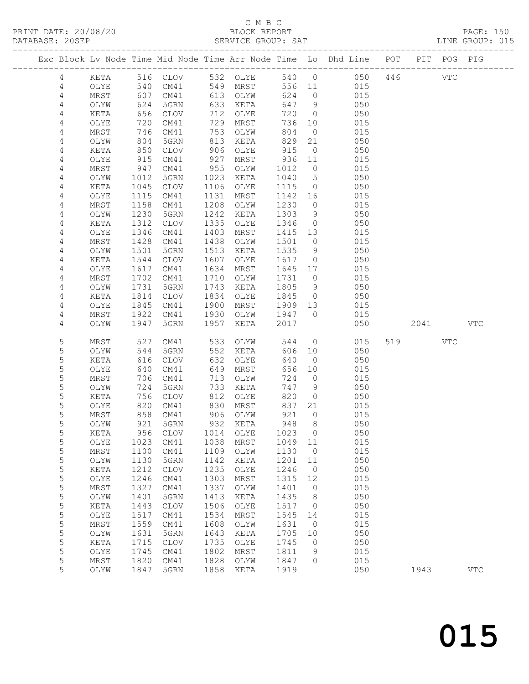### C M B C

| DATABASE: 20SEP |                |               |                   |                      |      | SERVICE GROUP: SAT     |            |                     |                                                                                |        |     | LINE GROUP: 015 |  |
|-----------------|----------------|---------------|-------------------|----------------------|------|------------------------|------------|---------------------|--------------------------------------------------------------------------------|--------|-----|-----------------|--|
|                 |                |               |                   |                      |      |                        |            |                     | Exc Block Lv Node Time Mid Node Time Arr Node Time Lo Dhd Line POT PIT POG PIG |        |     |                 |  |
|                 | 4              |               |                   |                      |      | KETA 516 CLOV 532 OLYE |            |                     | 540 0 050 446 VTC                                                              |        |     |                 |  |
|                 | 4              | OLYE          | 540               |                      |      | CM41 549 MRST          |            |                     | 556 11 015                                                                     |        |     |                 |  |
|                 | 4              | MRST          | 607<br>624<br>656 | CM41                 |      | 613 OLYW               | 624        | $\overline{0}$      | 015                                                                            |        |     |                 |  |
|                 | $\overline{4}$ | OLYW          |                   | 5GRN                 |      | 633 KETA               |            | 647 9               | 050                                                                            |        |     |                 |  |
|                 | 4              | KETA          |                   | CLOV                 |      | 712 OLYE               | 720        | $\overline{0}$      | 050                                                                            |        |     |                 |  |
|                 | 4              | OLYE          | 720               | CM41                 |      | 729 MRST               | 736        | 10                  | 015                                                                            |        |     |                 |  |
|                 | 4              | MRST          | 746               | CM41                 |      | 753 OLYW               | 804        | $\overline{0}$      | 015                                                                            |        |     |                 |  |
|                 | 4              | OLYW          | 746<br>804<br>850 | 5GRN                 |      | 813 KETA<br>906 OLYE   | 829<br>915 | 21                  | 050                                                                            |        |     |                 |  |
|                 | 4<br>4         | KETA<br>OLYE  | 915               | CLOV<br>CM41         | 927  | MRST                   | 936 11     | $\overline{0}$      | 050<br>015                                                                     |        |     |                 |  |
|                 | 4              | MRST          | 947               | CM41                 | 955  | OLYW                   | 1012       | $\overline{0}$      | 015                                                                            |        |     |                 |  |
|                 | 4              | OLYW          | 1012              | 5GRN                 | 1023 | KETA                   | 1040       | $5\overline{)}$     | 050                                                                            |        |     |                 |  |
|                 | 4              | KETA          | 1045              | CLOV                 |      | 1106 OLYE              | 1115       | $\overline{0}$      | 050                                                                            |        |     |                 |  |
|                 | 4              | OLYE          | 1115              | CM41                 | 1131 | MRST                   |            |                     | 1142 16<br>015                                                                 |        |     |                 |  |
|                 | 4              | MRST          | 1158              | CM41                 | 1208 | OLYW                   | 1230       | $\overline{0}$      | 015                                                                            |        |     |                 |  |
|                 | 4              | OLYW          | 1230              | 5GRN                 | 1242 | KETA                   | 1303       | 9                   | 050                                                                            |        |     |                 |  |
|                 | 4              | KETA          | 1312              | CLOV                 | 1335 | OLYE                   | 1346       | $\overline{0}$      | 050                                                                            |        |     |                 |  |
|                 | 4              | OLYE          | 1346              | CM41                 | 1403 | MRST                   | 1415 13    |                     | 015                                                                            |        |     |                 |  |
|                 | 4              | MRST          | 1428              | CM41                 | 1438 | OLYW                   | 1501       | $\overline{0}$      | 015                                                                            |        |     |                 |  |
|                 | 4              | OLYW          | 1501              | 5GRN                 | 1513 | KETA                   | 1535       | 9                   | 050                                                                            |        |     |                 |  |
|                 | 4              | KETA          | 1544              | CLOV                 | 1607 | OLYE                   | 1617       | $\overline{0}$      | 050                                                                            |        |     |                 |  |
|                 | 4              | OLYE          | 1617              | CM41                 | 1634 | MRST                   | 1645 17    |                     | 015                                                                            |        |     |                 |  |
|                 | 4              | MRST          | 1702              | CM41                 | 1710 | OLYW                   | 1731       | $\overline{0}$      | 015                                                                            |        |     |                 |  |
|                 | 4              | OLYW          | 1731              | 5GRN                 | 1743 | KETA                   | 1805       | 9                   | 050                                                                            |        |     |                 |  |
|                 | 4              | KETA          | 1814              | CLOV                 | 1834 | OLYE                   | 1845       | $\overline{0}$      | 050                                                                            |        |     |                 |  |
|                 | 4              | OLYE          | 1845              | CM41                 | 1900 | MRST                   | 1909 13    |                     | 015                                                                            |        |     |                 |  |
|                 | 4              | MRST          | 1922              | CM41                 | 1930 | OLYW 1947 0            |            |                     | 015                                                                            |        |     |                 |  |
|                 | 4              | OLYW          | 1947              | 5GRN                 | 1957 | KETA                   | 2017       |                     | 050                                                                            | 2041 \ |     | <b>VTC</b>      |  |
|                 | 5              | MRST          | 527               | CM41                 |      | 533 OLYW               | 544        |                     | $\overline{0}$<br>015                                                          | 519    | VTC |                 |  |
|                 | 5              | OLYW          | 544               | 5GRN                 |      | 552 KETA               | 606        | 10                  | 050                                                                            |        |     |                 |  |
|                 | 5              | KETA          | 616               | CLOV                 | 632  | OLYE                   | 640        | $\overline{0}$      | 050                                                                            |        |     |                 |  |
|                 | 5              | OLYE          | 640               | CM41                 | 649  | MRST                   | 656        | 10                  | 015                                                                            |        |     |                 |  |
|                 | 5              | MRST          | 706               | CM41                 | 713  | OLYW                   | 724        | $\overline{0}$      | 015                                                                            |        |     |                 |  |
|                 | 5<br>5         | OLYW          | 724<br>756        | 5GRN                 | 733  | KETA                   | 747<br>820 | 9<br>$\overline{0}$ | 050<br>050                                                                     |        |     |                 |  |
|                 | 5              | KETA<br>OLYE  |                   | CLOV                 | 812  | OLYE<br>830 MRST       | 837        | 21                  | 015                                                                            |        |     |                 |  |
|                 | 5              | MRST          |                   | 820 CM41<br>858 CM41 |      | 906 OLYW               | 921        | $\overline{0}$      | 015                                                                            |        |     |                 |  |
|                 | 5              | OLYW          |                   | 921 5GRN             |      | 932 KETA               |            | 948 8               | 050                                                                            |        |     |                 |  |
|                 | 5              | KETA          | 956               | CLOV                 | 1014 | OLYE                   | 1023       | $\overline{0}$      | 050                                                                            |        |     |                 |  |
|                 | 5              | OLYE          | 1023              | CM41                 | 1038 | MRST                   | 1049 11    |                     | 015                                                                            |        |     |                 |  |
|                 | 5              | MRST          | 1100              | CM41                 | 1109 | OLYW                   | 1130       | $\overline{0}$      | 015                                                                            |        |     |                 |  |
|                 | 5              | OLYW          | 1130              | 5GRN                 | 1142 | KETA                   | 1201       | 11                  | 050                                                                            |        |     |                 |  |
|                 | 5              | KETA          | 1212              | <b>CLOV</b>          | 1235 | OLYE                   | 1246       | $\overline{0}$      | 050                                                                            |        |     |                 |  |
|                 | $\mathsf S$    | $\verb OLYE $ | 1246              | CM41                 | 1303 | MRST                   | 1315       | 12                  | 015                                                                            |        |     |                 |  |
|                 | $\mathsf S$    | MRST          | 1327              | CM41                 | 1337 | OLYW                   | 1401       | $\overline{0}$      | 015                                                                            |        |     |                 |  |
|                 | 5              | OLYW          | 1401              | 5GRN                 | 1413 | KETA                   | 1435       | 8                   | 050                                                                            |        |     |                 |  |
|                 | 5              | KETA          | 1443              | <b>CLOV</b>          | 1506 | OLYE                   | 1517       | $\overline{0}$      | 050                                                                            |        |     |                 |  |
|                 | 5              | OLYE          | 1517              | CM41                 | 1534 | MRST                   | 1545       | 14                  | 015                                                                            |        |     |                 |  |
|                 | $\mathsf S$    | MRST          | 1559              | CM41                 | 1608 | OLYW                   | 1631       | $\overline{0}$      | 015                                                                            |        |     |                 |  |
|                 | 5              | OLYW          | 1631              | 5GRN                 | 1643 | KETA                   | 1705       | 10                  | 050                                                                            |        |     |                 |  |
|                 | 5              | KETA          | 1715              | <b>CLOV</b>          | 1735 | OLYE                   | 1745       | $\overline{0}$      | 050                                                                            |        |     |                 |  |
|                 | 5              | OLYE          | 1745              | CM41                 | 1802 | MRST                   | 1811       | 9                   | 015                                                                            |        |     |                 |  |
|                 | 5              | MRST          | 1820              | CM41                 | 1828 | OLYW                   | 1847       | $\circ$             | 015                                                                            |        |     |                 |  |
|                 | 5              | OLYW          | 1847              | 5GRN                 | 1858 | KETA                   | 1919       |                     | 050                                                                            | 1943   |     | <b>VTC</b>      |  |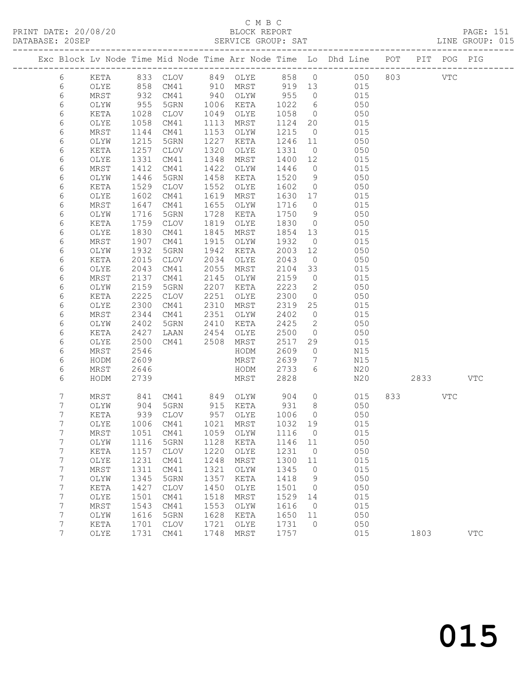#### C M B C<br>BLOCK REPORT SERVICE GROUP: SAT

PRINT DATE: 20/08/20 BLOCK REPORT PAGE: 151

|                  |      |      |                            |              |                   |                 |                 | Exc Block Lv Node Time Mid Node Time Arr Node Time Lo Dhd Line POT |      | PIT POG PIG |            |
|------------------|------|------|----------------------------|--------------|-------------------|-----------------|-----------------|--------------------------------------------------------------------|------|-------------|------------|
| 6                | KETA |      |                            |              |                   |                 |                 | 833 CLOV 849 OLYE 858 0 050 803 VTC                                |      |             |            |
| 6                | OLYE | 858  | CM41                       | 910          | MRST 919 13       |                 |                 | 015                                                                |      |             |            |
| 6                | MRST | 932  | CM41                       | 940          | OLYW              | 955             | $\overline{0}$  | 015                                                                |      |             |            |
| 6                | OLYW | 955  | 5GRN                       | 1006         | KETA              | 1022            | $6\overline{6}$ | 050                                                                |      |             |            |
| $\sqrt{6}$       | KETA | 1028 | CLOV                       | 1049         | OLYE              | 1058            | $\overline{0}$  | 050                                                                |      |             |            |
| 6                | OLYE | 1058 | CM41                       | 1113         | MRST              | 1124            | 20              | 015                                                                |      |             |            |
| 6                | MRST | 1144 | CM41                       | 1153         | OLYW              | 1215            | $\overline{0}$  | 015                                                                |      |             |            |
| 6                | OLYW | 1215 | 5GRN                       | 1227         | KETA              | 1246            | 11              | 050                                                                |      |             |            |
| 6                | KETA | 1257 | CLOV                       | 1320         | OLYE              | 1331            | $\overline{0}$  | 050                                                                |      |             |            |
| 6                | OLYE | 1331 | CM41                       | 1348         | MRST              | 1400            | 12              | 015                                                                |      |             |            |
| 6                | MRST | 1412 | CM41                       | 1422         | OLYW              | 1446            | $\overline{0}$  | 015                                                                |      |             |            |
| 6                | OLYW | 1446 | 5GRN                       | 1458         | KETA              | 1520            | 9               | 050                                                                |      |             |            |
| 6                | KETA | 1529 | CLOV                       | 1552         | OLYE              | 1602            | $\overline{0}$  | 050                                                                |      |             |            |
| 6                | OLYE | 1602 | CM41                       | 1619         | MRST              | 1630 17         |                 | 015                                                                |      |             |            |
| 6                | MRST | 1647 | CM41                       | 1655         | OLYW              | 1716            | $\overline{0}$  | 015                                                                |      |             |            |
| 6                | OLYW | 1716 | 5GRN                       | 1728         | KETA              | 1750            | 9               | 050                                                                |      |             |            |
| $\epsilon$       | KETA | 1759 | CLOV                       | 1819         | OLYE              | 1830            | $\overline{0}$  | 050                                                                |      |             |            |
| 6                | OLYE | 1830 | CM41                       | 1845         | MRST              | 1854 13         |                 | 015                                                                |      |             |            |
| 6                | MRST | 1907 | CM41                       | 1915         | OLYW              | 1932            | $\overline{0}$  | 015                                                                |      |             |            |
| 6                | OLYW | 1932 | 5GRN                       | 1942         | KETA              | 2003            | 12              | 050                                                                |      |             |            |
| 6                | KETA | 2015 | CLOV                       | 2034         | OLYE              | 2043            | $\overline{0}$  | 050                                                                |      |             |            |
| $\sqrt{6}$       | OLYE | 2043 | CM41                       | 2055         | MRST              | 2104            | 33              | 015                                                                |      |             |            |
| 6                | MRST | 2137 | CM41                       | 2145         | OLYW              | 2159            | $\overline{0}$  | 015                                                                |      |             |            |
| 6                | OLYW | 2159 | 5GRN                       | 2207         | KETA              | 2223            | $\overline{2}$  | 050                                                                |      |             |            |
| 6                | KETA | 2225 | CLOV                       | 2251         | OLYE              | 2300            | $\overline{0}$  | 050                                                                |      |             |            |
| $\sqrt{6}$       | OLYE | 2300 | CM41                       | 2310         | MRST              | 2319            | 25              | 015                                                                |      |             |            |
| 6                | MRST | 2344 | CM41                       | 2351         | OLYW              | 2402            | $\overline{0}$  | 015                                                                |      |             |            |
| 6                | OLYW | 2402 | 5GRN                       | 2410         | KETA              | 2425            | $\overline{2}$  | 050                                                                |      |             |            |
| 6                | KETA | 2427 | LAAN                       | 2454         | OLYE              | 2500            | $\overline{0}$  | 050                                                                |      |             |            |
| 6                | OLYE | 2500 | CM41 2508                  |              | MRST              | 2517            | 29              | 015                                                                |      |             |            |
| 6                | MRST | 2546 |                            |              | HODM              | 2609            | $\overline{0}$  | N15                                                                |      |             |            |
| 6                | HODM | 2609 |                            |              | MRST              | 2639            | $\overline{7}$  | N15                                                                |      |             |            |
| 6                | MRST | 2646 |                            |              | HODM              | 2733            | 6               | N20                                                                |      |             |            |
| 6                | HODM | 2739 |                            |              | MRST              | 2828            |                 | N20                                                                | 2833 |             | <b>VTC</b> |
|                  |      |      |                            |              |                   |                 |                 |                                                                    |      |             |            |
| 7                | MRST | 841  |                            |              | CM41 849 OLYW 904 |                 |                 | $\overline{0}$<br>015                                              |      | VTC         |            |
| 7                | OLYW | 904  | 5GRN                       |              | 915 KETA          | 931             | 8 <sup>8</sup>  | 050                                                                |      |             |            |
| 7                | KETA | 939  | CLOV                       | 1021         | 957 OLYE          | 1006<br>1032 19 | $\overline{0}$  | 050                                                                |      |             |            |
| 7                | OLYE | 1006 | CM41                       |              | MRST              |                 |                 | 015                                                                |      |             |            |
| 7                | MRST |      | 1051 CM41 1059 OLYW 1116 0 |              |                   |                 |                 | 015                                                                |      |             |            |
| 7                | OLYW | 1116 | 5GRN                       | 1128         | KETA              | 1146            | 11              | 050                                                                |      |             |            |
| 7                | KETA | 1157 | CLOV                       | 1220         | OLYE              | 1231            | $\overline{0}$  | 050                                                                |      |             |            |
| 7                | OLYE | 1231 | CM41                       | 1248         | MRST              | 1300            | 11              | 015                                                                |      |             |            |
| 7                | MRST | 1311 | CM41                       | 1321<br>1357 | OLYW              | 1345            | $\overline{0}$  | 015                                                                |      |             |            |
| 7                | OLYW | 1345 | 5GRN                       |              | KETA              | 1418            | 9               | 050                                                                |      |             |            |
| 7                | KETA | 1427 | CLOV                       | 1450         | OLYE              | 1501            | $\overline{0}$  | 050                                                                |      |             |            |
| $\boldsymbol{7}$ | OLYE | 1501 | CM41                       | 1518         | MRST              | 1529            | 14              | 015                                                                |      |             |            |
| 7                | MRST | 1543 | CM41                       | 1553         | OLYW              | 1616            | $\overline{0}$  | 015                                                                |      |             |            |
| 7<br>7           | OLYW | 1616 | 5GRN                       | 1628         | KETA              | 1650            | 11              | 050                                                                |      |             |            |
| 7                | KETA | 1701 | CLOV                       | 1721<br>1748 | OLYE              | 1731            | $\overline{0}$  | 050                                                                |      |             | <b>VTC</b> |
|                  | OLYE | 1731 | CM41                       |              | MRST              | 1757            |                 | 015                                                                | 1803 |             |            |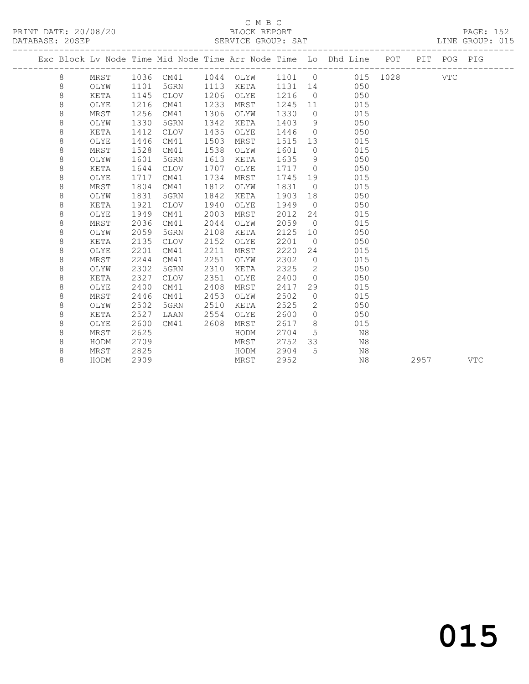### C M B C

| PRINT DATE: 20/08/20<br>DATABASE: 20SEP |   |      |      |             |      | BLOCK REPORT<br>SERVICE GROUP: SAT |         |                |                                                                    |     |     | PAGE: 152<br>LINE GROUP: 015 |  |
|-----------------------------------------|---|------|------|-------------|------|------------------------------------|---------|----------------|--------------------------------------------------------------------|-----|-----|------------------------------|--|
|                                         |   |      |      |             |      |                                    |         |                | Exc Block Ly Node Time Mid Node Time Arr Node Time Lo Dhd Line POT | PIT |     | POG PIG                      |  |
|                                         | 8 | MRST | 1036 | CM41        | 1044 | OLYW                               | 1101 0  |                | 015 1028                                                           |     | VTC |                              |  |
|                                         | 8 | OLYW | 1101 | 5GRN        | 1113 | KETA                               | 1131 14 |                | 050                                                                |     |     |                              |  |
|                                         | 8 | KETA | 1145 | CLOV        | 1206 | OLYE                               | 1216    | $\bigcirc$     | 050                                                                |     |     |                              |  |
|                                         | 8 | OLYE | 1216 | CM41        | 1233 | MRST                               | 1245    | 11             | 015                                                                |     |     |                              |  |
|                                         | 8 | MRST | 1256 | CM41        | 1306 | OLYW                               | 1330    | $\Omega$       | 015                                                                |     |     |                              |  |
|                                         | 8 | OLYW | 1330 | 5GRN        | 1342 | KETA                               | 1403    | 9              | 050                                                                |     |     |                              |  |
|                                         | 8 | KETA | 1412 | <b>CLOV</b> | 1435 | OLYE                               | 1446    | $\Omega$       | 050                                                                |     |     |                              |  |
|                                         | 8 | OLYE | 1446 | CM41        | 1503 | MRST                               | 1515    | 13             | 015                                                                |     |     |                              |  |
|                                         | 8 | MRST | 1528 | CM41        | 1538 | OLYW                               | 1601    | $\Omega$       | 015                                                                |     |     |                              |  |
|                                         | 8 | OLYW | 1601 | 5GRN        | 1613 | KETA                               | 1635    | 9              | 050                                                                |     |     |                              |  |
|                                         | 8 | KETA | 1644 | <b>CLOV</b> | 1707 | OLYE                               | 1717    | $\overline{0}$ | 050                                                                |     |     |                              |  |
|                                         | 8 | OLYE | 1717 | CM41        | 1734 | MRST                               | 1745    | 19             | 015                                                                |     |     |                              |  |
|                                         | 8 | MRST | 1804 | CM41        | 1812 | OLYW                               | 1831    | $\bigcirc$     | 015                                                                |     |     |                              |  |
|                                         | 8 | OLYW | 1831 | 5GRN        | 1842 | KETA                               | 1903    | 18             | 050                                                                |     |     |                              |  |
|                                         |   |      |      |             |      |                                    |         |                |                                                                    |     |     |                              |  |

 8 MRST 2036 CM41 2044 OLYW 2059 0 015 8 OLYW 2059 5GRN 2108 KETA 2125 10 050 8 KETA 2135 CLOV 2152 OLYE 2201 0 050 8 OLYE 2201 CM41 2211 MRST 2220 24 015 8 MRST 2244 CM41 2251 OLYW 2302 0 015

8 KETA 2327 CLOV 2351 OLYE 2400 0 050

 8 MRST 2625 HODM 2704 5 N8 8 HODM 2709 MRST 2752 33 N8 8 MRST 2825 HODM 2904 5 N8

 8 KETA 1921 CLOV 1940 OLYE 1949 0 050 8 OLYE 1949 CM41 2003 MRST 2012 24 015

8 OLYW 2302 5GRN 2310 KETA 2325 2 050

 8 OLYE 2400 CM41 2408 MRST 2417 29 015 8 MRST 2446 CM41 2453 OLYW 2502 0 015 8 OLYW 2502 5GRN 2510 KETA 2525 2 050 8 KETA 2527 LAAN 2554 OLYE 2600 0 050 8 OLYE 2600 CM41 2608 MRST 2617 8 015

8 HODM 2909 MRST 2952 N8 2957 VTC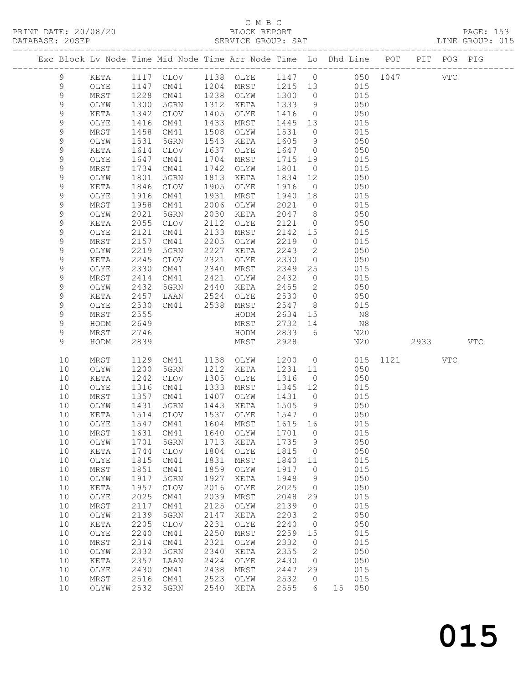### C M B C<br>BLOCK REPORT

#### SERVICE GROUP: SAT

|               |                 |              |              |              |                            |              |                     | Exc Block Lv Node Time Mid Node Time Arr Node Time Lo Dhd Line POT |      | PIT POG PIG |     |            |
|---------------|-----------------|--------------|--------------|--------------|----------------------------|--------------|---------------------|--------------------------------------------------------------------|------|-------------|-----|------------|
| $\mathcal{G}$ | KETA            |              |              |              |                            |              |                     | 1117 CLOV 1138 OLYE 1147 0 050 1047                                |      | <b>VTC</b>  |     |            |
| $\mathcal{G}$ | OLYE            | 1147         | CM41         |              | 1204 MRST                  | 1215 13      |                     | 015                                                                |      |             |     |            |
| 9             | MRST            | 1228         | CM41         |              | 1238 OLYW                  | 1300         | $\overline{0}$      | 015                                                                |      |             |     |            |
| 9             | OLYW            | 1300         | 5GRN         | 1312         | KETA                       | 1333         | 9                   | 050                                                                |      |             |     |            |
| 9             | KETA            | 1342         | CLOV         | 1405         | OLYE                       | 1416         | $\overline{0}$      | 050                                                                |      |             |     |            |
| 9             | OLYE            | 1416         | CM41         | 1433         | MRST                       | 1445         | 13                  | 015                                                                |      |             |     |            |
| 9             | MRST            | 1458         | CM41         | 1508         | OLYW                       | 1531         | $\overline{0}$      | 015                                                                |      |             |     |            |
| 9             | OLYW            | 1531         | 5GRN         | 1543         | KETA                       | 1605         | 9                   | 050                                                                |      |             |     |            |
| $\mathsf 9$   | KETA            | 1614         | CLOV         | 1637         | OLYE                       | 1647         | $\overline{0}$      | 050                                                                |      |             |     |            |
| 9             | OLYE            | 1647         | CM41         | 1704         | MRST                       | 1715         | 19                  | 015                                                                |      |             |     |            |
| 9             | MRST            | 1734         | CM41         | 1742         | OLYW                       | 1801         | $\overline{0}$      | 015                                                                |      |             |     |            |
| 9             | OLYW            | 1801         | 5GRN         | 1813         | KETA                       | 1834         | 12                  | 050                                                                |      |             |     |            |
| 9             | KETA            | 1846         | CLOV         | 1905         | OLYE                       | 1916         | $\overline{0}$      | 050                                                                |      |             |     |            |
| 9             | OLYE            | 1916         | CM41         | 1931         | MRST                       | 1940         | 18                  | 015                                                                |      |             |     |            |
| 9             | MRST            | 1958         | CM41         | 2006         | OLYW                       | 2021         | $\overline{0}$      | 015                                                                |      |             |     |            |
| 9             | OLYW            | 2021         | 5GRN         | 2030         | KETA                       | 2047         | 8 <sup>8</sup>      | 050                                                                |      |             |     |            |
| 9             | KETA            | 2055         | CLOV         | 2112         | OLYE                       | 2121         | $\overline{0}$      | 050                                                                |      |             |     |            |
| 9             | OLYE            | 2121         | CM41         | 2133         | MRST                       | 2142         | 15                  | 015                                                                |      |             |     |            |
| 9<br>9        | MRST            | 2157         | CM41         | 2205<br>2227 | OLYW                       | 2219         | $\overline{0}$<br>2 | 015<br>050                                                         |      |             |     |            |
| 9             | OLYW<br>KETA    | 2219<br>2245 | 5GRN<br>CLOV | 2321         | KETA<br>OLYE               | 2243<br>2330 | $\overline{0}$      | 050                                                                |      |             |     |            |
| 9             | OLYE            | 2330         | CM41         | 2340         | MRST                       | 2349         | 25                  | 015                                                                |      |             |     |            |
| 9             | MRST            | 2414         | CM41         | 2421         | OLYW                       | 2432         | $\overline{0}$      | 015                                                                |      |             |     |            |
| 9             | OLYW            | 2432         | 5GRN         | 2440         | KETA                       | 2455         | 2                   | 050                                                                |      |             |     |            |
| 9             | KETA            | 2457         | LAAN         |              | 2524 OLYE                  | 2530         | $\overline{0}$      | 050                                                                |      |             |     |            |
| 9             | OLYE            | 2530         | CM41         |              | 2538 MRST                  | 2547         | 8 <sup>8</sup>      | 015                                                                |      |             |     |            |
| 9             | MRST            | 2555         |              |              | HODM                       | 2634         | 15                  | N8                                                                 |      |             |     |            |
| 9             | HODM            | 2649         |              |              | MRST                       | 2732         | 14                  | N8                                                                 |      |             |     |            |
| 9             | MRST            | 2746         |              |              | HODM                       | 2833         | 6                   | N20                                                                |      |             |     |            |
| 9             | HODM            | 2839         |              |              | MRST                       | 2928         |                     | N20                                                                |      | 2933        |     | <b>VTC</b> |
|               |                 |              |              |              |                            |              |                     |                                                                    |      |             |     |            |
| 10            | MRST            | 1129         | CM41         |              | 1138 OLYW                  | 1200         | $\overline{0}$      | 015                                                                | 1121 |             | VTC |            |
| 10            | OLYW            | 1200         | 5GRN         | 1212         | KETA                       | 1231         | 11                  | 050                                                                |      |             |     |            |
| 10            | KETA            | 1242         | CLOV         | 1305         | OLYE                       | 1316         | $\overline{0}$      | 050                                                                |      |             |     |            |
| 10            | OLYE            | 1316         | CM41         | 1333         | MRST                       | 1345         | 12                  | 015                                                                |      |             |     |            |
| 10<br>10      | MRST<br>OLYW    | 1357<br>1431 | CM41<br>5GRN | 1407<br>1443 | OLYW<br>KETA               | 1431<br>1505 | $\overline{0}$<br>9 | 015<br>050                                                         |      |             |     |            |
| 10            | KETA            | 1514         | CLOV         | 1537         | OLYE                       | 1547         | $\overline{0}$      | 050                                                                |      |             |     |            |
| 10            | OLYE            |              | 1547 CM41    |              | 1604 MRST                  | 1615 16      |                     | 015                                                                |      |             |     |            |
| 10            | MRST            |              |              |              | 1631 CM41 1640 OLYW 1701 0 |              |                     | 015                                                                |      |             |     |            |
| 10            | OLYW            | 1701         | 5GRN         | 1713         | KETA                       | 1735         | 9                   | 050                                                                |      |             |     |            |
| 10            | KETA            | 1744         | <b>CLOV</b>  | 1804         | OLYE                       | 1815         | $\circ$             | 050                                                                |      |             |     |            |
| 10            | OLYE            | 1815         | CM41         | 1831         | MRST                       | 1840         | 11                  | 015                                                                |      |             |     |            |
| 10            | MRST            | 1851         | CM41         | 1859         | OLYW                       | 1917         | $\circ$             | 015                                                                |      |             |     |            |
| 10            | OLYW            | 1917         | 5GRN         | 1927         | KETA                       | 1948         | 9                   | 050                                                                |      |             |     |            |
| 10            | KETA            | 1957         | CLOV         | 2016         | OLYE                       | 2025         | $\circ$             | 050                                                                |      |             |     |            |
| 10            | OLYE            | 2025         | CM41         | 2039         | MRST                       | 2048         | 29                  | 015                                                                |      |             |     |            |
| 10            | $\tt MRST$      | 2117         | CM41         | 2125         | OLYW                       | 2139         | $\circ$             | 015                                                                |      |             |     |            |
| 10            | OLYW            | 2139         | 5GRN         | 2147         | KETA                       | 2203         | 2                   | 050                                                                |      |             |     |            |
| 10            | KETA            | 2205         | CLOV         | 2231         | OLYE                       | 2240         | $\circ$             | 050                                                                |      |             |     |            |
| 10            | $\mathtt{OLYE}$ | 2240         | CM41         | 2250         | MRST                       | 2259         | 15                  | 015                                                                |      |             |     |            |
| 10            | MRST            | 2314         | CM41         | 2321         | OLYW                       | 2332         | $\circ$             | 015                                                                |      |             |     |            |
| 10            | OLYW            | 2332         | 5GRN         | 2340         | KETA                       | 2355         | 2                   | 050                                                                |      |             |     |            |
| 10            | KETA            | 2357         | LAAN         | 2424         | OLYE                       | 2430         | 0                   | 050                                                                |      |             |     |            |
| 10            | OLYE            | 2430<br>2516 | CM41         | 2438<br>2523 | MRST                       | 2447<br>2532 | 29                  | 015<br>015                                                         |      |             |     |            |
| 10<br>10      | MRST<br>OLYW    | 2532         | CM41<br>5GRN | 2540         | OLYW<br>KETA               | 2555         | $\circ$<br>6        | 15 050                                                             |      |             |     |            |
|               |                 |              |              |              |                            |              |                     |                                                                    |      |             |     |            |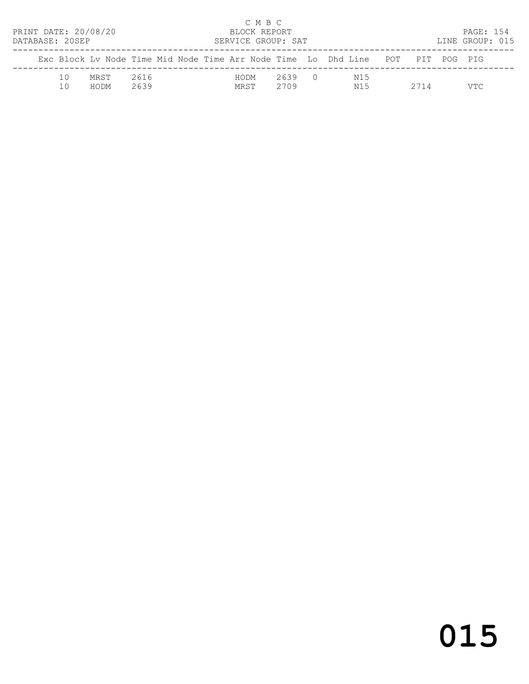| PRINT DATE: 20/08/20<br>DATABASE: 20SEP |    |              |              |  | C M B C<br>BLOCK REPORT | SERVICE GROUP: SAT |                                                                                |      | PAGE: 154<br>LINE GROUP: 015 |  |
|-----------------------------------------|----|--------------|--------------|--|-------------------------|--------------------|--------------------------------------------------------------------------------|------|------------------------------|--|
|                                         |    |              |              |  |                         |                    | Exc Block Ly Node Time Mid Node Time Arr Node Time Lo Dhd Line POT PIT POG PIG |      |                              |  |
|                                         | 10 | MRST<br>HODM | 2616<br>2639 |  | HODM<br>MRST            | 2639 0<br>2709     | N15<br>N15                                                                     | 2714 | VTC.                         |  |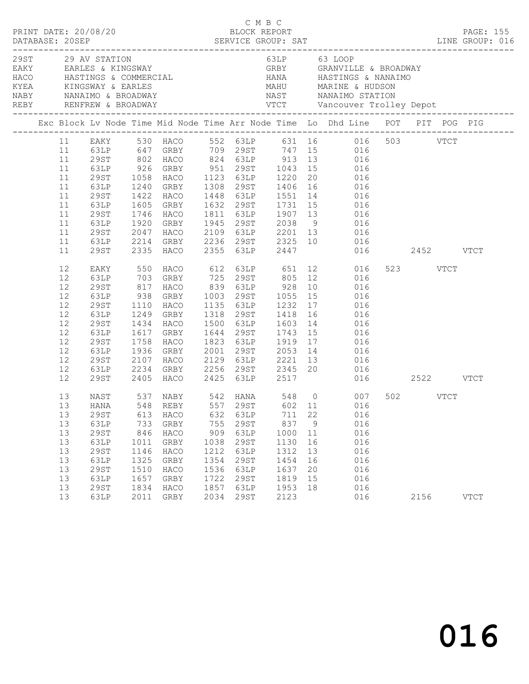|  |                                                                                             | PRINT DATE: 20/08/20                                                                               |                                                                           |                                                                                                                                     |                                                                           | C M B C<br>BLOCK REPORT                                                      |                                                                            |                                                   |                                                                                                                                                                                                                                                                                                                                                                                                                                   |                  | <b>PAGE: 155</b> |
|--|---------------------------------------------------------------------------------------------|----------------------------------------------------------------------------------------------------|---------------------------------------------------------------------------|-------------------------------------------------------------------------------------------------------------------------------------|---------------------------------------------------------------------------|------------------------------------------------------------------------------|----------------------------------------------------------------------------|---------------------------------------------------|-----------------------------------------------------------------------------------------------------------------------------------------------------------------------------------------------------------------------------------------------------------------------------------------------------------------------------------------------------------------------------------------------------------------------------------|------------------|------------------|
|  |                                                                                             | 29ST 29 AV STATION                                                                                 |                                                                           |                                                                                                                                     |                                                                           |                                                                              |                                                                            |                                                   | 63LP 63 LOOP<br>EAKY EARLES & KINGSWAY<br>HACO HASTINGS & COMMERCIAL GRBY GRANVILLE & BROADWAY<br>HACO HASTINGS & COMMERCIAL HANA HASTINGS & NANAIMO<br>KYEA KINGSWAY & EARLES MAHU MARINE & HUDSON<br>NABY NANAIMO & BROADWAY NAST NANAIMO STATION                                                                                                                                                                               |                  |                  |
|  |                                                                                             |                                                                                                    |                                                                           |                                                                                                                                     |                                                                           |                                                                              |                                                                            |                                                   | Exc Block Lv Node Time Mid Node Time Arr Node Time Lo Dhd Line POT PIT POG PIG                                                                                                                                                                                                                                                                                                                                                    |                  |                  |
|  | 11<br>11<br>11<br>11<br>11<br>11<br>11<br>11<br>11<br>11<br>11<br>11                        | 29ST<br>63LP<br>29ST<br>63LP<br>29ST<br>63LP<br>29ST                                               |                                                                           | 1058 HACO 1123 63LP 1220<br>29ST 1422 HACO<br>63LP 1605 GRBY<br>1746 HACO<br>2335 HACO                                              |                                                                           | 2355 63LP 2447                                                               |                                                                            | 20                                                | 11 EAKY 530 HACO 552 63LP 631 16 016 503 VTCT<br>63LP 647 GRBY 709 29ST 747 15 016<br>29ST 802 HACO 824 63LP 913 13 016<br>63LP 926 GRBY 951 29ST 1043 15 016<br>016<br>1240 GRBY 1308 29ST 1406 16 016<br>1422 HACO 1448 63LP 1551 14 016<br>1605 GRBY 1632 29ST 1731 15 016<br>1811 63LP 1907 13 016<br>1920 GRBY 1945 29ST 2038 9 016<br>2047 HACO 2109 63LP 2201 13 016<br>2214 GRBY 2236 29ST 2325 10 016<br>$016$ 2452 VTCT |                  |                  |
|  | 12<br>12<br>12<br>12<br>$12$<br>12<br>12<br>12<br>12<br>12<br>12<br>12<br>$12 \overline{ }$ | 63LP<br>29ST<br>63LP<br>29ST<br>63LP<br>29ST<br>63LP<br>29ST<br>29ST                               | 938<br>1110<br>1758                                                       | GRBY 1003 29ST 1055 15<br>HACO<br>1249 GRBY<br>1434 HACO<br>1617 GRBY<br>HACO<br>1936 GRBY<br>2107 HACO<br>2405 HACO 2425 63LP 2517 |                                                                           |                                                                              |                                                                            |                                                   | HACO 612 63LP 651 12 016<br>GRBY 725 29ST 805 12 016<br>EAKY 550 HACO 612 63LP 651 12 ULD<br>63LP 703 GRBY 725 29ST 805 12 016<br>29ST 817 HACO 839 63LP 928 10 016<br>016<br>1135 63LP 1232 17 016<br>1318 29ST 1418 16 016<br>1500 63LP 1603 14 016<br>1644 29ST 1743 15 016<br>1823 63LP 1919 17 016<br>2001 29ST 2053 14 016<br>2129 63LP 2221 13 016<br>63LP 2234 GRBY 2256 29ST 2345 20 016<br>016 2522 VTCT                | 523 VTCT         |                  |
|  | 13<br>13<br>13<br>13<br>13<br>13<br>13<br>13<br>13<br>13<br>13                              | NAST<br>29ST<br>63LP<br><b>29ST</b><br>63LP<br>29ST<br>63LP<br>29ST<br>63LP<br><b>29ST</b><br>63LP | 613<br>733<br>846<br>1011<br>1146<br>1325<br>1510<br>1657<br>1834<br>2011 | HACO<br>GRBY<br>HACO<br>GRBY<br>HACO<br>GRBY<br>HACO<br>GRBY<br>HACO<br>GRBY                                                        | 632<br>755<br>909<br>1038<br>1212<br>1354<br>1536<br>1722<br>1857<br>2034 | 63LP<br>29ST<br>63LP<br>29ST<br>63LP<br>29ST<br>63LP<br>29ST<br>63LP<br>29ST | 711<br>837<br>1000<br>1130<br>1312<br>1454<br>1637<br>1819<br>1953<br>2123 | 22<br>9<br>11<br>16<br>13<br>16<br>20<br>15<br>18 | 537 NABY 542 HANA 548 0 007<br>13 HANA 548 REBY 557 29ST 602 11 016<br>016<br>016<br>016<br>016<br>016<br>016<br>016<br>016<br>016<br>016                                                                                                                                                                                                                                                                                         | 502 VTCT<br>2156 | <b>VTCT</b>      |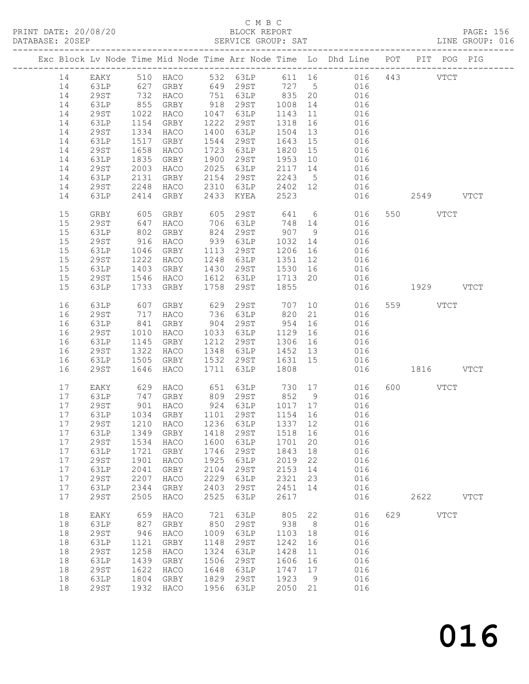### C M B C

| DATABASE: 20SEP |    |             |                 |                                                          |      | SERVICE GROUP: SAT                                                           |         |                |                                                                                |               | LINE GROUP: 016 |
|-----------------|----|-------------|-----------------|----------------------------------------------------------|------|------------------------------------------------------------------------------|---------|----------------|--------------------------------------------------------------------------------|---------------|-----------------|
|                 |    |             |                 |                                                          |      |                                                                              |         |                | Exc Block Lv Node Time Mid Node Time Arr Node Time Lo Dhd Line POT PIT POG PIG |               |                 |
|                 |    |             |                 |                                                          |      |                                                                              |         |                | 14 EAKY 510 HACO 532 63LP 611 16 016 443 VTCT                                  |               |                 |
|                 | 14 | 63LP        |                 |                                                          |      |                                                                              |         |                | 627 GRBY 649 29ST 727 5 016                                                    |               |                 |
|                 | 14 | 29ST        |                 | HACO                                                     |      |                                                                              |         |                | 016                                                                            |               |                 |
|                 | 14 | 63LP        | 732<br>855      | GRBY                                                     |      | 751 63LP 835 20<br>318 29ST 1008 14                                          |         |                | 016                                                                            |               |                 |
|                 | 14 | 29ST        | 1022            | HACO                                                     |      | 1047 63LP                                                                    | 1143    |                | 14 016<br>11 016                                                               |               |                 |
|                 | 14 | 63LP        | 1154            | GRBY                                                     |      | 1222 29ST                                                                    | 1318    | 16             | 016                                                                            |               |                 |
|                 | 14 | 29ST        | 1334            | HACO                                                     |      | 1400 63LP                                                                    | 1504    | 13             | 016                                                                            |               |                 |
|                 | 14 | 63LP        | 1517            | GRBY                                                     |      | 1544 29ST                                                                    | 1643 15 |                | 016                                                                            |               |                 |
|                 | 14 | 29ST        | 1658            | HACO                                                     |      | 1723 63LP                                                                    | 1820 15 |                | 016                                                                            |               |                 |
|                 | 14 | 63LP        | 1835            | GRBY                                                     |      | 1900 29ST                                                                    | 1953 10 |                | 016                                                                            |               |                 |
|                 |    | 29ST        | 2003            |                                                          | 2025 |                                                                              | 2117 14 |                |                                                                                |               |                 |
|                 | 14 |             |                 | HACO                                                     |      | 63LP                                                                         |         |                | 016                                                                            |               |                 |
|                 | 14 | 63LP        | 2131            | GRBY                                                     |      | 2154 29ST<br>$2310$ 63LP $2402$ 12                                           | 2243 5  |                | $016$<br>$016$                                                                 |               |                 |
|                 | 14 | 29ST        | 2248            | HACO                                                     |      |                                                                              |         |                |                                                                                |               |                 |
|                 | 14 | 63LP        | 2414            | GRBY                                                     |      | 2433 KYEA                                                                    | 2523    |                | 016                                                                            | 2549 VTCT     |                 |
|                 | 15 | GRBY        | 605<br>647      | GRBY                                                     |      | 605     29ST              641        6<br>706     63LP            748     14 |         |                | 016                                                                            | 550 VTCT      |                 |
|                 | 15 | 29ST        |                 | HACO                                                     |      |                                                                              |         |                | 016                                                                            |               |                 |
|                 | 15 | 63LP        | 802             | GRBY                                                     |      | 824 29ST                                                                     | 907 9   |                | 016                                                                            |               |                 |
|                 | 15 | 29ST        | 916             | HACO                                                     |      | 939 63LP                                                                     | 1032 14 |                | 016                                                                            |               |                 |
|                 | 15 | 63LP        | 1046<br>1222    | GRBY 1113 29ST                                           |      |                                                                              | 1206 16 |                | 016                                                                            |               |                 |
|                 | 15 | 29ST        |                 | HACO                                                     |      | 1248 63LP                                                                    | 1351 12 |                | 016                                                                            |               |                 |
|                 | 15 | 63LP        | 1403            | GRBY                                                     |      | 1430 29ST                                                                    | 1530 16 |                | 016                                                                            |               |                 |
|                 | 15 | 29ST        | 1546            | HACO                                                     |      | 1612 63LP                                                                    |         |                | 1713 20 016                                                                    |               |                 |
|                 | 15 | 63LP        | 1733            | GRBY                                                     | 1758 | 29ST                                                                         | 1855    |                |                                                                                | 016 1929 VTCT |                 |
|                 | 16 | 63LP        | 607             | GRBY                                                     |      | 629 29ST 707                                                                 |         |                | 10<br>016                                                                      | 559 VTCT      |                 |
|                 | 16 | 29ST        | 717             | HACO                                                     |      | 736 63LP 820                                                                 |         |                | 21 016                                                                         |               |                 |
|                 | 16 | 63LP        |                 | GRBY                                                     |      | 904 29ST                                                                     | 954     | 16             | 016                                                                            |               |                 |
|                 | 16 | 29ST        | $841$<br>$1010$ | HACO                                                     |      | 1033 63LP                                                                    | 1129 16 |                | 016                                                                            |               |                 |
|                 | 16 | 63LP        | 1145            | GRBY                                                     |      | 1212 29ST                                                                    | 1306 16 |                | $\begin{array}{c} 016 \\ 016 \end{array}$                                      |               |                 |
|                 | 16 | 29ST        | 1322            | HACO                                                     |      | 1348 63LP                                                                    | 1452 13 |                | 016                                                                            |               |                 |
|                 | 16 | 63LP        | 1505            | GRBY                                                     |      | 1532 29ST                                                                    | 1631 15 |                | 016                                                                            |               |                 |
|                 | 16 | 29ST        | 1646            | HACO                                                     |      | 1711 63LP                                                                    | 1808    |                |                                                                                | 016 1816 VTCT |                 |
|                 | 17 | EAKY        |                 | 629 HACO                                                 |      | 651 63LP 730 17                                                              |         |                | 016                                                                            | 600 VTCT      |                 |
|                 | 17 |             |                 |                                                          |      |                                                                              |         |                |                                                                                |               |                 |
|                 |    | 63LP        | 747             |                                                          |      | GRBY 809 29ST 852 9                                                          |         |                | 016                                                                            |               |                 |
|                 | 17 | 29ST        |                 | 901 HACO 924 63LP 1017 17<br>1034 GRBY 1101 29ST 1154 16 |      |                                                                              |         |                | 016<br>016                                                                     |               |                 |
|                 | 17 | 63LP        |                 |                                                          |      |                                                                              |         |                |                                                                                |               |                 |
|                 |    |             |                 |                                                          |      |                                                                              |         |                | 17 29ST 1210 HACO 1236 63LP 1337 12 016                                        |               |                 |
|                 | 17 | 63LP        |                 | 1349 GRBY                                                | 1418 | 29ST                                                                         | 1518 16 |                | 016                                                                            |               |                 |
|                 | 17 | 29ST        | 1534            | HACO                                                     | 1600 | 63LP                                                                         | 1701    | 20             | 016                                                                            |               |                 |
|                 | 17 | 63LP        | 1721            | GRBY                                                     | 1746 | 29ST                                                                         | 1843    | 18             | 016                                                                            |               |                 |
|                 | 17 | <b>29ST</b> | 1901            | HACO                                                     | 1925 | 63LP                                                                         | 2019    | 22             | 016                                                                            |               |                 |
|                 | 17 | 63LP        | 2041            | GRBY                                                     | 2104 | 29ST                                                                         | 2153    | 14             | 016                                                                            |               |                 |
|                 | 17 | 29ST        | 2207            | HACO                                                     | 2229 | 63LP                                                                         | 2321    | 23             | 016                                                                            |               |                 |
|                 | 17 | 63LP        | 2344            | GRBY                                                     | 2403 | 29ST                                                                         | 2451    | 14             | 016                                                                            |               |                 |
|                 | 17 | <b>29ST</b> | 2505            | HACO                                                     | 2525 | 63LP                                                                         | 2617    |                | 016                                                                            | 2622 VTCT     |                 |
|                 | 18 | EAKY        | 659             | HACO                                                     | 721  | 63LP                                                                         | 805     | 22             | 016                                                                            | 629 VTCT      |                 |
|                 | 18 | 63LP        | 827             | GRBY                                                     | 850  | 29ST                                                                         | 938     | 8 <sup>8</sup> | 016                                                                            |               |                 |
|                 | 18 | <b>29ST</b> | 946             | HACO                                                     | 1009 | 63LP                                                                         | 1103    | 18             | 016                                                                            |               |                 |
|                 | 18 | 63LP        | 1121            | GRBY                                                     | 1148 | 29ST                                                                         | 1242    | 16             | 016                                                                            |               |                 |
|                 | 18 | <b>29ST</b> | 1258            | HACO                                                     | 1324 | 63LP                                                                         | 1428    | 11             | 016                                                                            |               |                 |
|                 | 18 | 63LP        | 1439            | GRBY                                                     | 1506 | 29ST                                                                         | 1606    | 16             | 016                                                                            |               |                 |
|                 | 18 | <b>29ST</b> | 1622            | HACO                                                     | 1648 | 63LP                                                                         | 1747    | 17             | 016                                                                            |               |                 |
|                 | 18 | 63LP        | 1804            | GRBY                                                     | 1829 | 29ST                                                                         | 1923    | 9              | 016                                                                            |               |                 |
|                 | 18 | <b>29ST</b> | 1932            |                                                          | 1956 | 63LP                                                                         | 2050    |                |                                                                                |               |                 |
|                 |    |             |                 | HACO                                                     |      |                                                                              |         | 21             | 016                                                                            |               |                 |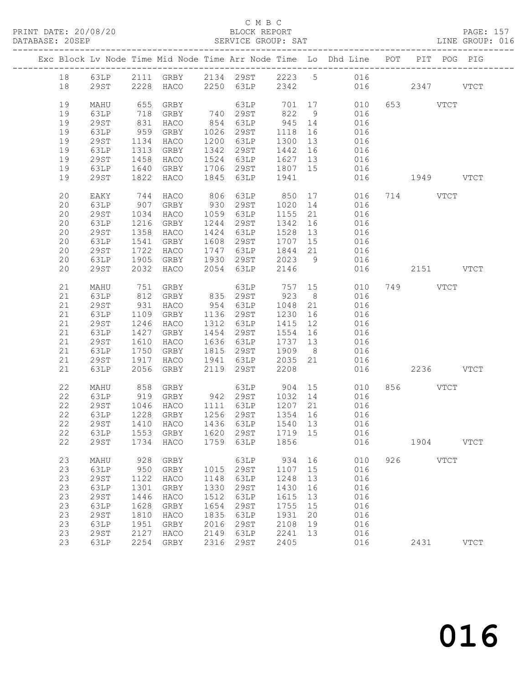### C M B C<br>BLOCK REPORT

| DATABASE: 20SEP |             |                 |                        |      | SERVICE GROUP: SAT                                         |         |    | LINE GROUP: 016                                                                |               |          |           |             |  |
|-----------------|-------------|-----------------|------------------------|------|------------------------------------------------------------|---------|----|--------------------------------------------------------------------------------|---------------|----------|-----------|-------------|--|
|                 |             |                 |                        |      |                                                            |         |    | Exc Block Lv Node Time Mid Node Time Arr Node Time Lo Dhd Line POT PIT POG PIG |               |          |           |             |  |
|                 |             |                 |                        |      |                                                            |         |    | 18 63LP 2111 GRBY 2134 29ST 2223 5 016                                         |               |          |           |             |  |
| 18              |             |                 |                        |      |                                                            |         |    | 29ST 2228 HACO 2250 63LP 2342 016 2347 VTCT                                    |               |          |           |             |  |
| 19              | MAHU        | 655             | GRBY                   |      |                                                            |         |    | $63LP$ $701$ $17$ $010$<br>$293TP$ $822$ $9$ $016$                             |               | 653 VTCT |           |             |  |
| 19              | 63LP        | 718             |                        |      | GRBY 740 29ST 822 9                                        |         |    |                                                                                |               |          |           |             |  |
| 19              | 29ST        | 831             | HACO                   |      | 854 63LP 945 14                                            |         |    | 016                                                                            |               |          |           |             |  |
| 19              | 63LP        | 959             | GRBY                   |      | 1026 29ST 1118 16                                          |         |    | 016                                                                            |               |          |           |             |  |
| 19              | 29ST        |                 |                        |      | 1200 63LP                                                  | 1300 13 |    | 016                                                                            |               |          |           |             |  |
| 19              | 63LP        |                 | 1134 HACO<br>1313 GRBY |      | 1342 29ST 1442 16                                          |         |    | 016<br>016                                                                     |               |          |           |             |  |
| 19              | 29ST        | 1458            | HACO                   |      | 1524 63LP 1627 13                                          |         |    | 016                                                                            |               |          |           |             |  |
| 19              | 63LP        | 1640            | GRBY                   |      | 1706 29ST 1807 15                                          |         |    | 016                                                                            |               |          |           |             |  |
| 19              | 29ST        |                 | 1822 HACO              |      | 1845 63LP 1941                                             |         |    |                                                                                | 016 1949 VTCT |          |           |             |  |
|                 |             |                 |                        |      |                                                            |         |    |                                                                                |               |          |           |             |  |
| 20              | EAKY        | 744             | HACO                   |      | 806 63LP 850                                               |         |    | 17 016                                                                         |               | 714 VTCT |           |             |  |
| 20              | 63LP        | 907             | GRBY                   |      | 930 29ST                                                   | 1020    | 14 | 016                                                                            |               |          |           |             |  |
| 20              | 29ST        | $103 -$<br>1216 | HACO                   |      | 1059 63LP                                                  |         |    | 1155  21  016<br>1342  16  016                                                 |               |          |           |             |  |
| 20              | 63LP        |                 | GRBY                   |      | 1244 29ST                                                  | 1342 16 |    | 016                                                                            |               |          |           |             |  |
| 20              | 29ST        | 1358            | HACO                   |      | 1424 63LP 1528 13                                          |         |    | 016                                                                            |               |          |           |             |  |
| 20              | 63LP        | 1541            | GRBY                   |      | 1608 29ST                                                  | 1707 15 |    | 016                                                                            |               |          |           |             |  |
| 20              | 29ST        | 1722            | HACO                   |      |                                                            |         |    | 1747 63LP 1844 21 016<br>1930 29ST 2023 9 016                                  |               |          |           |             |  |
| 20              | 63LP        | 1905            | GRBY                   |      |                                                            |         |    | 016                                                                            |               |          |           |             |  |
| 20              | 29ST        | 2032            | HACO                   |      | 2054 63LP                                                  | 2146    |    | 016                                                                            |               |          | 2151 VTCT |             |  |
| 21              | MAHU        |                 |                        |      |                                                            |         |    | 15 010 749 VTCT                                                                |               |          |           |             |  |
| 21              | 63LP        |                 |                        |      |                                                            |         |    | 016                                                                            |               |          |           |             |  |
| 21              | 29ST        | 931             | HACO                   |      | 954 63LP 1048                                              |         | 21 | 016                                                                            |               |          |           |             |  |
| 21              | 63LP        | 1109            |                        |      | GRBY 1136 29ST 1230                                        |         | 16 | 016                                                                            |               |          |           |             |  |
| 21              | 29ST        | 1246            | HACO                   |      | 1312 63LP                                                  | 1415    | 12 | 016                                                                            |               |          |           |             |  |
| 21              | 63LP        | 1427            | GRBY                   |      | 1454 29ST                                                  | 1554 16 |    | $016$<br>$016$                                                                 |               |          |           |             |  |
| 21              | 29ST        | 1610            | HACO                   |      | 1636 63LP                                                  | 1737 13 |    |                                                                                |               |          |           |             |  |
| 21              | 63LP        | 1750            | GRBY                   |      | 1815 29ST 1909 8                                           |         |    | 016                                                                            |               |          |           |             |  |
| 21              | 29ST        | 1917            | HACO                   |      |                                                            |         |    | 1941 63LP 2035 21 016                                                          |               |          |           |             |  |
| 21              | 63LP        | 2056            | GRBY                   |      | 2119 29ST                                                  | 2208    |    |                                                                                | 016 2236 VTCT |          |           |             |  |
| 22              | MAHU        | 858             | GRBY                   |      | 63LP 904 15                                                |         |    | 010                                                                            |               | 856 VTCT |           |             |  |
| 22              | 63LP        | 919             |                        |      |                                                            |         |    | GRBY 942 29ST 1032 14 016                                                      |               |          |           |             |  |
| 22              | 29ST        |                 |                        |      |                                                            |         |    |                                                                                |               |          |           |             |  |
| 22              | 63LP        |                 |                        |      | 1046 HACO 1111 63LP 1207 21<br>1228 GRBY 1256 29ST 1354 16 |         |    | $016$<br>$016$                                                                 |               |          |           |             |  |
|                 |             |                 |                        |      |                                                            |         |    | 22  29ST  1410  HACO  1436  63LP  1540  13  016                                |               |          |           |             |  |
| 22              | 63LP        |                 | 1553 GRBY              | 1620 | 29ST                                                       | 1719 15 |    | 016                                                                            |               |          |           |             |  |
| 22              | 29ST        |                 | 1734 HACO              |      | 1759 63LP 1856                                             |         |    | 016                                                                            |               |          | 1904 VTCT |             |  |
| 23              | MAHU        | 928             | GRBY                   |      | 63LP                                                       | 934     | 16 | 010                                                                            |               | 926 VTCT |           |             |  |
| 23              | 63LP        | 950             | GRBY                   | 1015 | 29ST                                                       | 1107    | 15 | 016                                                                            |               |          |           |             |  |
| 23              | 29ST        | 1122            | HACO                   | 1148 | 63LP                                                       | 1248    | 13 | 016                                                                            |               |          |           |             |  |
| 23              | 63LP        | 1301            | GRBY                   | 1330 | 29ST                                                       | 1430    | 16 | 016                                                                            |               |          |           |             |  |
| 23              | <b>29ST</b> | 1446            | HACO                   | 1512 | 63LP                                                       | 1615    | 13 | 016                                                                            |               |          |           |             |  |
| 23              | 63LP        | 1628            | GRBY                   | 1654 | 29ST                                                       | 1755    | 15 | 016                                                                            |               |          |           |             |  |
| 23              | <b>29ST</b> | 1810            | HACO                   | 1835 | 63LP                                                       | 1931    | 20 | 016                                                                            |               |          |           |             |  |
| 23              | 63LP        | 1951            | GRBY                   | 2016 | 29ST                                                       | 2108    | 19 | 016                                                                            |               |          |           |             |  |
| 23              | <b>29ST</b> | 2127            | HACO                   | 2149 | 63LP                                                       | 2241    | 13 | 016                                                                            |               |          |           |             |  |
| 23              | 63LP        |                 | 2254 GRBY              | 2316 | 29ST                                                       | 2405    |    | 016                                                                            |               |          | 2431      | <b>VTCT</b> |  |
|                 |             |                 |                        |      |                                                            |         |    |                                                                                |               |          |           |             |  |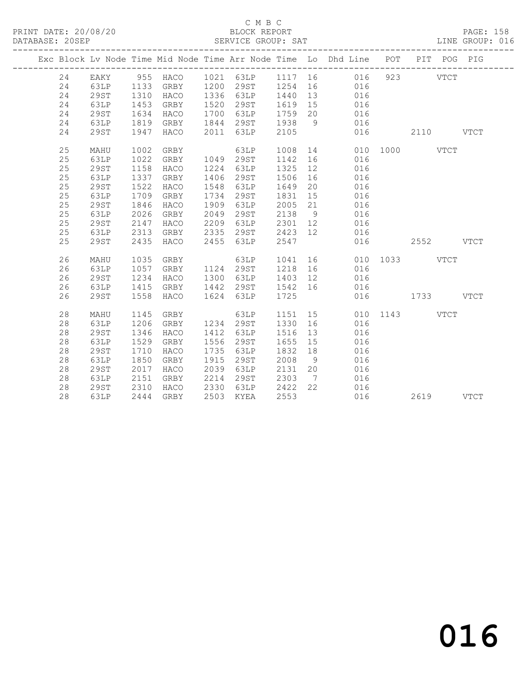#### C M B C<br>BLOCK REPORT SERVICE GROUP: SAT

|  |    |             |      |          |      |           |      |                              | Exc Block Lv Node Time Mid Node Time Arr Node Time Lo Dhd Line POT |           |      | PIT POG PIG |             |
|--|----|-------------|------|----------|------|-----------|------|------------------------------|--------------------------------------------------------------------|-----------|------|-------------|-------------|
|  | 24 | EAKY        |      | 955 HACO |      | 1021 63LP |      |                              | 1117 16<br>016                                                     |           | 923  | <b>VTCT</b> |             |
|  | 24 | 63LP        | 1133 | GRBY     | 1200 | 29ST      | 1254 | 16                           | 016                                                                |           |      |             |             |
|  | 24 | <b>29ST</b> | 1310 | HACO     | 1336 | 63LP      | 1440 | 13                           | 016                                                                |           |      |             |             |
|  | 24 | 63LP        | 1453 | GRBY     | 1520 | 29ST      | 1619 | 15                           | 016                                                                |           |      |             |             |
|  | 24 | 29ST        | 1634 | HACO     | 1700 | 63LP      | 1759 | 20                           | 016                                                                |           |      |             |             |
|  | 24 | 63LP        | 1819 | GRBY     | 1844 | 29ST      | 1938 | 9                            | 016                                                                |           |      |             |             |
|  | 24 | <b>29ST</b> | 1947 | HACO     | 2011 | 63LP      | 2105 |                              | 016                                                                |           | 2110 |             | <b>VTCT</b> |
|  | 25 | MAHU        | 1002 | GRBY     |      | 63LP      | 1008 | 14                           | 010                                                                | 1000      |      | <b>VTCT</b> |             |
|  | 25 | 63LP        | 1022 | GRBY     | 1049 | 29ST      | 1142 | 16                           | 016                                                                |           |      |             |             |
|  | 25 | <b>29ST</b> | 1158 | HACO     | 1224 | 63LP      | 1325 | 12                           | 016                                                                |           |      |             |             |
|  | 25 | 63LP        | 1337 | GRBY     | 1406 | 29ST      | 1506 | 16                           | 016                                                                |           |      |             |             |
|  | 25 | 29ST        | 1522 | HACO     | 1548 | 63LP      | 1649 | 20                           | 016                                                                |           |      |             |             |
|  | 25 | 63LP        | 1709 | GRBY     | 1734 | 29ST      | 1831 | 15                           | 016                                                                |           |      |             |             |
|  | 25 | <b>29ST</b> | 1846 | HACO     | 1909 | 63LP      | 2005 | 21                           | 016                                                                |           |      |             |             |
|  | 25 | 63LP        | 2026 | GRBY     | 2049 | 29ST      | 2138 | 9                            | 016                                                                |           |      |             |             |
|  | 25 | 29ST        | 2147 | HACO     | 2209 | 63LP      | 2301 | 12                           | 016                                                                |           |      |             |             |
|  | 25 | 63LP        | 2313 | GRBY     | 2335 | 29ST      | 2423 | 12                           | 016                                                                |           |      |             |             |
|  | 25 | <b>29ST</b> | 2435 | HACO     | 2455 | 63LP      | 2547 |                              | 016                                                                |           | 2552 |             | <b>VTCT</b> |
|  | 26 | MAHU        | 1035 | GRBY     |      | 63LP      | 1041 | 16                           | 010                                                                | 1033 VTCT |      |             |             |
|  | 26 | 63LP        | 1057 | GRBY     | 1124 | 29ST      | 1218 | 16                           | 016                                                                |           |      |             |             |
|  | 26 | 29ST        | 1234 | HACO     | 1300 | 63LP      | 1403 | 12                           | 016                                                                |           |      |             |             |
|  | 26 | 63LP        | 1415 | GRBY     | 1442 | 29ST      | 1542 | 16                           | 016                                                                |           |      |             |             |
|  | 26 | 29ST        | 1558 | HACO     | 1624 | 63LP      | 1725 |                              | 016                                                                |           | 1733 |             | <b>VTCT</b> |
|  | 28 | MAHU        | 1145 | GRBY     |      | 63LP      | 1151 | 15                           | 010                                                                | 1143      |      | <b>VTCT</b> |             |
|  | 28 | 63LP        | 1206 | GRBY     | 1234 | 29ST      | 1330 | 16                           | 016                                                                |           |      |             |             |
|  | 28 | <b>29ST</b> | 1346 | HACO     | 1412 | 63LP      | 1516 | 13                           | 016                                                                |           |      |             |             |
|  | 28 | 63LP        | 1529 | GRBY     | 1556 | 29ST      | 1655 | 15                           | 016                                                                |           |      |             |             |
|  | 28 | <b>29ST</b> | 1710 | HACO     | 1735 | 63LP      | 1832 | 18                           | 016                                                                |           |      |             |             |
|  | 28 | 63LP        | 1850 | GRBY     | 1915 | 29ST      | 2008 | 9                            | 016                                                                |           |      |             |             |
|  | 28 | <b>29ST</b> | 2017 | HACO     | 2039 | 63LP      | 2131 | 20                           | 016                                                                |           |      |             |             |
|  | 28 | 63LP        | 2151 | GRBY     | 2214 | 29ST      | 2303 | $7\phantom{.0}\phantom{.0}7$ | 016                                                                |           |      |             |             |
|  | 28 | 29ST        | 2310 | HACO     | 2330 | 63LP      | 2422 | 22                           | 016                                                                |           |      |             |             |
|  | 28 | 63LP        | 2444 | GRBY     | 2503 | KYEA      | 2553 |                              | 016                                                                |           | 2619 |             | <b>VTCT</b> |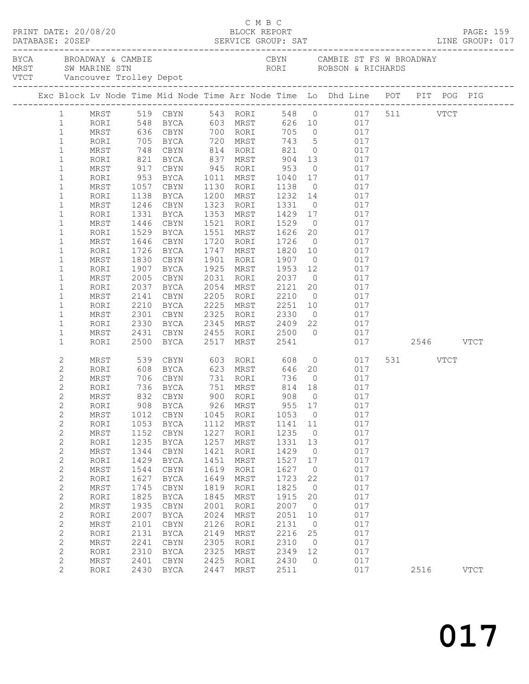| DATABASE: 20SEP                  |                |              |                  | $\begin{array}{cccc}\n\texttt{CRINT} & \texttt{DATE:} & 20/08/20 & \texttt{C} & \texttt{M} & \texttt{B} & \texttt{C}\n\end{array}$                                                                                            |              |                                        |                      |                      |                                                                                                       |            |          | PAGE: 159   |  |
|----------------------------------|----------------|--------------|------------------|-------------------------------------------------------------------------------------------------------------------------------------------------------------------------------------------------------------------------------|--------------|----------------------------------------|----------------------|----------------------|-------------------------------------------------------------------------------------------------------|------------|----------|-------------|--|
|                                  |                |              |                  | EXAMBLE STRING AND THE CHANNER CONST SAN ARTINE STRING ON THE CONST SAN ARRIVE STRING ON THE CONST SAN ARRIVE TO UP OF THE PROOF OF THE CONSTRUCT STRING ON THE STRING ON THE CONSTRUCT STRING ON THE CONSTRUCT STRING ON THE |              |                                        |                      |                      | CBYN CAMBIE ST FS W BROADWAY                                                                          |            |          |             |  |
|                                  |                |              |                  | Exc Block Lv Node Time Mid Node Time Arr Node Time Lo Dhd Line POT PIT POG PIG                                                                                                                                                |              |                                        |                      |                      |                                                                                                       |            |          |             |  |
|                                  |                |              |                  | 1 MRST 519 CBYN 543 RORI 548 0 017 511 VTCT<br>1 RORI 548 BYCA 603 MRST 626 10 017<br>1 MRST 636 CBYN 700 RORI 705 0 017                                                                                                      |              |                                        |                      |                      |                                                                                                       |            |          |             |  |
|                                  |                |              |                  |                                                                                                                                                                                                                               |              |                                        |                      |                      |                                                                                                       |            |          |             |  |
|                                  |                |              |                  |                                                                                                                                                                                                                               |              |                                        |                      |                      |                                                                                                       |            |          |             |  |
| $\mathbf{1}$                     |                | RORI         |                  | 705 BYCA 720 MRST                                                                                                                                                                                                             |              |                                        |                      |                      | 743 5 017                                                                                             |            |          |             |  |
| $\mathbf{1}$                     |                | MRST         |                  | 748 CBYN 814 RORI 821<br>821 BYCA 837 MRST 904<br>917 CBYN 945 RORI 953                                                                                                                                                       |              |                                        |                      |                      | 0 017                                                                                                 |            |          |             |  |
| $\mathbf{1}$                     |                | RORI         |                  |                                                                                                                                                                                                                               |              | BYCA 837 MRST 904<br>CBYN 945 RORI 953 |                      |                      | $\begin{array}{ccc} 13 & \hspace{1.5cm} & 017 \\ \hspace{1.5cm} 0 & \hspace{1.5cm} & 017 \end{array}$ |            |          |             |  |
| $\mathbf{1}$<br>$\mathbf{1}$     |                | MRST<br>RORI | 953              | BYCA                                                                                                                                                                                                                          |              | 1011 MRST 1040                         |                      |                      | 17 017                                                                                                |            |          |             |  |
| $\mathbf{1}$                     |                | MRST         | 1057             | CBYN                                                                                                                                                                                                                          |              | 1130 RORI                              | 1138                 | $\overline{0}$       | 017                                                                                                   |            |          |             |  |
| $\mathbf{1}$                     |                | RORI         | 1138             | BYCA                                                                                                                                                                                                                          |              | 1200 MRST                              |                      |                      |                                                                                                       |            |          |             |  |
| $\mathbf{1}$                     |                | MRST         | 1246             | CBYN                                                                                                                                                                                                                          |              | 1323 RORI                              |                      |                      | 1232  14  017<br>1331  0  017                                                                         |            |          |             |  |
| $\mathbf{1}$                     |                | RORI         | 1331             | BYCA                                                                                                                                                                                                                          |              | 1353 MRST 1429 17                      |                      |                      | 017                                                                                                   |            |          |             |  |
| 1                                |                | MRST         | 1446             | CBYN                                                                                                                                                                                                                          |              | 1521 RORI 1529                         |                      | $\overline{0}$       | 017                                                                                                   |            |          |             |  |
| $\mathbf{1}$                     |                | RORI         | 1529             | BYCA                                                                                                                                                                                                                          |              | 1551 MRST                              | 1626 20<br>1726 0    |                      | $\begin{array}{ccc} 20 & \quad & 017 \\ \quad 0 & \quad & 017 \end{array}$                            |            |          |             |  |
| $\mathbf{1}$                     |                | MRST         | 1646             | CBYN                                                                                                                                                                                                                          |              | 1720 RORI                              |                      |                      |                                                                                                       |            |          |             |  |
| $\mathbf{1}$                     |                | RORI         |                  | 1726 BYCA                                                                                                                                                                                                                     |              | 1747 MRST                              | 1820 10              |                      | 017                                                                                                   |            |          |             |  |
| $\mathbf{1}$                     |                | MRST         | 1830             | CBYN                                                                                                                                                                                                                          |              | 1901 RORI                              | 1907                 |                      | 0 0 17                                                                                                |            |          |             |  |
| $\mathbf{1}$                     |                | RORI         | 1907             | BYCA                                                                                                                                                                                                                          |              | 1925 MRST                              | 1953 12<br>2037 0    |                      | $\begin{array}{c} 017 \\ 017 \end{array}$                                                             |            |          |             |  |
| 1<br>$\mathbf{1}$                |                | MRST<br>RORI | 2005<br>2037     | CBYN<br>BYCA                                                                                                                                                                                                                  |              | 2031 RORI<br>2054 MRST                 | 2121 20              |                      | 017                                                                                                   | 017        |          |             |  |
| 1                                |                | MRST         | 2141             | CBYN                                                                                                                                                                                                                          |              | 2205 RORI                              | 2210                 | $\overline{0}$       | 017                                                                                                   |            |          |             |  |
| $\mathbf{1}$                     |                | RORI         | 2210             | BYCA                                                                                                                                                                                                                          | 2225         | MRST                                   |                      |                      |                                                                                                       |            |          |             |  |
| 1                                |                | MRST         |                  | CBYN                                                                                                                                                                                                                          |              | 2325 RORI                              |                      |                      | 2251 10 017<br>2330 0 017<br>2409 22 017                                                              |            |          |             |  |
| $\mathbf{1}$                     |                | RORI         | $2301$<br>$2330$ | BYCA                                                                                                                                                                                                                          | 2345         | MRST                                   |                      |                      |                                                                                                       |            |          |             |  |
| 1                                |                | MRST         | 2431             | CBYN                                                                                                                                                                                                                          |              | 2455 RORI 2500                         |                      |                      | $0$ 017                                                                                               |            |          |             |  |
| $\mathbf{1}$                     |                | RORI         | 2500             | BYCA                                                                                                                                                                                                                          | 2517         | MRST                                   | 2541                 |                      | 017 2546 VTCT                                                                                         |            |          |             |  |
| 2                                |                | MRST         |                  | 539 CBYN                                                                                                                                                                                                                      |              | 603 RORI 608                           |                      |                      | $\overline{0}$                                                                                        | 017        | 531 VTCT |             |  |
| 2                                |                | RORI         |                  | 608 BYCA                                                                                                                                                                                                                      |              | 623 MRST                               |                      |                      | 646 20 017                                                                                            |            |          |             |  |
| 2                                |                | MRST         | 706              |                                                                                                                                                                                                                               |              | CBYN 731 RORI                          | 736                  |                      | $0\qquad \qquad 017$                                                                                  |            |          |             |  |
| $\overline{c}$<br>$\overline{c}$ |                | RORI<br>MRST |                  | 736 BYCA<br>832 CBYN                                                                                                                                                                                                          |              | 751 MRST<br>900 RORI                   | 814<br>908<br>814 18 | $\overline{0}$       | $\begin{array}{c} 017 \\ 017 \end{array}$                                                             |            |          |             |  |
|                                  | $\overline{2}$ |              |                  | RORI 908 BYCA                                                                                                                                                                                                                 |              | 926 MRST                               |                      |                      | 955 17 017                                                                                            |            |          |             |  |
| 2                                |                | MRST         | 1012             | CBYN                                                                                                                                                                                                                          |              | 1045 RORI                              | 1053                 | $\overline{0}$       |                                                                                                       | 017        |          |             |  |
| $\overline{c}$                   |                | RORI         | 1053             | BYCA                                                                                                                                                                                                                          | 1112         | MRST                                   | 1141 11              |                      |                                                                                                       | 017        |          |             |  |
| $\mathbf{2}$                     |                | MRST         | 1152             | CBYN                                                                                                                                                                                                                          | 1227         | RORI                                   | 1235                 | $\overline{0}$       |                                                                                                       | 017        |          |             |  |
| $\overline{c}$                   |                | RORI         | 1235             | BYCA                                                                                                                                                                                                                          | 1257         | MRST                                   | 1331                 | 13                   |                                                                                                       | 017        |          |             |  |
| $\overline{c}$                   |                | MRST         | 1344             | CBYN                                                                                                                                                                                                                          | 1421         | RORI                                   | 1429                 | 0                    |                                                                                                       | 017        |          |             |  |
| $\overline{c}$                   |                | RORI         | 1429             | BYCA                                                                                                                                                                                                                          | 1451         | MRST                                   | 1527                 | 17                   |                                                                                                       | 017        |          |             |  |
| $\mathbf{2}$                     |                | MRST         | 1544             | CBYN                                                                                                                                                                                                                          | 1619         | RORI                                   | 1627                 | $\overline{0}$       |                                                                                                       | 017        |          |             |  |
| $\overline{c}$                   |                | RORI         | 1627             | BYCA                                                                                                                                                                                                                          | 1649         | MRST                                   | 1723                 | 22                   |                                                                                                       | 017        |          |             |  |
| $\overline{c}$                   |                | MRST         | 1745             | CBYN                                                                                                                                                                                                                          | 1819         | RORI                                   | 1825                 | $\overline{0}$       |                                                                                                       | 017        |          |             |  |
| 2<br>$\mathbf{2}$                |                | RORI         | 1825<br>1935     | BYCA                                                                                                                                                                                                                          | 1845         | MRST                                   | 1915<br>2007         | 20<br>$\overline{0}$ |                                                                                                       | 017<br>017 |          |             |  |
| 2                                |                | MRST<br>RORI | 2007             | CBYN<br><b>BYCA</b>                                                                                                                                                                                                           | 2001<br>2024 | RORI<br>MRST                           | 2051                 | 10                   |                                                                                                       | 017        |          |             |  |
| 2                                |                | MRST         | 2101             | CBYN                                                                                                                                                                                                                          | 2126         | RORI                                   | 2131                 | $\overline{0}$       |                                                                                                       | 017        |          |             |  |
| 2                                |                | RORI         | 2131             | BYCA                                                                                                                                                                                                                          | 2149         | MRST                                   | 2216                 | 25                   |                                                                                                       | 017        |          |             |  |
| $\mathbf{2}$                     |                | MRST         | 2241             | CBYN                                                                                                                                                                                                                          | 2305         | RORI                                   | 2310                 | $\overline{0}$       |                                                                                                       | 017        |          |             |  |
| $\mathbf{2}$                     |                | RORI         | 2310             | BYCA                                                                                                                                                                                                                          | 2325         | MRST                                   | 2349                 | 12                   |                                                                                                       | 017        |          |             |  |
| $\mathbf{2}$                     |                | MRST         | 2401             | CBYN                                                                                                                                                                                                                          | 2425         | RORI                                   | 2430                 | $\circ$              |                                                                                                       | 017        |          |             |  |
| 2                                |                | RORI         | 2430             | BYCA                                                                                                                                                                                                                          | 2447         | MRST                                   | 2511                 |                      |                                                                                                       | 017        | 2516     | <b>VTCT</b> |  |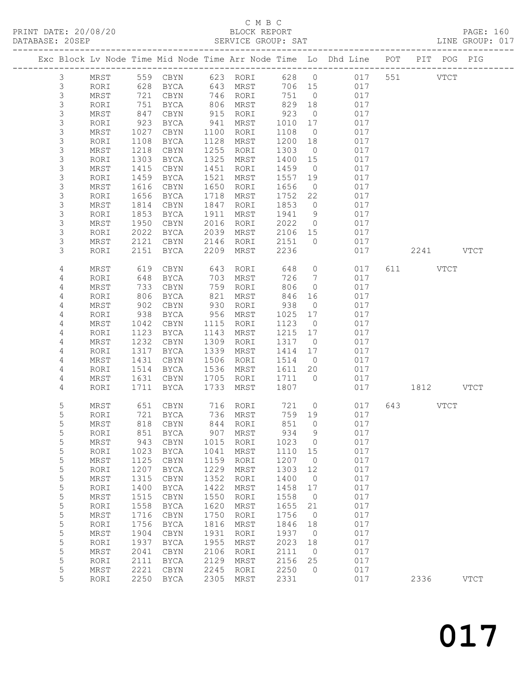### C M B C<br>BLOCK REPORT

| DATABASE: 20SEP |             |                    |                  |             |      | SERVICE GROUP: SAT   |         |                |                                                                                |               | LINE GROUP: 017 |  |
|-----------------|-------------|--------------------|------------------|-------------|------|----------------------|---------|----------------|--------------------------------------------------------------------------------|---------------|-----------------|--|
|                 |             | ------------------ |                  |             |      |                      |         |                | Exc Block Lv Node Time Mid Node Time Arr Node Time Lo Dhd Line POT PIT POG PIG |               |                 |  |
|                 | 3           |                    |                  |             |      |                      |         |                | MRST 559 CBYN 623 RORI 628 0 017 551 VTCT                                      |               |                 |  |
|                 | 3           | RORI               | 628              |             |      | BYCA 643 MRST        |         |                | 706 15<br>017                                                                  |               |                 |  |
|                 | 3           | MRST               | 721              | CBYN        |      | 746 RORI             | 751     | $\overline{0}$ | 017                                                                            |               |                 |  |
|                 | $\mathsf S$ | RORI               | 751              | BYCA        |      |                      | 829     | 18             | 017                                                                            |               |                 |  |
|                 | $\mathsf S$ | MRST               | 847              | CBYN        |      | 806 MRST<br>915 RORI | 923     | $\overline{0}$ | 017                                                                            |               |                 |  |
|                 | $\mathsf S$ | RORI               | 923              | BYCA        |      | 941 MRST             | 1010    | 17             | 017                                                                            |               |                 |  |
|                 | 3           | MRST               | 1027             | CBYN        | 1100 | RORI                 | 1108    | $\overline{0}$ | 017                                                                            |               |                 |  |
|                 | $\mathsf S$ | RORI               | 1108             | BYCA        |      | 1128 MRST            | 1200 18 |                | 017                                                                            |               |                 |  |
|                 | $\mathsf 3$ | MRST               | 1218             | CBYN        | 1255 | RORI                 | 1303    | $\overline{0}$ | 017                                                                            |               |                 |  |
|                 | 3           | RORI               | 1303             | BYCA        | 1325 | MRST                 | 1400 15 |                | 017                                                                            |               |                 |  |
|                 | 3           | MRST               | 1415             | CBYN        | 1451 | RORI                 | 1459    | $\overline{0}$ | 017                                                                            |               |                 |  |
|                 | $\mathsf S$ | RORI               | 1459             | BYCA        | 1521 | MRST                 | 1557 19 |                | 017                                                                            |               |                 |  |
|                 | $\mathsf 3$ | MRST               | 1616             | CBYN        |      | 1650 RORI            | 1656    | $\overline{0}$ | 017                                                                            |               |                 |  |
|                 | 3           | RORI               | 1656             | BYCA        | 1718 | MRST                 | 1752    | 22             | 017                                                                            |               |                 |  |
|                 | $\mathsf S$ | MRST               | 1814             | CBYN        | 1847 | RORI                 | 1853    | $\overline{0}$ | 017                                                                            |               |                 |  |
|                 | 3           | RORI               | 1853             | BYCA        | 1911 | MRST                 | 1941 9  |                | 017                                                                            |               |                 |  |
|                 | $\mathsf S$ | MRST               | 1950             | CBYN        | 2016 | RORI                 | 2022    | $\overline{0}$ | 017                                                                            |               |                 |  |
|                 | 3           | RORI               | 2022             | BYCA        | 2039 | MRST                 | 2106 15 |                | 017                                                                            |               |                 |  |
|                 | 3           | MRST               | 2121             | CBYN 2146   |      | RORI                 | 2151    | $\overline{0}$ | 017                                                                            |               |                 |  |
|                 | 3           | RORI               | 2151             | BYCA        | 2209 | MRST                 | 2236    |                | 017                                                                            | 2241 VTCT     |                 |  |
|                 | 4           | MRST               | 619              | CBYN        | 643  | RORI                 | 648     |                | $\overline{0}$<br>017                                                          | 611 VTCT      |                 |  |
|                 | 4           | RORI               | 648              | BYCA        |      | 703 MRST             | 726     | $\overline{7}$ | 017                                                                            |               |                 |  |
|                 | 4           | MRST               |                  | CBYN        |      | 759 RORI             | 806     | $\overline{0}$ | 017                                                                            |               |                 |  |
|                 | 4           | RORI               | $^{7}$ 33<br>806 | BYCA        |      | 821 MRST             | 846     | 16             | 017                                                                            |               |                 |  |
|                 | 4           | MRST               | 902              | CBYN        | 930  | RORI                 | 938     | $\overline{0}$ | 017                                                                            |               |                 |  |
|                 | 4           | RORI               | 938              | BYCA        |      | 956 MRST             | 1025    | 17             | 017                                                                            |               |                 |  |
|                 | 4           | MRST               | 1042             | CBYN        | 1115 | RORI                 | 1123    | $\overline{0}$ | 017                                                                            |               |                 |  |
|                 | 4           | RORI               | 1123             | BYCA        |      | 1143 MRST            | 1215 17 |                | 017                                                                            |               |                 |  |
|                 | 4           | MRST               | 1232             | CBYN        |      | 1309 RORI            | 1317    | $\overline{0}$ | 017                                                                            |               |                 |  |
|                 | 4           | RORI               | 1317             | BYCA        |      | 1339 MRST            | 1414    | 17             | 017                                                                            |               |                 |  |
|                 | 4           | MRST               | 1431             | CBYN        | 1506 | RORI                 | 1514    | $\overline{0}$ | 017                                                                            |               |                 |  |
|                 | 4           | RORI               | 1514             | BYCA        |      | 1536 MRST            | 1611 20 |                | 017                                                                            |               |                 |  |
|                 | 4           | MRST               | 1631             | CBYN        |      | 1705 RORI            | 1711 0  |                | 017                                                                            |               |                 |  |
|                 | 4           | RORI               |                  | 1711 BYCA   | 1733 | MRST                 | 1807    |                |                                                                                | 017 1812 VTCT |                 |  |
|                 | 5           | MRST               | 651              | CBYN        |      | 716 RORI<br>736 MRST | 721 0   |                | 017                                                                            | 643 VTCT      |                 |  |
|                 | 5           | RORI               |                  | $721$ BYCA  |      |                      | 759 19  |                | 017                                                                            |               |                 |  |
|                 | 5           |                    |                  |             |      |                      |         |                | MRST 818 CBYN 844 RORI 851 0 017                                               |               |                 |  |
|                 | 5           | RORI               | 851              | BYCA        | 907  | MRST                 | 934     | 9              | 017                                                                            |               |                 |  |
|                 | 5           | MRST               | 943              | CBYN        | 1015 | RORI                 | 1023    | $\overline{0}$ | 017                                                                            |               |                 |  |
|                 | 5           | RORI               | 1023             | BYCA        | 1041 | MRST                 | 1110    | 15             | 017                                                                            |               |                 |  |
|                 | 5           | MRST               | 1125             | CBYN        | 1159 | RORI                 | 1207    | $\overline{0}$ | 017                                                                            |               |                 |  |
|                 | 5           | RORI               | 1207             | BYCA        | 1229 | MRST                 | 1303    | 12             | 017                                                                            |               |                 |  |
|                 | $\mathsf S$ | MRST               | 1315             | CBYN        | 1352 | RORI                 | 1400    | $\overline{0}$ | 017                                                                            |               |                 |  |
|                 | $\mathsf S$ | RORI               | 1400             | BYCA        | 1422 | MRST                 | 1458    | 17             | 017                                                                            |               |                 |  |
|                 | 5           | MRST               | 1515             | CBYN        | 1550 | RORI                 | 1558    | $\overline{0}$ | 017                                                                            |               |                 |  |
|                 | 5           | RORI               | 1558             | BYCA        | 1620 | MRST                 | 1655    | 21             | 017                                                                            |               |                 |  |
|                 | 5           | MRST               | 1716             | CBYN        | 1750 | RORI                 | 1756    | $\overline{0}$ | 017                                                                            |               |                 |  |
|                 | $\mathsf S$ | RORI               | 1756             | BYCA        | 1816 | MRST                 | 1846    | 18             | 017                                                                            |               |                 |  |
|                 | 5           | MRST               | 1904             | CBYN        | 1931 | RORI                 | 1937    | $\overline{0}$ | 017                                                                            |               |                 |  |
|                 | 5           | RORI               | 1937             | <b>BYCA</b> | 1955 | MRST                 | 2023    | 18             | 017                                                                            |               |                 |  |
|                 | 5           | MRST               | 2041             | $\tt CBYN$  | 2106 | RORI                 | 2111    | $\overline{0}$ | 017                                                                            |               |                 |  |
|                 | 5           | RORI               | 2111             | <b>BYCA</b> | 2129 | MRST                 | 2156    | 25             | 017                                                                            |               |                 |  |
|                 | 5           | MRST               | 2221             | $\tt CBYN$  | 2245 | RORI                 | 2250    | $\overline{0}$ | 017                                                                            |               |                 |  |
|                 | 5           | RORI               | 2250             | BYCA        | 2305 | MRST                 | 2331    |                | 017                                                                            | 2336          | <b>VTCT</b>     |  |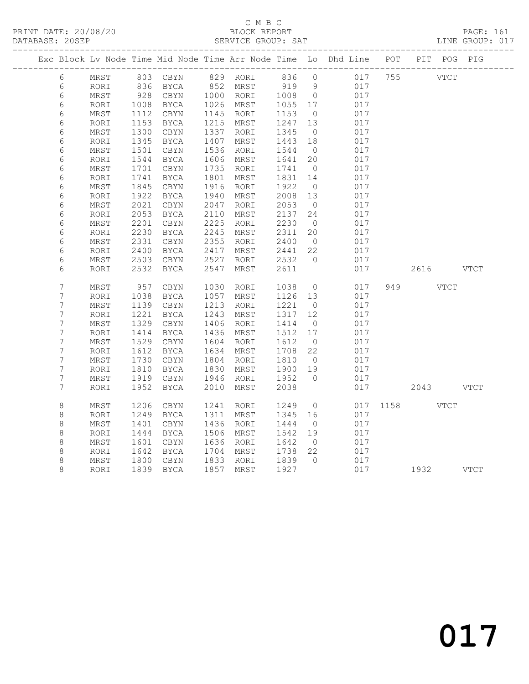#### C M B C<br>BLOCK REPORT SERVICE GROUP: SAT

|                  |      |      |             |      |           |       |                | Exc Block Lv Node Time Mid Node Time Arr Node Time Lo Dhd Line POT PIT POG PIG |         |           |      |
|------------------|------|------|-------------|------|-----------|-------|----------------|--------------------------------------------------------------------------------|---------|-----------|------|
| 6                | MRST |      | 803 CBYN    |      | 829 RORI  | 836 0 |                |                                                                                | 017 755 | VTCT      |      |
| $\epsilon$       | RORI | 836  | <b>BYCA</b> | 852  | MRST      | 919   | 9              | 017                                                                            |         |           |      |
| 6                | MRST | 928  | CBYN        |      | 1000 RORI | 1008  | $\overline{0}$ | 017                                                                            |         |           |      |
| 6                | RORI | 1008 | BYCA        | 1026 | MRST      | 1055  | 17             | 017                                                                            |         |           |      |
| $\epsilon$       | MRST | 1112 | CBYN        | 1145 | RORI      | 1153  | $\overline{0}$ | 017                                                                            |         |           |      |
| 6                | RORI | 1153 | BYCA        | 1215 | MRST      | 1247  | 13             | 017                                                                            |         |           |      |
| $\epsilon$       | MRST | 1300 | $\tt CBYN$  | 1337 | RORI      | 1345  | $\overline{0}$ | 017                                                                            |         |           |      |
| $\epsilon$       | RORI | 1345 | BYCA        | 1407 | MRST      | 1443  | 18             | 017                                                                            |         |           |      |
| 6                | MRST | 1501 | CBYN        | 1536 | RORI      | 1544  | $\overline{0}$ | 017                                                                            |         |           |      |
| $\epsilon$       | RORI | 1544 | BYCA        | 1606 | MRST      | 1641  | 20             | 017                                                                            |         |           |      |
| 6                | MRST | 1701 | $\tt CBYN$  | 1735 | RORI      | 1741  | $\overline{0}$ | 017                                                                            |         |           |      |
| 6                | RORI | 1741 | BYCA        | 1801 | MRST      | 1831  | 14             | 017                                                                            |         |           |      |
| 6                | MRST | 1845 | CBYN        | 1916 | RORI      | 1922  | $\overline{0}$ | 017                                                                            |         |           |      |
| 6                | RORI | 1922 | <b>BYCA</b> | 1940 | MRST      | 2008  | 13             | 017                                                                            |         |           |      |
| $\epsilon$       | MRST | 2021 | $\tt CBYN$  | 2047 | RORI      | 2053  | $\overline{0}$ | 017                                                                            |         |           |      |
| 6                | RORI | 2053 | BYCA        | 2110 | MRST      | 2137  | 24             | 017                                                                            |         |           |      |
| $\epsilon$       | MRST | 2201 | $\tt CBYN$  | 2225 | RORI      | 2230  | $\overline{0}$ | 017                                                                            |         |           |      |
| $\epsilon$       | RORI | 2230 | BYCA        | 2245 | MRST      | 2311  | 20             | 017                                                                            |         |           |      |
| 6                | MRST | 2331 | CBYN        | 2355 | RORI      | 2400  | $\overline{0}$ | 017                                                                            |         |           |      |
| $\epsilon$       | RORI | 2400 | BYCA        | 2417 | MRST      | 2441  | 22             | 017                                                                            |         |           |      |
| $\epsilon$       | MRST | 2503 | CBYN        | 2527 | RORI      | 2532  | $\overline{0}$ | 017                                                                            |         |           |      |
| 6                | RORI | 2532 | BYCA        | 2547 | MRST      | 2611  |                | 017                                                                            |         | 2616      | VTCT |
| 7                | MRST | 957  | $\tt CBYN$  | 1030 | RORI      | 1038  | $\overline{0}$ | 017                                                                            |         | 949 VTCT  |      |
| $\boldsymbol{7}$ | RORI | 1038 | BYCA        | 1057 | MRST      | 1126  | 13             | 017                                                                            |         |           |      |
| 7                | MRST | 1139 | $\tt CBYN$  | 1213 | RORI      | 1221  | $\overline{0}$ | 017                                                                            |         |           |      |
| $\overline{7}$   | RORI | 1221 | <b>BYCA</b> | 1243 | MRST      | 1317  | 12             | 017                                                                            |         |           |      |
| 7                | MRST | 1329 | CBYN        | 1406 | RORI      | 1414  | $\overline{0}$ | 017                                                                            |         |           |      |
| 7                | RORI | 1414 | <b>BYCA</b> | 1436 | MRST      | 1512  | 17             | 017                                                                            |         |           |      |
| 7                | MRST | 1529 | CBYN        | 1604 | RORI      | 1612  | $\overline{0}$ | 017                                                                            |         |           |      |
| $\boldsymbol{7}$ | RORI | 1612 | BYCA        | 1634 | MRST      | 1708  | 22             | 017                                                                            |         |           |      |
| $\boldsymbol{7}$ | MRST | 1730 | $\tt CBYN$  | 1804 | RORI      | 1810  | $\overline{0}$ | 017                                                                            |         |           |      |
| $\overline{7}$   | RORI | 1810 | BYCA        | 1830 | MRST      | 1900  | 19             | 017                                                                            |         |           |      |
| 7                | MRST | 1919 | CBYN        | 1946 | RORI      | 1952  | $\bigcirc$     | 017                                                                            |         |           |      |
| 7                | RORI | 1952 | BYCA        | 2010 | MRST      | 2038  |                | 017                                                                            |         | 2043 VTCT |      |
| $\,8\,$          | MRST | 1206 | CBYN        | 1241 | RORI      | 1249  | $\circ$        | 017                                                                            |         | 1158 VTCT |      |
| $\,8\,$          | RORI | 1249 | <b>BYCA</b> | 1311 | MRST      | 1345  | 16             | 017                                                                            |         |           |      |
| $\,8\,$          | MRST | 1401 | CBYN        | 1436 | RORI      | 1444  | $\overline{0}$ | 017                                                                            |         |           |      |
| $\,8\,$          | RORI | 1444 | BYCA        | 1506 | MRST      | 1542  | 19             | 017                                                                            |         |           |      |
| $\,8\,$          | MRST | 1601 | $\tt CBYN$  | 1636 | RORI      | 1642  | $\overline{0}$ | 017                                                                            |         |           |      |
| $\,8\,$          | RORI | 1642 | BYCA        | 1704 | MRST      | 1738  | 22             | 017                                                                            |         |           |      |
| 8                | MRST | 1800 | CBYN        | 1833 | RORI      | 1839  | $\bigcirc$     | 017                                                                            |         |           |      |
| 8                | RORI | 1839 | BYCA        | 1857 | MRST      | 1927  |                | 017                                                                            |         | 1932      | VTCT |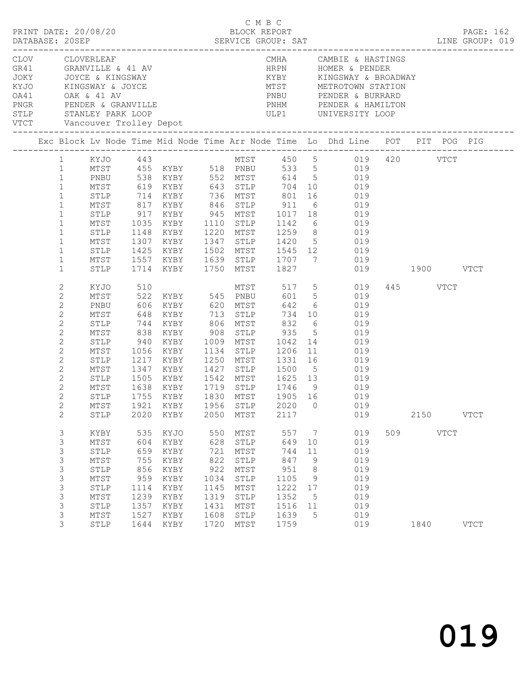| PRINT DATE: 20/08/20         |                                                                                                                                                                                                                            |                                                                                                                      |                                                                                | DATABASE: 20SEP SERVICE GROUP: SAT                                                          |                                                                                 | C M B C<br>BLOCK REPORT                                                              |                                                                                 |                                                    | LINE GROUP: 019                                                                                                                                                                                                                                                                                                                                                                   |     |                  |             | PAGE: 162   |
|------------------------------|----------------------------------------------------------------------------------------------------------------------------------------------------------------------------------------------------------------------------|----------------------------------------------------------------------------------------------------------------------|--------------------------------------------------------------------------------|---------------------------------------------------------------------------------------------|---------------------------------------------------------------------------------|--------------------------------------------------------------------------------------|---------------------------------------------------------------------------------|----------------------------------------------------|-----------------------------------------------------------------------------------------------------------------------------------------------------------------------------------------------------------------------------------------------------------------------------------------------------------------------------------------------------------------------------------|-----|------------------|-------------|-------------|
| VTCT Vancouver Trolley Depot |                                                                                                                                                                                                                            |                                                                                                                      |                                                                                | CLOV CLOVERLEAF<br>GR41 GRANVILLE & 41 AV<br>JOKY JOYCE & KINGSWAY<br>KYJO KINGSWAY & JOYCE |                                                                                 |                                                                                      | HRPN                                                                            |                                                    | CMHA CAMBIE & HASTINGS<br>HRPN HOMER & PENDER<br>MTST METROTOWN STATION                                                                                                                                                                                                                                                                                                           |     |                  |             |             |
|                              |                                                                                                                                                                                                                            |                                                                                                                      |                                                                                |                                                                                             |                                                                                 |                                                                                      |                                                                                 |                                                    | Exc Block Lv Node Time Mid Node Time Arr Node Time Lo Dhd Line POT PIT POG PIG                                                                                                                                                                                                                                                                                                    |     |                  |             |             |
|                              | $\mathbf{1}$<br>$\mathbf{1}$<br>$\mathbf{1}$<br>$\mathbf{1}$<br>$\mathbf{1}$<br>$\mathbf{1}$<br>$\mathbf{1}$<br>$\mathbf{1}$                                                                                               | MTST<br>MTST<br>STLP<br>MTST<br>STLP<br>MTST<br>STLP<br>MTST                                                         |                                                                                | 1714 KYBY 1750 MTST 1827                                                                    |                                                                                 |                                                                                      |                                                                                 |                                                    | 1 KYJO 443 MTST 450 5 019 420 VTCT<br>1 MTST 455 KYBY 518 PNBU 533 5 019<br>1 PNBU 538 KYBY 552 MTST 614 5 019<br>1 MTST 619 KYBY 643 STLP 704 10 019<br>STLP 714 KYBY 736 MTST 801 16 019<br>817 KYBY 846 STLP 911 6 019<br>917 KYBY 945 MTST 1017 18 019<br>1035 KYBY 1110 STLP 1142 6 019<br>1148 KYBY 1220 MTST 1259 8 019<br>1307 KYBY 1347 STLP 1420 5 019<br>019 1900 VTCT |     |                  |             |             |
|                              | $\mathbf{1}$<br>2<br>$\mathbf{2}$<br>2<br>$\overline{c}$<br>$\mathbf{2}$<br>$\mathbf{2}$<br>$\mathbf{2}$<br>$\mathbf{2}$<br>$\overline{c}$<br>$\overline{c}$<br>2<br>$\overline{2}$<br>$\mathbf{2}$<br>$\overline{2}$<br>2 | STLP<br>KYJO<br>MTST<br>PNBU<br>MTST<br>STLP<br>MTST<br>STLP<br>MTST<br>STLP<br>MTST<br>STLP<br>MTST<br>STLP<br>STLP | 648<br>2020                                                                    | 606 KYBY 620 MTST<br>1755 KYBY<br>KYBY                                                      | 2050                                                                            | 1830 MTST<br>MTST                                                                    | 2117                                                                            |                                                    | 510 MTST 517 5 019<br>522 KYBY 545 PNBU 601 5 019<br>642 6 019<br>KYBY 713 STLP 734 10 019<br>1056 KYBY 1134 STLP 1206 11 019<br>1217 KYBY 1250 MTST 1331 16 019<br>1347 KYBY 1427 STLP 1500 5 019<br>1505 KYBY 1542 MTST 1625 13 019<br>1638 KYBY 1719 STLP 1746 9 019<br>1905 16 019<br>MTST 1921 KYBY 1956 STLP 2020 0 019<br>019                                              |     | 445 VTCT<br>2150 |             | <b>VTCT</b> |
|                              | $\ensuremath{\mathsf{3}}$<br>3<br>$\ensuremath{\mathsf{3}}$<br>3<br>3<br>3<br>3<br>3<br>3<br>3<br>3                                                                                                                        | KYBY<br>MTST<br>STLP<br>MTST<br>STLP<br>$\mathtt{MTST}$<br>STLP<br>MTST<br>STLP<br>$\mathtt{MTST}$<br>STLP           | 535<br>604<br>659<br>755<br>856<br>959<br>1114<br>1239<br>1357<br>1527<br>1644 | KYJO<br>KYBY<br>KYBY<br>KYBY<br>KYBY<br>KYBY<br>KYBY<br>KYBY<br>KYBY<br>KYBY<br>KYBY        | 550<br>628<br>721<br>822<br>922<br>1034<br>1145<br>1319<br>1431<br>1608<br>1720 | MTST<br>STLP<br>MTST<br>STLP<br>MTST<br>STLP<br>MTST<br>STLP<br>MTST<br>STLP<br>MTST | 557<br>649<br>744<br>847<br>951<br>1105<br>1222<br>1352<br>1516<br>1639<br>1759 | 7<br>10<br>11<br>9<br>8<br>9<br>17<br>5<br>11<br>5 | 019<br>019<br>019<br>019<br>019<br>019<br>019<br>019<br>019<br>019<br>019                                                                                                                                                                                                                                                                                                         | 509 | 1840             | <b>VTCT</b> | <b>VTCT</b> |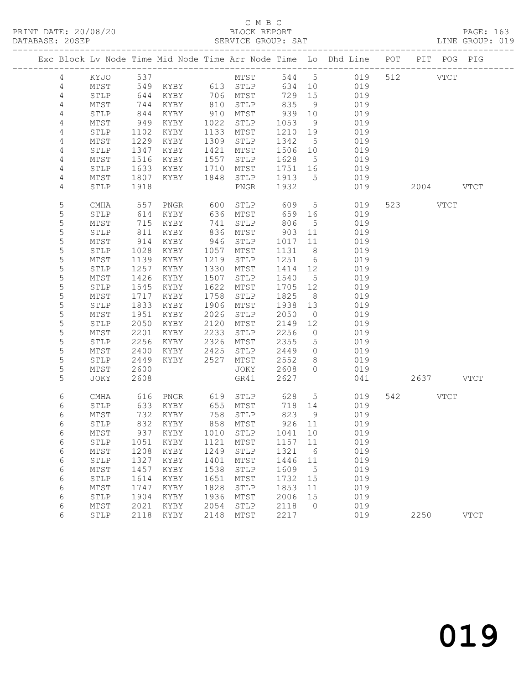|                  |              |              |                   |              |                            |              |                      | Exc Block Lv Node Time Mid Node Time Arr Node Time Lo Dhd Line POT PIT POG PIG |     |           |             |             |
|------------------|--------------|--------------|-------------------|--------------|----------------------------|--------------|----------------------|--------------------------------------------------------------------------------|-----|-----------|-------------|-------------|
| 4                | KYJO         | 537          |                   |              | MTST                       | 544 5        |                      | 019                                                                            |     | 512       | <b>VTCT</b> |             |
| 4                | MTST         |              | 549 KYBY 613 STLP |              |                            | 634          | 10                   | 019                                                                            |     |           |             |             |
| $\sqrt{4}$       | STLP         | 644          | KYBY              |              | 706 MTST                   | 729          | 15                   | 019                                                                            |     |           |             |             |
| 4                | MTST         | 744          | KYBY              | 810          | STLP                       | 835          | 9                    | 019                                                                            |     |           |             |             |
| 4                | STLP         | 844          | KYBY              | 910          | MTST                       | 939          | 10                   | 019                                                                            |     |           |             |             |
| 4                | MTST         | 949          | KYBY              | 1022         | STLP                       | 1053         | 9                    | 019                                                                            |     |           |             |             |
| 4                | STLP         | 1102         | KYBY              | 1133         | MTST                       | 1210         | 19                   | 019                                                                            |     |           |             |             |
| 4                | MTST         | 1229         | KYBY              | 1309         | STLP                       | 1342         | $5\phantom{.0}$      | 019                                                                            |     |           |             |             |
| 4                | STLP         | 1347         | KYBY              | 1421         | MTST                       | 1506         | 10                   | 019                                                                            |     |           |             |             |
| 4                | MTST         | 1516         | KYBY              | 1557         | STLP                       | 1628         | $5^{\circ}$          | 019                                                                            |     |           |             |             |
| $\overline{4}$   | STLP         | 1633         | KYBY              | 1710         | MTST                       | 1751         | 16                   | 019                                                                            |     |           |             |             |
| 4                | MTST         | 1807         | KYBY              | 1848         | STLP                       | 1913         | $5^{\circ}$          | 019                                                                            |     |           |             |             |
| 4                | STLP         | 1918         |                   |              | PNGR                       | 1932         |                      | 019                                                                            |     | 2004 VTCT |             |             |
| 5                | CMHA         | 557          | PNGR              | 600          | STLP                       | 609          | $5\overline{)}$      | 019                                                                            |     | 523 VTCT  |             |             |
| 5                | STLP         | 614          | KYBY              | 636          | MTST                       | 659          | 16                   | 019                                                                            |     |           |             |             |
| 5                | MTST         | 715          | KYBY              | 741          | STLP                       | 806          | $5\phantom{.0}$      | 019                                                                            |     |           |             |             |
| 5                | STLP         | 811          | KYBY              | 836          | MTST                       | 903          | 11                   | 019                                                                            |     |           |             |             |
| $\mathsf S$      | MTST         | 914          | KYBY              | 946          | STLP                       | 1017         | 11                   | 019                                                                            |     |           |             |             |
| 5                | STLP         | 1028         | KYBY              | 1057         | MTST                       | 1131         | 8 <sup>8</sup>       | 019                                                                            |     |           |             |             |
| 5                | MTST         | 1139         | KYBY              | 1219         | STLP                       | 1251         | 6                    | 019                                                                            |     |           |             |             |
| 5                | STLP         | 1257         | KYBY              | 1330         | MTST                       | 1414         | 12                   | 019                                                                            |     |           |             |             |
| 5                | MTST         | 1426         | KYBY              | 1507         | STLP                       | 1540         | 5                    | 019                                                                            |     |           |             |             |
| 5                | STLP         | 1545         | KYBY              | 1622         | MTST                       | 1705         | 12                   | 019                                                                            |     |           |             |             |
| 5                | MTST         | 1717         | KYBY              | 1758         | STLP                       | 1825         | 8 <sup>8</sup>       | 019                                                                            |     |           |             |             |
| 5                | STLP         | 1833         | KYBY              | 1906         | MTST                       | 1938         | 13                   | 019                                                                            |     |           |             |             |
| $\mathsf S$<br>5 | MTST         | 1951<br>2050 | KYBY              | 2026<br>2120 | STLP                       | 2050         | $\overline{0}$       | 019                                                                            |     |           |             |             |
| 5                | STLP<br>MTST | 2201         | KYBY<br>KYBY      | 2233         | MTST<br>STLP               | 2149<br>2256 | 12<br>$\overline{0}$ | 019<br>019                                                                     |     |           |             |             |
| 5                | STLP         | 2256         | KYBY              | 2326         | MTST                       | 2355         | 5                    | 019                                                                            |     |           |             |             |
| 5                | MTST         | 2400         | KYBY              | 2425         | STLP                       | 2449         | $\circ$              | 019                                                                            |     |           |             |             |
| 5                | STLP         | 2449         | KYBY              | 2527         | MTST                       | 2552         | 8                    | 019                                                                            |     |           |             |             |
| 5                | MTST         | 2600         |                   |              | JOKY                       | 2608         | $\circ$              | 019                                                                            |     |           |             |             |
| 5                | JOKY         | 2608         |                   |              | GR41                       | 2627         |                      | 041                                                                            |     | 2637 VTCT |             |             |
|                  |              |              |                   |              |                            |              |                      |                                                                                |     |           |             |             |
| 6<br>6           | CMHA<br>STLP | 616<br>633   | PNGR<br>KYBY      | 619          | STLP<br>655 MTST           | 628<br>718   | $5^{\circ}$<br>14    | 019<br>019                                                                     | 542 |           | VTCT        |             |
| 6                | MTST         | 732          | KYBY              | 758          | STLP                       | 823          | 9                    | 019                                                                            |     |           |             |             |
| 6                | STLP         | 832          | KYBY              |              | 858 MTST                   | 926 11       |                      | 019                                                                            |     |           |             |             |
| 6                | ${\tt MTST}$ |              |                   |              | 937 KYBY 1010 STLP 1041 10 |              |                      | 019                                                                            |     |           |             |             |
| 6                | STLP         | 1051         | KYBY              | 1121         | MTST                       | 1157         | 11                   | 019                                                                            |     |           |             |             |
| 6                | MTST         | 1208         | KYBY              | 1249         | STLP                       | 1321         | 6                    | 019                                                                            |     |           |             |             |
| 6                | STLP         | 1327         | KYBY              | 1401         | MTST                       | 1446         | 11                   | 019                                                                            |     |           |             |             |
| 6                | MTST         | 1457         | KYBY              | 1538         | STLP                       | 1609         | 5                    | 019                                                                            |     |           |             |             |
| 6                | STLP         | 1614         | KYBY              | 1651         | MTST                       | 1732         | 15                   | 019                                                                            |     |           |             |             |
| 6                | MTST         | 1747         | KYBY              | 1828         | STLP                       | 1853         | 11                   | 019                                                                            |     |           |             |             |
| 6                | STLP         | 1904         | KYBY              | 1936         | MTST                       | 2006         | 15                   | 019                                                                            |     |           |             |             |
| 6                | MTST         | 2021         | KYBY              | 2054         | STLP                       | 2118         | $\circ$              | 019                                                                            |     |           |             |             |
| 6                | STLP         | 2118         | KYBY              | 2148         | MTST                       | 2217         |                      | 019                                                                            |     | 2250      |             | <b>VTCT</b> |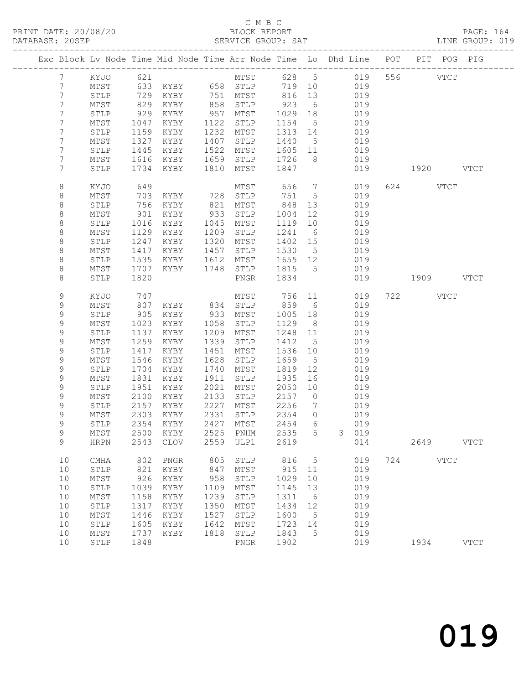|                 |                 |      |                                 |      |              |         |                 | Exc Block Lv Node Time Mid Node Time Arr Node Time Lo Dhd Line POT PIT POG PIG |     |             |             |
|-----------------|-----------------|------|---------------------------------|------|--------------|---------|-----------------|--------------------------------------------------------------------------------|-----|-------------|-------------|
| $7\phantom{.}$  | KYJO            | 621  |                                 |      |              |         |                 | MTST 628 5 019                                                                 |     | 556 VTCT    |             |
| 7               | MTST            |      |                                 |      |              | 719 10  |                 | 019                                                                            |     |             |             |
| 7               | $\texttt{STLP}$ | 729  | KYBY                            |      | 751 MTST     | 816     | 13              | 019                                                                            |     |             |             |
| 7               | MTST            | 829  | KYBY                            | 858  | STLP         | 923     | 6               | 019                                                                            |     |             |             |
| 7               | STLP            | 929  | KYBY                            | 957  | MTST         | 1029    | 18              | 019                                                                            |     |             |             |
| 7               | MTST            | 1047 | KYBY                            | 1122 | STLP         | 1154    | $5^{\circ}$     | 019                                                                            |     |             |             |
| 7               | STLP            | 1159 | KYBY                            | 1232 | MTST         | 1313    | 14              | 019                                                                            |     |             |             |
| 7               | MTST            | 1327 | KYBY                            | 1407 | STLP         | 1440    | $5\overline{)}$ | 019                                                                            |     |             |             |
| 7               | STLP            | 1445 | KYBY                            | 1522 | MTST         | 1605    | 11              | 019                                                                            |     |             |             |
| 7               | MTST            | 1616 | KYBY                            | 1659 | STLP         | 1726    | 8 <sup>8</sup>  | 019                                                                            |     |             |             |
| $7\overline{ }$ | STLP            | 1734 | KYBY                            | 1810 | MTST         | 1847    |                 | 019                                                                            |     | 1920 VTCT   |             |
| 8               | KYJO            | 649  |                                 |      | MTST         | 656     | $\overline{7}$  | 019                                                                            |     | 624 VTCT    |             |
| 8               | MTST            | 703  | KYBY                            | 728  | STLP         | 751     | $5^{\circ}$     | 019                                                                            |     |             |             |
| 8               | STLP            | 756  | KYBY                            | 821  | MTST         | 848     | 13              | 019                                                                            |     |             |             |
| 8               | MTST            | 901  | KYBY                            | 933  | STLP         | 1004    | 12              | 019                                                                            |     |             |             |
| 8               | STLP            | 1016 | KYBY                            | 1045 | MTST         | 1119    | 10              | 019                                                                            |     |             |             |
| 8               | MTST            | 1129 | KYBY                            | 1209 | STLP         | 1241    | 6               | 019                                                                            |     |             |             |
| 8               | STLP            | 1247 | KYBY                            | 1320 | MTST         | 1402 15 |                 | 019                                                                            |     |             |             |
| 8               | MTST            | 1417 | KYBY                            | 1457 | STLP         | 1530    | $5^{\circ}$     | 019                                                                            |     |             |             |
| 8               | STLP            | 1535 | KYBY                            | 1612 | MTST         | 1655 12 |                 | 019                                                                            |     |             |             |
| 8               | MTST            | 1707 | KYBY                            | 1748 | STLP         | 1815    | $5^{\circ}$     | 019                                                                            |     |             |             |
| 8               | STLP            | 1820 |                                 |      | PNGR         | 1834    |                 | 019                                                                            |     | 1909 VTCT   |             |
| 9               | KYJO            | 747  |                                 |      | MTST         | 756     | 11              | 019                                                                            |     | 722 VTCT    |             |
| 9               | MTST            | 807  | KYBY                            | 834  | STLP         | 859     | 6               | 019                                                                            |     |             |             |
| $\mathsf 9$     | STLP            | 905  | KYBY                            | 933  | MTST         | 1005    | 18              | 019                                                                            |     |             |             |
| $\mathsf 9$     | MTST            | 1023 | KYBY                            | 1058 | STLP         | 1129    | 8 <sup>8</sup>  | 019                                                                            |     |             |             |
| 9               | STLP            | 1137 | KYBY                            | 1209 | MTST         | 1248 11 |                 | 019                                                                            |     |             |             |
| 9               | MTST            | 1259 | KYBY                            | 1339 | STLP         | 1412    | 5               | 019                                                                            |     |             |             |
| $\mathsf 9$     | STLP            | 1417 | KYBY                            | 1451 | MTST         | 1536    | 10              | 019                                                                            |     |             |             |
| $\mathsf 9$     | MTST            | 1546 | KYBY                            | 1628 | STLP         | 1659    | $5\overline{)}$ | 019                                                                            |     |             |             |
| 9               | STLP            | 1704 | KYBY                            | 1740 | MTST         | 1819    | 12              | 019                                                                            |     |             |             |
| 9               | MTST            | 1831 | KYBY                            | 1911 | STLP         | 1935    | 16              | 019                                                                            |     |             |             |
| $\mathsf 9$     | STLP            | 1951 | KYBY                            | 2021 | MTST         | 2050    | 10              | 019                                                                            |     |             |             |
| $\mathsf 9$     | MTST            | 2100 | KYBY                            | 2133 | STLP         | 2157    | $\overline{0}$  | 019                                                                            |     |             |             |
| 9               | STLP            | 2157 | KYBY                            | 2227 | MTST         | 2256    | $7\overline{ }$ | 019                                                                            |     |             |             |
| $\mathsf 9$     | MTST            | 2303 | KYBY                            | 2331 | STLP         | 2354    | $\overline{0}$  | 019                                                                            |     |             |             |
| 9               | STLP            | 2354 | KYBY                            | 2427 | MTST         | 2454    | 6               | 019                                                                            |     |             |             |
| 9               |                 |      | MTST 2500 KYBY 2525 PNHM 2535 5 |      |              |         |                 | 3 019                                                                          |     |             |             |
| 9               | <b>HRPN</b>     | 2543 | <b>CLOV</b>                     | 2559 | ULP1         | 2619    |                 | 014                                                                            |     | 2649        | <b>VTCT</b> |
| 10              | CMHA            | 802  | PNGR                            | 805  | STLP         | 816     | 5               | 019                                                                            | 724 | <b>VTCT</b> |             |
| 10              | STLP            | 821  | KYBY                            | 847  | MTST         | 915     | 11              | 019                                                                            |     |             |             |
| 10              | $\mathtt{MTST}$ | 926  | KYBY                            | 958  | STLP         | 1029    | 10              | 019                                                                            |     |             |             |
| 10              | STLP            | 1039 | KYBY                            | 1109 | MTST         | 1145    | 13              | 019                                                                            |     |             |             |
| 10              | MTST            | 1158 | KYBY                            | 1239 | STLP         | 1311    | 6               | 019                                                                            |     |             |             |
| 10              | STLP            | 1317 | KYBY                            | 1350 | MTST         | 1434    | 12              | 019                                                                            |     |             |             |
| 10              | MTST            | 1446 | KYBY                            | 1527 | STLP         | 1600    | 5               | 019                                                                            |     |             |             |
| 10              | STLP            | 1605 | KYBY                            | 1642 | MTST         | 1723    | 14              | 019                                                                            |     |             |             |
| 10              | MTST            | 1737 | KYBY                            | 1818 | STLP         | 1843    | 5               | 019                                                                            |     |             |             |
| 10              | STLP            | 1848 |                                 |      | ${\tt PNGR}$ | 1902    |                 | 019                                                                            |     | 1934        | <b>VTCT</b> |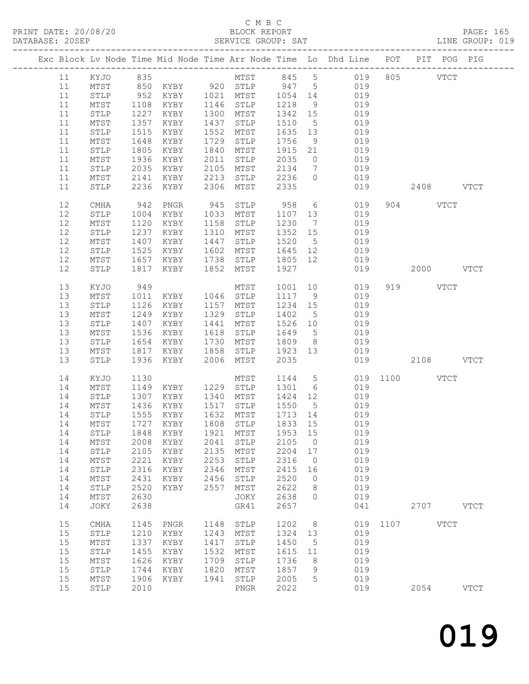### C M B C<br>BLOCK REPORT

PRINT DATE: 20/08/20 BLOCK REPORT PAGE: 165 SERVICE GROUP: SAT

|    |    |                 |              |           |      |                         |                 |                 | Exc Block Lv Node Time Mid Node Time Arr Node Time Lo Dhd Line POT PIT POG PIG |               |             |
|----|----|-----------------|--------------|-----------|------|-------------------------|-----------------|-----------------|--------------------------------------------------------------------------------|---------------|-------------|
|    | 11 | KYJO 835        |              |           |      |                         |                 |                 | MTST 845 5 019                                                                 | 805 VTCT      |             |
|    | 11 | MTST            |              |           |      | 850 KYBY 920 STLP 947 5 |                 |                 | 019                                                                            |               |             |
|    | 11 | STLP            | 952          |           |      | KYBY 1021 MTST 1054 14  |                 |                 | 019                                                                            |               |             |
|    | 11 | MTST            | 1108         | KYBY      |      | 1146 STLP               | 1218            | 9               | 019                                                                            |               |             |
|    |    |                 |              |           |      |                         |                 |                 |                                                                                |               |             |
|    | 11 | STLP            | 1227         | KYBY      |      | 1300 MTST               | 1342 15         |                 | 019                                                                            |               |             |
|    | 11 | MTST            | 1357         | KYBY      | 1437 | STLP                    | 1510            | $5\overline{)}$ | 019                                                                            |               |             |
|    | 11 | STLP            | 1515         | KYBY      | 1552 | MTST                    | 1635 13         |                 | 019                                                                            |               |             |
|    | 11 | MTST            | 1648         | KYBY      | 1729 | STLP                    | 1756            | 9               | 019                                                                            |               |             |
|    | 11 | STLP            | 1805         | KYBY      | 1840 | MTST                    | 1915 21         |                 | 019                                                                            |               |             |
|    | 11 | MTST            | 1936         | KYBY      | 2011 | STLP                    | 2035            | $\overline{0}$  | 019                                                                            |               |             |
|    | 11 | STLP            | 2035         | KYBY      | 2105 | MTST                    | 2134            | $7\overline{ }$ | 019                                                                            |               |             |
|    | 11 | MTST            | 2141         | KYBY      | 2213 | STLP                    | 2236            | $\overline{0}$  | 019                                                                            |               |             |
|    | 11 | STLP            | 2236         | KYBY      | 2306 | MTST                    | 2335            |                 | 019                                                                            | $2408$ VTCT   |             |
|    | 12 | CMHA            | 942          | PNGR      | 945  | STLP                    | 958             |                 | $6\overline{6}$<br>019                                                         | 904 VTCT      |             |
|    | 12 |                 |              | KYBY      |      | 1033 MTST               | 1107            |                 | 019                                                                            |               |             |
|    |    | STLP            | 1004         |           |      |                         |                 | 13              |                                                                                |               |             |
|    | 12 | MTST            | 1120         | KYBY      | 1158 | STLP                    | 1230            | $\overline{7}$  | 019                                                                            |               |             |
|    | 12 | STLP            | 1237         | KYBY      |      | 1310 MTST               | 1352 15         |                 | 019                                                                            |               |             |
|    | 12 | MTST            | 1407         | KYBY      | 1447 | STLP                    | 1520            | 5 <sup>5</sup>  | 019                                                                            |               |             |
|    | 12 | STLP            | 1525         | KYBY      | 1602 | MTST                    | 1645 12         |                 | 019                                                                            |               |             |
|    | 12 | MTST            | 1657         | KYBY      | 1738 | STLP                    | 1805 12         |                 | 019                                                                            |               |             |
|    | 12 | STLP            | 1817         | KYBY      |      | 1852 MTST               | 1927            |                 | 019                                                                            | $2000$ $VTCT$ |             |
|    | 13 | KYJO            | 949          |           |      | MTST                    | 1001            | 10              | 019                                                                            | 919 VTCT      |             |
|    | 13 | MTST            | 1011         | KYBY      |      | 1046 STLP               | 1117 9          |                 | 019                                                                            |               |             |
|    | 13 | $\texttt{STLP}$ | 1126         | KYBY      |      | 1157 MTST               | 1234 15         |                 | 019                                                                            |               |             |
|    | 13 | MTST            | 1249         | KYBY      | 1329 | STLP                    | 1402            | $5\overline{)}$ | 019                                                                            |               |             |
|    | 13 | STLP            | 1407         | KYBY      | 1441 | MTST                    | 1526 10         |                 | 019                                                                            |               |             |
|    | 13 | MTST            | 1536         | KYBY      | 1618 | STLP                    | 1649            | $5\overline{)}$ | 019                                                                            |               |             |
|    | 13 | STLP            | 1654         | KYBY      | 1730 | MTST                    | 1809            | 8 <sup>8</sup>  | 019                                                                            |               |             |
|    | 13 |                 |              |           |      |                         |                 |                 |                                                                                |               |             |
|    |    | MTST            | 1817         | KYBY      | 1858 | STLP                    | 1923 13<br>2035 |                 | 019                                                                            |               |             |
|    | 13 | STLP            |              | 1936 KYBY | 2006 | MTST                    |                 |                 | 019                                                                            | 2108 VTCT     |             |
|    | 14 | KYJO            | 1130         |           |      | MTST                    | 1144 5          |                 |                                                                                | 019 1100 VTCT |             |
|    | 14 | MTST            |              | 1149 KYBY |      | 1229 STLP               | 1301            | 6               | 019                                                                            |               |             |
|    | 14 | STLP            | 1307         | KYBY      | 1340 | MTST                    | 1424 12         |                 | 019                                                                            |               |             |
|    | 14 | MTST            | 1436         | KYBY      | 1517 | STLP                    | 1550            | $5^{\circ}$     | 019                                                                            |               |             |
|    | 14 | STLP            | 1555         | KYBY      | 1632 | MTST                    | 1713 14         |                 | 019                                                                            |               |             |
|    | 14 | MTST            |              | 1727 KYBY |      | 1808 STLP               | 1833 15         |                 | 019                                                                            |               |             |
|    |    |                 |              |           |      |                         |                 |                 | 14 STLP 1848 KYBY 1921 MTST 1953 15 019                                        |               |             |
|    | 14 | MTST            | 2008         | KYBY      | 2041 | STLP                    | 2105            | $\overline{0}$  | 019                                                                            |               |             |
|    | 14 |                 |              |           | 2135 |                         | 2204 17         |                 | 019                                                                            |               |             |
|    | 14 | STLP            | 2105<br>2221 | KYBY      | 2253 | MTST                    | 2316            | $\overline{0}$  | 019                                                                            |               |             |
|    |    | MTST            |              | KYBY      |      | STLP                    |                 |                 |                                                                                |               |             |
|    | 14 | STLP            | 2316         | KYBY      | 2346 | MTST                    | 2415            | 16              | 019                                                                            |               |             |
|    | 14 | MTST            | 2431         | KYBY      | 2456 | STLP                    | 2520            | $\overline{0}$  | 019                                                                            |               |             |
|    | 14 | STLP            | 2520         | KYBY      | 2557 | MTST                    | 2622            | 8               | 019                                                                            |               |             |
|    | 14 | MTST            | 2630         |           |      | JOKY                    | 2638            | $\overline{0}$  | 019                                                                            |               |             |
|    | 14 | JOKY            | 2638         |           |      | GR41                    | 2657            |                 | 041                                                                            | 2707 VTCT     |             |
| 15 |    | CMHA            | 1145         | PNGR      | 1148 | STLP                    | 1202            | 8 <sup>8</sup>  |                                                                                | 019 1107 VTCT |             |
|    | 15 | STLP            | 1210         | KYBY      | 1243 | MTST                    | 1324            | 13              | 019                                                                            |               |             |
|    | 15 | MTST            | 1337         | KYBY      | 1417 | STLP                    | 1450            | $5\phantom{.0}$ | 019                                                                            |               |             |
|    | 15 | STLP            | 1455         | KYBY      | 1532 | MTST                    | 1615            | 11              | 019                                                                            |               |             |
|    | 15 | MTST            | 1626         | KYBY      | 1709 | STLP                    | 1736            | 8               | 019                                                                            |               |             |
|    | 15 | STLP            | 1744         | KYBY      | 1820 | MTST                    | 1857            | 9               | 019                                                                            |               |             |
|    | 15 |                 | 1906         |           | 1941 | STLP                    | 2005            | 5               | 019                                                                            |               |             |
|    |    | MTST            |              | KYBY      |      |                         |                 |                 |                                                                                |               |             |
|    | 15 | STLP            | 2010         |           |      | PNGR                    | 2022            |                 | 019                                                                            | 2054          | <b>VTCT</b> |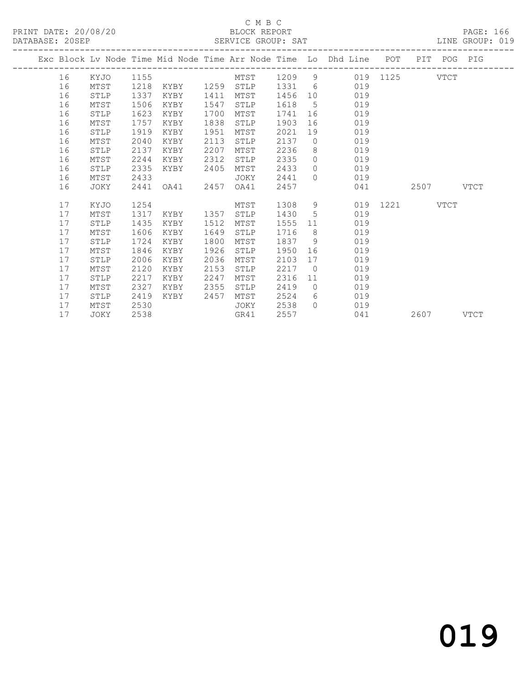### C M B C<br>BLOCK REPORT

PAGE: 166<br>LINE GROUP: 019

|    |      |      |                |      |             |        |                 | Exc Block Lv Node Time Mid Node Time Arr Node Time Lo Dhd Line POT PIT POG PIG |               |           |           |  |
|----|------|------|----------------|------|-------------|--------|-----------------|--------------------------------------------------------------------------------|---------------|-----------|-----------|--|
| 16 | KYJO | 1155 |                |      | MTST 1209 9 |        |                 |                                                                                | 019 1125 VTCT |           |           |  |
| 16 | MTST | 1218 | KYBY 1259 STLP |      |             | 1331 6 |                 | 019                                                                            |               |           |           |  |
| 16 | STLP | 1337 | KYBY           | 1411 | MTST        | 1456   | 10              | 019                                                                            |               |           |           |  |
| 16 | MTST | 1506 | KYBY           | 1547 | STLP        | 1618   | $5\overline{)}$ | 019                                                                            |               |           |           |  |
| 16 | STLP | 1623 | KYBY           | 1700 | MTST        | 1741   | 16              | 019                                                                            |               |           |           |  |
| 16 | MTST | 1757 | KYBY           | 1838 | STLP        | 1903   | 16              | 019                                                                            |               |           |           |  |
| 16 | STLP | 1919 | KYBY           | 1951 | MTST        | 2021   | 19              | 019                                                                            |               |           |           |  |
| 16 | MTST | 2040 | KYBY           | 2113 | STLP        | 2137   | $\overline{0}$  | 019                                                                            |               |           |           |  |
| 16 | STLP | 2137 | KYBY           | 2207 | MTST        | 2236   | 8               | 019                                                                            |               |           |           |  |
| 16 | MTST | 2244 | KYBY           | 2312 | STLP        | 2335   | $\bigcirc$      | 019                                                                            |               |           |           |  |
| 16 | STLP | 2335 | KYBY           | 2405 | MTST        | 2433   | $\bigcirc$      | 019                                                                            |               |           |           |  |
| 16 | MTST | 2433 |                |      | JOKY        | 2441   | $\bigcap$       | 019                                                                            |               |           |           |  |
| 16 | JOKY | 2441 | OA41           | 2457 | OA41        | 2457   |                 | 041                                                                            |               |           | 2507 VTCT |  |
| 17 | KYJO | 1254 |                |      | MTST        | 1308   | 9               |                                                                                | 019 1221 VTCT |           |           |  |
| 17 | MTST | 1317 | KYBY           | 1357 | STLP        | 1430   | 5               | 019                                                                            |               |           |           |  |
| 17 | STLP | 1435 | KYBY           | 1512 | MTST        | 1555   | 11              | 019                                                                            |               |           |           |  |
| 17 | MTST | 1606 | KYBY           | 1649 | STLP        | 1716   | 8               | 019                                                                            |               |           |           |  |
| 17 | STLP | 1724 | KYBY           | 1800 | MTST        | 1837   | 9               | 019                                                                            |               |           |           |  |
| 17 | MTST | 1846 | KYBY           | 1926 | STLP        | 1950   | 16              | 019                                                                            |               |           |           |  |
| 17 | STLP | 2006 | KYBY           | 2036 | MTST        | 2103   | 17              | 019                                                                            |               |           |           |  |
| 17 | MTST | 2120 | KYBY           | 2153 | STLP        | 2217   | $\overline{0}$  | 019                                                                            |               |           |           |  |
| 17 | STLP | 2217 | KYBY           | 2247 | MTST        | 2316   | 11              | 019                                                                            |               |           |           |  |
| 17 | MTST | 2327 | KYBY           | 2355 | STLP        | 2419   | $\bigcirc$      | 019                                                                            |               |           |           |  |
| 17 | STLP | 2419 | KYBY           | 2457 | MTST        | 2524   | 6               | 019                                                                            |               |           |           |  |
| 17 | MTST | 2530 |                |      | JOKY        | 2538   | $\Omega$        | 019                                                                            |               |           |           |  |
| 17 | JOKY | 2538 |                |      | GR41        | 2557   |                 | 041                                                                            |               | 2607 VTCT |           |  |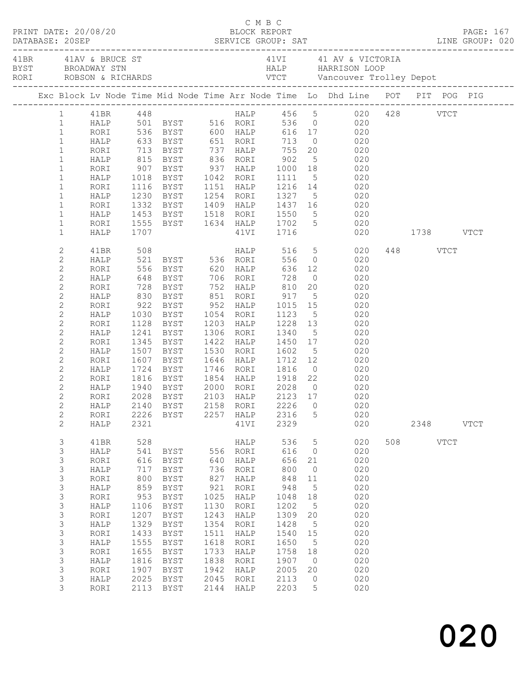|                            |              |      |                                                           |      |                        |                              |                 | 41BR 41AV & BRUCE ST 41VI 41 AV & VICTORIA<br>BYST BROADWAY STN HALP HARRISON LOOP<br>RORI ROBSON & RICHARDS VTCT Vancouver Trolley Depot |               |          |             |  |
|----------------------------|--------------|------|-----------------------------------------------------------|------|------------------------|------------------------------|-----------------|-------------------------------------------------------------------------------------------------------------------------------------------|---------------|----------|-------------|--|
|                            |              |      |                                                           |      |                        |                              |                 | Exc Block Lv Node Time Mid Node Time Arr Node Time Lo Dhd Line POT PIT POG PIG                                                            |               |          |             |  |
|                            |              |      |                                                           |      |                        |                              |                 | 1 41BR 448<br>HALP 501 BYST 516 RORI 536 0 620 428 VTCT<br>1 RORI 536 BYST 600 HALP 616 17 020<br>1 HALP 633 BYST 651 RORI 713 0 020      |               |          |             |  |
|                            |              |      |                                                           |      |                        |                              |                 |                                                                                                                                           |               |          |             |  |
|                            |              |      |                                                           |      |                        |                              |                 |                                                                                                                                           |               |          |             |  |
|                            |              |      |                                                           |      |                        |                              |                 |                                                                                                                                           |               |          |             |  |
| $1\,$                      | RORI         |      | 713 BYST 737 HALP 755 20                                  |      |                        |                              |                 | 020                                                                                                                                       |               |          |             |  |
| $\mathbf{1}$               | HALP         |      |                                                           |      |                        |                              |                 |                                                                                                                                           |               |          |             |  |
| $\mathbf 1$                | RORI         |      | 815 BYST       836   RORI<br>907   BYST        937   HALP |      |                        | $902$<br>$1000$              |                 | $\begin{array}{ccc} & 5 & & 020 \\ 18 & & 020 \end{array}$                                                                                |               |          |             |  |
| $\mathbf 1$                | HALP         |      | 1018 BYST 1042 RORI                                       |      |                        | 1111                         |                 | $\frac{1}{5}$ 020                                                                                                                         |               |          |             |  |
| $\mathbf 1$                | RORI         |      | 1116 BYST                                                 |      | 1151 HALP              | 1216 14                      |                 | 020                                                                                                                                       |               |          |             |  |
| $\mathbf 1$                | HALP         |      | 1230 BYST                                                 |      | 1254 RORI              |                              |                 | 1327 5 020                                                                                                                                |               |          |             |  |
| $\mathbf 1$                | RORI         |      |                                                           |      |                        |                              |                 | 1332 BYST 1409 HALP 1437 16 020<br>1453 BYST 1518 RORI 1550 5 020                                                                         |               |          |             |  |
| $\mathbf{1}$               | HALP         |      |                                                           |      |                        |                              |                 |                                                                                                                                           |               |          |             |  |
| $\mathbf 1$                | RORI         |      | 1555 BYST 1634 HALP 1702 5                                |      |                        |                              |                 | 020                                                                                                                                       |               |          |             |  |
| $\mathbf 1$                | HALP         | 1707 |                                                           |      | 41VI 1716              |                              |                 |                                                                                                                                           | 020 1738 VTCT |          |             |  |
| 2                          | 41BR         | 508  |                                                           |      | HALP 516 5             |                              |                 | 020                                                                                                                                       |               | 448 VTCT |             |  |
| $\mathbf{2}$               | HALP         |      | 521 BYST 536 RORI                                         |      |                        |                              |                 | 556 0<br>020                                                                                                                              |               |          |             |  |
| $\mathbf{2}$               | RORI         |      | 556 BYST 620 HALP                                         |      |                        | 636                          |                 | 020                                                                                                                                       |               |          |             |  |
| $\sqrt{2}$                 | HALP         |      |                                                           |      |                        |                              |                 | 020<br>$\begin{array}{c} 0 \\ 20 \end{array}$                                                                                             |               |          |             |  |
| $\sqrt{2}$                 | RORI         |      | 830 BYST 851 RORI                                         |      |                        | 917                          |                 | 020<br>5 <sub>1</sub>                                                                                                                     |               |          |             |  |
| $\sqrt{2}$                 | HALP         |      |                                                           |      |                        |                              |                 | 020                                                                                                                                       |               |          |             |  |
| $\mathbf{2}$               | RORI         |      | 922 BYST 952 HALP                                         |      |                        | 1015                         | 15              | 020                                                                                                                                       |               |          |             |  |
| $\overline{c}$             | HALP         | 1030 | BYST                                                      |      | 1054 RORI<br>1203 HALP | 1123<br>1228                 |                 | $\frac{5}{13}$<br>020                                                                                                                     |               |          |             |  |
| $\sqrt{2}$<br>$\mathbf{2}$ | RORI         |      | 1128 BYST<br>1241 BYST                                    |      | 1306 RORI              | 1340                         |                 | 020<br>5 <sup>1</sup><br>020                                                                                                              |               |          |             |  |
| $\mathbf{2}$               | HALP<br>RORI | 1345 | BYST                                                      |      | 1422 HALP              | 1450                         |                 | 17<br>020                                                                                                                                 |               |          |             |  |
| $\mathbf{2}$               | HALP         |      | 1507 BYST                                                 |      | 1530 RORI              |                              |                 | 020                                                                                                                                       |               |          |             |  |
| $\mathbf{2}$               | RORI         |      | 1607 BYST                                                 |      | 1646 HALP              | 1602<br>1712                 | 12              | $\frac{5}{10}$<br>020                                                                                                                     |               |          |             |  |
| $\mathbf{2}$               | HALP         |      | 1724 BYST                                                 |      | 1746 RORI              | 1816                         |                 | $\overline{O}$<br>020                                                                                                                     |               |          |             |  |
| $\mathbf{2}$               | RORI         |      | 1816 BYST 1854 HALP 1918 22                               |      |                        |                              |                 | 020                                                                                                                                       |               |          |             |  |
| $\mathbf{2}$               | HALP         | 1940 | BYST                                                      |      |                        |                              |                 | 020                                                                                                                                       |               |          |             |  |
| $\overline{c}$             | RORI         |      | 2028 BYST                                                 |      | 2000 RORI<br>2103 HALP | 2028 0<br>2123 17<br>2123 17 |                 | 020                                                                                                                                       |               |          |             |  |
| $\overline{c}$             |              |      |                                                           |      |                        |                              |                 | HALP 2140 BYST 2158 RORI 2226 0 020                                                                                                       |               |          |             |  |
| 2                          | RORI         |      | 2226 BYST                                                 |      | 2257 HALP              | 2316                         | 5               | 020                                                                                                                                       |               |          |             |  |
| $\mathbf{2}$               | HALP         | 2321 |                                                           |      | 41VI                   | 2329                         |                 | 020                                                                                                                                       |               | 2348     | <b>VTCT</b> |  |
| 3                          | 41BR         | 528  |                                                           |      | HALP                   | 536                          | $5\phantom{.0}$ | 020                                                                                                                                       |               | 508 VTCT |             |  |
| 3                          | HALP         | 541  | BYST                                                      |      | 556 RORI               | 616                          | $\overline{0}$  | 020                                                                                                                                       |               |          |             |  |
| $\mathsf S$                | RORI         | 616  | BYST                                                      | 640  | HALP                   | 656                          | 21              | 020                                                                                                                                       |               |          |             |  |
| $\mathfrak{Z}$             | HALP         | 717  | BYST                                                      | 736  | RORI                   | 800                          | $\overline{0}$  | 020                                                                                                                                       |               |          |             |  |
| $\mathsf 3$                | RORI         | 800  | BYST                                                      | 827  | HALP                   | 848                          | 11              | 020                                                                                                                                       |               |          |             |  |
| $\mathsf 3$                | HALP         | 859  | BYST                                                      | 921  | RORI                   | 948                          | $5^{\circ}$     | 020                                                                                                                                       |               |          |             |  |
| $\mathsf 3$                | RORI         | 953  | BYST                                                      | 1025 | HALP                   | 1048                         | 18              | 020                                                                                                                                       |               |          |             |  |
| $\mathsf 3$                | HALP         | 1106 | BYST                                                      | 1130 | RORI                   | 1202                         | 5               | 020                                                                                                                                       |               |          |             |  |
| $\mathfrak{Z}$             | RORI         | 1207 | BYST                                                      | 1243 | HALP                   | 1309                         | 20              | 020                                                                                                                                       |               |          |             |  |
| $\mathsf 3$                | HALP         | 1329 | BYST                                                      | 1354 | RORI                   | 1428                         | $5^{\circ}$     | 020                                                                                                                                       |               |          |             |  |
| $\mathsf S$                | RORI         | 1433 | BYST                                                      | 1511 | HALP                   | 1540                         | 15              | 020                                                                                                                                       |               |          |             |  |
| $\mathsf 3$                | HALP         | 1555 | BYST                                                      | 1618 | RORI                   | 1650                         | $5^{\circ}$     | 020                                                                                                                                       |               |          |             |  |
| $\mathfrak{Z}$             | RORI         | 1655 | BYST                                                      | 1733 | HALP                   | 1758                         | 18              | 020                                                                                                                                       |               |          |             |  |
| $\mathsf 3$                | HALP         | 1816 | BYST                                                      | 1838 | RORI                   | 1907                         | $\overline{0}$  | 020                                                                                                                                       |               |          |             |  |
| $\mathsf 3$<br>$\mathsf S$ | RORI         | 1907 | BYST                                                      | 1942 | HALP                   | 2005                         | 20              | 020                                                                                                                                       |               |          |             |  |
| 3                          | HALP         | 2025 | BYST                                                      | 2045 | RORI                   | 2113<br>2203                 | 0<br>5          | 020<br>020                                                                                                                                |               |          |             |  |
|                            | RORI         | 2113 | BYST                                                      | 2144 | HALP                   |                              |                 |                                                                                                                                           |               |          |             |  |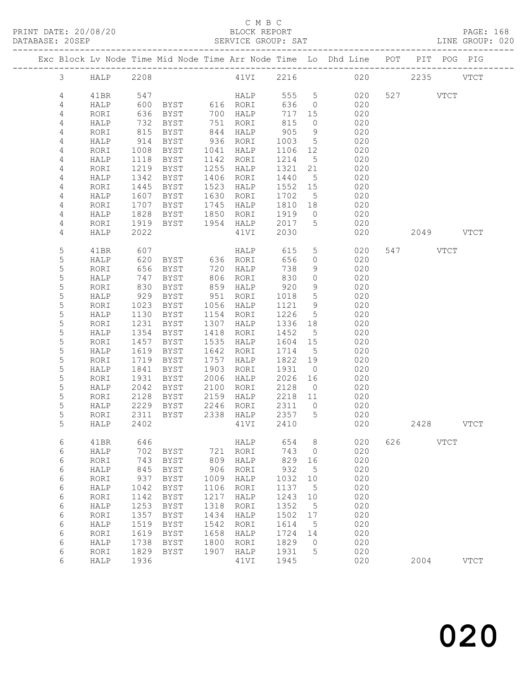|  |                |              |      |               |      |              |         |                 | Exc Block Lv Node Time Mid Node Time Arr Node Time Lo Dhd Line POT |     |           | PIT POG PIG |               |
|--|----------------|--------------|------|---------------|------|--------------|---------|-----------------|--------------------------------------------------------------------|-----|-----------|-------------|---------------|
|  | $\mathfrak{Z}$ | HALP         | 2208 |               |      | 41VI         |         |                 | 2216 020                                                           |     | 2235      |             | <b>VTCT</b>   |
|  | 4              | 41BR         | 547  |               |      | <b>HALP</b>  | 555 5   |                 | 020                                                                |     | 527 VTCT  |             |               |
|  | 4              | HALP         | 600  | BYST 616 RORI |      |              | 636     | $\overline{0}$  | 020                                                                |     |           |             |               |
|  | 4              | RORI         | 636  | BYST          |      | 700 HALP     | 717     | 15              | 020                                                                |     |           |             |               |
|  |                |              |      |               |      | 751 RORI     | 815     | $\overline{0}$  | 020                                                                |     |           |             |               |
|  | 4              | HALP         | 732  | BYST          |      |              |         |                 |                                                                    |     |           |             |               |
|  | 4              | RORI         | 815  | BYST          |      | 844 HALP     | 905     | 9               | 020                                                                |     |           |             |               |
|  | 4              | HALP         | 914  | BYST          |      | 936 RORI     | 1003    | $5\overline{)}$ | 020                                                                |     |           |             |               |
|  | $\overline{4}$ | RORI         | 1008 | BYST          | 1041 | HALP         | 1106    | 12              | 020                                                                |     |           |             |               |
|  | 4              | HALP         | 1118 | BYST          | 1142 | RORI         | 1214    | $5\overline{)}$ | 020                                                                |     |           |             |               |
|  | $\overline{4}$ | RORI         | 1219 | BYST          | 1255 | HALP         | 1321    | 21              | 020                                                                |     |           |             |               |
|  | 4              | HALP         | 1342 | BYST          | 1406 | RORI         | 1440    | $5\overline{)}$ | 020                                                                |     |           |             |               |
|  | 4              | RORI         | 1445 | BYST          | 1523 | HALP         | 1552    | 15              | 020                                                                |     |           |             |               |
|  | 4              | HALP         | 1607 | BYST          | 1630 | RORI         | 1702    | $-5$            | 020                                                                |     |           |             |               |
|  | $\sqrt{4}$     | RORI         | 1707 | BYST          | 1745 | HALP         | 1810    | 18              | 020                                                                |     |           |             |               |
|  | 4              | HALP         | 1828 | BYST          | 1850 | RORI         | 1919    | $\overline{0}$  | 020                                                                |     |           |             |               |
|  | 4              | RORI         | 1919 | BYST          |      | 1954 HALP    | 2017    | $5\phantom{.0}$ | 020                                                                |     |           |             |               |
|  | 4              | HALP         | 2022 |               |      | 41VI         | 2030    |                 | 020                                                                |     | 2049 VTCT |             |               |
|  |                |              |      |               |      |              |         |                 |                                                                    |     |           |             |               |
|  | 5              | 41BR         | 607  |               |      | HALP         | 615     | 5 <sup>5</sup>  | 020                                                                |     | 547 VTCT  |             |               |
|  | 5              | HALP         | 620  | BYST 636 RORI |      |              | 656     | $\circ$         | 020                                                                |     |           |             |               |
|  | 5              | RORI         | 656  | BYST          | 720  | HALP         | 738     | 9               | 020                                                                |     |           |             |               |
|  | 5              | HALP         | 747  | BYST          |      | 806 RORI     | 830     | $\circ$         | 020                                                                |     |           |             |               |
|  | 5              | RORI         | 830  | BYST          |      | 859 HALP     | 920     | 9               | 020                                                                |     |           |             |               |
|  | 5              | HALP         | 929  | BYST          | 951  | RORI         | 1018    | $5\phantom{.0}$ | 020                                                                |     |           |             |               |
|  | 5              | RORI         | 1023 | BYST          | 1056 | HALP         | 1121    | 9               | 020                                                                |     |           |             |               |
|  | $\mathsf S$    | HALP         | 1130 | BYST          | 1154 | RORI         | 1226    | $5\overline{)}$ | 020                                                                |     |           |             |               |
|  | 5              | RORI         | 1231 | BYST          | 1307 | HALP         | 1336    | 18              | 020                                                                |     |           |             |               |
|  | 5              | HALP         | 1354 | BYST          | 1418 | RORI         | 1452    | $5^{\circ}$     | 020                                                                |     |           |             |               |
|  | 5              | RORI         | 1457 | BYST          | 1535 | HALP         | 1604    | 15              | 020                                                                |     |           |             |               |
|  | 5              | HALP         | 1619 | BYST          | 1642 | RORI         | 1714    | $5^{\circ}$     | 020                                                                |     |           |             |               |
|  | 5              | RORI         | 1719 | BYST          | 1757 | HALP         | 1822    | 19              | 020                                                                |     |           |             |               |
|  | 5              | HALP         | 1841 | BYST          | 1903 | RORI         | 1931    | $\overline{0}$  | 020                                                                |     |           |             |               |
|  | 5              | RORI         | 1931 | BYST          | 2006 | HALP         | 2026    | 16              | 020                                                                |     |           |             |               |
|  | 5              | HALP         | 2042 | BYST          | 2100 | RORI         | 2128    | $\overline{0}$  | 020                                                                |     |           |             |               |
|  | 5              | RORI         | 2128 | BYST          | 2159 | HALP         | 2218 11 |                 | 020                                                                |     |           |             |               |
|  | 5              | HALP         | 2229 | BYST          | 2246 | RORI         | 2311    | $\overline{0}$  | 020                                                                |     |           |             |               |
|  | 5              | RORI         | 2311 | BYST          | 2338 | HALP         | 2357    | $5^{\circ}$     | 020                                                                |     |           |             |               |
|  | 5              | HALP         | 2402 |               |      | 41VI         | 2410    |                 | 020                                                                |     | 2428 VTCT |             |               |
|  |                |              |      |               |      |              |         |                 |                                                                    |     |           |             |               |
|  | 6              | 41BR         | 646  |               |      | ${\tt HALP}$ | 654     | 8               | 020                                                                | 626 |           | <b>VTCT</b> |               |
|  | 6              | HALP         | 702  | BYST          | 721  | RORI         | 743     | 0               | 020                                                                |     |           |             |               |
|  | 6              | RORI         | 743  | <b>BYST</b>   | 809  | HALP         | 829     | 16              | 020                                                                |     |           |             |               |
|  | 6              | HALP         | 845  | <b>BYST</b>   | 906  | RORI         | 932     | 5               | 020                                                                |     |           |             |               |
|  | 6              | RORI         | 937  | <b>BYST</b>   | 1009 | HALP         | 1032    | 10              | 020                                                                |     |           |             |               |
|  | 6              | HALP         | 1042 | <b>BYST</b>   | 1106 | RORI         | 1137    | 5               | 020                                                                |     |           |             |               |
|  | 6              | RORI         | 1142 | <b>BYST</b>   | 1217 | HALP         | 1243    | 10              | 020                                                                |     |           |             |               |
|  | $\epsilon$     | HALP         | 1253 | <b>BYST</b>   | 1318 | RORI         | 1352    | 5               | 020                                                                |     |           |             |               |
|  | 6              | RORI         | 1357 | <b>BYST</b>   | 1434 | HALP         | 1502    | 17              | 020                                                                |     |           |             |               |
|  | 6              | HALP         | 1519 | <b>BYST</b>   | 1542 | RORI         | 1614    | 5               | 020                                                                |     |           |             |               |
|  | 6              | RORI         | 1619 | <b>BYST</b>   | 1658 | HALP         | 1724    | 14              | 020                                                                |     |           |             |               |
|  | $\epsilon$     | ${\tt HALP}$ | 1738 | <b>BYST</b>   | 1800 | RORI         | 1829    | 0               | 020                                                                |     |           |             |               |
|  | 6              | RORI         | 1829 | <b>BYST</b>   | 1907 | HALP         | 1931    | 5               | 020                                                                |     |           |             |               |
|  | 6              | HALP         | 1936 |               |      | 41VI         | 1945    |                 | 020                                                                |     | 2004      |             | $_{\rm VTCT}$ |
|  |                |              |      |               |      |              |         |                 |                                                                    |     |           |             |               |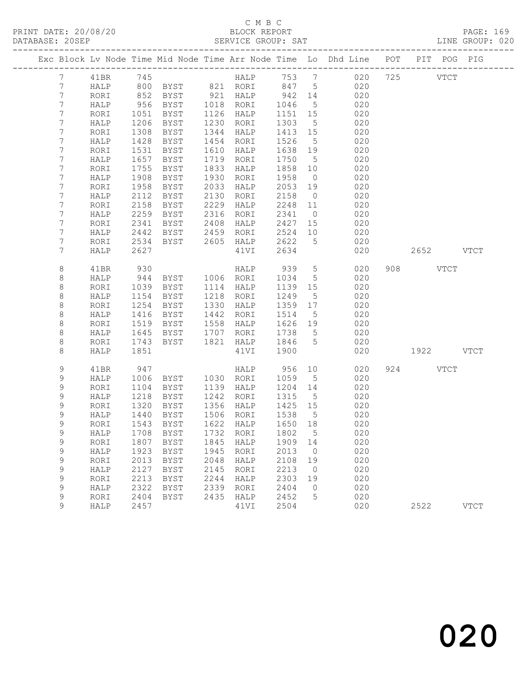|             |   |      |      |                            |      |           |       |                 | Exc Block Lv Node Time Mid Node Time Arr Node Time Lo Dhd Line POT PIT POG PIG | -------------- |             |             |             |
|-------------|---|------|------|----------------------------|------|-----------|-------|-----------------|--------------------------------------------------------------------------------|----------------|-------------|-------------|-------------|
|             | 7 | 41BR | 745  |                            |      | HALP      | 753 7 |                 | 020                                                                            |                | 725         | <b>VTCT</b> |             |
|             | 7 | HALP | 800  | BYST 821 RORI              |      |           | 847   | $5^{\circ}$     | 020                                                                            |                |             |             |             |
|             | 7 | RORI | 852  | BYST                       |      | 921 HALP  | 942   | 14              | 020                                                                            |                |             |             |             |
|             | 7 | HALP | 956  | BYST                       | 1018 | RORI      | 1046  | $5\overline{)}$ | 020                                                                            |                |             |             |             |
|             | 7 | RORI | 1051 | BYST                       | 1126 | HALP      | 1151  | 15              | 020                                                                            |                |             |             |             |
|             | 7 | HALP | 1206 | <b>BYST</b>                | 1230 | RORI      | 1303  | 5               | 020                                                                            |                |             |             |             |
|             | 7 | RORI | 1308 | BYST                       | 1344 | HALP      | 1413  | 15              | 020                                                                            |                |             |             |             |
|             | 7 | HALP | 1428 | <b>BYST</b>                | 1454 | RORI      | 1526  | $5\overline{)}$ | 020                                                                            |                |             |             |             |
|             | 7 | RORI | 1531 | BYST                       | 1610 | HALP      | 1638  | 19              | 020                                                                            |                |             |             |             |
|             | 7 | HALP | 1657 | BYST                       | 1719 | RORI      | 1750  | 5               | 020                                                                            |                |             |             |             |
|             | 7 | RORI | 1755 | <b>BYST</b>                | 1833 | HALP      | 1858  | 10              | 020                                                                            |                |             |             |             |
|             | 7 | HALP | 1908 | BYST                       | 1930 | RORI      | 1958  | $\overline{0}$  | 020                                                                            |                |             |             |             |
| 7           |   | RORI | 1958 | BYST                       | 2033 | HALP      | 2053  | 19              | 020                                                                            |                |             |             |             |
| 7           |   | HALP | 2112 | BYST                       | 2130 | RORI      | 2158  | $\overline{0}$  | 020                                                                            |                |             |             |             |
| 7           |   | RORI | 2158 | <b>BYST</b>                | 2229 | HALP      | 2248  | 11              | 020                                                                            |                |             |             |             |
|             | 7 | HALP | 2259 | BYST                       | 2316 | RORI      | 2341  | $\overline{0}$  | 020                                                                            |                |             |             |             |
| 7           |   | RORI | 2341 | BYST                       | 2408 | HALP      | 2427  | 15              | 020                                                                            |                |             |             |             |
|             | 7 | HALP | 2442 | BYST                       | 2459 | RORI      | 2524  | 10              | 020                                                                            |                |             |             |             |
| 7           | 7 | RORI | 2534 | BYST                       |      | 2605 HALP | 2622  | $5^{\circ}$     | 020                                                                            |                |             |             |             |
|             |   | HALP | 2627 |                            |      | 41VI      | 2634  |                 | 020                                                                            |                | 2652 VTCT   |             |             |
| 8           |   | 41BR | 930  |                            |      | HALP      | 939   | 5               | 020                                                                            | 908            | <b>VTCT</b> |             |             |
| 8           |   | HALP | 944  | BYST                       |      | 1006 RORI | 1034  | $5\overline{)}$ | 020                                                                            |                |             |             |             |
| $\,8\,$     |   | RORI | 1039 | BYST                       | 1114 | HALP      | 1139  | 15              | 020                                                                            |                |             |             |             |
| 8           |   | HALP | 1154 | BYST                       | 1218 | RORI      | 1249  | 5               | 020                                                                            |                |             |             |             |
| 8           |   | RORI | 1254 | BYST                       | 1330 | HALP      | 1359  | 17              | 020                                                                            |                |             |             |             |
| 8           |   | HALP | 1416 | <b>BYST</b>                | 1442 | RORI      | 1514  | 5               | 020                                                                            |                |             |             |             |
| 8           |   | RORI | 1519 | BYST                       | 1558 | HALP      | 1626  | 19              | 020                                                                            |                |             |             |             |
| 8           |   | HALP | 1645 | BYST                       | 1707 | RORI      | 1738  | $5\overline{)}$ | 020                                                                            |                |             |             |             |
| 8           |   | RORI | 1743 | BYST                       | 1821 | HALP      | 1846  | $5\overline{)}$ | 020                                                                            |                |             |             |             |
| 8           |   | HALP | 1851 |                            |      | 41VI      | 1900  |                 | 020                                                                            |                | 1922 VTCT   |             |             |
|             | 9 | 41BR | 947  |                            |      | HALP      | 956   | 10              | 020                                                                            |                | 924         | VTCT        |             |
|             | 9 | HALP | 1006 | BYST                       | 1030 | RORI      | 1059  | $5^{\circ}$     | 020                                                                            |                |             |             |             |
| 9           |   | RORI | 1104 | BYST                       | 1139 | HALP      | 1204  | 14              | 020                                                                            |                |             |             |             |
|             | 9 | HALP | 1218 | BYST                       | 1242 | RORI      | 1315  | $5^{\circ}$     | 020                                                                            |                |             |             |             |
| $\mathsf 9$ |   | RORI | 1320 | BYST                       | 1356 | HALP      | 1425  | 15              | 020                                                                            |                |             |             |             |
| 9           |   | HALP | 1440 | BYST                       |      | 1506 RORI | 1538  | $5^{\circ}$     | 020                                                                            |                |             |             |             |
| 9           |   | RORI | 1543 | BYST                       |      | 1622 HALP | 1650  | 18              | 020                                                                            |                |             |             |             |
|             | 9 | HALP |      | 1708 BYST 1732 RORI 1802 5 |      |           |       |                 | 020                                                                            |                |             |             |             |
| $\mathsf 9$ |   | RORI | 1807 | <b>BYST</b>                | 1845 | HALP      | 1909  | 14              | 020                                                                            |                |             |             |             |
| 9           |   | HALP | 1923 | <b>BYST</b>                | 1945 | RORI      | 2013  | $\circ$         | 020                                                                            |                |             |             |             |
| 9           |   | RORI | 2013 | <b>BYST</b>                | 2048 | HALP      | 2108  | 19              | 020                                                                            |                |             |             |             |
| $\mathsf 9$ |   | HALP | 2127 | <b>BYST</b>                | 2145 | RORI      | 2213  | $\overline{0}$  | 020                                                                            |                |             |             |             |
| $\mathsf 9$ |   | RORI | 2213 | <b>BYST</b>                | 2244 | HALP      | 2303  | 19              | 020                                                                            |                |             |             |             |
| 9           |   | HALP | 2322 | <b>BYST</b>                | 2339 | RORI      | 2404  | $\mathbf 0$     | 020                                                                            |                |             |             |             |
| $\mathsf 9$ |   | RORI | 2404 | BYST                       | 2435 | HALP      | 2452  | 5               | 020                                                                            |                |             |             |             |
|             | 9 | HALP | 2457 |                            |      | 41VI      | 2504  |                 | 020                                                                            |                | 2522        |             | <b>VTCT</b> |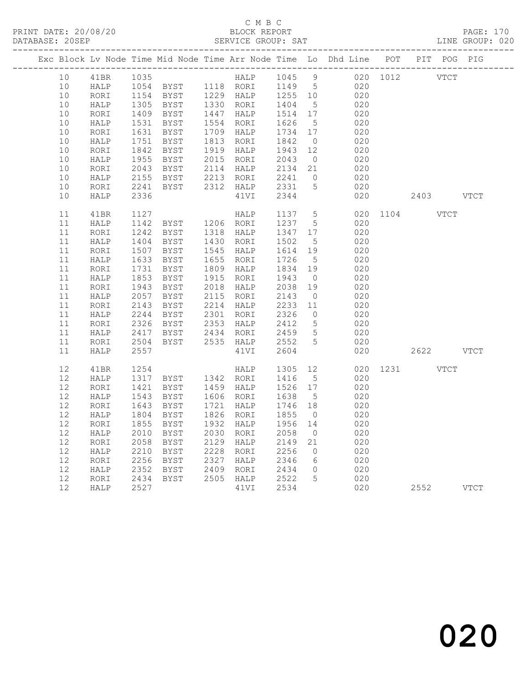|  |    |              |                                      |                                                                    |                             |                         |                 | Exc Block Lv Node Time Mid Node Time Arr Node Time Lo Dhd Line POT PIT POG PIG |               |           |  |
|--|----|--------------|--------------------------------------|--------------------------------------------------------------------|-----------------------------|-------------------------|-----------------|--------------------------------------------------------------------------------|---------------|-----------|--|
|  | 10 | 41BR         |                                      |                                                                    |                             |                         |                 |                                                                                |               |           |  |
|  | 10 | <b>HALP</b>  |                                      |                                                                    |                             |                         |                 |                                                                                |               |           |  |
|  | 10 | RORI         |                                      |                                                                    |                             |                         |                 |                                                                                |               |           |  |
|  | 10 | HALP         |                                      | 1305 BYST 1330 RORI<br>1409 BYST 1447 HALP                         |                             | 1404 5<br>1514 17       |                 | 020                                                                            |               |           |  |
|  | 10 | RORI         |                                      |                                                                    | 1447 HALP                   |                         |                 | 020                                                                            |               |           |  |
|  | 10 | HALP         | 1531<br>1631                         | BYST                                                               | 1554 RORI                   | 1626 5<br>1734 17       |                 | 020                                                                            |               |           |  |
|  | 10 | RORI         |                                      | BYST                                                               | 1709 HALP                   |                         |                 | 020                                                                            |               |           |  |
|  | 10 | HALP         | 1751<br>1842                         | BYST                                                               |                             | 1842 0<br>1943 12       |                 | 020                                                                            |               |           |  |
|  | 10 | RORI         |                                      | BYST                                                               | 1813 RUNI<br>1919 HALP      |                         |                 | 020                                                                            |               |           |  |
|  | 10 | HALP         | 1955<br>2043                         | BYST                                                               | 2015 RORI<br>2114 HALP      | 2043 0<br>2134 21       |                 | 020                                                                            |               |           |  |
|  | 10 | RORI         |                                      | BYST                                                               |                             |                         |                 | 020                                                                            |               |           |  |
|  | 10 | HALP         | 2155<br>2241                         | BYST 2213 RORI 2241 0<br>BYST 2312 HALP 2331 5                     |                             |                         |                 | 020                                                                            |               |           |  |
|  | 10 | RORI         |                                      |                                                                    |                             |                         |                 | 020                                                                            |               |           |  |
|  | 10 | HALP         | 2336                                 |                                                                    | 41VI                        | 2344                    |                 | 020                                                                            |               | 2403 VTCT |  |
|  | 11 | 41BR         | 1127                                 |                                                                    |                             |                         |                 | 020 1104 VTCT                                                                  |               |           |  |
|  | 11 | HALP         | 1127<br>1142                         |                                                                    | HALP 1137 5<br>RORI 1237 5  |                         |                 | 020                                                                            |               |           |  |
|  | 11 | RORI         | 1242<br>1404                         | BYST 1318 HALP<br>BYST 1430 RORT                                   |                             | 1347 17                 |                 | 020                                                                            |               |           |  |
|  | 11 | HALP         |                                      |                                                                    |                             | 1502                    | $5^{\circ}$     | 020                                                                            |               |           |  |
|  | 11 | RORI         |                                      | BYST 1545 HALP                                                     |                             |                         |                 | 020                                                                            |               |           |  |
|  | 11 | HALP         |                                      | <b>BYST</b>                                                        | 1655 RORI                   | 1614 19<br>1726 5       | $5\overline{)}$ | 020                                                                            |               |           |  |
|  | 11 | RORI         | 1507<br>1507<br>1633<br>1731<br>1853 | BYST                                                               | 1809 HALP                   | 1834 19                 |                 | 020                                                                            |               |           |  |
|  | 11 | HALP         |                                      | BYST                                                               | 1915 RORI                   | 1943                    | $\overline{0}$  | 020                                                                            |               |           |  |
|  | 11 | RORI         | $\frac{1943}{2057}$                  | BYST                                                               | 2018 HALP<br>2115 RORI      | 2038<br>2143<br>2038 19 |                 | 020                                                                            |               |           |  |
|  | 11 | HALP         |                                      | BYST                                                               |                             |                         | $\overline{0}$  | 020                                                                            |               |           |  |
|  | 11 | RORI         | $2143$<br>$2244$                     | BYST                                                               | 2214 HALP                   | 2233 11                 |                 | 020                                                                            |               |           |  |
|  | 11 | ${\tt HALP}$ |                                      | BYST                                                               | 2301 RORI                   | 2326                    | $\overline{0}$  | 020                                                                            |               |           |  |
|  | 11 | RORI         |                                      |                                                                    | 2353 HALP 2412              |                         | $5^{\circ}$     | 020                                                                            |               |           |  |
|  | 11 | HALP         |                                      | 2326 BYST<br>2326 BYST<br>2417 BYST<br>2504 BYST<br>BYST 2434 RORI |                             | 2459 5                  |                 | 020                                                                            |               |           |  |
|  | 11 | RORI         |                                      | BYST 2535 HALP 2552 5                                              |                             |                         |                 | 020                                                                            |               |           |  |
|  | 11 | HALP         | 2557                                 |                                                                    | 41VI                        | 2604                    |                 | 020                                                                            |               | 2622 VTCT |  |
|  | 12 | 41BR         | 1254                                 |                                                                    | HALP 1305 12                |                         |                 |                                                                                | 020 1231 VTCT |           |  |
|  | 12 | HALP         |                                      | 1317 BYST 1342 RORI 1416                                           |                             |                         | $5\overline{)}$ | 020                                                                            |               |           |  |
|  | 12 | RORI         | 1421<br>1543                         | BYST 1459 HALP                                                     |                             | 1526 17                 |                 | 020                                                                            |               |           |  |
|  | 12 | HALP         |                                      | BYST 1606 RORI                                                     |                             | 1638                    | $5^{\circ}$     | 020                                                                            |               |           |  |
|  | 12 | RORI         | 1643<br>1804                         | BYST                                                               | 1721 HALP                   | 1746 18                 |                 | 020                                                                            |               |           |  |
|  | 12 | HALP         |                                      | BYST                                                               | 1826 RORI                   | 1855                    | $\overline{0}$  | 020                                                                            |               |           |  |
|  | 12 | RORI         | 1855                                 | BYST                                                               | 1932 HALP                   | 1956 14                 |                 | 020                                                                            |               |           |  |
|  | 12 | HALP         | 2010                                 | BYST                                                               | 2030 RORI                   | 2058                    | $\overline{0}$  | 020                                                                            |               |           |  |
|  | 12 | RORI         | 2058                                 | BYST                                                               | 2129 HALP                   | 2149<br>2256<br>2149    | 21              | 020                                                                            |               |           |  |
|  | 12 | HALP         | 2210                                 | BYST                                                               | 2228 RORI                   |                         | $\overline{0}$  | 020                                                                            |               |           |  |
|  | 12 | RORI         | 2256<br>2352                         | BYST                                                               | 2327 HALP                   | 2346<br>2434            | 6               | 020                                                                            |               |           |  |
|  | 12 | HALP         |                                      | BYST                                                               | 2409 RORI                   |                         | $\overline{0}$  | 020                                                                            |               |           |  |
|  | 12 | RORI         | 2434<br>2527                         | BYST                                                               | 2505 HALP 2522<br>41VI 2534 |                         | 5 <sup>5</sup>  | 020                                                                            |               |           |  |
|  | 12 | HALP         | 2527                                 |                                                                    | 41VI                        | 2534                    |                 | 020                                                                            |               | 2552 VTCT |  |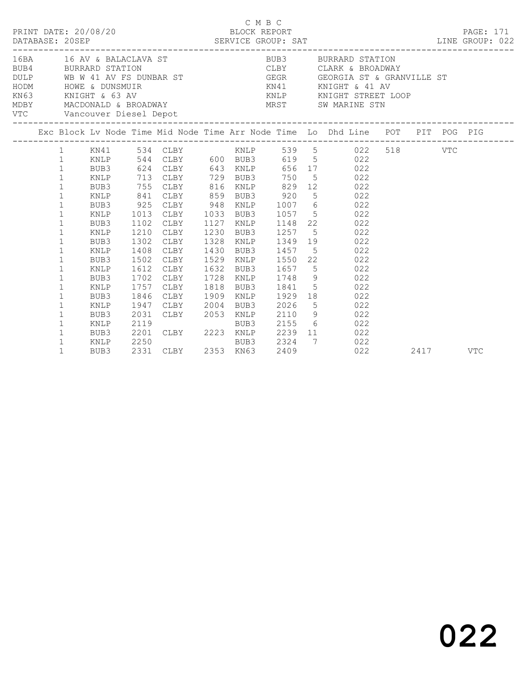|  |                                                                                                                                                                          | PRINT DATE: 20/08/20                                                                 |                                                                      | DATABASE: 20SEP<br>DATABASE: 20SEP<br>SERVICE GROUP: SAT                                                 | BLOCK REPORT                                                   |                                              | C M B C |                                                          | LINE GROUP: 022                                                                                                                                                                                                                          |      | PAGE: 171  |
|--|--------------------------------------------------------------------------------------------------------------------------------------------------------------------------|--------------------------------------------------------------------------------------|----------------------------------------------------------------------|----------------------------------------------------------------------------------------------------------|----------------------------------------------------------------|----------------------------------------------|---------|----------------------------------------------------------|------------------------------------------------------------------------------------------------------------------------------------------------------------------------------------------------------------------------------------------|------|------------|
|  |                                                                                                                                                                          |                                                                                      |                                                                      | VTC Vancouver Diesel Depot                                                                               |                                                                |                                              |         |                                                          | 16BA 16 AV & BALACLAVA ST BUB3 BURRARD STATION<br>BUB4 BURRARD STATION<br>DULP WB W 41 AV FS DUNBAR ST GEGR GEORGIA ST & GRANVILLE ST<br>HODM HOWE & DUNSMUIR<br>KN63 KNIGHT & 63 AV KNIGHT & MIGHT & 41 AV<br>MAS KNIGHT & 63 AV KNIP K |      |            |
|  |                                                                                                                                                                          |                                                                                      |                                                                      |                                                                                                          |                                                                |                                              |         |                                                          | Exc Block Lv Node Time Mid Node Time Arr Node Time Lo Dhd Line POT PIT POG PIG                                                                                                                                                           |      |            |
|  | $\mathbf{1}$<br>$\mathbf{1}$<br>$\mathbf{1}$<br>$\mathbf{1}$<br>$\mathbf 1$<br>$\mathbf{1}$<br>$\mathbf{1}$<br>$\mathbf 1$<br>$\mathbf 1$<br>$\mathbf{1}$<br>$\mathbf 1$ | KNLP<br>BUB3<br>KNLP<br>BUB3<br>KNLP<br>BUB3<br>KNLP<br>BUB3<br>KNLP<br>BUB3<br>KNLP | 755<br>841<br>925<br>1013<br>1102<br>1210<br>1302<br>1408            | 713 CLBY<br>CLBY<br>CLBY<br>CLBY<br>CLBY<br>CLBY<br>CLBY<br>CLBY<br>CLBY                                 | 816 KNLP<br>859<br>948<br>1033<br>1127<br>1230<br>1328<br>1430 | BUB3<br>KNLP<br>BUB3<br>KNLP<br>BUB3<br>KNLP |         | 729 BUB3 750<br>920<br>1057<br>1148<br>1257<br>BUB3 1457 | 1 KN41 534 CLBY KNLP 539 5 022 518 VTC<br>544 CLBY 600 BUB3 619 5 022<br>624 CLBY 643 KNLP 656 17 022<br>5 022<br>829 12 022<br>5 022<br>1007 6 022<br>5 022<br>22 022<br>5 022<br>1349 19 022<br>5 022                                  |      |            |
|  | $\mathbf{1}$<br>$\mathbf 1$<br>$\mathbf 1$<br>$\mathbf 1$<br>$\mathbf 1$<br>$\mathbf 1$<br>$\mathbf 1$<br>$\mathbf 1$<br>$\mathbf 1$                                     | BUB3<br>KNLP<br>BUB3<br>KNLP<br>BUB3<br>KNLP<br>BUB3<br>KNLP<br>BUB3                 | 1502<br>1612<br>1702<br>1757<br>1846<br>1947<br>2031<br>2119<br>2201 | CLBY<br>CLBY<br>CLBY<br>CLBY<br>CLBY<br>CLBY<br>CLBY<br>EUBY 2223 KNLP<br>BUB3<br>CLBY 2223 KNLP<br>BUB3 | 1529<br>1632<br>1728<br>1818<br>1909<br>2004                   | KNLP                                         |         | BUB3 2026<br>2155                                        | KNLP 1550 22 022<br>BUB3 1657 5 022<br>KNLP 1748 9 022<br>BUB3 1841 5 022<br>1929 18 022<br>5 022<br>2053 KNLP 2110 9 022<br>6 022<br>2239 11 022                                                                                        |      |            |
|  | $\mathbf 1$<br>$\mathbf{1}$                                                                                                                                              | KNLP<br>BUB3                                                                         | 2250                                                                 | 2331 CLBY 2353 KN63 2409                                                                                 |                                                                |                                              |         | BUB3 2324                                                | 7 022<br>022                                                                                                                                                                                                                             | 2417 | <b>VTC</b> |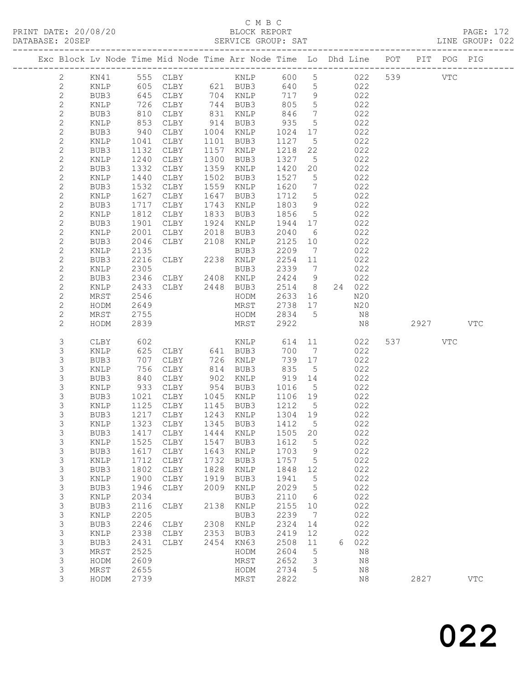### C M B C<br>BLOCK REPORT

PAGE: 172<br>LINE GROUP: 022

|  |                              |                 |              | Exc Block Lv Node Time Mid Node Time Arr Node Time Lo Dhd Line POT |              |              |              |                                   |   |            |     |      | PIT POG PIG |              |
|--|------------------------------|-----------------|--------------|--------------------------------------------------------------------|--------------|--------------|--------------|-----------------------------------|---|------------|-----|------|-------------|--------------|
|  | 2                            | KN41            |              | 555 CLBY                                                           |              | KNLP         | 600          | 5 <sup>5</sup>                    |   | 022        | 539 |      | <b>VTC</b>  |              |
|  | $\mathbf{2}$                 | KNLP            | 605          | CLBY                                                               |              | 621 BUB3     | 640          | $5\overline{)}$                   |   | 022        |     |      |             |              |
|  | $\sqrt{2}$                   | BUB3            | 645          | CLBY                                                               |              | 704 KNLP     | 717          | 9                                 |   | 022        |     |      |             |              |
|  | $\mathbf{2}$                 | KNLP            | 726          | CLBY                                                               |              | 744 BUB3     | 805          | $5\overline{)}$                   |   | 022        |     |      |             |              |
|  | $\mathbf{2}$                 | BUB3            | 810          | CLBY                                                               |              | 831 KNLP     | 846          | $7\phantom{.0}\,$                 |   | 022        |     |      |             |              |
|  | $\mathbf{2}$                 | KNLP            | 853          | CLBY                                                               |              | 914 BUB3     | 935          | $5\overline{)}$                   |   | 022        |     |      |             |              |
|  | $\mathbf{2}$                 | BUB3            | 940          | CLBY                                                               | 1004         | KNLP         | 1024         | 17                                |   | 022        |     |      |             |              |
|  | $\mathbf{2}$                 | KNLP            | 1041         | CLBY                                                               | 1101         | BUB3         | 1127         | $5^{\circ}$                       |   | 022        |     |      |             |              |
|  | $\mathbf{2}$                 | BUB3            | 1132         | CLBY                                                               | 1157         | KNLP         | 1218         | 22                                |   | 022        |     |      |             |              |
|  | $\mathbf{2}$                 | KNLP            | 1240         | CLBY                                                               | 1300         | BUB3         | 1327         | $5^{\circ}$                       |   | 022        |     |      |             |              |
|  | $\mathbf{2}$                 | BUB3            | 1332         | CLBY                                                               | 1359         | KNLP         | 1420         | 20                                |   | 022        |     |      |             |              |
|  | $\mathbf{2}$<br>$\mathbf{2}$ | KNLP<br>BUB3    | 1440<br>1532 | CLBY<br>CLBY                                                       | 1502<br>1559 | BUB3<br>KNLP | 1527<br>1620 | $5\overline{)}$<br>$\overline{7}$ |   | 022<br>022 |     |      |             |              |
|  | $\mathbf{2}$                 | KNLP            | 1627         | CLBY                                                               | 1647         | BUB3         | 1712         | $5\overline{)}$                   |   | 022        |     |      |             |              |
|  | $\mathbf{2}$                 | BUB3            | 1717         | CLBY                                                               | 1743         | KNLP         | 1803         | 9                                 |   | 022        |     |      |             |              |
|  | $\mathbf{2}$                 | KNLP            | 1812         | CLBY                                                               | 1833         | BUB3         | 1856         | $5\overline{)}$                   |   | 022        |     |      |             |              |
|  | $\mathbf{2}$                 | BUB3            | 1901         | CLBY                                                               | 1924         | KNLP         | 1944         | 17                                |   | 022        |     |      |             |              |
|  | $\mathbf{2}$                 | KNLP            | 2001         | CLBY                                                               | 2018         | BUB3         | 2040         | 6                                 |   | 022        |     |      |             |              |
|  | $\mathbf{2}$                 | BUB3            | 2046         | CLBY                                                               | 2108         | KNLP         | 2125         | 10                                |   | 022        |     |      |             |              |
|  | $\mathbf{2}$                 | KNLP            | 2135         |                                                                    |              | BUB3         | 2209         | $\overline{7}$                    |   | 022        |     |      |             |              |
|  | $\mathbf{2}$                 | BUB3            | 2216         | CLBY                                                               |              | 2238 KNLP    | 2254         | 11                                |   | 022        |     |      |             |              |
|  | $\mathbf 2$                  | KNLP            | 2305         |                                                                    |              | BUB3         | 2339         | $\overline{7}$                    |   | 022        |     |      |             |              |
|  | $\mathbf{2}$                 | BUB3            | 2346         | CLBY 2408 KNLP                                                     |              |              | 2424         | 9                                 |   | 022        |     |      |             |              |
|  | $\mathbf{2}$                 | KNLP            | 2433         | CLBY 2448 BUB3                                                     |              |              | 2514         | 8 <sup>8</sup>                    |   | 24 022     |     |      |             |              |
|  | $\mathbf{2}$                 | MRST            | 2546         |                                                                    |              | HODM         | 2633         | 16                                |   | N20        |     |      |             |              |
|  | $\mathbf{2}$                 | HODM            | 2649         |                                                                    |              | MRST         | 2738         | 17                                |   | N20        |     |      |             |              |
|  | $\mathbf{2}$<br>$\mathbf{2}$ | MRST<br>HODM    | 2755<br>2839 |                                                                    |              | HODM<br>MRST | 2834<br>2922 | $5\phantom{0}$                    |   | N8<br>N8   |     | 2927 |             | $_{\rm VTC}$ |
|  |                              |                 |              |                                                                    |              |              |              |                                   |   |            |     |      |             |              |
|  | 3                            | CLBY            | 602          |                                                                    |              | KNLP         | 614          | 11                                |   | 022        | 537 |      | VTC         |              |
|  | 3                            | KNLP            | 625          | CLBY 641 BUB3                                                      |              |              | 700          | $\overline{7}$                    |   | 022        |     |      |             |              |
|  | 3                            | BUB3            | 707          | CLBY                                                               | 726          | KNLP         | 739          | 17                                |   | 022        |     |      |             |              |
|  | $\mathsf S$                  | KNLP            | 756          | CLBY                                                               | 814          | BUB3         | 835          | $5\overline{)}$                   |   | 022        |     |      |             |              |
|  | $\mathsf 3$                  | BUB3            | 840          | CLBY                                                               | 902          | KNLP         | 919          | 14                                |   | 022        |     |      |             |              |
|  | 3<br>3                       | KNLP<br>BUB3    | 933<br>1021  | CLBY<br>CLBY                                                       | 954<br>1045  | BUB3<br>KNLP | 1016<br>1106 | $5\overline{)}$<br>19             |   | 022<br>022 |     |      |             |              |
|  | 3                            | KNLP            | 1125         | CLBY                                                               | 1145         | BUB3         | 1212         | $5^{\circ}$                       |   | 022        |     |      |             |              |
|  | 3                            | BUB3            | 1217         | CLBY                                                               | 1243         | KNLP         | 1304         | 19                                |   | 022        |     |      |             |              |
|  | 3                            | KNLP            | 1323         | CLBY                                                               | 1345         | BUB3         | 1412         | $5^{\circ}$                       |   | 022        |     |      |             |              |
|  | 3                            | BUB3            | 1417         | CLBY                                                               | 1444         | KNLP         | 1505         | 20                                |   | 022        |     |      |             |              |
|  | 3                            | KNLP            | 1525         | CLBY                                                               | 1547         | BUB3         | 1612         | 5                                 |   | 022        |     |      |             |              |
|  | 3                            | BUB3            | 1617         | CLBY                                                               | 1643         | KNLP         | 1703         | 9                                 |   | 022        |     |      |             |              |
|  | 3                            | KNLP            | 1712         | CLBY                                                               | 1732         | BUB3         | 1757         | 5                                 |   | 022        |     |      |             |              |
|  | 3                            | BUB3            | 1802         | CLBY                                                               | 1828         | KNLP         | 1848         | 12                                |   | 022        |     |      |             |              |
|  | $\mathsf S$                  | $\texttt{KNLP}$ | 1900         | ${\tt CLBY}$                                                       | 1919         | BUB3         | 1941         | 5                                 |   | 022        |     |      |             |              |
|  | 3                            | BUB3            | 1946         | ${\tt CLBY}$                                                       | 2009         | KNLP         | 2029         | 5                                 |   | 022        |     |      |             |              |
|  | 3                            | KNLP            | 2034         |                                                                    |              | BUB3         | 2110         | 6                                 |   | 022        |     |      |             |              |
|  | 3                            | BUB3            | 2116         | CLBY                                                               | 2138         | KNLP         | 2155         | 10                                |   | 022        |     |      |             |              |
|  | $\mathsf S$                  | KNLP            | 2205         |                                                                    |              | BUB3         | 2239         | 7                                 |   | 022        |     |      |             |              |
|  | 3<br>3                       | BUB3<br>KNLP    | 2246<br>2338 | CLBY<br>${\tt CLBY}$                                               | 2308<br>2353 | KNLP<br>BUB3 | 2324<br>2419 | 14<br>12                          |   | 022<br>022 |     |      |             |              |
|  | 3                            | BUB3            | 2431         | CLBY                                                               | 2454         | KN63         | 2508         | 11                                | 6 | 022        |     |      |             |              |
|  | 3                            | MRST            | 2525         |                                                                    |              | HODM         | 2604         | 5                                 |   | N8         |     |      |             |              |
|  | 3                            | HODM            | 2609         |                                                                    |              | MRST         | 2652         | 3                                 |   | $\rm N8$   |     |      |             |              |
|  | 3                            | MRST            | 2655         |                                                                    |              | HODM         | 2734         | 5                                 |   | $\rm N8$   |     |      |             |              |
|  | 3                            | HODM            | 2739         |                                                                    |              | MRST         | 2822         |                                   |   | N8         |     | 2827 |             | $_{\rm VTC}$ |
|  |                              |                 |              |                                                                    |              |              |              |                                   |   |            |     |      |             |              |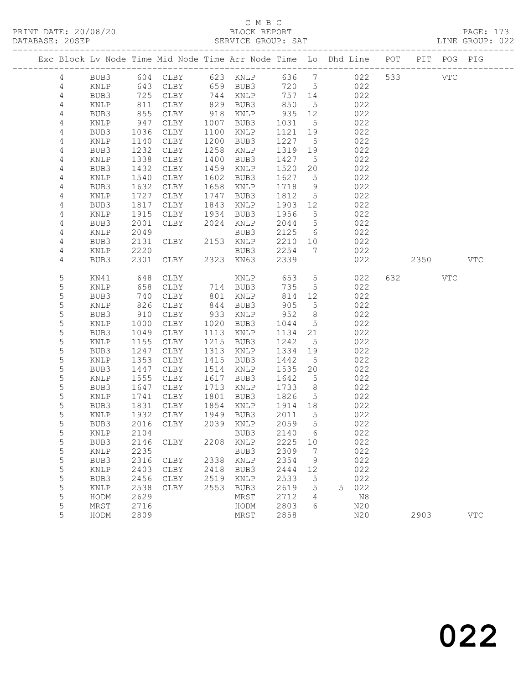|                |              |              |                 |              |              |                 |                 | Exc Block Lv Node Time Mid Node Time Arr Node Time Lo Dhd Line POT PIT POG PIG |     |      |              |            |
|----------------|--------------|--------------|-----------------|--------------|--------------|-----------------|-----------------|--------------------------------------------------------------------------------|-----|------|--------------|------------|
| 4              | BUB3         |              | 604 CLBY        |              | 623 KNLP     | 636 7           |                 | 022                                                                            | 533 |      | $_{\rm VTC}$ |            |
| 4              | KNLP         | 643          | CLBY            |              | 659 BUB3     | 720 5           |                 | 022                                                                            |     |      |              |            |
| $\overline{4}$ | BUB3         | 725          | CLBY            |              | 744 KNLP     | 757 14          |                 | 022                                                                            |     |      |              |            |
| 4              | KNLP         | 811          | CLBY            | 829          | BUB3         | 850             | $5\overline{)}$ | 022                                                                            |     |      |              |            |
| 4              | BUB3         | 855          | CLBY            | 918          | KNLP         | 935             | 12              | 022                                                                            |     |      |              |            |
| 4              | KNLP         | 947          | CLBY            | 1007         | BUB3         | 1031            | $5\overline{)}$ | 022                                                                            |     |      |              |            |
| 4              | BUB3         | 1036         | CLBY            | 1100         | KNLP         | 1121            | 19              | 022                                                                            |     |      |              |            |
| 4              | KNLP         | 1140         | CLBY            | 1200         | BUB3         | 1227            | $5\overline{)}$ | 022                                                                            |     |      |              |            |
| 4              | BUB3         | 1232         | CLBY            | 1258         | KNLP         | 1319            | 19              | 022                                                                            |     |      |              |            |
| 4              | KNLP         | 1338         | CLBY            | 1400         | BUB3         | 1427            | $5^{\circ}$     | 022                                                                            |     |      |              |            |
| 4              | BUB3         | 1432         | CLBY            | 1459         | KNLP         | 1520            | 20              | 022                                                                            |     |      |              |            |
| 4              | KNLP         | 1540         | CLBY            | 1602         | BUB3         | 1627            | $5^{\circ}$     | 022                                                                            |     |      |              |            |
| 4              | BUB3         | 1632         | CLBY            | 1658         | KNLP         | 1718            | 9               | 022                                                                            |     |      |              |            |
| 4              | KNLP         | 1727         | CLBY            | 1747         | BUB3         | 1812            | $5\overline{)}$ | 022                                                                            |     |      |              |            |
| 4              | BUB3         | 1817         | CLBY            | 1843         | KNLP         | 1903            | 12              | 022                                                                            |     |      |              |            |
| $\overline{4}$ | KNLP         | 1915         | CLBY            | 1934         | BUB3         | 1956            | $5\overline{)}$ | 022                                                                            |     |      |              |            |
| $\overline{4}$ | BUB3         | 2001         | CLBY            | 2024         | KNLP         | 2044            | $5\overline{)}$ | 022                                                                            |     |      |              |            |
| 4              | KNLP         | 2049         |                 |              | BUB3         | 2125            | 6               | 022                                                                            |     |      |              |            |
| $\overline{4}$ | BUB3         | 2131         | CLBY            |              | 2153 KNLP    | 2210            | 10              | 022                                                                            |     |      |              |            |
| 4              | KNLP         | 2220         |                 |              | BUB3         | 2254            | $\overline{7}$  | 022                                                                            |     |      |              |            |
| 4              | BUB3         | 2301         | CLBY            |              | 2323 KN63    | 2339            |                 | 022                                                                            |     | 2350 |              | <b>VTC</b> |
| 5              | KN41         | 648          | CLBY            |              | KNLP         | 653             | $5\overline{)}$ | 022                                                                            |     | 632  | VTC          |            |
| 5              | KNLP         | 658          | CLBY            |              | 714 BUB3     | 735             | $5\overline{)}$ | 022                                                                            |     |      |              |            |
| $\mathsf S$    | BUB3         | 740          | CLBY            | 801          | KNLP         | 814             | 12              | 022                                                                            |     |      |              |            |
| 5              | KNLP         | 826          | CLBY            | 844          | BUB3         | 905             | $5^{\circ}$     | 022                                                                            |     |      |              |            |
| 5              | BUB3         | 910          | CLBY            | 933          | KNLP         | 952             | 8 <sup>8</sup>  | 022                                                                            |     |      |              |            |
| 5              | KNLP         | 1000         | CLBY            | 1020         | BUB3         | 1044            | $5\overline{)}$ | 022                                                                            |     |      |              |            |
| $\mathsf S$    | BUB3         | 1049         | CLBY            | 1113         | KNLP         | 1134            | 21              | 022                                                                            |     |      |              |            |
| 5              | KNLP         | 1155         | CLBY            | 1215         | BUB3         | 1242            | 5               | 022                                                                            |     |      |              |            |
| 5              | BUB3         | 1247         | CLBY            | 1313         | KNLP         | 1334            | 19              | 022                                                                            |     |      |              |            |
| 5              | KNLP         | 1353         | CLBY            | 1415         | BUB3         | 1442            | $5\overline{)}$ | 022                                                                            |     |      |              |            |
| $\mathsf S$    | BUB3         | 1447         | CLBY            | 1514         | KNLP         | 1535            | 20              | 022                                                                            |     |      |              |            |
| 5              | KNLP         | 1555         | CLBY            | 1617         | BUB3         | 1642            | $5\overline{)}$ | 022                                                                            |     |      |              |            |
| 5              | BUB3         | 1647         | CLBY            | 1713         | KNLP         | 1733            | 8               | 022                                                                            |     |      |              |            |
| 5<br>5         | KNLP         | 1741<br>1831 | CLBY            | 1801<br>1854 | BUB3         | 1826<br>1914 18 | $5\overline{)}$ | 022                                                                            |     |      |              |            |
| 5              | BUB3<br>KNLP | 1932         | CLBY<br>CLBY    | 1949         | KNLP<br>BUB3 | 2011            | $5^{\circ}$     | 022<br>022                                                                     |     |      |              |            |
| 5              | BUB3         | 2016         | CLBY            | 2039         | KNLP         | 2059            | 5               | 022                                                                            |     |      |              |            |
| 5              | KNLP 2104    |              |                 |              | BUB3 2140 6  |                 |                 | 022                                                                            |     |      |              |            |
| 5              | BUB3         | 2146         | CLBY            | 2208         | KNLP         | 2225            | 10              | 022                                                                            |     |      |              |            |
| 5              | KNLP         | 2235         |                 |              | BUB3         | 2309            | 7               | 022                                                                            |     |      |              |            |
| 5              | BUB3         | 2316         | CLBY            | 2338         | KNLP         | 2354            | 9               | 022                                                                            |     |      |              |            |
| $\mathsf S$    | KNLP         | 2403         | CLBY            | 2418         | BUB3         | 2444            | 12              | 022                                                                            |     |      |              |            |
| 5              | BUB3         | 2456         | CLBY            | 2519         | KNLP         | 2533            | 5               | 022                                                                            |     |      |              |            |
| 5              | KNLP         | 2538         | $\texttt{CLBY}$ | 2553         | BUB3         | 2619            | 5               | 022<br>5                                                                       |     |      |              |            |
| 5              | HODM         | 2629         |                 |              | MRST         | 2712            | 4               | N8                                                                             |     |      |              |            |
| 5              | MRST         | 2716         |                 |              | HODM         | 2803            | 6               | N20                                                                            |     |      |              |            |
| 5              | HODM         | 2809         |                 |              | MRST         | 2858            |                 | N20                                                                            |     | 2903 |              | <b>VTC</b> |
|                |              |              |                 |              |              |                 |                 |                                                                                |     |      |              |            |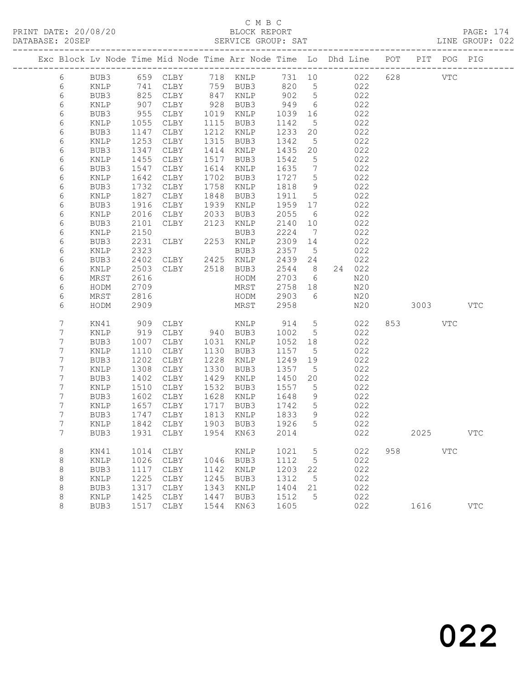### C M B C<br>BLOCK REPORT

| Exc Block Lv Node Time Mid Node Time Arr Node Time Lo Dhd Line POT PIT POG PIG |                                                   |      |                |      |                                             |           |                 |                 |                         |  |  |  |
|--------------------------------------------------------------------------------|---------------------------------------------------|------|----------------|------|---------------------------------------------|-----------|-----------------|-----------------|-------------------------|--|--|--|
|                                                                                |                                                   |      |                |      | 6 BUB3 659 CLBY 718 KNLP 731 10 022 628 VTC |           |                 |                 |                         |  |  |  |
| 6                                                                              | KNLP                                              | 741  | CLBY           |      | 759 BUB3                                    |           |                 | 820 5 022       |                         |  |  |  |
| 6                                                                              | BUB3                                              | 825  | CLBY           | 847  | KNLP                                        | 902       |                 | $5^{\circ}$     | 022                     |  |  |  |
| 6                                                                              | KNLP                                              | 907  | CLBY           | 928  | BUB3                                        | 949       |                 | $6\overline{6}$ | 022                     |  |  |  |
| 6                                                                              | BUB3                                              | 955  | CLBY           | 1019 | KNLP                                        | 1039 16   |                 |                 | 022                     |  |  |  |
| 6                                                                              | KNLP                                              | 1055 | CLBY           | 1115 | BUB3                                        | 1142      | 5 <sup>5</sup>  |                 | 022                     |  |  |  |
| 6                                                                              | BUB3                                              | 1147 | CLBY           | 1212 | KNLP                                        | 1233      | 20              |                 | 022                     |  |  |  |
| 6                                                                              | KNLP                                              | 1253 | CLBY           | 1315 | BUB3                                        | 1342      |                 | $5^{\circ}$     | 022                     |  |  |  |
| 6                                                                              | BUB3                                              | 1347 | CLBY           | 1414 | KNLP                                        | 1435      | 20              |                 | 022                     |  |  |  |
| 6                                                                              | KNLP                                              | 1455 | CLBY           | 1517 | BUB3                                        | 1542      | 5               |                 | 022                     |  |  |  |
| 6                                                                              | BUB3                                              | 1547 | CLBY           | 1614 | KNLP                                        | 1635      | $7\overline{ }$ |                 | 022                     |  |  |  |
| 6                                                                              | KNLP                                              | 1642 | CLBY           | 1702 | BUB3                                        | 1727      | 5               |                 | 022                     |  |  |  |
| 6                                                                              | BUB3                                              | 1732 | CLBY           | 1758 | KNLP                                        | 1818      | 9               |                 | 022                     |  |  |  |
| 6                                                                              | KNLP                                              | 1827 | CLBY           | 1848 | BUB3                                        | 1911      | 5 <sup>5</sup>  |                 | 022                     |  |  |  |
| 6                                                                              | BUB3                                              | 1916 | CLBY           | 1939 | KNLP                                        | 1959      |                 | 17              | 022                     |  |  |  |
| 6                                                                              | KNLP                                              | 2016 | CLBY           | 2033 | BUB3                                        | 2055      | 6               |                 | 022                     |  |  |  |
| 6                                                                              | BUB3                                              | 2101 | CLBY           | 2123 | KNLP                                        | 2140      |                 | 10              | 022                     |  |  |  |
| 6                                                                              | KNLP                                              | 2150 |                |      | BUB3                                        | 2224      | $\overline{7}$  |                 | 022                     |  |  |  |
| 6                                                                              | BUB3                                              | 2231 | CLBY           |      | 2253 KNLP                                   | 2309      | 14              |                 | 022                     |  |  |  |
| 6                                                                              | KNLP                                              | 2323 |                |      | BUB3                                        | 2357      | $5^{\circ}$     |                 | 022                     |  |  |  |
| 6                                                                              | BUB3                                              | 2402 | CLBY           |      | 2425 KNLP                                   | 2439 24   |                 |                 | 022                     |  |  |  |
| 6                                                                              | KNLP                                              | 2503 | CLBY 2518 BUB3 |      |                                             | 2544 8    |                 | 24 022          |                         |  |  |  |
| 6                                                                              | MRST                                              | 2616 |                |      | HODM                                        | 2703 6    |                 |                 | N20                     |  |  |  |
| $\epsilon$                                                                     | $\Gamma$ $\cap$ $\Gamma$ $\cap$ $\Gamma$ $\Gamma$ |      | 2700           |      | MDCH                                        | $2750$ 10 |                 |                 | $\lambda$ $\cap$ $\cap$ |  |  |  |

| 6<br>6<br>6<br>6<br>6                               | KNLP<br>MRST<br>HODM<br>MRST<br>HODM                                                 | 2503<br>2616<br>2709<br>2816<br>2909                                               | CLBY                                                                                 | 2518                                                                        | BUB3<br>HODM<br>MRST<br>HODM<br>MRST                                                               | 2544<br>2703<br>2758<br>2903<br>2958                                                | 8<br>6<br>18<br>6                                      | 24 | 022<br>N20<br>N20<br>N20<br>N20                                           |     | 3003 |            | VTC        |
|-----------------------------------------------------|--------------------------------------------------------------------------------------|------------------------------------------------------------------------------------|--------------------------------------------------------------------------------------|-----------------------------------------------------------------------------|----------------------------------------------------------------------------------------------------|-------------------------------------------------------------------------------------|--------------------------------------------------------|----|---------------------------------------------------------------------------|-----|------|------------|------------|
| 7<br>7<br>7<br>7<br>7<br>7<br>7<br>7<br>7<br>7<br>7 | KN41<br>KNLP<br>BUB3<br>KNLP<br>BUB3<br>KNLP<br>BUB3<br>KNLP<br>BUB3<br>KNLP<br>BUB3 | 909<br>919<br>1007<br>1110<br>1202<br>1308<br>1402<br>1510<br>1602<br>1657<br>1747 | CLBY<br>CLBY<br>CLBY<br>CLBY<br>CLBY<br>CLBY<br>CLBY<br>CLBY<br>CLBY<br>CLBY<br>CLBY | 940<br>1031<br>1130<br>1228<br>1330<br>1429<br>1532<br>1628<br>1717<br>1813 | KNLP<br>BUB3<br><b>KNLP</b><br>BUB3<br>KNLP<br>BUB3<br><b>KNLP</b><br>BUB3<br>KNLP<br>BUB3<br>KNLP | 914<br>1002<br>1052<br>1157<br>1249<br>1357<br>1450<br>1557<br>1648<br>1742<br>1833 | 5<br>5<br>18<br>5<br>19<br>5<br>20<br>5<br>9<br>5<br>9 |    | 022<br>022<br>022<br>022<br>022<br>022<br>022<br>022<br>022<br>022<br>022 | 853 |      | <b>VTC</b> |            |
| 7<br>7                                              | KNLP<br>BUB3                                                                         | 1842<br>1931                                                                       | CLBY<br>CLBY                                                                         | 1903<br>1954                                                                | BUB3<br>KN63                                                                                       | 1926<br>2014                                                                        | 5                                                      |    | 022<br>022                                                                |     | 2025 |            | <b>VTC</b> |
| 8<br>8<br>8<br>8<br>8<br>8<br>8                     | KN41<br>KNLP<br>BUB3<br>KNLP<br>BUB3<br>KNLP<br>BUB3                                 | 1014<br>1026<br>1117<br>1225<br>1317<br>1425<br>1517                               | CLBY<br>CLBY<br>CLBY<br>CLBY<br>CLBY<br>CLBY<br>CLBY                                 | 1046<br>1142<br>1245<br>1343<br>1447<br>1544                                | KNLP<br>BUB3<br><b>KNLP</b><br>BUB3<br><b>KNLP</b><br>BUB3<br>KN63                                 | 1021<br>1112<br>1203<br>1312<br>1404<br>1512<br>1605                                | 5<br>5<br>22<br>5<br>21<br>5                           |    | 022<br>022<br>022<br>022<br>022<br>022<br>022                             | 958 | 1616 | <b>VTC</b> | <b>VTC</b> |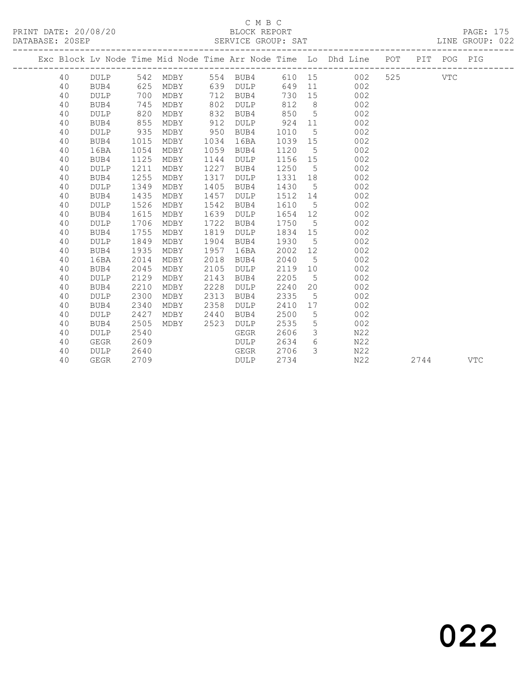### C M B C<br>BLOCK REPORT

| PRINT DATE: 20/08/20<br>DATABASE: 20SEP |    |             |      |          |      | A VALUE SERVICE SANT SERVICE GROUP: SAT |      |                 |                                                                                |     |      |     | PAGE: 175<br>LINE GROUP: 022 |
|-----------------------------------------|----|-------------|------|----------|------|-----------------------------------------|------|-----------------|--------------------------------------------------------------------------------|-----|------|-----|------------------------------|
|                                         |    |             |      |          |      |                                         |      |                 | Exc Block Lv Node Time Mid Node Time Arr Node Time Lo Dhd Line POT PIT POG PIG |     |      |     |                              |
|                                         | 40 | DULP        |      | 542 MDBY |      | 554 BUB4                                |      |                 | 610 15<br>002                                                                  | 525 |      | VTC |                              |
|                                         | 40 | BUB4        | 625  | MDBY     | 639  | DULP                                    | 649  | 11              | 002                                                                            |     |      |     |                              |
|                                         | 40 | <b>DULP</b> | 700  | MDBY     | 712  | BUB4                                    | 730  | 15              | 002                                                                            |     |      |     |                              |
|                                         | 40 | BUB4        | 745  | MDBY     | 802  | <b>DULP</b>                             | 812  | 8 <sup>8</sup>  | 002                                                                            |     |      |     |                              |
|                                         | 40 | <b>DULP</b> | 820  | MDBY     | 832  | BUB4                                    | 850  | $5\overline{)}$ | 002                                                                            |     |      |     |                              |
|                                         | 40 | BUB4        | 855  | MDBY     | 912  | DULP                                    | 924  | 11              | 002                                                                            |     |      |     |                              |
|                                         | 40 | <b>DULP</b> | 935  | MDBY     | 950  | BUB4                                    | 1010 | $5\overline{)}$ | 002                                                                            |     |      |     |                              |
|                                         | 40 | BUB4        | 1015 | MDBY     | 1034 | 16BA                                    | 1039 | 15              | 002                                                                            |     |      |     |                              |
|                                         | 40 | 16BA        | 1054 | MDBY     | 1059 | BUB4                                    | 1120 | $5\overline{)}$ | 002                                                                            |     |      |     |                              |
|                                         | 40 | BUB4        | 1125 | MDBY     | 1144 | <b>DULP</b>                             | 1156 | 15              | 002                                                                            |     |      |     |                              |
|                                         | 40 | DULP        | 1211 | MDBY     | 1227 | BUB4                                    | 1250 | 5               | 002                                                                            |     |      |     |                              |
|                                         | 40 | BUB4        | 1255 | MDBY     | 1317 | <b>DULP</b>                             | 1331 | 18              | 002                                                                            |     |      |     |                              |
|                                         | 40 | DULP        | 1349 | MDBY     | 1405 | BUB4                                    | 1430 | $5^{\circ}$     | 002                                                                            |     |      |     |                              |
|                                         | 40 | BUB4        | 1435 | MDBY     | 1457 | DULP                                    | 1512 | 14              | 002                                                                            |     |      |     |                              |
|                                         | 40 | DULP        | 1526 | MDBY     | 1542 | BUB4                                    | 1610 | $5^{\circ}$     | 002                                                                            |     |      |     |                              |
|                                         | 40 | BUB4        | 1615 | MDBY     | 1639 | <b>DULP</b>                             | 1654 | 12              | 002                                                                            |     |      |     |                              |
|                                         | 40 | DULP        | 1706 | MDBY     | 1722 | BUB4                                    | 1750 | $5^{\circ}$     | 002                                                                            |     |      |     |                              |
|                                         | 40 | BUB4        | 1755 | MDBY     | 1819 | <b>DULP</b>                             | 1834 | 15              | 002                                                                            |     |      |     |                              |
|                                         | 40 | <b>DULP</b> | 1849 | MDBY     | 1904 | BUB4                                    | 1930 | $5^{\circ}$     | 002                                                                            |     |      |     |                              |
|                                         | 40 | BUB4        | 1935 | MDBY     | 1957 | 16BA                                    | 2002 | 12              | 002                                                                            |     |      |     |                              |
|                                         | 40 | 16BA        | 2014 | MDBY     | 2018 | BUB4                                    | 2040 | $5^{\circ}$     | 002                                                                            |     |      |     |                              |
|                                         | 40 | BUB4        | 2045 | MDBY     | 2105 | <b>DULP</b>                             | 2119 | 10              | 002                                                                            |     |      |     |                              |
|                                         | 40 | <b>DULP</b> | 2129 | MDBY     | 2143 | BUB4                                    | 2205 | $5^{\circ}$     | 002                                                                            |     |      |     |                              |
|                                         | 40 | BUB4        | 2210 | MDBY     | 2228 | <b>DULP</b>                             | 2240 | 20              | 002                                                                            |     |      |     |                              |
|                                         | 40 | <b>DULP</b> | 2300 | MDBY     | 2313 | BUB4                                    | 2335 | $5\phantom{.0}$ | 002                                                                            |     |      |     |                              |
|                                         | 40 | BUB4        | 2340 | MDBY     | 2358 | <b>DULP</b>                             | 2410 | 17              | 002                                                                            |     |      |     |                              |
|                                         | 40 | <b>DULP</b> | 2427 | MDBY     | 2440 | BUB4                                    | 2500 | $5\phantom{.0}$ | 002                                                                            |     |      |     |                              |
|                                         | 40 | BUB4        | 2505 | MDBY     | 2523 | <b>DULP</b>                             | 2535 | 5               | 002                                                                            |     |      |     |                              |
|                                         | 40 | DULP        | 2540 |          |      | GEGR                                    | 2606 | $\mathcal{S}$   | N22                                                                            |     |      |     |                              |
|                                         | 40 | <b>GEGR</b> | 2609 |          |      | <b>DULP</b>                             | 2634 | $6\phantom{.}6$ | N22                                                                            |     |      |     |                              |
|                                         | 40 | <b>DULP</b> | 2640 |          |      | GEGR                                    | 2706 | $\mathcal{E}$   | N22                                                                            |     |      |     |                              |
|                                         | 40 | <b>GEGR</b> | 2709 |          |      | <b>DULP</b>                             | 2734 |                 | N22                                                                            |     | 2744 |     | <b>VTC</b>                   |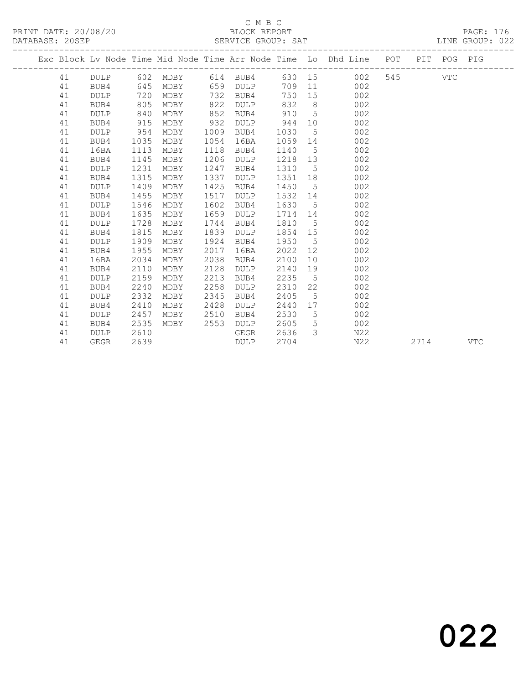|  |    |             |      |          |      |             |         |                 | Exc Block Lv Node Time Mid Node Time Arr Node Time Lo Dhd Line POT |     |      | PIT POG PIG |            |
|--|----|-------------|------|----------|------|-------------|---------|-----------------|--------------------------------------------------------------------|-----|------|-------------|------------|
|  | 41 | DULP        |      | 602 MDBY |      | 614 BUB4    |         |                 | 630 15<br>002                                                      | 545 |      | VTC         |            |
|  | 41 | BUB4        | 645  | MDBY     | 659  | DULP        | 709     |                 | 002<br>11 — 1                                                      |     |      |             |            |
|  | 41 | <b>DULP</b> | 720  | MDBY     | 732  | BUB4        | 750     |                 | 002<br>15                                                          |     |      |             |            |
|  | 41 | BUB4        | 805  | MDBY     | 822  | DULP        | 832     | 8 <sup>8</sup>  | 002                                                                |     |      |             |            |
|  | 41 | <b>DULP</b> | 840  | MDBY     | 852  | BUB4        | 910     | $5^{\circ}$     | 002                                                                |     |      |             |            |
|  | 41 | BUB4        | 915  | MDBY     | 932  | DULP        | 944     | 10              | 002                                                                |     |      |             |            |
|  | 41 | <b>DULP</b> | 954  | MDBY     | 1009 | BUB4        | 1030    | 5               | 002                                                                |     |      |             |            |
|  | 41 | BUB4        | 1035 | MDBY     | 1054 | 16BA        | 1059 14 |                 | 002                                                                |     |      |             |            |
|  | 41 | 16BA        | 1113 | MDBY     | 1118 | BUB4        | 1140    | 5               | 002                                                                |     |      |             |            |
|  | 41 | BUB4        | 1145 | MDBY     | 1206 | DULP        | 1218    | 13              | 002                                                                |     |      |             |            |
|  | 41 | <b>DULP</b> | 1231 | MDBY     | 1247 | BUB4        | 1310    | 5               | 002                                                                |     |      |             |            |
|  | 41 | BUB4        | 1315 | MDBY     | 1337 | DULP        | 1351    | 18              | 002                                                                |     |      |             |            |
|  | 41 | <b>DULP</b> | 1409 | MDBY     | 1425 | BUB4        | 1450    | 5               | 002                                                                |     |      |             |            |
|  | 41 | BUB4        | 1455 | MDBY     | 1517 | DULP        | 1532    |                 | 002<br>14                                                          |     |      |             |            |
|  | 41 | <b>DULP</b> | 1546 | MDBY     | 1602 | BUB4        | 1630    | 5 <sub>1</sub>  | 002                                                                |     |      |             |            |
|  | 41 | BUB4        | 1635 | MDBY     | 1659 | <b>DULP</b> | 1714    | 14              | 002                                                                |     |      |             |            |
|  | 41 | <b>DULP</b> | 1728 | MDBY     | 1744 | BUB4        | 1810    | $5^{\circ}$     | 002                                                                |     |      |             |            |
|  | 41 | BUB4        | 1815 | MDBY     | 1839 | DULP        | 1854    | 15              | 002                                                                |     |      |             |            |
|  | 41 | <b>DULP</b> | 1909 | MDBY     | 1924 | BUB4        | 1950    | $5\phantom{0}$  | 002                                                                |     |      |             |            |
|  | 41 | BUB4        | 1955 | MDBY     | 2017 | 16BA        | 2022    | 12              | 002                                                                |     |      |             |            |
|  | 41 | 16BA        | 2034 | MDBY     | 2038 | BUB4        | 2100    | 10              | 002                                                                |     |      |             |            |
|  | 41 | BUB4        | 2110 | MDBY     | 2128 | DULP        | 2140    | 19              | 002                                                                |     |      |             |            |
|  | 41 | <b>DULP</b> | 2159 | MDBY     | 2213 | BUB4        | 2235    | $5^{\circ}$     | 002                                                                |     |      |             |            |
|  | 41 | BUB4        | 2240 | MDBY     | 2258 | <b>DULP</b> | 2310    | 22              | 002                                                                |     |      |             |            |
|  | 41 | <b>DULP</b> | 2332 | MDBY     | 2345 | BUB4        | 2405    | 5               | 002                                                                |     |      |             |            |
|  | 41 | BUB4        | 2410 | MDBY     | 2428 | <b>DULP</b> | 2440    | 17              | 002                                                                |     |      |             |            |
|  | 41 | <b>DULP</b> | 2457 | MDBY     | 2510 | BUB4        | 2530    | $5\overline{)}$ | 002                                                                |     |      |             |            |
|  | 41 | BUB4        | 2535 | MDBY     | 2553 | DULP        | 2605    | 5               | 002                                                                |     |      |             |            |
|  | 41 | DULP        | 2610 |          |      | GEGR        | 2636    | $\mathcal{E}$   | N22                                                                |     |      |             |            |
|  | 41 | GEGR        | 2639 |          |      | DULP        | 2704    |                 | N22                                                                |     | 2714 |             | <b>VTC</b> |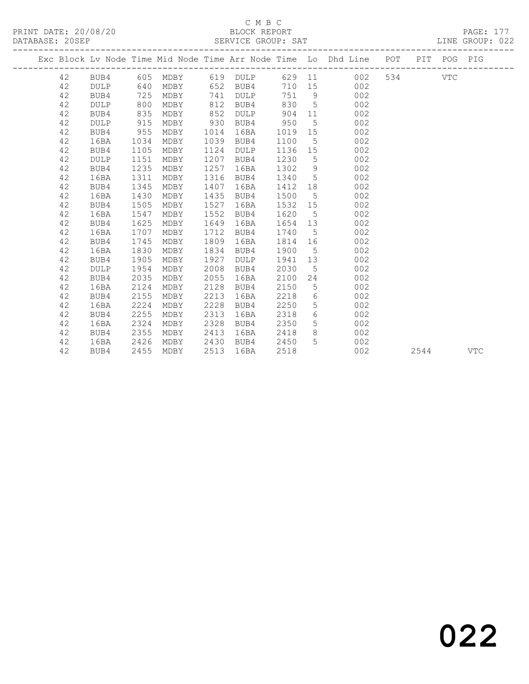#### C M B C<br>BLOCK REPORT SERVICE GROUP: SAT

-------------------------------------------------------------------------------------------------

PRINT DATE: 20/08/20 BLOCK REPORT PAGE: 177

|  |    |             |      |      |      |                        |         |                 | Exc Block Lv Node Time Mid Node Time Arr Node Time Lo Dhd Line | POT   | PIT  | POG PIG |            |
|--|----|-------------|------|------|------|------------------------|---------|-----------------|----------------------------------------------------------------|-------|------|---------|------------|
|  | 42 |             |      |      |      | BUB4 605 MDBY 619 DULP |         |                 | 629 11<br>002                                                  | 534 7 |      | VTC     |            |
|  | 42 | <b>DULP</b> | 640  | MDBY |      | 652 BUB4               |         |                 | 710 15<br>002                                                  |       |      |         |            |
|  | 42 | BUB4        | 725  | MDBY | 741  | DULP                   | 751 9   |                 | 002                                                            |       |      |         |            |
|  | 42 | <b>DULP</b> | 800  | MDBY | 812  | BUB4                   | 830     | $5\overline{)}$ | 002                                                            |       |      |         |            |
|  | 42 | BUB4        | 835  | MDBY | 852  | DULP                   | 904     | 11              | 002                                                            |       |      |         |            |
|  | 42 | <b>DULP</b> | 915  | MDBY | 930  | BUB4                   | 950     | 5 <sup>5</sup>  | 002                                                            |       |      |         |            |
|  | 42 | BUB4        | 955  | MDBY | 1014 | 16BA                   | 1019 15 |                 | 002                                                            |       |      |         |            |
|  | 42 | 16BA        | 1034 | MDBY | 1039 | BUB4                   | 1100    | $5\degree$      | 002                                                            |       |      |         |            |
|  | 42 | BUB4        | 1105 | MDBY | 1124 | DULP                   | 1136 15 |                 | 002                                                            |       |      |         |            |
|  | 42 | DULP        | 1151 | MDBY | 1207 | BUB4                   | 1230    | $5^{\circ}$     | 002                                                            |       |      |         |            |
|  | 42 | BUB4        | 1235 | MDBY | 1257 | 16BA                   | 1302    | 9               | 002                                                            |       |      |         |            |
|  | 42 | 16BA        | 1311 | MDBY | 1316 | BUB4                   | 1340    | $5^{\circ}$     | 002                                                            |       |      |         |            |
|  | 42 | BUB4        | 1345 | MDBY | 1407 | 16BA                   | 1412    | 18              | 002                                                            |       |      |         |            |
|  | 42 | 16BA        | 1430 | MDBY | 1435 | BUB4                   | 1500    | $5^{\circ}$     | 002                                                            |       |      |         |            |
|  | 42 | BUB4        | 1505 | MDBY | 1527 | 16BA                   | 1532 15 |                 | 002                                                            |       |      |         |            |
|  | 42 | 16BA        | 1547 | MDBY | 1552 | BUB4                   | 1620 5  |                 | 002                                                            |       |      |         |            |
|  | 42 | BUB4        | 1625 | MDBY | 1649 | 16BA                   | 1654 13 |                 | 002                                                            |       |      |         |            |
|  | 42 | 16BA        | 1707 | MDBY | 1712 | BUB4                   | 1740    |                 | $5^{\circ}$<br>002                                             |       |      |         |            |
|  | 42 | BUB4        | 1745 | MDBY | 1809 | 16BA                   | 1814    |                 | 002<br>16                                                      |       |      |         |            |
|  | 42 | 16BA        | 1830 | MDBY | 1834 | BUB4                   | 1900    | $5\overline{)}$ | 002                                                            |       |      |         |            |
|  | 42 | BUB4        | 1905 | MDBY | 1927 | DULP                   | 1941    | 13              | 002                                                            |       |      |         |            |
|  | 42 | <b>DULP</b> | 1954 | MDBY | 2008 | BUB4                   | 2030    | 5 <sup>5</sup>  | 002                                                            |       |      |         |            |
|  | 42 | BUB4        | 2035 | MDBY | 2055 | 16BA                   | 2100    |                 | 002<br>24                                                      |       |      |         |            |
|  | 42 | 16BA        | 2124 | MDBY | 2128 | BUB4                   | 2150    | $5\overline{)}$ | 002                                                            |       |      |         |            |
|  | 42 | BUB4        | 2155 | MDBY | 2213 | 16BA                   | 2218    | 6               | 002                                                            |       |      |         |            |
|  | 42 | 16BA        | 2224 | MDBY | 2228 | BUB4                   | 2250    | 5 <sup>5</sup>  | 002                                                            |       |      |         |            |
|  | 42 | BUB4        | 2255 | MDBY | 2313 | 16BA                   | 2318    | 6               | 002                                                            |       |      |         |            |
|  | 42 | 16BA        | 2324 | MDBY | 2328 | BUB4                   | 2350    | 5 <sup>5</sup>  | 002                                                            |       |      |         |            |
|  | 42 | BUB4        | 2355 | MDBY | 2413 | 16BA                   | 2418    | 8               | 002                                                            |       |      |         |            |
|  | 42 | 16BA        | 2426 | MDBY | 2430 | BUB4                   | 2450    | 5               | 002                                                            |       |      |         |            |
|  | 42 | BUB4        | 2455 | MDBY | 2513 | 16BA                   | 2518    |                 | 002                                                            |       | 2544 |         | <b>VTC</b> |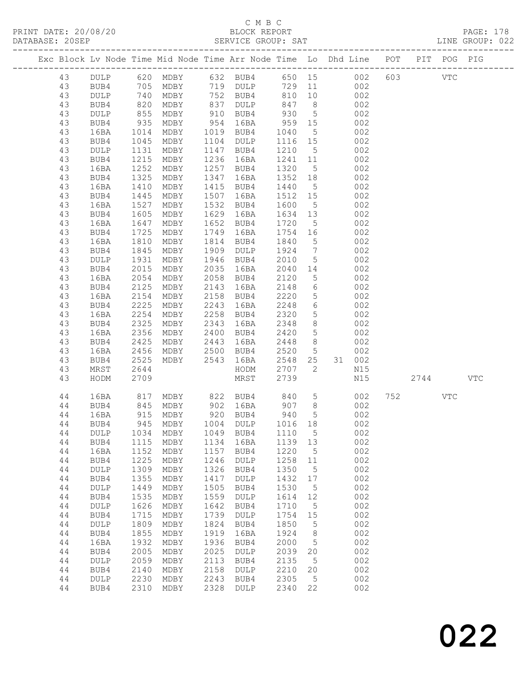|          |              |                       |                                    |              |                      |                  |                                  | Exc Block Lv Node Time Mid Node Time Arr Node Time Lo Dhd Line POT                                          |         | PIT POG PIG |            |
|----------|--------------|-----------------------|------------------------------------|--------------|----------------------|------------------|----------------------------------|-------------------------------------------------------------------------------------------------------------|---------|-------------|------------|
| 43       |              |                       |                                    |              |                      |                  |                                  | DULP 620 MDBY 632 BUB4 650 15 002<br>BUB4 705 MDBY 719 DULP 729 11 002<br>DULP 740 MDBY 752 BUB4 810 10 002 | 603 VTC |             |            |
| 43       |              |                       |                                    |              |                      |                  |                                  |                                                                                                             |         |             |            |
| 43       |              |                       |                                    |              |                      |                  |                                  |                                                                                                             |         |             |            |
| 43       | BUB4         | 820                   | MDBY                               |              | 837 DULP             | 847 8            |                                  | 002                                                                                                         |         |             |            |
| 43       | DULP         | 855<br>935            | MDBY                               |              | 910 BUB4<br>954 16BA | 930              | $5\overline{)}$                  | 002                                                                                                         |         |             |            |
| 43       | BUB4         |                       | MDBY                               |              |                      | 959 15           |                                  | 002                                                                                                         |         |             |            |
| 43       | 16BA         | 1014                  | MDBY                               |              | 1019 BUB4            | 1040             | 5 <sup>5</sup>                   | 002                                                                                                         |         |             |            |
| 43       | BUB4         | 1045                  | MDBY                               |              | 1104 DULP            | 1116 15          |                                  | 002                                                                                                         |         |             |            |
| 43       | DULP         | 1131                  | MDBY                               |              | 1147 BUB4            | 1210             | $5^{\circ}$                      | 002                                                                                                         |         |             |            |
| 43       | BUB4         | 1215                  | MDBY                               |              | 1236 16BA            | 1241 11          |                                  | 002                                                                                                         |         |             |            |
| 43       | 16BA         | 1252                  | MDBY                               |              | 1257 BUB4            | 1320             | $5\overline{)}$                  | 002                                                                                                         |         |             |            |
| 43       | BUB4         | 1325                  | MDBY                               |              | 1347 16BA            | 1352 18          |                                  | 002                                                                                                         |         |             |            |
| 43       | 16BA         | 1410                  | MDBY                               |              | 1415 BUB4            | 1440             | $5\overline{)}$                  | 002                                                                                                         |         |             |            |
| 43       | BUB4         | 1445                  | MDBY                               |              | 1507 16BA            | 1512 15          |                                  | 002                                                                                                         |         |             |            |
| 43       | 16BA         | 1527                  | MDBY                               |              | 1532 BUB4            | 1600             | $5\overline{)}$                  | 002                                                                                                         |         |             |            |
| 43       | BUB4         | 1605                  | MDBY                               | 1629         | 16BA                 | 1634 13          |                                  | 002                                                                                                         |         |             |            |
| 43       | 16BA         | 1647                  | MDBY                               |              | 1652 BUB4            | 1720             | $5\overline{)}$                  | 002                                                                                                         |         |             |            |
| 43       | BUB4         |                       | MDBY                               | 1749         | 16BA                 | 1754 16          |                                  | 002                                                                                                         |         |             |            |
| 43       | 16BA         | $\frac{1}{2}$<br>1810 | MDBY                               |              | 1814 BUB4            | 1840             | $5\overline{)}$                  | 002                                                                                                         |         |             |            |
| 43       | BUB4         | 1845                  | MDBY                               | 1909         | DULP                 | 1924             | $\overline{7}$                   | 002                                                                                                         |         |             |            |
| 43       | DULP         | 1931                  | MDBY                               | 1946         | BUB4                 | 2010             | $5\overline{)}$                  | 002                                                                                                         |         |             |            |
| 43       | BUB4         | 2015                  | MDBY                               | 2035         | 16BA                 | 2040 14          |                                  | 002                                                                                                         |         |             |            |
| 43       | 16BA         | 2054                  | MDBY                               |              | 2058 BUB4            | 2120             | 5 <sup>5</sup>                   | 002<br>002                                                                                                  |         |             |            |
| 43       | BUB4         | 2125                  | MDBY                               | 2143         | 16BA                 | 2148             | $6\overline{6}$                  |                                                                                                             |         |             |            |
| 43       | 16BA         | 2154                  | MDBY                               |              | 2158 BUB4            | 2220             | $5\overline{)}$                  | 002                                                                                                         |         |             |            |
| 43       | BUB4         | 2225                  | MDBY                               | 2243         | 16BA                 | 2248             | $6\overline{6}$                  | 002                                                                                                         |         |             |            |
| 43       | 16BA         | 2254                  | MDBY                               |              | $2258$ BUB4          | 2320             | 5 <sup>5</sup>                   | 002<br>002                                                                                                  |         |             |            |
| 43       | BUB4         | 2325                  | MDBY                               | 2343         | 16BA                 | 2348             | 8 <sup>8</sup>                   |                                                                                                             |         |             |            |
| 43       | 16BA         | 2356                  | MDBY                               |              | 2400 BUB4            | 2420<br>2448     | 5 <sup>5</sup><br>8 <sup>8</sup> | 002<br>002                                                                                                  |         |             |            |
| 43<br>43 | BUB4<br>16BA | 2425<br>2456          | MDBY 2443 16BA<br>MDBY 2500 BUB4   |              |                      | 2520 5           |                                  | 002                                                                                                         |         |             |            |
| 43       | BUB4         | 2525                  | MDBY                               | 2543         | 16BA                 | 2548 25          |                                  | 31 002                                                                                                      |         |             |            |
| 43       | MRST         | 2644                  |                                    |              | HODM                 | 2707             | $\overline{2}$                   | N15                                                                                                         |         |             |            |
| 43       | HODM         | 2709                  |                                    |              | MRST                 | 2739             |                                  | N15                                                                                                         | 2744    |             | <b>VTC</b> |
|          |              |                       |                                    |              |                      |                  |                                  |                                                                                                             |         |             |            |
| 44       | 16BA         | 817                   |                                    |              | MDBY 822 BUB4 840 5  |                  |                                  | 002                                                                                                         | 752 VTC |             |            |
| 44       | BUB4         | 845                   |                                    |              | MDBY 902 16BA 907 8  |                  |                                  | 002                                                                                                         |         |             |            |
| 44       | 16BA         | 915                   | MDBY                               |              | 920 BUB4             | 940 5<br>1016 18 | $5^{\circ}$                      | 002                                                                                                         |         |             |            |
| 44       | BUB4         |                       | 945 MDBY                           |              | 1004 DULP            |                  |                                  | 002                                                                                                         |         |             |            |
|          |              |                       | 44 DULP 1034 MDBY 1049 BUB4 1110 5 |              |                      |                  |                                  | 002                                                                                                         |         |             |            |
| 44       | BUB4         | 1115                  | MDBY                               | 1134         | 16BA                 | 1139             | 13                               | 002                                                                                                         |         |             |            |
| 44       | 16BA         | 1152                  | MDBY                               | 1157         | BUB4                 | 1220             | 5                                | 002                                                                                                         |         |             |            |
| 44       | BUB4         | 1225                  | MDBY                               | 1246         | DULP                 | 1258             | 11                               | 002                                                                                                         |         |             |            |
| 44       | DULP         | 1309                  | MDBY                               | 1326         | BUB4                 | 1350             | $\overline{5}$                   | 002                                                                                                         |         |             |            |
| 44       | BUB4         | 1355                  | MDBY                               | 1417         | DULP                 | 1432             | 17                               | 002                                                                                                         |         |             |            |
| 44       | DULP         | 1449                  | MDBY                               | 1505         | BUB4                 | 1530             | 5                                | 002                                                                                                         |         |             |            |
| 44       | BUB4         | 1535                  | MDBY                               | 1559         | $\texttt{DULP}$      | 1614             | 12                               | 002                                                                                                         |         |             |            |
| 44       | DULP         | 1626                  | MDBY                               | 1642         | BUB4                 | 1710             | $5\phantom{.0}$                  | 002                                                                                                         |         |             |            |
| 44       | BUB4         | 1715                  | MDBY                               | 1739         | DULP                 | 1754             | 15                               | 002                                                                                                         |         |             |            |
| 44       | DULP         | 1809                  | MDBY                               | 1824         | BUB4                 | 1850             | 5                                | 002                                                                                                         |         |             |            |
| 44       | BUB4         | 1855                  | MDBY                               | 1919         | 16BA                 | 1924             | 8                                | 002                                                                                                         |         |             |            |
| 44       | 16BA         | 1932                  | MDBY                               | 1936         | BUB4                 | 2000             | $5\phantom{.0}$                  | 002                                                                                                         |         |             |            |
| 44       | BUB4         | 2005                  | MDBY                               | 2025         | DULP                 | 2039             | 20                               | 002                                                                                                         |         |             |            |
| 44       | DULP         | 2059                  | MDBY                               | 2113         | BUB4                 | 2135             | $-5$                             | 002                                                                                                         |         |             |            |
| 44       | BUB4         | 2140                  | MDBY                               | 2158         | $\texttt{DULP}$      | 2210             | 20                               | 002                                                                                                         |         |             |            |
| 44<br>44 | DULP         | 2230<br>2310          | MDBY                               | 2243<br>2328 | BUB4                 | 2305<br>2340     | $5\overline{)}$<br>22            | 002<br>002                                                                                                  |         |             |            |
|          | BUB4         |                       | MDBY                               |              | DULP                 |                  |                                  |                                                                                                             |         |             |            |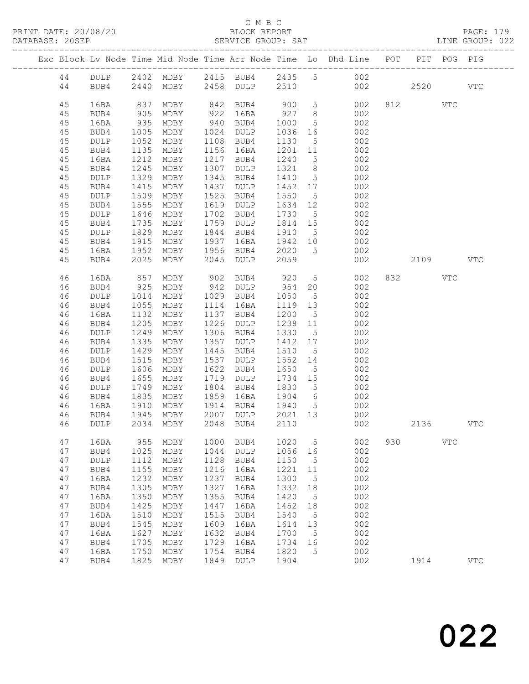|  |          |              |                  |                          |              |                 |                 |                 | Exc Block Lv Node Time Mid Node Time Arr Node Time Lo Dhd Line POT |     | PIT      | POG        | PIG          |
|--|----------|--------------|------------------|--------------------------|--------------|-----------------|-----------------|-----------------|--------------------------------------------------------------------|-----|----------|------------|--------------|
|  | 44       | DULP         |                  |                          |              |                 |                 |                 | 2402 MDBY 2415 BUB4 2435 5 002                                     |     |          |            |              |
|  | 44       | BUB4         |                  | 2440 MDBY 2458 DULP 2510 |              |                 |                 |                 | 002                                                                |     | 2520     |            | <b>VTC</b>   |
|  |          |              |                  |                          |              |                 |                 |                 |                                                                    |     |          |            |              |
|  | 45       | 16BA         | 837              | MDBY                     |              | 842 BUB4 900 5  |                 |                 | 002                                                                |     | 812      | VTC        |              |
|  | 45       | BUB4         | 905              | MDBY                     | 922          | 16BA            | 927             | 8 <sup>8</sup>  | 002                                                                |     |          |            |              |
|  | 45       | 16BA         | 935              | MDBY                     |              | 940 BUB4        | 1000            | $5\overline{)}$ | 002                                                                |     |          |            |              |
|  | 45       | BUB4         | 1005             | MDBY                     | 1024         | DULP            | 1036            | 16              | 002                                                                |     |          |            |              |
|  | 45       | DULP         | 1052             | MDBY                     |              | 1108 BUB4       | 1130            | 5 <sup>5</sup>  | 002                                                                |     |          |            |              |
|  | 45       | BUB4         | 1135             | MDBY                     |              | 1156 16BA       | 1201            | 11              | 002                                                                |     |          |            |              |
|  | 45       | 16BA         | 1212             | MDBY                     | 1217         | BUB4            | 1240            | $5\overline{)}$ | 002                                                                |     |          |            |              |
|  | 45       | BUB4         | 1245             | MDBY                     | 1307         | DULP            | 1321            | 8 <sup>8</sup>  | 002                                                                |     |          |            |              |
|  | 45       | DULP         | 1329             | MDBY                     | 1345         | BUB4            | 1410            | $5\overline{)}$ | 002                                                                |     |          |            |              |
|  | 45       | BUB4         | 1415             | MDBY                     | 1437         | DULP            | 1452 17         |                 | 002                                                                |     |          |            |              |
|  | 45       | DULP         | 1509             | MDBY                     | 1525         | BUB4            | 1550            | $5\overline{)}$ | 002                                                                |     |          |            |              |
|  | 45       | BUB4         | 1555             | MDBY                     | 1619         | DULP            | 1634 12         |                 | 002                                                                |     |          |            |              |
|  | 45       | DULP         | 1646             | MDBY                     | 1702         | BUB4            | 1730            | 5 <sup>5</sup>  | 002                                                                |     |          |            |              |
|  | 45       | BUB4         | 1735             | MDBY                     |              | 1759 DULP       | 1814 15         |                 | 002                                                                |     |          |            |              |
|  | 45       | DULP         | 1829             | MDBY                     | 1844         | BUB4            | 1910            | $5^{\circ}$     | 002                                                                |     |          |            |              |
|  | 45       | BUB4         | 1915             | MDBY                     | 1937         | 16BA            | 1942 10         |                 | 002                                                                |     |          |            |              |
|  | 45       | 16BA         | 1952             | MDBY                     | 1956         | BUB4            | 2020            | $5\overline{)}$ | 002                                                                |     |          |            |              |
|  | 45       | BUB4         | 2025             | MDBY                     | 2045         | DULP            | 2059            |                 | 002                                                                |     | 2109 VTC |            |              |
|  | 46       | 16BA         | 857              | MDBY                     |              | 902 BUB4        | 920<br>954      | 5 <sup>5</sup>  | 002                                                                |     | 832 VTC  |            |              |
|  | 46       | BUB4         | 925              | MDBY                     |              | $942$ DULP      |                 | 20              | 002                                                                |     |          |            |              |
|  | 46       | DULP         | 1014             | MDBY                     |              | 1029 BUB4       | 1050            | $5^{\circ}$     | 002                                                                |     |          |            |              |
|  | 46       | BUB4         | 1055             | MDBY                     | 1114         | 16BA            | 1119            | 13              | 002                                                                |     |          |            |              |
|  | 46       | 16BA         | 1132             | MDBY                     |              | 1137 BUB4       | 1200            | $5\overline{)}$ | 002                                                                |     |          |            |              |
|  | 46       | BUB4         | 1205             | MDBY                     | 1226         | DULP            | 1238 11         |                 | 002                                                                |     |          |            |              |
|  | 46       | DULP         | 1249             | MDBY                     | 1306         | BUB4            | 1330            | $5\overline{)}$ | 002                                                                |     |          |            |              |
|  | 46       | BUB4         | 1335             | MDBY                     | 1357         | DULP            | 1412            | 17              | 002                                                                |     |          |            |              |
|  | 46       | DULP         | 1429             | MDBY                     | 1445         | BUB4            | 1510            | $5\overline{)}$ | 002                                                                |     |          |            |              |
|  | 46       | BUB4         | $\frac{1}{1515}$ | MDBY                     | 1537         | DULP            | 1552            | 14              | 002                                                                |     |          |            |              |
|  | 46       | DULP         | 1606             | MDBY                     | 1622         | BUB4            | 1650            | $5\overline{)}$ | 002                                                                |     |          |            |              |
|  | 46       | BUB4         | 1655<br>1749     | MDBY                     | 1719<br>1804 | DULP            | 1734 15<br>1830 |                 | 002                                                                |     |          |            |              |
|  | 46<br>46 | DULP<br>BUB4 | 1835             | MDBY<br>MDBY             | 1859         | BUB4<br>16BA    | 1904 6          | $5\overline{)}$ | 002<br>002                                                         |     |          |            |              |
|  | 46       | 16BA         | 1910             | MDBY                     | 1914         | BUB4            | 1940            | $5^{\circ}$     | 002                                                                |     |          |            |              |
|  | 46       | BUB4         | 1945             | MDBY                     | 2007         | DULP            | 2021 13         |                 | 002                                                                |     |          |            |              |
|  | 46       | <b>DULP</b>  |                  | 2034 MDBY                |              | 2048 BUB4       | 2110            |                 | 002                                                                |     | 2136     |            | <b>VTC</b>   |
|  |          |              |                  |                          |              |                 |                 |                 |                                                                    |     |          |            |              |
|  | 47       | 16BA         | 955              | MDBY                     | 1000         | BUB4            | 1020            | 5               | 002                                                                | 930 |          | <b>VTC</b> |              |
|  | 47       | BUB4         | 1025             | MDBY                     | 1044         | $\texttt{DULP}$ | 1056            | 16              | 002                                                                |     |          |            |              |
|  | 47       | DULP         | 1112             | MDBY                     | 1128         | BUB4            | 1150            | 5               | 002                                                                |     |          |            |              |
|  | 47       | BUB4         | 1155             | MDBY                     | 1216         | 16BA            | 1221            | 11              | 002                                                                |     |          |            |              |
|  | 47       | 16BA         | 1232             | MDBY                     | 1237         | BUB4            | 1300            | $\mathsf S$     | 002                                                                |     |          |            |              |
|  | 47       | BUB4         | 1305             | MDBY                     | 1327         | 16BA            | 1332            | 18              | 002                                                                |     |          |            |              |
|  | 47       | 16BA         | 1350             | MDBY                     | 1355         | BUB4            | 1420            | 5               | 002                                                                |     |          |            |              |
|  | 47       | BUB4         | 1425             | MDBY                     | 1447         | 16BA            | 1452            | 18              | 002                                                                |     |          |            |              |
|  | 47       | 16BA         | 1510             | MDBY                     | 1515         | BUB4            | 1540            | 5               | 002                                                                |     |          |            |              |
|  | 47       | BUB4         | 1545             | MDBY                     | 1609         | 16BA            | 1614            | 13              | 002                                                                |     |          |            |              |
|  | 47       | 16BA         | 1627             | MDBY                     | 1632         | BUB4            | 1700            | 5               | 002<br>002                                                         |     |          |            |              |
|  | 47<br>47 | BUB4<br>16BA | 1705<br>1750     | MDBY<br>MDBY             | 1729<br>1754 | 16BA<br>BUB4    | 1734<br>1820    | 16<br>5         | 002                                                                |     |          |            |              |
|  | 47       | BUB4         | 1825             | MDBY                     | 1849         | $\texttt{DULP}$ | 1904            |                 | 002                                                                |     | 1914     |            | $_{\rm VTC}$ |
|  |          |              |                  |                          |              |                 |                 |                 |                                                                    |     |          |            |              |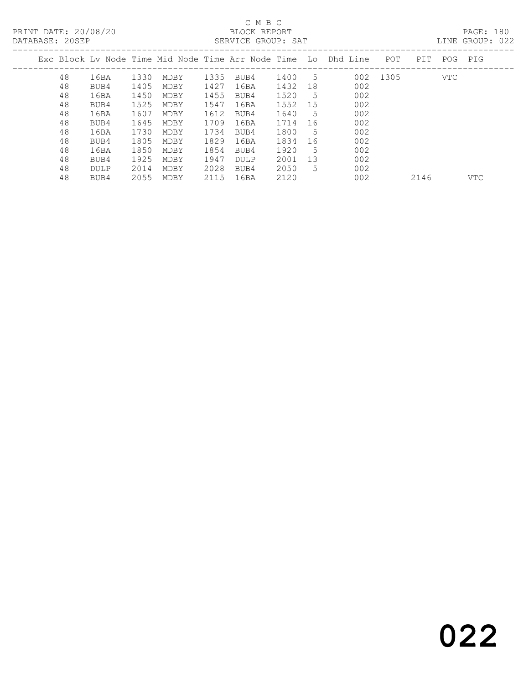#### C M B C<br>BLOCK REPORT DATABASE: 20SEP SERVICE GROUP: SAT LINE GROUP: 022

| DAIADAOL. ZUJLE |    |             |      |      |      | DERVICE GROUP. DAI |      |     |                                                                      |          |     |         | LIND URVUE. UZZ |
|-----------------|----|-------------|------|------|------|--------------------|------|-----|----------------------------------------------------------------------|----------|-----|---------|-----------------|
|                 |    |             |      |      |      |                    |      |     | Exc Block Lv Node Time Mid Node Time Arr Node Time  Lo Dhd Line  POT |          | PIT | POG PIG |                 |
|                 | 48 | 16BA        | 1330 | MDBY | 1335 | BUB4               | 1400 | - 5 |                                                                      | 002 1305 |     | VTC     |                 |
|                 | 48 | BUB4        | 1405 | MDBY | 1427 | 16BA               | 1432 | 18  | 002                                                                  |          |     |         |                 |
|                 | 48 | 16BA        | 1450 | MDBY | 1455 | BUB4               | 1520 | - 5 | 002                                                                  |          |     |         |                 |
|                 | 48 | BUB4        | 1525 | MDBY | 1547 | 16BA               | 1552 | 15  | 002                                                                  |          |     |         |                 |
|                 | 48 | 16BA        | 1607 | MDBY | 1612 | BUB4               | 1640 | .5  | 002                                                                  |          |     |         |                 |
|                 | 48 | BUB4        | 1645 | MDBY | 1709 | 16BA               | 1714 | -16 | 002                                                                  |          |     |         |                 |
|                 | 48 | 16BA        | 1730 | MDBY | 1734 | BUB4               | 1800 | -5  | 002                                                                  |          |     |         |                 |
|                 | 48 | BUB4        | 1805 | MDBY | 1829 | 16BA               | 1834 | -16 | 002                                                                  |          |     |         |                 |
|                 | 48 | 16BA        | 1850 | MDBY | 1854 | BUB4               | 1920 | -5  | 002                                                                  |          |     |         |                 |
|                 | 48 | BUB4        | 1925 | MDBY | 1947 | DULP               | 2001 | 13  | 002                                                                  |          |     |         |                 |
|                 | 48 | <b>DULP</b> | 2014 | MDBY | 2028 | BUB4               | 2050 | 5.  | 002                                                                  |          |     |         |                 |
|                 |    |             |      |      |      |                    |      |     |                                                                      |          |     |         |                 |

48 BUB4 2055 MDBY 2115 16BA 2120 002 2146 VTC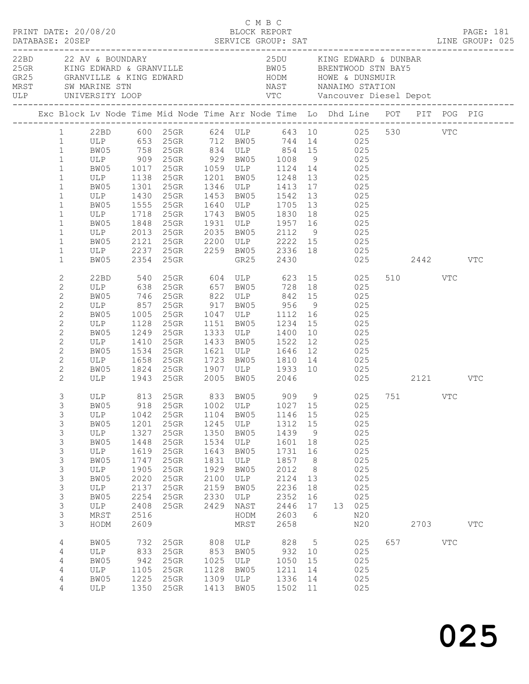| PRINT DATE: 20/08/20<br>DATABASE: 20SEP                                                                                                                                                            |                                                                                                |                                                                                                      |                                                                                                                                                                                                                                                                                                                                              |                                                                                      | C M B C                                                                                         | BLOCK REPORT                                                                                            |                                                                                      |                                     |                                                                                            |                         | <b>PAGE: 181</b> |  |
|----------------------------------------------------------------------------------------------------------------------------------------------------------------------------------------------------|------------------------------------------------------------------------------------------------|------------------------------------------------------------------------------------------------------|----------------------------------------------------------------------------------------------------------------------------------------------------------------------------------------------------------------------------------------------------------------------------------------------------------------------------------------------|--------------------------------------------------------------------------------------|-------------------------------------------------------------------------------------------------|---------------------------------------------------------------------------------------------------------|--------------------------------------------------------------------------------------|-------------------------------------|--------------------------------------------------------------------------------------------|-------------------------|------------------|--|
|                                                                                                                                                                                                    | 22BD 22 AV & BOUNDARY                                                                          |                                                                                                      | XXXV VOORGEN VIC CONSULTER AND A VIRGUES OF THE SERVE TO THE SERVE OF THE SERVE OF THE SERVE OF THE SERVE OF THE SERVE OF THE SERVE OF THE SERVE OF THE SERVE OF THE SERVE OF THE SERVE OF THE SERVE OF THE SERVE OF THE SERVE                                                                                                               |                                                                                      |                                                                                                 | 25DU KING EDWARD & DUNBAR                                                                               |                                                                                      |                                     |                                                                                            |                         |                  |  |
|                                                                                                                                                                                                    |                                                                                                |                                                                                                      | Exc Block Lv Node Time Mid Node Time Arr Node Time Lo Dhd Line POT PIT POG PIG                                                                                                                                                                                                                                                               |                                                                                      |                                                                                                 |                                                                                                         |                                                                                      |                                     |                                                                                            |                         |                  |  |
| $\mathbf{1}$<br>$\mathbf{1}$<br>$\mathbf{1}$<br>$\mathbf{1}$<br>$\mathbf{1}$<br>$\mathbf{1}$<br>$\mathbf{1}$<br>$\mathbf{1}$<br>$\mathbf{1}$                                                       | ULP 1718 25GR                                                                                  |                                                                                                      | 1 22BD 600 25GR 624 ULP 643 10 025 530 VTC<br>1 ULP 653 25GR 712 BW05 744 14 025<br>99 5 758 758 758 834 ULP 854 15<br>ULP 909 25GR 929 BW05 1008 9 025<br>25GR 1059 ULP 1124 14 025<br>ULP 1138 25GR 1201 BW05 1248 13<br>BW05 1301 25GR 1346 ULP 1413 17 025<br>ULP 1430 25GR 1453 BW05 1542 13 025<br>BW05 1555 25GR 1640 ULP 1705 13 025 |                                                                                      |                                                                                                 | 1743 BW05 1830 18                                                                                       |                                                                                      | 025<br>025                          |                                                                                            |                         |                  |  |
| $\mathbf{1}$<br>$1\,$<br>$\mathbf{1}$<br>$\mathbf{1}$                                                                                                                                              | BW05                                                                                           |                                                                                                      | BW05 1848 25GR 1931 ULP 1957 16 025<br>ULP 2013 25GR 2035 BW05 2112 9 025<br>BW05 2121 25GR 2200 ULP 2222 15 025<br>ULP 2237 25GR 2259 BW05 2336 18 025<br>2354 25GR                                                                                                                                                                         |                                                                                      |                                                                                                 | GR25 2430                                                                                               |                                                                                      |                                     |                                                                                            | 025 2442 VTC            |                  |  |
| $\overline{c}$<br>$\mathbf{2}$<br>$\overline{c}$<br>$\mathbf{2}$<br>$\mathbf{2}$<br>$\mathbf{2}$<br>$\mathbf{2}$<br>$\mathbf{2}$<br>$\mathbf{2}$<br>$\mathbf{2}$<br>$\mathbf{2}$<br>$\overline{2}$ | ULP<br>BW05<br>ULP<br>BW05<br>ULP<br>BW05 1534 25GR<br>ULP 1658 25GR                           | 1410                                                                                                 | 22BD 540 25GR 604 ULP 623 15 025<br>ULP 638 25GR 657 BW05 728 18 025<br>BW05 746 25GR 822 ULP 842 15<br>1249  25GR  1333  ULP  1400  10<br>25GR 1433 BW05 1522 12 025<br>25GR 1621 ULP 1646 12 025<br>25GR 1723 BW05 1810 14 025<br>BW05 1824 25GR 1907 ULP 1933 10 025<br>ULP 1943 25GR 2005 BW05 2046                                      |                                                                                      |                                                                                                 |                                                                                                         |                                                                                      | 025<br>025<br>$025$<br>$025$<br>025 |                                                                                            | 510 VTC<br>025 2121 VTC |                  |  |
| 3<br>3<br>3<br>3<br>3<br>3<br>3<br>3<br>3<br>3<br>3<br>3<br>3<br>3<br>3                                                                                                                            | ULP<br>BW05<br>ULP<br>BW05<br>ULP<br>BW05<br>ULP<br>BW05<br>ULP<br>BW05<br>ULP<br>MRST<br>HODM | 1042<br>1201<br>1327<br>1448<br>1619<br>1747<br>1905<br>2020<br>2137<br>2254<br>2408<br>2516<br>2609 | ULP 813 25GR 833 BW05 909 9 025 751 VTC<br>BW05 918 25GR 1002 ULP 1027 15 025<br>25GR<br>25GR<br>25GR<br>25GR<br>25GR<br>25GR<br>$25$ GR<br>25GR<br>25GR<br>25GR<br>25GR                                                                                                                                                                     | 1104<br>1245<br>1350<br>1534<br>1643<br>1831<br>1929<br>2100<br>2159<br>2330<br>2429 | BW05<br>ULP<br>BW05<br>ULP<br>BW05<br>ULP<br>BW05<br>ULP<br>BW05<br>ULP<br>NAST<br>HODM<br>MRST | 1146 15<br>1312<br>1439<br>1601<br>1731<br>1857<br>2012<br>2124<br>2236<br>2352<br>2446<br>2603<br>2658 | 15<br>9<br>18<br>16<br>8 <sup>8</sup><br>8 <sup>8</sup><br>13<br>18<br>16<br>17<br>6 |                                     | 025<br>025<br>025<br>025<br>025<br>025<br>025<br>025<br>025<br>025<br>13 025<br>N20<br>N20 | 2703                    | $_{\rm VTC}$     |  |
| $\overline{4}$<br>4<br>4<br>4<br>4<br>4                                                                                                                                                            | BW05<br>ULP<br>BW05<br>ULP<br>BW05<br>ULP                                                      | 732<br>833<br>942<br>1105<br>1225                                                                    | 25GR<br>25GR<br>25GR<br>25GR<br>25GR<br>1350 25GR                                                                                                                                                                                                                                                                                            | 808<br>853<br>1025<br>1128<br>1309<br>1413                                           | ULP<br>BW05<br>ULP<br>BW05<br>ULP<br>BW05                                                       | 828<br>932<br>1050<br>1211<br>1336<br>1502 11                                                           | $5\overline{)}$<br>10<br>15<br>14<br>14                                              |                                     | 025<br>025<br>025<br>025<br>025<br>025                                                     | 657 VTC                 |                  |  |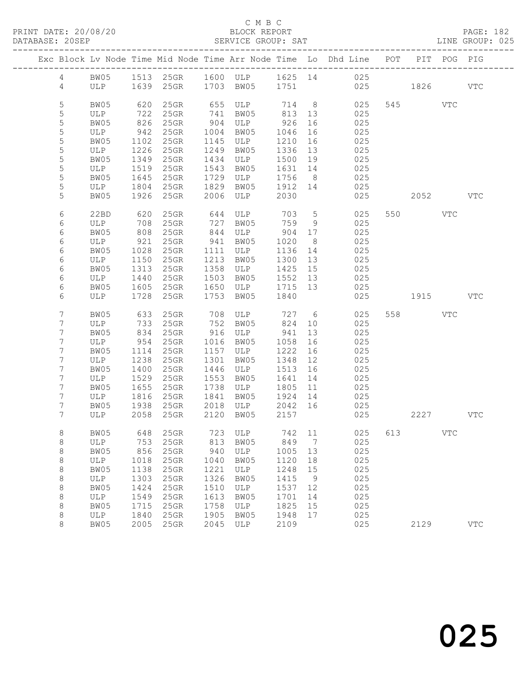| PRINT DATE: 20/08/20<br>DATABASE: 20SEP |                                                  |              |                       |      | C M B C<br>BLOCK REPORT                                                                               |                      |                 | SERVICE GROUP: SAT LINE GROUP: 025                                             |     |          |              | PAGE: 182    |
|-----------------------------------------|--------------------------------------------------|--------------|-----------------------|------|-------------------------------------------------------------------------------------------------------|----------------------|-----------------|--------------------------------------------------------------------------------|-----|----------|--------------|--------------|
|                                         |                                                  |              |                       |      |                                                                                                       |                      |                 | Exc Block Lv Node Time Mid Node Time Arr Node Time Lo Dhd Line POT PIT POG PIG |     |          |              |              |
|                                         |                                                  |              |                       |      |                                                                                                       |                      |                 | 4 BW05 1513 25GR 1600 ULP 1625 14 025                                          |     |          |              |              |
|                                         |                                                  |              |                       |      |                                                                                                       |                      |                 | 4 ULP 1639 25GR 1703 BW05 1751 025 1826 VTC                                    |     |          |              |              |
| 5                                       | BW05                                             |              |                       |      |                                                                                                       |                      |                 | 620 25GR 655 ULP 714 8 025                                                     |     | 545 VTC  |              |              |
| 5                                       |                                                  |              | ULP 722 25GR 741 BW05 |      |                                                                                                       | 813 13               |                 | 025                                                                            |     |          |              |              |
| 5                                       | BW05                                             |              | 826 25GR              |      | 904 ULP 926 16                                                                                        |                      |                 | 025                                                                            |     |          |              |              |
| 5                                       |                                                  |              |                       |      |                                                                                                       |                      |                 | 025                                                                            |     |          |              |              |
| 5                                       |                                                  |              |                       |      | ULP 942 25GR 1004 BW05 1046 16<br>BW05 1102 25GR 1145 ULP 1210 16                                     |                      |                 | 025                                                                            |     |          |              |              |
| 5                                       | ULP 1226 25GR                                    |              |                       |      | 1249 BW05                                                                                             | $\frac{-1}{1336}$ 13 |                 | 025                                                                            |     |          |              |              |
| 5                                       | BW05                                             |              | 1349 25GR             |      | 1434 ULP 1500 19                                                                                      |                      |                 | 025                                                                            |     |          |              |              |
| 5                                       |                                                  |              |                       |      |                                                                                                       |                      |                 |                                                                                |     |          |              |              |
| $\mathsf S$                             | ULP 1519 25GR<br>BW05 1645 25GR<br>ULP 1804 25GR |              |                       |      |                                                                                                       |                      |                 | 1543 BW05 1631 14 025<br>1729 ULP 1756 8 025<br>1829 BW05 1912 14 025          |     |          |              |              |
| 5                                       |                                                  |              |                       |      |                                                                                                       |                      |                 |                                                                                |     |          |              |              |
| 5                                       | BW05                                             |              | 1926 25GR             |      | 2006 ULP 2030                                                                                         |                      |                 | 025                                                                            |     | 2052 VTC |              |              |
| 6                                       |                                                  |              |                       |      |                                                                                                       |                      |                 |                                                                                |     | 550 VTC  |              |              |
| 6                                       |                                                  |              |                       |      |                                                                                                       |                      |                 | 22BD 620 25GR 644 ULP 703 5 025<br>ULP 708 25GR 727 BW05 759 9 025             |     |          |              |              |
| 6                                       | BW05                                             | 808          | 25GR                  |      | 844 ULP 904 17                                                                                        |                      |                 | 025                                                                            |     |          |              |              |
|                                         |                                                  |              |                       |      |                                                                                                       |                      |                 |                                                                                |     |          |              |              |
| 6                                       | ULP                                              | 921          | 25GR                  |      | 941 BW05                                                                                              | 1020                 | 8 <sup>8</sup>  | 025                                                                            |     |          |              |              |
| 6                                       | BW05                                             | 1028<br>1150 | 25GR                  |      | 1111 ULP 1136 14<br>1213 BW05 1300 13                                                                 |                      |                 | $025$<br>$025$                                                                 |     |          |              |              |
| 6                                       | ULP                                              |              | $25$ GR               |      |                                                                                                       |                      |                 | 025                                                                            |     |          |              |              |
| 6                                       | BW05                                             | 1313         | 25GR                  |      | 1358 ULP 1425 15                                                                                      |                      |                 |                                                                                |     |          |              |              |
| 6                                       | ULP 1440                                         |              |                       |      | 25GR 1503 BW05 1552 13                                                                                |                      |                 | 025                                                                            |     |          |              |              |
| 6                                       |                                                  |              |                       |      |                                                                                                       |                      |                 | BW05 1605 25GR 1650 ULP 1715 13 025<br>ULP 1728 25GR 1753 BW05 1840 025        |     |          |              |              |
| 6                                       |                                                  |              |                       |      |                                                                                                       |                      |                 | 025 1915 VTC                                                                   |     |          |              |              |
| $\overline{7}$                          | BW05                                             |              |                       |      |                                                                                                       |                      |                 | 633 25GR 708 ULP 727 6 025                                                     |     | 558 VTC  |              |              |
| 7                                       | ULP                                              | 733<br>834   | $25$ GR               |      | 752 BW05<br>916 ULP                                                                                   | 824 10               |                 | 025                                                                            |     |          |              |              |
| $\overline{7}$                          | BW05                                             |              | $25$ GR               |      |                                                                                                       | 941 13               |                 | 025                                                                            |     |          |              |              |
| 7                                       | ULP                                              | 954          | $25$ GR               |      | 1016 BW05                                                                                             | 1058 16              |                 | 025                                                                            |     |          |              |              |
| 7                                       | BW05                                             | 1114         | $25$ GR               |      | 1157 ULP 1222 16                                                                                      |                      |                 | 025                                                                            |     |          |              |              |
| 7                                       | ULP 1238<br>BW05 1400                            |              | 25GR                  |      | 1301 BW05                                                                                             | 1348 12              |                 | 025                                                                            |     |          |              |              |
| 7                                       |                                                  |              |                       |      |                                                                                                       |                      |                 | 025                                                                            |     |          |              |              |
| 7                                       |                                                  |              |                       |      | ULP 1238 25GR 1301 BW05 1348 12<br>BW05 1400 25GR 1446 ULP 1513 16<br>ULP 1529 25GR 1553 BW05 1641 14 |                      |                 | $025$                                                                          |     |          |              |              |
| 7                                       | BW05                                             |              | 1655 25GR             |      | 1738 ULP 1805 11                                                                                      |                      |                 | 025                                                                            |     |          |              |              |
| 7                                       | ULP                                              |              | 1816 25GR             |      | 1841 BW05 1924 14                                                                                     |                      |                 | 025                                                                            |     |          |              |              |
| $7\phantom{.}$                          |                                                  |              |                       |      | BW05 1938 25GR 2018 ULP 2042 16                                                                       |                      |                 | 025                                                                            |     |          |              |              |
| 7                                       | ULP                                              | 2058         | 25GR                  | 2120 | BW05                                                                                                  | 2157                 |                 | 025                                                                            |     | 2227     |              | $_{\rm VTC}$ |
| 8                                       | BW05                                             | 648          | 25GR                  | 723  | ULP                                                                                                   | 742                  | 11              | 025                                                                            | 613 |          | $_{\rm VTC}$ |              |
| 8                                       | ULP                                              | 753          | 25GR                  | 813  | BW05                                                                                                  | 849                  | $7\phantom{.0}$ | 025                                                                            |     |          |              |              |
| 8                                       | BW05                                             | 856          | 25GR                  | 940  | ULP                                                                                                   | 1005                 | 13              | 025                                                                            |     |          |              |              |
| 8                                       | ULP                                              | 1018         | 25GR                  | 1040 | BW05                                                                                                  | 1120                 | 18              | 025                                                                            |     |          |              |              |
| 8                                       | BW05                                             | 1138         | 25GR                  | 1221 | ULP                                                                                                   | 1248                 | 15              | 025                                                                            |     |          |              |              |
| 8                                       | ULP                                              | 1303         | 25GR                  | 1326 | BW05                                                                                                  | 1415                 | 9               | 025                                                                            |     |          |              |              |
| 8                                       | BW05                                             | 1424         | 25GR                  | 1510 | ULP                                                                                                   | 1537                 | 12              | 025                                                                            |     |          |              |              |
| 8                                       | ULP                                              | 1549         | 25GR                  | 1613 | BW05                                                                                                  | 1701                 | 14              | 025                                                                            |     |          |              |              |
| 8                                       | BW05                                             | 1715         | 25GR                  | 1758 | ULP                                                                                                   | 1825                 | 15              | 025                                                                            |     |          |              |              |
| 8                                       |                                                  |              |                       | 1905 | BW05                                                                                                  | 1948                 | 17              | 025                                                                            |     |          |              |              |
|                                         | ULP                                              | 1840         | 25GR                  |      |                                                                                                       |                      |                 |                                                                                |     |          |              |              |

8 BW05 2005 25GR 2045 ULP 2109 025 2129 VTC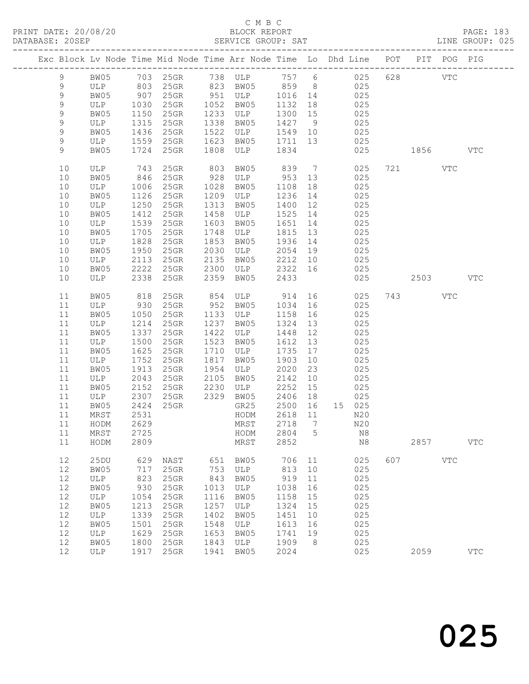# C M B C<br>BLOCK REPORT

PAGE: 183<br>LINE GROUP: 025

| Exc Block Lv Node Time Mid Node Time Arr Node Time Lo Dhd Line POT PIT POG PIG |                      |                   |                            |      |             |         |                |               |     |      |              |              |
|--------------------------------------------------------------------------------|----------------------|-------------------|----------------------------|------|-------------|---------|----------------|---------------|-----|------|--------------|--------------|
| 9                                                                              | BW05                 |                   | 703 25GR 738 ULP 757 6 025 |      |             |         |                |               | 628 |      | <b>VTC</b>   |              |
| 9                                                                              | ULP                  | 803               | 25GR                       |      | 823 BW05    |         |                | 859 8 025     |     |      |              |              |
| $\mathsf 9$                                                                    |                      |                   | $25$ GR                    |      | 951 ULP     | 1016 14 |                | 025           |     |      |              |              |
| $\mathsf 9$                                                                    | BW05 907<br>ULP 1030 |                   | $25$ GR                    | 1052 | BW05        | 1132    | 18             | 025           |     |      |              |              |
| 9                                                                              | BW05                 | 1150              | 25GR                       | 1233 | ULP         | 1300 15 |                | 025           |     |      |              |              |
|                                                                                |                      | 1315              | $25$ GR                    | 1338 |             |         |                |               |     |      |              |              |
| 9<br>9                                                                         | ULP                  |                   |                            | 1522 | BW05        | 1427    | 9              | 025           |     |      |              |              |
|                                                                                | BW05                 | 1436              | 25GR                       |      | ULP         | 1549 10 |                | 025           |     |      |              |              |
| 9                                                                              | ULP                  | $\frac{1}{1559}$  | 25GR                       | 1623 | BW05        | 1711    | 13             | 025           |     |      |              |              |
| 9                                                                              | BW05                 | 1724              | 25GR                       | 1808 | ULP         | 1834    |                | 025           |     | 1856 |              | <b>VTC</b>   |
| 10                                                                             | ULP                  | 743               | 25GR                       | 803  | BW05        | 839     | $\overline{7}$ | 025           |     | 721  | VTC          |              |
| 10                                                                             | BW05                 | 846               | 25GR                       | 928  | ULP         | 953     | 13             | 025           |     |      |              |              |
| 10                                                                             | ULP                  | 1006              | 25GR                       | 1028 | BW05        | 1108    | 18             | 025           |     |      |              |              |
| 10                                                                             | BW05                 | 1126              | 25GR                       | 1209 | ULP         | 1236    | 14             | 025           |     |      |              |              |
| 10                                                                             | ULP                  | 1250              | 25GR                       | 1313 | BW05        | 1400    | 12             | 025           |     |      |              |              |
| 10                                                                             | BW05                 | 1412              | 25GR                       | 1458 | ULP         | 1525    | 14             | 025           |     |      |              |              |
| 10                                                                             | ULP                  | 1539              | 25GR                       | 1603 | BW05        | 1651    | 14             | 025           |     |      |              |              |
| 10                                                                             | BW05                 | 1705              | 25GR                       | 1748 | ULP         | 1815    | 13             | 025           |     |      |              |              |
| 10                                                                             | ULP                  | 1828              | 25GR                       | 1853 | BW05        | 1936    | 14             | 025           |     |      |              |              |
| 10                                                                             | BW05                 | 1950              | 25GR                       | 2030 | ULP         | 2054    | 19             | 025           |     |      |              |              |
| 10                                                                             | ULP                  | 2113              | 25GR                       | 2135 | BW05        | 2212    | 10             | 025           |     |      |              |              |
| 10                                                                             | BW05                 | 2222              | 25GR                       | 2300 | ULP         | 2322    | 16             | 025           |     |      |              |              |
| 10                                                                             | ULP                  | 2338              | 25GR                       | 2359 | BW05        | 2433    |                | 025           |     | 2503 |              | <b>VTC</b>   |
| 11                                                                             | BW05                 | 818               | 25GR                       | 854  | ULP 914     |         |                | 025           |     | 743  | VTC          |              |
| 11                                                                             | ULP                  | 930               | 25GR                       | 952  | BW05        | 1034    | 16             | 025           |     |      |              |              |
| 11                                                                             | BW05                 | 1050              | $25$ GR                    | 1133 | ULP         | 1158    | 16             | 025           |     |      |              |              |
| 11                                                                             | ULP                  | 1214              | $25$ GR                    | 1237 | BW05        | 1324    | 13             | 025           |     |      |              |              |
| 11                                                                             | BW05                 | $\frac{12}{1337}$ | $25$ GR                    | 1422 | ULP         | 1448    | 12             | 025           |     |      |              |              |
| 11                                                                             | ULP                  | 1500              | 25GR                       | 1523 | BW05        | 1612    | 13             | 025           |     |      |              |              |
| 11                                                                             | BW05                 | 1625              | 25GR                       | 1710 | ULP         | 1735    | 17             | 025           |     |      |              |              |
| 11                                                                             | ULP                  | 1752              | 25GR                       | 1817 | BW05        | 1903    | 10             | 025           |     |      |              |              |
| 11                                                                             | BW05                 | 1913              | 25GR                       | 1954 | ULP         | 2020    | 23             | 025           |     |      |              |              |
| 11                                                                             | ULP                  | 2043              | 25GR                       | 2105 |             | 2142    | 10             | 025           |     |      |              |              |
| 11                                                                             |                      | 2152              | $25$ GR                    | 2230 | BW05        | 2252    |                | 025           |     |      |              |              |
|                                                                                | BW05                 | 2307              | $25$ GR                    | 2329 | ULP<br>BW05 | 2406    | 15             |               |     |      |              |              |
| 11<br>11                                                                       | ULP                  | 2424              |                            |      | GR25        | 2500    | 18<br>16       | 025<br>15 025 |     |      |              |              |
| 11                                                                             | BW05                 | 2531              | 25GR                       |      |             | 2618    | 11             |               |     |      |              |              |
|                                                                                | MRST                 |                   |                            |      | HODM        |         |                | N20           |     |      |              |              |
| 11                                                                             | HODM                 | 2629              |                            |      | MRST        | 2718    | $\overline{7}$ | N20           |     |      |              |              |
| $11\,$                                                                         | MRST                 | 2725              |                            |      | HODM        | 2804 5  |                | $_{\rm N8}$   |     |      |              |              |
| 11                                                                             | HODM                 | 2809              |                            |      | MRST        | 2852    |                | N8            |     | 2857 |              | $_{\rm VTC}$ |
| 12                                                                             | 25DU                 | 629               | NAST                       | 651  | BW05        | 706     | 11             | 025           | 607 |      | $_{\rm VTC}$ |              |
| 12                                                                             | BW05                 | 717               | 25GR                       | 753  | ULP         | 813     | 10             | 025           |     |      |              |              |
| 12                                                                             | ULP                  | 823               | 25GR                       | 843  | BW05        | 919     | 11             | 025           |     |      |              |              |
| 12                                                                             | BW05                 | 930               | 25GR                       | 1013 | ULP         | 1038    | 16             | 025           |     |      |              |              |
| 12                                                                             | ULP                  | 1054              | 25GR                       | 1116 | BW05        | 1158    | 15             | 025           |     |      |              |              |
| 12                                                                             | BW05                 | 1213              | 25GR                       | 1257 | ULP         | 1324    | 15             | 025           |     |      |              |              |
| 12                                                                             | ULP                  | 1339              | 25GR                       | 1402 | BW05        | 1451    | 10             | 025           |     |      |              |              |
| 12                                                                             | BW05                 | 1501              | 25GR                       | 1548 | ULP         | 1613    | 16             | 025           |     |      |              |              |
| 12                                                                             | ULP                  | 1629              | 25GR                       | 1653 | BW05        | 1741    | 19             | 025           |     |      |              |              |
| 12                                                                             | BW05                 | 1800              | 25GR                       | 1843 | ULP         | 1909    | 8              | 025           |     |      |              |              |
| 12                                                                             | ULP                  | 1917              | 25GR                       | 1941 | BW05        | 2024    |                | 025           |     | 2059 |              | <b>VTC</b>   |
|                                                                                |                      |                   |                            |      |             |         |                |               |     |      |              |              |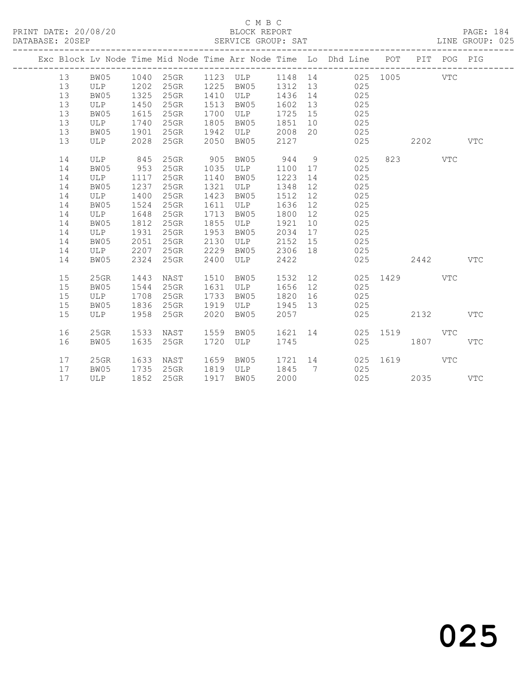#### C M B C<br>BLOCK REPORT SERVICE GROUP: SAT

|  |    |            |      |         |      |            |         |                 | Exc Block Lv Node Time Mid Node Time Arr Node Time Lo Dhd Line POT |          |      | PIT POG PIG |              |
|--|----|------------|------|---------|------|------------|---------|-----------------|--------------------------------------------------------------------|----------|------|-------------|--------------|
|  | 13 | BW05       | 1040 | 25GR    |      | 1123 ULP   | 1148 14 |                 |                                                                    | 025 1005 |      | <b>VTC</b>  |              |
|  | 13 | ULP        | 1202 | 25GR    | 1225 | BW05       | 1312    | 13              | 025                                                                |          |      |             |              |
|  | 13 | BW05       | 1325 | 25GR    | 1410 | ULP        | 1436    | 14              | 025                                                                |          |      |             |              |
|  | 13 | ULP        | 1450 | 25GR    | 1513 | BW05       | 1602    | 13              | 025                                                                |          |      |             |              |
|  | 13 | BW05       | 1615 | 25GR    | 1700 | ULP        | 1725    | 15              | 025                                                                |          |      |             |              |
|  | 13 | ULP        | 1740 | 25GR    | 1805 | BW05       | 1851    | 10              | 025                                                                |          |      |             |              |
|  | 13 | BW05       | 1901 | 25GR    | 1942 | ULP        | 2008    | 20              | 025                                                                |          |      |             |              |
|  | 13 | ULP        | 2028 | 25GR    | 2050 | BW05       | 2127    |                 | 025                                                                |          | 2202 |             | $_{\rm VTC}$ |
|  |    |            |      |         |      |            |         |                 |                                                                    |          |      |             |              |
|  | 14 | ULP        | 845  | 25GR    | 905  | BW05       | 944     | 9               | 025                                                                | 823      |      | <b>VTC</b>  |              |
|  | 14 | BW05       | 953  | 25GR    | 1035 | ULP        | 1100    | 17              | 025                                                                |          |      |             |              |
|  | 14 | ULP        | 1117 | 25GR    | 1140 | BW05       | 1223    | 14              | 025                                                                |          |      |             |              |
|  | 14 | BW05       | 1237 | 25GR    | 1321 | ULP        | 1348    | 12              | 025                                                                |          |      |             |              |
|  | 14 | ULP        | 1400 | 25GR    | 1423 | BW05       | 1512    | 12              | 025                                                                |          |      |             |              |
|  | 14 | BW05       | 1524 | 25GR    | 1611 | ULP        | 1636    | 12              | 025                                                                |          |      |             |              |
|  | 14 | ULP        | 1648 | $25$ GR | 1713 | BW05       | 1800    | 12              | 025                                                                |          |      |             |              |
|  | 14 | BW05       | 1812 | 25GR    | 1855 | ULP        | 1921    | 10              | 025                                                                |          |      |             |              |
|  | 14 | ULP        | 1931 | 25GR    | 1953 | BW05       | 2034    | 17              | 025                                                                |          |      |             |              |
|  | 14 | BW05       | 2051 | 25GR    | 2130 | ULP        | 2152    | 15              | 025                                                                |          |      |             |              |
|  | 14 | ULP        | 2207 | 25GR    | 2229 | BW05       | 2306    | 18              | 025                                                                |          |      |             |              |
|  | 14 | BW05       | 2324 | 25GR    | 2400 | <b>ULP</b> | 2422    |                 | 025                                                                |          | 2442 |             | <b>VTC</b>   |
|  | 15 | 25GR       | 1443 | NAST    | 1510 | BW05       | 1532    | 12              | 025                                                                | 1429     |      | <b>VTC</b>  |              |
|  | 15 | BW05       | 1544 | 25GR    | 1631 | ULP        | 1656    | 12              | 025                                                                |          |      |             |              |
|  | 15 | ULP        | 1708 | 25GR    | 1733 | BW05       | 1820    | 16              | 025                                                                |          |      |             |              |
|  | 15 | BW05       | 1836 | 25GR    | 1919 | ULP        | 1945    | 13              | 025                                                                |          |      |             |              |
|  | 15 | ULP        | 1958 | 25GR    | 2020 | BW05       | 2057    |                 | 025                                                                |          | 2132 |             | <b>VTC</b>   |
|  |    |            |      |         |      |            |         |                 |                                                                    |          |      |             |              |
|  | 16 | $25$ GR    | 1533 | NAST    | 1559 | BW05       | 1621    | 14              | 025                                                                | 1519     |      | <b>VTC</b>  |              |
|  | 16 | BW05       | 1635 | 25GR    | 1720 | ULP        | 1745    |                 | 025                                                                |          | 1807 |             | $_{\rm VTC}$ |
|  | 17 | 25GR       | 1633 | NAST    | 1659 | BW05       | 1721    | 14              | 025                                                                | 1619     |      | <b>VTC</b>  |              |
|  | 17 | BW05       | 1735 | $25$ GR | 1819 | ULP        | 1845    | $7\phantom{.0}$ | 025                                                                |          |      |             |              |
|  | 17 | <b>ULP</b> | 1852 | 25GR    | 1917 | BW05       | 2000    |                 | 025                                                                |          | 2035 |             | <b>VTC</b>   |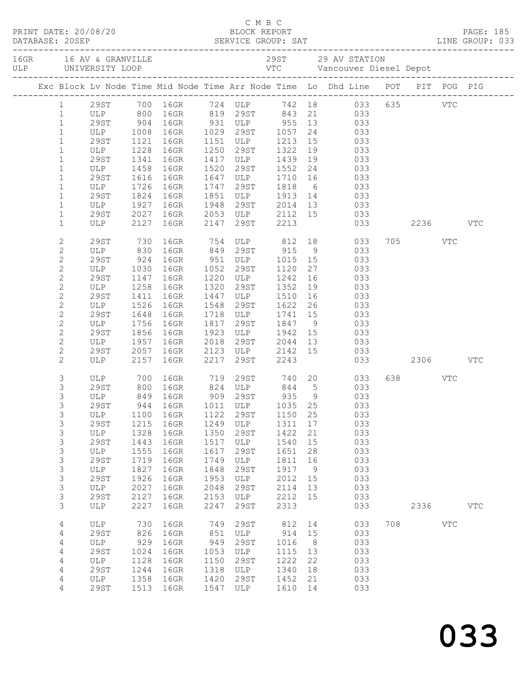|  |                 | PRINT DATE: 20/08/20 |      |                                                                                                             |      |                                            |               |                 |   |                                                                                         |              |            |              |  |
|--|-----------------|----------------------|------|-------------------------------------------------------------------------------------------------------------|------|--------------------------------------------|---------------|-----------------|---|-----------------------------------------------------------------------------------------|--------------|------------|--------------|--|
|  | DATABASE: 20SEP |                      |      |                                                                                                             |      |                                            |               |                 |   |                                                                                         |              |            |              |  |
|  |                 |                      |      |                                                                                                             |      |                                            |               |                 |   |                                                                                         |              |            |              |  |
|  |                 |                      |      |                                                                                                             |      |                                            |               |                 |   |                                                                                         |              |            |              |  |
|  |                 |                      |      |                                                                                                             |      |                                            |               |                 |   |                                                                                         |              |            |              |  |
|  |                 |                      |      |                                                                                                             |      |                                            |               |                 |   |                                                                                         |              |            |              |  |
|  |                 |                      |      | Exc Block Lv Node Time Mid Node Time Arr Node Time Lo Dhd Line POT PIT POG PIG                              |      |                                            |               |                 |   |                                                                                         |              |            |              |  |
|  |                 |                      |      | 1 29ST 700 16GR 724 ULP 742 18 033 635 VTC                                                                  |      |                                            |               |                 |   |                                                                                         |              |            |              |  |
|  | $\mathbf{1}$    |                      |      |                                                                                                             |      |                                            |               |                 |   |                                                                                         |              |            |              |  |
|  | $\mathbf{1}$    |                      |      | ULP 800 16GR 819 29ST 843 21 033<br>29ST 904 16GR 931 ULP 955 13 033<br>ULP 1008 16GR 1029 29ST 1057 24 033 |      |                                            |               |                 |   |                                                                                         |              |            |              |  |
|  | $\mathbf{1}$    |                      |      |                                                                                                             |      |                                            |               |                 |   |                                                                                         |              |            |              |  |
|  | $\mathbf{1}$    | 29ST                 | 1121 | 16GR                                                                                                        | 1151 | ULP 1213                                   |               | 15              |   | 033                                                                                     |              |            |              |  |
|  | $\mathbf{1}$    | ULP                  | 1228 | 16GR                                                                                                        | 1250 | 29ST                                       | 1322          | 19              |   | 033                                                                                     |              |            |              |  |
|  | $\mathbf{1}$    | 29ST                 | 1341 | 16GR                                                                                                        |      | 1417 ULP                                   | 1439          | 19              |   |                                                                                         |              |            |              |  |
|  | $\mathbf{1}$    | ULP                  | 1458 | 16GR                                                                                                        | 1520 | 29ST                                       | 1552          |                 |   | $\begin{array}{ccc} 19 & \hspace{1.5cm} 033 \\ 24 & \hspace{1.5cm} 033 \end{array}$     |              |            |              |  |
|  | $\mathbf{1}$    | 29ST                 | 1616 | 16GR                                                                                                        | 1647 |                                            | ULP 1710      | 16              |   | 033                                                                                     |              |            |              |  |
|  | $\mathbf{1}$    | ULP                  | 1726 | 16GR                                                                                                        | 1747 | 29ST                                       | 1818          | $6\overline{6}$ |   | 033                                                                                     |              |            |              |  |
|  | $\mathbf{1}$    | 29ST                 | 1824 | 16GR                                                                                                        | 1851 | ULP                                        | 1913          |                 |   |                                                                                         |              |            |              |  |
|  | $\mathbf{1}$    | ULP                  | 1927 | 16GR                                                                                                        | 1948 |                                            | $29ST$ $2014$ |                 |   | $\begin{array}{ccc} 14 & \hspace{1.5cm} & 033 \\ 13 & \hspace{1.5cm} & 033 \end{array}$ |              |            |              |  |
|  | $\mathbf{1}$    | 29ST                 | 2027 | 16GR                                                                                                        |      | 2053 ULP 2112 15 033                       |               |                 |   |                                                                                         |              |            |              |  |
|  | $\mathbf{1}$    | ULP                  | 2127 | 16GR                                                                                                        | 2147 | 29ST                                       | 2213          |                 |   |                                                                                         | 033 2236 VTC |            |              |  |
|  |                 |                      |      |                                                                                                             |      |                                            |               |                 |   |                                                                                         |              |            |              |  |
|  | $\mathbf{2}$    | 29ST                 | 730  | 16GR 754 ULP 812 18 033                                                                                     |      |                                            |               |                 |   |                                                                                         | 705 VTC      |            |              |  |
|  | $\mathbf{2}$    | ULP                  | 830  | 16GR                                                                                                        |      | 849 29ST 915                               |               |                 | 9 | 033                                                                                     |              |            |              |  |
|  | $\mathbf{2}$    | 29ST                 | 924  | 16GR 951 ULP 1015 15                                                                                        |      |                                            |               |                 |   | 033                                                                                     |              |            |              |  |
|  | $\mathbf{2}$    | ULP                  | 1030 | 16GR                                                                                                        | 1052 | 29ST                                       | 1120          | 27              |   |                                                                                         |              |            |              |  |
|  | $\overline{c}$  | 29ST                 | 1147 | 16GR                                                                                                        | 1220 | ULP                                        | 1242          | 16              |   | 033<br>033                                                                              |              |            |              |  |
|  | $\sqrt{2}$      | ULP                  | 1258 | 16GR                                                                                                        | 1320 | 29ST                                       | 1352          | 19              |   | 033                                                                                     |              |            |              |  |
|  | $\mathbf{2}$    | 29ST                 | 1411 | 16GR                                                                                                        | 1447 | ULP                                        | 1510          | 16              |   | 033                                                                                     |              |            |              |  |
|  | $\mathbf{2}$    | ULP                  | 1526 | 16GR                                                                                                        | 1548 | 29ST                                       | 1622          | 26              |   |                                                                                         |              |            |              |  |
|  | $\overline{c}$  | 29ST                 | 1648 | 16GR                                                                                                        |      | 1718 ULP                                   | 1741 15       |                 |   | 033<br>033                                                                              |              |            |              |  |
|  | $\mathbf{2}$    | ULP                  | 1756 | 16GR                                                                                                        | 1817 | 29ST                                       | 1847          |                 |   | $\frac{15}{9}$ 033                                                                      |              |            |              |  |
|  | $\mathbf{2}$    | 29ST                 | 1856 | 16GR                                                                                                        | 1923 |                                            | ULP 1942      | 15              |   | 033                                                                                     |              |            |              |  |
|  | $\mathbf{2}$    | ULP                  | 1957 | 16GR                                                                                                        | 2018 | 29ST                                       | 2044          | 13              |   | 033                                                                                     |              |            |              |  |
|  | $\mathbf{2}$    |                      | 2057 | 16GR                                                                                                        |      |                                            |               |                 |   |                                                                                         |              |            |              |  |
|  | $\mathbf{2}$    | 29ST<br>ULP          |      | 2157 16GR                                                                                                   | 2217 | 2123 ULP 2142 15<br>2217 29ST 2243<br>29ST | 2243          |                 |   | 033<br>033                                                                              | 2306 VTC     |            |              |  |
|  |                 |                      |      |                                                                                                             |      |                                            |               |                 |   |                                                                                         |              |            |              |  |
|  | 3               | ULP                  | 700  | 16GR 719                                                                                                    |      |                                            |               |                 |   | 29ST 740 20 033                                                                         | 638 VTC      |            |              |  |
|  | $\mathsf S$     |                      |      |                                                                                                             |      |                                            |               |                 |   |                                                                                         |              |            |              |  |
|  | 3               | 29ST 800<br>ULP 849  |      | 16GR 824 ULP 844 5<br>16GR 909 29ST 935 9                                                                   |      |                                            |               |                 |   | $\begin{array}{ccc} 5 & 033 \\ 9 & 033 \end{array}$                                     |              |            |              |  |
|  | 3               | 29ST                 |      | 944 16GR 1011 ULP 1035 25 033                                                                               |      |                                            |               |                 |   |                                                                                         |              |            |              |  |
|  | 3               | ULP                  | 1100 | 16GR                                                                                                        | 1122 | 29ST                                       | 1150          | 25              |   | 033                                                                                     |              |            |              |  |
|  | 3               | 29ST                 | 1215 | 16GR                                                                                                        | 1249 | ULP                                        | 1311          | 17              |   | 033                                                                                     |              |            |              |  |
|  | $\mathsf S$     | ULP                  | 1328 | 16GR                                                                                                        | 1350 | 29ST                                       | 1422          | 21              |   | 033                                                                                     |              |            |              |  |
|  | $\mathsf S$     | 29ST                 | 1443 | 16GR                                                                                                        | 1517 | ULP                                        | 1540          | 15              |   | 033                                                                                     |              |            |              |  |
|  | 3               | ULP                  | 1555 | 16GR                                                                                                        | 1617 | 29ST                                       | 1651          | 28              |   | 033                                                                                     |              |            |              |  |
|  | $\mathsf S$     | <b>29ST</b>          | 1719 | 16GR                                                                                                        | 1749 | ULP                                        | 1811          | 16              |   | 033                                                                                     |              |            |              |  |
|  | $\mathsf S$     | ULP                  | 1827 | 16GR                                                                                                        | 1848 | 29ST                                       | 1917          | 9               |   | 033                                                                                     |              |            |              |  |
|  | $\mathsf S$     | 29ST                 | 1926 | 16GR                                                                                                        | 1953 | ULP                                        | 2012          | 15              |   | 033                                                                                     |              |            |              |  |
|  | 3               | ULP                  | 2027 | 16GR                                                                                                        | 2048 | 29ST                                       | 2114          | 13              |   | 033                                                                                     |              |            |              |  |
|  | $\mathfrak{S}$  | <b>29ST</b>          | 2127 | 16GR                                                                                                        | 2153 |                                            | 2212          | 15              |   | 033                                                                                     |              |            |              |  |
|  | 3               | ULP                  | 2227 | 16GR                                                                                                        | 2247 | ULP<br>29ST                                | 2313          |                 |   | 033                                                                                     | 2336         |            |              |  |
|  |                 |                      |      |                                                                                                             |      |                                            |               |                 |   |                                                                                         |              |            | $_{\rm VTC}$ |  |
|  | 4               | ULP                  | 730  | 16GR                                                                                                        | 749  | 29ST                                       | 812           | 14              |   | 033                                                                                     | 708          | <b>VTC</b> |              |  |
|  | 4               | <b>29ST</b>          | 826  | 16GR                                                                                                        | 851  | ULP                                        | 914           | 15              |   | 033                                                                                     |              |            |              |  |
|  | $\sqrt{4}$      | ULP                  | 929  | 16GR                                                                                                        | 949  | 29ST                                       | 1016          | 8               |   | 033                                                                                     |              |            |              |  |
|  | 4               | 29ST                 | 1024 | 16GR                                                                                                        | 1053 | ULP                                        | 1115          | 13              |   | 033                                                                                     |              |            |              |  |
|  | 4               | ULP                  | 1128 | 16GR                                                                                                        | 1150 | 29ST                                       | 1222          | 22              |   | 033                                                                                     |              |            |              |  |
|  | 4               | <b>29ST</b>          | 1244 | 16GR                                                                                                        | 1318 | ULP                                        | 1340          | 18              |   | 033                                                                                     |              |            |              |  |
|  | 4               | ULP                  | 1358 | 16GR                                                                                                        | 1420 | 29ST                                       | 1452          | 21              |   | 033                                                                                     |              |            |              |  |
|  | 4               | 29ST                 | 1513 | 16GR                                                                                                        | 1547 | ULP                                        | 1610          | 14              |   | 033                                                                                     |              |            |              |  |
|  |                 |                      |      |                                                                                                             |      |                                            |               |                 |   |                                                                                         |              |            |              |  |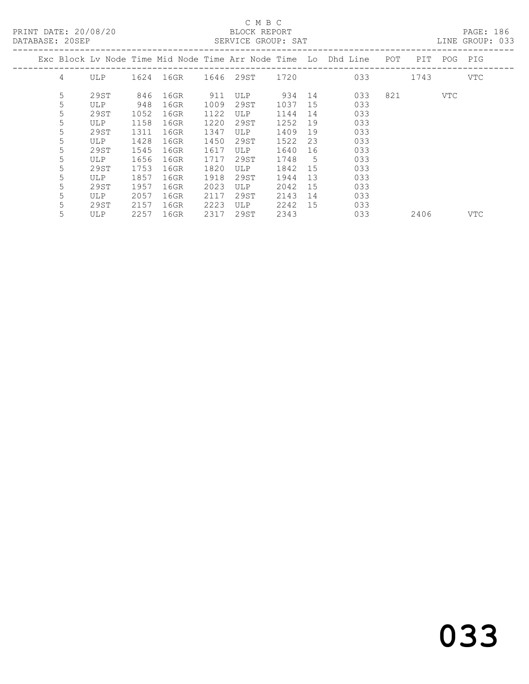PRINT DATE: 20/08/20 BLOCK REPORT<br>
DATABASE: 20SEP

# C M B C<br>BLOCK REPORT

PAGE: 186<br>LINE GROUP: 033

| uninunui. 2001 |   |            |      |      |      | DERATOR GROOT. DAI |      |    |                                                                |     |      |     | DIND GIVOU. UJJ |
|----------------|---|------------|------|------|------|--------------------|------|----|----------------------------------------------------------------|-----|------|-----|-----------------|
|                |   |            |      |      |      |                    |      |    | Exc Block Lv Node Time Mid Node Time Arr Node Time Lo Dhd Line | POT | PIT  | POG | PIG             |
|                | 4 | <b>ULP</b> | 1624 | 16GR |      | 1646 29ST 1720     |      |    | 033                                                            |     | 1743 |     | VTC             |
|                | 5 | 29ST       | 846  | 16GR | 911  | <b>ULP</b>         | 934  | 14 | 033                                                            | 821 |      | VTC |                 |
|                | 5 | ULP        | 948  | 16GR | 1009 | 29ST               | 1037 | 15 | 033                                                            |     |      |     |                 |
|                | 5 | 29ST       | 1052 | 16GR | 1122 | <b>ULP</b>         | 1144 | 14 | 033                                                            |     |      |     |                 |
|                | 5 | ULP        | 1158 | 16GR | 1220 | 29ST               | 1252 | 19 | 033                                                            |     |      |     |                 |
|                | 5 | 29ST       | 1311 | 16GR | 1347 | ULP                | 1409 | 19 | 033                                                            |     |      |     |                 |
|                | 5 | ULP        | 1428 | 16GR | 1450 | 29ST               | 1522 | 23 | 033                                                            |     |      |     |                 |
|                | 5 | 29ST       | 1545 | 16GR | 1617 | <b>ULP</b>         | 1640 | 16 | 033                                                            |     |      |     |                 |
|                | 5 | ULP        | 1656 | 16GR | 1717 | 29ST               | 1748 | 5  | 033                                                            |     |      |     |                 |
|                | 5 | 29ST       | 1753 | 16GR | 1820 | ULP                | 1842 | 15 | 033                                                            |     |      |     |                 |
|                | 5 | ULP        | 1857 | 16GR | 1918 | 29ST               | 1944 | 13 | 033                                                            |     |      |     |                 |
|                | 5 | 29ST       | 1957 | 16GR | 2023 | ULP.               | 2042 | 15 | 033                                                            |     |      |     |                 |
|                | 5 | ULP        | 2057 | 16GR | 2117 | 29ST               | 2143 | 14 | 033                                                            |     |      |     |                 |
|                | 5 | 29ST       | 2157 | 16GR | 2223 | ULP                | 2242 | 15 | 033                                                            |     |      |     |                 |
|                | 5 | <b>ULP</b> | 2257 | 16GR | 2317 | 29ST               | 2343 |    | 033                                                            |     | 2406 |     | VTC             |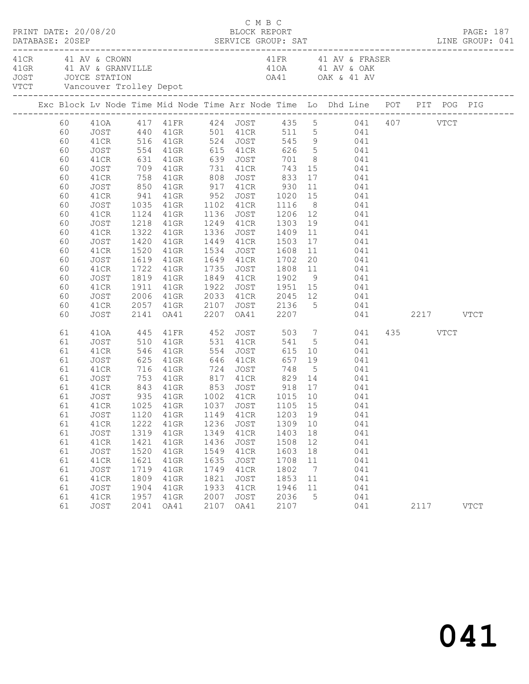| PRINT DATE: 20/08/20                                                                                           |                                                                                                                                                      |                                                                                                    |                                                                                                                                                                    |                                                                                                    | C M B C<br>BLOCK REPORT                                                                                  |                                                                                         |                                                               |                                                                                                                                                                                                                                                                                                                                                                                                                                                                                                                      |                  | PAGE: 187   |
|----------------------------------------------------------------------------------------------------------------|------------------------------------------------------------------------------------------------------------------------------------------------------|----------------------------------------------------------------------------------------------------|--------------------------------------------------------------------------------------------------------------------------------------------------------------------|----------------------------------------------------------------------------------------------------|----------------------------------------------------------------------------------------------------------|-----------------------------------------------------------------------------------------|---------------------------------------------------------------|----------------------------------------------------------------------------------------------------------------------------------------------------------------------------------------------------------------------------------------------------------------------------------------------------------------------------------------------------------------------------------------------------------------------------------------------------------------------------------------------------------------------|------------------|-------------|
| 41 CR 41 AV & CROWN                                                                                            |                                                                                                                                                      |                                                                                                    |                                                                                                                                                                    |                                                                                                    |                                                                                                          |                                                                                         |                                                               | 41 FR 41 AV & FRASER<br>41 GRAND AND A STRAIN AND A SURVEY OF THE MANUSCRIP ON A SURVEY OF THE MANUSCRIP OF A STRAIN AND A SURVEY OF THE MANUSCRIP OF A SURVEY OF THE MANUSCRIP OF A SURVEY OF THE MANUSCRIP OF A SURVEY OF THE MANUSCRIP OF THE MANUS                                                                                                                                                                                                                                                               |                  |             |
|                                                                                                                |                                                                                                                                                      |                                                                                                    |                                                                                                                                                                    |                                                                                                    |                                                                                                          |                                                                                         |                                                               | Exc Block Lv Node Time Mid Node Time Arr Node Time Lo Dhd Line POT PIT POG PIG                                                                                                                                                                                                                                                                                                                                                                                                                                       |                  |             |
| 60<br>60<br>60<br>60<br>60<br>60<br>60<br>60<br>60<br>60<br>60<br>60<br>60<br>60<br>60<br>60<br>60<br>60<br>60 | JOST<br>41CR<br>JOST<br>41CR<br>JOST<br>41CR<br>JOST<br>41CR<br>JOST<br>41CR<br>JOST<br>41CR<br>JOST<br>41CR<br>JOST<br>41CR<br>JOST<br>41CR         | 850<br>1218<br>1322<br>1420<br>2006                                                                | 41GR 917 41CR<br>41GR<br>41GR<br>41GR<br>1520 41GR<br>1619 41GR<br>1722 41GR<br>1819 41GR<br>1911 41GR<br>1819 41GR<br>41GR                                        | 1922                                                                                               | 1336 JOST 1409<br>1449 41CR 1503<br>1534 JOST 1608<br>1649 41CR 1702<br>1735 JOST                        | 930                                                                                     |                                                               | 41CR 516 41GR 524 JOST 545 9 041<br>554 41GR 615 41CR 626 5 041<br>631 41GR 639 JOST 701 8 041<br>709 41GR 731 41CR 743 15 041<br>758 41GR 808 JOST 833 17 041<br>11 041<br>941 41GR 952 JOST 1020 15 041<br>1035 41GR 1102 41CR 1116 8 041<br>1124 41GR 1136 JOST 1206 12 041<br>1249 41CR 1303 19 041<br>$\begin{array}{cc} 11 & \hspace{1.5cm} 041 \\ 17 & \hspace{1.5cm} 041 \end{array}$<br>11 041<br>20 041<br>1735 JOST 1808 11 041<br>1849 41CR 1902 9 041<br>1922 JOST 1951 15 041<br>2033 41CR 2045 12 041 |                  |             |
| 60                                                                                                             | JOST                                                                                                                                                 |                                                                                                    |                                                                                                                                                                    |                                                                                                    |                                                                                                          |                                                                                         |                                                               | 2057 41GR 2107 JOST 2136 5 041<br>2141 0A41 2207 0A41 2207 041<br>041 2217 VTCT                                                                                                                                                                                                                                                                                                                                                                                                                                      |                  |             |
| 61<br>61<br>61<br>61<br>61<br>61<br>61<br>61<br>61<br>61<br>61<br>61<br>61<br>61<br>61<br>61<br>61<br>61<br>61 | 410A<br>JOST<br>41CR<br>JOST<br>41CR<br>JOST<br>41CR<br>JOST<br>JOST<br>41CR<br>JOST<br>41CR<br>JOST<br>41CR<br>JOST<br>41CR<br>JOST<br>41CR<br>JOST | 445<br>510<br>1120<br>1222<br>1319<br>1421<br>1520<br>1621<br>1719<br>1809<br>1904<br>1957<br>2041 | 41FR 452<br>41GR<br>546 41GR<br>625 41GR<br>716 41GR 724<br>41GR<br>41GR<br>41GR<br>$41$ GR<br>$41$ GR<br>$41$ GR<br>$41$ GR<br>$41$ GR<br>$41$ GR<br>41GR<br>OA41 | 554<br>646<br>1149<br>1236<br>1349<br>1436<br>1549<br>1635<br>1749<br>1821<br>1933<br>2007<br>2107 | 531 41CR<br>JOST<br>41CR<br>JOST<br>41CR<br>JOST<br>41CR<br>JOST<br>41CR<br>JOST<br>41CR<br>JOST<br>OA41 | 1203 19<br>1309<br>1403<br>1508<br>1603<br>1708<br>1802<br>1853<br>1946<br>2036<br>2107 | 10<br>18<br>12<br>18<br>11<br>$\overline{7}$<br>11<br>11<br>5 | JOST 503 7 041<br>541 5 041<br>JOST 615 10 041<br>41CR 657 19 041<br>748 5 041<br>753 41GR 817 41CR 829 14 041<br>843 41GR 853 JOST 918 17 041<br>935 41GR 1002 41CR 1015 10 041<br>041<br>041<br>041<br>041<br>041<br>041<br>041<br>041<br>041<br>041<br>041                                                                                                                                                                                                                                                        | 435 VTCT<br>2117 | <b>VTCT</b> |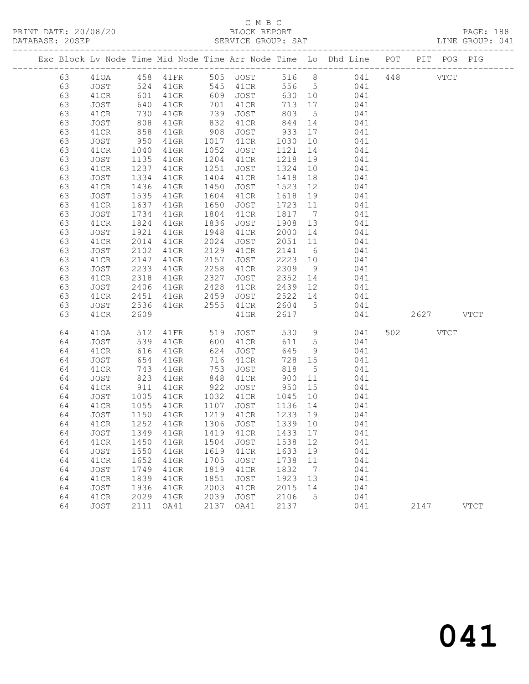#### C M B C<br>BLOCK REPORT SERVICE GROUP: SAT

PRINT DATE: 20/08/20 BLOCK REPORT PAGE: 188

|  |          |              |              |                   |                   |              |                             |                 | Exc Block Lv Node Time Mid Node Time Arr Node Time Lo Dhd Line POT PIT POG PIG |           |             |             |
|--|----------|--------------|--------------|-------------------|-------------------|--------------|-----------------------------|-----------------|--------------------------------------------------------------------------------|-----------|-------------|-------------|
|  | 63       |              |              |                   |                   |              |                             |                 | 410A 458 41FR 505 JOST 516 8 041 448                                           |           | <b>VTCT</b> |             |
|  | 63       | JOST         |              | 524 41GR 545 41CR |                   |              |                             |                 | 556 5 041                                                                      |           |             |             |
|  | 63       | 41CR         | 601          | 41GR              |                   | 609 JOST     | 630 10                      |                 | 041                                                                            |           |             |             |
|  | 63       | JOST         | 640          | 41GR              | 701               | 41CR         | 713                         | 17              | 041                                                                            |           |             |             |
|  | 63       | 41CR         | 730<br>808   | 41GR              |                   | JOST         | 803                         | $5\overline{)}$ | 041                                                                            |           |             |             |
|  | 63       | JOST         |              | 41GR              | $\frac{132}{832}$ | 41CR         | 844                         | 14              | 041                                                                            |           |             |             |
|  | 63       | 41CR         | 858          | 41GR              | 908               | JOST         | 933                         | 17              | 041                                                                            |           |             |             |
|  | 63       | JOST         | 950          | 41GR              | 1017              | 41CR         | 1030                        | 10              | 041                                                                            |           |             |             |
|  | 63       | 41CR         | 1040         | 41GR              | 1052              | JOST         | 1121                        | 14              | 041                                                                            |           |             |             |
|  | 63       | JOST         | 1135         | 41GR              | 1204              | 41CR         | 1218                        | 19              | 041                                                                            |           |             |             |
|  | 63       | 41CR         | 1237         | 41GR              | 1251              | JOST         | 1324                        | 10              | 041                                                                            |           |             |             |
|  | 63       | JOST         | 1334         | 41GR              | 1404              | 41CR         | 1418                        | 18              | 041                                                                            |           |             |             |
|  | 63       | 41CR         | 1436         | 41GR              | 1450              | JOST         | 1523 12                     |                 | 041                                                                            |           |             |             |
|  | 63       | JOST         | 1535         | 41GR              | 1604              | 41CR         | 1618                        | 19              | 041                                                                            |           |             |             |
|  | 63       | 41CR         | 1637         | 41GR              | 1650              | JOST         | 1723 11                     |                 | 041                                                                            |           |             |             |
|  | 63       | JOST         | 1734         | 41GR              | 1804              | 41CR         | 1817                        | $\overline{7}$  | 041                                                                            |           |             |             |
|  | 63       | 41CR         | 1824         | $41$ GR           | 1836              | JOST         | 1908 13                     |                 | 041                                                                            |           |             |             |
|  | 63       | JOST         | 1921         | 41GR              | 1948              | 41CR         | 2000 14                     |                 | 041                                                                            |           |             |             |
|  | 63       | 41CR         | 2014         | 41GR              | 2024              | JOST         | 2051 11                     |                 | 041                                                                            |           |             |             |
|  | 63       | JOST         | 2102         | 41GR              | 2129              | 41CR         | 2141                        | 6               | 041                                                                            |           |             |             |
|  | 63       | 41CR         | 2147         | 41GR              | 2157              | JOST         | 2223 10                     |                 | 041                                                                            |           |             |             |
|  | 63       | JOST         | 2233         | $41$ GR           | 2258              | 41CR         | 2309                        | 9               | 041                                                                            |           |             |             |
|  | 63       | 41CR         | 2318         | $41$ GR           | 2327              | JOST         | 2352                        | 14              | 041                                                                            |           |             |             |
|  | 63       | JOST         | 2406         | 41GR              | 2428              | 41CR         |                             |                 | 2439 12<br>041                                                                 |           |             |             |
|  | 63       | 41CR         | 2451         | 41GR              | 2459              | JOST         | 2522<br>$2522$ 14<br>2604 5 |                 | 041                                                                            |           |             |             |
|  | 63       | JOST         | 2536         | 41GR              |                   | 2555 41CR    |                             |                 | 041                                                                            |           |             |             |
|  | 63       | 41CR         | 2609         |                   |                   | $41$ GR      | 2617                        |                 | 041                                                                            | 2627 VTCT |             |             |
|  | 64       | 410A         | 512          | 41FR              | 519               | JOST         | 530                         | 9               | 041                                                                            | 502 VTCT  |             |             |
|  | 64       | JOST         | 539<br>616   | $41$ GR           | 600               | 41CR         | 611                         | 5 <sup>5</sup>  | 041                                                                            |           |             |             |
|  | 64       | 41CR         |              | 41GR              | 624               | JOST         | 645                         | 9               | 041                                                                            |           |             |             |
|  | 64       | JOST         | 654          | 41GR              | 716               | 41CR         | 728 15                      |                 | 041                                                                            |           |             |             |
|  | 64       | 41CR         | 743          | 41GR              | 753               | JOST         | 818                         | $5\overline{)}$ | 041                                                                            |           |             |             |
|  | 64       | JOST         | 823<br>911   | 41GR              | 848               | 41CR         | 900<br>950                  | 11              | 041                                                                            |           |             |             |
|  | 64       | 41CR         |              | 41GR              | 922               | JOST         |                             | 15              | 041                                                                            |           |             |             |
|  | 64       | JOST         | 1005         | 41GR              | 1032              | 41CR         | 1045                        | 10              | 041                                                                            |           |             |             |
|  | 64       | 41CR         | 1055         | 41GR              | 1107              | JOST         | 1136                        | 14              | 041                                                                            |           |             |             |
|  | 64       | JOST         | 1150         | 41GR              |                   | 1219 41CR    | 1233 19                     |                 | 041                                                                            |           |             |             |
|  | 64       | 41CR         |              | 1252 41GR         |                   | 1306 JOST    | 1339 10                     |                 | 041                                                                            |           |             |             |
|  | 64       |              |              |                   |                   |              |                             |                 | JOST 1349 41GR 1419 41CR 1433 17 041                                           |           |             |             |
|  | 64       | 41CR         | 1450         | $41$ GR           | 1504              | JOST         | 1538 12                     |                 | 041                                                                            |           |             |             |
|  | 64       | JOST         | 1550         | 41GR              | 1619              | 41CR         | 1633                        | 19              | 041                                                                            |           |             |             |
|  | 64       | 41CR         | 1652         | 41GR              | 1705              | JOST         | 1738                        | 11              | 041                                                                            |           |             |             |
|  | 64       | JOST         | 1749         | $41$ GR           | 1819              | 41CR         | 1832                        | $\overline{7}$  | 041<br>041                                                                     |           |             |             |
|  | 64       | 41CR         | 1839         | 41GR              | 1851<br>2003      | JOST         | 1923<br>2015                | 13<br>14        |                                                                                |           |             |             |
|  | 64<br>64 | JOST<br>41CR | 1936<br>2029 | 41GR<br>41GR      | 2039              | 41CR<br>JOST | 2106                        | 5               | 041<br>041                                                                     |           |             |             |
|  | 64       | JOST         | 2111         | OA41              | 2137              | OA41         | 2137                        |                 | 041                                                                            | 2147      |             | <b>VTCT</b> |
|  |          |              |              |                   |                   |              |                             |                 |                                                                                |           |             |             |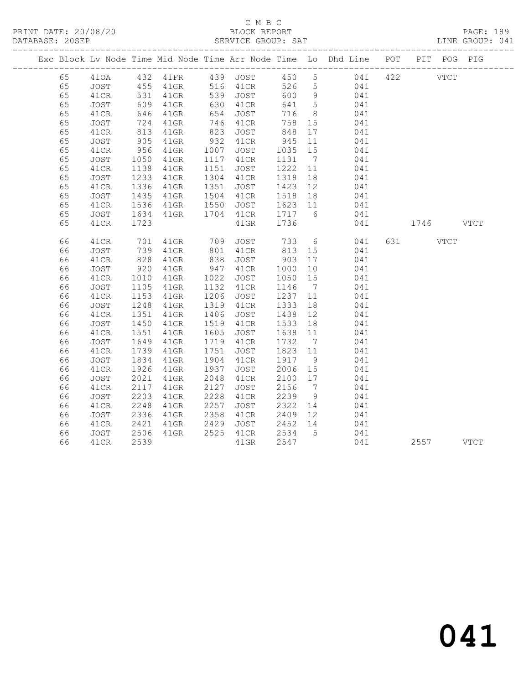#### C M B C<br>BLOCK REPORT SERVICE GROUP: SAT

|  |    |             |                        |         |      |                                           |                                                    |                 | Exc Block Lv Node Time Mid Node Time Arr Node Time Lo Dhd Line POT |           | PIT POG PIG |  |
|--|----|-------------|------------------------|---------|------|-------------------------------------------|----------------------------------------------------|-----------------|--------------------------------------------------------------------|-----------|-------------|--|
|  | 65 |             |                        |         |      |                                           |                                                    |                 |                                                                    |           |             |  |
|  | 65 |             |                        |         |      |                                           |                                                    |                 |                                                                    |           |             |  |
|  | 65 | 41CR        | 531                    | $41$ GR |      | 539 JOST                                  |                                                    |                 | 600 9 041                                                          |           |             |  |
|  | 65 | JOST        | 609<br>646             | $41$ GR |      | 630 41CR<br>654 JOST                      | 641 5                                              |                 | 041                                                                |           |             |  |
|  | 65 | 41CR        |                        | 41GR    |      |                                           | 716                                                | 8 <sup>8</sup>  | 041                                                                |           |             |  |
|  | 65 | JOST        | 724                    | $41$ GR |      | 746 41CR                                  | 758 15                                             |                 | 041                                                                |           |             |  |
|  | 65 | 41CR        | $813$<br>905           | 41GR    | 823  | JOST                                      | 848                                                | 17              | 041                                                                |           |             |  |
|  | 65 | JOST        |                        | 41GR    |      | 932 41CR                                  | 945                                                | 11              | 041                                                                |           |             |  |
|  | 65 | 41CR        | 956                    | $41$ GR | 1007 | JOST                                      | 1035 15                                            |                 | 041                                                                |           |             |  |
|  | 65 | JOST        | 1050<br>1138           | 41GR    |      | 1117 41CR                                 | 1131                                               | $7\overline{)}$ | 041                                                                |           |             |  |
|  | 65 | 41CR        | 1138                   | 41GR    |      | 1151 JOST                                 | 1222 11                                            |                 | 041                                                                |           |             |  |
|  | 65 | JOST        | 1233                   | $41$ GR |      | 1304 41CR                                 | 1318                                               | 18              | $041$<br>$041$                                                     |           |             |  |
|  | 65 | 41CR        | 1336                   | 41GR    |      | 1351 JOST                                 | 1423 12                                            |                 | 041                                                                |           |             |  |
|  | 65 | JOST        | $14 -$<br>1536<br>1534 | 41GR    |      | 1504 41CR<br>41CR 1518 18<br>JOST 1623 11 |                                                    |                 | 041                                                                |           |             |  |
|  | 65 | 41CR        |                        | 41GR    | 1550 |                                           |                                                    |                 | 041                                                                |           |             |  |
|  | 65 | JOST        | 1634                   | 41GR    |      | 1704 41CR                                 |                                                    |                 | 1717 6 041                                                         |           |             |  |
|  | 65 | 41CR        | 1723                   |         |      | $41$ GR                                   | 1736                                               |                 | 041                                                                | 1746 VTCT |             |  |
|  | 66 | 41CR        | 701                    | 41GR    | 709  | JOST                                      | 733                                                |                 | $6\overline{6}$<br>041                                             |           | VTCT        |  |
|  | 66 | <b>JOST</b> | 739                    | 41GR    |      | 801 41CR                                  | 813                                                |                 | 15 041                                                             |           |             |  |
|  | 66 | 41CR        | 828                    | 41GR    | 838  | JOST                                      |                                                    | 17              | 041                                                                |           |             |  |
|  | 66 | JOST        | 920                    | $41$ GR |      | 947 41CR                                  | $\begin{array}{c} 903 \\ 1000 \end{array}$<br>1000 | 10              | 041                                                                |           |             |  |
|  | 66 | 41CR        | 1010                   | 41GR    | 1022 | JOST                                      | 1050                                               | 15              | 041                                                                |           |             |  |
|  | 66 | JOST        |                        | 41GR    |      | 1132 41CR                                 | 1146                                               | $\overline{7}$  | 041                                                                |           |             |  |
|  | 66 | 41CR        | $112$<br>1153<br>1248  | 41GR    | 1206 | JOST                                      | 1237                                               | 11              | 041                                                                |           |             |  |
|  | 66 | JOST        | 1248                   | $41$ GR |      | 1319 41CR                                 | 1333                                               | 18              | 041                                                                |           |             |  |
|  | 66 | 41CR        | 1351                   | $41$ GR | 1406 | JOST                                      | 1438                                               | 12              | 041                                                                |           |             |  |
|  | 66 | JOST        | 1450                   | $41$ GR |      | 1519 41CR                                 | 1533                                               | 18              | 041                                                                |           |             |  |
|  | 66 | 41CR        | 1551                   | 41GR    | 1605 | JOST                                      | 1638 11                                            |                 | 041                                                                |           |             |  |
|  | 66 | <b>JOST</b> | 1649                   | 41GR    | 1719 | 41CR                                      | 1732                                               | $\overline{7}$  | 041                                                                |           |             |  |
|  | 66 | 41CR        | 1739                   | 41GR    | 1751 | JOST                                      | 1823 11                                            |                 | 041                                                                |           |             |  |
|  | 66 | JOST        | 1834                   | $41$ GR | 1904 | 41CR                                      | 1917                                               | 9               | 041                                                                |           |             |  |
|  | 66 | 41CR        | 1926                   | 41GR    | 1937 | JOST                                      | 2006 15                                            |                 | 041                                                                |           |             |  |
|  | 66 | <b>JOST</b> | 2021                   | 41GR    | 2048 | 41CR                                      | 2100 17                                            |                 | 041                                                                |           |             |  |
|  | 66 | 41CR        | 2117                   | $41$ GR | 2127 | JOST                                      | 2156 7                                             |                 | 041                                                                |           |             |  |
|  | 66 | JOST        | 2203                   | $41$ GR | 2228 | 41CR                                      | 2239                                               | 9               | 041                                                                |           |             |  |
|  | 66 | 41CR        | 2248                   | $41$ GR | 2257 | JOST                                      | 2322                                               |                 | $14$ 041                                                           |           |             |  |
|  | 66 | JOST        | 2336                   | 41GR    | 2358 | 41CR                                      | 2409                                               | 12              | 041                                                                |           |             |  |
|  | 66 | 41CR        | 2421                   | 41GR    | 2429 | JOST 2452 14                              |                                                    |                 | 041                                                                |           |             |  |
|  | 66 | JOST        | 2506                   | 41GR    |      | 2525 41CR                                 | 2534 5                                             |                 | 041                                                                |           |             |  |
|  | 66 | 41CR        | 2539                   |         |      | $41$ GR                                   | 2547                                               |                 | 041                                                                | 2557 VTCT |             |  |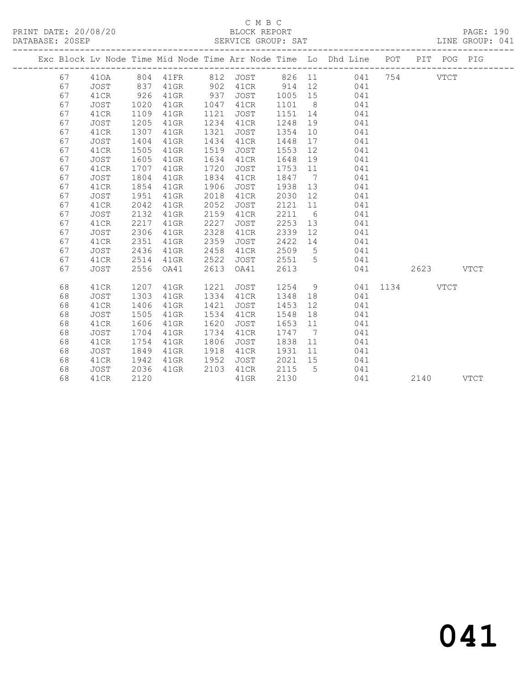#### C M B C<br>BLOCK REPORT SERVICE GROUP: SAT

|    |             |      |         |      |             |      |                 | Exc Block Lv Node Time Mid Node Time Arr Node Time Lo Dhd Line POT |      |      | PIT POG PIG |             |
|----|-------------|------|---------|------|-------------|------|-----------------|--------------------------------------------------------------------|------|------|-------------|-------------|
| 67 | 410A        | 804  | 41FR    | 812  | JOST        | 826  | 11              | 041                                                                | 754  |      | <b>VTCT</b> |             |
| 67 | <b>JOST</b> | 837  | $41$ GR | 902  | 41CR        | 914  | 12              | 041                                                                |      |      |             |             |
| 67 | 41CR        | 926  | 41GR    | 937  | JOST        | 1005 | 15              | 041                                                                |      |      |             |             |
| 67 | JOST        | 1020 | $41$ GR | 1047 | 41CR        | 1101 | 8 <sup>8</sup>  | 041                                                                |      |      |             |             |
| 67 | 41CR        | 1109 | $41$ GR | 1121 | JOST        | 1151 | 14              | 041                                                                |      |      |             |             |
| 67 | <b>JOST</b> | 1205 | 41GR    | 1234 | 41CR        | 1248 | 19              | 041                                                                |      |      |             |             |
| 67 | 41CR        | 1307 | 41GR    | 1321 | JOST        | 1354 | 10              | 041                                                                |      |      |             |             |
| 67 | <b>JOST</b> | 1404 | 41GR    | 1434 | 41CR        | 1448 | 17              | 041                                                                |      |      |             |             |
| 67 | 41CR        | 1505 | 41GR    | 1519 | JOST        | 1553 | 12              | 041                                                                |      |      |             |             |
| 67 | <b>JOST</b> | 1605 | $41$ GR | 1634 | 41CR        | 1648 | 19              | 041                                                                |      |      |             |             |
| 67 | 41CR        | 1707 | $41$ GR | 1720 | JOST        | 1753 | 11              | 041                                                                |      |      |             |             |
| 67 | JOST        | 1804 | $41$ GR | 1834 | 41CR        | 1847 | $\overline{7}$  | 041                                                                |      |      |             |             |
| 67 | 41CR        | 1854 | 41GR    | 1906 | <b>JOST</b> | 1938 | 13              | 041                                                                |      |      |             |             |
| 67 | <b>JOST</b> | 1951 | 41GR    | 2018 | 41CR        | 2030 | 12              | 041                                                                |      |      |             |             |
| 67 | 41CR        | 2042 | $41$ GR | 2052 | <b>JOST</b> | 2121 | 11              | 041                                                                |      |      |             |             |
| 67 | JOST        | 2132 | $41$ GR | 2159 | 41CR        | 2211 | 6               | 041                                                                |      |      |             |             |
| 67 | 41CR        | 2217 | $41$ GR | 2227 | JOST        | 2253 | 13              | 041                                                                |      |      |             |             |
| 67 | JOST        | 2306 | $41$ GR | 2328 | 41CR        | 2339 | 12              | 041                                                                |      |      |             |             |
| 67 | 41CR        | 2351 | $41$ GR | 2359 | JOST        | 2422 | 14              | 041                                                                |      |      |             |             |
| 67 | <b>JOST</b> | 2436 | $41$ GR | 2458 | 41CR        | 2509 | $5\phantom{.0}$ | 041                                                                |      |      |             |             |
| 67 | 41CR        | 2514 | 41GR    | 2522 | JOST        | 2551 | -5              | 041                                                                |      |      |             |             |
| 67 | <b>JOST</b> | 2556 | OA41    | 2613 | OA41        | 2613 |                 | 041                                                                |      | 2623 |             | <b>VTCT</b> |
| 68 | 41CR        | 1207 | $41$ GR | 1221 | JOST        | 1254 | 9               | 041                                                                | 1134 |      | <b>VTCT</b> |             |
| 68 | JOST        | 1303 | 41GR    | 1334 | 41CR        | 1348 | 18              | 041                                                                |      |      |             |             |
| 68 | 41CR        | 1406 | $41$ GR | 1421 | JOST        | 1453 | 12              | 041                                                                |      |      |             |             |
| 68 | <b>JOST</b> | 1505 | 41GR    | 1534 | 41CR        | 1548 | 18              | 041                                                                |      |      |             |             |
| 68 | 41CR        | 1606 | 41GR    | 1620 | <b>JOST</b> | 1653 | 11              | 041                                                                |      |      |             |             |
| 68 | JOST        | 1704 | 41GR    | 1734 | 41CR        | 1747 | $\overline{7}$  | 041                                                                |      |      |             |             |
| 68 | 41CR        | 1754 | $41$ GR | 1806 | JOST        | 1838 | 11              | 041                                                                |      |      |             |             |
| 68 | JOST        | 1849 | 41GR    | 1918 | 41CR        | 1931 | 11              | 041                                                                |      |      |             |             |
| 68 | 41CR        | 1942 | 41GR    | 1952 | JOST        | 2021 | 15              | 041                                                                |      |      |             |             |
| 68 | JOST        | 2036 | $41$ GR | 2103 | 41CR        | 2115 | 5               | 041                                                                |      |      |             |             |
| 68 | 41CR        | 2120 |         |      | $41$ GR     | 2130 |                 | 041                                                                |      | 2140 |             | <b>VTCT</b> |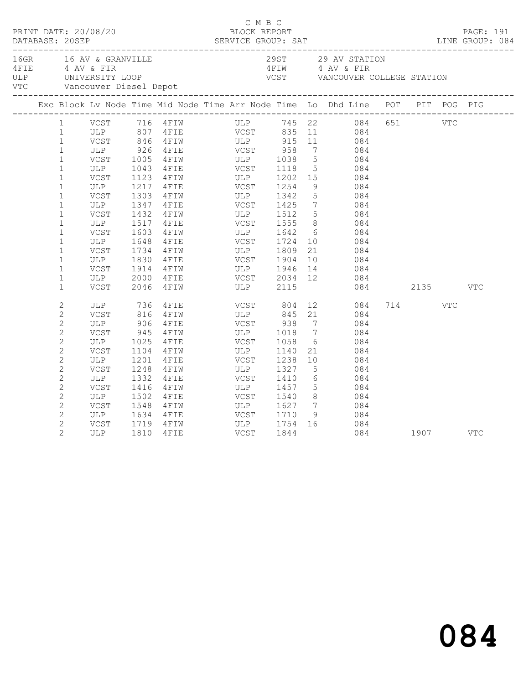|                | 16GR 16 AV & GRANVILLE<br>16GR 16 AV & GRANVILLE<br>4 AV & FIR<br>16LP UNIVERSITY LOOP VCST VANCOUVER COLLEGE STATION<br>16TIM 4 AV & FIR<br>16TIM 4 AV & FIR<br>16TIM VCST VANCOUVER COLLEGE STATION<br>16TIM 1 AV & FIR<br>16TIM VCST VANCOU |      |                                                         |             |                       |                 |                                                                                                                                        |              |      |     |     |
|----------------|------------------------------------------------------------------------------------------------------------------------------------------------------------------------------------------------------------------------------------------------|------|---------------------------------------------------------|-------------|-----------------------|-----------------|----------------------------------------------------------------------------------------------------------------------------------------|--------------|------|-----|-----|
|                | Exc Block Lv Node Time Mid Node Time Arr Node Time Lo Dhd Line POT PIT POG PIG                                                                                                                                                                 |      |                                                         |             |                       |                 |                                                                                                                                        |              |      |     |     |
| $\mathbf{1}$   |                                                                                                                                                                                                                                                |      |                                                         |             |                       |                 | VCST 716 4FIW ULP 745 22 084 651 VTC                                                                                                   |              |      |     |     |
| $\mathbf{1}$   |                                                                                                                                                                                                                                                |      |                                                         |             |                       |                 |                                                                                                                                        |              |      |     |     |
| $\mathbf{1}$   |                                                                                                                                                                                                                                                |      |                                                         |             |                       |                 |                                                                                                                                        |              |      |     |     |
| $\mathbf{1}$   | ULP 926                                                                                                                                                                                                                                        |      | 4FIE VCST 958                                           |             |                       |                 | 7 084                                                                                                                                  |              |      |     |     |
| $\mathbf{1}$   |                                                                                                                                                                                                                                                |      | VCST 1005 4FIW ULP 1038<br>ULP 1043 4FIE VCST 1118      |             |                       |                 | $\begin{array}{ccc} 5 & 084 \\ 5 & 084 \end{array}$                                                                                    |              |      |     |     |
| $\mathbf{1}$   |                                                                                                                                                                                                                                                |      |                                                         |             |                       |                 |                                                                                                                                        |              |      |     |     |
| $\mathbf{1}$   | VCST                                                                                                                                                                                                                                           | 1123 | 4FIW ULP 1202<br>4FIE VCST 1254                         |             |                       |                 | 15 084                                                                                                                                 |              |      |     |     |
| $\mathbf{1}$   | ULP                                                                                                                                                                                                                                            |      | 1217 4FIE                                               |             |                       | 9               | 084                                                                                                                                    |              |      |     |     |
| $\mathbf{1}$   | VCST                                                                                                                                                                                                                                           | 1303 | 4FIW ULP 1342                                           |             |                       | 5 <sup>5</sup>  | 084                                                                                                                                    |              |      |     |     |
| $\mathbf{1}$   | ULP                                                                                                                                                                                                                                            | 1347 |                                                         |             |                       |                 | $\begin{array}{ccc} 7 & 084 \\ 5 & 084 \end{array}$                                                                                    |              |      |     |     |
| $\mathbf{1}$   | VCST                                                                                                                                                                                                                                           |      | 1432 4FIW                                               |             |                       |                 |                                                                                                                                        |              |      |     |     |
| $\mathbf{1}$   | ULP                                                                                                                                                                                                                                            |      | 1517 4FIE                                               |             | <b>VCST</b> 1555      |                 | 8 084                                                                                                                                  |              |      |     |     |
| $\mathbf{1}$   | VCST                                                                                                                                                                                                                                           | 1603 | 4 FIW ULP 1642<br>4 FIE VCST 1724                       |             |                       |                 | $\begin{array}{c} 6 \\ 10 \end{array}$<br>084                                                                                          |              |      |     |     |
| $\mathbf{1}$   | ULP                                                                                                                                                                                                                                            | 1648 |                                                         |             |                       |                 | 084                                                                                                                                    |              |      |     |     |
| $\mathbf{1}$   | VCST                                                                                                                                                                                                                                           | 1734 | 4 FIW ULP 1809                                          |             |                       |                 | 21<br>084                                                                                                                              |              |      |     |     |
| $\mathbf{1}$   | ULP                                                                                                                                                                                                                                            | 1830 | 4 F I E                                                 | VCST        | 1904                  | 10              | 084                                                                                                                                    |              |      |     |     |
| $\mathbf{1}$   | VCST                                                                                                                                                                                                                                           | 1914 | 4FIW ULP 1946                                           |             |                       |                 | $\begin{array}{ccc} 13 & 084 \end{array}$                                                                                              |              |      |     |     |
| $\mathbf{1}$   | ULP                                                                                                                                                                                                                                            | 2000 |                                                         |             |                       |                 | 12 084                                                                                                                                 |              |      |     |     |
| $\mathbf{1}$   | VCST                                                                                                                                                                                                                                           | 2046 |                                                         |             |                       |                 |                                                                                                                                        | 084 2135 VTC |      |     |     |
| $\sqrt{2}$     | ULP                                                                                                                                                                                                                                            |      | 4 FIE VCST 804<br>4 FIW ULP 845<br>736 4FIE<br>816 4FIW |             |                       |                 | $\begin{array}{ccc} 12 & \quad & 084 \\ 21 & \quad & 084 \end{array}$                                                                  |              | 714  | VTC |     |
| $\mathbf{2}$   | VCST                                                                                                                                                                                                                                           |      |                                                         |             |                       |                 |                                                                                                                                        |              |      |     |     |
| $\overline{c}$ | ULP                                                                                                                                                                                                                                            | 906  | $4$ FIE                                                 |             | VCST 938              |                 | $7\overline{ }$<br>084                                                                                                                 |              |      |     |     |
| $\overline{c}$ | VCST                                                                                                                                                                                                                                           | 945  | 4 F I W                                                 |             | ULP 1018              | $7\overline{)}$ | 084                                                                                                                                    |              |      |     |     |
| $\mathbf{2}$   | ULP                                                                                                                                                                                                                                            |      | 1025 4FIE                                               |             | VCST 1058             | 6               | 084                                                                                                                                    |              |      |     |     |
| $\mathbf{2}$   | VCST                                                                                                                                                                                                                                           | 1104 | 4 F I W                                                 | ULP<br>VCST | 1140                  |                 | 21<br>084                                                                                                                              |              |      |     |     |
| $\sqrt{2}$     | ULP                                                                                                                                                                                                                                            | 1201 | 4FIE                                                    |             | 1238                  | 10              | 084                                                                                                                                    |              |      |     |     |
| $\sqrt{2}$     | VCST                                                                                                                                                                                                                                           | 1248 | 4FIW                                                    |             | ULP 1327              | $5\overline{)}$ | 084                                                                                                                                    |              |      |     |     |
| $\mathbf{2}$   | ULP                                                                                                                                                                                                                                            | 1332 | 4 F I E                                                 |             | VCST 1410<br>ULP 1457 |                 | $\begin{array}{c} 6 \\ 5 \end{array}$<br>084                                                                                           |              |      |     |     |
| $\overline{c}$ | VCST                                                                                                                                                                                                                                           | 1416 | $4$ $F$ $I$ $W$                                         |             |                       |                 | 084                                                                                                                                    |              |      |     |     |
| $\mathbf{2}$   | ULP                                                                                                                                                                                                                                            | 1502 | 4 F I E                                                 | VCST        | 1540                  |                 | 8 084                                                                                                                                  |              |      |     |     |
| $\sqrt{2}$     | VCST                                                                                                                                                                                                                                           | 1548 | 4FIW                                                    | ULP         | 1627                  | $7\overline{ }$ | 084                                                                                                                                    |              |      |     |     |
| $\overline{c}$ | ULP                                                                                                                                                                                                                                            |      | 1634 4FIE                                               |             | VCST 1710             |                 | $\begin{array}{ccc} \text{1} & \text{1} & \text{1} \\ \text{2} & \text{1} & \text{2} \\ \text{3} & \text{1} & \text{3} \\ \end{array}$ |              |      |     |     |
| $\overline{2}$ | VCST                                                                                                                                                                                                                                           | 1719 | 4 F I W                                                 |             | ULP 1754<br>VCST 1844 |                 | 16 084                                                                                                                                 |              |      |     |     |
| $\overline{2}$ | ULP                                                                                                                                                                                                                                            | 1810 | 4FIE                                                    |             |                       |                 | 084                                                                                                                                    |              | 1907 |     | VTC |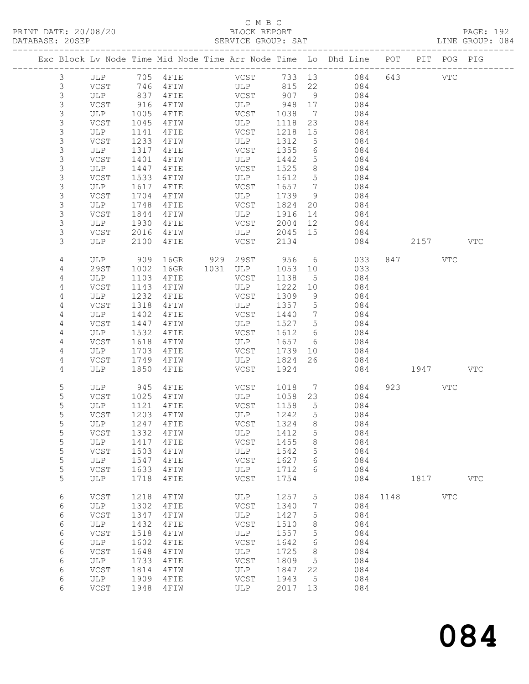#### C M B C<br>BLOCK REPORT SERVICE GROUP: SAT

|                |            |      |           |      |               |        |                 | Exc Block Lv Node Time Mid Node Time Arr Node Time Lo Dhd Line POT PIT POG PIG |      |      |              |              |
|----------------|------------|------|-----------|------|---------------|--------|-----------------|--------------------------------------------------------------------------------|------|------|--------------|--------------|
| $\mathfrak{Z}$ | ULP        | 705  | 4FIE      |      | VCST          | 733 13 |                 | 084                                                                            | 643  |      | $_{\rm VTC}$ |              |
| 3              | VCST       | 746  | 4FIW      |      | ULP           | 815    | 22              | 084                                                                            |      |      |              |              |
| $\mathsf 3$    | ULP        | 837  | 4FIE      |      | VCST          | 907    | 9               | 084                                                                            |      |      |              |              |
| $\mathsf S$    | VCST       | 916  | 4FIW      |      | ULP           | 948    | 17              | 084                                                                            |      |      |              |              |
| $\mathsf S$    | ULP        | 1005 | 4FIE      |      | VCST          | 1038   | 7               | 084                                                                            |      |      |              |              |
| $\mathsf S$    | VCST       | 1045 | 4FIW      |      | ULP           | 1118   | 23              | 084                                                                            |      |      |              |              |
| $\mathsf S$    | ULP        | 1141 | 4FIE      |      | VCST          | 1218   | 15              | 084                                                                            |      |      |              |              |
| $\mathsf S$    | VCST       | 1233 | 4FIW      |      | ULP           | 1312   | 5               | 084                                                                            |      |      |              |              |
| $\mathsf S$    | ULP        | 1317 | 4FIE      |      | VCST          | 1355   | 6               | 084                                                                            |      |      |              |              |
| $\mathsf S$    | VCST       | 1401 | 4FIW      |      | ULP           | 1442   | 5               | 084                                                                            |      |      |              |              |
| $\mathsf S$    | ULP        | 1447 | 4FIE      |      | VCST          | 1525   | 8               | 084                                                                            |      |      |              |              |
| $\mathsf S$    | VCST       | 1533 | 4FIW      |      | ULP           | 1612   | $\overline{5}$  | 084                                                                            |      |      |              |              |
| $\mathsf 3$    | ULP        | 1617 | 4FIE      |      | VCST          | 1657   | 7               | 084                                                                            |      |      |              |              |
| $\mathsf S$    | VCST       | 1704 | 4FIW      |      | ULP           | 1739   | 9               | 084                                                                            |      |      |              |              |
| $\mathsf S$    | ULP        | 1748 | 4FIE      |      | VCST          | 1824   | 20              | 084                                                                            |      |      |              |              |
| $\mathsf S$    | VCST       | 1844 | 4FIW      |      | ULP           | 1916   | 14              | 084                                                                            |      |      |              |              |
| $\mathsf S$    | ULP        | 1930 | 4FIE      |      | VCST          | 2004   | 12              | 084                                                                            |      |      |              |              |
| 3              | VCST       | 2016 | 4FIW      |      | ULP           | 2045   | 15              | 084                                                                            |      |      |              |              |
| 3              | ULP        | 2100 | 4FIE      |      | VCST          | 2134   |                 | 084                                                                            |      | 2157 |              | <b>VTC</b>   |
| 4              | ULP        | 909  | 16GR      | 929  | 29ST          | 956    | 6               | 033                                                                            | 847  |      | VTC          |              |
| 4              | 29ST       | 1002 | 16GR      | 1031 | ULP           | 1053   | 10              | 033                                                                            |      |      |              |              |
| 4              | ULP        | 1103 | 4FIE      |      | VCST          | 1138   | 5               | 084                                                                            |      |      |              |              |
| 4              | VCST       | 1143 | 4FIW      |      | ULP           | 1222   | 10              | 084                                                                            |      |      |              |              |
| 4              | ULP        | 1232 | 4FIE      |      | VCST          | 1309   | 9               | 084                                                                            |      |      |              |              |
| 4              | VCST       | 1318 | 4FIW      |      | ULP           | 1357   | 5               | 084                                                                            |      |      |              |              |
| 4              | ULP        | 1402 | 4FIE      |      | VCST          | 1440   | $7\phantom{.0}$ | 084                                                                            |      |      |              |              |
| 4              | VCST       | 1447 | 4FIW      |      | ULP           | 1527   | $5\phantom{.0}$ | 084                                                                            |      |      |              |              |
| 4              | ULP        | 1532 | 4FIE      |      | VCST          | 1612   | 6               | 084                                                                            |      |      |              |              |
| 4              | VCST       | 1618 | 4FIW      |      | ULP           | 1657   | 6               | 084                                                                            |      |      |              |              |
| 4              | ULP        | 1703 | 4FIE      |      | VCST          | 1739   | 10              | 084                                                                            |      |      |              |              |
| 4              | VCST       | 1749 | 4FIW      |      | ULP           | 1824   | 26              | 084                                                                            |      |      |              |              |
| 4              | ULP        | 1850 | 4FIE      |      | VCST          | 1924   |                 | 084                                                                            |      | 1947 |              | <b>VTC</b>   |
| 5              | ULP        | 945  | 4FIE      |      | VCST          | 1018   | 7               | 084                                                                            | 923  |      | <b>VTC</b>   |              |
| 5              | VCST       | 1025 | 4FIW      |      | ULP           | 1058   | 23              | 084                                                                            |      |      |              |              |
| 5              | ULP        | 1121 | 4FIE      |      | VCST          | 1158   | 5               | 084                                                                            |      |      |              |              |
| 5              | VCST       | 1203 | 4 F I W   |      | ULP           | 1242   | 5               | 084                                                                            |      |      |              |              |
| 5              | ULP        | 1247 | 4FIE      |      | VCST          | 1324   | 8               | 084                                                                            |      |      |              |              |
| 5              | VCST       |      | 1332 4FIW |      | ULP           | 1412 5 |                 | 084                                                                            |      |      |              |              |
| 5              | ULP        | 1417 | 4FIE      |      | VCST          | 1455   | 8               | 084                                                                            |      |      |              |              |
| 5              | VCST       | 1503 | 4FIW      |      | ULP           | 1542   | 5               | 084                                                                            |      |      |              |              |
| 5              | <b>ULP</b> | 1547 | 4FIE      |      | VCST          | 1627   | 6               | 084                                                                            |      |      |              |              |
| 5              | VCST       | 1633 | 4FIW      |      | ULP           | 1712   | 6               | 084                                                                            |      |      |              |              |
| 5              | ULP        | 1718 | 4FIE      |      | $_{\rm VCST}$ | 1754   |                 | 084                                                                            |      | 1817 |              | $_{\rm VTC}$ |
| 6              | VCST       | 1218 | 4FIW      |      | ULP           | 1257   | 5               | 084                                                                            | 1148 |      | $_{\rm VTC}$ |              |
| 6              | ULP        | 1302 | 4FIE      |      | VCST          | 1340   | 7               | 084                                                                            |      |      |              |              |
| 6              | VCST       | 1347 | 4FIW      |      | ULP           | 1427   | 5               | 084                                                                            |      |      |              |              |
| 6              | ULP        | 1432 | 4FIE      |      | VCST          | 1510   | 8               | 084                                                                            |      |      |              |              |
| 6              | VCST       | 1518 | 4FIW      |      | ULP           | 1557   | 5               | 084                                                                            |      |      |              |              |
| 6              | <b>ULP</b> | 1602 | 4FIE      |      | VCST          | 1642   | 6               | 084                                                                            |      |      |              |              |
| $\epsilon$     | VCST       | 1648 | 4FIW      |      | ULP           | 1725   | 8               | 084                                                                            |      |      |              |              |
| 6              | ULP        | 1733 | 4FIE      |      | VCST          | 1809   | 5               | 084                                                                            |      |      |              |              |
| 6              | VCST       | 1814 | 4FIW      |      | ULP           | 1847   | 22              | 084                                                                            |      |      |              |              |
| 6              | ULP        | 1909 | 4FIE      |      | VCST          | 1943   | 5               | 084                                                                            |      |      |              |              |
| 6              | VCST       | 1948 | 4FIW      |      | ULP           | 2017   | 13              | 084                                                                            |      |      |              |              |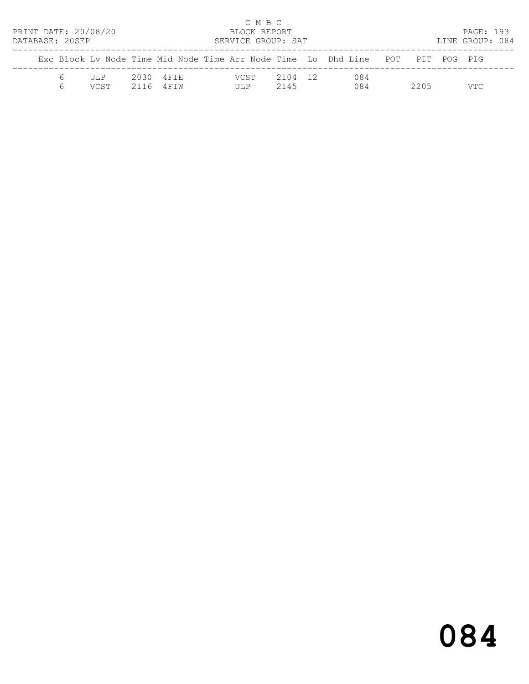| PRINT DATE: 20/08/20<br>DATABASE: 20SEP |              |      |                      | C M B C<br>BLOCK REPORT<br>SERVICE GROUP: SAT |                 |                                                                                |      | PAGE: 193<br>LINE GROUP: 084 |  |
|-----------------------------------------|--------------|------|----------------------|-----------------------------------------------|-----------------|--------------------------------------------------------------------------------|------|------------------------------|--|
|                                         |              |      |                      |                                               |                 | Exc Block Ly Node Time Mid Node Time Arr Node Time Lo Dhd Line POT PIT POG PIG |      |                              |  |
|                                         | UL P<br>VCST | 2116 | 2030 4FTE<br>4 F T W | VCST<br>ULP                                   | 2104 12<br>2145 | 084<br>084                                                                     | 2205 | VTC                          |  |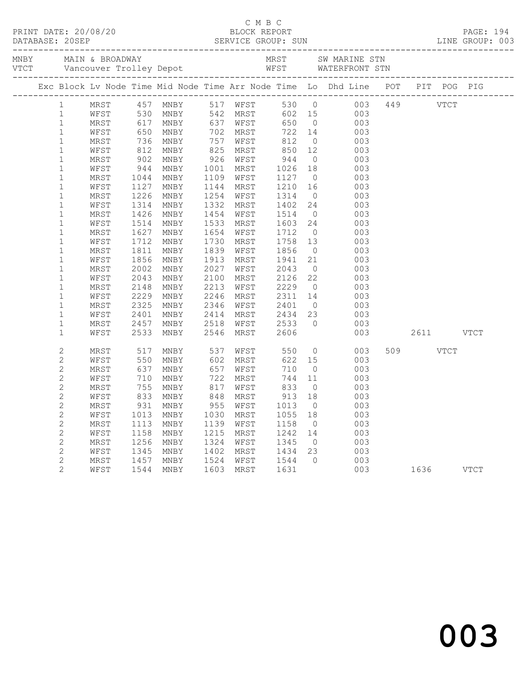|                            |              |                   |                          |              |                      |                     |                | Exc Block Lv Node Time Mid Node Time Arr Node Time Lo Dhd Line POT PIT POG PIG     |               |             |
|----------------------------|--------------|-------------------|--------------------------|--------------|----------------------|---------------------|----------------|------------------------------------------------------------------------------------|---------------|-------------|
|                            |              |                   | 1 MRST 457 MNBY 517 WFST |              |                      |                     |                | 530 0 003 449 VTCT                                                                 |               |             |
| $\mathbf{1}$               | WFST         |                   |                          |              |                      |                     |                | 602 15 003                                                                         |               |             |
| $\mathbf{1}$               | MRST         | 530<br>617<br>650 |                          |              |                      |                     |                | MNBY 542 MRST 602 15 003<br>MNBY 637 WFST 650 0 003<br>MNBY 702 MRST 722 14 003    |               |             |
| $\mathbf{1}$               | WFST         |                   |                          |              |                      |                     |                |                                                                                    |               |             |
| $\mathbf{1}$               | MRST         | 736               | MNBY                     | 757          | WFST                 | 812                 |                | $0$ 003                                                                            |               |             |
| $\mathbf{1}$               | WFST         | 812               | MNBY                     | 825          | MRST 850             |                     |                | 12 003                                                                             |               |             |
| $\mathbf{1}$               | MRST         | 902<br>944        | MNBY                     | 926          | WFST                 | 944<br>1026         |                | $\begin{array}{ccc} 0 & \hspace{1.5cm} 003 \\ 18 & \hspace{1.5cm} 003 \end{array}$ |               |             |
| $\mathbf{1}$               | WFST         |                   | MNBY                     | 1001         | MRST                 |                     |                |                                                                                    |               |             |
| $\mathbf 1$                | MRST         | 1044              | MNBY                     |              | 1109 WFST            | 1127                |                | $0$ 003                                                                            |               |             |
| $\mathbf{1}$               | WFST         | 1127              | MNBY                     | 1144         | MRST                 | 1210                |                | 16 003                                                                             |               |             |
| $\mathbf 1$                | MRST         | 1226              | MNBY                     |              | 1254 WFST            |                     |                | 1314 0 003<br>1402 24 003                                                          |               |             |
| $\mathbf{1}$               | WFST         | 1314              | MNBY                     | 1332         | MRST                 |                     |                |                                                                                    |               |             |
| $\mathbf 1$                | MRST         | 1426              | MNBY                     | 1454         | WFST                 | 1514                |                | $0$ 003                                                                            |               |             |
| $\mathbf{1}$               | WFST         | 1514              | MNBY                     | 1533         | MRST                 | 1603 24             |                | 003                                                                                |               |             |
| 1                          | MRST         | 1627              | MNBY                     | 1654         | WFST                 | 1712 0<br>1758 13   |                | 003                                                                                |               |             |
| $\mathbf{1}$               | WFST         | 1712              | MNBY                     | 1730         | MRST                 | 1856                |                | 003<br>$0$ 003                                                                     |               |             |
| 1                          | MRST         | 1811              | MNBY                     | 1839         | WFST                 |                     |                | 21                                                                                 |               |             |
| $\mathbf 1$                | WFST         | 1856<br>2002      | MNBY<br>MNBY             | 1913<br>2027 | MRST<br>WFST         | 1941                |                | 003                                                                                |               |             |
| $\mathbf 1$<br>$\mathbf 1$ | MRST<br>WFST | 2043              | MNBY                     | 2100         | MRST                 | $2043$ v<br>2126 22 |                | $\begin{array}{ccc} 0 & 0 & 0 \\ 22 & 0 & 0 \\ 0 & 0 & 0 \end{array}$<br>003       |               |             |
| $\mathbf{1}$               | MRST         | 2148              | MNBY                     | 2213         | WFST                 | 2229                |                | $\overline{O}$<br>003                                                              |               |             |
| $\mathbf 1$                | WFST         | 2229              | MNBY                     | 2246         | MRST 2311 14         |                     |                | 003                                                                                |               |             |
| $\mathbf 1$                | MRST         | 2325              | MNBY                     | 2346         | WFST                 |                     |                |                                                                                    |               |             |
| $\mathbf 1$                | WFST         | 2401              | MNBY                     | 2414         | MRST                 | 2401<br>2434        |                | $\begin{array}{ccc} 0 & & 003 \\ 23 & & 003 \\ 0 & & 003 \end{array}$              |               |             |
| $\mathbf{1}$               | MRST         | 2457              | MNBY                     | 2518         | WFST                 | 2533                |                |                                                                                    |               |             |
| $\mathbf{1}$               | WFST         | 2533              | MNBY                     | 2546         | MRST                 | 2606                |                |                                                                                    | 003 2611 VTCT |             |
|                            |              |                   |                          |              |                      |                     |                |                                                                                    |               |             |
| $\mathbf{2}$               | MRST         | 517<br>550        | MNBY                     | 537          | WFST<br>MRST         | 550                 |                | $\overline{0}$<br>003                                                              | 509 VTCT      |             |
| $\mathbf{2}$               | WFST         | 550               | MNBY                     | 602          | MRST                 |                     |                | $622$ 15<br>003                                                                    |               |             |
| 2                          | MRST         | 637               | MNBY                     | 657          | WFST                 | 710                 | $\overline{0}$ | 003                                                                                |               |             |
| 2                          | WFST         | 710               | MNBY                     | 722          | MRST                 | 744                 | 11             | 003                                                                                |               |             |
| $\mathbf{2}$               | MRST         |                   | 755 MNBY<br>833 MNBY     |              | 817 WFST<br>848 MRST | 833 0<br>913 18     | $\overline{0}$ | $\begin{array}{c} 003 \\ 003 \end{array}$                                          |               |             |
| $\mathbf{2}$               | WFST         |                   |                          |              |                      |                     |                |                                                                                    |               |             |
| $\mathbf{2}$               | MRST         |                   | 931 MNBY                 |              |                      |                     |                | 955 WFST 1013 0 003                                                                |               |             |
| 2                          | WFST         | 1013              | MNBY                     | 1030         | MRST                 | 1055                | 18             | 003                                                                                |               |             |
| $\mathbf{2}$               | MRST         | 1113              | MNBY                     | 1139         | WFST                 | 1158                | $\overline{0}$ | 003                                                                                |               |             |
| $\sqrt{2}$                 | WFST         | 1158              | MNBY                     | 1215         | MRST                 | 1242                | 14             | 003                                                                                |               |             |
| $\mathbf{2}$               | MRST         | 1256              | MNBY                     | 1324         | WFST                 | 1345                | $\overline{0}$ | 003                                                                                |               |             |
| 2                          | WFST         | 1345              | MNBY                     | 1402         | MRST                 | 1434                | 23             | 003                                                                                |               |             |
| $\mathbf{2}$               | MRST         | 1457              | MNBY                     | 1524         | WFST                 | 1544                | $\Omega$       | 003                                                                                |               |             |
| $\overline{2}$             | WFST         | 1544              | MNBY                     | 1603         | MRST                 | 1631                |                | 003                                                                                | 1636          | <b>VTCT</b> |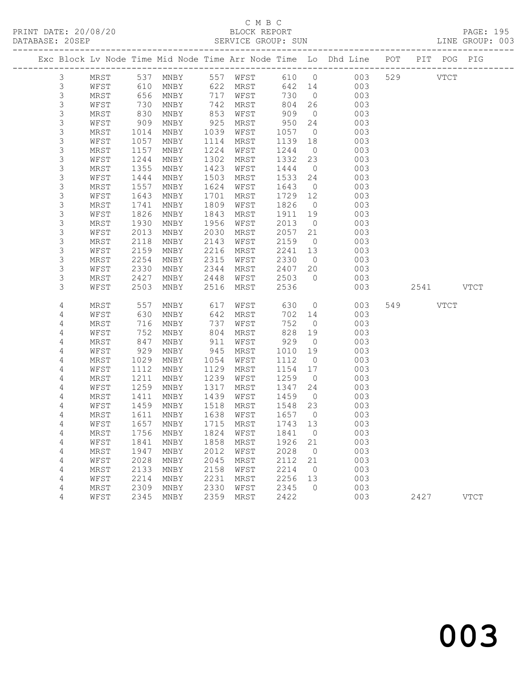# C M B C<br>BLOCK REPORT

| PRINT DATE: 20/08/20 | BLOCK REPORT                                                                   | <b>PAGE: 195</b> |
|----------------------|--------------------------------------------------------------------------------|------------------|
| DATABASE: 20SEP      | SERVICE GROUP: SUN                                                             | LINE GROUP: 003  |
|                      | Exc Block Ly Node Time Mid Node Time Arr Node Time Lo Dhd Line POT PIT POG PIG |                  |

|                |            |      |                                |      |             |      |                | Exc Block Lv Node Time Mid Node Time Arr Node Time Lo Dhd Line | POT |             | PIT POG PIG |  |
|----------------|------------|------|--------------------------------|------|-------------|------|----------------|----------------------------------------------------------------|-----|-------------|-------------|--|
| 3              | MRST       |      | 537 MNBY                       |      | 557 WFST    | 610  | $\overline{0}$ | 003                                                            | 529 | <b>VTCT</b> |             |  |
| 3              | WFST       | 610  | MNBY                           | 622  | MRST        | 642  | 14             | 003                                                            |     |             |             |  |
| $\mathsf S$    | MRST       | 656  | MNBY                           | 717  | WFST        | 730  | $\overline{0}$ | 003                                                            |     |             |             |  |
| $\mathfrak{Z}$ | WFST       | 730  | MNBY                           | 742  | MRST        | 804  | 26             | 003                                                            |     |             |             |  |
| 3              | MRST       | 830  | MNBY                           | 853  | WFST        | 909  | $\overline{0}$ | 003                                                            |     |             |             |  |
| $\mathsf 3$    | WFST       | 909  | MNBY                           | 925  | MRST        | 950  | 24             | 003                                                            |     |             |             |  |
| $\mathfrak{Z}$ | MRST       | 1014 | MNBY                           | 1039 | WFST        | 1057 | $\overline{0}$ | 003                                                            |     |             |             |  |
| $\mathsf 3$    | WFST       | 1057 | MNBY                           | 1114 | MRST        | 1139 | 18             | 003                                                            |     |             |             |  |
| $\mathfrak{Z}$ | $\tt MRST$ | 1157 | $\operatorname{\texttt{MNBY}}$ | 1224 | WFST        | 1244 | $\overline{0}$ | 003                                                            |     |             |             |  |
| $\mathsf 3$    | WFST       | 1244 | $\operatorname{\texttt{MNBY}}$ | 1302 | MRST        | 1332 | 23             | 003                                                            |     |             |             |  |
| $\mathfrak{Z}$ | MRST       | 1355 | $\operatorname{\texttt{MNBY}}$ | 1423 | WFST        | 1444 | $\circ$        | 003                                                            |     |             |             |  |
| $\mathsf S$    | WFST       | 1444 | MNBY                           | 1503 | MRST        | 1533 | 24             | 003                                                            |     |             |             |  |
| $\mathsf 3$    | MRST       | 1557 | $\operatorname{\texttt{MNBY}}$ | 1624 | WFST        | 1643 | $\overline{0}$ | 003                                                            |     |             |             |  |
| $\mathsf S$    | WFST       | 1643 | MNBY                           | 1701 | MRST        | 1729 | 12             | 003                                                            |     |             |             |  |
| $\mathsf S$    | MRST       | 1741 | MNBY                           | 1809 | WFST        | 1826 | $\circ$        | 003                                                            |     |             |             |  |
| $\mathsf S$    | WFST       | 1826 | MNBY                           | 1843 | MRST        | 1911 | 19             | 003                                                            |     |             |             |  |
| $\mathfrak{Z}$ | MRST       | 1930 | $\operatorname{\texttt{MNBY}}$ | 1956 | WFST        | 2013 | $\overline{0}$ | 003                                                            |     |             |             |  |
| $\mathsf 3$    | WFST       | 2013 | MNBY                           | 2030 | MRST        | 2057 | 21             | 003                                                            |     |             |             |  |
| $\mathsf 3$    | MRST       | 2118 | MNBY                           | 2143 | WFST        | 2159 | $\overline{0}$ | 003                                                            |     |             |             |  |
| $\mathsf S$    | WFST       | 2159 | MNBY                           | 2216 | MRST        | 2241 | 13             | 003                                                            |     |             |             |  |
| $\mathsf 3$    | MRST       | 2254 | MNBY                           | 2315 | WFST        | 2330 | $\overline{0}$ | 003                                                            |     |             |             |  |
| $\mathsf S$    | WFST       | 2330 | MNBY                           | 2344 | MRST        | 2407 | 20             | 003                                                            |     |             |             |  |
| 3              | MRST       | 2427 | MNBY                           | 2448 | WFST        | 2503 | $\circ$        | 003                                                            |     |             |             |  |
| 3              | WFST       | 2503 | MNBY                           | 2516 | MRST        | 2536 |                | 003                                                            |     | 2541        | VTCT        |  |
| $\sqrt{4}$     | MRST       | 557  | $\operatorname{\texttt{MNBY}}$ | 617  | WFST        | 630  | $\circ$        | 003                                                            | 549 | VTCT        |             |  |
| $\sqrt{4}$     | WFST       | 630  | MNBY                           | 642  | MRST        | 702  | 14             | 003                                                            |     |             |             |  |
| 4              | MRST       | 716  | MNBY                           | 737  | WFST        | 752  | $\circ$        | 003                                                            |     |             |             |  |
| $\sqrt{4}$     | WFST       | 752  | MNBY                           | 804  | MRST        | 828  | 19             | 003                                                            |     |             |             |  |
| $\sqrt{4}$     | MRST       | 847  | $\operatorname{\texttt{MNBY}}$ | 911  | WFST        | 929  | $\overline{0}$ | 003                                                            |     |             |             |  |
| $\sqrt{4}$     | WFST       | 929  | $\operatorname{\texttt{MNBY}}$ | 945  | $\tt MRST$  | 1010 | 19             | 003                                                            |     |             |             |  |
| 4              | MRST       | 1029 | MNBY                           | 1054 | WFST        | 1112 | $\overline{0}$ | 003                                                            |     |             |             |  |
| $\sqrt{4}$     | WFST       | 1112 | MNBY                           | 1129 | MRST        | 1154 | 17             | 003                                                            |     |             |             |  |
| $\sqrt{4}$     | MRST       | 1211 | MNBY                           | 1239 | WFST        | 1259 | $\overline{0}$ | 003                                                            |     |             |             |  |
| $\sqrt{4}$     | WFST       | 1259 | MNBY                           | 1317 | MRST        | 1347 | 24             | 003                                                            |     |             |             |  |
| $\sqrt{4}$     | MRST       | 1411 | MNBY                           | 1439 | WFST        | 1459 | $\circ$        | 003                                                            |     |             |             |  |
| $\sqrt{4}$     | WFST       | 1459 | MNBY                           | 1518 | MRST        | 1548 | 23             | 003                                                            |     |             |             |  |
| $\sqrt{4}$     | MRST       | 1611 | MNBY                           | 1638 | WFST        | 1657 | $\overline{0}$ | 003                                                            |     |             |             |  |
| 4              | WFST       | 1657 | MNBY                           | 1715 | MRST        | 1743 | 13             | 003                                                            |     |             |             |  |
| $\sqrt{4}$     | MRST       | 1756 | MNBY                           | 1824 | WFST        | 1841 | $\circ$        | 003                                                            |     |             |             |  |
| 4              | WFST       | 1841 | MNBY                           | 1858 | MRST        | 1926 | 21             | 003                                                            |     |             |             |  |
| $\sqrt{4}$     | MRST       | 1947 | MNBY                           | 2012 | WFST        | 2028 | $\overline{0}$ | 003                                                            |     |             |             |  |
| $\sqrt{4}$     | WFST       | 2028 | MNBY                           | 2045 | MRST        | 2112 | 21             | 003                                                            |     |             |             |  |
| $\sqrt{4}$     | MRST       | 2133 | MNBY                           | 2158 | WFST        | 2214 | $\overline{0}$ | 003                                                            |     |             |             |  |
| 4              | WFST       | 2214 | MNBY                           | 2231 | MRST        | 2256 | 13             | 003                                                            |     |             |             |  |
| 4              | MRST       | 2309 | MNBY                           | 2330 | WFST        | 2345 | $\Omega$       | 003                                                            |     |             |             |  |
| 4              | WFST       | 2345 | MNBY                           | 2359 | <b>MRST</b> | 2422 |                | 003                                                            |     | 2427        | <b>VTCT</b> |  |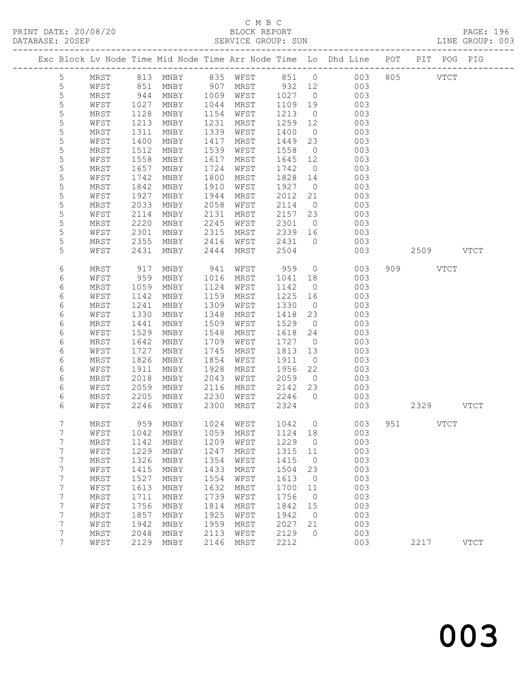#### C M B C<br>BLOCK REPORT SERVICE GROUP: SUN

|                |              |              |                             |              |              |              |                      | Exc Block Lv Node Time Mid Node Time Arr Node Time Lo Dhd Line POT |           | PIT POG PIG |             |
|----------------|--------------|--------------|-----------------------------|--------------|--------------|--------------|----------------------|--------------------------------------------------------------------|-----------|-------------|-------------|
| 5              | MRST         |              |                             |              |              |              |                      | 003                                                                | 805 VTCT  |             |             |
| 5              | WFST         |              |                             |              |              |              |                      | 003                                                                |           |             |             |
| 5              | MRST         | 944          | MNBY                        | 1009         | WFST         | 1027         | $\overline{0}$       | 003                                                                |           |             |             |
| 5              | WFST         | 1027         | MNBY                        | 1044         | MRST         | 1109         | 19                   | 003                                                                |           |             |             |
| 5              | MRST         | 1128         | MNBY                        | 1154         | WFST         | 1213         | $\overline{0}$       | 003                                                                |           |             |             |
| 5              | WFST         | 1213         | MNBY                        | 1231         | MRST         | 1259         | 12                   | 003                                                                |           |             |             |
| 5              | MRST         | 1311         | MNBY                        | 1339         | WFST         | 1400         | $\overline{0}$       | 003                                                                |           |             |             |
| 5              | WFST         | 1400         | MNBY                        | 1417         | MRST         | 1449         | 23                   | 003                                                                |           |             |             |
| 5              | MRST         | 1512         | MNBY                        | 1539         | WFST         | 1558         | $\overline{0}$       | 003                                                                |           |             |             |
| 5              | WFST         | 1558         | MNBY                        | 1617         | MRST         | 1645         | 12                   | 003                                                                |           |             |             |
| 5              | MRST         | 1657         | MNBY                        | 1724         | WFST         | 1742         | $\overline{0}$       | 003                                                                |           |             |             |
| 5              | WFST         | 1742         | MNBY                        | 1800         | MRST         | 1828         | 14                   | 003                                                                |           |             |             |
| 5              | MRST         | 1842         | MNBY                        | 1910         | WFST         | 1927         | $\overline{0}$       | 003                                                                |           |             |             |
| 5              | WFST         | 1927         | MNBY                        | 1944         | MRST         | 2012         | 21                   | 003                                                                |           |             |             |
| 5              | MRST         | 2033         | MNBY                        | 2058         | WFST         | 2114         | $\overline{0}$       | 003                                                                |           |             |             |
| 5              | WFST         | 2114         | MNBY                        | 2131         | MRST         | 2157         | 23                   | 003                                                                |           |             |             |
| 5              | MRST         | 2220         | MNBY                        | 2245         | WFST         | 2301         | $\overline{0}$       | 003                                                                |           |             |             |
| $\mathsf S$    | WFST         | 2301         | MNBY                        | 2315         | MRST         | 2339         | 16                   | 003                                                                |           |             |             |
| 5              | MRST         | 2355         | MNBY                        | 2416         | WFST         | 2431         | $\overline{0}$       | 003                                                                |           |             |             |
| 5              | WFST         | 2431         | MNBY                        | 2444         | MRST         | 2504         |                      | 003                                                                | 2509 VTCT |             |             |
| 6              | MRST         | 917          | MNBY                        | 941          | WFST         | 959          | $\overline{0}$       | 003                                                                | 909 VTCT  |             |             |
| 6              | WFST         | 959          | MNBY                        | 1016         | MRST         | 1041         | 18                   | 003                                                                |           |             |             |
| 6              | MRST         | 1059         | MNBY                        | 1124         | WFST         | 1142         | $\overline{0}$       | 003                                                                |           |             |             |
| 6              | WFST         | 1142         | MNBY                        | 1159         | MRST         | 1225         | 16                   | 003                                                                |           |             |             |
| 6              | MRST         | 1241         | MNBY                        | 1309         | WFST         | 1330         | $\overline{0}$       | 003                                                                |           |             |             |
| 6              | WFST         | 1330         | MNBY                        | 1348         | MRST         | 1418         | 23                   | 003                                                                |           |             |             |
| 6              | MRST         | 1441         | MNBY                        | 1509         | WFST         | 1529         | $\overline{0}$       | 003                                                                |           |             |             |
| 6              | WFST         | 1529         | MNBY                        | 1548         | MRST         | 1618         | 24                   | 003                                                                |           |             |             |
| 6              | MRST         | 1642         | MNBY                        | 1709         | WFST         | 1727         | $\overline{0}$       | 003                                                                |           |             |             |
| 6<br>6         | WFST<br>MRST | 1727<br>1826 | MNBY<br>MNBY                | 1745<br>1854 | MRST<br>WFST | 1813<br>1911 | 13<br>$\overline{0}$ | 003<br>003                                                         |           |             |             |
| 6              | WFST         | 1911         | MNBY                        | 1928         | MRST         | 1956         | 22                   | 003                                                                |           |             |             |
| 6              | MRST         | 2018         | MNBY                        | 2043         | WFST         | 2059         | $\overline{0}$       | 003                                                                |           |             |             |
| 6              | WFST         | 2059         | MNBY                        | 2116         | MRST         | 2142         | 23                   | 003                                                                |           |             |             |
| 6              | MRST         | 2205         | MNBY                        | 2230         | WFST         | 2246         | $\overline{0}$       | 003                                                                |           |             |             |
| 6              | WFST         | 2246         | MNBY                        | 2300         | MRST         | 2324         |                      | 003                                                                | 2329 VTCT |             |             |
| 7              | MRST         |              | 959 MNBY                    |              | 1024 WFST    | 1042 0       |                      | 003                                                                | 951 VTCT  |             |             |
| 7              | WFST         |              | 1042 MNBY 1059 MRST 1124 18 |              |              |              |                      | 003                                                                |           |             |             |
| 7              | MRST         | 1142         | MNBY                        | 1209         | WFST         | 1229         | $\overline{0}$       | 003                                                                |           |             |             |
| 7              | WFST         | 1229         | MNBY                        | 1247         | MRST         | 1315         | 11                   | 003                                                                |           |             |             |
| 7              | MRST         | 1326         | MNBY                        | 1354         | WFST         | 1415         | $\overline{0}$       | 003                                                                |           |             |             |
| 7              | WFST         | 1415         | MNBY                        | 1433         | MRST         | 1504         | 23                   | 003                                                                |           |             |             |
| 7              | MRST         | 1527         | MNBY                        | 1554         | WFST         | 1613         | $\overline{0}$       | 003                                                                |           |             |             |
| 7              | WFST         | 1613         | MNBY                        | 1632         | MRST         | 1700         | 11                   | 003                                                                |           |             |             |
| 7              | MRST         | 1711         | MNBY                        | 1739         | WFST         | 1756         | $\overline{0}$       | 003                                                                |           |             |             |
| 7              | WFST         | 1756         | MNBY                        | 1814         | MRST         | 1842         | 15                   | 003                                                                |           |             |             |
| 7              | MRST         | 1857         | MNBY                        | 1925         | WFST         | 1942         | $\overline{0}$       | 003                                                                |           |             |             |
| 7              | WFST         | 1942         | MNBY                        | 1959         | MRST         | 2027         | 21                   | 003                                                                |           |             |             |
| 7              | MRST         | 2048         | MNBY                        | 2113         | WFST         | 2129         | $\circ$              | 003                                                                |           |             |             |
| $\overline{7}$ | WFST         | 2129         | MNBY                        | 2146         | MRST         | 2212         |                      | 003                                                                | 2217      |             | <b>VTCT</b> |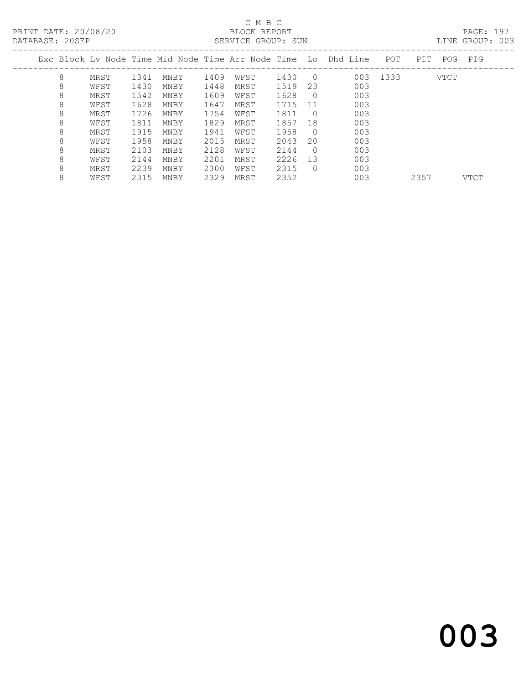#### C M B C<br>BLOCK REPORT DATABASE: 20SEP SERVICE GROUP: SUN LINE GROUP: 003

| DAIADAOL. ZUJLE |      |      |      |      | OLINVICH GRUUF. SUN |      |            |                                                                |      |     |      | LIND GROUP. UVJ |  |
|-----------------|------|------|------|------|---------------------|------|------------|----------------------------------------------------------------|------|-----|------|-----------------|--|
|                 |      |      |      |      |                     |      |            | Exc Block Ly Node Time Mid Node Time Arr Node Time Lo Dhd Line | POT  | PIT | POG  | PIG             |  |
| 8               | MRST | 1341 | MNBY | 1409 | WFST                | 1430 | $\bigcirc$ | 003                                                            | 1333 |     | VTCT |                 |  |
| 8               | WFST | 1430 | MNBY | 1448 | MRST                | 1519 | 23         | 003                                                            |      |     |      |                 |  |
| 8               | MRST | 1542 | MNBY | 1609 | WFST                | 1628 | $\bigcirc$ | 003                                                            |      |     |      |                 |  |
| 8               | WFST | 1628 | MNBY | 1647 | MRST                | 1715 | -11        | 003                                                            |      |     |      |                 |  |
| 8               | MRST | 1726 | MNBY | 1754 | WFST                | 1811 | - 0        | 003                                                            |      |     |      |                 |  |
| 8               | WFST | 1811 | MNBY | 1829 | MRST                | 1857 | 18         | 003                                                            |      |     |      |                 |  |
| 8               | MRST | 1915 | MNBY | 1941 | WFST                | 1958 | - 0        | 003                                                            |      |     |      |                 |  |
| 8               | WFST | 1958 | MNBY | 2015 | MRST                | 2043 | 20         | 003                                                            |      |     |      |                 |  |
| 8               | MRST | 2103 | MNBY | 2128 | WFST                | 2144 | $\Omega$   | 003                                                            |      |     |      |                 |  |
| 8               | WFST | 2144 | MNBY | 2201 | MRST                | 2226 | 13         | 003                                                            |      |     |      |                 |  |
| 8               | MRST | 2239 | MNBY | 2300 | WFST                | 2315 | $\Omega$   | 003                                                            |      |     |      |                 |  |
|                 |      |      |      |      |                     |      |            |                                                                |      |     |      |                 |  |

8 WFST 2315 MNBY 2329 MRST 2352 003 2357 VTCT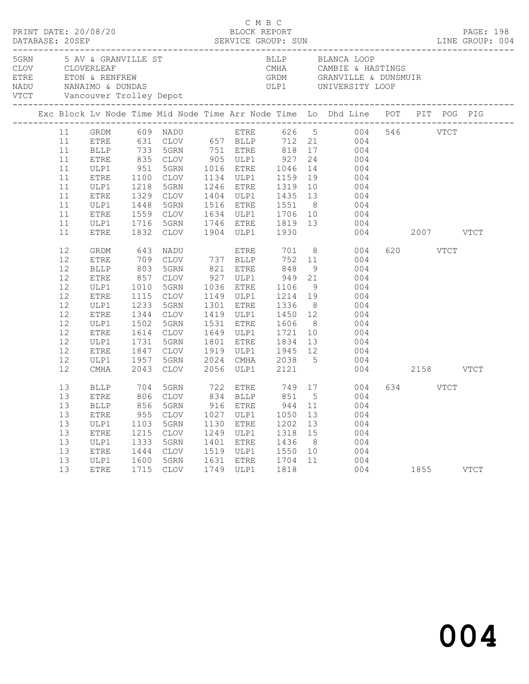| PRINT DATE: 20/08/20     |                                                                                                                                                                |                                                                                                                                                                                                                     |                                                                                                                            |                                                                                                                                                                                                                            |                                                      | C M B C                                              | BLOCK REPORT                                                          |                                              |                                                                                                                                                                                                                                                                                                                                                                                                                                                                                                                                                                                                                                                                                                                |                      | PAGE: 198   |
|--------------------------|----------------------------------------------------------------------------------------------------------------------------------------------------------------|---------------------------------------------------------------------------------------------------------------------------------------------------------------------------------------------------------------------|----------------------------------------------------------------------------------------------------------------------------|----------------------------------------------------------------------------------------------------------------------------------------------------------------------------------------------------------------------------|------------------------------------------------------|------------------------------------------------------|-----------------------------------------------------------------------|----------------------------------------------|----------------------------------------------------------------------------------------------------------------------------------------------------------------------------------------------------------------------------------------------------------------------------------------------------------------------------------------------------------------------------------------------------------------------------------------------------------------------------------------------------------------------------------------------------------------------------------------------------------------------------------------------------------------------------------------------------------------|----------------------|-------------|
| 5GRN 5 AV & GRANVILLE ST |                                                                                                                                                                |                                                                                                                                                                                                                     |                                                                                                                            |                                                                                                                                                                                                                            |                                                      |                                                      |                                                                       |                                              | BLLP BLANCA LOOP                                                                                                                                                                                                                                                                                                                                                                                                                                                                                                                                                                                                                                                                                               |                      |             |
|                          |                                                                                                                                                                |                                                                                                                                                                                                                     |                                                                                                                            |                                                                                                                                                                                                                            |                                                      |                                                      |                                                                       |                                              | Exc Block Lv Node Time Mid Node Time Arr Node Time Lo Dhd Line POT PIT POG PIG                                                                                                                                                                                                                                                                                                                                                                                                                                                                                                                                                                                                                                 |                      |             |
|                          | 11<br>11<br>11<br>11<br>11<br>11<br>11<br>11<br>11<br>11<br>11<br>12<br>12<br>12<br>12<br>12<br>12<br>12<br>12<br>12<br>12<br>12<br>12<br>12<br>12<br>13<br>13 | ETRE<br>ULP1<br>ETRE<br>ULP1<br>ETRE<br>ULP1<br><b>ETRE</b><br>GRDM<br><b>ETRE</b><br>$\operatorname{BLLP}$<br>${\tt ETRE}$<br>ULP1<br>ETRE<br>ULP1<br>${\tt ETRE}$<br>ULP1<br>ETRE<br>ULP1<br>ETRE<br>ULP1<br>CMHA | 1218<br>1329<br>1448<br>1716<br>1832 CLOV<br>643<br>1010<br>1115<br>1233<br>1344<br>1502<br>1731<br>1847 CLOV<br>1957 5GRN | 1100 CLOV 1134 ULP1 1159<br>5GRN<br>1329 CLOV<br>5GRN<br>5GRN<br>NADU<br>709 CLOV 737 BLLP<br>803 5GRN<br>857 CLOV<br>5GRN<br>CLOV<br>5GRN<br><b>CLOV</b><br>5GRN<br>1614 CLOV<br>5GRN<br>CLOV<br>2043 CLOV 2056 ULP1 2121 |                                                      | <b>ETRE</b><br>1531 ETRE<br>1801 ETRE                | 1246 ETRE 1319<br>1904 ULP1 1930<br>1149 ULP1 1214 19<br>1336<br>1834 |                                              | 11 GRDM 609 NADU ETRE 626 5 004 546 VTCT<br>ETRE 631 CLOV 657 BLLP 712 21 004<br>BLLP 733 5GRN 751 ETRE 818 17 004<br>ETRE 835 CLOV 905 ULP1 927 24 004<br>ULP1 951 5GRN 1016 ETRE 1046 14 004<br>19 004<br>10 004<br>1404 ULP1 1435 13 004<br>1516 ETRE 1551 8 004<br>1559 CLOV 1634 ULP1 1706 10 004<br>1746 ETRE 1819 13 004<br>004 2007 VTCT<br>701 8 004<br>752 11 004<br>821 ETRE 848 9 004<br>927 ULP1 949 21 004<br>1036 ETRE 1106 9 004<br>004<br>1301 ETRE 1336 8 004<br>1419 ULP1 1450 12 004<br>1531 ETRE 1606 8 004<br>1649 ULP1 1721 10 004<br>13 004<br>1919 ULP1 1945 12 004<br>2024 CMHA 2038 5 004<br>004 2158 VTCT<br>BLLP 704 5GRN 722 ETRE 749 17 004<br>ETRE 806 CLOV 834 BLLP 851 5 004 | 620 VTCT<br>634 VTCT |             |
|                          | 13<br>13<br>13<br>13<br>13<br>13<br>13                                                                                                                         | <b>ETRE</b><br>ULP1<br>${\tt ETRE}$<br>ULP1<br><b>ETRE</b><br>ULP1<br>ETRE                                                                                                                                          | 955<br>1103<br>1215<br>1333<br>1444<br>1600<br>1715                                                                        | CLOV<br>5GRN<br>CLOV<br>5GRN<br><b>CLOV</b><br>5GRN<br><b>CLOV</b>                                                                                                                                                         | 1027<br>1130<br>1249<br>1401<br>1519<br>1631<br>1749 | ULP1<br>ETRE<br>ULP1<br>ETRE<br>ULP1<br>ETRE<br>ULP1 | 1050<br>1202<br>1318<br>1436<br>1550<br>1704<br>1818                  | 13<br>13<br>15<br>8 <sup>8</sup><br>10<br>11 | 13 BLLP 856 5GRN 916 ETRE 944 11 004<br>004<br>004<br>004<br>004<br>004<br>004<br>004                                                                                                                                                                                                                                                                                                                                                                                                                                                                                                                                                                                                                          | 1855                 | <b>VTCT</b> |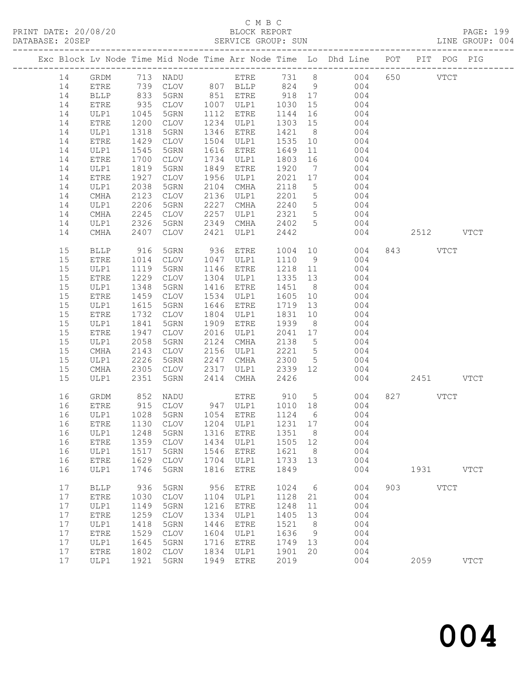# C M B C<br>PLOCK PEPOPT

| PRINT DATE: 20/08/20 |    | _____________________________ |      |           |      | . C 1.1 D C<br>BLOCK REPORT |      |                 | DATABASE: 20SEP SERVICE GROUP: SUN SERVICE GROUP: SUN LINE GROUP: 004          |               |          | PAGE: 199 |
|----------------------|----|-------------------------------|------|-----------|------|-----------------------------|------|-----------------|--------------------------------------------------------------------------------|---------------|----------|-----------|
|                      |    |                               |      |           |      |                             |      |                 | Exc Block Lv Node Time Mid Node Time Arr Node Time Lo Dhd Line POT PIT POG PIG |               |          |           |
|                      | 14 | GRDM                          |      | 713 NADU  |      |                             |      |                 | ETRE 731 8 004 650 VTCT                                                        |               |          |           |
|                      | 14 | ETRE                          |      | 739 CLOV  |      |                             |      |                 | 807 BLLP 824 9 004                                                             |               |          |           |
|                      | 14 | BLLP                          | 833  | 5GRN      | 851  | <b>ETRE</b>                 | 918  |                 | 17<br>004                                                                      |               |          |           |
|                      | 14 | ETRE                          | 935  | CLOV      | 1007 | ULP1                        | 1030 |                 | 004                                                                            |               |          |           |
|                      | 14 | ULP1                          | 1045 | 5GRN      | 1112 | ETRE                        | 1144 |                 | 16<br>004                                                                      |               |          |           |
|                      | 14 | ETRE                          | 1200 | CLOV      | 1234 | ULP1                        | 1303 | 15              | 004                                                                            |               |          |           |
|                      | 14 | ULP1                          | 1318 | 5GRN      | 1346 | <b>ETRE</b>                 | 1421 | 8 <sup>1</sup>  | 004                                                                            |               |          |           |
|                      | 14 | ETRE                          | 1429 | CLOV      | 1504 | ULP1                        | 1535 |                 | 004<br>10                                                                      |               |          |           |
|                      | 14 | ULP1                          | 1545 | 5GRN      | 1616 | ETRE                        | 1649 |                 | $11$ and $11$<br>004                                                           |               |          |           |
|                      | 14 | <b>ETRE</b>                   | 1700 | CLOV      | 1734 | ULP1                        | 1803 | 16              | 004                                                                            |               |          |           |
|                      | 14 | ULP1                          | 1819 | 5GRN      | 1849 | ETRE                        | 1920 | $7\phantom{0}$  | 004                                                                            |               |          |           |
|                      | 14 | ETRE                          | 1927 | CLOV      | 1956 | ULP1                        | 2021 | 17              | 004                                                                            |               |          |           |
|                      | 14 | ULP1                          | 2038 | 5GRN      | 2104 | CMHA                        | 2118 | $5^{\circ}$     | 004                                                                            |               |          |           |
|                      | 14 | CMHA                          | 2123 | CLOV      | 2136 | ULP1                        | 2201 |                 | $5 \quad \bullet$<br>004                                                       |               |          |           |
|                      | 14 | ULP1                          | 2206 | 5GRN      | 2227 | <b>CMHA</b>                 | 2240 | 5               | 004                                                                            |               |          |           |
|                      | 14 | CMHA                          | 2245 | CLOV      | 2257 | ULP1                        | 2321 | 5               | 004                                                                            |               |          |           |
|                      | 14 | ULP1                          | 2326 | 5GRN      | 2349 | CMHA                        | 2402 | $5^{\circ}$     | 004                                                                            |               |          |           |
|                      | 14 | CMHA                          |      | 2407 CLOV | 2421 | ULP1                        | 2442 |                 |                                                                                | 004 2512 VTCT |          |           |
|                      | 15 | BLLP                          | 916  | 5GRN      | 936  | ETRE                        | 1004 |                 | 10<br>004                                                                      |               | 843 VTCT |           |
|                      | 15 | ETRE                          | 1014 | CLOV      | 1047 | ULP1                        | 1110 |                 | $9 \qquad \qquad$<br>004                                                       |               |          |           |
|                      | 15 | ULP1                          | 1119 | 5GRN      | 1146 | ETRE                        | 1218 | 11              | 004                                                                            |               |          |           |
|                      | 15 | ETRE                          | 1229 | CLOV      | 1304 | ULP1                        | 1335 |                 | 13<br>004                                                                      |               |          |           |
|                      | 15 | ULP1                          | 1348 | 5GRN      | 1416 | ETRE                        | 1451 | 8 <sup>1</sup>  | 004                                                                            |               |          |           |
|                      | 15 | ETRE                          | 1459 | CLOV      | 1534 | ULP1                        | 1605 | 10 <sup>°</sup> | 004                                                                            |               |          |           |
|                      | 15 |                               |      |           |      |                             |      |                 | 101 1615 ה-1616 היחסדים והסמא 1615 161                                         |               |          |           |

| 15   | ULP1        | 1615 | 5GRN        | 1646 | ETRE        | 1719 | 13      | 004 |     |      |             |
|------|-------------|------|-------------|------|-------------|------|---------|-----|-----|------|-------------|
| 15   | <b>ETRE</b> | 1732 | <b>CLOV</b> | 1804 | ULP1        | 1831 | 10      | 004 |     |      |             |
| 15   | ULP1        | 1841 | 5GRN        | 1909 | <b>ETRE</b> | 1939 | 8       | 004 |     |      |             |
| 15   | <b>ETRE</b> | 1947 | <b>CLOV</b> | 2016 | ULP1        | 2041 | 17      | 004 |     |      |             |
| 15   | ULP1        | 2058 | 5GRN        | 2124 | <b>CMHA</b> | 2138 | 5       | 004 |     |      |             |
| 15   | <b>CMHA</b> | 2143 | <b>CLOV</b> | 2156 | ULP1        | 2221 | 5       | 004 |     |      |             |
| 15   | ULP1        | 2226 | 5GRN        | 2247 | <b>CMHA</b> | 2300 | 5       | 004 |     |      |             |
| 15   | <b>CMHA</b> | 2305 | <b>CLOV</b> | 2317 | ULP1        | 2339 | 12      | 004 |     |      |             |
| 15   | ULP1        | 2351 | 5GRN        | 2414 | <b>CMHA</b> | 2426 |         | 004 |     | 2451 | <b>VTCT</b> |
| 16   | GRDM        | 852  | <b>NADU</b> |      | <b>ETRE</b> | 910  | 5       | 004 | 827 |      | <b>VTCT</b> |
| 16   | ETRE        | 915  | <b>CLOV</b> | 947  | ULP1        | 1010 | 18      | 004 |     |      |             |
| 16   | ULP1        | 1028 | 5GRN        | 1054 | <b>ETRE</b> | 1124 | 6       | 004 |     |      |             |
|      | <b>ETRE</b> | 1130 | <b>CLOV</b> | 1204 | ULP1        | 1231 | 17      | 004 |     |      |             |
| 16   | ULP1        | 1248 | 5GRN        |      | <b>ETRE</b> |      | 8       | 004 |     |      |             |
| 16   |             |      |             | 1316 |             | 1351 |         |     |     |      |             |
| 16   | ETRE        | 1359 | <b>CLOV</b> | 1434 | ULP1        | 1505 | 12<br>8 | 004 |     |      |             |
| 16   | ULP1        | 1517 | 5GRN        | 1546 | <b>ETRE</b> | 1621 |         | 004 |     |      |             |
| 16   | <b>ETRE</b> | 1629 | <b>CLOV</b> | 1704 | ULP1        | 1733 | 13      | 004 |     |      |             |
| 16   | ULP1        | 1746 | 5GRN        | 1816 | <b>ETRE</b> | 1849 |         | 004 |     | 1931 | <b>VTCT</b> |
| 17   | <b>BLLP</b> | 936  | 5GRN        | 956  | <b>ETRE</b> | 1024 | 6       | 004 | 903 |      | <b>VTCT</b> |
| 17   | <b>ETRE</b> | 1030 | <b>CLOV</b> | 1104 | ULP1        | 1128 | 21      | 004 |     |      |             |
| 17   | ULP1        | 1149 | 5GRN        | 1216 | <b>ETRE</b> | 1248 | 11      | 004 |     |      |             |
| 17   | <b>ETRE</b> | 1259 | <b>CLOV</b> | 1334 | ULP1        | 1405 | 13      | 004 |     |      |             |
| 17   | ULP1        | 1418 | 5GRN        | 1446 | <b>ETRE</b> | 1521 | 8       | 004 |     |      |             |
| 17   | <b>ETRE</b> | 1529 | <b>CLOV</b> | 1604 | ULP1        | 1636 | 9       | 004 |     |      |             |
| 17   | ULP1        | 1645 | 5GRN        | 1716 | <b>ETRE</b> | 1749 | 13      | 004 |     |      |             |
| $17$ | <b>ETRE</b> | 1802 | <b>CLOV</b> | 1834 | ULP1        | 1901 | 20      | 004 |     |      |             |
| 17   | ULP1        | 1921 | 5GRN        | 1949 | <b>ETRE</b> | 2019 |         | 004 |     | 2059 | <b>VTCT</b> |
|      |             |      |             |      |             |      |         |     |     |      |             |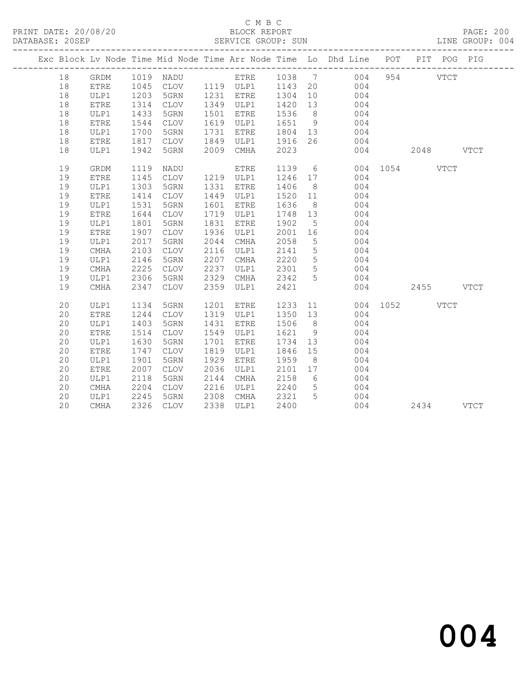# C M B C<br>BLOCK REPORT

| DATABASE: 20SEP |    |             |      |             |      | SERVICE GROUP: SUN |         |                 |                                                                                                  |               |           | LINE GROUP: 004 |  |
|-----------------|----|-------------|------|-------------|------|--------------------|---------|-----------------|--------------------------------------------------------------------------------------------------|---------------|-----------|-----------------|--|
|                 |    |             |      |             |      |                    |         |                 | Exc Block Lv Node Time Mid Node Time Arr Node Time Lo Dhd Line POT PIT POG PIG                   |               |           |                 |  |
|                 | 18 |             |      |             |      |                    |         |                 | GRDM 1019 NADU      ETRE   1038   7     004<br>ETRE   1045  CLOV   1119  ULP1   1143  20     004 |               | 954 VTCT  |                 |  |
|                 | 18 |             |      |             |      |                    |         |                 |                                                                                                  |               |           |                 |  |
|                 | 18 | ULP1        | 1203 | 5GRN        |      | 1231 ETRE          | 1304 10 |                 | 004                                                                                              |               |           |                 |  |
|                 | 18 | ETRE        | 1314 | CLOV        |      | 1349 ULP1 1420 13  |         |                 | 004                                                                                              |               |           |                 |  |
|                 | 18 | ULP1        | 1433 | 5GRN        |      | 1501 ETRE          | 1536    | 8 <sup>8</sup>  | 004                                                                                              |               |           |                 |  |
|                 | 18 | <b>ETRE</b> | 1544 | CLOV        |      | 1619 ULP1          | 1651    |                 | 1651 9 004<br>1804 13 004                                                                        |               |           |                 |  |
|                 | 18 | ULP1        | 1700 | 5GRN        |      | 1731 ETRE          |         |                 |                                                                                                  |               |           |                 |  |
|                 | 18 | ETRE        | 1817 | CLOV        |      | 1849 ULP1          | 1916    | 26              | 004                                                                                              |               |           |                 |  |
|                 | 18 | ULP1        | 1942 | 5GRN        | 2009 | CMHA               | 2023    |                 |                                                                                                  | 004           | 2048 VTCT |                 |  |
|                 | 19 | GRDM        | 1119 | NADU        |      | ETRE               | 1139 6  |                 |                                                                                                  | 004 1054 VTCT |           |                 |  |
|                 | 19 | <b>ETRE</b> | 1145 | CLOV        |      | 1219 ULP1          | 1246 17 |                 | 004                                                                                              |               |           |                 |  |
|                 | 19 | ULP1        | 1303 | 5GRN        |      | 1331 ETRE          | 1406    | 8 <sup>8</sup>  | 004                                                                                              |               |           |                 |  |
|                 | 19 | ETRE        | 1414 | CLOV        | 1449 | ULP1               | 1520 11 |                 | 004                                                                                              |               |           |                 |  |
|                 | 19 | ULP1        | 1531 | 5GRN        | 1601 | ETRE               | 1636    | 8 <sup>8</sup>  | 004                                                                                              |               |           |                 |  |
|                 | 19 | <b>ETRE</b> | 1644 | CLOV        |      | 1719 ULP1          | 1748    | 13              | 004                                                                                              |               |           |                 |  |
|                 | 19 | ULP1        | 1801 | 5GRN        | 1831 | ETRE               | 1902    | $5^{\circ}$     | 004                                                                                              |               |           |                 |  |
|                 | 19 | <b>ETRE</b> | 1907 | CLOV        |      | 1936 ULP1          | 2001    | 16              | 004                                                                                              |               |           |                 |  |
|                 | 19 | ULP1        | 2017 | 5GRN        | 2044 | CMHA               | 2058    | $5\overline{)}$ | 004                                                                                              |               |           |                 |  |
|                 | 19 | CMHA        | 2103 | CLOV        | 2116 | ULP1               | 2141    | $5\overline{)}$ | 004                                                                                              |               |           |                 |  |
|                 | 19 | ULP1        | 2146 | 5GRN        | 2207 | CMHA               | 2220    | 5 <sup>5</sup>  | 004                                                                                              |               |           |                 |  |
|                 | 19 | $\rm CMA$   | 2225 | CLOV        | 2237 | ULP1               | 2301    | 5 <sup>5</sup>  | 004                                                                                              |               |           |                 |  |
|                 | 19 | ULP1        | 2306 | 5GRN        | 2329 | CMHA               | 2342    | 5 <sup>5</sup>  | 004                                                                                              |               |           |                 |  |
|                 | 19 | CMHA        | 2347 | CLOV        | 2359 | ULP1               | 2421    |                 |                                                                                                  | 004           | 2455 VTCT |                 |  |
|                 | 20 | ULP1        | 1134 | 5GRN        | 1201 | ETRE               | 1233 11 |                 |                                                                                                  | 004 1052 VTCT |           |                 |  |
|                 | 20 | ETRE        | 1244 | CLOV        |      | 1319 ULP1          | 1350    |                 | 13<br>004                                                                                        |               |           |                 |  |
|                 | 20 | ULP1        | 1403 | 5GRN        | 1431 | ETRE               | 1506    | 8 <sup>8</sup>  | 004                                                                                              |               |           |                 |  |
|                 | 20 | <b>ETRE</b> | 1514 | CLOV        | 1549 | ULP1               | 1621    | 9               | 004                                                                                              |               |           |                 |  |
|                 | 20 | ULP1        | 1630 | 5GRN        | 1701 | ETRE               | 1734    | 13              | 004                                                                                              |               |           |                 |  |
|                 | 20 | ETRE        | 1747 | CLOV        | 1819 | ULP1               | 1846    | 15              | 004                                                                                              |               |           |                 |  |
|                 | 20 | ULP1        | 1901 | 5GRN        | 1929 | ETRE               | 1959    | 8 <sup>8</sup>  | 004                                                                                              |               |           |                 |  |
|                 | 20 | <b>ETRE</b> | 2007 | CLOV        | 2036 | ULP1               | 2101    | 17              | 004                                                                                              |               |           |                 |  |
|                 | 20 | ULP1        | 2118 | 5GRN        | 2144 | CMHA               | 2158    | 6               | $\begin{array}{c} 004 \\ 004 \end{array}$                                                        |               |           |                 |  |
|                 | 20 | CMHA        | 2204 | CLOV        | 2216 | ULP1               | 2240    | 5 <sup>5</sup>  |                                                                                                  |               |           |                 |  |
|                 | 20 | ULP1        | 2245 | 5GRN        | 2308 | CMHA               | 2321    | 5               | 004                                                                                              |               |           |                 |  |
|                 | 20 | CMHA        | 2326 | <b>CLOV</b> |      | 2338 ULP1          | 2400    |                 | 004                                                                                              |               | 2434 VTCT |                 |  |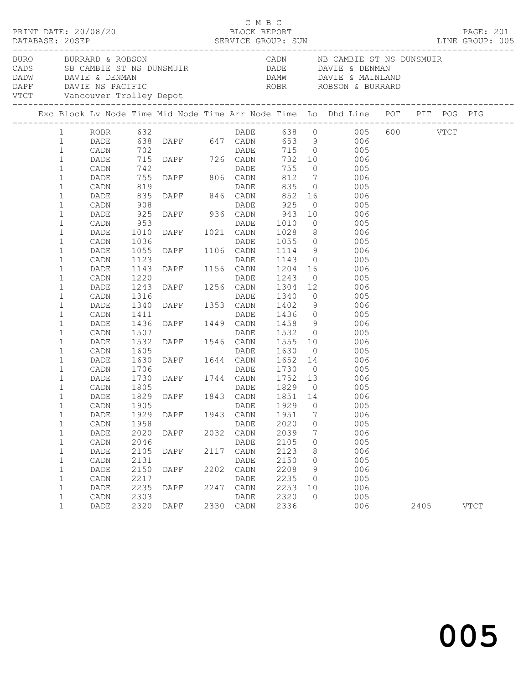|                                              |                                 |                      |                                                                                                                                                                                                                    |              | смвс                        |                           |                | LINE GROUP: 005                                                                                                                                                                                                                                        |      | PAGE: 201   |  |
|----------------------------------------------|---------------------------------|----------------------|--------------------------------------------------------------------------------------------------------------------------------------------------------------------------------------------------------------------|--------------|-----------------------------|---------------------------|----------------|--------------------------------------------------------------------------------------------------------------------------------------------------------------------------------------------------------------------------------------------------------|------|-------------|--|
|                                              |                                 |                      | VTCT Vancouver Trolley Depot                                                                                                                                                                                       |              |                             |                           |                | BURO BURRARD & ROBSON CADN NB CAMBIE ST NS DUNSMUIR<br>CADS SB CAMBIE ST NS DUNSMUIR DADE DAVIE & DENMAN<br>DADW DAVIE & DENMAN                                                                                                                        |      |             |  |
|                                              |                                 |                      |                                                                                                                                                                                                                    |              |                             |                           |                | Exc Block Lv Node Time Mid Node Time Arr Node Time Lo Dhd Line POT PIT POG PIG                                                                                                                                                                         |      |             |  |
| $\mathbf{1}$<br>$\mathbf{1}$                 | 1 ROBR 632<br>DADE              |                      |                                                                                                                                                                                                                    |              |                             |                           |                | 632 DADE 638 0 005 600 VTCT<br>638 DAPF 647 CADN 653 9 006<br>702 DADE 715 0 005<br>715 DAPF 726 CADN 732 10 006<br>742 DADE 755 0 005<br>755 DAPF 806 CADN 812 7 006<br>819 DADE 835 0 005<br>835 DAPF 846 CADN 852 16 006<br>908 DAPF 846 CADN 852 1 |      |             |  |
| $\mathbf{1}$<br>$\mathbf{1}$                 | CADN<br>DADE<br>CADN            |                      |                                                                                                                                                                                                                    |              |                             |                           |                |                                                                                                                                                                                                                                                        |      |             |  |
| $\mathbf{1}$<br>$\mathbf{1}$                 | DADE<br>CADN                    |                      |                                                                                                                                                                                                                    |              |                             |                           |                |                                                                                                                                                                                                                                                        |      |             |  |
| $\mathbf{1}$<br>$1\,$<br>$\mathbf{1}$        | DADE<br>CADN<br>DADE            | 908                  | 908 DADE<br>925 DAPF 936 CADN<br>025 DAPF 936 CADN                                                                                                                                                                 |              |                             | 925<br>$943$ 10<br>1010 0 |                | $0$ 005<br>10 006                                                                                                                                                                                                                                      |      |             |  |
| $1\,$<br>$\mathbf{1}$<br>$\mathbf{1}$        | CADN<br>DADE<br>CADN            | 953<br>1010<br>1036  |                                                                                                                                                                                                                    |              |                             |                           |                | 005<br>$1028$ 8 006<br>1055 0 005                                                                                                                                                                                                                      |      |             |  |
| $\mathbf{1}$<br>$\mathbf{1}$                 | DADE<br>CADN                    | 1055<br>1123         |                                                                                                                                                                                                                    |              |                             | 1143                      | $\overline{O}$ | 1114 9 006<br>005                                                                                                                                                                                                                                      |      |             |  |
| $\mathbf{1}$<br>$\mathbf{1}$<br>$\mathbf{1}$ | DADE<br>CADN<br>DADE            | 1143<br>1220<br>1243 |                                                                                                                                                                                                                    |              |                             | 1243<br>1304              |                | $0$ 005                                                                                                                                                                                                                                                |      |             |  |
| $\mathbf{1}$<br>$\mathbf{1}$                 | CADN<br>DADE                    | 1316<br>1340         |                                                                                                                                                                                                                    |              |                             |                           |                | 12 006<br>1340 0 005<br>1402 9 006                                                                                                                                                                                                                     |      |             |  |
| $\mathbf{1}$<br>$\mathbf{1}$<br>$\mathbf{1}$ | CADN<br>DADE<br>CADN            | 1411<br>1436<br>1507 | DAPF 1021 CADN<br>DADE DAPF 1106 CADN<br>DADE DAPF 1156 CADN<br>DAPF 1256 CADN<br>DAPF 1256 CADN<br>DAPF 1353 CADN<br>DAPF 1353 CADN<br>DAPF 1449 CADN                                                             |              | DADE                        |                           |                | 1436 0 005<br>1458 9 006<br>005                                                                                                                                                                                                                        |      |             |  |
| $\mathbf{1}$<br>$\mathbf{1}$                 | DADE<br>CADN                    |                      | 1507 DAPF 1546 CADN 1532 0<br>1532 DAPF 1546 CADN 1555 10<br>1605 DADE 1630 0<br>1630 DAPF 1644 CADN 1652 14<br>1706 DADE 1730 0<br>1730 DAPF 1744 CADN 1752 13<br>1805 DADE 1829 0<br>1829 DAPF 1843 CADN 1851 14 |              |                             | 1532 0<br>1555 10         |                | 006<br>$\overline{O}$<br>005                                                                                                                                                                                                                           |      |             |  |
| $\mathbf{1}$<br>$\mathbf{1}$<br>$\mathbf{1}$ | DADE<br>CADN<br>DADE            | 1706<br>1730         |                                                                                                                                                                                                                    |              |                             | 1652 14                   |                | 006<br>005<br>006                                                                                                                                                                                                                                      |      |             |  |
| $\mathbf{1}$<br>$\mathbf 1$                  | CADN<br>DADE                    | 1805                 |                                                                                                                                                                                                                    |              |                             |                           |                | 005<br>006                                                                                                                                                                                                                                             |      |             |  |
| $\mathbf{1}$<br>$\mathbf 1$<br>$\mathbf 1$   | CADN 1905<br>DADE<br>CADN       | 1929<br>1958         | DAPF                                                                                                                                                                                                               | 1943         | DADE 1929 0<br>CADN<br>DADE | 1951<br>2020              | 7<br>0         | 005<br>006<br>005                                                                                                                                                                                                                                      |      |             |  |
| $\mathbf 1$<br>$\mathbf{1}$                  | DADE<br>CADN                    | 2020<br>2046         | DAPF                                                                                                                                                                                                               | 2032         | CADN<br>DADE                | 2039<br>2105              | 7<br>0         | 006<br>005                                                                                                                                                                                                                                             |      |             |  |
| $\mathbf 1$<br>$\mathbf{1}$                  | DADE<br>CADN                    | 2105<br>2131<br>2150 | DAPF<br><b>DAPF</b>                                                                                                                                                                                                | 2117<br>2202 | CADN<br>DADE                | 2123<br>2150<br>2208      | 8<br>0         | 006<br>005<br>006                                                                                                                                                                                                                                      |      |             |  |
| $\mathbf{1}$<br>$\mathbf{1}$<br>$\mathbf{1}$ | DADE<br>$\mathtt{CADN}$<br>DADE | 2217<br>2235         | DAPF                                                                                                                                                                                                               | 2247         | CADN<br>DADE<br>CADN        | 2235<br>2253              | 9<br>0<br>10   | 005<br>006                                                                                                                                                                                                                                             |      |             |  |
| $\mathbf 1$<br>$\mathbf{1}$                  | CADN<br>DADE                    | 2303<br>2320         | DAPF                                                                                                                                                                                                               | 2330         | DADE<br>CADN                | 2320<br>2336              | $\circ$        | 005<br>006                                                                                                                                                                                                                                             | 2405 | <b>VTCT</b> |  |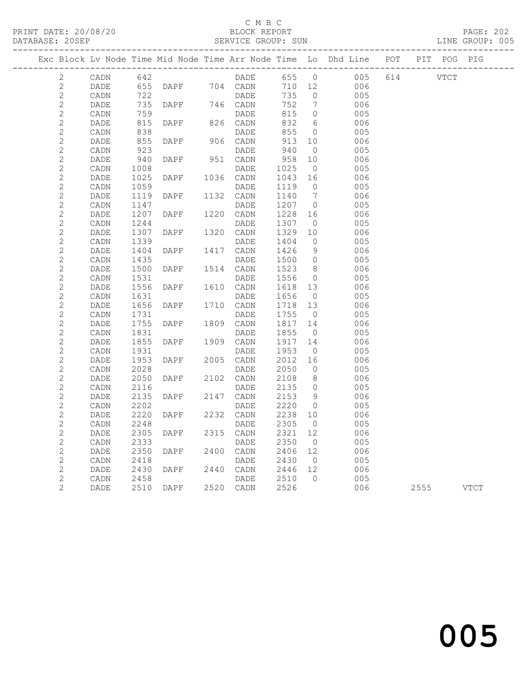### C M B C

DATABASE: 20SEP SERVICE GROUP: SUN LINE GROUP: 005

PRINT DATE: 20/08/20 BLOCK REPORT PAGE: 202

------------------------------------------------------------------------------------------------- Exc Block Lv Node Time Mid Node Time Arr Node Time Lo Dhd Line POT PIT POG PIG ------------------------------------------------------------------------------------------------- 2 CADN 642 DADE 655 0 005 614 VTCT 2 DADE 655 DAPF 704 CADN 710 12 006 2 CADN 722 DADE 735 0 005 2 DADE 735 DAPF 746 CADN 752 7 006 2 CADN 759 DADE 815 0 005 2 DADE 815 DAPF 826 CADN 832 6 006 2 CADN 838 DADE 855 0 005 2 DADE 855 DAPF 906 CADN 913 10 006 2 CADN 923 DADE 940 0 005 2 DADE 815 DAPF 826 CADN 832 6 006<br>2 DADE 815 DAPF 826 CADN 832 6 006<br>2 DADE 855 DAPF 906 CADN 913 10 006<br>2 DADE 855 DAPF 906 CADN 913 10 006<br>2 DADE 940 DAPF 951 CADN 958 10 006<br>2 DADE 940 DAPF 951 CADN 958 10 006<br>2 DADE 9 2 CADN 1008 DADE 1025 0 005 2 DADE 1025 DAPF 1036 CADN 1043 16 006 2 CADN 1059 DADE 1119 0 005 2 DADE 1119 DAPF 1132 CADN 1140 7 006 2 CADN 1147 DADE 1207 0 005 2 CADN 1147 DADE 1207 0 005<br>2 DADE 1207 DAPF 1220 CADN 1228 16 006<br>2 CADN 1244 DADE 1307 0 005<br>2 DADE 1307 DAPF 1320 CADN 1329 10 006 2 CADN 1244 DADE 1307 0 005 2 DADE 1307 DAPF 1320 CADN 1329 10 006 2 CADN 1339 DADE 1404 0 005 2 DADE 1404 DAPF 1417 CADN 1426 9 006 2 CADN 1435 DADE 1500 0 005 2 DADE 1500 DAPF 1514 CADN 1523 8 006 2 CADN 1531 DADE 1556 0 005 -<br>2 DADE 1556 DAPF 1610 CADN 1618 13 006<br>2 CADN 1631 - DADE 1656 0 005 2 CADN 1631 DADE 1656 0 005 2 DADE 1656 DAPF 1710 CADN 1718 13 006 2 CADN 1731 DADE 1755 0 005 2 DADE 1755 DAPF 1809 CADN 1817 14 006 2 CADN 1831 DADE 1855 0 005 2 DADE 1855 DAPF 1909 CADN 1917 14 006 2 CADN 1931 DADE 1953 0 005 2 DADE 1953 DAPF 2005 CADN 2012 16 006 2 CADN 2028 DADE 2050 0 005 2 DADE 2050 DAPF 2102 CADN 2108 8 006 2 CADN 2116 DADE 2135 0 005 2 DADE 2135 DAPF 2147 CADN 2153 9 006<br>2 CADN 2202 DADE 2220 0 005<br>2 DADE 2220 DAPF 2232 CADN 2238 10 006 2 CADN 2202 DADE 2220 0 005 2 DADE 2220 DAPF 2232 CADN 2238 10 006 2 CADN 2248 DADE 2305 0 005<br>2 DADE 2305 DAPF 2315 CADN 2321 12 006 2 DADE 2305 DAPF 2315 CADN 2321 12<br>2 CADN 2333 DADE 2350 0 2 CADN 2333 DADE 2350 0<br>2 DADE 2350 DAPF 2400 CADN 2406 12 006 2 DADE 2350 DAPF 2400 CADN 2406 12 006 2 CADN 2418 DADE 2430 0 005 2 DADE 2430 DAPF 2440 CADN 2446 12 006<br>2 CADN 2458 DADE 2510 0 005 2 CADN 2458 DADE 2510 0 005 2 DADE 2510 DAPF 2520 CADN 2526 006 2555 VTCT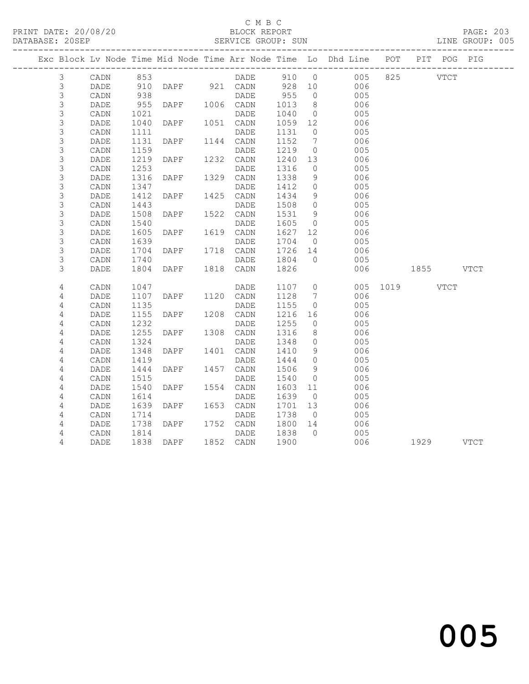# C M B C<br>BLOCK REPORT

#### SERVICE GROUP: SUN

|                |      |      |                |           |         |                 | Exc Block Lv Node Time Mid Node Time Arr Node Time Lo Dhd Line POT PIT POG PIG |               |  |
|----------------|------|------|----------------|-----------|---------|-----------------|--------------------------------------------------------------------------------|---------------|--|
| $\mathcal{S}$  | CADN | 853  |                |           |         |                 | DADE 910 0 005 825                                                             | <b>VTCT</b>   |  |
| 3              | DADE |      |                |           |         |                 | 910 DAPF 921 CADN 928 10 006                                                   |               |  |
| 3              | CADN | 938  |                | DADE      | 955     | $\overline{0}$  | 005                                                                            |               |  |
| $\mathsf S$    | DADE | 955  | DAPF           | 1006 CADN | 1013    | 8 <sup>8</sup>  | 006                                                                            |               |  |
| $\mathsf S$    | CADN | 1021 |                | DADE      | 1040    | $\overline{0}$  | 005                                                                            |               |  |
| 3              | DADE | 1040 | DAPF           | 1051 CADN | 1059    | 12              | 006                                                                            |               |  |
| $\mathsf S$    | CADN | 1111 |                | DADE      | 1131    | $\overline{0}$  | 005                                                                            |               |  |
| 3              | DADE | 1131 | DAPF           | 1144 CADN | 1152    | $7\phantom{0}$  | 006                                                                            |               |  |
| $\mathsf S$    | CADN | 1159 |                | DADE      | 1219    | $\overline{0}$  | 005                                                                            |               |  |
| 3              | DADE | 1219 | DAPF           | 1232 CADN | 1240 13 |                 | 006                                                                            |               |  |
| $\mathsf S$    | CADN | 1253 |                | DADE      | 1316    | $\overline{0}$  | 005                                                                            |               |  |
| $\mathsf S$    | DADE | 1316 | DAPF           | 1329 CADN | 1338    | 9               | 006                                                                            |               |  |
| 3              | CADN | 1347 |                | DADE      | 1412    | $\overline{0}$  | 005                                                                            |               |  |
| $\mathsf S$    | DADE | 1412 | DAPF           | 1425 CADN | 1434    | 9               | 006                                                                            |               |  |
| $\mathfrak{Z}$ | CADN | 1443 |                | DADE      | 1508    | $\overline{0}$  | 005                                                                            |               |  |
| 3              | DADE | 1508 | DAPF           | 1522 CADN | 1531    | - 9             | 006                                                                            |               |  |
| $\mathsf S$    | CADN | 1540 |                | DADE      | 1605    | $\overline{0}$  | 005                                                                            |               |  |
| 3              | DADE | 1605 | DAPF           | 1619 CADN | 1627    | 12              | 006                                                                            |               |  |
| $\mathsf S$    | CADN | 1639 |                | DADE      | 1704    | $\overline{0}$  | 005                                                                            |               |  |
| 3              | DADE | 1704 | DAPF           | 1718 CADN | 1726 14 |                 | 006                                                                            |               |  |
| $\mathsf S$    | CADN | 1740 |                | DADE      | 1804    | $\overline{0}$  | 005                                                                            |               |  |
| 3              | DADE | 1804 | DAPF           | 1818 CADN | 1826    |                 | 006                                                                            | 1855 VTCT     |  |
| 4              | CADN | 1047 |                | DADE      | 1107 0  |                 |                                                                                | 005 1019 VTCT |  |
| 4              | DADE | 1107 | DAPF 1120 CADN |           | 1128    | $7\overline{)}$ | 006                                                                            |               |  |
| 4              | CADN | 1135 |                | DADE      | 1155    | $\overline{0}$  | 005                                                                            |               |  |
| 4              | DADE | 1155 | DAPF           | 1208 CADN | 1216    | 16              | 006                                                                            |               |  |
| 4              | CADN | 1232 |                | DADE      | 1255    | $\overline{0}$  | 005                                                                            |               |  |
| 4              | DADE | 1255 | DAPF           | 1308 CADN | 1316    | 8 <sup>8</sup>  | 006                                                                            |               |  |
| 4              | CADN | 1324 |                | DADE      | 1348    | $\overline{0}$  | 005                                                                            |               |  |
| 4              | DADE | 1348 | DAPF           | 1401 CADN | 1410    | 9               | 006                                                                            |               |  |
| 4              | CADN | 1419 |                | DADE      | 1444    | $\overline{0}$  | 005                                                                            |               |  |
| 4              | DADE | 1444 | DAPF           | 1457 CADN | 1506    | 9               | 006                                                                            |               |  |
| $\sqrt{4}$     | CADN | 1515 |                | DADE      | 1540    | $\overline{0}$  | 005                                                                            |               |  |
| 4              | DADE | 1540 | DAPF           | 1554 CADN | 1603    | 11              | 006                                                                            |               |  |
| 4              | CADN | 1614 |                | DADE      | 1639    | $\overline{0}$  | 005                                                                            |               |  |
| 4              | DADE | 1639 | DAPF           | 1653 CADN | 1701 13 |                 | 006                                                                            |               |  |
| 4              | CADN | 1714 |                | DADE      | 1738    | $\overline{0}$  | 005                                                                            |               |  |
| 4              | DADE | 1738 | DAPF           | 1752 CADN | 1800    | 14              | $006$                                                                          |               |  |
| 4              | CADN | 1814 |                | DADE      | 1838    | $\bigcap$       | 005                                                                            |               |  |
| 4              | DADE |      | 1838 DAPF      | 1852 CADN | 1900    |                 | 006                                                                            | 1929 VTCT     |  |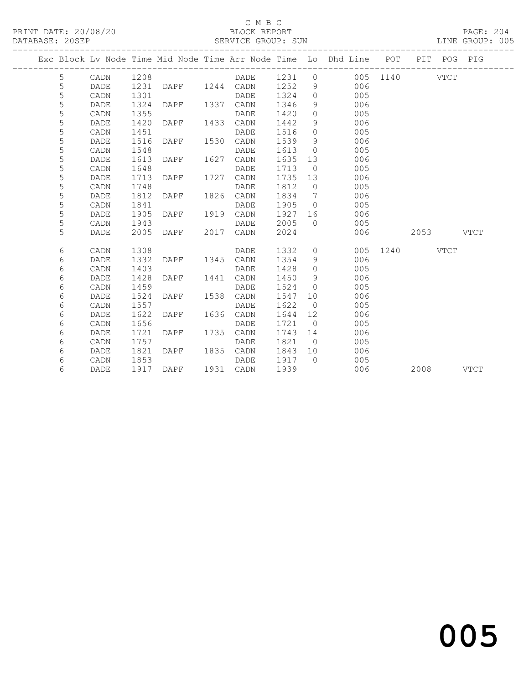#### C M B C BLOCK REPORT<br>SERVICE GROUP: SUN

| PRINT DATE: 20/08/20<br>DATABASE: 20SEP |            |             |      |                |      |             |        |                   | Vertical and the SERVICE GROUP: SUN<br>SERVICE GROUP: SUN                      |               |           | PAGE: 204<br>LINE GROUP: 005 |  |
|-----------------------------------------|------------|-------------|------|----------------|------|-------------|--------|-------------------|--------------------------------------------------------------------------------|---------------|-----------|------------------------------|--|
|                                         |            |             |      |                |      |             |        |                   | Exc Block Lv Node Time Mid Node Time Arr Node Time Lo Dhd Line POT PIT POG PIG |               |           |                              |  |
|                                         | 5          | CADN        | 1208 |                |      | DADE        | 1231 0 |                   |                                                                                | 005 1140 VTCT |           |                              |  |
|                                         | 5          | DADE        | 1231 | DAPF 1244 CADN |      |             | 1252   | 9                 | 006                                                                            |               |           |                              |  |
|                                         | 5          | CADN        | 1301 |                |      | DADE        | 1324   | $\circ$           | 005                                                                            |               |           |                              |  |
|                                         | 5          | DADE        | 1324 | DAPF           |      | 1337 CADN   | 1346   | 9                 | 006                                                                            |               |           |                              |  |
|                                         | 5          | CADN        | 1355 |                |      | DADE        | 1420   | $\circ$           | 005                                                                            |               |           |                              |  |
|                                         | 5          | DADE        | 1420 | DAPF           |      | 1433 CADN   | 1442   | 9                 | 006                                                                            |               |           |                              |  |
|                                         | 5          | CADN        | 1451 |                |      | DADE        | 1516   | $\circ$           | 005                                                                            |               |           |                              |  |
|                                         | 5          | DADE        | 1516 | DAPF           | 1530 | CADN        | 1539   | 9                 | 006                                                                            |               |           |                              |  |
|                                         | 5          | CADN        | 1548 |                |      | DADE        | 1613   | $\overline{0}$    | 005                                                                            |               |           |                              |  |
|                                         | 5          | DADE        | 1613 | DAPF           | 1627 | CADN        | 1635   | 13                | 006                                                                            |               |           |                              |  |
|                                         | 5          | CADN        | 1648 |                |      | <b>DADE</b> | 1713   | $\overline{0}$    | 005                                                                            |               |           |                              |  |
|                                         | 5          | DADE        | 1713 | DAPF           | 1727 | CADN        | 1735   | 13                | 006                                                                            |               |           |                              |  |
|                                         | 5          | CADN        | 1748 |                |      | DADE        | 1812   | $\overline{0}$    | 005                                                                            |               |           |                              |  |
|                                         | 5          | DADE        | 1812 | DAPF           |      | 1826 CADN   | 1834   | $\overline{7}$    | 006                                                                            |               |           |                              |  |
|                                         | 5          | CADN        | 1841 |                |      | DADE        | 1905   | $\overline{0}$    | 005                                                                            |               |           |                              |  |
|                                         | 5          | <b>DADE</b> | 1905 | DAPF           | 1919 | CADN        | 1927   |                   | 006                                                                            |               |           |                              |  |
|                                         | 5          | CADN        | 1943 |                |      | <b>DADE</b> | 2005   | $\Omega$          | 005                                                                            |               |           |                              |  |
|                                         | 5          | <b>DADE</b> | 2005 | DAPF           | 2017 | CADN        | 2024   |                   | 006                                                                            |               | 2053      | <b>VTCT</b>                  |  |
|                                         | 6          | CADN        | 1308 |                |      | DADE        | 1332   |                   | $\overline{0}$<br>005                                                          | 1240          | VTCT      |                              |  |
|                                         | 6          | DADE        | 1332 | DAPF           | 1345 | CADN        | 1354   | 9                 | 006                                                                            |               |           |                              |  |
|                                         | 6          | CADN        | 1403 |                |      | DADE        | 1428   | $\circ$           | 005                                                                            |               |           |                              |  |
|                                         | 6          | DADE        | 1428 | DAPF           | 1441 | CADN        | 1450   | 9                 | 006                                                                            |               |           |                              |  |
|                                         | $\epsilon$ | CADN        | 1459 |                |      | DADE        | 1524   | $\overline{0}$    | 005                                                                            |               |           |                              |  |
|                                         | $\epsilon$ | DADE        | 1524 | DAPF           | 1538 | CADN        | 1547   | 10                | 006                                                                            |               |           |                              |  |
|                                         | 6          | CADN        | 1557 |                |      | DADE        | 1622   | $\overline{0}$    | 005                                                                            |               |           |                              |  |
|                                         | 6          | DADE        | 1622 | DAPF           | 1636 | CADN        | 1644   | $12 \overline{ }$ | 006                                                                            |               |           |                              |  |
|                                         | 6          | CADN        | 1656 |                |      | DADE        | 1721   | $\overline{0}$    | 005                                                                            |               |           |                              |  |
|                                         | $\epsilon$ | DADE        | 1721 | DAPF           | 1735 | CADN        | 1743   | 14                | 006                                                                            |               |           |                              |  |
|                                         | $\epsilon$ | CADN        | 1757 |                |      | DADE        | 1821   | $\overline{0}$    | 005                                                                            |               |           |                              |  |
|                                         | $\epsilon$ | DADE        | 1821 | DAPF           |      | 1835 CADN   | 1843   | 10                | 006                                                                            |               |           |                              |  |
|                                         | 6          | CADN        | 1853 |                |      | DADE        | 1917   | $\bigcirc$        | 005                                                                            |               |           |                              |  |
|                                         | 6          | DADE        | 1917 | DAPF           |      | 1931 CADN   | 1939   |                   | 006                                                                            |               | 2008 VTCT |                              |  |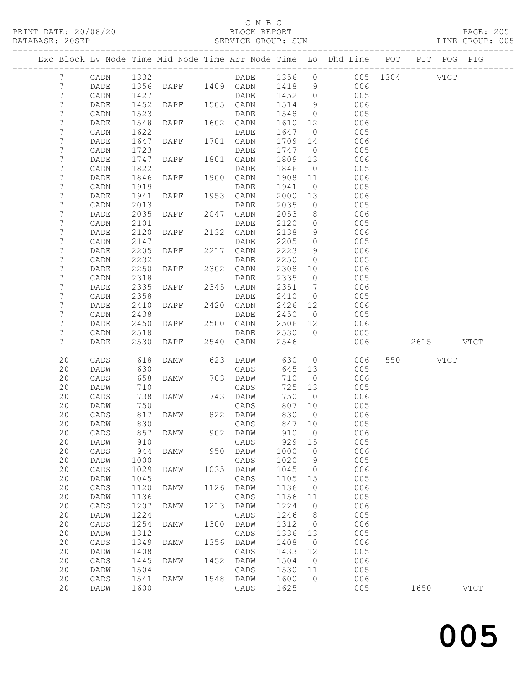#### C M B C<br>BLOCK REPORT

#### SERVICE GROUP: SUN

|                |                 |              |                     |      |                  |               |                | Exc Block Lv Node Time Mid Node Time Arr Node Time Lo Dhd Line POT | PIT POG PIG |             |
|----------------|-----------------|--------------|---------------------|------|------------------|---------------|----------------|--------------------------------------------------------------------|-------------|-------------|
| $7\phantom{.}$ | CADN            | 1332         |                     |      | DADE 1356 0      |               |                | 005 1304 VTCT                                                      |             |             |
| 7              | DADE            |              | 1356 DAPF 1409 CADN |      |                  | 1418          | 9              | 006                                                                |             |             |
| 7              | CADN            | 1427         |                     |      | DADE             | 1452          | $\overline{0}$ | 005                                                                |             |             |
| 7              | DADE            | 1452         | DAPF                |      | 1505 CADN        | 1514          | 9              | 006                                                                |             |             |
| 7              | CADN            | 1523         |                     |      | DADE             | 1548          | $\overline{0}$ | 005                                                                |             |             |
| 7              | DADE            | 1548         | DAPF                |      | 1602 CADN        | 1610          | 12             | 006                                                                |             |             |
| 7              | CADN            | 1622         |                     |      | DADE             | 1647          | $\overline{0}$ | 005                                                                |             |             |
| 7              | DADE            | 1647         | DAPF                |      | 1701 CADN        | 1709          | 14             | 006                                                                |             |             |
| 7              | CADN            | 1723         |                     |      | DADE             | 1747          | $\overline{0}$ | 005                                                                |             |             |
| 7              | DADE            | 1747         | DAPF                |      | 1801 CADN        | 1809          | 13             | 006                                                                |             |             |
| 7              | CADN            | 1822         |                     |      | DADE             | 1846          | $\overline{0}$ | 005                                                                |             |             |
| 7              | DADE            | 1846         | DAPF                | 1900 | CADN             | 1908          | 11             | 006                                                                |             |             |
| 7              | CADN            | 1919         |                     |      | DADE             | 1941          | $\overline{0}$ | 005                                                                |             |             |
| 7              | DADE            | 1941         | DAPF                |      | 1953 CADN        | 2000          | 13             | 006                                                                |             |             |
| 7              | CADN            | 2013         |                     |      | DADE             | 2035          | $\overline{0}$ | 005                                                                |             |             |
| 7              | DADE            | 2035         | DAPF                | 2047 | CADN             | 2053          | 8 <sup>8</sup> | 006                                                                |             |             |
| 7              | CADN            | 2101         |                     |      | DADE             | 2120          | $\overline{0}$ | 005                                                                |             |             |
| 7              | DADE            | 2120         | DAPF                |      | 2132 CADN        | 2138          | 9              | 006                                                                |             |             |
| 7              | CADN            | 2147         |                     |      | DADE             | 2205          | $\overline{0}$ | 005                                                                |             |             |
| 7              | DADE            | 2205         | DAPF                | 2217 | CADN             | 2223          | 9              | 006                                                                |             |             |
| 7              | CADN            | 2232         |                     |      | DADE             | 2250          | $\overline{0}$ | 005                                                                |             |             |
| 7              | DADE            | 2250         | DAPF                |      | 2302 CADN        | 2308          | 10             | 006                                                                |             |             |
| 7              | CADN            | 2318         |                     |      | DADE             | 2335          | $\overline{0}$ | 005                                                                |             |             |
| 7              | DADE            | 2335         | DAPF                | 2345 | CADN             | 2351          | $\overline{7}$ | 006                                                                |             |             |
| 7              | CADN            | 2358         |                     |      | DADE             | 2410          | $\overline{0}$ | 005                                                                |             |             |
| 7              | DADE            | 2410         | DAPF                |      | 2420 CADN        | 2426 12       |                | 006                                                                |             |             |
| 7              | CADN            | 2438         |                     |      | DADE             | 2450          | $\overline{0}$ | 005                                                                |             |             |
| 7              | DADE            | 2450         | DAPF                |      | 2500 CADN        | 2506 12       |                | 006                                                                |             |             |
| 7<br>7         | CADN<br>DADE    | 2518<br>2530 |                     |      | DADE             | 2530<br>2546  | $\bigcirc$     | 005<br>006                                                         |             |             |
|                |                 |              | DAPF                |      | 2540 CADN        |               |                |                                                                    | 2615 VTCT   |             |
| 20             | CADS            | 618          | DAMW                | 623  | DADW             | 630           | $\overline{0}$ | 006                                                                | 550 VTCT    |             |
| 20             | DADW            | 630          |                     |      | CADS             | 645           | 13             | 005                                                                |             |             |
| 20             | CADS            | 658          | DAMW                |      | 703 DADW         | 710           | $\overline{0}$ | 006                                                                |             |             |
| 20             | DADW            | 710          |                     |      | CADS             | 725           | 13             | 005                                                                |             |             |
| 20             | CADS            | 738          | DAMW                |      | 743 DADW         | 750           | $\overline{0}$ | 006                                                                |             |             |
| 20             | DADW            | 750          |                     |      | CADS             | 807           | 10             | 005                                                                |             |             |
| 20<br>20       | CADS            | 817<br>830   | DAMW                |      | 822 DADW         | 830<br>847 10 | $\overline{0}$ | 006<br>005                                                         |             |             |
| 20             | DADW            |              | 857 DAMW            |      | CADS<br>902 DADW | 910 0         |                |                                                                    |             |             |
| 20             | CADS<br>DADW    | 910          |                     |      | CADS             | 929           | 15             | 006<br>005                                                         |             |             |
| 20             | $\mathtt{CADS}$ | 944          | DAMW                | 950  | DADW             | 1000          | $\overline{0}$ | 006                                                                |             |             |
| 20             | DADW            | 1000         |                     |      | CADS             | 1020          | 9              | 005                                                                |             |             |
| 20             | $\mathtt{CADS}$ | 1029         | DAMW                | 1035 | DADW             | 1045          | $\overline{0}$ | 006                                                                |             |             |
| 20             | DADW            | 1045         |                     |      | CADS             | 1105          | 15             | 005                                                                |             |             |
| 20             | CADS            | 1120         | <b>DAMW</b>         | 1126 | DADW             | 1136          | $\overline{0}$ | 006                                                                |             |             |
| 20             | DADW            | 1136         |                     |      | CADS             | 1156          | 11             | 005                                                                |             |             |
| 20             | $\mathtt{CADS}$ | 1207         | <b>DAMW</b>         | 1213 | DADW             | 1224          | $\overline{0}$ | 006                                                                |             |             |
| 20             | DADW            | 1224         |                     |      | CADS             | 1246          | 8 <sup>8</sup> | 005                                                                |             |             |
| 20             | $\mathtt{CADS}$ | 1254         | <b>DAMW</b>         | 1300 | DADW             | 1312          | $\overline{0}$ | 006                                                                |             |             |
| 20             | DADW            | 1312         |                     |      | CADS             | 1336          | 13             | 005                                                                |             |             |
| 20             | CADS            | 1349         | DAMW                | 1356 | DADW             | 1408          | $\overline{0}$ | 006                                                                |             |             |
| 20             | DADW            | 1408         |                     |      | CADS             | 1433          | 12             | 005                                                                |             |             |
| 20             | CADS            | 1445         | DAMW                | 1452 | DADW             | 1504          | $\overline{0}$ | 006                                                                |             |             |
| 20             | DADW            | 1504         |                     |      | CADS             | 1530          | 11             | 005                                                                |             |             |
| 20             | CADS            | 1541         | DAMW                | 1548 | DADW             | 1600          | $\circ$        | 006                                                                |             |             |
| 20             | DADW            | 1600         |                     |      | CADS             | 1625          |                | 005                                                                | 1650        | <b>VTCT</b> |
|                |                 |              |                     |      |                  |               |                |                                                                    |             |             |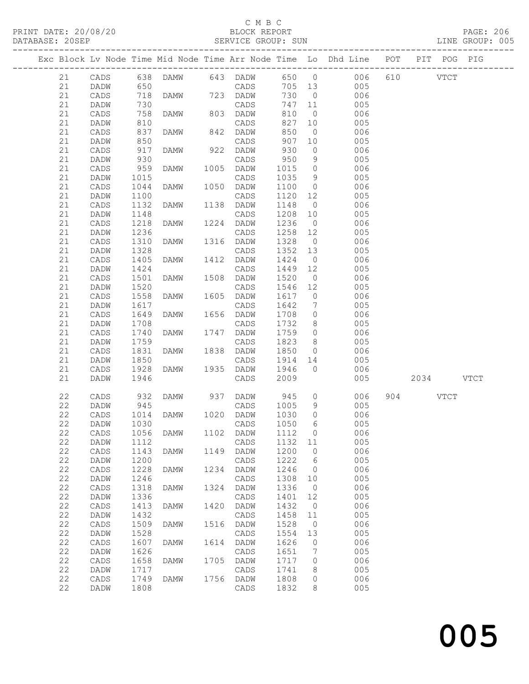### C M B C<br>BLOCK REPORT

#### SERVICE GROUP: SUN

|          |                   |              |             |      |                   |              |                      | Exc Block Lv Node Time Mid Node Time Arr Node Time Lo Dhd Line POT | PIT POG PIG |  |
|----------|-------------------|--------------|-------------|------|-------------------|--------------|----------------------|--------------------------------------------------------------------|-------------|--|
| 21       | CADS              |              |             |      |                   |              |                      | 638 DAMW 643 DADW 650 0 006                                        | 610 VTCT    |  |
| 21       | DADW              | 650          |             |      | CADS              | 705 13       |                      | 005                                                                |             |  |
| 21       | CADS              | 718          | DAMW        |      | 723 DADW          | 730          | $\overline{0}$       | 006                                                                |             |  |
| 21       | DADW              | 730          |             |      | CADS              | 747          | 11                   | 005                                                                |             |  |
| 21       | CADS              | 758          | DAMW        |      | 803 DADW          | 810          | $\overline{0}$       | 006                                                                |             |  |
| 21       | DADW              | 810          |             |      | CADS              | 827          | 10                   | 005                                                                |             |  |
| 21       | CADS              | 837          | DAMW        |      | 842 DADW          | 850          | $\overline{0}$       | 006                                                                |             |  |
| 21       | DADW              | 850          |             |      | CADS              | 907          | 10                   | 005                                                                |             |  |
| 21       | CADS              | 917          | DAMW        | 922  | DADW              | 930          | $\circ$              | 006                                                                |             |  |
| 21       | DADW              | 930          |             |      | CADS              | 950          | 9                    | 005                                                                |             |  |
| 21       | CADS              | 959          | DAMW        |      | 1005 DADW         | 1015         | $\overline{0}$       | 006                                                                |             |  |
| 21       | DADW              | 1015         |             |      | CADS              | 1035         | 9                    | 005                                                                |             |  |
| 21       | CADS              | 1044         | DAMW        | 1050 | DADW              | 1100         | $\overline{0}$       | 006                                                                |             |  |
| 21<br>21 | DADW              | 1100         |             |      | CADS              | 1120         | 12                   | 005                                                                |             |  |
|          | CADS              | 1132         | DAMW        |      | 1138 DADW         | 1148         | $\overline{0}$       | 006                                                                |             |  |
| 21       | DADW              | 1148         | DAMW        | 1224 | CADS              | 1208<br>1236 | 10<br>$\overline{0}$ | 005<br>006                                                         |             |  |
| 21       | CADS              | 1218<br>1236 |             |      | DADW              | 1258         | 12                   |                                                                    |             |  |
| 21<br>21 | DADW<br>CADS      | 1310         | DAMW        |      | CADS<br>1316 DADW | 1328         | $\overline{0}$       | 005<br>006                                                         |             |  |
| 21       | DADW              | 1328         |             |      | CADS              | 1352         | 13                   | 005                                                                |             |  |
| 21       |                   |              | DAMW        | 1412 | DADW              | 1424         | $\overline{0}$       | 006                                                                |             |  |
| 21       | CADS              | 1405<br>1424 |             |      |                   | 1449         | 12                   | 005                                                                |             |  |
| 21       | DADW<br>CADS      | 1501         | DAMW        |      | CADS<br>1508 DADW | 1520         | $\overline{0}$       | 006                                                                |             |  |
| 21       | DADW              | 1520         |             |      | CADS              | 1546         | 12                   | 005                                                                |             |  |
| 21       | CADS              | 1558         | DAMW        | 1605 | DADW              | 1617         | $\overline{0}$       | 006                                                                |             |  |
| 21       | DADW              | 1617         |             |      | CADS              | 1642         | $\overline{7}$       | 005                                                                |             |  |
| 21       | CADS              | 1649         | DAMW        |      | 1656 DADW         | 1708         | $\overline{0}$       | 006                                                                |             |  |
| 21       | DADW              | 1708         |             |      | CADS              | 1732         | 8 <sup>8</sup>       | 005                                                                |             |  |
| 21       | CADS              | 1740         | DAMW        |      | 1747 DADW         | 1759         | $\overline{0}$       | 006                                                                |             |  |
| 21       | DADW              | 1759         |             |      | CADS              | 1823         | 8                    | 005                                                                |             |  |
| 21       | CADS              | 1831         | DAMW        |      | 1838 DADW         | 1850         | $\circ$              | 006                                                                |             |  |
| 21       | DADW              | 1850         |             |      | CADS              | 1914         | 14                   | 005                                                                |             |  |
| 21       | CADS              | 1928         | DAMW        |      | 1935 DADW         | 1946         | $\overline{0}$       | 006                                                                |             |  |
| 21       | DADW              | 1946         |             |      | CADS              | 2009         |                      | 005                                                                | 2034 VTCT   |  |
|          |                   |              |             |      |                   |              |                      |                                                                    |             |  |
| 22       | CADS              | 932          | DAMW        |      | 937 DADW          | 945          |                      | $\overline{0}$<br>006                                              | 904 VTCT    |  |
| 22       | DADW              | 945          |             |      | CADS              | 1005         | 9                    | 005                                                                |             |  |
| 22       | CADS              | 1014         | DAMW        |      | 1020 DADW         | 1030         | $\circ$              | 006                                                                |             |  |
| 22       | DADW              | 1030         |             |      | CADS              | 1050         | 6                    | 005                                                                |             |  |
|          | 22 CADS 1056 DAMW |              |             |      | 1102 DADW 1112 0  |              |                      | 006                                                                |             |  |
| 22       | DADW              | 1112         |             |      | CADS              | 1132 11      |                      | 005                                                                |             |  |
| 22       | CADS              | 1143         | <b>DAMW</b> | 1149 | DADW              | 1200         | $\circ$              | 006                                                                |             |  |
| 22       | DADW              | 1200         |             |      | $\mathtt{CADS}$   | 1222         | 6                    | 005                                                                |             |  |
| 22       | $\mathtt{CADS}$   | 1228         | DAMW        | 1234 | DADW              | 1246         | $\overline{0}$       | 006                                                                |             |  |
| 22       | DADW              | 1246         |             |      | CADS              | 1308         | 10                   | 005                                                                |             |  |
| 22       | CADS              | 1318         | <b>DAMW</b> | 1324 | DADW              | 1336         | $\overline{0}$       | 006                                                                |             |  |
| 22       | DADW              | 1336         |             |      | CADS              | 1401         | 12                   | 005                                                                |             |  |
| 22       | CADS              | 1413         | <b>DAMW</b> | 1420 | DADW              | 1432         | $\overline{0}$       | 006                                                                |             |  |
| 22       | DADW              | 1432         |             |      | $\mathtt{CADS}$   | 1458         | 11                   | 005                                                                |             |  |
| 22       | CADS              | 1509         | <b>DAMW</b> | 1516 | DADW              | 1528         | $\overline{0}$       | 006                                                                |             |  |
| 22       | DADW              | 1528         |             |      | $\mathtt{CADS}$   | 1554         | 13                   | 005                                                                |             |  |
| 22       | $\mathtt{CADS}$   | 1607         | <b>DAMW</b> | 1614 | DADW              | 1626         | $\circ$              | 006                                                                |             |  |
| 22       | DADW              | 1626         |             |      | $\mathtt{CADS}$   | 1651         | 7                    | 005                                                                |             |  |
| 22       | CADS              | 1658         | DAMW        | 1705 | DADW              | 1717         | 0                    | 006                                                                |             |  |
| 22       | DADW              | 1717         |             |      | CADS              | 1741         | 8                    | 005                                                                |             |  |
| 22       | CADS              | 1749         | DAMW        |      | 1756 DADW         | 1808         | 0                    | 006                                                                |             |  |
| 22       | DADW              | 1808         |             |      | CADS              | 1832         | 8                    | 005                                                                |             |  |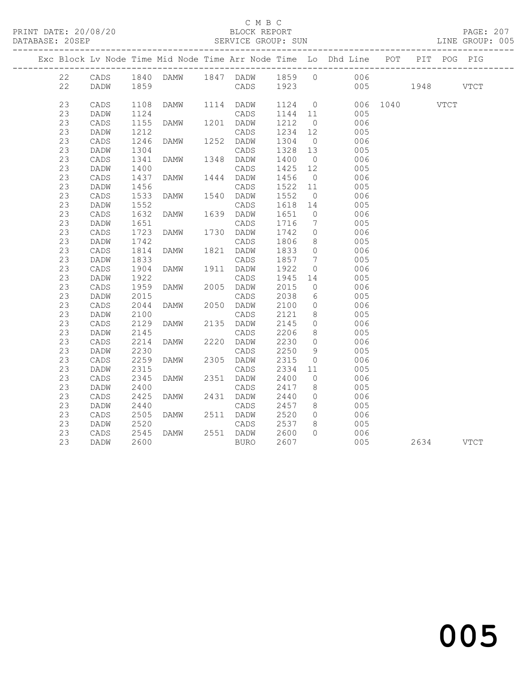#### C M B C<br>BLOCK REPORT

SERVICE GROUP: SUN

|    |                 |      |                |           |           |                 | Exc Block Lv Node Time Mid Node Time Arr Node Time Lo Dhd Line POT |               | PIT POG PIG |      |
|----|-----------------|------|----------------|-----------|-----------|-----------------|--------------------------------------------------------------------|---------------|-------------|------|
|    |                 |      |                |           |           |                 |                                                                    |               |             |      |
| 22 |                 |      |                |           |           |                 |                                                                    |               |             |      |
| 22 |                 |      |                |           |           |                 |                                                                    | 005 1948 VTCT |             |      |
| 23 | CADS            | 1108 | DAMW 1114 DADW |           |           |                 | 1124 0 006 1040 VTCT                                               |               |             |      |
| 23 | DADW            | 1124 |                | CADS      | $1144$ 11 |                 | 005                                                                |               |             |      |
| 23 | CADS            | 1155 | DAMW           | 1201 DADW | 1212      | $\overline{0}$  | 006                                                                |               |             |      |
| 23 | DADW            | 1212 |                | CADS      | 1234 12   |                 | 005                                                                |               |             |      |
| 23 | $\mathtt{CADS}$ | 1246 |                |           | 1304 0    |                 | 006                                                                |               |             |      |
| 23 | DADW            | 1304 |                | CADS      | 1328 13   |                 | 005                                                                |               |             |      |
| 23 | CADS            | 1341 | DAMW 1348 DADW |           | 1400      | $\overline{0}$  | 006                                                                |               |             |      |
| 23 | DADW            | 1400 |                | CADS      | 1425 12   |                 | 005                                                                |               |             |      |
| 23 | CADS            | 1437 | DAMW           | 1444 DADW | 1456      | $\overline{0}$  | 006                                                                |               |             |      |
| 23 | DADW            | 1456 |                | CADS      | 1522 11   |                 | 005                                                                |               |             |      |
| 23 | CADS            | 1533 | DAMW 1540 DADW |           | 1552      | $\overline{0}$  | 006                                                                |               |             |      |
| 23 | DADW            | 1552 |                | CADS      | 1618 14   |                 | 005                                                                |               |             |      |
| 23 | CADS            | 1632 | <b>DAMW</b>    | 1639 DADW | 1651      | $\bigcirc$      | 006                                                                |               |             |      |
| 23 | DADW            | 1651 |                | CADS      | 1716      | $\overline{7}$  | 005                                                                |               |             |      |
| 23 | CADS            | 1723 | DAMW 1730 DADW |           | 1742      | $\overline{0}$  | 006                                                                |               |             |      |
| 23 | DADW            | 1742 |                | CADS      | 1806      | 8 <sup>8</sup>  | 005                                                                |               |             |      |
| 23 | CADS            | 1814 | DAMW           | 1821 DADW | 1833      | $\overline{0}$  | 006                                                                |               |             |      |
| 23 | DADW            | 1833 |                | CADS      | 1857 7    |                 | 005                                                                |               |             |      |
| 23 | CADS            | 1904 | DAMW 1911 DADW |           | 1922      | $\overline{0}$  | 006                                                                |               |             |      |
| 23 | DADW            | 1922 |                | CADS      | 1945 14   |                 | 005                                                                |               |             |      |
| 23 | CADS            | 1959 | <b>DAMW</b>    | 2005 DADW | 2015      | $\overline{0}$  | 006                                                                |               |             |      |
| 23 | DADW            | 2015 |                | CADS      | 2038      | $6\overline{6}$ | 005                                                                |               |             |      |
| 23 | CADS            | 2044 | DAMW           | 2050 DADW | 2100      | $\overline{0}$  | 006                                                                |               |             |      |
| 23 | DADW            | 2100 |                | CADS      | 2121      | 8 <sup>8</sup>  | 005                                                                |               |             |      |
| 23 | $\mathtt{CADS}$ | 2129 | DAMW           | 2135 DADW | 2145      | $\overline{0}$  | 006                                                                |               |             |      |
| 23 | DADW            | 2145 |                | CADS      | 2206      | 8 <sup>8</sup>  | 005                                                                |               |             |      |
| 23 | CADS            | 2214 | DAMW           | 2220 DADW | 2230      | $\overline{0}$  | 006                                                                |               |             |      |
| 23 | DADW            | 2230 |                | CADS      | 2250      | 9               | 005                                                                |               |             |      |
| 23 | CADS            | 2259 | <b>DAMW</b>    | 2305 DADW | 2315      | $\overline{0}$  | 006                                                                |               |             |      |
| 23 | DADW            | 2315 |                | CADS      | 2334      | 11              | 005                                                                |               |             |      |
| 23 | $\mathtt{CADS}$ | 2345 | DAMW           | 2351 DADW | 2400      | $\overline{0}$  | 006                                                                |               |             |      |
| 23 | DADW            | 2400 |                | CADS      | 2417      | 8 <sup>8</sup>  | 005                                                                |               |             |      |
| 23 | CADS            | 2425 | DAMW           | 2431 DADW | 2440      | $\overline{0}$  | 006                                                                |               |             |      |
| 23 | DADW            | 2440 |                | CADS      | 2457      | 8 <sup>8</sup>  | 005                                                                |               |             |      |
| 23 | CADS            | 2505 | DAMW           | 2511 DADW | 2520      | $\overline{0}$  | 006                                                                |               |             |      |
| 23 | DADW            | 2520 |                | CADS      | 2537      | 8 <sup>8</sup>  | 005                                                                |               |             |      |
| 23 | CADS            | 2545 | DAMW           | 2551 DADW | 2600      | $\Omega$        | 006                                                                |               |             |      |
| 23 | DADW            | 2600 |                | BURO      | 2607      |                 | 005                                                                | 2634          |             | VTCT |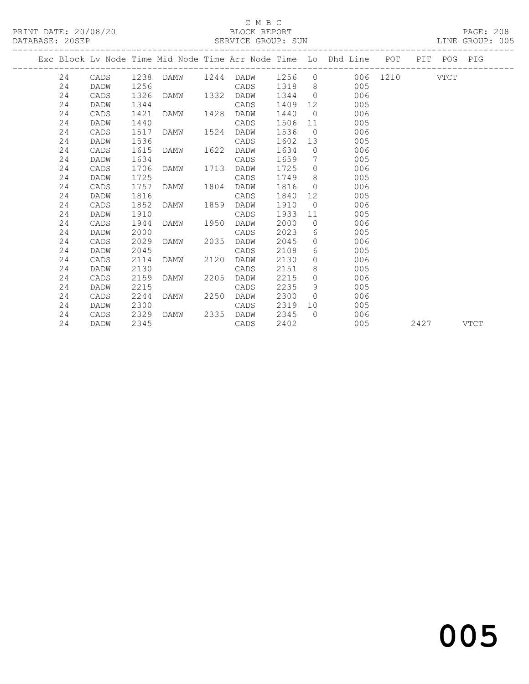## C M B C<br>BLOCK REPORT

#### SERVICE GROUP: SUN

|      | PAGE:  |  |
|------|--------|--|
| TNE. | CROHDP |  |

|  |    |             |      |           |      |      |      |                | Exc Block Lv Node Time Mid Node Time Arr Node Time Lo Dhd Line POT PIT POG PIG |      |      |
|--|----|-------------|------|-----------|------|------|------|----------------|--------------------------------------------------------------------------------|------|------|
|  | 24 | CADS        | 1238 |           |      |      |      |                | DAMW 1244 DADW 1256 0 006 1210 VTCT                                            |      |      |
|  | 24 | DADW        | 1256 |           |      | CADS | 1318 |                | $8 \overline{)}$<br>005                                                        |      |      |
|  | 24 | CADS        | 1326 | DAMW 1332 |      | DADW | 1344 | $\overline{0}$ | 006                                                                            |      |      |
|  | 24 | DADW        | 1344 |           |      | CADS | 1409 |                | 005                                                                            |      |      |
|  | 24 | CADS        | 1421 | DAMW      | 1428 | DADW | 1440 | $\overline{0}$ | 006                                                                            |      |      |
|  | 24 | <b>DADW</b> | 1440 |           |      | CADS | 1506 | 11             | 005                                                                            |      |      |
|  | 24 | CADS        | 1517 | DAMW      | 1524 | DADW | 1536 | $\overline{0}$ | 006                                                                            |      |      |
|  | 24 | DADW        | 1536 |           |      | CADS | 1602 | 13             | 005                                                                            |      |      |
|  | 24 | CADS        | 1615 | DAMW      | 1622 | DADW | 1634 | $\overline{0}$ | 006                                                                            |      |      |
|  | 24 | DADW        | 1634 |           |      | CADS | 1659 | 7              | 005                                                                            |      |      |
|  | 24 | CADS        | 1706 | DAMW      | 1713 | DADW | 1725 | $\Omega$       | 006                                                                            |      |      |
|  | 24 | DADW        | 1725 |           |      | CADS | 1749 | 8 <sup>8</sup> | 005                                                                            |      |      |
|  | 24 | CADS        | 1757 | DAMW      | 1804 | DADW | 1816 | $\circ$        | 006                                                                            |      |      |
|  | 24 | DADW        | 1816 |           |      | CADS | 1840 |                | 005                                                                            |      |      |
|  | 24 | CADS        | 1852 | DAMW      | 1859 | DADW | 1910 | $\overline{0}$ | 006                                                                            |      |      |
|  | 24 | DADW        | 1910 |           |      | CADS | 1933 | 11             | 005                                                                            |      |      |
|  | 24 | CADS        | 1944 | DAMW      | 1950 | DADW | 2000 | $\overline{0}$ | 006                                                                            |      |      |
|  | 24 | DADW        | 2000 |           |      | CADS | 2023 | 6              | 005                                                                            |      |      |
|  | 24 | CADS        | 2029 | DAMW      | 2035 | DADW | 2045 | $\circ$        | 006                                                                            |      |      |
|  | 24 | DADW        | 2045 |           |      | CADS | 2108 | 6              | 005                                                                            |      |      |
|  | 24 | CADS        | 2114 | DAMW      | 2120 | DADW | 2130 | $\circ$        | 006                                                                            |      |      |
|  | 24 | DADW        | 2130 |           |      | CADS | 2151 | 8              | 005                                                                            |      |      |
|  | 24 | CADS        | 2159 | DAMW      | 2205 | DADW | 2215 | $\Omega$       | 006                                                                            |      |      |
|  | 24 | DADW        | 2215 |           |      | CADS | 2235 | 9              | 005                                                                            |      |      |
|  | 24 | CADS        | 2244 | DAMW      | 2250 | DADW | 2300 | $\Omega$       | 006                                                                            |      |      |
|  | 24 | DADW        | 2300 |           |      | CADS | 2319 |                | 10<br>005                                                                      |      |      |
|  | 24 | CADS        | 2329 | DAMW      | 2335 | DADW | 2345 | $\bigcap$      | 006                                                                            |      |      |
|  | 24 | DADW        | 2345 |           |      | CADS | 2402 |                | 005                                                                            | 2427 | VTCT |

# and the contract of  $\sim$  005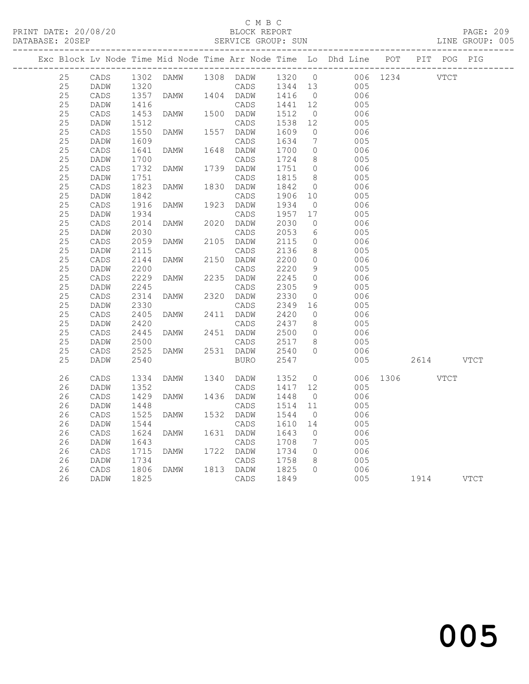#### C M B C

|  | DATABASE: 20SEP |                 |              |      |      | SERVICE GROUP: SUN  |              |                |                                                                    |          |      |             | LINE GROUP: 005 |
|--|-----------------|-----------------|--------------|------|------|---------------------|--------------|----------------|--------------------------------------------------------------------|----------|------|-------------|-----------------|
|  |                 |                 |              |      |      |                     |              |                | Exc Block Lv Node Time Mid Node Time Arr Node Time Lo Dhd Line POT |          |      | PIT POG PIG |                 |
|  | 25              | CADS            | 1302         | DAMW |      | 1308 DADW           | 1320         | $\overline{0}$ |                                                                    | 006 1234 |      | <b>VTCT</b> |                 |
|  | 25              | DADW            | 1320         |      |      | CADS                | 1344         | 13             | 005                                                                |          |      |             |                 |
|  | 25              | CADS            | 1357         | DAMW | 1404 | DADW                | 1416         | $\overline{0}$ | 006                                                                |          |      |             |                 |
|  | 25              | DADW            | 1416         |      |      | CADS                | 1441         | 12             | 005                                                                |          |      |             |                 |
|  | 25              | CADS            | 1453         | DAMW | 1500 | DADW                | 1512         | $\circ$        | 006                                                                |          |      |             |                 |
|  | 25              | DADW            | 1512         |      |      | CADS                | 1538         | 12             | 005                                                                |          |      |             |                 |
|  | 25              | CADS            | 1550         | DAMW | 1557 | DADW                | 1609         | $\circ$        | 006                                                                |          |      |             |                 |
|  | 25              | DADW            | 1609         |      |      | CADS                | 1634         | 7              | 005                                                                |          |      |             |                 |
|  | 25              | CADS            | 1641         | DAMW | 1648 | DADW                | 1700         | $\circ$        | 006                                                                |          |      |             |                 |
|  | 25              | DADW            | 1700         |      |      | CADS                | 1724         | 8              | 005                                                                |          |      |             |                 |
|  | 25              | $\mathtt{CADS}$ | 1732         | DAMW | 1739 | DADW                | 1751         | $\overline{0}$ | 006                                                                |          |      |             |                 |
|  | 25              | DADW            | 1751         |      |      | CADS                | 1815         | 8              | 005                                                                |          |      |             |                 |
|  | 25              | CADS            | 1823         | DAMW | 1830 | DADW                | 1842         | $\overline{0}$ | 006                                                                |          |      |             |                 |
|  | 25              | DADW            | 1842         |      |      | CADS                | 1906         | 10             | 005                                                                |          |      |             |                 |
|  | 25              | CADS            | 1916         | DAMW | 1923 | DADW                | 1934         | $\circ$        | 006                                                                |          |      |             |                 |
|  | 25              | DADW            | 1934         |      |      | CADS                | 1957         | 17             | 005                                                                |          |      |             |                 |
|  | 25              | CADS            | 2014         | DAMW | 2020 | DADW                | 2030         | $\circ$        | 006                                                                |          |      |             |                 |
|  | 25              | DADW            | 2030         |      |      | CADS                | 2053         | 6              | 005                                                                |          |      |             |                 |
|  | 25              | CADS            | 2059         | DAMW | 2105 | DADW                | 2115         | $\circ$        | 006                                                                |          |      |             |                 |
|  | 25              | DADW            | 2115         |      |      | CADS                | 2136         | 8              | 005                                                                |          |      |             |                 |
|  | 25              | CADS            | 2144         | DAMW | 2150 | DADW                | 2200         | $\circ$        | 006                                                                |          |      |             |                 |
|  | 25              | DADW            | 2200         |      |      | CADS                | 2220         | 9              | 005                                                                |          |      |             |                 |
|  | 25              | CADS            | 2229         | DAMW | 2235 | DADW                | 2245         | $\circ$        | 006                                                                |          |      |             |                 |
|  | 25              | DADW            | 2245         |      |      | CADS                | 2305         | 9              | 005                                                                |          |      |             |                 |
|  | 25<br>25        | CADS            | 2314         | DAMW | 2320 | DADW                | 2330         | $\circ$        | 006                                                                |          |      |             |                 |
|  |                 | DADW            | 2330         |      |      | CADS                | 2349         | 16             | 005                                                                |          |      |             |                 |
|  | 25              | CADS            | 2405         | DAMW | 2411 | DADW                | 2420         | $\circ$        | 006                                                                |          |      |             |                 |
|  | 25              | DADW            | 2420         |      |      | CADS                | 2437         | 8              | 005                                                                |          |      |             |                 |
|  | 25              | CADS            | 2445         | DAMW | 2451 | DADW                | 2500         | $\circ$        | 006                                                                |          |      |             |                 |
|  | 25<br>25        | DADW            | 2500         | DAMW | 2531 | CADS                | 2517<br>2540 | 8<br>$\Omega$  | 005<br>006                                                         |          |      |             |                 |
|  | 25              | CADS<br>DADW    | 2525<br>2540 |      |      | DADW<br><b>BURO</b> | 2547         |                | 005                                                                |          | 2614 |             | VTCT            |
|  |                 |                 |              |      |      |                     |              |                |                                                                    |          |      |             |                 |
|  | 26              | CADS            | 1334         | DAMW | 1340 | DADW                | 1352         | $\circ$        | 006                                                                | 1306     |      | VTCT        |                 |
|  | 26              | DADW            | 1352         |      |      | CADS                | 1417         | 12             | 005                                                                |          |      |             |                 |
|  | 26              | CADS            | 1429         | DAMW | 1436 | DADW                | 1448         | $\overline{0}$ | 006                                                                |          |      |             |                 |
|  | 26              | DADW            | 1448         |      |      | CADS                | 1514         | 11             | 005                                                                |          |      |             |                 |
|  | 26              | CADS            | 1525         | DAMW | 1532 | DADW                | 1544         | $\circ$        | 006                                                                |          |      |             |                 |
|  | 26              | DADW            | 1544         |      |      | CADS                | 1610         | 14             | 005                                                                |          |      |             |                 |
|  | 26              | CADS            | 1624         | DAMW | 1631 | DADW                | 1643         | $\circ$        | 006                                                                |          |      |             |                 |
|  | 26              | DADW            | 1643         |      |      | CADS                | 1708         | 7              | 005                                                                |          |      |             |                 |
|  | 26              | CADS            | 1715         | DAMW | 1722 | DADW                | 1734         | $\circ$        | 006                                                                |          |      |             |                 |
|  | 26              | DADW            | 1734         |      |      | CADS                | 1758         | 8              | 005                                                                |          |      |             |                 |
|  | 26              | CADS            | 1806         | DAMW | 1813 | DADW                | 1825         | $\circ$        | 006                                                                |          |      |             |                 |
|  | 26              | DADW            | 1825         |      |      | CADS                | 1849         |                | 005                                                                |          | 1914 |             | VTCT            |
|  |                 |                 |              |      |      |                     |              |                |                                                                    |          |      |             |                 |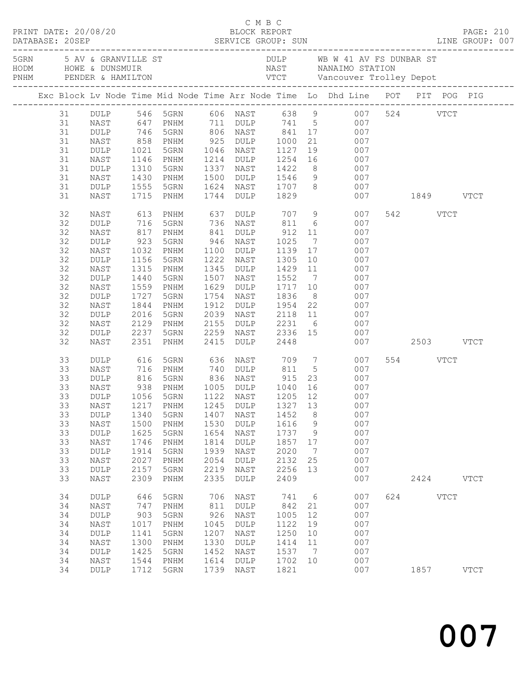|                                                                      |                                                                                                                    |                                                                                             |                                                                                                                                                                                                                |                                                                           |                                                                                                  |                                                                            |                                                         |                                                                                                                                                                                                                                                                                                                |               |              |             | 5 AV & GRANVILLE ST AN B W 41 AV FS DUNBAR ST AND HOWE & DUNSMUIR<br>FRIM PENDER & HAMILTON TO VICT Vancouver Trolley Depot<br>TRIM PENDER & HAMILTON VICT Vancouver Trolley Depot |
|----------------------------------------------------------------------|--------------------------------------------------------------------------------------------------------------------|---------------------------------------------------------------------------------------------|----------------------------------------------------------------------------------------------------------------------------------------------------------------------------------------------------------------|---------------------------------------------------------------------------|--------------------------------------------------------------------------------------------------|----------------------------------------------------------------------------|---------------------------------------------------------|----------------------------------------------------------------------------------------------------------------------------------------------------------------------------------------------------------------------------------------------------------------------------------------------------------------|---------------|--------------|-------------|------------------------------------------------------------------------------------------------------------------------------------------------------------------------------------|
|                                                                      |                                                                                                                    |                                                                                             |                                                                                                                                                                                                                |                                                                           |                                                                                                  |                                                                            |                                                         | Exc Block Lv Node Time Mid Node Time Arr Node Time Lo Dhd Line POT PIT POG PIG                                                                                                                                                                                                                                 |               |              |             |                                                                                                                                                                                    |
| 31<br>31<br>31<br>31<br>31<br>31<br>31<br>31<br>31<br>32<br>32<br>32 | NAST<br>NAST<br>DULP<br>NAST<br>DULP<br>NAST<br>NAST<br>DULP<br>NAST                                               | 1310                                                                                        | 1146 PNHM<br>5GRN<br>1430 PNHM<br>1555 5GRN<br>1715 PNHM<br>817 PNHM                                                                                                                                           | 841                                                                       | 1744 DULP 1829<br>DULP 912 11                                                                    |                                                                            |                                                         | 31 DULP 546 5GRN 606 NAST 638 9 007 524 VTCT<br>647 PNHM 711 DULP 741 5 007<br>1214 DULP 1254 16 007<br>1337 NAST 1422 8 007<br>1500 DULP 1546 9 007<br>1624 NAST 1707 8 007<br>613 PNHM       637   DULP       707     9            007<br>716   5GRN       736   NAST       811     6             007<br>007 | 007 1849 VTCT | 542 VTCT     |             |                                                                                                                                                                                    |
| 32<br>32<br>32<br>32<br>32<br>32<br>32<br>32<br>32<br>32<br>32<br>32 | DULP<br>NAST<br>$\texttt{DULP}$<br>NAST<br>DULP<br>NAST<br>DULP<br>NAST<br>DULP<br>NAST<br>$\texttt{DULP}$<br>NAST | 923<br>1032<br>1156<br>1315<br>1440<br>1559<br>1727<br>1844<br>2016<br>2129<br>2237<br>2351 | 5GRN<br>PNHM<br>5GRN<br>PNHM<br>5GRN<br>PNHM<br>5GRN<br>PNHM<br>5GRN<br>PNHM<br>5GRN<br>PNHM                                                                                                                   | 1912<br>2155                                                              | 946 NAST<br>1100 DULP<br>1222 NAST<br>1507 NAST 1552<br>1629 DULP<br>1754 NAST<br>2415 DULP 2448 | 1025                                                                       |                                                         | $7\overline{ }$<br>007<br>1139  17  007<br>1305  10  007<br>1345 DULP 1429 11 007<br>7 007<br>DULP 1954 22 007<br>2039 NAST 2118 11 007<br>2155 DULP 2231 6 007<br>2259 NAST 2336 15 007<br>2415 DULP 2448 007<br>007                                                                                          | 007 2503 VTCT |              |             |                                                                                                                                                                                    |
| 33<br>33<br>33<br>33<br>33<br>33<br>33<br>33<br>33<br>33<br>33<br>33 | DULP<br>NAST<br>DULP<br>NAST<br>DULP<br>DULP<br>NAST<br>DULP<br>NAST<br>DULP<br><b>NAST</b><br>DULP                | 1340<br>1500<br>1625<br>1746<br>1914<br>2027<br>2157                                        | 616 5GRN       636   NAST        709    7<br>716   PNHM        740   DULP       811     5<br>816   5GRN        836   NAST        915   23<br>1056 5GRN<br>5GRN<br>PNHM<br>5GRN<br>PNHM<br>5GRN<br>PNHM<br>5GRN | 1407<br>1530<br>1654<br>1814<br>1939<br>2054<br>2219                      | 1122 NAST<br>NAST<br>$\texttt{DULP}$<br>NAST<br><b>DULP</b><br>NAST<br><b>DULP</b><br>NAST       | 1205 12<br>1452<br>1616<br>1737<br>1857<br>2020<br>2132<br>2256            | 8<br>9<br>9<br>17<br>$7\phantom{.0}$<br>25<br>13        | 007<br>007<br>$23$ 007<br>938 PNHM 1005 DULP 1040 16 007<br>007<br>33 NAST 1217 PNHM 1245 DULP 1327 13 007<br>007<br>007<br>007<br>007<br>007<br>007<br>007                                                                                                                                                    |               | 554 VTCT     |             |                                                                                                                                                                                    |
| 33<br>34<br>34<br>34<br>34<br>34<br>34<br>34<br>34<br>34             | NAST<br>DULP<br>NAST<br>DULP<br>NAST<br>$\texttt{DULP}$<br>NAST<br>DULP<br>NAST<br>DULP                            | 2309<br>646<br>747<br>903<br>1017<br>1141<br>1300<br>1425<br>1544<br>1712                   | PNHM<br>5GRN<br>PNHM<br>5GRN<br>PNHM<br>5GRN<br>PNHM<br>5GRN<br>PNHM<br>5GRN                                                                                                                                   | 2335<br>706<br>811<br>926<br>1045<br>1207<br>1330<br>1452<br>1614<br>1739 | DULP<br>NAST<br>DULP<br>NAST<br>DULP<br>NAST<br>DULP<br>NAST<br>DULP<br>NAST                     | 2409<br>741<br>842<br>1005<br>1122<br>1250<br>1414<br>1537<br>1702<br>1821 | 6<br>21<br>12<br>19<br>10<br>11<br>$\overline{7}$<br>10 | 007<br>007<br>007<br>007<br>007<br>007<br>007<br>007<br>007<br>007                                                                                                                                                                                                                                             | 624           | 2424<br>1857 | <b>VTCT</b> | <b>VTCT</b><br><b>VTCT</b>                                                                                                                                                         |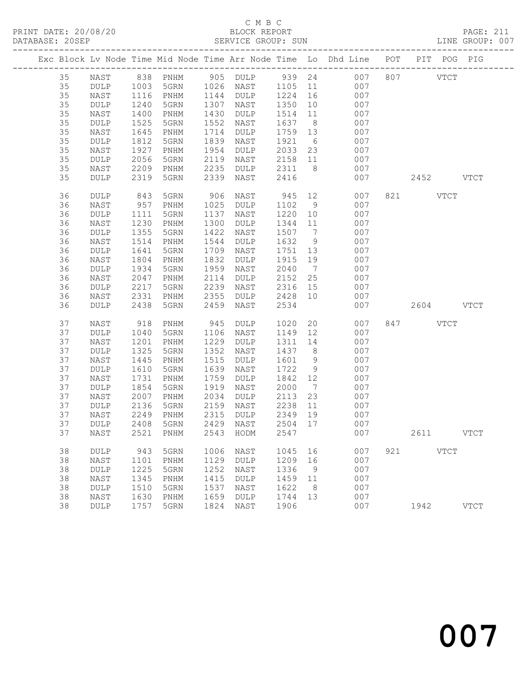PRINT DATE: 20/08/20 BLOCK REPORT BATABASE: 205EP

# C M B C<br>BLOCK REPORT

PAGE: 211<br>LINE GROUP: 007

|  |    |                 |      |                              |      |                 |      |                 | Exc Block Lv Node Time Mid Node Time Arr Node Time Lo Dhd Line POT |     | PIT POG PIG   |               |
|--|----|-----------------|------|------------------------------|------|-----------------|------|-----------------|--------------------------------------------------------------------|-----|---------------|---------------|
|  | 35 | NAST            | 838  | PNHM                         | 905  | $\texttt{DULP}$ | 939  | 24              | 007                                                                | 807 | $_{\rm VTCT}$ |               |
|  | 35 | <b>DULP</b>     | 1003 | 5GRN                         | 1026 | NAST            | 1105 | 11              | 007                                                                |     |               |               |
|  | 35 | NAST            | 1116 | PNHM                         | 1144 | DULP            | 1224 | 16              | 007                                                                |     |               |               |
|  | 35 | DULP            | 1240 | 5GRN                         | 1307 | NAST            | 1350 | 10              | 007                                                                |     |               |               |
|  | 35 | NAST            | 1400 | PNHM                         | 1430 | DULP            | 1514 | 11              | 007                                                                |     |               |               |
|  | 35 | DULP            | 1525 | 5GRN                         | 1552 | NAST            | 1637 | 8               | 007                                                                |     |               |               |
|  | 35 | NAST            | 1645 | PNHM                         | 1714 | DULP            | 1759 | 13              | 007                                                                |     |               |               |
|  | 35 | $\texttt{DULP}$ | 1812 | 5GRN                         | 1839 | NAST            | 1921 | 6               | 007                                                                |     |               |               |
|  | 35 | NAST            | 1927 | PNHM                         | 1954 | DULP            | 2033 | 23              | 007                                                                |     |               |               |
|  | 35 | DULP            | 2056 | 5GRN                         | 2119 | NAST            | 2158 | 11              | 007                                                                |     |               |               |
|  | 35 | NAST            | 2209 | PNHM                         | 2235 | DULP            | 2311 | 8               | 007                                                                |     |               |               |
|  | 35 | DULP            | 2319 | 5GRN                         | 2339 | NAST            | 2416 |                 | 007                                                                |     | 2452          | <b>VTCT</b>   |
|  |    |                 |      |                              |      |                 |      |                 |                                                                    |     |               |               |
|  | 36 | DULP            | 843  | 5GRN                         | 906  | NAST            | 945  | 12              | 007                                                                | 821 | <b>VTCT</b>   |               |
|  | 36 | NAST            | 957  | PNHM                         | 1025 | DULP            | 1102 | 9               | 007                                                                |     |               |               |
|  | 36 | DULP            | 1111 | 5GRN                         | 1137 | NAST            | 1220 | 10              | 007                                                                |     |               |               |
|  | 36 | NAST            | 1230 | PNHM                         | 1300 | DULP            | 1344 | 11              | 007                                                                |     |               |               |
|  | 36 | DULP            | 1355 | 5GRN                         | 1422 | NAST            | 1507 | $7\phantom{.0}$ | 007                                                                |     |               |               |
|  | 36 | NAST            | 1514 | PNHM                         | 1544 | DULP            | 1632 | 9               | 007                                                                |     |               |               |
|  | 36 | DULP            | 1641 | 5GRN                         | 1709 | NAST            | 1751 | 13              | 007                                                                |     |               |               |
|  | 36 | NAST            | 1804 | PNHM                         | 1832 | DULP            | 1915 | 19              | 007                                                                |     |               |               |
|  | 36 | DULP            | 1934 | 5GRN                         | 1959 | NAST            | 2040 | $\overline{7}$  | 007                                                                |     |               |               |
|  | 36 | NAST            | 2047 | PNHM                         | 2114 | DULP            | 2152 | 25              | 007                                                                |     |               |               |
|  | 36 | DULP            | 2217 | 5GRN                         | 2239 | NAST            | 2316 | 15              | 007                                                                |     |               |               |
|  | 36 | NAST            | 2331 | $\mathop{\rm PNHM}\nolimits$ | 2355 | DULP            | 2428 | 10              | 007                                                                |     |               |               |
|  | 36 | DULP            | 2438 | 5GRN                         | 2459 | NAST            | 2534 |                 | 007                                                                |     | 2604          | <b>VTCT</b>   |
|  | 37 | NAST            | 918  | PNHM                         | 945  | DULP            | 1020 | 20              | 007                                                                | 847 | <b>VTCT</b>   |               |
|  | 37 | DULP            | 1040 | 5GRN                         | 1106 | NAST            | 1149 | 12              | 007                                                                |     |               |               |
|  | 37 | NAST            | 1201 | PNHM                         | 1229 | DULP            | 1311 | 14              | 007                                                                |     |               |               |
|  | 37 | DULP            | 1325 | 5GRN                         | 1352 | NAST            | 1437 | 8               | 007                                                                |     |               |               |
|  | 37 | NAST            | 1445 | PNHM                         | 1515 | DULP            | 1601 | $\overline{9}$  | 007                                                                |     |               |               |
|  | 37 | $\texttt{DULP}$ | 1610 | 5GRN                         | 1639 | NAST            | 1722 | 9               | 007                                                                |     |               |               |
|  | 37 | NAST            | 1731 | PNHM                         | 1759 | DULP            | 1842 | 12              | 007                                                                |     |               |               |
|  | 37 | DULP            | 1854 | 5GRN                         | 1919 | NAST            | 2000 | $7\phantom{.0}$ | 007                                                                |     |               |               |
|  | 37 | NAST            | 2007 | PNHM                         | 2034 | DULP            | 2113 | 23              | 007                                                                |     |               |               |
|  | 37 | DULP            | 2136 | 5GRN                         | 2159 | NAST            | 2238 | 11              | 007                                                                |     |               |               |
|  | 37 | NAST            | 2249 | PNHM                         | 2315 | DULP            | 2349 | 19              | 007                                                                |     |               |               |
|  | 37 | <b>DULP</b>     | 2408 | 5GRN                         | 2429 | NAST            | 2504 | 17              | 007                                                                |     |               |               |
|  | 37 | NAST            |      | 2521 PNHM                    |      | 2543 HODM 2547  |      |                 | 007                                                                |     | 2611          | <b>VTCT</b>   |
|  |    |                 |      |                              |      |                 |      |                 |                                                                    |     |               |               |
|  | 38 | DULP            | 943  | 5GRN                         | 1006 | NAST            | 1045 | 16              | 007                                                                | 921 | $_{\rm VTCT}$ |               |
|  | 38 | NAST            | 1101 | PNHM                         | 1129 | <b>DULP</b>     | 1209 | 16              | 007                                                                |     |               |               |
|  | 38 | DULP            | 1225 | 5GRN                         | 1252 | NAST            | 1336 | 9               | 007                                                                |     |               |               |
|  | 38 | NAST            | 1345 | PNHM                         | 1415 | <b>DULP</b>     | 1459 | 11              | 007                                                                |     |               |               |
|  | 38 | $\texttt{DULP}$ | 1510 | 5GRN                         | 1537 | NAST            | 1622 | 8               | 007                                                                |     |               |               |
|  | 38 | NAST            | 1630 | PNHM                         | 1659 | DULP            | 1744 | 13              | 007                                                                |     |               |               |
|  | 38 | $\texttt{DULP}$ | 1757 | 5GRN                         | 1824 | NAST            | 1906 |                 | 007                                                                |     | 1942          | $_{\rm VTCT}$ |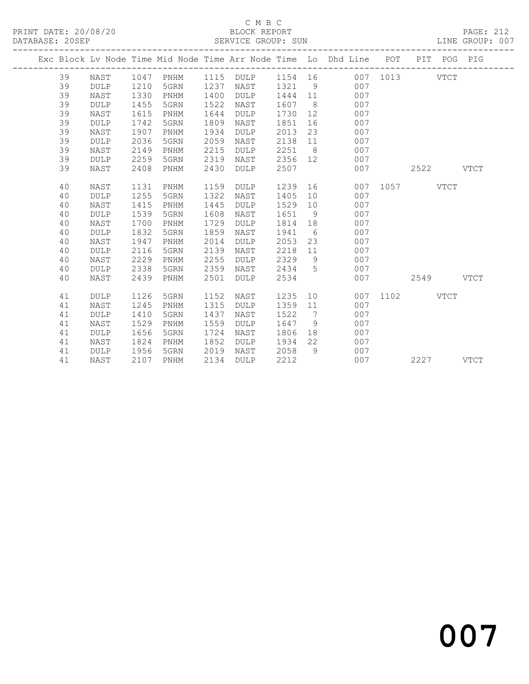# C M B C<br>BLOCK REPORT

| DATABASE: 20SEP |    |             |      |      |      | SERVICE GROUP: SUN |         |            |                                                                                |      |      |             | LINE GROUP: 007 |
|-----------------|----|-------------|------|------|------|--------------------|---------|------------|--------------------------------------------------------------------------------|------|------|-------------|-----------------|
|                 |    |             |      |      |      |                    |         | ---------- | Exc Block Lv Node Time Mid Node Time Arr Node Time Lo Dhd Line POT PIT POG PIG |      |      |             |                 |
|                 | 39 | NAST        | 1047 | PNHM | 1115 | DULP               | 1154 16 |            | 007                                                                            | 1013 |      | <b>VTCT</b> |                 |
|                 | 39 | <b>DULP</b> | 1210 | 5GRN | 1237 | NAST               | 1321    | 9          | 007                                                                            |      |      |             |                 |
|                 | 39 | NAST        | 1330 | PNHM | 1400 | <b>DULP</b>        | 1444    | 11         | 007                                                                            |      |      |             |                 |
|                 | 39 | <b>DULP</b> | 1455 | 5GRN | 1522 | NAST               | 1607    | - 8        | 007                                                                            |      |      |             |                 |
|                 | 39 | NAST        | 1615 | PNHM | 1644 | <b>DULP</b>        | 1730    | 12         | 007                                                                            |      |      |             |                 |
|                 | 39 | <b>DULP</b> | 1742 | 5GRN | 1809 | NAST               | 1851    | 16         | 007                                                                            |      |      |             |                 |
|                 | 39 | NAST        | 1907 | PNHM | 1934 | <b>DULP</b>        | 2013    | 23         | 007                                                                            |      |      |             |                 |
|                 | 39 | <b>DULP</b> | 2036 | 5GRN | 2059 | NAST               | 2138    | 11         | 007                                                                            |      |      |             |                 |
|                 | 39 | <b>NAST</b> | 2149 | PNHM | 2215 | <b>DULP</b>        | 2251    | 8          | 007                                                                            |      |      |             |                 |
|                 | 39 | <b>DULP</b> | 2259 | 5GRN | 2319 | NAST               | 2356    | 12         | 007                                                                            |      |      |             |                 |
|                 | 39 | NAST        | 2408 | PNHM | 2430 | <b>DULP</b>        | 2507    |            | 007                                                                            |      | 2522 |             | <b>VTCT</b>     |
|                 | 40 | <b>NAST</b> | 1131 | PNHM | 1159 | <b>DULP</b>        | 1239    | 16         | 007                                                                            | 1057 |      | <b>VTCT</b> |                 |
|                 | 40 | <b>DULP</b> | 1255 | 5GRN | 1322 | NAST               | 1405    | 10         | 007                                                                            |      |      |             |                 |
|                 | 40 | NAST        | 1415 | PNHM | 1445 | <b>DULP</b>        | 1529    | 10         | 007                                                                            |      |      |             |                 |
|                 | 40 | <b>DULP</b> | 1539 | 5GRN | 1608 | NAST               | 1651    | 9          | 007                                                                            |      |      |             |                 |
|                 | 40 | <b>NAST</b> | 1700 | PNHM | 1729 | <b>DULP</b>        | 1814    | 18         | 007                                                                            |      |      |             |                 |
|                 | 40 | <b>DULP</b> | 1832 | 5GRN | 1859 | NAST               | 1941    | - 6        | 007                                                                            |      |      |             |                 |
|                 | 40 | <b>NAST</b> | 1947 | PNHM | 2014 | <b>DULP</b>        | 2053    | 23         | 007                                                                            |      |      |             |                 |
|                 | 40 | <b>DULP</b> | 2116 | 5GRN | 2139 | NAST               | 2218    | 11         | 007                                                                            |      |      |             |                 |
|                 | 40 | <b>NAST</b> | 2229 | PNHM | 2255 | <b>DULP</b>        | 2329    | 9          | 007                                                                            |      |      |             |                 |
|                 | 40 | <b>DULP</b> | 2338 | 5GRN | 2359 | NAST               | 2434    | 5          | 007                                                                            |      |      |             |                 |
|                 | 40 | NAST        | 2439 | PNHM | 2501 | <b>DULP</b>        | 2534    |            | 007                                                                            |      | 2549 |             | <b>VTCT</b>     |
|                 | 41 | <b>DULP</b> | 1126 | 5GRN | 1152 | NAST               | 1235    | 10         | 007                                                                            | 1102 |      | VTCT        |                 |
|                 | 41 | <b>NAST</b> | 1245 | PNHM | 1315 | <b>DULP</b>        | 1359    | 11         | 007                                                                            |      |      |             |                 |
|                 | 41 | <b>DULP</b> | 1410 | 5GRN | 1437 | NAST               | 1522    | 7          | 007                                                                            |      |      |             |                 |
|                 | 41 | NAST        | 1529 | PNHM | 1559 | <b>DULP</b>        | 1647    | 9          | 007                                                                            |      |      |             |                 |
|                 | 41 | <b>DULP</b> | 1656 | 5GRN | 1724 | NAST               | 1806    | 18         | 007                                                                            |      |      |             |                 |
|                 | 41 | <b>NAST</b> | 1824 | PNHM | 1852 | <b>DULP</b>        | 1934    | 22         | 007                                                                            |      |      |             |                 |
|                 | 41 | <b>DULP</b> | 1956 | 5GRN | 2019 | NAST               | 2058    | 9          | 007                                                                            |      |      |             |                 |
|                 | 41 | NAST        | 2107 | PNHM | 2134 | <b>DULP</b>        | 2212    |            | 007                                                                            |      | 2227 |             | <b>VTCT</b>     |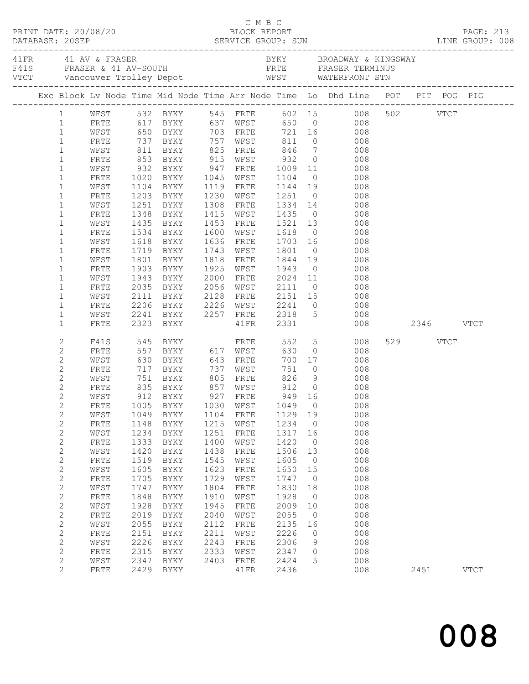| DATABASE: 20SEP                  | PRINT DATE: 20/08/20 |              |                                       |              | ELOCK REPORT           |                 |                      |                                                                                                                                                                                                                                                                                                                                   |               |          | <b>PAGE: 213</b> |  |
|----------------------------------|----------------------|--------------|---------------------------------------|--------------|------------------------|-----------------|----------------------|-----------------------------------------------------------------------------------------------------------------------------------------------------------------------------------------------------------------------------------------------------------------------------------------------------------------------------------|---------------|----------|------------------|--|
|                                  |                      |              |                                       |              |                        |                 |                      | BYKY BROADWAY & KINGSWAY<br>41 FR 41 AV & FRASER<br>11 FRASER & 41 AV-SOUTH FRASER FRASER TERMINUS<br>1990 - Vancouver Trolley Depot (FRTE FRASER TERMINUS)<br>1991 - WEST WATERFRONT STN                                                                                                                                         |               |          |                  |  |
|                                  |                      |              |                                       |              |                        |                 |                      | Exc Block Lv Node Time Mid Node Time Arr Node Time Lo Dhd Line POT PIT POG PIG                                                                                                                                                                                                                                                    |               |          |                  |  |
|                                  |                      |              |                                       |              |                        |                 |                      | 1 WFST 532 BYKY 545 FRTE 602 15 008 502 VTCT<br>1 FRTE 617 BYKY 637 WFST 650 0 008<br>1 WFST 650 BYKY 703 FRTE 721 16 008                                                                                                                                                                                                         |               |          |                  |  |
|                                  |                      |              |                                       |              |                        |                 |                      |                                                                                                                                                                                                                                                                                                                                   |               |          |                  |  |
|                                  |                      |              |                                       |              |                        |                 |                      |                                                                                                                                                                                                                                                                                                                                   |               |          |                  |  |
| $\mathbf{1}$                     | FRTE                 |              |                                       |              |                        |                 |                      | 737 BYKY 757 WFST 811 0 008                                                                                                                                                                                                                                                                                                       |               |          |                  |  |
| $\mathbf{1}$                     | WFST                 |              |                                       |              |                        |                 |                      | 846 7 008                                                                                                                                                                                                                                                                                                                         |               |          |                  |  |
| $\mathbf{1}$<br>$\mathbf{1}$     | FRTE<br>WFST         |              |                                       |              |                        |                 |                      | $\begin{array}{ccc} 0 & \hspace{1.5cm} & 008 \\ 11 & \hspace{1.5cm} & 008 \end{array}$                                                                                                                                                                                                                                            |               |          |                  |  |
| $\mathbf{1}$                     | FRTE                 |              | 1020 BYKY 1045 WFST                   |              |                        | 1104            |                      | $0$ 008                                                                                                                                                                                                                                                                                                                           |               |          |                  |  |
| $\mathbf{1}$                     | WFST                 |              | 1104 BYKY                             |              | 1119 FRTE              |                 |                      | 1144 19 008                                                                                                                                                                                                                                                                                                                       |               |          |                  |  |
| $\mathbf{1}$                     | FRTE                 |              |                                       |              | 1230 WFST              |                 |                      |                                                                                                                                                                                                                                                                                                                                   |               |          |                  |  |
| $1\,$                            | WFST                 |              | 1203 BYKY<br>1251 BYKY                |              | 1308 FRTE              |                 |                      | 1251 0 008<br>1334 14 008                                                                                                                                                                                                                                                                                                         |               |          |                  |  |
| $\mathbf{1}$                     | FRTE                 |              | 1348 BYKY                             |              | 1415 WFST 1435         |                 |                      | $\overline{O}$<br>008                                                                                                                                                                                                                                                                                                             |               |          |                  |  |
| $\mathbf{1}$                     | WFST                 | 1435         | BYKY                                  |              | 1453 FRTE              | 1521 13         |                      | 008                                                                                                                                                                                                                                                                                                                               |               |          |                  |  |
| $\mathbf{1}$                     | FRTE                 |              | 1534 BYKY<br>1618 BYKY                |              | 1600 WFST              |                 |                      |                                                                                                                                                                                                                                                                                                                                   |               |          |                  |  |
| $\mathbf{1}$                     | WFST                 |              |                                       |              | 1636 FRTE              |                 |                      |                                                                                                                                                                                                                                                                                                                                   |               |          |                  |  |
| $\mathbf{1}$                     | FRTE                 |              | 1719 BYKY                             |              | 1743 WFST 1801         |                 |                      | $0$ 008                                                                                                                                                                                                                                                                                                                           |               |          |                  |  |
| $\mathbf{1}$                     | WFST                 |              | 1801 BYKY                             |              | 1818 FRTE              |                 |                      | 1844 19 008                                                                                                                                                                                                                                                                                                                       |               |          |                  |  |
| $\mathbf{1}$                     | FRTE                 |              | 1903 BYKY<br>1903 BYKY<br>1943 BYKY   |              | 1925 WFST              |                 |                      | 1943 0 008<br>2024 11 008                                                                                                                                                                                                                                                                                                         |               |          |                  |  |
| $\mathbf{1}$<br>$\mathbf{1}$     | WFST<br>FRTE         |              | 2035 BYKY                             |              | 2000 FRTE<br>2056 WFST | 2111            |                      | $\begin{matrix} 0 & 0 & 0 \\ 0 & 0 & 0 \\ 0 & 0 & 0 \\ 0 & 0 & 0 \\ 0 & 0 & 0 \\ 0 & 0 & 0 \\ 0 & 0 & 0 \\ 0 & 0 & 0 \\ 0 & 0 & 0 \\ 0 & 0 & 0 \\ 0 & 0 & 0 \\ 0 & 0 & 0 \\ 0 & 0 & 0 \\ 0 & 0 & 0 & 0 \\ 0 & 0 & 0 & 0 \\ 0 & 0 & 0 & 0 \\ 0 & 0 & 0 & 0 & 0 \\ 0 & 0 & 0 & 0 & 0 \\ 0 & 0 & 0 & 0 & 0 \\ 0 & 0 & 0 & 0 & 0 & 0$ |               |          |                  |  |
| $\mathbf{1}$                     | WFST                 |              | 2111 BYKY                             |              |                        |                 |                      | 2128 FRTE 2151 15 008                                                                                                                                                                                                                                                                                                             |               |          |                  |  |
| $\mathbf{1}$                     | FRTE                 | 2206         | BYKY                                  |              | 2226 WFST              |                 |                      | $0\qquad \qquad 008$                                                                                                                                                                                                                                                                                                              |               |          |                  |  |
| $\mathbf{1}$                     | WFST                 |              |                                       |              |                        | 2241<br>2318    |                      | 008                                                                                                                                                                                                                                                                                                                               |               |          |                  |  |
| $\mathbf 1$                      | FRTE                 |              | 2241 BYKY 2257 FRTE<br>2323 BYKY 41FR |              |                        | 2331            |                      | $\overline{5}$                                                                                                                                                                                                                                                                                                                    | 008 2346 VTCT |          |                  |  |
| $\mathbf{2}$                     | F41S                 |              |                                       |              |                        | 552             |                      | 5 008                                                                                                                                                                                                                                                                                                                             |               | 529 VTCT |                  |  |
| $\mathbf{2}$                     | FRTE                 |              |                                       |              |                        | 630             | $\overline{0}$       | 008                                                                                                                                                                                                                                                                                                                               |               |          |                  |  |
| $\mathbf{2}$                     | WFST                 |              |                                       |              |                        |                 |                      | 700 17<br>008                                                                                                                                                                                                                                                                                                                     |               |          |                  |  |
| $\overline{c}$                   | FRTE                 |              | 717 BYKY 737 WFST                     |              |                        | 751             |                      | $\overline{0}$<br>008                                                                                                                                                                                                                                                                                                             |               |          |                  |  |
| $\mathbf{2}$                     | WFST                 |              |                                       |              |                        |                 |                      | 826 9 008                                                                                                                                                                                                                                                                                                                         |               |          |                  |  |
| $\mathbf{2}$                     | FRTE                 |              |                                       |              |                        | 912 0<br>949 16 | $\overline{0}$       | $\begin{array}{c} 008 \\ 008 \end{array}$                                                                                                                                                                                                                                                                                         |               |          |                  |  |
| $\overline{c}$<br>$\overline{c}$ | WFST                 |              |                                       |              |                        |                 |                      | FRTE 1005 BYKY 1030 WFST 1049 0 008                                                                                                                                                                                                                                                                                               |               |          |                  |  |
| $\sqrt{2}$                       | WFST                 | 1049         | BYKY                                  | 1104         | FRTE                   | 1129 19         |                      | 008                                                                                                                                                                                                                                                                                                                               |               |          |                  |  |
| $\mathbf{2}$                     | FRTE                 | 1148         | BYKY                                  | 1215         | WFST                   | 1234            | $\overline{0}$       | 008                                                                                                                                                                                                                                                                                                                               |               |          |                  |  |
| $\sqrt{2}$                       | WFST                 | 1234         | BYKY                                  | 1251         | FRTE                   | 1317            | 16                   | 008                                                                                                                                                                                                                                                                                                                               |               |          |                  |  |
| $\mathbf{2}$                     | FRTE                 | 1333         | BYKY                                  | 1400         | WFST                   | 1420            | $\overline{0}$       | 008                                                                                                                                                                                                                                                                                                                               |               |          |                  |  |
| 2                                | WFST                 | 1420         | BYKY                                  | 1438         | FRTE                   | 1506            | 13                   | 008                                                                                                                                                                                                                                                                                                                               |               |          |                  |  |
| $\mathbf{2}$                     | FRTE                 | 1519         | BYKY                                  | 1545         | WFST                   | 1605            | $\overline{0}$       | 008                                                                                                                                                                                                                                                                                                                               |               |          |                  |  |
| $\sqrt{2}$                       | WFST                 | 1605         | BYKY                                  | 1623         | FRTE                   | 1650            | 15                   | 008                                                                                                                                                                                                                                                                                                                               |               |          |                  |  |
| $\mathbf{2}$                     | FRTE                 | 1705         | BYKY                                  | 1729         | WFST                   | 1747            | $\overline{0}$       | 008                                                                                                                                                                                                                                                                                                                               |               |          |                  |  |
| $\mathbf{2}$                     | WFST                 | 1747         | BYKY                                  | 1804         | FRTE                   | 1830            | 18                   | 008                                                                                                                                                                                                                                                                                                                               |               |          |                  |  |
| $\mathbf{2}$                     | FRTE                 | 1848         | BYKY                                  | 1910         | WFST                   | 1928            | $\overline{0}$       | 008                                                                                                                                                                                                                                                                                                                               |               |          |                  |  |
| $\mathbf{2}$                     | WFST                 | 1928         | BYKY                                  | 1945         | FRTE                   | 2009            | 10                   | 008                                                                                                                                                                                                                                                                                                                               |               |          |                  |  |
| $\mathbf{2}$<br>$\mathbf{2}$     | FRTE<br>WFST         | 2019<br>2055 | BYKY<br>BYKY                          | 2040<br>2112 | WFST<br>FRTE           | 2055<br>2135    | $\overline{0}$<br>16 | 008<br>008                                                                                                                                                                                                                                                                                                                        |               |          |                  |  |
| $\mathbf{2}$                     | FRTE                 | 2151         | BYKY                                  | 2211         | WFST                   | 2226            | $\circ$              | 008                                                                                                                                                                                                                                                                                                                               |               |          |                  |  |
| $\mathbf{2}$                     | WFST                 | 2226         | BYKY                                  | 2243         | FRTE                   | 2306            | 9                    | 008                                                                                                                                                                                                                                                                                                                               |               |          |                  |  |
| $\mathbf{2}$                     | FRTE                 | 2315         | BYKY                                  | 2333         | WFST                   | 2347            | $\circ$              | 008                                                                                                                                                                                                                                                                                                                               |               |          |                  |  |
| $\mathbf{2}$                     | WFST                 | 2347         | BYKY                                  | 2403         | FRTE                   | 2424            | 5                    | 008                                                                                                                                                                                                                                                                                                                               |               |          |                  |  |
| $\overline{2}$                   | FRTE                 | 2429         | BYKY                                  |              | 41FR                   | 2436            |                      | 008                                                                                                                                                                                                                                                                                                                               |               | 2451     | <b>VTCT</b>      |  |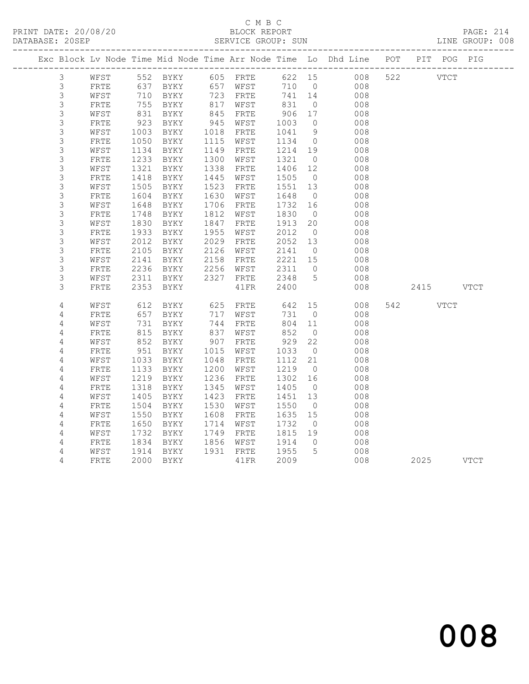# C M B C

| DATABASE: 20SEP |   |      |      |          |      | SERVICE GROUP: SUN |      |          |                                                                                |     |          |      | LINE GROUP: 008 |  |
|-----------------|---|------|------|----------|------|--------------------|------|----------|--------------------------------------------------------------------------------|-----|----------|------|-----------------|--|
|                 |   |      |      |          |      |                    |      |          | Exc Block Lv Node Time Mid Node Time Arr Node Time Lo Dhd Line POT PIT POG PIG |     |          |      |                 |  |
|                 | 3 | WFST |      |          |      |                    |      |          | 622 15<br>008                                                                  |     | 522 VTCT |      |                 |  |
|                 | 3 | FRTE | 637  | BYKY     | 657  | WFST               | 710  | $\circ$  | 008                                                                            |     |          |      |                 |  |
|                 | 3 | WFST | 710  | BYKY     | 723  | FRTE               | 741  | 14       | 008                                                                            |     |          |      |                 |  |
|                 | 3 | FRTE | 755  | BYKY     | 817  | WFST               | 831  | $\circ$  | 008                                                                            |     |          |      |                 |  |
|                 | 3 | WFST | 831  | BYKY     | 845  | FRTE               | 906  | 17       | 008                                                                            |     |          |      |                 |  |
|                 | 3 | FRTE | 923  | BYKY     | 945  | WFST               | 1003 | $\circ$  | 008                                                                            |     |          |      |                 |  |
|                 | 3 | WFST | 1003 | BYKY     | 1018 | FRTE               | 1041 | 9        | 008                                                                            |     |          |      |                 |  |
|                 | 3 | FRTE | 1050 | BYKY     | 1115 | WFST               | 1134 | $\circ$  | 008                                                                            |     |          |      |                 |  |
|                 | 3 | WFST | 1134 | BYKY     | 1149 | FRTE               | 1214 | 19       | 008                                                                            |     |          |      |                 |  |
|                 | 3 | FRTE | 1233 | BYKY     | 1300 | WFST               | 1321 | $\circ$  | 008                                                                            |     |          |      |                 |  |
|                 | 3 | WFST | 1321 | BYKY     | 1338 | FRTE               | 1406 | 12       | 008                                                                            |     |          |      |                 |  |
|                 | 3 | FRTE | 1418 | BYKY     | 1445 | WFST               | 1505 | $\circ$  | 008                                                                            |     |          |      |                 |  |
|                 | 3 | WFST | 1505 | BYKY     | 1523 | FRTE               | 1551 | 13       | 008                                                                            |     |          |      |                 |  |
|                 | 3 | FRTE | 1604 | BYKY     | 1630 | WFST               | 1648 | $\circ$  | 008                                                                            |     |          |      |                 |  |
|                 | 3 | WFST | 1648 | BYKY     | 1706 | FRTE               | 1732 | 16       | 008                                                                            |     |          |      |                 |  |
|                 | 3 | FRTE | 1748 | BYKY     | 1812 | WFST               | 1830 | $\circ$  | 008                                                                            |     |          |      |                 |  |
|                 | 3 | WFST | 1830 | BYKY     | 1847 | FRTE               | 1913 | 20       | 008                                                                            |     |          |      |                 |  |
|                 | 3 | FRTE | 1933 | BYKY     | 1955 | WFST               | 2012 | $\circ$  | 008                                                                            |     |          |      |                 |  |
|                 | 3 | WFST | 2012 | BYKY     | 2029 | FRTE               | 2052 | 13       | 008                                                                            |     |          |      |                 |  |
|                 | 3 | FRTE | 2105 | BYKY     | 2126 | WFST               | 2141 | $\circ$  | 008                                                                            |     |          |      |                 |  |
|                 | 3 | WFST | 2141 | BYKY     | 2158 | FRTE               | 2221 | 15       | 008                                                                            |     |          |      |                 |  |
|                 | 3 | FRTE | 2236 | BYKY     | 2256 | WFST               | 2311 | $\circ$  | 008                                                                            |     |          |      |                 |  |
|                 | 3 | WFST | 2311 | BYKY     | 2327 | FRTE               | 2348 | 5        | 008                                                                            |     |          |      |                 |  |
|                 | 3 | FRTE | 2353 | BYKY     |      | 41FR               | 2400 |          | 008                                                                            |     | 2415     |      | <b>VTCT</b>     |  |
|                 | 4 | WFST | 612  | BYKY     | 625  | FRTE               | 642  | 15       | 008                                                                            | 542 |          | VTCT |                 |  |
|                 | 4 | FRTE | 657  | BYKY     | 717  | WFST               | 731  | $\circ$  | 008                                                                            |     |          |      |                 |  |
|                 | 4 | WFST | 731  | BYKY     | 744  | FRTE               | 804  | 11       | 008                                                                            |     |          |      |                 |  |
|                 | 4 | FRTE |      | 815 BYKY | 837  | WFST               | 852  | $\Omega$ | 008                                                                            |     |          |      |                 |  |

4 WFST 852 BYKY 907 FRTE 929 22 008

4 WFST 1033 BYKY 1048 FRTE 1112 21 008

4 WFST 1219 BYKY 1236 FRTE 1302 16 008

4 WFST 1405 BYKY 1423 FRTE 1451 13 008

 4 WFST 1550 BYKY 1608 FRTE 1635 15 008 4 FRTE 1650 BYKY 1714 WFST 1732 0 008 4 WFST 1732 BYKY 1749 FRTE 1815 19 008

4 WEST 852 BYKY 907 FRTE 929 22 008<br>4 FRTE 951 BYKY 1015 WFST 1033 0 008<br>4 WEST 1033 BYKY 1048 FRTE 1112 21 008

4 FRTE 1133 BYKY 1200 WFST 1219 0 008

4 FRTE 1318 BYKY 1345 WFST 1405 0 008

4 FRTE 1504 BYKY 1530 WFST 1550 0 008

 4 FRTE 1834 BYKY 1856 WFST 1914 0 008 4 WFST 1914 BYKY 1931 FRTE 1955 5 008

008

2025 VTCT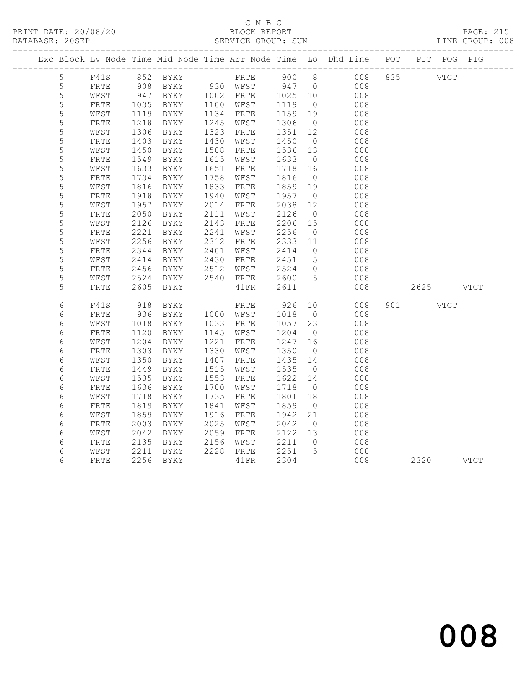PRINT DATE: 20/08/20 BLOCK REPORT BATABASE: 205EP

# C M B C<br>BLOCK REPORT

PAGE: 215<br>LINE GROUP: 008

|             |              |                  |                     |      |                     |         |                 | Exc Block Lv Node Time Mid Node Time Arr Node Time Lo Dhd Line POT PIT POG PIG |              |      |
|-------------|--------------|------------------|---------------------|------|---------------------|---------|-----------------|--------------------------------------------------------------------------------|--------------|------|
| 5           | F41S         |                  | 852 BYKY FRTE 900 8 |      |                     |         |                 |                                                                                | 008 835 VTCT |      |
| 5           | FRTE         | 908<br>947       |                     |      | BYKY 930 WFST 947 0 |         |                 | 008                                                                            |              |      |
| $\mathsf S$ | WFST         |                  | BYKY                |      | 1002 FRTE           | 1025 10 |                 | 008                                                                            |              |      |
| 5           | ${\tt FRTE}$ | 1035             | BYKY                |      | 1100 WFST           | 1119    | $\overline{0}$  | 008                                                                            |              |      |
| 5           | WFST         | 1119             | BYKY                | 1134 | FRTE                | 1159    | 19              | 008                                                                            |              |      |
| 5           | ${\tt FRTE}$ | $\frac{1}{1218}$ | BYKY                | 1245 | WFST                | 1306    | $\overline{0}$  | 008                                                                            |              |      |
| 5           | WFST         | 1306             | BYKY                | 1323 | ${\tt FRTE}$        | 1351    | 12              | 008                                                                            |              |      |
| 5           | FRTE         | 1403             | BYKY                | 1430 | WFST                | 1450    | $\overline{0}$  | 008                                                                            |              |      |
| 5           | WFST         | 1450             | BYKY                | 1508 | FRTE                | 1536    | 13              | 008                                                                            |              |      |
| 5           | FRTE         | 1549             | BYKY                | 1615 | WFST                | 1633    | $\overline{0}$  | 008                                                                            |              |      |
| $\mathsf S$ | WFST         | 1633             | BYKY                | 1651 | FRTE                | 1718    | 16              | 008                                                                            |              |      |
| 5           | FRTE         | 1734             | BYKY                | 1758 | WFST                | 1816    | $\overline{0}$  | 008                                                                            |              |      |
| $\mathsf S$ | WFST         | 1816             | BYKY                | 1833 | FRTE                | 1859    | 19              | 008                                                                            |              |      |
| 5           | FRTE         | 1918             | BYKY                | 1940 | WFST                | 1957    | $\overline{0}$  | 008                                                                            |              |      |
| 5           | WFST         | 1957             | BYKY                | 2014 | FRTE                | 2038    | 12              | 008                                                                            |              |      |
| 5           | FRTE         | 2050             | BYKY                | 2111 | WFST                | 2126    | $\overline{0}$  | 008                                                                            |              |      |
| 5           | WFST         | 2126             | BYKY                | 2143 | FRTE                | 2206    | 15              | 008                                                                            |              |      |
| 5           | ${\tt FRTE}$ | 2221             | BYKY                | 2241 | WFST                | 2256    | $\overline{0}$  | 008                                                                            |              |      |
| 5           | WFST         | 2256             | BYKY                | 2312 | FRTE                | 2333    | 11              | 008                                                                            |              |      |
| 5           | FRTE         | 2344             | BYKY                | 2401 | WFST                | 2414    | $\overline{0}$  | 008                                                                            |              |      |
| 5           | WFST         | 2414             | BYKY                | 2430 | FRTE                | 2451    | $5^{\circ}$     | 008                                                                            |              |      |
| 5           | FRTE         | 2456             | BYKY                | 2512 | WFST                | 2524    | $\overline{0}$  | 008                                                                            |              |      |
| 5           | WFST         | 2524             | BYKY                | 2540 | FRTE                | 2600    | $5^{\circ}$     | 008                                                                            |              |      |
| 5           | FRTE         | 2605             | BYKY                |      | 41 FR               | 2611    |                 | 008                                                                            | 2625 VTCT    |      |
| 6           | F41S         | 918              | BYKY                |      | FRTE                | 926     | 10              | 008                                                                            | 901 VTCT     |      |
| 6           | ${\tt FRTE}$ | 936              | BYKY                |      | 1000 WFST           | 1018    | $\overline{0}$  | 008                                                                            |              |      |
| $\epsilon$  | WFST         | 1018             | BYKY                | 1033 | FRTE                | 1057    | 23              | 008                                                                            |              |      |
| 6           | ${\tt FRTE}$ | 1120             | BYKY                | 1145 | WFST                | 1204    | $\overline{0}$  | 008                                                                            |              |      |
| $\epsilon$  | WFST         | 1204             | BYKY                | 1221 | FRTE                | 1247    | 16              | 008                                                                            |              |      |
| 6           | FRTE         | 1303             | BYKY                | 1330 | WFST                | 1350    | $\overline{0}$  | 008                                                                            |              |      |
| $\epsilon$  | WFST         | 1350             | BYKY                | 1407 | FRTE                | 1435    | 14              | 008                                                                            |              |      |
| 6           | FRTE         | 1449             | BYKY                | 1515 | WFST                | 1535    | $\overline{0}$  | 008                                                                            |              |      |
| 6           | WFST         | 1535             | BYKY                | 1553 | FRTE                | 1622    | 14              | 008                                                                            |              |      |
| 6           | FRTE         | 1636             | BYKY                | 1700 | WFST                | 1718    | $\overline{0}$  | 008                                                                            |              |      |
| 6           | WFST         | 1718             | BYKY                | 1735 | FRTE                | 1801    | 18              | 008                                                                            |              |      |
| 6           | FRTE         | 1819             | BYKY                | 1841 | WFST                | 1859    | $\overline{0}$  | 008                                                                            |              |      |
| $\epsilon$  | WFST         | 1859             | BYKY                | 1916 | FRTE                | 1942    | 21              | 008                                                                            |              |      |
| 6           | FRTE         | 2003             | BYKY                | 2025 | WFST                | 2042    | $\overline{0}$  | 008                                                                            |              |      |
| $\sqrt{6}$  | WFST         | 2042             | BYKY                | 2059 | FRTE                | 2122    | 13              | 008                                                                            |              |      |
| $\epsilon$  | ${\tt FRTE}$ | 2135             | BYKY                | 2156 | WFST                | 2211    | $\overline{0}$  | 008                                                                            |              |      |
| 6           | WFST         | 2211             | BYKY                | 2228 | FRTE                | 2251    | $5\overline{)}$ | 008                                                                            |              |      |
| 6           | FRTE         | 2256             | BYKY                |      | 41FR                | 2304    |                 | 008                                                                            | 2320         | VTCT |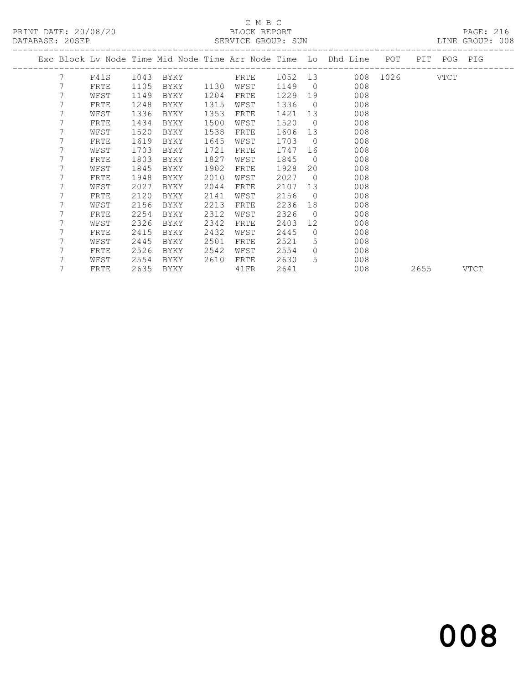PRINT DATE: 20/08/20 BLOCK REPORT<br>DATABASE: 20SEP SERVICE GROUP: SUN

# C M B C<br>BLOCK REPORT

PAGE: 216<br>LINE GROUP: 008

|  |   |      |      |      |      |             |      |                | Exc Block Lv Node Time Mid Node Time Arr Node Time Lo Dhd Line POT |               |      | PIT POG PIG |      |
|--|---|------|------|------|------|-------------|------|----------------|--------------------------------------------------------------------|---------------|------|-------------|------|
|  | 7 | F41S | 1043 | BYKY |      | <b>ERTE</b> |      |                | 1052 13                                                            | 008 1026 VTCT |      |             |      |
|  | 7 | FRTE | 1105 | BYKY | 1130 | WFST        | 1149 | $\bigcirc$     | 008                                                                |               |      |             |      |
|  | 7 | WFST | 1149 | BYKY | 1204 | FRTE        | 1229 | 19             | 008                                                                |               |      |             |      |
|  | 7 | FRTE | 1248 | BYKY | 1315 | WFST        | 1336 | $\bigcirc$     | 008                                                                |               |      |             |      |
|  | 7 | WFST | 1336 | BYKY | 1353 | FRTE        | 1421 | 13             | 008                                                                |               |      |             |      |
|  | 7 | FRTE | 1434 | BYKY | 1500 | WFST        | 1520 | $\overline{0}$ | 008                                                                |               |      |             |      |
|  | 7 | WFST | 1520 | BYKY | 1538 | FRTE        | 1606 | 13             | 008                                                                |               |      |             |      |
|  | 7 | FRTE | 1619 | BYKY | 1645 | WFST        | 1703 | $\overline{0}$ | 008                                                                |               |      |             |      |
|  |   | WFST | 1703 | BYKY | 1721 | FRTE        | 1747 | 16             | 008                                                                |               |      |             |      |
|  | 7 | FRTE | 1803 | BYKY | 1827 | WFST        | 1845 | $\overline{0}$ | 008                                                                |               |      |             |      |
|  | 7 | WFST | 1845 | BYKY | 1902 | FRTE        | 1928 | 20             | 008                                                                |               |      |             |      |
|  | 7 | FRTE | 1948 | BYKY | 2010 | WFST        | 2027 | $\overline{0}$ | 008                                                                |               |      |             |      |
|  | 7 | WFST | 2027 | BYKY | 2044 | FRTE        | 2107 | 13             | 008                                                                |               |      |             |      |
|  |   | FRTE | 2120 | BYKY | 2141 | WFST        | 2156 | $\overline{0}$ | 008                                                                |               |      |             |      |
|  | 7 | WFST | 2156 | BYKY | 2213 | FRTE        | 2236 | 18             | 008                                                                |               |      |             |      |
|  |   | FRTE | 2254 | BYKY | 2312 | WFST        | 2326 | $\Omega$       | 008                                                                |               |      |             |      |
|  |   | WFST | 2326 | BYKY | 2342 | FRTE        | 2403 | 12             | 008                                                                |               |      |             |      |
|  |   | FRTE | 2415 | BYKY | 2432 | WFST        | 2445 | $\Omega$       | 008                                                                |               |      |             |      |
|  |   | WFST | 2445 | BYKY | 2501 | FRTE        | 2521 | 5              | 008                                                                |               |      |             |      |
|  |   | FRTE | 2526 | BYKY | 2542 | WFST        | 2554 | $\Omega$       | 008                                                                |               |      |             |      |
|  |   | WFST | 2554 | BYKY | 2610 | FRTE        | 2630 | 5              | 008                                                                |               |      |             |      |
|  |   | FRTE | 2635 | BYKY |      | 41FR        | 2641 |                | 008                                                                |               | 2655 |             | VTCT |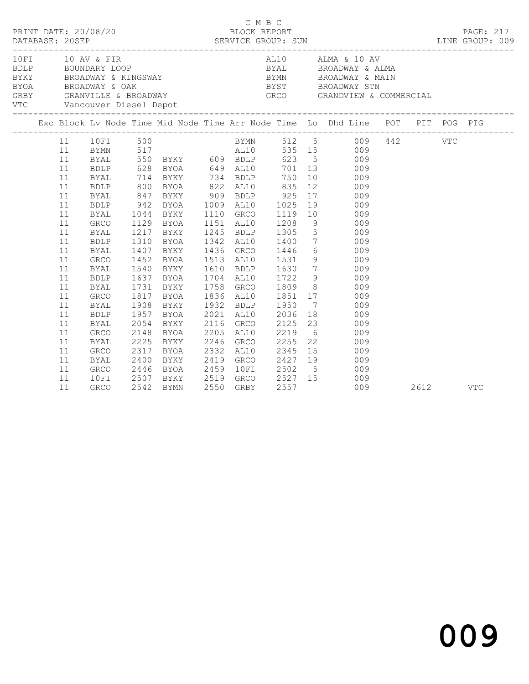| PRINT DATE: 20/08/20 |    |                |              |                            | BLOCK REPORT | C M B C |                | DATABASE: 20SEP SERVICE GROUP: SUN LINE GROUP: 009                                                                                                                                                                             |  | PAGE: 217 |
|----------------------|----|----------------|--------------|----------------------------|--------------|---------|----------------|--------------------------------------------------------------------------------------------------------------------------------------------------------------------------------------------------------------------------------|--|-----------|
|                      |    |                |              | VTC Vancouver Diesel Depot |              |         |                | 10 FI 10 AV & FIR AL10 ALMA & 10 AV ADDLP BOUNDARY LOOP BYAL BROADWAY & ALMA BROADWAY & KINGSWAY BROADWAY & KINGSWAY BYAN BROADWAY & MAIN BROADWAY & MAIN BROADWAY & COMMERCIAL GRBY GRANVILLE & BROADWAY STROADWAY GROADWAY S |  |           |
|                      |    |                |              |                            |              |         |                | Exc Block Lv Node Time Mid Node Time Arr Node Time Lo Dhd Line POT PIT POG PIG                                                                                                                                                 |  |           |
|                      | 11 | 10FI 500       |              |                            |              |         |                | BYMN 512 5 009 442 VTC                                                                                                                                                                                                         |  |           |
|                      | 11 |                |              |                            |              |         |                |                                                                                                                                                                                                                                |  |           |
|                      | 11 |                |              |                            |              |         |                |                                                                                                                                                                                                                                |  |           |
|                      | 11 |                |              |                            |              |         |                | BYMN 517<br>BYAL 550 BYKY 609 BDLP 623 5 009<br>BDLP 628 BYOA 649 AL10 701 13 009<br>BYAL 714 BYKY 734 BDLP 750 10 009                                                                                                         |  |           |
|                      | 11 |                |              |                            |              |         |                |                                                                                                                                                                                                                                |  |           |
|                      | 11 | BDLP           |              |                            |              |         |                | 800 BYOA 822 AL10 835 12 009                                                                                                                                                                                                   |  |           |
|                      | 11 | BYAL           |              |                            |              |         |                | 800 BIOA 622 ABLA<br>847 BYKY 909 BDLP 925 17 009<br>942 BYOA 1009 AL10 1025 19 009<br>1044 BYKY 1110 GRCO 1119 10 009<br>1129 BYOA 1151 AL10 1208 9 009                                                                       |  |           |
|                      | 11 | <b>BDLP</b>    |              |                            |              |         |                |                                                                                                                                                                                                                                |  |           |
|                      | 11 | BYAL           |              |                            |              |         |                |                                                                                                                                                                                                                                |  |           |
|                      | 11 | GRCO           |              | 1129 BYOA                  |              |         |                |                                                                                                                                                                                                                                |  |           |
|                      | 11 | BYAL           |              | 1217 BYKY                  |              |         |                | 1245 BDLP 1305 5 009                                                                                                                                                                                                           |  |           |
|                      | 11 | <b>BDLP</b>    | 1310         | BYOA                       |              |         |                | 1342 AL10 1400 7 009                                                                                                                                                                                                           |  |           |
|                      | 11 | <b>BYAL</b>    | 1407         | BYKY                       | 1436 GRCO    |         |                | 1446 6 009                                                                                                                                                                                                                     |  |           |
|                      | 11 | GRCO           |              | 1452 BYOA<br>1540 BYKY     |              |         |                | 1513 AL10 1531 9 009<br>1610 BDLP 1630 7 009<br>1704 AL10 1722 9 009                                                                                                                                                           |  |           |
|                      | 11 | BYAL           |              |                            |              |         |                |                                                                                                                                                                                                                                |  |           |
|                      | 11 | <b>BDLP</b>    |              | 1637 BYOA                  |              |         |                |                                                                                                                                                                                                                                |  |           |
|                      | 11 | BYAL           |              |                            |              |         |                | 1731 BYKY 1758 GRCO 1809 8 009                                                                                                                                                                                                 |  |           |
|                      | 11 | GRCO           |              | 1817 BYOA                  |              |         |                | 1836 AL10 1851 17 009                                                                                                                                                                                                          |  |           |
|                      | 11 | BYAL           | 1908         | BYKY                       | 1932 BDLP    |         |                | 1932 BDLP 1950 7 009<br>2021 AL10 2036 18 009<br>2116 GRCO 2125 23 009                                                                                                                                                         |  |           |
|                      | 11 | <b>BDLP</b>    | 1957<br>2054 | BYOA                       |              |         |                |                                                                                                                                                                                                                                |  |           |
|                      | 11 | BYAL           |              | BYKY                       |              |         |                |                                                                                                                                                                                                                                |  |           |
|                      | 11 | GRCO           |              | 2148 BYOA                  | 2205 AL10    |         | 2219           | 6 009                                                                                                                                                                                                                          |  |           |
|                      | 11 | BYAL           | 2225         | BYKY                       |              |         |                | 2246 GRCO 2255 22 009                                                                                                                                                                                                          |  |           |
|                      | 11 | GRCO           | 2317         | BYOA                       | 2332 AL10    |         | 2345           | 15 009                                                                                                                                                                                                                         |  |           |
|                      | 11 | BYAL           |              |                            | $2419$ GRCO  |         |                |                                                                                                                                                                                                                                |  |           |
|                      | 11 | GRCO           |              |                            |              |         |                |                                                                                                                                                                                                                                |  |           |
|                      | 11 | 10FI           |              |                            |              |         |                | 2400 BYKY 2419 GRCO 2427 19 009<br>2446 BYOA 2459 10FI 2502 5 009<br>2507 BYKY 2519 GRCO 2527 15 009                                                                                                                           |  |           |
|                      | 11 | GRCO 2542 BYMN |              |                            |              |         | 2550 GRBY 2557 | 009 2612 VTC                                                                                                                                                                                                                   |  |           |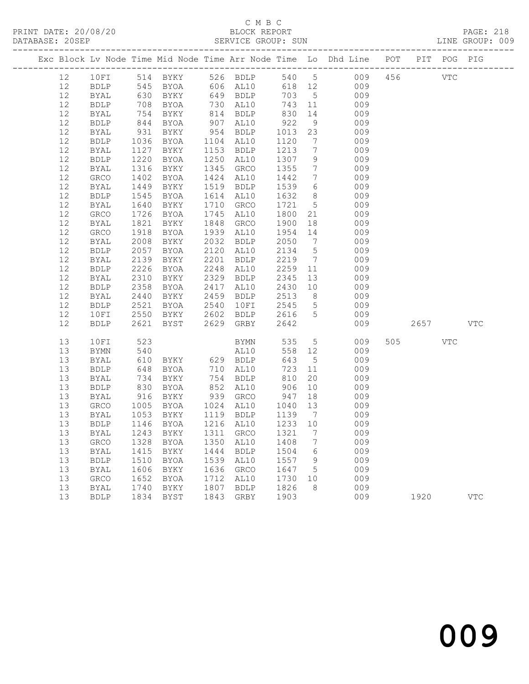### C M B C<br>BLOCK REPORT

PRINT DATE: 20/08/20 BLOCK REPORT BATABASE: 20SEP

PAGE: 218<br>LINE GROUP: 009

|          |                     |                 |                   |      |                                   |                   |                                   | Exc Block Lv Node Time Mid Node Time Arr Node Time Lo Dhd Line POT PIT POG PIG |          |            |
|----------|---------------------|-----------------|-------------------|------|-----------------------------------|-------------------|-----------------------------------|--------------------------------------------------------------------------------|----------|------------|
| 12       | 10FI                |                 |                   |      |                                   |                   |                                   | 514 BYKY 526 BDLP 540 5 009 456 VTC                                            |          |            |
| 12       | BDLP                |                 | 545 BYOA 606 AL10 |      |                                   |                   |                                   | 618 12 009                                                                     |          |            |
| 12       | BYAL                |                 | 630 BYKY          |      | 649 BDLP                          | 703               | $5\overline{)}$                   | 009                                                                            |          |            |
| 12       | BDLP                | 708             | BYOA              |      | 730 AL10                          | 743 11            |                                   | 009                                                                            |          |            |
| 12       | BYAL                | 754<br>844      | BYKY              |      | 814 BDLP                          | 830<br>922        | 14                                | 009                                                                            |          |            |
| 12       | <b>BDLP</b>         |                 | BYOA              |      | 907 AL10                          |                   | 9                                 | 009                                                                            |          |            |
| 12       | BYAL                | 931             | BYKY              |      | 954 BDLP                          | 1013              | 23                                | 009                                                                            |          |            |
| 12       | BDLP                | 1036            | BYOA              |      | 1104 AL10                         | 1120              | $\overline{7}$                    | 009                                                                            |          |            |
| 12       | BYAL                | 1127            | BYKY              |      | 1153 BDLP                         | 1213              | $7\overline{ }$                   | 009                                                                            |          |            |
| 12       | BDLP                | 1220            | BYOA              |      | 1250 AL10                         | 1307              | 9                                 | 009                                                                            |          |            |
| 12       | BYAL                | 1316            | BYKY              |      | 1345 GRCO                         | 1355              | $\overline{7}$                    | 009                                                                            |          |            |
| 12<br>12 | GRCO                | 1402<br>1449    | BYOA              |      | 1424 AL10                         | 1442<br>1539      | $\overline{7}$<br>$6\overline{6}$ | 009<br>009                                                                     |          |            |
| 12       | BYAL<br><b>BDLP</b> | 1545            | BYKY<br>BYOA      |      | 1519 BDLP<br>1614 AL10            | 1632              | 8 <sup>8</sup>                    | 009                                                                            |          |            |
| 12       | BYAL                | 1640            | BYKY              | 1710 | GRCO                              | 1721              | $5^{\circ}$                       | 009                                                                            |          |            |
| $12$     | GRCO                | 1726            | BYOA              |      | 1745 AL10                         | 1800              | 21                                | 009                                                                            |          |            |
| 12       | BYAL                | 1821            | BYKY              | 1848 | GRCO                              | 1900              | 18                                | 009                                                                            |          |            |
| 12       | GRCO                | 1918            | BYOA              |      | 1939 AL10                         | 1954 14           |                                   | 009                                                                            |          |            |
| 12       | BYAL                | 2008            | BYKY              | 2032 | <b>BDLP</b>                       | 2050              |                                   | $7\overline{ }$<br>009                                                         |          |            |
| 12       | BDLP                | 2057            | BYOA              | 2120 | AL10                              | 2134              | $5\overline{)}$                   | 009                                                                            |          |            |
| 12       | BYAL                | 2139            | BYKY              | 2201 | BDLP                              |                   |                                   | 009                                                                            |          |            |
| 12       | <b>BDLP</b>         | 2226            | BYOA              |      | 2248 AL10                         | $2219$<br>2259 11 |                                   | 009                                                                            |          |            |
| 12       | BYAL                | 2310            | BYKY              |      | 2329 BDLP                         | 2345              | 13                                | 009                                                                            |          |            |
| 12       | BDLP                | 2358            | BYOA              |      | 2417 AL10                         | 2430 10           |                                   | 009                                                                            |          |            |
| 12       | BYAL                | 2440            | BYKY              |      | 2459 BDLP                         | 2513              | 8 <sup>8</sup>                    | 009                                                                            |          |            |
| 12       | BDLP                | 2521            | BYOA              |      | 2540 10FI                         | 2513<br>2545      | $5\overline{)}$                   | 009                                                                            |          |            |
| 12       | 10FI                |                 | 2550 BYKY         |      | 2602 BDLP 2616                    |                   | $5\overline{)}$                   | 009                                                                            |          |            |
| 12       | <b>BDLP</b>         |                 | 2621 BYST         |      | 2629 GRBY                         | 2642              |                                   | 009                                                                            | 2657 VTC |            |
| 13       | 10FI                | 523             |                   |      | <b>BYMN</b>                       | 535               |                                   | $5\overline{}$<br>009                                                          | 505 VTC  |            |
| 13       | BYMN                | 540             |                   |      | AL10                              | 558 12            |                                   | 009                                                                            |          |            |
| 13       | BYAL                | 610             | BYKY 629 BDLP     |      |                                   | 643               | $5^{\circ}$                       | 009                                                                            |          |            |
| 13       | BDLP                | 648             | BYOA              |      | 710 AL10                          | 723               | 11                                | 009                                                                            |          |            |
| 13       | BYAL                | 734             | BYKY              |      | 754 BDLP                          | 810               | 20                                | 009                                                                            |          |            |
| 13       | BDLP                | $\frac{1}{830}$ | BYOA              |      | $754$ $\frac{1}{210}$<br>852 AL10 | 906               | 10                                | 009                                                                            |          |            |
| 13       | BYAL                | 916             | BYKY              |      | 939 GRCO                          | 947 18            |                                   | 009                                                                            |          |            |
| 13       | GRCO                | 1005            | BYOA              |      | 1024 AL10                         | 1040 13           |                                   | 009                                                                            |          |            |
| 13       | BYAL                | 1053            | BYKY              |      | 1119 BDLP                         | 1139 7            |                                   | 009                                                                            |          |            |
| 13       | BDLP                |                 | 1146 BYOA         |      | 1216 AL10                         | 1233 10           |                                   | 009                                                                            |          |            |
|          |                     |                 |                   |      |                                   |                   |                                   | 13 BYAL 1243 BYKY 1311 GRCO 1321 7 009                                         |          |            |
| 13       | GRCO                | 1328            | BYOA              | 1350 | AL10                              | 1408              | 7                                 | 009                                                                            |          |            |
| 13       | <b>BYAL</b>         | 1415            | BYKY              | 1444 | <b>BDLP</b>                       | 1504              | 6                                 | 009                                                                            |          |            |
| 13       | <b>BDLP</b>         | 1510            | BYOA              | 1539 | AL10                              | 1557              | 9                                 | 009                                                                            |          |            |
| 13       | BYAL                | 1606            | BYKY              | 1636 | GRCO                              | 1647              | 5                                 | 009                                                                            |          |            |
| 13       | GRCO                | 1652            | BYOA              | 1712 | AL10                              | 1730              | 10                                | 009                                                                            |          |            |
| 13       | <b>BYAL</b>         | 1740            | BYKY              | 1807 | <b>BDLP</b>                       | 1826              | 8                                 | 009                                                                            |          |            |
| 13       | <b>BDLP</b>         | 1834            | BYST              | 1843 | GRBY                              | 1903              |                                   | 009                                                                            | 1920     | <b>VTC</b> |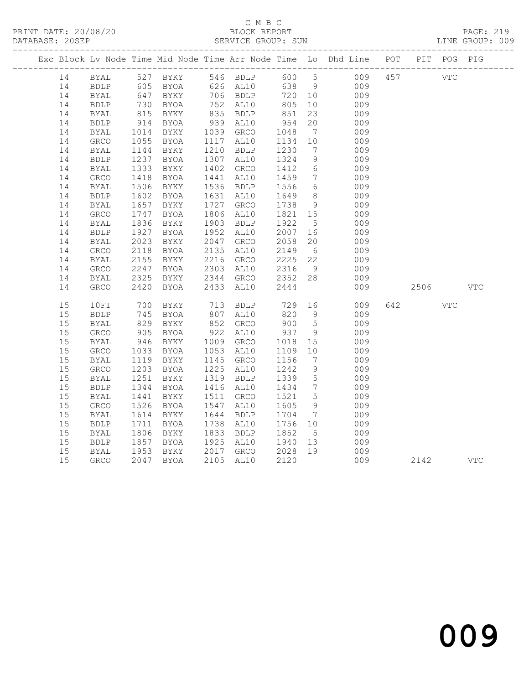PRINT DATE: 20/08/20 BLOCK REPORT BATABASE: 20SEP

### C M B C<br>BLOCK REPORT

PAGE: 219<br>LINE GROUP: 009

|    |              |                   |           |      |                        |                           |                              | Exc Block Lv Node Time Mid Node Time Arr Node Time Lo Dhd Line POT PIT POG PIG |            |            |            |  |
|----|--------------|-------------------|-----------|------|------------------------|---------------------------|------------------------------|--------------------------------------------------------------------------------|------------|------------|------------|--|
| 14 |              |                   |           |      |                        |                           |                              | BYAL 527 BYKY 546 BDLP 600 5 009 457                                           | <b>VTC</b> |            |            |  |
| 14 | <b>BDLP</b>  |                   |           |      |                        |                           |                              | 009<br>009                                                                     |            |            |            |  |
| 14 | BYAL         |                   |           |      |                        |                           |                              |                                                                                |            |            |            |  |
| 14 | <b>BDLP</b>  | $730\n815\n914$   | BYOA      |      | 752 AL10               | 805                       | 10                           | 009                                                                            |            |            |            |  |
| 14 | BYAL         |                   | BYKY      |      | 835 BDLP<br>939 AL10   | 851<br>954                | 23                           | 009                                                                            |            |            |            |  |
| 14 | <b>BDLP</b>  |                   | BYOA      |      |                        |                           | 20                           | 009                                                                            |            |            |            |  |
| 14 | BYAL         | 1014              | BYKY      |      | 1039 GRCO              |                           |                              | 009                                                                            |            |            |            |  |
| 14 | ${\tt GRCO}$ | 1055              | BYOA      |      | 1117 AL10              | 1048 7<br>1134 10         |                              | 009                                                                            |            |            |            |  |
| 14 | <b>BYAL</b>  | 1144              | BYKY      |      | 1210 BDLP              | 1230                      | $\overline{7}$               | 009                                                                            |            |            |            |  |
| 14 | <b>BDLP</b>  | 1237<br>1333      | BYOA      |      | 1307 AL10              | 1324                      | 9                            | 009                                                                            |            |            |            |  |
| 14 | BYAL         |                   | BYKY      |      | 1402 GRCO              | 1412                      | 6                            | 009                                                                            |            |            |            |  |
| 14 | GRCO         | 1418              | BYOA      |      | 1441 AL10              | 1459                      | $\overline{7}$               | 009                                                                            |            |            |            |  |
| 14 | <b>BYAL</b>  | 1506<br>1602      | BYKY      |      | 1536 BDLP              | 1556                      | $6\overline{6}$              | 009                                                                            |            |            |            |  |
| 14 | ${\tt BDLP}$ |                   | BYOA      |      | 1631 AL10              | 1649                      | 8 <sup>8</sup>               | 009                                                                            |            |            |            |  |
| 14 | <b>BYAL</b>  | 1657              | BYKY      |      | 1727 GRCO              | 1738                      | 9                            | 009                                                                            |            |            |            |  |
| 14 | GRCO         | 1747              | BYOA      |      | 1806 AL10              | 1821 15                   |                              | 009                                                                            |            |            |            |  |
| 14 | BYAL         | 1836              | BYKY      |      | 1903 BDLP              | 1922                      | $5\overline{)}$              | 009                                                                            |            |            |            |  |
| 14 | <b>BDLP</b>  | 1927              | BYOA      |      | 1952 AL10              | 2007 16                   |                              | 009                                                                            |            |            |            |  |
| 14 | BYAL         | 2023              | BYKY      |      | 2047 GRCO              | 2058                      | 20                           | 009                                                                            |            |            |            |  |
| 14 | GRCO         | 2118              | BYOA      |      | 2135 AL10              | 2149                      | 6                            | 009                                                                            |            |            |            |  |
| 14 | BYAL         | 2155              | BYKY      |      | 2216 GRCO<br>2303 AL10 | 2225<br>2316              | 22                           | 009                                                                            |            |            |            |  |
| 14 | GRCO         | 2247              | BYOA      |      |                        |                           | 9                            | 009                                                                            |            |            |            |  |
| 14 | BYAL         | 2325              | BYKY      |      | 2344 GRCO              | 2352 28                   |                              | 009                                                                            |            |            |            |  |
| 14 | GRCO         | 2420              | BYOA      |      | 2433 AL10              | 2444                      |                              | 009                                                                            | 2506       |            | <b>VTC</b> |  |
| 15 | 10FI         | 700<br>745<br>829 | BYKY      |      | 713 BDLP               | 729                       | 16                           | 009                                                                            | 642 64     | <b>VTC</b> |            |  |
| 15 | <b>BDLP</b>  |                   | BYOA      |      | 807 AL10               | 820 9                     |                              | 009                                                                            |            |            |            |  |
| 15 | BYAL         |                   | BYKY      |      | 852 GRCO               | 900                       | $5^{\circ}$                  | 009                                                                            |            |            |            |  |
| 15 | GRCO         | 905<br>946        | BYOA      | 922  | AL10                   | 937                       | 9                            | 009                                                                            |            |            |            |  |
| 15 | <b>BYAL</b>  |                   | BYKY      |      | 1009 GRCO              | 1018                      | 15                           | 009                                                                            |            |            |            |  |
| 15 | GRCO         | 1033              | BYOA      |      | 1053 AL10              | 1109                      | 10                           | 009                                                                            |            |            |            |  |
| 15 | BYAL         | $1113$<br>$1203$  | BYKY      |      | 1145 GRCO              | 1156                      | $7\phantom{.0}\phantom{.0}7$ | 009                                                                            |            |            |            |  |
| 15 | ${\tt GRCO}$ |                   | BYOA      |      | 1225 AL10              | 1242                      | 9                            | 009                                                                            |            |            |            |  |
| 15 | <b>BYAL</b>  | 1251              | BYKY      | 1319 | <b>BDLP</b>            | 1339                      | $5\overline{)}$              | 009                                                                            |            |            |            |  |
| 15 | <b>BDLP</b>  | 1344              | BYOA      |      | 1416 AL10              | 1434                      | $7\phantom{.0}\phantom{.0}7$ | 009                                                                            |            |            |            |  |
| 15 | <b>BYAL</b>  | 1441              | BYKY      |      | 1511 GRCO              | 1521                      | $5\overline{)}$              | 009                                                                            |            |            |            |  |
| 15 | GRCO         | 1526              | BYOA      | 1547 | AL10                   | 1605                      | 9                            | 009                                                                            |            |            |            |  |
| 15 | <b>BYAL</b>  | 1614              | BYKY      |      | 1644 BDLP              | 1704                      | $\overline{7}$               | 009                                                                            |            |            |            |  |
| 15 | <b>BDLP</b>  | 1711              | BYOA      |      | 1738 AL10              | 1756 10                   |                              | 009                                                                            |            |            |            |  |
| 15 | BYAL         | 1806<br>1857      | BYKY      |      | 1833 BDLP              | 1852<br>1940 13<br>190 19 |                              | 009                                                                            |            |            |            |  |
| 15 | <b>BDLP</b>  |                   | BYOA      |      | 1925 AL10              |                           |                              | 009                                                                            |            |            |            |  |
| 15 | BYAL         | 1953              | BYKY      |      | 2017 GRCO              | 2028 19                   |                              | 009                                                                            |            |            |            |  |
| 15 | <b>GRCO</b>  |                   | 2047 BYOA |      | 2105 AL10              | 2120                      |                              | 009                                                                            | 2142       |            | <b>VTC</b> |  |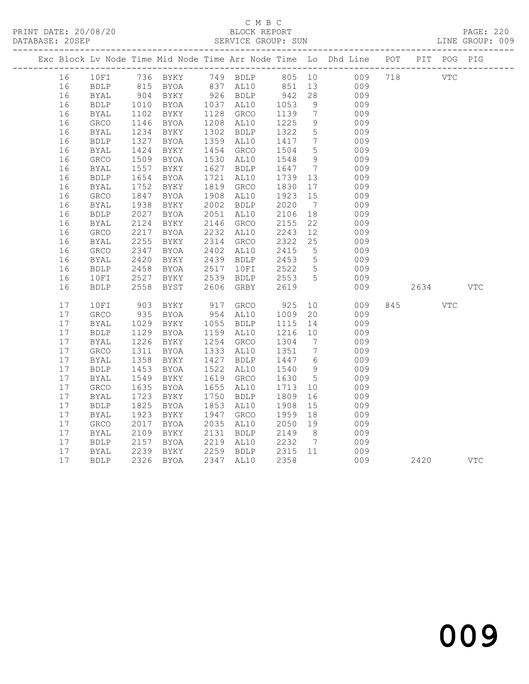PRINT DATE: 20/08/20 BLOCK REPORT BATABASE: 205EP

### C M B C<br>BLOCK REPORT

PAGE: 220<br>LINE GROUP: 009

| Exc Block Lv Node Time Mid Node Time Arr Node Time Lo Dhd Line POT PIT POG PIG<br>10FI 736 BYKY 749 BDLP 805 10 009 718 VTC<br>16<br>815 BYOA 837 AL10 851 13 009<br>16<br>BDLP<br>926 BDLP<br>942<br>1053<br>$\frac{1}{28}$<br>16<br>$904$<br>$1010$<br>BYKY<br>009<br>009<br><b>BYAL</b><br>16<br>1037 AL10<br>9<br><b>BDLP</b><br>BYOA<br>1102<br>16<br>BYKY<br>1128 GRCO<br>1139<br>$\overline{7}$<br>009<br>BYAL<br>$11 -$<br>1234<br>1327<br>1208 AL10<br>1225<br>9<br>16<br>GRCO<br>BYOA<br>009<br>009<br>1302 BDLP<br>1322<br>5 <sup>5</sup><br>16<br><b>BYAL</b><br>BYKY<br>1359<br>$7\overline{ }$<br>16<br>BYOA<br>1417<br>009<br><b>BDLP</b><br>AL10<br>$\frac{1327}{1424}$<br>5 <sup>5</sup><br>16<br><b>BYAL</b><br>BYKY<br>1454 GRCO<br>1504<br>009<br>1509<br>9<br>009<br>16<br><b>BYOA</b><br>1530 AL10<br>1548<br><b>GRCO</b><br>1557<br>1627<br>16<br><b>BYAL</b><br>BYKY<br><b>BDLP</b><br>1647<br>$7\overline{ }$<br>009<br>15J/1654<br>1721<br>16<br>BYOA<br>1739 13<br>009<br>${\tt BDLP}$<br>AL10<br>1752<br>1819 GRCO<br>1830<br>16<br><b>BYAL</b><br>BYKY<br>17<br>009<br>16<br>1847<br>1908 AL10<br>1923<br>15<br>009<br>GRCO<br>BYOA<br>1938<br>2002 BDLP<br>2020<br>$\overline{7}$<br>16<br><b>BYAL</b><br>BYKY<br>009<br>18<br>16<br>2027<br>BYOA<br>2051 AL10<br>2106<br>009<br><b>BDLP</b><br>2124<br>2146 GRCO<br>22<br>16<br><b>BYAL</b><br>BYKY<br>2155<br>009<br>2217<br>2232 AL10<br>2243<br>12<br>16<br>GRCO<br>BYOA<br>009<br>16<br>2255<br>BYKY<br>2314<br>2322<br>25<br>009<br>BYAL<br>GRCO<br>16<br>2347<br>2402 AL10<br>2415<br>$5\overline{)}$<br>009<br>GRCO<br>BYOA<br>2420<br>BYKY<br>2439 BDLP<br>2453<br>5 <sup>5</sup><br>16<br><b>BYAL</b><br>009<br>2522 5<br>16<br>2458<br>BYOA<br>2517 10FI<br>009<br><b>BDLP</b><br>2553 5<br>16<br>2527<br>BYKY<br>2539<br>009<br>10FI<br>BDLP<br>2558<br>BYST<br>2606<br>2619<br>009<br>2634<br><b>VTC</b><br>16<br><b>BDLP</b><br>GRBY<br>17<br>917 GRCO<br>925<br>10<br>845<br>10FI<br>903<br>BYKY<br>009<br><b>VTC</b><br>17<br>${\tt GRCO}$<br>935<br>1029<br>BYOA<br>954 AL10<br>1009<br>20<br>009<br>17<br>BYKY<br>1055 BDLP<br>1115<br>14<br><b>BYAL</b><br>009<br>17<br><b>BDLP</b><br>BYOA<br>1159 AL10<br>1216<br>10<br>009<br>$1125$<br>$1226$<br>17<br>1254 GRCO<br>1304<br><b>BYAL</b><br>BYKY<br>$\overline{7}$<br>009<br>009<br>17<br>1333 AL10<br>GRCO<br>1311<br>BYOA<br>1351<br>$\overline{7}$<br>17<br>1358<br>1427<br>1447 6<br>BYKY<br><b>BDLP</b><br>009<br>BYAL<br>135 <sub>0</sub><br>1453<br>17<br>1522<br>1540<br>9<br><b>BDLP</b><br>BYOA<br>AL10<br>009<br>1549<br>1619<br>1630<br>$5^{\circ}$<br>17<br>BYKY<br>GRCO<br>009<br>BYAL<br>17<br>1655<br>GRCO<br>1635<br>BYOA<br>AL10<br>1713<br>10<br>009<br>$17$<br>1723<br>1750 BDLP<br>1809<br>16<br>BYKY<br>009<br>BYAL<br>17<br>1825<br>1853<br><b>BDLP</b><br>BYOA<br>AL10<br>1908<br>15<br>009<br>17<br>1923<br>BYKY<br>1947 GRCO<br>1959<br>18<br>009<br><b>BYAL</b><br>2050 19<br>17<br>2017<br>2035<br>AL10<br>009<br>GRCO<br>BYOA<br>17<br>2109<br>BYKY<br>2131<br><b>BDLP</b><br>2149<br>8 <sup>8</sup><br>009<br>BYAL<br>2157<br>2219 AL10<br>2232 7<br>17<br><b>BDLP</b><br>BYOA<br>009<br>2239<br>2259 BDLP<br>2315 11<br>17<br>BYKY<br>009<br>BYAL<br>17<br>2347 AL10 |  |             |      |             |  |      |     |      |     |
|---------------------------------------------------------------------------------------------------------------------------------------------------------------------------------------------------------------------------------------------------------------------------------------------------------------------------------------------------------------------------------------------------------------------------------------------------------------------------------------------------------------------------------------------------------------------------------------------------------------------------------------------------------------------------------------------------------------------------------------------------------------------------------------------------------------------------------------------------------------------------------------------------------------------------------------------------------------------------------------------------------------------------------------------------------------------------------------------------------------------------------------------------------------------------------------------------------------------------------------------------------------------------------------------------------------------------------------------------------------------------------------------------------------------------------------------------------------------------------------------------------------------------------------------------------------------------------------------------------------------------------------------------------------------------------------------------------------------------------------------------------------------------------------------------------------------------------------------------------------------------------------------------------------------------------------------------------------------------------------------------------------------------------------------------------------------------------------------------------------------------------------------------------------------------------------------------------------------------------------------------------------------------------------------------------------------------------------------------------------------------------------------------------------------------------------------------------------------------------------------------------------------------------------------------------------------------------------------------------------------------------------------------------------------------------------------------------------------------------------------------------------------------------------------------------------------------------------------------------------------------------------------------------------------------------------------------------------------------------------------------------------------------------------------------------------------------------------------------------------------------------------------------------------------------------------------------------------------------------------------------------|--|-------------|------|-------------|--|------|-----|------|-----|
|                                                                                                                                                                                                                                                                                                                                                                                                                                                                                                                                                                                                                                                                                                                                                                                                                                                                                                                                                                                                                                                                                                                                                                                                                                                                                                                                                                                                                                                                                                                                                                                                                                                                                                                                                                                                                                                                                                                                                                                                                                                                                                                                                                                                                                                                                                                                                                                                                                                                                                                                                                                                                                                                                                                                                                                                                                                                                                                                                                                                                                                                                                                                                                                                                                                         |  |             |      |             |  |      |     |      |     |
|                                                                                                                                                                                                                                                                                                                                                                                                                                                                                                                                                                                                                                                                                                                                                                                                                                                                                                                                                                                                                                                                                                                                                                                                                                                                                                                                                                                                                                                                                                                                                                                                                                                                                                                                                                                                                                                                                                                                                                                                                                                                                                                                                                                                                                                                                                                                                                                                                                                                                                                                                                                                                                                                                                                                                                                                                                                                                                                                                                                                                                                                                                                                                                                                                                                         |  |             |      |             |  |      |     |      |     |
|                                                                                                                                                                                                                                                                                                                                                                                                                                                                                                                                                                                                                                                                                                                                                                                                                                                                                                                                                                                                                                                                                                                                                                                                                                                                                                                                                                                                                                                                                                                                                                                                                                                                                                                                                                                                                                                                                                                                                                                                                                                                                                                                                                                                                                                                                                                                                                                                                                                                                                                                                                                                                                                                                                                                                                                                                                                                                                                                                                                                                                                                                                                                                                                                                                                         |  |             |      |             |  |      |     |      |     |
|                                                                                                                                                                                                                                                                                                                                                                                                                                                                                                                                                                                                                                                                                                                                                                                                                                                                                                                                                                                                                                                                                                                                                                                                                                                                                                                                                                                                                                                                                                                                                                                                                                                                                                                                                                                                                                                                                                                                                                                                                                                                                                                                                                                                                                                                                                                                                                                                                                                                                                                                                                                                                                                                                                                                                                                                                                                                                                                                                                                                                                                                                                                                                                                                                                                         |  |             |      |             |  |      |     |      |     |
|                                                                                                                                                                                                                                                                                                                                                                                                                                                                                                                                                                                                                                                                                                                                                                                                                                                                                                                                                                                                                                                                                                                                                                                                                                                                                                                                                                                                                                                                                                                                                                                                                                                                                                                                                                                                                                                                                                                                                                                                                                                                                                                                                                                                                                                                                                                                                                                                                                                                                                                                                                                                                                                                                                                                                                                                                                                                                                                                                                                                                                                                                                                                                                                                                                                         |  |             |      |             |  |      |     |      |     |
|                                                                                                                                                                                                                                                                                                                                                                                                                                                                                                                                                                                                                                                                                                                                                                                                                                                                                                                                                                                                                                                                                                                                                                                                                                                                                                                                                                                                                                                                                                                                                                                                                                                                                                                                                                                                                                                                                                                                                                                                                                                                                                                                                                                                                                                                                                                                                                                                                                                                                                                                                                                                                                                                                                                                                                                                                                                                                                                                                                                                                                                                                                                                                                                                                                                         |  |             |      |             |  |      |     |      |     |
|                                                                                                                                                                                                                                                                                                                                                                                                                                                                                                                                                                                                                                                                                                                                                                                                                                                                                                                                                                                                                                                                                                                                                                                                                                                                                                                                                                                                                                                                                                                                                                                                                                                                                                                                                                                                                                                                                                                                                                                                                                                                                                                                                                                                                                                                                                                                                                                                                                                                                                                                                                                                                                                                                                                                                                                                                                                                                                                                                                                                                                                                                                                                                                                                                                                         |  |             |      |             |  |      |     |      |     |
|                                                                                                                                                                                                                                                                                                                                                                                                                                                                                                                                                                                                                                                                                                                                                                                                                                                                                                                                                                                                                                                                                                                                                                                                                                                                                                                                                                                                                                                                                                                                                                                                                                                                                                                                                                                                                                                                                                                                                                                                                                                                                                                                                                                                                                                                                                                                                                                                                                                                                                                                                                                                                                                                                                                                                                                                                                                                                                                                                                                                                                                                                                                                                                                                                                                         |  |             |      |             |  |      |     |      |     |
|                                                                                                                                                                                                                                                                                                                                                                                                                                                                                                                                                                                                                                                                                                                                                                                                                                                                                                                                                                                                                                                                                                                                                                                                                                                                                                                                                                                                                                                                                                                                                                                                                                                                                                                                                                                                                                                                                                                                                                                                                                                                                                                                                                                                                                                                                                                                                                                                                                                                                                                                                                                                                                                                                                                                                                                                                                                                                                                                                                                                                                                                                                                                                                                                                                                         |  |             |      |             |  |      |     |      |     |
|                                                                                                                                                                                                                                                                                                                                                                                                                                                                                                                                                                                                                                                                                                                                                                                                                                                                                                                                                                                                                                                                                                                                                                                                                                                                                                                                                                                                                                                                                                                                                                                                                                                                                                                                                                                                                                                                                                                                                                                                                                                                                                                                                                                                                                                                                                                                                                                                                                                                                                                                                                                                                                                                                                                                                                                                                                                                                                                                                                                                                                                                                                                                                                                                                                                         |  |             |      |             |  |      |     |      |     |
|                                                                                                                                                                                                                                                                                                                                                                                                                                                                                                                                                                                                                                                                                                                                                                                                                                                                                                                                                                                                                                                                                                                                                                                                                                                                                                                                                                                                                                                                                                                                                                                                                                                                                                                                                                                                                                                                                                                                                                                                                                                                                                                                                                                                                                                                                                                                                                                                                                                                                                                                                                                                                                                                                                                                                                                                                                                                                                                                                                                                                                                                                                                                                                                                                                                         |  |             |      |             |  |      |     |      |     |
|                                                                                                                                                                                                                                                                                                                                                                                                                                                                                                                                                                                                                                                                                                                                                                                                                                                                                                                                                                                                                                                                                                                                                                                                                                                                                                                                                                                                                                                                                                                                                                                                                                                                                                                                                                                                                                                                                                                                                                                                                                                                                                                                                                                                                                                                                                                                                                                                                                                                                                                                                                                                                                                                                                                                                                                                                                                                                                                                                                                                                                                                                                                                                                                                                                                         |  |             |      |             |  |      |     |      |     |
|                                                                                                                                                                                                                                                                                                                                                                                                                                                                                                                                                                                                                                                                                                                                                                                                                                                                                                                                                                                                                                                                                                                                                                                                                                                                                                                                                                                                                                                                                                                                                                                                                                                                                                                                                                                                                                                                                                                                                                                                                                                                                                                                                                                                                                                                                                                                                                                                                                                                                                                                                                                                                                                                                                                                                                                                                                                                                                                                                                                                                                                                                                                                                                                                                                                         |  |             |      |             |  |      |     |      |     |
|                                                                                                                                                                                                                                                                                                                                                                                                                                                                                                                                                                                                                                                                                                                                                                                                                                                                                                                                                                                                                                                                                                                                                                                                                                                                                                                                                                                                                                                                                                                                                                                                                                                                                                                                                                                                                                                                                                                                                                                                                                                                                                                                                                                                                                                                                                                                                                                                                                                                                                                                                                                                                                                                                                                                                                                                                                                                                                                                                                                                                                                                                                                                                                                                                                                         |  |             |      |             |  |      |     |      |     |
|                                                                                                                                                                                                                                                                                                                                                                                                                                                                                                                                                                                                                                                                                                                                                                                                                                                                                                                                                                                                                                                                                                                                                                                                                                                                                                                                                                                                                                                                                                                                                                                                                                                                                                                                                                                                                                                                                                                                                                                                                                                                                                                                                                                                                                                                                                                                                                                                                                                                                                                                                                                                                                                                                                                                                                                                                                                                                                                                                                                                                                                                                                                                                                                                                                                         |  |             |      |             |  |      |     |      |     |
|                                                                                                                                                                                                                                                                                                                                                                                                                                                                                                                                                                                                                                                                                                                                                                                                                                                                                                                                                                                                                                                                                                                                                                                                                                                                                                                                                                                                                                                                                                                                                                                                                                                                                                                                                                                                                                                                                                                                                                                                                                                                                                                                                                                                                                                                                                                                                                                                                                                                                                                                                                                                                                                                                                                                                                                                                                                                                                                                                                                                                                                                                                                                                                                                                                                         |  |             |      |             |  |      |     |      |     |
|                                                                                                                                                                                                                                                                                                                                                                                                                                                                                                                                                                                                                                                                                                                                                                                                                                                                                                                                                                                                                                                                                                                                                                                                                                                                                                                                                                                                                                                                                                                                                                                                                                                                                                                                                                                                                                                                                                                                                                                                                                                                                                                                                                                                                                                                                                                                                                                                                                                                                                                                                                                                                                                                                                                                                                                                                                                                                                                                                                                                                                                                                                                                                                                                                                                         |  |             |      |             |  |      |     |      |     |
|                                                                                                                                                                                                                                                                                                                                                                                                                                                                                                                                                                                                                                                                                                                                                                                                                                                                                                                                                                                                                                                                                                                                                                                                                                                                                                                                                                                                                                                                                                                                                                                                                                                                                                                                                                                                                                                                                                                                                                                                                                                                                                                                                                                                                                                                                                                                                                                                                                                                                                                                                                                                                                                                                                                                                                                                                                                                                                                                                                                                                                                                                                                                                                                                                                                         |  |             |      |             |  |      |     |      |     |
|                                                                                                                                                                                                                                                                                                                                                                                                                                                                                                                                                                                                                                                                                                                                                                                                                                                                                                                                                                                                                                                                                                                                                                                                                                                                                                                                                                                                                                                                                                                                                                                                                                                                                                                                                                                                                                                                                                                                                                                                                                                                                                                                                                                                                                                                                                                                                                                                                                                                                                                                                                                                                                                                                                                                                                                                                                                                                                                                                                                                                                                                                                                                                                                                                                                         |  |             |      |             |  |      |     |      |     |
|                                                                                                                                                                                                                                                                                                                                                                                                                                                                                                                                                                                                                                                                                                                                                                                                                                                                                                                                                                                                                                                                                                                                                                                                                                                                                                                                                                                                                                                                                                                                                                                                                                                                                                                                                                                                                                                                                                                                                                                                                                                                                                                                                                                                                                                                                                                                                                                                                                                                                                                                                                                                                                                                                                                                                                                                                                                                                                                                                                                                                                                                                                                                                                                                                                                         |  |             |      |             |  |      |     |      |     |
|                                                                                                                                                                                                                                                                                                                                                                                                                                                                                                                                                                                                                                                                                                                                                                                                                                                                                                                                                                                                                                                                                                                                                                                                                                                                                                                                                                                                                                                                                                                                                                                                                                                                                                                                                                                                                                                                                                                                                                                                                                                                                                                                                                                                                                                                                                                                                                                                                                                                                                                                                                                                                                                                                                                                                                                                                                                                                                                                                                                                                                                                                                                                                                                                                                                         |  |             |      |             |  |      |     |      |     |
|                                                                                                                                                                                                                                                                                                                                                                                                                                                                                                                                                                                                                                                                                                                                                                                                                                                                                                                                                                                                                                                                                                                                                                                                                                                                                                                                                                                                                                                                                                                                                                                                                                                                                                                                                                                                                                                                                                                                                                                                                                                                                                                                                                                                                                                                                                                                                                                                                                                                                                                                                                                                                                                                                                                                                                                                                                                                                                                                                                                                                                                                                                                                                                                                                                                         |  |             |      |             |  |      |     |      |     |
|                                                                                                                                                                                                                                                                                                                                                                                                                                                                                                                                                                                                                                                                                                                                                                                                                                                                                                                                                                                                                                                                                                                                                                                                                                                                                                                                                                                                                                                                                                                                                                                                                                                                                                                                                                                                                                                                                                                                                                                                                                                                                                                                                                                                                                                                                                                                                                                                                                                                                                                                                                                                                                                                                                                                                                                                                                                                                                                                                                                                                                                                                                                                                                                                                                                         |  |             |      |             |  |      |     |      |     |
|                                                                                                                                                                                                                                                                                                                                                                                                                                                                                                                                                                                                                                                                                                                                                                                                                                                                                                                                                                                                                                                                                                                                                                                                                                                                                                                                                                                                                                                                                                                                                                                                                                                                                                                                                                                                                                                                                                                                                                                                                                                                                                                                                                                                                                                                                                                                                                                                                                                                                                                                                                                                                                                                                                                                                                                                                                                                                                                                                                                                                                                                                                                                                                                                                                                         |  |             |      |             |  |      |     |      |     |
|                                                                                                                                                                                                                                                                                                                                                                                                                                                                                                                                                                                                                                                                                                                                                                                                                                                                                                                                                                                                                                                                                                                                                                                                                                                                                                                                                                                                                                                                                                                                                                                                                                                                                                                                                                                                                                                                                                                                                                                                                                                                                                                                                                                                                                                                                                                                                                                                                                                                                                                                                                                                                                                                                                                                                                                                                                                                                                                                                                                                                                                                                                                                                                                                                                                         |  |             |      |             |  |      |     |      |     |
|                                                                                                                                                                                                                                                                                                                                                                                                                                                                                                                                                                                                                                                                                                                                                                                                                                                                                                                                                                                                                                                                                                                                                                                                                                                                                                                                                                                                                                                                                                                                                                                                                                                                                                                                                                                                                                                                                                                                                                                                                                                                                                                                                                                                                                                                                                                                                                                                                                                                                                                                                                                                                                                                                                                                                                                                                                                                                                                                                                                                                                                                                                                                                                                                                                                         |  |             |      |             |  |      |     |      |     |
|                                                                                                                                                                                                                                                                                                                                                                                                                                                                                                                                                                                                                                                                                                                                                                                                                                                                                                                                                                                                                                                                                                                                                                                                                                                                                                                                                                                                                                                                                                                                                                                                                                                                                                                                                                                                                                                                                                                                                                                                                                                                                                                                                                                                                                                                                                                                                                                                                                                                                                                                                                                                                                                                                                                                                                                                                                                                                                                                                                                                                                                                                                                                                                                                                                                         |  |             |      |             |  |      |     |      |     |
|                                                                                                                                                                                                                                                                                                                                                                                                                                                                                                                                                                                                                                                                                                                                                                                                                                                                                                                                                                                                                                                                                                                                                                                                                                                                                                                                                                                                                                                                                                                                                                                                                                                                                                                                                                                                                                                                                                                                                                                                                                                                                                                                                                                                                                                                                                                                                                                                                                                                                                                                                                                                                                                                                                                                                                                                                                                                                                                                                                                                                                                                                                                                                                                                                                                         |  |             |      |             |  |      |     |      |     |
|                                                                                                                                                                                                                                                                                                                                                                                                                                                                                                                                                                                                                                                                                                                                                                                                                                                                                                                                                                                                                                                                                                                                                                                                                                                                                                                                                                                                                                                                                                                                                                                                                                                                                                                                                                                                                                                                                                                                                                                                                                                                                                                                                                                                                                                                                                                                                                                                                                                                                                                                                                                                                                                                                                                                                                                                                                                                                                                                                                                                                                                                                                                                                                                                                                                         |  |             |      |             |  |      |     |      |     |
|                                                                                                                                                                                                                                                                                                                                                                                                                                                                                                                                                                                                                                                                                                                                                                                                                                                                                                                                                                                                                                                                                                                                                                                                                                                                                                                                                                                                                                                                                                                                                                                                                                                                                                                                                                                                                                                                                                                                                                                                                                                                                                                                                                                                                                                                                                                                                                                                                                                                                                                                                                                                                                                                                                                                                                                                                                                                                                                                                                                                                                                                                                                                                                                                                                                         |  |             |      |             |  |      |     |      |     |
|                                                                                                                                                                                                                                                                                                                                                                                                                                                                                                                                                                                                                                                                                                                                                                                                                                                                                                                                                                                                                                                                                                                                                                                                                                                                                                                                                                                                                                                                                                                                                                                                                                                                                                                                                                                                                                                                                                                                                                                                                                                                                                                                                                                                                                                                                                                                                                                                                                                                                                                                                                                                                                                                                                                                                                                                                                                                                                                                                                                                                                                                                                                                                                                                                                                         |  |             |      |             |  |      |     |      |     |
|                                                                                                                                                                                                                                                                                                                                                                                                                                                                                                                                                                                                                                                                                                                                                                                                                                                                                                                                                                                                                                                                                                                                                                                                                                                                                                                                                                                                                                                                                                                                                                                                                                                                                                                                                                                                                                                                                                                                                                                                                                                                                                                                                                                                                                                                                                                                                                                                                                                                                                                                                                                                                                                                                                                                                                                                                                                                                                                                                                                                                                                                                                                                                                                                                                                         |  |             |      |             |  |      |     |      |     |
|                                                                                                                                                                                                                                                                                                                                                                                                                                                                                                                                                                                                                                                                                                                                                                                                                                                                                                                                                                                                                                                                                                                                                                                                                                                                                                                                                                                                                                                                                                                                                                                                                                                                                                                                                                                                                                                                                                                                                                                                                                                                                                                                                                                                                                                                                                                                                                                                                                                                                                                                                                                                                                                                                                                                                                                                                                                                                                                                                                                                                                                                                                                                                                                                                                                         |  |             |      |             |  |      |     |      |     |
|                                                                                                                                                                                                                                                                                                                                                                                                                                                                                                                                                                                                                                                                                                                                                                                                                                                                                                                                                                                                                                                                                                                                                                                                                                                                                                                                                                                                                                                                                                                                                                                                                                                                                                                                                                                                                                                                                                                                                                                                                                                                                                                                                                                                                                                                                                                                                                                                                                                                                                                                                                                                                                                                                                                                                                                                                                                                                                                                                                                                                                                                                                                                                                                                                                                         |  |             |      |             |  |      |     |      |     |
|                                                                                                                                                                                                                                                                                                                                                                                                                                                                                                                                                                                                                                                                                                                                                                                                                                                                                                                                                                                                                                                                                                                                                                                                                                                                                                                                                                                                                                                                                                                                                                                                                                                                                                                                                                                                                                                                                                                                                                                                                                                                                                                                                                                                                                                                                                                                                                                                                                                                                                                                                                                                                                                                                                                                                                                                                                                                                                                                                                                                                                                                                                                                                                                                                                                         |  |             |      |             |  |      |     |      |     |
|                                                                                                                                                                                                                                                                                                                                                                                                                                                                                                                                                                                                                                                                                                                                                                                                                                                                                                                                                                                                                                                                                                                                                                                                                                                                                                                                                                                                                                                                                                                                                                                                                                                                                                                                                                                                                                                                                                                                                                                                                                                                                                                                                                                                                                                                                                                                                                                                                                                                                                                                                                                                                                                                                                                                                                                                                                                                                                                                                                                                                                                                                                                                                                                                                                                         |  |             |      |             |  |      |     |      |     |
|                                                                                                                                                                                                                                                                                                                                                                                                                                                                                                                                                                                                                                                                                                                                                                                                                                                                                                                                                                                                                                                                                                                                                                                                                                                                                                                                                                                                                                                                                                                                                                                                                                                                                                                                                                                                                                                                                                                                                                                                                                                                                                                                                                                                                                                                                                                                                                                                                                                                                                                                                                                                                                                                                                                                                                                                                                                                                                                                                                                                                                                                                                                                                                                                                                                         |  |             |      |             |  |      |     |      |     |
|                                                                                                                                                                                                                                                                                                                                                                                                                                                                                                                                                                                                                                                                                                                                                                                                                                                                                                                                                                                                                                                                                                                                                                                                                                                                                                                                                                                                                                                                                                                                                                                                                                                                                                                                                                                                                                                                                                                                                                                                                                                                                                                                                                                                                                                                                                                                                                                                                                                                                                                                                                                                                                                                                                                                                                                                                                                                                                                                                                                                                                                                                                                                                                                                                                                         |  |             |      |             |  |      |     |      |     |
|                                                                                                                                                                                                                                                                                                                                                                                                                                                                                                                                                                                                                                                                                                                                                                                                                                                                                                                                                                                                                                                                                                                                                                                                                                                                                                                                                                                                                                                                                                                                                                                                                                                                                                                                                                                                                                                                                                                                                                                                                                                                                                                                                                                                                                                                                                                                                                                                                                                                                                                                                                                                                                                                                                                                                                                                                                                                                                                                                                                                                                                                                                                                                                                                                                                         |  |             |      |             |  |      |     |      |     |
|                                                                                                                                                                                                                                                                                                                                                                                                                                                                                                                                                                                                                                                                                                                                                                                                                                                                                                                                                                                                                                                                                                                                                                                                                                                                                                                                                                                                                                                                                                                                                                                                                                                                                                                                                                                                                                                                                                                                                                                                                                                                                                                                                                                                                                                                                                                                                                                                                                                                                                                                                                                                                                                                                                                                                                                                                                                                                                                                                                                                                                                                                                                                                                                                                                                         |  |             |      |             |  |      |     |      |     |
|                                                                                                                                                                                                                                                                                                                                                                                                                                                                                                                                                                                                                                                                                                                                                                                                                                                                                                                                                                                                                                                                                                                                                                                                                                                                                                                                                                                                                                                                                                                                                                                                                                                                                                                                                                                                                                                                                                                                                                                                                                                                                                                                                                                                                                                                                                                                                                                                                                                                                                                                                                                                                                                                                                                                                                                                                                                                                                                                                                                                                                                                                                                                                                                                                                                         |  |             |      |             |  |      |     |      |     |
|                                                                                                                                                                                                                                                                                                                                                                                                                                                                                                                                                                                                                                                                                                                                                                                                                                                                                                                                                                                                                                                                                                                                                                                                                                                                                                                                                                                                                                                                                                                                                                                                                                                                                                                                                                                                                                                                                                                                                                                                                                                                                                                                                                                                                                                                                                                                                                                                                                                                                                                                                                                                                                                                                                                                                                                                                                                                                                                                                                                                                                                                                                                                                                                                                                                         |  |             |      |             |  |      |     |      |     |
|                                                                                                                                                                                                                                                                                                                                                                                                                                                                                                                                                                                                                                                                                                                                                                                                                                                                                                                                                                                                                                                                                                                                                                                                                                                                                                                                                                                                                                                                                                                                                                                                                                                                                                                                                                                                                                                                                                                                                                                                                                                                                                                                                                                                                                                                                                                                                                                                                                                                                                                                                                                                                                                                                                                                                                                                                                                                                                                                                                                                                                                                                                                                                                                                                                                         |  |             |      |             |  |      |     |      |     |
|                                                                                                                                                                                                                                                                                                                                                                                                                                                                                                                                                                                                                                                                                                                                                                                                                                                                                                                                                                                                                                                                                                                                                                                                                                                                                                                                                                                                                                                                                                                                                                                                                                                                                                                                                                                                                                                                                                                                                                                                                                                                                                                                                                                                                                                                                                                                                                                                                                                                                                                                                                                                                                                                                                                                                                                                                                                                                                                                                                                                                                                                                                                                                                                                                                                         |  | <b>BDLP</b> | 2326 | <b>BYOA</b> |  | 2358 | 009 | 2420 | VTC |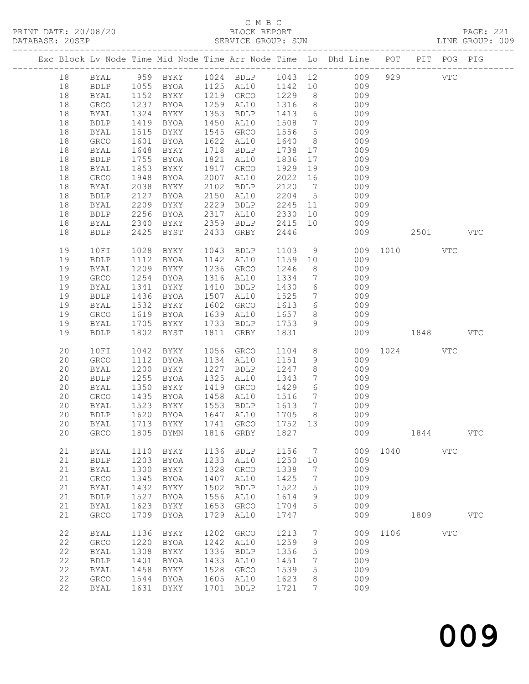### C M B C

| DATABASE: 20SEP |    |              |              |                        |      | SERVICE GROUP: SUN |                          |                              |                                                                                |              |      |     | LINE GROUP: 009 |
|-----------------|----|--------------|--------------|------------------------|------|--------------------|--------------------------|------------------------------|--------------------------------------------------------------------------------|--------------|------|-----|-----------------|
|                 |    |              |              |                        |      |                    |                          |                              | Exc Block Lv Node Time Mid Node Time Arr Node Time Lo Dhd Line POT PIT POG PIG |              |      |     |                 |
|                 |    |              |              |                        |      |                    |                          |                              | 18 BYAL 959 BYKY 1024 BDLP 1043 12 009 929 VTC                                 |              |      |     |                 |
|                 | 18 |              |              |                        |      |                    |                          |                              | BDLP 1055 BYOA 1125 AL10 1142 10 009                                           |              |      |     |                 |
|                 | 18 | BYAL         | 1152         |                        |      |                    |                          |                              | BYKY 1219 GRCO 1229 8 009                                                      |              |      |     |                 |
|                 | 18 | GRCO         |              | BYOA                   |      | 1259 AL10          | 1316                     | 8 <sup>8</sup>               | 009                                                                            |              |      |     |                 |
|                 | 18 | BYAL         | 1237<br>1324 | BYKY                   |      | 1353 BDLP          | 1413                     |                              | $\frac{3}{6}$ 009                                                              |              |      |     |                 |
|                 | 18 | <b>BDLP</b>  | 1419         | BYOA                   |      | 1450 AL10          | 1508                     |                              | 7 009                                                                          |              |      |     |                 |
|                 | 18 | BYAL         | 1515         | BYKY                   |      | 1545 GRCO          | 1556                     | $5\overline{)}$              | 009                                                                            |              |      |     |                 |
|                 | 18 | GRCO         | 1601         | BYOA                   |      | 1622 AL10          | 1640                     | 8 <sup>8</sup>               | 009                                                                            |              |      |     |                 |
|                 | 18 | BYAL         | 1648         | BYKY                   |      | 1718 BDLP          | 1738 17                  |                              | 009                                                                            |              |      |     |                 |
|                 | 18 | BDLP         | 1755         | BYOA                   |      | 1821 AL10          | 1836                     | 17                           | 009                                                                            |              |      |     |                 |
|                 | 18 |              | 1853         |                        |      | 1917 GRCO          | 1929                     |                              | 009                                                                            |              |      |     |                 |
|                 |    | BYAL         |              | BYKY                   |      |                    |                          | 19                           |                                                                                |              |      |     |                 |
|                 | 18 | GRCO         | 1948         | BYOA                   |      | 2007 AL10          |                          |                              | 009                                                                            |              |      |     |                 |
|                 | 18 | BYAL         | 2038         | BYKY                   |      | 2102 BDLP          | $2120$ 7<br>2120 7       |                              | 009                                                                            |              |      |     |                 |
|                 | 18 | <b>BDLP</b>  | 2127         | BYOA                   |      | 2150 AL10          |                          |                              | 2204 5<br>009                                                                  |              |      |     |                 |
|                 | 18 | BYAL         | 2209         | BYKY                   |      | 2229 BDLP          |                          |                              | 2245 11 009                                                                    |              |      |     |                 |
|                 | 18 | <b>BDLP</b>  | 2256         | BYOA                   |      | 2317 AL10          | 2330 10                  |                              | 009                                                                            |              |      |     |                 |
|                 | 18 | BYAL         | 2340         |                        |      | BYKY 2359 BDLP     | 2415 10                  |                              | 009                                                                            |              |      |     |                 |
|                 | 18 | <b>BDLP</b>  | 2425         | <b>BYST</b>            |      | 2433 GRBY          | 2446                     |                              |                                                                                | 009 2501 VTC |      |     |                 |
|                 | 19 | 10FI         | 1028         | BYKY                   |      | 1043 BDLP          | 1103                     |                              | 9 009 1010 VTC                                                                 |              |      |     |                 |
|                 | 19 | <b>BDLP</b>  | 1112         | BYOA                   |      | 1142 AL10          | 1159 10                  |                              | 009                                                                            |              |      |     |                 |
|                 | 19 | BYAL         | 1209         | BYKY                   |      | 1236 GRCO          | 1246                     |                              | 8 <sup>1</sup><br>009                                                          |              |      |     |                 |
|                 | 19 | GRCO         | 1254         | BYOA                   |      | 1316 AL10          | 1334                     |                              | $7\overline{ }$<br>009                                                         |              |      |     |                 |
|                 | 19 | BYAL         | 1341         | BYKY                   |      | 1410 BDLP          | 1430                     | $6\overline{6}$              | 009                                                                            |              |      |     |                 |
|                 | 19 | <b>BDLP</b>  | 1436         | BYOA                   |      | 1507 AL10          | 1525                     | $7\overline{ }$              | 009                                                                            |              |      |     |                 |
|                 | 19 | BYAL         | 1532         | BYKY                   |      | 1602 GRCO          |                          |                              | 1613 6<br>009                                                                  |              |      |     |                 |
|                 | 19 | GRCO         | 1619         | <b>BYOA</b>            |      | 1639 AL10 1657     |                          |                              | $8 - 8$<br>009                                                                 |              |      |     |                 |
|                 | 19 | BYAL         | 1705         | BYKY                   |      | 1733 BDLP          | 1753                     | 9                            | 009                                                                            |              |      |     |                 |
|                 | 19 | <b>BDLP</b>  | 1802         | BYST                   |      | 1811 GRBY          | 1831                     |                              | 009                                                                            | 1848         |      |     | <b>VTC</b>      |
|                 | 20 | 10FI         | 1042         | BYKY                   |      | 1056 GRCO          | 1104                     |                              | $8 - 8$                                                                        | 009 1024     |      | VTC |                 |
|                 | 20 | ${\tt GRCO}$ | 1112         | BYOA                   |      | 1134 AL10          | 1151                     | 9                            | 009                                                                            |              |      |     |                 |
|                 | 20 | BYAL         | 1200         | BYKY                   |      | 1227 BDLP          | 1247                     | 8 <sup>8</sup>               | 009                                                                            |              |      |     |                 |
|                 | 20 | <b>BDLP</b>  | 1255         | BYOA                   |      | 1325 AL10          | 1343                     | $7\overline{ }$              | 009                                                                            |              |      |     |                 |
|                 |    |              |              |                        |      | 1419 GRCO          |                          |                              |                                                                                |              |      |     |                 |
|                 | 20 | BYAL         | 1350         | BYKY                   |      |                    | 1429                     | $6\overline{6}$              | 009                                                                            |              |      |     |                 |
|                 | 20 | GRCO         | 1435         | BYOA                   |      | 1458 AL10          | 1516                     |                              | 7 009                                                                          |              |      |     |                 |
|                 | 20 | BYAL         |              | 1523 BYKY<br>1620 BYOA |      | 1553 BDLP          | 1613<br>$\frac{1}{1705}$ | $7\overline{ }$              | 009<br>$009$                                                                   |              |      |     |                 |
|                 | 20 | <b>BDLP</b>  |              |                        |      | 1647 AL10          |                          | 8 <sup>8</sup>               |                                                                                |              |      |     |                 |
|                 |    |              |              |                        |      |                    |                          |                              | 20 BYAL 1713 BYKY 1741 GRCO 1752 13 009                                        |              |      |     |                 |
|                 | 20 | GRCO         | 1805         | BYMN                   |      | 1816 GRBY          | 1827                     |                              | 009                                                                            |              | 1844 |     | <b>VTC</b>      |
|                 | 21 | <b>BYAL</b>  | 1110         | BYKY                   | 1136 | <b>BDLP</b>        | 1156                     | $7\phantom{.0}\phantom{.0}7$ |                                                                                | 009 1040     |      | VTC |                 |
|                 | 21 | ${\tt BDLP}$ | 1203         | <b>BYOA</b>            | 1233 | AL10               | 1250                     | 10                           | 009                                                                            |              |      |     |                 |
|                 | 21 | <b>BYAL</b>  | 1300         | BYKY                   | 1328 | GRCO               | 1338                     | 7                            | 009                                                                            |              |      |     |                 |
|                 | 21 | ${\tt GRCO}$ | 1345         | <b>BYOA</b>            | 1407 | AL10               | 1425                     | 7                            | 009                                                                            |              |      |     |                 |
|                 | 21 | <b>BYAL</b>  | 1432         | BYKY                   | 1502 | <b>BDLP</b>        | 1522                     | 5                            | 009                                                                            |              |      |     |                 |
|                 | 21 | ${\tt BDLP}$ | 1527         | BYOA                   | 1556 | AL10               | 1614                     | 9                            | 009                                                                            |              |      |     |                 |
|                 | 21 | BYAL         | 1623         | BYKY                   | 1653 | GRCO               | 1704                     | 5                            | 009                                                                            |              |      |     |                 |
|                 | 21 | GRCO         | 1709         | BYOA                   | 1729 | AL10               | 1747                     |                              | 009                                                                            |              | 1809 |     | $_{\rm VTC}$    |
|                 | 22 | <b>BYAL</b>  | 1136         | BYKY                   | 1202 | GRCO               | 1213                     | $7\phantom{.0}$              |                                                                                | 009 1106     |      | VTC |                 |
|                 | 22 | GRCO         | 1220         | BYOA                   | 1242 | AL10               | 1259                     | 9                            | 009                                                                            |              |      |     |                 |
|                 | 22 | BYAL         | 1308         | BYKY                   | 1336 | <b>BDLP</b>        | 1356                     | 5                            | 009                                                                            |              |      |     |                 |
|                 | 22 | ${\tt BDLP}$ | 1401         | <b>BYOA</b>            | 1433 | AL10               | 1451                     | 7                            | 009                                                                            |              |      |     |                 |
|                 | 22 | BYAL         | 1458         | BYKY                   | 1528 | GRCO               | 1539                     | 5                            | 009                                                                            |              |      |     |                 |
|                 | 22 | GRCO         | 1544         | BYOA                   | 1605 | AL10               | 1623                     | 8                            | 009                                                                            |              |      |     |                 |
|                 |    |              |              |                        |      |                    |                          |                              |                                                                                |              |      |     |                 |
|                 | 22 | BYAL         | 1631         | BYKY                   | 1701 | <b>BDLP</b>        | 1721                     | 7                            | 009                                                                            |              |      |     |                 |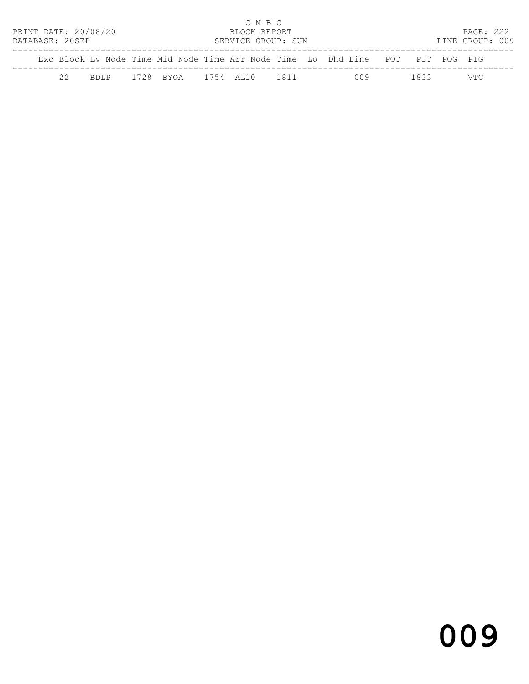|                      |    |      |                           | C M B C            |  |                                                                                |      |                 |  |
|----------------------|----|------|---------------------------|--------------------|--|--------------------------------------------------------------------------------|------|-----------------|--|
| PRINT DATE: 20/08/20 |    |      |                           | BLOCK REPORT       |  |                                                                                |      | PAGE: 222       |  |
| DATABASE: 20SEP      |    |      |                           | SERVICE GROUP: SUN |  |                                                                                |      | LINE GROUP: 009 |  |
|                      |    |      |                           |                    |  | Exc Block Ly Node Time Mid Node Time Arr Node Time Lo Dhd Line POT PIT POG PIG |      |                 |  |
|                      | 22 | RDLP | 1728 BYOA 1754 AT.10 1811 |                    |  | 009                                                                            | 1833 | VTC.            |  |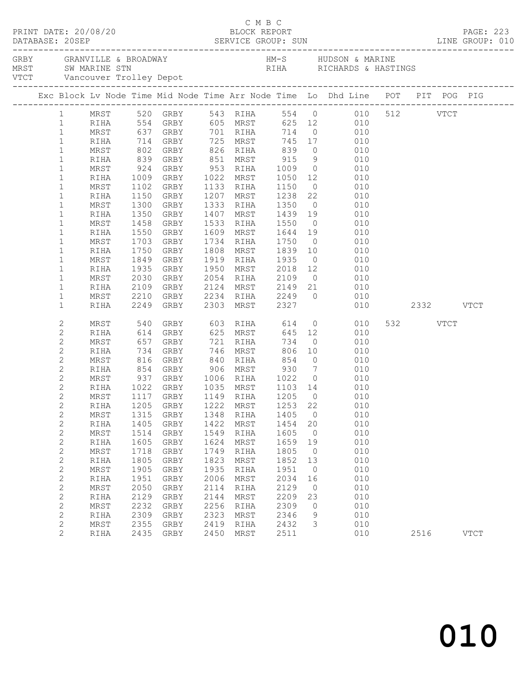|  | PRINT DATE: 20/08/20        |              |     |              |                                                                          |              | C M B C<br>BLOCK REPORT                               |                     |                      |                                                                                                                          |          | <b>PAGE: 223</b> |
|--|-----------------------------|--------------|-----|--------------|--------------------------------------------------------------------------|--------------|-------------------------------------------------------|---------------------|----------------------|--------------------------------------------------------------------------------------------------------------------------|----------|------------------|
|  |                             |              |     |              |                                                                          |              |                                                       |                     |                      |                                                                                                                          |          |                  |
|  |                             |              |     |              |                                                                          |              |                                                       |                     |                      |                                                                                                                          |          |                  |
|  |                             |              |     |              |                                                                          |              |                                                       |                     |                      | Exc Block Lv Node Time Mid Node Time Arr Node Time Lo Dhd Line POT PIT POG PIG                                           |          |                  |
|  |                             |              |     |              |                                                                          |              |                                                       |                     |                      | 1 MRST 520 GRBY 543 RIHA 554 0 010 512 VTCT<br>1 RIHA 554 GRBY 605 MRST 625 12 010<br>1 MRST 637 GRBY 701 RIHA 714 0 010 |          |                  |
|  |                             |              |     |              |                                                                          |              |                                                       |                     |                      |                                                                                                                          |          |                  |
|  | $\mathbf{1}$                | RIHA         |     |              |                                                                          |              |                                                       |                     |                      | 714 GRBY 725 MRST 745 17 010                                                                                             |          |                  |
|  | $\mathbf{1}$                | MRST         |     |              |                                                                          |              |                                                       |                     |                      |                                                                                                                          |          |                  |
|  | $\mathbf{1}$                | RIHA         |     |              | 802 GRBY 826 RIHA 839<br>839 GRBY 851 MRST 915<br>924 GRBY 953 RIHA 1009 |              |                                                       |                     |                      | $0\qquad \qquad 010$                                                                                                     |          |                  |
|  | $\mathbf{1}$                | MRST         |     |              |                                                                          |              |                                                       |                     |                      | $\begin{array}{ccc} 9 & \quad & 010 \\ 0 & \quad & 010 \end{array}$                                                      |          |                  |
|  | $\mathbf 1$                 | RIHA         |     |              | 1009 GRBY 1022 MRST 1050                                                 |              |                                                       |                     |                      | 12 010                                                                                                                   |          |                  |
|  | $\mathbf{1}$                | MRST         |     | 1102         | GRBY                                                                     |              | 1133 RIHA                                             | 1150                |                      | $0\qquad \qquad 010$                                                                                                     |          |                  |
|  | $\mathbf 1$                 | RIHA         |     | 1150         | GRBY                                                                     |              |                                                       |                     |                      |                                                                                                                          |          |                  |
|  | $\mathbf{1}$                | MRST         |     | 1300         | GRBY                                                                     |              |                                                       |                     |                      | 1207 MRST 1238 22 010<br>1333 RIHA 1350 0 010                                                                            |          |                  |
|  | $\mathbf 1$                 | RIHA         |     | 1350         | GRBY                                                                     |              |                                                       |                     |                      | 1407 MRST 1439 19 010                                                                                                    |          |                  |
|  | $\mathbf 1$                 | MRST         |     | 1458         | GRBY                                                                     |              | 1533 RIHA 1550                                        |                     |                      | $0$ 010                                                                                                                  |          |                  |
|  | $\mathbf 1$                 | RIHA         |     | 1550         | GRBY                                                                     |              | 1609 MRST                                             |                     |                      | 1644  19  010<br>1750  0  010                                                                                            |          |                  |
|  | $\mathbf{1}$                | MRST         |     | 1703         | GRBY                                                                     |              | 1734 RIHA                                             |                     |                      |                                                                                                                          |          |                  |
|  | $\mathbf 1$                 | RIHA         |     | 1750         | GRBY                                                                     |              |                                                       |                     |                      | 1808 MRST 1839 10 010                                                                                                    |          |                  |
|  | $\mathbf{1}$                | MRST         |     | 1849         | GRBY                                                                     |              | 1919 RIHA 1935                                        |                     |                      | $0$ 010                                                                                                                  |          |                  |
|  | $\mathbf 1$                 | RIHA         |     | 1935         | GRBY                                                                     |              |                                                       |                     |                      | 1950 MRST 2018 12 010<br>2054 RIHA 2109 0 010<br>2124 MRST 2149 21 010                                                   |          |                  |
|  | $\mathbf{1}$                | MRST         |     | 2030         | GRBY                                                                     |              |                                                       |                     |                      |                                                                                                                          |          |                  |
|  | $\mathbf{1}$                | RIHA         |     |              | 2109 GRBY                                                                |              |                                                       |                     |                      | 2234 RIHA 2249 0 010                                                                                                     |          |                  |
|  | $\mathbf{1}$<br>$\mathbf 1$ | MRST<br>RIHA |     | 2210         | GRBY<br>2249 GRBY                                                        |              | 2303 MRST 2327                                        |                     |                      | 010 2332 VTCT                                                                                                            |          |                  |
|  |                             |              |     |              |                                                                          |              |                                                       |                     |                      |                                                                                                                          |          |                  |
|  | 2                           | MRST         | 540 |              | GRBY                                                                     |              | 603 RIHA                                              | 614                 |                      | $0$ 010                                                                                                                  | 532 VTCT |                  |
|  | $\mathbf{2}$                | RIHA         |     |              | 614 GRBY                                                                 |              | 625 MRST                                              |                     |                      | 645 12 010                                                                                                               |          |                  |
|  | 2                           | MRST         | 657 |              | GRBY                                                                     |              | 721 RIHA                                              | 734                 |                      | $0\qquad \qquad 010$                                                                                                     |          |                  |
|  | $\sqrt{2}$                  | RIHA         |     |              | 734 GRBY<br>816 GRBY                                                     |              | 746 MRST                                              | 806<br>854          | 10                   | 010                                                                                                                      |          |                  |
|  | $\mathbf{2}$                | MRST         |     |              |                                                                          |              | $\begin{matrix} 1 & 1 \\ 8 & 4 & 0 \end{matrix}$ RIHA |                     |                      | $\begin{matrix} 0 & 0 & 0 \\ 0 & 0 & 0 \end{matrix}$                                                                     |          |                  |
|  | 2                           | RIHA         |     |              | 854 GRBY 906 MRST 930                                                    |              |                                                       |                     |                      | 7 010                                                                                                                    |          |                  |
|  | 2                           | MRST         | 937 |              | GRBY 1006 RIHA 1022                                                      |              |                                                       |                     |                      | $0\qquad \qquad 010$                                                                                                     |          |                  |
|  | $\mathbf{2}$                | RIHA         |     |              | 1022 GRBY   1035 MRST<br>1117 GRBY   1149 RIHA                           |              |                                                       | 1103  14<br>1205  0 |                      | $\begin{array}{c} 010 \\ 010 \end{array}$                                                                                |          |                  |
|  | $\mathbf{2}$                | MRST         |     |              |                                                                          |              |                                                       |                     |                      |                                                                                                                          |          |                  |
|  | $\overline{c}$              |              |     |              |                                                                          |              |                                                       |                     |                      | RIHA 1205 GRBY 1222 MRST 1253 22 010                                                                                     |          |                  |
|  | 2                           | MRST         |     | 1315         | GRBY                                                                     | 1348         | RIHA                                                  | 1405                | $\overline{0}$       | 010                                                                                                                      |          |                  |
|  | $\mathbf{2}$                | RIHA         |     | 1405         | GRBY                                                                     | 1422         | MRST                                                  | 1454                | 20                   | 010                                                                                                                      |          |                  |
|  | $\mathbf 2$                 | MRST         |     | 1514         | GRBY                                                                     | 1549         | RIHA                                                  | 1605                | $\overline{0}$       | 010                                                                                                                      |          |                  |
|  | $\mathbf{2}$                | RIHA         |     | 1605         | GRBY                                                                     | 1624         | MRST                                                  | 1659                | 19                   | 010                                                                                                                      |          |                  |
|  | 2<br>$\mathbf{2}$           | MRST         |     | 1718         | GRBY                                                                     | 1749<br>1823 | RIHA                                                  | 1805                | $\overline{0}$       | 010                                                                                                                      |          |                  |
|  | $\sqrt{2}$                  | RIHA<br>MRST |     | 1805<br>1905 | GRBY<br>GRBY                                                             | 1935         | MRST<br>RIHA                                          | 1852<br>1951        | 13<br>$\overline{0}$ | 010<br>010                                                                                                               |          |                  |
|  | $\mathbf{2}$                | RIHA         |     | 1951         | GRBY                                                                     | 2006         | MRST                                                  | 2034                | 16                   | 010                                                                                                                      |          |                  |
|  | 2                           | MRST         |     | 2050         | GRBY                                                                     | 2114         | RIHA                                                  | 2129                | $\overline{0}$       | 010                                                                                                                      |          |                  |
|  | $\mathbf{2}$                | RIHA         |     | 2129         | GRBY                                                                     | 2144         | MRST                                                  | 2209                | 23                   | 010                                                                                                                      |          |                  |
|  | $\mathbf{2}$                | MRST         |     | 2232         | GRBY                                                                     | 2256         | RIHA                                                  | 2309                | $\circ$              | 010                                                                                                                      |          |                  |
|  | $\mathbf{2}$                | RIHA         |     | 2309         | GRBY                                                                     | 2323         | MRST                                                  | 2346                | 9                    | 010                                                                                                                      |          |                  |
|  | $\mathbf{2}$                | MRST         |     | 2355         | GRBY                                                                     | 2419         | RIHA                                                  | 2432                | 3                    | 010                                                                                                                      |          |                  |
|  | $\overline{2}$              | RIHA         |     | 2435         | GRBY                                                                     | 2450         | MRST                                                  | 2511                |                      | 010                                                                                                                      | 2516     | <b>VTCT</b>      |
|  |                             |              |     |              |                                                                          |              |                                                       |                     |                      |                                                                                                                          |          |                  |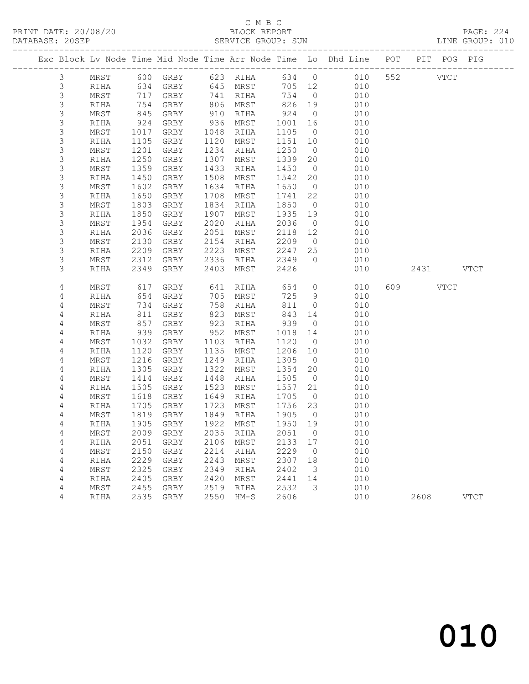PRINT DATE: 20/08/20 BLOCK REPORT BATABASE: 205EP

### C M B C<br>BLOCK REPORT

PAGE: 224<br>LINE GROUP: 010

|                |                  |              |              |                                 |              |              |              |                      | Exc Block Lv Node Time Mid Node Time Arr Node Time Lo Dhd Line POT PIT POG PIG |           |             |             |
|----------------|------------------|--------------|--------------|---------------------------------|--------------|--------------|--------------|----------------------|--------------------------------------------------------------------------------|-----------|-------------|-------------|
|                | $\mathcal{S}$    | MRST         |              | 600 GRBY                        |              | 623 RIHA     |              |                      | 634 0 010                                                                      | 552       | <b>VTCT</b> |             |
| $\mathsf 3$    |                  | RIHA         | 634          | GRBY                            |              | 645 MRST     | 705 12       |                      | 010                                                                            |           |             |             |
|                | $\mathsf 3$      | MRST         | 717          | GRBY                            |              | 741 RIHA     | 754          | $\overline{0}$       | 010                                                                            |           |             |             |
|                | 3                | RIHA         | 754          | GRBY                            | 806          | MRST         | 826          | 19                   | 010                                                                            |           |             |             |
|                | 3                | MRST         | 845          | GRBY                            | 910          | RIHA         | 924          | $\overline{0}$       | 010                                                                            |           |             |             |
|                | 3                | RIHA         | 924          | GRBY                            | 936          | MRST         | 1001         | 16                   | 010                                                                            |           |             |             |
|                | $\mathsf S$      | MRST         | 1017         | GRBY                            | 1048         | RIHA         | 1105         | $\overline{0}$       | 010                                                                            |           |             |             |
|                | 3                | RIHA         | 1105         | GRBY                            | 1120         | MRST         | 1151         | 10                   | 010                                                                            |           |             |             |
|                | $\mathsf S$      | MRST         | 1201         | GRBY                            | 1234         | RIHA         | 1250         | $\overline{0}$       | 010                                                                            |           |             |             |
|                | 3                | RIHA         | 1250         | GRBY                            | 1307         | MRST         | 1339         | 20                   | 010                                                                            |           |             |             |
|                | $\mathsf S$<br>3 | MRST         | 1359<br>1450 | GRBY                            | 1433<br>1508 | RIHA         | 1450         | $\overline{0}$       | 010<br>010                                                                     |           |             |             |
|                | 3                | RIHA<br>MRST | 1602         | GRBY<br>GRBY                    | 1634         | MRST<br>RIHA | 1542<br>1650 | 20<br>$\overline{0}$ | 010                                                                            |           |             |             |
|                | 3                | RIHA         | 1650         | GRBY                            | 1708         | MRST         | 1741         | 22                   | 010                                                                            |           |             |             |
|                | $\mathsf S$      | MRST         | 1803         | GRBY                            | 1834         | RIHA         | 1850         | $\overline{0}$       | 010                                                                            |           |             |             |
|                | $\mathsf S$      | RIHA         | 1850         | GRBY                            | 1907         | MRST         | 1935         | 19                   | 010                                                                            |           |             |             |
|                | 3                | MRST         | 1954         | GRBY                            | 2020         | RIHA         | 2036         | $\overline{0}$       | 010                                                                            |           |             |             |
|                | 3                | RIHA         | 2036         | GRBY                            | 2051         | MRST         | 2118         | 12                   | 010                                                                            |           |             |             |
|                | $\mathsf S$      | MRST         | 2130         | GRBY                            | 2154         | RIHA         | 2209         | $\overline{0}$       | 010                                                                            |           |             |             |
|                | $\mathsf S$      | RIHA         | 2209         | GRBY                            | 2223         | MRST         | 2247         | 25                   | 010                                                                            |           |             |             |
|                | 3                | MRST         | 2312         | GRBY                            | 2336         | RIHA         | 2349         | $\overline{0}$       | 010                                                                            |           |             |             |
|                | 3                | RIHA         | 2349         | GRBY                            | 2403         | MRST         | 2426         |                      | 010                                                                            | 2431 VTCT |             |             |
|                |                  |              |              |                                 |              |              |              |                      |                                                                                |           |             |             |
|                | 4                | MRST         | 617          | GRBY                            | 641          | RIHA         | 654          | $\overline{0}$       | 010                                                                            | 609 VTCT  |             |             |
|                | 4                | RIHA         | 654          | GRBY                            | 705          | MRST         | 725          | 9                    | 010                                                                            |           |             |             |
|                | 4                | MRST         | 734          | GRBY                            | 758          | RIHA         | 811          | $\overline{0}$       | 010                                                                            |           |             |             |
| $\overline{4}$ |                  | RIHA         | 811          | GRBY                            | 823          | MRST         | 843          | 14                   | 010                                                                            |           |             |             |
| $\overline{4}$ |                  | MRST         | 857          | GRBY                            | 923          | RIHA         | 939          | $\overline{0}$       | 010                                                                            |           |             |             |
| 4              |                  | RIHA         | 939          | GRBY                            | 952          | MRST         | 1018         | 14                   | 010                                                                            |           |             |             |
|                | 4                | MRST         | 1032         | GRBY                            | 1103         | RIHA         | 1120         | $\overline{0}$       | 010                                                                            |           |             |             |
|                | 4                | RIHA         | 1120         | GRBY                            | 1135         | MRST         | 1206         | 10                   | 010                                                                            |           |             |             |
|                | 4                | MRST         | 1216         | GRBY                            | 1249<br>1322 | RIHA         | 1305         | $\overline{0}$       | 010                                                                            |           |             |             |
|                | 4<br>4           | RIHA<br>MRST | 1305<br>1414 | GRBY<br>GRBY                    | 1448         | MRST<br>RIHA | 1354<br>1505 | 20<br>$\overline{0}$ | 010<br>010                                                                     |           |             |             |
|                | 4                | RIHA         | 1505         | GRBY                            | 1523         | MRST         | 1557         | 21                   | 010                                                                            |           |             |             |
|                | 4                | MRST         | 1618         | GRBY                            | 1649         | RIHA         | 1705         | $\overline{0}$       | 010                                                                            |           |             |             |
|                | 4                | RIHA         | 1705         | GRBY                            | 1723         | MRST         | 1756         | 23                   | 010                                                                            |           |             |             |
|                | 4                | MRST         | 1819         | GRBY                            | 1849         | RIHA         | 1905         | $\overline{0}$       | 010                                                                            |           |             |             |
|                | 4                | RIHA         | 1905         | GRBY                            | 1922         | MRST         | 1950         | 19                   | 010                                                                            |           |             |             |
| $\sqrt{4}$     |                  |              |              | MRST 2009 GRBY 2035 RIHA 2051 0 |              |              |              |                      | 010                                                                            |           |             |             |
| 4              |                  | RIHA         | 2051         | GRBY                            | 2106         | MRST         | 2133         | 17                   | 010                                                                            |           |             |             |
| 4              |                  | MRST         | 2150         | <b>GRBY</b>                     | 2214         | RIHA         | 2229         | 0                    | 010                                                                            |           |             |             |
| 4              |                  | RIHA         | 2229         | GRBY                            | 2243         | MRST         | 2307         | 18                   | 010                                                                            |           |             |             |
| 4              |                  | MRST         | 2325         | GRBY                            | 2349         | <b>RIHA</b>  | 2402         | 3                    | 010                                                                            |           |             |             |
| 4              |                  | RIHA         | 2405         | GRBY                            | 2420         | MRST         | 2441         | 14                   | 010                                                                            |           |             |             |
| 4              |                  | MRST         | 2455         | GRBY                            | 2519         | RIHA         | 2532         | 3                    | 010                                                                            |           |             |             |
|                | 4                | RIHA         | 2535         | GRBY                            | 2550         | $HM-S$       | 2606         |                      | 010                                                                            | 2608      |             | <b>VTCT</b> |
|                |                  |              |              |                                 |              |              |              |                      |                                                                                |           |             |             |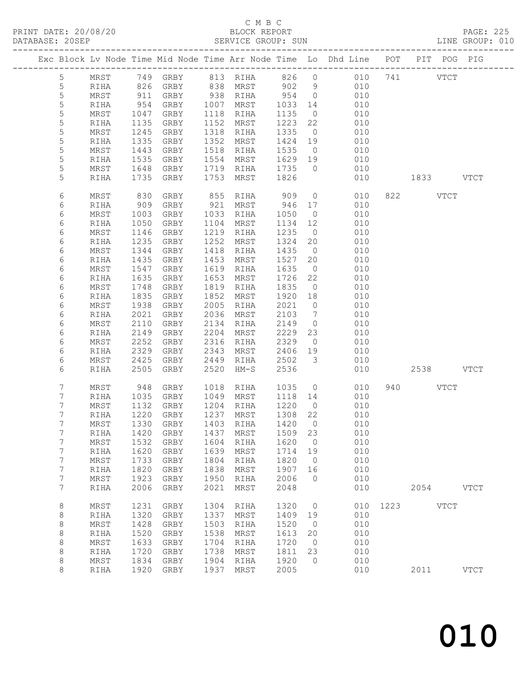### C M B C<br>BLOCK REPORT

PAGE: 225<br>LINE GROUP: 010

|                  |            |      |          |      |          |         |                 | Exc Block Lv Node Time Mid Node Time Arr Node Time Lo Dhd Line POT PIT POG PIG |      |             |             |             |
|------------------|------------|------|----------|------|----------|---------|-----------------|--------------------------------------------------------------------------------|------|-------------|-------------|-------------|
| $5\overline{)}$  | MRST       |      | 749 GRBY |      | 813 RIHA | 826     | $\overline{0}$  | 010 741 VTCT                                                                   |      |             |             |             |
| 5                | RIHA       | 826  | GRBY     |      | 838 MRST | 902     | 9               | 010                                                                            |      |             |             |             |
| $\mathsf S$      | MRST       | 911  | GRBY     | 938  | RIHA     | 954     | $\overline{0}$  | 010                                                                            |      |             |             |             |
| $\mathsf S$      | RIHA       | 954  | GRBY     | 1007 | MRST     | 1033    | 14              | 010                                                                            |      |             |             |             |
| 5                | MRST       | 1047 | GRBY     | 1118 | RIHA     | 1135    | $\circ$         | 010                                                                            |      |             |             |             |
| 5                | RIHA       | 1135 | GRBY     | 1152 | MRST     | 1223    | 22              | 010                                                                            |      |             |             |             |
| 5                | MRST       | 1245 | GRBY     | 1318 | RIHA     | 1335    | $\overline{0}$  | 010                                                                            |      |             |             |             |
| 5                | RIHA       | 1335 | GRBY     | 1352 | MRST     | 1424    | 19              | 010                                                                            |      |             |             |             |
| 5                | MRST       | 1443 | GRBY     | 1518 | RIHA     | 1535    | $\overline{0}$  | 010                                                                            |      |             |             |             |
| 5                | RIHA       | 1535 | GRBY     | 1554 | MRST     | 1629    | 19              | 010                                                                            |      |             |             |             |
| 5                | MRST       | 1648 | GRBY     | 1719 | RIHA     | 1735    | $\overline{0}$  | 010                                                                            |      |             |             |             |
| 5                | RIHA       | 1735 | GRBY     | 1753 | MRST     | 1826    |                 | 010                                                                            |      | 1833 VTCT   |             |             |
| 6                | MRST       | 830  | GRBY     | 855  | RIHA     | 909     | $\circ$         | 010                                                                            |      | 822 VTCT    |             |             |
| 6                | RIHA       | 909  | GRBY     | 921  | MRST     | 946     | 17              | 010                                                                            |      |             |             |             |
| 6                | MRST       | 1003 | GRBY     | 1033 | RIHA     | 1050    | $\overline{0}$  | 010                                                                            |      |             |             |             |
| 6                | RIHA       | 1050 | GRBY     | 1104 | MRST     | 1134    | 12              | 010                                                                            |      |             |             |             |
| 6                | MRST       | 1146 | GRBY     | 1219 | RIHA     | 1235    | $\overline{0}$  | 010                                                                            |      |             |             |             |
| 6                | RIHA       | 1235 | GRBY     | 1252 | MRST     | 1324    | 20              | 010                                                                            |      |             |             |             |
| 6                | MRST       | 1344 | GRBY     | 1418 | RIHA     | 1435    | $\overline{0}$  | 010                                                                            |      |             |             |             |
| 6                | RIHA       | 1435 | GRBY     | 1453 | MRST     | 1527    | 20              | 010                                                                            |      |             |             |             |
| 6                | MRST       | 1547 | GRBY     | 1619 | RIHA     | 1635    | $\overline{0}$  | 010                                                                            |      |             |             |             |
| 6                | RIHA       | 1635 | GRBY     | 1653 | MRST     | 1726    | 22              | 010                                                                            |      |             |             |             |
| 6                | MRST       | 1748 | GRBY     | 1819 | RIHA     | 1835    | $\overline{0}$  | 010                                                                            |      |             |             |             |
| 6                | RIHA       | 1835 | GRBY     | 1852 | MRST     | 1920    | 18              | 010                                                                            |      |             |             |             |
| 6                | MRST       | 1938 | GRBY     | 2005 | RIHA     | 2021    | $\overline{0}$  | 010                                                                            |      |             |             |             |
| 6                | RIHA       | 2021 | GRBY     | 2036 | MRST     | 2103    | $7\phantom{.0}$ | 010                                                                            |      |             |             |             |
| 6                | MRST       | 2110 | GRBY     | 2134 | RIHA     | 2149    | $\overline{0}$  | 010                                                                            |      |             |             |             |
| 6                | RIHA       | 2149 | GRBY     | 2204 | MRST     | 2229    | 23              | 010                                                                            |      |             |             |             |
| 6                | MRST       | 2252 | GRBY     | 2316 | RIHA     | 2329    | $\overline{0}$  | 010                                                                            |      |             |             |             |
| 6                | RIHA       | 2329 | GRBY     | 2343 | MRST     | 2406    | 19              | 010                                                                            |      |             |             |             |
| 6                | MRST       | 2425 | GRBY     | 2449 | RIHA     | 2502    | 3               | 010                                                                            |      |             |             |             |
| 6                | RIHA       | 2505 | GRBY     | 2520 | $HM-S$   | 2536    |                 | 010                                                                            |      | 2538 VTCT   |             |             |
| 7                | MRST       | 948  | GRBY     | 1018 | RIHA     | 1035    | $\circ$         | 010                                                                            | 940  | <b>VTCT</b> |             |             |
| 7                | RIHA       | 1035 | GRBY     | 1049 | MRST     | 1118    | 14              | 010                                                                            |      |             |             |             |
| 7                | MRST       | 1132 | GRBY     | 1204 | RIHA     | 1220    | $\overline{0}$  | 010                                                                            |      |             |             |             |
| 7                | RIHA       | 1220 | GRBY     | 1237 | MRST     | 1308    | 22              | 010                                                                            |      |             |             |             |
| 7                | MRST       | 1330 | GRBY     | 1403 | RIHA     | 1420    | $\overline{0}$  | 010                                                                            |      |             |             |             |
| 7                | RIHA       | 1420 | GRBY     | 1437 | MRST     | 1509 23 |                 | 010                                                                            |      |             |             |             |
| 7                | MRST       | 1532 | GRBY     | 1604 | RIHA     | 1620    | 0               | 010                                                                            |      |             |             |             |
| $\boldsymbol{7}$ | RIHA       | 1620 | GRBY     | 1639 | MRST     | 1714    | 19              | 010                                                                            |      |             |             |             |
| 7                | MRST       | 1733 | GRBY     | 1804 | RIHA     | 1820    | 0               | 010                                                                            |      |             |             |             |
| 7                | RIHA       | 1820 | GRBY     | 1838 | MRST     | 1907    | 16              | 010                                                                            |      |             |             |             |
| $\overline{7}$   | MRST       | 1923 | GRBY     | 1950 | RIHA     | 2006    | 0               | 010                                                                            |      |             |             |             |
| $\overline{7}$   | RIHA       | 2006 | GRBY     | 2021 | MRST     | 2048    |                 | 010                                                                            |      | 2054        |             | <b>VTCT</b> |
| $\,8\,$          | MRST       | 1231 | GRBY     | 1304 | RIHA     | 1320    | 0               | 010                                                                            | 1223 |             | <b>VTCT</b> |             |
| $\,8\,$          | RIHA       | 1320 | GRBY     | 1337 | MRST     | 1409    | 19              | 010                                                                            |      |             |             |             |
| 8                | MRST       | 1428 | GRBY     | 1503 | RIHA     | 1520    | 0               | 010                                                                            |      |             |             |             |
| 8                | RIHA       | 1520 | GRBY     | 1538 | MRST     | 1613    | 20              | 010                                                                            |      |             |             |             |
| 8                | MRST       | 1633 | GRBY     | 1704 | RIHA     | 1720    | 0               | 010                                                                            |      |             |             |             |
| 8                | RIHA       | 1720 | GRBY     | 1738 | MRST     | 1811    | 23              | 010                                                                            |      |             |             |             |
| 8                | $\tt MRST$ | 1834 | GRBY     | 1904 | RIHA     | 1920    | $\circ$         | 010                                                                            |      |             |             |             |
| 8                | RIHA       | 1920 | GRBY     | 1937 | MRST     | 2005    |                 | 010                                                                            |      | 2011        |             | <b>VTCT</b> |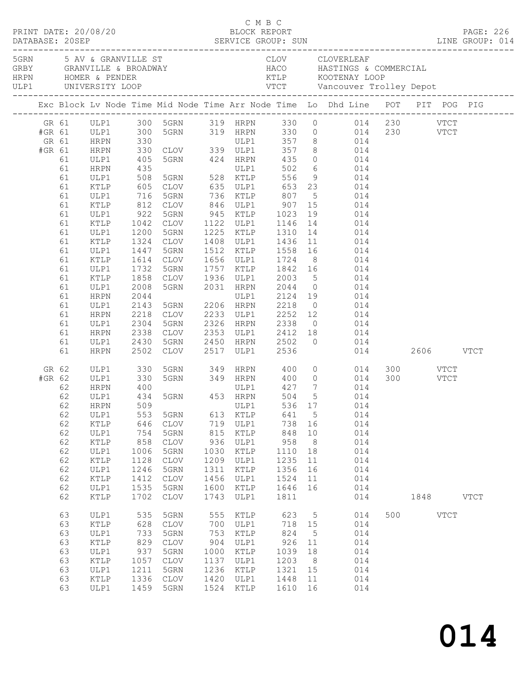|                           |                                                                                                                                  |                                                                                                                                                                                                             |                                                                                                                                                                       |                                                                                                                                                    |                                                                                 |                                                                                                     |                                                                                          |                                                       | Exc Block Lv Node Time Mid Node Time Arr Node Time Lo Dhd Line POT PIT POG PIG                                                                                                                                                                                                                                                                                                                                                                                                                                                                                                                                                                                                                                                  |     |      |      |             |
|---------------------------|----------------------------------------------------------------------------------------------------------------------------------|-------------------------------------------------------------------------------------------------------------------------------------------------------------------------------------------------------------|-----------------------------------------------------------------------------------------------------------------------------------------------------------------------|----------------------------------------------------------------------------------------------------------------------------------------------------|---------------------------------------------------------------------------------|-----------------------------------------------------------------------------------------------------|------------------------------------------------------------------------------------------|-------------------------------------------------------|---------------------------------------------------------------------------------------------------------------------------------------------------------------------------------------------------------------------------------------------------------------------------------------------------------------------------------------------------------------------------------------------------------------------------------------------------------------------------------------------------------------------------------------------------------------------------------------------------------------------------------------------------------------------------------------------------------------------------------|-----|------|------|-------------|
| #GR 61<br>GR 61<br>#GR 61 | 61<br>61<br>61<br>61<br>61<br>61<br>61<br>61<br>61<br>61<br>61<br>61<br>61<br>61<br>61<br>61<br>61<br>61<br>61<br>61<br>61<br>61 | ULP1<br>HRPN<br><b>HRPN</b><br>ULP1<br>HRPN<br>ULP1<br>KTLP<br>ULP1<br>KTLP<br>ULP1<br>KTLP<br>ULP1<br>KTLP<br>ULP1<br>KTLP<br>ULP1<br>KTLP<br>ULP1<br>HRPN<br>ULP1<br>HRPN<br>ULP1<br>HRPN<br>ULP1<br>HRPN | 300<br>330<br>330<br>405<br>435<br>508<br>605<br>1200<br>1324<br>1447<br>1614<br>1732<br>1858<br>2008<br>2044<br>2044<br>2143<br>2218<br>2304<br>2338<br>2430<br>2502 | 716 5GRN<br>5GRN<br>CLOV<br>5GRN<br>CLOV<br>5GRN<br>5GRN<br>CLOV<br>5GRN<br>CLOV                                                                   |                                                                                 | 2517 ULP1 2536                                                                                      |                                                                                          |                                                       | GR 61 ULP1 300 5GRN 319 HRPN 330 0 014 230 VTCT<br>5GRN 319 HRPN 330 0 014 230 VTCT<br>ULP1 357 8 014<br>CLOV 339 ULP1 357 8 014<br>5GRN 424 HRPN 435 0 014<br>11 502 6 014<br>5GRN 528 KTLP 556 9 014<br>541 CLOV 635 ULP1 653 23 014<br>736 KTLP 807 5 014<br>812 CLOV 846 ULP1 907 15 014<br>922 5GRN 945 KTLP 1023 19 014<br>1042 CLOV 1122 ULP1 1146 14 014<br>1225 KTLP 1310 14 014<br>1408 ULP1 1436 11 014<br>1512 KTLP 1558 16 014<br>1656 ULP1 1724 8 014<br>1757 KTLP 1842 16 014<br>CLOV 1936 ULP1 2003 5 014<br>5GRN 2031 HRPN 2044 0 014<br>ULP1 2124 19 014<br>5GRN 2206 HRPN 2218 0 014<br>CLOV 2233 ULP1 2252 12 014<br>2326 HRPN 2338 0 014<br>2353 ULP1 2412 18 014<br>2450 HRPN 2502 0 014<br>014 2606 VTCT |     |      |      |             |
| #GR 62                    | GR 62<br>62<br>62<br>62<br>62<br>62<br>62<br>62<br>62<br>62<br>62<br>62<br>62<br>63                                              | ULP1<br>ULP1<br>HRPN<br>ULP1<br>62 HRPN 509<br>ULP1<br>$\texttt{KTLP}$<br>ULP1<br>KTLP<br>ULP1<br>KTLP<br>ULP1<br>KTLP<br>ULP1<br>KTLP<br>ULP1                                                              | 330<br>330<br>400<br>553<br>646<br>754<br>858<br>1006<br>1128<br>1246<br>1412<br>1535<br>1702<br>535                                                                  | 400 ULP1<br>434 5GRN 453 HRPN<br>5GRN<br>CLOV<br>5GRN<br>$\mathtt{CLOV}$<br>5GRN<br>$\mathtt{CLOV}$<br>5GRN<br>CLOV<br>5GRN<br><b>CLOV</b><br>5GRN | 613<br>719<br>815<br>936<br>1030<br>1209<br>1311<br>1456<br>1600<br>1743<br>555 | ULP1 536 17<br>KTLP<br>ULP1<br>KTLP<br>ULP1<br>KTLP<br>ULP1<br>KTLP<br>ULP1<br>KTLP<br>ULP1<br>KTLP | 504 5<br>641<br>738<br>848<br>958<br>1110<br>1235<br>1356<br>1524<br>1646<br>1811<br>623 | 5<br>16<br>10<br>8<br>18<br>11<br>16<br>11<br>16<br>5 | 5GRN 349 HRPN 400 0 014 300 VTCT<br>5GRN 349 HRPN 400 0 014 300 VTCT<br>ULP1 427 7 014<br>014<br>014<br>014<br>014<br>014<br>014<br>014<br>014<br>014<br>014<br>014<br>014<br>014                                                                                                                                                                                                                                                                                                                                                                                                                                                                                                                                               | 500 | 1848 | VTCT | <b>VTCT</b> |
|                           | 63<br>63<br>63<br>63<br>63<br>63<br>63<br>63                                                                                     | KTLP<br>ULP1<br>KTLP<br>ULP1<br>KTLP<br>ULP1<br>KTLP<br>ULP1                                                                                                                                                | 628<br>733<br>829<br>937<br>1057<br>1211<br>1336<br>1459                                                                                                              | <b>CLOV</b><br>5GRN<br>$\mathtt{CLOV}$<br>5GRN<br><b>CLOV</b><br>5GRN<br>CLOV<br>5GRN                                                              | 700<br>753<br>904<br>1000<br>1137<br>1236<br>1420<br>1524                       | ULP1<br>KTLP<br>ULP1<br>KTLP<br>ULP1<br>KTLP<br>ULP1<br>$\verb KTLP $                               | 718<br>824<br>926<br>1039<br>1203<br>1321<br>1448<br>1610                                | 15<br>5<br>11<br>18<br>8<br>15<br>11<br>16            | 014<br>014<br>014<br>014<br>014<br>014<br>014<br>014                                                                                                                                                                                                                                                                                                                                                                                                                                                                                                                                                                                                                                                                            |     |      |      |             |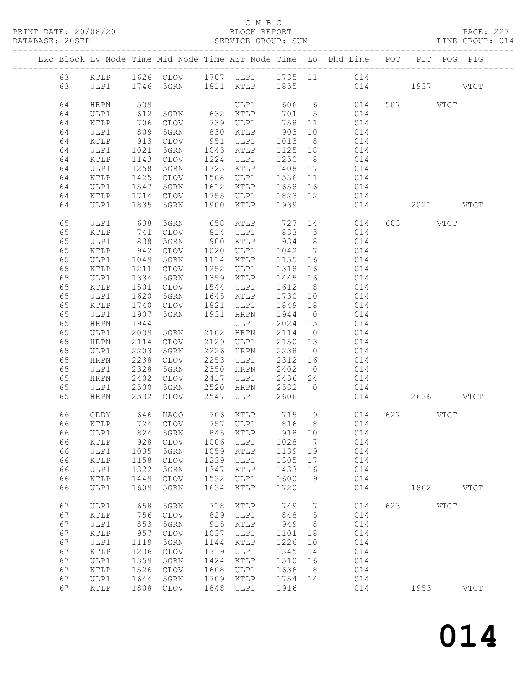### C M B C

| DATABASE: 20SEP |          |                 |                 |                               |      | SERVICE GROUP: SUN |         |                 |                                                                                |          |           | LINE GROUP: 014 |
|-----------------|----------|-----------------|-----------------|-------------------------------|------|--------------------|---------|-----------------|--------------------------------------------------------------------------------|----------|-----------|-----------------|
|                 |          |                 |                 |                               |      |                    |         |                 | Exc Block Lv Node Time Mid Node Time Arr Node Time Lo Dhd Line POT PIT POG PIG |          |           |                 |
|                 |          |                 |                 |                               |      |                    |         |                 | 63 KTLP 1626 CLOV 1707 ULP1 1735 11 014                                        |          |           |                 |
|                 | 63       |                 |                 | ULP1 1746 5GRN 1811 KTLP 1855 |      |                    |         |                 | 014 1937 VTCT                                                                  |          |           |                 |
|                 | 64       | HRPN            | 539             |                               |      | ULP1               |         |                 | 606 6 014                                                                      | 507 VTCT |           |                 |
|                 | 64       | ULP1            | 612             | 5GRN 632 KTLP                 |      |                    | 701 5   |                 | 014                                                                            |          |           |                 |
|                 | 64       | KTLP            | 706             | CLOV                          |      | 739 ULP1           | 758 11  |                 | 014                                                                            |          |           |                 |
|                 | 64       | ULP1            | 809             | 5GRN                          |      | 830 KTLP           | 903     | 10              | 014                                                                            |          |           |                 |
|                 | 64       | KTLP            |                 | CLOV                          |      | 951 ULP1           | 1013    | 8 <sup>8</sup>  | 014                                                                            |          |           |                 |
|                 | 64       | ULP1            | $913$<br>$1021$ | 5GRN                          |      | 1045 KTLP          | 1125 18 |                 | 014                                                                            |          |           |                 |
|                 | 64       | KTLP            | 1143            | CLOV                          | 1224 | ULP1               | 1250    | 8 <sup>8</sup>  | 014                                                                            |          |           |                 |
|                 | 64       | ULP1            | 1258            | 5GRN                          | 1323 | KTLP               | 1408 17 |                 | 014                                                                            |          |           |                 |
|                 | 64       | KTLP            | 1425            | CLOV                          |      | 1508 ULP1          | 1536    | 11              | 014                                                                            |          |           |                 |
|                 | 64       | ULP1            | 1547            | 5GRN                          | 1612 | KTLP               | 1658 16 |                 | 014                                                                            |          |           |                 |
|                 | 64       | KTLP            | 1714            | CLOV                          |      | 1755 ULP1          | 1823 12 |                 | 014                                                                            |          |           |                 |
|                 | 64       | ULP1            | 1835            | 5GRN                          | 1900 | KTLP               | 1939    |                 | 014                                                                            |          | 2021 VTCT |                 |
|                 | 65       | ULP1            | 638             | 5GRN                          | 658  | KTLP               |         |                 | 727 14<br>014                                                                  | 603 VTCT |           |                 |
|                 | 65       | KTLP            | 741             | CLOV                          |      | 814 ULP1           | 833     | $5\overline{)}$ | 014                                                                            |          |           |                 |
|                 | 65       | ULP1            | 838             | 5GRN                          |      | 900 KTLP           | 934     | 8 <sup>8</sup>  | 014                                                                            |          |           |                 |
|                 | 65       | KTLP            |                 | CLOV                          |      | 1020 ULP1          | 1042    | $\overline{7}$  | 014                                                                            |          |           |                 |
|                 | 65       | ULP1            | 942<br>1049     | 5GRN                          |      | 1114 KTLP          | 1155 16 |                 | 014                                                                            |          |           |                 |
|                 | 65       | $\texttt{KTLP}$ | 1211            | CLOV                          | 1252 | ULP1               | 1318    | 16              | 014                                                                            |          |           |                 |
|                 | 65       | ULP1            | 1334            | 5GRN                          |      | 1359 KTLP          | 1445    | 16              | 014                                                                            |          |           |                 |
|                 | 65       | KTLP            | 1501            | CLOV                          |      | 1544 ULP1          | 1612 8  |                 | 014                                                                            |          |           |                 |
|                 | 65       | ULP1            | 1620            | 5GRN                          |      | 1645 KTLP          | 1730    | 10              | 014                                                                            |          |           |                 |
|                 | 65       | KTLP            | 1740            | CLOV                          | 1821 | ULP1               | 1849 18 |                 | 014                                                                            |          |           |                 |
|                 | 65       | ULP1            | 1907            | 5GRN                          | 1931 | HRPN               | 1944    | $\overline{0}$  | 014                                                                            |          |           |                 |
|                 | 65       | HRPN            | 1944            |                               |      | ULP1               | 2024    | 15              | 014                                                                            |          |           |                 |
|                 | 65       | ULP1            | 2039            | 5GRN 2102 HRPN                |      |                    | 2114    | $\overline{0}$  | 014                                                                            |          |           |                 |
|                 | 65       | HRPN            | 2114            | CLOV                          |      | 2129 ULP1          | 2150 13 |                 | 014                                                                            |          |           |                 |
|                 | 65       | ULP1            | 2203            | 5GRN                          |      | 2226 HRPN          | 2238    | $\overline{0}$  | 014                                                                            |          |           |                 |
|                 | 65       | HRPN            | 2238            | CLOV                          |      | 2253 ULP1          | 2312    | 16              | 014                                                                            |          |           |                 |
|                 | 65       | ULP1            | 2328            | 5GRN                          |      | 2350 HRPN          | 2402    | $\overline{0}$  | 014                                                                            |          |           |                 |
|                 | 65       | HRPN            | 2402            | CLOV                          | 2417 | ULP1               | 2436    | 24              | 014                                                                            |          |           |                 |
|                 |          | ULP1            | 2500            |                               | 2520 | HRPN 2532          |         | $\overline{0}$  | 014                                                                            |          |           |                 |
|                 | 65<br>65 | <b>HRPN</b>     | 2532            | 5GRN<br>CLOV                  | 2547 | ULP1               | 2606    |                 | 014                                                                            |          | 2636 VTCT |                 |
|                 |          |                 |                 |                               |      |                    |         |                 |                                                                                |          |           |                 |
|                 | 66       | GRBY            |                 | 646 HACO 706 KTLP 715 9       |      |                    |         |                 | 014                                                                            | 627 VTCT |           |                 |
|                 |          |                 |                 |                               |      |                    |         |                 | 66 KTLP 724 CLOV 757 ULP1 816 8 014                                            |          |           |                 |
|                 | 66       | ULP1            | 824             | 5GRN                          | 845  | KTLP               | 918     | 10              | 014                                                                            |          |           |                 |
|                 | 66       | KTLP            | 928             | CLOV                          | 1006 | ULP1               | 1028    | $\overline{7}$  | 014                                                                            |          |           |                 |
|                 | 66       | ULP1            | 1035            | 5GRN                          | 1059 | KTLP               | 1139    | 19              | 014                                                                            |          |           |                 |
|                 | 66       | KTLP            | 1158            | CLOV                          | 1239 | ULP1               | 1305    | 17              | 014                                                                            |          |           |                 |
|                 | 66       | ULP1            | 1322            | 5GRN                          | 1347 | KTLP               | 1433    | 16              | 014                                                                            |          |           |                 |
|                 | 66       | KTLP            | 1449            | CLOV<br>5GRN                  | 1532 | ULP1               | 1600    | 9               | 014                                                                            |          | 1802 VTCT |                 |
|                 | 66       | ULP1            | 1609            |                               | 1634 | $\verb KTLP $      | 1720    |                 | 014                                                                            |          |           |                 |
|                 | 67       | ULP1            | 658             | 5GRN                          | 718  | KTLP               | 749     | $\overline{7}$  | 014                                                                            | 623 VTCT |           |                 |
|                 | 67       | KTLP            | 756             | CLOV                          | 829  | ULP1               | 848     | $5^{\circ}$     | 014                                                                            |          |           |                 |
|                 | 67       | ULP1            | 853             | 5GRN                          | 915  | KTLP               | 949     | 8               | 014                                                                            |          |           |                 |
|                 | 67       | $\verb KTLP $   | 957             | CLOV                          | 1037 | ULP1               | 1101    | 18              | 014                                                                            |          |           |                 |
|                 | 67       | ULP1            | 1119            | 5GRN                          | 1144 | KTLP               | 1226    | 10              | 014                                                                            |          |           |                 |
|                 | 67       | KTLP            | 1236            | CLOV                          | 1319 | ULP1               | 1345    | 14              | 014                                                                            |          |           |                 |
|                 | 67       | ULP1            | 1359            | 5GRN                          | 1424 | KTLP               | 1510 16 |                 | 014                                                                            |          |           |                 |
|                 | 67       | KTLP            | 1526            | CLOV                          | 1608 | ULP1               | 1636    | 8 <sup>8</sup>  | 014                                                                            |          |           |                 |
|                 | 67       | ULP1            | 1644            | 5GRN                          | 1709 | KTLP               | 1754 14 |                 | 014                                                                            |          |           |                 |
|                 | 67       | KTLP            | 1808            | CLOV                          | 1848 | ULP1               | 1916    |                 | 014                                                                            |          | 1953 VTCT |                 |
|                 |          |                 |                 |                               |      |                    |         |                 |                                                                                |          |           |                 |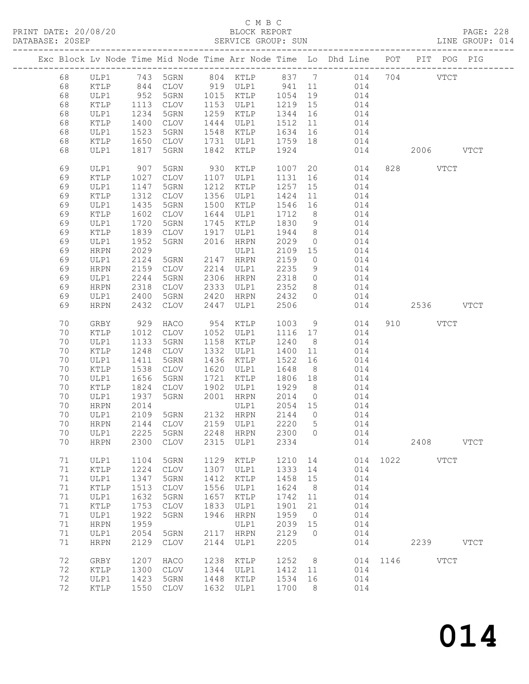PRINT DATE: 20/08/20<br>DATABASE: 20SEP

## C M B C<br>BLOCK REPORT<br>SERVICE GROUP: SUN

PAGE: 228<br>LINE GROUP: 014

| DAIABASE; | <b>SUPER</b> |               |      |                 |      | PERATOR GROOF: POM |       |                |                                                                    |         |      |               | TIME GROOF: AT4 |
|-----------|--------------|---------------|------|-----------------|------|--------------------|-------|----------------|--------------------------------------------------------------------|---------|------|---------------|-----------------|
|           |              |               |      |                 |      |                    |       |                | Exc Block Lv Node Time Mid Node Time Arr Node Time Lo Dhd Line POT |         |      | PIT POG PIG   |                 |
|           | 68           | ULP1          |      | 743 5GRN        |      | 804 KTLP           | 837 7 |                |                                                                    | 014 704 |      | <b>VTCT</b>   |                 |
|           | 68           | KTLP          | 844  | CLOV            |      | 919 ULP1           | 941   | 11             | 014                                                                |         |      |               |                 |
|           | 68           | ULP1          | 952  | 5GRN            |      | 1015 KTLP          | 1054  | 19             | 014                                                                |         |      |               |                 |
|           | 68           | KTLP          | 1113 | CLOV            |      | 1153 ULP1          | 1219  | 15             | 014                                                                |         |      |               |                 |
|           | 68           | ULP1          | 1234 | 5GRN            | 1259 | KTLP               | 1344  | 16             | 014                                                                |         |      |               |                 |
|           | 68           | KTLP          | 1400 | CLOV            | 1444 | ULP1               | 1512  | 11             | 014                                                                |         |      |               |                 |
|           | 68           | ULP1          | 1523 | 5GRN            | 1548 | KTLP               | 1634  | 16             | 014                                                                |         |      |               |                 |
|           | 68           | KTLP          | 1650 | CLOV            | 1731 | ULP1               | 1759  | 18             | 014                                                                |         |      |               |                 |
|           | 68           | ULP1          | 1817 | 5GRN            | 1842 | KTLP               | 1924  |                | 014                                                                |         | 2006 |               | <b>VTCT</b>     |
|           | 69           | ULP1          | 907  | 5GRN            | 930  | KTLP               | 1007  | 20             | 014                                                                | 828     |      | <b>VTCT</b>   |                 |
|           | 69           | KTLP          | 1027 | CLOV            | 1107 | ULP1               | 1131  | 16             | 014                                                                |         |      |               |                 |
|           | 69           | ULP1          | 1147 | 5GRN            | 1212 | KTLP               | 1257  | 15             | 014                                                                |         |      |               |                 |
|           | 69           | KTLP          | 1312 | CLOV            | 1356 | ULP1               | 1424  | 11             | 014                                                                |         |      |               |                 |
|           | 69           | ULP1          | 1435 | 5GRN            | 1500 | KTLP               | 1546  | 16             | 014                                                                |         |      |               |                 |
|           | 69           | KTLP          | 1602 | CLOV            | 1644 | ULP1               | 1712  | 8 <sup>8</sup> | 014                                                                |         |      |               |                 |
|           | 69           | ULP1          | 1720 | 5GRN            | 1745 | KTLP               | 1830  | 9              | 014                                                                |         |      |               |                 |
|           | 69           | KTLP          | 1839 | CLOV            | 1917 | ULP1               | 1944  | 8 <sup>8</sup> | 014                                                                |         |      |               |                 |
|           | 69           | ULP1          | 1952 | 5GRN            | 2016 | HRPN               | 2029  | $\overline{0}$ | 014                                                                |         |      |               |                 |
|           | 69           | <b>HRPN</b>   | 2029 |                 |      | ULP1               | 2109  | 15             | 014                                                                |         |      |               |                 |
|           | 69           | ULP1          | 2124 | 5GRN            | 2147 | HRPN               | 2159  | $\overline{0}$ | 014                                                                |         |      |               |                 |
|           | 69           | <b>HRPN</b>   | 2159 | CLOV            | 2214 | ULP1               | 2235  | 9              | 014                                                                |         |      |               |                 |
|           | 69           | ULP1          | 2244 | 5GRN            | 2306 | HRPN               | 2318  | $\overline{0}$ | 014                                                                |         |      |               |                 |
|           | 69           | <b>HRPN</b>   | 2318 | CLOV            | 2333 | ULP1               | 2352  | 8              | 014                                                                |         |      |               |                 |
|           | 69           | ULP1          | 2400 | 5GRN            | 2420 | HRPN               | 2432  | $\Omega$       | 014                                                                |         |      |               |                 |
|           | 69           | <b>HRPN</b>   | 2432 | $\mathtt{CLOV}$ | 2447 | ULP1               | 2506  |                | 014                                                                |         | 2536 |               | <b>VTCT</b>     |
|           | 70           | GRBY          | 929  | HACO            | 954  | KTLP               | 1003  | 9              | 014                                                                | 910     |      | <b>VTCT</b>   |                 |
|           | 70           | KTLP          | 1012 | CLOV            | 1052 | ULP1               | 1116  | 17             | 014                                                                |         |      |               |                 |
|           | 70           | ULP1          | 1133 | 5GRN            | 1158 | KTLP               | 1240  | 8 <sup>8</sup> | 014                                                                |         |      |               |                 |
|           | 70           | KTLP          | 1248 | CLOV            | 1332 | ULP1               | 1400  | 11             | 014                                                                |         |      |               |                 |
|           | 70           | ULP1          | 1411 | 5GRN            | 1436 | KTLP               | 1522  | 16             | 014                                                                |         |      |               |                 |
|           | 70           | KTLP          | 1538 | CLOV            | 1620 | ULP1               | 1648  | 8              | 014                                                                |         |      |               |                 |
|           | 70           | ULP1          | 1656 | 5GRN            | 1721 | KTLP               | 1806  | 18             | 014                                                                |         |      |               |                 |
|           | 70           | KTLP          | 1824 | CLOV            | 1902 | ULP1               | 1929  | 8 <sup>8</sup> | 014                                                                |         |      |               |                 |
|           | 70           | ULP1          | 1937 | 5GRN            | 2001 | HRPN               | 2014  | $\overline{0}$ | 014                                                                |         |      |               |                 |
|           | 70           | <b>HRPN</b>   | 2014 |                 |      | ULP1               | 2054  | 15             | 014                                                                |         |      |               |                 |
|           | 70           | ULP1          | 2109 | 5GRN            |      | 2132 HRPN          | 2144  | $\overline{0}$ | 014                                                                |         |      |               |                 |
|           | 70           | HRPN          | 2144 | CLOV            |      | 2159 ULP1          | 2220  | 5              | 014                                                                |         |      |               |                 |
|           | 70           | ULP1          | 2225 | 5GRN            | 2248 | HRPN               | 2300  | 0              | 014                                                                |         |      |               |                 |
|           | 70           | <b>HRPN</b>   | 2300 | <b>CLOV</b>     | 2315 | ULP1               | 2334  |                | 014                                                                |         | 2408 |               | $_{\rm VTCT}$   |
|           | 71           | ULP1          | 1104 | 5GRN            | 1129 | KTLP               | 1210  | 14             | 014                                                                | 1022    |      | $_{\rm VTCT}$ |                 |
|           | 71           | KTLP          | 1224 | $\mathtt{CLOV}$ | 1307 | ULP1               | 1333  | 14             | 014                                                                |         |      |               |                 |
|           | 71           | ULP1          | 1347 | 5GRN            | 1412 | KTLP               | 1458  | 15             | 014                                                                |         |      |               |                 |
|           | 71           | KTLP          | 1513 | <b>CLOV</b>     | 1556 | ULP1               | 1624  | 8              | 014                                                                |         |      |               |                 |
|           | 71           | ULP1          | 1632 | 5GRN            | 1657 | KTLP               | 1742  | 11             | 014                                                                |         |      |               |                 |
|           | 71           | $\verb KTLP $ | 1753 | <b>CLOV</b>     | 1833 | ULP1               | 1901  | 21             | 014                                                                |         |      |               |                 |
|           | 71           | ULP1          | 1922 | 5GRN            | 1946 | <b>HRPN</b>        | 1959  | $\circ$        | 014                                                                |         |      |               |                 |
|           | 71           | <b>HRPN</b>   | 1959 |                 |      | ULP1               | 2039  | 15             | 014                                                                |         |      |               |                 |
|           | 71           | ULP1          | 2054 | 5GRN            | 2117 | <b>HRPN</b>        | 2129  | $\circ$        | 014                                                                |         |      |               |                 |
|           | 71           | <b>HRPN</b>   | 2129 | <b>CLOV</b>     | 2144 | ULP1               | 2205  |                | 014                                                                |         | 2239 |               | <b>VTCT</b>     |
|           | 72           | GRBY          | 1207 | HACO            | 1238 | KTLP               | 1252  | 8              | 014                                                                | 1146    |      | <b>VTCT</b>   |                 |
|           | 72           | KTLP          | 1300 | $\mathtt{CLOV}$ | 1344 | ULP1               | 1412  | 11             | 014                                                                |         |      |               |                 |
|           | 72           | ULP1          | 1423 | 5GRN            | 1448 | KTLP               | 1534  | 16             | 014                                                                |         |      |               |                 |
|           | 72           | KTLP          | 1550 | $\mathtt{CLOV}$ | 1632 | ULP1               | 1700  | 8              | 014                                                                |         |      |               |                 |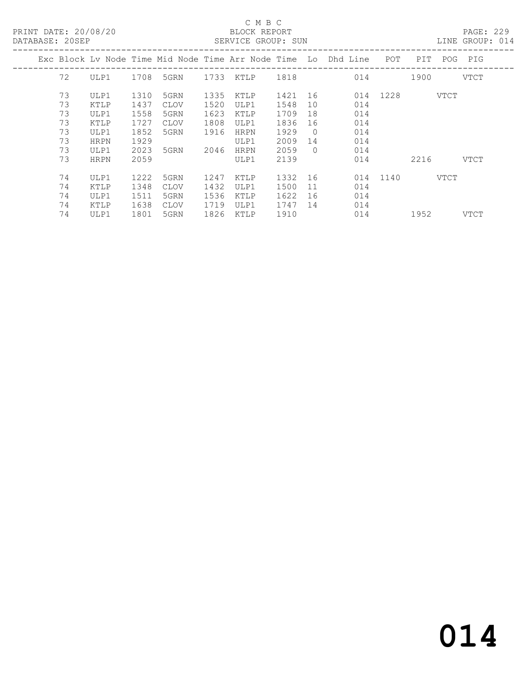#### C M B C<br>BLOCK REPORT SERVICE GROUP: SUN

| DATABASE: ZUSEF |             |      |             |      | SERATOR GROOF: SOM |         |            |                                                                    |               |      |      | TINE GKOOR: 014 |
|-----------------|-------------|------|-------------|------|--------------------|---------|------------|--------------------------------------------------------------------|---------------|------|------|-----------------|
|                 |             |      |             |      |                    |         |            | Exc Block Lv Node Time Mid Node Time Arr Node Time Lo Dhd Line POT |               | PIT  |      | POG PIG         |
| 72              | ULP1        |      | 1708 5GRN   |      | 1733 KTLP 1818     |         |            | 014                                                                |               | 1900 |      | VTCT            |
| 73              | ULP1        | 1310 | 5GRN        | 1335 | KTLP               | 1421 16 |            |                                                                    | 014 1228 VTCT |      |      |                 |
| 73              | KTLP        | 1437 | CLOV        | 1520 | ULP1               | 1548    | 10         | 014                                                                |               |      |      |                 |
| 73              | ULP1        | 1558 | 5GRN        | 1623 | KTLP               | 1709    | 18         | 014                                                                |               |      |      |                 |
| 73              | KTLP        | 1727 | <b>CLOV</b> | 1808 | ULP1               | 1836    | 16         | 014                                                                |               |      |      |                 |
| 73              | ULP1        | 1852 | 5GRN        | 1916 | <b>HRPN</b>        | 1929    | $\bigcirc$ | 014                                                                |               |      |      |                 |
| 73              | <b>HRPN</b> | 1929 |             |      | ULP1               | 2009    | 14         | 014                                                                |               |      |      |                 |
| 73              | ULP1        | 2023 | 5GRN        | 2046 | <b>HRPN</b>        | 2059    | $\bigcirc$ | 014                                                                |               |      |      |                 |
| 73              | <b>HRPN</b> | 2059 |             |      | ULP1               | 2139    |            | 014                                                                |               | 2216 |      | VTCT            |
| 74              | ULP1        | 1222 | 5GRN        | 1247 | KTLP               | 1332 16 |            |                                                                    | 014 1140      |      | VTCT |                 |
| 74              | KTLP        | 1348 | <b>CLOV</b> | 1432 | ULP1               | 1500    | 11         | 014                                                                |               |      |      |                 |
| 74              | ULP1        | 1511 | 5GRN        | 1536 | KTLP               | 1622    | 16         | 014                                                                |               |      |      |                 |
| 74              | KTLP        | 1638 | <b>CLOV</b> | 1719 | ULP1               | 1747    | 14         | 014                                                                |               |      |      |                 |
| 74              | ULP1        | 1801 | 5GRN        | 1826 | KTLP               | 1910    |            | 014                                                                |               | 1952 |      | VTCT            |
|                 |             |      |             |      |                    |         |            |                                                                    |               |      |      |                 |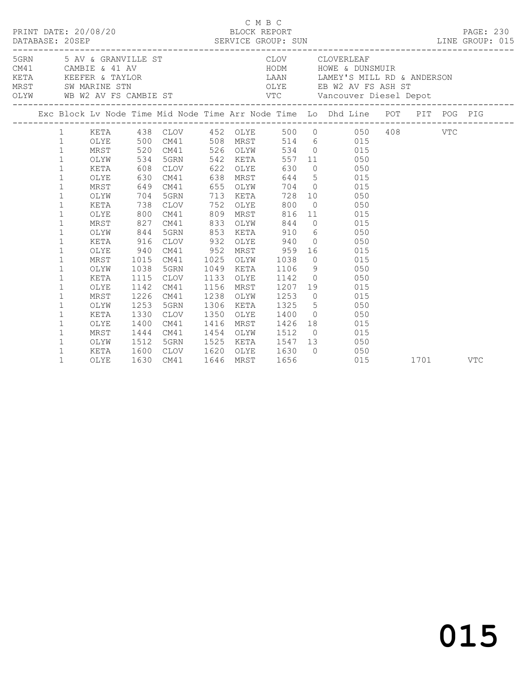|  |              |      |      |                   |           |          | C M B C     |                                                           |                |                                                                                |      |            |
|--|--------------|------|------|-------------------|-----------|----------|-------------|-----------------------------------------------------------|----------------|--------------------------------------------------------------------------------|------|------------|
|  |              |      |      |                   |           |          |             |                                                           |                |                                                                                |      |            |
|  |              |      |      |                   |           |          |             |                                                           |                | Exc Block Lv Node Time Mid Node Time Arr Node Time Lo Dhd Line POT PIT POG PIG |      |            |
|  |              |      |      |                   |           |          |             |                                                           |                | 1 KETA 438 CLOV 452 OLYE 500 0 050 408 VTC                                     |      |            |
|  | $\mathbf{1}$ |      |      |                   |           |          |             |                                                           |                | OLYE 500 CM41 508 MRST 514 6 015                                               |      |            |
|  | $\mathbf{1}$ | MRST |      | 520 CM41 526 OLYW |           |          |             |                                                           |                | 534 0 015                                                                      |      |            |
|  | $\mathbf{1}$ | OLYW |      | 534 5GRN          |           | 542 KETA |             |                                                           |                | 557 11 050                                                                     |      |            |
|  | $\mathbf{1}$ | KETA |      | 608 CLOV          |           | 622 OLYE |             | 630                                                       |                | $0 \qquad \qquad 050$                                                          |      |            |
|  | $\mathbf 1$  | OLYE | 630  | CM41              | 638       |          | <b>MRST</b> |                                                           |                | 644 5 015                                                                      |      |            |
|  | $\mathbf 1$  | MRST |      | 649 CM41          | 655 OLYW  |          |             |                                                           |                | 704 0 015                                                                      |      |            |
|  | $\mathbf{1}$ | OLYW |      | 704 5GRN          | 713 KETA  |          |             |                                                           |                | 728 10 050                                                                     |      |            |
|  | $\mathbf 1$  | KETA |      | 738 CLOV          | 752       |          | OLYE        | 800                                                       |                | $0$ 050                                                                        |      |            |
|  | $\mathbf{1}$ | OLYE | 800  | CM41              | 809       | MRST     |             | 816                                                       |                | 11 015                                                                         |      |            |
|  | $\mathbf{1}$ | MRST | 827  | CM41              | 833       | OLYW     |             | 844                                                       |                | $0 \qquad 015$                                                                 |      |            |
|  | $\mathbf{1}$ | OLYW | 844  | 5GRN              | 853 KETA  |          |             |                                                           |                | 910 6 050                                                                      |      |            |
|  | $\mathbf{1}$ | KETA | 916  | CLOV              | 932       | OLYE     |             | 940                                                       |                |                                                                                |      |            |
|  | $\mathbf{1}$ | OLYE | 940  | CM41              | 952       | MRST     |             | 959                                                       |                | 16 015                                                                         |      |            |
|  | $\mathbf{1}$ | MRST | 1015 | CM41              | 1025      | OLYW     |             | 1038                                                      |                | $0$ 015                                                                        |      |            |
|  | $\mathbf{1}$ | OLYW | 1038 | 5GRN              | 1049      | KETA     |             | 1106                                                      |                | 9 050                                                                          |      |            |
|  | $\mathbf{1}$ | KETA | 1115 | CLOV              | 1133      | OLYE     |             | 1142                                                      |                | $0 \qquad \qquad 050$                                                          |      |            |
|  | $\mathbf{1}$ | OLYE | 1142 | CM41              | 1156      | MRST     |             | 1207                                                      |                | 19 015                                                                         |      |            |
|  | $\mathbf 1$  | MRST | 1226 | CM41              | 1238      | OLYW     |             | 1253                                                      |                | $0\qquad \qquad 015$                                                           |      |            |
|  | $\mathbf 1$  | OLYW | 1253 | 5GRN              | 1306      | KETA     |             | 1325                                                      |                | 5 050                                                                          |      |            |
|  | $\mathbf{1}$ | KETA | 1330 | CLOV              | 1350      | OLYE     |             | 1400                                                      |                | $0\qquad \qquad 050$                                                           |      |            |
|  | $\mathbf{1}$ | OLYE | 1400 | CM41              | 1416      | MRST     |             | 1426                                                      |                | 18 015                                                                         |      |            |
|  | $\mathbf{1}$ | MRST | 1444 | CM41              |           |          |             | 1454 OLYW 1512 0<br>1525 KETA 1547 13<br>1620 OLYE 1630 0 | $\overline{0}$ | 015                                                                            |      |            |
|  | $\mathbf{1}$ | OLYW | 1512 | 5GRN              |           |          |             |                                                           |                | 050<br>050<br>015                                                              |      |            |
|  | $\mathbf{1}$ | KETA |      | 1600 CLOV         |           |          |             |                                                           |                |                                                                                |      |            |
|  | $\mathbf{1}$ | OLYE | 1630 | CM41              | 1646 MRST |          |             | 1656                                                      |                |                                                                                | 1701 | <b>VTC</b> |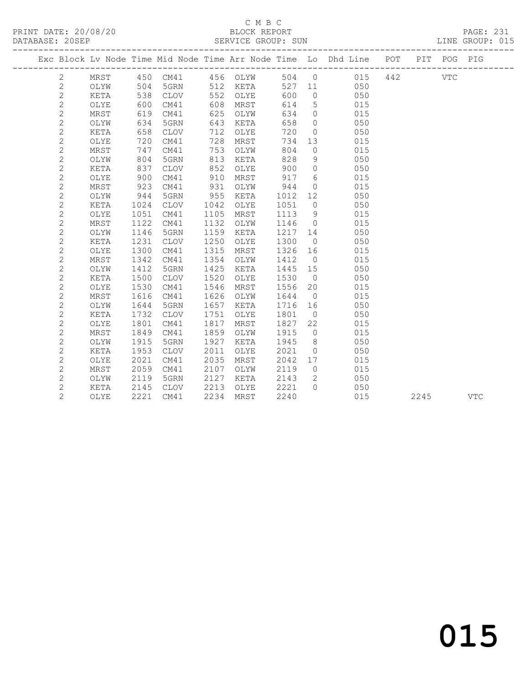### C M B C<br>BLOCK REPORT

PAGE: 231<br>LINE GROUP: 015

|                |      |                |             |      |          |         |                 | ---------------------<br>Exc Block Lv Node Time Mid Node Time Arr Node Time Lo Dhd Line POT PIT POG PIG |     |      |            |            |
|----------------|------|----------------|-------------|------|----------|---------|-----------------|---------------------------------------------------------------------------------------------------------|-----|------|------------|------------|
| $\mathbf{2}$   | MRST |                | 450 CM41    |      | 456 OLYW |         | 504 0           | 015                                                                                                     | 442 |      | <b>VTC</b> |            |
| $\mathbf{2}$   | OLYW | 504            | 5GRN        |      | 512 KETA | 527 11  |                 | 050                                                                                                     |     |      |            |            |
| $\mathbf{2}$   | KETA | 538            | CLOV        | 552  | OLYE     | 600     | $\overline{0}$  | 050                                                                                                     |     |      |            |            |
| $\sqrt{2}$     | OLYE | $600$<br>$619$ | CM41        | 608  | MRST     | 614     | $5^{\circ}$     | 015                                                                                                     |     |      |            |            |
| $\mathbf{2}$   | MRST | 619            | CM41        | 625  | OLYW     | 634     | $\overline{0}$  | 015                                                                                                     |     |      |            |            |
| $\mathbf{2}$   | OLYW | 634            | 5GRN        | 643  | KETA     | 658     | $\overline{0}$  | 050                                                                                                     |     |      |            |            |
| 2              | KETA | 658            | CLOV        | 712  | OLYE     | 720     | $\overline{0}$  | 050                                                                                                     |     |      |            |            |
| 2              | OLYE | 720            | CM41        | 728  | MRST     | 734     | 13              | 015                                                                                                     |     |      |            |            |
| $\mathbf{2}$   | MRST | 747            | CM41        | 753  | OLYW     | 804     | $\overline{0}$  | 015                                                                                                     |     |      |            |            |
| $\mathbf{2}$   | OLYW | 804            | 5GRN        | 813  | KETA     | 828     | 9               | 050                                                                                                     |     |      |            |            |
| 2              | KETA | 837            | CLOV        | 852  | OLYE     | 900     | $\circ$         | 050                                                                                                     |     |      |            |            |
| $\mathbf{2}$   | OLYE | 900            | CM41        | 910  | MRST     | 917     | $6\overline{6}$ | 015                                                                                                     |     |      |            |            |
| $\mathbf{2}$   | MRST | 923            | CM41        | 931  | OLYW     | 944     | $\overline{0}$  | 015                                                                                                     |     |      |            |            |
| $\mathbf{2}$   | OLYW | 944            | 5GRN        | 955  | KETA     | 1012    | 12              | 050                                                                                                     |     |      |            |            |
| $\mathbf{2}$   | KETA | 1024           | CLOV        | 1042 | OLYE     | 1051    | $\overline{0}$  | 050                                                                                                     |     |      |            |            |
| $\mathbf{2}$   | OLYE | 1051           | CM41        | 1105 | MRST     | 1113    | 9               | 015                                                                                                     |     |      |            |            |
| $\mathbf{2}$   | MRST | 1122           | CM41        | 1132 | OLYW     | 1146    | $\bigcirc$      | 015                                                                                                     |     |      |            |            |
| $\mathbf{2}$   | OLYW | 1146           | 5GRN        | 1159 | KETA     | 1217 14 |                 | 050                                                                                                     |     |      |            |            |
| $\mathbf{2}$   | KETA | 1231           | <b>CLOV</b> | 1250 | OLYE     | 1300    | $\overline{0}$  | 050                                                                                                     |     |      |            |            |
| $\mathbf{2}$   | OLYE | 1300           | CM41        | 1315 | MRST     | 1326    | 16              | 015                                                                                                     |     |      |            |            |
| $\mathbf{2}$   | MRST | 1342           | CM41        | 1354 | OLYW     | 1412    | $\overline{0}$  | 015                                                                                                     |     |      |            |            |
| $\mathbf{2}$   | OLYW | 1412           | 5GRN        | 1425 | KETA     | 1445    | 15              | 050                                                                                                     |     |      |            |            |
| $\mathbf{2}$   | KETA | 1500           | CLOV        | 1520 | OLYE     | 1530    | $\overline{0}$  | 050                                                                                                     |     |      |            |            |
| $\mathbf{2}$   | OLYE | 1530           | CM41        | 1546 | MRST     | 1556    | 20              | 015                                                                                                     |     |      |            |            |
| $\mathbf{2}$   | MRST | 1616           | CM41        | 1626 | OLYW     | 1644    | $\overline{0}$  | 015                                                                                                     |     |      |            |            |
| $\mathbf{2}$   | OLYW | 1644           | 5GRN        | 1657 | KETA     | 1716    | 16              | 050                                                                                                     |     |      |            |            |
| $\mathbf{2}$   | KETA | 1732           | <b>CLOV</b> | 1751 | OLYE     | 1801    | $\overline{0}$  | 050                                                                                                     |     |      |            |            |
| $\mathbf{2}$   | OLYE | 1801           | CM41        | 1817 | MRST     | 1827    | 22              | 015                                                                                                     |     |      |            |            |
| 2              | MRST | 1849           | CM41        | 1859 | OLYW     | 1915    | $\overline{0}$  | 015                                                                                                     |     |      |            |            |
| $\mathbf{2}$   | OLYW | 1915           | 5GRN        | 1927 | KETA     | 1945    | 8 <sup>8</sup>  | 050                                                                                                     |     |      |            |            |
| $\mathbf{2}$   | KETA | 1953           | CLOV        | 2011 | OLYE     | 2021    | $\overline{0}$  | 050                                                                                                     |     |      |            |            |
| $\mathbf{2}$   | OLYE | 2021           | CM41        | 2035 | MRST     | 2042    | 17              | 015                                                                                                     |     |      |            |            |
| $\mathbf{2}$   | MRST | 2059           | CM41        | 2107 | OLYW     | 2119    | $\overline{0}$  | 015                                                                                                     |     |      |            |            |
| $\mathbf{2}$   | OLYW | 2119           | 5GRN        | 2127 | KETA     | 2143    | $\mathbf{2}$    | 050                                                                                                     |     |      |            |            |
| $\mathbf{2}$   | KETA | 2145           | CLOV        | 2213 | OLYE     | 2221    | $\Omega$        | 050                                                                                                     |     |      |            |            |
| $\overline{2}$ | OLYE | 2221           | CM41        | 2234 | MRST     | 2240    |                 | 015                                                                                                     |     | 2245 |            | <b>VTC</b> |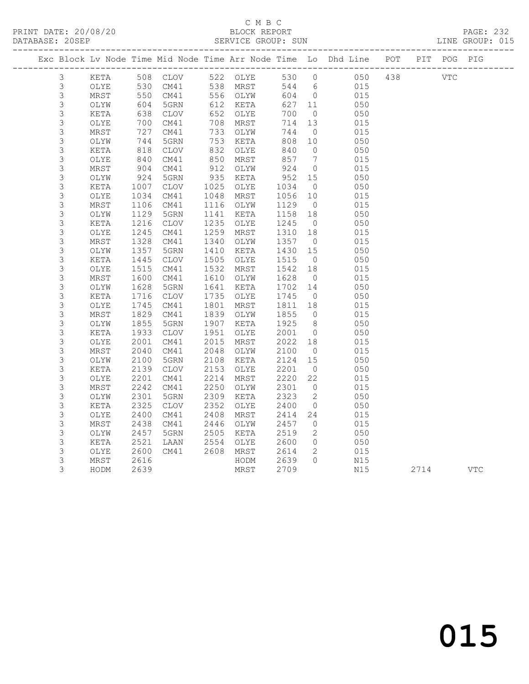### C M B C

#### PRINT DATE: 20/08/20 BLOCK REPORT PAGE: 232 SERVICE GROUP: SUN LINE GROUP: 015 ------------------------------------------------------------------------------------------------- Exc Block Lv Node Time Mid Node Time Arr Node Time Lo Dhd Line POT PIT POG PIG ------------------------------------------------------------------------------------------------- 3 KETA 508 CLOV 522 OLYE 530 0 050 438 VTC 3 OLYE 530 CM41 538 MRST 544 6 015 3 MRST 550 CM41 556 OLYW 604 0 015 3 OLYW 604 5GRN 612 KETA 627 11 050 3 KETA 638 CLOV 652 OLYE 700 0 050 3 OLYE 700 CM41 708 MRST 714 13 015 3 MRST 727 CM41 733 OLYW 744 0 015 3 OLYW 744 5GRN 753 KETA 808 10 050 3 KETA 818 CLOV 832 OLYE 840 0 050 3 OLYE 840 CM41 850 MRST 857 7 015 3 MRST 904 CM41 912 OLYW 924 0 015 3 OLYW 924 5GRN 935 KETA 952 15 050 3 KETA 1007 CLOV 1025 OLYE 1034 0 050 3 OLYE 1034 CM41 1048 MRST 1056 10 015 3 MRST 1106 CM41 1116 OLYW 1129 0 015 3 OLYW 1129 5GRN 1141 KETA 1158 18 050 3 KETA 1216 CLOV 1235 OLYE 1245 0 050 3 OLYE 1245 CM41 1259 MRST 1310 18 015 3 MRST 1328 CM41 1340 OLYW 1357 0 015 3 OLYW 1357 5GRN 1410 KETA 1430 15 050 3 KETA 1445 CLOV 1505 OLYE 1515 0 050 3 OLYE 1515 CM41 1532 MRST 1542 18 015 3 MRST 1600 CM41 1610 OLYW 1628 0 015 3 OLYW 1628 5GRN 1641 KETA 1702 14 050 3 KETA 1716 CLOV 1735 OLYE 1745 0 050 3 OLYE 1745 CM41 1801 MRST 1811 18 015 3 MRST 1829 CM41 1839 OLYW 1855 0 015 3 OLYW 1855 5GRN 1907 KETA 1925 8 050 3 KETA 1933 CLOV 1951 OLYE 2001 0 050 3 OLYE 2001 CM41 2015 MRST 2022 18 015 3 MRST 2040 CM41 2048 OLYW 2100 0 015 3 OLYW 2100 5GRN 2108 KETA 2124 15 050 3 KETA 2139 CLOV 2153 OLYE 2201 0 050 3 OLYE 2201 CM41 2214 MRST 2220 22 015 3 MRST 2242 CM41 2250 OLYW 2301 0 015 3 OLYW 2301 5GRN 2309 KETA 2323 2 050 3 KETA 2325 CLOV 2352 OLYE 2400 0 050 3 OLYE 2400 CM41 2408 MRST 2414 24 015 3 MRST 2438 CM41 2446 OLYW 2457 0 015 3 OLYW 2457 5GRN 2505 KETA 2519 2 050 3 KETA 2521 LAAN 2554 OLYE 2600 0 050 3 OLYE 2600 CM41 2608 MRST 2614 2 015

3 MRST 2616 HODM 2639 0 N15

3 HODM 2639 MRST 2709 N15 2714 VTC

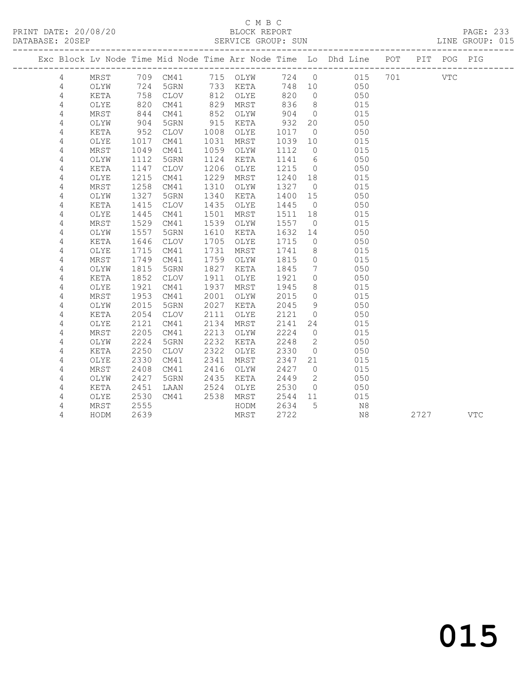#### C M B C C M B C<br>
C M B C<br>
BLOCK REPORT PAGE: 233<br>
PATABAGE: 2005 PAGE: 233

| DATABASE: 20SEP | ------------------- |                   |             |      | SERVICE GROUP: SUN |      |                |                                                                                |      | LINE GROUP: 015 |  |
|-----------------|---------------------|-------------------|-------------|------|--------------------|------|----------------|--------------------------------------------------------------------------------|------|-----------------|--|
|                 |                     |                   |             |      |                    |      |                | Exc Block Lv Node Time Mid Node Time Arr Node Time Lo Dhd Line POT PIT POG PIG |      |                 |  |
| 4               |                     |                   |             |      |                    |      |                | MRST 709 CM41 715 OLYW 724 0 015 701 VTC                                       |      |                 |  |
| 4               | OLYW                | 724               |             |      | 5GRN 733 KETA      |      |                | 748 10<br>050                                                                  |      |                 |  |
| 4               | KETA                | 758               | CLOV        |      | 812 OLYE           | 820  | $\overline{0}$ | 050                                                                            |      |                 |  |
| 4               | OLYE                | 820               | CM41        |      | 829 MRST           | 836  | 8 <sup>8</sup> | 015                                                                            |      |                 |  |
| $\sqrt{4}$      | MRST                | 820<br>844<br>904 | CM41        | 852  | OLYW               | 904  | $\overline{0}$ | 015                                                                            |      |                 |  |
| 4               | OLYW                |                   | 5GRN        | 915  | KETA               | 932  | 20             | 050                                                                            |      |                 |  |
| $\sqrt{4}$      | KETA                | 952               | CLOV        | 1008 | OLYE               | 1017 | $\overline{0}$ | 050                                                                            |      |                 |  |
| 4               | OLYE                | 1017              | CM41        | 1031 | MRST               | 1039 | 10             | 015                                                                            |      |                 |  |
| 4               | MRST                | 1049              | CM41        | 1059 | OLYW               | 1112 | $\overline{0}$ | 015                                                                            |      |                 |  |
| 4               | OLYW                | 1112              | 5GRN        | 1124 | KETA               | 1141 | 6              | 050                                                                            |      |                 |  |
| 4               | KETA                | 1147              | CLOV        | 1206 | OLYE               | 1215 | $\overline{0}$ | 050                                                                            |      |                 |  |
| 4               | OLYE                | 1215              | CM41        | 1229 | MRST               | 1240 | 18             | 015                                                                            |      |                 |  |
| 4               | MRST                | 1258              | CM41        | 1310 | OLYW               | 1327 | $\overline{0}$ | 015                                                                            |      |                 |  |
| 4               | OLYW                | 1327              | 5GRN        | 1340 | KETA               | 1400 | 15             | 050                                                                            |      |                 |  |
| $\sqrt{4}$      | KETA                | 1415              | <b>CLOV</b> | 1435 | OLYE               | 1445 | $\overline{0}$ | 050                                                                            |      |                 |  |
| 4               | OLYE                | 1445              | CM41        | 1501 | MRST               | 1511 | 18             | 015                                                                            |      |                 |  |
| 4               | MRST                | 1529              | CM41        | 1539 | OLYW               | 1557 | $\overline{0}$ | 015                                                                            |      |                 |  |
| 4               | OLYW                | 1557              | 5GRN        | 1610 | KETA               | 1632 | 14             | 050                                                                            |      |                 |  |
| 4               | KETA                | 1646              | CLOV        | 1705 | OLYE               | 1715 | $\overline{0}$ | 050                                                                            |      |                 |  |
| 4               | OLYE                | 1715              | CM41        | 1731 | MRST               | 1741 | 8 <sup>8</sup> | 015                                                                            |      |                 |  |
| 4               | MRST                | 1749              | CM41        | 1759 | OLYW               | 1815 | $\overline{0}$ | 015                                                                            |      |                 |  |
| 4               | OLYW                | 1815              | 5GRN        | 1827 | KETA               | 1845 | $\overline{7}$ | 050                                                                            |      |                 |  |
| 4               | KETA                | 1852              | CLOV        | 1911 | OLYE               | 1921 | $\circ$        | 050                                                                            |      |                 |  |
| $\sqrt{4}$      | OLYE                | 1921              | CM41        | 1937 | MRST               | 1945 | 8 <sup>1</sup> | 015                                                                            |      |                 |  |
| 4               | MRST                | 1953              | CM41        | 2001 | OLYW               | 2015 | $\overline{0}$ | 015                                                                            |      |                 |  |
| 4               | OLYW                | 2015              | 5GRN        | 2027 | KETA               | 2045 | 9              | 050                                                                            |      |                 |  |
| 4               | KETA                | 2054              | CLOV        | 2111 | OLYE               | 2121 | $\overline{0}$ | 050                                                                            |      |                 |  |
| 4               | OLYE                | 2121              | CM41        | 2134 | MRST               | 2141 | 24             | 015                                                                            |      |                 |  |
| 4               | MRST                | 2205              | CM41        | 2213 | OLYW               | 2224 | $\overline{0}$ | 015                                                                            |      |                 |  |
| 4               | OLYW                | 2224              | 5GRN        | 2232 | KETA               | 2248 | $\overline{2}$ | 050                                                                            |      |                 |  |
| 4               | KETA                | 2250              | <b>CLOV</b> | 2322 | OLYE               | 2330 | $\overline{0}$ | 050                                                                            |      |                 |  |
| 4               | OLYE                | 2330              | CM41        | 2341 | MRST               | 2347 | 21             | 015                                                                            |      |                 |  |
| $\sqrt{4}$      | MRST                | 2408              | CM41        | 2416 | OLYW               | 2427 | $\overline{0}$ | 015                                                                            |      |                 |  |
| 4               | OLYW                | 2427              | 5GRN        | 2435 | KETA               | 2449 | $\overline{2}$ | 050                                                                            |      |                 |  |
| 4               | KETA                | 2451              | LAAN        | 2524 | OLYE               | 2530 | $\overline{0}$ | 050                                                                            |      |                 |  |
| 4               | OLYE                | 2530              | CM41        | 2538 | MRST               | 2544 | 11             | 015                                                                            |      |                 |  |
| 4               | MRST                | 2555              |             |      | HODM               | 2634 | $5^{\circ}$    | N8                                                                             |      |                 |  |
| 4               | HODM                | 2639              |             |      | MRST               | 2722 |                | N8                                                                             | 2727 | <b>VTC</b>      |  |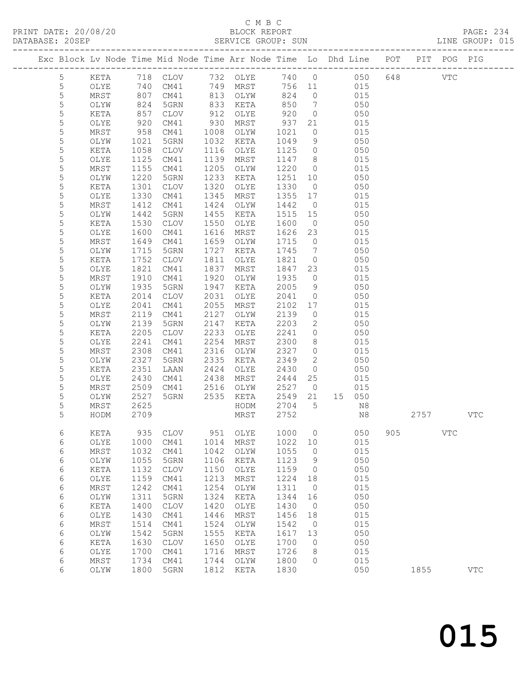### C M B C<br>BLOCK REPORT

|                |                              |      |                      |      |                      |              |                 | Exc Block Lv Node Time Mid Node Time Arr Node Time Lo Dhd Line POT PIT POG PIG |     |          |            |              |
|----------------|------------------------------|------|----------------------|------|----------------------|--------------|-----------------|--------------------------------------------------------------------------------|-----|----------|------------|--------------|
| $\overline{5}$ |                              |      |                      |      |                      |              |                 | KETA 718 CLOV 732 OLYE 740 0 050                                               |     | 648 VTC  |            |              |
| $\mathsf S$    | OLYE                         |      |                      |      |                      |              |                 | 740 CM41 749 MRST 756 11 015                                                   |     |          |            |              |
| 5              | MRST                         |      | 807 CM41 813 OLYW    |      |                      | 824          |                 | $0 \qquad 015$                                                                 |     |          |            |              |
| 5              | OLYW                         |      |                      |      |                      |              | $7\overline{ }$ | 050                                                                            |     |          |            |              |
| 5              | KETA                         |      | 824 5GRN<br>857 CLOV |      | 833 KETA<br>912 OLYE | 850<br>920   | $\overline{0}$  | 050                                                                            |     |          |            |              |
| 5              | OLYE                         |      | 920 CM41             | 930  | MRST                 | 937          | 21              | 015                                                                            |     |          |            |              |
| 5              | MRST                         |      | 958 CM41             | 1008 | OLYW                 | 1021         | $\overline{0}$  | 015                                                                            |     |          |            |              |
| 5              | OLYW                         | 1021 | 5GRN                 | 1032 | KETA                 | 1049         | 9               | 050                                                                            |     |          |            |              |
| 5              | KETA                         |      | 1058 CLOV            | 1116 | OLYE                 | 1125         | $\overline{0}$  | 050                                                                            |     |          |            |              |
| 5              | OLYE                         | 1125 | CM41                 | 1139 | MRST                 | 1147         | 8 <sup>8</sup>  | 015                                                                            |     |          |            |              |
| 5              | MRST                         | 1155 | CM41                 | 1205 | OLYW                 | 1220         | $\overline{0}$  | 015                                                                            |     |          |            |              |
| $\mathsf S$    | OLYW                         | 1220 | 5GRN                 | 1233 | KETA                 | 1251         | 10              | 050                                                                            |     |          |            |              |
| 5              | KETA                         | 1301 | CLOV                 | 1320 | OLYE                 | 1330         | $\overline{0}$  | 050                                                                            |     |          |            |              |
| $\mathsf S$    | OLYE                         | 1330 | CM41                 | 1345 | MRST                 | 1355         | 17              | 015                                                                            |     |          |            |              |
| 5              | MRST                         | 1412 | CM41                 | 1424 | OLYW                 | 1442         | $\overline{0}$  | 015                                                                            |     |          |            |              |
| $\mathsf S$    |                              |      | 5GRN                 | 1455 |                      |              | 15              | 050                                                                            |     |          |            |              |
| $\mathsf S$    | OLYW                         | 1442 | CLOV                 | 1550 | KETA                 | 1515<br>1600 | $\overline{0}$  | 050                                                                            |     |          |            |              |
|                | KETA                         | 1530 |                      |      | OLYE                 |              |                 |                                                                                |     |          |            |              |
| $\mathsf S$    | OLYE                         | 1600 | CM41                 | 1616 | MRST                 | 1626         | 23              | 015                                                                            |     |          |            |              |
| 5              | MRST                         |      | 1649 CM41            | 1659 | OLYW                 | 1715         | $\overline{0}$  | 015                                                                            |     |          |            |              |
| $\mathsf S$    | OLYW                         | 1715 | 5GRN                 | 1727 | KETA                 | 1745         | $7\overline{)}$ | 050                                                                            |     |          |            |              |
| 5              | KETA                         | 1752 | CLOV                 | 1811 | OLYE                 | 1821         | $\overline{0}$  | 050                                                                            |     |          |            |              |
| 5              | OLYE                         | 1821 | CM41                 | 1837 | MRST                 | 1847         | 23              | 015                                                                            |     |          |            |              |
| 5              | MRST                         | 1910 | CM41                 | 1920 | OLYW                 | 1935         | $\overline{0}$  | 015                                                                            |     |          |            |              |
| 5              | OLYW                         | 1935 | 5GRN                 | 1947 | KETA                 | 2005         | 9               | 050                                                                            |     |          |            |              |
| 5              | KETA                         | 2014 | CLOV                 | 2031 | OLYE                 | 2041         | $\overline{0}$  | 050                                                                            |     |          |            |              |
| 5              | OLYE                         | 2041 | CM41                 | 2055 | MRST                 | 2102         | 17              | 015                                                                            |     |          |            |              |
| 5              | MRST                         |      | 2119 CM41            | 2127 | OLYW                 | 2139         | $\overline{0}$  | 015                                                                            |     |          |            |              |
| 5              | OLYW                         | 2139 | 5GRN                 | 2147 | KETA                 | 2203         | 2               | 050                                                                            |     |          |            |              |
| 5              | KETA                         | 2205 | CLOV                 | 2233 | OLYE                 | 2241         | $\circ$         | 050                                                                            |     |          |            |              |
| 5              | OLYE                         | 2241 | CM41                 | 2254 | MRST                 | 2300         | 8               | 015                                                                            |     |          |            |              |
| 5              | MRST                         | 2308 | CM41                 | 2316 | OLYW                 | 2327         | $\overline{0}$  | 015                                                                            |     |          |            |              |
| 5              | OLYW                         | 2327 | 5GRN                 | 2335 | KETA                 | 2349         | $\overline{2}$  | 050                                                                            |     |          |            |              |
| 5              | KETA                         | 2351 | LAAN                 | 2424 | OLYE                 | 2430         | $\overline{0}$  | 050                                                                            |     |          |            |              |
| 5              | OLYE                         | 2430 | CM41                 | 2438 | MRST                 | 2444         | 25              | 015                                                                            |     |          |            |              |
| $\mathsf S$    | MRST                         |      | 2509 CM41            |      | 2516 OLYW            | 2527         | $\overline{0}$  | 015                                                                            |     |          |            |              |
| 5              | OLYW                         | 2527 | 5GRN                 |      | 2535 KETA            | 2549 21      |                 | 15 050                                                                         |     |          |            |              |
| 5              | MRST                         | 2625 |                      |      | HODM                 | 2704         |                 | 5 <sub>1</sub><br>N8                                                           |     |          |            |              |
| 5              | HODM 2709                    |      |                      |      | MRST 2752            |              |                 | N8                                                                             |     | 2757 VTC |            |              |
| 6              | KETA                         | 935  | <b>CLOV</b>          | 951  | OLYE                 | 1000         | 0               | 050                                                                            | 905 |          | <b>VTC</b> |              |
| 6              | OLYE                         | 1000 | CM41                 | 1014 | MRST                 | 1022         | 10              | 015                                                                            |     |          |            |              |
| $\epsilon$     | MRST                         | 1032 | CM41                 | 1042 | OLYW                 | 1055         | $\circ$         | 015                                                                            |     |          |            |              |
| $\sqrt{6}$     | OLYW                         | 1055 | 5GRN                 | 1106 | KETA                 | 1123         | 9               | 050                                                                            |     |          |            |              |
| $\epsilon$     | KETA                         | 1132 | CLOV                 | 1150 | OLYE                 | 1159         | 0               | 050                                                                            |     |          |            |              |
| $\epsilon$     | $\ensuremath{\mathsf{OLYE}}$ | 1159 | CM41                 | 1213 | MRST                 | 1224         | 18              | 015                                                                            |     |          |            |              |
| $\sqrt{6}$     | $\tt MRST$                   | 1242 | CM41                 | 1254 | OLYW                 | 1311         | $\circ$         | 015                                                                            |     |          |            |              |
| $\sqrt{6}$     | OLYW                         | 1311 | 5GRN                 | 1324 | KETA                 | 1344         | 16              | 050                                                                            |     |          |            |              |
| $\epsilon$     | KETA                         | 1400 | CLOV                 | 1420 | OLYE                 | 1430         | $\circ$         | 050                                                                            |     |          |            |              |
| $\epsilon$     | OLYE                         | 1430 | CM41                 | 1446 | MRST                 | 1456         | 18              | 015                                                                            |     |          |            |              |
| $\epsilon$     | $\tt MRST$                   | 1514 | CM41                 | 1524 | OLYW                 | 1542         | $\circ$         | 015                                                                            |     |          |            |              |
| $\sqrt{6}$     | OLYW                         | 1542 | 5GRN                 | 1555 | KETA                 | 1617         | 13              | 050                                                                            |     |          |            |              |
| $\epsilon$     | KETA                         | 1630 | $\mathtt{CLOV}$      | 1650 | OLYE                 | 1700         | 0               | 050                                                                            |     |          |            |              |
| $\sqrt{6}$     | OLYE                         | 1700 | CM41                 | 1716 | MRST                 | 1726         | 8               | 015                                                                            |     |          |            |              |
| $\sqrt{6}$     | $\tt MRST$                   | 1734 | CM41                 | 1744 | OLYW                 | 1800         | $\circ$         | 015                                                                            |     |          |            |              |
| 6              | OLYW                         | 1800 | 5GRN                 | 1812 | KETA                 | 1830         |                 | 050                                                                            |     | 1855     |            | $_{\rm VTC}$ |
|                |                              |      |                      |      |                      |              |                 |                                                                                |     |          |            |              |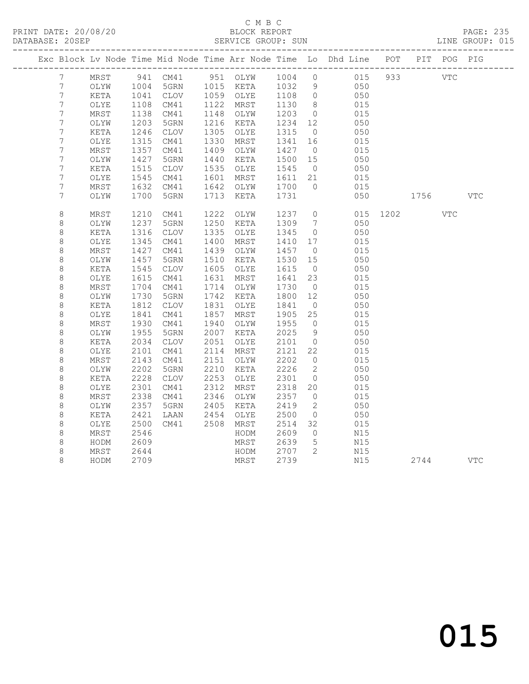### C M B C<br>BLOCK REPORT SERVICE GROUP: SUN

|                  |      |      |                 |      |               |      |                   | Exc Block Lv Node Time Mid Node Time Arr Node Time Lo Dhd Line POT |      |            | PIT POG PIG |              |
|------------------|------|------|-----------------|------|---------------|------|-------------------|--------------------------------------------------------------------|------|------------|-------------|--------------|
| 7                | MRST |      | 941 CM41        |      | 951 OLYW 1004 |      | $\overline{0}$    | 015                                                                | 933  | <b>VTC</b> |             |              |
| $7\phantom{.0}$  | OLYW | 1004 | 5GRN            |      | 1015 KETA     | 1032 | 9                 | 050                                                                |      |            |             |              |
| $7\,$            | KETA | 1041 | CLOV            |      | 1059 OLYE     | 1108 | $\overline{0}$    | 050                                                                |      |            |             |              |
| $7\phantom{.}$   | OLYE | 1108 | CM41            |      | 1122 MRST     | 1130 | 8 <sup>8</sup>    | 015                                                                |      |            |             |              |
| $7\phantom{.}$   | MRST | 1138 | CM41            | 1148 | OLYW          | 1203 | $\overline{0}$    | 015                                                                |      |            |             |              |
| $\boldsymbol{7}$ | OLYW | 1203 | 5GRN            | 1216 | KETA          | 1234 | $12 \overline{ }$ | 050                                                                |      |            |             |              |
| $\overline{7}$   | KETA | 1246 | CLOV            | 1305 | OLYE          | 1315 | $\overline{0}$    | 050                                                                |      |            |             |              |
| 7                | OLYE | 1315 | CM41            | 1330 | MRST          | 1341 | 16                | 015                                                                |      |            |             |              |
| $\overline{7}$   | MRST | 1357 | CM41            | 1409 | OLYW          | 1427 | $\overline{0}$    | 015                                                                |      |            |             |              |
| $\overline{7}$   | OLYW | 1427 | 5GRN            | 1440 | KETA          | 1500 | 15                | 050                                                                |      |            |             |              |
| $\overline{7}$   | KETA | 1515 | CLOV            | 1535 | OLYE          | 1545 | $\overline{0}$    | 050                                                                |      |            |             |              |
| $\overline{7}$   | OLYE | 1545 | CM41            | 1601 | MRST          | 1611 | 21                | 015                                                                |      |            |             |              |
| $\overline{7}$   | MRST | 1632 | CM41            | 1642 | OLYW          | 1700 | $\circ$           | 015                                                                |      |            |             |              |
| 7                | OLYW | 1700 | 5GRN            | 1713 | KETA          | 1731 |                   | 050                                                                |      | 1756       |             | $_{\rm VTC}$ |
| $\,8\,$          | MRST | 1210 | CM41            | 1222 | OLYW          | 1237 | $\circledcirc$    | 015                                                                | 1202 |            | VTC         |              |
| $\,8\,$          | OLYW | 1237 | 5GRN            | 1250 | KETA          | 1309 | $7\phantom{.0}$   | 050                                                                |      |            |             |              |
| 8                | KETA | 1316 | CLOV            | 1335 | OLYE          | 1345 | $\overline{0}$    | 050                                                                |      |            |             |              |
| 8                | OLYE | 1345 | CM41            | 1400 | MRST          | 1410 | 17                | 015                                                                |      |            |             |              |
| 8                | MRST | 1427 | CM41            | 1439 | OLYW          | 1457 | $\overline{0}$    | 015                                                                |      |            |             |              |
| $\,8\,$          | OLYW | 1457 | 5GRN            | 1510 | KETA          | 1530 | 15                | 050                                                                |      |            |             |              |
| 8                | KETA | 1545 | $\mathtt{CLOV}$ | 1605 | OLYE          | 1615 | $\overline{0}$    | 050                                                                |      |            |             |              |
| 8                | OLYE | 1615 | CM41            | 1631 | MRST          | 1641 | 23                | 015                                                                |      |            |             |              |
| 8                | MRST | 1704 | CM41            | 1714 | OLYW          | 1730 | $\overline{0}$    | 015                                                                |      |            |             |              |
| 8                | OLYW | 1730 | 5GRN            | 1742 | KETA          | 1800 | 12                | 050                                                                |      |            |             |              |
| $\,8\,$          | KETA | 1812 | CLOV            | 1831 | OLYE          | 1841 | $\overline{0}$    | 050                                                                |      |            |             |              |
| $\,8\,$          | OLYE | 1841 | CM41            | 1857 | MRST          | 1905 | 25                | 015                                                                |      |            |             |              |
| 8                | MRST | 1930 | CM41            | 1940 | OLYW          | 1955 | $\overline{0}$    | 015                                                                |      |            |             |              |
| 8                | OLYW | 1955 | 5GRN            | 2007 | KETA          | 2025 | 9                 | 050                                                                |      |            |             |              |
| 8                | KETA | 2034 | $\mathtt{CLOV}$ | 2051 | OLYE          | 2101 | $\circ$           | 050                                                                |      |            |             |              |
| 8                | OLYE | 2101 | CM41            | 2114 | MRST          | 2121 | 22                | 015                                                                |      |            |             |              |
| $\,8\,$          | MRST | 2143 | CM41            | 2151 | OLYW          | 2202 | $\overline{0}$    | 015                                                                |      |            |             |              |
| 8                | OLYW | 2202 | 5GRN            | 2210 | KETA          | 2226 | 2                 | 050                                                                |      |            |             |              |
| $\,8\,$          | KETA | 2228 | $\mathtt{CLOV}$ | 2253 | OLYE          | 2301 | $\overline{0}$    | 050                                                                |      |            |             |              |
| 8                | OLYE | 2301 | CM41            | 2312 | MRST          | 2318 | 20                | 015                                                                |      |            |             |              |
| 8                | MRST | 2338 | CM41            | 2346 | OLYW          | 2357 | $\circ$           | 015                                                                |      |            |             |              |
| $\,8\,$          | OLYW | 2357 | 5GRN            | 2405 | KETA          | 2419 | 2                 | 050                                                                |      |            |             |              |
| 8                | KETA | 2421 | LAAN            | 2454 | OLYE          | 2500 | $\circ$           | 050                                                                |      |            |             |              |
| 8                | OLYE | 2500 | CM41            | 2508 | MRST          | 2514 | 32                | 015                                                                |      |            |             |              |
| 8                | MRST | 2546 |                 |      | HODM          | 2609 | $\circ$           | N15                                                                |      |            |             |              |
| 8                | HODM | 2609 |                 |      | MRST          | 2639 | 5                 | N15                                                                |      |            |             |              |
| 8                | MRST | 2644 |                 |      | HODM          | 2707 | 2                 | N15                                                                |      |            |             |              |
| 8                | HODM | 2709 |                 |      | MRST          | 2739 |                   | N15                                                                |      | 2744       |             | <b>VTC</b>   |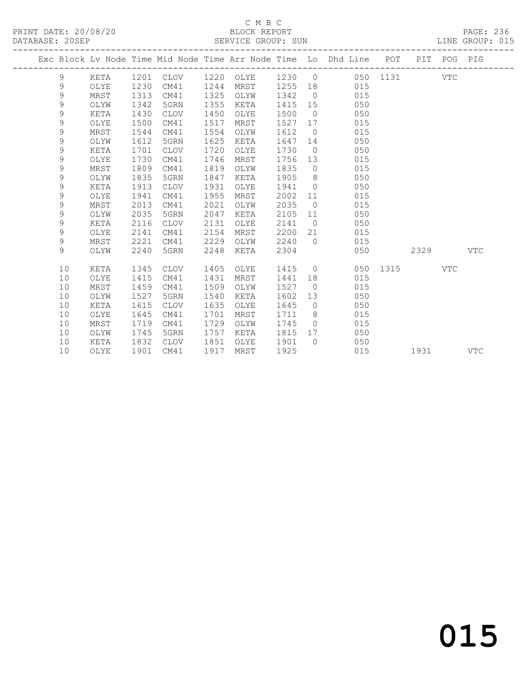## C M B C<br>BLOCK REPORT

| DATABASE: 20SEP |             |             |      |             |      | SERVICE GROUP: SUN |      |                |                                                                    |          |      |             | LINE GROUP: 015 |  |
|-----------------|-------------|-------------|------|-------------|------|--------------------|------|----------------|--------------------------------------------------------------------|----------|------|-------------|-----------------|--|
|                 |             |             |      |             |      |                    |      |                | Exc Block Lv Node Time Mid Node Time Arr Node Time Lo Dhd Line POT |          |      | PIT POG PIG |                 |  |
|                 | 9           | KETA        | 1201 | CLOV        |      | 1220 OLYE          | 1230 | $\overline{0}$ |                                                                    | 050 1131 |      | <b>VTC</b>  |                 |  |
|                 | 9           | OLYE        | 1230 | CM41        | 1244 | MRST               | 1255 | 18             | 015                                                                |          |      |             |                 |  |
|                 | 9           | MRST        | 1313 | CM41        | 1325 | OLYW               | 1342 | $\overline{0}$ | 015                                                                |          |      |             |                 |  |
|                 | $\mathsf 9$ | OLYW        | 1342 | 5GRN        | 1355 | KETA               | 1415 | 15             | 050                                                                |          |      |             |                 |  |
|                 | $\mathsf 9$ | KETA        | 1430 | <b>CLOV</b> | 1450 | OLYE               | 1500 | $\overline{0}$ | 050                                                                |          |      |             |                 |  |
|                 | $\mathsf 9$ | OLYE        | 1500 | CM41        | 1517 | MRST               | 1527 | 17             | 015                                                                |          |      |             |                 |  |
|                 | $\mathsf 9$ | MRST        | 1544 | CM41        | 1554 | OLYW               | 1612 | $\overline{0}$ | 015                                                                |          |      |             |                 |  |
|                 | $\mathsf 9$ | OLYW        | 1612 | 5GRN        | 1625 | KETA               | 1647 | 14             | 050                                                                |          |      |             |                 |  |
|                 | 9           | KETA        | 1701 | <b>CLOV</b> | 1720 | OLYE               | 1730 | $\overline{0}$ | 050                                                                |          |      |             |                 |  |
|                 | $\mathsf 9$ | OLYE        | 1730 | CM41        | 1746 | MRST               | 1756 | 13             | 015                                                                |          |      |             |                 |  |
|                 | $\mathsf 9$ | MRST        | 1809 | CM41        | 1819 | OLYW               | 1835 | $\circ$        | 015                                                                |          |      |             |                 |  |
|                 | $\mathsf 9$ | OLYW        | 1835 | 5GRN        | 1847 | KETA               | 1905 | 8              | 050                                                                |          |      |             |                 |  |
|                 | $\mathsf 9$ | KETA        | 1913 | <b>CLOV</b> | 1931 | OLYE               | 1941 | $\circ$        | 050                                                                |          |      |             |                 |  |
|                 | $\mathsf 9$ | OLYE        | 1941 | CM41        | 1955 | MRST               | 2002 | 11             | 015                                                                |          |      |             |                 |  |
|                 | 9           | MRST        | 2013 | CM41        | 2021 | OLYW               | 2035 | $\circ$        | 015                                                                |          |      |             |                 |  |
|                 | $\mathsf 9$ | OLYW        | 2035 | 5GRN        | 2047 | KETA               | 2105 | 11             | 050                                                                |          |      |             |                 |  |
|                 | $\mathsf 9$ | KETA        | 2116 | <b>CLOV</b> | 2131 | OLYE               | 2141 | $\overline{0}$ | 050                                                                |          |      |             |                 |  |
|                 | $\mathsf 9$ | OLYE        | 2141 | CM41        | 2154 | MRST               | 2200 | 21             | 015                                                                |          |      |             |                 |  |
|                 | $\mathsf 9$ | <b>MRST</b> | 2221 | CM41        | 2229 | OLYW               | 2240 | $\Omega$       | 015                                                                |          |      |             |                 |  |
|                 | 9           | OLYW        | 2240 | 5GRN        | 2248 | KETA               | 2304 |                | 050                                                                |          | 2329 |             | <b>VTC</b>      |  |
|                 | 10          | <b>KETA</b> | 1345 | <b>CLOV</b> | 1405 | OLYE               | 1415 | $\circ$        | 050                                                                | 1315     |      | <b>VTC</b>  |                 |  |
|                 | 10          | OLYE        | 1415 | CM41        | 1431 | MRST               | 1441 | 18             | 015                                                                |          |      |             |                 |  |
|                 | 10          | MRST        | 1459 | CM41        | 1509 | OLYW               | 1527 | $\overline{0}$ | 015                                                                |          |      |             |                 |  |
|                 | 10          | OLYW        | 1527 | 5GRN        | 1540 | KETA               | 1602 | 13             | 050                                                                |          |      |             |                 |  |
|                 | 10          | KETA        | 1615 | <b>CLOV</b> | 1635 | OLYE               | 1645 | $\circ$        | 050                                                                |          |      |             |                 |  |
|                 | 10          | OLYE        | 1645 | CM41        | 1701 | MRST               | 1711 | 8              | 015                                                                |          |      |             |                 |  |
|                 | 10          | MRST        | 1719 | CM41        | 1729 | OLYW               | 1745 | $\Omega$       | 015                                                                |          |      |             |                 |  |
|                 | 10          | OLYW        | 1745 | 5GRN        | 1757 | KETA               | 1815 | 17             | 050                                                                |          |      |             |                 |  |
|                 | 10          | KETA        | 1832 | <b>CLOV</b> | 1851 | OLYE               | 1901 | $\Omega$       | 050                                                                |          |      |             |                 |  |
|                 | 10          | OLYE        | 1901 | CM41        | 1917 | MRST               | 1925 |                | 015                                                                |          | 1931 |             | <b>VTC</b>      |  |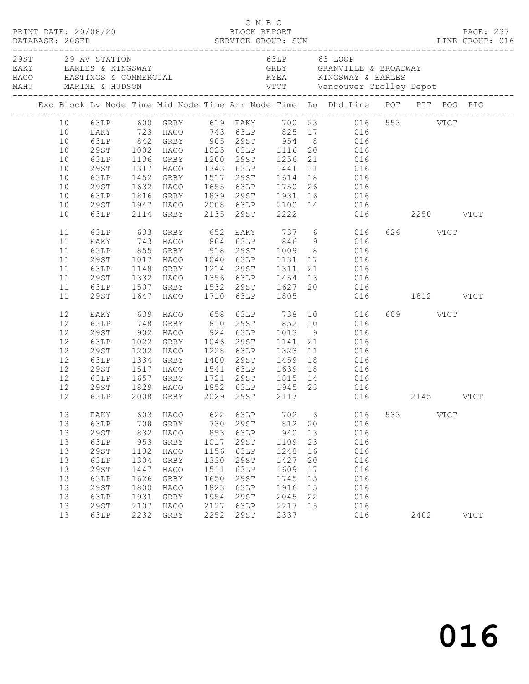| PRINT DATE: 20/08/20<br>DATABASE: 20SEP |    |             |      |                                     |      | C M B C<br>BLOCK REPORT |                      |    | DESCRIPTION DESCRIPTION DESCRIPTION DESCRIPTION DESCRIPTION DESCRIPTIONS DESCRIPTIONS DESCRIPTIONS DESCRIPTION<br>DATABASE: 20SEP SERVICE GROUP: SUN LINE GROUP: 016 |     |          |             | PAGE: 237                     |
|-----------------------------------------|----|-------------|------|-------------------------------------|------|-------------------------|----------------------|----|----------------------------------------------------------------------------------------------------------------------------------------------------------------------|-----|----------|-------------|-------------------------------|
| 29ST 29 AV STATION                      |    |             |      | EAKY EARLES & KINGSWAY              |      |                         |                      |    | 63LP 63 LOOP<br>GRBY GRANVILLE & BROADWAY                                                                                                                            |     |          |             | ----------------------------- |
|                                         |    |             |      |                                     |      |                         |                      |    | Exc Block Lv Node Time Mid Node Time Arr Node Time Lo Dhd Line POT PIT POG PIG                                                                                       |     |          |             |                               |
|                                         |    |             |      |                                     |      |                         |                      |    | 10 63LP 600 GRBY 619 EAKY 700 23 016 553 VTCT<br>10 EAKY 723 HACO 743 63LP 825 17 016                                                                                |     |          |             |                               |
|                                         |    |             |      |                                     |      |                         |                      |    |                                                                                                                                                                      |     |          |             |                               |
|                                         | 10 |             |      | 63LP 842 GRBY 905 29ST 954          |      |                         |                      |    | 8 016                                                                                                                                                                |     |          |             |                               |
|                                         | 10 | 29ST        |      |                                     |      |                         |                      |    | 1002 HACO 1025 63LP 1116 20 016<br>1136 GRBY 1200 29ST 1256 21 016<br>1317 HACO 1343 63LP 1441 11 016                                                                |     |          |             |                               |
|                                         | 10 | 63LP        |      |                                     |      |                         |                      |    |                                                                                                                                                                      |     |          |             |                               |
|                                         | 10 | 29ST        |      |                                     |      |                         |                      |    |                                                                                                                                                                      |     |          |             |                               |
|                                         | 10 | 63LP        |      | 1452 GRBY                           |      | 1517 29ST 1614          |                      | 18 | 016                                                                                                                                                                  |     |          |             |                               |
|                                         | 10 | 29ST        | 1632 | HACO                                |      |                         |                      |    |                                                                                                                                                                      |     |          |             |                               |
|                                         | 10 | 63LP        |      |                                     |      |                         |                      |    | 1655 63LP 1750 26 016<br>1839 29ST 1931 16 016<br>2008 63LP 2100 14 016                                                                                              |     |          |             |                               |
|                                         | 10 | 29ST        |      | 1816 GRBY<br>1947 HACO              |      |                         |                      |    | 016                                                                                                                                                                  |     |          |             |                               |
|                                         | 10 | 63LP        |      | 2114 GRBY                           |      | 2135 29ST 2222          |                      |    | 016 2250 VTCT                                                                                                                                                        |     |          |             |                               |
|                                         | 11 | 63LP        |      | 633 GRBY<br>743 HACO                |      |                         |                      |    | GRBY 652 EAKY 737 6 016<br>HACO 804 63LP 846 9 016                                                                                                                   |     | 626 VTCT |             |                               |
|                                         | 11 | EAKY        |      |                                     |      |                         |                      |    |                                                                                                                                                                      |     |          |             |                               |
|                                         | 11 | 63LP        |      | 855 GRBY                            |      | 918 29ST 1009           |                      |    | 8 016                                                                                                                                                                |     |          |             |                               |
|                                         | 11 | 29ST        |      | 1017 HACO                           |      |                         |                      |    | 1040 63LP 1131 17 016                                                                                                                                                |     |          |             |                               |
|                                         | 11 | 63LP        |      | 1148 GRBY<br>1332 HACO<br>1507 GRBY |      |                         |                      |    | 1214 29ST 1311 21 016<br>1356 63LP 1454 13 016<br>1532 29ST 1627 20 016                                                                                              |     |          |             |                               |
|                                         | 11 | 29ST        |      |                                     |      |                         |                      |    |                                                                                                                                                                      |     |          |             |                               |
|                                         | 11 | 63LP        |      |                                     |      |                         |                      |    |                                                                                                                                                                      |     |          |             |                               |
|                                         | 11 | 29ST        |      | 1647 HACO                           |      | 1710 63LP 1805          |                      |    | 016 1812 VTCT                                                                                                                                                        |     |          |             |                               |
|                                         | 12 | EAKY        |      |                                     |      |                         |                      |    |                                                                                                                                                                      |     | 609 VTCT |             |                               |
|                                         | 12 | 63LP        |      | 748 GRBY                            |      |                         |                      |    |                                                                                                                                                                      |     |          |             |                               |
|                                         | 12 | 29ST        |      | 902 HACO                            |      | 924 63LP 1013           |                      | 9  | 016                                                                                                                                                                  |     |          |             |                               |
|                                         | 12 | 63LP        | 1022 | GRBY                                | 1046 | 29ST                    | 1141<br>1323<br>1459 | 21 | 016                                                                                                                                                                  |     |          |             |                               |
|                                         | 12 | 29ST        |      | 1202 HACO                           |      | 1228 63LP               |                      | 11 | 016                                                                                                                                                                  |     |          |             |                               |
|                                         | 12 | 63LP        |      | 1334 GRBY                           |      | 1400 29ST               |                      | 18 | 016                                                                                                                                                                  |     |          |             |                               |
|                                         | 12 | 29ST        |      | 1517 HACO                           |      | 1541 63LP 1639          |                      | 18 | 016                                                                                                                                                                  |     |          |             |                               |
|                                         | 12 | 63LP        | 1657 | GRBY                                |      | 1721 29ST 1815          |                      | 14 | 016                                                                                                                                                                  |     |          |             |                               |
|                                         | 12 | 29ST        |      |                                     |      |                         |                      |    |                                                                                                                                                                      |     |          |             |                               |
|                                         | 12 | 63LP        |      |                                     |      |                         |                      |    | 1829 HACO 1852 63LP 1945 23 016<br>2008 GRBY 2029 29ST 2117 016<br>016 2145 VTCT                                                                                     |     |          |             |                               |
|                                         | 13 | EAKY        | 603  | HACO                                | 622  | 63LP                    | 702                  | 6  | 016                                                                                                                                                                  | 533 |          | <b>VTCT</b> |                               |
|                                         | 13 | 63LP        | 708  | GRBY                                | 730  | 29ST                    | 812                  | 20 | 016                                                                                                                                                                  |     |          |             |                               |
|                                         | 13 | 29ST        | 832  | HACO                                | 853  | 63LP                    | 940                  | 13 | 016                                                                                                                                                                  |     |          |             |                               |
|                                         | 13 | 63LP        | 953  | GRBY                                | 1017 | 29ST                    | 1109                 | 23 | 016                                                                                                                                                                  |     |          |             |                               |
|                                         | 13 | <b>29ST</b> | 1132 | HACO                                | 1156 | 63LP                    | 1248                 | 16 | 016                                                                                                                                                                  |     |          |             |                               |
|                                         | 13 | 63LP        | 1304 | GRBY                                | 1330 | 29ST                    | 1427                 | 20 | 016                                                                                                                                                                  |     |          |             |                               |
|                                         | 13 | 29ST        | 1447 | HACO                                | 1511 | 63LP                    | 1609                 | 17 | 016                                                                                                                                                                  |     |          |             |                               |
|                                         | 13 | 63LP        | 1626 | GRBY                                | 1650 | 29ST                    | 1745                 | 15 | 016                                                                                                                                                                  |     |          |             |                               |
|                                         | 13 | <b>29ST</b> | 1800 | HACO                                | 1823 | 63LP                    | 1916                 | 15 | 016                                                                                                                                                                  |     |          |             |                               |
|                                         | 13 | 63LP        | 1931 | GRBY                                | 1954 | 29ST                    | 2045                 | 22 | 016                                                                                                                                                                  |     |          |             |                               |
|                                         | 13 | <b>29ST</b> | 2107 | HACO                                | 2127 | 63LP                    | 2217                 | 15 | 016                                                                                                                                                                  |     |          |             |                               |
|                                         | 13 | 63LP        | 2232 | GRBY                                | 2252 | 29ST                    | 2337                 |    | 016                                                                                                                                                                  |     | 2402     |             | <b>VTCT</b>                   |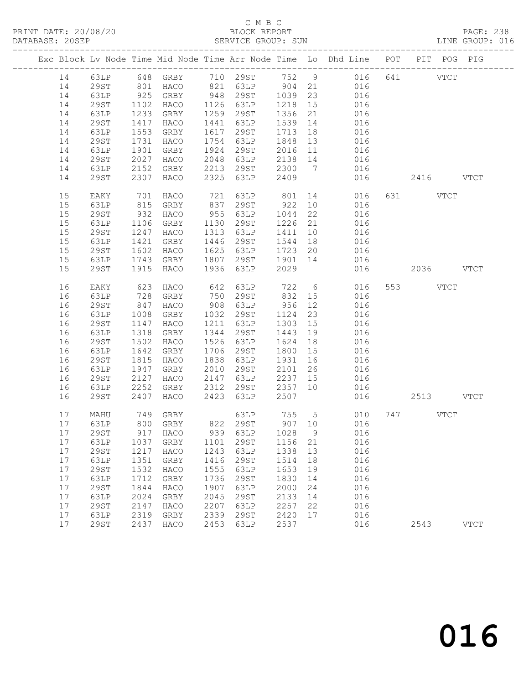#### C M B C<br>BLOCK REPORT SERVICE GROUP: SUN

|  |    |             |      |                      |      |                                     |         |    | Exc Block Lv Node Time Mid Node Time Arr Node Time Lo Dhd Line POT PIT POG PIG |        |           |             |
|--|----|-------------|------|----------------------|------|-------------------------------------|---------|----|--------------------------------------------------------------------------------|--------|-----------|-------------|
|  | 14 |             |      |                      |      |                                     |         |    | 63LP 648 GRBY 710 29ST 752 9 016                                               |        | 641 VTCT  |             |
|  | 14 | 29ST        |      |                      |      |                                     |         |    | 016                                                                            |        |           |             |
|  | 14 | 63LP        |      | 801 HACO<br>925 GRBY |      | 821 63LP 904 21<br>948 29ST 1039 23 |         |    | 016                                                                            |        |           |             |
|  | 14 | 29ST        | 1102 | HACO                 |      | 1126 63LP                           | 1218    | 15 | 016                                                                            |        |           |             |
|  | 14 | 63LP        | 1233 | GRBY                 | 1259 | 29ST                                | 1356    | 21 | 016                                                                            |        |           |             |
|  | 14 | 29ST        | 1417 | HACO                 | 1441 | 63LP                                | 1539    | 14 | 016                                                                            |        |           |             |
|  | 14 | 63LP        | 1553 | GRBY                 | 1617 | 29ST                                | 1713    | 18 | 016                                                                            |        |           |             |
|  | 14 | 29ST        | 1731 | HACO                 | 1754 | 63LP                                | 1848    | 13 | 016                                                                            |        |           |             |
|  | 14 | 63LP        | 1901 | GRBY                 | 1924 | 29ST                                |         |    | 2016 11 016                                                                    |        |           |             |
|  | 14 | 29ST        | 2027 | HACO                 | 2048 | 63LP                                | 2138 14 |    | 016                                                                            |        |           |             |
|  | 14 | 63LP        |      | 2152 GRBY            | 2213 | 29ST                                | 2300 7  |    | 016                                                                            |        |           |             |
|  | 14 | 29ST        |      | 2307 HACO            | 2325 | 63LP                                | 2409    |    | 016                                                                            |        | 2416 VTCT |             |
|  | 15 | EAKY        | 701  | HACO                 | 721  | 63LP 801                            |         |    | 14 016                                                                         |        | 631 VTCT  |             |
|  | 15 | 63LP        | 815  | GRBY                 |      | 837 29ST                            | 922     | 10 | 016                                                                            |        |           |             |
|  | 15 | 29ST        | 932  | HACO                 | 955  | 63LP                                | 1044    | 22 | 016                                                                            |        |           |             |
|  | 15 | 63LP        | 1106 | GRBY                 | 1130 | 29ST                                | 1226 21 |    | 016                                                                            |        |           |             |
|  | 15 | 29ST        | 1247 | HACO                 | 1313 | 63LP                                | 1411    | 10 | 016                                                                            |        |           |             |
|  | 15 | 63LP        | 1421 | GRBY                 | 1446 | 29ST                                | 1544 18 |    | 016                                                                            |        |           |             |
|  | 15 | 29ST        | 1602 | HACO                 | 1625 | 63LP                                | 1723 20 |    | 016                                                                            |        |           |             |
|  | 15 | 63LP        | 1743 | GRBY                 | 1807 | 29ST 1901 14                        |         |    | 016                                                                            |        |           |             |
|  | 15 | 29ST        | 1915 | HACO                 | 1936 | 63LP                                | 2029    |    |                                                                                | 016    | 2036 VTCT |             |
|  | 16 | EAKY        | 623  | HACO                 | 642  | 63LP                                | 722     |    | $6\overline{6}$<br>016                                                         |        | 553 VTCT  |             |
|  | 16 | 63LP        | 728  | GRBY                 | 750  | 29ST                                | 832 15  |    | 016                                                                            |        |           |             |
|  | 16 | 29ST        | 847  | HACO                 | 908  | 63LP                                | 956     | 12 | 016                                                                            |        |           |             |
|  | 16 | 63LP        | 1008 | GRBY                 | 1032 | 29ST                                | 1124    | 23 | 016                                                                            |        |           |             |
|  | 16 | 29ST        | 1147 | HACO                 | 1211 | 63LP                                | 1303    | 15 | 016                                                                            |        |           |             |
|  | 16 | 63LP        | 1318 | GRBY                 | 1344 | 29ST                                | 1443 19 |    | 016                                                                            |        |           |             |
|  | 16 | 29ST        | 1502 | HACO                 | 1526 | 63LP                                | 1624    | 18 | 016                                                                            |        |           |             |
|  | 16 | 63LP        | 1642 | GRBY                 | 1706 | 29ST                                | 1800    | 15 | 016                                                                            |        |           |             |
|  | 16 | 29ST        | 1815 | HACO                 | 1838 | 63LP                                | 1931    | 16 | 016                                                                            |        |           |             |
|  | 16 | 63LP        | 1947 | GRBY                 | 2010 | 29ST                                | 2101    | 26 | 016                                                                            |        |           |             |
|  | 16 | 29ST        | 2127 | HACO                 | 2147 | 63LP                                | 2237 15 |    | 016                                                                            |        |           |             |
|  | 16 | 63LP        | 2252 | GRBY                 | 2312 | 29ST                                | 2357 10 |    | 016                                                                            |        |           |             |
|  | 16 | 29ST        | 2407 | HACO                 | 2423 | 63LP                                | 2507    |    |                                                                                | 016 01 | 2513 VTCT |             |
|  | 17 | MAHU        |      | 749 GRBY             |      |                                     |         |    | 63LP 755 5 010                                                                 |        | 747 VTCT  |             |
|  | 17 | 63LP        |      | 800 GRBY             |      |                                     |         |    | 822 29ST 907 10 016                                                            |        |           |             |
|  |    |             |      |                      |      |                                     |         |    | 17 29ST 917 HACO 939 63LP 1028 9 016                                           |        |           |             |
|  | 17 | 63LP        | 1037 | GRBY                 | 1101 | 29ST                                | 1156    | 21 | 016                                                                            |        |           |             |
|  | 17 | 29ST        | 1217 | HACO                 | 1243 | 63LP                                | 1338    | 13 | 016                                                                            |        |           |             |
|  | 17 | 63LP        | 1351 | GRBY                 | 1416 | 29ST                                | 1514    | 18 | 016                                                                            |        |           |             |
|  | 17 | <b>29ST</b> | 1532 | HACO                 | 1555 | 63LP                                | 1653    | 19 | 016                                                                            |        |           |             |
|  | 17 | 63LP        | 1712 | GRBY                 | 1736 | 29ST                                | 1830    | 14 | 016                                                                            |        |           |             |
|  | 17 | <b>29ST</b> | 1844 | HACO                 | 1907 | 63LP                                | 2000    | 24 | 016                                                                            |        |           |             |
|  | 17 | 63LP        | 2024 | GRBY                 | 2045 | 29ST                                | 2133    | 14 | 016                                                                            |        |           |             |
|  | 17 | <b>29ST</b> | 2147 | HACO                 | 2207 | 63LP                                | 2257    | 22 | 016                                                                            |        |           |             |
|  | 17 | 63LP        | 2319 | GRBY                 | 2339 | 29ST                                | 2420    | 17 | 016                                                                            |        |           |             |
|  | 17 | 29ST        | 2437 | HACO                 | 2453 | 63LP                                | 2537    |    | 016                                                                            |        | 2543      | <b>VTCT</b> |
|  |    |             |      |                      |      |                                     |         |    |                                                                                |        |           |             |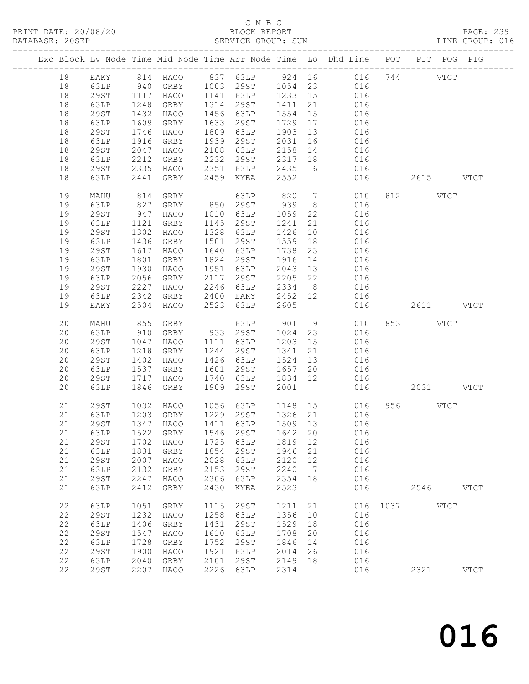### C M B C

| DATABASE: 20SEP |    |              |                                            |           |      | SERVICE GROUP: SUN                               |         |                | LINE GROUP: 016                                                                |               |           |      |  |
|-----------------|----|--------------|--------------------------------------------|-----------|------|--------------------------------------------------|---------|----------------|--------------------------------------------------------------------------------|---------------|-----------|------|--|
|                 |    |              |                                            |           |      |                                                  |         |                | Exc Block Lv Node Time Mid Node Time Arr Node Time Lo Dhd Line POT PIT POG PIG |               |           |      |  |
|                 | 18 |              |                                            |           |      |                                                  |         |                | EAKY 814 HACO 837 63LP 924 16 016 744 VTCT                                     |               |           |      |  |
|                 | 18 | 63LP         | 940                                        |           |      |                                                  |         |                | GRBY 1003 29ST 1054 23 016                                                     |               |           |      |  |
|                 | 18 | 29ST         | 1117                                       |           |      |                                                  |         |                | 016                                                                            |               |           |      |  |
|                 | 18 | 63LP         | 1248                                       |           |      | HACO 1141 63LP 1233 15<br>GRBY 1314 29ST 1411 21 |         |                | 016                                                                            |               |           |      |  |
|                 | 18 | 29ST         | 1432                                       | HACO      |      | 1456 63LP 1554                                   |         | 15             | 016                                                                            |               |           |      |  |
|                 | 18 | 63LP         | 1609                                       | GRBY      |      | 1633 29ST                                        | 1729 17 |                | 016                                                                            |               |           |      |  |
|                 | 18 | 29ST         | 1746                                       | HACO      |      | 1809 63LP                                        | 1903 13 |                | 016                                                                            |               |           |      |  |
|                 | 18 | 63LP         | 1916                                       | GRBY      |      | 1939 29ST                                        | 2031 16 |                | 016                                                                            |               |           |      |  |
|                 | 18 | 29ST         | 2047                                       | HACO      |      | $2108$ $63LP$ $2158$ $14$                        |         |                | 016                                                                            |               |           |      |  |
|                 | 18 | 63LP         | 2212                                       | GRBY      |      | 2232 29ST 2317 18                                |         |                | 016                                                                            |               |           |      |  |
|                 | 18 | 29ST         | 2335                                       | HACO      |      | 2351 63LP 2435                                   |         |                | 6 016                                                                          |               |           |      |  |
|                 | 18 | 63LP         | 2441                                       | GRBY      |      | 2459 KYEA                                        | 2552    |                | 016                                                                            |               | 2615 VTCT |      |  |
|                 | 19 | MAHU         | 814                                        | GRBY      |      | 63LP                                             | 820     |                | $7\overline{ }$<br>010                                                         |               | 812 VTCT  |      |  |
|                 | 19 | 63LP         | 827                                        | GRBY      |      | 850 29ST 939                                     |         | 8 <sup>8</sup> | 016                                                                            |               |           |      |  |
|                 | 19 | 29ST         |                                            | HACO      |      | 1010 63LP 1059                                   |         | 22             | 016                                                                            |               |           |      |  |
|                 | 19 |              | $\begin{array}{c} 947 \\ 1121 \end{array}$ | GRBY      |      | 1145 29ST                                        | 1241    | 21             |                                                                                |               |           |      |  |
|                 | 19 | 63LP<br>29ST | 1121<br>1302                               | HACO      |      | 1328 63LP                                        | 1426    |                | 016<br>016                                                                     |               |           |      |  |
|                 |    |              |                                            |           |      |                                                  |         | 10             |                                                                                |               |           |      |  |
|                 | 19 | 63LP         | 1436                                       | GRBY      |      | 1501 29ST                                        | 1559    | 18             | 016                                                                            |               |           |      |  |
|                 | 19 | 29ST         | 1617                                       | HACO      |      | 1640 63LP<br>1824 29ST 1916                      | 1738    | 23             | 016                                                                            |               |           |      |  |
|                 | 19 | 63LP         | 1801                                       | GRBY      |      |                                                  |         | 14             | 016<br>016                                                                     |               |           |      |  |
|                 | 19 | 29ST         | 1930                                       | HACO      |      | 1951 63LP                                        | 2043    | 13             |                                                                                |               |           |      |  |
|                 | 19 | 63LP         | 2056                                       | GRBY      |      | 2117 29ST                                        | 2205 22 |                | 016                                                                            |               |           |      |  |
|                 | 19 | 29ST         | 2227                                       | HACO      |      | 2246 63LP                                        | 2334 8  |                | 016                                                                            |               |           |      |  |
|                 | 19 | 63LP         | 2342                                       | GRBY      |      | 2400 EAKY 2452 12                                |         |                | 016                                                                            |               |           |      |  |
|                 | 19 | EAKY         | 2504                                       | HACO      |      | 2523 63LP                                        | 2605    |                | 016                                                                            |               | 2611 VTCT |      |  |
|                 | 20 | MAHU         | 855                                        | GRBY      |      | 63LP 901<br>933 29ST 1024                        |         | 9              | 010                                                                            |               | 853 VTCT  |      |  |
|                 | 20 | 63LP         | 910                                        | GRBY      |      |                                                  |         | 23             | 016<br>016                                                                     |               |           |      |  |
|                 | 20 | 29ST         | 1047                                       | HACO      |      | 1111 63LP                                        | 1203 15 |                |                                                                                |               |           |      |  |
|                 | 20 | 63LP         | 1218                                       | GRBY      |      | 1244 29ST                                        | 1341    | 21             | 016                                                                            |               |           |      |  |
|                 | 20 | 29ST         | 1402                                       | HACO      |      | 1426 63LP                                        | 1524 13 |                | 016                                                                            |               |           |      |  |
|                 | 20 | 63LP         | 1537                                       | GRBY      |      | 1601 29ST 1657 20                                |         |                | 016                                                                            |               |           |      |  |
|                 | 20 | 29ST         | 1717                                       | HACO      |      | 1740 63LP 1834 12                                |         |                | 016                                                                            |               |           |      |  |
|                 | 20 | 63LP         | 1846                                       | GRBY      |      | 1909 29ST                                        | 2001    |                |                                                                                | 016           | 2031 VTCT |      |  |
|                 | 21 | 29ST         | 1032                                       | HACO      |      |                                                  |         |                | 1056 63LP 1148 15 016<br>1229 2005 1226 21 016                                 |               | 956 VTCT  |      |  |
|                 | 21 | 63LP         |                                            | 1203 GRBY |      | $1229$ $29ST$ $1326$ $21$                        |         |                | 016                                                                            |               |           |      |  |
|                 | 21 |              |                                            |           |      |                                                  |         |                | 29ST 1347 HACO 1411 63LP 1509 13 016                                           |               |           |      |  |
|                 | 21 | 63LP         | 1522                                       | GRBY      | 1546 | 29ST                                             | 1642    | 20             | 016                                                                            |               |           |      |  |
|                 | 21 | 29ST         | 1702                                       | HACO      | 1725 | 63LP                                             | 1819 12 |                | 016                                                                            |               |           |      |  |
|                 | 21 | 63LP         | 1831                                       | GRBY      | 1854 | 29ST                                             | 1946    | 21             | 016                                                                            |               |           |      |  |
|                 | 21 | <b>29ST</b>  | 2007                                       | HACO      | 2028 | 63LP                                             | 2120    | 12             | 016                                                                            |               |           |      |  |
|                 | 21 | 63LP         | 2132                                       | GRBY      | 2153 | 29ST                                             | 2240    | $\overline{7}$ | 016                                                                            |               |           |      |  |
|                 | 21 | 29ST         | 2247                                       | HACO      | 2306 | 63LP                                             | 2354 18 |                | 016                                                                            |               |           |      |  |
|                 | 21 | 63LP         | 2412                                       | GRBY      | 2430 | KYEA                                             | 2523    |                | 016                                                                            |               | 2546 VTCT |      |  |
|                 | 22 | 63LP         | 1051                                       | GRBY      | 1115 | 29ST                                             | 1211 21 |                |                                                                                | 016 1037 VTCT |           |      |  |
|                 | 22 | <b>29ST</b>  | 1232                                       | HACO      | 1258 | 63LP                                             | 1356    | 10             | 016                                                                            |               |           |      |  |
|                 | 22 | 63LP         | 1406                                       | GRBY      | 1431 | 29ST                                             | 1529    | 18             | 016                                                                            |               |           |      |  |
|                 | 22 | 29ST         | 1547                                       | HACO      | 1610 | 63LP                                             | 1708    | 20             | 016                                                                            |               |           |      |  |
|                 | 22 | 63LP         | 1728                                       | GRBY      | 1752 | 29ST                                             | 1846    | 14             | 016                                                                            |               |           |      |  |
|                 | 22 | <b>29ST</b>  | 1900                                       | HACO      | 1921 | 63LP                                             | 2014    | 26             | 016                                                                            |               |           |      |  |
|                 | 22 | 63LP         | 2040                                       | GRBY      | 2101 | 29ST                                             | 2149 18 |                | 016                                                                            |               |           |      |  |
|                 | 22 | 29ST         |                                            | 2207 HACO | 2226 | 63LP                                             | 2314    |                | 016                                                                            |               | 2321      | VTCT |  |
|                 |    |              |                                            |           |      |                                                  |         |                |                                                                                |               |           |      |  |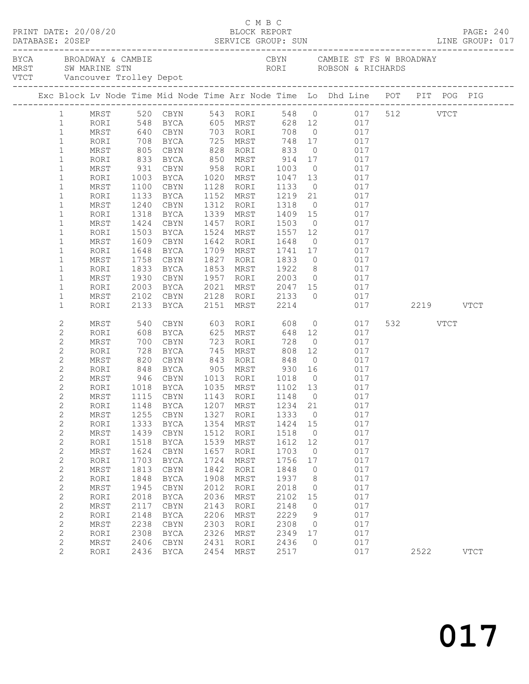| PRINT DATE: 20/08/20<br>DATABASE: 20SEP |                     |              |              |                                                                                                                          |      | C M B C<br>BLOCK REPORT |                     |                      |                                           |            |          | PAGE: 240   |
|-----------------------------------------|---------------------|--------------|--------------|--------------------------------------------------------------------------------------------------------------------------|------|-------------------------|---------------------|----------------------|-------------------------------------------|------------|----------|-------------|
|                                         |                     |              |              |                                                                                                                          |      |                         |                     |                      |                                           |            |          |             |
|                                         |                     |              |              | Exc Block Lv Node Time Mid Node Time Arr Node Time Lo Dhd Line POT PIT POG PIG                                           |      |                         |                     |                      |                                           |            |          |             |
|                                         |                     |              |              | 1 MRST 520 CBYN 543 RORI 548 0 017 512 VTCT<br>1 RORI 548 BYCA 605 MRST 628 12 017<br>1 MRST 640 CBYN 703 RORI 708 0 017 |      |                         |                     |                      |                                           |            |          |             |
|                                         |                     |              |              |                                                                                                                          |      |                         |                     |                      |                                           |            |          |             |
|                                         |                     |              |              |                                                                                                                          |      |                         |                     |                      |                                           |            |          |             |
|                                         | $\mathbf{1}$        | RORI         |              | 708 BYCA 725 MRST                                                                                                        |      |                         |                     |                      | 748 17 017                                |            |          |             |
|                                         | $\mathbf{1}$        | MRST         | 805          | CBYN                                                                                                                     |      | 828 RORI 833            |                     | $\overline{0}$       | 017                                       |            |          |             |
|                                         | $\mathbf{1}$        | RORI         | 833<br>931   | BYCA 850 MRST 914 17 017<br>CBYN 958 RORI 1003 0 017                                                                     |      |                         |                     |                      |                                           |            |          |             |
|                                         | $\mathbf{1}$        | MRST         |              |                                                                                                                          |      |                         |                     |                      |                                           |            |          |             |
|                                         | $\mathbf{1}$        | RORI         | 1003         | BYCA                                                                                                                     |      | 1020 MRST 1047 13 017   |                     |                      |                                           |            |          |             |
|                                         | $\mathbf{1}$        | MRST         | 1100         | CBYN                                                                                                                     |      | 1128 RORI               | 1133                | $\overline{0}$       | 017                                       |            |          |             |
|                                         | $\mathbf 1$         | RORI         | 1133         | BYCA                                                                                                                     |      | 1152 MRST               |                     |                      | 1219  21  017<br>1318  0  017             |            |          |             |
|                                         | $\mathbf{1}$        | MRST         | 1240         | CBYN                                                                                                                     |      | 1312 RORI               |                     |                      |                                           |            |          |             |
|                                         | $\mathbf{1}$        | RORI         | 1318         | BYCA                                                                                                                     |      | 1339 MRST               | 1409 15             |                      | 017                                       |            |          |             |
|                                         | $\mathbf{1}$        | MRST         | 1424         | CBYN                                                                                                                     |      | 1457 RORI               | 1503                |                      | 0 0 17                                    |            |          |             |
|                                         | $\mathbf 1$         | RORI         | 1503         | BYCA                                                                                                                     |      | 1524 MRST               |                     |                      |                                           |            |          |             |
|                                         | $\mathbf{1}$        | MRST         | 1609         | CBYN                                                                                                                     |      | 1642 RORI               |                     |                      |                                           |            |          |             |
|                                         | $\mathbf 1$         | RORI         | 1648         | BYCA                                                                                                                     |      | 1709 MRST               |                     |                      | 1741 17 017                               |            |          |             |
|                                         | $\mathbf{1}$        | MRST         | 1758         | CBYN                                                                                                                     |      | 1827 RORI               | 1833                |                      | 0 0 0 1 7                                 |            |          |             |
|                                         | $\mathbf{1}$        | RORI         | 1833         | BYCA                                                                                                                     |      | 1853 MRST               | 1922<br>2003        |                      | 8 017<br>0 017                            |            |          |             |
|                                         | 1                   | MRST         | 1930         | CBYN                                                                                                                     |      | 1957 RORI               |                     |                      |                                           |            |          |             |
|                                         | $\mathbf{1}$        | RORI         | 2003         | BYCA                                                                                                                     | 2021 | MRST 2047 15 017        |                     |                      |                                           |            |          |             |
|                                         | 1                   | MRST         | 2102         | CBYN                                                                                                                     |      | 2128 RORI 2133          |                     |                      | 0 0 0 1 7                                 |            |          |             |
|                                         | $\mathbf{1}$        | RORI         |              | 2133 BYCA                                                                                                                |      | 2151 MRST 2214          |                     |                      | 017  2219  VTCT                           |            |          |             |
|                                         | 2                   | MRST         | 540          | CBYN                                                                                                                     |      | 603 RORI                | 608                 |                      | $0$ 017                                   |            | 532 VTCT |             |
|                                         | $\mathbf{2}$        | RORI         | 608          | BYCA                                                                                                                     |      | 625 MRST                |                     |                      | 648 12 017                                |            |          |             |
|                                         | 2                   | MRST         | 700          | CBYN                                                                                                                     | 723  | RORI                    | 728                 | $\overline{0}$       | 017                                       |            |          |             |
|                                         | $\sqrt{2}$          | RORI         | 728<br>820   | BYCA                                                                                                                     | 745  | MRST                    | 808<br>848          | 12                   |                                           | 017        |          |             |
|                                         | 2                   | MRST         |              | CBYN                                                                                                                     | 843  | RORI                    |                     |                      | $\overline{0}$                            | 017        |          |             |
|                                         | 2                   | RORI         | 848          | BYCA                                                                                                                     |      | 905 MRST 930 16         |                     |                      | 017                                       |            |          |             |
|                                         | 2                   | MRST         | 946          | CBYN                                                                                                                     |      | 1013 RORI 1018          |                     |                      | $0 \qquad \qquad 017$                     |            |          |             |
|                                         | $\mathbf{2}$        | RORI         |              | 1018 BYCA<br>1115 CBYN<br>BYCA                                                                                           |      | 1035 MRST               | 1102  13<br>1148  0 |                      | $\begin{array}{c} 017 \\ 017 \end{array}$ |            |          |             |
|                                         | $\overline{c}$      | MRST         |              |                                                                                                                          |      | $1143$ RORI             |                     |                      |                                           |            |          |             |
|                                         | $\mathbf{2}$        |              |              | RORI 1148 BYCA 1207 MRST 1234 21 017                                                                                     |      | 1327 RORI               |                     |                      |                                           |            |          |             |
|                                         | 2<br>$\overline{c}$ | MRST         | 1255<br>1333 | CBYN<br>BYCA                                                                                                             | 1354 | MRST                    | 1333<br>1424        | $\overline{0}$       |                                           | 017<br>017 |          |             |
|                                         | $\mathbf{2}$        | RORI         | 1439         |                                                                                                                          | 1512 | RORI                    | 1518                | 15                   |                                           | 017        |          |             |
|                                         | $\mathbf{2}$        | MRST<br>RORI | 1518         | CBYN<br>BYCA                                                                                                             | 1539 | MRST                    | 1612                | $\overline{0}$<br>12 |                                           | 017        |          |             |
|                                         | $\mathbf{2}$        | MRST         | 1624         | CBYN                                                                                                                     | 1657 | RORI                    | 1703                | 0                    |                                           | 017        |          |             |
|                                         | $\mathbf{2}$        | RORI         | 1703         | BYCA                                                                                                                     | 1724 | MRST                    | 1756                | 17                   |                                           | 017        |          |             |
|                                         | $\mathbf{2}$        | MRST         | 1813         | CBYN                                                                                                                     | 1842 | RORI                    | 1848                | $\circ$              |                                           | 017        |          |             |
|                                         | $\mathbf{2}$        | RORI         | 1848         | BYCA                                                                                                                     | 1908 | MRST                    | 1937                | 8                    |                                           | 017        |          |             |
|                                         | $\mathbf{2}$        | MRST         | 1945         | CBYN                                                                                                                     | 2012 | RORI                    | 2018                | 0                    |                                           | 017        |          |             |
|                                         | $\mathbf{2}$        | RORI         | 2018         | <b>BYCA</b>                                                                                                              | 2036 | MRST                    | 2102                | 15                   |                                           | 017        |          |             |
|                                         | $\mathbf{2}$        | MRST         | 2117         | CBYN                                                                                                                     | 2143 | RORI                    | 2148                | $\circ$              |                                           | 017        |          |             |
|                                         | 2                   | RORI         | 2148         | <b>BYCA</b>                                                                                                              | 2206 | MRST                    | 2229                | 9                    |                                           | 017        |          |             |
|                                         | $\mathbf{2}$        | MRST         | 2238         | CBYN                                                                                                                     | 2303 | RORI                    | 2308                | 0                    |                                           | 017        |          |             |
|                                         | 2                   | RORI         | 2308         | BYCA                                                                                                                     | 2326 | MRST                    | 2349                | 17                   |                                           | 017        |          |             |
|                                         | $\mathbf{2}$        | MRST         | 2406         | CBYN                                                                                                                     | 2431 | RORI                    | 2436                | $\circ$              |                                           | 017        |          |             |
|                                         | $\overline{2}$      | RORI         |              | 2436 BYCA                                                                                                                | 2454 | MRST                    | 2517                |                      |                                           | 017        | 2522     | <b>VTCT</b> |
|                                         |                     |              |              |                                                                                                                          |      |                         |                     |                      |                                           |            |          |             |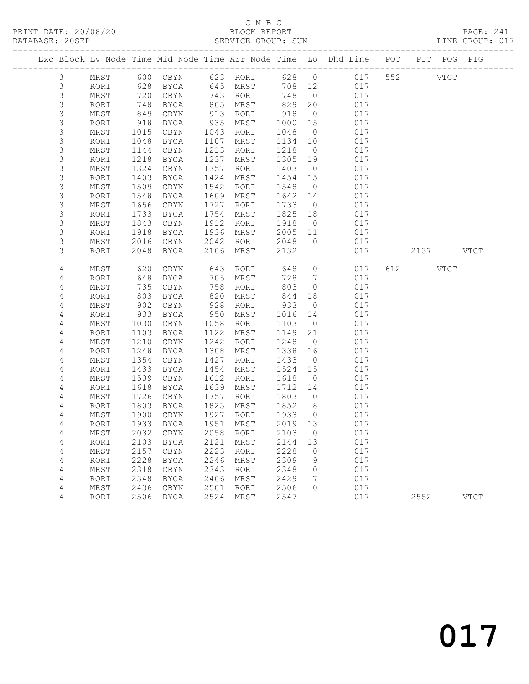#### C M B C<br>BLOCK REPORT SERVICE GROUP: SUN

PRINT DATE: 20/08/20 BLOCK REPORT PAGE: 241

|                                                        |              |              |                            |              |                   |              |                                  | Exc Block Lv Node Time Mid Node Time Arr Node Time Lo Dhd Line POT PIT POG PIG |     |          |             |
|--------------------------------------------------------|--------------|--------------|----------------------------|--------------|-------------------|--------------|----------------------------------|--------------------------------------------------------------------------------|-----|----------|-------------|
| 3                                                      | MRST         |              | 600 CBYN 623 RORI          |              |                   | 628          | $\overline{0}$                   | 017                                                                            | 552 |          | <b>VTCT</b> |
| $\mathsf 3$                                            | RORI         |              | 628 BYCA                   |              | 645 MRST          | 708 12       |                                  | 017                                                                            |     |          |             |
| $\mathsf S$                                            | MRST         | 720          | CBYN                       |              | 743 RORI          | 748          | $\overline{0}$                   | 017                                                                            |     |          |             |
| $\mathsf S$                                            | RORI         | 748          | BYCA                       | 805          | MRST              | 829          | 20                               | 017                                                                            |     |          |             |
| $\mathsf S$                                            | MRST         | 849          | CBYN                       | 913          | RORI              | 918          | $\overline{0}$                   | 017                                                                            |     |          |             |
| 3                                                      | RORI         | 918          | BYCA                       | 935          | MRST              | 1000         | 15                               | 017                                                                            |     |          |             |
| $\mathsf S$                                            | MRST         | 1015         | CBYN                       | 1043         | RORI              | 1048         | $\overline{0}$                   | 017                                                                            |     |          |             |
| $\mathsf S$                                            | RORI         | 1048         | BYCA                       | 1107         | MRST              | 1134         | 10                               | 017                                                                            |     |          |             |
| $\mathsf 3$                                            | MRST         | 1144         | CBYN                       | 1213         | RORI              | 1218         | $\overline{0}$                   | 017                                                                            |     |          |             |
| 3                                                      | RORI         | 1218         | BYCA                       | 1237         | MRST              | 1305         | 19                               | 017                                                                            |     |          |             |
| $\ensuremath{\mathsf{3}}$<br>$\ensuremath{\mathsf{3}}$ | MRST         | 1324         | CBYN                       | 1357<br>1424 | RORI              | 1403         | $\overline{0}$<br>15             | 017<br>017                                                                     |     |          |             |
| $\mathsf 3$                                            | RORI<br>MRST | 1403<br>1509 | BYCA<br>CBYN               | 1542         | MRST<br>RORI      | 1454<br>1548 | $\overline{0}$                   | 017                                                                            |     |          |             |
| $\mathsf 3$                                            | RORI         | 1548         | BYCA                       | 1609         | MRST              | 1642         | 14                               | 017                                                                            |     |          |             |
| $\mathsf 3$                                            | MRST         | 1656         | CBYN                       | 1727         | RORI              | 1733         | $\overline{0}$                   | 017                                                                            |     |          |             |
| 3                                                      | RORI         | 1733         | BYCA                       | 1754         | MRST              | 1825         | 18                               | 017                                                                            |     |          |             |
| $\mathsf S$                                            | MRST         | 1843         | CBYN                       | 1912         | RORI              | 1918         | $\overline{0}$                   | 017                                                                            |     |          |             |
| 3                                                      | RORI         | 1918         | BYCA                       |              | 1936 MRST         | 2005         | 11                               | 017                                                                            |     |          |             |
| 3                                                      | MRST         | 2016         | CBYN                       | 2042         | RORI              | 2048         | $\overline{0}$                   | 017                                                                            |     |          |             |
| 3                                                      | RORI         | 2048         | BYCA                       | 2106         | MRST              | 2132         |                                  | 017                                                                            |     |          | 2137 VTCT   |
|                                                        |              |              |                            |              |                   |              |                                  |                                                                                |     |          |             |
| $\overline{4}$                                         | MRST         | 620          | CBYN                       | 643          | RORI              | 648          | $\overline{0}$                   | 017                                                                            |     | 612 VTCT |             |
| 4                                                      | RORI         | 648          | BYCA                       | 705          | MRST              | 728          | $\overline{7}$                   | 017                                                                            |     |          |             |
| 4                                                      | MRST         | 735          | CBYN                       | 758          | RORI              | 803          | $\overline{0}$                   | 017                                                                            |     |          |             |
| 4                                                      | RORI         | 803          | BYCA                       | 820          | MRST              | 844          | 18                               | 017                                                                            |     |          |             |
| 4                                                      | MRST         | 902          | CBYN                       | 928          | RORI              | 933          | $\overline{0}$                   | 017                                                                            |     |          |             |
| $\sqrt{4}$                                             | RORI         | 933          | BYCA                       | 950          | MRST              | 1016         | 14                               | 017                                                                            |     |          |             |
| 4                                                      | MRST         | 1030         | CBYN                       | 1058         | RORI              | 1103         | $\overline{0}$                   | 017                                                                            |     |          |             |
| 4                                                      | RORI         | 1103         | BYCA                       | 1122         | MRST              | 1149         | 21                               | 017                                                                            |     |          |             |
| 4                                                      | MRST         | 1210         | CBYN                       | 1242         | RORI              | 1248         | $\overline{0}$                   | 017                                                                            |     |          |             |
| $\overline{4}$                                         | RORI         | 1248         | BYCA                       | 1308         | MRST              | 1338         | 16                               | 017                                                                            |     |          |             |
| $\overline{4}$                                         | MRST         | 1354         | CBYN                       | 1427         | RORI              | 1433         | $\overline{0}$                   | 017                                                                            |     |          |             |
| 4                                                      | RORI         | 1433         | BYCA                       | 1454         | MRST              | 1524         | 15                               | 017                                                                            |     |          |             |
| 4                                                      | MRST         | 1539         | CBYN                       | 1612         | RORI              | 1618         | $\overline{0}$                   | 017                                                                            |     |          |             |
| 4                                                      | RORI         | 1618         | BYCA                       | 1639         | MRST              | 1712         | 14                               | 017                                                                            |     |          |             |
| $\sqrt{4}$                                             | MRST         | 1726         | CBYN                       | 1757         | RORI              | 1803         | $\overline{0}$                   | 017                                                                            |     |          |             |
| 4<br>$\sqrt{4}$                                        | RORI         | 1803         | BYCA                       | 1823<br>1927 | MRST              | 1852<br>1933 | 8 <sup>8</sup><br>$\overline{0}$ | 017<br>017                                                                     |     |          |             |
| 4                                                      | MRST<br>RORI | 1900<br>1933 | CBYN<br>BYCA               |              | RORI<br>1951 MRST | 2019 13      |                                  | 017                                                                            |     |          |             |
| 4                                                      |              |              | 2032 CBYN 2058 RORI 2103 0 |              |                   |              |                                  |                                                                                |     |          |             |
|                                                        | MRST<br>RORI | 2103         | <b>BYCA</b>                | 2121         | MRST              | 2144         | 13                               | 017<br>017                                                                     |     |          |             |
| 4<br>4                                                 | MRST         | 2157         | CBYN                       | 2223         | RORI              | 2228         | 0                                | 017                                                                            |     |          |             |
| 4                                                      | RORI         | 2228         | BYCA                       | 2246         | MRST              | 2309         | 9                                | 017                                                                            |     |          |             |
| 4                                                      | MRST         | 2318         | CBYN                       | 2343         | RORI              | 2348         | 0                                | 017                                                                            |     |          |             |
| 4                                                      | RORI         | 2348         | <b>BYCA</b>                | 2406         | MRST              | 2429         | 7                                | 017                                                                            |     |          |             |
| 4                                                      | MRST         | 2436         | CBYN                       | 2501         | RORI              | 2506         | 0                                | 017                                                                            |     |          |             |
| 4                                                      | RORI         | 2506         | BYCA                       | 2524         | MRST              | 2547         |                                  | 017                                                                            |     | 2552     | <b>VTCT</b> |
|                                                        |              |              |                            |              |                   |              |                                  |                                                                                |     |          |             |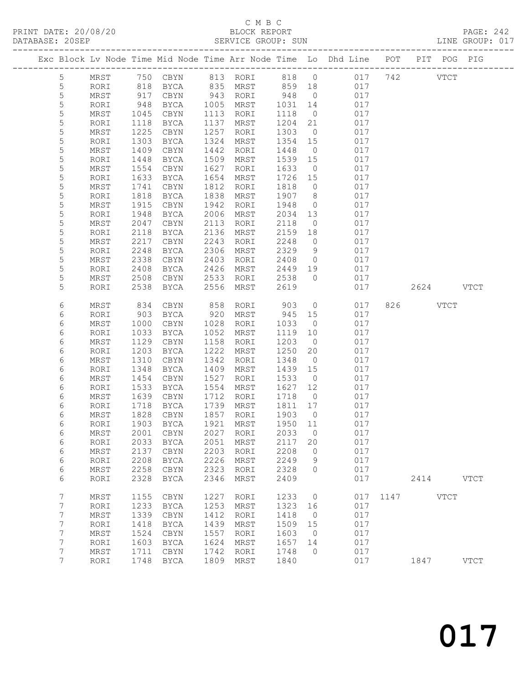### C M B C

| DATABASE: 20SEP |                     |              |               |                |              | SERVICE GROUP: SUN   |                 |                      | LINE GROUP: 017                                                                |               |             |  |
|-----------------|---------------------|--------------|---------------|----------------|--------------|----------------------|-----------------|----------------------|--------------------------------------------------------------------------------|---------------|-------------|--|
|                 |                     |              |               |                |              |                      |                 |                      | Exc Block Lv Node Time Mid Node Time Arr Node Time Lo Dhd Line POT PIT POG PIG |               |             |  |
|                 | 5                   |              |               |                |              |                      |                 |                      | MRST 750 CBYN 813 RORI 818 0 017 742 VTCT                                      |               |             |  |
|                 | 5                   | RORI         | 818           |                |              | BYCA 835 MRST 859 18 |                 |                      | 017                                                                            |               |             |  |
|                 | 5                   | MRST         | 917           | CBYN           |              | 943 RORI             | 948             | $\overline{0}$       | 017                                                                            |               |             |  |
|                 | $\mathsf S$         | RORI         | 948           | BYCA 1005 MRST |              |                      | 1031            | 14                   | 017                                                                            |               |             |  |
|                 | 5                   | MRST         | 1045          | CBYN           |              | 1113 RORI            | 1118            | $\overline{0}$       | 017                                                                            |               |             |  |
|                 | 5                   | RORI         | 1118          | BYCA           |              | 1137 MRST            | 1204            | 21                   | 017                                                                            |               |             |  |
|                 | 5                   | MRST         | 1225          | CBYN           | 1257         | RORI                 | 1303            | $\overline{0}$       | 017                                                                            |               |             |  |
|                 | 5                   | RORI         | 1303          | BYCA           | 1324         | MRST                 | 1354 15         |                      | 017                                                                            |               |             |  |
|                 | 5<br>5              | MRST         | 1409          | CBYN<br>BYCA   | 1442<br>1509 | RORI                 | 1448<br>1539 15 | $\overline{0}$       | 017<br>017                                                                     |               |             |  |
|                 | 5                   | RORI<br>MRST | 1448<br>1554  | CBYN           | 1627         | MRST<br>RORI         | 1633            | $\overline{0}$       | 017                                                                            |               |             |  |
|                 | 5                   | RORI         | 1633          | BYCA           | 1654         | MRST                 | 1726 15         |                      | 017                                                                            |               |             |  |
|                 | 5                   | MRST         | 1741          | CBYN           | 1812         | RORI                 | 1818            | $\overline{0}$       | 017                                                                            |               |             |  |
|                 | 5                   | RORI         | 1818          | BYCA           | 1838         | MRST                 | 1907            | 8 <sup>8</sup>       | 017                                                                            |               |             |  |
|                 | 5                   | MRST         | 1915          | CBYN           | 1942         | RORI                 | 1948            | $\overline{0}$       | 017                                                                            |               |             |  |
|                 | 5                   | RORI         | 1948          | BYCA           | 2006         | MRST                 | 2034            | 13                   | 017                                                                            |               |             |  |
|                 | 5                   | MRST         | 2047          | CBYN           | 2113         | RORI                 | 2118            | $\overline{0}$       | 017                                                                            |               |             |  |
|                 | 5                   | RORI         | 2118          | BYCA           | 2136         | MRST                 | 2159            | 18                   | 017                                                                            |               |             |  |
|                 | 5                   | MRST         | 2217          | CBYN           | 2243         | RORI                 | 2248            | $\overline{0}$       | 017                                                                            |               |             |  |
|                 | 5                   | RORI         | 2248          | BYCA           | 2306         | MRST                 | 2329            | 9                    | 017                                                                            |               |             |  |
|                 | 5                   | MRST         | 2338          | CBYN           | 2403         | RORI                 | 2408            | $\overline{0}$       | 017                                                                            |               |             |  |
|                 | 5                   | RORI         | 2408          | BYCA           | 2426         | MRST                 | 2449            | 19                   | 017                                                                            |               |             |  |
|                 | 5                   | MRST         | 2508          | CBYN           | 2533         | RORI                 | 2538            | $\overline{0}$       | 017                                                                            |               |             |  |
|                 | 5                   | RORI         | 2538          | BYCA           | 2556         | MRST                 | 2619            |                      | 017                                                                            | 2624 VTCT     |             |  |
|                 | 6                   | MRST         | 834           | CBYN           | 858          | RORI                 | 903             | $\overline{0}$       | 017                                                                            | 826 VTCT      |             |  |
|                 | 6                   | RORI         | 903           | BYCA           | 920          | MRST                 | 945 15          |                      | 017                                                                            |               |             |  |
|                 | 6                   | MRST         | 1000          | CBYN           | 1028         | RORI                 | 1033            | $\overline{0}$       | 017                                                                            |               |             |  |
|                 | 6                   | RORI         | 1033          | BYCA           |              | 1052 MRST            | 1119            | 10                   | 017                                                                            |               |             |  |
|                 | 6                   | MRST         | 1129          | CBYN           | 1158         | RORI                 | 1203            | $\overline{0}$       | 017                                                                            |               |             |  |
|                 | 6                   | RORI         | 1203          | BYCA           | 1222         | MRST                 | 1250            | 20                   | 017                                                                            |               |             |  |
|                 | 6                   | MRST         | 1310          | CBYN           | 1342         | RORI                 | 1348            | $\overline{0}$       | 017                                                                            |               |             |  |
|                 | 6                   | RORI         | 1348          | BYCA           | 1409         | MRST                 | 1439            | 15                   | 017                                                                            |               |             |  |
|                 | 6                   | MRST         | 1454          | CBYN           | 1527         | RORI                 | 1533            | $\overline{0}$       | 017                                                                            |               |             |  |
|                 | 6                   | RORI         | 1533          | BYCA           | 1554         | MRST                 | 1627            | 12                   | 017                                                                            |               |             |  |
|                 | 6                   | MRST         | 1639          | CBYN           | 1712         | RORI                 | 1718            | $\overline{0}$       | 017                                                                            |               |             |  |
|                 | 6                   | RORI         |               | BYCA           |              | 1739 MRST            | 1811 17         |                      | 017                                                                            |               |             |  |
|                 | 6                   | MRST         | $1/1$<br>1828 | CBYN           |              | 1857 RORI            | 1903            | $\overline{0}$       | 017                                                                            |               |             |  |
|                 | 6                   |              |               |                |              | RORI                 |                 |                      | RORI 1903 BYCA 1921 MRST 1950 11 017                                           |               |             |  |
|                 | 6<br>6              | MRST<br>RORI | 2001<br>2033  | CBYN<br>BYCA   | 2027<br>2051 | MRST                 | 2033<br>2117    | $\overline{0}$<br>20 | 017<br>017                                                                     |               |             |  |
|                 | 6                   | MRST         | 2137          | CBYN           | 2203         | RORI                 | 2208            | $\overline{0}$       | 017                                                                            |               |             |  |
|                 | 6                   | RORI         | 2208          | BYCA           | 2226         | MRST                 | 2249            | 9                    | 017                                                                            |               |             |  |
|                 | 6                   | MRST         | 2258          | CBYN           | 2323         | RORI                 | 2328            | $\overline{0}$       | 017                                                                            |               |             |  |
|                 | 6                   | RORI         | 2328          | <b>BYCA</b>    | 2346         | MRST                 | 2409            |                      | 017                                                                            | 2414 VTCT     |             |  |
|                 |                     |              |               |                |              |                      |                 |                      |                                                                                |               |             |  |
|                 | 7                   | $\tt MRST$   | 1155          | $\tt CBYN$     | 1227         | RORI                 | 1233            | $\overline{0}$       |                                                                                | 017 1147 VTCT |             |  |
|                 | 7                   | RORI         | 1233<br>1339  | BYCA           | 1253<br>1412 | MRST                 | 1323<br>1418    | 16                   | 017<br>017                                                                     |               |             |  |
|                 | 7<br>$\overline{7}$ | MRST<br>RORI | 1418          | CBYN<br>BYCA   | 1439         | RORI<br>MRST         | 1509            | $\overline{0}$<br>15 | 017                                                                            |               |             |  |
|                 | 7                   | $\tt MRST$   | 1524          | CBYN           | 1557         | RORI                 | 1603            | $\overline{0}$       | 017                                                                            |               |             |  |
|                 | $7\phantom{.}$      | RORI         | 1603          | BYCA           | 1624         | MRST                 | 1657            | 14                   | 017                                                                            |               |             |  |
|                 | 7                   | MRST         | 1711          | CBYN           |              | 1742 RORI            | 1748            | $\overline{0}$       | 017                                                                            |               |             |  |
|                 | $7\overline{ }$     | RORI         |               | 1748 BYCA      |              | 1809 MRST            | 1840            |                      | 017                                                                            | 1847          | <b>VTCT</b> |  |
|                 |                     |              |               |                |              |                      |                 |                      |                                                                                |               |             |  |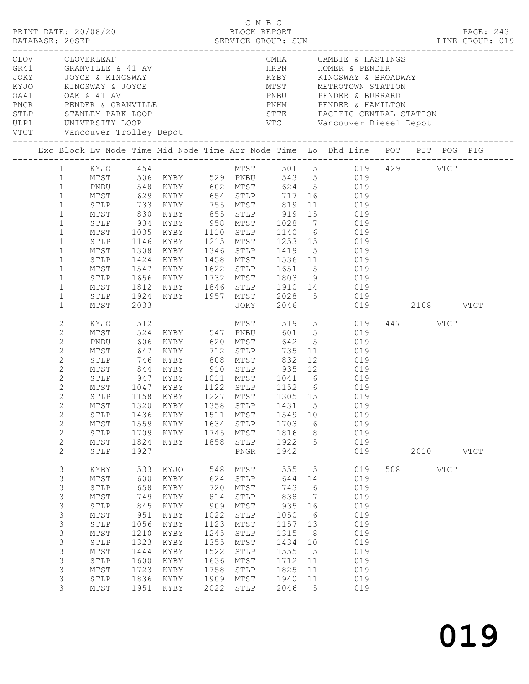|                | CLOV CLOVERLEAF                                                                                                         |                        |                                                                                               |      |                      |                |                 | CMHA CAMBIE & HASTINGS                                                                                      |     |               |  |  |
|----------------|-------------------------------------------------------------------------------------------------------------------------|------------------------|-----------------------------------------------------------------------------------------------|------|----------------------|----------------|-----------------|-------------------------------------------------------------------------------------------------------------|-----|---------------|--|--|
|                |                                                                                                                         |                        |                                                                                               |      |                      |                |                 | HRPN HOMER & PENDER                                                                                         |     |               |  |  |
|                |                                                                                                                         |                        |                                                                                               |      |                      |                |                 |                                                                                                             |     |               |  |  |
|                |                                                                                                                         |                        |                                                                                               |      |                      |                |                 |                                                                                                             |     |               |  |  |
|                | GR41 GRANVILLE & 41 AV<br>JOKY JOYCE & KINGSWAY<br>KYJO KINGSWAY & JOYCE<br>OA41 OAK & 41 AV<br>PNGR PENDER & GRANVILLE |                        |                                                                                               |      |                      |                |                 |                                                                                                             |     |               |  |  |
|                |                                                                                                                         |                        |                                                                                               |      |                      |                |                 | PNHM PENDER & HAMILTON                                                                                      |     |               |  |  |
|                |                                                                                                                         |                        |                                                                                               |      |                      |                |                 |                                                                                                             |     |               |  |  |
|                |                                                                                                                         |                        |                                                                                               |      |                      |                |                 |                                                                                                             |     |               |  |  |
|                |                                                                                                                         |                        |                                                                                               |      |                      |                |                 |                                                                                                             |     |               |  |  |
|                | Exc Block Lv Node Time Mid Node Time Arr Node Time Lo Dhd Line POT PIT POG PIG                                          |                        |                                                                                               |      |                      |                |                 |                                                                                                             |     |               |  |  |
|                | 1 KYJO 454                                                                                                              |                        |                                                                                               |      |                      |                |                 | MTST 501 5 019 429 VTCT                                                                                     |     |               |  |  |
| $\mathbf{1}$   |                                                                                                                         |                        | MTST 506 KYBY 529 PNBU                                                                        |      |                      |                |                 | 543 5 019                                                                                                   |     |               |  |  |
| $\mathbf{1}$   | PNBU                                                                                                                    |                        | 548 KYBY 602 MTST                                                                             |      |                      |                |                 | 624 5 019                                                                                                   |     |               |  |  |
| $\mathbf{1}$   |                                                                                                                         |                        |                                                                                               |      |                      |                |                 |                                                                                                             |     |               |  |  |
| $\mathbf{1}$   |                                                                                                                         |                        |                                                                                               |      |                      |                |                 | MTST 629 KYBY 654 STLP 717 16 019<br>STLP 733 KYBY 755 MTST 819 11 019<br>MTST 830 KYBY 855 STLP 919 15 019 |     |               |  |  |
| $\mathbf{1}$   |                                                                                                                         |                        |                                                                                               |      |                      |                |                 |                                                                                                             |     |               |  |  |
| $\mathbf{1}$   | STLP                                                                                                                    | 934                    | KYBY 958 MTST 1028                                                                            |      |                      |                |                 | 7 019                                                                                                       |     |               |  |  |
| $\mathbf{1}$   | MTST                                                                                                                    | 1035                   | KYBY                                                                                          |      | 1110 STLP            |                |                 |                                                                                                             |     |               |  |  |
| $\mathbf{1}$   | STLP                                                                                                                    |                        | 1146 KYBY                                                                                     |      |                      |                |                 | 1110 STLP 1140 6 019<br>1215 MTST 1253 15 019                                                               |     |               |  |  |
| $\mathbf{1}$   | MTST                                                                                                                    |                        | 1308 KYBY                                                                                     |      |                      | 1346 STLP 1419 |                 | $5$ 019                                                                                                     |     |               |  |  |
| $\mathbf{1}$   | STLP                                                                                                                    |                        | 1424 KYBY                                                                                     |      | 1458 MTST            |                |                 | 1536 11 019                                                                                                 |     |               |  |  |
| $\mathbf{1}$   | MTST                                                                                                                    | 1547                   |                                                                                               |      |                      |                |                 | $1651$ 5 019<br>1803 9 019                                                                                  |     |               |  |  |
| $\mathbf{1}$   | STLP                                                                                                                    |                        | 1547 KYBY      1622   STLP      1651      5<br>1656   KYBY       1732   MTST       1803     9 |      |                      |                |                 | 019                                                                                                         |     |               |  |  |
| $\mathbf{1}$   | MTST                                                                                                                    | 1812                   |                                                                                               |      |                      |                |                 | KYBY 1846 STLP 1910 14 019                                                                                  |     |               |  |  |
| $\mathbf{1}$   | STLP                                                                                                                    | 1924                   |                                                                                               |      |                      |                |                 | KYBY 1957 MTST 2028 5 019                                                                                   |     |               |  |  |
| $\mathbf{1}$   | MTST                                                                                                                    | 2033                   |                                                                                               |      | JOKY                 | 2046           |                 |                                                                                                             |     | 019 2108 VTCT |  |  |
| 2              | KYJO                                                                                                                    | 512                    |                                                                                               |      | MTST                 | 519            |                 | 5 019                                                                                                       |     | 447 VTCT      |  |  |
| $\mathbf{2}$   | MTST                                                                                                                    |                        | 524 KYBY 547 PNBU                                                                             |      |                      |                |                 | 601 5 019                                                                                                   |     |               |  |  |
| 2              | PNBU                                                                                                                    | 606                    | KYBY                                                                                          |      | 620 MTST             |                |                 | 642 5 019                                                                                                   |     |               |  |  |
| $\overline{c}$ | MTST                                                                                                                    | 647                    | KYBY                                                                                          |      |                      | 735            | 11              | 019                                                                                                         |     |               |  |  |
| $\mathbf{2}$   | STLP                                                                                                                    |                        | 746 KYBY                                                                                      |      | 712 STLP<br>808 MTST | 832            |                 | 12<br>019                                                                                                   |     |               |  |  |
| $\mathbf{2}$   | MTST                                                                                                                    |                        |                                                                                               |      |                      |                |                 | 844 KYBY 910 STLP 935 12 019                                                                                |     |               |  |  |
| $\mathbf{2}$   | STLP                                                                                                                    | 947                    | KYBY                                                                                          |      |                      |                |                 | 1011 MTST 1041 6 019                                                                                        |     |               |  |  |
| $\overline{c}$ | MTST                                                                                                                    |                        |                                                                                               |      |                      |                |                 |                                                                                                             |     |               |  |  |
| $\mathbf{2}$   | STLP                                                                                                                    | 1047 KYBY<br>1158 KYBY |                                                                                               |      |                      |                |                 | 1152 6 019<br>1305 15 019                                                                                   |     |               |  |  |
| $\mathbf{2}$   |                                                                                                                         |                        |                                                                                               |      |                      |                |                 | MTST 1320 KYBY 1358 STLP 1431 5 019                                                                         |     |               |  |  |
| $\mathbf{2}$   | STLP                                                                                                                    | 1436                   | KYBY                                                                                          |      | 1511 MTST            | 1549           | 10              | 019                                                                                                         |     |               |  |  |
| $\mathbf{2}$   | MTST                                                                                                                    | 1559                   | KYBY                                                                                          |      | 1634 STLP            | 1703           | 6               | 019                                                                                                         |     |               |  |  |
| $\sqrt{2}$     | $\texttt{STLP}$                                                                                                         | 1709                   | KYBY                                                                                          | 1745 | MTST                 | 1816           | 8               | 019                                                                                                         |     |               |  |  |
| $\mathbf{2}$   | MTST                                                                                                                    | 1824                   | KYBY                                                                                          | 1858 | STLP                 | 1922           | 5               | 019                                                                                                         |     |               |  |  |
| $\overline{2}$ | STLP                                                                                                                    | 1927                   |                                                                                               |      | PNGR                 | 1942           |                 | 019                                                                                                         |     | 2010 VTCT     |  |  |
| 3              | KYBY                                                                                                                    |                        | 533 KYJO                                                                                      | 548  | MTST                 | 555            | 5               | 019                                                                                                         | 508 | VTCT          |  |  |
| 3              | MTST                                                                                                                    | 600                    | KYBY                                                                                          | 624  | STLP                 | 644            | 14              | 019                                                                                                         |     |               |  |  |
| 3              | $\texttt{STLP}$                                                                                                         | 658                    | KYBY                                                                                          | 720  | MTST                 | 743            | 6               | 019                                                                                                         |     |               |  |  |
| 3              | MTST                                                                                                                    | 749                    | KYBY                                                                                          | 814  | STLP                 | 838            | $\overline{7}$  | 019                                                                                                         |     |               |  |  |
| 3              | $\texttt{STLP}$                                                                                                         | 845                    | KYBY                                                                                          | 909  | MTST                 | 935            | 16              | 019                                                                                                         |     |               |  |  |
| 3              | MTST                                                                                                                    | 951                    | KYBY                                                                                          | 1022 | ${\tt STLP}$         | 1050           | $6\overline{6}$ | 019                                                                                                         |     |               |  |  |
| 3              | STLP                                                                                                                    | 1056                   | KYBY                                                                                          | 1123 | MTST                 | 1157           | 13              | 019                                                                                                         |     |               |  |  |
| 3              | $\mathtt{MTST}$                                                                                                         | 1210                   | KYBY                                                                                          | 1245 | ${\tt STLP}$         | 1315           | 8 <sup>8</sup>  | 019                                                                                                         |     |               |  |  |
| $\mathsf 3$    | STLP                                                                                                                    | 1323                   | KYBY                                                                                          | 1355 | MTST                 | 1434           | 10              | 019                                                                                                         |     |               |  |  |
| 3              | MTST                                                                                                                    | 1444                   | KYBY                                                                                          | 1522 | STLP                 | 1555           | $5^{\circ}$     | 019                                                                                                         |     |               |  |  |
| 3              | STLP                                                                                                                    | 1600                   | KYBY                                                                                          | 1636 | MTST                 | 1712           | 11              | 019                                                                                                         |     |               |  |  |
| 3              | MTST                                                                                                                    | 1723                   | KYBY                                                                                          | 1758 | STLP                 | 1825           | 11              | 019                                                                                                         |     |               |  |  |
| 3              | STLP                                                                                                                    | 1836                   | KYBY                                                                                          | 1909 | MTST                 | 1940           | 11              | 019                                                                                                         |     |               |  |  |
| 3              | MTST                                                                                                                    | 1951                   | KYBY                                                                                          | 2022 | STLP                 | 2046           | 5               | 019                                                                                                         |     |               |  |  |
|                |                                                                                                                         |                        |                                                                                               |      |                      |                |                 |                                                                                                             |     |               |  |  |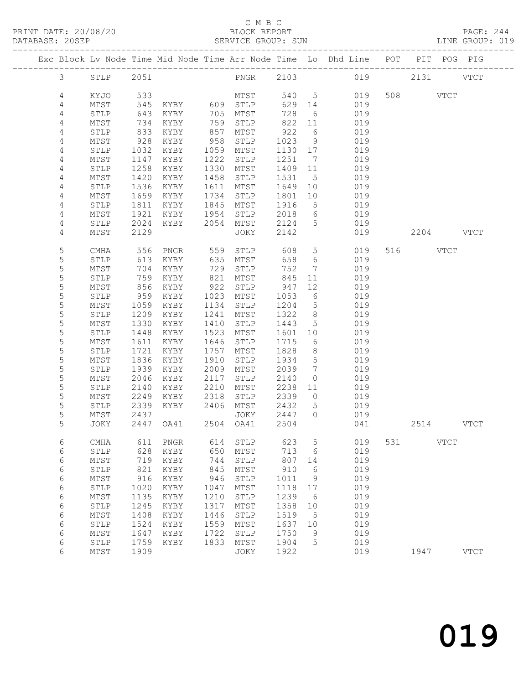### C M B C

| PRINT DATE: 20/08/20 |  |                    | BLOCK REPORT |  |  | <b>PAGE: 244</b> |  |
|----------------------|--|--------------------|--------------|--|--|------------------|--|
| DATABASE: 20SEP      |  | SERVICE GROUP: SUN |              |  |  | LINE GROUP: 019  |  |
|                      |  |                    |              |  |  |                  |  |

|             |      |      |          |      |                       |      |                              | Exc Block Lv Node Time Mid Node Time Arr Node Time Lo Dhd Line | POT   |          | PIT POG PIG |             |
|-------------|------|------|----------|------|-----------------------|------|------------------------------|----------------------------------------------------------------|-------|----------|-------------|-------------|
| 3           | STLP | 2051 |          |      | PNGR 2103             |      |                              |                                                                | 019   |          | 2131 VTCT   |             |
| 4           | KYJO | 533  |          |      | MTST                  | 540  | $5^{\circ}$                  | 019                                                            |       | 508 VTCT |             |             |
| 4           | MTST | 545  | KYBY 609 |      | STLP                  | 629  | 14                           | 019                                                            |       |          |             |             |
| 4           | STLP | 643  | KYBY     | 705  | MTST                  | 728  | - 6                          | 019                                                            |       |          |             |             |
| 4           | MTST | 734  | KYBY     | 759  | STLP                  | 822  | 11                           | 019                                                            |       |          |             |             |
| 4           | STLP | 833  | KYBY     | 857  | MTST                  | 922  | 6                            | 019                                                            |       |          |             |             |
| 4           | MTST | 928  | KYBY     | 958  | STLP                  | 1023 | 9                            | 019                                                            |       |          |             |             |
| 4           | STLP | 1032 | KYBY     | 1059 | MTST                  | 1130 | 17                           | 019                                                            |       |          |             |             |
| 4           | MTST | 1147 | KYBY     | 1222 | STLP                  | 1251 | $7\phantom{.0}\phantom{.0}7$ | 019                                                            |       |          |             |             |
| 4           | STLP | 1258 | KYBY     | 1330 | MTST                  | 1409 | 11                           | 019                                                            |       |          |             |             |
| 4           | MTST | 1420 | KYBY     | 1458 | STLP                  | 1531 | 5                            | 019                                                            |       |          |             |             |
| 4           | STLP | 1536 | KYBY     | 1611 | MTST                  | 1649 | 10                           | 019                                                            |       |          |             |             |
| 4           | MTST | 1659 | KYBY     | 1734 | STLP                  | 1801 | 10                           | 019                                                            |       |          |             |             |
| 4           | STLP | 1811 | KYBY     | 1845 | MTST                  | 1916 | $5\phantom{.0}$              | 019                                                            |       |          |             |             |
| 4           | MTST | 1921 | KYBY     | 1954 | STLP                  | 2018 | 6                            | 019                                                            |       |          |             |             |
| 4           | STLP | 2024 | KYBY     | 2054 | MTST                  | 2124 | 5                            | 019                                                            |       |          |             |             |
| 4           | MTST | 2129 |          |      | JOKY                  | 2142 |                              | 019                                                            |       |          | 2204 VTCT   |             |
|             |      |      |          |      |                       |      |                              |                                                                |       |          |             |             |
| 5           | CMHA | 556  | PNGR     | 559  | STLP                  | 608  | 5                            | 019                                                            |       | 516 7    | VTCT        |             |
| 5           | STLP | 613  | KYBY     | 635  | MTST                  | 658  | 6                            | 019                                                            |       |          |             |             |
| $\mathsf S$ | MTST | 704  | KYBY     | 729  | STLP                  | 752  | 7                            | 019                                                            |       |          |             |             |
| 5           | STLP | 759  | KYBY     | 821  | MTST                  | 845  | 11                           | 019                                                            |       |          |             |             |
| 5           | MTST | 856  | KYBY     | 922  | STLP                  | 947  | 12                           | 019                                                            |       |          |             |             |
| 5           | STLP | 959  | KYBY     | 1023 | MTST                  | 1053 | 6                            | 019                                                            |       |          |             |             |
| 5           | MTST | 1059 | KYBY     | 1134 | STLP                  | 1204 | $5\phantom{.0}$              | 019                                                            |       |          |             |             |
| 5           | STLP | 1209 | KYBY     | 1241 | MTST                  | 1322 | 8                            | 019                                                            |       |          |             |             |
| 5           | MTST | 1330 | KYBY     | 1410 | STLP                  | 1443 | 5                            | 019                                                            |       |          |             |             |
| 5           | STLP | 1448 | KYBY     | 1523 | MTST                  | 1601 | 10                           | 019                                                            |       |          |             |             |
| 5           | MTST | 1611 | KYBY     | 1646 | STLP                  | 1715 | 6                            | 019                                                            |       |          |             |             |
| 5           | STLP | 1721 | KYBY     | 1757 | MTST                  | 1828 | 8                            | 019                                                            |       |          |             |             |
| 5           | MTST | 1836 | KYBY     | 1910 | STLP                  | 1934 | $5\phantom{.0}$              | 019                                                            |       |          |             |             |
| 5           | STLP | 1939 | KYBY     | 2009 | MTST                  | 2039 | $7\phantom{.0}$              | 019                                                            |       |          |             |             |
| 5           | MTST | 2046 | KYBY     | 2117 | STLP                  | 2140 | $\circ$                      | 019                                                            |       |          |             |             |
| 5           | STLP | 2140 | KYBY     | 2210 | MTST                  | 2238 | 11                           | 019                                                            |       |          |             |             |
| 5           | MTST | 2249 | KYBY     | 2318 | STLP                  | 2339 | $\overline{0}$               | 019                                                            |       |          |             |             |
| 5           | STLP | 2339 | KYBY     | 2406 | MTST                  | 2432 | 5                            | 019                                                            |       |          |             |             |
| 5           | MTST | 2437 |          |      | JOKY                  | 2447 | $\Omega$                     | 019                                                            |       |          |             |             |
| 5           | JOKY | 2447 | OA41     |      | 2504 OA41             | 2504 |                              | 041                                                            |       |          | 2514 VTCT   |             |
| 6           | CMHA |      |          |      | 611 PNGR 614 STLP 623 |      |                              | 5 019                                                          | 531 6 |          | VTCT        |             |
| 6           | STLP | 628  | KYBY     | 650  | MTST                  | 713  | 6                            | 019                                                            |       |          |             |             |
| 6           | MTST | 719  | KYBY     | 744  | STLP                  | 807  | 14                           | 019                                                            |       |          |             |             |
| 6           | STLP | 821  | KYBY     | 845  | MTST                  | 910  | 6                            | 019                                                            |       |          |             |             |
| 6           | MTST | 916  | KYBY     | 946  | STLP                  | 1011 | 9                            | 019                                                            |       |          |             |             |
| 6           | STLP | 1020 | KYBY     | 1047 | MTST                  | 1118 | 17                           | 019                                                            |       |          |             |             |
| 6           | MTST | 1135 | KYBY     | 1210 | STLP                  | 1239 | 6                            | 019                                                            |       |          |             |             |
| 6           | STLP | 1245 | KYBY     | 1317 | MTST                  | 1358 | 10                           | 019                                                            |       |          |             |             |
| 6           | MTST | 1408 | KYBY     | 1446 | STLP                  | 1519 | 5                            | 019                                                            |       |          |             |             |
| 6           | STLP | 1524 | KYBY     | 1559 | MTST                  | 1637 | 10                           | 019                                                            |       |          |             |             |
| 6           | MTST | 1647 | KYBY     | 1722 | STLP                  | 1750 | 9                            | 019                                                            |       |          |             |             |
| 6           | STLP | 1759 | KYBY     | 1833 | MTST                  | 1904 | 5                            | 019                                                            |       |          |             |             |
| 6           | MTST | 1909 |          |      | JOKY                  | 1922 |                              | 019                                                            |       | 1947     |             | <b>VTCT</b> |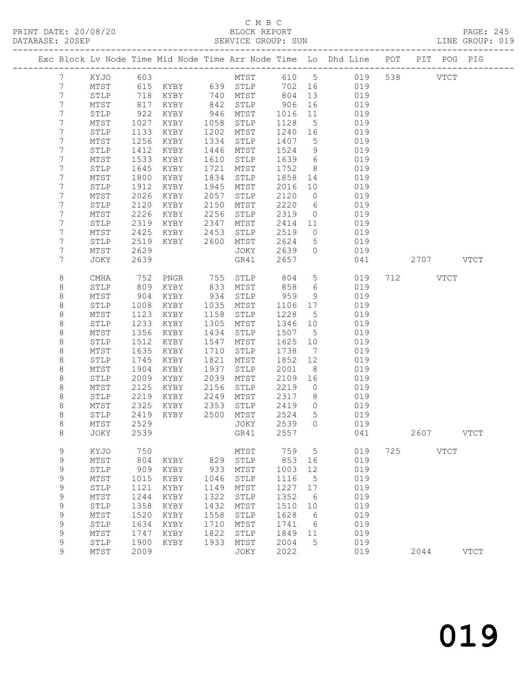### C M B C<br>BLOCK REPORT

|  | PRINT DATE: 20/08/20<br>DATABASE: 20SEP |  |  |  | BLOCK REPORT | SERVICE GROUP: SUN |                                                                                |  |  | <b>PAGE: 245</b><br>LINE GROUP: 019 |  |
|--|-----------------------------------------|--|--|--|--------------|--------------------|--------------------------------------------------------------------------------|--|--|-------------------------------------|--|
|  |                                         |  |  |  |              |                    | Exc Block Ly Node Time Mid Node Time Arr Node Time Lo Dhd Line POT PIT POG PIG |  |  |                                     |  |

|  |                  |                      |              | Exc Block Lv Node Time Mid Node Time Arr Node Time Lo Dhd Line |              |                                |              |                 |            | POT |      | PIT POG     | PIG         |
|--|------------------|----------------------|--------------|----------------------------------------------------------------|--------------|--------------------------------|--------------|-----------------|------------|-----|------|-------------|-------------|
|  | 7                | KYJO                 | 603          |                                                                |              | MTST                           | 610          | $5\phantom{0}$  | 019        | 538 |      | <b>VTCT</b> |             |
|  | 7                | $\mathtt{MTST}$      | 615          | KYBY                                                           | 639          | $\operatorname{\mathtt{STLP}}$ | 702          | 16              | 019        |     |      |             |             |
|  | 7                | STLP                 | 718          | KYBY                                                           | 740          | MTST                           | 804          | 13              | 019        |     |      |             |             |
|  | 7                | MTST                 | 817          | KYBY                                                           | 842          | STLP                           | 906          | 16              | 019        |     |      |             |             |
|  | 7                | STLP                 | 922          | KYBY                                                           | 946          | MTST                           | 1016         | 11              | 019        |     |      |             |             |
|  | 7                | MTST                 | 1027         | KYBY                                                           | 1058         | STLP                           | 1128         | 5               | 019        |     |      |             |             |
|  | 7                | STLP                 | 1133         | KYBY                                                           | 1202         | MTST                           | 1240         | 16              | 019        |     |      |             |             |
|  | 7                | MTST                 | 1256         | KYBY                                                           | 1334         | STLP                           | 1407         | 5               | 019        |     |      |             |             |
|  | 7                | STLP                 | 1412         | KYBY                                                           | 1446         | MTST                           | 1524         | 9               | 019        |     |      |             |             |
|  | 7                | MTST                 | 1533         | KYBY                                                           | 1610         | STLP                           | 1639         | 6               | 019        |     |      |             |             |
|  | 7                | STLP                 | 1645         | KYBY                                                           | 1721         | MTST                           | 1752         | 8               | 019        |     |      |             |             |
|  | 7                | MTST                 | 1800         | KYBY                                                           | 1834         | STLP                           | 1858         | 14              | 019        |     |      |             |             |
|  | 7                | STLP                 | 1912         | KYBY                                                           | 1945         | MTST                           | 2016         | 10              | 019        |     |      |             |             |
|  | 7                | MTST                 | 2026         | KYBY                                                           | 2057         | STLP                           | 2120         | 0               | 019        |     |      |             |             |
|  | 7                | STLP                 | 2120         | KYBY                                                           | 2150         | MTST                           | 2220         | 6               | 019        |     |      |             |             |
|  | 7                | MTST                 | 2226         | KYBY                                                           | 2256         | STLP                           | 2319         | $\circ$         | 019        |     |      |             |             |
|  | 7                | STLP                 | 2319         | KYBY                                                           | 2347         | MTST                           | 2414         | 11              | 019        |     |      |             |             |
|  | 7                | MTST                 | 2425         | KYBY                                                           | 2453         | STLP                           | 2519         | 0               | 019        |     |      |             |             |
|  | 7                | STLP                 | 2519         | KYBY                                                           | 2600         | ${\tt MTST}$                   | 2624         | 5               | 019        |     |      |             |             |
|  | 7                | MTST                 | 2629         |                                                                |              | JOKY                           | 2639         | $\circ$         | 019        |     |      |             |             |
|  | 7                | JOKY                 | 2639         |                                                                |              | GR41                           | 2657         |                 | 041        |     |      | 2707 VTCT   |             |
|  | 8                | CMHA                 | 752          | PNGR                                                           | 755          | STLP                           | 804          | $\overline{5}$  | 019        | 712 |      | <b>VTCT</b> |             |
|  | $\,8\,$          | STLP                 | 809          | KYBY                                                           | 833          | MTST                           | 858          | 6               | 019        |     |      |             |             |
|  | 8                | MTST                 | 904          | KYBY                                                           | 934          | STLP                           | 959          | 9               | 019        |     |      |             |             |
|  | $\,8\,$          | STLP                 | 1008         | KYBY                                                           | 1035         | MTST                           | 1106         | 17              | 019        |     |      |             |             |
|  | $\,8\,$          | MTST                 | 1123         | KYBY                                                           | 1158         | STLP                           | 1228         | 5               | 019        |     |      |             |             |
|  | $\,8\,$          | STLP                 | 1233         | KYBY                                                           | 1305         | MTST                           | 1346         | 10              | 019        |     |      |             |             |
|  | 8                | MTST                 | 1356         | KYBY                                                           | 1434         | STLP                           | 1507         | 5               | 019        |     |      |             |             |
|  | 8                | STLP                 | 1512         | KYBY                                                           | 1547         | MTST                           | 1625         | 10              | 019        |     |      |             |             |
|  | 8                | MTST                 | 1635         | KYBY                                                           | 1710         | STLP                           | 1738         | $7\phantom{.0}$ | 019        |     |      |             |             |
|  | $\,8\,$          | STLP                 | 1745         | KYBY                                                           | 1821         | MTST                           | 1852         | 12              | 019        |     |      |             |             |
|  | 8                | MTST                 | 1904         | KYBY                                                           | 1937         | STLP                           | 2001         | 8               | 019        |     |      |             |             |
|  | 8<br>$\,8\,$     | STLP                 | 2009         | KYBY                                                           | 2039<br>2156 | MTST                           | 2109         | 16              | 019        |     |      |             |             |
|  | $\,8\,$          | MTST<br>STLP         | 2125<br>2219 | KYBY<br>KYBY                                                   | 2249         | STLP<br>MTST                   | 2219<br>2317 | 0<br>8          | 019<br>019 |     |      |             |             |
|  | $\,8\,$          | MTST                 | 2325         | KYBY                                                           | 2353         | STLP                           | 2419         | $\circ$         | 019        |     |      |             |             |
|  | 8                | STLP                 | 2419         | KYBY                                                           | 2500         | MTST                           | 2524         | 5               | 019        |     |      |             |             |
|  | 8                | MTST                 | 2529         |                                                                |              | JOKY                           | 2539         | $\Omega$        | 019        |     |      |             |             |
|  | $\,8\,$          | JOKY                 | 2539         |                                                                |              | GR41                           | 2557         |                 | 041        |     | 2607 |             | <b>VTCT</b> |
|  |                  |                      |              |                                                                |              |                                |              |                 |            |     |      |             |             |
|  | 9                | KYJO                 | 750          |                                                                |              | MTST                           | 759          | 5               | 019        | 725 |      | <b>VTCT</b> |             |
|  | 9                | MTST                 | 804          | KYBY                                                           | 829          | STLP                           | 853          | 16              | 019        |     |      |             |             |
|  | $\mathsf 9$      | STLP                 | 909          | KYBY                                                           | 933          | MTST                           | 1003         | 12              | 019        |     |      |             |             |
|  | $\mathsf 9$      | MTST<br>${\tt STLP}$ | 1015<br>1121 | KYBY<br>KYBY                                                   | 1046<br>1149 | STLP<br>MTST                   | 1116<br>1227 | 5<br>$17$       | 019<br>019 |     |      |             |             |
|  | $\mathsf 9$      |                      | 1244         |                                                                | 1322         |                                | 1352         |                 | 019        |     |      |             |             |
|  | 9<br>$\mathsf 9$ | MTST<br>STLP         | 1358         | KYBY<br>KYBY                                                   | 1432         | STLP<br>MTST                   | 1510         | 6<br>10         | 019        |     |      |             |             |
|  | $\mathsf 9$      | MTST                 | 1520         | KYBY                                                           | 1558         | STLP                           | 1628         | 6               | 019        |     |      |             |             |
|  | $\mathsf 9$      | ${\tt STLP}$         | 1634         | KYBY                                                           | 1710         | MTST                           | 1741         | 6               | 019        |     |      |             |             |
|  | 9                | MTST                 | 1747         | KYBY                                                           | 1822         | STLP                           | 1849         | 11              | 019        |     |      |             |             |
|  | 9                | STLP                 | 1900         | KYBY                                                           | 1933         | MTST                           | 2004         | 5               | 019        |     |      |             |             |
|  | 9                | MTST                 | 2009         |                                                                |              | JOKY                           | 2022         |                 | 019        |     | 2044 |             | <b>VTCT</b> |
|  |                  |                      |              |                                                                |              |                                |              |                 |            |     |      |             |             |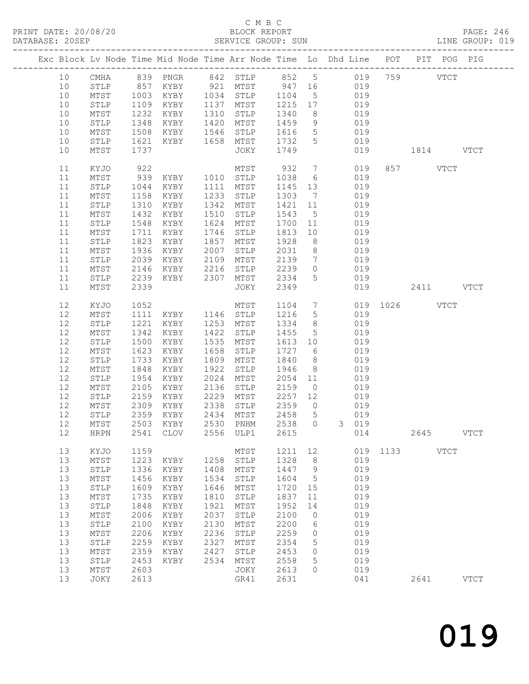### C M B C<br>BLOCK REPORT

PAGE: 246<br>LINE GROUP: 019

|  | DAIADAOD. ZUJDE |                 |      | ------------------------     |      | ODVALOT GVOOL . OON |        |                 | ---------------------------                                                    |      |       |             |               |
|--|-----------------|-----------------|------|------------------------------|------|---------------------|--------|-----------------|--------------------------------------------------------------------------------|------|-------|-------------|---------------|
|  |                 |                 |      |                              |      |                     |        |                 | Exc Block Lv Node Time Mid Node Time Arr Node Time Lo Dhd Line POT PIT POG PIG |      |       |             |               |
|  | 10              | CMHA            |      | 839 PNGR                     |      | 842 STLP 852 5      |        |                 | 019                                                                            |      | 759   | VTCT        |               |
|  | 10              | STLP            | 857  | KYBY                         |      | 921 MTST            | 947 16 |                 | 019                                                                            |      |       |             |               |
|  | 10              | MTST            | 1003 | KYBY                         | 1034 | STLP                | 1104   | $5^{\circ}$     | 019                                                                            |      |       |             |               |
|  | 10              | STLP            | 1109 | KYBY                         | 1137 | MTST                | 1215   | 17              | 019                                                                            |      |       |             |               |
|  | 10              |                 | 1232 | KYBY                         | 1310 | STLP                | 1340   | 8 <sup>8</sup>  | 019                                                                            |      |       |             |               |
|  |                 | MTST            |      |                              |      |                     |        |                 |                                                                                |      |       |             |               |
|  | 10              | STLP            | 1348 | KYBY                         | 1420 | MTST                | 1459   | 9               | 019                                                                            |      |       |             |               |
|  | 10              | MTST            | 1508 | KYBY                         | 1546 | STLP                | 1616   | 5 <sup>5</sup>  | 019                                                                            |      |       |             |               |
|  | 10              | STLP            | 1621 | KYBY                         | 1658 | MTST                | 1732   | 5               | 019                                                                            |      |       |             |               |
|  | 10              | MTST            | 1737 |                              |      | JOKY                | 1749   |                 | 019                                                                            |      |       | 1814        | VTCT          |
|  | 11              | KYJO            | 922  |                              |      | MTST                | 932    | $7\phantom{.0}$ | 019                                                                            |      | 857 8 | <b>VTCT</b> |               |
|  | 11              | $\mathtt{MTST}$ | 939  | KYBY                         | 1010 | STLP                | 1038   | $6\overline{6}$ | 019                                                                            |      |       |             |               |
|  | 11              | STLP            | 1044 | KYBY                         | 1111 | MTST                | 1145   | 13              | 019                                                                            |      |       |             |               |
|  | 11              | MTST            | 1158 | KYBY                         | 1233 | STLP                | 1303   | $\overline{7}$  | 019                                                                            |      |       |             |               |
|  | 11              | STLP            | 1310 | KYBY                         | 1342 | MTST                | 1421   | 11              | 019                                                                            |      |       |             |               |
|  | 11              | MTST            | 1432 | KYBY                         | 1510 | STLP                | 1543   | $5\overline{)}$ | 019                                                                            |      |       |             |               |
|  | 11              | STLP            | 1548 | KYBY                         | 1624 | MTST                | 1700   | 11              | 019                                                                            |      |       |             |               |
|  | 11              | MTST            | 1711 | KYBY                         | 1746 | STLP                | 1813   | 10              | 019                                                                            |      |       |             |               |
|  | 11              | STLP            | 1823 | KYBY                         | 1857 | MTST                | 1928   | 8 <sup>8</sup>  | 019                                                                            |      |       |             |               |
|  | 11              | MTST            | 1936 | KYBY                         | 2007 | STLP                | 2031   | 8 <sup>8</sup>  | 019                                                                            |      |       |             |               |
|  | 11              | STLP            | 2039 | KYBY                         | 2109 | MTST                | 2139   | $7\overline{ }$ | 019                                                                            |      |       |             |               |
|  | 11              | MTST            | 2146 | KYBY                         | 2216 | STLP                | 2239   | $\overline{0}$  | 019                                                                            |      |       |             |               |
|  | 11              | STLP            | 2239 | KYBY                         | 2307 | MTST                | 2334   | $5\overline{)}$ | 019                                                                            |      |       |             |               |
|  | 11              | MTST            | 2339 |                              |      | JOKY                | 2349   |                 | 019                                                                            |      |       | 2411 VTCT   |               |
|  | 12              | KYJO            | 1052 |                              |      | MTST                | 1104   | $7\overline{ }$ | 019                                                                            | 1026 |       | <b>VTCT</b> |               |
|  | 12              | MTST            | 1111 | KYBY                         |      | 1146 STLP           | 1216   | $5\overline{)}$ | 019                                                                            |      |       |             |               |
|  | 12              | $\texttt{STLP}$ | 1221 | KYBY                         | 1253 | MTST                | 1334   | 8 <sup>8</sup>  | 019                                                                            |      |       |             |               |
|  | 12              | MTST            | 1342 | KYBY                         | 1422 | STLP                | 1455   | $5\overline{)}$ | 019                                                                            |      |       |             |               |
|  | 12              | STLP            | 1500 | KYBY                         | 1535 | MTST                | 1613   | 10              | 019                                                                            |      |       |             |               |
|  | 12              | MTST            | 1623 | KYBY                         | 1658 | STLP                | 1727   | 6               | 019                                                                            |      |       |             |               |
|  | 12              | STLP            | 1733 | KYBY                         | 1809 | MTST                | 1840   | 8 <sup>8</sup>  | 019                                                                            |      |       |             |               |
|  | 12              | $\mathtt{MTST}$ | 1848 | KYBY                         | 1922 | STLP                | 1946   | 8               | 019                                                                            |      |       |             |               |
|  |                 |                 |      |                              |      |                     |        |                 |                                                                                |      |       |             |               |
|  | 12              | STLP            | 1954 | KYBY                         | 2024 | MTST                | 2054   | 11              | 019                                                                            |      |       |             |               |
|  | 12              | $\mathtt{MTST}$ | 2105 | KYBY                         | 2136 | STLP                | 2159   | $\overline{0}$  | 019                                                                            |      |       |             |               |
|  | 12              | STLP            | 2159 | KYBY                         | 2229 | MTST                | 2257   | 12              | 019                                                                            |      |       |             |               |
|  | 12              | MTST            | 2309 | KYBY                         | 2338 | STLP                | 2359   | $\overline{0}$  | 019                                                                            |      |       |             |               |
|  | 12              | STLP            | 2359 | KYBY                         | 2434 | MTST                | 2458   | 5 <sup>5</sup>  | 019                                                                            |      |       |             |               |
|  | 12              | MTST            |      | 2503 KYBY                    | 2530 | PNHM                | 2538   | $\overline{0}$  | 3 019                                                                          |      |       |             |               |
|  | 12              | HRPN            | 2541 | ${\tt CLOV}$                 | 2556 | ULP1                | 2615   |                 | 014                                                                            |      | 2645  |             | <b>VTCT</b>   |
|  | 13              | KYJO            | 1159 |                              |      | MTST                | 1211   | 12              | 019                                                                            | 1133 |       | <b>VTCT</b> |               |
|  | 13              | MTST            | 1223 | KYBY                         | 1258 | STLP                | 1328   | $\,8\,$         | 019                                                                            |      |       |             |               |
|  | 13              | STLP            | 1336 | KYBY                         | 1408 | MTST                | 1447   | 9               | 019                                                                            |      |       |             |               |
|  | 13              | $\mathtt{MTST}$ | 1456 | KYBY                         | 1534 | STLP                | 1604   | 5               | 019                                                                            |      |       |             |               |
|  | 13              | STLP            | 1609 | KYBY                         | 1646 | MTST                | 1720   | 15              | 019                                                                            |      |       |             |               |
|  | 13              | $MTST$          | 1735 | KYBY                         | 1810 | STLP                | 1837   | 11              | 019                                                                            |      |       |             |               |
|  | 13              | ${\tt STLP}$    | 1848 | KYBY                         | 1921 | MTST                | 1952   | 14              | 019                                                                            |      |       |             |               |
|  | 13              | $\mathtt{MTST}$ | 2006 | KYBY                         | 2037 | STLP                | 2100   | 0               | 019                                                                            |      |       |             |               |
|  | 13              | STLP            | 2100 | KYBY                         | 2130 | MTST                | 2200   | 6               | 019                                                                            |      |       |             |               |
|  | 13              | $\mathtt{MTST}$ | 2206 | KYBY                         | 2236 | STLP                | 2259   | 0               | 019                                                                            |      |       |             |               |
|  | 13              | ${\tt STLP}$    | 2259 | $\ensuremath{\mathsf{KYBY}}$ | 2327 | MTST                | 2354   | 5               | 019                                                                            |      |       |             |               |
|  | 13              | MTST            | 2359 | KYBY                         | 2427 | STLP                | 2453   | 0               | 019                                                                            |      |       |             |               |
|  | 13              | ${\tt STLP}$    | 2453 | KYBY                         | 2534 | $\mathtt{MTST}$     | 2558   | 5               | 019                                                                            |      |       |             |               |
|  | 13              | MTST            | 2603 |                              |      | JOKY                | 2613   | $\circ$         | 019                                                                            |      |       |             |               |
|  | 13              | JOKY            | 2613 |                              |      | GR41                | 2631   |                 | 041                                                                            |      | 2641  |             | $_{\rm VTCT}$ |
|  |                 |                 |      |                              |      |                     |        |                 |                                                                                |      |       |             |               |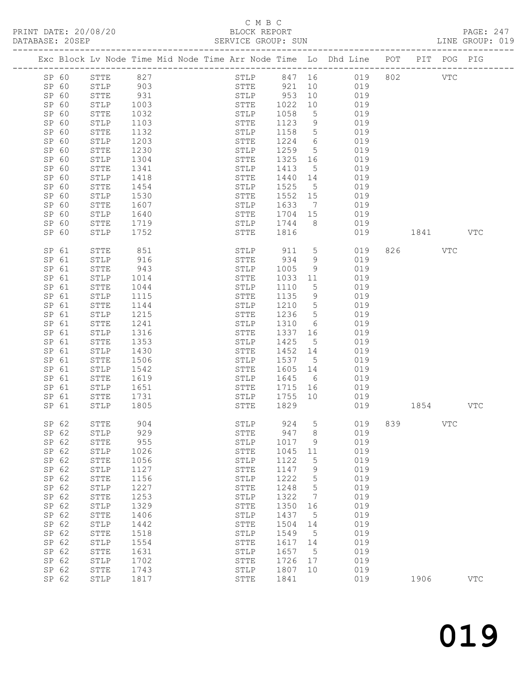PRINT DATE: 20/08/20

## C M B C<br>BLOCK REPORT<br>SERVICE GROUP: SUN

|    |                |                |              |                                                                         |                  |         |    |                                                                                       |          |         |            | PAGE: 247<br>LINE GROUP: 019 |
|----|----------------|----------------|--------------|-------------------------------------------------------------------------|------------------|---------|----|---------------------------------------------------------------------------------------|----------|---------|------------|------------------------------|
|    |                |                |              |                                                                         |                  |         |    | Exc Block Lv Node Time Mid Node Time Arr Node Time Lo Dhd Line POT PIT POG PIG        |          |         |            |                              |
|    |                | SP 60 STTE 827 |              |                                                                         |                  |         |    | STLP 847 16 019 802 VTC                                                               |          |         |            |                              |
|    | SP 60          |                |              | STLP 903<br>STLP 903<br>STTE 931<br>STLP 1003<br>STTE 1032<br>STLP 1103 |                  |         |    | STTE 921 10 019                                                                       |          |         |            |                              |
|    | SP 60          |                |              |                                                                         |                  |         |    | STLP 953 10 019                                                                       |          |         |            |                              |
|    | SP 60          |                |              |                                                                         |                  |         |    | STTE 1022 10 019<br>STLP 1058 5 019                                                   |          |         |            |                              |
|    | SP 60          |                |              |                                                                         |                  |         |    |                                                                                       |          |         |            |                              |
|    | SP 60          |                |              |                                                                         |                  |         |    | STTE 1123 9 019                                                                       |          |         |            |                              |
|    | SP 60          | STTE           | 1132         |                                                                         |                  |         |    | STLP 1158 5 019                                                                       |          |         |            |                              |
|    | SP 60          | STLP           | 1203         |                                                                         | STTE             |         |    | $\begin{array}{cccc} 1224 & 6 & 019 \\ 1259 & 5 & 019 \\ 1325 & 16 & 019 \end{array}$ |          |         |            |                              |
|    | SP 60          | ${\tt STTE}$   | 1230         |                                                                         | STLP             |         |    |                                                                                       |          |         |            |                              |
|    | SP 60          | STLP           | 1304         |                                                                         | STTE             |         |    |                                                                                       |          |         |            |                              |
|    | SP 60          | STTE           | 1341         |                                                                         | STLP             |         |    | 1413 5 019                                                                            |          |         |            |                              |
|    | SP 60          | STLP           | 1418         |                                                                         | STTE             |         |    | 1440  14  019<br>1525  5  019<br>1552  15  019                                        |          |         |            |                              |
|    | SP 60          | STTE           | 1454         |                                                                         | STLP             |         |    |                                                                                       |          |         |            |                              |
|    | SP 60          | STLP           | 1530         |                                                                         | STTE             |         |    |                                                                                       |          |         |            |                              |
|    | SP 60          | STTE           | 1607         |                                                                         | STLP             |         |    | 1633 7 019                                                                            |          |         |            |                              |
|    | SP 60          | STLP           | 1640         |                                                                         |                  |         |    | STTE 1704 15 019                                                                      |          |         |            |                              |
|    | SP 60          | STTE           | 1719<br>1752 |                                                                         |                  |         |    | STLP 1744 8 019<br>STTE 1816 019                                                      |          |         |            |                              |
|    | SP 60          | STLP           |              |                                                                         |                  |         |    | 019 1841 VTC                                                                          |          |         |            |                              |
|    | SP 61          | STTE           | 851          |                                                                         |                  |         |    | STLP 911 5 019                                                                        |          | 826 VTC |            |                              |
|    | SP 61          | STLP           | 916          |                                                                         |                  |         |    | STTE 934 9 019<br>STLP 1005 9 019                                                     |          |         |            |                              |
|    | SP 61          | STTE           | 943          |                                                                         |                  |         |    |                                                                                       |          |         |            |                              |
|    | SP 61          | STLP           | 1014         |                                                                         | STTE             | 1033 11 |    | 019                                                                                   |          |         |            |                              |
|    | SP 61          | STTE           | 1044         |                                                                         | STLP             |         |    | 1110 5 019                                                                            |          |         |            |                              |
|    | SP 61          | STLP           | 1115         |                                                                         | STTE             |         |    | 1135 9 019<br>1210 5 019                                                              |          |         |            |                              |
|    | SP 61          | STTE           | 1144         |                                                                         | STLP             |         |    | 1236 5 019                                                                            |          |         |            |                              |
|    | SP 61          | STLP           | 1215         |                                                                         | STTE             |         |    |                                                                                       |          |         |            |                              |
|    | SP 61          | STTE           | 1241         |                                                                         | STLP             |         |    | 1310 6 019                                                                            |          |         |            |                              |
|    | SP 61          | STLP           | 1316         |                                                                         | STTE             |         |    | 1337 16 019<br>1425 5 019                                                             |          |         |            |                              |
|    | SP 61          | STTE           | 1353<br>1430 |                                                                         | STLP             |         |    | 1452 14 019                                                                           |          |         |            |                              |
|    | SP 61          | STLP           |              |                                                                         | STTE             |         |    | 1537 5 019                                                                            |          |         |            |                              |
|    | SP 61<br>SP 61 | STTE<br>STLP   | 1506<br>1542 |                                                                         | STLP<br>STTE     |         |    |                                                                                       |          |         |            |                              |
|    | SP 61          |                | 1619         |                                                                         | STLP             |         |    | 1605 14 019                                                                           |          |         |            |                              |
|    | SP 61          | STTE           | 1651         |                                                                         | <b>STTE</b>      |         |    | 1645 6 019<br>1715 16 019                                                             |          |         |            |                              |
|    | SP 61          | STLP<br>STTE   | 1731         |                                                                         |                  |         |    | STLP 1755 10 019                                                                      |          |         |            |                              |
|    | SP 61          | STLP           | 1805         |                                                                         | <b>STTE</b> 1829 |         |    | 019                                                                                   | 1854 VTC |         |            |                              |
|    |                |                |              |                                                                         |                  |         |    |                                                                                       |          |         |            |                              |
|    | SP 62          | STTE           | 904          |                                                                         | STLP             | 924     | 5  | 019                                                                                   | 839      |         | <b>VTC</b> |                              |
|    | SP 62          | STLP           | 929          |                                                                         | STTE             | 947     | 8  | 019                                                                                   |          |         |            |                              |
|    | SP 62          | STTE           | 955          |                                                                         | STLP             | 1017    | 9  | 019                                                                                   |          |         |            |                              |
|    | SP 62          | STLP           | 1026         |                                                                         | STTE             | 1045    | 11 | 019                                                                                   |          |         |            |                              |
|    | SP 62          | STTE           | 1056         |                                                                         | STLP             | 1122    | 5  | 019                                                                                   |          |         |            |                              |
|    | SP 62          | STLP           | 1127         |                                                                         | STTE             | 1147    | 9  | 019                                                                                   |          |         |            |                              |
|    | SP 62          | STTE           | 1156         |                                                                         | STLP             | 1222    | 5  | 019                                                                                   |          |         |            |                              |
| SP | 62             | STLP           | 1227         |                                                                         | ${\tt STTE}$     | 1248    | 5  | 019                                                                                   |          |         |            |                              |
|    | SP 62          | STTE           | 1253         |                                                                         | ${\tt STLP}$     | 1322    | 7  | 019                                                                                   |          |         |            |                              |
| SP | 62             | STLP           | 1329         |                                                                         | ${\tt STTE}$     | 1350    | 16 | 019                                                                                   |          |         |            |                              |
|    | SP 62          | STTE           | 1406         |                                                                         | STLP             | 1437    | 5  | 019                                                                                   |          |         |            |                              |
| SP | 62             | STLP           | 1442         |                                                                         | STTE             | 1504    | 14 | 019                                                                                   |          |         |            |                              |
|    | SP 62          | STTE           | 1518         |                                                                         | STLP             | 1549    | 5  | 019                                                                                   |          |         |            |                              |
| SP | 62             | STLP           | 1554         |                                                                         | STTE             | 1617    | 14 | 019                                                                                   |          |         |            |                              |
|    | SP 62          | STTE           | 1631         |                                                                         | STLP             | 1657    | 5  | 019                                                                                   |          |         |            |                              |
| SP | 62             | STLP           | 1702         |                                                                         | ${\tt STTE}$     | 1726    | 17 | 019                                                                                   |          |         |            |                              |
|    | SP 62          | STTE           | 1743         |                                                                         | STLP             | 1807    | 10 | 019                                                                                   |          |         |            |                              |
|    | SP 62          | STLP           | 1817         |                                                                         | ${\tt STTE}$     | 1841    |    | 019                                                                                   |          | 1906    |            | $_{\rm VTC}$                 |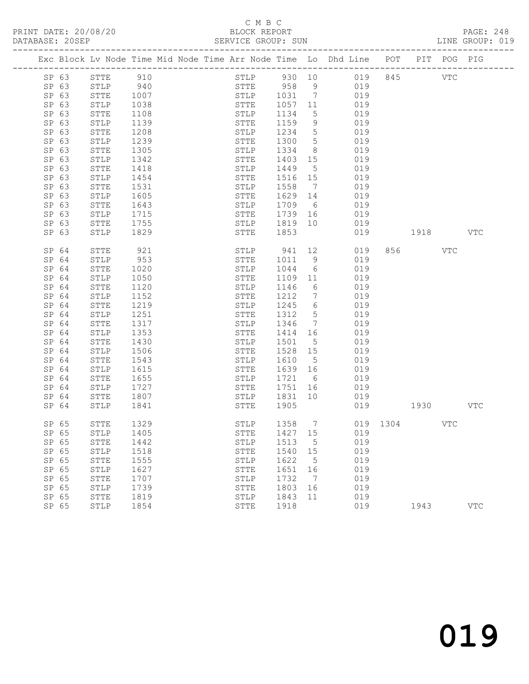### C M B C<br>BLOCK REPORT

PAGE: 248<br>LINE GROUP: 019

|                |              |              |  |              |                 |                 | Exc Block Lv Node Time Mid Node Time Arr Node Time Lo Dhd Line POT PIT POG PIG |              |      |     |            |
|----------------|--------------|--------------|--|--------------|-----------------|-----------------|--------------------------------------------------------------------------------|--------------|------|-----|------------|
| SP 63          | STTE         | 910          |  |              |                 |                 | STLP 930 10 019                                                                | 845          |      | VTC |            |
| SP 63          | STLP         | 940          |  | STTE 958     |                 |                 | 9 019                                                                          |              |      |     |            |
| SP 63          | STTE         | 1007         |  | STLP         | 1031 7          |                 | 019                                                                            |              |      |     |            |
| SP 63          | STLP         | 1038         |  | STTE         | 1057 11         |                 | 019                                                                            |              |      |     |            |
| SP 63          | STTE         | 1108         |  | STLP         | 1134            | 5               | 019                                                                            |              |      |     |            |
| SP 63          | STLP         | 1139         |  | STTE         | 1159            | 9               | 019                                                                            |              |      |     |            |
| SP 63          | STTE         | 1208         |  | STLP         | 1234            | $5\overline{)}$ | 019                                                                            |              |      |     |            |
| SP 63          | STLP         | 1239         |  | STTE         | 1300            | 5 <sup>5</sup>  | 019                                                                            |              |      |     |            |
| SP 63          | STTE         | 1305         |  | STLP         | 1334            | 8 <sup>8</sup>  | 019                                                                            |              |      |     |            |
| SP 63          | STLP         | 1342         |  | STTE         | 1403 15         |                 | 019                                                                            |              |      |     |            |
| SP 63          | STTE         | 1418         |  | STLP         | 1449            | $5^{\circ}$     | 019                                                                            |              |      |     |            |
| SP 63          | STLP         | 1454         |  | STTE         | 1516 15         |                 | 019                                                                            |              |      |     |            |
| SP 63          | STTE         | 1531         |  | STLP         | 1558            | $\overline{7}$  | 019                                                                            |              |      |     |            |
| SP 63          | STLP         | 1605         |  | STTE         | 1629 14         |                 | 019                                                                            |              |      |     |            |
| SP 63          | <b>STTE</b>  | 1643         |  | STLP         | 1709            | 6               | 019                                                                            |              |      |     |            |
| SP 63          | STLP         | 1715         |  | STTE         | 1739 16         |                 | 019                                                                            |              |      |     |            |
| SP 63          | STTE         | 1755         |  | STLP         | 1819            | 10              | 019                                                                            |              |      |     |            |
| SP 63          | STLP         | 1829         |  | STTE         | 1853            |                 | 019                                                                            |              | 1918 |     | <b>VTC</b> |
|                |              |              |  |              |                 |                 |                                                                                |              |      |     |            |
| SP 64          | STTE         | 921          |  | STLP         | 941 12          |                 | 019                                                                            | 856          |      | VTC |            |
| SP 64          | STLP         | 953          |  | STTE         | 1011            | 9               | 019                                                                            |              |      |     |            |
| SP 64          | STTE         | 1020         |  | STLP         | 1044            | 6               | 019                                                                            |              |      |     |            |
| SP 64          | STLP         | 1050         |  | STTE         | 1109            | 11              | 019                                                                            |              |      |     |            |
| SP 64          | STTE         | 1120         |  | STLP         | 1146            | 6               | 019                                                                            |              |      |     |            |
| SP 64          | STLP         | 1152         |  | STTE         | 1212            | $7\phantom{.0}$ | 019                                                                            |              |      |     |            |
| SP 64          | STTE         | 1219         |  | STLP         | 1245            | 6               | 019                                                                            |              |      |     |            |
| SP 64          | STLP         | 1251         |  | STTE         | 1312            | $5\overline{)}$ | 019                                                                            |              |      |     |            |
| SP 64          | STTE         | 1317         |  | STLP         | 1346            | $7\overline{ }$ | 019                                                                            |              |      |     |            |
| SP 64          | STLP         | 1353         |  | STTE         | 1414            | 16              | 019                                                                            |              |      |     |            |
| SP 64          | STTE         | 1430         |  | STLP         | 1501            | $5^{\circ}$     | 019                                                                            |              |      |     |            |
| SP 64<br>SP 64 | STLP         | 1506         |  | STTE         | 1528            | 15<br>5         | 019<br>019                                                                     |              |      |     |            |
| SP 64          | STTE<br>STLP | 1543<br>1615 |  | STLP<br>STTE | 1610<br>1639 16 |                 | 019                                                                            |              |      |     |            |
| SP 64          | STTE         | 1655         |  | STLP         | 1721            | 6               | 019                                                                            |              |      |     |            |
| SP 64          | STLP         | 1727         |  | STTE         | 1751 16         |                 | 019                                                                            |              |      |     |            |
| SP 64          | STTE         | 1807         |  | STLP         | 1831            | 10              | 019                                                                            |              |      |     |            |
| SP 64          | STLP         | 1841         |  | STTE         | 1905            |                 | 019                                                                            |              |      |     | <b>VTC</b> |
|                |              |              |  |              |                 |                 |                                                                                |              |      |     |            |
| SP 65          | STTE         | 1329         |  | STLP         |                 |                 | 1358 7                                                                         | 019 1304 VTC |      |     |            |
| SP 65          | STLP         | 1405         |  | STTE         | 1427            | 15              | 019                                                                            |              |      |     |            |
| SP 65          | STTE         | 1442         |  | STLP         | 1513            | 5               | 019                                                                            |              |      |     |            |
| SP 65          | STLP         | 1518         |  | STTE         | 1540            | 15              | 019                                                                            |              |      |     |            |
| SP 65          | <b>STTE</b>  | 1555         |  | STLP         | 1622            | 5               | 019                                                                            |              |      |     |            |
| SP 65          | STLP         | 1627         |  | <b>STTE</b>  | 1651            | 16              | 019                                                                            |              |      |     |            |
| SP 65          | STTE         | 1707         |  | <b>STLP</b>  | 1732            | 7               | 019                                                                            |              |      |     |            |
| SP 65          | STLP         | 1739         |  | STTE         | 1803            | 16              | 019                                                                            |              |      |     |            |
| SP 65          | STTE         | 1819         |  | STLP         | 1843            | 11              | 019                                                                            |              |      |     |            |
| SP 65          | STLP         | 1854         |  | STTE         | 1918            |                 | 019                                                                            |              | 1943 |     | <b>VTC</b> |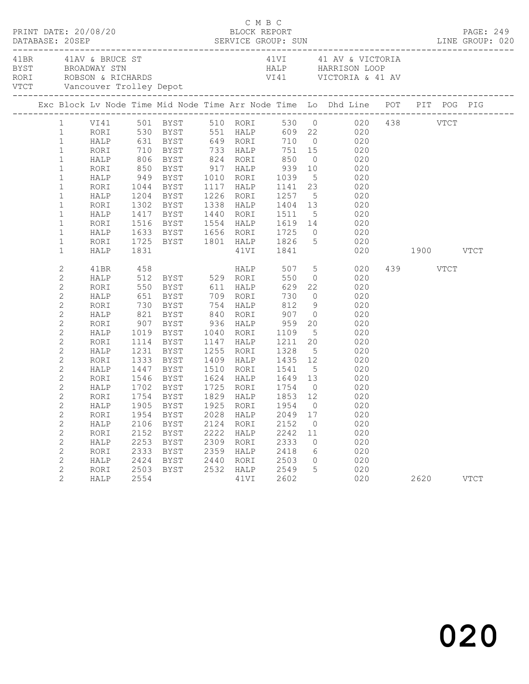|  |              | PRINT DATE: 20/08/20 |      |                                                                                                  |      |           | C M B C<br>BLOCK REPORT |                |                                                                                                                                                                               |          | PAGE: 249<br>DESCRIPTION DESCRIPTION DESCRIPTION DESCRIPTION DESCRIPTION DESCRIPTION DESCRIPTIONS DESCRIPTION DESCRIPTIONS<br>PERVICE GROUP: SUN DESCRIPTION DESCRIPTION DESCRIPTIONS DESCRIPTIONS DESCRIPTIONS DESCRIPTIONS DESCRIPTIONS DE<br>P |
|--|--------------|----------------------|------|--------------------------------------------------------------------------------------------------|------|-----------|-------------------------|----------------|-------------------------------------------------------------------------------------------------------------------------------------------------------------------------------|----------|---------------------------------------------------------------------------------------------------------------------------------------------------------------------------------------------------------------------------------------------------|
|  |              | 41BR 41AV & BRUCE ST |      |                                                                                                  |      |           |                         |                | 41VI 41 AV & VICTORIA<br>BYST BROADWAY STN HALP HARRISON LOOP<br>RORI ROBSON & RICHARDS VI41 VICTORIA & 41 AV<br>VTCT Vancouver Trolley Depot<br>VTCT Vancouver Trolley Depot |          |                                                                                                                                                                                                                                                   |
|  |              |                      |      |                                                                                                  |      |           |                         |                | Exc Block Lv Node Time Mid Node Time Arr Node Time Lo Dhd Line POT PIT POG PIG                                                                                                |          |                                                                                                                                                                                                                                                   |
|  |              |                      |      |                                                                                                  |      |           |                         |                | 1 VI41 501 BYST 510 RORI 530 0 020 438 VTCT<br>1 RORI 530 BYST 551 HALP 609 22 020                                                                                            |          |                                                                                                                                                                                                                                                   |
|  |              |                      |      |                                                                                                  |      |           |                         |                |                                                                                                                                                                               |          |                                                                                                                                                                                                                                                   |
|  | $\mathbf{1}$ |                      |      |                                                                                                  |      |           |                         |                | HALP 631 BYST 649 RORI 710 0 020                                                                                                                                              |          |                                                                                                                                                                                                                                                   |
|  | $\mathbf{1}$ |                      |      |                                                                                                  |      |           |                         |                | RORI 710 BYST 733 HALP 751 15 020<br>HALP 806 BYST 824 RORI 850 0 020<br>RORI 850 BYST 917 HALP 939 10 020                                                                    |          |                                                                                                                                                                                                                                                   |
|  | $\mathbf{1}$ |                      |      |                                                                                                  |      |           |                         |                |                                                                                                                                                                               |          |                                                                                                                                                                                                                                                   |
|  | $\mathbf{1}$ |                      |      |                                                                                                  |      |           |                         |                |                                                                                                                                                                               |          |                                                                                                                                                                                                                                                   |
|  | $\mathbf{1}$ |                      |      | HALP 949 BYST 1010 RORI 1039                                                                     |      |           |                         |                | 5 020                                                                                                                                                                         |          |                                                                                                                                                                                                                                                   |
|  | $\mathbf{1}$ | RORI                 |      |                                                                                                  |      |           |                         |                | 1044 BYST 1117 HALP 1141 23 020<br>1204 BYST 1226 RORI 1257 5 020<br>1302 BYST 1338 HALP 1404 13 020                                                                          |          |                                                                                                                                                                                                                                                   |
|  | $\mathbf{1}$ | HALP                 |      |                                                                                                  |      |           |                         |                |                                                                                                                                                                               |          |                                                                                                                                                                                                                                                   |
|  | $\mathbf{1}$ | RORI                 |      |                                                                                                  |      |           |                         |                |                                                                                                                                                                               |          |                                                                                                                                                                                                                                                   |
|  | $\mathbf 1$  | HALP                 |      | 1417 BYST                                                                                        |      |           |                         |                | 1440 RORI 1511 5 020                                                                                                                                                          |          |                                                                                                                                                                                                                                                   |
|  | $\mathbf{1}$ | RORI                 |      |                                                                                                  |      |           |                         |                | 1516 BYST 1554 HALP 1619 14 020                                                                                                                                               |          |                                                                                                                                                                                                                                                   |
|  | $\mathbf{1}$ | HALP                 |      |                                                                                                  |      |           |                         |                |                                                                                                                                                                               |          |                                                                                                                                                                                                                                                   |
|  | $\mathbf{1}$ | RORI                 |      |                                                                                                  |      |           |                         |                |                                                                                                                                                                               |          |                                                                                                                                                                                                                                                   |
|  | $\mathbf 1$  | HALP                 |      |                                                                                                  |      |           |                         |                | 020 1900 VTCT                                                                                                                                                                 |          |                                                                                                                                                                                                                                                   |
|  | $\mathbf{2}$ | 41BR                 |      |                                                                                                  |      |           |                         |                |                                                                                                                                                                               | 439 VTCT |                                                                                                                                                                                                                                                   |
|  | $\mathbf{2}$ | HALP                 |      |                                                                                                  |      |           |                         |                |                                                                                                                                                                               |          |                                                                                                                                                                                                                                                   |
|  | $\mathbf{2}$ | RORI                 |      |                                                                                                  |      |           |                         |                |                                                                                                                                                                               |          |                                                                                                                                                                                                                                                   |
|  | $\mathbf{2}$ | HALP                 |      | 651 BYST 709 RORI 730<br>730 BYST 754 HALP 812<br>821 BYST 840 RORI 907<br>907 BYST 936 HALP 959 |      |           |                         |                | $0 \qquad \qquad 020$                                                                                                                                                         |          |                                                                                                                                                                                                                                                   |
|  | $\mathbf{2}$ | RORI                 |      |                                                                                                  |      |           |                         |                | $9 \t 020$                                                                                                                                                                    |          |                                                                                                                                                                                                                                                   |
|  | $\mathbf{2}$ | HALP                 |      |                                                                                                  |      |           |                         |                | $\begin{array}{ccc} 0 & \hspace{1.5cm} 020 \\ 20 & \hspace{1.5cm} 020 \end{array}$                                                                                            |          |                                                                                                                                                                                                                                                   |
|  | $\mathbf{2}$ | RORI                 |      |                                                                                                  |      |           |                         |                |                                                                                                                                                                               |          |                                                                                                                                                                                                                                                   |
|  | $\mathbf{2}$ | HALP                 |      | 1019 BYST 1040 RORI                                                                              |      |           | 1109                    |                | 5 020                                                                                                                                                                         |          |                                                                                                                                                                                                                                                   |
|  | $\mathbf{2}$ | RORI                 | 1114 | BYST                                                                                             |      | 1147 HALP |                         |                | 1211  20  020<br>1328  5  020                                                                                                                                                 |          |                                                                                                                                                                                                                                                   |
|  | $\mathbf{2}$ | HALP                 |      | 1231 BYST<br>1333 BYST                                                                           |      | 1255 RORI |                         |                | 020                                                                                                                                                                           |          |                                                                                                                                                                                                                                                   |
|  | $\mathbf{2}$ | RORI                 |      |                                                                                                  |      |           |                         |                | 1409 HALP 1435 12 020                                                                                                                                                         |          |                                                                                                                                                                                                                                                   |
|  | $\mathbf{2}$ | HALP                 |      | 1447 BYST                                                                                        |      |           | 1510 RORI 1541          |                | 5 020                                                                                                                                                                         |          |                                                                                                                                                                                                                                                   |
|  | $\mathbf{2}$ | RORI                 |      |                                                                                                  |      |           |                         |                | 1546 BYST 1624 HALP 1649 13 020<br>1702 BYST 1725 RORI 1754 0 020<br>1754 BYST 1829 HALP 1853 12 020                                                                          |          |                                                                                                                                                                                                                                                   |
|  | $\mathbf{2}$ | HALP                 |      |                                                                                                  |      |           |                         |                |                                                                                                                                                                               |          |                                                                                                                                                                                                                                                   |
|  | $\mathbf{2}$ | RORI                 |      |                                                                                                  |      |           |                         |                |                                                                                                                                                                               |          |                                                                                                                                                                                                                                                   |
|  | $\mathbf{2}$ |                      |      |                                                                                                  |      |           |                         |                | HALP 1905 BYST 1925 RORI 1954 0 020                                                                                                                                           |          |                                                                                                                                                                                                                                                   |
|  | 2            | RORI                 | 1954 | BYST                                                                                             | 2028 | HALP      | 2049 17                 |                | 020                                                                                                                                                                           |          |                                                                                                                                                                                                                                                   |
|  | $\mathbf{2}$ | HALP                 | 2106 | BYST                                                                                             | 2124 | RORI      | 2152                    | $\overline{0}$ | 020                                                                                                                                                                           |          |                                                                                                                                                                                                                                                   |
|  | $\mathbf{2}$ | RORI                 | 2152 | BYST                                                                                             | 2222 | HALP      | 2242                    | 11             | 020                                                                                                                                                                           |          |                                                                                                                                                                                                                                                   |
|  | $\mathbf{2}$ | HALP                 | 2253 | BYST                                                                                             | 2309 | RORI      | 2333                    | $\circ$        | 020                                                                                                                                                                           |          |                                                                                                                                                                                                                                                   |
|  | 2            | RORI                 | 2333 | BYST                                                                                             | 2359 | HALP      | 2418                    | 6              | 020                                                                                                                                                                           |          |                                                                                                                                                                                                                                                   |
|  | $\mathbf{2}$ | HALP                 | 2424 | BYST                                                                                             | 2440 | RORI      | 2503                    | $\circ$        | 020                                                                                                                                                                           |          |                                                                                                                                                                                                                                                   |
|  | $\mathbf{2}$ | RORI                 | 2503 | BYST                                                                                             | 2532 | HALP      | 2549                    | 5              | 020                                                                                                                                                                           |          |                                                                                                                                                                                                                                                   |
|  | 2            | HALP                 | 2554 |                                                                                                  |      | 41VI      | 2602                    |                | 020                                                                                                                                                                           | 2620     | <b>VTCT</b>                                                                                                                                                                                                                                       |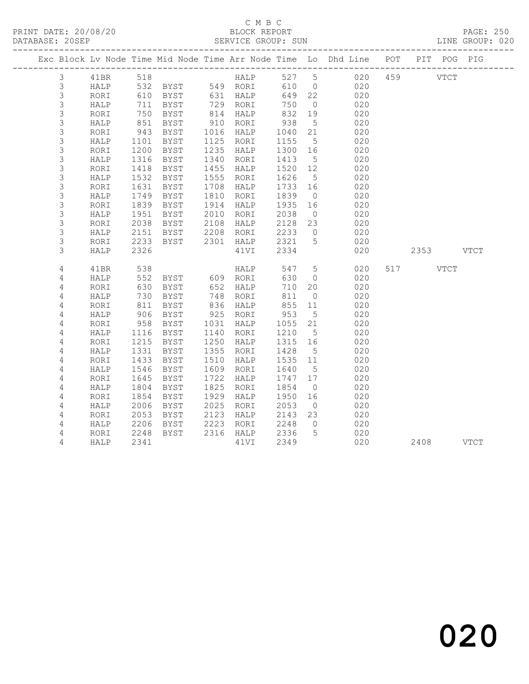PRINT DATE: 20/08/20 BLOCK REPORT BATABASE: 205EP

### C M B C<br>BLOCK REPORT

PAGE: 250<br>LINE GROUP: 020

|                  |              |              |               |              |                         |              |                      | Exc Block Lv Node Time Mid Node Time Arr Node Time Lo Dhd Line POT PIT POG PIG |           |  |
|------------------|--------------|--------------|---------------|--------------|-------------------------|--------------|----------------------|--------------------------------------------------------------------------------|-----------|--|
| $\mathcal{S}$    | 41BR         | 518          |               |              |                         |              |                      | 518<br>532 BYST 549 RORI 610 0 020<br>610 BYST 631 HALP 649 22 020             | 459 VTCT  |  |
| $\mathcal{S}$    | HALP         |              |               |              |                         |              |                      |                                                                                |           |  |
| $\mathsf 3$      | RORI         | 610          |               |              |                         |              |                      |                                                                                |           |  |
| 3                | HALP         | 711          | BYST          |              | 729 RORI                | 750          | $\overline{0}$       | 020                                                                            |           |  |
| $\mathsf 3$      | RORI         | 750          | BYST          |              | 814 HALP                | 832          | 19                   | 020                                                                            |           |  |
| 3                | HALP         | 851          | BYST          |              | 910 RORI                | 938          | $5\overline{)}$      | 020                                                                            |           |  |
| $\mathsf S$      | RORI         | 943          | BYST          |              | 1016 HALP               | 1040         | 21                   | 020                                                                            |           |  |
| $\mathsf 3$      | HALP         | 1101         | BYST          |              | 1125 RORI               | 1155         | $5\overline{)}$      | 020                                                                            |           |  |
| 3                | RORI         | 1200         | BYST          | 1235         | HALP                    | 1300 16      |                      | 020                                                                            |           |  |
| $\mathsf S$      | HALP         | 1316         | BYST          | 1340         | RORI                    | 1413         | $5^{\circ}$          | 020                                                                            |           |  |
| 3                | RORI         | 1418         | BYST          | 1455         | HALP                    | 1520 12      |                      | 020                                                                            |           |  |
| $\mathsf S$      | HALP         | 1532         | BYST          | 1555         | RORI                    | 1626         | $5^{\circ}$          | 020                                                                            |           |  |
| $\mathsf S$      | RORI         | 1631         | BYST          |              | 1708 HALP               | 1733         | 16                   | 020                                                                            |           |  |
| $\mathsf S$      | HALP         | 1749         | BYST          | 1810         | RORI                    | 1839         | $\overline{0}$       | 020                                                                            |           |  |
| $\mathsf 3$<br>3 | RORI         | 1839<br>1951 | BYST          | 1914         | HALP                    | 1935         | 16                   | 020                                                                            |           |  |
| $\mathsf S$      | HALP         | 2038         | BYST<br>BYST  | 2010<br>2108 | RORI                    | 2038<br>2128 | $\overline{0}$<br>23 | 020<br>020                                                                     |           |  |
| $\mathsf S$      | RORI<br>HALP | 2151         | BYST          |              | HALP<br>2208 RORI       | 2233         | $\overline{0}$       | 020                                                                            |           |  |
| 3                | RORI         | 2233         | BYST          |              | 2301 HALP               | 2321         | 5                    | 020                                                                            |           |  |
| 3                | HALP         | 2326         |               |              | 41VI                    | 2334         |                      | 020                                                                            | 2353 VTCT |  |
|                  |              |              |               |              |                         |              |                      |                                                                                |           |  |
| 4                | 41BR         | 538          |               |              | <b>HALP</b>             | 547          | $5\overline{)}$      | 020                                                                            | 517 VTCT  |  |
| 4                | HALP         | 552          | BYST 609 RORI |              |                         | 630          | $\overline{0}$       | 020                                                                            |           |  |
| 4                | RORI         | 630          | BYST          |              | $652$ $748$ $748$ $728$ | 710          | 20                   | 020                                                                            |           |  |
| 4                | HALP         | 730          | BYST          |              | 748 RORI                | 811          | $\overline{0}$       | 020                                                                            |           |  |
| 4                | RORI         | 811          | BYST          |              | 836 HALP                | 855          | 11                   | 020                                                                            |           |  |
| 4                | HALP         | 906          | BYST          | 925          | RORI                    | 953          | $5^{\circ}$          | 020                                                                            |           |  |
| $\sqrt{4}$       | RORI         | 958          | BYST          |              | 1031 HALP               | 1055         | 21                   | 020                                                                            |           |  |
| 4                | HALP         | 1116         | BYST          | 1140         | RORI                    | 1210         | $5\overline{)}$      | 020                                                                            |           |  |
| 4                | RORI         | 1215         | BYST          | 1250         | HALP                    | 1315         | 16                   | 020                                                                            |           |  |
| 4                | HALP         | 1331         | BYST          | 1355         | RORI                    | 1428         | $5\overline{)}$      | 020                                                                            |           |  |
| 4                | RORI         | 1433         | BYST          | 1510         | HALP                    | 1535 11      |                      | 020                                                                            |           |  |
| 4                | HALP         | 1546         | BYST          | 1609         | RORI                    | 1640         | 5                    | 020                                                                            |           |  |
| 4                | RORI         | 1645         | BYST          | 1722         | HALP                    | 1747 17      |                      | 020                                                                            |           |  |
| $\overline{4}$   | HALP         | 1804         | BYST          | 1825         | RORI                    | 1854         | $\overline{0}$       | 020                                                                            |           |  |
| 4                | RORI         | 1854         | BYST          | 1929         | HALP                    | 1950         | 16                   | 020                                                                            |           |  |
| 4                | HALP         | 2006         | BYST          | 2025         | RORI                    | 2053         | $\overline{0}$       | 020                                                                            |           |  |
| $\overline{4}$   | RORI         | 2053         | BYST          | 2123         | HALP                    | 2143         | 23                   | 020                                                                            |           |  |
| 4                | HALP         | 2206         | BYST          | 2223         | RORI                    | 2248         | $\overline{0}$       | 020                                                                            |           |  |
| 4                | RORI         | 2248         | BYST          |              | 2316 HALP               | 2336         | $5^{\circ}$          | 020                                                                            |           |  |
| $\overline{4}$   | HALP         | 2341         |               |              | 41VI                    | 2349         |                      | 020                                                                            | 2408 VTCT |  |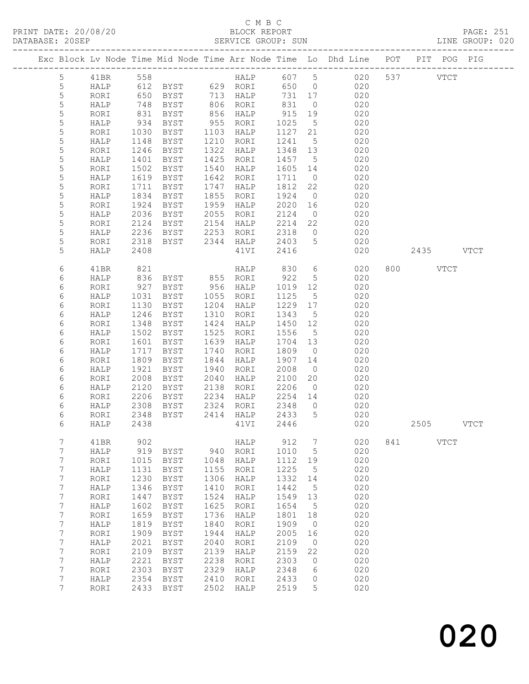### C M B C<br>BLOCK REPORT

|  |             |                |      |                  |               |      |                                        |         |                 | Exc Block Lv Node Time Mid Node Time Arr Node Time Lo Dhd Line POT PIT POG PIG |     |           |             |             |
|--|-------------|----------------|------|------------------|---------------|------|----------------------------------------|---------|-----------------|--------------------------------------------------------------------------------|-----|-----------|-------------|-------------|
|  |             | 5 <sub>5</sub> |      |                  |               |      |                                        |         |                 | 41BR 558 HALP 607 5 020 537 VTCT                                               |     |           |             |             |
|  | 5           |                |      |                  |               |      |                                        |         |                 | HALP 612 BYST 629 RORI 650 0 020                                               |     |           |             |             |
|  | 5           |                | RORI |                  |               |      | 650 BYST 713 HALP                      |         |                 | 731 17 020                                                                     |     |           |             |             |
|  | $\mathsf S$ |                | HALP |                  |               |      |                                        |         | $\overline{0}$  | 020                                                                            |     |           |             |             |
|  | 5           |                | RORI | 748<br>831       |               |      | BYST 806 RORI 831<br>BYST 856 HALP 915 |         |                 | $19$ $020$                                                                     |     |           |             |             |
|  | 5           |                | HALP | 934              | BYST          |      | 955 RORI                               | 1025    |                 | 5 020                                                                          |     |           |             |             |
|  | 5           |                | RORI | 1030             | BYST          |      | 1103 HALP                              | 1127    |                 | 21 020                                                                         |     |           |             |             |
|  | 5           |                | HALP |                  | BYST          |      | 1210 RORI                              | 1241 5  |                 | 020<br>020                                                                     |     |           |             |             |
|  | 5           |                | RORI | $1140$<br>$1246$ | BYST          | 1322 | HALP                                   | 1348 13 |                 |                                                                                |     |           |             |             |
|  | 5           |                | HALP | 1401             | BYST          | 1425 | RORI                                   |         |                 | 1457 5 020                                                                     |     |           |             |             |
|  | 5           |                | RORI | 1502             | BYST          | 1540 | HALP                                   |         |                 | 1605 14 020                                                                    |     |           |             |             |
|  | $\mathsf S$ |                | HALP | 1619             | BYST          |      | 1642 RORI                              | 1711    | $\overline{0}$  | 020                                                                            |     |           |             |             |
|  | $\mathsf S$ |                | RORI | 1711             | BYST          |      | 1747 HALP                              | 1812    | 22              | 020                                                                            |     |           |             |             |
|  | 5           |                | HALP | 1834             | BYST          |      | 1855 RORI                              | 1924    |                 | $0\qquad \qquad 020$                                                           |     |           |             |             |
|  | 5           |                | RORI | 1924             | BYST          | 1959 | HALP                                   |         |                 | 2020 16 020                                                                    |     |           |             |             |
|  | 5           |                | HALP | 2036             | BYST          | 2055 | RORI                                   | 2124    |                 | $\begin{array}{ccc} 0 & 020 \\ 22 & 020 \end{array}$                           |     |           |             |             |
|  | 5           |                | RORI | 2124             | BYST          |      | 2154 HALP                              | 2214    |                 |                                                                                |     |           |             |             |
|  | 5           |                | HALP | 2236             | BYST          | 2253 | RORI                                   |         |                 | $2318$ 0 020                                                                   |     |           |             |             |
|  | 5           |                | RORI | 2318             |               |      | BYST 2344 HALP                         |         |                 | 2403 5 020                                                                     |     |           |             |             |
|  | 5           |                | HALP | 2408             |               |      | 41VI                                   | 2416    |                 | 020                                                                            |     | 2435 VTCT |             |             |
|  | 6           |                | 41BR | 821              |               |      |                                        |         |                 | HALP 830 6 020                                                                 |     | 800 VTCT  |             |             |
|  | 6           |                | HALP | 836              | BYST 855 RORI |      |                                        | 922     |                 | 5 020                                                                          |     |           |             |             |
|  | 6           |                | RORI | 927              | BYST 956 HALP |      |                                        |         |                 | 1019 12 020                                                                    |     |           |             |             |
|  | 6           |                | HALP | 1031             | BYST          |      | 1055 RORI                              | 1125    | 5 <sup>5</sup>  | 020                                                                            |     |           |             |             |
|  | 6           |                | RORI | 1130             | BYST          | 1204 | HALP                                   |         |                 | 1229 17 020                                                                    |     |           |             |             |
|  | 6           |                | HALP | 1246             | BYST          | 1310 | RORI                                   | 1343    |                 | 5 020                                                                          |     |           |             |             |
|  | 6           |                | RORI | 1348             | BYST          | 1424 | HALP                                   |         |                 | 1450 12 020                                                                    |     |           |             |             |
|  | 6           |                | HALP | 1502             | BYST          | 1525 | RORI                                   | 1556    | 5 <sup>5</sup>  | 020                                                                            |     |           |             |             |
|  | 6           |                | RORI | 1601             | BYST          | 1639 | HALP                                   | 1704 13 |                 | 020                                                                            |     |           |             |             |
|  | 6           |                | HALP | 1717             | BYST          | 1740 | RORI                                   | 1809    | $\overline{0}$  | 020                                                                            |     |           |             |             |
|  | 6           |                | RORI | 1809             | BYST          | 1844 | HALP                                   |         |                 | 1907 14 020                                                                    |     |           |             |             |
|  | 6           |                | HALP | 1921             | BYST          | 1940 | RORI                                   | 2008    | $\overline{0}$  | 020                                                                            |     |           |             |             |
|  | 6           |                | RORI | 2008             | BYST          | 2040 | HALP                                   | 2100    | 20              | $020$                                                                          |     |           |             |             |
|  | 6           |                | HALP | 2120             | BYST          |      | 2138 RORI                              |         |                 | 2206 0 020                                                                     |     |           |             |             |
|  | 6           |                | RORI | 2206             |               |      | BYST 2234 HALP                         |         |                 | 2254 14 020                                                                    |     |           |             |             |
|  | 6           |                | HALP | 2308             | BYST          |      | 2324 RORI                              | 2348    | $\overline{0}$  | 020                                                                            |     |           |             |             |
|  | 6           |                |      |                  |               |      | RORI 2348 BYST 2414 HALP 2433 5        |         |                 | 020                                                                            |     |           |             |             |
|  | 6           |                | HALP | 2438             |               |      | 41VI                                   | 2446    |                 | 020                                                                            |     | 2505      |             | <b>VTCT</b> |
|  | 7           |                | 41BR | 902              |               |      | HALP                                   | 912     | 7               | 020                                                                            | 841 |           | <b>VTCT</b> |             |
|  | 7           |                | HALP | 919              | BYST          | 940  | RORI                                   | 1010    | $5\phantom{.0}$ | 020                                                                            |     |           |             |             |
|  | 7           |                | RORI | 1015             | BYST          | 1048 | HALP                                   | 1112    | 19              | 020                                                                            |     |           |             |             |
|  | 7           |                | HALP | 1131             | BYST          | 1155 | RORI                                   | 1225    | 5               | 020                                                                            |     |           |             |             |
|  | 7           |                | RORI | 1230             | <b>BYST</b>   | 1306 | HALP                                   | 1332    | 14              | 020                                                                            |     |           |             |             |
|  | 7           |                | HALP | 1346             | BYST          | 1410 | RORI                                   | 1442    | $5\phantom{.0}$ | 020                                                                            |     |           |             |             |
|  | 7           |                | RORI | 1447             | <b>BYST</b>   | 1524 | HALP                                   | 1549    | 13              | 020                                                                            |     |           |             |             |
|  | 7           |                | HALP | 1602             | BYST          | 1625 | RORI                                   | 1654    | 5               | 020                                                                            |     |           |             |             |
|  | 7           |                | RORI | 1659             | <b>BYST</b>   | 1736 | HALP                                   | 1801    | 18              | 020                                                                            |     |           |             |             |
|  | 7           |                | HALP | 1819             | BYST          | 1840 | RORI                                   | 1909    | $\circ$         | 020                                                                            |     |           |             |             |
|  | 7           |                | RORI | 1909             | <b>BYST</b>   | 1944 | HALP                                   | 2005    | 16              | 020                                                                            |     |           |             |             |
|  | 7           |                | HALP | 2021             | BYST          | 2040 | RORI                                   | 2109    | $\circ$         | 020                                                                            |     |           |             |             |

 7 RORI 2109 BYST 2139 HALP 2159 22 020 7 HALP 2221 BYST 2238 RORI 2303 0 020 7 RORI 2303 BYST 2329 HALP 2348 6 020 7 HALP 2354 BYST 2410 RORI 2433 0 020 7 RORI 2433 BYST 2502 HALP 2519 5 020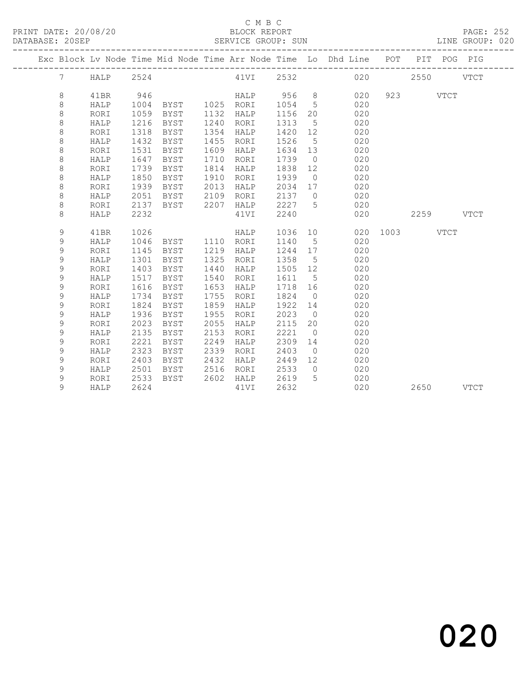#### C M B C<br>BLOCK REPORT SERVICE GROUP: SUN

|  |                 |             |      |                |      |            |         |                | Exc Block Lv Node Time Mid Node Time Arr Node Time Lo Dhd Line POT PIT POG PIG |               |           |  |
|--|-----------------|-------------|------|----------------|------|------------|---------|----------------|--------------------------------------------------------------------------------|---------------|-----------|--|
|  | $7\overline{ }$ | <b>HALP</b> | 2524 |                |      |            |         |                | 41VI 2532 020                                                                  |               | 2550 VTCT |  |
|  | 8               | 41BR        | 946  |                |      | HALP 956 8 |         |                | 020                                                                            |               | 923 VTCT  |  |
|  | 8               | HALP        | 1004 | BYST 1025 RORI |      |            | 1054    | $5^{\circ}$    | 020                                                                            |               |           |  |
|  | $\,8\,$         | RORI        | 1059 | BYST           | 1132 | HALP       | 1156    | 20             | 020                                                                            |               |           |  |
|  | 8               | HALP        | 1216 | BYST           | 1240 | RORI       | 1313    | $5^{\circ}$    | 020                                                                            |               |           |  |
|  | $\,8\,$         | RORI        | 1318 | BYST           | 1354 | HALP       | 1420    | 12             | 020                                                                            |               |           |  |
|  | $\,8\,$         | HALP        | 1432 | BYST           | 1455 | RORI       | 1526    | $5^{\circ}$    | 020                                                                            |               |           |  |
|  | $\,8\,$         | RORI        | 1531 | BYST           | 1609 | HALP       | 1634    | 13             | 020                                                                            |               |           |  |
|  | $\,8\,$         | HALP        | 1647 | BYST           | 1710 | RORI       | 1739    | $\overline{0}$ | 020                                                                            |               |           |  |
|  | 8               | RORI        | 1739 | BYST           | 1814 | HALP       | 1838    | 12             | 020                                                                            |               |           |  |
|  | 8               | HALP        | 1850 | BYST           | 1910 | RORI       | 1939    | $\overline{0}$ | 020                                                                            |               |           |  |
|  | $\,8\,$         | RORI        | 1939 | BYST           | 2013 | HALP       | 2034 17 |                | 020                                                                            |               |           |  |
|  | $\,8\,$         | HALP        | 2051 | BYST           | 2109 | RORI       | 2137 0  |                | 020                                                                            |               |           |  |
|  | $\,8\,$         | RORI        | 2137 | BYST           |      | 2207 HALP  | 2227 5  |                | 020                                                                            |               |           |  |
|  | 8               | HALP        | 2232 |                |      | 41VI       | 2240    |                | 020                                                                            |               | 2259 VTCT |  |
|  |                 |             |      |                |      |            |         |                |                                                                                |               |           |  |
|  | 9               | 41BR        | 1026 |                |      | HALP       | 1036 10 |                |                                                                                | 020 1003 VTCT |           |  |
|  | 9               | HALP        | 1046 | BYST 1110 RORI |      |            | 1140    | $5^{\circ}$    | 020                                                                            |               |           |  |
|  | 9               | RORI        | 1145 | BYST           | 1219 | HALP       | 1244 17 |                | 020                                                                            |               |           |  |
|  | 9               | HALP        | 1301 | BYST           | 1325 | RORI       | 1358    | $5\phantom{0}$ | 020                                                                            |               |           |  |
|  | 9               | RORI        | 1403 | BYST           | 1440 | HALP       | 1505 12 |                | 020                                                                            |               |           |  |
|  | 9               | HALP        | 1517 | BYST           | 1540 | RORI       | 1611    | $5^{\circ}$    | 020                                                                            |               |           |  |
|  | 9               | RORI        | 1616 | BYST           | 1653 | HALP       | 1718 16 |                | 020                                                                            |               |           |  |
|  | 9               | HALP        | 1734 | BYST           | 1755 | RORI       | 1824    | $\overline{0}$ | 020                                                                            |               |           |  |
|  | 9               | RORI        | 1824 | BYST           | 1859 | HALP       | 1922 14 |                | 020                                                                            |               |           |  |
|  | 9               | HALP        | 1936 | BYST           | 1955 | RORI       | 2023    | $\overline{0}$ | 020                                                                            |               |           |  |
|  | 9               | RORI        | 2023 | BYST           | 2055 | HALP       | 2115    | 20             | 020                                                                            |               |           |  |
|  | 9               | HALP        | 2135 | BYST           | 2153 | RORI       | 2221    | $\overline{0}$ | 020                                                                            |               |           |  |
|  | 9               | RORI        | 2221 | BYST           | 2249 | HALP       | 2309    | 14             | 020                                                                            |               |           |  |
|  | 9               | HALP        | 2323 | BYST           | 2339 | RORI       | 2403    | $\overline{0}$ | 020                                                                            |               |           |  |
|  | 9               | RORI        | 2403 | BYST           | 2432 | HALP       | 2449    | 12             | 020                                                                            |               |           |  |
|  | 9               | HALP        | 2501 | BYST           | 2516 | RORI       | 2533    | $\overline{0}$ | 020                                                                            |               |           |  |
|  | 9               | RORI        | 2533 | BYST           | 2602 | HALP       | 2619    | 5              | 020                                                                            |               |           |  |
|  | 9               | HALP        | 2624 |                |      | 41VI       | 2632    |                | 020                                                                            |               | 2650 VTCT |  |
|  |                 |             |      |                |      |            |         |                |                                                                                |               |           |  |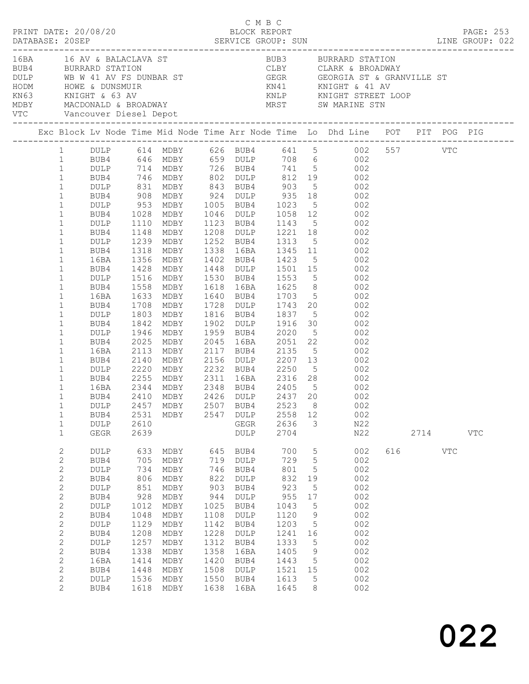|                              | $\begin{array}{cccc}\n\texttt{CRINT} & \texttt{DATE:} & 20/08/20 & \texttt{C} & \texttt{M} & \texttt{B} & \texttt{C}\n\end{array}$ |                      |              |            |              |                 |                      |                                                                                                                                                                                                                                            |     |      |           |  |
|------------------------------|------------------------------------------------------------------------------------------------------------------------------------|----------------------|--------------|------------|--------------|-----------------|----------------------|--------------------------------------------------------------------------------------------------------------------------------------------------------------------------------------------------------------------------------------------|-----|------|-----------|--|
|                              |                                                                                                                                    |                      |              |            |              |                 |                      |                                                                                                                                                                                                                                            |     |      | PAGE: 253 |  |
|                              |                                                                                                                                    |                      |              |            |              |                 |                      |                                                                                                                                                                                                                                            |     |      |           |  |
|                              |                                                                                                                                    |                      |              |            |              |                 |                      |                                                                                                                                                                                                                                            |     |      |           |  |
|                              |                                                                                                                                    |                      |              |            |              |                 |                      | BUBA BURRARD STATION<br>BUBA BURRARD STATION<br>MB W 41 AV FS DUNBAR ST<br>HODM HOWE & DUNSMUIR<br>KN63 KNIGHT & 63 AV KN1 KNIGHT & 41 AV<br>KN63 KNIGHT & 63 AV KNLP KNIGHT STREET LOOP<br>MBY MACDONALD & BROADWAY<br>MEST SW MARINE STN |     |      |           |  |
|                              |                                                                                                                                    |                      |              |            |              |                 |                      |                                                                                                                                                                                                                                            |     |      |           |  |
|                              |                                                                                                                                    |                      |              |            |              |                 |                      |                                                                                                                                                                                                                                            |     |      |           |  |
|                              |                                                                                                                                    |                      |              |            |              |                 |                      |                                                                                                                                                                                                                                            |     |      |           |  |
|                              |                                                                                                                                    |                      |              |            |              |                 |                      |                                                                                                                                                                                                                                            |     |      |           |  |
|                              |                                                                                                                                    |                      |              |            |              |                 |                      |                                                                                                                                                                                                                                            |     |      |           |  |
|                              |                                                                                                                                    |                      |              |            |              |                 |                      |                                                                                                                                                                                                                                            |     |      |           |  |
|                              |                                                                                                                                    |                      |              |            |              |                 |                      | 1 DULP 614 MDBY 626 BUB4 641 5 002 557 VTC<br>1 BUB4 646 MDBY 659 DULP 708 6 002<br>1 DULP 714 MDBY 726 BUB4 741 5 002<br>1 BUB4 746 MDBY 802 DULP 812 19 002                                                                              |     |      |           |  |
|                              |                                                                                                                                    |                      |              |            |              |                 |                      |                                                                                                                                                                                                                                            |     |      |           |  |
|                              |                                                                                                                                    |                      |              |            |              |                 |                      |                                                                                                                                                                                                                                            |     |      |           |  |
|                              |                                                                                                                                    |                      |              |            |              |                 |                      |                                                                                                                                                                                                                                            |     |      |           |  |
| $\mathbf{1}$                 | DULP 831<br>BUB4 908<br>DULP 953                                                                                                   |                      |              |            |              |                 |                      | MDBY 843 BUB4 903 5 002                                                                                                                                                                                                                    |     |      |           |  |
| $\mathbf{1}$                 |                                                                                                                                    |                      |              |            |              |                 |                      | MDBY 924 DULP 935 18 002<br>MDBY 1005 BUB4 1023 5 002                                                                                                                                                                                      |     |      |           |  |
| $\mathbf{1}$                 |                                                                                                                                    | 1028                 |              |            |              |                 |                      | MDBY 1046 DULP 1058 12 002                                                                                                                                                                                                                 |     |      |           |  |
| $\mathbf{1}$<br>$\mathbf{1}$ | BUB4<br>DULP                                                                                                                       |                      | MDBY         |            |              |                 |                      |                                                                                                                                                                                                                                            |     |      |           |  |
| $\mathbf{1}$                 | BUB4                                                                                                                               | 1110<br>1148<br>1239 |              |            |              |                 |                      | 1123 BUB4 1143 5 002                                                                                                                                                                                                                       |     |      |           |  |
| $\mathbf{1}$                 | DULP                                                                                                                               |                      |              |            |              |                 |                      | MDBY 1208 DULP 1221 18 002<br>MDBY 1252 BUB4 1313 5 002                                                                                                                                                                                    |     |      |           |  |
| $\mathbf{1}$                 | BUB4                                                                                                                               | 1318                 |              |            |              |                 |                      | MDBY 1338 16BA 1345 11 002                                                                                                                                                                                                                 |     |      |           |  |
| $\mathbf{1}$                 | 16BA                                                                                                                               | 1356                 | MDBY         |            |              |                 |                      | 1402 BUB4 1423 5 002                                                                                                                                                                                                                       |     |      |           |  |
| $\mathbf{1}$                 | BUB4                                                                                                                               |                      | MDBY         |            |              |                 |                      |                                                                                                                                                                                                                                            |     |      |           |  |
| $\mathbf{1}$                 | DULP                                                                                                                               | 1428<br>1516         |              |            |              |                 |                      | MDBY 1448 DULP 1501 15 002<br>MDBY 1530 BUB4 1553 5 002<br>MDBY 1618 16BA 1625 8 002                                                                                                                                                       |     |      |           |  |
| $\mathbf 1$                  | BUB4                                                                                                                               | 1558                 |              |            |              |                 |                      |                                                                                                                                                                                                                                            |     |      |           |  |
| $\mathbf{1}$                 | 16BA                                                                                                                               | 1633                 |              |            |              |                 |                      | MDBY 1640 BUB4 1703 5 002                                                                                                                                                                                                                  |     |      |           |  |
| $\mathbf{1}$                 | BUB4                                                                                                                               | 1708<br>1803<br>1842 | MDBY         |            |              |                 |                      | 1728 DULP 1743 20 002<br>1816 BUB4 1837 5 002<br>1902 DULP 1916 30 002                                                                                                                                                                     |     |      |           |  |
| $\mathbf{1}$                 | DULP                                                                                                                               |                      | MDBY         |            |              |                 |                      |                                                                                                                                                                                                                                            |     |      |           |  |
| $\mathbf 1$                  | BUB4                                                                                                                               |                      | MDBY         |            |              |                 |                      |                                                                                                                                                                                                                                            |     |      |           |  |
| $\mathbf{1}$                 | DULP                                                                                                                               | 1946                 | MDBY         |            |              |                 |                      | 1959 BUB4 2020 5 002                                                                                                                                                                                                                       |     |      |           |  |
| $\mathbf{1}$                 | BUB4                                                                                                                               | 2025                 | MDBY         |            |              |                 |                      | 2045 16BA 2051 22 002<br>2117 BUB4 2135 5 002<br>2156 DULP 2207 13 002                                                                                                                                                                     |     |      |           |  |
| $\mathbf 1$                  | 16BA                                                                                                                               | 2113<br>2140         | MDBY         |            |              |                 |                      |                                                                                                                                                                                                                                            |     |      |           |  |
| $\mathbf 1$                  | BUB4                                                                                                                               |                      | MDBY         |            |              |                 |                      |                                                                                                                                                                                                                                            |     |      |           |  |
| $\mathbf{1}$                 | DULP                                                                                                                               | 2220                 |              |            |              |                 |                      | MDBY 2232 BUB4 2250 5 002                                                                                                                                                                                                                  |     |      |           |  |
| $\mathbf{1}$                 | BUB4                                                                                                                               | 2255                 |              |            |              |                 |                      | MDBY 2311 16BA 2316 28 002                                                                                                                                                                                                                 |     |      |           |  |
| $\mathbf 1$                  | 16BA                                                                                                                               | 2344<br>2410         |              |            |              |                 |                      | MDBY 2348 BUB4 2405 5 002<br>MDBY 2426 DULP 2437 20 002                                                                                                                                                                                    |     |      |           |  |
| $\mathbf{1}$                 | BUB4                                                                                                                               |                      |              |            |              |                 |                      |                                                                                                                                                                                                                                            |     |      |           |  |
| $\mathbf{1}$                 | DULP 2457 MDBY 2507 BUB4 2523 8 002                                                                                                |                      |              |            |              |                 |                      |                                                                                                                                                                                                                                            |     |      |           |  |
| 1                            | BUB4                                                                                                                               | 2531<br>2610         | MDBY         |            | 2547 DULP    | 2558 12<br>2636 | 3                    | 002<br>N22                                                                                                                                                                                                                                 |     |      |           |  |
| $\mathbf{1}$<br>$\mathbf{1}$ | DULP<br>GEGR                                                                                                                       | 2639                 |              |            | GEGR<br>DULP | 2704            |                      | N22                                                                                                                                                                                                                                        |     | 2714 | VTC       |  |
|                              |                                                                                                                                    |                      |              |            |              |                 |                      |                                                                                                                                                                                                                                            |     |      |           |  |
| $\mathbf{2}$                 | DULP                                                                                                                               | 633                  | MDBY         | 645        | BUB4         | 700<br>729      | 5<br>$5\phantom{.0}$ | 002                                                                                                                                                                                                                                        | 616 | VTC  |           |  |
| $\mathbf{2}$<br>$\mathbf{2}$ | BUB4<br>DULP                                                                                                                       | 705<br>734           | MDBY<br>MDBY | 719<br>746 | DULP<br>BUB4 | 801             | 5                    | 002<br>002                                                                                                                                                                                                                                 |     |      |           |  |
| 2                            | BUB4                                                                                                                               | 806                  | MDBY         | 822        | DULP         | 832             | 19                   | 002                                                                                                                                                                                                                                        |     |      |           |  |
| $\mathbf{2}$                 | DULP                                                                                                                               | 851                  | MDBY         | 903        | BUB4         | 923             | $5\phantom{.0}$      | 002                                                                                                                                                                                                                                        |     |      |           |  |
| $\mathbf{2}$                 | BUB4                                                                                                                               | 928                  | MDBY         | 944        | DULP         | 955             | 17                   | 002                                                                                                                                                                                                                                        |     |      |           |  |
| $\mathbf{2}$                 | DULP                                                                                                                               | 1012                 | MDBY         | 1025       | BUB4         | 1043            | $5\phantom{.0}$      | 002                                                                                                                                                                                                                                        |     |      |           |  |
| $\mathbf{2}$                 | BUB4                                                                                                                               | 1048                 | MDBY         | 1108       | DULP         | 1120            | $\overline{9}$       | 002                                                                                                                                                                                                                                        |     |      |           |  |
| $\mathbf{2}$                 | DULP                                                                                                                               | 1129                 | MDBY         | 1142       | BUB4         | 1203            | $5^{\circ}$          | 002                                                                                                                                                                                                                                        |     |      |           |  |
| $\mathbf{2}$                 | BUB4                                                                                                                               | 1208                 | MDBY         | 1228       | DULP         | 1241            | 16                   | 002                                                                                                                                                                                                                                        |     |      |           |  |
| $\mathbf{2}$                 | DULP                                                                                                                               | 1257                 | MDBY         | 1312       | BUB4         | 1333            | $5^{\circ}$          | 002                                                                                                                                                                                                                                        |     |      |           |  |
| $\mathbf{2}$                 | BUB4                                                                                                                               | 1338                 | MDBY         | 1358       | 16BA         | 1405            | 9                    | 002                                                                                                                                                                                                                                        |     |      |           |  |
| $\mathbf{2}$                 | 16BA                                                                                                                               | 1414                 | MDBY         | 1420       | BUB4         | 1443            | $5^{\circ}$          | 002                                                                                                                                                                                                                                        |     |      |           |  |
| $\mathbf{2}$                 | BUB4                                                                                                                               | 1448                 | MDBY         | 1508       | DULP         | 1521            | 15                   | 002                                                                                                                                                                                                                                        |     |      |           |  |
| $\mathbf{2}$                 | DULP                                                                                                                               | 1536                 | MDBY         | 1550       | BUB4         | 1613            | $5\phantom{.0}$      | 002                                                                                                                                                                                                                                        |     |      |           |  |
| $\overline{2}$               | BUB4                                                                                                                               | 1618                 | MDBY         | 1638       | 16BA         | 1645            | 8                    | 002                                                                                                                                                                                                                                        |     |      |           |  |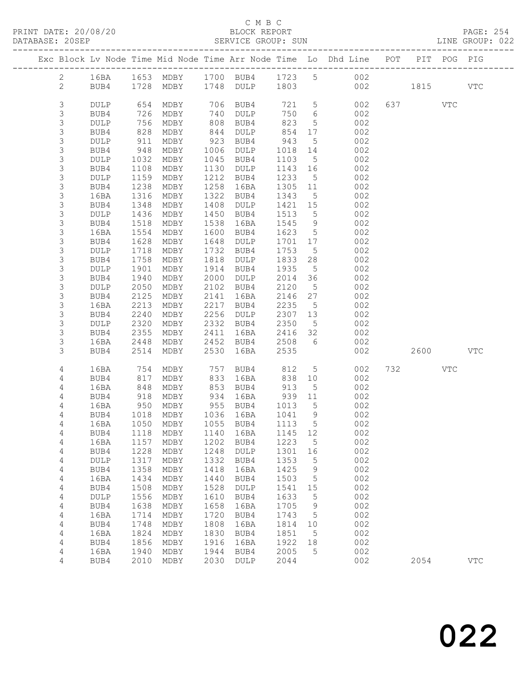### C M B C<br>BLOCK REPORT

SERVICE GROUP: SUN

|  |                  |              |              |                                  |              |                     |              |                   | Exc Block Lv Node Time Mid Node Time Arr Node Time Lo Dhd Line POT |           | PIT POG PIG |              |
|--|------------------|--------------|--------------|----------------------------------|--------------|---------------------|--------------|-------------------|--------------------------------------------------------------------|-----------|-------------|--------------|
|  | $\overline{2}$   | 16BA         |              |                                  |              |                     |              |                   | 1653 MDBY 1700 BUB4 1723 5 002                                     |           |             |              |
|  | $\mathbf{2}$     | BUB4         |              | 1728 MDBY 1748 DULP 1803         |              |                     |              |                   | 002 1815                                                           |           |             | <b>VTC</b>   |
|  |                  |              |              |                                  |              |                     |              |                   |                                                                    |           |             |              |
|  | 3                | <b>DULP</b>  |              | 654 MDBY                         |              | 706 BUB4            |              |                   | 721 5<br>002                                                       | 637 VTC   |             |              |
|  | 3                | BUB4         | 726          | MDBY                             | 740          | DULP                | 750          | 6                 | 002                                                                |           |             |              |
|  | 3                | <b>DULP</b>  | 756          | MDBY                             | 808          | BUB4                | 823          | 5 <sup>5</sup>    | 002                                                                |           |             |              |
|  | $\mathsf S$      | BUB4         | 828          | MDBY                             | 844          | DULP                | 854          | 17                | 002                                                                |           |             |              |
|  | 3                | DULP         | 911          | MDBY                             | 923          | BUB4                | 943          | $5^{\circ}$       | 002                                                                |           |             |              |
|  | 3                | BUB4         | 948          | MDBY                             | 1006         | DULP                | 1018         | 14                | 002                                                                |           |             |              |
|  | 3                | <b>DULP</b>  | 1032         | MDBY                             | 1045         | BUB4                | 1103         | 5 <sup>5</sup>    | 002                                                                |           |             |              |
|  | $\mathsf 3$      | BUB4         | 1108         | MDBY                             | 1130         | DULP                | 1143 16      |                   | 002                                                                |           |             |              |
|  | 3                | DULP         | 1159         | MDBY                             | 1212         | BUB4                | 1233         | $5\overline{)}$   | 002                                                                |           |             |              |
|  | $\mathsf 3$      | BUB4         | 1238         | MDBY                             | 1258         | 16BA                | 1305 11      |                   | 002                                                                |           |             |              |
|  | 3                | 16BA         | 1316         | MDBY                             | 1322         | BUB4                | 1343         | $5\overline{)}$   | 002                                                                |           |             |              |
|  | $\mathsf 3$      | BUB4         | 1348         | MDBY                             | 1408         | DULP                | 1421         | 15                | 002                                                                |           |             |              |
|  | 3                | DULP         | 1436         | MDBY                             | 1450         | BUB4                | 1513         | $5^{\circ}$       | 002                                                                |           |             |              |
|  | $\mathsf 3$      | BUB4         | 1518         | MDBY                             | 1538         | 16BA                | 1545         | 9                 | 002                                                                |           |             |              |
|  | 3                | 16BA         | 1554         | MDBY                             | 1600         | BUB4                | 1623         | $5\overline{)}$   | 002                                                                |           |             |              |
|  | $\mathsf 3$      | BUB4         | 1628         | MDBY                             | 1648         | DULP                | 1701 17      |                   | 002                                                                |           |             |              |
|  | 3                | DULP         | 1718         | MDBY                             | 1732         | BUB4                | 1753         | $5\overline{)}$   | 002                                                                |           |             |              |
|  | 3                | BUB4         | 1758         | MDBY                             | 1818         | DULP                | 1833         | 28                | 002                                                                |           |             |              |
|  | 3                | DULP         | 1901         | MDBY                             | 1914         | BUB4                | 1935         | $5\overline{)}$   | 002                                                                |           |             |              |
|  | $\mathsf 3$      | BUB4         | 1940         | MDBY                             | 2000         | DULP                | 2014         | 36                | 002                                                                |           |             |              |
|  | $\mathsf 3$      | DULP         | 2050         | MDBY                             | 2102         | BUB4                | 2120         | $5\overline{)}$   | 002                                                                |           |             |              |
|  | 3<br>$\mathsf 3$ | BUB4<br>16BA | 2125<br>2213 | MDBY<br>MDBY                     | 2141<br>2217 | 16BA<br>BUB4        | 2146<br>2235 | 27<br>$5^{\circ}$ | 002<br>002                                                         |           |             |              |
|  | 3                | BUB4         | 2240         | MDBY                             | 2256         | DULP                | 2307 13      |                   | 002                                                                |           |             |              |
|  | $\mathsf S$      | DULP         | 2320         | MDBY                             | 2332         | BUB4                | 2350         | $5\overline{)}$   | 002                                                                |           |             |              |
|  | 3                | BUB4         | 2355         | MDBY                             | 2411         | 16BA                | 2416 32      |                   | 002                                                                |           |             |              |
|  | 3                | 16BA         | 2448         | MDBY                             | 2452         | BUB4                | 2508         | 6                 | 002                                                                |           |             |              |
|  | 3                | BUB4         | 2514         | MDBY                             | 2530         | 16BA                | 2535         |                   | 002                                                                | 2600 2600 |             | VTC          |
|  |                  |              |              |                                  |              |                     |              |                   |                                                                    |           |             |              |
|  | 4                | 16BA         | 754          | MDBY                             | 757          | BUB4                | 812          | $5\overline{)}$   | 002                                                                | 732       | VTC         |              |
|  | 4                | BUB4         | 817          | MDBY                             | 833          | 16BA                | 838          | 10                | 002                                                                |           |             |              |
|  | 4                | 16BA         | 848          | MDBY                             | 853          | BUB4                | 913          | $5^{\circ}$       | 002                                                                |           |             |              |
|  | 4                | BUB4         | 918          | MDBY                             | 934          | 16BA                | 939          | 11                | 002                                                                |           |             |              |
|  | 4                | 16BA         | 950          | MDBY                             |              | 955 BUB4            | 1013         | 5 <sup>5</sup>    | 002                                                                |           |             |              |
|  | 4                | BUB4         |              | 1018 MDBY                        |              | 1036 16BA           | 1041 9       |                   | 002                                                                |           |             |              |
|  | 4                | 16BA         |              | 1050 MDBY                        |              | 1055 BUB4           | 1113 5       |                   | 002                                                                |           |             |              |
|  | 4                |              |              | BUB4 1118 MDBY 1140 16BA 1145 12 |              |                     |              |                   | 002                                                                |           |             |              |
|  | 4<br>4           | 16BA<br>BUB4 | 1157<br>1228 | MDBY<br>MDBY                     | 1202<br>1248 | BUB4<br><b>DULP</b> | 1223<br>1301 | 5<br>16           | 002<br>002                                                         |           |             |              |
|  | 4                | DULP         | 1317         | MDBY                             | 1332         | BUB4                | 1353         | 5                 | 002                                                                |           |             |              |
|  | 4                | BUB4         | 1358         | MDBY                             | 1418         | 16BA                | 1425         | 9                 | 002                                                                |           |             |              |
|  | 4                | 16BA         | 1434         | MDBY                             | 1440         | BUB4                | 1503         | 5                 | 002                                                                |           |             |              |
|  | 4                | BUB4         | 1508         | MDBY                             | 1528         | <b>DULP</b>         | 1541         | 15                | 002                                                                |           |             |              |
|  | 4                | DULP         | 1556         | MDBY                             | 1610         | BUB4                | 1633         | 5                 | 002                                                                |           |             |              |
|  | $\overline{4}$   | BUB4         | 1638         | MDBY                             | 1658         | 16BA                | 1705         | 9                 | 002                                                                |           |             |              |
|  | 4                | 16BA         | 1714         | MDBY                             | 1720         | BUB4                | 1743         | 5                 | 002                                                                |           |             |              |
|  | 4                | BUB4         | 1748         | MDBY                             | 1808         | 16BA                | 1814         | 10                | 002                                                                |           |             |              |
|  | 4                | 16BA         | 1824         | MDBY                             | 1830         | BUB4                | 1851         | 5                 | 002                                                                |           |             |              |
|  | $\overline{4}$   | BUB4         | 1856         | MDBY                             | 1916         | 16BA                | 1922         | 18                | 002                                                                |           |             |              |
|  | $\overline{4}$   | 16BA         | 1940         | MDBY                             | 1944         | BUB4                | 2005         | 5                 | 002                                                                |           |             |              |
|  | 4                | BUB4         | 2010         | MDBY                             | 2030         | <b>DULP</b>         | 2044         |                   | 002                                                                | 2054      |             | $_{\rm VTC}$ |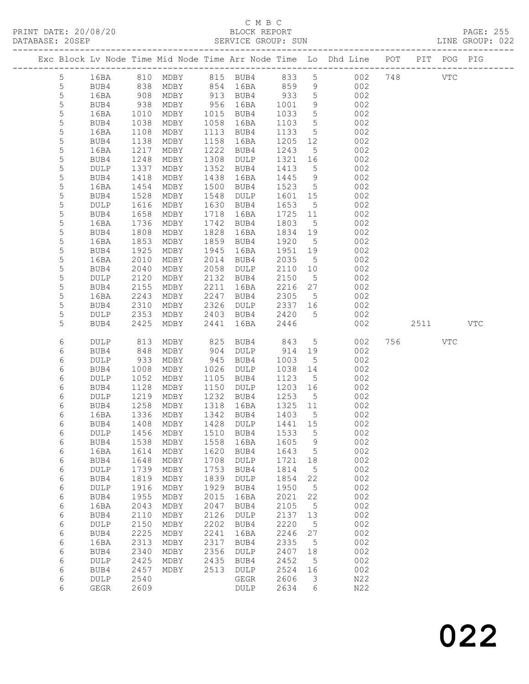PRINT DATE: 20/08/20 BLOCK REPORT BATABASE: 205EP

## C M B C<br>BLOCK REPORT

PAGE: 255<br>LINE GROUP: 022

|  |                |                 |              |                           |              |              |                 |                 | Exc Block Lv Node Time Mid Node Time Arr Node Time Lo Dhd Line POT PIT POG PIG |         |            |            |
|--|----------------|-----------------|--------------|---------------------------|--------------|--------------|-----------------|-----------------|--------------------------------------------------------------------------------|---------|------------|------------|
|  | 5 <sub>5</sub> | 16BA            |              |                           |              |              |                 |                 | 810 MDBY 815 BUB4 833 5 002 748                                                |         | <b>VTC</b> |            |
|  | 5              | BUB4            | 838          | MDBY                      |              | 854 16BA     | 859             |                 | 9 002                                                                          |         |            |            |
|  | 5              | 16BA            |              | MDBY                      |              | 913 BUB4     | 933             | 5 <sup>5</sup>  | 002                                                                            |         |            |            |
|  | $\mathsf S$    | BUB4            | 908<br>938   | MDBY                      | 956          | 16BA         | 1001            | 9               | 002                                                                            |         |            |            |
|  | 5              | 16BA            | 1010         | MDBY                      | 1015         | BUB4         | 1033            | $5\overline{)}$ | 002                                                                            |         |            |            |
|  | 5              | BUB4            | 1038         | MDBY                      | 1058         | 16BA         | 1103            | $5\overline{)}$ | 002                                                                            |         |            |            |
|  | 5              | 16BA            | 1108         | MDBY                      |              | 1113 BUB4    | 1133            | $5\overline{)}$ | 002                                                                            |         |            |            |
|  | 5              | BUB4            | 1138         | MDBY                      | 1158         | 16BA         | 1205            | 12              | 002                                                                            |         |            |            |
|  | 5              | 16BA            | 1217         | MDBY                      | 1222         | BUB4         | 1243            | $5\overline{)}$ | 002                                                                            |         |            |            |
|  | 5              | BUB4            | 1248         | MDBY                      | 1308         | DULP         | 1321            | 16              | 002                                                                            |         |            |            |
|  | 5              | DULP            | 1337         | MDBY                      | 1352         | BUB4         | 1413            | 5               | 002                                                                            |         |            |            |
|  | $\mathsf S$    | BUB4            | 1418         | MDBY                      | 1438         | 16BA         | 1445            | 9               | 002                                                                            |         |            |            |
|  | 5              | 16BA            | 1454         | MDBY                      | 1500         | BUB4         | 1523            | $5\overline{)}$ | 002                                                                            |         |            |            |
|  | 5              | BUB4            | 1528         | MDBY                      | 1548         | DULP         | 1601            | 15              | 002                                                                            |         |            |            |
|  | 5              | <b>DULP</b>     | 1616         | MDBY                      | 1630         | BUB4         | 1653            | $5^{\circ}$     | 002                                                                            |         |            |            |
|  | $\mathsf S$    | BUB4            | 1658         | MDBY                      | 1718         | 16BA         | 1725            | 11              | 002                                                                            |         |            |            |
|  | 5              | 16BA            | 1736         | MDBY                      | 1742         | BUB4         | 1803            | $5^{\circ}$     | 002                                                                            |         |            |            |
|  | 5              | BUB4            | 1808         | MDBY                      | 1828         | 16BA         | 1834            | 19              | 002                                                                            |         |            |            |
|  | 5              | 16BA            | 1853         | MDBY                      | 1859         | BUB4         | 1920            | $5^{\circ}$     | 002                                                                            |         |            |            |
|  | $\mathsf S$    | BUB4            | 1925         | MDBY                      | 1945         | 16BA         | 1951            | 19              | 002                                                                            |         |            |            |
|  | 5              | 16BA            | 2010         | MDBY                      | 2014         | BUB4         | 2035            | $5\overline{)}$ | 002                                                                            |         |            |            |
|  | 5              | BUB4            | 2040         | MDBY                      | 2058         | DULP         | 2110            | 10              | 002                                                                            |         |            |            |
|  | 5              | DULP            | 2120         | MDBY                      | 2132         | BUB4         | 2150            | $5^{\circ}$     | 002                                                                            |         |            |            |
|  | 5              | BUB4            | 2155         | MDBY                      | 2211         | 16BA         | 2216            | 27              | 002                                                                            |         |            |            |
|  | 5<br>5         | 16BA            | 2243<br>2310 | MDBY                      | 2247<br>2326 | BUB4         | 2305<br>2337 16 | $5^{\circ}$     | 002<br>002                                                                     |         |            |            |
|  | 5              | BUB4            | 2353         | MDBY                      |              | DULP         | 2420            | 5 <sup>5</sup>  |                                                                                |         |            |            |
|  | 5              | DULP<br>BUB4    | 2425         | MDBY<br>MDBY              | 2403<br>2441 | BUB4<br>16BA | 2446            |                 | 002<br>002                                                                     | 2511    |            | <b>VTC</b> |
|  |                |                 |              |                           |              |              |                 |                 |                                                                                |         |            |            |
|  | 6              | DULP            | 813          | MDBY                      | 825          | BUB4         | 843             | $5\overline{)}$ | 002                                                                            | 756 VTC |            |            |
|  | 6              | BUB4            | 848          | MDBY                      | 904          | DULP         | 914             | 19              | 002                                                                            |         |            |            |
|  | 6              | <b>DULP</b>     | 933          | MDBY                      | 945          | BUB4         | 1003            | 5               | 002                                                                            |         |            |            |
|  | 6              | BUB4            | 1008         | MDBY                      | 1026         | DULP         | 1038            | 14              | 002                                                                            |         |            |            |
|  | 6              | DULP            | 1052         | MDBY                      | 1105         | BUB4         | 1123            | $5^{\circ}$     | 002                                                                            |         |            |            |
|  | 6              | BUB4            | 1128         | MDBY                      | 1150         | DULP         | 1203            | 16              | 002                                                                            |         |            |            |
|  | 6              | DULP            | 1219         | MDBY                      | 1232         | BUB4         | 1253            | $5^{\circ}$     | 002                                                                            |         |            |            |
|  | 6              | BUB4            | 1258         | MDBY                      | 1318         | 16BA         | 1325            | 11              | 002                                                                            |         |            |            |
|  | 6              | 16BA            | 1336         | MDBY                      | 1342         | BUB4         | 1403            | $5^{\circ}$     | 002                                                                            |         |            |            |
|  | 6              | BUB4            |              | 1408 MDBY                 |              | 1428 DULP    | 1441 15         |                 | 002                                                                            |         |            |            |
|  | 6              | $\texttt{DULP}$ | 1456         | MDBY                      | 1510         | BUB4         | 1533            | $5\phantom{.0}$ | 002                                                                            |         |            |            |
|  | $\epsilon$     | BUB4            | 1538         | MDBY                      | 1558         | 16BA         | 1605            | 9               | 002                                                                            |         |            |            |
|  | $\epsilon$     | 16BA            | 1614         | MDBY                      | 1620<br>1708 | BUB4         | 1643            | 5               | 002<br>002                                                                     |         |            |            |
|  | 6<br>6         | BUB4<br>DULP    | 1648<br>1739 | MDBY<br>$\texttt{MDBY}{}$ | 1753         | DULP<br>BUB4 | 1721<br>1814    | 18<br>5         | 002                                                                            |         |            |            |
|  | $\epsilon$     | BUB4            | 1819         | MDBY                      | 1839         | <b>DULP</b>  | 1854            | 22              | 002                                                                            |         |            |            |
|  | $\epsilon$     | DULP            | 1916         | MDBY                      | 1929         | BUB4         | 1950            | 5               | 002                                                                            |         |            |            |
|  | 6              | BUB4            | 1955         | MDBY                      | 2015         | 16BA         | 2021            | 22              | 002                                                                            |         |            |            |
|  | 6              | 16BA            | 2043         | MDBY                      | 2047         | BUB4         | 2105            | 5               | 002                                                                            |         |            |            |
|  | $\epsilon$     | BUB4            | 2110         | MDBY                      | 2126         | <b>DULP</b>  | 2137            | 13              | 002                                                                            |         |            |            |
|  | 6              | DULP            | 2150         | MDBY                      | 2202         | BUB4         | 2220            | 5               | 002                                                                            |         |            |            |
|  | 6              | BUB4            | 2225         | MDBY                      | 2241         | 16BA         | 2246            | 27              | 002                                                                            |         |            |            |
|  | 6              | 16BA            | 2313         | MDBY                      | 2317         | BUB4         | 2335            | 5               | 002                                                                            |         |            |            |
|  | $\epsilon$     | BUB4            | 2340         | MDBY                      | 2356         | <b>DULP</b>  | 2407            | 18              | 002                                                                            |         |            |            |
|  | 6              | DULP            | 2425         | MDBY                      | 2435         | BUB4         | 2452            | 5               | 002                                                                            |         |            |            |
|  | 6              | BUB4            | 2457         | MDBY                      | 2513         | DULP         | 2524            | 16              | 002                                                                            |         |            |            |
|  | 6              | DULP            | 2540         |                           |              | GEGR         | 2606            | 3               | N22                                                                            |         |            |            |
|  | $\epsilon$     | <b>GEGR</b>     | 2609         |                           |              | DULP         | 2634            | 6               | N22                                                                            |         |            |            |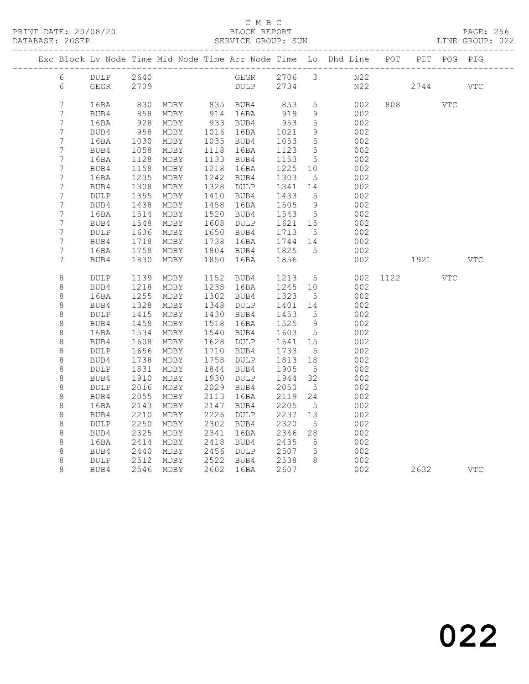PRINT DATE: 20/08/20 BLOCK REPORT<br>DATABASE: 20SEP SERVICE GROUP: SUN

### C M B C<br>BLOCK REPORT

PAGE: 256<br>LINE GROUP: 022

|                                   |                 |              |                      |      |                        |                      |                      | Exc Block Lv Node Time Mid Node Time Arr Node Time Lo Dhd Line POT |          | PIT POG PIG |     |
|-----------------------------------|-----------------|--------------|----------------------|------|------------------------|----------------------|----------------------|--------------------------------------------------------------------|----------|-------------|-----|
|                                   |                 |              | 6 DULP 2640          |      |                        |                      |                      | GEGR 2706 3 N22                                                    |          |             |     |
| $6\degree$                        | GEGR            |              | 2709                 |      |                        |                      |                      | DULP 2734 N22 2744 VTC                                             |          |             |     |
|                                   |                 |              |                      |      |                        |                      |                      |                                                                    |          |             |     |
| $\overline{7}$                    | 16BA            | 830          |                      |      | MDBY 835 BUB4 853      |                      | 5 <sup>5</sup>       | 002                                                                | 808 808  | <b>VTC</b>  |     |
| $7\phantom{.0}$                   | BUB4            |              | 858 MDBY<br>928 MDBY |      | 914 16BA               | 919<br>953           | 9                    | 002                                                                |          |             |     |
| $7\phantom{.0}$<br>$\overline{7}$ | 16BA<br>BUB4    | 958          | MDBY                 |      | 933 BUB4<br>1016 16BA  |                      | $5\overline{)}$<br>9 | 002<br>002                                                         |          |             |     |
| 7                                 | 16BA            | 1030         | MDBY                 |      | 1035 BUB4              | 1021<br>1053         | $5\overline{)}$      | 002                                                                |          |             |     |
| $\boldsymbol{7}$                  | BUB4            | 1058         | MDBY                 |      | 1118 16BA              | 1123                 | $5\overline{)}$      | 002                                                                |          |             |     |
| $\boldsymbol{7}$                  | 16BA            | 1128         | MDBY                 |      | 1133 BUB4              | 1153                 | $5\overline{)}$      | 002                                                                |          |             |     |
| $\boldsymbol{7}$                  | BUB4            | 1158         | MDBY                 | 1218 | 16BA                   | 1225 10              |                      | 002                                                                |          |             |     |
| 7                                 | 16BA            | 1235         | MDBY                 | 1242 | BUB4                   | 1303                 | 5 <sup>5</sup>       | 002                                                                |          |             |     |
| $7\phantom{.0}$                   | BUB4            | 1308         | MDBY                 |      | 1328 DULP 1341         |                      | 14                   | 002                                                                |          |             |     |
| 7                                 | DULP            | 1355         | MDBY                 |      | 1410 BUB4              | 1433<br>1505         | $5^{\circ}$          | 002                                                                |          |             |     |
| $\overline{7}$                    | BUB4            | 1438         | MDBY                 | 1458 | 16BA                   |                      | 9                    | 002                                                                |          |             |     |
| 7                                 | 16BA            | 1514         | MDBY                 |      | 1520 BUB4              |                      | $5\overline{)}$      | 002                                                                |          |             |     |
| $\boldsymbol{7}$                  | BUB4            | 1548         | MDBY                 | 1608 |                        | 1621 15              |                      | 002                                                                |          |             |     |
| $\boldsymbol{7}$                  | DULP            | 1636         | MDBY                 |      | 1650 BUB4 1713         |                      | $5^{\circ}$          | 002                                                                |          |             |     |
| $\overline{7}$<br>7               | BUB4            | 1718<br>1758 | MDBY                 | 1738 | 16BA<br>1804 BUB4 1825 | 1744 14              |                      | 002<br>002                                                         |          |             |     |
| 7                                 | 16BA<br>BUB4    | 1830         | MDBY<br>MDBY         | 1850 | 16BA                   | 1856                 | 5 <sup>5</sup>       | 002                                                                | 1921     |             | VTC |
|                                   |                 |              |                      |      |                        |                      |                      |                                                                    |          |             |     |
| $\,8\,$                           | DULP            | 1139         | MDBY                 |      | 1152 BUB4              | 1213                 |                      | $\frac{5}{10}$                                                     | 002 1122 | <b>VTC</b>  |     |
| 8                                 | BUB4            | 1218         | MDBY                 |      | 1238 16BA              | 1213 5<br>1245 10    |                      | 002                                                                |          |             |     |
| 8                                 | 16BA            | 1255         | MDBY                 |      | 1302 BUB4              | 1323                 | $5\overline{)}$      | 002                                                                |          |             |     |
| $\,8\,$                           | BUB4            | 1328         | MDBY                 | 1348 | DULP                   | 1401 14              |                      | 002                                                                |          |             |     |
| 8                                 | DULP            | 1415         | MDBY                 |      | 1430 BUB4              | 1453                 | $5^{\circ}$          | 002                                                                |          |             |     |
| 8                                 | BUB4            | 1458         | MDBY                 | 1518 | 16BA                   | 1525<br>1603         | 9                    | 002                                                                |          |             |     |
| 8                                 | 16BA            | 1534         | MDBY                 | 1540 | BUB4                   |                      | $5\overline{)}$      | 002                                                                |          |             |     |
| 8                                 | BUB4            | 1608         | MDBY                 | 1628 | DULP                   | 1641<br>1641<br>1733 | 15                   | 002                                                                |          |             |     |
| 8<br>8                            | DULP<br>BUB4    | 1656<br>1738 | MDBY<br>MDBY         | 1758 | 1710 BUB4<br>DULP      |                      | $5^{\circ}$<br>18    | 002<br>002                                                         |          |             |     |
| $\,8\,$                           | $\texttt{DULP}$ | 1831         | MDBY                 |      | 1844 BUB4              | 1813<br>1905         | $5\overline{)}$      | 002                                                                |          |             |     |
| 8                                 | BUB4            | 1910         | MDBY                 | 1930 | DULP                   | 1944                 | 32                   | 002                                                                |          |             |     |
| 8                                 | DULP            | 2016         | MDBY                 | 2029 | BUB4                   | 2050                 | $5\phantom{.0}$      | 002                                                                |          |             |     |
| 8                                 | BUB4            | 2055         | MDBY                 | 2113 | 16BA                   | 2119                 | 24                   | 002                                                                |          |             |     |
| $\,8\,$                           | 16BA            | 2143         | MDBY                 | 2147 | BUB4                   |                      | $5\overline{)}$      | 002                                                                |          |             |     |
| 8                                 | BUB4            | 2210         | MDBY                 | 2226 | DULP                   | 2205<br>2237         | 13                   | 002                                                                |          |             |     |
| 8                                 | DULP            | 2250         | MDBY                 | 2302 | BUB4                   | 2320 5<br>2346 28    |                      | 002                                                                |          |             |     |
| $\,8\,$                           | BUB4            | 2325         | MDBY                 | 2341 | 16BA                   |                      |                      | 002                                                                |          |             |     |
| $\,8\,$                           | 16BA            | 2414         | MDBY                 |      | 2418 BUB4              | 2435                 | $5\overline{)}$      | 002                                                                |          |             |     |
| 8                                 | BUB4            | 2440         | MDBY                 |      | 2456 DULP 2507         |                      | $5\overline{)}$      | 002                                                                |          |             |     |
| 8                                 | DULP            |              | 2512 MDBY            |      | 2522 BUB4 2538         |                      | 8 <sup>8</sup>       | 002                                                                |          |             |     |
| 8                                 | BUB4            |              | 2546 MDBY            |      | 2602 16BA              | 2607                 |                      | 002                                                                | 2632     |             | VTC |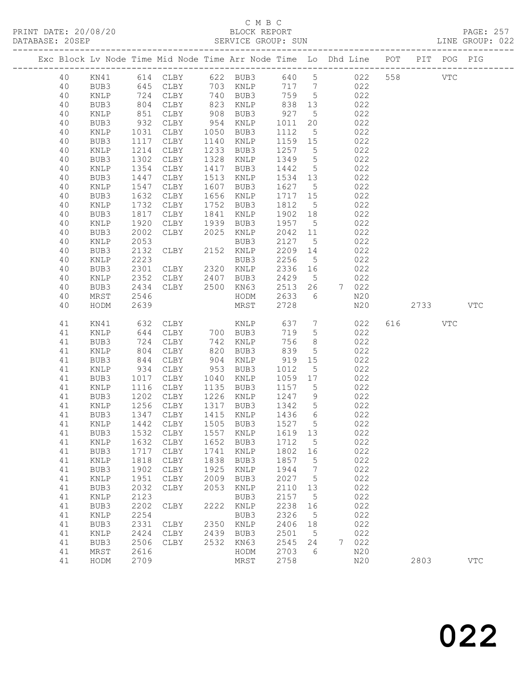### C M B C

| DATABASE: 20SEP |    |                 |                   |                                             |      | SERVICE GROUP: SUN                              |                 |                 |                                                                                |         | LINE GROUP: 022 |  |
|-----------------|----|-----------------|-------------------|---------------------------------------------|------|-------------------------------------------------|-----------------|-----------------|--------------------------------------------------------------------------------|---------|-----------------|--|
|                 |    |                 |                   |                                             |      |                                                 |                 |                 | Exc Block Lv Node Time Mid Node Time Arr Node Time Lo Dhd Line POT PIT POG PIG |         |                 |  |
|                 | 40 |                 |                   |                                             |      |                                                 |                 |                 | KN41 614 CLBY 622 BUB3 640 5 022 558 VTC                                       |         |                 |  |
|                 | 40 | BUB3            |                   |                                             |      | 645 CLBY 703 KNLP                               |                 |                 | 717 7 022                                                                      |         |                 |  |
|                 | 40 | KNLP            | 724<br>804<br>851 |                                             |      | CLBY 740 BUB3<br>CLBY 823 KNLP<br>CLBY 908 BUB3 | 759 5           |                 | 022                                                                            |         |                 |  |
|                 | 40 | BUB3            |                   |                                             |      |                                                 |                 |                 | 022                                                                            |         |                 |  |
|                 | 40 | KNLP            |                   |                                             |      |                                                 | 838 13<br>927 5 |                 | 022                                                                            |         |                 |  |
|                 | 40 | BUB3            | 932               | CLBY                                        |      | 954 KNLP                                        | 1011            | 20              | 022                                                                            |         |                 |  |
|                 | 40 | KNLP            | 1031              | CLBY                                        |      | 1050 BUB3                                       | 1112            | 5 <sup>5</sup>  | 022                                                                            |         |                 |  |
|                 | 40 | BUB3            | 1117              | CLBY                                        |      | 1140 KNLP                                       | 1159 15         |                 | 022                                                                            |         |                 |  |
|                 | 40 | KNLP            | 1214              | CLBY                                        |      | 1233 BUB3                                       | 1257 5          |                 | 022                                                                            |         |                 |  |
|                 | 40 | BUB3            | 1302              | CLBY                                        |      | 1328 KNLP                                       | 1349            | $5\overline{)}$ | 022                                                                            |         |                 |  |
|                 | 40 | KNLP            | 1354              | CLBY                                        | 1417 | BUB3                                            | 1442            | $5\overline{)}$ | 022                                                                            |         |                 |  |
|                 | 40 | BUB3            | 1447              | CLBY                                        |      | 1513 KNLP                                       | 1534 13         |                 | 022                                                                            |         |                 |  |
|                 | 40 | $\texttt{KNLP}$ | 1547              | CLBY                                        |      | 1607 BUB3                                       | 1627 5          |                 | 022                                                                            |         |                 |  |
|                 | 40 | BUB3            | 1632              | CLBY                                        |      | 1656 KNLP                                       | 1717 15         |                 | 022                                                                            |         |                 |  |
|                 | 40 | KNLP            | 1732              | CLBY                                        |      | 1752 BUB3                                       | 1812            | $5\overline{)}$ | 022                                                                            |         |                 |  |
|                 | 40 | BUB3            | 1817              | CLBY                                        |      | 1841 KNLP                                       | 1902 18         |                 | 022                                                                            |         |                 |  |
|                 | 40 | KNLP            | $10 - 1920$       | CLBY                                        |      | 1939 BUB3                                       | 1957 5          |                 | 022                                                                            |         |                 |  |
|                 | 40 | BUB3            | 2002              | CLBY 2025 KNLP                              |      |                                                 | 2042 11         |                 | 022                                                                            |         |                 |  |
|                 | 40 | KNLP            | 2053              |                                             |      | BUB3                                            | 2127            | $5\overline{)}$ | 022                                                                            |         |                 |  |
|                 | 40 | BUB3            | 2132              | CLBY                                        |      | 2152 KNLP                                       | 2209 14         |                 | 022                                                                            |         |                 |  |
|                 | 40 | $\texttt{KNLP}$ | 2223              |                                             |      | BUB3                                            | 2256            | $5\overline{)}$ | 022                                                                            |         |                 |  |
|                 | 40 | BUB3            | 2301              | CLBY 2320 KNLP                              |      |                                                 | 2336 16         |                 | 022                                                                            |         |                 |  |
|                 | 40 | KNLP            | 2352              | CLBY 2407 BUB3                              |      |                                                 | 2429            | $5\overline{)}$ | 022                                                                            |         |                 |  |
|                 | 40 | BUB3            | 2434              | CLBY 2500 KN63                              |      |                                                 | 2513            | 26              | 7 022                                                                          |         |                 |  |
|                 | 40 | MRST            | 2546              |                                             |      | HODM                                            | 2633 6          |                 | N20                                                                            |         |                 |  |
|                 | 40 | HODM            | 2639              |                                             |      | MRST                                            | 2728            |                 | N20                                                                            | 2733    | VTC             |  |
|                 | 41 | KN41            | 632               |                                             |      |                                                 | 637 7           |                 | 022                                                                            | 616 VTC |                 |  |
|                 | 41 | KNLP            | 644               | CLBY KNLP<br>CLBY 700 BUB3<br>CLBY 742 KNLP |      |                                                 | 719             | $5\overline{)}$ | 022                                                                            |         |                 |  |
|                 | 41 | BUB3            | 724               | CLBY                                        |      | 742 KNLP                                        | 756             | 8 <sup>8</sup>  | 022                                                                            |         |                 |  |
|                 | 41 | KNLP            | 804               | CLBY                                        |      | 820 BUB3                                        | 839             | $5\overline{)}$ | 022                                                                            |         |                 |  |
|                 | 41 | BUB3            | 844               | CLBY                                        |      | 904 KNLP                                        | 919             | 15              | 022                                                                            |         |                 |  |
|                 | 41 | KNLP            | 934               | CLBY                                        |      | 953 BUB3                                        | 1012            | 5 <sup>5</sup>  | 022                                                                            |         |                 |  |
|                 | 41 | BUB3            | 1017              | CLBY                                        |      | 1040 KNLP                                       | 1059 17         |                 | 022                                                                            |         |                 |  |
|                 | 41 | KNLP            | 1116              | CLBY                                        |      | 1135 BUB3                                       | 1157 5          |                 | 022                                                                            |         |                 |  |
|                 | 41 | BUB3            | 1202              | CLBY                                        |      | 1226 KNLP                                       | 1247            | 9               | 022                                                                            |         |                 |  |
|                 | 41 | KNLP            | 1256<br>1347      | CLBY                                        |      | 1317 BUB3                                       | 1342            | $5\overline{)}$ | 022<br>022                                                                     |         |                 |  |
|                 | 41 | BUB3            |                   | CLBY                                        |      | 1415 KNLP                                       | $1436$ 6        |                 |                                                                                |         |                 |  |
|                 |    |                 |                   |                                             |      |                                                 |                 |                 | 41 KNLP 1442 CLBY 1505 BUB3 1527 5 022                                         |         |                 |  |
|                 | 41 | BUB3            |                   | 1532 CLBY                                   |      | 1557 KNLP                                       | 1619 13         |                 | 022                                                                            |         |                 |  |
|                 | 41 | KNLP            | 1632              | CLBY                                        |      | 1652 BUB3                                       | 1712            | $5^{\circ}$     | 022                                                                            |         |                 |  |
|                 | 41 | BUB3            | 1717              | CLBY                                        | 1741 | KNLP                                            | 1802            | 16              | 022                                                                            |         |                 |  |
|                 | 41 | $\texttt{KNLP}$ | 1818              | CLBY                                        | 1838 | BUB3                                            | 1857            | $-5$            | 022                                                                            |         |                 |  |
|                 | 41 | BUB3            | 1902              | CLBY                                        | 1925 | KNLP                                            | 1944            | $\overline{7}$  | 022                                                                            |         |                 |  |
|                 | 41 | $\texttt{KNLP}$ | 1951              | CLBY                                        | 2009 | BUB3                                            | 2027            | $5\overline{)}$ | 022                                                                            |         |                 |  |
|                 | 41 | BUB3            | 2032              | CLBY                                        | 2053 | KNLP                                            | 2110            | 13              | 022                                                                            |         |                 |  |
|                 | 41 | $\texttt{KNLP}$ | 2123              |                                             |      | BUB3                                            | 2157            | $5^{\circ}$     | 022                                                                            |         |                 |  |
|                 | 41 | BUB3            | 2202              | CLBY                                        | 2222 | KNLP                                            | 2238            | 16              | 022                                                                            |         |                 |  |
|                 | 41 | KNLP            | 2254              |                                             |      | BUB3                                            | 2326            | $5\phantom{.0}$ | 022                                                                            |         |                 |  |
|                 | 41 | BUB3            | 2331              | CLBY                                        |      | 2350 KNLP                                       | 2406            | 18              | 022                                                                            |         |                 |  |
|                 | 41 | $\texttt{KNLP}$ | 2424              | CLBY                                        | 2439 | BUB3                                            | 2501            | $5^{\circ}$     | 022                                                                            |         |                 |  |
|                 | 41 | BUB3            | 2506              | CLBY                                        | 2532 | KN63                                            | 2545            | 24              | 7 022                                                                          |         |                 |  |
|                 | 41 | MRST            | 2616              |                                             |      | HODM                                            | 2703            | 6               | N20                                                                            |         |                 |  |
|                 | 41 | HODM            | 2709              |                                             |      | MRST                                            | 2758            |                 | N20                                                                            | 2803    | <b>VTC</b>      |  |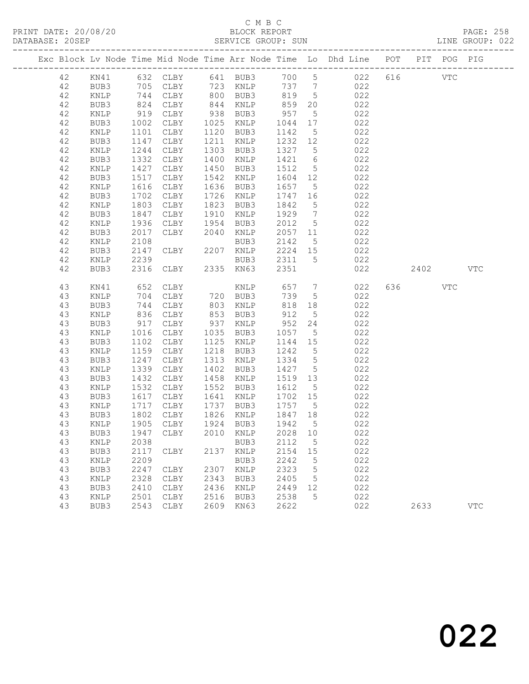## C M B C<br>BLOCK REPORT

|  | DATABASE: 20SEP |                 |                   |              |      | SERVICE GROUP: SUN     |                  |                 | LINE GROUP: 022                                                                |         |     |            |  |
|--|-----------------|-----------------|-------------------|--------------|------|------------------------|------------------|-----------------|--------------------------------------------------------------------------------|---------|-----|------------|--|
|  |                 |                 |                   |              |      |                        |                  |                 | Exc Block Lv Node Time Mid Node Time Arr Node Time Lo Dhd Line POT PIT POG PIG |         |     |            |  |
|  | 42              |                 |                   |              |      |                        |                  |                 | KN41 632 CLBY 641 BUB3 700 5 022 616 VTC                                       |         |     |            |  |
|  | 42              | BUB3            | 705               |              |      |                        |                  |                 | CLBY 723 KNLP 737 7 022                                                        |         |     |            |  |
|  | 42              | KNLP            | 744<br>824<br>919 |              |      | CLBY 800 BUB3 819 5    |                  |                 | 022                                                                            |         |     |            |  |
|  | 42              | BUB3            |                   | CLBY         |      | 844 KNLP               | 859<br>957       | 20              | 022                                                                            |         |     |            |  |
|  | 42              | KNLP            |                   | CLBY         |      | 938 BUB3               |                  | $5\overline{)}$ | 022                                                                            |         |     |            |  |
|  | 42              | BUB3            | 1002              | CLBY         |      | 1025 KNLP              | 1044             | 17              | 022                                                                            |         |     |            |  |
|  | 42              | KNLP            | 1101              | CLBY         |      | 1120 BUB3              | 1142             | $5\overline{)}$ | 022                                                                            |         |     |            |  |
|  | 42              | BUB3            | 1147              | CLBY         |      | 1211 KNLP              | 1232 12          |                 | 022                                                                            |         |     |            |  |
|  | 42              | KNLP            | 1244              | CLBY         |      | 1303 BUB3              | 1327 5           |                 | 022                                                                            |         |     |            |  |
|  | 42              | BUB3            | 1332              | CLBY         |      | 1400 KNLP              | 1421             | 6               | 022                                                                            |         |     |            |  |
|  | 42              | KNLP            | 1427              | CLBY         | 1450 | BUB3                   | 1512             | $5\overline{)}$ | 022                                                                            |         |     |            |  |
|  | 42              | BUB3            | 1517              | CLBY         |      | 1542 KNLP              | 1604 12          |                 | 022                                                                            |         |     |            |  |
|  | 42              | $\texttt{KNLP}$ | 1616              | CLBY         |      | 1636 BUB3              | 1657             | 5 <sup>5</sup>  | 022                                                                            |         |     |            |  |
|  | 42              | BUB3            | 1702              | CLBY         |      | 1726 KNLP              | 1747 16          |                 | 022                                                                            |         |     |            |  |
|  | 42              | KNLP            | 1803              | CLBY         |      | 1823 BUB3              | 1842             | $5\overline{)}$ | 022                                                                            |         |     |            |  |
|  | 42              | BUB3            | 1847              | CLBY         |      | 1910 KNLP              | 1929 7           |                 | 022                                                                            |         |     |            |  |
|  | 42              | KNLP            | $10 - 1936$       | CLBY<br>CLBY |      | 1954 BUB3              | 2012 5           |                 | 022<br>022                                                                     |         |     |            |  |
|  | 42              | BUB3            | 2017              |              |      | 2040 KNLP              | 2057 11          |                 |                                                                                |         |     |            |  |
|  | 42<br>42        | KNLP<br>BUB3    | 2108<br>2147      | CLBY         |      | BUB3<br>2207 KNLP      | 2142<br>2224 15  | $5\overline{)}$ | 022                                                                            |         |     |            |  |
|  | 42              | KNLP            | 2239              |              |      | BUB3                   | 2311 5           |                 | 022<br>022                                                                     |         |     |            |  |
|  | 42              | BUB3            | 2316              | CLBY         |      | 2335 KN63              | 2351             |                 | 022                                                                            | 2402    |     | <b>VTC</b> |  |
|  |                 |                 |                   |              |      |                        |                  |                 |                                                                                |         |     |            |  |
|  | 43              | KN41            | 652<br>704<br>744 | CLBY         |      | KNLP<br>720 BUB3       | $657$ 7<br>730 - |                 | 022                                                                            | 636 100 | VTC |            |  |
|  | 43              | KNLP            |                   | CLBY         |      |                        | 739              | 5 <sup>5</sup>  | 022                                                                            |         |     |            |  |
|  | 43              | BUB3            | 744               | CLBY         |      | 803 KNLP               | 818 18           |                 | 022                                                                            |         |     |            |  |
|  | 43              | KNLP            | 836               | CLBY         |      | 853 BUB3               | 912              | $5\overline{)}$ | 022                                                                            |         |     |            |  |
|  | 43              | BUB3            | $917$<br>$1016$   | CLBY         |      | 937 KNLP               | 952              | 24              | 022                                                                            |         |     |            |  |
|  | 43              | KNLP            |                   | CLBY         |      | 1035 BUB3              | 1057             | $5\overline{)}$ | 022                                                                            |         |     |            |  |
|  | 43              | BUB3            | 1102              | CLBY         |      | 1125 KNLP              | 1144 15          |                 | 022                                                                            |         |     |            |  |
|  | 43              | KNLP            | 1159              | CLBY         |      | 1218 BUB3              | 1242             | $5\overline{)}$ | 022                                                                            |         |     |            |  |
|  | 43<br>43        | BUB3            | 1247<br>1339      | CLBY         |      | 1313 KNLP<br>1402 BUB3 | 1334<br>1427 5   | $5\overline{)}$ | 022<br>022                                                                     |         |     |            |  |
|  | 43              | KNLP            | 1432              | CLBY         | 1458 |                        | 1519 13          |                 | 022                                                                            |         |     |            |  |
|  | 43              | BUB3<br>KNLP    | 1532              | CLBY<br>CLBY |      | KNLP<br>1552 BUB3      | 1612             | $5\overline{)}$ | 022                                                                            |         |     |            |  |
|  | 43              | BUB3            | 1617              | CLBY         |      | 1641 KNLP              | 1702 15          |                 | 022                                                                            |         |     |            |  |
|  | 43              | KNLP            |                   | CLBY         |      | 1737 BUB3              | 1757 5           |                 | 022                                                                            |         |     |            |  |
|  | 43              | BUB3            | 1717<br>1802      | CLBY         |      | 1826 KNLP              | 1847 18          |                 | 022                                                                            |         |     |            |  |
|  | 43              |                 |                   |              |      |                        |                  |                 | KNLP 1905 CLBY 1924 BUB3 1942 5 022                                            |         |     |            |  |
|  | 43              | BUB3            | 1947              | CLBY         | 2010 | KNLP                   | 2028             | 10              | 022                                                                            |         |     |            |  |
|  | 43              | KNLP            | 2038              |              |      | BUB3                   | 2112             | $5^{\circ}$     | 022                                                                            |         |     |            |  |
|  | 43              | BUB3            | 2117              | CLBY         |      | 2137 KNLP              | 2154             | 15              | 022                                                                            |         |     |            |  |
|  | 43              | KNLP            | 2209              |              |      | BUB3                   | 2242             | 5               | 022                                                                            |         |     |            |  |
|  | 43              | BUB3            | 2247              | CLBY         | 2307 | KNLP                   | 2323             | 5               | 022                                                                            |         |     |            |  |
|  | 43              | KNLP            | 2328              | CLBY         | 2343 | BUB3                   | 2405             | $5^{\circ}$     | 022                                                                            |         |     |            |  |
|  | 43              | BUB3            | 2410              | CLBY         | 2436 | KNLP                   | 2449             | 12              | 022                                                                            |         |     |            |  |
|  | 43              | KNLP            | 2501              | CLBY         | 2516 | BUB3                   | 2538             | 5               | 022                                                                            |         |     |            |  |
|  | 43              | BUB3            | 2543              | CLBY         | 2609 | KN63                   | 2622             |                 | 022                                                                            | 2633    |     | <b>VTC</b> |  |
|  |                 |                 |                   |              |      |                        |                  |                 |                                                                                |         |     |            |  |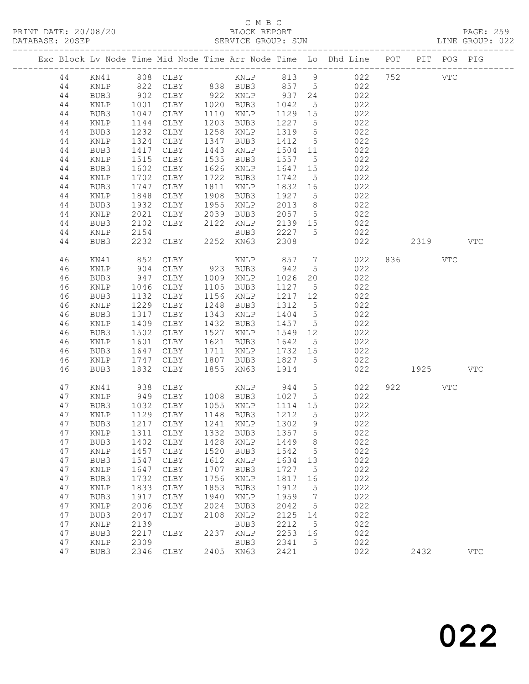## C M B C<br>BLOCK REPORT

| DATABASE: 20SEP |              |                           |                                  |              | SERVICE GROUP: SUN                            |                                |                  | LINE GROUP: 022                                                                |     |         |          |     |  |
|-----------------|--------------|---------------------------|----------------------------------|--------------|-----------------------------------------------|--------------------------------|------------------|--------------------------------------------------------------------------------|-----|---------|----------|-----|--|
|                 |              |                           |                                  |              |                                               |                                |                  | Exc Block Lv Node Time Mid Node Time Arr Node Time Lo Dhd Line POT PIT POG PIG |     |         |          |     |  |
| 44              |              |                           |                                  |              |                                               |                                |                  |                                                                                |     |         |          |     |  |
| 44              | KNLP         | 822                       |                                  |              |                                               |                                |                  | CLBY 838 BUB3 857 5 022                                                        |     |         |          |     |  |
| 44              | BUB3         | $902$<br>$1001$<br>$1047$ |                                  |              |                                               |                                |                  | 022                                                                            |     |         |          |     |  |
| 44              | KNLP         |                           |                                  |              | CLBY 922 KNLP 937 24<br>CLBY 1020 BUB3 1042 5 |                                | 5 <sup>5</sup>   | 022                                                                            |     |         |          |     |  |
| 44              | BUB3         |                           | CLBY                             |              | 1110 KNLP                                     | 1129 15                        |                  | 022                                                                            |     |         |          |     |  |
| 44              | KNLP         | 1144                      | CLBY                             |              | 1203 BUB3                                     | 1227 5                         |                  | 022                                                                            |     |         |          |     |  |
| 44              | BUB3         | 1232                      | CLBY                             |              | 1258 KNLP                                     | 1319 5                         |                  | 022                                                                            |     |         |          |     |  |
| 44              | KNLP         | 1324                      | CLBY                             |              | 1347 BUB3                                     | 1412 5                         |                  | 022                                                                            |     |         |          |     |  |
| 44              | BUB3         | 1417                      | CLBY                             |              | 1443 KNLP                                     | 1504 11                        |                  | 022                                                                            |     |         |          |     |  |
| 44              | KNLP         | 1515                      | CLBY                             |              | 1535 BUB3                                     | 1557 5                         |                  | 022                                                                            |     |         |          |     |  |
| 44              | BUB3         | 1602                      | CLBY                             |              | 1626 KNLP                                     | 1647 15                        |                  | 022                                                                            |     |         |          |     |  |
| 44              | KNLP         | 1702                      | CLBY                             |              | 1722 BUB3                                     | 1742                           | $5\overline{)}$  | 022                                                                            |     |         |          |     |  |
| 44              | BUB3         | 1747                      | CLBY                             |              | 1811 KNLP                                     | 1832 16                        |                  | 022                                                                            |     |         |          |     |  |
| 44              | KNLP         | 1848                      | CLBY                             |              | 1908 BUB3                                     | 1927 5                         |                  | 022                                                                            |     |         |          |     |  |
| 44              | BUB3         | 1932                      | CLBY                             |              | 1955 KNLP                                     | 2013                           | 8 <sup>8</sup>   | 022                                                                            |     |         |          |     |  |
| 44              | KNLP         | 2021                      |                                  |              |                                               | 2057 5                         |                  | 022                                                                            |     |         |          |     |  |
| 44              | BUB3         | 2102                      | CLBY 2039 BUB3<br>CLBY 2122 KNLP |              |                                               | 2139 15                        |                  | 022                                                                            |     |         |          |     |  |
| 44              | KNLP         | 2154                      |                                  |              | BUB3 2227 5                                   |                                |                  | 022                                                                            |     |         |          |     |  |
| 44              | BUB3         | 2232                      |                                  |              | CLBY 2252 KN63                                | 2308                           |                  |                                                                                | 022 |         | 2319 VTC |     |  |
| 46              | KN41         | 852                       | CLBY                             |              | KNLP                                          |                                |                  | 857 7<br>022                                                                   |     | 836 VTC |          |     |  |
| 46              | KNLP         | 904                       | CLBY                             |              | 923 BUB3                                      | 942                            | 5 <sup>5</sup>   | 022                                                                            |     |         |          |     |  |
| 46              | BUB3         | 947                       | CLBY 1009 KNLP                   |              |                                               | 1026                           |                  | 20 022                                                                         |     |         |          |     |  |
| 46              | KNLP         | 1046                      | CLBY                             |              | 1105 BUB3                                     | 1127 5                         |                  | 022                                                                            |     |         |          |     |  |
| 46              | BUB3         | 1132                      | CLBY                             |              | 1156 KNLP                                     | 1217 12                        |                  | 022                                                                            |     |         |          |     |  |
| 46              | KNLP         | 1229                      | CLBY                             |              | 1248 BUB3                                     | 1312 5                         |                  | 022                                                                            |     |         |          |     |  |
| 46              | BUB3         | 1317                      | CLBY                             |              | 1343 KNLP                                     | 1404 5                         |                  | 022                                                                            |     |         |          |     |  |
| 46              | KNLP         | 1409                      | CLBY                             |              | 1432 BUB3                                     | 1457                           | $5\overline{)}$  | 022                                                                            |     |         |          |     |  |
| 46              | BUB3         | 1502                      | CLBY                             |              | 1527 KNLP                                     | 1549 12                        |                  | 022                                                                            |     |         |          |     |  |
| 46              | KNLP         | 1601                      | CLBY                             |              | 1621 BUB3                                     | 1642                           | $5\overline{)}$  | 022                                                                            |     |         |          |     |  |
| 46              | BUB3         | 1647                      | CLBY                             |              | 1711 KNLP                                     | 1732 15                        |                  | 022                                                                            |     |         |          |     |  |
| 46              | KNLP         | 1747                      | CLBY                             |              | 1807 BUB3                                     | 1827 5                         |                  | 022                                                                            |     |         |          |     |  |
| 46              | BUB3         | 1832                      | CLBY                             |              | 1855 KN63                                     | 1914                           |                  | 022                                                                            |     | 1925    |          | VTC |  |
| 47              | KN41         | 938                       | CLBY                             |              | KNLP 944 5                                    |                                |                  | 022                                                                            |     | 922 VTC |          |     |  |
| 47              | KNLP         | 949                       |                                  |              | CLBY 1008 BUB3 1027 5                         |                                |                  | 022                                                                            |     |         |          |     |  |
| 47              | BUB3         |                           | 1032 CLBY<br>1129 CLBY<br>CLBY   |              | 1055 KNLP                                     | 1114 15<br>$\frac{1}{1}$ 212 5 |                  | 022                                                                            |     |         |          |     |  |
| 47              | KNLP         |                           |                                  |              | 1148 BUB3                                     |                                |                  | 022                                                                            |     |         |          |     |  |
|                 |              |                           |                                  |              |                                               |                                |                  | 47 BUB3 1217 CLBY 1241 KNLP 1302 9 022                                         |     |         |          |     |  |
| 47<br>47        | KNLP         |                           | 1311 CLBY<br>CLBY                | 1332<br>1428 | BUB3                                          | 1357                           | $5^{\circ}$<br>8 | 022<br>022                                                                     |     |         |          |     |  |
| 47              | BUB3         | 1402<br>1457              | CLBY                             | 1520         | KNLP                                          | 1449<br>1542                   | $-5$             | 022                                                                            |     |         |          |     |  |
| 47              | KNLP<br>BUB3 | 1547                      | CLBY                             | 1612         | BUB3<br>KNLP                                  | 1634                           | 13               | 022                                                                            |     |         |          |     |  |
| 47              | KNLP         | 1647                      | CLBY                             | 1707         | BUB3                                          | 1727                           | 5                | 022                                                                            |     |         |          |     |  |
| 47              | BUB3         | 1732                      | CLBY                             | 1756         | $\texttt{KNLP}$                               | 1817                           | 16               | 022                                                                            |     |         |          |     |  |
| 47              |              | 1833                      | CLBY                             | 1853         | BUB3                                          | 1912                           | $5\phantom{.0}$  | 022                                                                            |     |         |          |     |  |
| 47              | KNLP<br>BUB3 | 1917                      | CLBY                             | 1940         | KNLP                                          | 1959                           | $\overline{7}$   | 022                                                                            |     |         |          |     |  |
| 47              | KNLP         | 2006                      | CLBY                             | 2024         | BUB3                                          | 2042                           | $5^{\circ}$      | 022                                                                            |     |         |          |     |  |
| 47              | BUB3         | 2047                      | CLBY                             | 2108         | $\texttt{KNLP}$                               | 2125                           | 14               | 022                                                                            |     |         |          |     |  |
| 47              | KNLP         | 2139                      |                                  |              | BUB3                                          | 2212                           | $5^{\circ}$      | 022                                                                            |     |         |          |     |  |
| 47              | BUB3         | 2217                      | CLBY                             | 2237         | KNLP                                          | 2253                           | 16               | 022                                                                            |     |         |          |     |  |
| 47              | KNLP         | 2309                      |                                  |              | BUB3                                          | 2341                           | $5^{\circ}$      | 022                                                                            |     |         |          |     |  |
|                 |              |                           |                                  |              |                                               |                                |                  |                                                                                |     |         |          |     |  |

47 BUB3 2346 CLBY 2405 KN63 2421 022 2432 VTC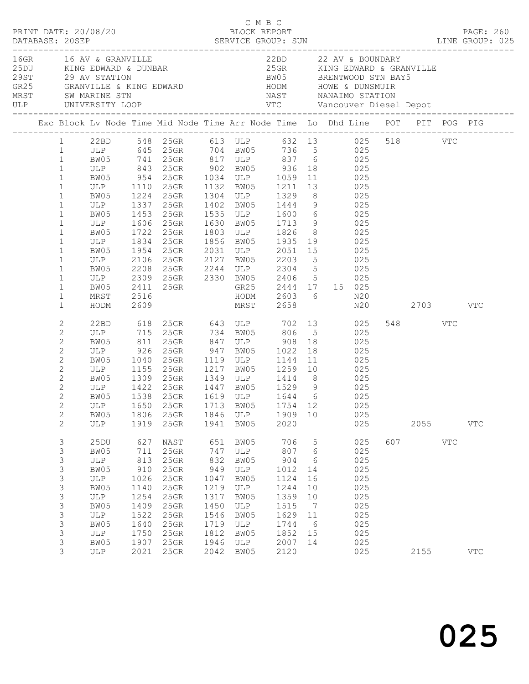|  |                                                                                                                                                                                                | PRINT DATE: 20/08/20                                                                           |                                                                                                  |                                                                                                               |                                                                                                  | C M B C<br>BLOCK REPORT                                                                        |                                                                                                      |                                                                                                    |                                                                                                                                                                                                                                                                                                                                                                                                                                                                                                                                              |                 |            | PAGE: 260                                                                      |
|--|------------------------------------------------------------------------------------------------------------------------------------------------------------------------------------------------|------------------------------------------------------------------------------------------------|--------------------------------------------------------------------------------------------------|---------------------------------------------------------------------------------------------------------------|--------------------------------------------------------------------------------------------------|------------------------------------------------------------------------------------------------|------------------------------------------------------------------------------------------------------|----------------------------------------------------------------------------------------------------|----------------------------------------------------------------------------------------------------------------------------------------------------------------------------------------------------------------------------------------------------------------------------------------------------------------------------------------------------------------------------------------------------------------------------------------------------------------------------------------------------------------------------------------------|-----------------|------------|--------------------------------------------------------------------------------|
|  |                                                                                                                                                                                                | 16GR 16 AV & GRANVILLE                                                                         |                                                                                                  |                                                                                                               |                                                                                                  |                                                                                                |                                                                                                      |                                                                                                    | 22BD 22 AV & BOUNDARY<br>10 AV & GAANVILLE<br>25DU KING EDWARD & DUNBAR 25GR KING EDWARD & GRANVILLE<br>29ST 29 AV STATION BOWARD BRENTWOOD STN BAY5<br>GR25 GRANVILLE & KING EDWARD HODM HOWE & DUNSMUIR<br>MRST SW MARINE STN NAST NANAIMO STATION                                                                                                                                                                                                                                                                                         |                 |            |                                                                                |
|  |                                                                                                                                                                                                |                                                                                                |                                                                                                  |                                                                                                               |                                                                                                  |                                                                                                |                                                                                                      |                                                                                                    |                                                                                                                                                                                                                                                                                                                                                                                                                                                                                                                                              |                 |            | Exc Block Lv Node Time Mid Node Time Arr Node Time Lo Dhd Line POT PIT POG PIG |
|  | $\mathbf{1}$<br>$\mathbf{1}$<br>$1\,$<br>$\mathbf{1}$<br>$1\,$<br>$\mathbf{1}$<br>$\mathbf{1}$<br>$1\,$<br>$\mathbf{1}$                                                                        | BW05 1954 25GR                                                                                 |                                                                                                  |                                                                                                               |                                                                                                  |                                                                                                |                                                                                                      |                                                                                                    | 1 22BD 548 25GR 613 ULP 632 13 025 518 VTC<br>1 ULP 645 25GR 704 BW05 736 5 025<br>1 BW05 741 25GR 817 ULP 837 6 025<br>1 ULP 843 25GR 902 BW05 936 18 025<br>1 BW05 954 25GR 1034 ULP 1059 11 025<br>ULP 1110 25GR 1132 BW05 1211 13 025<br>BW05 1224 25GR 1304 ULP 1329 8 025<br>ULP 1337 25GR 1402 BW05 1444 9 025<br>BW05 1453 25GR 1535 ULP 1600 6 025<br>ULP 1606 25GR 1630 BW05 1713 9 025<br>BW05 1722 25GR 1803 ULP 1826 8 025<br>ULP 1834 25GR 1856 BW05 1935 19 025<br>2031 ULP 2051 15 025<br>ULP 2106 25GR 2127 BW05 2203 5 025 |                 |            |                                                                                |
|  | $\mathbf{1}$<br>$\mathbf{1}$<br>$\mathbf{1}$<br>$\mathbf{1}$<br>$\mathbf{1}$                                                                                                                   | HODM                                                                                           | 2609                                                                                             |                                                                                                               |                                                                                                  |                                                                                                | MRST 2658                                                                                            |                                                                                                    | BW05 2208 25GR 2244 ULP 2304 5 025<br>ULP 2309 25GR 2330 BW05 2406 5 025<br>BW05 2411 25GR 2330 BW05 2406 5 025<br>MRST 2516 HODM 2603 6 N20<br>N20 2703 VTC                                                                                                                                                                                                                                                                                                                                                                                 |                 |            |                                                                                |
|  | $\mathbf{2}$<br>$\mathbf{2}$<br>$\mathbf{2}$<br>$\mathbf{2}$<br>$\mathbf{2}$<br>$\mathbf{2}$<br>$\mathbf{2}$<br>$\mathbf{2}$<br>$\mathbf{2}$<br>$\overline{2}$<br>$\mathbf{2}$<br>$\mathbf{2}$ | BW05<br>ULP                                                                                    | 1806                                                                                             | 25GR<br>1919 25GR                                                                                             |                                                                                                  | 1846 ULP<br>1941 BW05                                                                          | 1909 10<br>2020                                                                                      |                                                                                                    | 22BD 618 25GR 643 ULP 702 13 025<br>ULP 715 25GR 734 BW05 806 5 025<br>ULP 1155 25GR 1217 BW05 1259 10 025<br>BW05 1309 25GR 1349 ULP 1414 8 025<br>ULP 1422 25GR 1447 BW05 1529 9 025<br>BW05 1538 25GR 1619 ULP 1644 6 025<br>ULP 1650 25GR 1713 BW05 1754 12 025<br>025<br>025                                                                                                                                                                                                                                                            | 548 VTC<br>2055 |            | <b>VTC</b>                                                                     |
|  | $\mathfrak{Z}$<br>3<br>$\mathsf 3$<br>3<br>3<br>3<br>3<br>$\mathsf 3$<br>$\mathsf 3$<br>3<br>3<br>$\mathsf S$<br>3                                                                             | 25DU<br>BW05<br>ULP<br>BW05<br>ULP<br>BW05<br>ULP<br>BW05<br>ULP<br>BW05<br>ULP<br>BW05<br>ULP | 627<br>711<br>813<br>910<br>1026<br>1140<br>1254<br>1409<br>1522<br>1640<br>1750<br>1907<br>2021 | NAST<br>$25$ GR<br>$25$ GR<br>25GR<br>25GR<br>25GR<br>25GR<br>25GR<br>25GR<br>25GR<br>25GR<br>25GR<br>$25$ GR | 651<br>747<br>832<br>949<br>1047<br>1219<br>1317<br>1450<br>1546<br>1719<br>1812<br>1946<br>2042 | BW05<br>ULP<br>BW05<br>ULP<br>BW05<br>ULP<br>BW05<br>ULP<br>BW05<br>ULP<br>BW05<br>ULP<br>BW05 | 706<br>807<br>904<br>1012<br>1124<br>1244<br>1359<br>1515<br>1629<br>1744<br>1852<br>2007 14<br>2120 | 5<br>$6\overline{6}$<br>$6\overline{6}$<br>14<br>16<br>10<br>10<br>$\overline{7}$<br>11<br>6<br>15 | 025<br>025<br>025<br>025<br>025<br>025<br>025<br>025<br>025<br>025<br>025<br>025<br>025                                                                                                                                                                                                                                                                                                                                                                                                                                                      | 607 000<br>2155 | <b>VTC</b> | $_{\rm VTC}$                                                                   |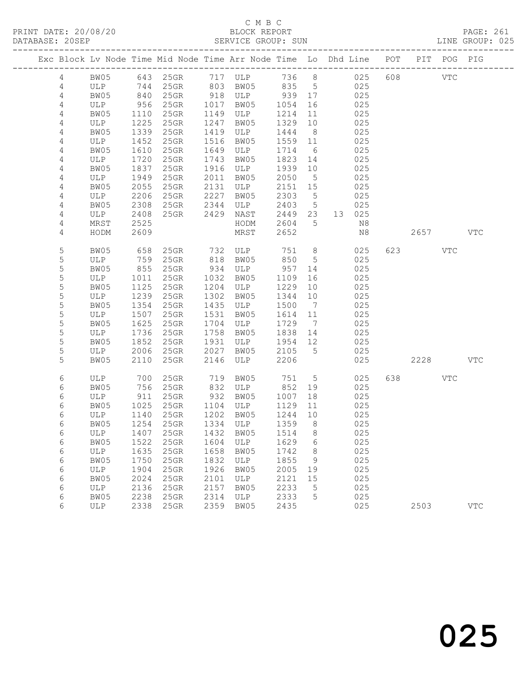#### C M B C<br>BLOCK REPORT SERVICE GROUP: SUN

| Exc Block Lv Node Time Mid Node Time Arr Node Time Lo Dhd Line POT PIT POG PIG |              |                      |          |              |                                 |                   |                 |          |     |      |            |            |
|--------------------------------------------------------------------------------|--------------|----------------------|----------|--------------|---------------------------------|-------------------|-----------------|----------|-----|------|------------|------------|
| 4                                                                              | BW05         |                      | 643 25GR |              | $117 - 24$<br>803 BW05          | 736 8             |                 | 025      | 608 | VTC  |            |            |
| $\overline{4}$                                                                 | ULP          |                      | 744 25GR |              |                                 | 835 5             |                 | 025      |     |      |            |            |
| $\overline{4}$                                                                 | BW05         | 840<br>956           | 25GR     |              | 918 ULP<br>1017 BW05            | 939 17            |                 | 025      |     |      |            |            |
| $\sqrt{4}$                                                                     | ULP          |                      | 25GR     |              |                                 | 1054              | 16              | 025      |     |      |            |            |
| $\overline{4}$                                                                 | BW05         | 1110<br>1225         | 25GR     |              | 1149 ULP                        | 1214              | 11              | 025      |     |      |            |            |
| $\sqrt{4}$                                                                     | ULP          |                      | 25GR     |              | 1247 BW05                       | 1329              | 10              | 025      |     |      |            |            |
| 4                                                                              | BW05         | 1339                 | 25GR     |              | 1419 ULP                        | 1444              | 8 <sup>8</sup>  | 025      |     |      |            |            |
| $\sqrt{4}$                                                                     | ULP          | 1452                 | $25$ GR  |              | 1516 BW05                       | 1559 11           |                 | 025      |     |      |            |            |
| $\sqrt{4}$                                                                     | BW05         | 1610                 | 25GR     |              | 1649 ULP                        | 1714              | $6\overline{6}$ | 025      |     |      |            |            |
| $\sqrt{4}$                                                                     | ULP          | 1720                 | 25GR     |              | 1743 BW05                       | 1823              | 14              | 025      |     |      |            |            |
| $\sqrt{4}$                                                                     | BW05         | 1837                 | 25GR     |              | 1916 ULP                        | 1939              | 10              | 025      |     |      |            |            |
| $\sqrt{4}$                                                                     | ULP          | 1949<br>2055<br>1949 | $25$ GR  |              | 2011 BW05                       | 2050              | $5^{\circ}$     | 025      |     |      |            |            |
| 4                                                                              | BW05         |                      | 25GR     |              | 2131 ULP                        | 2151 15           |                 | 025      |     |      |            |            |
| $\sqrt{4}$                                                                     | ULP          | 2206                 | 25GR     |              | 2227 BW05 2303<br>2344 ULP 2403 |                   | $5^{\circ}$     | 025      |     |      |            |            |
| $\sqrt{4}$                                                                     | BW05         | 2308                 | 25GR     |              |                                 |                   | $5\overline{)}$ | 025      |     |      |            |            |
| 4<br>$\sqrt{4}$                                                                | ULP          | 2408<br>2525         | 25GR     |              | 2429 NAST                       | 2449 23<br>2604 5 |                 | 13 025   |     |      |            |            |
| 4                                                                              | MRST<br>HODM | 2609                 |          |              | HODM<br>MRST                    | 2652              |                 | N8<br>N8 |     | 2657 |            | <b>VTC</b> |
|                                                                                |              |                      |          |              |                                 |                   |                 |          |     |      |            |            |
| $\mathsf S$                                                                    | BW05         | 658                  | 25GR     |              | 732 ULP<br>818 BW05             | 751               | 8 <sup>8</sup>  | 025      | 623 |      | <b>VTC</b> |            |
| $\mathsf S$                                                                    | ULP          | 759                  | 25GR     |              |                                 | 850               | $5^{\circ}$     | 025      |     |      |            |            |
| 5                                                                              | BW05         | $855$<br>$1011$      | 25GR     |              | 934 ULP                         | 957               | 14              | 025      |     |      |            |            |
| 5                                                                              | ULP          | 1011                 | 25GR     |              | 1032 BW05                       | 1109              | 16              | 025      |     |      |            |            |
| $\mathsf S$                                                                    | BW05         | 1125                 | 25GR     |              | 1204 ULP                        | 1229              | 10              | 025      |     |      |            |            |
| 5                                                                              | ULP          | 1239                 | 25GR     |              | 1302 BW05                       | 1344 10           |                 | 025      |     |      |            |            |
| $\mathsf S$                                                                    | BW05         | 1354                 | $25$ GR  |              | 1435 ULP                        | 1500              | $\overline{7}$  | 025      |     |      |            |            |
| 5                                                                              | ULP          | 1507                 | $25$ GR  |              | 1531 BW05                       | 1614 11           |                 | 025      |     |      |            |            |
| 5                                                                              | BW05         | 1625                 | 25GR     |              | 1704 ULP                        | 1729              | $\overline{7}$  | 025      |     |      |            |            |
| 5                                                                              | ULP          | 1736<br>1852         | 25GR     |              | 1758 BW05                       | 1838              | 14              | 025      |     |      |            |            |
| $\mathsf S$                                                                    | BW05         |                      | 25GR     |              | 1931 ULP                        | 1954 12           |                 | 025      |     |      |            |            |
| 5                                                                              | ULP          | 2006                 | 25GR     | 2027<br>2146 | BW05                            | 2105              | $5^{\circ}$     | 025      |     |      |            |            |
| 5                                                                              | BW05         | 2110                 | 25GR     |              | ULP                             | 2206              |                 | 025      |     | 2228 |            | <b>VTC</b> |
| 6                                                                              | ULP          | 700                  | $25$ GR  |              | 719 BW05                        | 751               | $5\overline{)}$ | 025      | 638 |      | VTC        |            |
| 6                                                                              | BW05         | 756                  | $25$ GR  |              | 832 ULP<br>932 BW05             | 852               | 19              | 025      |     |      |            |            |
| $\epsilon$                                                                     | ULP          | 911                  | 25GR     |              |                                 | 1007              | 18              | 025      |     |      |            |            |
| 6                                                                              | BW05         | 1025                 | 25GR     |              | 1104 ULP                        | 1129              | 11              | 025      |     |      |            |            |
| 6                                                                              | ULP          | 1140                 | $25$ GR  |              | 1202 BW05                       | 1244              | 10              | 025      |     |      |            |            |
| 6                                                                              | BW05         | 1254                 | 25GR     |              | 1334 ULP                        | 1359              | 8 <sup>8</sup>  | 025      |     |      |            |            |
| $\epsilon$                                                                     | ULP          | 1407                 | 25GR     |              | 1432 BW05                       | 1514              | 8 <sup>8</sup>  | 025      |     |      |            |            |
| 6                                                                              | BW05         | 1522                 | 25GR     |              | 1604 ULP                        | 1629              | $6\overline{6}$ | 025      |     |      |            |            |
| $\epsilon$                                                                     | ULP          | 1635                 | 25GR     |              | 1658 BW05                       | 1742              | 8 <sup>8</sup>  | 025      |     |      |            |            |
| 6                                                                              | BW05         | 1750                 | 25GR     |              | 1832 ULP                        | 1855              | 9               | 025      |     |      |            |            |
| $\epsilon$                                                                     | ULP          | 1904                 | $25$ GR  |              | 1926 BW05                       | 2005 19           |                 | 025      |     |      |            |            |
| $\sqrt{6}$                                                                     | BW05         | 2024                 | 25GR     |              | 2101 ULP                        | 2121 15           |                 | 025      |     |      |            |            |
| 6                                                                              | ULP          | 2136                 | 25GR     | 2157         | BW05                            | 2233              | $5^{\circ}$     | 025      |     |      |            |            |

6 BW05 2238 25GR 2314 ULP 2333 5 025

6 ULP 2338 25GR 2359 BW05 2435 025 2503 VTC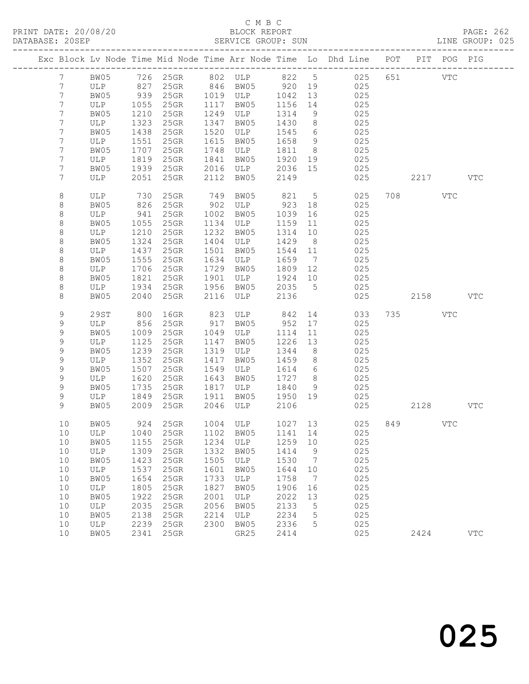PRINT DATE: 20/08/20 BLOCK REPORT BATABASE: 205EP

## C M B C<br>BLOCK REPORT

PAGE: 262<br>LINE GROUP: 025

|                 |      |      |          |      |          |          |                 | Exc Block Lv Node Time Mid Node Time Arr Node Time Lo Dhd Line POT |          | PIT POG PIG |            |
|-----------------|------|------|----------|------|----------|----------|-----------------|--------------------------------------------------------------------|----------|-------------|------------|
| $7\phantom{.0}$ | BW05 |      |          |      |          |          |                 |                                                                    |          |             |            |
| $7\phantom{.0}$ | ULP  |      |          |      |          | $920$ 19 |                 |                                                                    |          |             |            |
| $7\phantom{.0}$ | BW05 | 939  | $25$ GR  |      | 1019 ULP | 1042     | 13              | 025                                                                |          |             |            |
| 7               | ULP  | 1055 | 25GR     | 1117 | BW05     | 1156     | 14              | 025                                                                |          |             |            |
| 7               | BW05 | 1210 | $25$ GR  | 1249 | ULP      | 1314     | 9               | 025                                                                |          |             |            |
| $\overline{7}$  | ULP  | 1323 | 25GR     | 1347 | BW05     | 1430     | 8 <sup>8</sup>  | 025                                                                |          |             |            |
| 7               | BW05 | 1438 | 25GR     | 1520 | ULP      | 1545     | 6               | 025                                                                |          |             |            |
| 7               | ULP  | 1551 | 25GR     | 1615 | BW05     | 1658     | $\overline{9}$  | 025                                                                |          |             |            |
| 7               | BW05 | 1707 | 25GR     | 1748 | ULP      | 1811     | 8 <sup>8</sup>  | 025                                                                |          |             |            |
| 7               | ULP  | 1819 | $25$ GR  | 1841 | BW05     | 1920     | 19              | 025                                                                |          |             |            |
| 7               | BW05 | 1939 | $25$ GR  | 2016 | ULP      | 2036 15  |                 | 025                                                                |          |             |            |
| 7               | ULP  | 2051 | 25GR     | 2112 | BW05     | 2149     |                 | 025                                                                | 2217 VTC |             |            |
|                 |      |      |          |      |          |          |                 |                                                                    |          |             |            |
| 8               | ULP  | 730  | 25GR     | 749  | BW05     | 821      | 5 <sup>5</sup>  | 025                                                                | 708 VTC  |             |            |
| 8               | BW05 | 826  | $25$ GR  | 902  | ULP      | 923      | 18              | 025                                                                |          |             |            |
| $\,8\,$         | ULP  | 941  | $25$ GR  | 1002 | BW05     | 1039     | 16              | 025                                                                |          |             |            |
| $\,8\,$         | BW05 | 1055 | $25$ GR  | 1134 | ULP      | 1159     | 11              | 025                                                                |          |             |            |
| $\,8\,$         | ULP  | 1210 | 25GR     | 1232 | BW05     | 1314     | 10              | 025                                                                |          |             |            |
| 8               | BW05 | 1324 | 25GR     | 1404 | ULP      | 1429     | 8 <sup>8</sup>  | 025                                                                |          |             |            |
| $\,8\,$         | ULP  | 1437 | 25GR     | 1501 | BW05     | 1544     | 11              | 025                                                                |          |             |            |
| $\,8\,$         | BW05 | 1555 | 25GR     | 1634 | ULP      | 1659     | $\overline{7}$  | 025                                                                |          |             |            |
| $\,8\,$         | ULP  | 1706 | 25GR     | 1729 | BW05     | 1809     | 12              | 025                                                                |          |             |            |
| $\,8\,$         | BW05 | 1821 | 25GR     | 1901 | ULP      | 1924     | 10              | 025                                                                |          |             |            |
| 8               | ULP  | 1934 | $25$ GR  | 1956 | BW05     | 2035     | $5^{\circ}$     | 025                                                                |          |             |            |
| 8               | BW05 | 2040 | 25GR     | 2116 | ULP      | 2136     |                 | 025                                                                | 2158     |             | <b>VTC</b> |
|                 |      |      |          |      |          |          |                 |                                                                    |          |             |            |
| 9               | 29ST | 800  | 16GR     | 823  | ULP 842  |          |                 | 14<br>033                                                          | 735 VTC  |             |            |
| 9               | ULP  | 856  | $25$ GR  | 917  | BW05     | 952      | 17              | 025                                                                |          |             |            |
| 9               | BW05 | 1009 | 25GR     | 1049 | ULP      | 1114     | 11              | 025                                                                |          |             |            |
| 9               | ULP  | 1125 | 25GR     | 1147 | BW05     | 1226     | 13              | 025                                                                |          |             |            |
| $\mathsf 9$     | BW05 | 1239 | 25GR     | 1319 | ULP      | 1344     | 8 <sup>8</sup>  | 025                                                                |          |             |            |
| 9               | ULP  | 1352 | 25GR     | 1417 | BW05     | 1459     | 8 <sup>8</sup>  | 025                                                                |          |             |            |
| 9               | BW05 | 1507 | 25GR     | 1549 | ULP      | 1614     | $6\overline{6}$ | 025                                                                |          |             |            |
| 9               | ULP  | 1620 | 25GR     | 1643 | BW05     | 1727     | 8 <sup>8</sup>  | 025                                                                |          |             |            |
| 9               | BW05 | 1735 | 25GR     | 1817 | ULP      | 1840     | 9               | 025                                                                |          |             |            |
| 9               | ULP  | 1849 | 25GR     | 1911 | BW05     | 1950 19  |                 | 025                                                                |          |             |            |
| 9               | BW05 | 2009 | $25$ GR  | 2046 | ULP      | 2106     |                 | 025                                                                | 2128     |             | VTC        |
|                 |      |      |          |      |          |          |                 |                                                                    |          |             |            |
| 10              | BW05 |      | 924 25GR |      | 1004 ULP |          |                 | 1027 13<br>025                                                     | 849 VTC  |             |            |
|                 |      |      |          |      |          |          |                 | 10 ULP 1040 25GR 1102 BW05 1141 14 025                             |          |             |            |
| 10              | BW05 | 1155 | 25GR     | 1234 | ULP      | 1259     | 10              | 025                                                                |          |             |            |
| 10              | ULP  | 1309 | 25GR     | 1332 | BW05     | 1414     | 9               | 025                                                                |          |             |            |
| 10              | BW05 | 1423 | 25GR     | 1505 | ULP      | 1530     | $\overline{7}$  | 025                                                                |          |             |            |
| 10              | ULP  | 1537 | 25GR     | 1601 | BW05     | 1644     | 10              | 025                                                                |          |             |            |
| 10              | BW05 | 1654 | 25GR     | 1733 | ULP      | 1758     | $\overline{7}$  | 025                                                                |          |             |            |
| 10              | ULP  | 1805 | 25GR     | 1827 | BW05     | 1906     | 16              | 025                                                                |          |             |            |
| 10              | BW05 | 1922 | 25GR     | 2001 | ULP      | 2022     | 13              | 025                                                                |          |             |            |
| 10              | ULP  | 2035 | 25GR     | 2056 | BW05     | 2133     | 5               | 025                                                                |          |             |            |
| 10              | BW05 | 2138 | 25GR     | 2214 | ULP      | 2234     | 5               | 025                                                                |          |             |            |
| 10              | ULP  | 2239 | 25GR     | 2300 | BW05     | 2336     | 5               | 025                                                                |          |             |            |
| 10              | BW05 | 2341 | 25GR     |      | GR25     | 2414     |                 | 025                                                                | 2424     |             | <b>VTC</b> |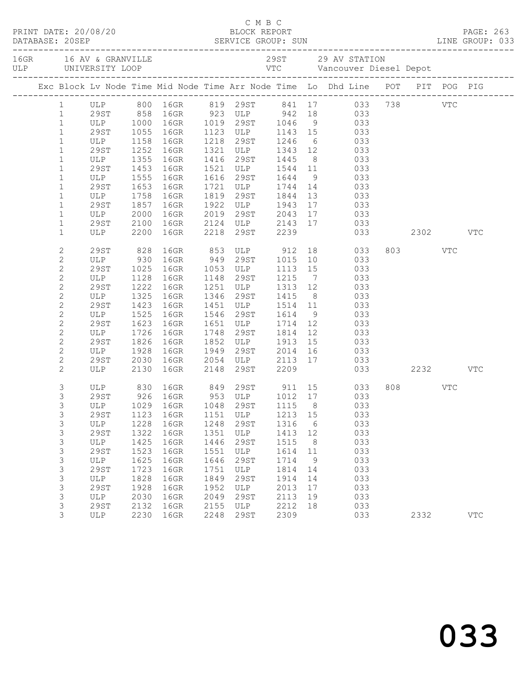|  |                                |                                   |                  |                                |              | C M B C                              |              |                |                                                                                |         |            |  |
|--|--------------------------------|-----------------------------------|------------------|--------------------------------|--------------|--------------------------------------|--------------|----------------|--------------------------------------------------------------------------------|---------|------------|--|
|  |                                |                                   |                  |                                |              |                                      |              |                |                                                                                |         |            |  |
|  |                                |                                   |                  |                                |              |                                      |              |                | Exc Block Lv Node Time Mid Node Time Arr Node Time Lo Dhd Line POT PIT POG PIG |         |            |  |
|  | $1 \quad$                      |                                   |                  |                                |              |                                      |              |                |                                                                                |         |            |  |
|  | $\mathbf{1}$                   |                                   |                  |                                |              |                                      |              |                | ULP 800 16GR 819 29ST 841 17 033 738 VTC<br>29ST 858 16GR 923 ULP 942 18 033   |         |            |  |
|  | $\mathbf{1}$                   |                                   |                  |                                |              |                                      |              |                | ULP 1000 16GR 1019 29ST 1046 9 033                                             |         |            |  |
|  | $\mathbf{1}$                   | 29ST                              | 1055             | 16GR                           |              |                                      |              |                | 1123 ULP 1143 15 033<br>1218 29ST 1246 6 033<br>1321 ULP 1343 12 033           |         |            |  |
|  | $\mathbf{1}$                   | ULP 1158 100m                     |                  |                                |              |                                      |              |                |                                                                                |         |            |  |
|  | $\mathbf 1$                    |                                   |                  |                                |              |                                      |              |                |                                                                                |         |            |  |
|  | $\mathbf{1}$                   | ULP                               | 1355             | 16GR                           |              | 1416 29ST 1445                       |              |                | 8 033                                                                          |         |            |  |
|  | $\mathbf{1}$                   | 29ST                              | 1453             | 16GR                           |              | 1521 ULP 1544 11                     |              |                | 033                                                                            |         |            |  |
|  | $\mathbf{1}$                   | ULP                               | $1555$<br>$1653$ | 16GR                           |              |                                      |              |                | 1616 29ST 1644 9 033<br>1721 ULP 1744 14 033                                   |         |            |  |
|  | $\mathbf{1}$                   | 29ST<br>ULP                       | 1653             | 16GR                           |              | 1819 29ST 1844                       |              |                | 033                                                                            |         |            |  |
|  | $\mathbf 1$<br>$\mathbf 1$     | 29ST                              | 1758<br>1857     | 16GR<br>16GR                   |              |                                      |              | 13<br>17       | 033                                                                            |         |            |  |
|  | $\mathbf{1}$                   |                                   |                  | 16GR                           |              | 1922 ULP 1943                        |              |                |                                                                                |         |            |  |
|  | $\mathbf{1}$                   |                                   |                  | 16GR                           |              |                                      |              |                |                                                                                |         |            |  |
|  | $\mathbf{1}$                   | ULP 2000<br>29ST 2100<br>ULP 2200 |                  | 16GR                           |              |                                      |              |                | 2019 29ST 2043 17 033<br>2124 ULP 2143 17 033<br>2218 29ST 2239 033 2302 VTC   |         |            |  |
|  | $\mathbf{2}$                   | 29ST                              | 828              |                                |              |                                      |              |                |                                                                                | 803 VTC |            |  |
|  | $\mathbf{2}$                   | ULP                               | 930              |                                |              |                                      |              |                | 16GR 853 ULP 912 18 033<br>16GR 949 29ST 1015 10 033                           |         |            |  |
|  | $\mathbf{2}$                   | 29ST                              | 1025             | 16GR                           |              | $1053$ ULP                           |              |                | $1113$ $15$ 033                                                                |         |            |  |
|  | $\mathbf{2}$                   | ULP                               | 1128             | 16GR                           |              | 1148 29ST                            | 1215         | $\overline{7}$ | 033                                                                            |         |            |  |
|  | $\mathbf{2}$                   | 29ST                              | 1222             | 16GR                           |              | 1251 ULP 1313 12<br>1346 29ST 1415 8 |              |                | 033                                                                            |         |            |  |
|  | $\mathbf{2}$                   | ULP                               | 1325             | 16GR                           |              |                                      |              | 8 <sup>8</sup> | 033                                                                            |         |            |  |
|  | $\mathbf{2}$                   | 29ST                              | 1423             | 16GR                           | 1451         | ULP 1514 11                          |              |                | 033                                                                            |         |            |  |
|  | $\mathbf{2}$                   | ULP                               | 1525             | 16GR                           | 1546         | 29ST 1614                            |              | 9              | 033                                                                            |         |            |  |
|  | $\mathbf{2}$                   | 29ST                              | 1623             | 16GR                           |              | 1651 ULP 1714                        |              | 12             | 033                                                                            |         |            |  |
|  | $\mathbf{2}$                   | ULP                               | 1726             | 16GR                           | 1748         | 29st<br>$1852$ ULP $1913$            | 1814         | 12             | 033<br>$\begin{array}{c} 0.33 \\ 0.33 \end{array}$                             |         |            |  |
|  | $\mathbf{2}$                   | 29ST                              | 1826             | 16GR                           |              |                                      |              | 15             |                                                                                |         |            |  |
|  | $\mathbf{2}$                   | ULP                               | 1928             | 16GR                           | 1949         | 29ST 2014                            |              | 16             | 033                                                                            |         |            |  |
|  | $\mathbf{2}$<br>$\overline{2}$ | 29ST<br>ULP                       | 2030<br>2130     | 16GR<br>16GR                   |              |                                      |              |                | 2054 ULP 2113 17 033<br>2148 29ST 2209 033<br>033 2232                         |         | VTC        |  |
|  | 3                              |                                   |                  |                                |              |                                      |              |                | ULP 830 16GR 849 29ST 911 15 033                                               | 808 VTC |            |  |
|  | 3                              | 29ST                              |                  |                                |              |                                      |              |                | 926 16GR 953 ULP 1012 17 033                                                   |         |            |  |
|  | $\mathfrak{Z}$                 |                                   |                  | ULP 1029 16GR 1048 29ST 1115 8 |              |                                      |              |                | 033                                                                            |         |            |  |
|  | 3                              | 29ST                              | 1123             | 16GR                           | 1151         | ULP                                  | 1213         | 15             | 033                                                                            |         |            |  |
|  | 3                              | ULP                               | 1228             | 16GR                           | 1248         | 29ST                                 | 1316         | 6              | 033                                                                            |         |            |  |
|  | 3                              | 29ST                              | 1322             | 16GR                           | 1351         | ULP                                  | 1413         | 12             | 033                                                                            |         |            |  |
|  | 3                              | ULP                               | 1425             | 16GR                           | 1446         | <b>29ST</b>                          | 1515         | 8              | 033                                                                            |         |            |  |
|  | 3                              | <b>29ST</b>                       | 1523             | 16GR                           | 1551         | ULP                                  | 1614         | 11             | 033                                                                            |         |            |  |
|  | 3                              | ULP                               | 1625             | 16GR                           | 1646         | <b>29ST</b>                          | 1714         | 9              | 033                                                                            |         |            |  |
|  | 3<br>3                         | <b>29ST</b>                       | 1723<br>1828     | 16GR                           | 1751         | ULP                                  | 1814         | 14             | 033<br>033                                                                     |         |            |  |
|  | 3                              | $_{\rm ULP}$<br><b>29ST</b>       | 1928             | 16GR<br>16GR                   | 1849<br>1952 | 29ST<br>ULP                          | 1914<br>2013 | 14<br>17       | 033                                                                            |         |            |  |
|  | 3                              | ULP                               | 2030             | 16GR                           | 2049         | <b>29ST</b>                          | 2113         | 19             | 033                                                                            |         |            |  |
|  | 3                              | 29ST                              | 2132             | 16GR                           | 2155         | ULP                                  | 2212         | 18             | 033                                                                            |         |            |  |
|  | 3                              | ULP                               | 2230             | 16GR                           | 2248         | 29ST                                 | 2309         |                | 033                                                                            | 2332    | <b>VTC</b> |  |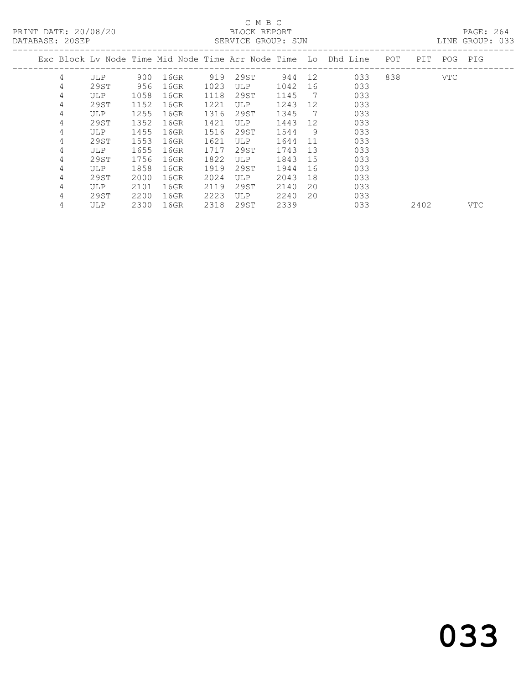PRINT DATE: 20/08/20 BLOCK REPORT BATABASE: 205EP

# C M B C<br>BLOCK REPORT

PAGE: 264<br>LINE GROUP: 033

|   |      |      |      |      |            |      |     | Exc Block Ly Node Time Mid Node Time Arr Node Time Lo Dhd Line | POT | PIT  | POG        | PIG        |
|---|------|------|------|------|------------|------|-----|----------------------------------------------------------------|-----|------|------------|------------|
| 4 | ULP. | 900  | 16GR | 919  | 29ST       | 944  | 12  | 033                                                            | 838 |      | <b>VTC</b> |            |
| 4 | 29ST | 956  | 16GR | 1023 | <b>ULP</b> | 1042 | 16  | 033                                                            |     |      |            |            |
| 4 | ULP  | 1058 | 16GR | 1118 | 29ST       | 1145 | - 7 | 033                                                            |     |      |            |            |
| 4 | 29ST | 1152 | 16GR | 1221 | ULP        | 1243 | 12  | 033                                                            |     |      |            |            |
| 4 | ULP  | 1255 | 16GR | 1316 | 29ST       | 1345 | 7   | 033                                                            |     |      |            |            |
| 4 | 29ST | 1352 | 16GR | 1421 | ULP        | 1443 | 12  | 033                                                            |     |      |            |            |
| 4 | ULP  | 1455 | 16GR | 1516 | 29ST       | 1544 | 9   | 033                                                            |     |      |            |            |
| 4 | 29ST | 1553 | 16GR | 1621 | <b>ULP</b> | 1644 | 11  | 033                                                            |     |      |            |            |
| 4 | ULP. | 1655 | 16GR | 1717 | 29ST       | 1743 | 13  | 033                                                            |     |      |            |            |
| 4 | 29ST | 1756 | 16GR | 1822 | ULP        | 1843 | 15  | 033                                                            |     |      |            |            |
| 4 | ULP. | 1858 | 16GR | 1919 | 29ST       | 1944 | 16  | 033                                                            |     |      |            |            |
| 4 | 29ST | 2000 | 16GR | 2024 | ULP        | 2043 | 18  | 033                                                            |     |      |            |            |
| 4 | ULP. | 2101 | 16GR | 2119 | 29ST       | 2140 | 20  | 033                                                            |     |      |            |            |
| 4 | 29ST | 2200 | 16GR | 2223 | <b>ULP</b> | 2240 | 20  | 033                                                            |     |      |            |            |
| 4 | ULP. | 2300 | 16GR | 2318 | 29ST       | 2339 |     | 033                                                            |     | 2402 |            | <b>VTC</b> |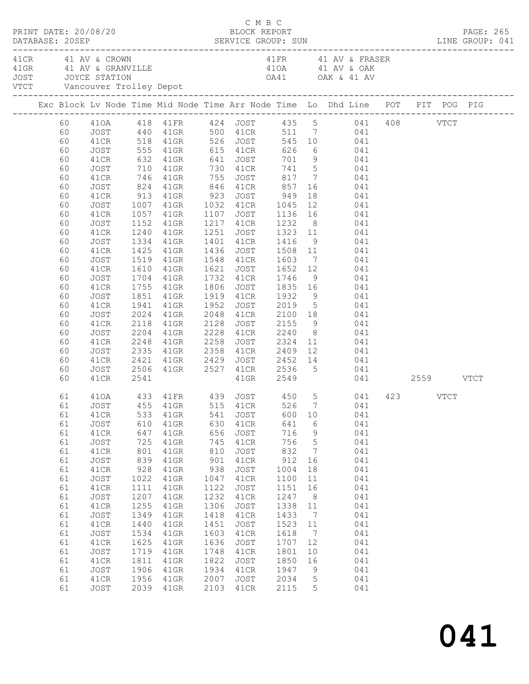| PRINT DATE: 20/08/20 |  |                                                                                                                                                                                                                                                          |                                                                                                                                                                                                              |                                                                                                                                               |                                                                                                                                                                                                                                                                                                                                                                                                                                                                                                                                                                                                                                     |                                                                                                                                                       | C M B C<br>BLOCK REPORT<br>DATABASE: 20SEP SERVICE GROUP: SUN LINE GROUP: 041                                                                                                                                                                                                                                                                                                               |                                                                                                                                                        |                                                                                                                                                                                         |                                                                                                             |                                                                                                                                          |  |  |  |  | PAGE: 265 |
|----------------------|--|----------------------------------------------------------------------------------------------------------------------------------------------------------------------------------------------------------------------------------------------------------|--------------------------------------------------------------------------------------------------------------------------------------------------------------------------------------------------------------|-----------------------------------------------------------------------------------------------------------------------------------------------|-------------------------------------------------------------------------------------------------------------------------------------------------------------------------------------------------------------------------------------------------------------------------------------------------------------------------------------------------------------------------------------------------------------------------------------------------------------------------------------------------------------------------------------------------------------------------------------------------------------------------------------|-------------------------------------------------------------------------------------------------------------------------------------------------------|---------------------------------------------------------------------------------------------------------------------------------------------------------------------------------------------------------------------------------------------------------------------------------------------------------------------------------------------------------------------------------------------|--------------------------------------------------------------------------------------------------------------------------------------------------------|-----------------------------------------------------------------------------------------------------------------------------------------------------------------------------------------|-------------------------------------------------------------------------------------------------------------|------------------------------------------------------------------------------------------------------------------------------------------|--|--|--|--|-----------|
|                      |  | 41 CR 41 AV & CROWN<br>41 GRAN AND A SUBARUTA AND A SUBANDALE AND A SUBARU ATA AND A SUBARU ATA AND A SUBARU ATA AND A SUBARU AND A SU<br>1990 - JOYCE STATION A SUBARU A SUBARU A SUBARU A SUBARU A SUBARU A SUBARU A SUBARU A SUBARU A SUBARU A SUBARU |                                                                                                                                                                                                              |                                                                                                                                               |                                                                                                                                                                                                                                                                                                                                                                                                                                                                                                                                                                                                                                     |                                                                                                                                                       | 41FR 41 AV & FRASER                                                                                                                                                                                                                                                                                                                                                                         |                                                                                                                                                        |                                                                                                                                                                                         |                                                                                                             |                                                                                                                                          |  |  |  |  |           |
|                      |  |                                                                                                                                                                                                                                                          |                                                                                                                                                                                                              |                                                                                                                                               | Exc Block Lv Node Time Mid Node Time Arr Node Time Lo Dhd Line POT PIT POG PIG                                                                                                                                                                                                                                                                                                                                                                                                                                                                                                                                                      |                                                                                                                                                       |                                                                                                                                                                                                                                                                                                                                                                                             |                                                                                                                                                        |                                                                                                                                                                                         |                                                                                                             |                                                                                                                                          |  |  |  |  |           |
|                      |  | 60<br>60<br>60<br>60<br>60<br>60<br>60<br>60<br>60<br>60<br>60<br>60<br>60<br>60<br>60<br>60<br>60<br>60<br>60<br>60<br>60<br>60<br>60<br>60<br>60<br>60<br>60                                                                                           | JOST<br>41CR<br>JOST<br>41CR<br>JOST<br>41CR<br>JOST<br>41CR<br>JOST<br>41CR<br>JOST<br>41CR<br>JOST<br>41CR<br>JOST<br>41CR<br>JOST<br>41CR<br>JOST<br>41CR<br>JOST<br>41CR<br>JOST<br>41CR<br>JOST<br>41CR | 1240<br>1334<br>1519<br>1610<br>1941<br>2024<br>2118<br>2204<br>2248<br>2506<br>2541                                                          | 60    410A    418    41FR    424    JOST    435    5    041    408    VTCT<br>60    JOST    440    41GR    500    41CR    511    7    041<br>41CR 518 41GR 526 JOST 545 10 041<br>555 41GR 615 41CR 626 6 041<br>632 41GR 641 JOST 701 9 041<br>710 41GR 730 41CR 741 5 041<br>746 41GR 755 JOST 817 7 041<br>824 41GR 846 41CR 857<br>913 41GR 923 JOST 949<br>1007 41GR 1032 41CR 1045<br>1057 41GR 1107 JOST 1136 16 041<br>1152 41GR<br>41GR<br>41GR<br>1425 41GR<br>41GR<br>1704 41GR 1732 41CR<br>1755 41GR 1806 JOST<br>1851 41GR 1919 41CR 1932<br>41GR<br>41GR<br>41GR<br>41GR<br>41GR<br>2335 41GR 2358<br>2421 41GR 2429 | 1952<br>2258                                                                                                                                          | <b>JOST</b><br>1217 41CR 1232 8 041<br>1251 JOST 1323 11 041<br>1401 41CR 1416 9 041<br>1436 JOST 1508 11 041<br>1548 41CR 1603<br>41GR 1621 JOST 1652 12 041<br>41GR 1732 41CR 1746 9 041<br>1952 JOST 2019 5 041<br>2048 41CR 2100 18 041<br>2128 JOST 2155 9 041<br>2228 41CR 2240<br>108T 2324 11 041<br>41CR 2409 12 041<br>108T 2452 14 041<br>41GR 2527 41CR 2536 5 041<br>41GR 2549 | 857<br>$1835 \t16$ 041                                                                                                                                 |                                                                                                                                                                                         | 16 041<br>$\begin{array}{cc} 18 & \qquad & 041 \\ 12 & \qquad & 041 \end{array}$<br>7 041<br>9 041<br>8 041 | 041 2559 VTCT                                                                                                                            |  |  |  |  |           |
|                      |  | 61<br>61<br>61<br>61<br>61<br>61<br>61<br>61<br>61<br>61<br>61<br>61<br>61<br>61<br>61<br>61<br>61<br>61<br>61<br>61<br>61                                                                                                                               | 41CR<br>JOST<br>41CR<br>JOST<br>41CR<br>JOST<br>41CR<br>JOST<br>41CR<br>JOST<br>41CR<br>JOST<br>41CR<br>JOST<br>41CR<br>JOST<br>41CR<br>JOST<br>41CR<br>JOST                                                 | 533<br>610<br>647<br>725<br>801<br>839<br>928<br>1022<br>1111<br>1207<br>1255<br>1349<br>1440<br>1534<br>1625<br>1719<br>1811<br>1906<br>1956 | 410A 433 41FR 439 JOST 450 5 041 423 VTCT<br>61 JOST 455 41GR 515 41CR 526 7 041<br>41GR<br>41GR<br>41GR<br>$41$ GR<br>$41$ GR<br>41GR<br>$41$ GR<br>$41$ GR<br>$41$ GR<br>$41$ GR<br>41GR<br>$41$ GR<br>$41$ GR<br>$41$ GR<br>41GR<br>41GR<br>41GR<br>41GR<br>41GR<br>2039 41GR                                                                                                                                                                                                                                                                                                                                                    | 541<br>630<br>656<br>745<br>810<br>901<br>938<br>1047<br>1122<br>1232<br>1306<br>1418<br>1451<br>1603<br>1636<br>1748<br>1822<br>1934<br>2007<br>2103 | JOST<br>41CR<br>JOST<br>41CR<br>JOST<br>41CR<br>JOST<br>41CR<br>JOST<br>41CR<br>JOST<br>41CR<br>JOST<br>41CR<br>JOST<br>41CR<br>JOST<br>41CR<br>JOST<br>41CR                                                                                                                                                                                                                                | 600<br>641<br>716<br>756<br>832<br>912<br>1004<br>1100<br>1151<br>1247<br>1338<br>1433<br>1523<br>1618<br>1707<br>1801<br>1850<br>1947<br>2034<br>2115 | 10<br>6<br>$\overline{9}$<br>$5\phantom{.0}$<br>$7\phantom{.0}$<br>16<br>18<br>11<br>16<br>8<br>11<br>$\overline{7}$<br>11<br>$\overline{7}$<br>12<br>10<br>16<br>9<br>$5^{\circ}$<br>5 |                                                                                                             | 041<br>041<br>041<br>041<br>041<br>041<br>041<br>041<br>041<br>041<br>041<br>041<br>041<br>041<br>041<br>041<br>041<br>041<br>041<br>041 |  |  |  |  |           |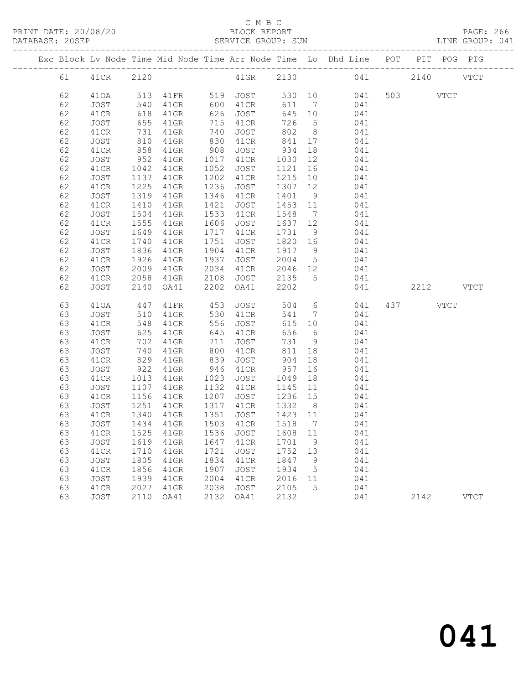### C M B C<br>BLOCK REPORT

PAGE: 266<br>LINE GROUP: 041

|    |      |                                                                           |         |      |               |         |                 | Exc Block Lv Node Time Mid Node Time Arr Node Time Lo Dhd Line POT PIT POG PIG |           |             |               |
|----|------|---------------------------------------------------------------------------|---------|------|---------------|---------|-----------------|--------------------------------------------------------------------------------|-----------|-------------|---------------|
| 61 | 41CR | 2120                                                                      |         |      | 41GR          |         |                 | 2130 041                                                                       | 2140      |             | <b>VTCT</b>   |
| 62 | 410A | 513                                                                       |         |      | 41FR 519 JOST |         |                 | 530 10 041                                                                     | 503       | <b>VTCT</b> |               |
| 62 | JOST | 540                                                                       | $41$ GR | 600  | 41CR          | 611     | $7\overline{)}$ | 041                                                                            |           |             |               |
| 62 | 41CR | 618                                                                       | 41GR    | 626  | JOST          | 645 10  |                 | 041                                                                            |           |             |               |
| 62 | JOST | 655                                                                       | 41GR    | 715  | 41CR          | 726     | $5\overline{)}$ | 041                                                                            |           |             |               |
| 62 | 41CR |                                                                           | 41GR    | 740  | JOST          | 802     | 8 <sup>8</sup>  | 041                                                                            |           |             |               |
| 62 | JOST | $\begin{array}{c} \n \overline{\phantom{0}} \\  810 \\  -9\n \end{array}$ | $41$ GR | 830  | 41CR          | 841     | 17              | 041                                                                            |           |             |               |
| 62 | 41CR | 858                                                                       | $41$ GR | 908  | JOST          | 934     | 18              | 041                                                                            |           |             |               |
| 62 | JOST | 952                                                                       | $41$ GR | 1017 | 41CR          | 1030    | 12              | 041                                                                            |           |             |               |
| 62 | 41CR | 1042                                                                      | $41$ GR | 1052 | JOST          | 1121    | 16              | 041                                                                            |           |             |               |
| 62 | JOST | 1137                                                                      | 41GR    | 1202 | 41CR          | 1215    | 10              | 041                                                                            |           |             |               |
| 62 | 41CR | 1225                                                                      | 41GR    | 1236 | JOST          | 1307    | 12              | 041                                                                            |           |             |               |
| 62 | JOST | 1319                                                                      | 41GR    | 1346 | 41CR          | 1401    | 9               | 041                                                                            |           |             |               |
| 62 | 41CR | 1410                                                                      | $41$ GR | 1421 | JOST          | 1453    | 11              | 041                                                                            |           |             |               |
| 62 | JOST | 1504                                                                      | 41GR    | 1533 | 41CR          | 1548    | $\overline{7}$  | 041                                                                            |           |             |               |
| 62 | 41CR | 1555                                                                      | 41GR    | 1606 | JOST          | 1637    | 12              | 041                                                                            |           |             |               |
| 62 | JOST | 1649                                                                      | $41$ GR | 1717 | 41CR          | 1731    | 9               | 041                                                                            |           |             |               |
| 62 | 41CR | 1740                                                                      | $41$ GR | 1751 | JOST          | 1820    | 16              | 041                                                                            |           |             |               |
| 62 | JOST | 1836                                                                      | $41$ GR | 1904 | 41CR          | 1917 9  |                 | 041                                                                            |           |             |               |
|    |      |                                                                           |         |      |               |         |                 |                                                                                |           |             |               |
| 62 | 41CR | 1926                                                                      | 41GR    | 1937 | JOST          | 2004    | $5\overline{)}$ | 041                                                                            |           |             |               |
| 62 | JOST | 2009                                                                      | 41GR    | 2034 | 41CR          | 2046 12 |                 | 041                                                                            |           |             |               |
| 62 | 41CR | 2058                                                                      | $41$ GR | 2108 | JOST          | 2135    | 5 <sup>5</sup>  | 041                                                                            |           |             |               |
| 62 | JOST | 2140                                                                      | OA41    | 2202 | OA41          | 2202    |                 | 041                                                                            | 2212 VTCT |             |               |
| 63 | 410A | 447                                                                       | 41FR    | 453  | JOST          | 504     |                 | $6\overline{6}$<br>041                                                         | 437 VTCT  |             |               |
| 63 | JOST | 510                                                                       | $41$ GR | 530  | 41CR          | 541     | $\overline{7}$  | 041                                                                            |           |             |               |
| 63 | 41CR | 548                                                                       | $41$ GR | 556  | JOST          | 615     | 10              | 041                                                                            |           |             |               |
| 63 | JOST | 625                                                                       | 41GR    | 645  | 41CR          | 656     | 6               | 041                                                                            |           |             |               |
| 63 | 41CR | 702                                                                       | 41GR    | 711  | JOST          | 731     | 9               | 041                                                                            |           |             |               |
| 63 | JOST | 740                                                                       | 41GR    | 800  | 41CR          | 811     | 18              | 041                                                                            |           |             |               |
| 63 | 41CR | 829                                                                       | 41GR    | 839  | JOST          | 904     | 18              | 041                                                                            |           |             |               |
| 63 | JOST | 922                                                                       | 41GR    | 946  | 41CR          | 957     | 16              | 041                                                                            |           |             |               |
| 63 | 41CR | 1013                                                                      | 41GR    | 1023 | JOST          | 1049    | 18              | 041                                                                            |           |             |               |
| 63 | JOST | 1107                                                                      | $41$ GR | 1132 | 41CR          | 1145    | 11              | 041                                                                            |           |             |               |
| 63 | 41CR | 1156                                                                      | 41GR    | 1207 | JOST          | 1236    | 15              | 041                                                                            |           |             |               |
| 63 | JOST | 1251                                                                      | 41GR    | 1317 | 41CR          | 1332    | 8 <sup>8</sup>  | 041                                                                            |           |             |               |
| 63 | 41CR | 1340                                                                      | 41GR    | 1351 | JOST          | 1423 11 |                 | 041                                                                            |           |             |               |
| 63 | JOST | 1434                                                                      | 41GR    |      | 1503 41CR     | 1518    | $7\phantom{0}7$ | 041                                                                            |           |             |               |
| 63 | 41CR | 1525                                                                      | 41GR    | 1536 | JOST          | 1608    | 11              | 041                                                                            |           |             |               |
| 63 | JOST | 1619                                                                      | 41GR    | 1647 | 41CR          | 1701    | 9               | 041                                                                            |           |             |               |
| 63 | 41CR | 1710                                                                      | 41GR    | 1721 | <b>JOST</b>   | 1752    | 13              | 041                                                                            |           |             |               |
| 63 | JOST | 1805                                                                      | 41GR    | 1834 | 41CR          | 1847    | 9               | 041                                                                            |           |             |               |
| 63 | 41CR | 1856                                                                      | 41GR    | 1907 | <b>JOST</b>   | 1934    | 5               | 041                                                                            |           |             |               |
| 63 | JOST | 1939                                                                      | 41GR    | 2004 | 41CR          | 2016    | 11              | 041                                                                            |           |             |               |
| 63 | 41CR | 2027                                                                      | 41GR    | 2038 | <b>JOST</b>   | 2105    | 5               | 041                                                                            |           |             |               |
| 63 | JOST | 2110                                                                      | OA41    | 2132 | OA41          | 2132    |                 | 041                                                                            | 2142      |             | $_{\rm VTCT}$ |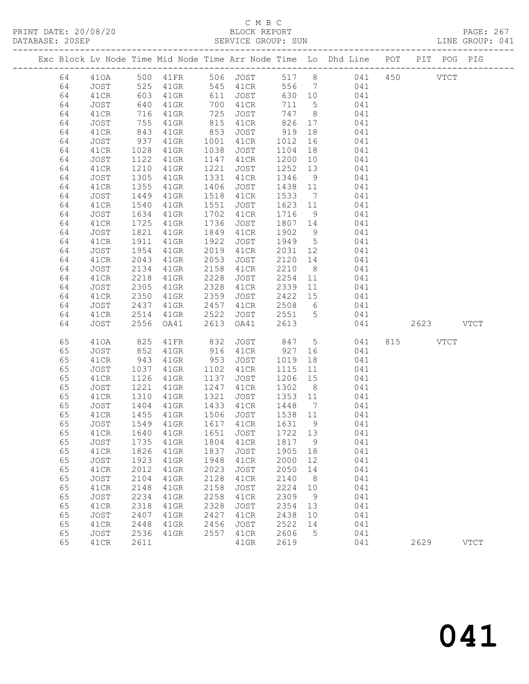### C M B C<br>BLOCK REPORT

| DATABASE: 20SEP |            |                     |           |      | SERVICE GROUP: SUN               |           |                 |                                                                                |          |           | LINE GROUP: 041 |  |
|-----------------|------------|---------------------|-----------|------|----------------------------------|-----------|-----------------|--------------------------------------------------------------------------------|----------|-----------|-----------------|--|
|                 |            |                     |           |      |                                  |           |                 | Exc Block Lv Node Time Mid Node Time Arr Node Time Lo Dhd Line POT PIT POG PIG |          |           |                 |  |
| 64              |            |                     |           |      |                                  |           |                 | 410A 500 41FR 506 JOST 517 8 041 450 VTCT                                      |          |           |                 |  |
| 64              | $JOST$ 525 |                     |           |      | 41GR 545 41CR                    |           |                 | 556 7 041                                                                      |          |           |                 |  |
| 64              | 41CR       | 603<br>640<br>716   |           |      | 41GR 611 JOST                    |           |                 | 630 10 041                                                                     |          |           |                 |  |
| 64              | JOST       |                     | 41GR      |      | 700 41CR                         | 711 5     |                 | 041                                                                            |          |           |                 |  |
| 64              | 41CR       | 716                 | $41$ GR   |      | <sup>7</sup> UU 41CR<br>725 JOST |           |                 | $747$ 8 041                                                                    |          |           |                 |  |
| 64              | JOST       | 755                 | 41GR      |      | 815 41CR                         |           |                 | 826 17 041                                                                     |          |           |                 |  |
| 64              | 41CR       | 843                 | 41GR      | 853  | JOST                             | 919       | 18              | 041                                                                            |          |           |                 |  |
| 64              | JOST       |                     | 41GR      |      | 1001 41CR                        | 1012      | 16              | 041                                                                            |          |           |                 |  |
| 64              | 41CR       | 937<br>1028         | 41GR      | 1038 | JOST                             | 1104      |                 | 18<br>041                                                                      |          |           |                 |  |
| 64              | JOST       | 1122                | 41GR      |      | 1147 41CR                        | 1200      | 10              | 041                                                                            |          |           |                 |  |
| 64              | 41CR       | 1210                | 41GR      | 1221 | JOST                             | 1252      | 13              | 041                                                                            |          |           |                 |  |
| 64              | JOST       | $1355$<br>$1355$    | 41GR      |      | 1331 41CR                        | 1346      | 9               | 041                                                                            |          |           |                 |  |
| 64              | 41CR       |                     | $41$ GR   |      | 1406 JOST                        | 1438 11   |                 | 041                                                                            |          |           |                 |  |
| 64              | JOST       | 1449                | 41GR      |      | 1518 41CR                        | 1533      |                 | $7\overline{ }$<br>041                                                         |          |           |                 |  |
| 64              | 41CR       | 1540                | 41GR      | 1551 | JOST                             | 1623      |                 | 11 041                                                                         |          |           |                 |  |
| 64              | JOST       |                     | $41$ GR   | 1702 | 41CR                             | 1716      |                 |                                                                                |          |           |                 |  |
| 64              | 41CR       | 1634<br>1725        | $41$ GR   | 1736 | JOST                             | 1807 14   |                 | $\frac{9}{14}$ 041<br>041                                                      |          |           |                 |  |
| 64              | JOST       | 1821                | 41GR      | 1849 | 41CR                             | 1902      |                 | 9 041                                                                          |          |           |                 |  |
| 64              | 41CR       | 1911                | $41$ GR   | 1922 | JOST                             | 1949 5    |                 | 041                                                                            |          |           |                 |  |
| 64              | JOST       | 1954                | $41$ GR   | 2019 | 41CR                             |           |                 | 2031 12 041                                                                    |          |           |                 |  |
| 64              | 41CR       | 2043                | 41GR      | 2053 | JOST                             | 2120 14   |                 | 041                                                                            |          |           |                 |  |
| 64              | JOST       | 2134                | $41$ GR   | 2158 | 41CR                             | 2210      |                 | 8 041                                                                          |          |           |                 |  |
| 64              | 41CR       | 2218                | 41GR      | 2228 | JOST                             | 2254      |                 | 11 041                                                                         |          |           |                 |  |
| 64              | JOST       | 2305                | $41$ GR   | 2328 | 41CR                             | 2339      |                 | 11 041                                                                         |          |           |                 |  |
| 64              | 41CR       | 2350                | 41GR      | 2359 | JOST                             | 2422 15   |                 | 041                                                                            |          |           |                 |  |
| 64              | JOST       | 2437                | 41GR      |      | 2457 41CR                        |           |                 | $2508$ 6 041                                                                   |          |           |                 |  |
| 64              | 41CR       | 2514                | 41GR 2522 |      |                                  |           |                 | JOST 2551 5 041                                                                |          |           |                 |  |
| 64              | JOST       | 2556                | OA41      | 2613 | OA41                             | 2613      |                 | 041                                                                            |          | 2623 VTCT |                 |  |
|                 |            |                     |           |      |                                  |           |                 |                                                                                |          |           |                 |  |
| 65              | 410A       | 825                 | 41FR      | 832  | JOST 847 5                       |           |                 | 041                                                                            | 815 VTCT |           |                 |  |
| 65              | JOST       | 852                 | $41$ GR   |      | 916 41CR                         | 927       |                 | 041                                                                            |          |           |                 |  |
| 65              | 41CR       | 943                 | 41GR      | 953  | JOST                             | 1019      | 18              | 041                                                                            |          |           |                 |  |
| 65              | JOST       | $\frac{1037}{1126}$ | 41GR      |      | 1102 41CR                        | 1115      | 11              | 041                                                                            |          |           |                 |  |
| 65              | 41CR       |                     | 41GR      | 1137 | JOST                             | 1206 15   |                 | 041                                                                            |          |           |                 |  |
| 65              | JOST       | 1221                | 41GR      |      | 1247 41CR                        | 1302 8    |                 | 041                                                                            |          |           |                 |  |
| 65              | 41CR       | 1310                | 41GR      |      | 1321 JOST                        | 1353 11   |                 | 041                                                                            |          |           |                 |  |
| 65              | JOST       | 1404<br>1455        | 41GR      |      | 1433 41CR                        | 1448 7    |                 | 041                                                                            |          |           |                 |  |
| 65              | 41CR       |                     | 41GR      |      | 1506 JOST                        | $1538$ 11 |                 | 041                                                                            |          |           |                 |  |
| 65              |            |                     |           |      |                                  |           |                 | JOST 1549 41GR 1617 41CR 1631 9 041                                            |          |           |                 |  |
| 65              | 41CR       | 1640                | 41GR      | 1651 | JOST                             | 1722      | 13              | 041                                                                            |          |           |                 |  |
| 65              | JOST       | 1735                | 41GR      | 1804 | 41CR                             | 1817      | $\overline{9}$  | 041                                                                            |          |           |                 |  |
| 65              | 41CR       | 1826                | 41GR      | 1837 | JOST                             | 1905      | 18              | 041                                                                            |          |           |                 |  |
| 65              | JOST       | 1923                | $41$ GR   | 1948 | 41CR                             | 2000      | 12              | 041                                                                            |          |           |                 |  |
| 65              | 41CR       | 2012                | $41$ GR   | 2023 | JOST                             | 2050      | 14              | 041                                                                            |          |           |                 |  |
| 65              | JOST       | 2104                | $41$ GR   | 2128 | 41CR                             | 2140      | 8 <sup>8</sup>  | 041                                                                            |          |           |                 |  |
| 65              | 41CR       | 2148                | 41GR      | 2158 | JOST                             | 2224      | 10              | 041                                                                            |          |           |                 |  |
| 65              | JOST       | 2234                | $41$ GR   | 2258 | 41CR                             | 2309      | 9               | 041                                                                            |          |           |                 |  |
| 65              | 41CR       | 2318                | $41$ GR   | 2328 | JOST                             | 2354      | 13              | 041                                                                            |          |           |                 |  |
| 65              | JOST       | 2407                | $41$ GR   | 2427 | 41CR                             | 2438      | 10              | 041                                                                            |          |           |                 |  |
| 65              | 41CR       | 2448                | 41GR      | 2456 | JOST                             | 2522      | 14              | 041                                                                            |          |           |                 |  |
| 65              | JOST       | 2536                | 41GR      | 2557 | 41CR                             | 2606      | $5\overline{)}$ | 041                                                                            |          |           |                 |  |
| 65              | 41CR       | 2611                |           |      | $41$ GR                          | 2619      |                 | 041                                                                            | 2629     |           | $_{\rm VTCT}$   |  |
|                 |            |                     |           |      |                                  |           |                 |                                                                                |          |           |                 |  |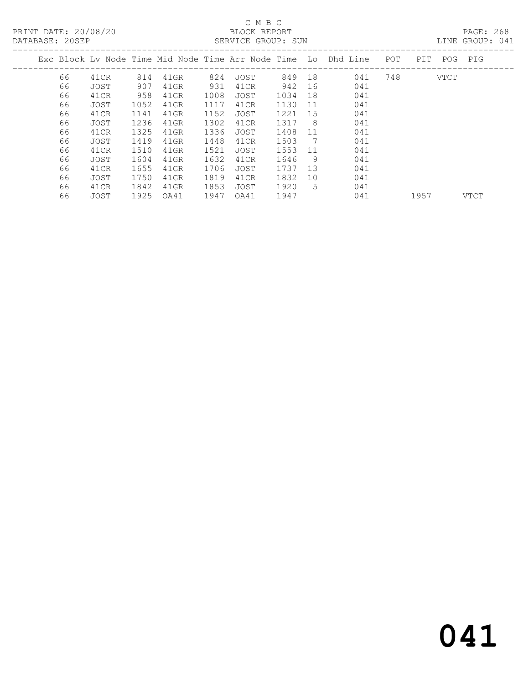# C M B C

| PRINT DATE: 20/08/20<br>DATABASE: 20SEP |    |      |      |      |      | BLOCK REPORT<br>SERVICE GROUP: SUN |        |     |                                                                    |     |  |             |  | PAGE: 268<br>LINE GROUP: 041 |
|-----------------------------------------|----|------|------|------|------|------------------------------------|--------|-----|--------------------------------------------------------------------|-----|--|-------------|--|------------------------------|
|                                         |    |      |      |      |      |                                    |        |     | Exc Block Ly Node Time Mid Node Time Arr Node Time Lo Dhd Line POT |     |  | PIT POG PIG |  |                              |
|                                         | 66 | 41CR | 814  | 41GR | 824  | JOST                               | 849 18 |     | 041                                                                | 748 |  | VTCT        |  |                              |
|                                         | 66 | JOST | 907  | 41GR | 931  | 41CR                               | 942    | 16  | 041                                                                |     |  |             |  |                              |
|                                         | 66 | 41CR | 958  | 41GR | 1008 | JOST                               | 1034   | 18  | 041                                                                |     |  |             |  |                              |
|                                         | 66 | JOST | 1052 | 41GR | 1117 | 41CR                               | 1130   | 11  | 041                                                                |     |  |             |  |                              |
|                                         | 66 | 41CR | 1141 | 41GR | 1152 | JOST                               | 1221   | 15  | 041                                                                |     |  |             |  |                              |
|                                         | 66 | JOST | 1236 | 41GR | 1302 | 41CR                               | 1317   | - 8 | 041                                                                |     |  |             |  |                              |
|                                         | 66 | 41CR | 1325 | 41GR | 1336 | JOST                               | 1408   | 11  | 041                                                                |     |  |             |  |                              |
|                                         | 66 | JOST | 1419 | 41GR | 1448 | 41CR                               | 1503   | 7   | 041                                                                |     |  |             |  |                              |
|                                         | 66 | 41CR | 1510 | 41GR | 1521 | JOST                               | 1553   | 11  | 041                                                                |     |  |             |  |                              |
|                                         | 66 | JOST | 1604 | 41GR | 1632 | 41CR                               | 1646   | - 9 | 041                                                                |     |  |             |  |                              |
|                                         | 66 | 41CR | 1655 | 41GR | 1706 | JOST                               | 1737   | 13  | 041                                                                |     |  |             |  |                              |
|                                         | 66 | JOST | 1750 | 41GR | 1819 | 41CR                               | 1832   | 10  | 041                                                                |     |  |             |  |                              |

66 JOST 1925 OA41 1947 OA41 1947 041 1957 VTCT

66 41CR 1842 41GR 1853 JOST 1920 5 041